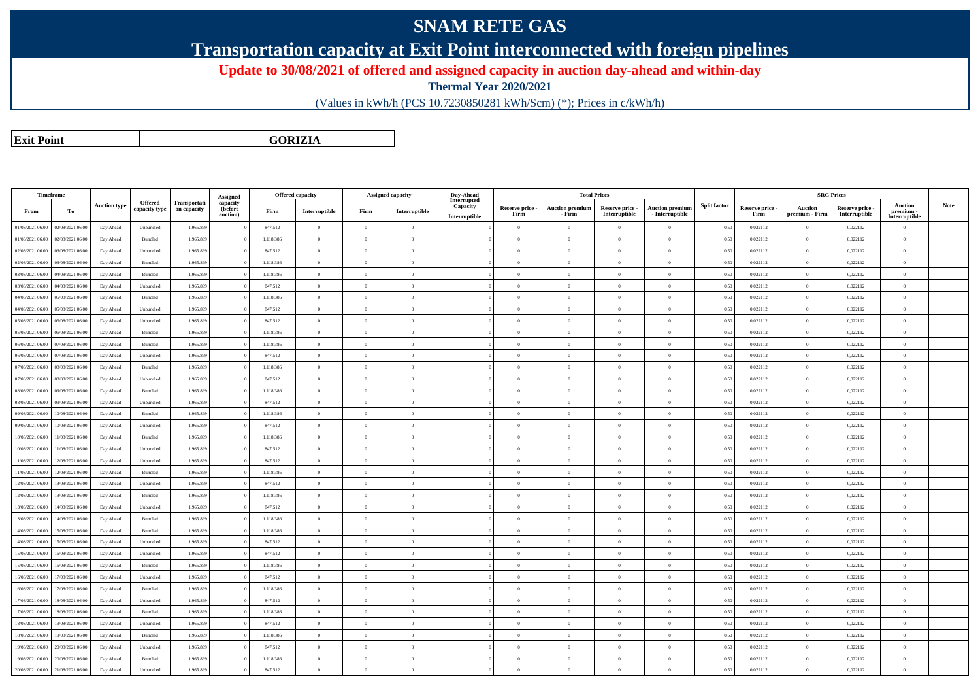## **SNAM RETE GAS**

**Transportation capacity at Exit Point interconnected with foreign pipelines**

**Update to 30/08/2021 of offered and assigned capacity in auction day-ahead and within-day**

**Thermal Year 2020/2021**

(Values in kWh/h (PCS 10.7230850281 kWh/Scm) (\*); Prices in c/kWh/h)

**Exit PointGORIZIA**

|                  | Timeframe        |                     |                                 |                             | Assigned                        |           | Offered capacity |                | Assigned capacity | Day-Ahead                                |                         |                                  | <b>Total Prices</b>                     |                                           |                     |                         |                           | <b>SRG Prices</b>                |                                              |      |
|------------------|------------------|---------------------|---------------------------------|-----------------------------|---------------------------------|-----------|------------------|----------------|-------------------|------------------------------------------|-------------------------|----------------------------------|-----------------------------------------|-------------------------------------------|---------------------|-------------------------|---------------------------|----------------------------------|----------------------------------------------|------|
| From             | To               | <b>Auction type</b> | <b>Offered</b><br>capacity type | Transportati<br>on capacity | capacity<br>(before<br>auction) | Firm      | Interruptible    | Firm           | Interruptible     | Interrupted<br>Capacity<br>Interruptible | Reserve price -<br>Firm | <b>Auction premium</b><br>- Firm | <b>Reserve price -</b><br>Interruptible | <b>Auction premium</b><br>- Interruptible | <b>Split factor</b> | Reserve price -<br>Firm | Auction<br>premium - Firm | Reserve price -<br>Interruptible | <b>Auction</b><br>premium -<br>Interruptible | Note |
| 01/08/2021 06:00 | 02/08/2021 06.00 | Day Ahead           | Unbundled                       | 1.965.899                   |                                 | 847.512   | $\overline{0}$   | $\overline{0}$ | $\overline{0}$    |                                          | $\overline{0}$          | $\overline{0}$                   | $\overline{0}$                          | $\bf{0}$                                  | 0,50                | 0,022112                | $\overline{0}$            | 0,022112                         | $\overline{0}$                               |      |
| 01/08/2021 06:00 | 02/08/2021 06:00 | Day Ahead           | Bundled                         | 1.965.899                   |                                 | 1.118.386 | $\overline{0}$   | $\overline{0}$ | $\overline{0}$    |                                          | $\overline{0}$          | $\mathbf{0}$                     | $\theta$                                | $\mathbf{0}$                              | 0,50                | 0,022112                | $\overline{0}$            | 0,022112                         | $\overline{0}$                               |      |
| 02/08/2021 06:00 | 03/08/2021 06:00 | Day Ahead           | Unbundled                       | 1.965.899                   |                                 | 847.512   | $\overline{0}$   | $\overline{0}$ | $\Omega$          |                                          | $\Omega$                | $\mathbf{0}$                     | $\overline{0}$                          | $\mathbf{0}$                              | 0,50                | 0,022112                | $\overline{0}$            | 0,022112                         | $\mathbf{0}$                                 |      |
| 02/08/2021 06:00 | 03/08/2021 06:00 | Day Ahead           | Bundled                         | 1.965.899                   |                                 | 1.118.386 | $\overline{0}$   | $\Omega$       | $\Omega$          |                                          | $\theta$                | $\Omega$                         | $\theta$                                | $\theta$                                  | 0,50                | 0,022112                | $\theta$                  | 0,022112                         | $\overline{0}$                               |      |
| 03/08/2021 06:00 | 04/08/2021 06:00 | Day Ahead           | Bundled                         | 1.965.899                   |                                 | 1.118.386 | $\overline{0}$   | $\overline{0}$ | $\Omega$          |                                          | $\overline{0}$          | $\theta$                         | $\theta$                                | $\overline{0}$                            | 0,50                | 0,022112                | $\overline{0}$            | 0,022112                         | $\mathbf{0}$                                 |      |
| 03/08/2021 06:00 | 04/08/2021 06:0  | Day Ahead           | Unbundled                       | 1.965.899                   |                                 | 847.512   | $\overline{0}$   | $\overline{0}$ | $\Omega$          |                                          | $\Omega$                | $\Omega$                         | $\overline{0}$                          | $\overline{0}$                            | 0.50                | 0,022112                | $\overline{0}$            | 0,022112                         | $\mathbf{0}$                                 |      |
| 04/08/2021 06:00 | 05/08/2021 06:00 | Day Ahead           | <b>Bundled</b>                  | 1.965.899                   |                                 | 1.118.386 | $\mathbf{0}$     | $\overline{0}$ | $\Omega$          |                                          | $\theta$                | $\Omega$                         | $\theta$                                | $\theta$                                  | 0,50                | 0,022112                | $\overline{0}$            | 0,022112                         | $\theta$                                     |      |
| 04/08/2021 06:00 | 05/08/2021 06:00 | Day Ahead           | Unbundled                       | 1.965.899                   |                                 | 847.512   | $\overline{0}$   | $\overline{0}$ | $\overline{0}$    |                                          | $\theta$                | $\overline{0}$                   | $\theta$                                | $\overline{0}$                            | 0,50                | 0,022112                | $\overline{0}$            | 0,022112                         | $\theta$                                     |      |
| 05/08/2021 06:00 | 06/08/2021 06.00 | Day Ahead           | Unbundled                       | 1.965.89                    |                                 | 847.512   | $\bf{0}$         | $\overline{0}$ | $\overline{0}$    |                                          | $\overline{0}$          | $\mathbf{0}$                     | $\overline{0}$                          | $\overline{0}$                            | 0,50                | 0,022112                | $\overline{0}$            | 0,022112                         | $\overline{0}$                               |      |
| 05/08/2021 06:00 | 06/08/2021 06.0  | Day Ahead           | Bundled                         | 1.965.899                   |                                 | 1.118.386 | $\bf{0}$         | $\overline{0}$ | $\overline{0}$    |                                          | $\overline{0}$          | $\overline{0}$                   | $\theta$                                | $\overline{0}$                            | 0,50                | 0,022112                | $\overline{0}$            | 0,022112                         | $\theta$                                     |      |
| 06/08/2021 06:00 | 07/08/2021 06:00 | Day Ahead           | Bundled                         | 1.965.899                   |                                 | 1.118.386 | $\overline{0}$   | $\Omega$       | $\Omega$          |                                          | $\theta$                | $\theta$                         | $\theta$                                | $\Omega$                                  | 0,50                | 0,022112                | $\overline{0}$            | 0,022112                         | $\overline{0}$                               |      |
| 06/08/2021 06:00 | 07/08/2021 06:00 | Day Ahead           | Unbundled                       | 1.965.899                   |                                 | 847.512   | $\overline{0}$   | $\Omega$       | $\Omega$          |                                          | $\Omega$                | $\theta$                         | $\theta$                                | $\theta$                                  | 0,50                | 0,022112                | $\overline{0}$            | 0,022112                         | $\theta$                                     |      |
| 07/08/2021 06:00 | 08/08/2021 06:00 | Day Ahead           | <b>Bundled</b>                  | 1.965.899                   |                                 | 1.118.386 | $\theta$         | $\Omega$       | $\Omega$          |                                          | $\sqrt{2}$              | $\theta$                         | $\theta$                                | $\Omega$                                  | 0.50                | 0,022112                | $\theta$                  | 0,022112                         | $\Omega$                                     |      |
| 07/08/2021 06:00 | 08/08/2021 06:00 | Day Ahead           | Unbundled                       | 1.965.899                   |                                 | 847.512   | $\,$ 0 $\,$      | $\overline{0}$ | $\Omega$          |                                          | $\theta$                | $\overline{0}$                   | $\overline{0}$                          | $\overline{0}$                            | 0,50                | 0,022112                | $\overline{0}$            | 0,022112                         | $\mathbf{0}$                                 |      |
| 08/08/2021 06:00 | 09/08/2021 06:00 | Day Ahead           | Bundled                         | 1.965.899                   |                                 | 1.118.386 | $\,$ 0 $\,$      | $\overline{0}$ | $\overline{0}$    |                                          | $\overline{0}$          | $\bf{0}$                         | $\overline{0}$                          | $\overline{0}$                            | 0,50                | 0,022112                | $\overline{0}$            | 0,022112                         | $\,$ 0 $\,$                                  |      |
| 08/08/2021 06:00 | 09/08/2021 06.0  | Day Ahead           | Unbundled                       | 1.965.89                    |                                 | 847.512   | $\bf{0}$         | $\overline{0}$ | $\overline{0}$    |                                          | $\overline{0}$          | $\theta$                         | $\overline{0}$                          | $\mathbf{0}$                              | 0,50                | 0,022112                | $\overline{0}$            | 0,022112                         | $\overline{0}$                               |      |
| 09/08/2021 06:00 | 10/08/2021 06:00 | Day Ahead           | Bundled                         | 1.965.899                   |                                 | 1.118.386 | $\overline{0}$   | $\overline{0}$ | $\overline{0}$    |                                          | $\theta$                | $\overline{0}$                   | $\theta$                                | $\overline{0}$                            | 0,50                | 0,022112                | $\overline{0}$            | 0,022112                         | $\theta$                                     |      |
| 09/08/2021 06:00 | 10/08/2021 06:00 | Day Ahead           | Unbundled                       | 1.965.899                   |                                 | 847.512   | $\overline{0}$   | $\Omega$       | $\Omega$          |                                          | $\theta$                | $\theta$                         | $\theta$                                | $\theta$                                  | 0,50                | 0,022112                | $\overline{0}$            | 0,022112                         | $\overline{0}$                               |      |
| 10/08/2021 06:00 | 11/08/2021 06:00 | Day Ahead           | Bundled                         | 1.965.899                   |                                 | 1.118.386 | $\theta$         | $\Omega$       | $\Omega$          |                                          | $\Omega$                | $\overline{0}$                   | $\theta$                                | $\theta$                                  | 0,50                | 0.022112                | $\overline{0}$            | 0,022112                         | $\theta$                                     |      |
| 10/08/2021 06:00 | 11/08/2021 06:00 | Day Ahead           | Unbundled                       | 1.965.899                   |                                 | 847.512   | $\theta$         | $\mathbf{0}$   | $\Omega$          |                                          | $\Omega$                | $\overline{0}$                   | $\overline{0}$                          | $\mathbf{0}$                              | 0,50                | 0,022112                | $\overline{0}$            | 0,022112                         | $\overline{0}$                               |      |
| 11/08/2021 06:00 | 12/08/2021 06:00 | Day Ahead           | Unbundled                       | 1.965.899                   |                                 | 847.512   | $\,$ 0 $\,$      | $\overline{0}$ | $\Omega$          |                                          | $\Omega$                | $\mathbf{0}$                     | $\overline{0}$                          | $\mathbf{0}$                              | 0,50                | 0,022112                | $\,$ 0 $\,$               | 0,022112                         | $\mathbf{0}$                                 |      |
| 11/08/2021 06.00 | 12/08/2021 06:00 | Day Ahead           | Bundled                         | 1.965.899                   |                                 | 1.118.386 | $\overline{0}$   | $\theta$       | $\theta$          |                                          | $\theta$                | $\theta$                         | $\theta$                                | $\overline{0}$                            | 0,50                | 0,022112                | $\overline{0}$            | 0,022112                         | $\overline{0}$                               |      |
| 12/08/2021 06:00 | 13/08/2021 06.00 | Day Ahead           | Unbundled                       | 1.965.899                   |                                 | 847.512   | $\overline{0}$   | $\theta$       | $\Omega$          |                                          | $\sqrt{2}$              | $\theta$                         | $\theta$                                | $\theta$                                  | 0,50                | 0,022112                | $\overline{0}$            | 0,022112                         | $\theta$                                     |      |
| 12/08/2021 06:00 | 13/08/2021 06:00 | Day Ahead           | Bundled                         | 1.965.899                   |                                 | 1.118.386 | $\overline{0}$   | $\overline{0}$ | $\overline{0}$    |                                          | $\theta$                | $\overline{0}$                   | $\theta$                                | $\overline{0}$                            | 0,50                | 0,022112                | $\overline{0}$            | 0,022112                         | $\theta$                                     |      |
| 13/08/2021 06:00 | 4/08/2021 06:00  | Day Ahead           | Unbundled                       | 1.965.899                   |                                 | 847.512   | $\overline{0}$   | $\Omega$       | $\Omega$          |                                          | $\theta$                | $\overline{0}$                   | $\theta$                                | $\theta$                                  | 0,50                | 0,022112                | $\overline{0}$            | 0,022112                         | $\overline{0}$                               |      |
| 13/08/2021 06:00 | 14/08/2021 06:00 | Day Ahead           | Bundled                         | 1.965.899                   |                                 | 1.118.386 | $\bf{0}$         | $\overline{0}$ | $\overline{0}$    |                                          | $\overline{0}$          | $\overline{0}$                   | $\overline{0}$                          | $\overline{0}$                            | 0,50                | 0,022112                | $\overline{0}$            | 0,022112                         | $\,$ 0 $\,$                                  |      |
| 14/08/2021 06:00 | 15/08/2021 06:00 | Day Ahead           | Bundled                         | 1.965.899                   |                                 | 1.118.386 | $\theta$         | $\Omega$       | $\Omega$          |                                          | $\Omega$                | $\theta$                         | $\theta$                                | $\theta$                                  | 0,50                | 0,022112                | $\mathbf{0}$              | 0,022112                         | $\overline{0}$                               |      |
| 14/08/2021 06:00 | 15/08/2021 06:00 | Day Ahead           | Unbundled                       | 1.965.899                   |                                 | 847.512   | $\bf{0}$         | $\overline{0}$ | $\Omega$          |                                          | $\overline{0}$          | $\overline{0}$                   | $\overline{0}$                          | $\overline{0}$                            | 0,50                | 0,022112                | $\overline{0}$            | 0,022112                         | $\mathbf{0}$                                 |      |
| 15/08/2021 06:00 | 16/08/2021 06:00 | Day Ahead           | Unbundled                       | 1.965.899                   |                                 | 847.512   | $\overline{0}$   | $\Omega$       | $\Omega$          |                                          | $\theta$                | $\theta$                         | $\theta$                                | $\theta$                                  | 0.50                | 0,022112                | $\Omega$                  | 0,022112                         | $\theta$                                     |      |
| 15/08/2021 06:00 | 16/08/2021 06:00 | Day Ahead           | Bundled                         | 1.965.899                   |                                 | 1.118.386 | $\overline{0}$   | $\overline{0}$ | $\Omega$          |                                          | $\theta$                | $\overline{0}$                   | $\theta$                                | $\overline{0}$                            | 0,50                | 0,022112                | $\overline{0}$            | 0,022112                         | $\mathbf{0}$                                 |      |
| 16/08/2021 06:00 | 17/08/2021 06:00 | Day Ahead           | Unbundled                       | 1.965.899                   |                                 | 847.512   | $\overline{0}$   | $\theta$       | $\Omega$          |                                          | $\theta$                | $\theta$                         | $\theta$                                | $\theta$                                  | 0,50                | 0,022112                | $\overline{0}$            | 0,022112                         | $\overline{0}$                               |      |
| 16/08/2021 06:00 | 17/08/2021 06.00 | Day Ahead           | Bundled                         | 1.965.899                   |                                 | 1.118.386 | $\bf{0}$         | $\overline{0}$ | $\Omega$          |                                          | $\theta$                | $\overline{0}$                   | $\theta$                                | $\overline{0}$                            | 0,50                | 0,022112                | $\overline{0}$            | 0,022112                         | $\overline{0}$                               |      |
| 17/08/2021 06:00 | 18/08/2021 06:00 | Day Ahead           | Unbundled                       | 1.965.899                   |                                 | 847.512   | $\bf{0}$         | $\overline{0}$ | $\overline{0}$    |                                          | $\overline{0}$          | $\mathbf{0}$                     | $\overline{0}$                          | $\overline{0}$                            | 0,50                | 0,022112                | $\overline{0}$            | 0,022112                         | $\,$ 0 $\,$                                  |      |
| 17/08/2021 06:00 | 18/08/2021 06.00 | Day Ahead           | Bundled                         | 1.965.899                   |                                 | 1.118.386 | $\overline{0}$   | $\overline{0}$ | $\Omega$          |                                          | $\theta$                | $\overline{0}$                   | $\theta$                                | $\theta$                                  | 0,50                | 0,022112                | $\overline{0}$            | 0,022112                         | $\overline{0}$                               |      |
| 18/08/2021 06:00 | 19/08/2021 06:00 | Day Ahead           | Unbundled                       | 1.965.899                   |                                 | 847.512   | $\overline{0}$   | $\overline{0}$ | $\Omega$          |                                          | $\theta$                | $\overline{0}$                   | $\overline{0}$                          | $\overline{0}$                            | 0,50                | 0,022112                | $\overline{0}$            | 0,022112                         | $\mathbf{0}$                                 |      |
| 18/08/2021 06:00 | 19/08/2021 06:00 | Day Ahead           | Bundled                         | 1.965.899                   |                                 | 1.118.386 | $\Omega$         | $\Omega$       | $\Omega$          |                                          | $\Omega$                | $\Omega$                         | $\theta$                                | $\Omega$                                  | 0.50                | 0.022112                | $\Omega$                  | 0.022112                         | $\theta$                                     |      |
| 19/08/2021 06:00 | 20/08/2021 06:00 | Day Ahead           | Unbundled                       | 1.965.899                   |                                 | 847.512   | $\theta$         | $\overline{0}$ | $\Omega$          |                                          | $\theta$                | $\theta$                         | $\theta$                                | $\overline{0}$                            | 0,50                | 0,022112                | $\overline{0}$            | 0,022112                         | $\mathbf{0}$                                 |      |
| 19/08/2021 06:00 | 20/08/2021 06:00 | Day Ahead           | Bundled                         | 1.965.899                   |                                 | 1.118.386 | $\,$ 0 $\,$      | $\overline{0}$ | $\Omega$          |                                          | $\theta$                | $\overline{0}$                   | $\overline{0}$                          | $\overline{0}$                            | 0,50                | 0,022112                | $\overline{0}$            | 0,022112                         | $\mathbf{0}$                                 |      |
| 20/08/2021 06:00 | 21/08/2021 06:00 | Day Ahead           | Unbundled                       | 1.965.899                   |                                 | 847.512   | $\theta$         | $\Omega$       | $\sim$            |                                          | $\Omega$                | $\Omega$                         | $\theta$                                | $\theta$                                  | 0,50                | 0,022112                | $\Omega$                  | 0,022112                         | $\theta$                                     |      |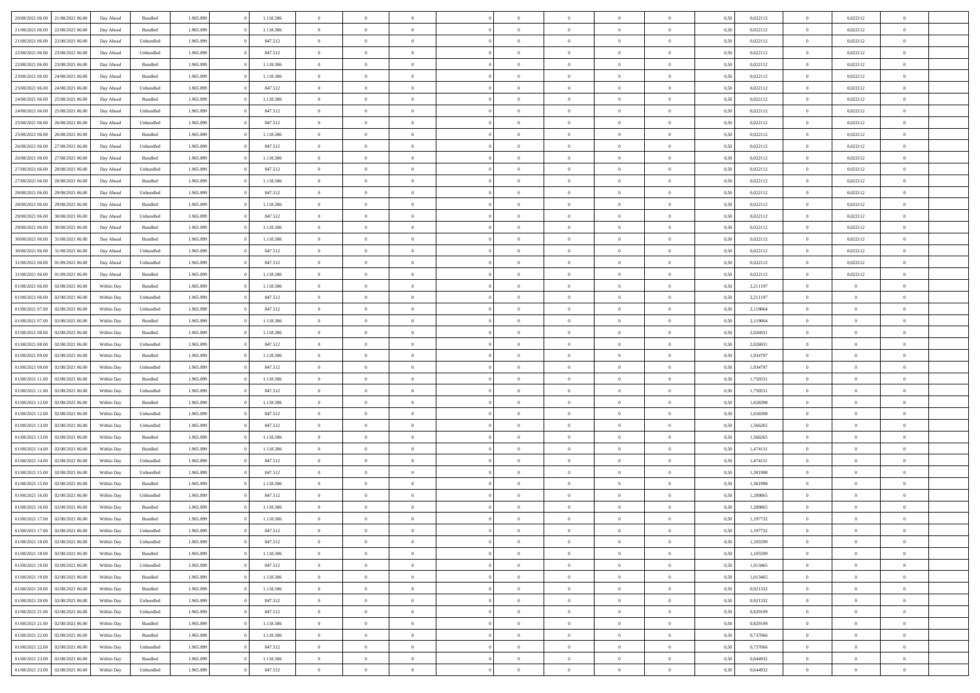| 20/08/2021 06:00                  | 21/08/2021 06:00 |            | Bundled            | 1.965.899 | 1.118.386 | $\Omega$       | $\Omega$       |                | $\Omega$       | $\Omega$       | $\Omega$       | $\theta$       | 0.50 | 0,022112 | $\theta$       | 0,022112       | $\theta$       |  |
|-----------------------------------|------------------|------------|--------------------|-----------|-----------|----------------|----------------|----------------|----------------|----------------|----------------|----------------|------|----------|----------------|----------------|----------------|--|
|                                   |                  | Day Ahead  |                    |           |           |                |                |                |                |                |                |                |      |          |                |                |                |  |
| 21/08/2021 06:00                  | 22/08/2021 06:00 | Day Ahead  | Bundled            | 1.965.899 | 1.118.386 | $\overline{0}$ | $\theta$       | $\overline{0}$ | $\overline{0}$ | $\bf{0}$       | $\overline{0}$ | $\bf{0}$       | 0,50 | 0,022112 | $\theta$       | 0,022112       | $\overline{0}$ |  |
| 21/08/2021 06:00                  | 22/08/2021 06:00 | Day Ahead  | Unbundled          | 1.965.899 | 847.512   | $\overline{0}$ | $\overline{0}$ | $\overline{0}$ | $\bf{0}$       | $\bf{0}$       | $\bf{0}$       | $\bf{0}$       | 0,50 | 0,022112 | $\overline{0}$ | 0,022112       | $\overline{0}$ |  |
| 22/08/2021 06:00                  | 23/08/2021 06:00 | Day Ahead  | Unbundled          | 1.965.899 | 847.512   | $\overline{0}$ | $\theta$       | $\overline{0}$ | $\overline{0}$ | $\bf{0}$       | $\overline{0}$ | $\overline{0}$ | 0.50 | 0,022112 | $\theta$       | 0,022112       | $\overline{0}$ |  |
| 22/08/2021 06:00                  | 23/08/2021 06:00 | Day Ahead  | Bundled            | 1.965.899 | 1.118.386 | $\overline{0}$ | $\theta$       | $\overline{0}$ | $\overline{0}$ | $\bf{0}$       | $\overline{0}$ | $\bf{0}$       | 0,50 | 0,022112 | $\,$ 0 $\,$    | 0,022112       | $\overline{0}$ |  |
|                                   |                  |            |                    |           |           |                |                |                |                |                |                |                |      |          |                |                |                |  |
| 23/08/2021 06:00                  | 24/08/2021 06:00 | Day Ahead  | Bundled            | 1.965.899 | 1.118.386 | $\overline{0}$ | $\bf{0}$       | $\overline{0}$ | $\bf{0}$       | $\overline{0}$ | $\overline{0}$ | $\mathbf{0}$   | 0,50 | 0,022112 | $\overline{0}$ | 0,022112       | $\bf{0}$       |  |
| 23/08/2021 06:00                  | 24/08/2021 06:00 | Day Ahead  | Unbundled          | 1.965.899 | 847.512   | $\overline{0}$ | $\overline{0}$ | $\overline{0}$ | $\overline{0}$ | $\overline{0}$ | $\overline{0}$ | $\overline{0}$ | 0.50 | 0,022112 | $\overline{0}$ | 0,022112       | $\overline{0}$ |  |
| 24/08/2021 06:00                  | 25/08/2021 06:00 | Day Ahead  | Bundled            | 1.965.899 | 1.118.386 | $\overline{0}$ | $\theta$       | $\overline{0}$ | $\overline{0}$ | $\bf{0}$       | $\overline{0}$ | $\bf{0}$       | 0,50 | 0,022112 | $\,$ 0 $\,$    | 0,022112       | $\overline{0}$ |  |
| 24/08/2021 06:00                  | 25/08/2021 06:00 | Day Ahead  | Unbundled          | 1.965.899 | 847.512   | $\overline{0}$ | $\overline{0}$ | $\overline{0}$ | $\bf{0}$       | $\bf{0}$       | $\bf{0}$       | $\bf{0}$       | 0,50 | 0,022112 | $\overline{0}$ | 0,022112       | $\overline{0}$ |  |
| 25/08/2021 06:00                  | 26/08/2021 06:00 | Day Ahead  | Unbundled          | 1.965.899 | 847.512   | $\overline{0}$ | $\overline{0}$ | $\overline{0}$ | $\overline{0}$ | $\overline{0}$ | $\overline{0}$ | $\overline{0}$ | 0.50 | 0,022112 | $\overline{0}$ | 0,022112       | $\overline{0}$ |  |
| 25/08/2021 06:00                  | 26/08/2021 06:00 | Day Ahead  | Bundled            | 1.965.899 | 1.118.386 | $\overline{0}$ | $\theta$       | $\overline{0}$ | $\overline{0}$ | $\bf{0}$       | $\overline{0}$ | $\bf{0}$       | 0,50 | 0,022112 | $\,$ 0 $\,$    | 0,022112       | $\overline{0}$ |  |
|                                   |                  |            |                    |           |           |                | $\overline{0}$ |                |                | $\bf{0}$       |                |                |      |          |                |                | $\overline{0}$ |  |
| 26/08/2021 06:00                  | 27/08/2021 06:00 | Day Ahead  | Unbundled          | 1.965.899 | 847.512   | $\overline{0}$ |                | $\overline{0}$ | $\bf{0}$       |                | $\bf{0}$       | $\bf{0}$       | 0,50 | 0,022112 | $\overline{0}$ | 0,022112       |                |  |
| 26/08/2021 06:00                  | 27/08/2021 06:00 | Day Ahead  | Bundled            | 1.965.899 | 1.118.386 | $\overline{0}$ | $\overline{0}$ | $\overline{0}$ | $\overline{0}$ | $\bf{0}$       | $\overline{0}$ | $\overline{0}$ | 0.50 | 0,022112 | $\theta$       | 0,022112       | $\overline{0}$ |  |
| 27/08/2021 06:00                  | 28/08/2021 06:00 | Day Ahead  | Unbundled          | 1.965.899 | 847.512   | $\overline{0}$ | $\theta$       | $\overline{0}$ | $\overline{0}$ | $\bf{0}$       | $\overline{0}$ | $\bf{0}$       | 0,50 | 0,022112 | $\,$ 0 $\,$    | 0,022112       | $\overline{0}$ |  |
| 27/08/2021 06:00                  | 28/08/2021 06:00 | Day Ahead  | Bundled            | 1.965.899 | 1.118.386 | $\overline{0}$ | $\bf{0}$       | $\overline{0}$ | $\bf{0}$       | $\overline{0}$ | $\overline{0}$ | $\mathbf{0}$   | 0,50 | 0,022112 | $\overline{0}$ | 0,022112       | $\bf{0}$       |  |
| 28/08/2021 06:00                  | 29/08/2021 06:00 | Day Ahead  | Unbundled          | 1.965.899 | 847.512   | $\overline{0}$ | $\overline{0}$ | $\overline{0}$ | $\overline{0}$ | $\overline{0}$ | $\overline{0}$ | $\overline{0}$ | 0.50 | 0,022112 | $\overline{0}$ | 0,022112       | $\overline{0}$ |  |
| 28/08/2021 06:00                  | 29/08/2021 06:00 | Day Ahead  | Bundled            | 1.965.899 | 1.118.386 | $\overline{0}$ | $\theta$       | $\overline{0}$ | $\overline{0}$ | $\bf{0}$       | $\overline{0}$ | $\bf{0}$       | 0,50 | 0,022112 | $\,$ 0 $\,$    | 0,022112       | $\overline{0}$ |  |
| 29/08/2021 06:00                  | 30/08/2021 06:00 | Day Ahead  | Unbundled          | 1.965.899 | 847.512   | $\overline{0}$ | $\overline{0}$ | $\overline{0}$ | $\bf{0}$       | $\bf{0}$       | $\bf{0}$       | $\bf{0}$       | 0,50 | 0,022112 | $\overline{0}$ | 0,022112       | $\overline{0}$ |  |
| 29/08/2021 06:00                  | 30/08/2021 06:00 | Day Ahead  | Bundled            | 1.965.899 | 1.118.386 | $\overline{0}$ | $\overline{0}$ | $\overline{0}$ | $\overline{0}$ | $\overline{0}$ | $\overline{0}$ | $\overline{0}$ | 0.50 | 0,022112 | $\theta$       | 0,022112       | $\overline{0}$ |  |
|                                   |                  |            |                    |           |           |                |                |                |                |                |                |                |      |          |                |                |                |  |
| 30/08/2021 06:00                  | 31/08/2021 06:00 | Day Ahead  | Bundled            | 1.965.899 | 1.118.386 | $\overline{0}$ | $\theta$       | $\overline{0}$ | $\overline{0}$ | $\bf{0}$       | $\overline{0}$ | $\bf{0}$       | 0,50 | 0,022112 | $\,$ 0 $\,$    | 0,022112       | $\overline{0}$ |  |
| 30/08/2021 06:00                  | 31/08/2021 06:00 | Day Ahead  | Unbundled          | 1.965.899 | 847.512   | $\overline{0}$ | $\overline{0}$ | $\overline{0}$ | $\bf{0}$       | $\bf{0}$       | $\bf{0}$       | $\bf{0}$       | 0,50 | 0,022112 | $\overline{0}$ | 0,022112       | $\overline{0}$ |  |
| 31/08/2021 06:00                  | 01/09/2021 06:00 | Day Ahead  | Unbundled          | 1.965.899 | 847.512   | $\overline{0}$ | $\overline{0}$ | $\overline{0}$ | $\overline{0}$ | $\bf{0}$       | $\overline{0}$ | $\overline{0}$ | 0.50 | 0,022112 | $\overline{0}$ | 0,022112       | $\overline{0}$ |  |
| 31/08/2021 06:00                  | 01/09/2021 06:00 | Day Ahead  | Bundled            | 1.965.899 | 1.118.386 | $\overline{0}$ | $\theta$       | $\overline{0}$ | $\overline{0}$ | $\bf{0}$       | $\overline{0}$ | $\bf{0}$       | 0,50 | 0,022112 | $\,$ 0 $\,$    | 0,022112       | $\overline{0}$ |  |
| 01/08/2021 06:00                  | 02/08/2021 06:00 | Within Day | Bundled            | 1.965.899 | 1.118.386 | $\overline{0}$ | $\bf{0}$       | $\overline{0}$ | $\overline{0}$ | $\overline{0}$ | $\overline{0}$ | $\mathbf{0}$   | 0,50 | 2,211197 | $\bf{0}$       | $\overline{0}$ | $\bf{0}$       |  |
| 01/08/2021 06:00                  | 02/08/2021 06:00 | Within Dav | Unbundled          | 1.965.899 | 847.512   | $\overline{0}$ | $\overline{0}$ | $\overline{0}$ | $\overline{0}$ | $\overline{0}$ | $\overline{0}$ | $\overline{0}$ | 0.50 | 2,211197 | $\theta$       | $\overline{0}$ | $\overline{0}$ |  |
| 01/08/2021 07:00                  | 02/08/2021 06:00 | Within Day | Unbundled          | 1.965.899 | 847.512   | $\overline{0}$ | $\theta$       | $\overline{0}$ | $\overline{0}$ | $\bf{0}$       | $\overline{0}$ | $\bf{0}$       | 0,50 | 2,119064 | $\theta$       | $\theta$       | $\overline{0}$ |  |
|                                   |                  |            |                    |           |           |                |                |                |                |                |                |                |      |          |                |                |                |  |
| 01/08/2021 07:00                  | 02/08/2021 06:00 | Within Day | Bundled            | 1.965.899 | 1.118.386 | $\overline{0}$ | $\overline{0}$ | $\overline{0}$ | $\overline{0}$ | $\bf{0}$       | $\overline{0}$ | $\bf{0}$       | 0,50 | 2,119064 | $\,0\,$        | $\overline{0}$ | $\overline{0}$ |  |
| 01/08/2021 08:00                  | 02/08/2021 06:00 | Within Day | Bundled            | 1.965.899 | 1.118.386 | $\overline{0}$ | $\overline{0}$ | $\overline{0}$ | $\overline{0}$ | $\overline{0}$ | $\overline{0}$ | $\overline{0}$ | 0.50 | 2.026931 | $\theta$       | $\theta$       | $\overline{0}$ |  |
| 01/08/2021 08:00                  | 02/08/2021 06:00 | Within Day | Unbundled          | 1.965.899 | 847.512   | $\overline{0}$ | $\theta$       | $\overline{0}$ | $\overline{0}$ | $\bf{0}$       | $\overline{0}$ | $\bf{0}$       | 0,50 | 2,026931 | $\,$ 0 $\,$    | $\theta$       | $\overline{0}$ |  |
| 01/08/2021 09:00                  | 02/08/2021 06:00 | Within Day | Bundled            | 1.965.899 | 1.118.386 | $\overline{0}$ | $\overline{0}$ | $\overline{0}$ | $\overline{0}$ | $\bf{0}$       | $\overline{0}$ | $\bf{0}$       | 0,50 | 1,934797 | $\bf{0}$       | $\overline{0}$ | $\overline{0}$ |  |
| 01/08/2021 09:00                  | 02/08/2021 06:00 | Within Day | Unbundled          | 1.965.899 | 847.512   | $\overline{0}$ | $\Omega$       | $\overline{0}$ | $\Omega$       | $\Omega$       | $\Omega$       | $\overline{0}$ | 0,50 | 1,934797 | $\,0\,$        | $\Omega$       | $\theta$       |  |
| 01/08/2021 11:00                  | 02/08/2021 06:00 | Within Day | Bundled            | 1.965.899 | 1.118.386 | $\overline{0}$ | $\theta$       | $\overline{0}$ | $\overline{0}$ | $\bf{0}$       | $\overline{0}$ | $\bf{0}$       | 0,50 | 1,750531 | $\theta$       | $\theta$       | $\overline{0}$ |  |
| 01/08/2021 11:00                  | 02/08/2021 06:00 | Within Day | Unbundled          | 1.965.899 | 847.512   | $\overline{0}$ | $\bf{0}$       | $\overline{0}$ | $\overline{0}$ | $\bf{0}$       | $\overline{0}$ | $\mathbf{0}$   | 0,50 | 1,750531 | $\overline{0}$ | $\overline{0}$ | $\bf{0}$       |  |
|                                   |                  |            |                    |           |           |                |                |                |                |                |                |                |      |          |                |                |                |  |
| 01/08/2021 12:00                  | 02/08/2021 06:00 | Within Day | Bundled            | 1.965.899 | 1.118.386 | $\overline{0}$ | $\Omega$       | $\Omega$       | $\Omega$       | $\bf{0}$       | $\overline{0}$ | $\overline{0}$ | 0.50 | 1,658398 | $\theta$       | $\theta$       | $\theta$       |  |
| 01/08/2021 12:00                  | 02/08/2021 06:00 | Within Day | Unbundled          | 1.965.899 | 847.512   | $\overline{0}$ | $\theta$       | $\overline{0}$ | $\overline{0}$ | $\bf{0}$       | $\overline{0}$ | $\bf{0}$       | 0,50 | 1,658398 | $\theta$       | $\theta$       | $\overline{0}$ |  |
| 01/08/2021 13:00                  | 02/08/2021 06:00 | Within Day | Unbundled          | 1.965.899 | 847.512   | $\overline{0}$ | $\overline{0}$ | $\overline{0}$ | $\bf{0}$       | $\bf{0}$       | $\overline{0}$ | $\bf{0}$       | 0,50 | 1,566265 | $\,0\,$        | $\overline{0}$ | $\overline{0}$ |  |
| 01/08/2021 13:00                  | 02/08/2021 06:00 | Within Day | Bundled            | 1.965.899 | 1.118.386 | $\overline{0}$ | $\Omega$       | $\overline{0}$ | $\Omega$       | $\Omega$       | $\theta$       | $\overline{0}$ | 0.50 | 1.566265 | $\theta$       | $\theta$       | $\theta$       |  |
| 01/08/2021 14:00                  | 02/08/2021 06:00 | Within Day | Bundled            | 1.965.899 | 1.118.386 | $\overline{0}$ | $\theta$       | $\overline{0}$ | $\overline{0}$ | $\bf{0}$       | $\overline{0}$ | $\bf{0}$       | 0,50 | 1,474131 | $\,$ 0 $\,$    | $\theta$       | $\overline{0}$ |  |
| 01/08/2021 14:00                  | 02/08/2021 06:00 | Within Day | Unbundled          | 1.965.899 | 847.512   | $\overline{0}$ | $\overline{0}$ | $\overline{0}$ | $\overline{0}$ | $\bf{0}$       | $\overline{0}$ | $\bf{0}$       | 0,50 | 1,474131 | $\overline{0}$ | $\overline{0}$ | $\overline{0}$ |  |
| 01/08/2021 15:00                  | 02/08/2021 06:00 | Within Day | Unbundled          | 1.965.899 | 847.512   | $\overline{0}$ | $\Omega$       | $\overline{0}$ | $\Omega$       | $\Omega$       | $\overline{0}$ | $\overline{0}$ | 0,50 | 1,381998 | $\,0\,$        | $\theta$       | $\theta$       |  |
| 01/08/2021 15:00                  | 02/08/2021 06:00 | Within Day | Bundled            | 1.965.899 | 1.118.386 | $\overline{0}$ | $\theta$       | $\overline{0}$ | $\overline{0}$ | $\bf{0}$       | $\overline{0}$ | $\bf{0}$       | 0,50 | 1,381998 | $\,$ 0 $\,$    | $\theta$       | $\overline{0}$ |  |
|                                   |                  |            |                    |           |           |                |                |                |                |                |                |                |      |          |                |                |                |  |
| 01/08/2021 16:00                  | 02/08/2021 06:00 | Within Day | Unbundled          | 1.965.899 | 847.512   | $\overline{0}$ | $\overline{0}$ | $\overline{0}$ | $\overline{0}$ | $\bf{0}$       | $\overline{0}$ | $\mathbf{0}$   | 0,50 | 1,289865 | $\overline{0}$ | $\overline{0}$ | $\bf{0}$       |  |
| 01/08/2021 16:00                  | 02/08/2021 06:00 | Within Day | Bundled            | 1.965.899 | 1.118.386 | $\overline{0}$ | $\Omega$       | $\Omega$       | $\Omega$       | $\Omega$       | $\Omega$       | $\overline{0}$ | 0.50 | 1,289865 | $\theta$       | $\Omega$       | $\theta$       |  |
| 01/08/2021 17:00                  | 02/08/2021 06:00 | Within Day | Bundled            | 1.965.899 | 1.118.386 | $\overline{0}$ | $\,$ 0 $\,$    | $\overline{0}$ | $\bf{0}$       | $\,$ 0         | $\overline{0}$ | $\bf{0}$       | 0,50 | 1,197732 | $\,0\,$        | $\overline{0}$ | $\overline{0}$ |  |
| 01/08/2021 17:00 02/08/2021 06:00 |                  | Within Day | Unbundled          | 1.965.899 | 847.512   | $\bf{0}$       | $\bf{0}$       |                |                |                |                |                | 0,50 | 1,197732 | $\bf{0}$       | $\overline{0}$ |                |  |
| 01/08/2021 18:00                  | 02/08/2021 06:00 | Within Day | Unbundled          | 1.965.899 | 847.512   | $\overline{0}$ | $\overline{0}$ | $\overline{0}$ | $\Omega$       | $\overline{0}$ | $\overline{0}$ | $\overline{0}$ | 0,50 | 1.105599 | $\theta$       | $\theta$       | $\theta$       |  |
| 01/08/2021 18:00                  | 02/08/2021 06:00 | Within Day | Bundled            | 1.965.899 | 1.118.386 | $\overline{0}$ | $\bf{0}$       | $\overline{0}$ | $\overline{0}$ | $\,$ 0 $\,$    | $\overline{0}$ | $\mathbf{0}$   | 0,50 | 1,105599 | $\,$ 0 $\,$    | $\,$ 0 $\,$    | $\,$ 0         |  |
| 01/08/2021 19:00                  | 02/08/2021 06:00 | Within Day | Unbundled          | 1.965.899 | 847.512   | $\overline{0}$ | $\overline{0}$ | $\overline{0}$ | $\overline{0}$ | $\overline{0}$ | $\overline{0}$ | $\mathbf{0}$   | 0,50 | 1,013465 | $\overline{0}$ | $\bf{0}$       | $\bf{0}$       |  |
| 01/08/2021 19:00                  | 02/08/2021 06:00 | Within Day | $\mathbf B$ undled | 1.965.899 | 1.118.386 | $\overline{0}$ | $\overline{0}$ | $\overline{0}$ | $\Omega$       | $\overline{0}$ | $\overline{0}$ | $\overline{0}$ | 0,50 | 1,013465 | $\overline{0}$ | $\overline{0}$ | $\overline{0}$ |  |
|                                   |                  |            |                    |           |           |                |                |                |                |                |                |                |      |          |                |                |                |  |
| 01/08/2021 20:00                  | 02/08/2021 06:00 | Within Day | Bundled            | 1.965.899 | 1.118.386 | $\overline{0}$ | $\,$ 0         | $\overline{0}$ | $\overline{0}$ | $\,$ 0 $\,$    | $\overline{0}$ | $\mathbf{0}$   | 0,50 | 0,921332 | $\,$ 0 $\,$    | $\overline{0}$ | $\overline{0}$ |  |
| 01/08/2021 20:00                  | 02/08/2021 06:00 | Within Day | Unbundled          | 1.965.899 | 847.512   | $\overline{0}$ | $\overline{0}$ | $\overline{0}$ | $\overline{0}$ | $\overline{0}$ | $\overline{0}$ | $\mathbf{0}$   | 0,50 | 0,921332 | $\overline{0}$ | $\overline{0}$ | $\bf{0}$       |  |
| 01/08/2021 21:00                  | 02/08/2021 06:00 | Within Day | Unbundled          | 1.965.899 | 847.512   | $\overline{0}$ | $\overline{0}$ | $\overline{0}$ | $\overline{0}$ | $\overline{0}$ | $\overline{0}$ | $\bf{0}$       | 0.50 | 0,829199 | $\overline{0}$ | $\theta$       | $\overline{0}$ |  |
| 01/08/2021 21:00                  | 02/08/2021 06:00 | Within Day | Bundled            | 1.965.899 | 1.118.386 | $\overline{0}$ | $\,$ 0         | $\overline{0}$ | $\bf{0}$       | $\bf{0}$       | $\bf{0}$       | $\bf{0}$       | 0,50 | 0,829199 | $\,$ 0 $\,$    | $\overline{0}$ | $\overline{0}$ |  |
| 01/08/2021 22.00                  | 02/08/2021 06:00 | Within Day | Bundled            | 1.965.899 | 1.118.386 | $\overline{0}$ | $\bf{0}$       | $\overline{0}$ | $\overline{0}$ | $\overline{0}$ | $\overline{0}$ | $\mathbf{0}$   | 0,50 | 0,737066 | $\overline{0}$ | $\overline{0}$ | $\bf{0}$       |  |
| 01/08/2021 22:00                  | 02/08/2021 06:00 | Within Day | Unbundled          | 1.965.899 | 847.512   | $\overline{0}$ | $\overline{0}$ | $\overline{0}$ | $\Omega$       | $\overline{0}$ | $\overline{0}$ | $\overline{0}$ | 0.50 | 0,737066 | $\overline{0}$ | $\overline{0}$ | $\overline{0}$ |  |
| 01/08/2021 23:00                  | 02/08/2021 06:00 | Within Day | Bundled            | 1.965.899 | 1.118.386 | $\overline{0}$ | $\bf{0}$       | $\overline{0}$ | $\bf{0}$       | $\bf{0}$       | $\bf{0}$       | $\mathbf{0}$   | 0,50 | 0,644932 | $\,$ 0 $\,$    | $\,$ 0 $\,$    | $\bf{0}$       |  |
|                                   |                  |            |                    |           |           |                |                |                |                |                |                |                |      |          |                |                |                |  |
| 01/08/2021 23:00                  | 02/08/2021 06:00 | Within Day | Unbundled          | 1.965.899 | 847.512   | $\overline{0}$ | $\overline{0}$ | $\overline{0}$ | $\overline{0}$ | $\overline{0}$ | $\bf{0}$       | $\mathbf{0}$   | 0,50 | 0,644932 | $\overline{0}$ | $\bf{0}$       | $\bf{0}$       |  |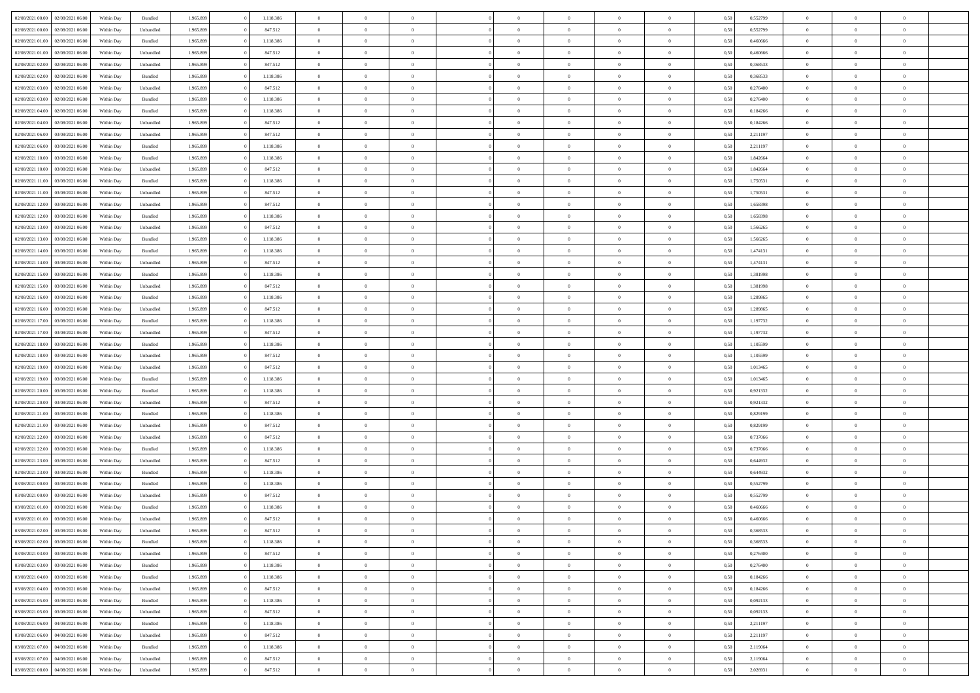| 02/08/2021 00:00 | 02/08/2021 06:00                  | Within Day | Bundled   | 1.965.899 | 1.118.386 | $\overline{0}$ | $\theta$       |                | $\Omega$       | $\Omega$       | $\theta$       | $\theta$       | 0,50 | 0,552799 | $\theta$       | $\theta$       | $\theta$       |  |
|------------------|-----------------------------------|------------|-----------|-----------|-----------|----------------|----------------|----------------|----------------|----------------|----------------|----------------|------|----------|----------------|----------------|----------------|--|
|                  |                                   |            |           |           |           |                |                |                |                |                |                |                |      |          |                |                |                |  |
| 02/08/2021 00:00 | 02/08/2021 06:00                  | Within Day | Unbundled | 1.965.899 | 847.512   | $\overline{0}$ | $\theta$       | $\overline{0}$ | $\overline{0}$ | $\bf{0}$       | $\overline{0}$ | $\bf{0}$       | 0,50 | 0,552799 | $\theta$       | $\overline{0}$ | $\overline{0}$ |  |
| 02/08/2021 01:00 | 02/08/2021 06:00                  | Within Day | Bundled   | 1.965.899 | 1.118.386 | $\overline{0}$ | $\overline{0}$ | $\overline{0}$ | $\bf{0}$       | $\bf{0}$       | $\bf{0}$       | $\mathbf{0}$   | 0,50 | 0,460666 | $\overline{0}$ | $\overline{0}$ | $\bf{0}$       |  |
| 02/08/2021 01:00 | 02/08/2021 06:00                  | Within Day | Unbundled | 1.965.899 | 847.512   | $\overline{0}$ | $\overline{0}$ | $\overline{0}$ | $\overline{0}$ | $\bf{0}$       | $\overline{0}$ | $\overline{0}$ | 0.50 | 0.460666 | $\theta$       | $\theta$       | $\overline{0}$ |  |
|                  |                                   |            |           |           |           | $\overline{0}$ | $\theta$       | $\overline{0}$ | $\overline{0}$ | $\bf{0}$       | $\overline{0}$ |                |      |          | $\,$ 0 $\,$    | $\overline{0}$ | $\overline{0}$ |  |
| 02/08/2021 02:00 | 02/08/2021 06:00                  | Within Day | Unbundled | 1.965.899 | 847.512   |                |                |                |                |                |                | $\bf{0}$       | 0,50 | 0,368533 |                |                |                |  |
| 02/08/2021 02:00 | 02/08/2021 06:00                  | Within Day | Bundled   | 1.965.899 | 1.118.386 | $\overline{0}$ | $\overline{0}$ | $\overline{0}$ | $\bf{0}$       | $\overline{0}$ | $\overline{0}$ | $\mathbf{0}$   | 0,50 | 0,368533 | $\bf{0}$       | $\overline{0}$ | $\bf{0}$       |  |
| 02/08/2021 03:00 | 02/08/2021 06:00                  | Within Dav | Unbundled | 1.965.899 | 847.512   | $\overline{0}$ | $\overline{0}$ | $\overline{0}$ | $\overline{0}$ | $\overline{0}$ | $\overline{0}$ | $\overline{0}$ | 0.50 | 0,276400 | $\theta$       | $\overline{0}$ | $\overline{0}$ |  |
| 02/08/2021 03:00 | 02/08/2021 06:00                  | Within Day | Bundled   | 1.965.899 | 1.118.386 | $\overline{0}$ | $\theta$       | $\overline{0}$ | $\overline{0}$ | $\bf{0}$       | $\overline{0}$ | $\bf{0}$       | 0,50 | 0,276400 | $\,$ 0 $\,$    | $\theta$       | $\overline{0}$ |  |
| 02/08/2021 04:00 | 02/08/2021 06:00                  | Within Day | Bundled   | 1.965.899 | 1.118.386 | $\overline{0}$ | $\overline{0}$ | $\overline{0}$ | $\bf{0}$       | $\bf{0}$       | $\bf{0}$       | $\mathbf{0}$   | 0,50 | 0,184266 | $\,0\,$        | $\overline{0}$ | $\overline{0}$ |  |
|                  |                                   |            |           |           |           |                | $\overline{0}$ |                |                | $\overline{0}$ |                |                |      |          | $\theta$       | $\overline{0}$ | $\overline{0}$ |  |
| 02/08/2021 04:00 | 02/08/2021 06:00                  | Within Dav | Unbundled | 1.965.899 | 847.512   | $\overline{0}$ |                | $\overline{0}$ | $\overline{0}$ |                | $\overline{0}$ | $\overline{0}$ | 0.50 | 0,184266 |                |                |                |  |
| 02/08/2021 06:00 | 03/08/2021 06:00                  | Within Day | Unbundled | 1.965.899 | 847.512   | $\overline{0}$ | $\theta$       | $\overline{0}$ | $\overline{0}$ | $\bf{0}$       | $\overline{0}$ | $\bf{0}$       | 0,50 | 2,211197 | $\,$ 0 $\,$    | $\overline{0}$ | $\overline{0}$ |  |
| 02/08/2021 06:00 | 03/08/2021 06:00                  | Within Day | Bundled   | 1.965.899 | 1.118.386 | $\overline{0}$ | $\overline{0}$ | $\overline{0}$ | $\bf{0}$       | $\bf{0}$       | $\bf{0}$       | $\mathbf{0}$   | 0,50 | 2,211197 | $\bf{0}$       | $\overline{0}$ | $\bf{0}$       |  |
| 02/08/2021 10:00 | 03/08/2021 06:00                  | Within Dav | Bundled   | 1.965.899 | 1.118.386 | $\overline{0}$ | $\overline{0}$ | $\overline{0}$ | $\overline{0}$ | $\overline{0}$ | $\overline{0}$ | $\overline{0}$ | 0.50 | 1.842664 | $\theta$       | $\theta$       | $\overline{0}$ |  |
| 02/08/2021 10:00 | 03/08/2021 06:00                  | Within Day | Unbundled | 1.965.899 | 847.512   | $\overline{0}$ | $\theta$       | $\overline{0}$ | $\overline{0}$ | $\bf{0}$       | $\overline{0}$ | $\bf{0}$       | 0,50 | 1,842664 | $\theta$       | $\overline{0}$ | $\overline{0}$ |  |
|                  |                                   |            |           |           |           |                |                |                |                |                |                |                |      |          |                |                |                |  |
| 02/08/2021 11:00 | 03/08/2021 06:00                  | Within Day | Bundled   | 1.965.899 | 1.118.386 | $\overline{0}$ | $\overline{0}$ | $\overline{0}$ | $\overline{0}$ | $\overline{0}$ | $\overline{0}$ | $\mathbf{0}$   | 0,50 | 1,750531 | $\bf{0}$       | $\overline{0}$ | $\bf{0}$       |  |
| 02/08/2021 11:00 | 03/08/2021 06:00                  | Within Dav | Unbundled | 1.965.899 | 847.512   | $\overline{0}$ | $\overline{0}$ | $\overline{0}$ | $\overline{0}$ | $\overline{0}$ | $\overline{0}$ | $\overline{0}$ | 0.50 | 1,750531 | $\theta$       | $\overline{0}$ | $\overline{0}$ |  |
| 02/08/2021 12:00 | 03/08/2021 06:00                  | Within Day | Unbundled | 1.965.899 | 847.512   | $\overline{0}$ | $\theta$       | $\overline{0}$ | $\overline{0}$ | $\bf{0}$       | $\overline{0}$ | $\bf{0}$       | 0,50 | 1,658398 | $\,$ 0 $\,$    | $\overline{0}$ | $\overline{0}$ |  |
| 02/08/2021 12:00 | 03/08/2021 06:00                  | Within Day | Bundled   | 1.965.899 | 1.118.386 | $\overline{0}$ | $\overline{0}$ | $\overline{0}$ | $\overline{0}$ | $\bf{0}$       | $\overline{0}$ | $\mathbf{0}$   | 0,50 | 1,658398 | $\bf{0}$       | $\overline{0}$ | $\bf{0}$       |  |
| 02/08/2021 13:00 | 03/08/2021 06:00                  | Within Dav | Unbundled | 1.965.899 | 847.512   | $\overline{0}$ | $\overline{0}$ | $\overline{0}$ | $\overline{0}$ | $\overline{0}$ | $\overline{0}$ | $\overline{0}$ | 0.50 | 1,566265 | $\theta$       | $\overline{0}$ | $\overline{0}$ |  |
| 02/08/2021 13:00 | 03/08/2021 06:00                  | Within Day | Bundled   | 1.965.899 | 1.118.386 | $\overline{0}$ | $\theta$       | $\overline{0}$ | $\overline{0}$ | $\bf{0}$       | $\overline{0}$ | $\bf{0}$       | 0,50 | 1,566265 | $\,$ 0 $\,$    | $\overline{0}$ | $\overline{0}$ |  |
|                  |                                   |            |           |           |           |                |                |                |                |                |                |                |      |          |                |                |                |  |
| 02/08/2021 14:00 | 03/08/2021 06:00                  | Within Day | Bundled   | 1.965.899 | 1.118.386 | $\overline{0}$ | $\overline{0}$ | $\overline{0}$ | $\overline{0}$ | $\bf{0}$       | $\overline{0}$ | $\mathbf{0}$   | 0,50 | 1,474131 | $\overline{0}$ | $\overline{0}$ | $\bf{0}$       |  |
| 02/08/2021 14:00 | 03/08/2021 06:00                  | Within Day | Unbundled | 1.965.899 | 847.512   | $\overline{0}$ | $\overline{0}$ | $\overline{0}$ | $\overline{0}$ | $\overline{0}$ | $\overline{0}$ | $\overline{0}$ | 0.50 | 1,474131 | $\theta$       | $\overline{0}$ | $\overline{0}$ |  |
| 02/08/2021 15:00 | 03/08/2021 06:00                  | Within Day | Bundled   | 1.965.899 | 1.118.386 | $\overline{0}$ | $\theta$       | $\overline{0}$ | $\overline{0}$ | $\bf{0}$       | $\overline{0}$ | $\bf{0}$       | 0,50 | 1,381998 | $\,$ 0 $\,$    | $\overline{0}$ | $\overline{0}$ |  |
| 02/08/2021 15:00 | 03/08/2021 06:00                  | Within Day | Unbundled | 1.965.899 | 847.512   | $\overline{0}$ | $\overline{0}$ | $\overline{0}$ | $\overline{0}$ | $\overline{0}$ | $\overline{0}$ | $\mathbf{0}$   | 0,50 | 1,381998 | $\overline{0}$ | $\overline{0}$ | $\bf{0}$       |  |
| 02/08/2021 16:00 | 03/08/2021 06:00                  | Within Dav | Bundled   | 1.965.899 | 1.118.386 | $\overline{0}$ | $\overline{0}$ | $\overline{0}$ | $\overline{0}$ | $\overline{0}$ | $\overline{0}$ | $\overline{0}$ | 0.50 | 1,289865 | $\overline{0}$ | $\overline{0}$ | $\overline{0}$ |  |
| 02/08/2021 16:00 | 03/08/2021 06:00                  | Within Day | Unbundled | 1.965.899 | 847.512   | $\overline{0}$ | $\theta$       | $\overline{0}$ | $\overline{0}$ | $\bf{0}$       | $\overline{0}$ | $\bf{0}$       | 0,50 | 1,289865 | $\,$ 0 $\,$    | $\overline{0}$ | $\overline{0}$ |  |
| 02/08/2021 17:00 | 03/08/2021 06:00                  | Within Day | Bundled   | 1.965.899 | 1.118.386 | $\overline{0}$ | $\overline{0}$ | $\overline{0}$ | $\overline{0}$ | $\bf{0}$       | $\overline{0}$ | $\bf{0}$       | 0,50 | 1,197732 | $\,0\,$        | $\overline{0}$ | $\bf{0}$       |  |
|                  |                                   |            |           |           |           |                |                |                |                |                |                |                |      |          |                |                |                |  |
| 02/08/2021 17:00 | 03/08/2021 06:00                  | Within Day | Unbundled | 1.965.899 | 847.512   | $\overline{0}$ | $\overline{0}$ | $\overline{0}$ | $\overline{0}$ | $\overline{0}$ | $\overline{0}$ | $\overline{0}$ | 0.50 | 1,197732 | $\theta$       | $\overline{0}$ | $\overline{0}$ |  |
| 02/08/2021 18:00 | 03/08/2021 06:00                  | Within Day | Bundled   | 1.965.899 | 1.118.386 | $\overline{0}$ | $\overline{0}$ | $\overline{0}$ | $\overline{0}$ | $\bf{0}$       | $\overline{0}$ | $\bf{0}$       | 0,50 | 1,105599 | $\,$ 0 $\,$    | $\overline{0}$ | $\overline{0}$ |  |
| 02/08/2021 18:00 | 03/08/2021 06:00                  | Within Day | Unbundled | 1.965.899 | 847.512   | $\overline{0}$ | $\overline{0}$ | $\overline{0}$ | $\overline{0}$ | $\bf{0}$       | $\overline{0}$ | $\bf{0}$       | 0,50 | 1,105599 | $\overline{0}$ | $\overline{0}$ | $\bf{0}$       |  |
| 02/08/2021 19:00 | 03/08/2021 06:00                  | Within Day | Unbundled | 1.965.899 | 847.512   | $\overline{0}$ | $\Omega$       | $\overline{0}$ | $\Omega$       | $\Omega$       | $\overline{0}$ | $\overline{0}$ | 0,50 | 1,013465 | $\,0\,$        | $\theta$       | $\theta$       |  |
| 02/08/2021 19:00 | 03/08/2021 06:00                  | Within Day | Bundled   | 1.965.899 | 1.118.386 | $\overline{0}$ | $\overline{0}$ | $\overline{0}$ | $\overline{0}$ | $\bf{0}$       | $\overline{0}$ | $\bf{0}$       | 0,50 | 1,013465 | $\,$ 0 $\,$    | $\overline{0}$ | $\overline{0}$ |  |
| 02/08/2021 20:00 | 03/08/2021 06:00                  | Within Day | Bundled   | 1.965.899 | 1.118.386 | $\overline{0}$ | $\overline{0}$ | $\overline{0}$ | $\overline{0}$ | $\overline{0}$ | $\overline{0}$ | $\mathbf{0}$   | 0,50 | 0,921332 | $\overline{0}$ | $\overline{0}$ | $\bf{0}$       |  |
|                  |                                   |            |           |           |           |                | $\Omega$       |                |                |                |                |                |      |          |                |                | $\theta$       |  |
| 02/08/2021 20:00 | 03/08/2021 06:00                  | Within Day | Unbundled | 1.965.899 | 847.512   | $\overline{0}$ |                | $\overline{0}$ | $\Omega$       | $\overline{0}$ | $\overline{0}$ | $\overline{0}$ | 0.50 | 0,921332 | $\,$ 0 $\,$    | $\overline{0}$ |                |  |
| 02/08/2021 21:00 | 03/08/2021 06:00                  | Within Day | Bundled   | 1.965.899 | 1.118.386 | $\overline{0}$ | $\theta$       | $\overline{0}$ | $\overline{0}$ | $\bf{0}$       | $\overline{0}$ | $\bf{0}$       | 0,50 | 0,829199 | $\,$ 0 $\,$    | $\overline{0}$ | $\overline{0}$ |  |
| 02/08/2021 21.00 | 03/08/2021 06:00                  | Within Day | Unbundled | 1.965.899 | 847.512   | $\overline{0}$ | $\bf{0}$       | $\overline{0}$ | $\bf{0}$       | $\bf{0}$       | $\bf{0}$       | $\mathbf{0}$   | 0,50 | 0,829199 | $\bf{0}$       | $\overline{0}$ | $\bf{0}$       |  |
| 02/08/2021 22:00 | 03/08/2021 06:00                  | Within Day | Unbundled | 1.965.899 | 847.512   | $\overline{0}$ | $\Omega$       | $\overline{0}$ | $\Omega$       | $\overline{0}$ | $\overline{0}$ | $\overline{0}$ | 0.50 | 0,737066 | $\,$ 0 $\,$    | $\theta$       | $\theta$       |  |
| 02/08/2021 22:00 | 03/08/2021 06:00                  | Within Day | Bundled   | 1.965.899 | 1.118.386 | $\overline{0}$ | $\overline{0}$ | $\overline{0}$ | $\overline{0}$ | $\,$ 0         | $\overline{0}$ | $\bf{0}$       | 0,50 | 0,737066 | $\,$ 0 $\,$    | $\overline{0}$ | $\overline{0}$ |  |
| 02/08/2021 23.00 | 03/08/2021 06:00                  | Within Day | Unbundled | 1.965.899 | 847.512   | $\overline{0}$ | $\overline{0}$ | $\overline{0}$ | $\bf{0}$       | $\bf{0}$       | $\overline{0}$ | $\mathbf{0}$   | 0,50 | 0,644932 | $\overline{0}$ | $\overline{0}$ | $\bf{0}$       |  |
|                  |                                   |            |           |           |           |                |                |                |                |                |                |                |      |          |                |                | $\theta$       |  |
| 02/08/2021 23:00 | 03/08/2021 06:00                  | Within Day | Bundled   | 1.965.899 | 1.118.386 | $\overline{0}$ | $\Omega$       | $\overline{0}$ | $\Omega$       | $\overline{0}$ | $\overline{0}$ | $\overline{0}$ | 0,50 | 0.644932 | $\,0\,$        | $\theta$       |                |  |
| 03/08/2021 00:00 | 03/08/2021 06:00                  | Within Day | Bundled   | 1.965.899 | 1.118.386 | $\overline{0}$ | $\overline{0}$ | $\overline{0}$ | $\overline{0}$ | $\,$ 0         | $\overline{0}$ | $\bf{0}$       | 0,50 | 0,552799 | $\,$ 0 $\,$    | $\overline{0}$ | $\overline{0}$ |  |
| 03/08/2021 00:00 | 03/08/2021 06:00                  | Within Day | Unbundled | 1.965.899 | 847.512   | $\overline{0}$ | $\overline{0}$ | $\overline{0}$ | $\bf{0}$       | $\bf{0}$       | $\overline{0}$ | $\mathbf{0}$   | 0,50 | 0,552799 | $\overline{0}$ | $\overline{0}$ | $\bf{0}$       |  |
| 03/08/2021 01:00 | 03/08/2021 06:00                  | Within Day | Bundled   | 1.965.899 | 1.118.386 | $\overline{0}$ | $\Omega$       | $\Omega$       | $\Omega$       | $\Omega$       | $\Omega$       | $\overline{0}$ | 0.50 | 0.460666 | $\theta$       | $\theta$       | $\theta$       |  |
| 03/08/2021 01:00 | 03/08/2021 06:00                  | Within Day | Unbundled | 1.965.899 | 847.512   | $\overline{0}$ | $\overline{0}$ | $\overline{0}$ | $\bf{0}$       | $\,$ 0         | $\overline{0}$ | $\bf{0}$       | 0,50 | 0,460666 | $\,0\,$        | $\,$ 0 $\,$    | $\overline{0}$ |  |
|                  | 03/08/2021 02:00 03/08/2021 06:00 | Within Day | Unbundled | 1.965.899 | 847.512   | $\bf{0}$       | $\bf{0}$       |                |                | $\bf{0}$       |                |                | 0,50 | 0,368533 | $\bf{0}$       | $\overline{0}$ |                |  |
| 03/08/2021 02:00 | 03/08/2021 06:00                  | Within Day | Bundled   | 1.965.899 | 1.118.386 | $\overline{0}$ | $\overline{0}$ | $\overline{0}$ | $\Omega$       | $\overline{0}$ | $\overline{0}$ | $\overline{0}$ | 0.50 | 0.368533 | $\theta$       | $\theta$       | $\theta$       |  |
|                  |                                   |            |           |           |           |                | $\bf{0}$       |                |                | $\,$ 0 $\,$    |                |                |      |          | $\,$ 0 $\,$    | $\,$ 0 $\,$    | $\,$ 0         |  |
| 03/08/2021 03:00 | 03/08/2021 06:00                  | Within Day | Unbundled | 1.965.899 | 847.512   | $\overline{0}$ |                | $\overline{0}$ | $\overline{0}$ |                | $\overline{0}$ | $\,$ 0 $\,$    | 0,50 | 0,276400 |                |                |                |  |
| 03/08/2021 03:00 | 03/08/2021 06:00                  | Within Day | Bundled   | 1.965.899 | 1.118.386 | $\overline{0}$ | $\overline{0}$ | $\overline{0}$ | $\overline{0}$ | $\overline{0}$ | $\overline{0}$ | $\mathbf{0}$   | 0,50 | 0,276400 | $\overline{0}$ | $\bf{0}$       | $\overline{0}$ |  |
| 03/08/2021 04:00 | 03/08/2021 06:00                  | Within Day | Bundled   | 1.965.899 | 1.118.386 | $\overline{0}$ | $\overline{0}$ | $\overline{0}$ | $\Omega$       | $\overline{0}$ | $\overline{0}$ | $\overline{0}$ | 0,50 | 0,184266 | $\overline{0}$ | $\overline{0}$ | $\overline{0}$ |  |
| 03/08/2021 04:00 | 03/08/2021 06:00                  | Within Day | Unbundled | 1.965.899 | 847.512   | $\overline{0}$ | $\,$ 0         | $\overline{0}$ | $\overline{0}$ | $\,$ 0 $\,$    | $\overline{0}$ | $\mathbf{0}$   | 0,50 | 0,184266 | $\,$ 0 $\,$    | $\overline{0}$ | $\overline{0}$ |  |
| 03/08/2021 05:00 | 03/08/2021 06:00                  | Within Day | Bundled   | 1.965.899 | 1.118.386 | $\overline{0}$ | $\overline{0}$ | $\overline{0}$ | $\overline{0}$ | $\overline{0}$ | $\overline{0}$ | $\mathbf{0}$   | 0,50 | 0,092133 | $\overline{0}$ | $\overline{0}$ | $\bf{0}$       |  |
| 03/08/2021 05:00 | 03/08/2021 06:00                  | Within Day | Unbundled | 1.965.899 | 847.512   | $\overline{0}$ | $\overline{0}$ | $\overline{0}$ | $\overline{0}$ | $\overline{0}$ | $\overline{0}$ | $\bf{0}$       | 0.50 | 0,092133 | $\overline{0}$ | $\theta$       | $\overline{0}$ |  |
| 03/08/2021 06:00 | 04/08/2021 06:00                  | Within Day | Bundled   | 1.965.899 | 1.118.386 | $\overline{0}$ | $\,$ 0         | $\overline{0}$ | $\overline{0}$ | $\bf{0}$       | $\overline{0}$ | $\bf{0}$       | 0,50 | 2,211197 | $\,$ 0 $\,$    | $\overline{0}$ | $\overline{0}$ |  |
|                  |                                   |            |           |           |           |                |                |                |                |                |                |                |      |          |                |                |                |  |
| 03/08/2021 06:00 | 04/08/2021 06:00                  | Within Day | Unbundled | 1.965.899 | 847.512   | $\overline{0}$ | $\bf{0}$       | $\overline{0}$ | $\overline{0}$ | $\overline{0}$ | $\overline{0}$ | $\mathbf{0}$   | 0,50 | 2,211197 | $\overline{0}$ | $\overline{0}$ | $\bf{0}$       |  |
| 03/08/2021 07:00 | 04/08/2021 06:00                  | Within Day | Bundled   | 1.965.899 | 1.118.386 | $\overline{0}$ | $\overline{0}$ | $\overline{0}$ | $\Omega$       | $\overline{0}$ | $\overline{0}$ | $\overline{0}$ | 0.50 | 2,119064 | $\overline{0}$ | $\overline{0}$ | $\overline{0}$ |  |
| 03/08/2021 07:00 | 04/08/2021 06:00                  | Within Day | Unbundled | 1.965.899 | 847.512   | $\overline{0}$ | $\bf{0}$       | $\overline{0}$ | $\bf{0}$       | $\bf{0}$       | $\overline{0}$ | $\mathbf{0}$   | 0,50 | 2,119064 | $\,$ 0 $\,$    | $\,$ 0 $\,$    | $\bf{0}$       |  |
| 03/08/2021 08:00 | 04/08/2021 06:00                  | Within Day | Unbundled | 1.965.899 | 847.512   | $\overline{0}$ | $\overline{0}$ | $\overline{0}$ | $\overline{0}$ | $\overline{0}$ | $\overline{0}$ | $\mathbf{0}$   | 0,50 | 2,026931 | $\overline{0}$ | $\bf{0}$       | $\overline{0}$ |  |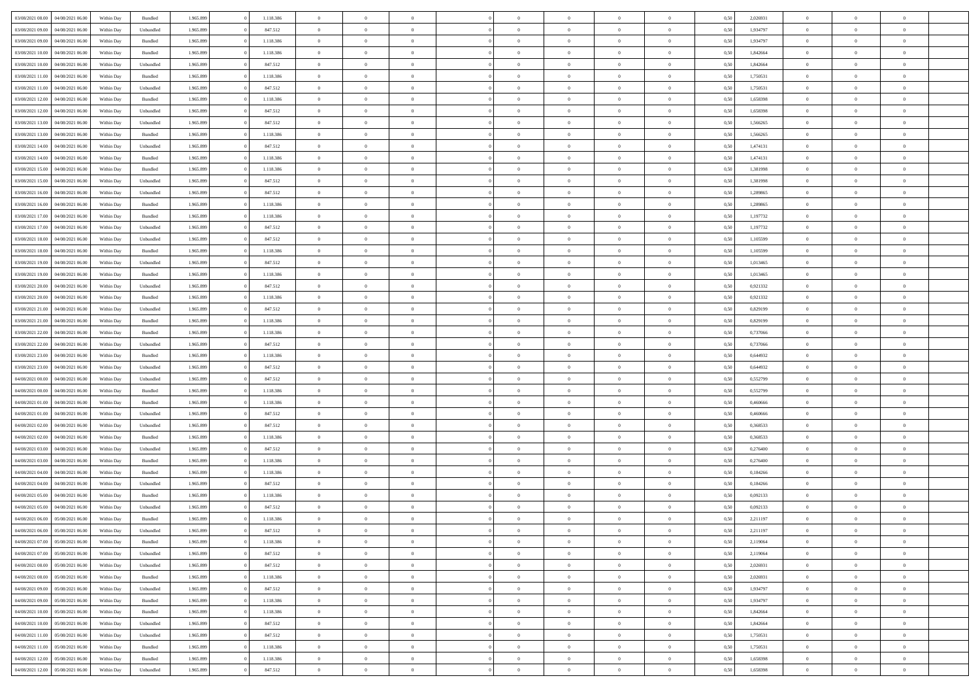| 03/08/2021 08:00                  | 04/08/2021 06:00 | Within Day | Bundled   | 1.965.899 | 1.118.386 | $\overline{0}$ | $\theta$       |                | $\Omega$       | $\Omega$       | $\theta$       | $\theta$       | 0,50 | 2,026931 | $\theta$       | $\overline{0}$ | $\theta$       |  |
|-----------------------------------|------------------|------------|-----------|-----------|-----------|----------------|----------------|----------------|----------------|----------------|----------------|----------------|------|----------|----------------|----------------|----------------|--|
|                                   |                  |            |           |           |           |                |                |                |                |                |                |                |      |          |                |                |                |  |
| 03/08/2021 09:00                  | 04/08/2021 06:00 | Within Day | Unbundled | 1.965.899 | 847.512   | $\overline{0}$ | $\theta$       | $\overline{0}$ | $\overline{0}$ | $\bf{0}$       | $\overline{0}$ | $\bf{0}$       | 0,50 | 1,934797 | $\theta$       | $\overline{0}$ | $\overline{0}$ |  |
| 03/08/2021 09:00                  | 04/08/2021 06:00 | Within Day | Bundled   | 1.965.899 | 1.118.386 | $\overline{0}$ | $\overline{0}$ | $\overline{0}$ | $\overline{0}$ | $\bf{0}$       | $\bf{0}$       | $\mathbf{0}$   | 0,50 | 1,934797 | $\bf{0}$       | $\overline{0}$ | $\bf{0}$       |  |
| 03/08/2021 10:00                  | 04/08/2021 06:00 | Within Dav | Bundled   | 1.965.899 | 1.118.386 | $\overline{0}$ | $\overline{0}$ | $\overline{0}$ | $\overline{0}$ | $\bf{0}$       | $\overline{0}$ | $\overline{0}$ | 0.50 | 1.842664 | $\theta$       | $\overline{0}$ | $\overline{0}$ |  |
| 03/08/2021 10:00                  | 04/08/2021 06:00 | Within Day | Unbundled | 1.965.899 | 847.512   | $\overline{0}$ | $\theta$       | $\overline{0}$ | $\overline{0}$ | $\bf{0}$       | $\overline{0}$ | $\bf{0}$       | 0,50 | 1,842664 | $\,$ 0 $\,$    | $\overline{0}$ | $\overline{0}$ |  |
| 03/08/2021 11:00                  | 04/08/2021 06:00 | Within Day | Bundled   | 1.965.899 | 1.118.386 | $\overline{0}$ | $\overline{0}$ | $\overline{0}$ | $\bf{0}$       | $\overline{0}$ | $\overline{0}$ | $\mathbf{0}$   | 0,50 | 1,750531 | $\bf{0}$       | $\overline{0}$ | $\bf{0}$       |  |
| 03/08/2021 11:00                  | 04/08/2021 06:00 | Within Dav | Unbundled | 1.965.899 | 847.512   | $\overline{0}$ | $\overline{0}$ | $\overline{0}$ | $\overline{0}$ | $\overline{0}$ | $\overline{0}$ | $\overline{0}$ | 0.50 | 1,750531 | $\theta$       | $\overline{0}$ | $\overline{0}$ |  |
|                                   |                  |            |           |           |           |                |                |                |                |                |                |                |      |          |                |                |                |  |
| 03/08/2021 12:00                  | 04/08/2021 06:00 | Within Day | Bundled   | 1.965.899 | 1.118.386 | $\overline{0}$ | $\theta$       | $\overline{0}$ | $\overline{0}$ | $\bf{0}$       | $\overline{0}$ | $\bf{0}$       | 0,50 | 1,658398 | $\theta$       | $\theta$       | $\overline{0}$ |  |
| 03/08/2021 12:00                  | 04/08/2021 06:00 | Within Day | Unbundled | 1.965.899 | 847.512   | $\overline{0}$ | $\overline{0}$ | $\overline{0}$ | $\bf{0}$       | $\bf{0}$       | $\bf{0}$       | $\mathbf{0}$   | 0,50 | 1,658398 | $\,0\,$        | $\overline{0}$ | $\overline{0}$ |  |
| 03/08/2021 13:00                  | 04/08/2021 06:00 | Within Dav | Unbundled | 1.965.899 | 847.512   | $\overline{0}$ | $\overline{0}$ | $\overline{0}$ | $\overline{0}$ | $\overline{0}$ | $\overline{0}$ | $\overline{0}$ | 0.50 | 1,566265 | $\theta$       | $\overline{0}$ | $\overline{0}$ |  |
| 03/08/2021 13:00                  | 04/08/2021 06:00 | Within Day | Bundled   | 1.965.899 | 1.118.386 | $\overline{0}$ | $\theta$       | $\overline{0}$ | $\overline{0}$ | $\bf{0}$       | $\overline{0}$ | $\bf{0}$       | 0,50 | 1,566265 | $\,$ 0 $\,$    | $\overline{0}$ | $\overline{0}$ |  |
| 03/08/2021 14:00                  | 04/08/2021 06:00 | Within Day | Unbundled | 1.965.899 | 847.512   | $\overline{0}$ | $\overline{0}$ | $\overline{0}$ | $\bf{0}$       | $\bf{0}$       | $\bf{0}$       | $\mathbf{0}$   | 0,50 | 1,474131 | $\bf{0}$       | $\overline{0}$ | $\bf{0}$       |  |
| 03/08/2021 14:00                  | 04/08/2021 06:00 | Within Dav | Bundled   | 1.965.899 | 1.118.386 | $\overline{0}$ | $\overline{0}$ | $\overline{0}$ | $\overline{0}$ | $\overline{0}$ | $\overline{0}$ | $\overline{0}$ | 0.50 | 1,474131 | $\theta$       | $\theta$       | $\overline{0}$ |  |
| 03/08/2021 15:00                  | 04/08/2021 06:00 | Within Day | Bundled   | 1.965.899 | 1.118.386 | $\overline{0}$ | $\theta$       | $\overline{0}$ | $\overline{0}$ | $\bf{0}$       | $\overline{0}$ | $\bf{0}$       | 0,50 | 1,381998 | $\,$ 0 $\,$    | $\overline{0}$ | $\overline{0}$ |  |
|                                   |                  |            |           |           |           |                |                |                |                |                |                |                |      |          |                |                |                |  |
| 03/08/2021 15:00                  | 04/08/2021 06:00 | Within Day | Unbundled | 1.965.899 | 847.512   | $\overline{0}$ | $\overline{0}$ | $\overline{0}$ | $\bf{0}$       | $\overline{0}$ | $\overline{0}$ | $\mathbf{0}$   | 0,50 | 1,381998 | $\overline{0}$ | $\overline{0}$ | $\bf{0}$       |  |
| 03/08/2021 16:00                  | 04/08/2021 06:00 | Within Dav | Unbundled | 1.965.899 | 847.512   | $\overline{0}$ | $\overline{0}$ | $\overline{0}$ | $\overline{0}$ | $\overline{0}$ | $\overline{0}$ | $\overline{0}$ | 0.50 | 1,289865 | $\overline{0}$ | $\overline{0}$ | $\overline{0}$ |  |
| 03/08/2021 16:00                  | 04/08/2021 06:00 | Within Day | Bundled   | 1.965.899 | 1.118.386 | $\overline{0}$ | $\theta$       | $\overline{0}$ | $\overline{0}$ | $\bf{0}$       | $\overline{0}$ | $\bf{0}$       | 0,50 | 1,289865 | $\,$ 0 $\,$    | $\overline{0}$ | $\overline{0}$ |  |
| 03/08/2021 17:00                  | 04/08/2021 06:00 | Within Day | Bundled   | 1.965.899 | 1.118.386 | $\overline{0}$ | $\overline{0}$ | $\overline{0}$ | $\bf{0}$       | $\bf{0}$       | $\bf{0}$       | $\mathbf{0}$   | 0,50 | 1,197732 | $\bf{0}$       | $\overline{0}$ | $\bf{0}$       |  |
| 03/08/2021 17:00                  | 04/08/2021 06:00 | Within Dav | Unbundled | 1.965.899 | 847.512   | $\overline{0}$ | $\overline{0}$ | $\overline{0}$ | $\overline{0}$ | $\overline{0}$ | $\overline{0}$ | $\overline{0}$ | 0.50 | 1,197732 | $\theta$       | $\overline{0}$ | $\overline{0}$ |  |
| 03/08/2021 18:00                  | 04/08/2021 06:00 | Within Day | Unbundled | 1.965.899 | 847.512   | $\overline{0}$ | $\theta$       | $\overline{0}$ | $\overline{0}$ | $\bf{0}$       | $\overline{0}$ | $\bf{0}$       | 0,50 | 1,105599 | $\,$ 0 $\,$    | $\overline{0}$ | $\overline{0}$ |  |
| 03/08/2021 18:00                  | 04/08/2021 06:00 | Within Day | Bundled   | 1.965.899 | 1.118.386 | $\overline{0}$ | $\overline{0}$ | $\overline{0}$ | $\bf{0}$       | $\bf{0}$       | $\bf{0}$       | $\mathbf{0}$   | 0,50 | 1,105599 | $\overline{0}$ | $\overline{0}$ | $\bf{0}$       |  |
| 03/08/2021 19:00                  | 04/08/2021 06:00 | Within Day | Unbundled | 1.965.899 | 847.512   | $\overline{0}$ | $\overline{0}$ | $\overline{0}$ | $\overline{0}$ | $\overline{0}$ | $\overline{0}$ | $\overline{0}$ | 0.50 | 1,013465 | $\theta$       | $\overline{0}$ | $\overline{0}$ |  |
| 03/08/2021 19:00                  | 04/08/2021 06:00 | Within Day | Bundled   | 1.965.899 | 1.118.386 | $\overline{0}$ | $\theta$       | $\overline{0}$ | $\overline{0}$ | $\bf{0}$       | $\overline{0}$ | $\bf{0}$       | 0,50 | 1,013465 | $\,$ 0 $\,$    | $\overline{0}$ | $\overline{0}$ |  |
|                                   |                  |            |           |           |           |                |                |                |                |                |                |                |      |          |                |                |                |  |
| 03/08/2021 20.00                  | 04/08/2021 06:00 | Within Day | Unbundled | 1.965.899 | 847.512   | $\overline{0}$ | $\overline{0}$ | $\overline{0}$ | $\bf{0}$       | $\overline{0}$ | $\overline{0}$ | $\mathbf{0}$   | 0,50 | 0,921332 | $\overline{0}$ | $\overline{0}$ | $\bf{0}$       |  |
| 03/08/2021 20:00                  | 04/08/2021 06:00 | Within Dav | Bundled   | 1.965.899 | 1.118.386 | $\overline{0}$ | $\overline{0}$ | $\overline{0}$ | $\overline{0}$ | $\overline{0}$ | $\overline{0}$ | $\overline{0}$ | 0.50 | 0.921332 | $\overline{0}$ | $\overline{0}$ | $\overline{0}$ |  |
| 03/08/2021 21:00                  | 04/08/2021 06:00 | Within Day | Unbundled | 1.965.899 | 847.512   | $\overline{0}$ | $\theta$       | $\overline{0}$ | $\overline{0}$ | $\bf{0}$       | $\overline{0}$ | $\bf{0}$       | 0,50 | 0,829199 | $\,$ 0 $\,$    | $\overline{0}$ | $\overline{0}$ |  |
| 03/08/2021 21.00                  | 04/08/2021 06:00 | Within Day | Bundled   | 1.965.899 | 1.118.386 | $\overline{0}$ | $\overline{0}$ | $\overline{0}$ | $\bf{0}$       | $\bf{0}$       | $\bf{0}$       | $\mathbf{0}$   | 0,50 | 0,829199 | $\,0\,$        | $\overline{0}$ | $\bf{0}$       |  |
| 03/08/2021 22.00                  | 04/08/2021 06:00 | Within Day | Bundled   | 1.965.899 | 1.118.386 | $\overline{0}$ | $\overline{0}$ | $\overline{0}$ | $\overline{0}$ | $\overline{0}$ | $\overline{0}$ | $\overline{0}$ | 0.50 | 0,737066 | $\theta$       | $\overline{0}$ | $\overline{0}$ |  |
| 03/08/2021 22:00                  | 04/08/2021 06:00 | Within Day | Unbundled | 1.965.899 | 847.512   | $\overline{0}$ | $\overline{0}$ | $\overline{0}$ | $\overline{0}$ | $\bf{0}$       | $\overline{0}$ | $\bf{0}$       | 0,50 | 0,737066 | $\,$ 0 $\,$    | $\overline{0}$ | $\overline{0}$ |  |
| 03/08/2021 23.00                  | 04/08/2021 06:00 | Within Day | Bundled   | 1.965.899 | 1.118.386 | $\overline{0}$ | $\overline{0}$ | $\overline{0}$ | $\bf{0}$       | $\bf{0}$       | $\bf{0}$       | $\bf{0}$       | 0,50 | 0,644932 | $\overline{0}$ | $\overline{0}$ | $\bf{0}$       |  |
| 03/08/2021 23:00                  | 04/08/2021 06:00 | Within Day | Unbundled | 1.965.899 | 847.512   | $\overline{0}$ | $\theta$       | $\overline{0}$ | $\Omega$       | $\Omega$       | $\overline{0}$ | $\overline{0}$ | 0,50 | 0.644932 | $\,0\,$        | $\theta$       | $\theta$       |  |
| 04/08/2021 00:00                  | 04/08/2021 06:00 |            |           | 1.965.899 | 847.512   | $\overline{0}$ | $\overline{0}$ | $\overline{0}$ | $\overline{0}$ | $\bf{0}$       | $\overline{0}$ |                |      | 0,552799 | $\,$ 0 $\,$    | $\overline{0}$ | $\overline{0}$ |  |
|                                   |                  | Within Day | Unbundled |           |           |                |                |                |                |                |                | $\bf{0}$       | 0,50 |          |                |                |                |  |
| 04/08/2021 00:00                  | 04/08/2021 06:00 | Within Day | Bundled   | 1.965.899 | 1.118.386 | $\overline{0}$ | $\overline{0}$ | $\overline{0}$ | $\bf{0}$       | $\overline{0}$ | $\overline{0}$ | $\mathbf{0}$   | 0,50 | 0,552799 | $\overline{0}$ | $\overline{0}$ | $\bf{0}$       |  |
| 04/08/2021 01:00                  | 04/08/2021 06:00 | Within Day | Bundled   | 1.965.899 | 1.118.386 | $\overline{0}$ | $\Omega$       | $\overline{0}$ | $\Omega$       | $\overline{0}$ | $\overline{0}$ | $\overline{0}$ | 0.50 | 0.460666 | $\,0\,$        | $\theta$       | $\theta$       |  |
| 04/08/2021 01:00                  | 04/08/2021 06:00 | Within Day | Unbundled | 1.965.899 | 847.512   | $\overline{0}$ | $\theta$       | $\overline{0}$ | $\overline{0}$ | $\bf{0}$       | $\overline{0}$ | $\bf{0}$       | 0,50 | 0,460666 | $\,$ 0 $\,$    | $\overline{0}$ | $\overline{0}$ |  |
| 04/08/2021 02.00                  | 04/08/2021 06:00 | Within Day | Unbundled | 1.965.899 | 847.512   | $\overline{0}$ | $\overline{0}$ | $\overline{0}$ | $\bf{0}$       | $\bf{0}$       | $\bf{0}$       | $\mathbf{0}$   | 0,50 | 0,368533 | $\bf{0}$       | $\overline{0}$ | $\bf{0}$       |  |
| 04/08/2021 02:00                  | 04/08/2021 06:00 | Within Day | Bundled   | 1.965.899 | 1.118.386 | $\overline{0}$ | $\Omega$       | $\overline{0}$ | $\Omega$       | $\overline{0}$ | $\overline{0}$ | $\overline{0}$ | 0.50 | 0.368533 | $\,$ 0 $\,$    | $\theta$       | $\theta$       |  |
| 04/08/2021 03:00                  | 04/08/2021 06:00 | Within Day | Unbundled | 1.965.899 | 847.512   | $\overline{0}$ | $\overline{0}$ | $\overline{0}$ | $\overline{0}$ | $\,$ 0         | $\overline{0}$ | $\bf{0}$       | 0,50 | 0,276400 | $\,$ 0 $\,$    | $\overline{0}$ | $\overline{0}$ |  |
| 04/08/2021 03:00                  | 04/08/2021 06:00 | Within Day | Bundled   | 1.965.899 | 1.118.386 | $\overline{0}$ | $\overline{0}$ | $\overline{0}$ | $\bf{0}$       | $\bf{0}$       | $\overline{0}$ | $\mathbf{0}$   | 0,50 | 0,276400 | $\overline{0}$ | $\overline{0}$ | $\bf{0}$       |  |
| 04/08/2021 04:00                  | 04/08/2021 06:00 | Within Day | Bundled   | 1.965.899 | 1.118.386 | $\overline{0}$ | $\Omega$       | $\overline{0}$ | $\Omega$       | $\overline{0}$ | $\overline{0}$ | $\overline{0}$ | 0,50 | 0,184266 | $\,0\,$        | $\theta$       | $\theta$       |  |
|                                   |                  |            |           |           |           |                | $\overline{0}$ |                |                |                |                |                |      |          |                |                |                |  |
| 04/08/2021 04:00                  | 04/08/2021 06:00 | Within Day | Unbundled | 1.965.899 | 847.512   | $\overline{0}$ |                | $\overline{0}$ | $\overline{0}$ | $\,$ 0         | $\overline{0}$ | $\bf{0}$       | 0,50 | 0,184266 | $\,$ 0 $\,$    | $\overline{0}$ | $\overline{0}$ |  |
| 04/08/2021 05:00                  | 04/08/2021 06:00 | Within Day | Bundled   | 1.965.899 | 1.118.386 | $\overline{0}$ | $\overline{0}$ | $\overline{0}$ | $\bf{0}$       | $\bf{0}$       | $\overline{0}$ | $\mathbf{0}$   | 0,50 | 0,092133 | $\overline{0}$ | $\overline{0}$ | $\bf{0}$       |  |
| 04/08/2021 05:00                  | 04/08/2021 06:00 | Within Day | Unbundled | 1.965.899 | 847.512   | $\overline{0}$ | $\Omega$       | $\Omega$       | $\Omega$       | $\Omega$       | $\Omega$       | $\overline{0}$ | 0.50 | 0.092133 | $\theta$       | $\theta$       | $\theta$       |  |
| 04/08/2021 06:00                  | 05/08/2021 06:00 | Within Day | Bundled   | 1.965.899 | 1.118.386 | $\overline{0}$ | $\overline{0}$ | $\overline{0}$ | $\bf{0}$       | $\,$ 0         | $\bf{0}$       | $\bf{0}$       | 0,50 | 2,211197 | $\,0\,$        | $\,$ 0 $\,$    | $\overline{0}$ |  |
| 04/08/2021 06:00 05/08/2021 06:00 |                  | Within Day | Unbundled | 1.965.899 | 847.512   | $\bf{0}$       | $\bf{0}$       |                |                | $\bf{0}$       |                |                | 0,50 | 2,211197 | $\bf{0}$       | $\overline{0}$ |                |  |
| 04/08/2021 07:00                  | 05/08/2021 06:00 | Within Day | Bundled   | 1.965.899 | 1.118.386 | $\overline{0}$ | $\overline{0}$ | $\overline{0}$ | $\Omega$       | $\overline{0}$ | $\overline{0}$ | $\overline{0}$ | 0,50 | 2,119064 | $\theta$       | $\theta$       | $\theta$       |  |
| 04/08/2021 07:00                  | 05/08/2021 06:00 | Within Day | Unbundled | 1.965.899 | 847.512   | $\overline{0}$ | $\bf{0}$       | $\overline{0}$ | $\bf{0}$       | $\,$ 0 $\,$    | $\overline{0}$ | $\,$ 0 $\,$    | 0,50 | 2,119064 | $\,$ 0 $\,$    | $\,$ 0 $\,$    | $\,$ 0         |  |
| 04/08/2021 08:00                  | 05/08/2021 06:00 | Within Day | Unbundled | 1.965.899 | 847.512   | $\overline{0}$ | $\overline{0}$ | $\overline{0}$ | $\overline{0}$ | $\overline{0}$ | $\overline{0}$ | $\mathbf{0}$   | 0,50 | 2,026931 | $\overline{0}$ | $\bf{0}$       | $\overline{0}$ |  |
| 04/08/2021 08:00                  | 05/08/2021 06:00 | Within Day |           | 1.965.899 | 1.118.386 | $\overline{0}$ | $\overline{0}$ | $\overline{0}$ | $\Omega$       | $\overline{0}$ | $\overline{0}$ | $\overline{0}$ | 0,50 | 2,026931 | $\overline{0}$ | $\overline{0}$ | $\overline{0}$ |  |
|                                   |                  |            | Bundled   |           |           |                |                |                |                |                |                |                |      |          |                |                |                |  |
| 04/08/2021 09:00                  | 05/08/2021 06:00 | Within Day | Unbundled | 1.965.899 | 847.512   | $\overline{0}$ | $\,$ 0         | $\overline{0}$ | $\bf{0}$       | $\,$ 0 $\,$    | $\overline{0}$ | $\,$ 0 $\,$    | 0,50 | 1,934797 | $\,$ 0 $\,$    | $\overline{0}$ | $\,$ 0         |  |
| 04/08/2021 09:00                  | 05/08/2021 06:00 | Within Day | Bundled   | 1.965.899 | 1.118.386 | $\overline{0}$ | $\overline{0}$ | $\overline{0}$ | $\overline{0}$ | $\overline{0}$ | $\overline{0}$ | $\mathbf{0}$   | 0,50 | 1,934797 | $\overline{0}$ | $\overline{0}$ | $\overline{0}$ |  |
| 04/08/2021 10:00                  | 05/08/2021 06:00 | Within Day | Bundled   | 1.965.899 | 1.118.386 | $\overline{0}$ | $\overline{0}$ | $\overline{0}$ | $\overline{0}$ | $\overline{0}$ | $\overline{0}$ | $\overline{0}$ | 0.50 | 1,842664 | $\overline{0}$ | $\theta$       | $\overline{0}$ |  |
| 04/08/2021 10:00                  | 05/08/2021 06:00 | Within Day | Unbundled | 1.965.899 | 847.512   | $\overline{0}$ | $\,$ 0         | $\overline{0}$ | $\bf{0}$       | $\bf{0}$       | $\overline{0}$ | $\bf{0}$       | 0,50 | 1,842664 | $\,$ 0 $\,$    | $\overline{0}$ | $\overline{0}$ |  |
| 04/08/2021 11:00                  | 05/08/2021 06:00 | Within Day | Unbundled | 1.965.899 | 847.512   | $\overline{0}$ | $\bf{0}$       | $\overline{0}$ | $\overline{0}$ | $\overline{0}$ | $\overline{0}$ | $\mathbf{0}$   | 0,50 | 1,750531 | $\overline{0}$ | $\overline{0}$ | $\bf{0}$       |  |
| 04/08/2021 11:00                  | 05/08/2021 06:00 | Within Day | Bundled   | 1.965.899 | 1.118.386 | $\overline{0}$ | $\overline{0}$ | $\overline{0}$ | $\Omega$       | $\overline{0}$ | $\overline{0}$ | $\overline{0}$ | 0.50 | 1,750531 | $\overline{0}$ | $\overline{0}$ | $\overline{0}$ |  |
| 04/08/2021 12:00                  | 05/08/2021 06:00 | Within Day | Bundled   | 1.965.899 | 1.118.386 | $\overline{0}$ | $\bf{0}$       | $\overline{0}$ | $\bf{0}$       | $\bf{0}$       | $\overline{0}$ | $\mathbf{0}$   | 0,50 | 1,658398 | $\,$ 0 $\,$    | $\,$ 0 $\,$    | $\bf{0}$       |  |
|                                   |                  |            |           |           |           |                |                |                |                |                |                |                |      |          |                |                |                |  |
| 04/08/2021 12:00                  | 05/08/2021 06:00 | Within Day | Unbundled | 1.965.899 | 847.512   | $\overline{0}$ | $\overline{0}$ | $\overline{0}$ | $\overline{0}$ | $\overline{0}$ | $\overline{0}$ | $\mathbf{0}$   | 0,50 | 1,658398 | $\overline{0}$ | $\bf{0}$       | $\overline{0}$ |  |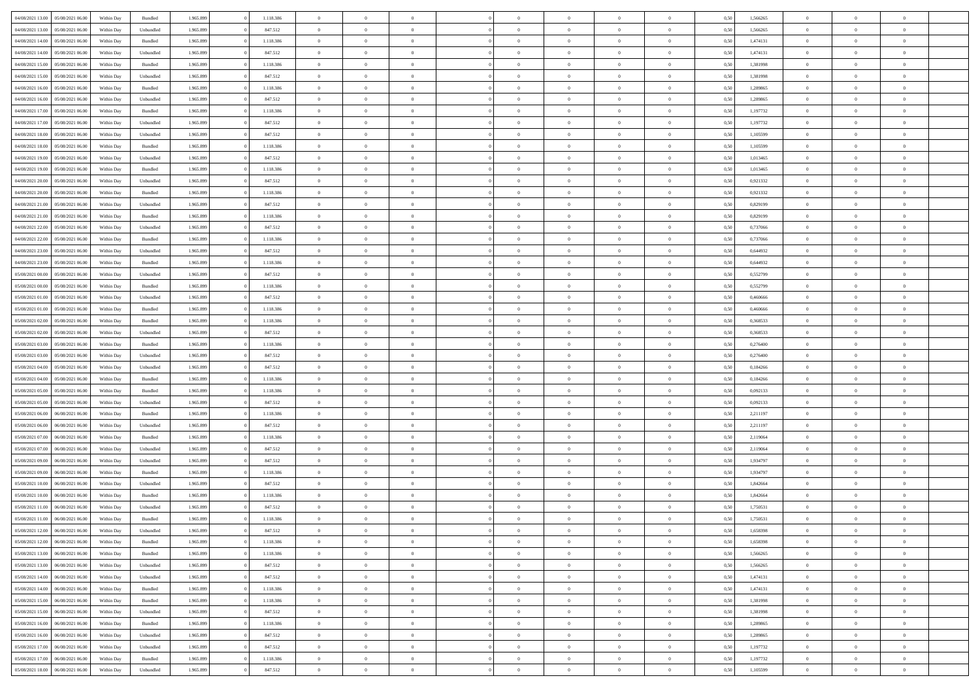| 04/08/2021 13:00                  | 05/08/2021 06:00 | Within Day | Bundled   | 1.965.899 | 1.118.386 | $\overline{0}$ | $\Omega$       |                | $\Omega$       | $\Omega$       | $\Omega$       | $\theta$       | 0,50 | 1,566265 | $\theta$       | $\theta$       | $\theta$       |  |
|-----------------------------------|------------------|------------|-----------|-----------|-----------|----------------|----------------|----------------|----------------|----------------|----------------|----------------|------|----------|----------------|----------------|----------------|--|
| 04/08/2021 13:00                  | 05/08/2021 06:00 | Within Day | Unbundled | 1.965.899 | 847.512   | $\overline{0}$ | $\theta$       | $\overline{0}$ | $\overline{0}$ | $\bf{0}$       | $\overline{0}$ | $\bf{0}$       | 0,50 | 1,566265 | $\theta$       | $\theta$       | $\overline{0}$ |  |
| 04/08/2021 14:00                  | 05/08/2021 06:00 | Within Day | Bundled   | 1.965.899 | 1.118.386 | $\overline{0}$ | $\overline{0}$ | $\overline{0}$ | $\overline{0}$ | $\bf{0}$       | $\overline{0}$ | $\mathbf{0}$   | 0,50 | 1,474131 | $\overline{0}$ | $\overline{0}$ | $\overline{0}$ |  |
| 04/08/2021 14:00                  | 05/08/2021 06:00 | Within Dav | Unbundled | 1.965.899 | 847.512   | $\overline{0}$ | $\overline{0}$ | $\overline{0}$ | $\overline{0}$ | $\bf{0}$       | $\overline{0}$ | $\overline{0}$ | 0.50 | 1,474131 | $\theta$       | $\theta$       | $\overline{0}$ |  |
|                                   |                  |            |           |           |           |                |                |                |                |                |                |                |      |          |                |                |                |  |
| 04/08/2021 15:00                  | 05/08/2021 06:00 | Within Day | Bundled   | 1.965.899 | 1.118.386 | $\overline{0}$ | $\theta$       | $\overline{0}$ | $\overline{0}$ | $\bf{0}$       | $\overline{0}$ | $\bf{0}$       | 0,50 | 1,381998 | $\theta$       | $\overline{0}$ | $\overline{0}$ |  |
| 04/08/2021 15:00                  | 05/08/2021 06:00 | Within Day | Unbundled | 1.965.899 | 847.512   | $\overline{0}$ | $\bf{0}$       | $\overline{0}$ | $\overline{0}$ | $\overline{0}$ | $\overline{0}$ | $\mathbf{0}$   | 0,50 | 1,381998 | $\overline{0}$ | $\overline{0}$ | $\bf{0}$       |  |
| 04/08/2021 16:00                  | 05/08/2021 06:00 | Within Dav | Bundled   | 1.965.899 | 1.118.386 | $\overline{0}$ | $\overline{0}$ | $\overline{0}$ | $\overline{0}$ | $\overline{0}$ | $\overline{0}$ | $\overline{0}$ | 0.50 | 1,289865 | $\theta$       | $\overline{0}$ | $\overline{0}$ |  |
| 04/08/2021 16:00                  | 05/08/2021 06:00 | Within Day | Unbundled | 1.965.899 | 847.512   | $\overline{0}$ | $\theta$       | $\overline{0}$ | $\overline{0}$ | $\bf{0}$       | $\overline{0}$ | $\bf{0}$       | 0,50 | 1,289865 | $\theta$       | $\theta$       | $\overline{0}$ |  |
| 04/08/2021 17.00                  | 05/08/2021 06:00 | Within Day | Bundled   | 1.965.899 | 1.118.386 | $\overline{0}$ | $\overline{0}$ | $\overline{0}$ | $\overline{0}$ | $\bf{0}$       | $\overline{0}$ | $\mathbf{0}$   | 0,50 | 1,197732 | $\,0\,$        | $\overline{0}$ | $\overline{0}$ |  |
| 04/08/2021 17:00                  | 05/08/2021 06:00 | Within Dav | Unbundled | 1.965.899 | 847.512   | $\overline{0}$ | $\overline{0}$ | $\overline{0}$ | $\overline{0}$ | $\overline{0}$ | $\overline{0}$ | $\overline{0}$ | 0.50 | 1,197732 | $\theta$       | $\overline{0}$ | $\overline{0}$ |  |
|                                   |                  |            |           |           |           |                |                |                |                |                |                |                |      |          |                |                |                |  |
| 04/08/2021 18:00                  | 05/08/2021 06:00 | Within Day | Unbundled | 1.965.899 | 847.512   | $\overline{0}$ | $\theta$       | $\overline{0}$ | $\overline{0}$ | $\bf{0}$       | $\overline{0}$ | $\bf{0}$       | 0,50 | 1,105599 | $\,$ 0 $\,$    | $\overline{0}$ | $\overline{0}$ |  |
| 04/08/2021 18:00                  | 05/08/2021 06:00 | Within Day | Bundled   | 1.965.899 | 1.118.386 | $\overline{0}$ | $\overline{0}$ | $\overline{0}$ | $\overline{0}$ | $\bf{0}$       | $\overline{0}$ | $\mathbf{0}$   | 0,50 | 1,105599 | $\overline{0}$ | $\overline{0}$ | $\overline{0}$ |  |
| 04/08/2021 19:00                  | 05/08/2021 06:00 | Within Day | Unbundled | 1.965.899 | 847.512   | $\overline{0}$ | $\overline{0}$ | $\overline{0}$ | $\overline{0}$ | $\bf{0}$       | $\overline{0}$ | $\overline{0}$ | 0.50 | 1.013465 | $\theta$       | $\theta$       | $\overline{0}$ |  |
| 04/08/2021 19:00                  | 05/08/2021 06:00 | Within Day | Bundled   | 1.965.899 | 1.118.386 | $\overline{0}$ | $\theta$       | $\overline{0}$ | $\overline{0}$ | $\bf{0}$       | $\overline{0}$ | $\bf{0}$       | 0,50 | 1,013465 | $\theta$       | $\overline{0}$ | $\overline{0}$ |  |
| 04/08/2021 20.00                  | 05/08/2021 06:00 | Within Day | Unbundled | 1.965.899 | 847.512   | $\overline{0}$ | $\overline{0}$ | $\overline{0}$ | $\bf{0}$       | $\overline{0}$ | $\overline{0}$ | $\mathbf{0}$   | 0,50 | 0,921332 | $\bf{0}$       | $\overline{0}$ | $\bf{0}$       |  |
| 04/08/2021 20:00                  | 05/08/2021 06:00 | Within Dav | Bundled   | 1.965.899 | 1.118.386 | $\overline{0}$ | $\overline{0}$ | $\overline{0}$ | $\overline{0}$ | $\overline{0}$ | $\overline{0}$ | $\overline{0}$ | 0.50 | 0.921332 | $\theta$       | $\overline{0}$ | $\overline{0}$ |  |
|                                   |                  |            |           |           |           |                |                |                |                |                |                |                |      |          |                |                |                |  |
| 04/08/2021 21:00                  | 05/08/2021 06:00 | Within Day | Unbundled | 1.965.899 | 847.512   | $\overline{0}$ | $\theta$       | $\overline{0}$ | $\overline{0}$ | $\bf{0}$       | $\overline{0}$ | $\bf{0}$       | 0,50 | 0,829199 | $\,$ 0 $\,$    | $\theta$       | $\overline{0}$ |  |
| 04/08/2021 21.00                  | 05/08/2021 06:00 | Within Day | Bundled   | 1.965.899 | 1.118.386 | $\overline{0}$ | $\overline{0}$ | $\overline{0}$ | $\bf{0}$       | $\bf{0}$       | $\bf{0}$       | $\mathbf{0}$   | 0,50 | 0,829199 | $\,0\,$        | $\overline{0}$ | $\overline{0}$ |  |
| 04/08/2021 22:00                  | 05/08/2021 06:00 | Within Day | Unbundled | 1.965.899 | 847.512   | $\overline{0}$ | $\overline{0}$ | $\overline{0}$ | $\overline{0}$ | $\overline{0}$ | $\overline{0}$ | $\overline{0}$ | 0.50 | 0,737066 | $\theta$       | $\overline{0}$ | $\overline{0}$ |  |
| 04/08/2021 22.00                  | 05/08/2021 06:00 | Within Day | Bundled   | 1.965.899 | 1.118.386 | $\overline{0}$ | $\theta$       | $\overline{0}$ | $\overline{0}$ | $\bf{0}$       | $\overline{0}$ | $\bf{0}$       | 0,50 | 0,737066 | $\,$ 0 $\,$    | $\overline{0}$ | $\overline{0}$ |  |
| 04/08/2021 23.00                  | 05/08/2021 06:00 | Within Day | Unbundled | 1.965.899 | 847.512   | $\overline{0}$ | $\overline{0}$ | $\overline{0}$ | $\bf{0}$       | $\bf{0}$       | $\bf{0}$       | $\mathbf{0}$   | 0,50 | 0,644932 | $\bf{0}$       | $\overline{0}$ | $\overline{0}$ |  |
| 04/08/2021 23:00                  | 05/08/2021 06:00 | Within Day | Bundled   | 1.965.899 | 1.118.386 | $\overline{0}$ | $\overline{0}$ | $\overline{0}$ | $\overline{0}$ | $\bf{0}$       | $\overline{0}$ | $\overline{0}$ | 0.50 | 0,644932 | $\theta$       | $\overline{0}$ | $\overline{0}$ |  |
|                                   |                  |            |           |           |           |                |                |                |                |                |                |                |      |          |                |                |                |  |
| 05/08/2021 00:00                  | 05/08/2021 06:00 | Within Day | Unbundled | 1.965.899 | 847.512   | $\overline{0}$ | $\theta$       | $\overline{0}$ | $\overline{0}$ | $\bf{0}$       | $\overline{0}$ | $\bf{0}$       | 0,50 | 0,552799 | $\,$ 0 $\,$    | $\overline{0}$ | $\overline{0}$ |  |
| 05/08/2021 00:00                  | 05/08/2021 06:00 | Within Day | Bundled   | 1.965.899 | 1.118.386 | $\overline{0}$ | $\overline{0}$ | $\overline{0}$ | $\bf{0}$       | $\overline{0}$ | $\overline{0}$ | $\mathbf{0}$   | 0,50 | 0,552799 | $\bf{0}$       | $\overline{0}$ | $\bf{0}$       |  |
| 05/08/2021 01:00                  | 05/08/2021 06:00 | Within Dav | Unbundled | 1.965.899 | 847.512   | $\overline{0}$ | $\overline{0}$ | $\overline{0}$ | $\overline{0}$ | $\overline{0}$ | $\overline{0}$ | $\overline{0}$ | 0.50 | 0.460666 | $\theta$       | $\overline{0}$ | $\overline{0}$ |  |
| 05/08/2021 01:00                  | 05/08/2021 06:00 | Within Day | Bundled   | 1.965.899 | 1.118.386 | $\overline{0}$ | $\theta$       | $\overline{0}$ | $\overline{0}$ | $\bf{0}$       | $\overline{0}$ | $\bf{0}$       | 0,50 | 0,460666 | $\theta$       | $\theta$       | $\overline{0}$ |  |
| 05/08/2021 02:00                  | 05/08/2021 06:00 | Within Day | Bundled   | 1.965.899 | 1.118.386 | $\overline{0}$ | $\overline{0}$ | $\overline{0}$ | $\bf{0}$       | $\bf{0}$       | $\bf{0}$       | $\bf{0}$       | 0,50 | 0,368533 | $\,0\,$        | $\overline{0}$ | $\overline{0}$ |  |
| 05/08/2021 02:00                  | 05/08/2021 06:00 | Within Day | Unbundled | 1.965.899 | 847.512   | $\overline{0}$ | $\overline{0}$ | $\overline{0}$ | $\overline{0}$ | $\overline{0}$ | $\overline{0}$ | $\overline{0}$ | 0.50 | 0,368533 | $\theta$       | $\overline{0}$ | $\overline{0}$ |  |
| 05/08/2021 03:00                  | 05/08/2021 06:00 |            | Bundled   | 1.965.899 | 1.118.386 | $\overline{0}$ | $\theta$       | $\overline{0}$ | $\overline{0}$ | $\bf{0}$       | $\overline{0}$ |                |      | 0,276400 | $\,$ 0 $\,$    | $\overline{0}$ | $\overline{0}$ |  |
|                                   |                  | Within Day |           |           |           |                |                |                |                |                |                | $\bf{0}$       | 0,50 |          |                |                |                |  |
| 05/08/2021 03:00                  | 05/08/2021 06:00 | Within Day | Unbundled | 1.965.899 | 847.512   | $\overline{0}$ | $\overline{0}$ | $\overline{0}$ | $\bf{0}$       | $\bf{0}$       | $\bf{0}$       | $\bf{0}$       | 0,50 | 0,276400 | $\overline{0}$ | $\overline{0}$ | $\overline{0}$ |  |
| 05/08/2021 04:00                  | 05/08/2021 06:00 | Within Day | Unbundled | 1.965.899 | 847.512   | $\overline{0}$ | $\Omega$       | $\overline{0}$ | $\Omega$       | $\Omega$       | $\overline{0}$ | $\overline{0}$ | 0,50 | 0,184266 | $\,0\,$        | $\theta$       | $\theta$       |  |
| 05/08/2021 04:00                  | 05/08/2021 06:00 | Within Day | Bundled   | 1.965.899 | 1.118.386 | $\overline{0}$ | $\theta$       | $\overline{0}$ | $\overline{0}$ | $\bf{0}$       | $\overline{0}$ | $\bf{0}$       | 0,50 | 0,184266 | $\,$ 0 $\,$    | $\theta$       | $\overline{0}$ |  |
| 05/08/2021 05:00                  | 05/08/2021 06:00 | Within Day | Bundled   | 1.965.899 | 1.118.386 | $\overline{0}$ | $\overline{0}$ | $\overline{0}$ | $\bf{0}$       | $\bf{0}$       | $\overline{0}$ | $\mathbf{0}$   | 0,50 | 0,092133 | $\overline{0}$ | $\overline{0}$ | $\bf{0}$       |  |
| 05/08/2021 05:00                  | 05/08/2021 06:00 | Within Day | Unbundled | 1.965.899 | 847.512   | $\overline{0}$ | $\Omega$       | $\Omega$       | $\Omega$       | $\bf{0}$       | $\overline{0}$ | $\overline{0}$ | 0.50 | 0.092133 | $\,0\,$        | $\theta$       | $\theta$       |  |
| 05/08/2021 06:00                  | 06/08/2021 06:00 | Within Day | Bundled   | 1.965.899 | 1.118.386 | $\overline{0}$ | $\theta$       | $\overline{0}$ | $\overline{0}$ | $\bf{0}$       | $\overline{0}$ | $\bf{0}$       | 0,50 | 2,211197 | $\,$ 0 $\,$    | $\overline{0}$ | $\overline{0}$ |  |
|                                   |                  |            |           |           |           |                |                |                |                |                |                |                |      |          |                |                |                |  |
| 05/08/2021 06:00                  | 06/08/2021 06:00 | Within Day | Unbundled | 1.965.899 | 847.512   | $\overline{0}$ | $\overline{0}$ | $\overline{0}$ | $\bf{0}$       | $\bf{0}$       | $\bf{0}$       | $\mathbf{0}$   | 0,50 | 2,211197 | $\bf{0}$       | $\overline{0}$ | $\overline{0}$ |  |
| 05/08/2021 07:00                  | 06/08/2021 06:00 | Within Day | Bundled   | 1.965.899 | 1.118.386 | $\overline{0}$ | $\Omega$       | $\overline{0}$ | $\Omega$       | $\overline{0}$ | $\overline{0}$ | $\overline{0}$ | 0.50 | 2,119064 | $\,$ 0 $\,$    | $\theta$       | $\theta$       |  |
| 05/08/2021 07:00                  | 06/08/2021 06:00 | Within Day | Unbundled | 1.965.899 | 847.512   | $\overline{0}$ | $\theta$       | $\overline{0}$ | $\overline{0}$ | $\,$ 0         | $\overline{0}$ | $\bf{0}$       | 0,50 | 2,119064 | $\,$ 0 $\,$    | $\overline{0}$ | $\overline{0}$ |  |
| 05/08/2021 09:00                  | 06/08/2021 06:00 | Within Day | Unbundled | 1.965.899 | 847.512   | $\overline{0}$ | $\overline{0}$ | $\overline{0}$ | $\overline{0}$ | $\bf{0}$       | $\overline{0}$ | $\mathbf{0}$   | 0,50 | 1,934797 | $\bf{0}$       | $\overline{0}$ | $\overline{0}$ |  |
| 05/08/2021 09:00                  | 06/08/2021 06:00 | Within Day | Bundled   | 1.965.899 | 1.118.386 | $\overline{0}$ | $\Omega$       | $\overline{0}$ | $\Omega$       | $\overline{0}$ | $\overline{0}$ | $\overline{0}$ | 0,50 | 1,934797 | $\,0\,$        | $\theta$       | $\theta$       |  |
| 05/08/2021 10:00                  | 06/08/2021 06:00 | Within Day | Unbundled | 1.965.899 | 847.512   | $\overline{0}$ | $\theta$       | $\overline{0}$ | $\overline{0}$ | $\,$ 0         | $\overline{0}$ | $\bf{0}$       | 0,50 | 1,842664 | $\,$ 0 $\,$    | $\overline{0}$ | $\overline{0}$ |  |
| 05/08/2021 10:00                  | 06/08/2021 06:00 | Within Day | Bundled   | 1.965.899 | 1.118.386 | $\overline{0}$ | $\bf{0}$       | $\overline{0}$ | $\overline{0}$ | $\bf{0}$       | $\overline{0}$ | $\mathbf{0}$   | 0,50 | 1,842664 | $\bf{0}$       | $\overline{0}$ | $\bf{0}$       |  |
|                                   | 06/08/2021 06:00 |            |           |           |           | $\overline{0}$ | $\Omega$       | $\Omega$       | $\Omega$       | $\Omega$       | $\Omega$       |                |      |          | $\theta$       |                | $\theta$       |  |
| 05/08/2021 11:00                  |                  | Within Day | Unbundled | 1.965.899 | 847.512   |                |                |                |                |                |                | $\overline{0}$ | 0.50 | 1,750531 |                | $\theta$       |                |  |
| 05/08/2021 11:00                  | 06/08/2021 06:00 | Within Day | Bundled   | 1.965.899 | 1.118.386 | $\overline{0}$ | $\overline{0}$ | $\overline{0}$ | $\bf{0}$       | $\,$ 0         | $\overline{0}$ | $\bf{0}$       | 0,50 | 1,750531 | $\,0\,$        | $\overline{0}$ | $\overline{0}$ |  |
| 05/08/2021 12:00 06/08/2021 06:00 |                  | Within Day | Unbundled | 1.965.899 | 847.512   | $\bf{0}$       | $\bf{0}$       |                |                |                |                |                | 0,50 | 1,658398 | $\bf{0}$       | $\overline{0}$ |                |  |
| 05/08/2021 12:00                  | 06/08/2021 06:00 | Within Day | Bundled   | 1.965.899 | 1.118.386 | $\overline{0}$ | $\overline{0}$ | $\overline{0}$ | $\Omega$       | $\overline{0}$ | $\overline{0}$ | $\overline{0}$ | 0,50 | 1,658398 | $\theta$       | $\theta$       | $\theta$       |  |
| 05/08/2021 13:00                  | 06/08/2021 06:00 | Within Day | Bundled   | 1.965.899 | 1.118.386 | $\overline{0}$ | $\bf{0}$       | $\overline{0}$ | $\overline{0}$ | $\,$ 0 $\,$    | $\overline{0}$ | $\,$ 0 $\,$    | 0,50 | 1,566265 | $\,$ 0 $\,$    | $\,$ 0 $\,$    | $\,$ 0         |  |
| 05/08/2021 13:00                  | 06/08/2021 06:00 | Within Day | Unbundled | 1.965.899 | 847.512   | $\overline{0}$ | $\overline{0}$ | $\overline{0}$ | $\overline{0}$ | $\overline{0}$ | $\overline{0}$ | $\mathbf{0}$   | 0,50 | 1,566265 | $\overline{0}$ | $\bf{0}$       | $\overline{0}$ |  |
| 05/08/2021 14:00                  | 06/08/2021 06:00 | Within Day | Unbundled | 1.965.899 | 847.512   | $\overline{0}$ | $\overline{0}$ | $\overline{0}$ | $\Omega$       | $\overline{0}$ | $\overline{0}$ | $\overline{0}$ | 0,50 | 1,474131 | $\overline{0}$ | $\overline{0}$ | $\overline{0}$ |  |
|                                   |                  |            |           |           |           |                | $\,$ 0         |                |                | $\,$ 0 $\,$    |                |                |      |          | $\,$ 0 $\,$    | $\overline{0}$ | $\,$ 0         |  |
| 05/08/2021 14:00                  | 06/08/2021 06:00 | Within Day | Bundled   | 1.965.899 | 1.118.386 | $\overline{0}$ |                | $\overline{0}$ | $\overline{0}$ |                | $\overline{0}$ | $\,$ 0 $\,$    | 0,50 | 1,474131 |                |                |                |  |
| 05/08/2021 15:00                  | 06/08/2021 06:00 | Within Day | Bundled   | 1.965.899 | 1.118.386 | $\overline{0}$ | $\overline{0}$ | $\overline{0}$ | $\overline{0}$ | $\overline{0}$ | $\overline{0}$ | $\mathbf{0}$   | 0,50 | 1,381998 | $\overline{0}$ | $\overline{0}$ | $\bf{0}$       |  |
| 05/08/2021 15:00                  | 06/08/2021 06:00 | Within Day | Unbundled | 1.965.899 | 847.512   | $\overline{0}$ | $\overline{0}$ | $\overline{0}$ | $\overline{0}$ | $\overline{0}$ | $\overline{0}$ | $\overline{0}$ | 0.50 | 1,381998 | $\overline{0}$ | $\theta$       | $\overline{0}$ |  |
| 05/08/2021 16:00                  | 06/08/2021 06:00 | Within Day | Bundled   | 1.965.899 | 1.118.386 | $\overline{0}$ | $\,$ 0         | $\overline{0}$ | $\overline{0}$ | $\bf{0}$       | $\overline{0}$ | $\bf{0}$       | 0,50 | 1,289865 | $\,$ 0 $\,$    | $\overline{0}$ | $\overline{0}$ |  |
| 05/08/2021 16:00                  | 06/08/2021 06:00 | Within Day | Unbundled | 1.965.899 | 847.512   | $\overline{0}$ | $\bf{0}$       | $\overline{0}$ | $\overline{0}$ | $\overline{0}$ | $\overline{0}$ | $\mathbf{0}$   | 0,50 | 1,289865 | $\overline{0}$ | $\overline{0}$ | $\bf{0}$       |  |
| 05/08/2021 17:00                  | 06/08/2021 06:00 | Within Day | Unbundled | 1.965.899 | 847.512   | $\overline{0}$ | $\overline{0}$ | $\overline{0}$ | $\Omega$       | $\overline{0}$ | $\overline{0}$ | $\overline{0}$ | 0.50 | 1,197732 | $\overline{0}$ | $\overline{0}$ | $\overline{0}$ |  |
| 05/08/2021 17:00                  | 06/08/2021 06:00 | Within Day | Bundled   | 1.965.899 | 1.118.386 | $\overline{0}$ | $\bf{0}$       | $\overline{0}$ | $\overline{0}$ | $\bf{0}$       | $\overline{0}$ | $\mathbf{0}$   | 0,50 | 1,197732 | $\,$ 0 $\,$    | $\,$ 0 $\,$    | $\bf{0}$       |  |
|                                   |                  |            |           |           |           |                |                |                |                |                |                |                |      |          |                |                |                |  |
| 05/08/2021 18:00                  | 06/08/2021 06:00 | Within Day | Unbundled | 1.965.899 | 847.512   | $\overline{0}$ | $\bf{0}$       | $\overline{0}$ | $\overline{0}$ | $\bf{0}$       | $\overline{0}$ | $\bf{0}$       | 0,50 | 1,105599 | $\overline{0}$ | $\overline{0}$ | $\bf{0}$       |  |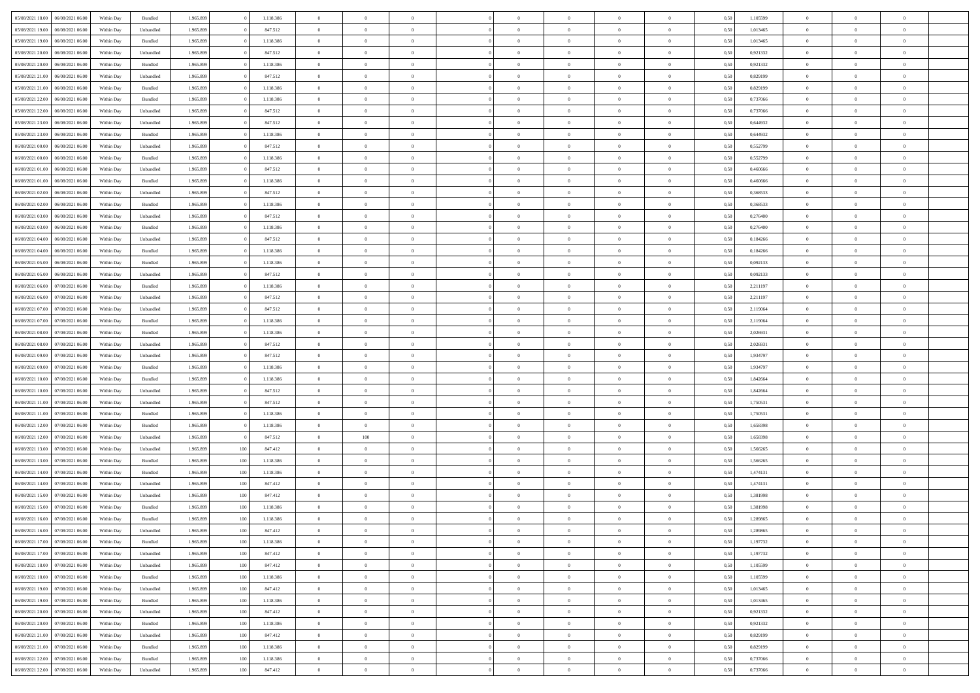| 05/08/2021 18:00   06/08/2021 06:00  | Within Day | Bundled   | 1.965.899 |         | 1.118.386 | $\overline{0}$ | $\overline{0}$ | $\Omega$       | $\Omega$       | $\Omega$       |                | $\overline{0}$ | 0,50 | 1,105599 | $\mathbf{0}$   | $\Omega$       | $\Omega$       |  |
|--------------------------------------|------------|-----------|-----------|---------|-----------|----------------|----------------|----------------|----------------|----------------|----------------|----------------|------|----------|----------------|----------------|----------------|--|
| 05/08/2021 19:00<br>06/08/2021 06:00 | Within Day | Unbundled | 1.965.899 |         | 847.512   | $\bf{0}$       | $\overline{0}$ | $\overline{0}$ | $\theta$       | $\overline{0}$ | $\overline{0}$ | $\,$ 0         | 0,50 | 1,013465 | $\mathbf{0}$   | $\theta$       | $\bf{0}$       |  |
| 05/08/2021 19:00<br>06/08/2021 06:00 | Within Day | Bundled   | 1.965.899 |         | 1.118.386 | $\overline{0}$ | $\overline{0}$ | $\overline{0}$ | $\bf{0}$       | $\bf{0}$       | $\overline{0}$ | $\mathbf{0}$   | 0,50 | 1,013465 | $\bf{0}$       | $\bf{0}$       | $\bf{0}$       |  |
| 05/08/2021 20:00<br>06/08/2021 06:00 | Within Day | Unbundled | 1.965.899 |         | 847.512   | $\overline{0}$ | $\overline{0}$ | $\overline{0}$ | $\overline{0}$ | $\overline{0}$ | $\overline{0}$ | $\overline{0}$ | 0.50 | 0,921332 | $\mathbf{0}$   | $\overline{0}$ | $\bf{0}$       |  |
| 05/08/2021 20:00<br>06/08/2021 06:00 | Within Day | Bundled   | 1.965.899 |         | 1.118.386 | $\bf{0}$       | $\overline{0}$ | $\overline{0}$ | $\theta$       | $\overline{0}$ | $\overline{0}$ | $\bf{0}$       | 0,50 | 0,921332 | $\mathbf{0}$   | $\theta$       | $\overline{0}$ |  |
| 05/08/2021 21:00<br>06/08/2021 06:00 | Within Day | Unbundled | 1.965.899 |         | 847.512   | $\overline{0}$ | $\overline{0}$ | $\overline{0}$ | $\bf{0}$       | $\overline{0}$ | $\overline{0}$ | $\overline{0}$ | 0,50 | 0,829199 | $\overline{0}$ | $\overline{0}$ | $\overline{0}$ |  |
| 05/08/2021 21:00<br>06/08/2021 06:00 | Within Day | Bundled   | 1.965.899 |         | 1.118.386 | $\overline{0}$ | $\overline{0}$ | $\overline{0}$ | $\overline{0}$ | $\overline{0}$ | $\overline{0}$ | $\mathbf{0}$   | 0.50 | 0.829199 | $\overline{0}$ | $\overline{0}$ | $\overline{0}$ |  |
| 05/08/2021 22:00<br>06/08/2021 06:00 | Within Day | Bundled   | 1.965.899 |         | 1.118.386 | $\bf{0}$       | $\overline{0}$ | $\overline{0}$ | $\theta$       | $\overline{0}$ | $\overline{0}$ | $\bf{0}$       | 0,50 | 0,737066 | $\theta$       | $\theta$       | $\bf{0}$       |  |
|                                      |            |           |           |         |           |                |                |                |                |                |                |                |      |          |                |                |                |  |
| 05/08/2021 22:00<br>06/08/2021 06:00 | Within Day | Unbundled | 1.965.899 |         | 847.512   | $\overline{0}$ | $\overline{0}$ | $\bf{0}$       | $\bf{0}$       | $\bf{0}$       | $\overline{0}$ | $\mathbf{0}$   | 0,50 | 0,737066 | $\bf{0}$       | $\bf{0}$       | $\bf{0}$       |  |
| 05/08/2021 23:00<br>06/08/2021 06:00 | Within Day | Unbundled | 1.965.899 |         | 847.512   | $\overline{0}$ | $\overline{0}$ | $\overline{0}$ | $\overline{0}$ | $\overline{0}$ | $\overline{0}$ | $\overline{0}$ | 0.50 | 0,644932 | $\overline{0}$ | $\overline{0}$ | $\overline{0}$ |  |
| 05/08/2021 23:00<br>06/08/2021 06:00 | Within Day | Bundled   | 1.965.899 |         | 1.118.386 | $\bf{0}$       | $\overline{0}$ | $\overline{0}$ | $\overline{0}$ | $\overline{0}$ | $\overline{0}$ | $\,$ 0         | 0,50 | 0,644932 | $\theta$       | $\theta$       | $\bf{0}$       |  |
| 06/08/2021 00:00<br>06/08/2021 06:00 | Within Day | Unbundled | 1.965.899 |         | 847.512   | $\overline{0}$ | $\overline{0}$ | $\overline{0}$ | $\bf{0}$       | $\bf{0}$       | $\overline{0}$ | $\mathbf{0}$   | 0,50 | 0,552799 | $\overline{0}$ | $\bf{0}$       | $\bf{0}$       |  |
| 06/08/2021 00:00<br>06/08/2021 06:00 | Within Day | Bundled   | 1.965.899 |         | 1.118.386 | $\overline{0}$ | $\overline{0}$ | $\overline{0}$ | $\overline{0}$ | $\overline{0}$ | $\overline{0}$ | $\overline{0}$ | 0.50 | 0.552799 | $\mathbf{0}$   | $\overline{0}$ | $\bf{0}$       |  |
| 06/08/2021 01:00<br>06/08/2021 06:00 | Within Day | Unbundled | 1.965.899 |         | 847.512   | $\bf{0}$       | $\overline{0}$ | $\overline{0}$ | $\theta$       | $\overline{0}$ | $\overline{0}$ | $\,$ 0         | 0,50 | 0,460666 | $\theta$       | $\theta$       | $\overline{0}$ |  |
| 06/08/2021 01:00<br>06/08/2021 06:00 | Within Day | Bundled   | 1.965.899 |         | 1.118.386 | $\overline{0}$ | $\overline{0}$ | $\overline{0}$ | $\bf{0}$       | $\overline{0}$ | $\overline{0}$ | $\overline{0}$ | 0,50 | 0,460666 | $\overline{0}$ | $\bf{0}$       | $\overline{0}$ |  |
| 06/08/2021 02:00<br>06/08/2021 06:00 | Within Day | Unbundled | 1.965.899 |         | 847.512   | $\overline{0}$ | $\overline{0}$ | $\overline{0}$ | $\overline{0}$ | $\overline{0}$ | $\overline{0}$ | $\mathbf{0}$   | 0.50 | 0,368533 | $\overline{0}$ | $\overline{0}$ | $\overline{0}$ |  |
| 06/08/2021 02:00<br>06/08/2021 06:00 | Within Day | Bundled   | 1.965.899 |         | 1.118.386 | $\bf{0}$       | $\overline{0}$ | $\overline{0}$ | $\overline{0}$ | $\overline{0}$ | $\overline{0}$ | $\bf{0}$       | 0,50 | 0,368533 | $\theta$       | $\theta$       | $\bf{0}$       |  |
| 06/08/2021 03:00<br>06/08/2021 06:00 | Within Day | Unbundled | 1.965.899 |         | 847.512   | $\overline{0}$ | $\overline{0}$ | $\bf{0}$       | $\bf{0}$       | $\bf{0}$       | $\overline{0}$ | $\bf{0}$       | 0,50 | 0,276400 | $\bf{0}$       | $\bf{0}$       | $\bf{0}$       |  |
| 06/08/2021 03:00<br>06/08/2021 06:00 | Within Day | Bundled   | 1.965.899 |         | 1.118.386 | $\overline{0}$ | $\overline{0}$ | $\overline{0}$ | $\overline{0}$ | $\overline{0}$ | $\overline{0}$ | $\overline{0}$ | 0.50 | 0.276400 | $\overline{0}$ | $\overline{0}$ | $\overline{0}$ |  |
| 06/08/2021 04:00<br>06/08/2021 06:00 | Within Day | Unbundled | 1.965.899 |         | 847.512   | $\bf{0}$       | $\overline{0}$ | $\overline{0}$ | $\overline{0}$ | $\overline{0}$ | $\overline{0}$ | $\,$ 0         | 0,50 | 0,184266 | $\theta$       | $\theta$       | $\bf{0}$       |  |
|                                      |            |           |           |         |           |                |                |                |                |                |                |                |      |          |                |                |                |  |
| 06/08/2021 04:00<br>06/08/2021 06:00 | Within Day | Bundled   | 1.965.899 |         | 1.118.386 | $\overline{0}$ | $\overline{0}$ | $\overline{0}$ | $\bf{0}$       | $\bf{0}$       | $\overline{0}$ | $\mathbf{0}$   | 0,50 | 0,184266 | $\bf{0}$       | $\bf{0}$       | $\bf{0}$       |  |
| 06/08/2021 05:00<br>06/08/2021 06:00 | Within Day | Bundled   | 1.965.899 |         | 1.118.386 | $\overline{0}$ | $\overline{0}$ | $\overline{0}$ | $\overline{0}$ | $\overline{0}$ | $\overline{0}$ | $\overline{0}$ | 0.50 | 0,092133 | $\overline{0}$ | $\overline{0}$ | $\bf{0}$       |  |
| 06/08/2021 05:00<br>06/08/2021 06:00 | Within Day | Unbundled | 1.965.899 |         | 847.512   | $\bf{0}$       | $\overline{0}$ | $\overline{0}$ | $\overline{0}$ | $\overline{0}$ | $\overline{0}$ | $\,$ 0         | 0,50 | 0,092133 | $\mathbf{0}$   | $\theta$       | $\bf{0}$       |  |
| 06/08/2021 06:00<br>07/08/2021 06:00 | Within Day | Bundled   | 1.965.899 |         | 1.118.386 | $\overline{0}$ | $\overline{0}$ | $\overline{0}$ | $\bf{0}$       | $\overline{0}$ | $\overline{0}$ | $\overline{0}$ | 0,50 | 2,211197 | $\overline{0}$ | $\overline{0}$ | $\overline{0}$ |  |
| 06/08/2021 06:00<br>07/08/2021 06:00 | Within Day | Unbundled | 1.965.899 |         | 847.512   | $\overline{0}$ | $\overline{0}$ | $\overline{0}$ | $\overline{0}$ | $\overline{0}$ | $\overline{0}$ | $\overline{0}$ | 0.50 | 2,211197 | $\overline{0}$ | $\overline{0}$ | $\overline{0}$ |  |
| 06/08/2021 07:00<br>07/08/2021 06:00 | Within Day | Unbundled | 1.965.899 |         | 847.512   | $\bf{0}$       | $\overline{0}$ | $\bf{0}$       | $\overline{0}$ | $\overline{0}$ | $\overline{0}$ | $\bf{0}$       | 0,50 | 2,119064 | $\theta$       | $\theta$       | $\bf{0}$       |  |
| 06/08/2021 07:00<br>07/08/2021 06:00 | Within Day | Bundled   | 1.965.899 |         | 1.118.386 | $\overline{0}$ | $\overline{0}$ | $\bf{0}$       | $\bf{0}$       | $\bf{0}$       | $\overline{0}$ | $\bf{0}$       | 0,50 | 2,119064 | $\bf{0}$       | $\bf{0}$       | $\bf{0}$       |  |
| 06/08/2021 08:00<br>07/08/2021 06:00 | Within Day | Bundled   | 1.965.899 |         | 1.118.386 | $\overline{0}$ | $\overline{0}$ | $\overline{0}$ | $\overline{0}$ | $\overline{0}$ | $\overline{0}$ | $\overline{0}$ | 0.50 | 2.026931 | $\overline{0}$ | $\overline{0}$ | $\bf{0}$       |  |
| 06/08/2021 08:00<br>07/08/2021 06:00 | Within Day | Unbundled | 1.965.899 |         | 847.512   | $\bf{0}$       | $\overline{0}$ | $\overline{0}$ | $\overline{0}$ | $\overline{0}$ | $\overline{0}$ | $\,$ 0         | 0,50 | 2,026931 | $\theta$       | $\theta$       | $\bf{0}$       |  |
| 06/08/2021 09:00<br>07/08/2021 06:00 | Within Day | Unbundled | 1.965.899 |         | 847.512   | $\overline{0}$ | $\overline{0}$ | $\overline{0}$ | $\bf{0}$       | $\bf{0}$       | $\overline{0}$ | $\mathbf{0}$   | 0,50 | 1,934797 | $\overline{0}$ | $\bf{0}$       | $\bf{0}$       |  |
| 06/08/2021 09:00<br>07/08/2021 06:00 | Within Day | Bundled   | 1.965.899 |         | 1.118.386 | $\overline{0}$ | $\overline{0}$ | $\overline{0}$ | $\overline{0}$ | $\overline{0}$ | $\Omega$       | $\overline{0}$ | 0,50 | 1,934797 | $\bf{0}$       | $\Omega$       | $\Omega$       |  |
| 06/08/2021 10:00<br>07/08/2021 06:00 | Within Day | Bundled   | 1.965.899 |         | 1.118.386 | $\bf{0}$       | $\overline{0}$ | $\overline{0}$ | $\theta$       | $\overline{0}$ | $\overline{0}$ | $\,$ 0         | 0,50 | 1,842664 | $\theta$       | $\theta$       | $\bf{0}$       |  |
| 06/08/2021 10:00<br>07/08/2021 06:00 | Within Day | Unbundled | 1.965.899 |         | 847.512   | $\overline{0}$ | $\overline{0}$ | $\overline{0}$ | $\bf{0}$       | $\overline{0}$ | $\overline{0}$ | $\overline{0}$ | 0,50 | 1,842664 | $\overline{0}$ | $\overline{0}$ | $\overline{0}$ |  |
|                                      |            |           |           |         |           | $\overline{0}$ |                |                |                | $\overline{0}$ | $\Omega$       | $\overline{0}$ | 0.50 |          |                | $\Omega$       | $\Omega$       |  |
| 06/08/2021 11:00<br>07/08/2021 06:00 | Within Day | Unbundled | 1.965.899 |         | 847.512   |                | $\overline{0}$ | $\overline{0}$ | $\overline{0}$ |                |                |                |      | 1,750531 | $\overline{0}$ |                |                |  |
| 06/08/2021 11:00<br>07/08/2021 06:00 | Within Day | Bundled   | 1.965.899 |         | 1.118.386 | $\bf{0}$       | $\overline{0}$ | $\overline{0}$ | $\overline{0}$ | $\overline{0}$ | $\overline{0}$ | $\bf{0}$       | 0,50 | 1,750531 | $\theta$       | $\theta$       | $\bf{0}$       |  |
| 06/08/2021 12:00<br>07/08/2021 06:00 | Within Day | Bundled   | 1.965.899 |         | 1.118.386 | $\overline{0}$ | $\overline{0}$ | $\overline{0}$ | $\bf{0}$       | $\bf{0}$       | $\overline{0}$ | $\bf{0}$       | 0,50 | 1,658398 | $\bf{0}$       | $\bf{0}$       | $\bf{0}$       |  |
| 06/08/2021 12:00<br>07/08/2021 06:00 | Within Day | Unbundled | 1.965.899 |         | 847.512   | $\overline{0}$ | 100            | $\Omega$       | $\overline{0}$ | $\overline{0}$ | $\Omega$       | $\theta$       | 0.50 | 1.658398 | $\overline{0}$ | $\Omega$       | $\Omega$       |  |
| 06/08/2021 13:00<br>07/08/2021 06:00 | Within Day | Unbundled | 1.965.899 | 100     | 847.412   | $\bf{0}$       | $\overline{0}$ | $\overline{0}$ | $\overline{0}$ | $\overline{0}$ | $\overline{0}$ | $\,$ 0         | 0,50 | 1,566265 | $\,$ 0 $\,$    | $\theta$       | $\bf{0}$       |  |
| 06/08/2021 13:00<br>07/08/2021 06:00 | Within Day | Bundled   | 1.965.899 | 100     | 1.118.386 | $\overline{0}$ | $\overline{0}$ | $\overline{0}$ | $\bf{0}$       | $\bf{0}$       | $\overline{0}$ | $\mathbf{0}$   | 0,50 | 1,566265 | $\overline{0}$ | $\bf{0}$       | $\bf{0}$       |  |
| 06/08/2021 14:00<br>07/08/2021 06:00 | Within Day | Bundled   | 1.965.899 | 100     | 1.118.386 | $\overline{0}$ | $\overline{0}$ | $\overline{0}$ | $\overline{0}$ | $\bf{0}$       | $\Omega$       | $\overline{0}$ | 0,50 | 1,474131 | $\overline{0}$ | $\overline{0}$ | $\Omega$       |  |
| 06/08/2021 14:00<br>07/08/2021 06:00 | Within Day | Unbundled | 1.965.899 | 100     | 847.412   | $\bf{0}$       | $\overline{0}$ | $\overline{0}$ | $\overline{0}$ | $\overline{0}$ | $\overline{0}$ | $\,$ 0         | 0,50 | 1,474131 | $\,$ 0 $\,$    | $\theta$       | $\bf{0}$       |  |
| 06/08/2021 15:00<br>07/08/2021 06:00 | Within Day | Unbundled | 1.965.899 | $100\,$ | 847.412   | $\overline{0}$ | $\overline{0}$ | $\overline{0}$ | $\bf{0}$       | $\overline{0}$ | $\overline{0}$ | $\overline{0}$ | 0,50 | 1,381998 | $\overline{0}$ | $\bf{0}$       | $\bf{0}$       |  |
| 06/08/2021 15:00<br>07/08/2021 06:00 | Within Day | Bundled   | 1.965.899 | 100     | 1.118.386 | $\overline{0}$ | $\Omega$       | $\Omega$       | $\overline{0}$ | $\overline{0}$ | $\Omega$       | $\overline{0}$ | 0.50 | 1.381998 | $\bf{0}$       | $\Omega$       | $\Omega$       |  |
| 06/08/2021 16:00 07/08/2021 06:00    | Within Day | Bundled   | 1.965.899 | 100     | 1.118.386 | $\bf{0}$       | $\overline{0}$ | $\overline{0}$ | $\bf{0}$       | $\bf{0}$       | $\overline{0}$ | $\,$ 0         | 0,50 | 1,289865 | $\bf{0}$       | $\,$ 0         | $\,$ 0         |  |
| 06/08/2021 16:00 07/08/2021 06:00    | Within Day | Unbundled | 1.965.899 | 100     | 847.412   | $\bf{0}$       | $\bf{0}$       |                |                |                |                |                | 0,50 | 1,289865 | $\bf{0}$       | $\bf{0}$       |                |  |
| 06/08/2021 17:00 07/08/2021 06:00    | Within Day | Bundled   | 1.965.899 | 100     | 1.118.386 | $\overline{0}$ | $\overline{0}$ | $\overline{0}$ | $\overline{0}$ | $\overline{0}$ | $\overline{0}$ | $\mathbf{0}$   | 0,50 | 1,197732 | $\overline{0}$ | $\overline{0}$ | $\overline{0}$ |  |
| 06/08/2021 17:00 07/08/2021 06:00    | Within Day | Unbundled | 1.965.899 | 100     | 847.412   | $\overline{0}$ | $\overline{0}$ | $\overline{0}$ | $\bf{0}$       | $\overline{0}$ | $\overline{0}$ | $\mathbf{0}$   | 0,50 | 1,197732 | $\bf{0}$       | $\overline{0}$ | $\,$ 0 $\,$    |  |
| 06/08/2021 18:00 07/08/2021 06:00    | Within Day | Unbundled | 1.965.899 | $100\,$ | 847.412   | $\overline{0}$ | $\overline{0}$ | $\overline{0}$ | $\bf{0}$       | $\overline{0}$ | $\overline{0}$ | $\mathbf{0}$   | 0,50 | 1,105599 | $\overline{0}$ | $\overline{0}$ | $\overline{0}$ |  |
|                                      |            |           |           |         |           |                |                | $\overline{0}$ |                |                |                |                |      |          | $\overline{0}$ | $\overline{0}$ | $\overline{0}$ |  |
| 07/08/2021 06:00<br>06/08/2021 18:00 | Within Day | Bundled   | 1.965.899 | $100\,$ | 1.118.386 | $\overline{0}$ | $\overline{0}$ |                | $\bf{0}$       | $\bf{0}$       | $\overline{0}$ | $\overline{0}$ | 0,50 | 1,105599 |                |                |                |  |
| 06/08/2021 19:00 07/08/2021 06:00    | Within Day | Unbundled | 1.965.899 | 100     | 847.412   | $\overline{0}$ | $\overline{0}$ | $\overline{0}$ | $\bf{0}$       | $\overline{0}$ | $\overline{0}$ | $\mathbf{0}$   | 0,50 | 1,013465 | $\,$ 0 $\,$    | $\theta$       | $\overline{0}$ |  |
| 06/08/2021 19:00 07/08/2021 06:00    | Within Day | Bundled   | 1.965.899 | 100     | 1.118.386 | $\overline{0}$ | $\overline{0}$ | $\overline{0}$ | $\overline{0}$ | $\overline{0}$ | $\overline{0}$ | $\overline{0}$ | 0,50 | 1,013465 | $\overline{0}$ | $\overline{0}$ | $\overline{0}$ |  |
| 06/08/2021 20:00<br>07/08/2021 06:00 | Within Day | Unbundled | 1.965.899 | $100\,$ | 847.412   | $\overline{0}$ | $\overline{0}$ | $\overline{0}$ | $\overline{0}$ | $\overline{0}$ | $\overline{0}$ | $\mathbf{0}$   | 0.50 | 0,921332 | $\overline{0}$ | $\overline{0}$ | $\overline{0}$ |  |
| 06/08/2021 20:00 07/08/2021 06:00    | Within Day | Bundled   | 1.965.899 | 100     | 1.118.386 | $\overline{0}$ | $\overline{0}$ | $\overline{0}$ | $\bf{0}$       | $\bf{0}$       | $\overline{0}$ | $\,$ 0 $\,$    | 0,50 | 0,921332 | $\,$ 0 $\,$    | $\overline{0}$ | $\,$ 0         |  |
| 06/08/2021 21:00 07/08/2021 06:00    | Within Day | Unbundled | 1.965.899 | 100     | 847.412   | $\overline{0}$ | $\overline{0}$ | $\overline{0}$ | $\bf{0}$       | $\overline{0}$ | $\overline{0}$ | $\overline{0}$ | 0,50 | 0,829199 | $\bf{0}$       | $\bf{0}$       | $\overline{0}$ |  |
| 06/08/2021 21:00 07/08/2021 06:00    | Within Day | Bundled   | 1.965.899 | $100\,$ | 1.118.386 | $\overline{0}$ | $\overline{0}$ | $\overline{0}$ | $\bf{0}$       | $\overline{0}$ | $\overline{0}$ | $\overline{0}$ | 0,50 | 0,829199 | $\overline{0}$ | $\overline{0}$ | $\overline{0}$ |  |
| 06/08/2021 22:00<br>07/08/2021 06:00 | Within Day | Bundled   | 1.965.899 | 100     | 1.118.386 | $\overline{0}$ | $\overline{0}$ | $\overline{0}$ | $\bf{0}$       | $\bf{0}$       | $\overline{0}$ | $\,$ 0 $\,$    | 0,50 | 0,737066 | $\,0\,$        | $\,0\,$        | $\bf{0}$       |  |
| 06/08/2021 22:00 07/08/2021 06:00    | Within Day | Unbundled | 1.965.899 | $100\,$ | 847.412   | $\overline{0}$ | $\overline{0}$ | $\overline{0}$ | $\bf{0}$       | $\overline{0}$ | $\overline{0}$ | $\mathbf{0}$   | 0,50 | 0,737066 | $\overline{0}$ | $\bf{0}$       | $\overline{0}$ |  |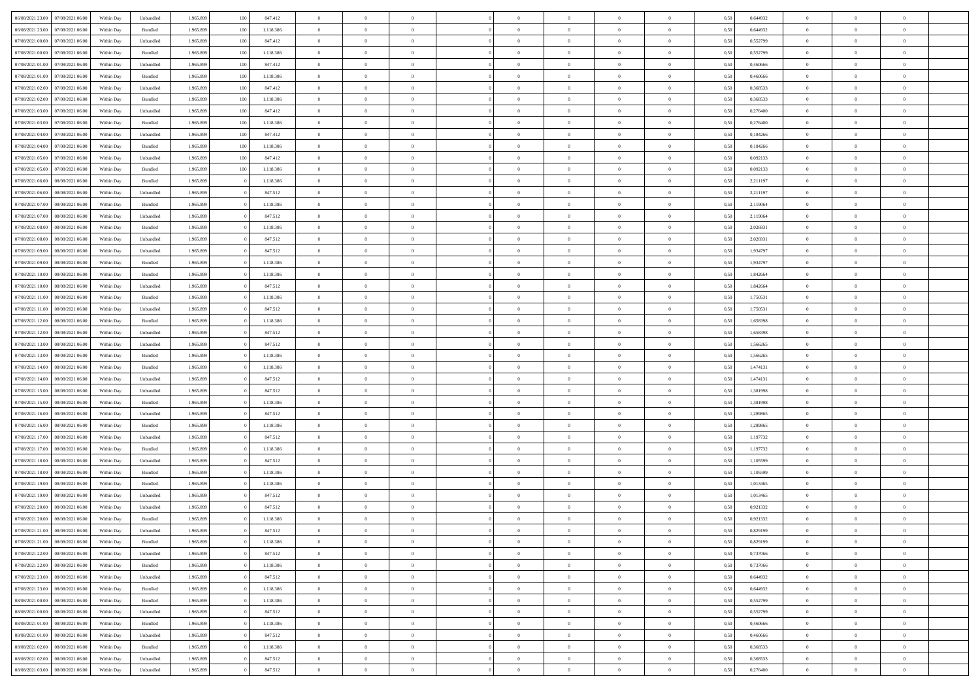| 06/08/2021 23:00 07/08/2021 06:00    | Within Day | Unbundled          | 1.965.899 | 100     | 847.412   | $\overline{0}$ | $\overline{0}$ | $\Omega$       | $\Omega$       | $\Omega$       |                | $\overline{0}$ | 0,50 | 0,644932 | $\mathbf{0}$   | $\Omega$       | $\Omega$       |  |
|--------------------------------------|------------|--------------------|-----------|---------|-----------|----------------|----------------|----------------|----------------|----------------|----------------|----------------|------|----------|----------------|----------------|----------------|--|
| 06/08/2021 23:00<br>07/08/2021 06:00 | Within Day | Bundled            | 1.965.899 | 100     | 1.118.386 | $\bf{0}$       | $\overline{0}$ | $\overline{0}$ | $\theta$       | $\overline{0}$ | $\overline{0}$ | $\,$ 0         | 0,50 | 0,644932 | $\mathbf{0}$   | $\theta$       | $\bf{0}$       |  |
| 07/08/2021 00:00<br>07/08/2021 06:00 | Within Day | Unbundled          | 1.965.899 | 100     | 847.412   | $\overline{0}$ | $\overline{0}$ | $\overline{0}$ | $\bf{0}$       | $\bf{0}$       | $\overline{0}$ | $\mathbf{0}$   | 0,50 | 0,552799 | $\bf{0}$       | $\bf{0}$       | $\bf{0}$       |  |
| 07/08/2021 00:00<br>07/08/2021 06:00 | Within Day | Bundled            | 1.965.899 | 100     | 1.118.386 | $\overline{0}$ | $\overline{0}$ | $\overline{0}$ | $\overline{0}$ | $\overline{0}$ | $\overline{0}$ | $\overline{0}$ | 0.50 | 0,552799 | $\mathbf{0}$   | $\overline{0}$ | $\bf{0}$       |  |
| 07/08/2021 01:00<br>07/08/2021 06:00 | Within Day | Unbundled          | 1.965.899 | 100     | 847.412   | $\bf{0}$       | $\overline{0}$ | $\overline{0}$ | $\theta$       | $\overline{0}$ | $\overline{0}$ | $\bf{0}$       | 0,50 | 0,460666 | $\theta$       | $\theta$       | $\overline{0}$ |  |
| 07/08/2021 01:00<br>07/08/2021 06:00 | Within Day | Bundled            | 1.965.899 | $100\,$ | 1.118.386 | $\overline{0}$ | $\overline{0}$ | $\overline{0}$ | $\bf{0}$       | $\overline{0}$ | $\overline{0}$ | $\overline{0}$ | 0,50 | 0,460666 | $\overline{0}$ | $\overline{0}$ | $\overline{0}$ |  |
| 07/08/2021 02:00<br>07/08/2021 06:00 | Within Day | Unbundled          | 1.965.899 | $100\,$ | 847.412   | $\overline{0}$ | $\overline{0}$ | $\overline{0}$ | $\overline{0}$ | $\overline{0}$ | $\overline{0}$ | $\overline{0}$ | 0.50 | 0,368533 | $\mathbf{0}$   | $\overline{0}$ | $\overline{0}$ |  |
|                                      |            |                    |           |         |           |                |                |                |                |                |                |                |      |          |                |                |                |  |
| 07/08/2021 02:00<br>07/08/2021 06:00 | Within Day | Bundled            | 1.965.899 | 100     | 1.118.386 | $\bf{0}$       | $\overline{0}$ | $\overline{0}$ | $\overline{0}$ | $\overline{0}$ | $\overline{0}$ | $\bf{0}$       | 0,50 | 0,368533 | $\theta$       | $\theta$       | $\bf{0}$       |  |
| 07/08/2021 03:00<br>07/08/2021 06:00 | Within Day | Unbundled          | 1.965.899 | $100\,$ | 847.412   | $\overline{0}$ | $\overline{0}$ | $\overline{0}$ | $\bf{0}$       | $\bf{0}$       | $\overline{0}$ | $\mathbf{0}$   | 0,50 | 0,276400 | $\bf{0}$       | $\bf{0}$       | $\bf{0}$       |  |
| 07/08/2021 03:00<br>07/08/2021 06:00 | Within Day | Bundled            | 1.965.899 | $100\,$ | 1.118.386 | $\overline{0}$ | $\overline{0}$ | $\overline{0}$ | $\overline{0}$ | $\overline{0}$ | $\overline{0}$ | $\overline{0}$ | 0.50 | 0.276400 | $\overline{0}$ | $\theta$       | $\overline{0}$ |  |
| 07/08/2021 04:00<br>07/08/2021 06:00 | Within Day | Unbundled          | 1.965.899 | 100     | 847.412   | $\bf{0}$       | $\overline{0}$ | $\overline{0}$ | $\overline{0}$ | $\overline{0}$ | $\overline{0}$ | $\,$ 0         | 0,50 | 0,184266 | $\theta$       | $\theta$       | $\bf{0}$       |  |
| 07/08/2021 04:00<br>07/08/2021 06:00 | Within Day | Bundled            | 1.965.899 | $100\,$ | 1.118.386 | $\overline{0}$ | $\overline{0}$ | $\overline{0}$ | $\bf{0}$       | $\bf{0}$       | $\overline{0}$ | $\mathbf{0}$   | 0,50 | 0,184266 | $\bf{0}$       | $\bf{0}$       | $\bf{0}$       |  |
| 07/08/2021 05:00<br>07/08/2021 06:00 | Within Day | Unbundled          | 1.965.899 | 100     | 847.412   | $\overline{0}$ | $\overline{0}$ | $\overline{0}$ | $\overline{0}$ | $\overline{0}$ | $\overline{0}$ | $\overline{0}$ | 0.50 | 0.092133 | $\mathbf{0}$   | $\overline{0}$ | $\bf{0}$       |  |
| 07/08/2021 05:00<br>07/08/2021 06:00 | Within Day | $\mathbf B$ undled | 1.965.899 | 100     | 1.118.386 | $\bf{0}$       | $\overline{0}$ | $\overline{0}$ | $\theta$       | $\overline{0}$ | $\overline{0}$ | $\,$ 0         | 0,50 | 0,092133 | $\theta$       | $\theta$       | $\bf{0}$       |  |
| 07/08/2021 06:00<br>08/08/2021 06:00 | Within Day | Bundled            | 1.965.899 |         | 1.118.386 | $\overline{0}$ | $\overline{0}$ | $\overline{0}$ | $\bf{0}$       | $\overline{0}$ | $\overline{0}$ | $\overline{0}$ | 0,50 | 2,211197 | $\overline{0}$ | $\overline{0}$ | $\overline{0}$ |  |
| 07/08/2021 06:00<br>08/08/2021 06:00 | Within Day | Unbundled          | 1.965.899 |         | 847.512   | $\overline{0}$ | $\overline{0}$ | $\overline{0}$ | $\overline{0}$ | $\overline{0}$ | $\overline{0}$ | $\overline{0}$ | 0.50 | 2,211197 | $\overline{0}$ | $\overline{0}$ | $\overline{0}$ |  |
| 07/08/2021 07:00<br>08/08/2021 06:00 | Within Day | Bundled            | 1.965.899 |         | 1.118.386 | $\bf{0}$       | $\overline{0}$ | $\overline{0}$ | $\overline{0}$ | $\overline{0}$ | $\overline{0}$ | $\bf{0}$       | 0,50 | 2,119064 | $\theta$       | $\theta$       | $\bf{0}$       |  |
| 07/08/2021 07:00<br>08/08/2021 06:00 | Within Day | Unbundled          | 1.965.899 |         | 847.512   | $\overline{0}$ | $\overline{0}$ | $\overline{0}$ | $\bf{0}$       | $\bf{0}$       | $\overline{0}$ | $\mathbf{0}$   | 0,50 | 2,119064 | $\bf{0}$       | $\bf{0}$       | $\bf{0}$       |  |
| 07/08/2021 08:00<br>08/08/2021 06:00 |            | Bundled            | 1.965.899 |         | 1.118.386 | $\overline{0}$ | $\overline{0}$ | $\overline{0}$ | $\overline{0}$ | $\overline{0}$ | $\overline{0}$ | $\overline{0}$ | 0.50 | 2.026931 | $\overline{0}$ | $\overline{0}$ | $\overline{0}$ |  |
|                                      | Within Day |                    |           |         |           |                |                |                |                |                |                |                |      |          |                |                |                |  |
| 07/08/2021 08:00<br>08/08/2021 06:00 | Within Day | Unbundled          | 1.965.899 |         | 847.512   | $\bf{0}$       | $\overline{0}$ | $\overline{0}$ | $\overline{0}$ | $\overline{0}$ | $\overline{0}$ | $\,$ 0         | 0,50 | 2,026931 | $\theta$       | $\theta$       | $\bf{0}$       |  |
| 07/08/2021 09:00<br>08/08/2021 06:00 | Within Day | Unbundled          | 1.965.899 |         | 847.512   | $\overline{0}$ | $\overline{0}$ | $\overline{0}$ | $\bf{0}$       | $\bf{0}$       | $\overline{0}$ | $\mathbf{0}$   | 0,50 | 1,934797 | $\bf{0}$       | $\bf{0}$       | $\bf{0}$       |  |
| 07/08/2021 09:00<br>08/08/2021 06:00 | Within Day | Bundled            | 1.965.899 |         | 1.118.386 | $\overline{0}$ | $\overline{0}$ | $\overline{0}$ | $\overline{0}$ | $\overline{0}$ | $\overline{0}$ | $\overline{0}$ | 0.50 | 1,934797 | $\overline{0}$ | $\overline{0}$ | $\bf{0}$       |  |
| 07/08/2021 10:00<br>08/08/2021 06:00 | Within Day | Bundled            | 1.965.899 |         | 1.118.386 | $\bf{0}$       | $\overline{0}$ | $\overline{0}$ | $\overline{0}$ | $\overline{0}$ | $\overline{0}$ | $\,$ 0         | 0,50 | 1,842664 | $\mathbf{0}$   | $\theta$       | $\bf{0}$       |  |
| 07/08/2021 10:00<br>08/08/2021 06:00 | Within Day | Unbundled          | 1.965.899 |         | 847.512   | $\overline{0}$ | $\overline{0}$ | $\overline{0}$ | $\bf{0}$       | $\overline{0}$ | $\overline{0}$ | $\overline{0}$ | 0,50 | 1,842664 | $\overline{0}$ | $\overline{0}$ | $\overline{0}$ |  |
| 07/08/2021 11:00<br>08/08/2021 06:00 | Within Day | Bundled            | 1.965.899 |         | 1.118.386 | $\overline{0}$ | $\overline{0}$ | $\overline{0}$ | $\overline{0}$ | $\overline{0}$ | $\overline{0}$ | $\overline{0}$ | 0.50 | 1,750531 | $\overline{0}$ | $\overline{0}$ | $\overline{0}$ |  |
| 07/08/2021 11:00<br>08/08/2021 06:00 | Within Day | Unbundled          | 1.965.899 |         | 847.512   | $\bf{0}$       | $\overline{0}$ | $\bf{0}$       | $\overline{0}$ | $\overline{0}$ | $\overline{0}$ | $\bf{0}$       | 0,50 | 1,750531 | $\theta$       | $\theta$       | $\bf{0}$       |  |
| 07/08/2021 12:00<br>08/08/2021 06:00 | Within Day | Bundled            | 1.965.899 |         | 1.118.386 | $\overline{0}$ | $\overline{0}$ | $\bf{0}$       | $\bf{0}$       | $\bf{0}$       | $\overline{0}$ | $\mathbf{0}$   | 0,50 | 1,658398 | $\bf{0}$       | $\bf{0}$       | $\bf{0}$       |  |
| 07/08/2021 12:00<br>08/08/2021 06:00 | Within Day | Unbundled          | 1.965.899 |         | 847.512   | $\overline{0}$ | $\overline{0}$ | $\overline{0}$ | $\overline{0}$ | $\overline{0}$ | $\overline{0}$ | $\overline{0}$ | 0.50 | 1,658398 | $\overline{0}$ | $\overline{0}$ | $\overline{0}$ |  |
| 07/08/2021 13:00<br>08/08/2021 06:00 | Within Day | Unbundled          | 1.965.899 |         | 847.512   | $\bf{0}$       | $\overline{0}$ | $\bf{0}$       | $\overline{0}$ | $\overline{0}$ | $\overline{0}$ | $\,$ 0         | 0,50 | 1,566265 | $\,$ 0 $\,$    | $\theta$       | $\bf{0}$       |  |
| 07/08/2021 13:00<br>08/08/2021 06:00 | Within Day | Bundled            | 1.965.899 |         | 1.118.386 | $\overline{0}$ | $\overline{0}$ | $\overline{0}$ | $\bf{0}$       | $\bf{0}$       | $\overline{0}$ | $\mathbf{0}$   | 0,50 | 1,566265 | $\overline{0}$ | $\bf{0}$       | $\bf{0}$       |  |
|                                      |            |                    |           |         |           |                |                |                |                |                | $\Omega$       | $\overline{0}$ |      |          |                |                | $\Omega$       |  |
| 07/08/2021 14:00<br>08/08/2021 06:00 | Within Day | Bundled            | 1.965.899 |         | 1.118.386 | $\overline{0}$ | $\overline{0}$ | $\overline{0}$ | $\overline{0}$ | $\overline{0}$ |                |                | 0,50 | 1,474131 | $\bf{0}$       | $\theta$       |                |  |
| 07/08/2021 14:00<br>08/08/2021 06:00 | Within Day | Unbundled          | 1.965.899 |         | 847.512   | $\bf{0}$       | $\overline{0}$ | $\bf{0}$       | $\theta$       | $\overline{0}$ | $\overline{0}$ | $\,$ 0         | 0,50 | 1,474131 | $\theta$       | $\theta$       | $\bf{0}$       |  |
| 07/08/2021 15:00<br>08/08/2021 06:00 | Within Day | Unbundled          | 1.965.899 |         | 847.512   | $\overline{0}$ | $\overline{0}$ | $\overline{0}$ | $\bf{0}$       | $\overline{0}$ | $\overline{0}$ | $\overline{0}$ | 0,50 | 1,381998 | $\overline{0}$ | $\overline{0}$ | $\overline{0}$ |  |
| 07/08/2021 15:00<br>08/08/2021 06:00 | Within Day | Bundled            | 1.965.899 |         | 1.118.386 | $\overline{0}$ | $\overline{0}$ | $\overline{0}$ | $\overline{0}$ | $\overline{0}$ | $\Omega$       | $\overline{0}$ | 0.50 | 1,381998 | $\overline{0}$ | $\overline{0}$ | $\Omega$       |  |
| 07/08/2021 16:00<br>08/08/2021 06:00 | Within Day | Unbundled          | 1.965.899 |         | 847.512   | $\bf{0}$       | $\overline{0}$ | $\bf{0}$       | $\overline{0}$ | $\overline{0}$ | $\overline{0}$ | $\bf{0}$       | 0,50 | 1,289865 | $\theta$       | $\theta$       | $\bf{0}$       |  |
| 07/08/2021 16:00<br>08/08/2021 06:00 | Within Day | Bundled            | 1.965.899 |         | 1.118.386 | $\overline{0}$ | $\overline{0}$ | $\bf{0}$       | $\bf{0}$       | $\bf{0}$       | $\overline{0}$ | $\mathbf{0}$   | 0,50 | 1,289865 | $\bf{0}$       | $\bf{0}$       | $\bf{0}$       |  |
| 07/08/2021 17:00<br>08/08/2021 06:00 | Within Day | Unbundled          | 1.965.899 |         | 847.512   | $\overline{0}$ | $\overline{0}$ | $\overline{0}$ | $\overline{0}$ | $\overline{0}$ | $\Omega$       | $\theta$       | 0.50 | 1,197732 | $\overline{0}$ | $\Omega$       | $\Omega$       |  |
| 07/08/2021 17:00<br>08/08/2021 06:00 | Within Day | Bundled            | 1.965.899 |         | 1.118.386 | $\bf{0}$       | $\overline{0}$ | $\bf{0}$       | $\overline{0}$ | $\overline{0}$ | $\overline{0}$ | $\,$ 0         | 0,50 | 1,197732 | $\,$ 0 $\,$    | $\theta$       | $\bf{0}$       |  |
| 07/08/2021 18:00<br>08/08/2021 06:00 | Within Day | Unbundled          | 1.965.899 |         | 847.512   | $\overline{0}$ | $\overline{0}$ | $\overline{0}$ | $\bf{0}$       | $\bf{0}$       | $\overline{0}$ | $\mathbf{0}$   | 0,50 | 1,105599 | $\overline{0}$ | $\bf{0}$       | $\bf{0}$       |  |
| 07/08/2021 18:00<br>08/08/2021 06:00 | Within Day | Bundled            | 1.965.899 |         | 1.118.386 | $\overline{0}$ | $\overline{0}$ | $\overline{0}$ | $\overline{0}$ | $\bf{0}$       | $\Omega$       | $\overline{0}$ | 0.50 | 1,105599 | $\overline{0}$ | $\overline{0}$ | $\Omega$       |  |
| 07/08/2021 19:00<br>08/08/2021 06:00 | Within Day | Bundled            | 1.965.899 |         | 1.118.386 | $\bf{0}$       | $\overline{0}$ | $\bf{0}$       | $\overline{0}$ | $\overline{0}$ | $\overline{0}$ | $\,$ 0         | 0,50 | 1,013465 | $\,0\,$        | $\theta$       | $\bf{0}$       |  |
| 07/08/2021 19:00<br>08/08/2021 06:00 | Within Day | Unbundled          | 1.965.899 |         | 847.512   | $\overline{0}$ | $\overline{0}$ | $\bf{0}$       | $\bf{0}$       | $\overline{0}$ | $\overline{0}$ | $\overline{0}$ | 0,50 | 1,013465 | $\overline{0}$ | $\bf{0}$       | $\bf{0}$       |  |
| 07/08/2021 20:00<br>08/08/2021 06:00 | Within Day | Unbundled          | 1.965.899 |         | 847.512   | $\overline{0}$ | $\theta$       | $\overline{0}$ | $\overline{0}$ | $\overline{0}$ | $\Omega$       | $\overline{0}$ | 0.50 | 0,921332 | $\bf{0}$       | $\Omega$       | $\Omega$       |  |
| 07/08/2021 20:00   08/08/2021 06:00  | Within Day | Bundled            | 1.965.899 |         | 1.118.386 | $\bf{0}$       | $\overline{0}$ | $\bf{0}$       | $\bf{0}$       | $\bf{0}$       | $\overline{0}$ | $\,$ 0         | 0,50 | 0,921332 | $\bf{0}$       | $\,$ 0         | $\,$ 0         |  |
| 07/08/2021 21:00 08/08/2021 06:00    |            |                    |           |         |           |                |                |                |                |                |                |                |      |          |                |                |                |  |
|                                      | Within Day | Unbundled          | 1.965.899 |         | 847.512   | $\bf{0}$       | $\bf{0}$       |                |                |                |                |                | 0,50 | 0,829199 | $\bf{0}$       | $\bf{0}$       |                |  |
| 07/08/2021 21:00 08/08/2021 06:00    | Within Day | Bundled            | 1.965.899 |         | 1.118.386 | $\overline{0}$ | $\overline{0}$ | $\overline{0}$ | $\overline{0}$ | $\overline{0}$ | $\overline{0}$ | $\mathbf{0}$   | 0,50 | 0,829199 | $\overline{0}$ | $\theta$       | $\overline{0}$ |  |
| 07/08/2021 22:00<br>08/08/2021 06:00 | Within Day | Unbundled          | 1.965.899 |         | 847.512   | $\overline{0}$ | $\overline{0}$ | $\overline{0}$ | $\bf{0}$       | $\overline{0}$ | $\overline{0}$ | $\mathbf{0}$   | 0,50 | 0,737066 | $\,$ 0 $\,$    | $\overline{0}$ | $\,$ 0 $\,$    |  |
| 07/08/2021 22:00<br>08/08/2021 06:00 | Within Day | Bundled            | 1.965.899 |         | 1.118.386 | $\overline{0}$ | $\overline{0}$ | $\overline{0}$ | $\bf{0}$       | $\overline{0}$ | $\overline{0}$ | $\overline{0}$ | 0,50 | 0,737066 | $\overline{0}$ | $\overline{0}$ | $\overline{0}$ |  |
| 08/08/2021 06:00<br>07/08/2021 23:00 | Within Day | Unbundled          | 1.965.899 |         | 847.512   | $\overline{0}$ | $\overline{0}$ | $\overline{0}$ | $\overline{0}$ | $\bf{0}$       | $\overline{0}$ | $\overline{0}$ | 0,50 | 0,644932 | $\overline{0}$ | $\overline{0}$ | $\overline{0}$ |  |
| 07/08/2021 23:00<br>08/08/2021 06:00 | Within Day | Bundled            | 1.965.899 |         | 1.118.386 | $\overline{0}$ | $\overline{0}$ | $\overline{0}$ | $\overline{0}$ | $\overline{0}$ | $\overline{0}$ | $\mathbf{0}$   | 0,50 | 0,644932 | $\,$ 0 $\,$    | $\theta$       | $\bf{0}$       |  |
| 08/08/2021 00:00<br>08/08/2021 06:00 | Within Day | Bundled            | 1.965.899 |         | 1.118.386 | $\overline{0}$ | $\overline{0}$ | $\overline{0}$ | $\overline{0}$ | $\overline{0}$ | $\overline{0}$ | $\overline{0}$ | 0,50 | 0,552799 | $\overline{0}$ | $\overline{0}$ | $\overline{0}$ |  |
| 08/08/2021 00:00<br>08/08/2021 06:00 | Within Day | Unbundled          | 1.965.899 |         | 847.512   | $\overline{0}$ | $\overline{0}$ | $\overline{0}$ | $\overline{0}$ | $\overline{0}$ | $\overline{0}$ | $\overline{0}$ | 0.50 | 0,552799 | $\overline{0}$ | $\overline{0}$ | $\overline{0}$ |  |
| 08/08/2021 01:00<br>08/08/2021 06:00 | Within Day | Bundled            | 1.965.899 |         | 1.118.386 | $\overline{0}$ | $\overline{0}$ | $\overline{0}$ | $\bf{0}$       | $\bf{0}$       | $\overline{0}$ | $\,$ 0 $\,$    | 0,50 | 0,460666 | $\,$ 0 $\,$    | $\theta$       | $\,$ 0         |  |
| 08/08/2021 06:00<br>08/08/2021 01:00 | Within Day | Unbundled          | 1.965.899 |         | 847.512   | $\overline{0}$ | $\overline{0}$ | $\overline{0}$ | $\bf{0}$       | $\overline{0}$ | $\overline{0}$ | $\overline{0}$ | 0,50 | 0,460666 | $\bf{0}$       | $\bf{0}$       | $\overline{0}$ |  |
| 08/08/2021 02:00<br>08/08/2021 06:00 | Within Day | Bundled            | 1.965.899 |         | 1.118.386 | $\overline{0}$ | $\overline{0}$ | $\overline{0}$ | $\overline{0}$ | $\overline{0}$ | $\overline{0}$ | $\overline{0}$ | 0.50 | 0.368533 | $\overline{0}$ | $\overline{0}$ | $\overline{0}$ |  |
| 08/08/2021 02:00<br>08/08/2021 06:00 | Within Day | Unbundled          | 1.965.899 |         | 847.512   | $\overline{0}$ | $\overline{0}$ | $\overline{0}$ | $\bf{0}$       | $\bf{0}$       | $\overline{0}$ | $\,$ 0 $\,$    | 0,50 | 0,368533 | $\,$ 0 $\,$    | $\,0\,$        | $\,$ 0         |  |
|                                      |            |                    |           |         |           |                |                |                |                |                |                |                |      |          |                |                |                |  |
| 08/08/2021 03:00  08/08/2021 06:00   | Within Day | Unbundled          | 1.965.899 |         | 847.512   | $\overline{0}$ | $\overline{0}$ | $\overline{0}$ | $\bf{0}$       | $\overline{0}$ | $\overline{0}$ | $\overline{0}$ | 0,50 | 0,276400 | $\overline{0}$ | $\bf{0}$       | $\overline{0}$ |  |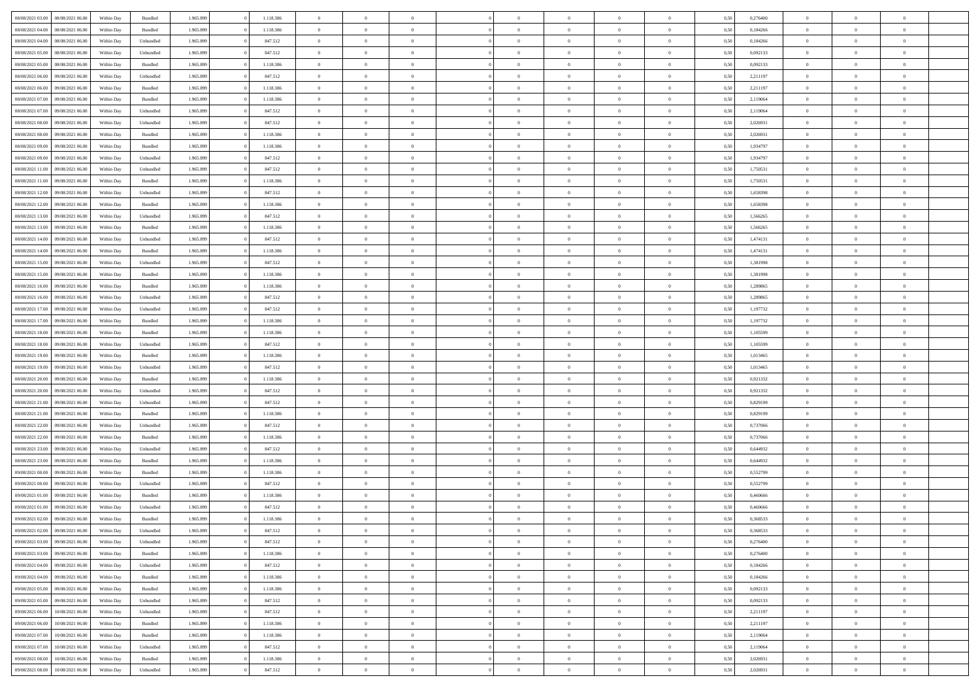| 08/08/2021 03:00                  | 08/08/2021 06:00 | Within Day | Bundled   | 1.965.899 | 1.118.386 | $\overline{0}$ | $\theta$       |                | $\Omega$       | $\Omega$       | $\theta$       | $\theta$       | 0,50 | 0,276400 | $\theta$       | $\theta$       | $\theta$       |  |
|-----------------------------------|------------------|------------|-----------|-----------|-----------|----------------|----------------|----------------|----------------|----------------|----------------|----------------|------|----------|----------------|----------------|----------------|--|
|                                   |                  |            |           |           |           |                |                |                |                |                |                |                |      |          |                |                |                |  |
| 08/08/2021 04:00                  | 08/08/2021 06:00 | Within Day | Bundled   | 1.965.899 | 1.118.386 | $\overline{0}$ | $\theta$       | $\overline{0}$ | $\overline{0}$ | $\bf{0}$       | $\overline{0}$ | $\bf{0}$       | 0,50 | 0,184266 | $\theta$       | $\overline{0}$ | $\overline{0}$ |  |
| 08/08/2021 04:00                  | 08/08/2021 06:00 | Within Day | Unbundled | 1.965.899 | 847.512   | $\overline{0}$ | $\overline{0}$ | $\overline{0}$ | $\overline{0}$ | $\bf{0}$       | $\overline{0}$ | $\mathbf{0}$   | 0,50 | 0,184266 | $\overline{0}$ | $\overline{0}$ | $\bf{0}$       |  |
| 08/08/2021 05:00                  | 08/08/2021 06:00 | Within Dav | Unbundled | 1.965.899 | 847.512   | $\overline{0}$ | $\overline{0}$ | $\overline{0}$ | $\overline{0}$ | $\bf{0}$       | $\overline{0}$ | $\overline{0}$ | 0.50 | 0,092133 | $\theta$       | $\overline{0}$ | $\overline{0}$ |  |
|                                   |                  |            |           |           |           | $\overline{0}$ | $\theta$       | $\overline{0}$ | $\overline{0}$ | $\bf{0}$       | $\overline{0}$ |                |      |          | $\,$ 0 $\,$    | $\overline{0}$ | $\overline{0}$ |  |
| 08/08/2021 05:00                  | 08/08/2021 06:00 | Within Day | Bundled   | 1.965.899 | 1.118.386 |                |                |                |                |                |                | $\bf{0}$       | 0,50 | 0,092133 |                |                |                |  |
| 08/08/2021 06:00                  | 09/08/2021 06:00 | Within Day | Unbundled | 1.965.899 | 847.512   | $\overline{0}$ | $\overline{0}$ | $\overline{0}$ | $\overline{0}$ | $\overline{0}$ | $\overline{0}$ | $\mathbf{0}$   | 0,50 | 2,211197 | $\overline{0}$ | $\overline{0}$ | $\bf{0}$       |  |
| 08/08/2021 06:00                  | 09/08/2021 06:00 | Within Dav | Bundled   | 1.965.899 | 1.118.386 | $\overline{0}$ | $\overline{0}$ | $\overline{0}$ | $\overline{0}$ | $\overline{0}$ | $\overline{0}$ | $\overline{0}$ | 0.50 | 2,211197 | $\theta$       | $\overline{0}$ | $\overline{0}$ |  |
| 08/08/2021 07:00                  | 09/08/2021 06:00 | Within Day | Bundled   | 1.965.899 | 1.118.386 | $\overline{0}$ | $\theta$       | $\overline{0}$ | $\overline{0}$ | $\bf{0}$       | $\overline{0}$ | $\bf{0}$       | 0,50 | 2,119064 | $\,$ 0 $\,$    | $\theta$       | $\overline{0}$ |  |
| 08/08/2021 07:00                  | 09/08/2021 06:00 | Within Day | Unbundled | 1.965.899 | 847.512   | $\overline{0}$ | $\overline{0}$ | $\overline{0}$ | $\overline{0}$ | $\bf{0}$       | $\overline{0}$ | $\mathbf{0}$   | 0,50 | 2,119064 | $\,0\,$        | $\overline{0}$ | $\overline{0}$ |  |
|                                   |                  |            |           |           |           |                | $\overline{0}$ |                |                | $\overline{0}$ |                |                |      |          | $\theta$       | $\overline{0}$ | $\overline{0}$ |  |
| 08/08/2021 08:00                  | 09/08/2021 06:00 | Within Dav | Unbundled | 1.965.899 | 847.512   | $\overline{0}$ |                | $\overline{0}$ | $\overline{0}$ |                | $\overline{0}$ | $\overline{0}$ | 0.50 | 2,026931 |                |                |                |  |
| 08/08/2021 08:00                  | 09/08/2021 06:00 | Within Day | Bundled   | 1.965.899 | 1.118.386 | $\overline{0}$ | $\theta$       | $\overline{0}$ | $\overline{0}$ | $\bf{0}$       | $\overline{0}$ | $\bf{0}$       | 0,50 | 2,026931 | $\,$ 0 $\,$    | $\overline{0}$ | $\overline{0}$ |  |
| 08/08/2021 09:00                  | 09/08/2021 06:00 | Within Day | Bundled   | 1.965.899 | 1.118.386 | $\overline{0}$ | $\overline{0}$ | $\overline{0}$ | $\bf{0}$       | $\bf{0}$       | $\bf{0}$       | $\mathbf{0}$   | 0,50 | 1,934797 | $\overline{0}$ | $\overline{0}$ | $\bf{0}$       |  |
| 08/08/2021 09:00                  | 09/08/2021 06:00 | Within Day | Unbundled | 1.965.899 | 847.512   | $\overline{0}$ | $\overline{0}$ | $\overline{0}$ | $\overline{0}$ | $\overline{0}$ | $\overline{0}$ | $\overline{0}$ | 0.50 | 1,934797 | $\theta$       | $\theta$       | $\overline{0}$ |  |
| 08/08/2021 11:00                  | 09/08/2021 06:00 | Within Day | Unbundled | 1.965.899 | 847.512   | $\overline{0}$ | $\theta$       | $\overline{0}$ | $\overline{0}$ | $\bf{0}$       | $\overline{0}$ | $\bf{0}$       | 0,50 | 1,750531 | $\theta$       | $\overline{0}$ | $\overline{0}$ |  |
|                                   |                  |            |           |           |           |                |                |                |                |                |                |                |      |          |                |                |                |  |
| 08/08/2021 11:00                  | 09/08/2021 06:00 | Within Day | Bundled   | 1.965.899 | 1.118.386 | $\overline{0}$ | $\overline{0}$ | $\overline{0}$ | $\bf{0}$       | $\overline{0}$ | $\overline{0}$ | $\mathbf{0}$   | 0,50 | 1,750531 | $\overline{0}$ | $\overline{0}$ | $\bf{0}$       |  |
| 08/08/2021 12:00                  | 09/08/2021 06:00 | Within Dav | Unbundled | 1.965.899 | 847.512   | $\overline{0}$ | $\overline{0}$ | $\overline{0}$ | $\overline{0}$ | $\overline{0}$ | $\overline{0}$ | $\overline{0}$ | 0.50 | 1,658398 | $\overline{0}$ | $\overline{0}$ | $\overline{0}$ |  |
| 08/08/2021 12:00                  | 09/08/2021 06:00 | Within Day | Bundled   | 1.965.899 | 1.118.386 | $\overline{0}$ | $\theta$       | $\overline{0}$ | $\overline{0}$ | $\bf{0}$       | $\overline{0}$ | $\bf{0}$       | 0,50 | 1,658398 | $\,$ 0 $\,$    | $\overline{0}$ | $\overline{0}$ |  |
| 08/08/2021 13:00                  | 09/08/2021 06:00 | Within Day | Unbundled | 1.965.899 | 847.512   | $\overline{0}$ | $\overline{0}$ | $\overline{0}$ | $\bf{0}$       | $\bf{0}$       | $\overline{0}$ | $\mathbf{0}$   | 0,50 | 1,566265 | $\bf{0}$       | $\overline{0}$ | $\bf{0}$       |  |
| 08/08/2021 13:00                  | 09/08/2021 06:00 | Within Dav | Bundled   | 1.965.899 | 1.118.386 | $\overline{0}$ | $\overline{0}$ | $\overline{0}$ | $\overline{0}$ | $\overline{0}$ | $\overline{0}$ | $\overline{0}$ | 0.50 | 1,566265 | $\theta$       | $\overline{0}$ | $\overline{0}$ |  |
| 08/08/2021 14:00                  | 09/08/2021 06:00 | Within Day | Unbundled | 1.965.899 | 847.512   | $\overline{0}$ | $\theta$       | $\overline{0}$ | $\overline{0}$ | $\bf{0}$       | $\overline{0}$ | $\bf{0}$       | 0,50 | 1,474131 | $\,$ 0 $\,$    | $\overline{0}$ | $\overline{0}$ |  |
|                                   |                  |            |           |           |           |                |                |                |                |                |                |                |      |          |                |                |                |  |
| 08/08/2021 14:00                  | 09/08/2021 06:00 | Within Day | Bundled   | 1.965.899 | 1.118.386 | $\overline{0}$ | $\overline{0}$ | $\overline{0}$ | $\overline{0}$ | $\bf{0}$       | $\overline{0}$ | $\mathbf{0}$   | 0,50 | 1,474131 | $\overline{0}$ | $\overline{0}$ | $\bf{0}$       |  |
| 08/08/2021 15:00                  | 09/08/2021 06:00 | Within Day | Unbundled | 1.965.899 | 847.512   | $\overline{0}$ | $\overline{0}$ | $\overline{0}$ | $\overline{0}$ | $\overline{0}$ | $\overline{0}$ | $\overline{0}$ | 0.50 | 1,381998 | $\overline{0}$ | $\overline{0}$ | $\overline{0}$ |  |
| 08/08/2021 15:00                  | 09/08/2021 06:00 | Within Day | Bundled   | 1.965.899 | 1.118.386 | $\overline{0}$ | $\theta$       | $\overline{0}$ | $\overline{0}$ | $\bf{0}$       | $\overline{0}$ | $\bf{0}$       | 0,50 | 1,381998 | $\,$ 0 $\,$    | $\overline{0}$ | $\overline{0}$ |  |
| 08/08/2021 16:00                  | 09/08/2021 06:00 | Within Day | Bundled   | 1.965.899 | 1.118.386 | $\overline{0}$ | $\overline{0}$ | $\overline{0}$ | $\overline{0}$ | $\overline{0}$ | $\overline{0}$ | $\mathbf{0}$   | 0,50 | 1,289865 | $\overline{0}$ | $\overline{0}$ | $\bf{0}$       |  |
| 08/08/2021 16:00                  | 09/08/2021 06:00 | Within Day | Unbundled | 1.965.899 | 847.512   | $\overline{0}$ | $\overline{0}$ | $\overline{0}$ | $\overline{0}$ | $\overline{0}$ | $\overline{0}$ | $\overline{0}$ | 0.50 | 1,289865 | $\overline{0}$ | $\overline{0}$ | $\overline{0}$ |  |
| 08/08/2021 17:00                  | 09/08/2021 06:00 | Within Day | Unbundled | 1.965.899 | 847.512   | $\overline{0}$ | $\theta$       | $\overline{0}$ | $\overline{0}$ | $\bf{0}$       | $\overline{0}$ | $\bf{0}$       | 0,50 | 1,197732 | $\theta$       | $\overline{0}$ | $\overline{0}$ |  |
| 08/08/2021 17:00                  | 09/08/2021 06:00 | Within Day | Bundled   | 1.965.899 | 1.118.386 | $\overline{0}$ | $\overline{0}$ | $\overline{0}$ | $\overline{0}$ | $\bf{0}$       | $\overline{0}$ | $\bf{0}$       | 0,50 | 1,197732 | $\,0\,$        | $\overline{0}$ | $\bf{0}$       |  |
| 08/08/2021 18:00                  | 09/08/2021 06:00 |            | Bundled   | 1.965.899 | 1.118.386 | $\overline{0}$ | $\overline{0}$ | $\overline{0}$ | $\overline{0}$ | $\overline{0}$ | $\overline{0}$ | $\overline{0}$ | 0.50 | 1,105599 | $\theta$       | $\overline{0}$ | $\overline{0}$ |  |
|                                   |                  | Within Day |           |           |           |                |                |                |                |                |                |                |      |          |                |                |                |  |
| 08/08/2021 18:00                  | 09/08/2021 06:00 | Within Day | Unbundled | 1.965.899 | 847.512   | $\overline{0}$ | $\overline{0}$ | $\overline{0}$ | $\overline{0}$ | $\bf{0}$       | $\overline{0}$ | $\bf{0}$       | 0,50 | 1,105599 | $\,$ 0 $\,$    | $\overline{0}$ | $\overline{0}$ |  |
| 08/08/2021 19:00                  | 09/08/2021 06:00 | Within Day | Bundled   | 1.965.899 | 1.118.386 | $\overline{0}$ | $\overline{0}$ | $\overline{0}$ | $\overline{0}$ | $\bf{0}$       | $\overline{0}$ | $\bf{0}$       | 0,50 | 1,013465 | $\overline{0}$ | $\overline{0}$ | $\bf{0}$       |  |
| 08/08/2021 19:00                  | 09/08/2021 06:00 | Within Day | Unbundled | 1.965.899 | 847.512   | $\overline{0}$ | $\Omega$       | $\overline{0}$ | $\Omega$       | $\Omega$       | $\overline{0}$ | $\overline{0}$ | 0,50 | 1,013465 | $\,0\,$        | $\theta$       | $\theta$       |  |
| 08/08/2021 20:00                  | 09/08/2021 06:00 | Within Day | Bundled   | 1.965.899 | 1.118.386 | $\overline{0}$ | $\overline{0}$ | $\overline{0}$ | $\overline{0}$ | $\bf{0}$       | $\overline{0}$ | $\bf{0}$       | 0,50 | 0,921332 | $\,$ 0 $\,$    | $\overline{0}$ | $\overline{0}$ |  |
| 08/08/2021 20:00                  | 09/08/2021 06:00 | Within Day | Unbundled | 1.965.899 | 847.512   | $\overline{0}$ | $\overline{0}$ | $\overline{0}$ | $\bf{0}$       | $\overline{0}$ | $\overline{0}$ | $\mathbf{0}$   | 0,50 | 0,921332 | $\overline{0}$ | $\overline{0}$ | $\bf{0}$       |  |
| 08/08/2021 21:00                  | 09/08/2021 06:00 |            | Unbundled | 1.965.899 | 847.512   | $\overline{0}$ | $\Omega$       | $\overline{0}$ | $\Omega$       | $\overline{0}$ | $\overline{0}$ | $\overline{0}$ | 0.50 | 0,829199 | $\,$ 0 $\,$    | $\overline{0}$ | $\theta$       |  |
|                                   |                  | Within Day |           |           |           |                |                |                |                |                |                |                |      |          |                |                |                |  |
| 08/08/2021 21:00                  | 09/08/2021 06:00 | Within Day | Bundled   | 1.965.899 | 1.118.386 | $\overline{0}$ | $\theta$       | $\overline{0}$ | $\overline{0}$ | $\bf{0}$       | $\overline{0}$ | $\bf{0}$       | 0,50 | 0,829199 | $\,$ 0 $\,$    | $\overline{0}$ | $\overline{0}$ |  |
| 08/08/2021 22.00                  | 09/08/2021 06:00 | Within Day | Unbundled | 1.965.899 | 847.512   | $\overline{0}$ | $\overline{0}$ | $\overline{0}$ | $\bf{0}$       | $\bf{0}$       | $\bf{0}$       | $\mathbf{0}$   | 0,50 | 0,737066 | $\overline{0}$ | $\overline{0}$ | $\bf{0}$       |  |
| 08/08/2021 22:00                  | 09/08/2021 06:00 | Within Day | Bundled   | 1.965.899 | 1.118.386 | $\overline{0}$ | $\Omega$       | $\overline{0}$ | $\Omega$       | $\overline{0}$ | $\overline{0}$ | $\overline{0}$ | 0.50 | 0,737066 | $\,$ 0 $\,$    | $\theta$       | $\theta$       |  |
| 08/08/2021 23:00                  | 09/08/2021 06:00 | Within Day | Unbundled | 1.965.899 | 847.512   | $\overline{0}$ | $\,$ 0         | $\overline{0}$ | $\overline{0}$ | $\,$ 0         | $\overline{0}$ | $\bf{0}$       | 0,50 | 0,644932 | $\,$ 0 $\,$    | $\overline{0}$ | $\overline{0}$ |  |
| 08/08/2021 23.00                  | 09/08/2021 06:00 | Within Day | Bundled   | 1.965.899 | 1.118.386 | $\overline{0}$ | $\overline{0}$ | $\overline{0}$ | $\bf{0}$       | $\bf{0}$       | $\bf{0}$       | $\mathbf{0}$   | 0,50 | 0,644932 | $\overline{0}$ | $\overline{0}$ | $\bf{0}$       |  |
| 09/08/2021 00:00                  | 09/08/2021 06:00 | Within Day | Bundled   | 1.965.899 | 1.118.386 | $\overline{0}$ | $\Omega$       | $\overline{0}$ | $\Omega$       | $\overline{0}$ | $\overline{0}$ | $\overline{0}$ | 0,50 | 0,552799 | $\,0\,$        | $\theta$       | $\theta$       |  |
|                                   |                  |            |           |           |           | $\overline{0}$ | $\overline{0}$ | $\overline{0}$ | $\overline{0}$ |                | $\overline{0}$ |                |      |          | $\,$ 0 $\,$    | $\overline{0}$ | $\overline{0}$ |  |
| 09/08/2021 00:00                  | 09/08/2021 06:00 | Within Day | Unbundled | 1.965.899 | 847.512   |                |                |                |                | $\,$ 0         |                | $\bf{0}$       | 0,50 | 0,552799 |                |                |                |  |
| 09/08/2021 01:00                  | 09/08/2021 06:00 | Within Day | Bundled   | 1.965.899 | 1.118.386 | $\overline{0}$ | $\overline{0}$ | $\overline{0}$ | $\bf{0}$       | $\bf{0}$       | $\overline{0}$ | $\mathbf{0}$   | 0,50 | 0,460666 | $\overline{0}$ | $\overline{0}$ | $\bf{0}$       |  |
| 09/08/2021 01:00                  | 09/08/2021 06:00 | Within Day | Unbundled | 1.965.899 | 847.512   | $\overline{0}$ | $\Omega$       | $\Omega$       | $\Omega$       | $\Omega$       | $\Omega$       | $\overline{0}$ | 0.50 | 0.460666 | $\theta$       | $\theta$       | $\theta$       |  |
| 09/08/2021 02:00                  | 09/08/2021 06:00 | Within Day | Bundled   | 1.965.899 | 1.118.386 | $\overline{0}$ | $\overline{0}$ | $\bf{0}$       | $\bf{0}$       | $\,$ 0         | $\bf{0}$       | $\bf{0}$       | 0,50 | 0,368533 | $\,0\,$        | $\,$ 0 $\,$    | $\overline{0}$ |  |
| 09/08/2021 02:00 09/08/2021 06:00 |                  | Within Day | Unbundled | 1.965.899 | 847.512   | $\overline{0}$ | $\bf{0}$       |                |                | $\bf{0}$       |                |                | 0,50 | 0,368533 | $\bf{0}$       | $\overline{0}$ |                |  |
| 09/08/2021 03:00                  | 09/08/2021 06:00 | Within Day | Unbundled | 1.965.899 | 847.512   | $\overline{0}$ | $\overline{0}$ | $\overline{0}$ | $\Omega$       | $\overline{0}$ | $\overline{0}$ | $\overline{0}$ | 0.50 | 0,276400 | $\theta$       | $\theta$       | $\Omega$       |  |
| 09/08/2021 03:00                  | 09/08/2021 06:00 | Within Day | Bundled   | 1.965.899 | 1.118.386 | $\overline{0}$ | $\bf{0}$       | $\overline{0}$ | $\bf{0}$       | $\,$ 0 $\,$    | $\overline{0}$ | $\,$ 0 $\,$    | 0,50 | 0,276400 | $\,$ 0 $\,$    | $\,$ 0 $\,$    | $\,$ 0         |  |
|                                   |                  |            |           |           |           |                |                |                |                |                |                |                |      |          |                |                |                |  |
| 09/08/2021 04:00                  | 09/08/2021 06:00 | Within Day | Unbundled | 1.965.899 | 847.512   | $\overline{0}$ | $\overline{0}$ | $\overline{0}$ | $\overline{0}$ | $\overline{0}$ | $\overline{0}$ | $\mathbf{0}$   | 0,50 | 0,184266 | $\overline{0}$ | $\bf{0}$       | $\overline{0}$ |  |
| 09/08/2021 04:00                  | 09/08/2021 06:00 | Within Day | Bundled   | 1.965.899 | 1.118.386 | $\overline{0}$ | $\overline{0}$ | $\overline{0}$ | $\Omega$       | $\overline{0}$ | $\overline{0}$ | $\overline{0}$ | 0,50 | 0,184266 | $\overline{0}$ | $\overline{0}$ | $\overline{0}$ |  |
| 09/08/2021 05:00                  | 09/08/2021 06:00 | Within Day | Bundled   | 1.965.899 | 1.118.386 | $\overline{0}$ | $\,$ 0         | $\overline{0}$ | $\bf{0}$       | $\,$ 0 $\,$    | $\overline{0}$ | $\mathbf{0}$   | 0,50 | 0,092133 | $\,$ 0 $\,$    | $\overline{0}$ | $\overline{0}$ |  |
| 09/08/2021 05:00                  | 09/08/2021 06:00 | Within Day | Unbundled | 1.965.899 | 847.512   | $\overline{0}$ | $\overline{0}$ | $\overline{0}$ | $\overline{0}$ | $\overline{0}$ | $\overline{0}$ | $\mathbf{0}$   | 0,50 | 0,092133 | $\overline{0}$ | $\overline{0}$ | $\bf{0}$       |  |
| 09/08/2021 06:00                  | 10/08/2021 06:00 | Within Day | Unbundled | 1.965.899 | 847.512   | $\overline{0}$ | $\overline{0}$ | $\overline{0}$ | $\overline{0}$ | $\overline{0}$ | $\overline{0}$ | $\bf{0}$       | 0.50 | 2,211197 | $\overline{0}$ | $\theta$       | $\overline{0}$ |  |
| 09/08/2021 06:00                  | 10/08/2021 06:00 | Within Day | Bundled   | 1.965.899 | 1.118.386 | $\overline{0}$ | $\,$ 0         | $\overline{0}$ | $\bf{0}$       | $\bf{0}$       | $\bf{0}$       | $\bf{0}$       | 0,50 | 2,211197 | $\,$ 0 $\,$    | $\overline{0}$ | $\overline{0}$ |  |
|                                   |                  |            |           |           |           |                |                |                |                |                |                |                |      |          |                |                |                |  |
| 09/08/2021 07:00                  | 10/08/2021 06:00 | Within Day | Bundled   | 1.965.899 | 1.118.386 | $\overline{0}$ | $\bf{0}$       | $\overline{0}$ | $\overline{0}$ | $\overline{0}$ | $\overline{0}$ | $\mathbf{0}$   | 0,50 | 2,119064 | $\overline{0}$ | $\overline{0}$ | $\bf{0}$       |  |
| 09/08/2021 07:00                  | 10/08/2021 06:00 | Within Day | Unbundled | 1.965.899 | 847.512   | $\overline{0}$ | $\overline{0}$ | $\overline{0}$ | $\Omega$       | $\overline{0}$ | $\overline{0}$ | $\overline{0}$ | 0.50 | 2,119064 | $\overline{0}$ | $\overline{0}$ | $\overline{0}$ |  |
| 09/08/2021 08:00                  | 10/08/2021 06:00 | Within Day | Bundled   | 1.965.899 | 1.118.386 | $\overline{0}$ | $\bf{0}$       | $\overline{0}$ | $\bf{0}$       | $\bf{0}$       | $\bf{0}$       | $\mathbf{0}$   | 0,50 | 2,026931 | $\,$ 0 $\,$    | $\,$ 0 $\,$    | $\bf{0}$       |  |
| 09/08/2021 08:00                  | 10/08/2021 06:00 | Within Day | Unbundled | 1.965.899 | 847.512   | $\overline{0}$ | $\overline{0}$ | $\overline{0}$ | $\overline{0}$ | $\overline{0}$ | $\bf{0}$       | $\mathbf{0}$   | 0,50 | 2,026931 | $\overline{0}$ | $\bf{0}$       | $\overline{0}$ |  |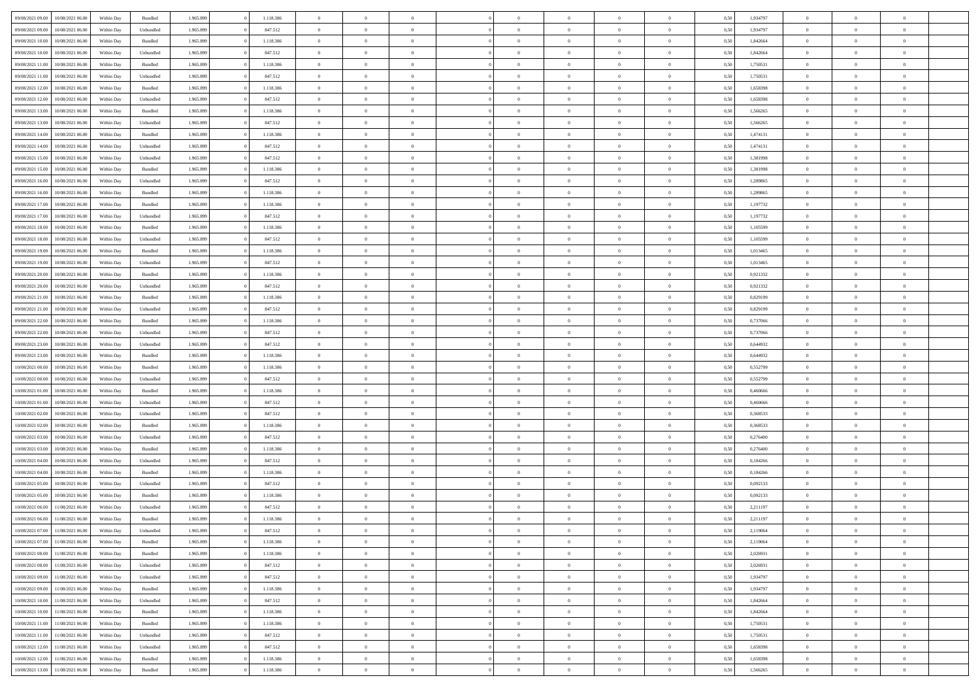| 09/08/2021 09:00 | 10/08/2021 06:00 | Within Day | Bundled   | 1.965.899 | 1.118.386 | $\overline{0}$ | $\theta$       |                | $\Omega$       | $\Omega$       | $\theta$       | $\theta$       | 0,50 | 1,934797 | $\theta$       | $\theta$       | $\theta$       |  |
|------------------|------------------|------------|-----------|-----------|-----------|----------------|----------------|----------------|----------------|----------------|----------------|----------------|------|----------|----------------|----------------|----------------|--|
|                  |                  |            |           |           |           |                |                |                |                |                |                |                |      |          |                |                |                |  |
| 09/08/2021 09:00 | 10/08/2021 06:00 | Within Day | Unbundled | 1.965.899 | 847.512   | $\overline{0}$ | $\theta$       | $\overline{0}$ | $\overline{0}$ | $\bf{0}$       | $\overline{0}$ | $\bf{0}$       | 0,50 | 1,934797 | $\theta$       | $\overline{0}$ | $\overline{0}$ |  |
| 09/08/2021 10:00 | 10/08/2021 06:00 | Within Day | Bundled   | 1.965.899 | 1.118.386 | $\overline{0}$ | $\bf{0}$       | $\overline{0}$ | $\bf{0}$       | $\bf{0}$       | $\bf{0}$       | $\mathbf{0}$   | 0,50 | 1,842664 | $\overline{0}$ | $\overline{0}$ | $\bf{0}$       |  |
| 09/08/2021 10:00 | 10/08/2021 06:00 | Within Dav | Unbundled | 1.965.899 | 847.512   | $\overline{0}$ | $\overline{0}$ | $\overline{0}$ | $\overline{0}$ | $\bf{0}$       | $\overline{0}$ | $\overline{0}$ | 0.50 | 1.842664 | $\theta$       | $\theta$       | $\overline{0}$ |  |
| 09/08/2021 11:00 | 10/08/2021 06:00 | Within Day | Bundled   | 1.965.899 | 1.118.386 | $\overline{0}$ | $\theta$       | $\overline{0}$ | $\overline{0}$ | $\bf{0}$       | $\overline{0}$ | $\bf{0}$       | 0,50 | 1,750531 | $\,$ 0 $\,$    | $\overline{0}$ | $\overline{0}$ |  |
| 09/08/2021 11:00 | 10/08/2021 06:00 | Within Day | Unbundled | 1.965.899 | 847.512   | $\overline{0}$ | $\overline{0}$ | $\overline{0}$ | $\bf{0}$       | $\overline{0}$ | $\overline{0}$ | $\mathbf{0}$   | 0,50 | 1,750531 | $\overline{0}$ | $\overline{0}$ | $\bf{0}$       |  |
|                  |                  |            |           |           |           |                | $\overline{0}$ |                |                | $\overline{0}$ |                |                |      |          | $\theta$       | $\overline{0}$ | $\overline{0}$ |  |
| 09/08/2021 12:00 | 10/08/2021 06:00 | Within Dav | Bundled   | 1.965.899 | 1.118.386 | $\overline{0}$ |                | $\overline{0}$ | $\overline{0}$ |                | $\overline{0}$ | $\overline{0}$ | 0.50 | 1,658398 |                |                |                |  |
| 09/08/2021 12:00 | 10/08/2021 06:00 | Within Day | Unbundled | 1.965.899 | 847.512   | $\overline{0}$ | $\theta$       | $\overline{0}$ | $\overline{0}$ | $\bf{0}$       | $\overline{0}$ | $\bf{0}$       | 0,50 | 1,658398 | $\,$ 0 $\,$    | $\theta$       | $\overline{0}$ |  |
| 09/08/2021 13:00 | 10/08/2021 06:00 | Within Day | Bundled   | 1.965.899 | 1.118.386 | $\overline{0}$ | $\overline{0}$ | $\overline{0}$ | $\bf{0}$       | $\bf{0}$       | $\bf{0}$       | $\mathbf{0}$   | 0,50 | 1,566265 | $\,0\,$        | $\overline{0}$ | $\overline{0}$ |  |
| 09/08/2021 13:00 | 10/08/2021 06:00 | Within Dav | Unbundled | 1.965.899 | 847.512   | $\overline{0}$ | $\overline{0}$ | $\overline{0}$ | $\overline{0}$ | $\overline{0}$ | $\overline{0}$ | $\overline{0}$ | 0.50 | 1,566265 | $\theta$       | $\overline{0}$ | $\overline{0}$ |  |
| 09/08/2021 14:00 | 10/08/2021 06:00 | Within Day | Bundled   | 1.965.899 | 1.118.386 | $\overline{0}$ | $\theta$       | $\overline{0}$ | $\overline{0}$ | $\bf{0}$       | $\overline{0}$ | $\bf{0}$       | 0,50 | 1,474131 | $\,$ 0 $\,$    | $\overline{0}$ | $\overline{0}$ |  |
| 09/08/2021 14:00 | 10/08/2021 06:00 | Within Day | Unbundled | 1.965.899 | 847.512   | $\overline{0}$ | $\overline{0}$ | $\overline{0}$ | $\bf{0}$       | $\bf{0}$       | $\bf{0}$       | $\mathbf{0}$   | 0,50 | 1,474131 | $\overline{0}$ | $\overline{0}$ | $\bf{0}$       |  |
| 09/08/2021 15:00 | 10/08/2021 06:00 | Within Dav | Unbundled | 1.965.899 | 847.512   | $\overline{0}$ | $\overline{0}$ | $\overline{0}$ | $\overline{0}$ | $\bf{0}$       | $\overline{0}$ | $\overline{0}$ | 0.50 | 1,381998 | $\theta$       | $\theta$       | $\overline{0}$ |  |
|                  |                  |            |           |           |           |                |                |                |                |                |                |                |      |          |                |                |                |  |
| 09/08/2021 15:00 | 10/08/2021 06:00 | Within Day | Bundled   | 1.965.899 | 1.118.386 | $\overline{0}$ | $\theta$       | $\overline{0}$ | $\overline{0}$ | $\bf{0}$       | $\overline{0}$ | $\bf{0}$       | 0,50 | 1,381998 | $\,$ 0 $\,$    | $\overline{0}$ | $\overline{0}$ |  |
| 09/08/2021 16:00 | 10/08/2021 06:00 | Within Day | Unbundled | 1.965.899 | 847.512   | $\overline{0}$ | $\overline{0}$ | $\overline{0}$ | $\bf{0}$       | $\overline{0}$ | $\overline{0}$ | $\mathbf{0}$   | 0,50 | 1,289865 | $\overline{0}$ | $\overline{0}$ | $\bf{0}$       |  |
| 09/08/2021 16:00 | 10/08/2021 06:00 | Within Dav | Bundled   | 1.965.899 | 1.118.386 | $\overline{0}$ | $\overline{0}$ | $\overline{0}$ | $\overline{0}$ | $\overline{0}$ | $\overline{0}$ | $\overline{0}$ | 0.50 | 1,289865 | $\overline{0}$ | $\overline{0}$ | $\overline{0}$ |  |
| 09/08/2021 17:00 | 10/08/2021 06:00 | Within Day | Bundled   | 1.965.899 | 1.118.386 | $\overline{0}$ | $\theta$       | $\overline{0}$ | $\overline{0}$ | $\bf{0}$       | $\overline{0}$ | $\bf{0}$       | 0,50 | 1,197732 | $\,$ 0 $\,$    | $\overline{0}$ | $\overline{0}$ |  |
| 09/08/2021 17:00 | 10/08/2021 06:00 | Within Day | Unbundled | 1.965.899 | 847.512   | $\overline{0}$ | $\overline{0}$ | $\overline{0}$ | $\bf{0}$       | $\bf{0}$       | $\bf{0}$       | $\mathbf{0}$   | 0,50 | 1,197732 | $\bf{0}$       | $\overline{0}$ | $\bf{0}$       |  |
| 09/08/2021 18:00 | 10/08/2021 06:00 | Within Dav | Bundled   | 1.965.899 | 1.118.386 | $\overline{0}$ | $\overline{0}$ | $\overline{0}$ | $\overline{0}$ | $\overline{0}$ | $\overline{0}$ | $\overline{0}$ | 0.50 | 1,105599 | $\theta$       | $\overline{0}$ | $\overline{0}$ |  |
| 09/08/2021 18:00 | 10/08/2021 06:00 | Within Day | Unbundled | 1.965.899 | 847.512   | $\overline{0}$ | $\theta$       | $\overline{0}$ | $\overline{0}$ | $\bf{0}$       | $\overline{0}$ | $\bf{0}$       | 0,50 | 1,105599 | $\,$ 0 $\,$    | $\overline{0}$ | $\overline{0}$ |  |
|                  |                  |            |           |           |           |                |                |                |                |                |                |                |      |          |                |                |                |  |
| 09/08/2021 19:00 | 10/08/2021 06:00 | Within Day | Bundled   | 1.965.899 | 1.118.386 | $\overline{0}$ | $\overline{0}$ | $\overline{0}$ | $\bf{0}$       | $\bf{0}$       | $\bf{0}$       | $\mathbf{0}$   | 0,50 | 1,013465 | $\overline{0}$ | $\overline{0}$ | $\bf{0}$       |  |
| 09/08/2021 19:00 | 10/08/2021 06:00 | Within Day | Unbundled | 1.965.899 | 847.512   | $\overline{0}$ | $\overline{0}$ | $\overline{0}$ | $\overline{0}$ | $\overline{0}$ | $\overline{0}$ | $\overline{0}$ | 0.50 | 1,013465 | $\theta$       | $\overline{0}$ | $\overline{0}$ |  |
| 09/08/2021 20:00 | 10/08/2021 06:00 | Within Day | Bundled   | 1.965.899 | 1.118.386 | $\overline{0}$ | $\theta$       | $\overline{0}$ | $\overline{0}$ | $\bf{0}$       | $\overline{0}$ | $\bf{0}$       | 0,50 | 0,921332 | $\,$ 0 $\,$    | $\overline{0}$ | $\overline{0}$ |  |
| 09/08/2021 20:00 | 10/08/2021 06:00 | Within Day | Unbundled | 1.965.899 | 847.512   | $\overline{0}$ | $\overline{0}$ | $\overline{0}$ | $\bf{0}$       | $\overline{0}$ | $\overline{0}$ | $\mathbf{0}$   | 0,50 | 0,921332 | $\overline{0}$ | $\overline{0}$ | $\bf{0}$       |  |
| 09/08/2021 21:00 | 10/08/2021 06:00 | Within Dav | Bundled   | 1.965.899 | 1.118.386 | $\overline{0}$ | $\overline{0}$ | $\overline{0}$ | $\overline{0}$ | $\overline{0}$ | $\overline{0}$ | $\overline{0}$ | 0.50 | 0.829199 | $\overline{0}$ | $\overline{0}$ | $\overline{0}$ |  |
| 09/08/2021 21:00 | 10/08/2021 06:00 | Within Day | Unbundled | 1.965.899 | 847.512   | $\overline{0}$ | $\theta$       | $\overline{0}$ | $\overline{0}$ | $\bf{0}$       | $\overline{0}$ | $\bf{0}$       | 0,50 | 0,829199 | $\,$ 0 $\,$    | $\overline{0}$ | $\overline{0}$ |  |
|                  |                  |            |           |           |           |                |                |                |                |                |                |                |      |          |                |                |                |  |
| 09/08/2021 22.00 | 10/08/2021 06:00 | Within Day | Bundled   | 1.965.899 | 1.118.386 | $\overline{0}$ | $\overline{0}$ | $\overline{0}$ | $\bf{0}$       | $\bf{0}$       | $\bf{0}$       | $\mathbf{0}$   | 0,50 | 0,737066 | $\,0\,$        | $\overline{0}$ | $\bf{0}$       |  |
| 09/08/2021 22.00 | 10/08/2021 06:00 | Within Day | Unbundled | 1.965.899 | 847.512   | $\overline{0}$ | $\overline{0}$ | $\overline{0}$ | $\overline{0}$ | $\overline{0}$ | $\overline{0}$ | $\overline{0}$ | 0.50 | 0,737066 | $\theta$       | $\overline{0}$ | $\overline{0}$ |  |
| 09/08/2021 23:00 | 10/08/2021 06:00 | Within Day | Unbundled | 1.965.899 | 847.512   | $\overline{0}$ | $\overline{0}$ | $\overline{0}$ | $\overline{0}$ | $\bf{0}$       | $\overline{0}$ | $\bf{0}$       | 0,50 | 0,644932 | $\,$ 0 $\,$    | $\overline{0}$ | $\overline{0}$ |  |
| 09/08/2021 23.00 | 10/08/2021 06:00 | Within Day | Bundled   | 1.965.899 | 1.118.386 | $\overline{0}$ | $\overline{0}$ | $\overline{0}$ | $\overline{0}$ | $\bf{0}$       | $\overline{0}$ | $\bf{0}$       | 0,50 | 0,644932 | $\bf{0}$       | $\overline{0}$ | $\bf{0}$       |  |
| 10/08/2021 00:00 | 10/08/2021 06:00 | Within Day | Bundled   | 1.965.899 | 1.118.386 | $\bf{0}$       | $\Omega$       | $\overline{0}$ | $\Omega$       | $\Omega$       | $\overline{0}$ | $\overline{0}$ | 0,50 | 0,552799 | $\,0\,$        | $\theta$       | $\theta$       |  |
| 10/08/2021 00:00 | 10/08/2021 06:00 | Within Day | Unbundled | 1.965.899 | 847.512   | $\overline{0}$ | $\theta$       | $\overline{0}$ | $\overline{0}$ | $\bf{0}$       | $\overline{0}$ | $\bf{0}$       | 0,50 | 0,552799 | $\,$ 0 $\,$    | $\overline{0}$ | $\overline{0}$ |  |
| 10/08/2021 01:00 | 10/08/2021 06:00 | Within Day | Bundled   | 1.965.899 | 1.118.386 | $\overline{0}$ | $\overline{0}$ | $\overline{0}$ | $\overline{0}$ | $\overline{0}$ | $\overline{0}$ | $\mathbf{0}$   | 0,50 | 0,460666 | $\bf{0}$       | $\overline{0}$ | $\bf{0}$       |  |
|                  | 10/08/2021 06:00 |            |           |           |           | $\overline{0}$ | $\Omega$       |                | $\Omega$       | $\overline{0}$ | $\overline{0}$ |                |      |          | $\,$ 0 $\,$    | $\theta$       | $\theta$       |  |
| 10/08/2021 01:00 |                  | Within Day | Unbundled | 1.965.899 | 847.512   |                |                | $\overline{0}$ |                |                |                | $\overline{0}$ | 0.50 | 0.460666 |                |                |                |  |
| 10/08/2021 02:00 | 10/08/2021 06:00 | Within Day | Unbundled | 1.965.899 | 847.512   | $\overline{0}$ | $\theta$       | $\overline{0}$ | $\overline{0}$ | $\bf{0}$       | $\overline{0}$ | $\bf{0}$       | 0,50 | 0,368533 | $\,$ 0 $\,$    | $\overline{0}$ | $\overline{0}$ |  |
| 10/08/2021 02:00 | 10/08/2021 06:00 | Within Day | Bundled   | 1.965.899 | 1.118.386 | $\overline{0}$ | $\bf{0}$       | $\overline{0}$ | $\overline{0}$ | $\bf{0}$       | $\overline{0}$ | $\mathbf{0}$   | 0,50 | 0,368533 | $\bf{0}$       | $\overline{0}$ | $\bf{0}$       |  |
| 10/08/2021 03:00 | 10/08/2021 06:00 | Within Day | Unbundled | 1.965.899 | 847.512   | $\overline{0}$ | $\Omega$       | $\overline{0}$ | $\Omega$       | $\overline{0}$ | $\overline{0}$ | $\overline{0}$ | 0.50 | 0,276400 | $\,$ 0 $\,$    | $\theta$       | $\theta$       |  |
| 10/08/2021 03:00 | 10/08/2021 06:00 | Within Day | Bundled   | 1.965.899 | 1.118.386 | $\overline{0}$ | $\overline{0}$ | $\overline{0}$ | $\overline{0}$ | $\,$ 0         | $\overline{0}$ | $\bf{0}$       | 0,50 | 0,276400 | $\,$ 0 $\,$    | $\overline{0}$ | $\overline{0}$ |  |
| 10/08/2021 04:00 | 10/08/2021 06:00 | Within Day | Unbundled | 1.965.899 | 847.512   | $\overline{0}$ | $\overline{0}$ | $\overline{0}$ | $\overline{0}$ | $\bf{0}$       | $\overline{0}$ | $\mathbf{0}$   | 0,50 | 0,184266 | $\bf{0}$       | $\overline{0}$ | $\bf{0}$       |  |
| 10/08/2021 04:00 | 10/08/2021 06:00 | Within Day | Bundled   | 1.965.899 | 1.118.386 | $\overline{0}$ | $\Omega$       | $\overline{0}$ | $\Omega$       | $\overline{0}$ | $\overline{0}$ | $\overline{0}$ | 0,50 | 0,184266 | $\,0\,$        | $\theta$       | $\theta$       |  |
| 10/08/2021 05:00 | 10/08/2021 06:00 | Within Day | Unbundled | 1.965.899 | 847.512   | $\overline{0}$ | $\overline{0}$ | $\overline{0}$ | $\overline{0}$ | $\,$ 0         | $\overline{0}$ | $\bf{0}$       | 0,50 | 0,092133 | $\,$ 0 $\,$    | $\overline{0}$ | $\overline{0}$ |  |
|                  |                  |            |           |           |           |                |                |                |                |                |                |                |      |          |                |                |                |  |
| 10/08/2021 05:00 | 10/08/2021 06:00 | Within Day | Bundled   | 1.965.899 | 1.118.386 | $\overline{0}$ | $\overline{0}$ | $\overline{0}$ | $\overline{0}$ | $\bf{0}$       | $\overline{0}$ | $\mathbf{0}$   | 0,50 | 0,092133 | $\bf{0}$       | $\overline{0}$ | $\bf{0}$       |  |
| 10/08/2021 06:00 | 11/08/2021 06:00 | Within Day | Unbundled | 1.965.899 | 847.512   | $\overline{0}$ | $\Omega$       | $\Omega$       | $\Omega$       | $\Omega$       | $\Omega$       | $\overline{0}$ | 0.50 | 2,211197 | $\theta$       | $\theta$       | $\theta$       |  |
| 10/08/2021 06:00 | 11/08/2021 06:00 | Within Day | Bundled   | 1.965.899 | 1.118.386 | $\overline{0}$ | $\overline{0}$ | $\overline{0}$ | $\bf{0}$       | $\,$ 0         | $\overline{0}$ | $\bf{0}$       | 0,50 | 2,211197 | $\,0\,$        | $\,0\,$        | $\overline{0}$ |  |
| 10/08/2021 07:00 | 11/08/2021 06:00 | Within Day | Unbundled | 1.965.899 | 847.512   | $\bf{0}$       | $\bf{0}$       |                |                | $\bf{0}$       |                |                | 0,50 | 2,119064 | $\bf{0}$       | $\overline{0}$ |                |  |
| 10/08/2021 07:00 | 11/08/2021 06:00 | Within Day | Bundled   | 1.965.899 | 1.118.386 | $\overline{0}$ | $\overline{0}$ | $\overline{0}$ | $\Omega$       | $\overline{0}$ | $\overline{0}$ | $\overline{0}$ | 0,50 | 2,119064 | $\theta$       | $\theta$       | $\Omega$       |  |
| 10/08/2021 08:00 | 11/08/2021 06:00 | Within Day | Bundled   | 1.965.899 | 1.118.386 | $\overline{0}$ | $\bf{0}$       | $\overline{0}$ | $\bf{0}$       | $\,$ 0 $\,$    | $\overline{0}$ | $\,$ 0 $\,$    | 0,50 | 2,026931 | $\,$ 0 $\,$    | $\,$ 0 $\,$    | $\,$ 0         |  |
| 10/08/2021 08:00 | 11/08/2021 06:00 | Within Day | Unbundled | 1.965.899 | 847.512   | $\overline{0}$ | $\overline{0}$ | $\overline{0}$ | $\overline{0}$ | $\overline{0}$ | $\overline{0}$ | $\mathbf{0}$   | 0,50 | 2,026931 | $\overline{0}$ | $\bf{0}$       | $\overline{0}$ |  |
|                  |                  |            |           |           |           |                |                |                |                |                |                |                |      |          |                |                |                |  |
| 10/08/2021 09:00 | 11/08/2021 06:00 | Within Day | Unbundled | 1.965.899 | 847.512   | $\overline{0}$ | $\overline{0}$ | $\overline{0}$ | $\Omega$       | $\overline{0}$ | $\overline{0}$ | $\overline{0}$ | 0,50 | 1,934797 | $\overline{0}$ | $\overline{0}$ | $\overline{0}$ |  |
| 10/08/2021 09:00 | 11/08/2021 06:00 | Within Day | Bundled   | 1.965.899 | 1.118.386 | $\overline{0}$ | $\,$ 0         | $\overline{0}$ | $\bf{0}$       | $\,$ 0 $\,$    | $\overline{0}$ | $\,$ 0 $\,$    | 0,50 | 1,934797 | $\,$ 0 $\,$    | $\overline{0}$ | $\overline{0}$ |  |
| 10/08/2021 10:00 | 11/08/2021 06:00 | Within Day | Unbundled | 1.965.899 | 847.512   | $\overline{0}$ | $\overline{0}$ | $\overline{0}$ | $\overline{0}$ | $\overline{0}$ | $\overline{0}$ | $\mathbf{0}$   | 0,50 | 1,842664 | $\overline{0}$ | $\overline{0}$ | $\overline{0}$ |  |
| 10/08/2021 10:00 | 11/08/2021 06:00 | Within Day | Bundled   | 1.965.899 | 1.118.386 | $\overline{0}$ | $\overline{0}$ | $\overline{0}$ | $\overline{0}$ | $\overline{0}$ | $\overline{0}$ | $\bf{0}$       | 0.50 | 1,842664 | $\overline{0}$ | $\theta$       | $\overline{0}$ |  |
| 10/08/2021 11:00 | 11/08/2021 06:00 | Within Day | Bundled   | 1.965.899 | 1.118.386 | $\overline{0}$ | $\,$ 0         | $\overline{0}$ | $\bf{0}$       | $\bf{0}$       | $\bf{0}$       | $\bf{0}$       | 0,50 | 1,750531 | $\,$ 0 $\,$    | $\overline{0}$ | $\overline{0}$ |  |
| 10/08/2021 11:00 | 11/08/2021 06:00 | Within Day | Unbundled | 1.965.899 | 847.512   | $\overline{0}$ | $\bf{0}$       | $\overline{0}$ | $\overline{0}$ | $\overline{0}$ | $\overline{0}$ | $\mathbf{0}$   | 0,50 | 1,750531 | $\overline{0}$ | $\overline{0}$ | $\bf{0}$       |  |
| 10/08/2021 12:00 | 11/08/2021 06:00 | Within Day | Unbundled | 1.965.899 | 847.512   | $\overline{0}$ | $\overline{0}$ | $\overline{0}$ | $\Omega$       | $\overline{0}$ | $\overline{0}$ | $\overline{0}$ | 0.50 | 1,658398 | $\overline{0}$ | $\overline{0}$ | $\overline{0}$ |  |
|                  |                  |            |           |           |           |                |                |                |                |                |                |                |      |          |                |                |                |  |
| 10/08/2021 12:00 | 11/08/2021 06:00 | Within Day | Bundled   | 1.965.899 | 1.118.386 | $\overline{0}$ | $\bf{0}$       | $\overline{0}$ | $\bf{0}$       | $\bf{0}$       | $\bf{0}$       | $\mathbf{0}$   | 0,50 | 1,658398 | $\,$ 0 $\,$    | $\,$ 0 $\,$    | $\bf{0}$       |  |
| 10/08/2021 13:00 | 11/08/2021 06:00 | Within Day | Bundled   | 1.965.899 | 1.118.386 | $\overline{0}$ | $\overline{0}$ | $\overline{0}$ | $\overline{0}$ | $\overline{0}$ | $\bf{0}$       | $\mathbf{0}$   | 0,50 | 1,566265 | $\overline{0}$ | $\bf{0}$       | $\overline{0}$ |  |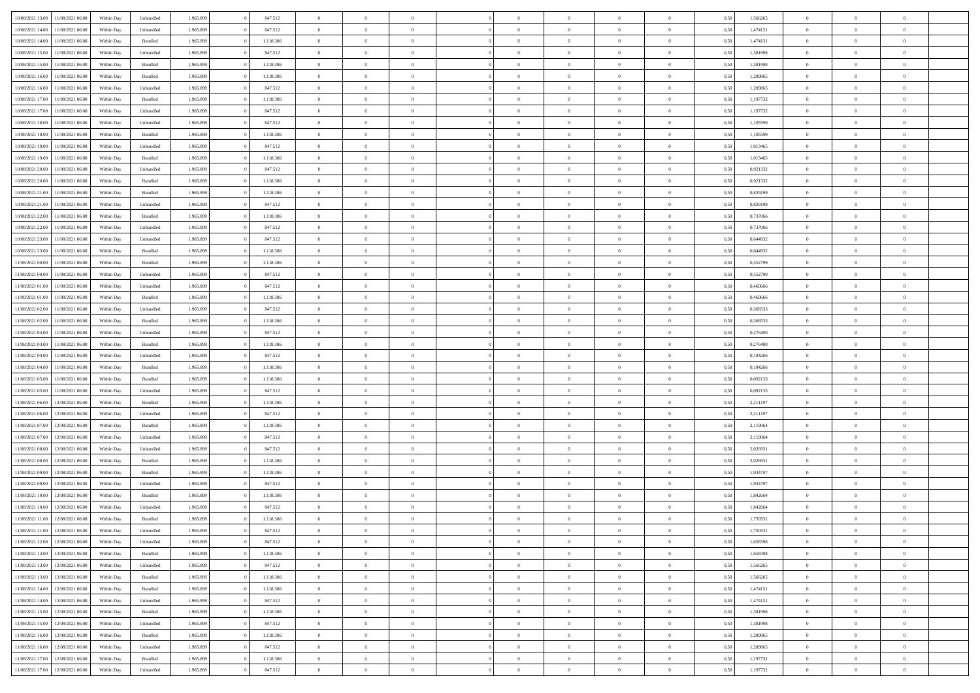| 10/08/2021 13:00 | 11/08/2021 06:00                  | Within Day | Unbundled          | 1.965.899 | 847.512   | $\overline{0}$ | $\theta$       |                | $\Omega$       | $\Omega$       | $\Omega$       | $\theta$       | 0.50 | 1,566265 | $\theta$       | $\theta$       | $\theta$       |  |
|------------------|-----------------------------------|------------|--------------------|-----------|-----------|----------------|----------------|----------------|----------------|----------------|----------------|----------------|------|----------|----------------|----------------|----------------|--|
|                  |                                   |            |                    |           |           |                |                |                |                |                |                |                |      |          |                |                |                |  |
| 10/08/2021 14:00 | 11/08/2021 06:00                  | Within Day | Unbundled          | 1.965.899 | 847.512   | $\overline{0}$ | $\theta$       | $\overline{0}$ | $\overline{0}$ | $\bf{0}$       | $\overline{0}$ | $\bf{0}$       | 0,50 | 1,474131 | $\theta$       | $\theta$       | $\overline{0}$ |  |
| 10/08/2021 14:00 | 11/08/2021 06:00                  | Within Day | Bundled            | 1.965.899 | 1.118.386 | $\overline{0}$ | $\overline{0}$ | $\overline{0}$ | $\bf{0}$       | $\bf{0}$       | $\bf{0}$       | $\mathbf{0}$   | 0,50 | 1,474131 | $\overline{0}$ | $\overline{0}$ | $\overline{0}$ |  |
| 10/08/2021 15:00 | 11/08/2021 06:00                  | Within Dav | Unbundled          | 1.965.899 | 847.512   | $\overline{0}$ | $\overline{0}$ | $\overline{0}$ | $\overline{0}$ | $\bf{0}$       | $\overline{0}$ | $\overline{0}$ | 0.50 | 1.381998 | $\theta$       | $\theta$       | $\overline{0}$ |  |
|                  |                                   |            |                    |           |           | $\overline{0}$ | $\theta$       | $\overline{0}$ |                | $\bf{0}$       | $\overline{0}$ |                |      |          | $\theta$       | $\overline{0}$ | $\overline{0}$ |  |
| 10/08/2021 15:00 | 11/08/2021 06:00                  | Within Day | Bundled            | 1.965.899 | 1.118.386 |                |                |                | $\overline{0}$ |                |                | $\bf{0}$       | 0,50 | 1,381998 |                |                |                |  |
| 10/08/2021 16:00 | 11/08/2021 06:00                  | Within Day | Bundled            | 1.965.899 | 1.118.386 | $\overline{0}$ | $\bf{0}$       | $\overline{0}$ | $\bf{0}$       | $\overline{0}$ | $\overline{0}$ | $\mathbf{0}$   | 0,50 | 1,289865 | $\overline{0}$ | $\overline{0}$ | $\bf{0}$       |  |
| 10/08/2021 16:00 | 11/08/2021 06:00                  | Within Dav | Unbundled          | 1.965.899 | 847.512   | $\overline{0}$ | $\overline{0}$ | $\overline{0}$ | $\overline{0}$ | $\overline{0}$ | $\overline{0}$ | $\overline{0}$ | 0.50 | 1,289865 | $\theta$       | $\overline{0}$ | $\overline{0}$ |  |
| 10/08/2021 17:00 | 11/08/2021 06:00                  | Within Day | Bundled            | 1.965.899 | 1.118.386 | $\overline{0}$ | $\theta$       | $\overline{0}$ | $\overline{0}$ | $\bf{0}$       | $\overline{0}$ | $\bf{0}$       | 0,50 | 1,197732 | $\theta$       | $\theta$       | $\overline{0}$ |  |
| 10/08/2021 17:00 | 11/08/2021 06:00                  | Within Day | Unbundled          | 1.965.899 | 847.512   | $\overline{0}$ | $\overline{0}$ | $\overline{0}$ | $\bf{0}$       | $\bf{0}$       | $\bf{0}$       | $\mathbf{0}$   | 0,50 | 1,197732 | $\,0\,$        | $\overline{0}$ | $\overline{0}$ |  |
|                  |                                   |            |                    |           |           |                | $\overline{0}$ |                |                | $\overline{0}$ |                |                |      |          | $\theta$       | $\overline{0}$ | $\overline{0}$ |  |
| 10/08/2021 18:00 | 11/08/2021 06:00                  | Within Dav | Unbundled          | 1.965.899 | 847.512   | $\overline{0}$ |                | $\overline{0}$ | $\overline{0}$ |                | $\overline{0}$ | $\overline{0}$ | 0.50 | 1,105599 |                |                |                |  |
| 10/08/2021 18:00 | 11/08/2021 06:00                  | Within Day | Bundled            | 1.965.899 | 1.118.386 | $\overline{0}$ | $\theta$       | $\overline{0}$ | $\overline{0}$ | $\bf{0}$       | $\overline{0}$ | $\bf{0}$       | 0,50 | 1,105599 | $\,$ 0 $\,$    | $\overline{0}$ | $\overline{0}$ |  |
| 10/08/2021 19:00 | 11/08/2021 06:00                  | Within Day | Unbundled          | 1.965.899 | 847.512   | $\overline{0}$ | $\overline{0}$ | $\overline{0}$ | $\bf{0}$       | $\bf{0}$       | $\bf{0}$       | $\mathbf{0}$   | 0,50 | 1,013465 | $\overline{0}$ | $\overline{0}$ | $\overline{0}$ |  |
| 10/08/2021 19:00 | 11/08/2021 06:00                  | Within Day | Bundled            | 1.965.899 | 1.118.386 | $\overline{0}$ | $\overline{0}$ | $\overline{0}$ | $\overline{0}$ | $\bf{0}$       | $\overline{0}$ | $\overline{0}$ | 0.50 | 1.013465 | $\theta$       | $\theta$       | $\overline{0}$ |  |
| 10/08/2021 20:00 | 11/08/2021 06:00                  | Within Day | Unbundled          | 1.965.899 | 847.512   | $\overline{0}$ | $\theta$       | $\overline{0}$ | $\overline{0}$ | $\bf{0}$       | $\overline{0}$ | $\bf{0}$       | 0,50 | 0,921332 | $\theta$       | $\theta$       | $\overline{0}$ |  |
|                  |                                   |            |                    |           |           |                |                |                |                |                |                |                |      |          |                |                |                |  |
| 10/08/2021 20:00 | 11/08/2021 06:00                  | Within Day | Bundled            | 1.965.899 | 1.118.386 | $\overline{0}$ | $\overline{0}$ | $\overline{0}$ | $\bf{0}$       | $\overline{0}$ | $\overline{0}$ | $\mathbf{0}$   | 0,50 | 0,921332 | $\overline{0}$ | $\overline{0}$ | $\bf{0}$       |  |
| 10/08/2021 21:00 | 11/08/2021 06:00                  | Within Dav | Bundled            | 1.965.899 | 1.118.386 | $\overline{0}$ | $\overline{0}$ | $\overline{0}$ | $\overline{0}$ | $\overline{0}$ | $\overline{0}$ | $\overline{0}$ | 0.50 | 0.829199 | $\theta$       | $\overline{0}$ | $\overline{0}$ |  |
| 10/08/2021 21:00 | 11/08/2021 06:00                  | Within Day | Unbundled          | 1.965.899 | 847.512   | $\overline{0}$ | $\theta$       | $\overline{0}$ | $\overline{0}$ | $\bf{0}$       | $\overline{0}$ | $\bf{0}$       | 0,50 | 0,829199 | $\theta$       | $\theta$       | $\overline{0}$ |  |
| 10/08/2021 22:00 | 11/08/2021 06:00                  | Within Day | Bundled            | 1.965.899 | 1.118.386 | $\overline{0}$ | $\overline{0}$ | $\overline{0}$ | $\bf{0}$       | $\bf{0}$       | $\bf{0}$       | $\mathbf{0}$   | 0,50 | 0,737066 | $\,0\,$        | $\overline{0}$ | $\overline{0}$ |  |
| 10/08/2021 22:00 | 11/08/2021 06:00                  | Within Day | Unbundled          | 1.965.899 | 847.512   | $\overline{0}$ | $\overline{0}$ | $\overline{0}$ | $\overline{0}$ | $\overline{0}$ | $\overline{0}$ | $\overline{0}$ | 0.50 | 0,737066 | $\theta$       | $\overline{0}$ | $\overline{0}$ |  |
| 10/08/2021 23:00 | 11/08/2021 06:00                  | Within Day | Unbundled          | 1.965.899 | 847.512   | $\overline{0}$ | $\theta$       | $\overline{0}$ | $\overline{0}$ | $\bf{0}$       | $\overline{0}$ | $\bf{0}$       | 0,50 | 0,644932 | $\,$ 0 $\,$    | $\overline{0}$ | $\overline{0}$ |  |
|                  |                                   |            |                    |           |           |                |                |                |                |                |                |                |      |          |                |                |                |  |
| 10/08/2021 23:00 | 11/08/2021 06:00                  | Within Day | Bundled            | 1.965.899 | 1.118.386 | $\overline{0}$ | $\overline{0}$ | $\overline{0}$ | $\bf{0}$       | $\bf{0}$       | $\bf{0}$       | $\bf{0}$       | 0,50 | 0,644932 | $\bf{0}$       | $\overline{0}$ | $\overline{0}$ |  |
| 11/08/2021 00:00 | 11/08/2021 06:00                  | Within Day | Bundled            | 1.965.899 | 1.118.386 | $\overline{0}$ | $\overline{0}$ | $\overline{0}$ | $\overline{0}$ | $\bf{0}$       | $\overline{0}$ | $\overline{0}$ | 0.50 | 0,552799 | $\theta$       | $\overline{0}$ | $\overline{0}$ |  |
| 11/08/2021 00:00 | 11/08/2021 06:00                  | Within Day | Unbundled          | 1.965.899 | 847.512   | $\overline{0}$ | $\theta$       | $\overline{0}$ | $\overline{0}$ | $\bf{0}$       | $\overline{0}$ | $\bf{0}$       | 0,50 | 0,552799 | $\,$ 0 $\,$    | $\overline{0}$ | $\overline{0}$ |  |
| 11/08/2021 01:00 | 11/08/2021 06:00                  | Within Day | Unbundled          | 1.965.899 | 847.512   | $\overline{0}$ | $\overline{0}$ | $\overline{0}$ | $\bf{0}$       | $\overline{0}$ | $\overline{0}$ | $\mathbf{0}$   | 0,50 | 0,460666 | $\overline{0}$ | $\overline{0}$ | $\bf{0}$       |  |
| 11/08/2021 01:00 | 11/08/2021 06:00                  | Within Dav | Bundled            | 1.965.899 | 1.118.386 | $\overline{0}$ | $\overline{0}$ | $\overline{0}$ | $\overline{0}$ | $\overline{0}$ | $\overline{0}$ | $\overline{0}$ | 0.50 | 0,460666 | $\theta$       | $\overline{0}$ | $\overline{0}$ |  |
| 11/08/2021 02:00 | 11/08/2021 06:00                  | Within Day | Unbundled          | 1.965.899 | 847.512   | $\overline{0}$ | $\theta$       | $\overline{0}$ | $\overline{0}$ | $\bf{0}$       | $\overline{0}$ | $\bf{0}$       | 0,50 | 0,368533 | $\theta$       | $\theta$       | $\overline{0}$ |  |
| 11/08/2021 02:00 | 11/08/2021 06:00                  | Within Day | Bundled            | 1.965.899 | 1.118.386 | $\overline{0}$ | $\overline{0}$ | $\overline{0}$ | $\bf{0}$       | $\bf{0}$       | $\bf{0}$       | $\bf{0}$       | 0,50 | 0,368533 | $\,0\,$        | $\overline{0}$ | $\overline{0}$ |  |
|                  |                                   |            |                    |           |           |                |                |                |                |                |                |                |      |          |                |                |                |  |
| 11/08/2021 03:00 | 11/08/2021 06:00                  | Within Day | Unbundled          | 1.965.899 | 847.512   | $\overline{0}$ | $\overline{0}$ | $\overline{0}$ | $\overline{0}$ | $\overline{0}$ | $\overline{0}$ | $\overline{0}$ | 0.50 | 0,276400 | $\theta$       | $\overline{0}$ | $\overline{0}$ |  |
| 11/08/2021 03:00 | 11/08/2021 06:00                  | Within Day | Bundled            | 1.965.899 | 1.118.386 | $\overline{0}$ | $\theta$       | $\overline{0}$ | $\overline{0}$ | $\bf{0}$       | $\overline{0}$ | $\bf{0}$       | 0,50 | 0,276400 | $\,$ 0 $\,$    | $\overline{0}$ | $\overline{0}$ |  |
| 11/08/2021 04:00 | 11/08/2021 06:00                  | Within Day | Unbundled          | 1.965.899 | 847.512   | $\overline{0}$ | $\overline{0}$ | $\overline{0}$ | $\bf{0}$       | $\bf{0}$       | $\bf{0}$       | $\bf{0}$       | 0,50 | 0,184266 | $\overline{0}$ | $\overline{0}$ | $\overline{0}$ |  |
| 11/08/2021 04:00 | 11/08/2021 06:00                  | Within Day | Bundled            | 1.965.899 | 1.118.386 | $\overline{0}$ | $\Omega$       | $\overline{0}$ | $\Omega$       | $\Omega$       | $\overline{0}$ | $\overline{0}$ | 0,50 | 0,184266 | $\,0\,$        | $\theta$       | $\theta$       |  |
| 11/08/2021 05:00 | 11/08/2021 06:00                  | Within Day | Bundled            | 1.965.899 | 1.118.386 | $\overline{0}$ | $\theta$       | $\overline{0}$ | $\overline{0}$ | $\bf{0}$       | $\overline{0}$ | $\bf{0}$       | 0,50 | 0,092133 | $\theta$       | $\theta$       | $\overline{0}$ |  |
| 11/08/2021 05:00 | 11/08/2021 06:00                  | Within Day | Unbundled          | 1.965.899 | 847.512   | $\overline{0}$ | $\overline{0}$ | $\overline{0}$ | $\bf{0}$       | $\bf{0}$       | $\overline{0}$ | $\mathbf{0}$   | 0,50 | 0,092133 | $\bf{0}$       | $\overline{0}$ | $\bf{0}$       |  |
| 11/08/2021 06:00 | 12/08/2021 06:00                  |            |                    |           |           | $\overline{0}$ | $\Omega$       | $\Omega$       | $\Omega$       | $\bf{0}$       | $\overline{0}$ | $\overline{0}$ | 0.50 |          | $\,0\,$        | $\theta$       | $\theta$       |  |
|                  |                                   | Within Day | Bundled            | 1.965.899 | 1.118.386 |                |                |                |                |                |                |                |      | 2,211197 |                |                |                |  |
| 11/08/2021 06:00 | 12/08/2021 06:00                  | Within Day | Unbundled          | 1.965.899 | 847.512   | $\overline{0}$ | $\theta$       | $\overline{0}$ | $\overline{0}$ | $\bf{0}$       | $\overline{0}$ | $\bf{0}$       | 0,50 | 2,211197 | $\,$ 0 $\,$    | $\overline{0}$ | $\overline{0}$ |  |
| 11/08/2021 07:00 | 12/08/2021 06:00                  | Within Day | Bundled            | 1.965.899 | 1.118.386 | $\overline{0}$ | $\overline{0}$ | $\overline{0}$ | $\bf{0}$       | $\bf{0}$       | $\bf{0}$       | $\bf{0}$       | 0,50 | 2,119064 | $\bf{0}$       | $\overline{0}$ | $\overline{0}$ |  |
| 11/08/2021 07:00 | 12/08/2021 06:00                  | Within Day | Unbundled          | 1.965.899 | 847.512   | $\overline{0}$ | $\Omega$       | $\overline{0}$ | $\Omega$       | $\overline{0}$ | $\overline{0}$ | $\overline{0}$ | 0.50 | 2,119064 | $\,$ 0 $\,$    | $\theta$       | $\theta$       |  |
| 11/08/2021 08:00 | 12/08/2021 06:00                  | Within Day | Unbundled          | 1.965.899 | 847.512   | $\overline{0}$ | $\theta$       | $\overline{0}$ | $\overline{0}$ | $\,$ 0         | $\overline{0}$ | $\bf{0}$       | 0,50 | 2,026931 | $\,$ 0 $\,$    | $\overline{0}$ | $\overline{0}$ |  |
| 11/08/2021 08:00 | 12/08/2021 06:00                  | Within Day | Bundled            | 1.965.899 | 1.118.386 | $\overline{0}$ | $\overline{0}$ | $\overline{0}$ | $\bf{0}$       | $\bf{0}$       | $\bf{0}$       | $\mathbf{0}$   | 0,50 | 2,026931 | $\bf{0}$       | $\overline{0}$ | $\overline{0}$ |  |
|                  |                                   |            |                    |           |           |                |                |                |                |                |                |                |      |          |                |                |                |  |
| 11/08/2021 09:00 | 12/08/2021 06:00                  | Within Day | Bundled            | 1.965.899 | 1.118.386 | $\overline{0}$ | $\Omega$       | $\overline{0}$ | $\Omega$       | $\overline{0}$ | $\overline{0}$ | $\overline{0}$ | 0.50 | 1,934797 | $\,0\,$        | $\theta$       | $\theta$       |  |
| 11/08/2021 09:00 | 12/08/2021 06:00                  | Within Day | Unbundled          | 1.965.899 | 847.512   | $\overline{0}$ | $\theta$       | $\overline{0}$ | $\overline{0}$ | $\,$ 0         | $\overline{0}$ | $\bf{0}$       | 0,50 | 1,934797 | $\,$ 0 $\,$    | $\overline{0}$ | $\overline{0}$ |  |
| 11/08/2021 10:00 | 12/08/2021 06:00                  | Within Day | Bundled            | 1.965.899 | 1.118.386 | $\overline{0}$ | $\overline{0}$ | $\overline{0}$ | $\bf{0}$       | $\bf{0}$       | $\bf{0}$       | $\mathbf{0}$   | 0,50 | 1,842664 | $\bf{0}$       | $\overline{0}$ | $\bf{0}$       |  |
| 11/08/2021 10:00 | 12/08/2021 06:00                  | Within Day | Unbundled          | 1.965.899 | 847.512   | $\overline{0}$ | $\Omega$       | $\Omega$       | $\Omega$       | $\Omega$       | $\Omega$       | $\overline{0}$ | 0.50 | 1.842664 | $\theta$       | $\theta$       | $\theta$       |  |
| 11/08/2021 11:00 | 12/08/2021 06:00                  | Within Day | Bundled            | 1.965.899 | 1.118.386 | $\overline{0}$ | $\overline{0}$ | $\overline{0}$ | $\bf{0}$       | $\,$ 0         | $\bf{0}$       | $\bf{0}$       | 0,50 | 1,750531 | $\,0\,$        | $\overline{0}$ | $\overline{0}$ |  |
| 11/08/2021 11:00 | 12/08/2021 06:00                  | Within Day | Unbundled          | 1.965.899 | 847.512   | $\bf{0}$       | $\bf{0}$       |                |                |                |                |                | 0,50 | 1,750531 | $\bf{0}$       | $\overline{0}$ |                |  |
| 11/08/2021 12:00 | 12/08/2021 06:00                  | Within Day | Unbundled          | 1.965.899 | 847.512   | $\overline{0}$ | $\overline{0}$ | $\overline{0}$ | $\Omega$       | $\overline{0}$ | $\overline{0}$ | $\overline{0}$ | 0,50 | 1,658398 | $\theta$       | $\theta$       | $\theta$       |  |
|                  |                                   |            |                    |           |           |                |                |                |                |                |                |                |      |          |                |                |                |  |
| 11/08/2021 12:00 | 12/08/2021 06:00                  | Within Day | Bundled            | 1.965.899 | 1.118.386 | $\overline{0}$ | $\bf{0}$       | $\overline{0}$ | $\overline{0}$ | $\,$ 0 $\,$    | $\overline{0}$ | $\,$ 0 $\,$    | 0,50 | 1,658398 | $\,$ 0 $\,$    | $\,$ 0 $\,$    | $\,$ 0         |  |
| 11/08/2021 13:00 | 12/08/2021 06:00                  | Within Day | Unbundled          | 1.965.899 | 847.512   | $\overline{0}$ | $\overline{0}$ | $\overline{0}$ | $\overline{0}$ | $\overline{0}$ | $\overline{0}$ | $\mathbf{0}$   | 0,50 | 1,566265 | $\overline{0}$ | $\bf{0}$       | $\overline{0}$ |  |
| 11/08/2021 13:00 | 12/08/2021 06:00                  | Within Day | $\mathbf B$ undled | 1.965.899 | 1.118.386 | $\overline{0}$ | $\overline{0}$ | $\overline{0}$ | $\Omega$       | $\overline{0}$ | $\overline{0}$ | $\overline{0}$ | 0,50 | 1,566265 | $\overline{0}$ | $\overline{0}$ | $\overline{0}$ |  |
| 11/08/2021 14:00 | 12/08/2021 06:00                  | Within Day | Bundled            | 1.965.899 | 1.118.386 | $\overline{0}$ | $\,$ 0         | $\overline{0}$ | $\overline{0}$ | $\,$ 0 $\,$    | $\overline{0}$ | $\,$ 0 $\,$    | 0,50 | 1,474131 | $\,$ 0 $\,$    | $\overline{0}$ | $\overline{0}$ |  |
| 11/08/2021 14:00 | 12/08/2021 06:00                  | Within Day | Unbundled          | 1.965.899 | 847.512   | $\overline{0}$ | $\overline{0}$ | $\overline{0}$ | $\overline{0}$ | $\overline{0}$ | $\overline{0}$ | $\mathbf{0}$   | 0,50 | 1,474131 | $\overline{0}$ | $\overline{0}$ | $\overline{0}$ |  |
| 11/08/2021 15:00 | 12/08/2021 06:00                  | Within Day | Bundled            | 1.965.899 | 1.118.386 | $\overline{0}$ | $\overline{0}$ | $\overline{0}$ | $\overline{0}$ | $\overline{0}$ | $\overline{0}$ | $\bf{0}$       | 0.50 | 1,381998 | $\overline{0}$ | $\theta$       | $\overline{0}$ |  |
| 11/08/2021 15:00 | 12/08/2021 06:00                  | Within Day | Unbundled          | 1.965.899 | 847.512   | $\overline{0}$ | $\,$ 0         | $\overline{0}$ | $\overline{0}$ | $\bf{0}$       | $\overline{0}$ | $\bf{0}$       | 0,50 | 1,381998 | $\,$ 0 $\,$    | $\overline{0}$ | $\overline{0}$ |  |
|                  |                                   |            |                    |           |           |                |                |                |                |                |                |                |      |          |                |                |                |  |
| 11/08/2021 16:00 | 12/08/2021 06:00                  | Within Day | Bundled            | 1.965.899 | 1.118.386 | $\overline{0}$ | $\bf{0}$       | $\overline{0}$ | $\overline{0}$ | $\overline{0}$ | $\overline{0}$ | $\mathbf{0}$   | 0,50 | 1,289865 | $\overline{0}$ | $\overline{0}$ | $\bf{0}$       |  |
| 11/08/2021 16:00 | 12/08/2021 06:00                  | Within Day | Unbundled          | 1.965.899 | 847.512   | $\overline{0}$ | $\overline{0}$ | $\overline{0}$ | $\Omega$       | $\overline{0}$ | $\overline{0}$ | $\overline{0}$ | 0.50 | 1,289865 | $\overline{0}$ | $\overline{0}$ | $\overline{0}$ |  |
| 11/08/2021 17:00 | 12/08/2021 06:00                  | Within Day | Bundled            | 1.965.899 | 1.118.386 | $\overline{0}$ | $\bf{0}$       | $\overline{0}$ | $\bf{0}$       | $\bf{0}$       | $\overline{0}$ | $\mathbf{0}$   | 0,50 | 1,197732 | $\,$ 0 $\,$    | $\,$ 0 $\,$    | $\bf{0}$       |  |
|                  | 11/08/2021 17:00 12/08/2021 06:00 | Within Day | Unbundled          | 1.965.899 | 847.512   | $\overline{0}$ | $\overline{0}$ | $\overline{0}$ | $\overline{0}$ | $\overline{0}$ | $\overline{0}$ | $\mathbf{0}$   | 0,50 | 1,197732 | $\overline{0}$ | $\bf{0}$       | $\overline{0}$ |  |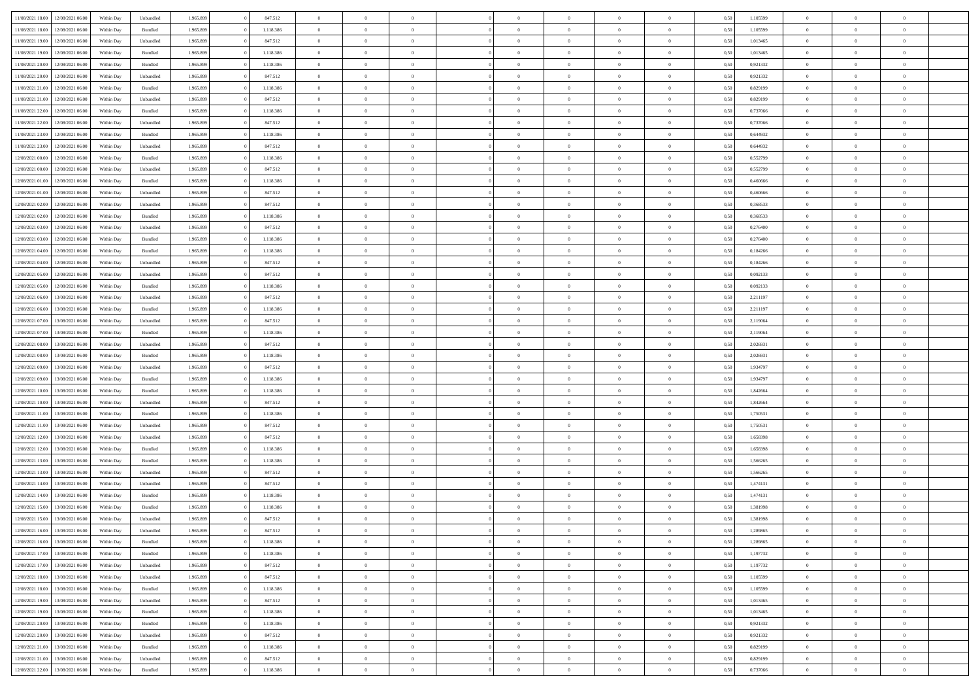| 11/08/2021 18:00                  | 12/08/2021 06:00 | Within Dav | Unbundled | 1.965.899 | 847.512   | $\overline{0}$ | $\theta$       |                | $\Omega$       | $\Omega$       | $\theta$       | $\theta$       | 0,50 | 1,105599 | $\theta$       | $\theta$       | $\theta$       |  |
|-----------------------------------|------------------|------------|-----------|-----------|-----------|----------------|----------------|----------------|----------------|----------------|----------------|----------------|------|----------|----------------|----------------|----------------|--|
| 11/08/2021 18:00                  | 12/08/2021 06:00 | Within Day | Bundled   | 1.965.899 | 1.118.386 | $\overline{0}$ | $\theta$       | $\overline{0}$ | $\overline{0}$ | $\bf{0}$       | $\overline{0}$ | $\bf{0}$       | 0,50 | 1,105599 | $\theta$       | $\overline{0}$ | $\overline{0}$ |  |
| 11/08/2021 19:00                  | 12/08/2021 06:00 | Within Day | Unbundled | 1.965.899 | 847.512   | $\overline{0}$ | $\bf{0}$       | $\overline{0}$ | $\overline{0}$ | $\bf{0}$       | $\overline{0}$ | $\mathbf{0}$   | 0,50 | 1,013465 | $\overline{0}$ | $\overline{0}$ | $\bf{0}$       |  |
| 11/08/2021 19:00                  | 12/08/2021 06:00 | Within Dav | Bundled   | 1.965.899 | 1.118.386 | $\overline{0}$ | $\overline{0}$ | $\overline{0}$ | $\overline{0}$ | $\bf{0}$       | $\overline{0}$ | $\overline{0}$ | 0.50 | 1.013465 | $\theta$       | $\theta$       | $\overline{0}$ |  |
|                                   |                  |            |           |           |           |                |                |                |                |                |                |                |      |          |                |                |                |  |
| 11/08/2021 20:00                  | 12/08/2021 06:00 | Within Day | Bundled   | 1.965.899 | 1.118.386 | $\overline{0}$ | $\theta$       | $\overline{0}$ | $\overline{0}$ | $\bf{0}$       | $\overline{0}$ | $\bf{0}$       | 0,50 | 0,921332 | $\,$ 0 $\,$    | $\overline{0}$ | $\overline{0}$ |  |
| 11/08/2021 20:00                  | 12/08/2021 06:00 | Within Day | Unbundled | 1.965.899 | 847.512   | $\overline{0}$ | $\overline{0}$ | $\overline{0}$ | $\overline{0}$ | $\overline{0}$ | $\overline{0}$ | $\mathbf{0}$   | 0,50 | 0,921332 | $\overline{0}$ | $\overline{0}$ | $\bf{0}$       |  |
| 11/08/2021 21:00                  | 12/08/2021 06:00 | Within Dav | Bundled   | 1.965.899 | 1.118.386 | $\overline{0}$ | $\overline{0}$ | $\overline{0}$ | $\overline{0}$ | $\overline{0}$ | $\overline{0}$ | $\overline{0}$ | 0.50 | 0.829199 | $\theta$       | $\overline{0}$ | $\overline{0}$ |  |
| 11/08/2021 21:00                  | 12/08/2021 06:00 | Within Day | Unbundled | 1.965.899 | 847.512   | $\overline{0}$ | $\theta$       | $\overline{0}$ | $\overline{0}$ | $\bf{0}$       | $\overline{0}$ | $\bf{0}$       | 0,50 | 0,829199 | $\theta$       | $\theta$       | $\overline{0}$ |  |
|                                   |                  |            |           |           |           |                |                |                |                |                |                |                |      |          |                |                |                |  |
| 11/08/2021 22:00                  | 12/08/2021 06:00 | Within Day | Bundled   | 1.965.899 | 1.118.386 | $\overline{0}$ | $\overline{0}$ | $\overline{0}$ | $\bf{0}$       | $\bf{0}$       | $\bf{0}$       | $\mathbf{0}$   | 0,50 | 0,737066 | $\,0\,$        | $\overline{0}$ | $\overline{0}$ |  |
| 11/08/2021 22:00                  | 12/08/2021 06:00 | Within Dav | Unbundled | 1.965.899 | 847.512   | $\overline{0}$ | $\overline{0}$ | $\overline{0}$ | $\overline{0}$ | $\overline{0}$ | $\overline{0}$ | $\overline{0}$ | 0.50 | 0,737066 | $\theta$       | $\overline{0}$ | $\overline{0}$ |  |
| 11/08/2021 23:00                  | 12/08/2021 06:00 | Within Day | Bundled   | 1.965.899 | 1.118.386 | $\overline{0}$ | $\theta$       | $\overline{0}$ | $\overline{0}$ | $\bf{0}$       | $\overline{0}$ | $\bf{0}$       | 0,50 | 0,644932 | $\,$ 0 $\,$    | $\overline{0}$ | $\overline{0}$ |  |
| 11/08/2021 23:00                  | 12/08/2021 06:00 | Within Day | Unbundled | 1.965.899 | 847.512   | $\overline{0}$ | $\overline{0}$ | $\overline{0}$ | $\bf{0}$       | $\bf{0}$       | $\bf{0}$       | $\mathbf{0}$   | 0,50 | 0,644932 | $\bf{0}$       | $\overline{0}$ | $\bf{0}$       |  |
|                                   |                  |            |           |           |           |                |                |                |                |                |                |                |      |          |                |                |                |  |
| 12/08/2021 00:00                  | 12/08/2021 06:00 | Within Day | Bundled   | 1.965.899 | 1.118.386 | $\overline{0}$ | $\overline{0}$ | $\overline{0}$ | $\overline{0}$ | $\bf{0}$       | $\overline{0}$ | $\overline{0}$ | 0.50 | 0,552799 | $\theta$       | $\theta$       | $\overline{0}$ |  |
| 12/08/2021 00:00                  | 12/08/2021 06:00 | Within Day | Unbundled | 1.965.899 | 847.512   | $\overline{0}$ | $\theta$       | $\overline{0}$ | $\overline{0}$ | $\bf{0}$       | $\overline{0}$ | $\bf{0}$       | 0,50 | 0,552799 | $\theta$       | $\overline{0}$ | $\overline{0}$ |  |
| 12/08/2021 01:00                  | 12/08/2021 06:00 | Within Day | Bundled   | 1.965.899 | 1.118.386 | $\overline{0}$ | $\overline{0}$ | $\overline{0}$ | $\bf{0}$       | $\overline{0}$ | $\overline{0}$ | $\mathbf{0}$   | 0,50 | 0,460666 | $\overline{0}$ | $\overline{0}$ | $\bf{0}$       |  |
| 12/08/2021 01:00                  | 12/08/2021 06:00 | Within Dav | Unbundled | 1.965.899 | 847.512   | $\overline{0}$ | $\overline{0}$ | $\overline{0}$ | $\overline{0}$ | $\overline{0}$ | $\overline{0}$ | $\overline{0}$ | 0.50 | 0.460666 | $\theta$       | $\overline{0}$ | $\overline{0}$ |  |
| 12/08/2021 02:00                  | 12/08/2021 06:00 |            |           | 1.965.899 | 847.512   | $\overline{0}$ | $\theta$       | $\overline{0}$ | $\overline{0}$ | $\bf{0}$       | $\overline{0}$ |                |      | 0,368533 | $\,$ 0 $\,$    | $\overline{0}$ | $\overline{0}$ |  |
|                                   |                  | Within Day | Unbundled |           |           |                |                |                |                |                |                | $\bf{0}$       | 0,50 |          |                |                |                |  |
| 12/08/2021 02:00                  | 12/08/2021 06:00 | Within Day | Bundled   | 1.965.899 | 1.118.386 | $\overline{0}$ | $\overline{0}$ | $\overline{0}$ | $\bf{0}$       | $\bf{0}$       | $\bf{0}$       | $\mathbf{0}$   | 0,50 | 0,368533 | $\bf{0}$       | $\overline{0}$ | $\bf{0}$       |  |
| 12/08/2021 03:00                  | 12/08/2021 06:00 | Within Day | Unbundled | 1.965.899 | 847.512   | $\overline{0}$ | $\overline{0}$ | $\overline{0}$ | $\overline{0}$ | $\overline{0}$ | $\overline{0}$ | $\overline{0}$ | 0.50 | 0,276400 | $\theta$       | $\overline{0}$ | $\overline{0}$ |  |
| 12/08/2021 03:00                  | 12/08/2021 06:00 | Within Day | Bundled   | 1.965.899 | 1.118.386 | $\overline{0}$ | $\theta$       | $\overline{0}$ | $\overline{0}$ | $\bf{0}$       | $\overline{0}$ | $\bf{0}$       | 0,50 | 0,276400 | $\,$ 0 $\,$    | $\overline{0}$ | $\overline{0}$ |  |
| 12/08/2021 04:00                  | 12/08/2021 06:00 | Within Day | Bundled   | 1.965.899 | 1.118.386 | $\overline{0}$ | $\overline{0}$ | $\overline{0}$ | $\bf{0}$       | $\bf{0}$       | $\bf{0}$       | $\mathbf{0}$   | 0,50 | 0,184266 | $\overline{0}$ | $\overline{0}$ | $\bf{0}$       |  |
|                                   |                  |            |           |           |           |                |                |                |                |                |                |                |      |          |                |                |                |  |
| 12/08/2021 04:00                  | 12/08/2021 06:00 | Within Day | Unbundled | 1.965.899 | 847.512   | $\overline{0}$ | $\overline{0}$ | $\overline{0}$ | $\overline{0}$ | $\overline{0}$ | $\overline{0}$ | $\overline{0}$ | 0.50 | 0.184266 | $\theta$       | $\overline{0}$ | $\overline{0}$ |  |
| 12/08/2021 05:00                  | 12/08/2021 06:00 | Within Day | Unbundled | 1.965.899 | 847.512   | $\overline{0}$ | $\theta$       | $\overline{0}$ | $\overline{0}$ | $\bf{0}$       | $\overline{0}$ | $\bf{0}$       | 0,50 | 0,092133 | $\,$ 0 $\,$    | $\overline{0}$ | $\overline{0}$ |  |
| 12/08/2021 05:00                  | 12/08/2021 06:00 | Within Day | Bundled   | 1.965.899 | 1.118.386 | $\overline{0}$ | $\overline{0}$ | $\overline{0}$ | $\overline{0}$ | $\overline{0}$ | $\overline{0}$ | $\mathbf{0}$   | 0,50 | 0,092133 | $\bf{0}$       | $\overline{0}$ | $\bf{0}$       |  |
| 12/08/2021 06:00                  | 13/08/2021 06:00 | Within Dav | Unbundled | 1.965.899 | 847.512   | $\overline{0}$ | $\overline{0}$ | $\overline{0}$ | $\overline{0}$ | $\overline{0}$ | $\overline{0}$ | $\overline{0}$ | 0.50 | 2,211197 | $\overline{0}$ | $\overline{0}$ | $\overline{0}$ |  |
|                                   |                  |            |           |           |           | $\overline{0}$ | $\theta$       | $\overline{0}$ |                | $\bf{0}$       | $\overline{0}$ |                |      |          |                |                | $\overline{0}$ |  |
| 12/08/2021 06:00                  | 13/08/2021 06:00 | Within Day | Bundled   | 1.965.899 | 1.118.386 |                |                |                | $\overline{0}$ |                |                | $\bf{0}$       | 0,50 | 2,211197 | $\,$ 0 $\,$    | $\overline{0}$ |                |  |
| 12/08/2021 07:00                  | 13/08/2021 06:00 | Within Day | Unbundled | 1.965.899 | 847.512   | $\overline{0}$ | $\overline{0}$ | $\overline{0}$ | $\overline{0}$ | $\bf{0}$       | $\overline{0}$ | $\mathbf{0}$   | 0,50 | 2,119064 | $\,0\,$        | $\overline{0}$ | $\overline{0}$ |  |
| 12/08/2021 07:00                  | 13/08/2021 06:00 | Within Day | Bundled   | 1.965.899 | 1.118.386 | $\overline{0}$ | $\overline{0}$ | $\overline{0}$ | $\overline{0}$ | $\overline{0}$ | $\overline{0}$ | $\overline{0}$ | 0.50 | 2,119064 | $\theta$       | $\overline{0}$ | $\overline{0}$ |  |
| 12/08/2021 08:00                  | 13/08/2021 06:00 | Within Day | Unbundled | 1.965.899 | 847.512   | $\overline{0}$ | $\theta$       | $\overline{0}$ | $\overline{0}$ | $\bf{0}$       | $\overline{0}$ | $\bf{0}$       | 0,50 | 2,026931 | $\,$ 0 $\,$    | $\overline{0}$ | $\overline{0}$ |  |
| 12/08/2021 08:00                  | 13/08/2021 06:00 | Within Day | Bundled   | 1.965.899 | 1.118.386 | $\overline{0}$ | $\overline{0}$ | $\overline{0}$ | $\overline{0}$ | $\bf{0}$       | $\overline{0}$ | $\mathbf{0}$   | 0,50 | 2,026931 | $\bf{0}$       | $\overline{0}$ | $\bf{0}$       |  |
|                                   |                  |            |           |           |           |                |                |                |                |                |                |                |      |          |                |                |                |  |
| 12/08/2021 09:00                  | 13/08/2021 06:00 | Within Day | Unbundled | 1.965.899 | 847.512   | $\bf{0}$       | $\Omega$       | $\overline{0}$ | $\Omega$       | $\Omega$       | $\overline{0}$ | $\overline{0}$ | 0,50 | 1,934797 | $\,0\,$        | $\theta$       | $\theta$       |  |
| 12/08/2021 09:00                  | 13/08/2021 06:00 | Within Day | Bundled   | 1.965.899 | 1.118.386 | $\overline{0}$ | $\theta$       | $\overline{0}$ | $\overline{0}$ | $\bf{0}$       | $\overline{0}$ | $\bf{0}$       | 0,50 | 1,934797 | $\,$ 0 $\,$    | $\overline{0}$ | $\overline{0}$ |  |
| 12/08/2021 10:00                  | 13/08/2021 06:00 | Within Day | Bundled   | 1.965.899 | 1.118.386 | $\overline{0}$ | $\overline{0}$ | $\overline{0}$ | $\overline{0}$ | $\overline{0}$ | $\overline{0}$ | $\mathbf{0}$   | 0,50 | 1,842664 | $\bf{0}$       | $\overline{0}$ | $\bf{0}$       |  |
| 12/08/2021 10:00                  | 13/08/2021 06:00 | Within Day | Unbundled | 1.965.899 | 847.512   | $\overline{0}$ | $\Omega$       | $\overline{0}$ | $\Omega$       | $\overline{0}$ | $\overline{0}$ | $\overline{0}$ | 0.50 | 1,842664 | $\,0\,$        | $\theta$       | $\theta$       |  |
| 12/08/2021 11:00                  | 13/08/2021 06:00 | Within Day | Bundled   | 1.965.899 | 1.118.386 | $\overline{0}$ | $\theta$       | $\overline{0}$ | $\overline{0}$ | $\bf{0}$       | $\overline{0}$ | $\bf{0}$       | 0,50 | 1,750531 | $\,$ 0 $\,$    | $\overline{0}$ | $\overline{0}$ |  |
|                                   |                  |            |           |           |           |                |                |                |                |                |                |                |      |          |                |                |                |  |
| 12/08/2021 11:00                  | 13/08/2021 06:00 | Within Day | Unbundled | 1.965.899 | 847.512   | $\overline{0}$ | $\overline{0}$ | $\overline{0}$ | $\overline{0}$ | $\bf{0}$       | $\overline{0}$ | $\mathbf{0}$   | 0,50 | 1,750531 | $\bf{0}$       | $\overline{0}$ | $\bf{0}$       |  |
| 12/08/2021 12:00                  | 13/08/2021 06:00 | Within Day | Unbundled | 1.965.899 | 847.512   | $\overline{0}$ | $\Omega$       | $\overline{0}$ | $\Omega$       | $\overline{0}$ | $\overline{0}$ | $\overline{0}$ | 0.50 | 1,658398 | $\,$ 0 $\,$    | $\theta$       | $\theta$       |  |
| 12/08/2021 12:00                  | 13/08/2021 06:00 | Within Day | Bundled   | 1.965.899 | 1.118.386 | $\overline{0}$ | $\overline{0}$ | $\overline{0}$ | $\overline{0}$ | $\,$ 0         | $\overline{0}$ | $\bf{0}$       | 0,50 | 1,658398 | $\,$ 0 $\,$    | $\overline{0}$ | $\overline{0}$ |  |
| 12/08/2021 13:00                  | 13/08/2021 06:00 | Within Day | Bundled   | 1.965.899 | 1.118.386 | $\overline{0}$ | $\overline{0}$ | $\overline{0}$ | $\overline{0}$ | $\bf{0}$       | $\overline{0}$ | $\mathbf{0}$   | 0,50 | 1,566265 | $\bf{0}$       | $\overline{0}$ | $\bf{0}$       |  |
|                                   |                  |            |           |           |           |                |                |                |                |                |                |                |      |          |                |                |                |  |
| 12/08/2021 13:00                  | 13/08/2021 06:00 | Within Day | Unbundled | 1.965.899 | 847.512   | $\overline{0}$ | $\Omega$       | $\overline{0}$ | $\Omega$       | $\overline{0}$ | $\overline{0}$ | $\overline{0}$ | 0,50 | 1,566265 | $\,0\,$        | $\theta$       | $\theta$       |  |
| 12/08/2021 14:00                  | 13/08/2021 06:00 | Within Day | Unbundled | 1.965.899 | 847.512   | $\overline{0}$ | $\overline{0}$ | $\overline{0}$ | $\overline{0}$ | $\,$ 0         | $\overline{0}$ | $\bf{0}$       | 0,50 | 1,474131 | $\,$ 0 $\,$    | $\overline{0}$ | $\overline{0}$ |  |
| 12/08/2021 14:00                  | 13/08/2021 06:00 | Within Day | Bundled   | 1.965.899 | 1.118.386 | $\overline{0}$ | $\overline{0}$ | $\overline{0}$ | $\overline{0}$ | $\bf{0}$       | $\overline{0}$ | $\mathbf{0}$   | 0,50 | 1,474131 | $\bf{0}$       | $\overline{0}$ | $\bf{0}$       |  |
| 12/08/2021 15:00                  | 13/08/2021 06:00 | Within Day | Bundled   | 1.965.899 | 1.118.386 | $\overline{0}$ | $\Omega$       | $\Omega$       | $\Omega$       | $\Omega$       | $\Omega$       | $\overline{0}$ | 0.50 | 1.381998 | $\theta$       | $\theta$       | $\theta$       |  |
| 12/08/2021 15:00                  | 13/08/2021 06:00 | Within Day | Unbundled | 1.965.899 | 847.512   | $\overline{0}$ | $\overline{0}$ | $\overline{0}$ | $\bf{0}$       | $\,$ 0         | $\overline{0}$ | $\bf{0}$       | 0,50 | 1,381998 | $\,0\,$        | $\,$ 0 $\,$    | $\overline{0}$ |  |
|                                   |                  |            |           |           |           |                |                |                |                |                |                |                |      |          |                |                |                |  |
| 12/08/2021 16:00                  | 13/08/2021 06:00 | Within Day | Unbundled | 1.965.899 | 847.512   | $\bf{0}$       | $\bf{0}$       |                |                | $\bf{0}$       |                |                | 0,50 | 1,289865 | $\bf{0}$       | $\overline{0}$ |                |  |
| 12/08/2021 16:00                  | 13/08/2021 06:00 | Within Day | Bundled   | 1.965.899 | 1.118.386 | $\overline{0}$ | $\overline{0}$ | $\overline{0}$ | $\Omega$       | $\overline{0}$ | $\overline{0}$ | $\overline{0}$ | 0.50 | 1,289865 | $\theta$       | $\theta$       | $\theta$       |  |
| 12/08/2021 17:00                  | 13/08/2021 06:00 | Within Day | Bundled   | 1.965.899 | 1.118.386 | $\overline{0}$ | $\,$ 0         | $\overline{0}$ | $\overline{0}$ | $\,$ 0 $\,$    | $\overline{0}$ | $\,$ 0 $\,$    | 0,50 | 1,197732 | $\,$ 0 $\,$    | $\,$ 0 $\,$    | $\,$ 0         |  |
| 12/08/2021 17:00                  | 13/08/2021 06:00 | Within Day | Unbundled | 1.965.899 | 847.512   | $\overline{0}$ | $\overline{0}$ | $\overline{0}$ | $\overline{0}$ | $\overline{0}$ | $\overline{0}$ | $\mathbf{0}$   | 0,50 | 1,197732 | $\overline{0}$ | $\bf{0}$       | $\bf{0}$       |  |
|                                   |                  |            |           |           |           |                |                |                |                |                |                |                |      |          |                |                |                |  |
| 12/08/2021 18:00                  | 13/08/2021 06:00 | Within Day | Unbundled | 1.965.899 | 847.512   | $\overline{0}$ | $\overline{0}$ | $\overline{0}$ | $\Omega$       | $\overline{0}$ | $\overline{0}$ | $\overline{0}$ | 0,50 | 1,105599 | $\overline{0}$ | $\overline{0}$ | $\overline{0}$ |  |
| 12/08/2021 18:00                  | 13/08/2021 06:00 | Within Day | Bundled   | 1.965.899 | 1.118.386 | $\overline{0}$ | $\,$ 0         | $\overline{0}$ | $\overline{0}$ | $\,$ 0 $\,$    | $\overline{0}$ | $\,$ 0 $\,$    | 0,50 | 1,105599 | $\,$ 0 $\,$    | $\overline{0}$ | $\overline{0}$ |  |
| 12/08/2021 19:00                  | 13/08/2021 06:00 | Within Day | Unbundled | 1.965.899 | 847.512   | $\overline{0}$ | $\overline{0}$ | $\overline{0}$ | $\overline{0}$ | $\overline{0}$ | $\overline{0}$ | $\mathbf{0}$   | 0,50 | 1,013465 | $\overline{0}$ | $\overline{0}$ | $\bf{0}$       |  |
| 12/08/2021 19:00                  | 13/08/2021 06:00 | Within Day | Bundled   | 1.965.899 | 1.118.386 | $\overline{0}$ | $\overline{0}$ | $\overline{0}$ | $\overline{0}$ | $\overline{0}$ | $\overline{0}$ | $\bf{0}$       | 0.50 | 1,013465 | $\overline{0}$ | $\theta$       | $\overline{0}$ |  |
| 12/08/2021 20:00                  | 13/08/2021 06:00 | Within Day | Bundled   | 1.965.899 | 1.118.386 | $\overline{0}$ | $\,$ 0         | $\overline{0}$ | $\overline{0}$ | $\bf{0}$       | $\overline{0}$ | $\bf{0}$       | 0,50 | 0,921332 | $\,$ 0 $\,$    | $\overline{0}$ | $\overline{0}$ |  |
|                                   |                  |            |           |           |           |                |                |                |                |                |                |                |      |          |                |                |                |  |
| 12/08/2021 20:00                  | 13/08/2021 06:00 | Within Day | Unbundled | 1.965.899 | 847.512   | $\overline{0}$ | $\bf{0}$       | $\overline{0}$ | $\overline{0}$ | $\overline{0}$ | $\overline{0}$ | $\mathbf{0}$   | 0,50 | 0,921332 | $\overline{0}$ | $\overline{0}$ | $\bf{0}$       |  |
| 12/08/2021 21:00                  | 13/08/2021 06:00 | Within Day | Bundled   | 1.965.899 | 1.118.386 | $\overline{0}$ | $\overline{0}$ | $\overline{0}$ | $\Omega$       | $\overline{0}$ | $\overline{0}$ | $\overline{0}$ | 0.50 | 0,829199 | $\overline{0}$ | $\overline{0}$ | $\overline{0}$ |  |
| 12/08/2021 21:00                  | 13/08/2021 06:00 | Within Day | Unbundled | 1.965.899 | 847.512   | $\overline{0}$ | $\bf{0}$       | $\overline{0}$ | $\bf{0}$       | $\bf{0}$       | $\bf{0}$       | $\mathbf{0}$   | 0,50 | 0,829199 | $\,$ 0 $\,$    | $\,$ 0 $\,$    | $\bf{0}$       |  |
| 12/08/2021 22:00 13/08/2021 06:00 |                  | Within Day | Bundled   | 1.965.899 | 1.118.386 | $\overline{0}$ | $\overline{0}$ | $\overline{0}$ | $\overline{0}$ | $\overline{0}$ | $\bf{0}$       | $\mathbf{0}$   | 0,50 | 0,737066 | $\overline{0}$ | $\bf{0}$       | $\overline{0}$ |  |
|                                   |                  |            |           |           |           |                |                |                |                |                |                |                |      |          |                |                |                |  |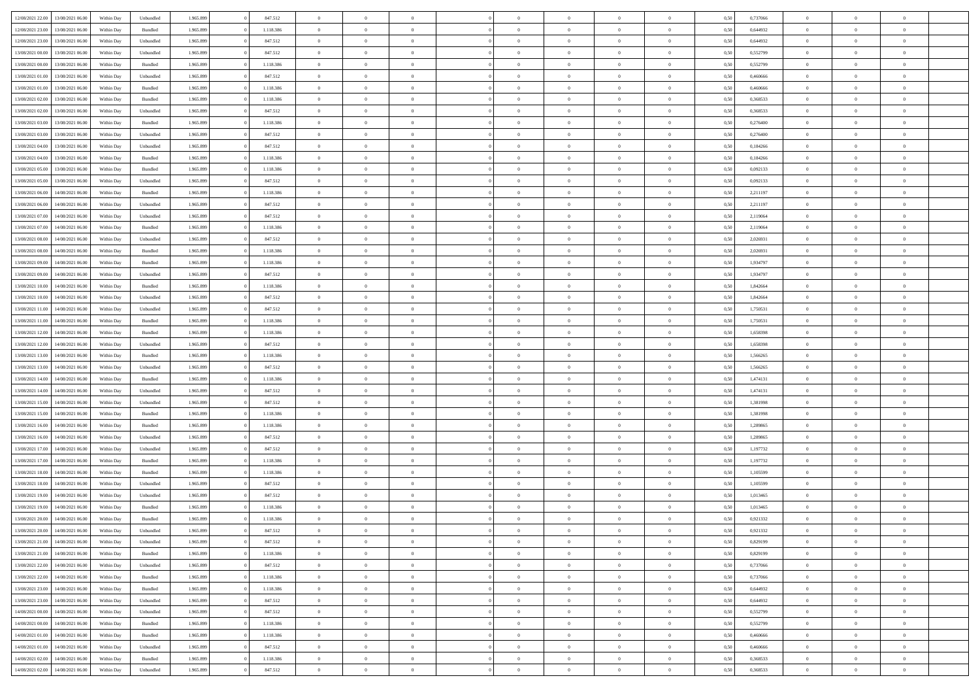| 12/08/2021 22:00 | 13/08/2021 06:00 | Within Dav | Unbundled          | 1.965.899 | 847.512   | $\overline{0}$ | $\theta$       |                | $\Omega$       | $\Omega$       | $\theta$       | $\theta$       | 0,50 | 0,737066 | $\theta$       | $\theta$       | $\theta$       |  |
|------------------|------------------|------------|--------------------|-----------|-----------|----------------|----------------|----------------|----------------|----------------|----------------|----------------|------|----------|----------------|----------------|----------------|--|
|                  |                  |            |                    |           |           |                |                |                |                |                |                |                |      |          |                |                |                |  |
| 12/08/2021 23:00 | 13/08/2021 06:00 | Within Day | Bundled            | 1.965.899 | 1.118.386 | $\overline{0}$ | $\theta$       | $\overline{0}$ | $\overline{0}$ | $\bf{0}$       | $\overline{0}$ | $\bf{0}$       | 0,50 | 0,644932 | $\theta$       | $\overline{0}$ | $\overline{0}$ |  |
| 12/08/2021 23:00 | 13/08/2021 06:00 | Within Day | Unbundled          | 1.965.899 | 847.512   | $\overline{0}$ | $\bf{0}$       | $\overline{0}$ | $\bf{0}$       | $\bf{0}$       | $\bf{0}$       | $\mathbf{0}$   | 0,50 | 0,644932 | $\bf{0}$       | $\overline{0}$ | $\overline{0}$ |  |
| 13/08/2021 00:00 | 13/08/2021 06:00 | Within Dav | Unbundled          | 1.965.899 | 847.512   | $\overline{0}$ | $\overline{0}$ | $\overline{0}$ | $\overline{0}$ | $\bf{0}$       | $\overline{0}$ | $\overline{0}$ | 0.50 | 0,552799 | $\theta$       | $\theta$       | $\overline{0}$ |  |
|                  |                  |            |                    |           |           |                |                |                |                |                |                |                |      |          |                |                |                |  |
| 13/08/2021 00:00 | 13/08/2021 06:00 | Within Day | Bundled            | 1.965.899 | 1.118.386 | $\overline{0}$ | $\theta$       | $\overline{0}$ | $\overline{0}$ | $\bf{0}$       | $\overline{0}$ | $\bf{0}$       | 0,50 | 0,552799 | $\,$ 0 $\,$    | $\overline{0}$ | $\overline{0}$ |  |
| 13/08/2021 01:00 | 13/08/2021 06:00 | Within Day | Unbundled          | 1.965.899 | 847.512   | $\overline{0}$ | $\overline{0}$ | $\overline{0}$ | $\bf{0}$       | $\overline{0}$ | $\overline{0}$ | $\mathbf{0}$   | 0,50 | 0,460666 | $\bf{0}$       | $\overline{0}$ | $\bf{0}$       |  |
| 13/08/2021 01:00 | 13/08/2021 06:00 | Within Dav | Bundled            | 1.965.899 | 1.118.386 | $\overline{0}$ | $\overline{0}$ | $\overline{0}$ | $\overline{0}$ | $\overline{0}$ | $\overline{0}$ | $\overline{0}$ | 0.50 | 0,460666 | $\theta$       | $\overline{0}$ | $\overline{0}$ |  |
| 13/08/2021 02:00 | 13/08/2021 06:00 | Within Day | Bundled            | 1.965.899 | 1.118.386 | $\overline{0}$ | $\theta$       | $\overline{0}$ | $\overline{0}$ | $\bf{0}$       | $\overline{0}$ | $\bf{0}$       | 0,50 | 0,368533 | $\theta$       | $\theta$       | $\overline{0}$ |  |
| 13/08/2021 02:00 | 13/08/2021 06:00 | Within Day | Unbundled          | 1.965.899 | 847.512   | $\overline{0}$ | $\overline{0}$ | $\overline{0}$ | $\bf{0}$       | $\bf{0}$       | $\bf{0}$       | $\mathbf{0}$   | 0,50 | 0,368533 | $\,0\,$        | $\overline{0}$ | $\overline{0}$ |  |
|                  |                  |            |                    |           |           |                |                |                |                |                |                |                |      |          |                |                |                |  |
| 13/08/2021 03:00 | 13/08/2021 06:00 | Within Dav | Bundled            | 1.965.899 | 1.118.386 | $\overline{0}$ | $\overline{0}$ | $\overline{0}$ | $\overline{0}$ | $\overline{0}$ | $\overline{0}$ | $\overline{0}$ | 0.50 | 0,276400 | $\theta$       | $\overline{0}$ | $\overline{0}$ |  |
| 13/08/2021 03:00 | 13/08/2021 06:00 | Within Day | Unbundled          | 1.965.899 | 847.512   | $\overline{0}$ | $\theta$       | $\overline{0}$ | $\overline{0}$ | $\bf{0}$       | $\overline{0}$ | $\bf{0}$       | 0,50 | 0,276400 | $\,$ 0 $\,$    | $\overline{0}$ | $\overline{0}$ |  |
| 13/08/2021 04:00 | 13/08/2021 06:00 | Within Day | Unbundled          | 1.965.899 | 847.512   | $\overline{0}$ | $\overline{0}$ | $\overline{0}$ | $\overline{0}$ | $\bf{0}$       | $\overline{0}$ | $\mathbf{0}$   | 0,50 | 0,184266 | $\overline{0}$ | $\overline{0}$ | $\bf{0}$       |  |
| 13/08/2021 04:00 | 13/08/2021 06:00 | Within Day | Bundled            | 1.965.899 | 1.118.386 | $\overline{0}$ | $\overline{0}$ | $\overline{0}$ | $\overline{0}$ | $\bf{0}$       | $\overline{0}$ | $\overline{0}$ | 0.50 | 0.184266 | $\theta$       | $\theta$       | $\overline{0}$ |  |
| 13/08/2021 05:00 | 13/08/2021 06:00 | Within Day | Bundled            | 1.965.899 | 1.118.386 | $\overline{0}$ | $\theta$       | $\overline{0}$ | $\overline{0}$ | $\bf{0}$       | $\overline{0}$ | $\bf{0}$       | 0,50 | 0,092133 | $\theta$       | $\overline{0}$ | $\overline{0}$ |  |
|                  |                  |            |                    |           |           |                |                |                |                |                |                |                |      |          |                |                |                |  |
| 13/08/2021 05:00 | 13/08/2021 06:00 | Within Day | Unbundled          | 1.965.899 | 847.512   | $\overline{0}$ | $\overline{0}$ | $\overline{0}$ | $\overline{0}$ | $\overline{0}$ | $\overline{0}$ | $\mathbf{0}$   | 0,50 | 0,092133 | $\overline{0}$ | $\overline{0}$ | $\bf{0}$       |  |
| 13/08/2021 06:00 | 14/08/2021 06:00 | Within Dav | Bundled            | 1.965.899 | 1.118.386 | $\overline{0}$ | $\overline{0}$ | $\overline{0}$ | $\overline{0}$ | $\overline{0}$ | $\overline{0}$ | $\overline{0}$ | 0.50 | 2,211197 | $\overline{0}$ | $\overline{0}$ | $\overline{0}$ |  |
| 13/08/2021 06:00 | 14/08/2021 06:00 | Within Day | Unbundled          | 1.965.899 | 847.512   | $\overline{0}$ | $\theta$       | $\overline{0}$ | $\overline{0}$ | $\bf{0}$       | $\overline{0}$ | $\bf{0}$       | 0,50 | 2,211197 | $\,$ 0 $\,$    | $\overline{0}$ | $\overline{0}$ |  |
| 13/08/2021 07:00 | 14/08/2021 06:00 | Within Day | Unbundled          | 1.965.899 | 847.512   | $\overline{0}$ | $\overline{0}$ | $\overline{0}$ | $\overline{0}$ | $\bf{0}$       | $\overline{0}$ | $\mathbf{0}$   | 0,50 | 2,119064 | $\bf{0}$       | $\overline{0}$ | $\bf{0}$       |  |
| 13/08/2021 07:00 | 14/08/2021 06:00 | Within Day | Bundled            | 1.965.899 | 1.118.386 | $\overline{0}$ | $\overline{0}$ | $\overline{0}$ | $\overline{0}$ | $\overline{0}$ | $\overline{0}$ | $\overline{0}$ | 0.50 | 2,119064 | $\theta$       | $\overline{0}$ | $\overline{0}$ |  |
|                  |                  |            |                    |           |           |                |                |                |                |                |                |                |      |          |                |                |                |  |
| 13/08/2021 08:00 | 14/08/2021 06:00 | Within Day | Unbundled          | 1.965.899 | 847.512   | $\overline{0}$ | $\theta$       | $\overline{0}$ | $\overline{0}$ | $\bf{0}$       | $\overline{0}$ | $\bf{0}$       | 0,50 | 2,026931 | $\,$ 0 $\,$    | $\overline{0}$ | $\overline{0}$ |  |
| 13/08/2021 08:00 | 14/08/2021 06:00 | Within Day | Bundled            | 1.965.899 | 1.118.386 | $\overline{0}$ | $\overline{0}$ | $\overline{0}$ | $\overline{0}$ | $\bf{0}$       | $\overline{0}$ | $\mathbf{0}$   | 0,50 | 2,026931 | $\overline{0}$ | $\overline{0}$ | $\bf{0}$       |  |
| 13/08/2021 09:00 | 14/08/2021 06:00 | Within Day | Bundled            | 1.965.899 | 1.118.386 | $\overline{0}$ | $\overline{0}$ | $\overline{0}$ | $\overline{0}$ | $\overline{0}$ | $\overline{0}$ | $\overline{0}$ | 0.50 | 1,934797 | $\theta$       | $\overline{0}$ | $\overline{0}$ |  |
| 13/08/2021 09:00 | 14/08/2021 06:00 | Within Day | Unbundled          | 1.965.899 | 847.512   | $\overline{0}$ | $\theta$       | $\overline{0}$ | $\overline{0}$ | $\bf{0}$       | $\overline{0}$ | $\bf{0}$       | 0,50 | 1,934797 | $\,$ 0 $\,$    | $\overline{0}$ | $\overline{0}$ |  |
|                  |                  |            |                    |           |           |                |                |                |                |                |                |                |      |          |                |                |                |  |
| 13/08/2021 10:00 | 14/08/2021 06:00 | Within Day | Bundled            | 1.965.899 | 1.118.386 | $\overline{0}$ | $\overline{0}$ | $\overline{0}$ | $\overline{0}$ | $\overline{0}$ | $\overline{0}$ | $\mathbf{0}$   | 0,50 | 1,842664 | $\overline{0}$ | $\overline{0}$ | $\bf{0}$       |  |
| 13/08/2021 10:00 | 14/08/2021 06:00 | Within Dav | Unbundled          | 1.965.899 | 847.512   | $\overline{0}$ | $\overline{0}$ | $\overline{0}$ | $\overline{0}$ | $\overline{0}$ | $\overline{0}$ | $\overline{0}$ | 0.50 | 1,842664 | $\theta$       | $\overline{0}$ | $\overline{0}$ |  |
| 13/08/2021 11:00 | 14/08/2021 06:00 | Within Day | Unbundled          | 1.965.899 | 847.512   | $\overline{0}$ | $\theta$       | $\overline{0}$ | $\overline{0}$ | $\bf{0}$       | $\overline{0}$ | $\bf{0}$       | 0,50 | 1,750531 | $\theta$       | $\overline{0}$ | $\overline{0}$ |  |
| 13/08/2021 11:00 | 14/08/2021 06:00 | Within Day | Bundled            | 1.965.899 | 1.118.386 | $\overline{0}$ | $\overline{0}$ | $\overline{0}$ | $\overline{0}$ | $\bf{0}$       | $\overline{0}$ | $\mathbf{0}$   | 0,50 | 1,750531 | $\,0\,$        | $\overline{0}$ | $\overline{0}$ |  |
| 13/08/2021 12:00 | 14/08/2021 06:00 | Within Day | Bundled            | 1.965.899 | 1.118.386 | $\overline{0}$ | $\overline{0}$ | $\overline{0}$ | $\overline{0}$ | $\overline{0}$ | $\overline{0}$ | $\overline{0}$ | 0.50 | 1,658398 | $\theta$       | $\overline{0}$ | $\overline{0}$ |  |
|                  |                  |            |                    |           |           |                |                |                |                |                |                |                |      |          |                |                |                |  |
| 13/08/2021 12:00 | 14/08/2021 06:00 | Within Day | Unbundled          | 1.965.899 | 847.512   | $\overline{0}$ | $\theta$       | $\overline{0}$ | $\overline{0}$ | $\bf{0}$       | $\overline{0}$ | $\bf{0}$       | 0,50 | 1,658398 | $\,0\,$        | $\overline{0}$ | $\overline{0}$ |  |
| 13/08/2021 13:00 | 14/08/2021 06:00 | Within Day | Bundled            | 1.965.899 | 1.118.386 | $\overline{0}$ | $\overline{0}$ | $\overline{0}$ | $\overline{0}$ | $\bf{0}$       | $\overline{0}$ | $\bf{0}$       | 0,50 | 1,566265 | $\bf{0}$       | $\overline{0}$ | $\bf{0}$       |  |
| 13/08/2021 13:00 | 14/08/2021 06:00 | Within Day | Unbundled          | 1.965.899 | 847.512   | $\bf{0}$       | $\Omega$       | $\overline{0}$ | $\Omega$       | $\Omega$       | $\overline{0}$ | $\overline{0}$ | 0,50 | 1,566265 | $\,0\,$        | $\theta$       | $\theta$       |  |
| 13/08/2021 14:00 | 14/08/2021 06:00 | Within Day | Bundled            | 1.965.899 | 1.118.386 | $\overline{0}$ | $\theta$       | $\overline{0}$ | $\overline{0}$ | $\bf{0}$       | $\overline{0}$ | $\bf{0}$       | 0,50 | 1,474131 | $\,$ 0 $\,$    | $\overline{0}$ | $\overline{0}$ |  |
| 13/08/2021 14:00 | 14/08/2021 06:00 | Within Day | Unbundled          | 1.965.899 | 847.512   | $\overline{0}$ | $\overline{0}$ | $\overline{0}$ | $\overline{0}$ | $\overline{0}$ | $\overline{0}$ | $\mathbf{0}$   | 0,50 | 1,474131 | $\bf{0}$       | $\overline{0}$ | $\bf{0}$       |  |
|                  |                  |            |                    |           |           |                |                |                |                |                |                |                |      |          |                |                |                |  |
| 13/08/2021 15:00 | 14/08/2021 06:00 | Within Day | Unbundled          | 1.965.899 | 847.512   | $\overline{0}$ | $\Omega$       | $\overline{0}$ | $\Omega$       | $\overline{0}$ | $\overline{0}$ | $\overline{0}$ | 0.50 | 1,381998 | $\,0\,$        | $\theta$       | $\theta$       |  |
| 13/08/2021 15:00 | 14/08/2021 06:00 | Within Day | Bundled            | 1.965.899 | 1.118.386 | $\overline{0}$ | $\theta$       | $\overline{0}$ | $\overline{0}$ | $\bf{0}$       | $\overline{0}$ | $\bf{0}$       | 0,50 | 1,381998 | $\,$ 0 $\,$    | $\overline{0}$ | $\overline{0}$ |  |
| 13/08/2021 16:00 | 14/08/2021 06:00 | Within Day | Bundled            | 1.965.899 | 1.118.386 | $\overline{0}$ | $\overline{0}$ | $\overline{0}$ | $\overline{0}$ | $\bf{0}$       | $\overline{0}$ | $\mathbf{0}$   | 0,50 | 1,289865 | $\bf{0}$       | $\overline{0}$ | $\bf{0}$       |  |
| 13/08/2021 16:00 | 14/08/2021 06:00 | Within Day | Unbundled          | 1.965.899 | 847.512   | $\overline{0}$ | $\Omega$       | $\overline{0}$ | $\Omega$       | $\overline{0}$ | $\overline{0}$ | $\overline{0}$ | 0.50 | 1,289865 | $\,$ 0 $\,$    | $\theta$       | $\theta$       |  |
| 13/08/2021 17:00 | 14/08/2021 06:00 | Within Day | Unbundled          | 1.965.899 | 847.512   | $\overline{0}$ | $\overline{0}$ | $\overline{0}$ | $\overline{0}$ | $\,$ 0         | $\overline{0}$ | $\bf{0}$       | 0,50 | 1,197732 | $\,$ 0 $\,$    | $\overline{0}$ | $\overline{0}$ |  |
|                  |                  |            |                    |           |           |                |                |                |                |                |                |                |      |          |                |                |                |  |
| 13/08/2021 17:00 | 14/08/2021 06:00 | Within Day | Bundled            | 1.965.899 | 1.118.386 | $\overline{0}$ | $\overline{0}$ | $\overline{0}$ | $\overline{0}$ | $\bf{0}$       | $\overline{0}$ | $\mathbf{0}$   | 0,50 | 1,197732 | $\bf{0}$       | $\overline{0}$ | $\bf{0}$       |  |
| 13/08/2021 18:00 | 14/08/2021 06:00 | Within Day | Bundled            | 1.965.899 | 1.118.386 | $\overline{0}$ | $\Omega$       | $\overline{0}$ | $\Omega$       | $\overline{0}$ | $\overline{0}$ | $\overline{0}$ | 0,50 | 1,105599 | $\,0\,$        | $\theta$       | $\theta$       |  |
| 13/08/2021 18:00 | 14/08/2021 06:00 | Within Day | Unbundled          | 1.965.899 | 847.512   | $\overline{0}$ | $\overline{0}$ | $\overline{0}$ | $\overline{0}$ | $\,$ 0         | $\overline{0}$ | $\bf{0}$       | 0,50 | 1,105599 | $\,$ 0 $\,$    | $\overline{0}$ | $\overline{0}$ |  |
| 13/08/2021 19:00 | 14/08/2021 06:00 | Within Day | Unbundled          | 1.965.899 | 847.512   | $\overline{0}$ | $\overline{0}$ | $\overline{0}$ | $\bf{0}$       | $\bf{0}$       | $\overline{0}$ | $\mathbf{0}$   | 0,50 | 1,013465 | $\overline{0}$ | $\overline{0}$ | $\bf{0}$       |  |
| 13/08/2021 19:00 | 14/08/2021 06:00 | Within Day | Bundled            | 1.965.899 | 1.118.386 | $\overline{0}$ | $\Omega$       | $\Omega$       | $\Omega$       | $\Omega$       | $\Omega$       | $\overline{0}$ | 0.50 | 1,013465 | $\theta$       | $\theta$       | $\theta$       |  |
| 13/08/2021 20:00 | 14/08/2021 06:00 | Within Day | Bundled            | 1.965.899 | 1.118.386 | $\overline{0}$ | $\overline{0}$ | $\overline{0}$ | $\bf{0}$       | $\,$ 0         | $\bf{0}$       | $\bf{0}$       | 0,50 | 0,921332 | $\,0\,$        | $\,$ 0 $\,$    | $\overline{0}$ |  |
|                  |                  |            |                    |           |           |                |                |                |                |                |                |                |      |          |                |                |                |  |
| 13/08/2021 20:00 | 14/08/2021 06:00 | Within Day | Unbundled          | 1.965.899 | 847.512   | $\overline{0}$ | $\bf{0}$       |                |                | $\bf{0}$       |                |                | 0,50 | 0,921332 | $\bf{0}$       | $\overline{0}$ |                |  |
| 13/08/2021 21:00 | 14/08/2021 06:00 | Within Day | Unbundled          | 1.965.899 | 847.512   | $\overline{0}$ | $\overline{0}$ | $\overline{0}$ | $\Omega$       | $\overline{0}$ | $\overline{0}$ | $\overline{0}$ | 0.50 | 0,829199 | $\theta$       | $\theta$       | $\theta$       |  |
| 13/08/2021 21:00 | 14/08/2021 06:00 | Within Day | Bundled            | 1.965.899 | 1.118.386 | $\overline{0}$ | $\bf{0}$       | $\overline{0}$ | $\bf{0}$       | $\,$ 0 $\,$    | $\overline{0}$ | $\,$ 0 $\,$    | 0,50 | 0,829199 | $\,$ 0 $\,$    | $\,$ 0 $\,$    | $\,$ 0         |  |
| 13/08/2021 22:00 | 14/08/2021 06:00 | Within Day | Unbundled          | 1.965.899 | 847.512   | $\overline{0}$ | $\overline{0}$ | $\overline{0}$ | $\overline{0}$ | $\overline{0}$ | $\overline{0}$ | $\mathbf{0}$   | 0,50 | 0,737066 | $\overline{0}$ | $\bf{0}$       | $\bf{0}$       |  |
| 13/08/2021 22:00 | 14/08/2021 06:00 | Within Day | $\mathbf B$ undled | 1.965.899 | 1.118.386 | $\overline{0}$ | $\overline{0}$ | $\overline{0}$ | $\Omega$       | $\overline{0}$ | $\overline{0}$ | $\overline{0}$ | 0,50 | 0,737066 | $\overline{0}$ | $\theta$       | $\overline{0}$ |  |
|                  |                  |            |                    |           |           |                |                |                |                |                |                |                |      |          |                |                |                |  |
| 13/08/2021 23:00 | 14/08/2021 06:00 | Within Day | Bundled            | 1.965.899 | 1.118.386 | $\overline{0}$ | $\,$ 0         | $\overline{0}$ | $\overline{0}$ | $\,$ 0 $\,$    | $\overline{0}$ | $\mathbf{0}$   | 0,50 | 0,644932 | $\,$ 0 $\,$    | $\overline{0}$ | $\overline{0}$ |  |
| 13/08/2021 23:00 | 14/08/2021 06:00 | Within Day | Unbundled          | 1.965.899 | 847.512   | $\overline{0}$ | $\overline{0}$ | $\overline{0}$ | $\overline{0}$ | $\overline{0}$ | $\overline{0}$ | $\mathbf{0}$   | 0,50 | 0,644932 | $\overline{0}$ | $\overline{0}$ | $\bf{0}$       |  |
| 14/08/2021 00:00 | 14/08/2021 06:00 | Within Day | Unbundled          | 1.965.899 | 847.512   | $\overline{0}$ | $\overline{0}$ | $\overline{0}$ | $\overline{0}$ | $\overline{0}$ | $\overline{0}$ | $\bf{0}$       | 0.50 | 0,552799 | $\overline{0}$ | $\theta$       | $\overline{0}$ |  |
| 14/08/2021 00:00 | 14/08/2021 06:00 | Within Day | Bundled            | 1.965.899 | 1.118.386 | $\overline{0}$ | $\,$ 0         | $\overline{0}$ | $\bf{0}$       | $\bf{0}$       | $\bf{0}$       | $\bf{0}$       | 0,50 | 0,552799 | $\,$ 0 $\,$    | $\overline{0}$ | $\overline{0}$ |  |
| 14/08/2021 01:00 | 14/08/2021 06:00 | Within Day | Bundled            | 1.965.899 | 1.118.386 | $\overline{0}$ | $\bf{0}$       | $\overline{0}$ | $\overline{0}$ | $\overline{0}$ | $\overline{0}$ | $\mathbf{0}$   | 0,50 | 0,460666 | $\overline{0}$ | $\overline{0}$ | $\bf{0}$       |  |
|                  |                  |            |                    |           |           |                |                |                |                |                |                |                |      |          |                |                |                |  |
| 14/08/2021 01:00 | 14/08/2021 06:00 | Within Day | Unbundled          | 1.965.899 | 847.512   | $\overline{0}$ | $\overline{0}$ | $\overline{0}$ | $\Omega$       | $\overline{0}$ | $\overline{0}$ | $\overline{0}$ | 0.50 | 0.460666 | $\overline{0}$ | $\overline{0}$ | $\overline{0}$ |  |
| 14/08/2021 02:00 | 14/08/2021 06:00 | Within Day | Bundled            | 1.965.899 | 1.118.386 | $\overline{0}$ | $\bf{0}$       | $\overline{0}$ | $\bf{0}$       | $\bf{0}$       | $\bf{0}$       | $\mathbf{0}$   | 0,50 | 0,368533 | $\,$ 0 $\,$    | $\,$ 0 $\,$    | $\bf{0}$       |  |
| 14/08/2021 02:00 | 14/08/2021 06:00 | Within Day | Unbundled          | 1.965.899 | 847.512   | $\overline{0}$ | $\overline{0}$ | $\overline{0}$ | $\overline{0}$ | $\overline{0}$ | $\bf{0}$       | $\mathbf{0}$   | 0,50 | 0,368533 | $\overline{0}$ | $\bf{0}$       | $\bf{0}$       |  |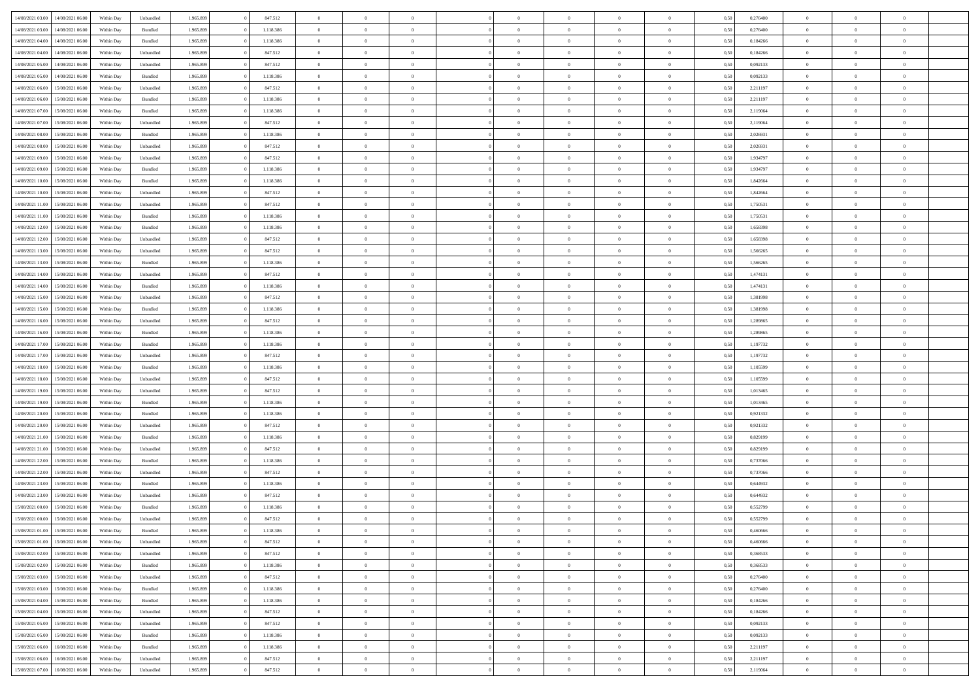| 14/08/2021 03:00 | 14/08/2021 06:00 | Within Dav | Unbundled          | 1.965.899 | 847.512   | $\overline{0}$ | $\theta$       |                | $\Omega$       | $\Omega$       | $\theta$       | $\theta$       | 0,50 | 0,276400 | $\theta$       | $\theta$       | $\theta$       |  |
|------------------|------------------|------------|--------------------|-----------|-----------|----------------|----------------|----------------|----------------|----------------|----------------|----------------|------|----------|----------------|----------------|----------------|--|
| 14/08/2021 03:00 | 14/08/2021 06:00 | Within Day | Bundled            | 1.965.899 | 1.118.386 | $\overline{0}$ | $\theta$       | $\overline{0}$ | $\overline{0}$ | $\bf{0}$       | $\overline{0}$ | $\bf{0}$       | 0,50 | 0,276400 | $\theta$       | $\overline{0}$ | $\overline{0}$ |  |
| 14/08/2021 04:00 | 14/08/2021 06:00 | Within Day | Bundled            | 1.965.899 | 1.118.386 | $\overline{0}$ | $\overline{0}$ | $\overline{0}$ | $\bf{0}$       | $\bf{0}$       | $\bf{0}$       | $\mathbf{0}$   | 0,50 | 0,184266 | $\bf{0}$       | $\overline{0}$ | $\bf{0}$       |  |
|                  |                  |            |                    |           |           |                |                |                |                |                |                |                |      |          | $\theta$       |                |                |  |
| 14/08/2021 04:00 | 14/08/2021 06:00 | Within Day | Unbundled          | 1.965.899 | 847.512   | $\overline{0}$ | $\overline{0}$ | $\overline{0}$ | $\overline{0}$ | $\bf{0}$       | $\overline{0}$ | $\overline{0}$ | 0.50 | 0.184266 |                | $\theta$       | $\overline{0}$ |  |
| 14/08/2021 05:00 | 14/08/2021 06:00 | Within Day | Unbundled          | 1.965.899 | 847.512   | $\overline{0}$ | $\theta$       | $\overline{0}$ | $\overline{0}$ | $\bf{0}$       | $\overline{0}$ | $\bf{0}$       | 0,50 | 0,092133 | $\,$ 0 $\,$    | $\overline{0}$ | $\overline{0}$ |  |
| 14/08/2021 05:00 | 14/08/2021 06:00 | Within Day | Bundled            | 1.965.899 | 1.118.386 | $\overline{0}$ | $\overline{0}$ | $\overline{0}$ | $\bf{0}$       | $\overline{0}$ | $\overline{0}$ | $\mathbf{0}$   | 0,50 | 0,092133 | $\bf{0}$       | $\overline{0}$ | $\bf{0}$       |  |
| 14/08/2021 06:00 | 15/08/2021 06:00 | Within Dav | Unbundled          | 1.965.899 | 847.512   | $\overline{0}$ | $\overline{0}$ | $\overline{0}$ | $\overline{0}$ | $\overline{0}$ | $\overline{0}$ | $\overline{0}$ | 0.50 | 2,211197 | $\theta$       | $\overline{0}$ | $\overline{0}$ |  |
|                  |                  |            |                    |           |           |                |                |                |                |                |                |                |      |          |                |                |                |  |
| 14/08/2021 06:00 | 15/08/2021 06:00 | Within Day | Bundled            | 1.965.899 | 1.118.386 | $\overline{0}$ | $\theta$       | $\overline{0}$ | $\overline{0}$ | $\bf{0}$       | $\overline{0}$ | $\bf{0}$       | 0,50 | 2,211197 | $\,$ 0 $\,$    | $\theta$       | $\overline{0}$ |  |
| 14/08/2021 07:00 | 15/08/2021 06:00 | Within Day | Bundled            | 1.965.899 | 1.118.386 | $\overline{0}$ | $\overline{0}$ | $\overline{0}$ | $\bf{0}$       | $\bf{0}$       | $\overline{0}$ | $\mathbf{0}$   | 0,50 | 2,119064 | $\,0\,$        | $\overline{0}$ | $\overline{0}$ |  |
| 14/08/2021 07:00 | 15/08/2021 06:00 | Within Dav | Unbundled          | 1.965.899 | 847.512   | $\overline{0}$ | $\overline{0}$ | $\overline{0}$ | $\overline{0}$ | $\overline{0}$ | $\overline{0}$ | $\overline{0}$ | 0.50 | 2,119064 | $\theta$       | $\overline{0}$ | $\overline{0}$ |  |
| 14/08/2021 08:00 | 15/08/2021 06:00 |            | Bundled            | 1.965.899 | 1.118.386 | $\overline{0}$ | $\theta$       | $\overline{0}$ | $\overline{0}$ | $\bf{0}$       | $\overline{0}$ |                |      | 2,026931 | $\,$ 0 $\,$    | $\overline{0}$ | $\overline{0}$ |  |
|                  |                  | Within Day |                    |           |           |                |                |                |                |                |                | $\bf{0}$       | 0,50 |          |                |                |                |  |
| 14/08/2021 08:00 | 15/08/2021 06:00 | Within Day | Unbundled          | 1.965.899 | 847.512   | $\overline{0}$ | $\overline{0}$ | $\overline{0}$ | $\overline{0}$ | $\bf{0}$       | $\overline{0}$ | $\mathbf{0}$   | 0,50 | 2,026931 | $\bf{0}$       | $\overline{0}$ | $\bf{0}$       |  |
| 14/08/2021 09:00 | 15/08/2021 06:00 | Within Day | Unbundled          | 1.965.899 | 847.512   | $\overline{0}$ | $\overline{0}$ | $\overline{0}$ | $\overline{0}$ | $\bf{0}$       | $\overline{0}$ | $\overline{0}$ | 0.50 | 1,934797 | $\theta$       | $\theta$       | $\overline{0}$ |  |
| 14/08/2021 09:00 | 15/08/2021 06:00 | Within Day | Bundled            | 1.965.899 | 1.118.386 | $\overline{0}$ | $\theta$       | $\overline{0}$ | $\overline{0}$ | $\bf{0}$       | $\overline{0}$ | $\bf{0}$       | 0,50 | 1,934797 | $\theta$       | $\overline{0}$ | $\overline{0}$ |  |
|                  |                  |            |                    |           |           |                |                |                |                |                |                |                |      |          |                |                |                |  |
| 14/08/2021 10:00 | 15/08/2021 06:00 | Within Day | Bundled            | 1.965.899 | 1.118.386 | $\overline{0}$ | $\overline{0}$ | $\overline{0}$ | $\overline{0}$ | $\overline{0}$ | $\overline{0}$ | $\mathbf{0}$   | 0,50 | 1,842664 | $\bf{0}$       | $\overline{0}$ | $\bf{0}$       |  |
| 14/08/2021 10:00 | 15/08/2021 06:00 | Within Dav | Unbundled          | 1.965.899 | 847.512   | $\overline{0}$ | $\overline{0}$ | $\overline{0}$ | $\overline{0}$ | $\overline{0}$ | $\overline{0}$ | $\overline{0}$ | 0.50 | 1,842664 | $\overline{0}$ | $\overline{0}$ | $\overline{0}$ |  |
| 14/08/2021 11:00 | 15/08/2021 06:00 | Within Day | Unbundled          | 1.965.899 | 847.512   | $\overline{0}$ | $\theta$       | $\overline{0}$ | $\overline{0}$ | $\bf{0}$       | $\overline{0}$ | $\bf{0}$       | 0,50 | 1,750531 | $\,$ 0 $\,$    | $\overline{0}$ | $\overline{0}$ |  |
| 14/08/2021 11:00 | 15/08/2021 06:00 | Within Day | Bundled            | 1.965.899 | 1.118.386 | $\overline{0}$ | $\overline{0}$ | $\overline{0}$ | $\bf{0}$       | $\bf{0}$       | $\bf{0}$       | $\mathbf{0}$   | 0,50 | 1,750531 | $\bf{0}$       | $\overline{0}$ | $\bf{0}$       |  |
| 14/08/2021 12:00 | 15/08/2021 06:00 |            | Bundled            | 1.965.899 | 1.118.386 | $\overline{0}$ | $\overline{0}$ | $\overline{0}$ | $\overline{0}$ | $\overline{0}$ | $\overline{0}$ | $\overline{0}$ | 0.50 | 1,658398 | $\theta$       | $\overline{0}$ | $\overline{0}$ |  |
|                  |                  | Within Day |                    |           |           |                |                |                |                |                |                |                |      |          |                |                |                |  |
| 14/08/2021 12:00 | 15/08/2021 06:00 | Within Day | Unbundled          | 1.965.899 | 847.512   | $\overline{0}$ | $\theta$       | $\overline{0}$ | $\overline{0}$ | $\bf{0}$       | $\overline{0}$ | $\bf{0}$       | 0,50 | 1,658398 | $\,$ 0 $\,$    | $\overline{0}$ | $\overline{0}$ |  |
| 14/08/2021 13:00 | 15/08/2021 06:00 | Within Day | Unbundled          | 1.965.899 | 847.512   | $\overline{0}$ | $\overline{0}$ | $\overline{0}$ | $\bf{0}$       | $\bf{0}$       | $\bf{0}$       | $\mathbf{0}$   | 0,50 | 1,566265 | $\overline{0}$ | $\overline{0}$ | $\bf{0}$       |  |
| 14/08/2021 13:00 | 15/08/2021 06:00 | Within Day | Bundled            | 1.965.899 | 1.118.386 | $\overline{0}$ | $\overline{0}$ | $\overline{0}$ | $\overline{0}$ | $\overline{0}$ | $\overline{0}$ | $\overline{0}$ | 0.50 | 1.566265 | $\theta$       | $\overline{0}$ | $\overline{0}$ |  |
|                  |                  |            |                    |           |           |                | $\theta$       |                |                | $\bf{0}$       |                |                |      |          |                |                |                |  |
| 14/08/2021 14:00 | 15/08/2021 06:00 | Within Day | Unbundled          | 1.965.899 | 847.512   | $\overline{0}$ |                | $\overline{0}$ | $\overline{0}$ |                | $\overline{0}$ | $\,$ 0 $\,$    | 0,50 | 1,474131 | $\,$ 0 $\,$    | $\overline{0}$ | $\overline{0}$ |  |
| 14/08/2021 14:00 | 15/08/2021 06:00 | Within Day | Bundled            | 1.965.899 | 1.118.386 | $\overline{0}$ | $\overline{0}$ | $\overline{0}$ | $\bf{0}$       | $\overline{0}$ | $\overline{0}$ | $\mathbf{0}$   | 0,50 | 1,474131 | $\overline{0}$ | $\overline{0}$ | $\bf{0}$       |  |
| 14/08/2021 15:00 | 15/08/2021 06:00 | Within Dav | Unbundled          | 1.965.899 | 847.512   | $\overline{0}$ | $\overline{0}$ | $\overline{0}$ | $\overline{0}$ | $\overline{0}$ | $\overline{0}$ | $\overline{0}$ | 0.50 | 1,381998 | $\overline{0}$ | $\overline{0}$ | $\overline{0}$ |  |
| 14/08/2021 15:00 | 15/08/2021 06:00 | Within Day | Bundled            | 1.965.899 | 1.118.386 | $\overline{0}$ | $\theta$       | $\overline{0}$ | $\overline{0}$ | $\bf{0}$       | $\overline{0}$ | $\bf{0}$       | 0,50 | 1,381998 | $\theta$       | $\overline{0}$ | $\overline{0}$ |  |
|                  |                  |            |                    |           |           |                |                |                |                |                |                |                |      |          |                |                |                |  |
| 14/08/2021 16:00 | 15/08/2021 06:00 | Within Day | Unbundled          | 1.965.899 | 847.512   | $\overline{0}$ | $\overline{0}$ | $\overline{0}$ | $\bf{0}$       | $\bf{0}$       | $\bf{0}$       | $\mathbf{0}$   | 0,50 | 1,289865 | $\,0\,$        | $\overline{0}$ | $\overline{0}$ |  |
| 14/08/2021 16:00 | 15/08/2021 06:00 | Within Day | Bundled            | 1.965.899 | 1.118.386 | $\overline{0}$ | $\overline{0}$ | $\overline{0}$ | $\overline{0}$ | $\overline{0}$ | $\overline{0}$ | $\overline{0}$ | 0.50 | 1,289865 | $\theta$       | $\overline{0}$ | $\overline{0}$ |  |
| 14/08/2021 17:00 | 15/08/2021 06:00 | Within Day | Bundled            | 1.965.899 | 1.118.386 | $\overline{0}$ | $\overline{0}$ | $\overline{0}$ | $\overline{0}$ | $\bf{0}$       | $\overline{0}$ | $\bf{0}$       | 0,50 | 1,197732 | $\,$ 0 $\,$    | $\overline{0}$ | $\overline{0}$ |  |
| 14/08/2021 17:00 | 15/08/2021 06:00 | Within Day | Unbundled          | 1.965.899 | 847.512   | $\overline{0}$ | $\overline{0}$ | $\overline{0}$ | $\bf{0}$       | $\bf{0}$       | $\bf{0}$       | $\mathbf{0}$   | 0,50 | 1,197732 | $\bf{0}$       | $\overline{0}$ | $\bf{0}$       |  |
|                  |                  |            |                    |           |           |                |                |                |                |                |                |                |      |          |                |                |                |  |
| 14/08/2021 18:00 | 15/08/2021 06:00 | Within Day | Bundled            | 1.965.899 | 1.118.386 | $\bf{0}$       | $\Omega$       | $\overline{0}$ | $\Omega$       | $\Omega$       | $\overline{0}$ | $\overline{0}$ | 0,50 | 1,105599 | $\,0\,$        | $\theta$       | $\theta$       |  |
| 14/08/2021 18:00 | 15/08/2021 06:00 | Within Day | Unbundled          | 1.965.899 | 847.512   | $\overline{0}$ | $\theta$       | $\overline{0}$ | $\overline{0}$ | $\bf{0}$       | $\overline{0}$ | $\bf{0}$       | 0,50 | 1,105599 | $\,$ 0 $\,$    | $\overline{0}$ | $\overline{0}$ |  |
| 14/08/2021 19:00 | 15/08/2021 06:00 | Within Day | Unbundled          | 1.965.899 | 847.512   | $\overline{0}$ | $\overline{0}$ | $\overline{0}$ | $\bf{0}$       | $\overline{0}$ | $\overline{0}$ | $\mathbf{0}$   | 0,50 | 1,013465 | $\bf{0}$       | $\overline{0}$ | $\bf{0}$       |  |
| 14/08/2021 19:00 | 15/08/2021 06:00 | Within Day | Bundled            | 1.965.899 | 1.118.386 | $\overline{0}$ | $\Omega$       | $\overline{0}$ | $\Omega$       | $\overline{0}$ | $\overline{0}$ | $\overline{0}$ | 0.50 | 1,013465 | $\,0\,$        | $\theta$       | $\theta$       |  |
|                  |                  |            |                    |           |           |                |                |                |                |                |                |                |      |          |                |                |                |  |
| 14/08/2021 20:00 | 15/08/2021 06:00 | Within Day | Bundled            | 1.965.899 | 1.118.386 | $\overline{0}$ | $\theta$       | $\overline{0}$ | $\overline{0}$ | $\bf{0}$       | $\overline{0}$ | $\bf{0}$       | 0,50 | 0,921332 | $\,$ 0 $\,$    | $\overline{0}$ | $\overline{0}$ |  |
| 14/08/2021 20:00 | 15/08/2021 06:00 | Within Day | Unbundled          | 1.965.899 | 847.512   | $\overline{0}$ | $\bf{0}$       | $\overline{0}$ | $\bf{0}$       | $\bf{0}$       | $\bf{0}$       | $\mathbf{0}$   | 0,50 | 0,921332 | $\bf{0}$       | $\overline{0}$ | $\bf{0}$       |  |
| 14/08/2021 21:00 | 15/08/2021 06:00 | Within Day | Bundled            | 1.965.899 | 1.118.386 | $\overline{0}$ | $\Omega$       | $\overline{0}$ | $\Omega$       | $\overline{0}$ | $\overline{0}$ | $\overline{0}$ | 0.50 | 0,829199 | $\,$ 0 $\,$    | $\theta$       | $\theta$       |  |
| 14/08/2021 21:00 | 15/08/2021 06:00 | Within Day | Unbundled          | 1.965.899 | 847.512   | $\overline{0}$ | $\overline{0}$ | $\overline{0}$ | $\overline{0}$ | $\,$ 0         | $\overline{0}$ | $\bf{0}$       | 0,50 | 0,829199 | $\,$ 0 $\,$    | $\overline{0}$ | $\overline{0}$ |  |
|                  |                  |            |                    |           |           |                |                |                |                |                |                |                |      |          |                |                |                |  |
| 14/08/2021 22:00 | 15/08/2021 06:00 | Within Day | Bundled            | 1.965.899 | 1.118.386 | $\overline{0}$ | $\overline{0}$ | $\overline{0}$ | $\bf{0}$       | $\bf{0}$       | $\bf{0}$       | $\mathbf{0}$   | 0,50 | 0,737066 | $\bf{0}$       | $\overline{0}$ | $\bf{0}$       |  |
| 14/08/2021 22:00 | 15/08/2021 06:00 | Within Day | Unbundled          | 1.965.899 | 847.512   | $\overline{0}$ | $\Omega$       | $\overline{0}$ | $\Omega$       | $\overline{0}$ | $\overline{0}$ | $\overline{0}$ | 0.50 | 0,737066 | $\,0\,$        | $\theta$       | $\theta$       |  |
| 14/08/2021 23:00 | 15/08/2021 06:00 | Within Day | Bundled            | 1.965.899 | 1.118.386 | $\overline{0}$ | $\overline{0}$ | $\overline{0}$ | $\overline{0}$ | $\,$ 0         | $\overline{0}$ | $\bf{0}$       | 0,50 | 0,644932 | $\,$ 0 $\,$    | $\overline{0}$ | $\overline{0}$ |  |
| 14/08/2021 23.00 | 15/08/2021 06:00 | Within Day | Unbundled          | 1.965.899 | 847.512   | $\overline{0}$ | $\overline{0}$ | $\overline{0}$ | $\bf{0}$       | $\bf{0}$       | $\overline{0}$ | $\mathbf{0}$   | 0,50 | 0,644932 | $\bf{0}$       | $\overline{0}$ | $\bf{0}$       |  |
|                  | 15/08/2021 06:00 |            |                    |           |           | $\overline{0}$ | $\Omega$       | $\Omega$       | $\Omega$       | $\Omega$       | $\Omega$       |                |      | 0.552799 | $\theta$       | $\theta$       | $\theta$       |  |
| 15/08/2021 00:00 |                  | Within Day | Bundled            | 1.965.899 | 1.118.386 |                |                |                |                |                |                | $\overline{0}$ | 0.50 |          |                |                |                |  |
| 15/08/2021 00:00 | 15/08/2021 06:00 | Within Day | Unbundled          | 1.965.899 | 847.512   | $\overline{0}$ | $\overline{0}$ | $\overline{0}$ | $\bf{0}$       | $\,$ 0         | $\bf{0}$       | $\bf{0}$       | 0,50 | 0,552799 | $\,0\,$        | $\,$ 0 $\,$    | $\overline{0}$ |  |
| 15/08/2021 01:00 | 15/08/2021 06:00 | Within Day | $\mathbf B$ undled | 1.965.899 | 1.118.386 | $\overline{0}$ | $\bf{0}$       |                |                | $\bf{0}$       |                |                | 0,50 | 0,460666 | $\bf{0}$       | $\overline{0}$ |                |  |
| 15/08/2021 01:00 | 15/08/2021 06:00 | Within Day | Unbundled          | 1.965.899 | 847.512   | $\overline{0}$ | $\overline{0}$ | $\overline{0}$ | $\Omega$       | $\overline{0}$ | $\overline{0}$ | $\overline{0}$ | 0.50 | 0.460666 | $\theta$       | $\theta$       | $\Omega$       |  |
|                  |                  |            |                    |           |           |                |                |                |                |                |                |                |      |          |                |                |                |  |
| 15/08/2021 02:00 | 15/08/2021 06:00 | Within Day | Unbundled          | 1.965.899 | 847.512   | $\overline{0}$ | $\bf{0}$       | $\overline{0}$ | $\bf{0}$       | $\,$ 0 $\,$    | $\overline{0}$ | $\mathbf{0}$   | 0,50 | 0,368533 | $\,$ 0 $\,$    | $\,$ 0 $\,$    | $\,$ 0         |  |
| 15/08/2021 02:00 | 15/08/2021 06:00 | Within Day | Bundled            | 1.965.899 | 1.118.386 | $\overline{0}$ | $\overline{0}$ | $\overline{0}$ | $\overline{0}$ | $\overline{0}$ | $\overline{0}$ | $\mathbf{0}$   | 0,50 | 0,368533 | $\overline{0}$ | $\bf{0}$       | $\overline{0}$ |  |
| 15/08/2021 03:00 | 15/08/2021 06:00 | Within Day | Unbundled          | 1.965.899 | 847.512   | $\overline{0}$ | $\overline{0}$ | $\overline{0}$ | $\Omega$       | $\overline{0}$ | $\overline{0}$ | $\overline{0}$ | 0,50 | 0,276400 | $\overline{0}$ | $\theta$       | $\overline{0}$ |  |
| 15/08/2021 03:00 | 15/08/2021 06:00 | Within Day | Bundled            | 1.965.899 | 1.118.386 | $\overline{0}$ | $\,$ 0         | $\overline{0}$ | $\overline{0}$ | $\,$ 0 $\,$    | $\overline{0}$ | $\mathbf{0}$   | 0,50 | 0,276400 | $\,$ 0 $\,$    | $\overline{0}$ | $\overline{0}$ |  |
|                  |                  |            |                    |           |           |                |                |                |                |                |                |                |      |          |                |                |                |  |
| 15/08/2021 04:00 | 15/08/2021 06:00 | Within Day | Bundled            | 1.965.899 | 1.118.386 | $\overline{0}$ | $\overline{0}$ | $\overline{0}$ | $\overline{0}$ | $\overline{0}$ | $\overline{0}$ | $\mathbf{0}$   | 0,50 | 0,184266 | $\overline{0}$ | $\overline{0}$ | $\bf{0}$       |  |
| 15/08/2021 04:00 | 15/08/2021 06:00 | Within Day | Unbundled          | 1.965.899 | 847.512   | $\overline{0}$ | $\overline{0}$ | $\overline{0}$ | $\overline{0}$ | $\overline{0}$ | $\overline{0}$ | $\bf{0}$       | 0.50 | 0,184266 | $\overline{0}$ | $\theta$       | $\overline{0}$ |  |
| 15/08/2021 05:00 | 15/08/2021 06:00 | Within Day | Unbundled          | 1.965.899 | 847.512   | $\overline{0}$ | $\,$ 0         | $\overline{0}$ | $\bf{0}$       | $\bf{0}$       | $\bf{0}$       | $\bf{0}$       | 0,50 | 0,092133 | $\,$ 0 $\,$    | $\overline{0}$ | $\overline{0}$ |  |
| 15/08/2021 05:00 | 15/08/2021 06:00 | Within Day | Bundled            | 1.965.899 | 1.118.386 | $\overline{0}$ | $\bf{0}$       | $\overline{0}$ | $\overline{0}$ | $\overline{0}$ | $\overline{0}$ | $\mathbf{0}$   | 0,50 | 0,092133 | $\overline{0}$ | $\overline{0}$ | $\bf{0}$       |  |
|                  |                  |            |                    |           |           |                |                |                |                |                |                |                |      |          |                |                |                |  |
| 15/08/2021 06:00 | 16/08/2021 06:00 | Within Day | Bundled            | 1.965.899 | 1.118.386 | $\overline{0}$ | $\overline{0}$ | $\overline{0}$ | $\Omega$       | $\overline{0}$ | $\overline{0}$ | $\overline{0}$ | 0.50 | 2,211197 | $\overline{0}$ | $\overline{0}$ | $\overline{0}$ |  |
|                  | 16/08/2021 06:00 | Within Day | Unbundled          | 1.965.899 | 847.512   | $\overline{0}$ | $\bf{0}$       | $\overline{0}$ | $\bf{0}$       | $\bf{0}$       | $\overline{0}$ | $\mathbf{0}$   | 0,50 | 2,211197 | $\,$ 0 $\,$    | $\,$ 0 $\,$    | $\bf{0}$       |  |
| 15/08/2021 06:00 |                  |            |                    |           | 847.512   | $\overline{0}$ | $\overline{0}$ | $\overline{0}$ | $\overline{0}$ | $\overline{0}$ | $\overline{0}$ | $\mathbf{0}$   | 0,50 | 2,119064 | $\overline{0}$ | $\bf{0}$       | $\bf{0}$       |  |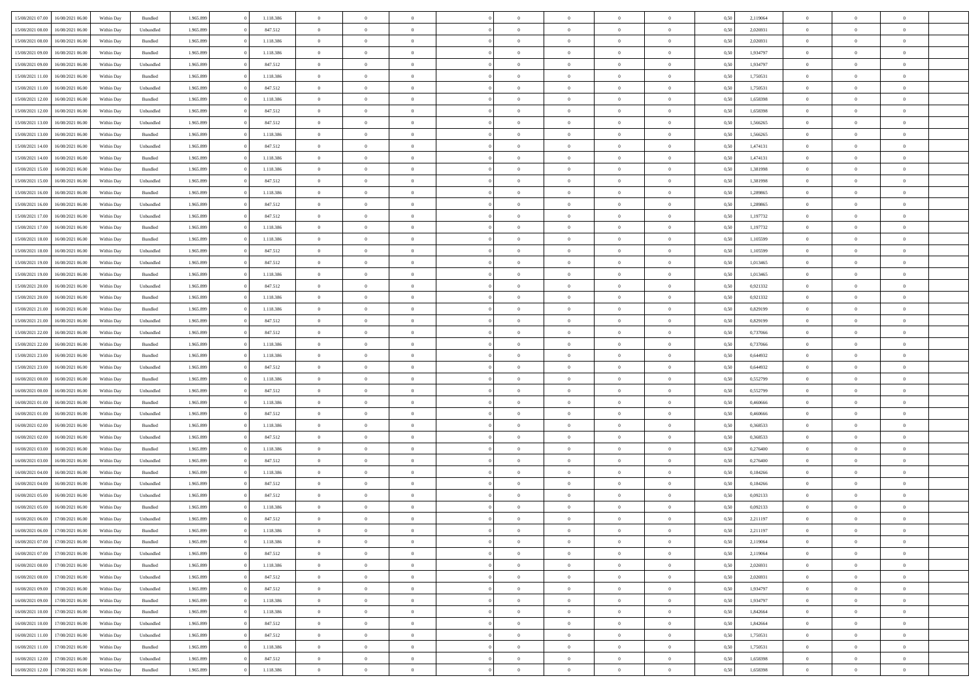| 15/08/2021 07:00                  | 16/08/2021 06:00 | Within Day | Bundled            | 1.965.899 | 1.118.386 | $\overline{0}$ | $\Omega$       |                | $\Omega$       | $\Omega$       | $\theta$       | $\theta$       | 0,50 | 2,119064 | $\theta$       | $\theta$       | $\theta$       |  |
|-----------------------------------|------------------|------------|--------------------|-----------|-----------|----------------|----------------|----------------|----------------|----------------|----------------|----------------|------|----------|----------------|----------------|----------------|--|
|                                   |                  |            |                    |           |           |                |                |                |                |                |                |                |      |          |                |                |                |  |
| 15/08/2021 08:00                  | 16/08/2021 06:00 | Within Day | Unbundled          | 1.965.899 | 847.512   | $\overline{0}$ | $\theta$       | $\overline{0}$ | $\overline{0}$ | $\bf{0}$       | $\overline{0}$ | $\bf{0}$       | 0,50 | 2,026931 | $\theta$       | $\overline{0}$ | $\overline{0}$ |  |
| 15/08/2021 08:00                  | 16/08/2021 06:00 | Within Day | Bundled            | 1.965.899 | 1.118.386 | $\overline{0}$ | $\overline{0}$ | $\overline{0}$ | $\overline{0}$ | $\bf{0}$       | $\overline{0}$ | $\mathbf{0}$   | 0,50 | 2,026931 | $\bf{0}$       | $\overline{0}$ | $\overline{0}$ |  |
| 15/08/2021 09:00                  | 16/08/2021 06:00 | Within Dav | Bundled            | 1.965.899 | 1.118.386 | $\overline{0}$ | $\overline{0}$ | $\overline{0}$ | $\overline{0}$ | $\bf{0}$       | $\overline{0}$ | $\overline{0}$ | 0.50 | 1,934797 | $\theta$       | $\theta$       | $\overline{0}$ |  |
|                                   |                  |            |                    |           |           | $\overline{0}$ | $\theta$       | $\overline{0}$ |                | $\bf{0}$       | $\overline{0}$ |                |      |          | $\theta$       | $\overline{0}$ | $\overline{0}$ |  |
| 15/08/2021 09:00                  | 16/08/2021 06:00 | Within Day | Unbundled          | 1.965.899 | 847.512   |                |                |                | $\overline{0}$ |                |                | $\bf{0}$       | 0,50 | 1,934797 |                |                |                |  |
| 15/08/2021 11:00                  | 16/08/2021 06:00 | Within Day | Bundled            | 1.965.899 | 1.118.386 | $\overline{0}$ | $\overline{0}$ | $\overline{0}$ | $\overline{0}$ | $\overline{0}$ | $\overline{0}$ | $\mathbf{0}$   | 0,50 | 1,750531 | $\bf{0}$       | $\overline{0}$ | $\bf{0}$       |  |
| 15/08/2021 11:00                  | 16/08/2021 06:00 | Within Dav | Unbundled          | 1.965.899 | 847.512   | $\overline{0}$ | $\overline{0}$ | $\overline{0}$ | $\overline{0}$ | $\overline{0}$ | $\overline{0}$ | $\overline{0}$ | 0.50 | 1,750531 | $\theta$       | $\overline{0}$ | $\overline{0}$ |  |
| 15/08/2021 12:00                  | 16/08/2021 06:00 | Within Day | Bundled            | 1.965.899 | 1.118.386 | $\overline{0}$ | $\theta$       | $\overline{0}$ | $\overline{0}$ | $\bf{0}$       | $\overline{0}$ | $\bf{0}$       | 0,50 | 1,658398 | $\theta$       | $\theta$       | $\overline{0}$ |  |
| 15/08/2021 12:00                  | 16/08/2021 06:00 | Within Day | Unbundled          | 1.965.899 | 847.512   | $\overline{0}$ | $\overline{0}$ | $\overline{0}$ | $\overline{0}$ | $\bf{0}$       | $\overline{0}$ | $\bf{0}$       | 0,50 | 1,658398 | $\,0\,$        | $\overline{0}$ | $\overline{0}$ |  |
|                                   |                  |            |                    |           |           |                | $\overline{0}$ |                |                | $\overline{0}$ |                |                |      |          | $\theta$       | $\overline{0}$ | $\overline{0}$ |  |
| 15/08/2021 13:00                  | 16/08/2021 06:00 | Within Dav | Unbundled          | 1.965.899 | 847.512   | $\overline{0}$ |                | $\overline{0}$ | $\overline{0}$ |                | $\overline{0}$ | $\overline{0}$ | 0.50 | 1,566265 |                |                |                |  |
| 15/08/2021 13:00                  | 16/08/2021 06:00 | Within Day | Bundled            | 1.965.899 | 1.118.386 | $\overline{0}$ | $\theta$       | $\overline{0}$ | $\overline{0}$ | $\bf{0}$       | $\overline{0}$ | $\bf{0}$       | 0,50 | 1,566265 | $\,$ 0 $\,$    | $\overline{0}$ | $\overline{0}$ |  |
| 15/08/2021 14:00                  | 16/08/2021 06:00 | Within Day | Unbundled          | 1.965.899 | 847.512   | $\overline{0}$ | $\overline{0}$ | $\overline{0}$ | $\overline{0}$ | $\bf{0}$       | $\overline{0}$ | $\mathbf{0}$   | 0,50 | 1,474131 | $\bf{0}$       | $\overline{0}$ | $\overline{0}$ |  |
| 15/08/2021 14:00                  | 16/08/2021 06:00 | Within Dav | Bundled            | 1.965.899 | 1.118.386 | $\overline{0}$ | $\overline{0}$ | $\overline{0}$ | $\overline{0}$ | $\bf{0}$       | $\overline{0}$ | $\overline{0}$ | 0.50 | 1,474131 | $\theta$       | $\theta$       | $\overline{0}$ |  |
| 15/08/2021 15:00                  | 16/08/2021 06:00 | Within Day | Bundled            | 1.965.899 | 1.118.386 | $\overline{0}$ | $\theta$       | $\overline{0}$ | $\overline{0}$ | $\bf{0}$       | $\overline{0}$ | $\bf{0}$       | 0,50 | 1,381998 | $\theta$       | $\overline{0}$ | $\overline{0}$ |  |
|                                   |                  |            |                    |           |           |                |                |                |                |                |                |                |      |          |                |                |                |  |
| 15/08/2021 15:00                  | 16/08/2021 06:00 | Within Day | Unbundled          | 1.965.899 | 847.512   | $\overline{0}$ | $\overline{0}$ | $\overline{0}$ | $\overline{0}$ | $\overline{0}$ | $\overline{0}$ | $\mathbf{0}$   | 0,50 | 1,381998 | $\bf{0}$       | $\overline{0}$ | $\bf{0}$       |  |
| 15/08/2021 16:00                  | 16/08/2021 06:00 | Within Dav | Bundled            | 1.965.899 | 1.118.386 | $\overline{0}$ | $\overline{0}$ | $\overline{0}$ | $\overline{0}$ | $\overline{0}$ | $\overline{0}$ | $\overline{0}$ | 0.50 | 1,289865 | $\theta$       | $\overline{0}$ | $\overline{0}$ |  |
| 15/08/2021 16:00                  | 16/08/2021 06:00 | Within Day | Unbundled          | 1.965.899 | 847.512   | $\overline{0}$ | $\theta$       | $\overline{0}$ | $\overline{0}$ | $\bf{0}$       | $\overline{0}$ | $\bf{0}$       | 0,50 | 1,289865 | $\,$ 0 $\,$    | $\theta$       | $\overline{0}$ |  |
| 15/08/2021 17:00                  | 16/08/2021 06:00 | Within Day | Unbundled          | 1.965.899 | 847.512   | $\overline{0}$ | $\overline{0}$ | $\overline{0}$ | $\bf{0}$       | $\bf{0}$       | $\bf{0}$       | $\mathbf{0}$   | 0,50 | 1,197732 | $\bf{0}$       | $\overline{0}$ | $\overline{0}$ |  |
| 15/08/2021 17:00                  | 16/08/2021 06:00 | Within Day | Bundled            | 1.965.899 | 1.118.386 | $\overline{0}$ | $\overline{0}$ | $\overline{0}$ | $\overline{0}$ | $\overline{0}$ | $\overline{0}$ | $\overline{0}$ | 0.50 | 1,197732 | $\theta$       | $\overline{0}$ | $\overline{0}$ |  |
| 15/08/2021 18:00                  | 16/08/2021 06:00 | Within Day | Bundled            | 1.965.899 | 1.118.386 | $\overline{0}$ | $\theta$       | $\overline{0}$ | $\overline{0}$ | $\bf{0}$       | $\overline{0}$ | $\bf{0}$       | 0,50 | 1,105599 | $\,$ 0 $\,$    | $\theta$       | $\overline{0}$ |  |
|                                   |                  |            |                    |           |           |                |                |                |                |                |                |                |      |          |                |                |                |  |
| 15/08/2021 18:00                  | 16/08/2021 06:00 | Within Day | Unbundled          | 1.965.899 | 847.512   | $\overline{0}$ | $\overline{0}$ | $\overline{0}$ | $\bf{0}$       | $\bf{0}$       | $\bf{0}$       | $\bf{0}$       | 0,50 | 1,105599 | $\bf{0}$       | $\overline{0}$ | $\overline{0}$ |  |
| 15/08/2021 19:00                  | 16/08/2021 06:00 | Within Day | Unbundled          | 1.965.899 | 847.512   | $\overline{0}$ | $\overline{0}$ | $\overline{0}$ | $\overline{0}$ | $\bf{0}$       | $\overline{0}$ | $\overline{0}$ | 0.50 | 1,013465 | $\theta$       | $\overline{0}$ | $\overline{0}$ |  |
| 15/08/2021 19:00                  | 16/08/2021 06:00 | Within Day | Bundled            | 1.965.899 | 1.118.386 | $\overline{0}$ | $\theta$       | $\overline{0}$ | $\overline{0}$ | $\bf{0}$       | $\overline{0}$ | $\bf{0}$       | 0,50 | 1,013465 | $\,$ 0 $\,$    | $\overline{0}$ | $\overline{0}$ |  |
| 15/08/2021 20:00                  | 16/08/2021 06:00 | Within Day | Unbundled          | 1.965.899 | 847.512   | $\overline{0}$ | $\bf{0}$       | $\overline{0}$ | $\bf{0}$       | $\overline{0}$ | $\overline{0}$ | $\mathbf{0}$   | 0,50 | 0,921332 | $\bf{0}$       | $\overline{0}$ | $\bf{0}$       |  |
| 15/08/2021 20:00                  | 16/08/2021 06:00 | Within Dav | Bundled            | 1.965.899 | 1.118.386 | $\overline{0}$ | $\overline{0}$ | $\overline{0}$ | $\overline{0}$ | $\overline{0}$ | $\overline{0}$ | $\overline{0}$ | 0.50 | 0.921332 | $\theta$       | $\overline{0}$ | $\overline{0}$ |  |
| 15/08/2021 21:00                  | 16/08/2021 06:00 | Within Day | Bundled            | 1.965.899 | 1.118.386 | $\overline{0}$ | $\theta$       | $\overline{0}$ | $\overline{0}$ | $\bf{0}$       | $\overline{0}$ | $\bf{0}$       | 0,50 | 0,829199 | $\,$ 0 $\,$    | $\theta$       | $\overline{0}$ |  |
| 15/08/2021 21:00                  | 16/08/2021 06:00 | Within Day | Unbundled          | 1.965.899 | 847.512   | $\overline{0}$ | $\overline{0}$ | $\overline{0}$ | $\bf{0}$       | $\bf{0}$       | $\bf{0}$       | $\bf{0}$       | 0,50 | 0,829199 | $\,0\,$        | $\overline{0}$ | $\overline{0}$ |  |
|                                   |                  |            |                    |           |           |                |                |                |                |                |                |                |      |          |                |                |                |  |
| 15/08/2021 22:00                  | 16/08/2021 06:00 | Within Day | Unbundled          | 1.965.899 | 847.512   | $\overline{0}$ | $\overline{0}$ | $\overline{0}$ | $\overline{0}$ | $\overline{0}$ | $\overline{0}$ | $\overline{0}$ | 0.50 | 0,737066 | $\theta$       | $\overline{0}$ | $\overline{0}$ |  |
| 15/08/2021 22:00                  | 16/08/2021 06:00 | Within Day | Bundled            | 1.965.899 | 1.118.386 | $\overline{0}$ | $\theta$       | $\overline{0}$ | $\overline{0}$ | $\bf{0}$       | $\overline{0}$ | $\bf{0}$       | 0,50 | 0,737066 | $\,$ 0 $\,$    | $\overline{0}$ | $\overline{0}$ |  |
| 15/08/2021 23:00                  | 16/08/2021 06:00 | Within Day | Bundled            | 1.965.899 | 1.118.386 | $\overline{0}$ | $\overline{0}$ | $\overline{0}$ | $\bf{0}$       | $\bf{0}$       | $\bf{0}$       | $\bf{0}$       | 0,50 | 0,644932 | $\bf{0}$       | $\overline{0}$ | $\overline{0}$ |  |
| 15/08/2021 23:00                  | 16/08/2021 06:00 | Within Day | Unbundled          | 1.965.899 | 847.512   | $\overline{0}$ | $\Omega$       | $\overline{0}$ | $\Omega$       | $\Omega$       | $\overline{0}$ | $\overline{0}$ | 0,50 | 0.644932 | $\,0\,$        | $\theta$       | $\theta$       |  |
| 16/08/2021 00:00                  | 16/08/2021 06:00 | Within Day | Bundled            | 1.965.899 | 1.118.386 | $\overline{0}$ | $\theta$       | $\overline{0}$ | $\overline{0}$ | $\bf{0}$       | $\overline{0}$ | $\bf{0}$       | 0,50 | 0,552799 | $\,$ 0 $\,$    | $\overline{0}$ | $\overline{0}$ |  |
| 16/08/2021 00:00                  | 16/08/2021 06:00 | Within Day | Unbundled          | 1.965.899 | 847.512   | $\overline{0}$ | $\overline{0}$ | $\overline{0}$ | $\bf{0}$       | $\bf{0}$       | $\overline{0}$ | $\mathbf{0}$   | 0,50 | 0,552799 | $\bf{0}$       | $\overline{0}$ | $\bf{0}$       |  |
| 16/08/2021 01:00                  | 16/08/2021 06:00 |            | Bundled            | 1.965.899 | 1.118.386 | $\overline{0}$ | $\Omega$       | $\Omega$       | $\Omega$       | $\bf{0}$       | $\overline{0}$ | $\overline{0}$ | 0.50 | 0.460666 | $\,0\,$        | $\theta$       | $\theta$       |  |
|                                   |                  | Within Day |                    |           |           |                |                |                |                |                |                |                |      |          |                |                |                |  |
| 16/08/2021 01:00                  | 16/08/2021 06:00 | Within Day | Unbundled          | 1.965.899 | 847.512   | $\overline{0}$ | $\theta$       | $\overline{0}$ | $\overline{0}$ | $\bf{0}$       | $\overline{0}$ | $\bf{0}$       | 0,50 | 0,460666 | $\,$ 0 $\,$    | $\overline{0}$ | $\overline{0}$ |  |
| 16/08/2021 02:00                  | 16/08/2021 06:00 | Within Day | Bundled            | 1.965.899 | 1.118.386 | $\overline{0}$ | $\overline{0}$ | $\overline{0}$ | $\bf{0}$       | $\bf{0}$       | $\bf{0}$       | $\bf{0}$       | 0,50 | 0,368533 | $\bf{0}$       | $\overline{0}$ | $\overline{0}$ |  |
| 16/08/2021 02:00                  | 16/08/2021 06:00 | Within Day | Unbundled          | 1.965.899 | 847.512   | $\overline{0}$ | $\Omega$       | $\overline{0}$ | $\Omega$       | $\overline{0}$ | $\theta$       | $\overline{0}$ | 0.50 | 0.368533 | $\,$ 0 $\,$    | $\theta$       | $\theta$       |  |
| 16/08/2021 03:00                  | 16/08/2021 06:00 | Within Day | Bundled            | 1.965.899 | 1.118.386 | $\overline{0}$ | $\theta$       | $\overline{0}$ | $\overline{0}$ | $\,$ 0         | $\overline{0}$ | $\bf{0}$       | 0,50 | 0,276400 | $\,$ 0 $\,$    | $\overline{0}$ | $\overline{0}$ |  |
| 16/08/2021 03:00                  | 16/08/2021 06:00 | Within Day | Unbundled          | 1.965.899 | 847.512   | $\overline{0}$ | $\overline{0}$ | $\overline{0}$ | $\bf{0}$       | $\bf{0}$       | $\bf{0}$       | $\bf{0}$       | 0,50 | 0,276400 | $\bf{0}$       | $\overline{0}$ | $\overline{0}$ |  |
| 16/08/2021 04:00                  | 16/08/2021 06:00 | Within Day | Bundled            | 1.965.899 | 1.118.386 | $\overline{0}$ | $\Omega$       | $\overline{0}$ | $\Omega$       | $\overline{0}$ | $\overline{0}$ | $\overline{0}$ | 0.50 | 0,184266 | $\,0\,$        | $\theta$       | $\theta$       |  |
|                                   |                  |            |                    |           |           |                |                |                |                |                |                |                |      |          |                |                |                |  |
| 16/08/2021 04:00                  | 16/08/2021 06:00 | Within Day | Unbundled          | 1.965.899 | 847.512   | $\overline{0}$ | $\theta$       | $\overline{0}$ | $\overline{0}$ | $\,$ 0         | $\overline{0}$ | $\bf{0}$       | 0,50 | 0,184266 | $\,$ 0 $\,$    | $\overline{0}$ | $\overline{0}$ |  |
| 16/08/2021 05:00                  | 16/08/2021 06:00 | Within Day | Unbundled          | 1.965.899 | 847.512   | $\overline{0}$ | $\overline{0}$ | $\overline{0}$ | $\bf{0}$       | $\bf{0}$       | $\bf{0}$       | $\mathbf{0}$   | 0,50 | 0,092133 | $\overline{0}$ | $\overline{0}$ | $\bf{0}$       |  |
| 16/08/2021 05:00                  | 16/08/2021 06:00 | Within Day | Bundled            | 1.965.899 | 1.118.386 | $\overline{0}$ | $\Omega$       | $\Omega$       | $\Omega$       | $\Omega$       | $\Omega$       | $\overline{0}$ | 0.50 | 0.092133 | $\theta$       | $\theta$       | $\theta$       |  |
| 16/08/2021 06:00                  | 17/08/2021 06:00 | Within Day | Unbundled          | 1.965.899 | 847.512   | $\overline{0}$ | $\overline{0}$ | $\overline{0}$ | $\bf{0}$       | $\,$ 0         | $\bf{0}$       | $\bf{0}$       | 0,50 | 2,211197 | $\,0\,$        | $\,$ 0 $\,$    | $\overline{0}$ |  |
| 16/08/2021 06:00 17/08/2021 06:00 |                  | Within Day | $\mathbf B$ undled | 1.965.899 | 1.118.386 | $\bf{0}$       | $\bf{0}$       |                |                | $\bf{0}$       |                |                | 0,50 | 2,211197 | $\bf{0}$       | $\overline{0}$ |                |  |
| 16/08/2021 07:00                  | 17/08/2021 06:00 | Within Day | Bundled            | 1.965.899 | 1.118.386 | $\overline{0}$ | $\overline{0}$ | $\overline{0}$ | $\Omega$       | $\overline{0}$ | $\overline{0}$ | $\overline{0}$ | 0,50 | 2,119064 | $\theta$       | $\theta$       | $\theta$       |  |
| 16/08/2021 07:00                  | 17/08/2021 06:00 | Within Day | Unbundled          | 1.965.899 | 847.512   | $\overline{0}$ | $\bf{0}$       | $\overline{0}$ | $\bf{0}$       | $\,$ 0 $\,$    | $\overline{0}$ | $\,$ 0 $\,$    | 0,50 | 2,119064 | $\,$ 0 $\,$    | $\,$ 0 $\,$    | $\,$ 0         |  |
|                                   |                  |            |                    |           |           |                |                |                |                |                |                |                |      |          |                |                |                |  |
| 16/08/2021 08:00                  | 17/08/2021 06:00 | Within Day | Bundled            | 1.965.899 | 1.118.386 | $\overline{0}$ | $\overline{0}$ | $\overline{0}$ | $\overline{0}$ | $\overline{0}$ | $\overline{0}$ | $\mathbf{0}$   | 0,50 | 2,026931 | $\overline{0}$ | $\bf{0}$       | $\overline{0}$ |  |
| 16/08/2021 08:00                  | 17/08/2021 06:00 | Within Day | Unbundled          | 1.965.899 | 847.512   | $\overline{0}$ | $\overline{0}$ | $\overline{0}$ | $\Omega$       | $\overline{0}$ | $\overline{0}$ | $\overline{0}$ | 0,50 | 2,026931 | $\overline{0}$ | $\overline{0}$ | $\overline{0}$ |  |
| 16/08/2021 09:00                  | 17/08/2021 06:00 | Within Day | Unbundled          | 1.965.899 | 847.512   | $\overline{0}$ | $\,$ 0         | $\overline{0}$ | $\bf{0}$       | $\,$ 0 $\,$    | $\overline{0}$ | $\,$ 0 $\,$    | 0,50 | 1,934797 | $\,$ 0 $\,$    | $\overline{0}$ | $\overline{0}$ |  |
| 16/08/2021 09:00                  | 17/08/2021 06:00 | Within Day | Bundled            | 1.965.899 | 1.118.386 | $\overline{0}$ | $\overline{0}$ | $\overline{0}$ | $\overline{0}$ | $\overline{0}$ | $\overline{0}$ | $\mathbf{0}$   | 0,50 | 1,934797 | $\overline{0}$ | $\overline{0}$ | $\overline{0}$ |  |
| 16/08/2021 10:00                  | 17/08/2021 06:00 | Within Day | Bundled            | 1.965.899 | 1.118.386 | $\overline{0}$ | $\overline{0}$ | $\overline{0}$ | $\overline{0}$ | $\overline{0}$ | $\overline{0}$ | $\bf{0}$       | 0.50 | 1,842664 | $\overline{0}$ | $\theta$       | $\overline{0}$ |  |
| 16/08/2021 10:00                  | 17/08/2021 06:00 | Within Day | Unbundled          | 1.965.899 | 847.512   | $\overline{0}$ | $\,$ 0         | $\overline{0}$ | $\bf{0}$       | $\bf{0}$       | $\bf{0}$       | $\bf{0}$       | 0,50 | 1,842664 | $\,$ 0 $\,$    | $\overline{0}$ | $\overline{0}$ |  |
|                                   |                  |            |                    |           |           |                |                |                |                |                |                |                |      |          |                |                |                |  |
| 16/08/2021 11:00                  | 17/08/2021 06:00 | Within Day | Unbundled          | 1.965.899 | 847.512   | $\overline{0}$ | $\bf{0}$       | $\overline{0}$ | $\overline{0}$ | $\overline{0}$ | $\overline{0}$ | $\mathbf{0}$   | 0,50 | 1,750531 | $\overline{0}$ | $\overline{0}$ | $\bf{0}$       |  |
| 16/08/2021 11:00                  | 17/08/2021 06:00 | Within Day | Bundled            | 1.965.899 | 1.118.386 | $\overline{0}$ | $\overline{0}$ | $\overline{0}$ | $\Omega$       | $\overline{0}$ | $\overline{0}$ | $\overline{0}$ | 0.50 | 1,750531 | $\overline{0}$ | $\overline{0}$ | $\overline{0}$ |  |
| 16/08/2021 12:00                  | 17/08/2021 06:00 | Within Day | Unbundled          | 1.965.899 | 847.512   | $\overline{0}$ | $\bf{0}$       | $\overline{0}$ | $\bf{0}$       | $\bf{0}$       | $\bf{0}$       | $\mathbf{0}$   | 0,50 | 1,658398 | $\,$ 0 $\,$    | $\,$ 0 $\,$    | $\bf{0}$       |  |
| 16/08/2021 12:00 17/08/2021 06:00 |                  | Within Day | Bundled            | 1.965.899 | 1.118.386 | $\overline{0}$ | $\overline{0}$ | $\overline{0}$ | $\overline{0}$ | $\overline{0}$ | $\bf{0}$       | $\mathbf{0}$   | 0,50 | 1,658398 | $\overline{0}$ | $\bf{0}$       | $\overline{0}$ |  |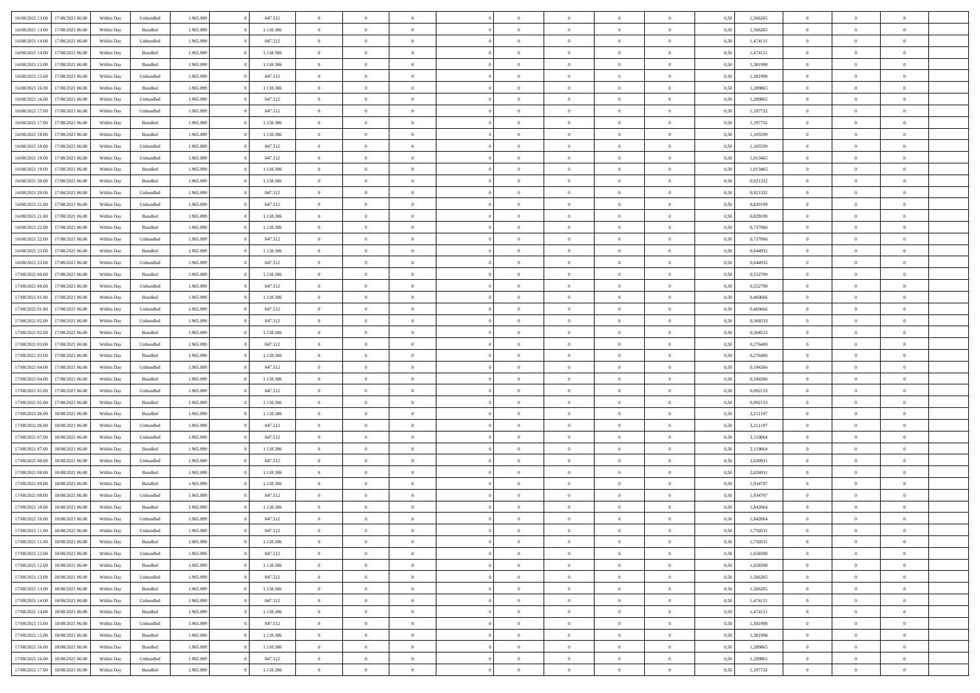| 16/08/2021 13:00 | 17/08/2021 06:00 | Within Dav | Unbundled | 1.965.899 | 847.512   | $\overline{0}$ | $\Omega$       |                | $\Omega$       | $\Omega$       | $\Omega$       | $\theta$       | 0,50 | 1,566265 | $\theta$       | $\theta$       | $\theta$       |  |
|------------------|------------------|------------|-----------|-----------|-----------|----------------|----------------|----------------|----------------|----------------|----------------|----------------|------|----------|----------------|----------------|----------------|--|
| 16/08/2021 13:00 | 17/08/2021 06:00 | Within Day | Bundled   | 1.965.899 | 1.118.386 | $\overline{0}$ | $\theta$       | $\overline{0}$ | $\overline{0}$ | $\bf{0}$       | $\overline{0}$ | $\bf{0}$       | 0,50 | 1,566265 | $\theta$       | $\theta$       | $\overline{0}$ |  |
| 16/08/2021 14:00 | 17/08/2021 06:00 | Within Day | Unbundled | 1.965.899 | 847.512   | $\overline{0}$ | $\overline{0}$ | $\overline{0}$ | $\bf{0}$       | $\bf{0}$       | $\bf{0}$       | $\mathbf{0}$   | 0,50 | 1,474131 | $\overline{0}$ | $\overline{0}$ | $\overline{0}$ |  |
| 16/08/2021 14:00 | 17/08/2021 06:00 | Within Dav | Bundled   | 1.965.899 | 1.118.386 | $\overline{0}$ | $\overline{0}$ | $\overline{0}$ | $\overline{0}$ | $\bf{0}$       | $\overline{0}$ | $\overline{0}$ | 0.50 | 1,474131 | $\theta$       | $\theta$       | $\overline{0}$ |  |
| 16/08/2021 15:00 | 17/08/2021 06:00 | Within Day | Bundled   | 1.965.899 | 1.118.386 | $\overline{0}$ | $\theta$       | $\overline{0}$ | $\overline{0}$ | $\bf{0}$       | $\overline{0}$ | $\bf{0}$       | 0,50 | 1,381998 | $\theta$       | $\overline{0}$ | $\overline{0}$ |  |
|                  |                  |            |           |           |           |                |                |                |                |                |                |                |      |          |                |                |                |  |
| 16/08/2021 15:00 | 17/08/2021 06:00 | Within Day | Unbundled | 1.965.899 | 847.512   | $\overline{0}$ | $\bf{0}$       | $\overline{0}$ | $\bf{0}$       | $\overline{0}$ | $\overline{0}$ | $\mathbf{0}$   | 0,50 | 1,381998 | $\overline{0}$ | $\overline{0}$ | $\bf{0}$       |  |
| 16/08/2021 16:00 | 17/08/2021 06:00 | Within Dav | Bundled   | 1.965.899 | 1.118.386 | $\overline{0}$ | $\overline{0}$ | $\overline{0}$ | $\overline{0}$ | $\overline{0}$ | $\overline{0}$ | $\overline{0}$ | 0.50 | 1,289865 | $\theta$       | $\overline{0}$ | $\overline{0}$ |  |
| 16/08/2021 16:00 | 17/08/2021 06:00 | Within Day | Unbundled | 1.965.899 | 847.512   | $\overline{0}$ | $\theta$       | $\overline{0}$ | $\overline{0}$ | $\bf{0}$       | $\overline{0}$ | $\bf{0}$       | 0,50 | 1,289865 | $\theta$       | $\theta$       | $\overline{0}$ |  |
| 16/08/2021 17:00 | 17/08/2021 06:00 | Within Day | Unbundled | 1.965.899 | 847.512   | $\overline{0}$ | $\overline{0}$ | $\overline{0}$ | $\bf{0}$       | $\bf{0}$       | $\bf{0}$       | $\bf{0}$       | 0,50 | 1,197732 | $\,0\,$        | $\overline{0}$ | $\overline{0}$ |  |
| 16/08/2021 17:00 | 17/08/2021 06:00 | Within Dav | Bundled   | 1.965.899 | 1.118.386 | $\overline{0}$ | $\overline{0}$ | $\overline{0}$ | $\overline{0}$ | $\overline{0}$ | $\overline{0}$ | $\overline{0}$ | 0.50 | 1,197732 | $\theta$       | $\overline{0}$ | $\overline{0}$ |  |
| 16/08/2021 18:00 | 17/08/2021 06:00 | Within Day | Bundled   | 1.965.899 | 1.118.386 | $\overline{0}$ | $\theta$       | $\overline{0}$ | $\overline{0}$ | $\bf{0}$       | $\overline{0}$ | $\bf{0}$       | 0,50 | 1,105599 | $\,$ 0 $\,$    | $\overline{0}$ | $\overline{0}$ |  |
| 16/08/2021 18:00 | 17/08/2021 06:00 | Within Day | Unbundled | 1.965.899 | 847.512   | $\overline{0}$ | $\overline{0}$ | $\overline{0}$ | $\bf{0}$       | $\bf{0}$       | $\bf{0}$       | $\mathbf{0}$   | 0,50 | 1,105599 | $\overline{0}$ | $\overline{0}$ | $\overline{0}$ |  |
| 16/08/2021 19:00 | 17/08/2021 06:00 | Within Day | Unbundled | 1.965.899 | 847.512   | $\overline{0}$ | $\overline{0}$ | $\overline{0}$ | $\overline{0}$ | $\bf{0}$       | $\overline{0}$ | $\overline{0}$ | 0.50 | 1.013465 | $\theta$       | $\theta$       | $\overline{0}$ |  |
|                  |                  |            |           |           |           |                |                |                |                |                |                |                |      |          |                |                |                |  |
| 16/08/2021 19:00 | 17/08/2021 06:00 | Within Day | Bundled   | 1.965.899 | 1.118.386 | $\overline{0}$ | $\theta$       | $\overline{0}$ | $\overline{0}$ | $\bf{0}$       | $\overline{0}$ | $\bf{0}$       | 0,50 | 1,013465 | $\theta$       | $\overline{0}$ | $\overline{0}$ |  |
| 16/08/2021 20:00 | 17/08/2021 06:00 | Within Day | Bundled   | 1.965.899 | 1.118.386 | $\overline{0}$ | $\overline{0}$ | $\overline{0}$ | $\bf{0}$       | $\overline{0}$ | $\overline{0}$ | $\mathbf{0}$   | 0,50 | 0,921332 | $\overline{0}$ | $\overline{0}$ | $\bf{0}$       |  |
| 16/08/2021 20:00 | 17/08/2021 06:00 | Within Dav | Unbundled | 1.965.899 | 847.512   | $\overline{0}$ | $\overline{0}$ | $\overline{0}$ | $\overline{0}$ | $\overline{0}$ | $\overline{0}$ | $\overline{0}$ | 0.50 | 0.921332 | $\theta$       | $\overline{0}$ | $\overline{0}$ |  |
| 16/08/2021 21:00 | 17/08/2021 06:00 | Within Day | Unbundled | 1.965.899 | 847.512   | $\overline{0}$ | $\theta$       | $\overline{0}$ | $\overline{0}$ | $\bf{0}$       | $\overline{0}$ | $\bf{0}$       | 0,50 | 0,829199 | $\theta$       | $\theta$       | $\overline{0}$ |  |
| 16/08/2021 21:00 | 17/08/2021 06:00 | Within Day | Bundled   | 1.965.899 | 1.118.386 | $\overline{0}$ | $\overline{0}$ | $\overline{0}$ | $\bf{0}$       | $\bf{0}$       | $\bf{0}$       | $\mathbf{0}$   | 0,50 | 0,829199 | $\,0\,$        | $\overline{0}$ | $\overline{0}$ |  |
| 16/08/2021 22:00 | 17/08/2021 06:00 | Within Day | Bundled   | 1.965.899 | 1.118.386 | $\overline{0}$ | $\overline{0}$ | $\overline{0}$ | $\overline{0}$ | $\overline{0}$ | $\overline{0}$ | $\overline{0}$ | 0.50 | 0,737066 | $\theta$       | $\overline{0}$ | $\overline{0}$ |  |
| 16/08/2021 22:00 | 17/08/2021 06:00 | Within Day | Unbundled | 1.965.899 | 847.512   | $\overline{0}$ | $\theta$       | $\overline{0}$ | $\overline{0}$ | $\bf{0}$       | $\overline{0}$ | $\bf{0}$       | 0,50 | 0,737066 | $\,$ 0 $\,$    | $\theta$       | $\overline{0}$ |  |
|                  |                  |            |           |           |           |                |                |                |                |                |                |                |      |          |                |                |                |  |
| 16/08/2021 23:00 | 17/08/2021 06:00 | Within Day | Bundled   | 1.965.899 | 1.118.386 | $\overline{0}$ | $\overline{0}$ | $\overline{0}$ | $\bf{0}$       | $\bf{0}$       | $\bf{0}$       | $\bf{0}$       | 0,50 | 0,644932 | $\bf{0}$       | $\overline{0}$ | $\overline{0}$ |  |
| 16/08/2021 23:00 | 17/08/2021 06:00 | Within Day | Unbundled | 1.965.899 | 847.512   | $\overline{0}$ | $\overline{0}$ | $\overline{0}$ | $\overline{0}$ | $\bf{0}$       | $\overline{0}$ | $\overline{0}$ | 0.50 | 0,644932 | $\theta$       | $\overline{0}$ | $\overline{0}$ |  |
| 17/08/2021 00:00 | 17/08/2021 06:00 | Within Day | Bundled   | 1.965.899 | 1.118.386 | $\overline{0}$ | $\theta$       | $\overline{0}$ | $\overline{0}$ | $\bf{0}$       | $\overline{0}$ | $\bf{0}$       | 0,50 | 0,552799 | $\,$ 0 $\,$    | $\overline{0}$ | $\overline{0}$ |  |
| 17/08/2021 00:00 | 17/08/2021 06:00 | Within Day | Unbundled | 1.965.899 | 847.512   | $\overline{0}$ | $\overline{0}$ | $\overline{0}$ | $\bf{0}$       | $\overline{0}$ | $\overline{0}$ | $\mathbf{0}$   | 0,50 | 0,552799 | $\overline{0}$ | $\overline{0}$ | $\bf{0}$       |  |
| 17/08/2021 01:00 | 17/08/2021 06:00 | Within Dav | Bundled   | 1.965.899 | 1.118.386 | $\overline{0}$ | $\overline{0}$ | $\overline{0}$ | $\overline{0}$ | $\overline{0}$ | $\overline{0}$ | $\overline{0}$ | 0.50 | 0.460666 | $\theta$       | $\overline{0}$ | $\overline{0}$ |  |
| 17/08/2021 01:00 | 17/08/2021 06:00 | Within Day | Unbundled | 1.965.899 | 847.512   | $\overline{0}$ | $\theta$       | $\overline{0}$ | $\overline{0}$ | $\bf{0}$       | $\overline{0}$ | $\bf{0}$       | 0,50 | 0,460666 | $\theta$       | $\theta$       | $\overline{0}$ |  |
| 17/08/2021 02:00 | 17/08/2021 06:00 | Within Day | Unbundled | 1.965.899 | 847.512   | $\overline{0}$ | $\overline{0}$ | $\overline{0}$ | $\bf{0}$       | $\bf{0}$       | $\bf{0}$       | $\bf{0}$       | 0,50 | 0,368533 | $\,0\,$        | $\overline{0}$ | $\overline{0}$ |  |
| 17/08/2021 02:00 | 17/08/2021 06:00 | Within Day | Bundled   | 1.965.899 | 1.118.386 | $\overline{0}$ | $\overline{0}$ | $\overline{0}$ | $\overline{0}$ | $\overline{0}$ | $\overline{0}$ | $\overline{0}$ | 0.50 | 0,368533 | $\theta$       | $\overline{0}$ | $\overline{0}$ |  |
|                  |                  |            |           |           |           |                |                |                |                |                |                |                |      |          |                |                |                |  |
| 17/08/2021 03:00 | 17/08/2021 06:00 | Within Day | Unbundled | 1.965.899 | 847.512   | $\overline{0}$ | $\theta$       | $\overline{0}$ | $\overline{0}$ | $\bf{0}$       | $\overline{0}$ | $\bf{0}$       | 0,50 | 0,276400 | $\,$ 0 $\,$    | $\overline{0}$ | $\overline{0}$ |  |
| 17/08/2021 03:00 | 17/08/2021 06:00 | Within Day | Bundled   | 1.965.899 | 1.118.386 | $\overline{0}$ | $\overline{0}$ | $\overline{0}$ | $\bf{0}$       | $\bf{0}$       | $\bf{0}$       | $\bf{0}$       | 0,50 | 0,276400 | $\overline{0}$ | $\overline{0}$ | $\overline{0}$ |  |
| 17/08/2021 04:00 | 17/08/2021 06:00 | Within Day | Unbundled | 1.965.899 | 847.512   | $\overline{0}$ | $\Omega$       | $\overline{0}$ | $\Omega$       | $\Omega$       | $\overline{0}$ | $\overline{0}$ | 0,50 | 0,184266 | $\,0\,$        | $\theta$       | $\theta$       |  |
| 17/08/2021 04:00 | 17/08/2021 06:00 | Within Day | Bundled   | 1.965.899 | 1.118.386 | $\overline{0}$ | $\theta$       | $\overline{0}$ | $\overline{0}$ | $\bf{0}$       | $\overline{0}$ | $\bf{0}$       | 0,50 | 0,184266 | $\,$ 0 $\,$    | $\theta$       | $\overline{0}$ |  |
| 17/08/2021 05:00 | 17/08/2021 06:00 | Within Day | Unbundled | 1.965.899 | 847.512   | $\overline{0}$ | $\overline{0}$ | $\overline{0}$ | $\bf{0}$       | $\bf{0}$       | $\overline{0}$ | $\mathbf{0}$   | 0,50 | 0,092133 | $\overline{0}$ | $\overline{0}$ | $\bf{0}$       |  |
| 17/08/2021 05:00 | 17/08/2021 06:00 | Within Day | Bundled   | 1.965.899 | 1.118.386 | $\overline{0}$ | $\Omega$       | $\Omega$       | $\Omega$       | $\bf{0}$       | $\overline{0}$ | $\overline{0}$ | 0.50 | 0.092133 | $\,0\,$        | $\theta$       | $\theta$       |  |
| 17/08/2021 06:00 | 18/08/2021 06:00 | Within Day | Bundled   | 1.965.899 | 1.118.386 | $\overline{0}$ | $\theta$       | $\overline{0}$ | $\overline{0}$ | $\bf{0}$       | $\overline{0}$ | $\bf{0}$       | 0,50 | 2,211197 | $\,$ 0 $\,$    | $\theta$       | $\overline{0}$ |  |
|                  |                  |            |           |           |           |                | $\overline{0}$ |                |                | $\bf{0}$       |                |                |      |          | $\bf{0}$       | $\overline{0}$ | $\overline{0}$ |  |
| 17/08/2021 06:00 | 18/08/2021 06:00 | Within Day | Unbundled | 1.965.899 | 847.512   | $\overline{0}$ |                | $\overline{0}$ | $\bf{0}$       |                | $\bf{0}$       | $\bf{0}$       | 0,50 | 2,211197 |                |                |                |  |
| 17/08/2021 07:00 | 18/08/2021 06:00 | Within Day | Unbundled | 1.965.899 | 847.512   | $\overline{0}$ | $\Omega$       | $\overline{0}$ | $\Omega$       | $\overline{0}$ | $\overline{0}$ | $\overline{0}$ | 0.50 | 2,119064 | $\,0\,$        | $\theta$       | $\theta$       |  |
| 17/08/2021 07:00 | 18/08/2021 06:00 | Within Day | Bundled   | 1.965.899 | 1.118.386 | $\overline{0}$ | $\theta$       | $\overline{0}$ | $\overline{0}$ | $\bf{0}$       | $\overline{0}$ | $\bf{0}$       | 0,50 | 2,119064 | $\,$ 0 $\,$    | $\overline{0}$ | $\overline{0}$ |  |
| 17/08/2021 08:00 | 18/08/2021 06:00 | Within Day | Unbundled | 1.965.899 | 847.512   | $\overline{0}$ | $\overline{0}$ | $\overline{0}$ | $\bf{0}$       | $\bf{0}$       | $\bf{0}$       | $\bf{0}$       | 0,50 | 2,026931 | $\overline{0}$ | $\overline{0}$ | $\overline{0}$ |  |
| 17/08/2021 08:00 | 18/08/2021 06:00 | Within Day | Bundled   | 1.965.899 | 1.118.386 | $\overline{0}$ | $\Omega$       | $\overline{0}$ | $\Omega$       | $\overline{0}$ | $\overline{0}$ | $\overline{0}$ | 0.50 | 2,026931 | $\,0\,$        | $\theta$       | $\theta$       |  |
| 17/08/2021 09:00 | 18/08/2021 06:00 | Within Day | Bundled   | 1.965.899 | 1.118.386 | $\overline{0}$ | $\theta$       | $\overline{0}$ | $\overline{0}$ | $\bf{0}$       | $\overline{0}$ | $\bf{0}$       | 0,50 | 1,934797 | $\,$ 0 $\,$    | $\overline{0}$ | $\overline{0}$ |  |
| 17/08/2021 09:00 | 18/08/2021 06:00 | Within Day | Unbundled | 1.965.899 | 847.512   | $\overline{0}$ | $\overline{0}$ | $\overline{0}$ | $\bf{0}$       | $\bf{0}$       | $\bf{0}$       | $\mathbf{0}$   | 0,50 | 1,934797 | $\overline{0}$ | $\overline{0}$ | $\bf{0}$       |  |
| 17/08/2021 10:00 | 18/08/2021 06:00 | Within Day | Bundled   | 1.965.899 | 1.118.386 | $\overline{0}$ | $\Omega$       | $\Omega$       | $\Omega$       | $\Omega$       | $\Omega$       | $\overline{0}$ | 0.50 | 1.842664 | $\theta$       | $\theta$       | $\theta$       |  |
| 17/08/2021 10:00 | 18/08/2021 06:00 | Within Day | Unbundled | 1.965.899 | 847.512   | $\overline{0}$ | $\overline{0}$ | $\overline{0}$ | $\bf{0}$       | $\,$ 0         | $\bf{0}$       | $\bf{0}$       | 0,50 | 1,842664 | $\,0\,$        | $\overline{0}$ | $\overline{0}$ |  |
|                  |                  |            |           |           |           |                |                |                |                |                |                |                |      |          |                |                |                |  |
| 17/08/2021 11:00 | 18/08/2021 06:00 | Within Day | Unbundled | 1.965.899 | 847.512   | $\bf{0}$       | $\bf{0}$       |                |                |                |                |                | 0,50 | 1,750531 | $\bf{0}$       | $\overline{0}$ |                |  |
| 17/08/2021 11:00 | 18/08/2021 06:00 | Within Day | Bundled   | 1.965.899 | 1.118.386 | $\overline{0}$ | $\overline{0}$ | $\overline{0}$ | $\Omega$       | $\overline{0}$ | $\overline{0}$ | $\overline{0}$ | 0,50 | 1,750531 | $\theta$       | $\theta$       | $\theta$       |  |
| 17/08/2021 12:00 | 18/08/2021 06:00 | Within Day | Unbundled | 1.965.899 | 847.512   | $\overline{0}$ | $\bf{0}$       | $\overline{0}$ | $\bf{0}$       | $\,$ 0 $\,$    | $\overline{0}$ | $\,$ 0 $\,$    | 0,50 | 1,658398 | $\,$ 0 $\,$    | $\,$ 0 $\,$    | $\,$ 0         |  |
| 17/08/2021 12:00 | 18/08/2021 06:00 | Within Day | Bundled   | 1.965.899 | 1.118.386 | $\overline{0}$ | $\overline{0}$ | $\overline{0}$ | $\overline{0}$ | $\overline{0}$ | $\overline{0}$ | $\mathbf{0}$   | 0,50 | 1,658398 | $\overline{0}$ | $\bf{0}$       | $\overline{0}$ |  |
| 17/08/2021 13:00 | 18/08/2021 06:00 | Within Day | Unbundled | 1.965.899 | 847.512   | $\overline{0}$ | $\overline{0}$ | $\overline{0}$ | $\Omega$       | $\overline{0}$ | $\overline{0}$ | $\overline{0}$ | 0,50 | 1,566265 | $\overline{0}$ | $\overline{0}$ | $\overline{0}$ |  |
| 17/08/2021 13:00 | 18/08/2021 06:00 | Within Day | Bundled   | 1.965.899 | 1.118.386 | $\overline{0}$ | $\,$ 0         | $\overline{0}$ | $\bf{0}$       | $\,$ 0 $\,$    | $\overline{0}$ | $\,$ 0 $\,$    | 0,50 | 1,566265 | $\,$ 0 $\,$    | $\overline{0}$ | $\,$ 0         |  |
| 17/08/2021 14:00 | 18/08/2021 06:00 | Within Day | Unbundled | 1.965.899 | 847.512   | $\overline{0}$ | $\overline{0}$ | $\overline{0}$ | $\overline{0}$ | $\overline{0}$ | $\overline{0}$ | $\mathbf{0}$   | 0,50 | 1,474131 | $\overline{0}$ | $\overline{0}$ | $\overline{0}$ |  |
| 17/08/2021 14:00 | 18/08/2021 06:00 | Within Day | Bundled   | 1.965.899 | 1.118.386 | $\overline{0}$ | $\overline{0}$ | $\overline{0}$ | $\overline{0}$ | $\overline{0}$ | $\overline{0}$ | $\overline{0}$ | 0.50 | 1,474131 | $\overline{0}$ | $\theta$       | $\overline{0}$ |  |
|                  |                  |            |           |           |           |                |                |                |                |                |                |                |      |          |                |                |                |  |
| 17/08/2021 15:00 | 18/08/2021 06:00 | Within Day | Unbundled | 1.965.899 | 847.512   | $\overline{0}$ | $\,$ 0         | $\overline{0}$ | $\bf{0}$       | $\bf{0}$       | $\bf{0}$       | $\bf{0}$       | 0,50 | 1,381998 | $\,$ 0 $\,$    | $\overline{0}$ | $\overline{0}$ |  |
| 17/08/2021 15:00 | 18/08/2021 06:00 | Within Day | Bundled   | 1.965.899 | 1.118.386 | $\overline{0}$ | $\overline{0}$ | $\overline{0}$ | $\overline{0}$ | $\overline{0}$ | $\overline{0}$ | $\mathbf{0}$   | 0,50 | 1,381998 | $\overline{0}$ | $\overline{0}$ | $\bf{0}$       |  |
| 17/08/2021 16:00 | 18/08/2021 06:00 | Within Day | Bundled   | 1.965.899 | 1.118.386 | $\overline{0}$ | $\overline{0}$ | $\overline{0}$ | $\Omega$       | $\overline{0}$ | $\overline{0}$ | $\overline{0}$ | 0.50 | 1,289865 | $\overline{0}$ | $\overline{0}$ | $\overline{0}$ |  |
| 17/08/2021 16:00 | 18/08/2021 06:00 | Within Day | Unbundled | 1.965.899 | 847.512   | $\overline{0}$ | $\bf{0}$       | $\overline{0}$ | $\bf{0}$       | $\bf{0}$       | $\bf{0}$       | $\mathbf{0}$   | 0,50 | 1,289865 | $\,$ 0 $\,$    | $\,$ 0 $\,$    | $\bf{0}$       |  |
| 17/08/2021 17:00 | 18/08/2021 06:00 | Within Day | Bundled   | 1.965.899 | 1.118.386 | $\overline{0}$ | $\overline{0}$ | $\overline{0}$ | $\overline{0}$ | $\overline{0}$ | $\bf{0}$       | $\mathbf{0}$   | 0,50 | 1,197732 | $\overline{0}$ | $\bf{0}$       | $\overline{0}$ |  |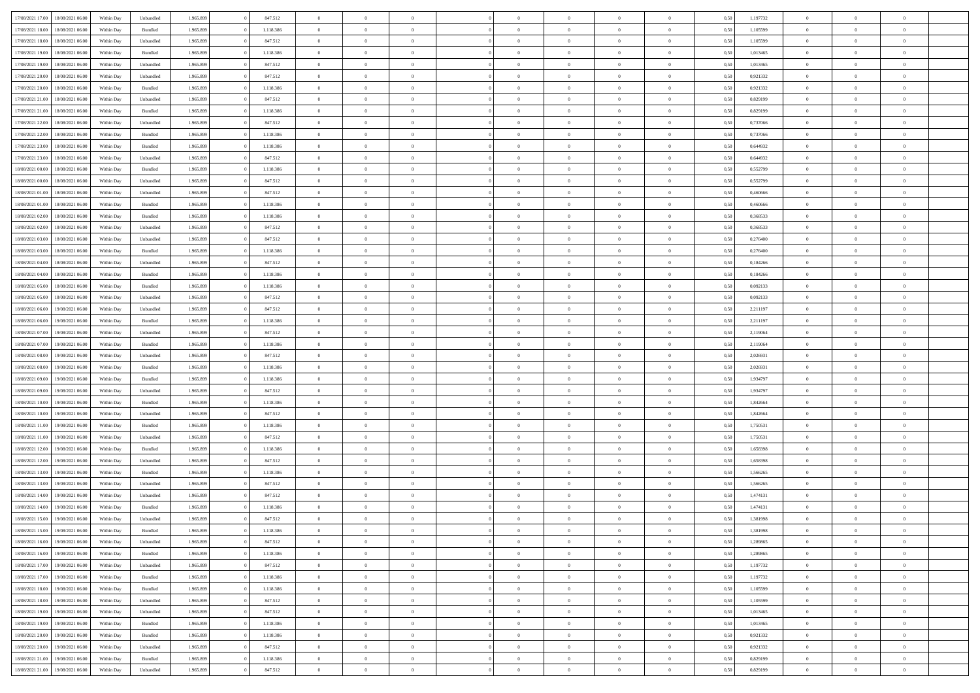| 17/08/2021 17:00 | 18/08/2021 06:00 | Within Dav | Unbundled          | 1.965.899 | 847.512   | $\overline{0}$ | $\theta$       |                | $\Omega$       | $\Omega$       | $\theta$       | $\theta$       | 0,50 | 1,197732 | $\theta$       | $\overline{0}$ | $\theta$       |  |
|------------------|------------------|------------|--------------------|-----------|-----------|----------------|----------------|----------------|----------------|----------------|----------------|----------------|------|----------|----------------|----------------|----------------|--|
| 17/08/2021 18:00 | 18/08/2021 06:00 | Within Day | Bundled            | 1.965.899 | 1.118.386 | $\overline{0}$ | $\theta$       | $\overline{0}$ | $\overline{0}$ | $\bf{0}$       | $\overline{0}$ | $\bf{0}$       | 0,50 | 1,105599 | $\theta$       | $\overline{0}$ | $\overline{0}$ |  |
| 17/08/2021 18:00 | 18/08/2021 06:00 | Within Day | Unbundled          | 1.965.899 | 847.512   | $\overline{0}$ | $\bf{0}$       | $\overline{0}$ | $\bf{0}$       | $\bf{0}$       | $\bf{0}$       | $\mathbf{0}$   | 0,50 | 1,105599 | $\overline{0}$ | $\overline{0}$ | $\bf{0}$       |  |
| 17/08/2021 19:00 | 18/08/2021 06:00 | Within Dav | Bundled            | 1.965.899 | 1.118.386 | $\overline{0}$ | $\overline{0}$ | $\overline{0}$ | $\overline{0}$ | $\bf{0}$       | $\overline{0}$ | $\overline{0}$ | 0.50 | 1,013465 | $\theta$       | $\overline{0}$ | $\overline{0}$ |  |
|                  |                  |            |                    |           |           |                |                |                |                |                |                |                |      |          |                |                |                |  |
| 17/08/2021 19:00 | 18/08/2021 06:00 | Within Day | Unbundled          | 1.965.899 | 847.512   | $\overline{0}$ | $\theta$       | $\overline{0}$ | $\overline{0}$ | $\bf{0}$       | $\overline{0}$ | $\bf{0}$       | 0,50 | 1,013465 | $\,$ 0 $\,$    | $\overline{0}$ | $\overline{0}$ |  |
| 17/08/2021 20:00 | 18/08/2021 06:00 | Within Day | Unbundled          | 1.965.899 | 847.512   | $\overline{0}$ | $\overline{0}$ | $\overline{0}$ | $\bf{0}$       | $\overline{0}$ | $\overline{0}$ | $\mathbf{0}$   | 0,50 | 0,921332 | $\overline{0}$ | $\overline{0}$ | $\bf{0}$       |  |
| 17/08/2021 20:00 | 18/08/2021 06:00 | Within Dav | Bundled            | 1.965.899 | 1.118.386 | $\overline{0}$ | $\overline{0}$ | $\overline{0}$ | $\overline{0}$ | $\overline{0}$ | $\overline{0}$ | $\overline{0}$ | 0.50 | 0.921332 | $\theta$       | $\overline{0}$ | $\overline{0}$ |  |
| 17/08/2021 21:00 | 18/08/2021 06:00 | Within Day | Unbundled          | 1.965.899 | 847.512   | $\overline{0}$ | $\theta$       | $\overline{0}$ | $\overline{0}$ | $\bf{0}$       | $\overline{0}$ | $\bf{0}$       | 0,50 | 0,829199 | $\,$ 0 $\,$    | $\theta$       | $\overline{0}$ |  |
| 17/08/2021 21:00 | 18/08/2021 06:00 | Within Day | Bundled            | 1.965.899 | 1.118.386 | $\overline{0}$ | $\overline{0}$ | $\overline{0}$ | $\bf{0}$       | $\bf{0}$       | $\bf{0}$       | $\mathbf{0}$   | 0,50 | 0,829199 | $\,0\,$        | $\overline{0}$ | $\overline{0}$ |  |
| 17/08/2021 22:00 | 18/08/2021 06:00 | Within Dav | Unbundled          | 1.965.899 | 847.512   | $\overline{0}$ | $\overline{0}$ | $\overline{0}$ | $\overline{0}$ | $\overline{0}$ | $\overline{0}$ | $\overline{0}$ | 0.50 | 0,737066 | $\theta$       | $\overline{0}$ | $\overline{0}$ |  |
|                  |                  |            |                    |           |           |                |                |                |                |                |                |                |      |          |                |                |                |  |
| 17/08/2021 22:00 | 18/08/2021 06:00 | Within Day | Bundled            | 1.965.899 | 1.118.386 | $\overline{0}$ | $\theta$       | $\overline{0}$ | $\overline{0}$ | $\bf{0}$       | $\overline{0}$ | $\bf{0}$       | 0,50 | 0,737066 | $\,$ 0 $\,$    | $\overline{0}$ | $\overline{0}$ |  |
| 17/08/2021 23:00 | 18/08/2021 06:00 | Within Day | Bundled            | 1.965.899 | 1.118.386 | $\overline{0}$ | $\overline{0}$ | $\overline{0}$ | $\bf{0}$       | $\bf{0}$       | $\bf{0}$       | $\mathbf{0}$   | 0,50 | 0,644932 | $\overline{0}$ | $\overline{0}$ | $\bf{0}$       |  |
| 17/08/2021 23:00 | 18/08/2021 06:00 | Within Day | Unbundled          | 1.965.899 | 847.512   | $\overline{0}$ | $\overline{0}$ | $\overline{0}$ | $\overline{0}$ | $\overline{0}$ | $\overline{0}$ | $\overline{0}$ | 0.50 | 0,644932 | $\theta$       | $\theta$       | $\overline{0}$ |  |
| 18/08/2021 00:00 | 18/08/2021 06:00 | Within Day | Bundled            | 1.965.899 | 1.118.386 | $\overline{0}$ | $\theta$       | $\overline{0}$ | $\overline{0}$ | $\bf{0}$       | $\overline{0}$ | $\bf{0}$       | 0,50 | 0,552799 | $\theta$       | $\overline{0}$ | $\overline{0}$ |  |
| 18/08/2021 00:00 | 18/08/2021 06:00 | Within Day | Unbundled          | 1.965.899 | 847.512   | $\overline{0}$ | $\overline{0}$ | $\overline{0}$ | $\bf{0}$       | $\overline{0}$ | $\overline{0}$ | $\mathbf{0}$   | 0,50 | 0,552799 | $\overline{0}$ | $\overline{0}$ | $\bf{0}$       |  |
| 18/08/2021 01:00 | 18/08/2021 06:00 | Within Dav | Unbundled          | 1.965.899 | 847.512   | $\overline{0}$ | $\overline{0}$ | $\overline{0}$ | $\overline{0}$ | $\overline{0}$ | $\overline{0}$ | $\overline{0}$ | 0.50 | 0.460666 | $\overline{0}$ | $\overline{0}$ | $\overline{0}$ |  |
|                  |                  |            |                    |           |           |                |                |                |                |                |                |                |      |          |                |                |                |  |
| 18/08/2021 01:00 | 18/08/2021 06:00 | Within Day | Bundled            | 1.965.899 | 1.118.386 | $\overline{0}$ | $\theta$       | $\overline{0}$ | $\overline{0}$ | $\bf{0}$       | $\overline{0}$ | $\bf{0}$       | 0,50 | 0,460666 | $\,$ 0 $\,$    | $\overline{0}$ | $\overline{0}$ |  |
| 18/08/2021 02:00 | 18/08/2021 06:00 | Within Day | Bundled            | 1.965.899 | 1.118.386 | $\overline{0}$ | $\overline{0}$ | $\overline{0}$ | $\bf{0}$       | $\bf{0}$       | $\bf{0}$       | $\mathbf{0}$   | 0,50 | 0,368533 | $\overline{0}$ | $\overline{0}$ | $\bf{0}$       |  |
| 18/08/2021 02:00 | 18/08/2021 06:00 | Within Dav | Unbundled          | 1.965.899 | 847.512   | $\overline{0}$ | $\overline{0}$ | $\overline{0}$ | $\overline{0}$ | $\overline{0}$ | $\overline{0}$ | $\overline{0}$ | 0.50 | 0,368533 | $\theta$       | $\overline{0}$ | $\overline{0}$ |  |
| 18/08/2021 03:00 | 18/08/2021 06:00 | Within Day | Unbundled          | 1.965.899 | 847.512   | $\overline{0}$ | $\theta$       | $\overline{0}$ | $\overline{0}$ | $\bf{0}$       | $\overline{0}$ | $\bf{0}$       | 0,50 | 0,276400 | $\,$ 0 $\,$    | $\overline{0}$ | $\overline{0}$ |  |
| 18/08/2021 03:00 | 18/08/2021 06:00 | Within Day | Bundled            | 1.965.899 | 1.118.386 | $\overline{0}$ | $\overline{0}$ | $\overline{0}$ | $\overline{0}$ | $\bf{0}$       | $\overline{0}$ | $\mathbf{0}$   | 0,50 | 0,276400 | $\bf{0}$       | $\overline{0}$ | $\bf{0}$       |  |
| 18/08/2021 04:00 | 18/08/2021 06:00 | Within Day | Unbundled          | 1.965.899 | 847.512   | $\overline{0}$ | $\overline{0}$ | $\overline{0}$ | $\overline{0}$ | $\overline{0}$ | $\overline{0}$ | $\overline{0}$ | 0.50 | 0.184266 | $\theta$       | $\overline{0}$ | $\overline{0}$ |  |
| 18/08/2021 04:00 | 18/08/2021 06:00 | Within Day | Bundled            | 1.965.899 | 1.118.386 | $\overline{0}$ | $\theta$       | $\overline{0}$ | $\overline{0}$ | $\bf{0}$       | $\overline{0}$ | $\bf{0}$       | 0,50 | 0,184266 | $\,$ 0 $\,$    | $\overline{0}$ | $\overline{0}$ |  |
|                  |                  |            |                    |           |           |                |                |                |                |                |                |                |      |          |                |                |                |  |
| 18/08/2021 05:00 | 18/08/2021 06:00 | Within Day | Bundled            | 1.965.899 | 1.118.386 | $\overline{0}$ | $\overline{0}$ | $\overline{0}$ | $\overline{0}$ | $\overline{0}$ | $\overline{0}$ | $\mathbf{0}$   | 0,50 | 0,092133 | $\bf{0}$       | $\overline{0}$ | $\bf{0}$       |  |
| 18/08/2021 05:00 | 18/08/2021 06:00 | Within Dav | Unbundled          | 1.965.899 | 847.512   | $\overline{0}$ | $\overline{0}$ | $\overline{0}$ | $\overline{0}$ | $\overline{0}$ | $\overline{0}$ | $\overline{0}$ | 0.50 | 0,092133 | $\theta$       | $\overline{0}$ | $\overline{0}$ |  |
| 18/08/2021 06:00 | 19/08/2021 06:00 | Within Day | Unbundled          | 1.965.899 | 847.512   | $\overline{0}$ | $\theta$       | $\overline{0}$ | $\overline{0}$ | $\bf{0}$       | $\overline{0}$ | $\bf{0}$       | 0,50 | 2,211197 | $\,$ 0 $\,$    | $\overline{0}$ | $\overline{0}$ |  |
| 18/08/2021 06:00 | 19/08/2021 06:00 | Within Day | Bundled            | 1.965.899 | 1.118.386 | $\overline{0}$ | $\overline{0}$ | $\overline{0}$ | $\bf{0}$       | $\bf{0}$       | $\bf{0}$       | $\mathbf{0}$   | 0,50 | 2,211197 | $\,0\,$        | $\overline{0}$ | $\overline{0}$ |  |
| 18/08/2021 07:00 | 19/08/2021 06:00 | Within Day | Unbundled          | 1.965.899 | 847.512   | $\overline{0}$ | $\overline{0}$ | $\overline{0}$ | $\overline{0}$ | $\overline{0}$ | $\overline{0}$ | $\overline{0}$ | 0.50 | 2,119064 | $\theta$       | $\overline{0}$ | $\overline{0}$ |  |
| 18/08/2021 07:00 | 19/08/2021 06:00 | Within Day | Bundled            | 1.965.899 | 1.118.386 | $\overline{0}$ | $\overline{0}$ | $\overline{0}$ | $\overline{0}$ | $\bf{0}$       | $\overline{0}$ | $\bf{0}$       | 0,50 | 2,119064 | $\,$ 0 $\,$    | $\overline{0}$ | $\overline{0}$ |  |
|                  |                  |            |                    |           |           |                |                |                |                |                |                |                |      |          |                |                |                |  |
| 18/08/2021 08:00 | 19/08/2021 06:00 | Within Day | Unbundled          | 1.965.899 | 847.512   | $\overline{0}$ | $\overline{0}$ | $\overline{0}$ | $\bf{0}$       | $\bf{0}$       | $\bf{0}$       | $\bf{0}$       | 0,50 | 2,026931 | $\bf{0}$       | $\overline{0}$ | $\bf{0}$       |  |
| 18/08/2021 08:00 | 19/08/2021 06:00 | Within Day | Bundled            | 1.965.899 | 1.118.386 | $\bf{0}$       | $\Omega$       | $\overline{0}$ | $\Omega$       | $\Omega$       | $\overline{0}$ | $\overline{0}$ | 0,50 | 2,026931 | $\,0\,$        | $\theta$       | $\theta$       |  |
| 18/08/2021 09:00 | 19/08/2021 06:00 | Within Day | Bundled            | 1.965.899 | 1.118.386 | $\overline{0}$ | $\overline{0}$ | $\overline{0}$ | $\overline{0}$ | $\bf{0}$       | $\overline{0}$ | $\bf{0}$       | 0,50 | 1,934797 | $\,$ 0 $\,$    | $\overline{0}$ | $\overline{0}$ |  |
| 18/08/2021 09:00 | 19/08/2021 06:00 | Within Day | Unbundled          | 1.965.899 | 847.512   | $\overline{0}$ | $\overline{0}$ | $\overline{0}$ | $\bf{0}$       | $\overline{0}$ | $\overline{0}$ | $\mathbf{0}$   | 0,50 | 1,934797 | $\bf{0}$       | $\overline{0}$ | $\bf{0}$       |  |
| 18/08/2021 10:00 | 19/08/2021 06:00 | Within Day | Bundled            | 1.965.899 | 1.118.386 | $\overline{0}$ | $\overline{0}$ | $\overline{0}$ | $\Omega$       | $\overline{0}$ | $\overline{0}$ | $\overline{0}$ | 0.50 | 1,842664 | $\,0\,$        | $\theta$       | $\theta$       |  |
| 18/08/2021 10:00 | 19/08/2021 06:00 | Within Day | Unbundled          | 1.965.899 | 847.512   | $\overline{0}$ | $\theta$       | $\overline{0}$ | $\overline{0}$ | $\bf{0}$       | $\overline{0}$ | $\bf{0}$       | 0,50 | 1,842664 | $\,$ 0 $\,$    | $\overline{0}$ | $\overline{0}$ |  |
| 18/08/2021 11:00 | 19/08/2021 06:00 | Within Day | Bundled            | 1.965.899 | 1.118.386 | $\overline{0}$ | $\bf{0}$       | $\overline{0}$ | $\bf{0}$       | $\bf{0}$       | $\bf{0}$       | $\mathbf{0}$   | 0,50 | 1,750531 | $\bf{0}$       | $\overline{0}$ | $\bf{0}$       |  |
|                  | 19/08/2021 06:00 |            |                    |           |           | $\overline{0}$ | $\Omega$       |                | $\Omega$       | $\overline{0}$ | $\overline{0}$ |                |      |          | $\,$ 0 $\,$    | $\theta$       | $\theta$       |  |
| 18/08/2021 11:00 |                  | Within Day | Unbundled          | 1.965.899 | 847.512   |                |                | $\overline{0}$ |                |                |                | $\overline{0}$ | 0.50 | 1,750531 |                |                |                |  |
| 18/08/2021 12:00 | 19/08/2021 06:00 | Within Day | Bundled            | 1.965.899 | 1.118.386 | $\overline{0}$ | $\,$ 0         | $\overline{0}$ | $\overline{0}$ | $\,$ 0         | $\overline{0}$ | $\bf{0}$       | 0,50 | 1,658398 | $\,$ 0 $\,$    | $\overline{0}$ | $\overline{0}$ |  |
| 18/08/2021 12:00 | 19/08/2021 06:00 | Within Day | Unbundled          | 1.965.899 | 847.512   | $\overline{0}$ | $\overline{0}$ | $\overline{0}$ | $\bf{0}$       | $\bf{0}$       | $\overline{0}$ | $\mathbf{0}$   | 0,50 | 1,658398 | $\overline{0}$ | $\overline{0}$ | $\bf{0}$       |  |
| 18/08/2021 13:00 | 19/08/2021 06:00 | Within Day | Bundled            | 1.965.899 | 1.118.386 | $\overline{0}$ | $\Omega$       | $\overline{0}$ | $\Omega$       | $\overline{0}$ | $\overline{0}$ | $\overline{0}$ | 0,50 | 1,566265 | $\,0\,$        | $\theta$       | $\theta$       |  |
| 18/08/2021 13:00 | 19/08/2021 06:00 | Within Day | Unbundled          | 1.965.899 | 847.512   | $\overline{0}$ | $\overline{0}$ | $\overline{0}$ | $\overline{0}$ | $\,$ 0         | $\overline{0}$ | $\bf{0}$       | 0,50 | 1,566265 | $\,$ 0 $\,$    | $\overline{0}$ | $\overline{0}$ |  |
| 18/08/2021 14:00 | 19/08/2021 06:00 | Within Day | Unbundled          | 1.965.899 | 847.512   | $\overline{0}$ | $\overline{0}$ | $\overline{0}$ | $\bf{0}$       | $\bf{0}$       | $\overline{0}$ | $\mathbf{0}$   | 0,50 | 1,474131 | $\overline{0}$ | $\overline{0}$ | $\bf{0}$       |  |
| 18/08/2021 14:00 | 19/08/2021 06:00 | Within Day | Bundled            | 1.965.899 | 1.118.386 | $\overline{0}$ | $\Omega$       | $\Omega$       | $\Omega$       | $\Omega$       | $\Omega$       | $\overline{0}$ | 0.50 | 1,474131 | $\theta$       | $\theta$       | $\theta$       |  |
| 18/08/2021 15:00 | 19/08/2021 06:00 | Within Day | Unbundled          | 1.965.899 | 847.512   | $\overline{0}$ | $\overline{0}$ | $\bf{0}$       | $\bf{0}$       | $\,$ 0         | $\bf{0}$       | $\bf{0}$       | 0,50 | 1,381998 | $\,0\,$        | $\,$ 0 $\,$    | $\overline{0}$ |  |
|                  |                  |            |                    |           |           |                |                |                |                |                |                |                |      |          |                |                |                |  |
| 18/08/2021 15:00 | 19/08/2021 06:00 | Within Day | $\mathbf B$ undled | 1.965.899 | 1.118.386 | $\bf{0}$       | $\bf{0}$       |                |                | $\bf{0}$       |                |                | 0,50 | 1,381998 | $\bf{0}$       | $\overline{0}$ |                |  |
| 18/08/2021 16:00 | 19/08/2021 06:00 | Within Day | Unbundled          | 1.965.899 | 847.512   | $\overline{0}$ | $\overline{0}$ | $\overline{0}$ | $\Omega$       | $\overline{0}$ | $\overline{0}$ | $\overline{0}$ | 0.50 | 1,289865 | $\theta$       | $\theta$       | $\theta$       |  |
| 18/08/2021 16:00 | 19/08/2021 06:00 | Within Day | Bundled            | 1.965.899 | 1.118.386 | $\overline{0}$ | $\bf{0}$       | $\overline{0}$ | $\bf{0}$       | $\,$ 0 $\,$    | $\overline{0}$ | $\,$ 0 $\,$    | 0,50 | 1,289865 | $\,$ 0 $\,$    | $\,$ 0 $\,$    | $\,$ 0         |  |
| 18/08/2021 17:00 | 19/08/2021 06:00 | Within Day | Unbundled          | 1.965.899 | 847.512   | $\overline{0}$ | $\overline{0}$ | $\overline{0}$ | $\overline{0}$ | $\overline{0}$ | $\overline{0}$ | $\mathbf{0}$   | 0,50 | 1,197732 | $\overline{0}$ | $\bf{0}$       | $\bf{0}$       |  |
| 18/08/2021 17:00 | 19/08/2021 06:00 | Within Day | $\mathbf B$ undled | 1.965.899 | 1.118.386 | $\overline{0}$ | $\overline{0}$ | $\overline{0}$ | $\Omega$       | $\overline{0}$ | $\overline{0}$ | $\overline{0}$ | 0,50 | 1,197732 | $\overline{0}$ | $\overline{0}$ | $\overline{0}$ |  |
| 18/08/2021 18:00 | 19/08/2021 06:00 | Within Day | Bundled            | 1.965.899 | 1.118.386 | $\overline{0}$ | $\,$ 0         | $\overline{0}$ | $\bf{0}$       | $\,$ 0 $\,$    | $\overline{0}$ | $\,$ 0 $\,$    | 0,50 | 1,105599 | $\,$ 0 $\,$    | $\overline{0}$ | $\overline{0}$ |  |
| 18/08/2021 18:00 | 19/08/2021 06:00 | Within Day | Unbundled          | 1.965.899 | 847.512   | $\overline{0}$ | $\overline{0}$ | $\overline{0}$ | $\overline{0}$ | $\overline{0}$ | $\overline{0}$ | $\mathbf{0}$   | 0,50 | 1,105599 | $\overline{0}$ | $\overline{0}$ | $\bf{0}$       |  |
|                  |                  |            |                    |           |           |                |                |                |                |                |                |                |      |          |                |                |                |  |
| 18/08/2021 19:00 | 19/08/2021 06:00 | Within Day | Unbundled          | 1.965.899 | 847.512   | $\overline{0}$ | $\overline{0}$ | $\overline{0}$ | $\overline{0}$ | $\overline{0}$ | $\overline{0}$ | $\bf{0}$       | 0.50 | 1,013465 | $\overline{0}$ | $\theta$       | $\overline{0}$ |  |
| 18/08/2021 19:00 | 19/08/2021 06:00 | Within Day | Bundled            | 1.965.899 | 1.118.386 | $\overline{0}$ | $\,$ 0         | $\overline{0}$ | $\bf{0}$       | $\bf{0}$       | $\bf{0}$       | $\bf{0}$       | 0,50 | 1,013465 | $\,$ 0 $\,$    | $\overline{0}$ | $\overline{0}$ |  |
| 18/08/2021 20:00 | 19/08/2021 06:00 | Within Day | Bundled            | 1.965.899 | 1.118.386 | $\overline{0}$ | $\bf{0}$       | $\overline{0}$ | $\overline{0}$ | $\overline{0}$ | $\overline{0}$ | $\mathbf{0}$   | 0,50 | 0,921332 | $\overline{0}$ | $\overline{0}$ | $\bf{0}$       |  |
| 18/08/2021 20:00 | 19/08/2021 06:00 | Within Day | Unbundled          | 1.965.899 | 847.512   | $\overline{0}$ | $\overline{0}$ | $\overline{0}$ | $\Omega$       | $\overline{0}$ | $\overline{0}$ | $\overline{0}$ | 0.50 | 0,921332 | $\overline{0}$ | $\overline{0}$ | $\overline{0}$ |  |
| 18/08/2021 21:00 | 19/08/2021 06:00 | Within Day | Bundled            | 1.965.899 | 1.118.386 | $\overline{0}$ | $\bf{0}$       | $\overline{0}$ | $\bf{0}$       | $\bf{0}$       | $\bf{0}$       | $\mathbf{0}$   | 0,50 | 0,829199 | $\,$ 0 $\,$    | $\,$ 0 $\,$    | $\bf{0}$       |  |
| 18/08/2021 21:00 | 19/08/2021 06:00 | Within Day | Unbundled          | 1.965.899 | 847.512   | $\overline{0}$ | $\overline{0}$ | $\overline{0}$ | $\overline{0}$ | $\overline{0}$ | $\bf{0}$       | $\mathbf{0}$   | 0,50 | 0,829199 | $\overline{0}$ | $\bf{0}$       | $\overline{0}$ |  |
|                  |                  |            |                    |           |           |                |                |                |                |                |                |                |      |          |                |                |                |  |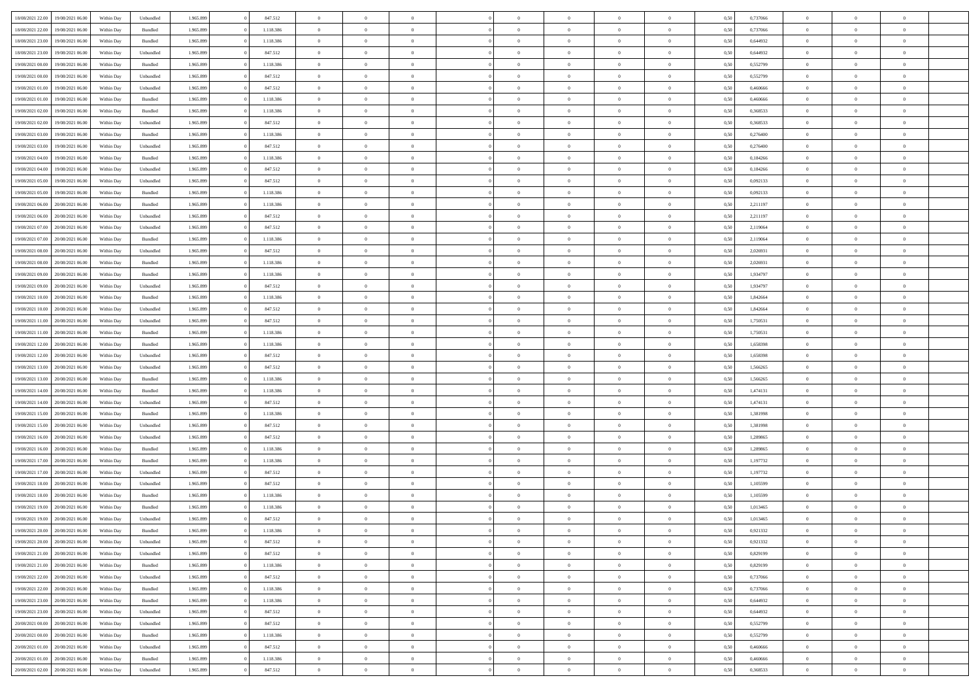| 18/08/2021 22:00 19/08/2021 06:00    | Within Day | Unbundled          | 1.965.899 | 847.512   | $\overline{0}$ | $\overline{0}$ | $\Omega$       | $\theta$       | $\theta$       |                | $\overline{0}$ | 0,50 | 0,737066 | $\mathbf{0}$   | $\theta$       | $\Omega$       |  |
|--------------------------------------|------------|--------------------|-----------|-----------|----------------|----------------|----------------|----------------|----------------|----------------|----------------|------|----------|----------------|----------------|----------------|--|
| 18/08/2021 22:00<br>19/08/2021 06:00 | Within Day | $\mathbf B$ undled | 1.965.899 | 1.118.386 | $\bf{0}$       | $\overline{0}$ | $\overline{0}$ | $\theta$       | $\overline{0}$ | $\overline{0}$ | $\,$ 0         | 0,50 | 0,737066 | $\mathbf{0}$   | $\theta$       | $\bf{0}$       |  |
| 18/08/2021 23:00<br>19/08/2021 06:00 | Within Day | Bundled            | 1.965.899 | 1.118.386 | $\overline{0}$ | $\overline{0}$ | $\overline{0}$ | $\bf{0}$       | $\bf{0}$       | $\overline{0}$ | $\mathbf{0}$   | 0,50 | 0,644932 | $\bf{0}$       | $\bf{0}$       | $\overline{0}$ |  |
| 18/08/2021 23:00<br>19/08/2021 06:00 | Within Day | Unbundled          | 1.965.899 | 847.512   | $\overline{0}$ | $\overline{0}$ | $\overline{0}$ | $\overline{0}$ | $\overline{0}$ | $\overline{0}$ | $\overline{0}$ | 0.50 | 0.644932 | $\mathbf{0}$   | $\overline{0}$ | $\bf{0}$       |  |
|                                      |            |                    |           |           |                |                |                |                |                |                |                |      |          |                |                |                |  |
| 19/08/2021 00:00<br>19/08/2021 06:00 | Within Day | Bundled            | 1.965.899 | 1.118.386 | $\bf{0}$       | $\overline{0}$ | $\overline{0}$ | $\theta$       | $\overline{0}$ | $\overline{0}$ | $\,$ 0         | 0,50 | 0,552799 | $\mathbf{0}$   | $\theta$       | $\bf{0}$       |  |
| 19/08/2021 00:00<br>19/08/2021 06:00 | Within Day | Unbundled          | 1.965.899 | 847.512   | $\overline{0}$ | $\overline{0}$ | $\overline{0}$ | $\bf{0}$       | $\overline{0}$ | $\overline{0}$ | $\overline{0}$ | 0,50 | 0,552799 | $\overline{0}$ | $\overline{0}$ | $\overline{0}$ |  |
| 19/08/2021 01:00<br>19/08/2021 06:00 | Within Day | Unbundled          | 1.965.899 | 847.512   | $\overline{0}$ | $\overline{0}$ | $\overline{0}$ | $\overline{0}$ | $\overline{0}$ | $\overline{0}$ | $\overline{0}$ | 0.50 | 0.460666 | $\overline{0}$ | $\overline{0}$ | $\overline{0}$ |  |
| 19/08/2021 01:00<br>19/08/2021 06:00 | Within Day | Bundled            | 1.965.899 | 1.118.386 | $\bf{0}$       | $\overline{0}$ | $\overline{0}$ | $\overline{0}$ | $\overline{0}$ | $\overline{0}$ | $\bf{0}$       | 0,50 | 0,460666 | $\theta$       | $\theta$       | $\bf{0}$       |  |
| 19/08/2021 02:00<br>19/08/2021 06:00 | Within Day | Bundled            | 1.965.899 | 1.118.386 | $\overline{0}$ | $\overline{0}$ | $\overline{0}$ | $\bf{0}$       | $\bf{0}$       | $\overline{0}$ | $\mathbf{0}$   | 0,50 | 0,368533 | $\bf{0}$       | $\bf{0}$       | $\bf{0}$       |  |
| 19/08/2021 06:00                     |            | Unbundled          | 1.965.899 | 847.512   | $\overline{0}$ | $\overline{0}$ | $\overline{0}$ | $\overline{0}$ | $\overline{0}$ | $\overline{0}$ | $\overline{0}$ | 0.50 | 0,368533 | $\overline{0}$ | $\theta$       | $\overline{0}$ |  |
| 19/08/2021 02:00                     | Within Day |                    |           |           |                |                |                |                |                |                |                |      |          |                |                |                |  |
| 19/08/2021 03:00<br>19/08/2021 06:00 | Within Day | Bundled            | 1.965.899 | 1.118.386 | $\bf{0}$       | $\overline{0}$ | $\overline{0}$ | $\overline{0}$ | $\overline{0}$ | $\overline{0}$ | $\,$ 0         | 0,50 | 0,276400 | $\overline{0}$ | $\theta$       | $\bf{0}$       |  |
| 19/08/2021 03:00<br>19/08/2021 06:00 | Within Day | Unbundled          | 1.965.899 | 847.512   | $\overline{0}$ | $\overline{0}$ | $\overline{0}$ | $\bf{0}$       | $\bf{0}$       | $\overline{0}$ | $\mathbf{0}$   | 0,50 | 0,276400 | $\overline{0}$ | $\bf{0}$       | $\bf{0}$       |  |
| 19/08/2021 04:00<br>19/08/2021 06:00 | Within Day | Bundled            | 1.965.899 | 1.118.386 | $\overline{0}$ | $\overline{0}$ | $\overline{0}$ | $\overline{0}$ | $\overline{0}$ | $\overline{0}$ | $\overline{0}$ | 0.50 | 0.184266 | $\mathbf{0}$   | $\overline{0}$ | $\bf{0}$       |  |
| 19/08/2021 04:00<br>19/08/2021 06:00 | Within Day | Unbundled          | 1.965.899 | 847.512   | $\bf{0}$       | $\overline{0}$ | $\overline{0}$ | $\theta$       | $\overline{0}$ | $\overline{0}$ | $\,$ 0         | 0,50 | 0,184266 | $\theta$       | $\theta$       | $\bf{0}$       |  |
|                                      |            |                    |           |           |                |                |                |                |                |                |                |      |          |                |                |                |  |
| 19/08/2021 05:00<br>19/08/2021 06:00 | Within Day | Unbundled          | 1.965.899 | 847.512   | $\overline{0}$ | $\overline{0}$ | $\overline{0}$ | $\bf{0}$       | $\overline{0}$ | $\overline{0}$ | $\overline{0}$ | 0,50 | 0,092133 | $\overline{0}$ | $\overline{0}$ | $\overline{0}$ |  |
| 19/08/2021 05:00<br>19/08/2021 06:00 | Within Day | Bundled            | 1.965.899 | 1.118.386 | $\overline{0}$ | $\overline{0}$ | $\overline{0}$ | $\overline{0}$ | $\overline{0}$ | $\overline{0}$ | $\overline{0}$ | 0.50 | 0,092133 | $\overline{0}$ | $\overline{0}$ | $\overline{0}$ |  |
| 19/08/2021 06:00<br>20/08/2021 06:00 | Within Day | Bundled            | 1.965.899 | 1.118.386 | $\bf{0}$       | $\overline{0}$ | $\bf{0}$       | $\overline{0}$ | $\overline{0}$ | $\overline{0}$ | $\bf{0}$       | 0,50 | 2,211197 | $\overline{0}$ | $\theta$       | $\bf{0}$       |  |
| 19/08/2021 06:00<br>20/08/2021 06:00 | Within Day | Unbundled          | 1.965.899 | 847.512   | $\overline{0}$ | $\overline{0}$ | $\bf{0}$       | $\bf{0}$       | $\bf{0}$       | $\overline{0}$ | $\mathbf{0}$   | 0,50 | 2,211197 | $\bf{0}$       | $\bf{0}$       | $\bf{0}$       |  |
| 19/08/2021 07:00<br>20/08/2021 06:00 | Within Day | Unbundled          | 1.965.899 | 847.512   | $\overline{0}$ | $\overline{0}$ | $\overline{0}$ | $\overline{0}$ | $\overline{0}$ | $\overline{0}$ | $\overline{0}$ | 0.50 | 2.119064 | $\overline{0}$ | $\overline{0}$ | $\overline{0}$ |  |
| 19/08/2021 07:00<br>20/08/2021 06:00 | Within Day | Bundled            | 1.965.899 | 1.118.386 | $\bf{0}$       | $\overline{0}$ | $\overline{0}$ | $\overline{0}$ | $\overline{0}$ | $\overline{0}$ | $\,$ 0         | 0,50 | 2,119064 | $\theta$       | $\theta$       | $\bf{0}$       |  |
|                                      |            |                    |           |           |                |                |                |                |                |                |                |      |          |                |                |                |  |
| 19/08/2021 08:00<br>20/08/2021 06:00 | Within Day | Unbundled          | 1.965.899 | 847.512   | $\overline{0}$ | $\overline{0}$ | $\overline{0}$ | $\bf{0}$       | $\bf{0}$       | $\overline{0}$ | $\mathbf{0}$   | 0,50 | 2,026931 | $\bf{0}$       | $\bf{0}$       | $\bf{0}$       |  |
| 19/08/2021 08:00<br>20/08/2021 06:00 | Within Day | Bundled            | 1.965.899 | 1.118.386 | $\overline{0}$ | $\overline{0}$ | $\overline{0}$ | $\overline{0}$ | $\overline{0}$ | $\overline{0}$ | $\overline{0}$ | 0.50 | 2.026931 | $\overline{0}$ | $\overline{0}$ | $\bf{0}$       |  |
| 19/08/2021 09:00<br>20/08/2021 06:00 | Within Day | Bundled            | 1.965.899 | 1.118.386 | $\bf{0}$       | $\overline{0}$ | $\overline{0}$ | $\overline{0}$ | $\overline{0}$ | $\overline{0}$ | $\,$ 0         | 0,50 | 1,934797 | $\,$ 0 $\,$    | $\theta$       | $\bf{0}$       |  |
| 19/08/2021 09:00<br>20/08/2021 06:00 | Within Day | Unbundled          | 1.965.899 | 847.512   | $\overline{0}$ | $\overline{0}$ | $\overline{0}$ | $\bf{0}$       | $\overline{0}$ | $\overline{0}$ | $\overline{0}$ | 0,50 | 1,934797 | $\overline{0}$ | $\overline{0}$ | $\overline{0}$ |  |
| 19/08/2021 10:00<br>20/08/2021 06:00 | Within Day | Bundled            | 1.965.899 | 1.118.386 | $\overline{0}$ | $\overline{0}$ | $\overline{0}$ | $\overline{0}$ | $\overline{0}$ | $\overline{0}$ | $\overline{0}$ | 0.50 | 1.842664 | $\overline{0}$ | $\overline{0}$ | $\overline{0}$ |  |
| 19/08/2021 10:00<br>20/08/2021 06:00 | Within Day | Unbundled          | 1.965.899 | 847.512   | $\bf{0}$       | $\overline{0}$ | $\bf{0}$       | $\overline{0}$ | $\overline{0}$ | $\overline{0}$ | $\bf{0}$       | 0,50 | 1,842664 | $\theta$       | $\theta$       | $\bf{0}$       |  |
| 20/08/2021 06:00                     | Within Day | Unbundled          | 1.965.899 | 847.512   | $\overline{0}$ | $\overline{0}$ | $\overline{0}$ | $\bf{0}$       | $\bf{0}$       | $\overline{0}$ | $\mathbf{0}$   | 0,50 | 1,750531 | $\bf{0}$       | $\bf{0}$       | $\bf{0}$       |  |
| 19/08/2021 11:00                     |            |                    |           |           |                |                |                |                |                |                |                |      |          |                |                |                |  |
| 19/08/2021 11:00<br>20/08/2021 06:00 | Within Day | Bundled            | 1.965.899 | 1.118.386 | $\overline{0}$ | $\overline{0}$ | $\overline{0}$ | $\overline{0}$ | $\overline{0}$ | $\overline{0}$ | $\overline{0}$ | 0.50 | 1,750531 | $\overline{0}$ | $\overline{0}$ | $\overline{0}$ |  |
| 19/08/2021 12:00<br>20/08/2021 06:00 | Within Day | Bundled            | 1.965.899 | 1.118.386 | $\bf{0}$       | $\overline{0}$ | $\bf{0}$       | $\overline{0}$ | $\overline{0}$ | $\overline{0}$ | $\,$ 0         | 0,50 | 1,658398 | $\bf{0}$       | $\theta$       | $\bf{0}$       |  |
| 19/08/2021 12:00<br>20/08/2021 06:00 | Within Day | Unbundled          | 1.965.899 | 847.512   | $\overline{0}$ | $\overline{0}$ | $\overline{0}$ | $\bf{0}$       | $\overline{0}$ | $\overline{0}$ | $\mathbf{0}$   | 0,50 | 1,658398 | $\overline{0}$ | $\bf{0}$       | $\bf{0}$       |  |
| 19/08/2021 13:00<br>20/08/2021 06:00 | Within Day | Unbundled          | 1.965.899 | 847.512   | $\overline{0}$ | $\overline{0}$ | $\overline{0}$ | $\overline{0}$ | $\overline{0}$ | $\Omega$       | $\overline{0}$ | 0,50 | 1,566265 | $\bf{0}$       | $\theta$       | $\Omega$       |  |
| 19/08/2021 13:00<br>20/08/2021 06:00 | Within Day | Bundled            | 1.965.899 | 1.118.386 | $\bf{0}$       | $\overline{0}$ | $\bf{0}$       | $\overline{0}$ | $\overline{0}$ | $\overline{0}$ | $\,$ 0         | 0,50 | 1,566265 | $\overline{0}$ | $\theta$       | $\bf{0}$       |  |
| 19/08/2021 14:00<br>20/08/2021 06:00 | Within Day | Bundled            | 1.965.899 | 1.118.386 | $\overline{0}$ | $\overline{0}$ | $\overline{0}$ | $\bf{0}$       | $\overline{0}$ | $\overline{0}$ | $\overline{0}$ | 0,50 | 1,474131 | $\overline{0}$ | $\overline{0}$ | $\overline{0}$ |  |
|                                      |            |                    |           |           |                |                |                |                |                |                |                |      |          |                |                |                |  |
| 19/08/2021 14:00<br>20/08/2021 06:00 | Within Day | Unbundled          | 1.965.899 | 847.512   | $\overline{0}$ | $\overline{0}$ | $\overline{0}$ | $\overline{0}$ | $\overline{0}$ | $\Omega$       | $\theta$       | 0.50 | 1,474131 | $\overline{0}$ | $\overline{0}$ | $\theta$       |  |
| 19/08/2021 15:00<br>20/08/2021 06:00 | Within Day | Bundled            | 1.965.899 | 1.118.386 | $\bf{0}$       | $\overline{0}$ | $\bf{0}$       | $\overline{0}$ | $\overline{0}$ | $\overline{0}$ | $\bf{0}$       | 0,50 | 1,381998 | $\bf{0}$       | $\theta$       | $\bf{0}$       |  |
| 19/08/2021 15:00<br>20/08/2021 06:00 | Within Day | Unbundled          | 1.965.899 | 847.512   | $\overline{0}$ | $\overline{0}$ | $\bf{0}$       | $\bf{0}$       | $\bf{0}$       | $\overline{0}$ | $\mathbf{0}$   | 0,50 | 1,381998 | $\bf{0}$       | $\bf{0}$       | $\bf{0}$       |  |
| 19/08/2021 16:00<br>20/08/2021 06:00 | Within Day | Unbundled          | 1.965.899 | 847.512   | $\overline{0}$ | $\overline{0}$ | $\overline{0}$ | $\overline{0}$ | $\overline{0}$ | $\Omega$       | $\theta$       | 0.50 | 1,289865 | $\overline{0}$ | $\overline{0}$ | $\theta$       |  |
| 19/08/2021 16:00<br>20/08/2021 06:00 | Within Day | Bundled            | 1.965.899 | 1.118.386 | $\bf{0}$       | $\overline{0}$ | $\bf{0}$       | $\overline{0}$ | $\bf{0}$       | $\overline{0}$ | $\,$ 0         | 0,50 | 1,289865 | $\,$ 0 $\,$    | $\theta$       | $\bf{0}$       |  |
| 19/08/2021 17:00<br>20/08/2021 06:00 | Within Day | Bundled            | 1.965.899 | 1.118.386 | $\overline{0}$ | $\overline{0}$ | $\overline{0}$ | $\bf{0}$       | $\bf{0}$       | $\overline{0}$ | $\mathbf{0}$   | 0,50 | 1,197732 | $\overline{0}$ | $\bf{0}$       | $\bf{0}$       |  |
|                                      |            |                    |           |           |                | $\overline{0}$ | $\overline{0}$ | $\overline{0}$ | $\bf{0}$       | $\Omega$       | $\overline{0}$ |      |          | $\overline{0}$ | $\overline{0}$ | $\Omega$       |  |
| 19/08/2021 17:00<br>20/08/2021 06:00 | Within Day | Unbundled          | 1.965.899 | 847.512   | $\overline{0}$ |                |                |                |                |                |                | 0,50 | 1,197732 |                |                |                |  |
| 19/08/2021 18:00<br>20/08/2021 06:00 | Within Day | Unbundled          | 1.965.899 | 847.512   | $\bf{0}$       | $\overline{0}$ | $\bf{0}$       | $\overline{0}$ | $\bf{0}$       | $\overline{0}$ | $\,$ 0 $\,$    | 0,50 | 1,105599 | $\,$ 0 $\,$    | $\theta$       | $\bf{0}$       |  |
| 19/08/2021 18:00<br>20/08/2021 06:00 | Within Day | Bundled            | 1.965.899 | 1.118.386 | $\overline{0}$ | $\overline{0}$ | $\overline{0}$ | $\bf{0}$       | $\overline{0}$ | $\overline{0}$ | $\overline{0}$ | 0,50 | 1,105599 | $\bf{0}$       | $\overline{0}$ | $\overline{0}$ |  |
| 19/08/2021 19:00<br>20/08/2021 06:00 | Within Day | Bundled            | 1.965.899 | 1.118.386 | $\overline{0}$ | $\overline{0}$ | $\overline{0}$ | $\overline{0}$ | $\bf{0}$       | $\Omega$       | $\overline{0}$ | 0.50 | 1,013465 | $\overline{0}$ | $\theta$       | $\Omega$       |  |
| 19/08/2021 19:00 20/08/2021 06:00    | Within Day | Unbundled          | 1.965.899 | 847.512   | $\overline{0}$ | $\overline{0}$ | $\bf{0}$       | $\bf{0}$       | $\bf{0}$       | $\overline{0}$ | $\,$ 0 $\,$    | 0,50 | 1,013465 | $\bf{0}$       | $\,$ 0         | $\bf{0}$       |  |
| 19/08/2021 20:00 20/08/2021 06:00    | Within Day | Bundled            | 1.965.899 | 1.118.386 | $\bf{0}$       | $\bf{0}$       |                |                |                |                | $\bf{0}$       | 0,50 | 0,921332 | $\bf{0}$       | $\bf{0}$       |                |  |
| 19/08/2021 20:00 20/08/2021 06:00    | Within Day | Unbundled          | 1.965.899 | 847.512   | $\overline{0}$ | $\overline{0}$ | $\theta$       | $\overline{0}$ | $\overline{0}$ | $\overline{0}$ | $\mathbf{0}$   | 0,50 | 0,921332 | $\overline{0}$ | $\theta$       | $\theta$       |  |
| 19/08/2021 21:00<br>20/08/2021 06:00 | Within Day | Unbundled          | 1.965.899 | 847.512   | $\overline{0}$ | $\overline{0}$ | $\overline{0}$ | $\bf{0}$       | $\overline{0}$ | $\overline{0}$ | $\mathbf{0}$   | 0,50 | 0,829199 | $\,$ 0 $\,$    | $\overline{0}$ | $\,$ 0 $\,$    |  |
|                                      |            |                    |           |           |                |                |                |                |                |                |                |      |          |                |                |                |  |
| 19/08/2021 21:00 20/08/2021 06:00    | Within Day | Bundled            | 1.965.899 | 1.118.386 | $\overline{0}$ | $\overline{0}$ | $\overline{0}$ | $\bf{0}$       | $\overline{0}$ | $\overline{0}$ | $\overline{0}$ | 0,50 | 0,829199 | $\overline{0}$ | $\overline{0}$ | $\overline{0}$ |  |
| 19/08/2021 22:00<br>20/08/2021 06:00 | Within Day | Unbundled          | 1.965.899 | 847.512   | $\overline{0}$ | $\overline{0}$ | $\overline{0}$ | $\overline{0}$ | $\bf{0}$       | $\overline{0}$ | $\overline{0}$ | 0,50 | 0,737066 | $\overline{0}$ | $\overline{0}$ | $\overline{0}$ |  |
| 19/08/2021 22:00<br>20/08/2021 06:00 | Within Day | Bundled            | 1.965.899 | 1.118.386 | $\overline{0}$ | $\overline{0}$ | $\overline{0}$ | $\overline{0}$ | $\overline{0}$ | $\overline{0}$ | $\mathbf{0}$   | 0,50 | 0,737066 | $\,$ 0 $\,$    | $\theta$       | $\bf{0}$       |  |
| 19/08/2021 23:00<br>20/08/2021 06:00 | Within Day | Bundled            | 1.965.899 | 1.118.386 | $\overline{0}$ | $\overline{0}$ | $\overline{0}$ | $\bf{0}$       | $\overline{0}$ | $\overline{0}$ | $\overline{0}$ | 0,50 | 0,644932 | $\overline{0}$ | $\overline{0}$ | $\overline{0}$ |  |
| 19/08/2021 23:00<br>20/08/2021 06:00 | Within Day | Unbundled          | 1.965.899 | 847.512   | $\overline{0}$ | $\overline{0}$ | $\overline{0}$ | $\overline{0}$ | $\overline{0}$ | $\overline{0}$ | $\overline{0}$ | 0.50 | 0.644932 | $\overline{0}$ | $\overline{0}$ | $\overline{0}$ |  |
| 20/08/2021 00:00<br>20/08/2021 06:00 | Within Day | Unbundled          | 1.965.899 | 847.512   | $\overline{0}$ | $\overline{0}$ | $\overline{0}$ | $\bf{0}$       | $\bf{0}$       | $\overline{0}$ | $\,$ 0 $\,$    | 0,50 | 0,552799 | $\,$ 0 $\,$    | $\theta$       | $\,$ 0         |  |
|                                      |            |                    |           |           |                |                |                |                |                |                |                |      |          |                |                |                |  |
| 20/08/2021 00:00<br>20/08/2021 06:00 | Within Day | Bundled            | 1.965.899 | 1.118.386 | $\overline{0}$ | $\overline{0}$ | $\overline{0}$ | $\bf{0}$       | $\overline{0}$ | $\overline{0}$ | $\overline{0}$ | 0,50 | 0,552799 | $\bf{0}$       | $\bf{0}$       | $\overline{0}$ |  |
| 20/08/2021 01:00<br>20/08/2021 06:00 | Within Day | Unbundled          | 1.965.899 | 847.512   | $\overline{0}$ | $\overline{0}$ | $\overline{0}$ | $\overline{0}$ | $\overline{0}$ | $\overline{0}$ | $\overline{0}$ | 0.50 | 0.460666 | $\overline{0}$ | $\overline{0}$ | $\overline{0}$ |  |
| 20/08/2021 01:00<br>20/08/2021 06:00 | Within Day | Bundled            | 1.965.899 | 1.118.386 | $\overline{0}$ | $\overline{0}$ | $\overline{0}$ | $\bf{0}$       | $\bf{0}$       | $\bf{0}$       | $\,$ 0 $\,$    | 0,50 | 0,460666 | $\,$ 0 $\,$    | $\,0\,$        | $\,$ 0         |  |
| 20/08/2021 02:00 20/08/2021 06:00    | Within Day | Unbundled          | 1.965.899 | 847.512   | $\overline{0}$ | $\overline{0}$ | $\overline{0}$ | $\bf{0}$       | $\overline{0}$ | $\overline{0}$ | $\overline{0}$ | 0,50 | 0,368533 | $\bf{0}$       | $\bf{0}$       | $\overline{0}$ |  |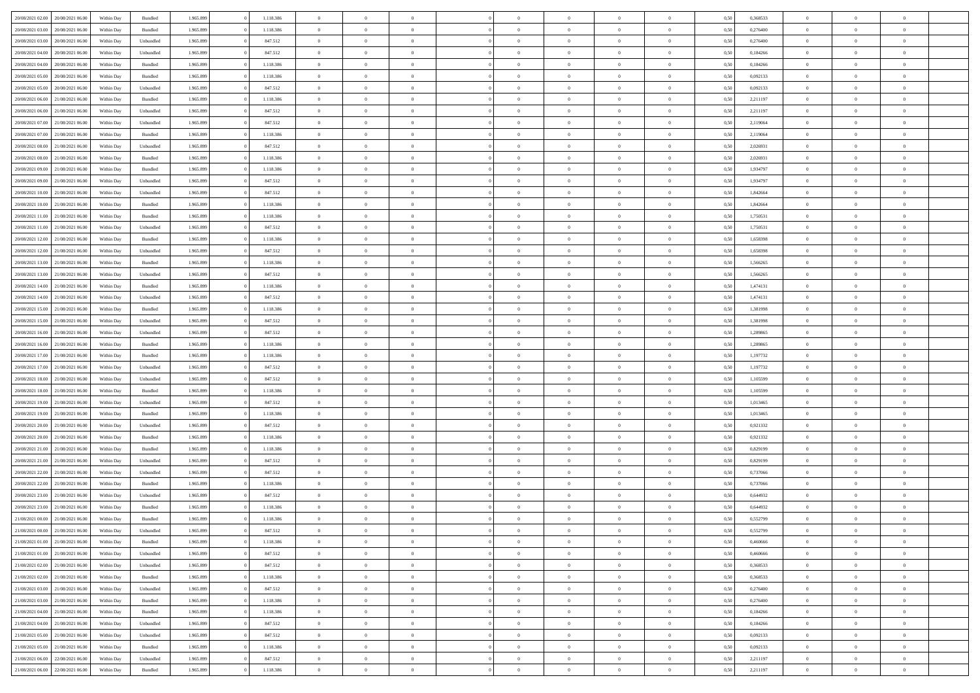| 20/08/2021 02:00                  | 20/08/2021 06:00 | Within Day | Bundled            | 1.965.899 | 1.118.386 | $\overline{0}$ | $\Omega$       |                | $\Omega$       | $\Omega$       | $\Omega$       | $\theta$       | 0,50 | 0,368533 | $\theta$       | $\theta$       | $\theta$       |  |
|-----------------------------------|------------------|------------|--------------------|-----------|-----------|----------------|----------------|----------------|----------------|----------------|----------------|----------------|------|----------|----------------|----------------|----------------|--|
|                                   |                  |            |                    |           |           |                |                |                |                |                |                |                |      |          |                |                |                |  |
| 20/08/2021 03:00                  | 20/08/2021 06:00 | Within Day | Bundled            | 1.965.899 | 1.118.386 | $\overline{0}$ | $\theta$       | $\overline{0}$ | $\overline{0}$ | $\bf{0}$       | $\overline{0}$ | $\bf{0}$       | 0,50 | 0,276400 | $\theta$       | $\theta$       | $\overline{0}$ |  |
| 20/08/2021 03:00                  | 20/08/2021 06:00 | Within Day | Unbundled          | 1.965.899 | 847.512   | $\overline{0}$ | $\overline{0}$ | $\overline{0}$ | $\bf{0}$       | $\bf{0}$       | $\bf{0}$       | $\mathbf{0}$   | 0,50 | 0,276400 | $\bf{0}$       | $\overline{0}$ | $\overline{0}$ |  |
| 20/08/2021 04:00                  | 20/08/2021 06:00 | Within Day | Unbundled          | 1.965.899 | 847.512   | $\overline{0}$ | $\overline{0}$ | $\overline{0}$ | $\overline{0}$ | $\bf{0}$       | $\overline{0}$ | $\overline{0}$ | 0.50 | 0.184266 | $\theta$       | $\theta$       | $\overline{0}$ |  |
| 20/08/2021 04:00                  | 20/08/2021 06:00 | Within Day | Bundled            | 1.965.899 | 1.118.386 | $\overline{0}$ | $\theta$       | $\overline{0}$ | $\overline{0}$ | $\bf{0}$       | $\overline{0}$ | $\bf{0}$       | 0,50 | 0,184266 | $\theta$       | $\overline{0}$ | $\overline{0}$ |  |
|                                   |                  |            |                    |           |           |                |                |                |                |                |                |                |      |          |                |                |                |  |
| 20/08/2021 05:00                  | 20/08/2021 06:00 | Within Day | Bundled            | 1.965.899 | 1.118.386 | $\overline{0}$ | $\bf{0}$       | $\overline{0}$ | $\bf{0}$       | $\overline{0}$ | $\overline{0}$ | $\mathbf{0}$   | 0,50 | 0,092133 | $\overline{0}$ | $\overline{0}$ | $\bf{0}$       |  |
| 20/08/2021 05:00                  | 20/08/2021 06:00 | Within Dav | Unbundled          | 1.965.899 | 847.512   | $\overline{0}$ | $\overline{0}$ | $\overline{0}$ | $\overline{0}$ | $\overline{0}$ | $\overline{0}$ | $\overline{0}$ | 0.50 | 0,092133 | $\theta$       | $\overline{0}$ | $\overline{0}$ |  |
| 20/08/2021 06:00                  | 21/08/2021 06:00 | Within Day | Bundled            | 1.965.899 | 1.118.386 | $\overline{0}$ | $\theta$       | $\overline{0}$ | $\overline{0}$ | $\bf{0}$       | $\overline{0}$ | $\bf{0}$       | 0,50 | 2,211197 | $\theta$       | $\theta$       | $\overline{0}$ |  |
| 20/08/2021 06:00                  | 21/08/2021 06:00 | Within Day | Unbundled          | 1.965.899 | 847.512   | $\overline{0}$ | $\overline{0}$ | $\overline{0}$ | $\bf{0}$       | $\bf{0}$       | $\bf{0}$       | $\mathbf{0}$   | 0,50 | 2,211197 | $\,0\,$        | $\overline{0}$ | $\overline{0}$ |  |
| 20/08/2021 07:00                  | 21/08/2021 06:00 | Within Dav | Unbundled          | 1.965.899 | 847.512   | $\overline{0}$ | $\overline{0}$ | $\overline{0}$ | $\overline{0}$ | $\overline{0}$ | $\overline{0}$ | $\overline{0}$ | 0.50 | 2,119064 | $\theta$       | $\overline{0}$ | $\overline{0}$ |  |
| 20/08/2021 07:00                  | 21/08/2021 06:00 | Within Day | Bundled            | 1.965.899 | 1.118.386 | $\overline{0}$ | $\theta$       | $\overline{0}$ | $\overline{0}$ | $\bf{0}$       | $\overline{0}$ | $\bf{0}$       | 0,50 | 2,119064 | $\,$ 0 $\,$    | $\overline{0}$ | $\overline{0}$ |  |
| 20/08/2021 08:00                  | 21/08/2021 06:00 | Within Day | Unbundled          | 1.965.899 | 847.512   | $\overline{0}$ | $\overline{0}$ | $\overline{0}$ | $\bf{0}$       | $\bf{0}$       | $\bf{0}$       | $\mathbf{0}$   | 0,50 | 2,026931 | $\overline{0}$ | $\overline{0}$ | $\overline{0}$ |  |
| 20/08/2021 08:00                  | 21/08/2021 06:00 | Within Day | Bundled            | 1.965.899 | 1.118.386 | $\overline{0}$ | $\overline{0}$ | $\overline{0}$ | $\overline{0}$ | $\bf{0}$       | $\overline{0}$ | $\overline{0}$ | 0.50 | 2.026931 | $\theta$       | $\theta$       | $\overline{0}$ |  |
|                                   |                  |            |                    |           |           |                |                |                |                |                |                |                |      |          |                |                |                |  |
| 20/08/2021 09:00                  | 21/08/2021 06:00 | Within Day | Bundled            | 1.965.899 | 1.118.386 | $\overline{0}$ | $\theta$       | $\overline{0}$ | $\overline{0}$ | $\bf{0}$       | $\overline{0}$ | $\bf{0}$       | 0,50 | 1,934797 | $\theta$       | $\theta$       | $\overline{0}$ |  |
| 20/08/2021 09:00                  | 21/08/2021 06:00 | Within Day | Unbundled          | 1.965.899 | 847.512   | $\overline{0}$ | $\overline{0}$ | $\overline{0}$ | $\bf{0}$       | $\overline{0}$ | $\overline{0}$ | $\mathbf{0}$   | 0,50 | 1,934797 | $\overline{0}$ | $\overline{0}$ | $\bf{0}$       |  |
| 20/08/2021 10:00                  | 21/08/2021 06:00 | Within Dav | Unbundled          | 1.965.899 | 847.512   | $\overline{0}$ | $\overline{0}$ | $\overline{0}$ | $\overline{0}$ | $\overline{0}$ | $\overline{0}$ | $\overline{0}$ | 0.50 | 1,842664 | $\theta$       | $\overline{0}$ | $\overline{0}$ |  |
| 20/08/2021 10:00                  | 21/08/2021 06:00 | Within Day | Bundled            | 1.965.899 | 1.118.386 | $\overline{0}$ | $\theta$       | $\overline{0}$ | $\overline{0}$ | $\bf{0}$       | $\overline{0}$ | $\bf{0}$       | 0,50 | 1,842664 | $\theta$       | $\theta$       | $\overline{0}$ |  |
| 20/08/2021 11:00                  | 21/08/2021 06:00 | Within Day | Bundled            | 1.965.899 | 1.118.386 | $\overline{0}$ | $\overline{0}$ | $\overline{0}$ | $\bf{0}$       | $\bf{0}$       | $\bf{0}$       | $\mathbf{0}$   | 0,50 | 1,750531 | $\bf{0}$       | $\overline{0}$ | $\overline{0}$ |  |
| 20/08/2021 11:00                  | 21/08/2021 06:00 | Within Day | Unbundled          | 1.965.899 | 847.512   | $\overline{0}$ | $\overline{0}$ | $\overline{0}$ | $\overline{0}$ | $\overline{0}$ | $\overline{0}$ | $\overline{0}$ | 0.50 | 1,750531 | $\theta$       | $\overline{0}$ | $\overline{0}$ |  |
| 20/08/2021 12:00                  | 21/08/2021 06:00 | Within Day | Bundled            | 1.965.899 | 1.118.386 | $\overline{0}$ | $\theta$       | $\overline{0}$ | $\overline{0}$ | $\bf{0}$       | $\overline{0}$ | $\bf{0}$       | 0,50 | 1,658398 | $\,$ 0 $\,$    | $\theta$       | $\overline{0}$ |  |
|                                   |                  |            |                    |           |           |                |                |                |                |                |                |                |      |          |                |                |                |  |
| 20/08/2021 12:00                  | 21/08/2021 06:00 | Within Day | Unbundled          | 1.965.899 | 847.512   | $\overline{0}$ | $\overline{0}$ | $\overline{0}$ | $\bf{0}$       | $\bf{0}$       | $\bf{0}$       | $\mathbf{0}$   | 0,50 | 1,658398 | $\overline{0}$ | $\overline{0}$ | $\overline{0}$ |  |
| 20/08/2021 13:00                  | 21/08/2021 06:00 | Within Day | Bundled            | 1.965.899 | 1.118.386 | $\overline{0}$ | $\overline{0}$ | $\overline{0}$ | $\overline{0}$ | $\bf{0}$       | $\overline{0}$ | $\overline{0}$ | 0.50 | 1.566265 | $\theta$       | $\overline{0}$ | $\overline{0}$ |  |
| 20/08/2021 13:00                  | 21/08/2021 06:00 | Within Day | Unbundled          | 1.965.899 | 847.512   | $\overline{0}$ | $\theta$       | $\overline{0}$ | $\overline{0}$ | $\bf{0}$       | $\overline{0}$ | $\bf{0}$       | 0,50 | 1,566265 | $\,$ 0 $\,$    | $\overline{0}$ | $\overline{0}$ |  |
| 20/08/2021 14:00                  | 21/08/2021 06:00 | Within Day | Bundled            | 1.965.899 | 1.118.386 | $\overline{0}$ | $\overline{0}$ | $\overline{0}$ | $\bf{0}$       | $\overline{0}$ | $\overline{0}$ | $\mathbf{0}$   | 0,50 | 1,474131 | $\overline{0}$ | $\overline{0}$ | $\bf{0}$       |  |
| 20/08/2021 14:00                  | 21/08/2021 06:00 | Within Day | Unbundled          | 1.965.899 | 847.512   | $\overline{0}$ | $\overline{0}$ | $\overline{0}$ | $\overline{0}$ | $\overline{0}$ | $\overline{0}$ | $\overline{0}$ | 0.50 | 1,474131 | $\theta$       | $\overline{0}$ | $\overline{0}$ |  |
| 20/08/2021 15:00                  | 21/08/2021 06:00 | Within Day | Bundled            | 1.965.899 | 1.118.386 | $\overline{0}$ | $\theta$       | $\overline{0}$ | $\overline{0}$ | $\bf{0}$       | $\overline{0}$ | $\bf{0}$       | 0,50 | 1,381998 | $\theta$       | $\theta$       | $\overline{0}$ |  |
| 20/08/2021 15:00                  | 21/08/2021 06:00 | Within Day | Unbundled          | 1.965.899 | 847.512   | $\overline{0}$ | $\overline{0}$ | $\overline{0}$ | $\bf{0}$       | $\bf{0}$       | $\bf{0}$       | $\bf{0}$       | 0,50 | 1,381998 | $\,0\,$        | $\overline{0}$ | $\overline{0}$ |  |
|                                   |                  |            |                    |           |           |                | $\overline{0}$ |                |                | $\overline{0}$ |                |                |      |          | $\theta$       | $\overline{0}$ | $\overline{0}$ |  |
| 20/08/2021 16:00                  | 21/08/2021 06:00 | Within Day | Unbundled          | 1.965.899 | 847.512   | $\overline{0}$ |                | $\overline{0}$ | $\overline{0}$ |                | $\overline{0}$ | $\overline{0}$ | 0.50 | 1,289865 |                |                |                |  |
| 20/08/2021 16:00                  | 21/08/2021 06:00 | Within Day | Bundled            | 1.965.899 | 1.118.386 | $\overline{0}$ | $\theta$       | $\overline{0}$ | $\overline{0}$ | $\bf{0}$       | $\overline{0}$ | $\bf{0}$       | 0,50 | 1,289865 | $\,$ 0 $\,$    | $\overline{0}$ | $\overline{0}$ |  |
| 20/08/2021 17:00                  | 21/08/2021 06:00 | Within Day | Bundled            | 1.965.899 | 1.118.386 | $\overline{0}$ | $\overline{0}$ | $\overline{0}$ | $\bf{0}$       | $\bf{0}$       | $\bf{0}$       | $\bf{0}$       | 0,50 | 1,197732 | $\bf{0}$       | $\overline{0}$ | $\overline{0}$ |  |
| 20/08/2021 17:00                  | 21/08/2021 06:00 | Within Day | Unbundled          | 1.965.899 | 847.512   | $\overline{0}$ | $\Omega$       | $\overline{0}$ | $\Omega$       | $\Omega$       | $\overline{0}$ | $\overline{0}$ | 0,50 | 1,197732 | $\,0\,$        | $\theta$       | $\theta$       |  |
| 20/08/2021 18:00                  | 21/08/2021 06:00 | Within Day | Unbundled          | 1.965.899 | 847.512   | $\overline{0}$ | $\theta$       | $\overline{0}$ | $\overline{0}$ | $\bf{0}$       | $\overline{0}$ | $\bf{0}$       | 0,50 | 1,105599 | $\,$ 0 $\,$    | $\theta$       | $\overline{0}$ |  |
| 20/08/2021 18:00                  | 21/08/2021 06:00 | Within Day | Bundled            | 1.965.899 | 1.118.386 | $\overline{0}$ | $\overline{0}$ | $\overline{0}$ | $\bf{0}$       | $\bf{0}$       | $\overline{0}$ | $\mathbf{0}$   | 0,50 | 1,105599 | $\bf{0}$       | $\overline{0}$ | $\bf{0}$       |  |
| 20/08/2021 19:00                  | 21/08/2021 06:00 | Within Day | Unbundled          | 1.965.899 | 847.512   | $\overline{0}$ | $\Omega$       | $\Omega$       | $\Omega$       | $\bf{0}$       | $\overline{0}$ | $\overline{0}$ | 0.50 | 1,013465 | $\,0\,$        | $\theta$       | $\theta$       |  |
| 20/08/2021 19:00                  | 21/08/2021 06:00 |            |                    | 1.965.899 | 1.118.386 | $\overline{0}$ | $\theta$       | $\overline{0}$ | $\overline{0}$ | $\bf{0}$       | $\overline{0}$ |                |      | 1,013465 | $\,$ 0 $\,$    | $\theta$       | $\overline{0}$ |  |
|                                   |                  | Within Day | Bundled            |           |           |                |                |                |                |                |                | $\bf{0}$       | 0,50 |          |                |                |                |  |
| 20/08/2021 20:00                  | 21/08/2021 06:00 | Within Day | Unbundled          | 1.965.899 | 847.512   | $\overline{0}$ | $\overline{0}$ | $\overline{0}$ | $\bf{0}$       | $\bf{0}$       | $\bf{0}$       | $\bf{0}$       | 0,50 | 0,921332 | $\bf{0}$       | $\overline{0}$ | $\overline{0}$ |  |
| 20/08/2021 20:00                  | 21/08/2021 06:00 | Within Day | Bundled            | 1.965.899 | 1.118.386 | $\overline{0}$ | $\Omega$       | $\overline{0}$ | $\Omega$       | $\theta$       | $\overline{0}$ | $\overline{0}$ | 0.50 | 0,921332 | $\,$ 0 $\,$    | $\theta$       | $\theta$       |  |
| 20/08/2021 21:00                  | 21/08/2021 06:00 | Within Day | Bundled            | 1.965.899 | 1.118.386 | $\overline{0}$ | $\theta$       | $\overline{0}$ | $\overline{0}$ | $\bf{0}$       | $\overline{0}$ | $\bf{0}$       | 0,50 | 0,829199 | $\,$ 0 $\,$    | $\overline{0}$ | $\overline{0}$ |  |
| 20/08/2021 21:00                  | 21/08/2021 06:00 | Within Day | Unbundled          | 1.965.899 | 847.512   | $\overline{0}$ | $\overline{0}$ | $\overline{0}$ | $\bf{0}$       | $\bf{0}$       | $\bf{0}$       | $\mathbf{0}$   | 0,50 | 0,829199 | $\bf{0}$       | $\overline{0}$ | $\overline{0}$ |  |
| 20/08/2021 22:00                  | 21/08/2021 06:00 | Within Day | Unbundled          | 1.965.899 | 847.512   | $\overline{0}$ | $\Omega$       | $\overline{0}$ | $\Omega$       | $\overline{0}$ | $\overline{0}$ | $\overline{0}$ | 0.50 | 0,737066 | $\,0\,$        | $\theta$       | $\theta$       |  |
| 20/08/2021 22:00                  | 21/08/2021 06:00 | Within Day | Bundled            | 1.965.899 | 1.118.386 | $\overline{0}$ | $\theta$       | $\overline{0}$ | $\overline{0}$ | $\bf{0}$       | $\overline{0}$ | $\bf{0}$       | 0,50 | 0,737066 | $\,$ 0 $\,$    | $\overline{0}$ | $\overline{0}$ |  |
| 20/08/2021 23:00                  | 21/08/2021 06:00 | Within Day | Unbundled          | 1.965.899 | 847.512   | $\overline{0}$ | $\overline{0}$ | $\overline{0}$ | $\bf{0}$       | $\bf{0}$       | $\bf{0}$       | $\mathbf{0}$   | 0,50 | 0,644932 | $\overline{0}$ | $\overline{0}$ | $\bf{0}$       |  |
|                                   |                  |            |                    |           |           |                |                |                |                |                |                |                |      |          |                |                |                |  |
| 20/08/2021 23:00                  | 21/08/2021 06:00 | Within Day | Bundled            | 1.965.899 | 1.118.386 | $\overline{0}$ | $\Omega$       | $\Omega$       | $\Omega$       | $\Omega$       | $\Omega$       | $\overline{0}$ | 0.50 | 0.644932 | $\theta$       | $\theta$       | $\theta$       |  |
| 21/08/2021 00:00                  | 21/08/2021 06:00 | Within Day | Bundled            | 1.965.899 | 1.118.386 | $\overline{0}$ | $\,$ 0 $\,$    | $\overline{0}$ | $\bf{0}$       | $\,$ 0         | $\bf{0}$       | $\bf{0}$       | 0,50 | 0,552799 | $\,0\,$        | $\overline{0}$ | $\overline{0}$ |  |
| 21/08/2021 00:00                  | 21/08/2021 06:00 | Within Day | Unbundled          | 1.965.899 | 847.512   | $\bf{0}$       | $\bf{0}$       |                |                |                |                |                | 0,50 | 0,552799 | $\bf{0}$       | $\overline{0}$ |                |  |
| 21/08/2021 01:00                  | 21/08/2021 06:00 | Within Day | Bundled            | 1.965.899 | 1.118.386 | $\overline{0}$ | $\overline{0}$ | $\overline{0}$ | $\Omega$       | $\overline{0}$ | $\overline{0}$ | $\overline{0}$ | 0.50 | 0.460666 | $\theta$       | $\theta$       | $\Omega$       |  |
| 21/08/2021 01:00                  | 21/08/2021 06:00 | Within Day | Unbundled          | 1.965.899 | 847.512   | $\overline{0}$ | $\,$ 0         | $\overline{0}$ | $\bf{0}$       | $\,$ 0 $\,$    | $\overline{0}$ | $\,$ 0 $\,$    | 0,50 | 0,460666 | $\,$ 0 $\,$    | $\,$ 0 $\,$    | $\,$ 0         |  |
| 21/08/2021 02:00                  | 21/08/2021 06:00 | Within Day | Unbundled          | 1.965.899 | 847.512   | $\overline{0}$ | $\overline{0}$ | $\overline{0}$ | $\overline{0}$ | $\overline{0}$ | $\overline{0}$ | $\mathbf{0}$   | 0,50 | 0,368533 | $\overline{0}$ | $\bf{0}$       | $\bf{0}$       |  |
| 21/08/2021 02:00                  | 21/08/2021 06:00 | Within Day | $\mathbf B$ undled | 1.965.899 | 1.118.386 | $\overline{0}$ | $\overline{0}$ | $\overline{0}$ | $\Omega$       | $\overline{0}$ | $\overline{0}$ | $\overline{0}$ | 0,50 | 0,368533 | $\overline{0}$ | $\theta$       | $\overline{0}$ |  |
| 21/08/2021 03:00                  | 21/08/2021 06:00 | Within Day | Unbundled          | 1.965.899 | 847.512   | $\overline{0}$ | $\,$ 0         | $\overline{0}$ | $\overline{0}$ | $\,$ 0 $\,$    | $\overline{0}$ | $\mathbf{0}$   | 0,50 | 0,276400 | $\,$ 0 $\,$    | $\overline{0}$ | $\overline{0}$ |  |
|                                   |                  |            |                    |           |           |                |                |                |                |                |                |                |      |          |                |                |                |  |
| 21/08/2021 03:00                  | 21/08/2021 06:00 | Within Day | Bundled            | 1.965.899 | 1.118.386 | $\overline{0}$ | $\overline{0}$ | $\overline{0}$ | $\overline{0}$ | $\overline{0}$ | $\overline{0}$ | $\mathbf{0}$   | 0,50 | 0,276400 | $\overline{0}$ | $\overline{0}$ | $\bf{0}$       |  |
| 21/08/2021 04:00                  | 21/08/2021 06:00 | Within Day | Bundled            | 1.965.899 | 1.118.386 | $\overline{0}$ | $\overline{0}$ | $\overline{0}$ | $\overline{0}$ | $\overline{0}$ | $\overline{0}$ | $\bf{0}$       | 0.50 | 0,184266 | $\overline{0}$ | $\theta$       | $\overline{0}$ |  |
| 21/08/2021 04:00                  | 21/08/2021 06:00 | Within Day | Unbundled          | 1.965.899 | 847.512   | $\overline{0}$ | $\,$ 0         | $\overline{0}$ | $\bf{0}$       | $\bf{0}$       | $\bf{0}$       | $\bf{0}$       | 0,50 | 0,184266 | $\,$ 0 $\,$    | $\overline{0}$ | $\overline{0}$ |  |
| 21/08/2021 05:00                  | 21/08/2021 06:00 | Within Day | Unbundled          | 1.965.899 | 847.512   | $\overline{0}$ | $\bf{0}$       | $\overline{0}$ | $\overline{0}$ | $\overline{0}$ | $\overline{0}$ | $\mathbf{0}$   | 0,50 | 0,092133 | $\overline{0}$ | $\overline{0}$ | $\bf{0}$       |  |
| 21/08/2021 05:00                  | 21/08/2021 06:00 | Within Day | Bundled            | 1.965.899 | 1.118.386 | $\overline{0}$ | $\overline{0}$ | $\overline{0}$ | $\Omega$       | $\overline{0}$ | $\overline{0}$ | $\overline{0}$ | 0.50 | 0,092133 | $\overline{0}$ | $\overline{0}$ | $\overline{0}$ |  |
| 21/08/2021 06:00                  | 22/08/2021 06:00 | Within Day | Unbundled          | 1.965.899 | 847.512   | $\overline{0}$ | $\bf{0}$       | $\overline{0}$ | $\bf{0}$       | $\bf{0}$       | $\bf{0}$       | $\mathbf{0}$   | 0,50 | 2,211197 | $\,$ 0 $\,$    | $\,$ 0 $\,$    | $\bf{0}$       |  |
| 21/08/2021 06:00 22/08/2021 06:00 |                  | Within Day | Bundled            | 1.965.899 | 1.118.386 | $\overline{0}$ | $\overline{0}$ | $\overline{0}$ | $\overline{0}$ | $\overline{0}$ | $\bf{0}$       | $\mathbf{0}$   | 0,50 | 2,211197 | $\overline{0}$ | $\bf{0}$       | $\bf{0}$       |  |
|                                   |                  |            |                    |           |           |                |                |                |                |                |                |                |      |          |                |                |                |  |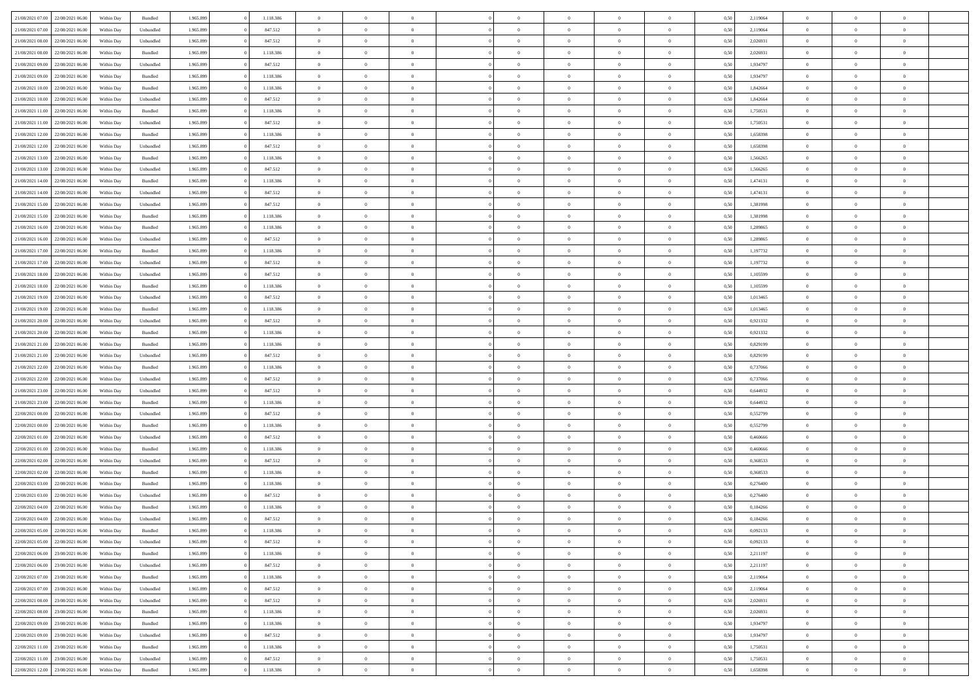|                                   |                  |            |                    |           |           | $\overline{0}$ | $\Omega$       |                |                | $\Omega$       | $\Omega$       | $\theta$       |      |          | $\theta$       |                | $\theta$       |  |
|-----------------------------------|------------------|------------|--------------------|-----------|-----------|----------------|----------------|----------------|----------------|----------------|----------------|----------------|------|----------|----------------|----------------|----------------|--|
| 21/08/2021 07:00                  | 22/08/2021 06:00 | Within Day | Bundled            | 1.965.899 | 1.118.386 |                |                |                | $\Omega$       |                |                |                | 0,50 | 2,119064 |                | $\theta$       |                |  |
| 21/08/2021 07:00                  | 22/08/2021 06:00 | Within Day | Unbundled          | 1.965.899 | 847.512   | $\overline{0}$ | $\theta$       | $\overline{0}$ | $\overline{0}$ | $\bf{0}$       | $\overline{0}$ | $\bf{0}$       | 0,50 | 2,119064 | $\theta$       | $\theta$       | $\overline{0}$ |  |
| 21/08/2021 08:00                  | 22/08/2021 06:00 | Within Day | Unbundled          | 1.965.899 | 847.512   | $\overline{0}$ | $\bf{0}$       | $\overline{0}$ | $\bf{0}$       | $\bf{0}$       | $\bf{0}$       | $\mathbf{0}$   | 0,50 | 2,026931 | $\overline{0}$ | $\overline{0}$ | $\overline{0}$ |  |
| 21/08/2021 08:00                  | 22/08/2021 06:00 | Within Dav | Bundled            | 1.965.899 | 1.118.386 | $\overline{0}$ | $\overline{0}$ | $\overline{0}$ | $\overline{0}$ | $\bf{0}$       | $\overline{0}$ | $\overline{0}$ | 0.50 | 2.026931 | $\theta$       | $\theta$       | $\overline{0}$ |  |
|                                   |                  |            |                    |           |           |                |                |                |                |                |                |                |      |          |                |                |                |  |
| 21/08/2021 09:00                  | 22/08/2021 06:00 | Within Day | Unbundled          | 1.965.899 | 847.512   | $\overline{0}$ | $\theta$       | $\overline{0}$ | $\overline{0}$ | $\bf{0}$       | $\overline{0}$ | $\bf{0}$       | 0,50 | 1,934797 | $\theta$       | $\overline{0}$ | $\overline{0}$ |  |
| 21/08/2021 09:00                  | 22/08/2021 06:00 | Within Day | Bundled            | 1.965.899 | 1.118.386 | $\overline{0}$ | $\overline{0}$ | $\overline{0}$ | $\bf{0}$       | $\overline{0}$ | $\overline{0}$ | $\mathbf{0}$   | 0,50 | 1,934797 | $\overline{0}$ | $\overline{0}$ | $\bf{0}$       |  |
| 21/08/2021 10:00                  | 22/08/2021 06:00 | Within Dav | Bundled            | 1.965.899 | 1.118.386 | $\overline{0}$ | $\overline{0}$ | $\overline{0}$ | $\overline{0}$ | $\overline{0}$ | $\overline{0}$ | $\overline{0}$ | 0.50 | 1,842664 | $\theta$       | $\overline{0}$ | $\overline{0}$ |  |
| 21/08/2021 10:00                  | 22/08/2021 06:00 | Within Day | Unbundled          | 1.965.899 | 847.512   | $\overline{0}$ | $\theta$       | $\overline{0}$ | $\overline{0}$ | $\bf{0}$       | $\overline{0}$ | $\bf{0}$       | 0,50 | 1,842664 | $\theta$       | $\theta$       | $\overline{0}$ |  |
|                                   |                  |            |                    |           |           |                | $\overline{0}$ |                |                | $\bf{0}$       |                |                |      |          | $\,0\,$        | $\overline{0}$ | $\overline{0}$ |  |
| 21/08/2021 11:00                  | 22/08/2021 06:00 | Within Day | Bundled            | 1.965.899 | 1.118.386 | $\overline{0}$ |                | $\overline{0}$ | $\bf{0}$       |                | $\bf{0}$       | $\mathbf{0}$   | 0,50 | 1,750531 |                |                |                |  |
| 21/08/2021 11:00                  | 22/08/2021 06:00 | Within Dav | Unbundled          | 1.965.899 | 847.512   | $\overline{0}$ | $\overline{0}$ | $\overline{0}$ | $\overline{0}$ | $\overline{0}$ | $\overline{0}$ | $\overline{0}$ | 0.50 | 1,750531 | $\theta$       | $\overline{0}$ | $\overline{0}$ |  |
| 21/08/2021 12:00                  | 22/08/2021 06:00 | Within Day | Bundled            | 1.965.899 | 1.118.386 | $\overline{0}$ | $\theta$       | $\overline{0}$ | $\overline{0}$ | $\bf{0}$       | $\overline{0}$ | $\bf{0}$       | 0,50 | 1,658398 | $\,$ 0 $\,$    | $\overline{0}$ | $\overline{0}$ |  |
| 21/08/2021 12:00                  | 22/08/2021 06:00 | Within Day | Unbundled          | 1.965.899 | 847.512   | $\overline{0}$ | $\overline{0}$ | $\overline{0}$ | $\bf{0}$       | $\bf{0}$       | $\bf{0}$       | $\mathbf{0}$   | 0,50 | 1,658398 | $\bf{0}$       | $\overline{0}$ | $\bf{0}$       |  |
| 21/08/2021 13:00                  | 22/08/2021 06:00 | Within Day | Bundled            | 1.965.899 | 1.118.386 | $\overline{0}$ | $\overline{0}$ | $\overline{0}$ | $\overline{0}$ | $\bf{0}$       | $\overline{0}$ | $\overline{0}$ | 0.50 | 1.566265 | $\theta$       | $\theta$       | $\overline{0}$ |  |
|                                   |                  |            |                    |           |           | $\overline{0}$ | $\theta$       | $\overline{0}$ | $\overline{0}$ | $\bf{0}$       | $\overline{0}$ |                |      |          | $\theta$       | $\overline{0}$ | $\overline{0}$ |  |
| 21/08/2021 13:00                  | 22/08/2021 06:00 | Within Day | Unbundled          | 1.965.899 | 847.512   |                |                |                |                |                |                | $\bf{0}$       | 0,50 | 1,566265 |                |                |                |  |
| 21/08/2021 14:00                  | 22/08/2021 06:00 | Within Day | Bundled            | 1.965.899 | 1.118.386 | $\overline{0}$ | $\overline{0}$ | $\overline{0}$ | $\bf{0}$       | $\overline{0}$ | $\overline{0}$ | $\mathbf{0}$   | 0,50 | 1,474131 | $\bf{0}$       | $\overline{0}$ | $\bf{0}$       |  |
| 21/08/2021 14:00                  | 22/08/2021 06:00 | Within Day | Unbundled          | 1.965.899 | 847.512   | $\overline{0}$ | $\overline{0}$ | $\overline{0}$ | $\overline{0}$ | $\overline{0}$ | $\overline{0}$ | $\overline{0}$ | 0.50 | 1,474131 | $\theta$       | $\overline{0}$ | $\overline{0}$ |  |
| 21/08/2021 15:00                  | 22/08/2021 06:00 | Within Day | Unbundled          | 1.965.899 | 847.512   | $\overline{0}$ | $\theta$       | $\overline{0}$ | $\overline{0}$ | $\bf{0}$       | $\overline{0}$ | $\bf{0}$       | 0,50 | 1,381998 | $\theta$       | $\theta$       | $\overline{0}$ |  |
| 21/08/2021 15:00                  | 22/08/2021 06:00 | Within Day | Bundled            | 1.965.899 | 1.118.386 | $\overline{0}$ | $\overline{0}$ | $\overline{0}$ | $\bf{0}$       | $\bf{0}$       | $\bf{0}$       | $\mathbf{0}$   | 0,50 | 1,381998 | $\bf{0}$       | $\overline{0}$ | $\overline{0}$ |  |
|                                   |                  |            |                    |           |           |                |                |                |                |                |                |                |      |          |                |                |                |  |
| 21/08/2021 16:00                  | 22/08/2021 06:00 | Within Day | Bundled            | 1.965.899 | 1.118.386 | $\overline{0}$ | $\overline{0}$ | $\overline{0}$ | $\overline{0}$ | $\overline{0}$ | $\overline{0}$ | $\overline{0}$ | 0.50 | 1,289865 | $\theta$       | $\overline{0}$ | $\overline{0}$ |  |
| 21/08/2021 16:00                  | 22/08/2021 06:00 | Within Day | Unbundled          | 1.965.899 | 847.512   | $\overline{0}$ | $\theta$       | $\overline{0}$ | $\overline{0}$ | $\bf{0}$       | $\overline{0}$ | $\bf{0}$       | 0,50 | 1,289865 | $\,$ 0 $\,$    | $\theta$       | $\overline{0}$ |  |
| 21/08/2021 17:00                  | 22/08/2021 06:00 | Within Day | Bundled            | 1.965.899 | 1.118.386 | $\overline{0}$ | $\overline{0}$ | $\overline{0}$ | $\bf{0}$       | $\bf{0}$       | $\bf{0}$       | $\mathbf{0}$   | 0,50 | 1,197732 | $\bf{0}$       | $\overline{0}$ | $\overline{0}$ |  |
| 21/08/2021 17:00                  | 22/08/2021 06:00 | Within Day | Unbundled          | 1.965.899 | 847.512   | $\overline{0}$ | $\overline{0}$ | $\overline{0}$ | $\overline{0}$ | $\bf{0}$       | $\overline{0}$ | $\overline{0}$ | 0.50 | 1,197732 | $\theta$       | $\overline{0}$ | $\overline{0}$ |  |
| 21/08/2021 18:00                  | 22/08/2021 06:00 | Within Day | Unbundled          | 1.965.899 | 847.512   | $\overline{0}$ | $\theta$       | $\overline{0}$ | $\overline{0}$ | $\bf{0}$       | $\overline{0}$ | $\bf{0}$       | 0,50 | 1,105599 | $\,$ 0 $\,$    | $\overline{0}$ | $\overline{0}$ |  |
|                                   |                  |            |                    |           |           |                |                |                |                |                |                |                |      |          |                |                |                |  |
| 21/08/2021 18:00                  | 22/08/2021 06:00 | Within Day | Bundled            | 1.965.899 | 1.118.386 | $\overline{0}$ | $\overline{0}$ | $\overline{0}$ | $\bf{0}$       | $\overline{0}$ | $\overline{0}$ | $\mathbf{0}$   | 0,50 | 1,105599 | $\bf{0}$       | $\overline{0}$ | $\bf{0}$       |  |
| 21/08/2021 19:00                  | 22/08/2021 06:00 | Within Dav | Unbundled          | 1.965.899 | 847.512   | $\overline{0}$ | $\overline{0}$ | $\overline{0}$ | $\overline{0}$ | $\overline{0}$ | $\overline{0}$ | $\overline{0}$ | 0.50 | 1,013465 | $\theta$       | $\overline{0}$ | $\overline{0}$ |  |
| 21/08/2021 19:00                  | 22/08/2021 06:00 | Within Day | Bundled            | 1.965.899 | 1.118.386 | $\overline{0}$ | $\theta$       | $\overline{0}$ | $\overline{0}$ | $\bf{0}$       | $\overline{0}$ | $\bf{0}$       | 0,50 | 1,013465 | $\theta$       | $\theta$       | $\overline{0}$ |  |
| 21/08/2021 20:00                  | 22/08/2021 06:00 | Within Day | Unbundled          | 1.965.899 | 847.512   | $\overline{0}$ | $\overline{0}$ | $\overline{0}$ | $\overline{0}$ | $\bf{0}$       | $\overline{0}$ | $\bf{0}$       | 0,50 | 0,921332 | $\,0\,$        | $\overline{0}$ | $\overline{0}$ |  |
|                                   | 22/08/2021 06:00 |            | Bundled            | 1.965.899 | 1.118.386 | $\overline{0}$ | $\overline{0}$ | $\overline{0}$ | $\overline{0}$ | $\overline{0}$ | $\overline{0}$ | $\overline{0}$ | 0.50 | 0.921332 | $\theta$       | $\overline{0}$ | $\overline{0}$ |  |
| 21/08/2021 20:00                  |                  | Within Day |                    |           |           |                |                |                |                |                |                |                |      |          |                |                |                |  |
| 21/08/2021 21:00                  | 22/08/2021 06:00 | Within Day | Bundled            | 1.965.899 | 1.118.386 | $\overline{0}$ | $\theta$       | $\overline{0}$ | $\overline{0}$ | $\bf{0}$       | $\overline{0}$ | $\bf{0}$       | 0,50 | 0,829199 | $\,$ 0 $\,$    | $\overline{0}$ | $\overline{0}$ |  |
| 21/08/2021 21:00                  | 22/08/2021 06:00 | Within Day | Unbundled          | 1.965.899 | 847.512   | $\overline{0}$ | $\overline{0}$ | $\overline{0}$ | $\overline{0}$ | $\bf{0}$       | $\overline{0}$ | $\bf{0}$       | 0,50 | 0,829199 | $\bf{0}$       | $\overline{0}$ | $\overline{0}$ |  |
| 21/08/2021 22:00                  | 22/08/2021 06:00 | Within Day | Bundled            | 1.965.899 | 1.118.386 | $\overline{0}$ | $\Omega$       | $\overline{0}$ | $\Omega$       | $\Omega$       | $\overline{0}$ | $\overline{0}$ | 0,50 | 0,737066 | $\,0\,$        | $\theta$       | $\theta$       |  |
| 21/08/2021 22:00                  | 22/08/2021 06:00 | Within Day | Unbundled          | 1.965.899 | 847.512   | $\overline{0}$ | $\theta$       | $\overline{0}$ | $\overline{0}$ | $\bf{0}$       | $\overline{0}$ | $\bf{0}$       | 0,50 | 0,737066 | $\,$ 0 $\,$    | $\theta$       | $\overline{0}$ |  |
|                                   |                  |            |                    |           |           |                |                |                |                |                |                |                |      |          |                |                |                |  |
| 21/08/2021 23:00                  | 22/08/2021 06:00 | Within Day | Unbundled          | 1.965.899 | 847.512   | $\overline{0}$ | $\overline{0}$ | $\overline{0}$ | $\bf{0}$       | $\bf{0}$       | $\overline{0}$ | $\mathbf{0}$   | 0,50 | 0,644932 | $\bf{0}$       | $\overline{0}$ | $\bf{0}$       |  |
| 21/08/2021 23:00                  | 22/08/2021 06:00 | Within Day | Bundled            | 1.965.899 | 1.118.386 | $\overline{0}$ | $\Omega$       | $\Omega$       | $\Omega$       | $\bf{0}$       | $\overline{0}$ | $\overline{0}$ | 0.50 | 0.644932 | $\,0\,$        | $\theta$       | $\theta$       |  |
| 22/08/2021 00:00                  | 22/08/2021 06:00 | Within Day | Unbundled          | 1.965.899 | 847.512   | $\overline{0}$ | $\theta$       | $\overline{0}$ | $\overline{0}$ | $\bf{0}$       | $\overline{0}$ | $\bf{0}$       | 0,50 | 0,552799 | $\,$ 0 $\,$    | $\theta$       | $\overline{0}$ |  |
| 22/08/2021 00:00                  | 22/08/2021 06:00 | Within Day | Bundled            | 1.965.899 | 1.118.386 | $\overline{0}$ | $\overline{0}$ | $\overline{0}$ | $\bf{0}$       | $\bf{0}$       | $\bf{0}$       | $\bf{0}$       | 0,50 | 0,552799 | $\bf{0}$       | $\overline{0}$ | $\overline{0}$ |  |
| 22/08/2021 01:00                  | 22/08/2021 06:00 |            | Unbundled          | 1.965.899 | 847.512   | $\overline{0}$ | $\Omega$       | $\overline{0}$ | $\Omega$       | $\overline{0}$ | $\overline{0}$ | $\overline{0}$ | 0.50 | 0.460666 | $\,$ 0 $\,$    | $\theta$       | $\theta$       |  |
|                                   |                  | Within Day |                    |           |           |                |                |                |                |                |                |                |      |          |                |                |                |  |
| 22/08/2021 01:00                  | 22/08/2021 06:00 | Within Day | Bundled            | 1.965.899 | 1.118.386 | $\overline{0}$ | $\theta$       | $\overline{0}$ | $\overline{0}$ | $\,$ 0         | $\overline{0}$ | $\bf{0}$       | 0,50 | 0,460666 | $\,$ 0 $\,$    | $\overline{0}$ | $\overline{0}$ |  |
| 22/08/2021 02:00                  | 22/08/2021 06:00 | Within Day | Unbundled          | 1.965.899 | 847.512   | $\overline{0}$ | $\overline{0}$ | $\overline{0}$ | $\bf{0}$       | $\bf{0}$       | $\bf{0}$       | $\mathbf{0}$   | 0,50 | 0,368533 | $\bf{0}$       | $\overline{0}$ | $\overline{0}$ |  |
| 22/08/2021 02:00                  | 22/08/2021 06:00 | Within Day | Bundled            | 1.965.899 | 1.118.386 | $\overline{0}$ | $\Omega$       | $\overline{0}$ | $\Omega$       | $\overline{0}$ | $\overline{0}$ | $\overline{0}$ | 0.50 | 0,368533 | $\,0\,$        | $\theta$       | $\theta$       |  |
| 22/08/2021 03:00                  | 22/08/2021 06:00 | Within Day | Bundled            | 1.965.899 | 1.118.386 | $\overline{0}$ | $\theta$       | $\overline{0}$ | $\overline{0}$ | $\,$ 0         | $\overline{0}$ | $\bf{0}$       | 0,50 | 0,276400 | $\,$ 0 $\,$    | $\overline{0}$ | $\overline{0}$ |  |
| 22/08/2021 03:00                  | 22/08/2021 06:00 | Within Day | Unbundled          | 1.965.899 | 847.512   | $\overline{0}$ | $\bf{0}$       | $\overline{0}$ | $\bf{0}$       | $\bf{0}$       | $\bf{0}$       | $\mathbf{0}$   | 0,50 | 0,276400 | $\bf{0}$       | $\overline{0}$ | $\bf{0}$       |  |
|                                   |                  |            |                    |           |           |                |                |                |                |                |                |                |      |          |                |                |                |  |
| 22/08/2021 04:00                  | 22/08/2021 06:00 | Within Day | Bundled            | 1.965.899 | 1.118.386 | $\overline{0}$ | $\Omega$       | $\Omega$       | $\Omega$       | $\Omega$       | $\Omega$       | $\overline{0}$ | 0.50 | 0,184266 | $\theta$       | $\theta$       | $\theta$       |  |
| 22/08/2021 04:00                  | 22/08/2021 06:00 | Within Day | Unbundled          | 1.965.899 | 847.512   | $\overline{0}$ | $\,$ 0 $\,$    | $\overline{0}$ | $\bf{0}$       | $\,$ 0         | $\bf{0}$       | $\bf{0}$       | 0,50 | 0,184266 | $\,0\,$        | $\overline{0}$ | $\overline{0}$ |  |
| 22/08/2021 05:00                  | 22/08/2021 06:00 | Within Day | $\mathbf B$ undled | 1.965.899 | 1.118.386 | $\bf{0}$       | $\bf{0}$       |                |                | $\bf{0}$       |                |                | 0,50 | 0,092133 | $\bf{0}$       | $\overline{0}$ |                |  |
| 22/08/2021 05:00                  | 22/08/2021 06:00 | Within Day | Unbundled          | 1.965.899 | 847.512   | $\overline{0}$ | $\overline{0}$ | $\overline{0}$ | $\Omega$       | $\overline{0}$ | $\overline{0}$ | $\overline{0}$ | 0,50 | 0.092133 | $\theta$       | $\theta$       | $\theta$       |  |
| 22/08/2021 06:00                  | 23/08/2021 06:00 | Within Day | Bundled            | 1.965.899 | 1.118.386 | $\overline{0}$ | $\bf{0}$       | $\overline{0}$ | $\bf{0}$       | $\,$ 0 $\,$    | $\overline{0}$ | $\,$ 0 $\,$    | 0,50 | 2,211197 | $\,$ 0 $\,$    | $\,$ 0 $\,$    | $\,$ 0         |  |
|                                   |                  |            |                    |           |           |                |                |                |                |                |                |                |      |          |                |                |                |  |
| 22/08/2021 06:00                  | 23/08/2021 06:00 | Within Day | Unbundled          | 1.965.899 | 847.512   | $\overline{0}$ | $\overline{0}$ | $\overline{0}$ | $\overline{0}$ | $\overline{0}$ | $\overline{0}$ | $\mathbf{0}$   | 0,50 | 2,211197 | $\overline{0}$ | $\bf{0}$       | $\bf{0}$       |  |
| 22/08/2021 07:00                  | 23/08/2021 06:00 | Within Day | $\mathbf B$ undled | 1.965.899 | 1.118.386 | $\overline{0}$ | $\overline{0}$ | $\overline{0}$ | $\Omega$       | $\overline{0}$ | $\overline{0}$ | $\overline{0}$ | 0,50 | 2,119064 | $\overline{0}$ | $\overline{0}$ | $\overline{0}$ |  |
| 22/08/2021 07:00                  | 23/08/2021 06:00 | Within Day | Unbundled          | 1.965.899 | 847.512   | $\overline{0}$ | $\,$ 0         | $\overline{0}$ | $\bf{0}$       | $\,$ 0 $\,$    | $\overline{0}$ | $\,$ 0 $\,$    | 0,50 | 2,119064 | $\,$ 0 $\,$    | $\overline{0}$ | $\overline{0}$ |  |
| 22/08/2021 08:00                  | 23/08/2021 06:00 | Within Day | Unbundled          | 1.965.899 | 847.512   | $\overline{0}$ | $\overline{0}$ | $\overline{0}$ | $\overline{0}$ | $\overline{0}$ | $\overline{0}$ | $\mathbf{0}$   | 0,50 | 2,026931 | $\overline{0}$ | $\overline{0}$ | $\overline{0}$ |  |
|                                   | 23/08/2021 06:00 |            |                    |           |           |                | $\overline{0}$ | $\overline{0}$ |                | $\overline{0}$ | $\overline{0}$ |                | 0.50 |          |                | $\theta$       | $\overline{0}$ |  |
| 22/08/2021 08:00                  |                  | Within Day | Bundled            | 1.965.899 | 1.118.386 | $\overline{0}$ |                |                | $\overline{0}$ |                |                | $\bf{0}$       |      | 2,026931 | $\overline{0}$ |                |                |  |
| 22/08/2021 09:00                  | 23/08/2021 06:00 | Within Day | Bundled            | 1.965.899 | 1.118.386 | $\overline{0}$ | $\,$ 0         | $\overline{0}$ | $\bf{0}$       | $\bf{0}$       | $\bf{0}$       | $\bf{0}$       | 0,50 | 1,934797 | $\,$ 0 $\,$    | $\overline{0}$ | $\overline{0}$ |  |
| 22/08/2021 09:00                  | 23/08/2021 06:00 | Within Day | Unbundled          | 1.965.899 | 847.512   | $\overline{0}$ | $\bf{0}$       | $\overline{0}$ | $\overline{0}$ | $\overline{0}$ | $\overline{0}$ | $\mathbf{0}$   | 0,50 | 1,934797 | $\overline{0}$ | $\overline{0}$ | $\bf{0}$       |  |
| 22/08/2021 11:00                  | 23/08/2021 06:00 | Within Day | Bundled            | 1.965.899 | 1.118.386 | $\overline{0}$ | $\overline{0}$ | $\overline{0}$ | $\Omega$       | $\overline{0}$ | $\overline{0}$ | $\overline{0}$ | 0.50 | 1,750531 | $\overline{0}$ | $\overline{0}$ | $\overline{0}$ |  |
| 22/08/2021 11:00                  | 23/08/2021 06:00 | Within Day | Unbundled          | 1.965.899 | 847.512   | $\overline{0}$ | $\bf{0}$       | $\overline{0}$ | $\bf{0}$       | $\bf{0}$       | $\bf{0}$       | $\mathbf{0}$   | 0,50 | 1,750531 | $\,$ 0 $\,$    | $\,$ 0 $\,$    | $\bf{0}$       |  |
|                                   |                  |            |                    |           |           |                |                |                |                |                |                |                |      |          |                |                |                |  |
| 22/08/2021 12:00 23/08/2021 06:00 |                  | Within Day | Bundled            | 1.965.899 | 1.118.386 | $\overline{0}$ | $\overline{0}$ | $\overline{0}$ | $\overline{0}$ | $\overline{0}$ | $\bf{0}$       | $\mathbf{0}$   | 0,50 | 1,658398 | $\overline{0}$ | $\bf{0}$       | $\overline{0}$ |  |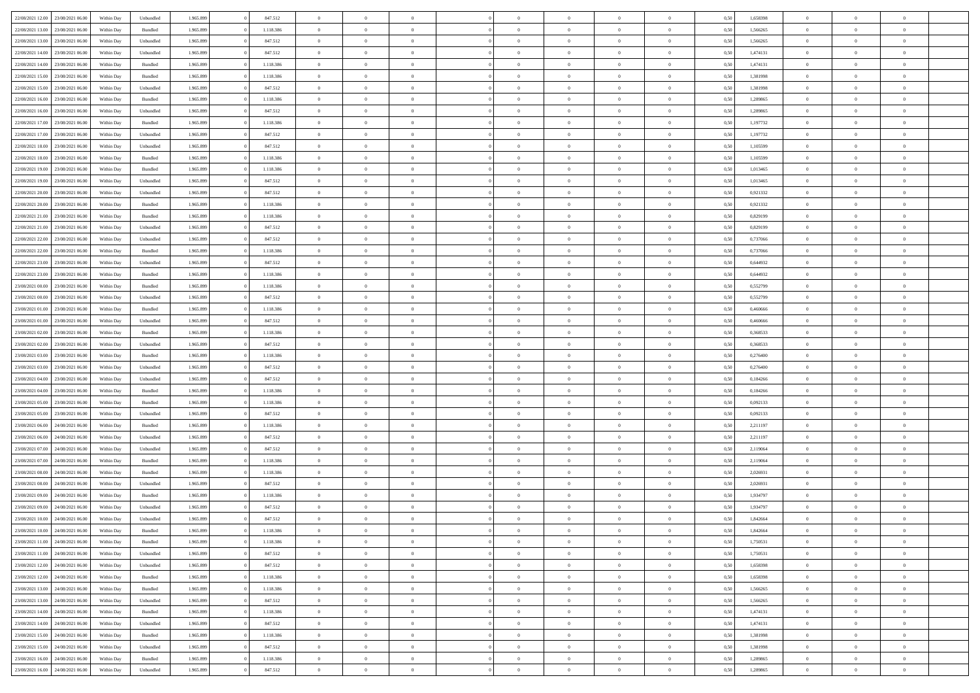|                                   |                                   |            |                    |           |           | $\overline{0}$ | $\Omega$       |                |                | $\Omega$       | $\Omega$       | $\theta$       |      |          | $\theta$       |                | $\theta$       |  |
|-----------------------------------|-----------------------------------|------------|--------------------|-----------|-----------|----------------|----------------|----------------|----------------|----------------|----------------|----------------|------|----------|----------------|----------------|----------------|--|
| 22/08/2021 12:00                  | 23/08/2021 06:00                  | Within Dav | Unbundled          | 1.965.899 | 847.512   |                |                |                | $\Omega$       |                |                |                | 0,50 | 1,658398 |                | $\theta$       |                |  |
| 22/08/2021 13:00                  | 23/08/2021 06:00                  | Within Day | Bundled            | 1.965.899 | 1.118.386 | $\overline{0}$ | $\theta$       | $\overline{0}$ | $\overline{0}$ | $\bf{0}$       | $\overline{0}$ | $\bf{0}$       | 0,50 | 1,566265 | $\theta$       | $\theta$       | $\overline{0}$ |  |
| 22/08/2021 13:00                  | 23/08/2021 06:00                  | Within Day | Unbundled          | 1.965.899 | 847.512   | $\overline{0}$ | $\overline{0}$ | $\overline{0}$ | $\overline{0}$ | $\bf{0}$       | $\overline{0}$ | $\mathbf{0}$   | 0,50 | 1,566265 | $\bf{0}$       | $\overline{0}$ | $\overline{0}$ |  |
| 22/08/2021 14:00                  | 23/08/2021 06:00                  | Within Dav | Unbundled          | 1.965.899 | 847.512   | $\overline{0}$ | $\overline{0}$ | $\overline{0}$ | $\overline{0}$ | $\bf{0}$       | $\overline{0}$ | $\overline{0}$ | 0.50 | 1,474131 | $\theta$       | $\theta$       | $\overline{0}$ |  |
|                                   |                                   |            |                    |           |           |                |                |                |                |                |                |                |      |          |                |                |                |  |
| 22/08/2021 14:00                  | 23/08/2021 06:00                  | Within Day | Bundled            | 1.965.899 | 1.118.386 | $\overline{0}$ | $\theta$       | $\overline{0}$ | $\overline{0}$ | $\bf{0}$       | $\overline{0}$ | $\bf{0}$       | 0,50 | 1,474131 | $\theta$       | $\overline{0}$ | $\overline{0}$ |  |
| 22/08/2021 15:00                  | 23/08/2021 06:00                  | Within Day | Bundled            | 1.965.899 | 1.118.386 | $\overline{0}$ | $\bf{0}$       | $\overline{0}$ | $\overline{0}$ | $\overline{0}$ | $\overline{0}$ | $\mathbf{0}$   | 0,50 | 1,381998 | $\bf{0}$       | $\overline{0}$ | $\bf{0}$       |  |
| 22/08/2021 15:00                  | 23/08/2021 06:00                  | Within Dav | Unbundled          | 1.965.899 | 847.512   | $\overline{0}$ | $\overline{0}$ | $\overline{0}$ | $\overline{0}$ | $\overline{0}$ | $\overline{0}$ | $\overline{0}$ | 0.50 | 1,381998 | $\theta$       | $\overline{0}$ | $\overline{0}$ |  |
| 22/08/2021 16:00                  | 23/08/2021 06:00                  | Within Day | Bundled            | 1.965.899 | 1.118.386 | $\overline{0}$ | $\theta$       | $\overline{0}$ | $\overline{0}$ | $\bf{0}$       | $\overline{0}$ | $\bf{0}$       | 0,50 | 1,289865 | $\theta$       | $\theta$       | $\overline{0}$ |  |
| 22/08/2021 16:00                  | 23/08/2021 06:00                  | Within Day | Unbundled          | 1.965.899 | 847.512   | $\overline{0}$ | $\overline{0}$ | $\overline{0}$ | $\overline{0}$ | $\bf{0}$       | $\overline{0}$ | $\mathbf{0}$   | 0,50 | 1,289865 | $\,0\,$        | $\overline{0}$ | $\overline{0}$ |  |
|                                   |                                   |            |                    |           |           |                |                |                |                |                |                |                |      |          |                |                |                |  |
| 22/08/2021 17:00                  | 23/08/2021 06:00                  | Within Dav | Bundled            | 1.965.899 | 1.118.386 | $\overline{0}$ | $\overline{0}$ | $\overline{0}$ | $\overline{0}$ | $\overline{0}$ | $\overline{0}$ | $\overline{0}$ | 0.50 | 1,197732 | $\theta$       | $\overline{0}$ | $\overline{0}$ |  |
| 22/08/2021 17:00                  | 23/08/2021 06:00                  | Within Day | Unbundled          | 1.965.899 | 847.512   | $\overline{0}$ | $\theta$       | $\overline{0}$ | $\overline{0}$ | $\bf{0}$       | $\overline{0}$ | $\bf{0}$       | 0,50 | 1,197732 | $\,$ 0 $\,$    | $\overline{0}$ | $\overline{0}$ |  |
| 22/08/2021 18:00                  | 23/08/2021 06:00                  | Within Day | Unbundled          | 1.965.899 | 847.512   | $\overline{0}$ | $\overline{0}$ | $\overline{0}$ | $\overline{0}$ | $\bf{0}$       | $\bf{0}$       | $\mathbf{0}$   | 0,50 | 1,105599 | $\bf{0}$       | $\overline{0}$ | $\overline{0}$ |  |
| 22/08/2021 18:00                  | 23/08/2021 06:00                  | Within Day | Bundled            | 1.965.899 | 1.118.386 | $\overline{0}$ | $\overline{0}$ | $\overline{0}$ | $\overline{0}$ | $\bf{0}$       | $\overline{0}$ | $\overline{0}$ | 0.50 | 1,105599 | $\theta$       | $\theta$       | $\overline{0}$ |  |
| 22/08/2021 19:00                  | 23/08/2021 06:00                  | Within Day | Bundled            | 1.965.899 | 1.118.386 | $\overline{0}$ | $\theta$       | $\overline{0}$ | $\overline{0}$ | $\bf{0}$       | $\overline{0}$ | $\bf{0}$       | 0,50 | 1,013465 | $\theta$       | $\overline{0}$ | $\overline{0}$ |  |
|                                   |                                   |            |                    |           |           |                |                |                |                |                |                |                |      |          |                |                |                |  |
| 22/08/2021 19:00                  | 23/08/2021 06:00                  | Within Day | Unbundled          | 1.965.899 | 847.512   | $\overline{0}$ | $\overline{0}$ | $\overline{0}$ | $\bf{0}$       | $\overline{0}$ | $\overline{0}$ | $\mathbf{0}$   | 0,50 | 1,013465 | $\bf{0}$       | $\overline{0}$ | $\bf{0}$       |  |
| 22/08/2021 20:00                  | 23/08/2021 06:00                  | Within Dav | Unbundled          | 1.965.899 | 847.512   | $\overline{0}$ | $\overline{0}$ | $\overline{0}$ | $\overline{0}$ | $\overline{0}$ | $\overline{0}$ | $\overline{0}$ | 0.50 | 0.921332 | $\theta$       | $\overline{0}$ | $\overline{0}$ |  |
| 22/08/2021 20:00                  | 23/08/2021 06:00                  | Within Day | Bundled            | 1.965.899 | 1.118.386 | $\overline{0}$ | $\theta$       | $\overline{0}$ | $\overline{0}$ | $\bf{0}$       | $\overline{0}$ | $\bf{0}$       | 0,50 | 0,921332 | $\theta$       | $\theta$       | $\overline{0}$ |  |
| 22/08/2021 21:00                  | 23/08/2021 06:00                  | Within Day | Bundled            | 1.965.899 | 1.118.386 | $\overline{0}$ | $\overline{0}$ | $\overline{0}$ | $\bf{0}$       | $\bf{0}$       | $\bf{0}$       | $\mathbf{0}$   | 0,50 | 0,829199 | $\,0\,$        | $\overline{0}$ | $\overline{0}$ |  |
| 22/08/2021 21:00                  | 23/08/2021 06:00                  | Within Day | Unbundled          | 1.965.899 | 847.512   | $\overline{0}$ | $\overline{0}$ | $\overline{0}$ | $\overline{0}$ | $\overline{0}$ | $\overline{0}$ | $\overline{0}$ | 0.50 | 0.829199 | $\theta$       | $\overline{0}$ | $\overline{0}$ |  |
|                                   |                                   |            |                    |           |           |                |                |                |                |                |                |                |      |          |                |                |                |  |
| 22/08/2021 22:00                  | 23/08/2021 06:00                  | Within Day | Unbundled          | 1.965.899 | 847.512   | $\overline{0}$ | $\theta$       | $\overline{0}$ | $\overline{0}$ | $\bf{0}$       | $\overline{0}$ | $\bf{0}$       | 0,50 | 0,737066 | $\,$ 0 $\,$    | $\theta$       | $\overline{0}$ |  |
| 22/08/2021 22:00                  | 23/08/2021 06:00                  | Within Day | Bundled            | 1.965.899 | 1.118.386 | $\overline{0}$ | $\overline{0}$ | $\overline{0}$ | $\bf{0}$       | $\bf{0}$       | $\bf{0}$       | $\mathbf{0}$   | 0,50 | 0,737066 | $\bf{0}$       | $\overline{0}$ | $\overline{0}$ |  |
| 22/08/2021 23:00                  | 23/08/2021 06:00                  | Within Day | Unbundled          | 1.965.899 | 847.512   | $\overline{0}$ | $\overline{0}$ | $\overline{0}$ | $\overline{0}$ | $\bf{0}$       | $\overline{0}$ | $\overline{0}$ | 0.50 | 0,644932 | $\theta$       | $\overline{0}$ | $\overline{0}$ |  |
| 22/08/2021 23:00                  | 23/08/2021 06:00                  | Within Day | Bundled            | 1.965.899 | 1.118.386 | $\overline{0}$ | $\theta$       | $\overline{0}$ | $\overline{0}$ | $\bf{0}$       | $\overline{0}$ | $\bf{0}$       | 0,50 | 0,644932 | $\,$ 0 $\,$    | $\overline{0}$ | $\overline{0}$ |  |
| 23/08/2021 00:00                  | 23/08/2021 06:00                  | Within Day | Bundled            | 1.965.899 | 1.118.386 | $\overline{0}$ | $\overline{0}$ | $\overline{0}$ | $\bf{0}$       | $\overline{0}$ | $\overline{0}$ | $\mathbf{0}$   | 0,50 | 0,552799 | $\bf{0}$       | $\overline{0}$ | $\bf{0}$       |  |
|                                   |                                   |            |                    |           |           |                |                |                |                |                |                |                |      |          |                |                |                |  |
| 23/08/2021 00:00                  | 23/08/2021 06:00                  | Within Dav | Unbundled          | 1.965.899 | 847.512   | $\overline{0}$ | $\overline{0}$ | $\overline{0}$ | $\overline{0}$ | $\overline{0}$ | $\overline{0}$ | $\overline{0}$ | 0.50 | 0,552799 | $\overline{0}$ | $\overline{0}$ | $\overline{0}$ |  |
| 23/08/2021 01:00                  | 23/08/2021 06:00                  | Within Day | Bundled            | 1.965.899 | 1.118.386 | $\overline{0}$ | $\theta$       | $\overline{0}$ | $\overline{0}$ | $\bf{0}$       | $\overline{0}$ | $\bf{0}$       | 0,50 | 0,460666 | $\theta$       | $\theta$       | $\overline{0}$ |  |
| 23/08/2021 01:00                  | 23/08/2021 06:00                  | Within Day | Unbundled          | 1.965.899 | 847.512   | $\overline{0}$ | $\overline{0}$ | $\overline{0}$ | $\bf{0}$       | $\bf{0}$       | $\bf{0}$       | $\bf{0}$       | 0,50 | 0,460666 | $\,0\,$        | $\overline{0}$ | $\overline{0}$ |  |
| 23/08/2021 02:00                  | 23/08/2021 06:00                  | Within Day | Bundled            | 1.965.899 | 1.118.386 | $\overline{0}$ | $\overline{0}$ | $\overline{0}$ | $\overline{0}$ | $\overline{0}$ | $\overline{0}$ | $\overline{0}$ | 0.50 | 0,368533 | $\theta$       | $\overline{0}$ | $\overline{0}$ |  |
| 23/08/2021 02:00                  | 23/08/2021 06:00                  | Within Day | Unbundled          | 1.965.899 | 847.512   | $\overline{0}$ | $\theta$       | $\overline{0}$ | $\overline{0}$ | $\bf{0}$       | $\overline{0}$ | $\bf{0}$       | 0,50 | 0,368533 | $\,$ 0 $\,$    | $\overline{0}$ | $\overline{0}$ |  |
| 23/08/2021 03:00                  | 23/08/2021 06:00                  | Within Day | Bundled            | 1.965.899 | 1.118.386 | $\overline{0}$ | $\overline{0}$ | $\overline{0}$ | $\bf{0}$       | $\bf{0}$       | $\bf{0}$       | $\bf{0}$       | 0,50 | 0,276400 | $\overline{0}$ | $\overline{0}$ | $\overline{0}$ |  |
|                                   |                                   |            |                    |           |           |                |                |                |                |                |                |                |      |          |                |                |                |  |
| 23/08/2021 03:00                  | 23/08/2021 06:00                  | Within Day | Unbundled          | 1.965.899 | 847.512   | $\overline{0}$ | $\Omega$       | $\overline{0}$ | $\Omega$       | $\Omega$       | $\overline{0}$ | $\overline{0}$ | 0,50 | 0,276400 | $\,0\,$        | $\theta$       | $\theta$       |  |
| 23/08/2021 04:00                  | 23/08/2021 06:00                  | Within Day | Unbundled          | 1.965.899 | 847.512   | $\overline{0}$ | $\theta$       | $\overline{0}$ | $\overline{0}$ | $\bf{0}$       | $\overline{0}$ | $\bf{0}$       | 0,50 | 0,184266 | $\,$ 0 $\,$    | $\theta$       | $\overline{0}$ |  |
| 23/08/2021 04:00                  | 23/08/2021 06:00                  | Within Day | Bundled            | 1.965.899 | 1.118.386 | $\overline{0}$ | $\overline{0}$ | $\overline{0}$ | $\bf{0}$       | $\bf{0}$       | $\overline{0}$ | $\mathbf{0}$   | 0,50 | 0,184266 | $\overline{0}$ | $\overline{0}$ | $\bf{0}$       |  |
| 23/08/2021 05:00                  | 23/08/2021 06:00                  | Within Day | Bundled            | 1.965.899 | 1.118.386 | $\overline{0}$ | $\Omega$       | $\Omega$       | $\Omega$       | $\bf{0}$       | $\overline{0}$ | $\overline{0}$ | 0.50 | 0.092133 | $\,0\,$        | $\theta$       | $\theta$       |  |
| 23/08/2021 05:00                  | 23/08/2021 06:00                  | Within Day | Unbundled          | 1.965.899 | 847.512   | $\overline{0}$ | $\theta$       | $\overline{0}$ | $\overline{0}$ | $\bf{0}$       | $\overline{0}$ | $\bf{0}$       | 0,50 | 0,092133 | $\,$ 0 $\,$    | $\theta$       | $\overline{0}$ |  |
| 23/08/2021 06:00                  | 24/08/2021 06:00                  | Within Day | Bundled            | 1.965.899 | 1.118.386 | $\overline{0}$ | $\overline{0}$ | $\overline{0}$ | $\bf{0}$       | $\bf{0}$       | $\bf{0}$       | $\mathbf{0}$   | 0,50 | 2,211197 | $\bf{0}$       | $\overline{0}$ | $\overline{0}$ |  |
|                                   |                                   |            |                    |           |           |                |                |                |                |                |                |                |      |          |                |                |                |  |
| 23/08/2021 06:00                  | 24/08/2021 06:00                  | Within Day | Unbundled          | 1.965.899 | 847.512   | $\overline{0}$ | $\Omega$       | $\overline{0}$ | $\Omega$       | $\overline{0}$ | $\overline{0}$ | $\overline{0}$ | 0.50 | 2,211197 | $\,$ 0 $\,$    | $\theta$       | $\theta$       |  |
| 23/08/2021 07:00                  | 24/08/2021 06:00                  | Within Day | Unbundled          | 1.965.899 | 847.512   | $\overline{0}$ | $\theta$       | $\overline{0}$ | $\overline{0}$ | $\,$ 0         | $\overline{0}$ | $\bf{0}$       | 0,50 | 2,119064 | $\,$ 0 $\,$    | $\overline{0}$ | $\overline{0}$ |  |
| 23/08/2021 07:00                  | 24/08/2021 06:00                  | Within Day | Bundled            | 1.965.899 | 1.118.386 | $\overline{0}$ | $\overline{0}$ | $\overline{0}$ | $\bf{0}$       | $\bf{0}$       | $\bf{0}$       | $\mathbf{0}$   | 0,50 | 2,119064 | $\overline{0}$ | $\overline{0}$ | $\overline{0}$ |  |
| 23/08/2021 08:00                  | 24/08/2021 06:00                  | Within Day | Bundled            | 1.965.899 | 1.118.386 | $\overline{0}$ | $\Omega$       | $\overline{0}$ | $\Omega$       | $\overline{0}$ | $\overline{0}$ | $\overline{0}$ | 0.50 | 2,026931 | $\,0\,$        | $\theta$       | $\theta$       |  |
| 23/08/2021 08:00                  | 24/08/2021 06:00                  | Within Day | Unbundled          | 1.965.899 | 847.512   | $\overline{0}$ | $\theta$       | $\overline{0}$ | $\overline{0}$ | $\,$ 0         | $\overline{0}$ | $\bf{0}$       | 0,50 | 2,026931 | $\,$ 0 $\,$    | $\overline{0}$ | $\overline{0}$ |  |
|                                   |                                   |            |                    |           |           |                |                |                |                |                |                |                |      |          |                |                |                |  |
| 23/08/2021 09:00                  | 24/08/2021 06:00                  | Within Day | Bundled            | 1.965.899 | 1.118.386 | $\overline{0}$ | $\overline{0}$ | $\overline{0}$ | $\bf{0}$       | $\bf{0}$       | $\bf{0}$       | $\mathbf{0}$   | 0,50 | 1,934797 | $\overline{0}$ | $\overline{0}$ | $\bf{0}$       |  |
| 23/08/2021 09:00                  | 24/08/2021 06:00                  | Within Day | Unbundled          | 1.965.899 | 847.512   | $\overline{0}$ | $\Omega$       | $\Omega$       | $\Omega$       | $\Omega$       | $\Omega$       | $\overline{0}$ | 0.50 | 1,934797 | $\theta$       | $\theta$       | $\theta$       |  |
| 23/08/2021 10:00                  | 24/08/2021 06:00                  | Within Day | Unbundled          | 1.965.899 | 847.512   | $\overline{0}$ | $\overline{0}$ | $\overline{0}$ | $\bf{0}$       | $\,$ 0         | $\bf{0}$       | $\bf{0}$       | 0,50 | 1,842664 | $\,0\,$        | $\overline{0}$ | $\overline{0}$ |  |
|                                   | 23/08/2021 10:00 24/08/2021 06:00 | Within Day | $\mathbf B$ undled | 1.965.899 | 1.118.386 | $\bf{0}$       | $\bf{0}$       |                |                |                |                |                | 0,50 | 1,842664 | $\bf{0}$       | $\overline{0}$ |                |  |
| 23/08/2021 11:00                  | 24/08/2021 06:00                  | Within Day | Bundled            | 1.965.899 | 1.118.386 | $\overline{0}$ | $\overline{0}$ | $\overline{0}$ | $\Omega$       | $\overline{0}$ | $\overline{0}$ | $\overline{0}$ | 0,50 | 1,750531 | $\theta$       | $\theta$       | $\theta$       |  |
| 23/08/2021 11:00                  | 24/08/2021 06:00                  | Within Day | Unbundled          | 1.965.899 | 847.512   | $\overline{0}$ | $\bf{0}$       | $\overline{0}$ | $\overline{0}$ | $\,$ 0 $\,$    | $\overline{0}$ | $\,$ 0 $\,$    | 0,50 | 1,750531 | $\,$ 0 $\,$    | $\,$ 0 $\,$    | $\,$ 0         |  |
| 23/08/2021 12:00                  | 24/08/2021 06:00                  | Within Day | Unbundled          | 1.965.899 | 847.512   | $\overline{0}$ | $\overline{0}$ | $\overline{0}$ | $\overline{0}$ | $\overline{0}$ | $\overline{0}$ | $\mathbf{0}$   | 0,50 | 1,658398 | $\overline{0}$ | $\bf{0}$       | $\overline{0}$ |  |
|                                   |                                   |            |                    |           |           |                |                |                |                |                |                |                |      |          |                |                |                |  |
| 23/08/2021 12:00                  | 24/08/2021 06:00                  | Within Day | $\mathbf B$ undled | 1.965.899 | 1.118.386 | $\overline{0}$ | $\overline{0}$ | $\overline{0}$ | $\Omega$       | $\overline{0}$ | $\overline{0}$ | $\overline{0}$ | 0,50 | 1,658398 | $\overline{0}$ | $\overline{0}$ | $\overline{0}$ |  |
| 23/08/2021 13:00                  | 24/08/2021 06:00                  | Within Day | Bundled            | 1.965.899 | 1.118.386 | $\overline{0}$ | $\,$ 0         | $\overline{0}$ | $\overline{0}$ | $\,$ 0 $\,$    | $\overline{0}$ | $\,$ 0 $\,$    | 0,50 | 1,566265 | $\,$ 0 $\,$    | $\overline{0}$ | $\,$ 0         |  |
| 23/08/2021 13:00                  | 24/08/2021 06:00                  | Within Day | Unbundled          | 1.965.899 | 847.512   | $\overline{0}$ | $\overline{0}$ | $\overline{0}$ | $\overline{0}$ | $\overline{0}$ | $\overline{0}$ | $\mathbf{0}$   | 0,50 | 1,566265 | $\overline{0}$ | $\overline{0}$ | $\overline{0}$ |  |
| 23/08/2021 14:00                  | 24/08/2021 06:00                  | Within Day | Bundled            | 1.965.899 | 1.118.386 | $\overline{0}$ | $\overline{0}$ | $\overline{0}$ | $\overline{0}$ | $\overline{0}$ | $\overline{0}$ | $\overline{0}$ | 0.50 | 1,474131 | $\overline{0}$ | $\theta$       | $\overline{0}$ |  |
| 23/08/2021 14:00                  | 24/08/2021 06:00                  | Within Day | Unbundled          | 1.965.899 | 847.512   | $\overline{0}$ | $\,$ 0         | $\overline{0}$ | $\overline{0}$ | $\bf{0}$       | $\overline{0}$ | $\bf{0}$       | 0,50 | 1,474131 | $\,$ 0 $\,$    | $\overline{0}$ | $\overline{0}$ |  |
|                                   |                                   |            |                    |           |           |                |                |                |                |                |                |                |      |          |                |                |                |  |
| 23/08/2021 15:00                  | 24/08/2021 06:00                  | Within Day | Bundled            | 1.965.899 | 1.118.386 | $\overline{0}$ | $\bf{0}$       | $\overline{0}$ | $\overline{0}$ | $\overline{0}$ | $\overline{0}$ | $\mathbf{0}$   | 0,50 | 1,381998 | $\overline{0}$ | $\overline{0}$ | $\bf{0}$       |  |
| 23/08/2021 15:00                  | 24/08/2021 06:00                  | Within Day | Unbundled          | 1.965.899 | 847.512   | $\overline{0}$ | $\overline{0}$ | $\overline{0}$ | $\Omega$       | $\overline{0}$ | $\overline{0}$ | $\overline{0}$ | 0,50 | 1,381998 | $\overline{0}$ | $\overline{0}$ | $\overline{0}$ |  |
| 23/08/2021 16:00                  | 24/08/2021 06:00                  | Within Day | Bundled            | 1.965.899 | 1.118.386 | $\overline{0}$ | $\bf{0}$       | $\overline{0}$ | $\bf{0}$       | $\bf{0}$       | $\overline{0}$ | $\mathbf{0}$   | 0,50 | 1,289865 | $\,$ 0 $\,$    | $\,$ 0 $\,$    | $\bf{0}$       |  |
| 23/08/2021 16:00 24/08/2021 06:00 |                                   | Within Day | Unbundled          | 1.965.899 | 847.512   | $\overline{0}$ | $\overline{0}$ | $\overline{0}$ | $\overline{0}$ | $\overline{0}$ | $\overline{0}$ | $\mathbf{0}$   | 0,50 | 1,289865 | $\overline{0}$ | $\bf{0}$       | $\overline{0}$ |  |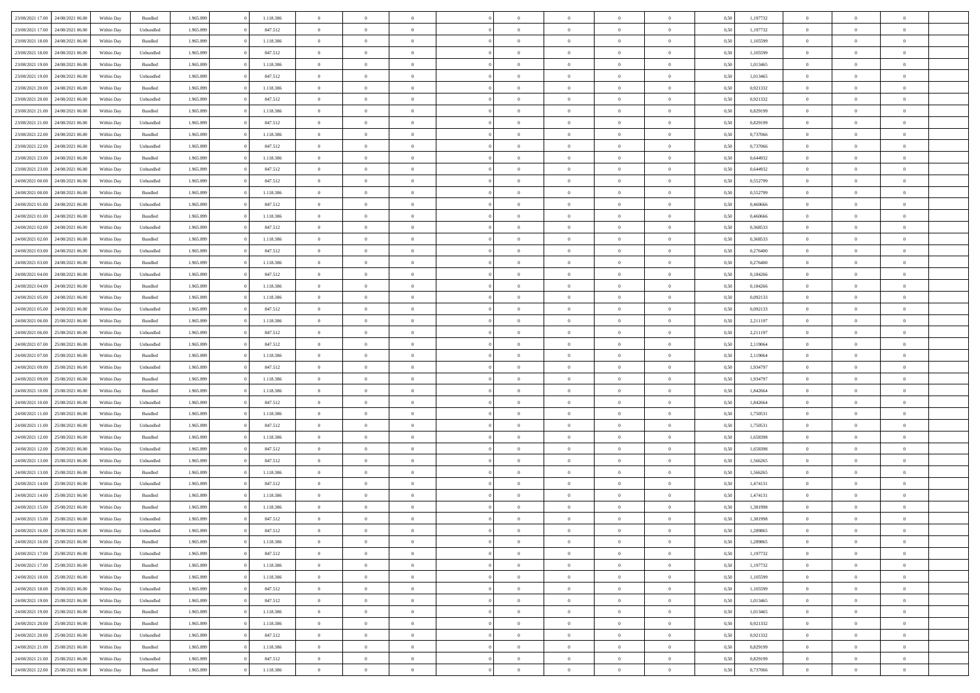| 23/08/2021 17:00 24/08/2021 06:00    | Within Day | Bundled   | 1.965.899 | 1.118.386 | $\overline{0}$ | $\overline{0}$ | $\Omega$       | $\Omega$       | $\theta$       |                | $\overline{0}$ | 0,50 | 1,197732 | $\mathbf{0}$   | $\Omega$       | $\Omega$       |  |
|--------------------------------------|------------|-----------|-----------|-----------|----------------|----------------|----------------|----------------|----------------|----------------|----------------|------|----------|----------------|----------------|----------------|--|
| 23/08/2021 17:00<br>24/08/2021 06:00 | Within Day | Unbundled | 1.965.899 | 847.512   | $\bf{0}$       | $\overline{0}$ | $\overline{0}$ | $\theta$       | $\overline{0}$ | $\overline{0}$ | $\,$ 0         | 0,50 | 1,197732 | $\mathbf{0}$   | $\theta$       | $\bf{0}$       |  |
| 23/08/2021 18:00<br>24/08/2021 06:00 | Within Day | Bundled   | 1.965.899 | 1.118.386 | $\overline{0}$ | $\overline{0}$ | $\overline{0}$ | $\bf{0}$       | $\bf{0}$       | $\overline{0}$ | $\mathbf{0}$   | 0,50 | 1,105599 | $\bf{0}$       | $\bf{0}$       | $\overline{0}$ |  |
| 23/08/2021 18:00<br>24/08/2021 06:00 | Within Day | Unbundled | 1.965.899 | 847.512   | $\overline{0}$ | $\overline{0}$ | $\overline{0}$ | $\overline{0}$ | $\overline{0}$ | $\overline{0}$ | $\overline{0}$ | 0.50 | 1.105599 | $\mathbf{0}$   | $\overline{0}$ | $\bf{0}$       |  |
| 23/08/2021 19:00<br>24/08/2021 06:00 | Within Day | Bundled   | 1.965.899 | 1.118.386 | $\bf{0}$       | $\overline{0}$ | $\overline{0}$ | $\theta$       | $\overline{0}$ | $\overline{0}$ | $\,$ 0         | 0,50 | 1,013465 | $\overline{0}$ | $\theta$       | $\bf{0}$       |  |
| 23/08/2021 19:00<br>24/08/2021 06:00 | Within Day | Unbundled | 1.965.899 | 847.512   | $\overline{0}$ | $\overline{0}$ | $\overline{0}$ | $\bf{0}$       | $\overline{0}$ | $\overline{0}$ | $\overline{0}$ | 0,50 | 1,013465 | $\overline{0}$ | $\overline{0}$ | $\overline{0}$ |  |
| 23/08/2021 20:00<br>24/08/2021 06:00 | Within Day | Bundled   | 1.965.899 | 1.118.386 | $\overline{0}$ | $\overline{0}$ | $\overline{0}$ | $\overline{0}$ | $\overline{0}$ | $\overline{0}$ | $\overline{0}$ | 0.50 | 0,921332 | $\mathbf{0}$   | $\overline{0}$ | $\overline{0}$ |  |
| 23/08/2021 20:00<br>24/08/2021 06:00 | Within Day | Unbundled | 1.965.899 | 847.512   | $\bf{0}$       | $\overline{0}$ | $\overline{0}$ | $\overline{0}$ | $\overline{0}$ | $\overline{0}$ | $\bf{0}$       | 0,50 | 0,921332 | $\theta$       | $\theta$       | $\bf{0}$       |  |
|                                      |            |           |           |           |                |                |                |                |                |                |                |      |          |                |                |                |  |
| 23/08/2021 21:00<br>24/08/2021 06:00 | Within Day | Bundled   | 1.965.899 | 1.118.386 | $\overline{0}$ | $\overline{0}$ | $\overline{0}$ | $\bf{0}$       | $\bf{0}$       | $\overline{0}$ | $\mathbf{0}$   | 0,50 | 0,829199 | $\bf{0}$       | $\bf{0}$       | $\bf{0}$       |  |
| 23/08/2021 21:00<br>24/08/2021 06:00 | Within Day | Unbundled | 1.965.899 | 847.512   | $\overline{0}$ | $\overline{0}$ | $\overline{0}$ | $\overline{0}$ | $\overline{0}$ | $\overline{0}$ | $\overline{0}$ | 0.50 | 0.829199 | $\overline{0}$ | $\theta$       | $\overline{0}$ |  |
| 23/08/2021 22:00<br>24/08/2021 06:00 | Within Day | Bundled   | 1.965.899 | 1.118.386 | $\bf{0}$       | $\overline{0}$ | $\overline{0}$ | $\overline{0}$ | $\overline{0}$ | $\overline{0}$ | $\,$ 0         | 0,50 | 0,737066 | $\overline{0}$ | $\theta$       | $\bf{0}$       |  |
| 23/08/2021 22:00<br>24/08/2021 06:00 | Within Day | Unbundled | 1.965.899 | 847.512   | $\overline{0}$ | $\overline{0}$ | $\overline{0}$ | $\bf{0}$       | $\overline{0}$ | $\overline{0}$ | $\overline{0}$ | 0,50 | 0,737066 | $\overline{0}$ | $\bf{0}$       | $\bf{0}$       |  |
| 23/08/2021 23:00<br>24/08/2021 06:00 | Within Day | Bundled   | 1.965.899 | 1.118.386 | $\overline{0}$ | $\overline{0}$ | $\overline{0}$ | $\overline{0}$ | $\overline{0}$ | $\overline{0}$ | $\overline{0}$ | 0.50 | 0.644932 | $\mathbf{0}$   | $\overline{0}$ | $\bf{0}$       |  |
| 23/08/2021 23:00<br>24/08/2021 06:00 | Within Day | Unbundled | 1.965.899 | 847.512   | $\bf{0}$       | $\overline{0}$ | $\overline{0}$ | $\theta$       | $\overline{0}$ | $\overline{0}$ | $\,$ 0         | 0,50 | 0,644932 | $\theta$       | $\theta$       | $\bf{0}$       |  |
| 24/08/2021 00:00<br>24/08/2021 06:00 | Within Day | Unbundled | 1.965.899 | 847.512   | $\overline{0}$ | $\overline{0}$ | $\overline{0}$ | $\bf{0}$       | $\overline{0}$ | $\overline{0}$ | $\overline{0}$ | 0,50 | 0,552799 | $\overline{0}$ | $\overline{0}$ | $\overline{0}$ |  |
| 24/08/2021 00:00<br>24/08/2021 06:00 | Within Day | Bundled   | 1.965.899 | 1.118.386 | $\overline{0}$ | $\overline{0}$ | $\overline{0}$ | $\overline{0}$ | $\overline{0}$ | $\overline{0}$ | $\overline{0}$ | 0.50 | 0,552799 | $\overline{0}$ | $\overline{0}$ | $\overline{0}$ |  |
| 24/08/2021 01:00<br>24/08/2021 06:00 | Within Day | Unbundled | 1.965.899 | 847.512   | $\bf{0}$       | $\overline{0}$ | $\overline{0}$ | $\overline{0}$ | $\overline{0}$ | $\overline{0}$ | $\bf{0}$       | 0,50 | 0,460666 | $\theta$       | $\theta$       | $\bf{0}$       |  |
| 24/08/2021 01:00<br>24/08/2021 06:00 | Within Day | Bundled   | 1.965.899 | 1.118.386 | $\overline{0}$ | $\overline{0}$ | $\overline{0}$ | $\bf{0}$       | $\bf{0}$       | $\overline{0}$ | $\mathbf{0}$   | 0,50 | 0,460666 | $\bf{0}$       | $\bf{0}$       | $\bf{0}$       |  |
| 24/08/2021 02:00<br>24/08/2021 06:00 | Within Day | Unbundled | 1.965.899 | 847.512   | $\overline{0}$ | $\overline{0}$ | $\overline{0}$ | $\overline{0}$ | $\overline{0}$ | $\overline{0}$ | $\overline{0}$ | 0.50 | 0,368533 | $\overline{0}$ | $\overline{0}$ | $\overline{0}$ |  |
| 24/08/2021 02:00<br>24/08/2021 06:00 | Within Day | Bundled   | 1.965.899 | 1.118.386 | $\bf{0}$       | $\overline{0}$ | $\overline{0}$ | $\overline{0}$ | $\overline{0}$ | $\overline{0}$ | $\,$ 0         | 0,50 | 0,368533 | $\theta$       | $\theta$       | $\bf{0}$       |  |
| 24/08/2021 03:00<br>24/08/2021 06:00 | Within Day | Unbundled | 1.965.899 | 847.512   | $\overline{0}$ | $\overline{0}$ | $\overline{0}$ | $\bf{0}$       | $\bf{0}$       | $\overline{0}$ | $\mathbf{0}$   | 0,50 | 0,276400 | $\bf{0}$       | $\bf{0}$       | $\bf{0}$       |  |
| 24/08/2021 03:00<br>24/08/2021 06:00 | Within Day | Bundled   | 1.965.899 | 1.118.386 | $\overline{0}$ | $\overline{0}$ | $\overline{0}$ | $\overline{0}$ | $\overline{0}$ | $\overline{0}$ | $\overline{0}$ | 0.50 | 0.276400 | $\overline{0}$ | $\overline{0}$ | $\bf{0}$       |  |
| 24/08/2021 04:00<br>24/08/2021 06:00 | Within Day | Unbundled | 1.965.899 | 847.512   | $\bf{0}$       | $\overline{0}$ | $\overline{0}$ | $\overline{0}$ | $\overline{0}$ | $\overline{0}$ | $\,$ 0         | 0,50 | 0,184266 | $\,0\,$        | $\theta$       | $\bf{0}$       |  |
| 24/08/2021 04:00<br>24/08/2021 06:00 | Within Day | Bundled   | 1.965.899 | 1.118.386 | $\overline{0}$ | $\overline{0}$ | $\overline{0}$ | $\bf{0}$       | $\overline{0}$ | $\overline{0}$ | $\overline{0}$ | 0,50 | 0,184266 | $\overline{0}$ | $\overline{0}$ | $\overline{0}$ |  |
| 24/08/2021 05:00<br>24/08/2021 06:00 | Within Day | Bundled   | 1.965.899 | 1.118.386 | $\overline{0}$ | $\overline{0}$ | $\overline{0}$ | $\overline{0}$ | $\overline{0}$ | $\overline{0}$ | $\overline{0}$ | 0.50 | 0,092133 | $\overline{0}$ | $\overline{0}$ | $\overline{0}$ |  |
|                                      |            |           |           |           |                |                |                |                |                |                |                |      |          |                |                |                |  |
| 24/08/2021 05:00<br>24/08/2021 06:00 | Within Day | Unbundled | 1.965.899 | 847.512   | $\bf{0}$       | $\overline{0}$ | $\bf{0}$       | $\overline{0}$ | $\overline{0}$ | $\overline{0}$ | $\bf{0}$       | 0,50 | 0,092133 | $\theta$       | $\theta$       | $\bf{0}$       |  |
| 24/08/2021 06:00<br>25/08/2021 06:00 | Within Day | Bundled   | 1.965.899 | 1.118.386 | $\overline{0}$ | $\overline{0}$ | $\overline{0}$ | $\bf{0}$       | $\bf{0}$       | $\overline{0}$ | $\mathbf{0}$   | 0,50 | 2,211197 | $\bf{0}$       | $\bf{0}$       | $\bf{0}$       |  |
| 24/08/2021 06:00<br>25/08/2021 06:00 | Within Day | Unbundled | 1.965.899 | 847.512   | $\overline{0}$ | $\overline{0}$ | $\overline{0}$ | $\overline{0}$ | $\overline{0}$ | $\overline{0}$ | $\overline{0}$ | 0.50 | 2,211197 | $\overline{0}$ | $\overline{0}$ | $\overline{0}$ |  |
| 24/08/2021 07:00<br>25/08/2021 06:00 | Within Day | Unbundled | 1.965.899 | 847.512   | $\bf{0}$       | $\overline{0}$ | $\bf{0}$       | $\overline{0}$ | $\overline{0}$ | $\overline{0}$ | $\,$ 0         | 0,50 | 2,119064 | $\bf{0}$       | $\theta$       | $\bf{0}$       |  |
| 24/08/2021 07:00<br>25/08/2021 06:00 | Within Day | Bundled   | 1.965.899 | 1.118.386 | $\overline{0}$ | $\overline{0}$ | $\overline{0}$ | $\bf{0}$       | $\overline{0}$ | $\overline{0}$ | $\mathbf{0}$   | 0,50 | 2,119064 | $\overline{0}$ | $\bf{0}$       | $\bf{0}$       |  |
| 24/08/2021 09:00<br>25/08/2021 06:00 | Within Day | Unbundled | 1.965.899 | 847.512   | $\overline{0}$ | $\overline{0}$ | $\overline{0}$ | $\overline{0}$ | $\overline{0}$ | $\Omega$       | $\overline{0}$ | 0,50 | 1,934797 | $\bf{0}$       | $\theta$       | $\Omega$       |  |
| 24/08/2021 09:00<br>25/08/2021 06:00 | Within Day | Bundled   | 1.965.899 | 1.118.386 | $\bf{0}$       | $\overline{0}$ | $\overline{0}$ | $\overline{0}$ | $\overline{0}$ | $\overline{0}$ | $\,$ 0         | 0,50 | 1,934797 | $\overline{0}$ | $\theta$       | $\bf{0}$       |  |
| 24/08/2021 10:00<br>25/08/2021 06:00 | Within Day | Bundled   | 1.965.899 | 1.118.386 | $\overline{0}$ | $\overline{0}$ | $\overline{0}$ | $\bf{0}$       | $\overline{0}$ | $\overline{0}$ | $\overline{0}$ | 0,50 | 1,842664 | $\overline{0}$ | $\overline{0}$ | $\overline{0}$ |  |
| 24/08/2021 10:00<br>25/08/2021 06:00 | Within Day | Unbundled | 1.965.899 | 847.512   | $\overline{0}$ | $\overline{0}$ | $\overline{0}$ | $\overline{0}$ | $\overline{0}$ | $\Omega$       | $\overline{0}$ | 0.50 | 1,842664 | $\overline{0}$ | $\overline{0}$ | $\theta$       |  |
| 24/08/2021 11:00<br>25/08/2021 06:00 | Within Day | Bundled   | 1.965.899 | 1.118.386 | $\bf{0}$       | $\overline{0}$ | $\overline{0}$ | $\overline{0}$ | $\overline{0}$ | $\overline{0}$ | $\bf{0}$       | 0,50 | 1,750531 | $\bf{0}$       | $\theta$       | $\bf{0}$       |  |
| 24/08/2021 11:00<br>25/08/2021 06:00 | Within Day | Unbundled | 1.965.899 | 847.512   | $\overline{0}$ | $\overline{0}$ | $\overline{0}$ | $\bf{0}$       | $\bf{0}$       | $\overline{0}$ | $\mathbf{0}$   | 0,50 | 1,750531 | $\bf{0}$       | $\bf{0}$       | $\bf{0}$       |  |
| 24/08/2021 12:00<br>25/08/2021 06:00 | Within Day | Bundled   | 1.965.899 | 1.118.386 | $\overline{0}$ | $\overline{0}$ | $\overline{0}$ | $\overline{0}$ | $\overline{0}$ | $\Omega$       | $\theta$       | 0.50 | 1,658398 | $\overline{0}$ | $\overline{0}$ | $\theta$       |  |
| 24/08/2021 12:00<br>25/08/2021 06:00 | Within Day | Unbundled | 1.965.899 | 847.512   | $\bf{0}$       | $\overline{0}$ | $\overline{0}$ | $\overline{0}$ | $\overline{0}$ | $\overline{0}$ | $\,$ 0         | 0,50 | 1,658398 | $\,$ 0 $\,$    | $\theta$       | $\bf{0}$       |  |
| 24/08/2021 13:00<br>25/08/2021 06:00 | Within Day | Unbundled | 1.965.899 | 847.512   | $\overline{0}$ | $\overline{0}$ | $\overline{0}$ | $\bf{0}$       | $\bf{0}$       | $\overline{0}$ | $\overline{0}$ | 0,50 | 1,566265 | $\overline{0}$ | $\bf{0}$       | $\bf{0}$       |  |
| 24/08/2021 13:00<br>25/08/2021 06:00 | Within Day | Bundled   | 1.965.899 | 1.118.386 | $\overline{0}$ | $\overline{0}$ | $\overline{0}$ | $\overline{0}$ | $\bf{0}$       | $\Omega$       | $\overline{0}$ | 0,50 | 1,566265 | $\overline{0}$ | $\overline{0}$ | $\Omega$       |  |
| 24/08/2021 14:00<br>25/08/2021 06:00 | Within Day | Unbundled | 1.965.899 | 847.512   | $\bf{0}$       | $\overline{0}$ | $\overline{0}$ | $\overline{0}$ | $\bf{0}$       | $\overline{0}$ | $\,$ 0 $\,$    | 0,50 | 1,474131 | $\,$ 0 $\,$    | $\theta$       | $\bf{0}$       |  |
| 24/08/2021 14:00<br>25/08/2021 06:00 | Within Day | Bundled   | 1.965.899 | 1.118.386 | $\overline{0}$ | $\overline{0}$ | $\overline{0}$ | $\bf{0}$       | $\overline{0}$ | $\overline{0}$ | $\overline{0}$ | 0,50 | 1,474131 | $\bf{0}$       | $\overline{0}$ | $\overline{0}$ |  |
| 24/08/2021 15:00<br>25/08/2021 06:00 | Within Day | Bundled   | 1.965.899 | 1.118.386 | $\overline{0}$ | $\overline{0}$ | $\overline{0}$ | $\overline{0}$ | $\bf{0}$       | $\Omega$       | $\overline{0}$ | 0.50 | 1.381998 | $\overline{0}$ | $\theta$       | $\Omega$       |  |
| 24/08/2021 15:00<br>25/08/2021 06:00 | Within Day | Unbundled | 1.965.899 | 847.512   | $\overline{0}$ | $\overline{0}$ | $\overline{0}$ | $\bf{0}$       | $\bf{0}$       | $\overline{0}$ | $\,$ 0 $\,$    | 0,50 | 1,381998 | $\bf{0}$       | $\bf{0}$       | $\bf{0}$       |  |
| 24/08/2021 16:00 25/08/2021 06:00    | Within Day | Unbundled | 1.965.899 | 847.512   | $\bf{0}$       | $\bf{0}$       |                | $\bf{0}$       |                |                | $\bf{0}$       | 0,50 | 1,289865 | $\bf{0}$       | $\bf{0}$       |                |  |
| 24/08/2021 16:00 25/08/2021 06:00    | Within Day | Bundled   | 1.965.899 | 1.118.386 | $\overline{0}$ | $\overline{0}$ | $\theta$       | $\overline{0}$ | $\overline{0}$ | $\overline{0}$ | $\mathbf{0}$   | 0,50 | 1,289865 | $\overline{0}$ | $\theta$       | $\theta$       |  |
| 24/08/2021 17:00<br>25/08/2021 06:00 | Within Day | Unbundled | 1.965.899 | 847.512   | $\overline{0}$ | $\overline{0}$ | $\overline{0}$ | $\bf{0}$       | $\overline{0}$ | $\overline{0}$ | $\mathbf{0}$   | 0,50 | 1,197732 | $\,$ 0 $\,$    | $\overline{0}$ | $\,$ 0 $\,$    |  |
| 24/08/2021 17:00 25/08/2021 06:00    | Within Day | Bundled   | 1.965.899 | 1.118.386 | $\overline{0}$ | $\overline{0}$ | $\overline{0}$ | $\bf{0}$       | $\overline{0}$ | $\overline{0}$ | $\overline{0}$ | 0,50 | 1,197732 | $\overline{0}$ | $\overline{0}$ | $\overline{0}$ |  |
| 25/08/2021 06:00<br>24/08/2021 18:00 | Within Day | Bundled   | 1.965.899 | 1.118.386 | $\overline{0}$ | $\overline{0}$ | $\overline{0}$ | $\overline{0}$ | $\bf{0}$       | $\overline{0}$ | $\overline{0}$ | 0,50 | 1,105599 | $\overline{0}$ | $\overline{0}$ | $\overline{0}$ |  |
| 24/08/2021 18:00<br>25/08/2021 06:00 | Within Day | Unbundled | 1.965.899 | 847.512   | $\overline{0}$ | $\overline{0}$ | $\overline{0}$ | $\overline{0}$ | $\overline{0}$ | $\overline{0}$ | $\mathbf{0}$   | 0,50 | 1,105599 | $\,$ 0 $\,$    | $\theta$       | $\bf{0}$       |  |
| 24/08/2021 19:00 25/08/2021 06:00    |            |           |           |           |                |                |                |                |                |                |                |      |          |                | $\overline{0}$ |                |  |
|                                      | Within Day | Unbundled | 1.965.899 | 847.512   | $\overline{0}$ | $\overline{0}$ | $\overline{0}$ | $\overline{0}$ | $\overline{0}$ | $\overline{0}$ | $\overline{0}$ | 0,50 | 1,013465 | $\overline{0}$ |                | $\overline{0}$ |  |
| 24/08/2021 19:00 25/08/2021 06:00    | Within Day | Bundled   | 1.965.899 | 1.118.386 | $\overline{0}$ | $\overline{0}$ | $\overline{0}$ | $\overline{0}$ | $\overline{0}$ | $\overline{0}$ | $\mathbf{0}$   | 0.50 | 1,013465 | $\overline{0}$ | $\overline{0}$ | $\overline{0}$ |  |
| 24/08/2021 20:00<br>25/08/2021 06:00 | Within Day | Bundled   | 1.965.899 | 1.118.386 | $\overline{0}$ | $\overline{0}$ | $\overline{0}$ | $\bf{0}$       | $\bf{0}$       | $\overline{0}$ | $\,$ 0 $\,$    | 0,50 | 0,921332 | $\,$ 0 $\,$    | $\theta$       | $\,$ 0         |  |
| 24/08/2021 20:00 25/08/2021 06:00    | Within Day | Unbundled | 1.965.899 | 847.512   | $\overline{0}$ | $\overline{0}$ | $\overline{0}$ | $\bf{0}$       | $\overline{0}$ | $\overline{0}$ | $\overline{0}$ | 0,50 | 0,921332 | $\bf{0}$       | $\bf{0}$       | $\overline{0}$ |  |
| 24/08/2021 21:00 25/08/2021 06:00    | Within Day | Bundled   | 1.965.899 | 1.118.386 | $\overline{0}$ | $\overline{0}$ | $\overline{0}$ | $\overline{0}$ | $\overline{0}$ | $\overline{0}$ | $\overline{0}$ | 0,50 | 0,829199 | $\overline{0}$ | $\overline{0}$ | $\overline{0}$ |  |
| 24/08/2021 21:00<br>25/08/2021 06:00 | Within Day | Unbundled | 1.965.899 | 847.512   | $\overline{0}$ | $\overline{0}$ | $\overline{0}$ | $\bf{0}$       | $\bf{0}$       | $\overline{0}$ | $\,$ 0 $\,$    | 0,50 | 0,829199 | $\,$ 0 $\,$    | $\,0\,$        | $\,$ 0         |  |
| 24/08/2021 22:00 25/08/2021 06:00    | Within Day | Bundled   | 1.965.899 | 1.118.386 | $\overline{0}$ | $\overline{0}$ | $\overline{0}$ | $\bf{0}$       | $\overline{0}$ | $\overline{0}$ | $\overline{0}$ | 0,50 | 0,737066 | $\bf{0}$       | $\bf{0}$       | $\overline{0}$ |  |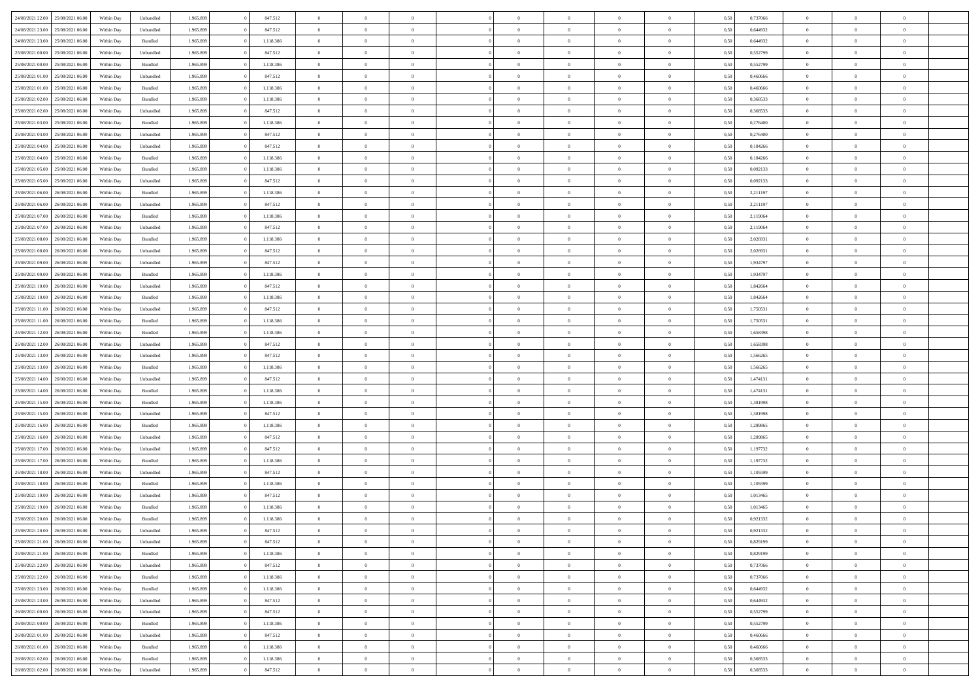| 24/08/2021 22:00 | 25/08/2021 06:00                  | Within Day | Unbundled | 1.965.899 | 847.512   | $\overline{0}$ | $\Omega$       |                | $\Omega$       | $\Omega$       | $\theta$       | $\theta$       | 0,50 | 0,737066 | $\theta$       | $\theta$       | $\theta$       |  |
|------------------|-----------------------------------|------------|-----------|-----------|-----------|----------------|----------------|----------------|----------------|----------------|----------------|----------------|------|----------|----------------|----------------|----------------|--|
| 24/08/2021 23:00 | 25/08/2021 06:00                  | Within Day | Unbundled | 1.965.899 | 847.512   | $\overline{0}$ | $\theta$       | $\overline{0}$ | $\overline{0}$ | $\bf{0}$       | $\overline{0}$ | $\bf{0}$       | 0,50 | 0,644932 | $\theta$       | $\overline{0}$ | $\overline{0}$ |  |
| 24/08/2021 23:00 | 25/08/2021 06:00                  | Within Day | Bundled   | 1.965.899 | 1.118.386 | $\overline{0}$ | $\overline{0}$ | $\overline{0}$ | $\bf{0}$       | $\bf{0}$       | $\bf{0}$       | $\mathbf{0}$   | 0,50 | 0,644932 | $\overline{0}$ | $\overline{0}$ | $\bf{0}$       |  |
| 25/08/2021 00:00 | 25/08/2021 06:00                  | Within Day | Unbundled | 1.965.899 | 847.512   | $\overline{0}$ | $\overline{0}$ | $\overline{0}$ | $\overline{0}$ | $\bf{0}$       | $\overline{0}$ | $\overline{0}$ | 0.50 | 0,552799 | $\theta$       | $\theta$       | $\overline{0}$ |  |
| 25/08/2021 00:00 | 25/08/2021 06:00                  | Within Day | Bundled   | 1.965.899 | 1.118.386 | $\overline{0}$ | $\theta$       | $\overline{0}$ | $\overline{0}$ | $\bf{0}$       | $\overline{0}$ | $\bf{0}$       | 0,50 | 0,552799 | $\,$ 0 $\,$    | $\overline{0}$ | $\overline{0}$ |  |
|                  |                                   |            |           |           |           |                |                |                |                |                |                |                |      |          |                |                |                |  |
| 25/08/2021 01:00 | 25/08/2021 06:00                  | Within Day | Unbundled | 1.965.899 | 847.512   | $\overline{0}$ | $\overline{0}$ | $\overline{0}$ | $\bf{0}$       | $\overline{0}$ | $\overline{0}$ | $\mathbf{0}$   | 0,50 | 0,460666 | $\overline{0}$ | $\overline{0}$ | $\bf{0}$       |  |
| 25/08/2021 01:00 | 25/08/2021 06:00                  | Within Dav | Bundled   | 1.965.899 | 1.118.386 | $\overline{0}$ | $\overline{0}$ | $\overline{0}$ | $\overline{0}$ | $\overline{0}$ | $\overline{0}$ | $\overline{0}$ | 0.50 | 0,460666 | $\theta$       | $\overline{0}$ | $\overline{0}$ |  |
| 25/08/2021 02:00 | 25/08/2021 06:00                  | Within Day | Bundled   | 1.965.899 | 1.118.386 | $\overline{0}$ | $\theta$       | $\overline{0}$ | $\overline{0}$ | $\bf{0}$       | $\overline{0}$ | $\bf{0}$       | 0,50 | 0,368533 | $\theta$       | $\theta$       | $\overline{0}$ |  |
| 25/08/2021 02:00 | 25/08/2021 06:00                  | Within Day | Unbundled | 1.965.899 | 847.512   | $\overline{0}$ | $\overline{0}$ | $\overline{0}$ | $\bf{0}$       | $\bf{0}$       | $\bf{0}$       | $\mathbf{0}$   | 0,50 | 0,368533 | $\,0\,$        | $\overline{0}$ | $\overline{0}$ |  |
| 25/08/2021 03:00 | 25/08/2021 06:00                  | Within Dav | Bundled   | 1.965.899 | 1.118.386 | $\overline{0}$ | $\overline{0}$ | $\overline{0}$ | $\overline{0}$ | $\overline{0}$ | $\overline{0}$ | $\overline{0}$ | 0.50 | 0,276400 | $\theta$       | $\overline{0}$ | $\overline{0}$ |  |
| 25/08/2021 03:00 | 25/08/2021 06:00                  | Within Day | Unbundled | 1.965.899 | 847.512   | $\overline{0}$ | $\theta$       | $\overline{0}$ | $\overline{0}$ | $\bf{0}$       | $\overline{0}$ | $\bf{0}$       | 0,50 | 0,276400 | $\,$ 0 $\,$    | $\overline{0}$ | $\overline{0}$ |  |
| 25/08/2021 04:00 | 25/08/2021 06:00                  | Within Day | Unbundled | 1.965.899 | 847.512   | $\overline{0}$ | $\overline{0}$ | $\overline{0}$ | $\overline{0}$ | $\bf{0}$       | $\overline{0}$ | $\mathbf{0}$   | 0,50 | 0,184266 | $\bf{0}$       | $\overline{0}$ | $\bf{0}$       |  |
|                  |                                   |            |           |           |           |                |                |                |                |                |                |                |      |          | $\theta$       |                |                |  |
| 25/08/2021 04:00 | 25/08/2021 06:00                  | Within Day | Bundled   | 1.965.899 | 1.118.386 | $\overline{0}$ | $\overline{0}$ | $\overline{0}$ | $\overline{0}$ | $\bf{0}$       | $\overline{0}$ | $\overline{0}$ | 0.50 | 0.184266 |                | $\theta$       | $\overline{0}$ |  |
| 25/08/2021 05:00 | 25/08/2021 06:00                  | Within Day | Bundled   | 1.965.899 | 1.118.386 | $\overline{0}$ | $\theta$       | $\overline{0}$ | $\overline{0}$ | $\bf{0}$       | $\overline{0}$ | $\bf{0}$       | 0,50 | 0,092133 | $\theta$       | $\overline{0}$ | $\overline{0}$ |  |
| 25/08/2021 05:00 | 25/08/2021 06:00                  | Within Day | Unbundled | 1.965.899 | 847.512   | $\overline{0}$ | $\overline{0}$ | $\overline{0}$ | $\overline{0}$ | $\overline{0}$ | $\overline{0}$ | $\mathbf{0}$   | 0,50 | 0,092133 | $\bf{0}$       | $\overline{0}$ | $\bf{0}$       |  |
| 25/08/2021 06:00 | 26/08/2021 06:00                  | Within Dav | Bundled   | 1.965.899 | 1.118.386 | $\overline{0}$ | $\overline{0}$ | $\overline{0}$ | $\overline{0}$ | $\overline{0}$ | $\overline{0}$ | $\overline{0}$ | 0.50 | 2,211197 | $\overline{0}$ | $\overline{0}$ | $\overline{0}$ |  |
| 25/08/2021 06:00 | 26/08/2021 06:00                  | Within Day | Unbundled | 1.965.899 | 847.512   | $\overline{0}$ | $\theta$       | $\overline{0}$ | $\overline{0}$ | $\bf{0}$       | $\overline{0}$ | $\bf{0}$       | 0,50 | 2,211197 | $\,$ 0 $\,$    | $\overline{0}$ | $\overline{0}$ |  |
| 25/08/2021 07:00 | 26/08/2021 06:00                  | Within Day | Bundled   | 1.965.899 | 1.118.386 | $\overline{0}$ | $\overline{0}$ | $\overline{0}$ | $\overline{0}$ | $\bf{0}$       | $\overline{0}$ | $\mathbf{0}$   | 0,50 | 2,119064 | $\bf{0}$       | $\overline{0}$ | $\bf{0}$       |  |
| 25/08/2021 07:00 | 26/08/2021 06:00                  | Within Day | Unbundled | 1.965.899 | 847.512   | $\overline{0}$ | $\overline{0}$ | $\overline{0}$ | $\overline{0}$ | $\overline{0}$ | $\overline{0}$ | $\overline{0}$ | 0.50 | 2,119064 | $\theta$       | $\overline{0}$ | $\overline{0}$ |  |
| 25/08/2021 08:00 | 26/08/2021 06:00                  |            | Bundled   | 1.965.899 | 1.118.386 | $\overline{0}$ | $\theta$       | $\overline{0}$ | $\overline{0}$ | $\bf{0}$       | $\overline{0}$ |                |      | 2,026931 | $\,$ 0 $\,$    | $\overline{0}$ | $\overline{0}$ |  |
|                  |                                   | Within Day |           |           |           |                |                |                |                |                |                | $\bf{0}$       | 0,50 |          |                |                |                |  |
| 25/08/2021 08:00 | 26/08/2021 06:00                  | Within Day | Unbundled | 1.965.899 | 847.512   | $\overline{0}$ | $\overline{0}$ | $\overline{0}$ | $\overline{0}$ | $\bf{0}$       | $\overline{0}$ | $\mathbf{0}$   | 0,50 | 2,026931 | $\bf{0}$       | $\overline{0}$ | $\bf{0}$       |  |
| 25/08/2021 09:00 | 26/08/2021 06:00                  | Within Day | Unbundled | 1.965.899 | 847.512   | $\overline{0}$ | $\overline{0}$ | $\overline{0}$ | $\overline{0}$ | $\overline{0}$ | $\overline{0}$ | $\overline{0}$ | 0.50 | 1,934797 | $\theta$       | $\overline{0}$ | $\overline{0}$ |  |
| 25/08/2021 09:00 | 26/08/2021 06:00                  | Within Day | Bundled   | 1.965.899 | 1.118.386 | $\overline{0}$ | $\theta$       | $\overline{0}$ | $\overline{0}$ | $\bf{0}$       | $\overline{0}$ | $\bf{0}$       | 0,50 | 1,934797 | $\,$ 0 $\,$    | $\overline{0}$ | $\overline{0}$ |  |
| 25/08/2021 10:00 | 26/08/2021 06:00                  | Within Day | Unbundled | 1.965.899 | 847.512   | $\overline{0}$ | $\overline{0}$ | $\overline{0}$ | $\overline{0}$ | $\overline{0}$ | $\overline{0}$ | $\mathbf{0}$   | 0,50 | 1,842664 | $\bf{0}$       | $\overline{0}$ | $\bf{0}$       |  |
| 25/08/2021 10:00 | 26/08/2021 06:00                  | Within Dav | Bundled   | 1.965.899 | 1.118.386 | $\overline{0}$ | $\overline{0}$ | $\overline{0}$ | $\overline{0}$ | $\overline{0}$ | $\overline{0}$ | $\overline{0}$ | 0.50 | 1,842664 | $\theta$       | $\overline{0}$ | $\overline{0}$ |  |
| 25/08/2021 11:00 | 26/08/2021 06:00                  | Within Day | Unbundled | 1.965.899 | 847.512   | $\overline{0}$ | $\theta$       | $\overline{0}$ | $\overline{0}$ | $\bf{0}$       | $\overline{0}$ | $\bf{0}$       | 0,50 | 1,750531 | $\theta$       | $\theta$       | $\overline{0}$ |  |
| 25/08/2021 11:00 | 26/08/2021 06:00                  | Within Day | Bundled   | 1.965.899 | 1.118.386 | $\overline{0}$ | $\overline{0}$ | $\overline{0}$ | $\overline{0}$ | $\bf{0}$       | $\overline{0}$ | $\mathbf{0}$   | 0,50 | 1,750531 | $\,0\,$        | $\overline{0}$ | $\overline{0}$ |  |
|                  | 26/08/2021 06:00                  |            | Bundled   | 1.965.899 | 1.118.386 | $\overline{0}$ | $\overline{0}$ | $\overline{0}$ | $\overline{0}$ | $\overline{0}$ | $\overline{0}$ | $\overline{0}$ | 0.50 | 1,658398 | $\theta$       | $\overline{0}$ | $\overline{0}$ |  |
| 25/08/2021 12:00 |                                   | Within Day |           |           |           |                |                |                |                |                |                |                |      |          |                |                |                |  |
| 25/08/2021 12:00 | 26/08/2021 06:00                  | Within Day | Unbundled | 1.965.899 | 847.512   | $\overline{0}$ | $\theta$       | $\overline{0}$ | $\overline{0}$ | $\bf{0}$       | $\overline{0}$ | $\bf{0}$       | 0,50 | 1,658398 | $\,$ 0 $\,$    | $\overline{0}$ | $\overline{0}$ |  |
| 25/08/2021 13:00 | 26/08/2021 06:00                  | Within Day | Unbundled | 1.965.899 | 847.512   | $\overline{0}$ | $\overline{0}$ | $\overline{0}$ | $\bf{0}$       | $\bf{0}$       | $\bf{0}$       | $\mathbf{0}$   | 0,50 | 1,566265 | $\overline{0}$ | $\overline{0}$ | $\bf{0}$       |  |
| 25/08/2021 13:00 | 26/08/2021 06:00                  | Within Day | Bundled   | 1.965.899 | 1.118.386 | $\overline{0}$ | $\Omega$       | $\overline{0}$ | $\Omega$       | $\Omega$       | $\overline{0}$ | $\overline{0}$ | 0,50 | 1,566265 | $\,0\,$        | $\theta$       | $\theta$       |  |
| 25/08/2021 14:00 | 26/08/2021 06:00                  | Within Day | Unbundled | 1.965.899 | 847.512   | $\overline{0}$ | $\theta$       | $\overline{0}$ | $\overline{0}$ | $\bf{0}$       | $\overline{0}$ | $\bf{0}$       | 0,50 | 1,474131 | $\,$ 0 $\,$    | $\overline{0}$ | $\overline{0}$ |  |
| 25/08/2021 14:00 | 26/08/2021 06:00                  | Within Day | Bundled   | 1.965.899 | 1.118.386 | $\overline{0}$ | $\overline{0}$ | $\overline{0}$ | $\bf{0}$       | $\overline{0}$ | $\overline{0}$ | $\mathbf{0}$   | 0,50 | 1,474131 | $\overline{0}$ | $\overline{0}$ | $\bf{0}$       |  |
| 25/08/2021 15:00 | 26/08/2021 06:00                  | Within Day | Bundled   | 1.965.899 | 1.118.386 | $\overline{0}$ | $\Omega$       | $\overline{0}$ | $\Omega$       | $\overline{0}$ | $\overline{0}$ | $\overline{0}$ | 0.50 | 1,381998 | $\,0\,$        | $\theta$       | $\theta$       |  |
| 25/08/2021 15:00 | 26/08/2021 06:00                  | Within Day | Unbundled | 1.965.899 | 847.512   | $\overline{0}$ | $\theta$       | $\overline{0}$ | $\overline{0}$ | $\bf{0}$       | $\overline{0}$ | $\bf{0}$       | 0,50 | 1,381998 | $\,$ 0 $\,$    | $\overline{0}$ | $\overline{0}$ |  |
|                  |                                   |            |           |           |           |                | $\overline{0}$ |                |                | $\bf{0}$       |                |                |      |          | $\bf{0}$       | $\overline{0}$ | $\bf{0}$       |  |
| 25/08/2021 16:00 | 26/08/2021 06:00                  | Within Day | Bundled   | 1.965.899 | 1.118.386 | $\overline{0}$ |                | $\overline{0}$ | $\bf{0}$       |                | $\bf{0}$       | $\mathbf{0}$   | 0,50 | 1,289865 |                |                |                |  |
| 25/08/2021 16:00 | 26/08/2021 06:00                  | Within Day | Unbundled | 1.965.899 | 847.512   | $\overline{0}$ | $\Omega$       | $\overline{0}$ | $\Omega$       | $\overline{0}$ | $\overline{0}$ | $\overline{0}$ | 0.50 | 1,289865 | $\,$ 0 $\,$    | $\theta$       | $\theta$       |  |
| 25/08/2021 17:00 | 26/08/2021 06:00                  | Within Day | Unbundled | 1.965.899 | 847.512   | $\overline{0}$ | $\overline{0}$ | $\overline{0}$ | $\overline{0}$ | $\,$ 0         | $\overline{0}$ | $\bf{0}$       | 0,50 | 1,197732 | $\,$ 0 $\,$    | $\overline{0}$ | $\overline{0}$ |  |
| 25/08/2021 17:00 | 26/08/2021 06:00                  | Within Day | Bundled   | 1.965.899 | 1.118.386 | $\overline{0}$ | $\overline{0}$ | $\overline{0}$ | $\bf{0}$       | $\bf{0}$       | $\bf{0}$       | $\mathbf{0}$   | 0,50 | 1,197732 | $\overline{0}$ | $\overline{0}$ | $\bf{0}$       |  |
| 25/08/2021 18:00 | 26/08/2021 06:00                  | Within Day | Unbundled | 1.965.899 | 847.512   | $\overline{0}$ | $\Omega$       | $\overline{0}$ | $\Omega$       | $\overline{0}$ | $\overline{0}$ | $\overline{0}$ | 0,50 | 1,105599 | $\,0\,$        | $\theta$       | $\theta$       |  |
| 25/08/2021 18:00 | 26/08/2021 06:00                  | Within Day | Bundled   | 1.965.899 | 1.118.386 | $\overline{0}$ | $\overline{0}$ | $\overline{0}$ | $\overline{0}$ | $\,$ 0         | $\overline{0}$ | $\bf{0}$       | 0,50 | 1,105599 | $\,$ 0 $\,$    | $\overline{0}$ | $\overline{0}$ |  |
| 25/08/2021 19:00 | 26/08/2021 06:00                  | Within Day | Unbundled | 1.965.899 | 847.512   | $\overline{0}$ | $\overline{0}$ | $\overline{0}$ | $\bf{0}$       | $\bf{0}$       | $\overline{0}$ | $\mathbf{0}$   | 0,50 | 1,013465 | $\overline{0}$ | $\overline{0}$ | $\bf{0}$       |  |
| 25/08/2021 19:00 | 26/08/2021 06:00                  | Within Day | Bundled   | 1.965.899 | 1.118.386 | $\overline{0}$ | $\Omega$       | $\Omega$       | $\Omega$       | $\Omega$       | $\Omega$       | $\overline{0}$ | 0.50 | 1,013465 | $\theta$       | $\theta$       | $\theta$       |  |
| 25/08/2021 20:00 | 26/08/2021 06:00                  | Within Day | Bundled   | 1.965.899 | 1.118.386 | $\overline{0}$ | $\overline{0}$ | $\overline{0}$ | $\bf{0}$       | $\,$ 0         | $\bf{0}$       | $\bf{0}$       | 0,50 | 0,921332 | $\,0\,$        | $\,0\,$        | $\overline{0}$ |  |
| 25/08/2021 20:00 |                                   |            |           |           |           |                |                |                |                |                |                |                |      |          |                |                |                |  |
|                  | 26/08/2021 06:00                  | Within Day | Unbundled | 1.965.899 | 847.512   | $\overline{0}$ | $\bf{0}$       |                |                | $\bf{0}$       |                |                | 0,50 | 0,921332 | $\bf{0}$       | $\overline{0}$ |                |  |
| 25/08/2021 21:00 | 26/08/2021 06:00                  | Within Day | Unbundled | 1.965.899 | 847.512   | $\overline{0}$ | $\overline{0}$ | $\overline{0}$ | $\Omega$       | $\overline{0}$ | $\overline{0}$ | $\overline{0}$ | 0.50 | 0,829199 | $\theta$       | $\theta$       | $\theta$       |  |
| 25/08/2021 21:00 | 26/08/2021 06:00                  | Within Day | Bundled   | 1.965.899 | 1.118.386 | $\overline{0}$ | $\bf{0}$       | $\overline{0}$ | $\bf{0}$       | $\,$ 0 $\,$    | $\overline{0}$ | $\mathbf{0}$   | 0,50 | 0,829199 | $\,$ 0 $\,$    | $\,$ 0 $\,$    | $\,$ 0         |  |
| 25/08/2021 22.00 | 26/08/2021 06:00                  | Within Day | Unbundled | 1.965.899 | 847.512   | $\overline{0}$ | $\overline{0}$ | $\overline{0}$ | $\overline{0}$ | $\overline{0}$ | $\overline{0}$ | $\mathbf{0}$   | 0,50 | 0,737066 | $\overline{0}$ | $\bf{0}$       | $\bf{0}$       |  |
| 25/08/2021 22:00 | 26/08/2021 06:00                  | Within Day | Bundled   | 1.965.899 | 1.118.386 | $\overline{0}$ | $\overline{0}$ | $\overline{0}$ | $\Omega$       | $\overline{0}$ | $\overline{0}$ | $\overline{0}$ | 0,50 | 0,737066 | $\overline{0}$ | $\theta$       | $\overline{0}$ |  |
| 25/08/2021 23:00 | 26/08/2021 06:00                  | Within Day | Bundled   | 1.965.899 | 1.118.386 | $\overline{0}$ | $\,$ 0         | $\overline{0}$ | $\overline{0}$ | $\,$ 0 $\,$    | $\overline{0}$ | $\mathbf{0}$   | 0,50 | 0,644932 | $\,$ 0 $\,$    | $\overline{0}$ | $\overline{0}$ |  |
| 25/08/2021 23:00 | 26/08/2021 06:00                  | Within Day | Unbundled | 1.965.899 | 847.512   | $\overline{0}$ | $\overline{0}$ | $\overline{0}$ | $\overline{0}$ | $\overline{0}$ | $\overline{0}$ | $\mathbf{0}$   | 0,50 | 0,644932 | $\overline{0}$ | $\overline{0}$ | $\bf{0}$       |  |
|                  | 26/08/2021 06:00                  |            |           |           |           |                | $\overline{0}$ | $\overline{0}$ | $\Omega$       | $\overline{0}$ | $\overline{0}$ |                | 0.50 |          |                | $\theta$       | $\overline{0}$ |  |
| 26/08/2021 00:00 |                                   | Within Day | Unbundled | 1.965.899 | 847.512   | $\overline{0}$ |                |                |                |                |                | $\bf{0}$       |      | 0,552799 | $\overline{0}$ |                |                |  |
| 26/08/2021 00:00 | 26/08/2021 06:00                  | Within Day | Bundled   | 1.965.899 | 1.118.386 | $\overline{0}$ | $\,$ 0         | $\overline{0}$ | $\overline{0}$ | $\bf{0}$       | $\overline{0}$ | $\bf{0}$       | 0,50 | 0,552799 | $\,$ 0 $\,$    | $\overline{0}$ | $\overline{0}$ |  |
| 26/08/2021 01:00 | 26/08/2021 06:00                  | Within Day | Unbundled | 1.965.899 | 847.512   | $\overline{0}$ | $\bf{0}$       | $\overline{0}$ | $\overline{0}$ | $\overline{0}$ | $\overline{0}$ | $\mathbf{0}$   | 0,50 | 0,460666 | $\overline{0}$ | $\overline{0}$ | $\bf{0}$       |  |
| 26/08/2021 01:00 | 26/08/2021 06:00                  | Within Day | Bundled   | 1.965.899 | 1.118.386 | $\overline{0}$ | $\overline{0}$ | $\overline{0}$ | $\Omega$       | $\overline{0}$ | $\overline{0}$ | $\overline{0}$ | 0.50 | 0.460666 | $\overline{0}$ | $\overline{0}$ | $\overline{0}$ |  |
| 26/08/2021 02:00 | 26/08/2021 06:00                  | Within Day | Bundled   | 1.965.899 | 1.118.386 | $\overline{0}$ | $\bf{0}$       | $\overline{0}$ | $\overline{0}$ | $\bf{0}$       | $\overline{0}$ | $\mathbf{0}$   | 0,50 | 0,368533 | $\,$ 0 $\,$    | $\,$ 0 $\,$    | $\bf{0}$       |  |
|                  | 26/08/2021 02:00 26/08/2021 06:00 | Within Day | Unbundled | 1.965.899 | 847.512   | $\overline{0}$ | $\overline{0}$ | $\overline{0}$ | $\overline{0}$ | $\overline{0}$ | $\overline{0}$ | $\mathbf{0}$   | 0,50 | 0,368533 | $\overline{0}$ | $\bf{0}$       | $\bf{0}$       |  |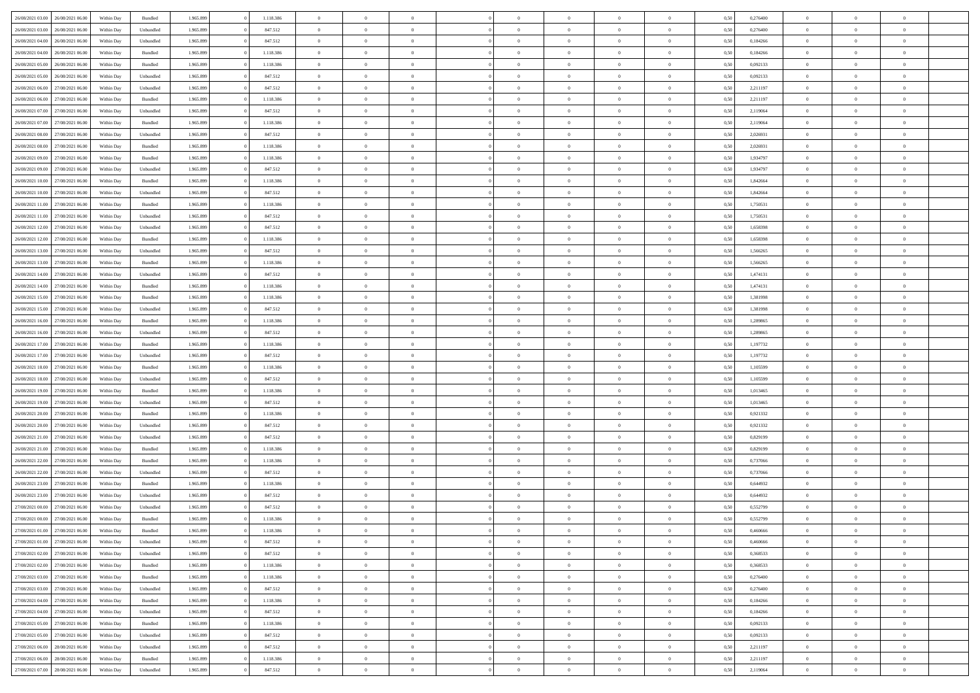| 26/08/2021 03:00                  | 26/08/2021 06:00 | Within Day | Bundled            | 1.965.899 | 1.118.386 | $\overline{0}$ | $\Omega$       |                | $\Omega$       | $\Omega$       | $\theta$       | $\theta$       | 0,50 | 0,276400 | $\theta$       | $\theta$       | $\theta$       |  |
|-----------------------------------|------------------|------------|--------------------|-----------|-----------|----------------|----------------|----------------|----------------|----------------|----------------|----------------|------|----------|----------------|----------------|----------------|--|
|                                   |                  |            |                    |           |           |                |                |                |                |                |                |                |      |          |                |                |                |  |
| 26/08/2021 03:00                  | 26/08/2021 06:00 | Within Day | Unbundled          | 1.965.899 | 847.512   | $\overline{0}$ | $\theta$       | $\overline{0}$ | $\overline{0}$ | $\bf{0}$       | $\overline{0}$ | $\bf{0}$       | 0,50 | 0,276400 | $\theta$       | $\overline{0}$ | $\overline{0}$ |  |
| 26/08/2021 04:00                  | 26/08/2021 06:00 | Within Day | Unbundled          | 1.965.899 | 847.512   | $\overline{0}$ | $\bf{0}$       | $\overline{0}$ | $\overline{0}$ | $\bf{0}$       | $\overline{0}$ | $\mathbf{0}$   | 0,50 | 0,184266 | $\bf{0}$       | $\overline{0}$ | $\bf{0}$       |  |
| 26/08/2021 04:00                  | 26/08/2021 06:00 | Within Dav | Bundled            | 1.965.899 | 1.118.386 | $\overline{0}$ | $\overline{0}$ | $\overline{0}$ | $\overline{0}$ | $\bf{0}$       | $\overline{0}$ | $\overline{0}$ | 0.50 | 0.184266 | $\theta$       | $\theta$       | $\overline{0}$ |  |
|                                   |                  |            |                    |           |           |                |                |                |                |                |                |                |      |          |                |                |                |  |
| 26/08/2021 05:00                  | 26/08/2021 06:00 | Within Day | Bundled            | 1.965.899 | 1.118.386 | $\overline{0}$ | $\theta$       | $\overline{0}$ | $\overline{0}$ | $\bf{0}$       | $\overline{0}$ | $\bf{0}$       | 0,50 | 0,092133 | $\,$ 0 $\,$    | $\overline{0}$ | $\overline{0}$ |  |
| 26/08/2021 05:00                  | 26/08/2021 06:00 | Within Day | Unbundled          | 1.965.899 | 847.512   | $\overline{0}$ | $\overline{0}$ | $\overline{0}$ | $\overline{0}$ | $\overline{0}$ | $\overline{0}$ | $\mathbf{0}$   | 0,50 | 0,092133 | $\bf{0}$       | $\overline{0}$ | $\bf{0}$       |  |
| 26/08/2021 06:00                  | 27/08/2021 06:00 | Within Dav | Unbundled          | 1.965.899 | 847.512   | $\overline{0}$ | $\overline{0}$ | $\overline{0}$ | $\overline{0}$ | $\overline{0}$ | $\overline{0}$ | $\overline{0}$ | 0.50 | 2,211197 | $\theta$       | $\overline{0}$ | $\overline{0}$ |  |
| 26/08/2021 06:00                  | 27/08/2021 06:00 | Within Day | Bundled            | 1.965.899 | 1.118.386 | $\overline{0}$ | $\theta$       | $\overline{0}$ | $\overline{0}$ | $\bf{0}$       | $\overline{0}$ | $\bf{0}$       | 0,50 | 2,211197 | $\theta$       | $\theta$       | $\overline{0}$ |  |
| 26/08/2021 07:00                  | 27/08/2021 06:00 | Within Day | Unbundled          | 1.965.899 | 847.512   | $\overline{0}$ | $\overline{0}$ | $\overline{0}$ | $\overline{0}$ | $\bf{0}$       | $\overline{0}$ | $\mathbf{0}$   | 0,50 | 2,119064 | $\,0\,$        | $\overline{0}$ | $\overline{0}$ |  |
|                                   |                  |            |                    |           |           |                |                |                |                |                |                |                |      |          |                |                |                |  |
| 26/08/2021 07:00                  | 27/08/2021 06:00 | Within Dav | Bundled            | 1.965.899 | 1.118.386 | $\overline{0}$ | $\overline{0}$ | $\overline{0}$ | $\overline{0}$ | $\overline{0}$ | $\overline{0}$ | $\overline{0}$ | 0.50 | 2,119064 | $\theta$       | $\overline{0}$ | $\overline{0}$ |  |
| 26/08/2021 08:00                  | 27/08/2021 06:00 | Within Day | Unbundled          | 1.965.899 | 847.512   | $\overline{0}$ | $\theta$       | $\overline{0}$ | $\overline{0}$ | $\bf{0}$       | $\overline{0}$ | $\bf{0}$       | 0,50 | 2,026931 | $\,$ 0 $\,$    | $\overline{0}$ | $\overline{0}$ |  |
| 26/08/2021 08:00                  | 27/08/2021 06:00 | Within Day | Bundled            | 1.965.899 | 1.118.386 | $\overline{0}$ | $\overline{0}$ | $\overline{0}$ | $\bf{0}$       | $\bf{0}$       | $\bf{0}$       | $\mathbf{0}$   | 0,50 | 2,026931 | $\overline{0}$ | $\overline{0}$ | $\bf{0}$       |  |
| 26/08/2021 09:00                  | 27/08/2021 06:00 | Within Day | Bundled            | 1.965.899 | 1.118.386 | $\overline{0}$ | $\overline{0}$ | $\overline{0}$ | $\overline{0}$ | $\bf{0}$       | $\overline{0}$ | $\overline{0}$ | 0.50 | 1,934797 | $\theta$       | $\theta$       | $\overline{0}$ |  |
|                                   |                  |            |                    |           |           | $\overline{0}$ | $\theta$       | $\overline{0}$ | $\overline{0}$ | $\bf{0}$       | $\overline{0}$ |                |      |          | $\theta$       | $\overline{0}$ | $\overline{0}$ |  |
| 26/08/2021 09:00                  | 27/08/2021 06:00 | Within Day | Unbundled          | 1.965.899 | 847.512   |                |                |                |                |                |                | $\bf{0}$       | 0,50 | 1,934797 |                |                |                |  |
| 26/08/2021 10:00                  | 27/08/2021 06:00 | Within Day | Bundled            | 1.965.899 | 1.118.386 | $\overline{0}$ | $\overline{0}$ | $\overline{0}$ | $\bf{0}$       | $\overline{0}$ | $\overline{0}$ | $\mathbf{0}$   | 0,50 | 1,842664 | $\overline{0}$ | $\overline{0}$ | $\bf{0}$       |  |
| 26/08/2021 10:00                  | 27/08/2021 06:00 | Within Dav | Unbundled          | 1.965.899 | 847.512   | $\overline{0}$ | $\overline{0}$ | $\overline{0}$ | $\overline{0}$ | $\overline{0}$ | $\overline{0}$ | $\overline{0}$ | 0.50 | 1,842664 | $\theta$       | $\overline{0}$ | $\overline{0}$ |  |
| 26/08/2021 11:00                  | 27/08/2021 06:00 | Within Day | Bundled            | 1.965.899 | 1.118.386 | $\overline{0}$ | $\theta$       | $\overline{0}$ | $\overline{0}$ | $\bf{0}$       | $\overline{0}$ | $\bf{0}$       | 0,50 | 1,750531 | $\,$ 0 $\,$    | $\overline{0}$ | $\overline{0}$ |  |
| 26/08/2021 11:00                  | 27/08/2021 06:00 | Within Day | Unbundled          | 1.965.899 | 847.512   | $\overline{0}$ | $\overline{0}$ | $\overline{0}$ | $\bf{0}$       | $\bf{0}$       | $\bf{0}$       | $\mathbf{0}$   | 0,50 | 1,750531 | $\bf{0}$       | $\overline{0}$ | $\bf{0}$       |  |
|                                   |                  |            |                    |           |           |                |                |                |                |                |                |                |      |          |                |                |                |  |
| 26/08/2021 12:00                  | 27/08/2021 06:00 | Within Day | Unbundled          | 1.965.899 | 847.512   | $\overline{0}$ | $\overline{0}$ | $\overline{0}$ | $\overline{0}$ | $\overline{0}$ | $\overline{0}$ | $\overline{0}$ | 0.50 | 1,658398 | $\theta$       | $\overline{0}$ | $\overline{0}$ |  |
| 26/08/2021 12:00                  | 27/08/2021 06:00 | Within Day | Bundled            | 1.965.899 | 1.118.386 | $\overline{0}$ | $\theta$       | $\overline{0}$ | $\overline{0}$ | $\bf{0}$       | $\overline{0}$ | $\bf{0}$       | 0,50 | 1,658398 | $\,$ 0 $\,$    | $\overline{0}$ | $\overline{0}$ |  |
| 26/08/2021 13:00                  | 27/08/2021 06:00 | Within Day | Unbundled          | 1.965.899 | 847.512   | $\overline{0}$ | $\overline{0}$ | $\overline{0}$ | $\bf{0}$       | $\bf{0}$       | $\bf{0}$       | $\mathbf{0}$   | 0,50 | 1,566265 | $\overline{0}$ | $\overline{0}$ | $\bf{0}$       |  |
| 26/08/2021 13:00                  | 27/08/2021 06:00 | Within Day | Bundled            | 1.965.899 | 1.118.386 | $\overline{0}$ | $\overline{0}$ | $\overline{0}$ | $\overline{0}$ | $\overline{0}$ | $\overline{0}$ | $\overline{0}$ | 0.50 | 1.566265 | $\theta$       | $\overline{0}$ | $\overline{0}$ |  |
| 26/08/2021 14:00                  | 27/08/2021 06:00 |            |                    | 1.965.899 | 847.512   | $\overline{0}$ | $\theta$       | $\overline{0}$ | $\overline{0}$ | $\bf{0}$       | $\overline{0}$ |                |      | 1,474131 | $\,$ 0 $\,$    | $\overline{0}$ | $\overline{0}$ |  |
|                                   |                  | Within Day | Unbundled          |           |           |                |                |                |                |                |                | $\bf{0}$       | 0,50 |          |                |                |                |  |
| 26/08/2021 14:00                  | 27/08/2021 06:00 | Within Day | Bundled            | 1.965.899 | 1.118.386 | $\overline{0}$ | $\overline{0}$ | $\overline{0}$ | $\bf{0}$       | $\overline{0}$ | $\overline{0}$ | $\mathbf{0}$   | 0,50 | 1,474131 | $\overline{0}$ | $\overline{0}$ | $\bf{0}$       |  |
| 26/08/2021 15:00                  | 27/08/2021 06:00 | Within Dav | Bundled            | 1.965.899 | 1.118.386 | $\overline{0}$ | $\overline{0}$ | $\overline{0}$ | $\overline{0}$ | $\overline{0}$ | $\overline{0}$ | $\overline{0}$ | 0.50 | 1,381998 | $\overline{0}$ | $\overline{0}$ | $\overline{0}$ |  |
| 26/08/2021 15:00                  | 27/08/2021 06:00 | Within Day | Unbundled          | 1.965.899 | 847.512   | $\overline{0}$ | $\theta$       | $\overline{0}$ | $\overline{0}$ | $\bf{0}$       | $\overline{0}$ | $\bf{0}$       | 0,50 | 1,381998 | $\theta$       | $\theta$       | $\overline{0}$ |  |
| 26/08/2021 16:00                  | 27/08/2021 06:00 | Within Day | Bundled            | 1.965.899 | 1.118.386 | $\overline{0}$ | $\overline{0}$ | $\overline{0}$ | $\bf{0}$       | $\bf{0}$       | $\bf{0}$       | $\mathbf{0}$   | 0,50 | 1,289865 | $\,0\,$        | $\overline{0}$ | $\overline{0}$ |  |
| 26/08/2021 16:00                  | 27/08/2021 06:00 |            | Unbundled          | 1.965.899 | 847.512   | $\overline{0}$ | $\overline{0}$ | $\overline{0}$ | $\overline{0}$ | $\overline{0}$ | $\overline{0}$ | $\overline{0}$ | 0.50 | 1,289865 | $\theta$       | $\overline{0}$ | $\overline{0}$ |  |
|                                   |                  | Within Day |                    |           |           |                |                |                |                |                |                |                |      |          |                |                |                |  |
| 26/08/2021 17:00                  | 27/08/2021 06:00 | Within Day | Bundled            | 1.965.899 | 1.118.386 | $\overline{0}$ | $\overline{0}$ | $\overline{0}$ | $\overline{0}$ | $\bf{0}$       | $\overline{0}$ | $\bf{0}$       | 0,50 | 1,197732 | $\,$ 0 $\,$    | $\overline{0}$ | $\overline{0}$ |  |
| 26/08/2021 17:00                  | 27/08/2021 06:00 | Within Day | Unbundled          | 1.965.899 | 847.512   | $\overline{0}$ | $\overline{0}$ | $\overline{0}$ | $\overline{0}$ | $\bf{0}$       | $\overline{0}$ | $\mathbf{0}$   | 0,50 | 1,197732 | $\bf{0}$       | $\overline{0}$ | $\bf{0}$       |  |
| 26/08/2021 18:00                  | 27/08/2021 06:00 | Within Day | Bundled            | 1.965.899 | 1.118.386 | $\overline{0}$ | $\Omega$       | $\overline{0}$ | $\Omega$       | $\Omega$       | $\overline{0}$ | $\overline{0}$ | 0,50 | 1,105599 | $\,0\,$        | $\theta$       | $\theta$       |  |
| 26/08/2021 18:00                  | 27/08/2021 06:00 | Within Day | Unbundled          | 1.965.899 | 847.512   | $\overline{0}$ | $\theta$       | $\overline{0}$ | $\overline{0}$ | $\bf{0}$       | $\overline{0}$ | $\bf{0}$       | 0,50 | 1,105599 | $\,$ 0 $\,$    | $\overline{0}$ | $\overline{0}$ |  |
|                                   |                  |            |                    |           |           |                |                |                |                |                |                |                |      |          |                |                |                |  |
| 26/08/2021 19:00                  | 27/08/2021 06:00 | Within Day | Bundled            | 1.965.899 | 1.118.386 | $\overline{0}$ | $\overline{0}$ | $\overline{0}$ | $\overline{0}$ | $\overline{0}$ | $\overline{0}$ | $\mathbf{0}$   | 0,50 | 1,013465 | $\bf{0}$       | $\overline{0}$ | $\bf{0}$       |  |
| 26/08/2021 19:00                  | 27/08/2021 06:00 | Within Day | Unbundled          | 1.965.899 | 847.512   | $\overline{0}$ | $\Omega$       | $\Omega$       | $\Omega$       | $\bf{0}$       | $\overline{0}$ | $\overline{0}$ | 0.50 | 1,013465 | $\,0\,$        | $\theta$       | $\theta$       |  |
| 26/08/2021 20:00                  | 27/08/2021 06:00 | Within Day | Bundled            | 1.965.899 | 1.118.386 | $\overline{0}$ | $\theta$       | $\overline{0}$ | $\overline{0}$ | $\bf{0}$       | $\overline{0}$ | $\bf{0}$       | 0,50 | 0,921332 | $\,$ 0 $\,$    | $\overline{0}$ | $\overline{0}$ |  |
| 26/08/2021 20:00                  | 27/08/2021 06:00 | Within Day | Unbundled          | 1.965.899 | 847.512   | $\overline{0}$ | $\overline{0}$ | $\overline{0}$ | $\overline{0}$ | $\bf{0}$       | $\overline{0}$ | $\mathbf{0}$   | 0,50 | 0,921332 | $\bf{0}$       | $\overline{0}$ | $\bf{0}$       |  |
| 26/08/2021 21:00                  | 27/08/2021 06:00 | Within Day | Unbundled          | 1.965.899 | 847.512   | $\overline{0}$ | $\Omega$       | $\overline{0}$ | $\Omega$       | $\overline{0}$ | $\overline{0}$ | $\overline{0}$ | 0.50 | 0,829199 | $\,$ 0 $\,$    | $\theta$       | $\theta$       |  |
|                                   |                  |            |                    |           |           |                |                |                |                |                |                |                |      |          |                |                |                |  |
| 26/08/2021 21:00                  | 27/08/2021 06:00 | Within Day | Bundled            | 1.965.899 | 1.118.386 | $\overline{0}$ | $\overline{0}$ | $\overline{0}$ | $\overline{0}$ | $\,$ 0         | $\overline{0}$ | $\bf{0}$       | 0,50 | 0,829199 | $\,$ 0 $\,$    | $\overline{0}$ | $\overline{0}$ |  |
| 26/08/2021 22.00                  | 27/08/2021 06:00 | Within Day | Bundled            | 1.965.899 | 1.118.386 | $\overline{0}$ | $\overline{0}$ | $\overline{0}$ | $\overline{0}$ | $\bf{0}$       | $\overline{0}$ | $\mathbf{0}$   | 0,50 | 0,737066 | $\bf{0}$       | $\overline{0}$ | $\bf{0}$       |  |
| 26/08/2021 22:00                  | 27/08/2021 06:00 | Within Day | Unbundled          | 1.965.899 | 847.512   | $\overline{0}$ | $\Omega$       | $\overline{0}$ | $\Omega$       | $\overline{0}$ | $\overline{0}$ | $\overline{0}$ | 0.50 | 0,737066 | $\,0\,$        | $\theta$       | $\theta$       |  |
| 26/08/2021 23:00                  | 27/08/2021 06:00 | Within Day | Bundled            | 1.965.899 | 1.118.386 | $\overline{0}$ | $\overline{0}$ | $\overline{0}$ | $\overline{0}$ | $\,$ 0         | $\overline{0}$ | $\bf{0}$       | 0,50 | 0,644932 | $\,$ 0 $\,$    | $\overline{0}$ | $\overline{0}$ |  |
| 26/08/2021 23:00                  | 27/08/2021 06:00 | Within Day | Unbundled          | 1.965.899 | 847.512   | $\overline{0}$ | $\overline{0}$ | $\overline{0}$ | $\overline{0}$ | $\bf{0}$       | $\overline{0}$ | $\mathbf{0}$   | 0,50 | 0,644932 | $\bf{0}$       | $\overline{0}$ | $\bf{0}$       |  |
|                                   |                  |            |                    |           |           |                |                |                |                |                |                |                |      |          |                |                |                |  |
| 27/08/2021 00:00                  | 27/08/2021 06:00 | Within Day | Unbundled          | 1.965.899 | 847.512   | $\overline{0}$ | $\Omega$       | $\Omega$       | $\Omega$       | $\Omega$       | $\Omega$       | $\overline{0}$ | 0.50 | 0.552799 | $\theta$       | $\theta$       | $\theta$       |  |
| 27/08/2021 00:00                  | 27/08/2021 06:00 | Within Day | Bundled            | 1.965.899 | 1.118.386 | $\overline{0}$ | $\overline{0}$ | $\overline{0}$ | $\bf{0}$       | $\,$ 0         | $\overline{0}$ | $\bf{0}$       | 0,50 | 0,552799 | $\,0\,$        | $\,$ 0 $\,$    | $\overline{0}$ |  |
| 27/08/2021 01:00                  | 27/08/2021 06:00 | Within Day | $\mathbf B$ undled | 1.965.899 | 1.118.386 | $\overline{0}$ | $\bf{0}$       |                |                | $\bf{0}$       |                |                | 0,50 | 0,460666 | $\bf{0}$       | $\overline{0}$ |                |  |
| 27/08/2021 01:00                  | 27/08/2021 06:00 | Within Day | Unbundled          | 1.965.899 | 847.512   | $\overline{0}$ | $\overline{0}$ | $\overline{0}$ | $\Omega$       | $\overline{0}$ | $\overline{0}$ | $\overline{0}$ | 0.50 | 0.460666 | $\theta$       | $\theta$       | $\theta$       |  |
| 27/08/2021 02:00                  | 27/08/2021 06:00 | Within Day | Unbundled          | 1.965.899 | 847.512   | $\overline{0}$ | $\bf{0}$       | $\overline{0}$ | $\overline{0}$ | $\,$ 0 $\,$    | $\overline{0}$ | $\mathbf{0}$   | 0,50 | 0,368533 | $\,$ 0 $\,$    | $\,$ 0 $\,$    | $\,$ 0         |  |
|                                   |                  |            |                    |           |           |                |                |                |                |                |                |                |      |          |                |                |                |  |
| 27/08/2021 02:00                  | 27/08/2021 06:00 | Within Day | Bundled            | 1.965.899 | 1.118.386 | $\overline{0}$ | $\overline{0}$ | $\overline{0}$ | $\overline{0}$ | $\overline{0}$ | $\overline{0}$ | $\mathbf{0}$   | 0,50 | 0,368533 | $\overline{0}$ | $\bf{0}$       | $\bf{0}$       |  |
| 27/08/2021 03:00                  | 27/08/2021 06:00 | Within Day | $\mathbf B$ undled | 1.965.899 | 1.118.386 | $\overline{0}$ | $\overline{0}$ | $\overline{0}$ | $\Omega$       | $\overline{0}$ | $\overline{0}$ | $\overline{0}$ | 0,50 | 0,276400 | $\overline{0}$ | $\theta$       | $\overline{0}$ |  |
| 27/08/2021 03:00                  | 27/08/2021 06:00 | Within Day | Unbundled          | 1.965.899 | 847.512   | $\overline{0}$ | $\,$ 0         | $\overline{0}$ | $\overline{0}$ | $\,$ 0 $\,$    | $\overline{0}$ | $\mathbf{0}$   | 0,50 | 0,276400 | $\,$ 0 $\,$    | $\overline{0}$ | $\overline{0}$ |  |
| 27/08/2021 04:00                  | 27/08/2021 06:00 | Within Day | Bundled            | 1.965.899 | 1.118.386 | $\overline{0}$ | $\overline{0}$ | $\overline{0}$ | $\overline{0}$ | $\overline{0}$ | $\overline{0}$ | $\mathbf{0}$   | 0,50 | 0,184266 | $\overline{0}$ | $\overline{0}$ | $\bf{0}$       |  |
|                                   |                  |            |                    |           |           |                | $\overline{0}$ | $\overline{0}$ |                | $\overline{0}$ | $\overline{0}$ |                | 0.50 |          |                | $\theta$       | $\overline{0}$ |  |
| 27/08/2021 04:00                  | 27/08/2021 06:00 | Within Day | Unbundled          | 1.965.899 | 847.512   | $\overline{0}$ |                |                | $\overline{0}$ |                |                | $\bf{0}$       |      | 0,184266 | $\overline{0}$ |                |                |  |
| 27/08/2021 05:00                  | 27/08/2021 06:00 | Within Day | Bundled            | 1.965.899 | 1.118.386 | $\overline{0}$ | $\,$ 0         | $\overline{0}$ | $\bf{0}$       | $\bf{0}$       | $\bf{0}$       | $\bf{0}$       | 0,50 | 0,092133 | $\,$ 0 $\,$    | $\overline{0}$ | $\overline{0}$ |  |
| 27/08/2021 05:00                  | 27/08/2021 06:00 | Within Day | Unbundled          | 1.965.899 | 847.512   | $\overline{0}$ | $\bf{0}$       | $\overline{0}$ | $\overline{0}$ | $\overline{0}$ | $\overline{0}$ | $\mathbf{0}$   | 0,50 | 0,092133 | $\overline{0}$ | $\overline{0}$ | $\bf{0}$       |  |
| 27/08/2021 06:00                  | 28/08/2021 06:00 | Within Day | Unbundled          | 1.965.899 | 847.512   | $\overline{0}$ | $\overline{0}$ | $\overline{0}$ | $\Omega$       | $\overline{0}$ | $\overline{0}$ | $\overline{0}$ | 0.50 | 2,211197 | $\overline{0}$ | $\overline{0}$ | $\overline{0}$ |  |
| 27/08/2021 06:00                  | 28/08/2021 06:00 | Within Day | Bundled            | 1.965.899 | 1.118.386 | $\overline{0}$ | $\bf{0}$       | $\overline{0}$ | $\overline{0}$ | $\bf{0}$       | $\bf{0}$       | $\mathbf{0}$   | 0,50 | 2,211197 | $\,$ 0 $\,$    | $\,$ 0 $\,$    | $\bf{0}$       |  |
|                                   |                  |            |                    |           |           |                |                |                |                |                |                |                |      |          |                |                |                |  |
| 27/08/2021 07:00 28/08/2021 06:00 |                  | Within Day | Unbundled          | 1.965.899 | 847.512   | $\overline{0}$ | $\overline{0}$ | $\overline{0}$ | $\overline{0}$ | $\overline{0}$ | $\bf{0}$       | $\mathbf{0}$   | 0,50 | 2,119064 | $\overline{0}$ | $\bf{0}$       | $\bf{0}$       |  |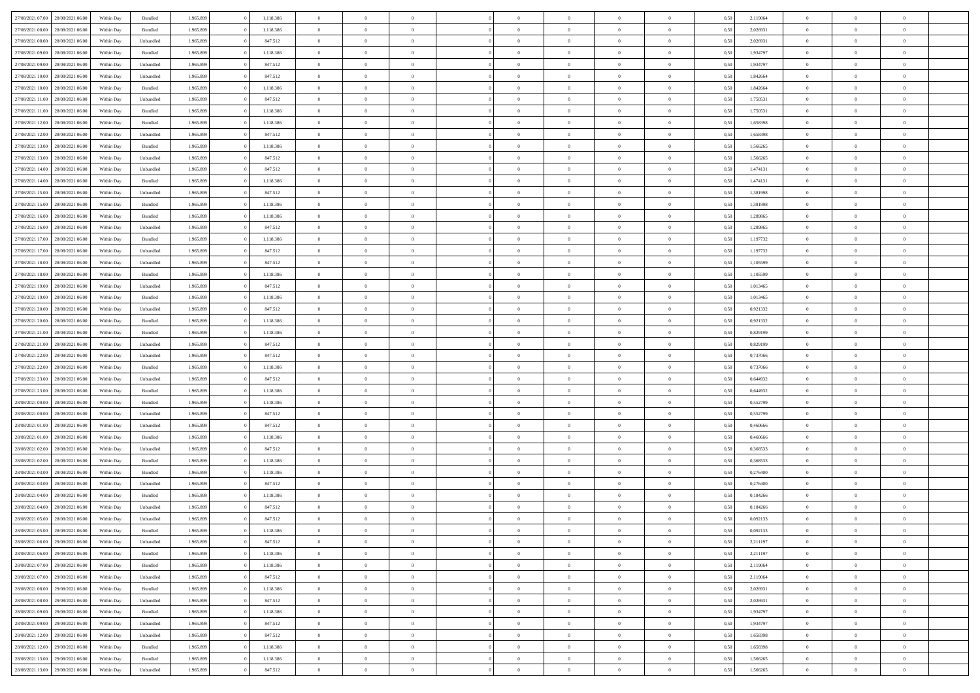| 27/08/2021 07:00 28/08/2021 06:00    | Within Day | Bundled   | 1.965.899 | 1.118.386 | $\overline{0}$ | $\overline{0}$ | $\Omega$       | $\Omega$       | $\theta$       | $\Omega$       | $\overline{0}$ | 0,50 | 2,119064 | $\theta$       | $\theta$       | $\theta$       |  |
|--------------------------------------|------------|-----------|-----------|-----------|----------------|----------------|----------------|----------------|----------------|----------------|----------------|------|----------|----------------|----------------|----------------|--|
| 27/08/2021 08:00<br>28/08/2021 06:00 | Within Day | Bundled   | 1.965.899 | 1.118.386 | $\overline{0}$ | $\overline{0}$ | $\overline{0}$ | $\overline{0}$ | $\theta$       | $\overline{0}$ | $\bf{0}$       | 0,50 | 2,026931 | $\theta$       | $\theta$       | $\overline{0}$ |  |
| 27/08/2021 08:00<br>28/08/2021 06:00 | Within Day | Unbundled | 1.965.899 | 847.512   | $\overline{0}$ | $\bf{0}$       | $\overline{0}$ | $\overline{0}$ | $\overline{0}$ | $\overline{0}$ | $\bf{0}$       | 0,50 | 2,026931 | $\bf{0}$       | $\overline{0}$ | $\overline{0}$ |  |
| 27/08/2021 09:00<br>28/08/2021 06:00 | Within Day | Bundled   | 1.965.899 | 1.118.386 | $\overline{0}$ | $\overline{0}$ | $\overline{0}$ | $\overline{0}$ | $\theta$       | $\overline{0}$ | $\overline{0}$ | 0.50 | 1,934797 | $\theta$       | $\theta$       | $\overline{0}$ |  |
| 27/08/2021 09:00<br>28/08/2021 06:00 | Within Day | Unbundled | 1.965.899 | 847.512   | $\overline{0}$ | $\overline{0}$ | $\overline{0}$ | $\overline{0}$ | $\theta$       | $\overline{0}$ | $\bf{0}$       | 0,50 | 1,934797 | $\theta$       | $\theta$       | $\overline{0}$ |  |
|                                      |            |           |           |           |                |                |                |                |                |                |                |      |          |                |                |                |  |
| 27/08/2021 10:00<br>28/08/2021 06:00 | Within Day | Unbundled | 1.965.899 | 847.512   | $\overline{0}$ | $\bf{0}$       | $\overline{0}$ | $\overline{0}$ | $\overline{0}$ | $\overline{0}$ | $\bf{0}$       | 0,50 | 1,842664 | $\overline{0}$ | $\overline{0}$ | $\bf{0}$       |  |
| 27/08/2021 10:00<br>28/08/2021 06:00 | Within Day | Bundled   | 1.965.899 | 1.118.386 | $\overline{0}$ | $\overline{0}$ | $\overline{0}$ | $\overline{0}$ | $\overline{0}$ | $\overline{0}$ | $\overline{0}$ | 0.5( | 1,842664 | $\theta$       | $\theta$       | $\overline{0}$ |  |
| 27/08/2021 11:00<br>28/08/2021 06:00 | Within Day | Unbundled | 1.965.899 | 847.512   | $\bf{0}$       | $\theta$       | $\overline{0}$ | $\overline{0}$ | $\theta$       | $\overline{0}$ | $\bf{0}$       | 0,50 | 1,750531 | $\theta$       | $\theta$       | $\overline{0}$ |  |
| 27/08/2021 11:00<br>28/08/2021 06:00 | Within Day | Bundled   | 1.965.899 | 1.118.386 | $\overline{0}$ | $\bf{0}$       | $\overline{0}$ | $\overline{0}$ | $\overline{0}$ | $\bf{0}$       | $\bf{0}$       | 0,50 | 1,750531 | $\bf{0}$       | $\bf{0}$       | $\overline{0}$ |  |
| 27/08/2021 12:00<br>28/08/2021 06:00 | Within Day | Bundled   | 1.965.899 | 1.118.386 | $\overline{0}$ | $\overline{0}$ | $\overline{0}$ | $\overline{0}$ | $\overline{0}$ | $\overline{0}$ | $\bf{0}$       | 0.50 | 1,658398 | $\theta$       | $\theta$       | $\overline{0}$ |  |
| 27/08/2021 12:00<br>28/08/2021 06:00 | Within Day | Unbundled | 1.965.899 | 847.512   | $\bf{0}$       | $\overline{0}$ | $\overline{0}$ | $\overline{0}$ | $\theta$       | $\overline{0}$ | $\bf{0}$       | 0,50 | 1,658398 | $\theta$       | $\theta$       | $\overline{0}$ |  |
| 27/08/2021 13:00<br>28/08/2021 06:00 | Within Day | Bundled   | 1.965.899 | 1.118.386 | $\overline{0}$ | $\bf{0}$       | $\overline{0}$ | $\overline{0}$ | $\bf{0}$       | $\overline{0}$ | $\bf{0}$       | 0,50 | 1,566265 | $\bf{0}$       | $\overline{0}$ | $\overline{0}$ |  |
| 27/08/2021 13:00<br>28/08/2021 06:00 | Within Day | Unbundled | 1.965.899 | 847.512   | $\overline{0}$ | $\overline{0}$ | $\overline{0}$ | $\overline{0}$ | $\overline{0}$ | $\overline{0}$ | $\overline{0}$ | 0.50 | 1.566265 | $\theta$       | $\theta$       | $\overline{0}$ |  |
| 27/08/2021 14:00<br>28/08/2021 06:00 | Within Day | Unbundled | 1.965.899 | 847.512   | $\overline{0}$ | $\overline{0}$ | $\overline{0}$ | $\overline{0}$ | $\theta$       | $\overline{0}$ | $\,$ 0 $\,$    | 0,50 | 1,474131 | $\theta$       | $\theta$       | $\overline{0}$ |  |
| 27/08/2021 14:00<br>28/08/2021 06:00 | Within Day | Bundled   | 1.965.899 | 1.118.386 | $\overline{0}$ | $\bf{0}$       | $\overline{0}$ | $\overline{0}$ | $\overline{0}$ | $\overline{0}$ | $\bf{0}$       | 0,50 | 1,474131 | $\overline{0}$ | $\overline{0}$ | $\bf{0}$       |  |
| 27/08/2021 15:00<br>28/08/2021 06:00 | Within Day | Unbundled | 1.965.899 | 847.512   | $\overline{0}$ | $\overline{0}$ | $\overline{0}$ | $\overline{0}$ | $\overline{0}$ | $\overline{0}$ | $\overline{0}$ | 0.5( | 1,381998 | $\overline{0}$ | $\overline{0}$ | $\overline{0}$ |  |
| 27/08/2021 15:00<br>28/08/2021 06:00 | Within Day | Bundled   | 1.965.899 | 1.118.386 | $\bf{0}$       | $\overline{0}$ | $\overline{0}$ | $\overline{0}$ | $\theta$       | $\overline{0}$ | $\bf{0}$       | 0,50 | 1,381998 | $\theta$       | $\theta$       | $\overline{0}$ |  |
|                                      |            |           |           |           |                |                |                |                |                |                |                |      |          |                |                |                |  |
| 27/08/2021 16:00<br>28/08/2021 06:00 | Within Day | Bundled   | 1.965.899 | 1.118.386 | $\overline{0}$ | $\bf{0}$       | $\overline{0}$ | $\overline{0}$ | $\overline{0}$ | $\overline{0}$ | $\bf{0}$       | 0,50 | 1,289865 | $\bf{0}$       | $\overline{0}$ | $\overline{0}$ |  |
| 27/08/2021 16:00<br>28/08/2021 06:00 | Within Day | Unbundled | 1.965.899 | 847.512   | $\overline{0}$ | $\overline{0}$ | $\overline{0}$ | $\overline{0}$ | $\overline{0}$ | $\overline{0}$ | $\overline{0}$ | 0.50 | 1,289865 | $\theta$       | $\theta$       | $\overline{0}$ |  |
| 27/08/2021 17:00<br>28/08/2021 06:00 | Within Day | Bundled   | 1.965.899 | 1.118.386 | $\bf{0}$       | $\overline{0}$ | $\overline{0}$ | $\overline{0}$ | $\theta$       | $\overline{0}$ | $\bf{0}$       | 0,50 | 1,197732 | $\theta$       | $\theta$       | $\overline{0}$ |  |
| 27/08/2021 17:00<br>28/08/2021 06:00 | Within Day | Unbundled | 1.965.899 | 847.512   | $\overline{0}$ | $\bf{0}$       | $\overline{0}$ | $\overline{0}$ | $\overline{0}$ | $\overline{0}$ | $\bf{0}$       | 0,50 | 1,197732 | $\bf{0}$       | $\overline{0}$ | $\overline{0}$ |  |
| 27/08/2021 18:00<br>28/08/2021 06:00 | Within Day | Unbundled | 1.965.899 | 847.512   | $\overline{0}$ | $\overline{0}$ | $\overline{0}$ | $\overline{0}$ | $\overline{0}$ | $\overline{0}$ | $\overline{0}$ | 0.50 | 1,105599 | $\theta$       | $\theta$       | $\overline{0}$ |  |
| 27/08/2021 18:00<br>28/08/2021 06:00 | Within Day | Bundled   | 1.965.899 | 1.118.386 | $\bf{0}$       | $\theta$       | $\overline{0}$ | $\overline{0}$ | $\theta$       | $\overline{0}$ | $\bf{0}$       | 0,50 | 1,105599 | $\theta$       | $\theta$       | $\overline{0}$ |  |
| 27/08/2021 19:00<br>28/08/2021 06:00 | Within Day | Unbundled | 1.965.899 | 847.512   | $\overline{0}$ | $\bf{0}$       | $\overline{0}$ | $\overline{0}$ | $\overline{0}$ | $\overline{0}$ | $\bf{0}$       | 0,50 | 1,013465 | $\overline{0}$ | $\overline{0}$ | $\bf{0}$       |  |
| 27/08/2021 19:00<br>28/08/2021 06:00 | Within Day | Bundled   | 1.965.899 | 1.118.386 | $\overline{0}$ | $\overline{0}$ | $\overline{0}$ | $\overline{0}$ | $\overline{0}$ | $\overline{0}$ | $\overline{0}$ | 0.5( | 1,013465 | $\overline{0}$ | $\theta$       | $\overline{0}$ |  |
| 27/08/2021 20:00<br>28/08/2021 06:00 | Within Day | Unbundled | 1.965.899 | 847.512   | $\bf{0}$       | $\overline{0}$ | $\overline{0}$ | $\overline{0}$ | $\theta$       | $\overline{0}$ | $\bf{0}$       | 0,50 | 0,921332 | $\theta$       | $\theta$       | $\overline{0}$ |  |
| 27/08/2021 20:00<br>28/08/2021 06:00 | Within Day | Bundled   | 1.965.899 | 1.118.386 | $\overline{0}$ | $\bf{0}$       | $\overline{0}$ | $\overline{0}$ | $\overline{0}$ | $\bf{0}$       | $\bf{0}$       | 0,50 | 0,921332 | $\bf{0}$       | $\bf{0}$       | $\overline{0}$ |  |
| 27/08/2021 21:00<br>28/08/2021 06:00 | Within Day | Bundled   | 1.965.899 | 1.118.386 | $\overline{0}$ | $\overline{0}$ | $\overline{0}$ | $\overline{0}$ | $\overline{0}$ | $\overline{0}$ | $\overline{0}$ | 0.5( | 0.829199 | $\theta$       | $\theta$       | $\overline{0}$ |  |
| 27/08/2021 21:00<br>28/08/2021 06:00 | Within Day | Unbundled | 1.965.899 | 847.512   | $\bf{0}$       | $\overline{0}$ | $\overline{0}$ | $\overline{0}$ | $\theta$       | $\overline{0}$ | $\bf{0}$       | 0,50 | 0,829199 | $\,$ 0 $\,$    | $\theta$       | $\overline{0}$ |  |
| 27/08/2021 22:00<br>28/08/2021 06:00 | Within Day | Unbundled | 1.965.899 | 847.512   | $\overline{0}$ | $\bf{0}$       | $\overline{0}$ | $\overline{0}$ | $\bf{0}$       | $\overline{0}$ | $\bf{0}$       | 0,50 | 0,737066 | $\bf{0}$       | $\overline{0}$ | $\overline{0}$ |  |
| 27/08/2021 22:00<br>28/08/2021 06:00 | Within Day | Bundled   | 1.965.899 | 1.118.386 | $\overline{0}$ | $\overline{0}$ | $\Omega$       | $\Omega$       | $\Omega$       | $\Omega$       | $\overline{0}$ | 0,50 | 0,737066 | $\bf{0}$       | $\overline{0}$ | $\theta$       |  |
| 27/08/2021 23:00<br>28/08/2021 06:00 | Within Day | Unbundled | 1.965.899 | 847.512   | $\bf{0}$       | $\overline{0}$ | $\overline{0}$ | $\overline{0}$ | $\theta$       | $\overline{0}$ | $\bf{0}$       | 0,50 | 0,644932 | $\theta$       | $\theta$       | $\overline{0}$ |  |
|                                      |            |           |           |           |                |                |                |                |                |                |                |      |          |                |                |                |  |
| 27/08/2021 23:00<br>28/08/2021 06:00 | Within Day | Bundled   | 1.965.899 | 1.118.386 | $\overline{0}$ | $\bf{0}$       | $\overline{0}$ | $\overline{0}$ | $\overline{0}$ | $\overline{0}$ | $\bf{0}$       | 0,50 | 0,644932 | $\overline{0}$ | $\overline{0}$ | $\bf{0}$       |  |
| 28/08/2021 00:00<br>28/08/2021 06:00 | Within Day | Bundled   | 1.965.899 | 1.118.386 | $\overline{0}$ | $\overline{0}$ | $\Omega$       | $\Omega$       | $\overline{0}$ | $\Omega$       | $\overline{0}$ | 0.50 | 0,552799 | $\bf{0}$       | $\theta$       | $\theta$       |  |
| 28/08/2021 00:00<br>28/08/2021 06:00 | Within Day | Unbundled | 1.965.899 | 847.512   | $\bf{0}$       | $\overline{0}$ | $\overline{0}$ | $\overline{0}$ | $\theta$       | $\overline{0}$ | $\bf{0}$       | 0,50 | 0,552799 | $\,$ 0 $\,$    | $\theta$       | $\overline{0}$ |  |
| 28/08/2021 01:00<br>28/08/2021 06:00 | Within Day | Unbundled | 1.965.899 | 847.512   | $\overline{0}$ | $\bf{0}$       | $\overline{0}$ | $\overline{0}$ | $\overline{0}$ | $\bf{0}$       | $\bf{0}$       | 0,50 | 0,460666 | $\bf{0}$       | $\overline{0}$ | $\overline{0}$ |  |
| 28/08/2021 01:00<br>28/08/2021 06:00 | Within Day | Bundled   | 1.965.899 | 1.118.386 | $\overline{0}$ | $\overline{0}$ | $\Omega$       | $\Omega$       | $\Omega$       | $\Omega$       | $\overline{0}$ | 0.50 | 0.460666 | $\theta$       | $\Omega$       | $\theta$       |  |
| 28/08/2021 02:00<br>28/08/2021 06:00 | Within Day | Unbundled | 1.965.899 | 847.512   | $\bf{0}$       | $\bf{0}$       | $\overline{0}$ | $\overline{0}$ | $\theta$       | $\overline{0}$ | $\bf{0}$       | 0,50 | 0,368533 | $\,$ 0 $\,$    | $\theta$       | $\overline{0}$ |  |
| 28/08/2021 02:00<br>28/08/2021 06:00 | Within Day | Bundled   | 1.965.899 | 1.118.386 | $\overline{0}$ | $\bf{0}$       | $\overline{0}$ | $\overline{0}$ | $\overline{0}$ | $\overline{0}$ | $\bf{0}$       | 0,50 | 0,368533 | $\bf{0}$       | $\overline{0}$ | $\overline{0}$ |  |
| 28/08/2021 03:00<br>28/08/2021 06:00 | Within Day | Bundled   | 1.965.899 | 1.118.386 | $\overline{0}$ | $\overline{0}$ | $\overline{0}$ | $\Omega$       | $\theta$       | $\Omega$       | $\overline{0}$ | 0.50 | 0,276400 | $\bf{0}$       | $\overline{0}$ | $\theta$       |  |
| 28/08/2021 03:00<br>28/08/2021 06:00 | Within Day | Unbundled | 1.965.899 | 847.512   | $\bf{0}$       | $\overline{0}$ | $\overline{0}$ | $\overline{0}$ | $\theta$       | $\overline{0}$ | $\bf{0}$       | 0,50 | 0,276400 | $\,$ 0 $\,$    | $\theta$       | $\overline{0}$ |  |
| 28/08/2021 04:00<br>28/08/2021 06:00 | Within Day | Bundled   | 1.965.899 | 1.118.386 | $\overline{0}$ | $\bf{0}$       | $\overline{0}$ | $\overline{0}$ | $\bf{0}$       | $\overline{0}$ | $\bf{0}$       | 0,50 | 0,184266 | $\bf{0}$       | $\overline{0}$ | $\bf{0}$       |  |
| 28/08/2021 04:00<br>28/08/2021 06:00 | Within Day | Unbundled | 1.965.899 | 847.512   | $\overline{0}$ | $\Omega$       | $\Omega$       | $\Omega$       | $\Omega$       | $\theta$       | $\overline{0}$ | 0.50 | 0.184266 | $\theta$       | $\overline{0}$ | $\theta$       |  |
| 28/08/2021 05:00<br>28/08/2021 06:00 | Within Day | Unbundled | 1.965.899 | 847.512   | $\bf{0}$       | $\bf{0}$       | $\overline{0}$ | $\overline{0}$ | $\bf{0}$       | $\overline{0}$ | $\bf{0}$       | 0,50 | 0,092133 | $\bf{0}$       | $\bf{0}$       | $\overline{0}$ |  |
| 28/08/2021 05:00 28/08/2021 06:00    | Within Day | Bundled   | 1.965.899 | 1.118.386 | $\bf{0}$       |                |                |                |                |                |                | 0,50 | 0,092133 | $\bf{0}$       | $\bf{0}$       |                |  |
| 28/08/2021 06:00 29/08/2021 06:00    | Within Day | Unbundled | 1.965.899 | 847.512   | $\Omega$       | $\overline{0}$ | $\Omega$       | $\theta$       | $\overline{0}$ | $\theta$       | $\overline{0}$ | 0,50 | 2,211197 | $\theta$       | $\theta$       | $\theta$       |  |
| 28/08/2021 06:00<br>29/08/2021 06:00 | Within Day | Bundled   | 1.965.899 | 1.118.386 | $\overline{0}$ | $\overline{0}$ | $\overline{0}$ | $\overline{0}$ | $\,$ 0 $\,$    | $\overline{0}$ | $\,$ 0 $\,$    | 0,50 | 2,211197 | $\,$ 0 $\,$    | $\,$ 0 $\,$    | $\,$ 0         |  |
|                                      |            |           |           |           |                |                |                |                |                |                |                |      |          |                |                |                |  |
| 28/08/2021 07:00 29/08/2021 06:00    | Within Day | Bundled   | 1.965.899 | 1.118.386 | $\overline{0}$ | $\overline{0}$ | $\overline{0}$ | $\overline{0}$ | $\overline{0}$ | $\overline{0}$ | $\bf{0}$       | 0,50 | 2,119064 | $\overline{0}$ | $\bf{0}$       | $\overline{0}$ |  |
| 29/08/2021 06:00<br>28/08/2021 07:00 | Within Day | Unbundled | 1.965.899 | 847.512   | $\overline{0}$ | $\bf{0}$       | $\overline{0}$ | $\overline{0}$ | $\overline{0}$ | $\overline{0}$ | $\bf{0}$       | 0,50 | 2,119064 | $\overline{0}$ | $\theta$       | $\overline{0}$ |  |
| 28/08/2021 08:00<br>29/08/2021 06:00 | Within Day | Bundled   | 1.965.899 | 1.118.386 | $\overline{0}$ | $\overline{0}$ | $\overline{0}$ | $\overline{0}$ | $\overline{0}$ | $\overline{0}$ | $\bf{0}$       | 0,50 | 2,026931 | $\,$ 0 $\,$    | $\,$ 0 $\,$    | $\overline{0}$ |  |
| 28/08/2021 08:00<br>29/08/2021 06:00 | Within Day | Unbundled | 1.965.899 | 847.512   | $\overline{0}$ | $\overline{0}$ | $\overline{0}$ | $\overline{0}$ | $\bf{0}$       | $\overline{0}$ | $\bf{0}$       | 0,50 | 2,026931 | $\overline{0}$ | $\overline{0}$ | $\overline{0}$ |  |
| 29/08/2021 06:00<br>28/08/2021 09:00 | Within Day | Bundled   | 1.965.899 | 1.118.386 | $\overline{0}$ | $\bf{0}$       | $\overline{0}$ | $\overline{0}$ | $\overline{0}$ | $\overline{0}$ | $\bf{0}$       | 0.50 | 1,934797 | $\overline{0}$ | $\theta$       | $\overline{0}$ |  |
| 28/08/2021 09:00<br>29/08/2021 06:00 | Within Day | Unbundled | 1.965.899 | 847.512   | $\overline{0}$ | $\overline{0}$ | $\overline{0}$ | $\overline{0}$ | $\overline{0}$ | $\overline{0}$ | $\bf{0}$       | 0,50 | 1,934797 | $\,$ 0 $\,$    | $\,$ 0 $\,$    | $\overline{0}$ |  |
| 28/08/2021 12:00<br>29/08/2021 06:00 | Within Day | Unbundled | 1.965.899 | 847.512   | $\overline{0}$ | $\bf{0}$       | $\overline{0}$ | $\overline{0}$ | $\overline{0}$ | $\overline{0}$ | $\bf{0}$       | 0,50 | 1,658398 | $\bf{0}$       | $\overline{0}$ | $\bf{0}$       |  |
| 28/08/2021 12:00<br>29/08/2021 06:00 | Within Day | Bundled   | 1.965.899 | 1.118.386 | $\overline{0}$ | $\overline{0}$ | $\overline{0}$ | $\overline{0}$ | $\overline{0}$ | $\overline{0}$ | $\bf{0}$       | 0.50 | 1,658398 | $\overline{0}$ | $\theta$       | $\overline{0}$ |  |
| 28/08/2021 13:00<br>29/08/2021 06:00 | Within Day | Bundled   | 1.965.899 | 1.118.386 | $\overline{0}$ | $\,$ 0         | $\overline{0}$ | $\overline{0}$ | $\bf{0}$       | $\overline{0}$ | $\bf{0}$       | 0,50 | 1,566265 | $\,$ 0 $\,$    | $\,$ 0 $\,$    | $\bf{0}$       |  |
| 28/08/2021 13:00 29/08/2021 06:00    | Within Day | Unbundled | 1.965.899 | 847.512   | $\overline{0}$ | $\bf{0}$       | $\overline{0}$ | $\overline{0}$ | $\overline{0}$ | $\overline{0}$ | $\bf{0}$       | 0,50 | 1,566265 | $\overline{0}$ | $\bf{0}$       | $\overline{0}$ |  |
|                                      |            |           |           |           |                |                |                |                |                |                |                |      |          |                |                |                |  |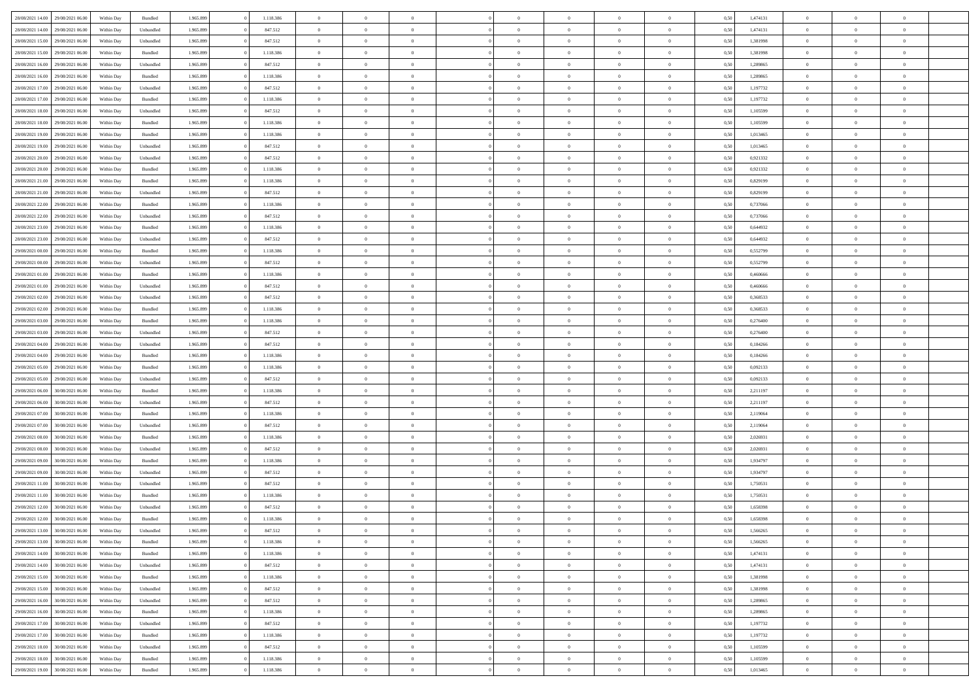| 28/08/2021 14:00 | 29/08/2021 06:00 | Within Day | Bundled            | 1.965.899 | 1.118.386 | $\overline{0}$ | $\Omega$       |                | $\Omega$       | $\Omega$       | $\theta$       | $\theta$       | 0,50 | 1,474131 | $\theta$       | $\theta$       | $\theta$       |  |
|------------------|------------------|------------|--------------------|-----------|-----------|----------------|----------------|----------------|----------------|----------------|----------------|----------------|------|----------|----------------|----------------|----------------|--|
|                  |                  |            |                    |           |           |                |                |                |                |                |                |                |      |          |                |                |                |  |
| 28/08/2021 14:00 | 29/08/2021 06:00 | Within Day | Unbundled          | 1.965.899 | 847.512   | $\overline{0}$ | $\theta$       | $\overline{0}$ | $\overline{0}$ | $\bf{0}$       | $\overline{0}$ | $\bf{0}$       | 0,50 | 1,474131 | $\theta$       | $\overline{0}$ | $\overline{0}$ |  |
| 28/08/2021 15:00 | 29/08/2021 06:00 | Within Day | Unbundled          | 1.965.899 | 847.512   | $\overline{0}$ | $\bf{0}$       | $\overline{0}$ | $\overline{0}$ | $\bf{0}$       | $\overline{0}$ | $\mathbf{0}$   | 0,50 | 1,381998 | $\bf{0}$       | $\overline{0}$ | $\bf{0}$       |  |
| 28/08/2021 15:00 | 29/08/2021 06:00 | Within Dav | Bundled            | 1.965.899 | 1.118.386 | $\overline{0}$ | $\overline{0}$ | $\overline{0}$ | $\overline{0}$ | $\bf{0}$       | $\overline{0}$ | $\overline{0}$ | 0.50 | 1.381998 | $\theta$       | $\theta$       | $\overline{0}$ |  |
|                  |                  |            |                    |           |           |                |                |                |                |                |                |                |      |          |                |                |                |  |
| 28/08/2021 16:00 | 29/08/2021 06:00 | Within Day | Unbundled          | 1.965.899 | 847.512   | $\overline{0}$ | $\theta$       | $\overline{0}$ | $\overline{0}$ | $\bf{0}$       | $\overline{0}$ | $\bf{0}$       | 0,50 | 1,289865 | $\,$ 0 $\,$    | $\overline{0}$ | $\overline{0}$ |  |
| 28/08/2021 16:00 | 29/08/2021 06:00 | Within Day | Bundled            | 1.965.899 | 1.118.386 | $\overline{0}$ | $\overline{0}$ | $\overline{0}$ | $\bf{0}$       | $\overline{0}$ | $\overline{0}$ | $\mathbf{0}$   | 0,50 | 1,289865 | $\overline{0}$ | $\overline{0}$ | $\bf{0}$       |  |
| 28/08/2021 17:00 | 29/08/2021 06:00 | Within Dav | Unbundled          | 1.965.899 | 847.512   | $\overline{0}$ | $\overline{0}$ | $\overline{0}$ | $\overline{0}$ | $\overline{0}$ | $\overline{0}$ | $\overline{0}$ | 0.50 | 1,197732 | $\theta$       | $\overline{0}$ | $\overline{0}$ |  |
| 28/08/2021 17:00 | 29/08/2021 06:00 | Within Day | Bundled            | 1.965.899 | 1.118.386 | $\overline{0}$ | $\theta$       | $\overline{0}$ | $\overline{0}$ | $\bf{0}$       | $\overline{0}$ | $\bf{0}$       | 0,50 | 1,197732 | $\theta$       | $\theta$       | $\overline{0}$ |  |
|                  |                  |            |                    |           |           |                | $\overline{0}$ |                |                | $\bf{0}$       |                |                |      |          | $\,0\,$        | $\overline{0}$ | $\overline{0}$ |  |
| 28/08/2021 18:00 | 29/08/2021 06:00 | Within Day | Unbundled          | 1.965.899 | 847.512   | $\overline{0}$ |                | $\overline{0}$ | $\bf{0}$       |                | $\bf{0}$       | $\mathbf{0}$   | 0,50 | 1,105599 |                |                |                |  |
| 28/08/2021 18:00 | 29/08/2021 06:00 | Within Dav | Bundled            | 1.965.899 | 1.118.386 | $\overline{0}$ | $\overline{0}$ | $\overline{0}$ | $\overline{0}$ | $\overline{0}$ | $\overline{0}$ | $\overline{0}$ | 0.50 | 1,105599 | $\theta$       | $\overline{0}$ | $\overline{0}$ |  |
| 28/08/2021 19:00 | 29/08/2021 06:00 | Within Day | Bundled            | 1.965.899 | 1.118.386 | $\overline{0}$ | $\theta$       | $\overline{0}$ | $\overline{0}$ | $\bf{0}$       | $\overline{0}$ | $\bf{0}$       | 0,50 | 1,013465 | $\,$ 0 $\,$    | $\overline{0}$ | $\overline{0}$ |  |
| 28/08/2021 19:00 | 29/08/2021 06:00 | Within Day | Unbundled          | 1.965.899 | 847.512   | $\overline{0}$ | $\overline{0}$ | $\overline{0}$ | $\bf{0}$       | $\bf{0}$       | $\bf{0}$       | $\mathbf{0}$   | 0,50 | 1,013465 | $\overline{0}$ | $\overline{0}$ | $\bf{0}$       |  |
| 28/08/2021 20:00 | 29/08/2021 06:00 | Within Day | Unbundled          | 1.965.899 | 847.512   | $\overline{0}$ | $\overline{0}$ | $\overline{0}$ | $\overline{0}$ | $\bf{0}$       | $\overline{0}$ | $\overline{0}$ | 0.50 | 0.921332 | $\theta$       | $\theta$       | $\overline{0}$ |  |
|                  |                  |            |                    |           |           | $\overline{0}$ | $\theta$       |                |                | $\bf{0}$       |                |                |      |          | $\theta$       | $\overline{0}$ |                |  |
| 28/08/2021 20:00 | 29/08/2021 06:00 | Within Day | Bundled            | 1.965.899 | 1.118.386 |                |                | $\overline{0}$ | $\overline{0}$ |                | $\overline{0}$ | $\bf{0}$       | 0,50 | 0,921332 |                |                | $\overline{0}$ |  |
| 28/08/2021 21:00 | 29/08/2021 06:00 | Within Day | Bundled            | 1.965.899 | 1.118.386 | $\overline{0}$ | $\overline{0}$ | $\overline{0}$ | $\bf{0}$       | $\overline{0}$ | $\overline{0}$ | $\mathbf{0}$   | 0,50 | 0,829199 | $\overline{0}$ | $\overline{0}$ | $\bf{0}$       |  |
| 28/08/2021 21:00 | 29/08/2021 06:00 | Within Dav | Unbundled          | 1.965.899 | 847.512   | $\overline{0}$ | $\overline{0}$ | $\overline{0}$ | $\overline{0}$ | $\overline{0}$ | $\overline{0}$ | $\overline{0}$ | 0.50 | 0.829199 | $\overline{0}$ | $\overline{0}$ | $\overline{0}$ |  |
| 28/08/2021 22:00 | 29/08/2021 06:00 | Within Day | Bundled            | 1.965.899 | 1.118.386 | $\overline{0}$ | $\theta$       | $\overline{0}$ | $\overline{0}$ | $\bf{0}$       | $\overline{0}$ | $\bf{0}$       | 0,50 | 0,737066 | $\,$ 0 $\,$    | $\overline{0}$ | $\overline{0}$ |  |
| 28/08/2021 22:00 | 29/08/2021 06:00 | Within Day | Unbundled          | 1.965.899 | 847.512   | $\overline{0}$ | $\overline{0}$ | $\overline{0}$ | $\bf{0}$       | $\bf{0}$       | $\bf{0}$       | $\mathbf{0}$   | 0,50 | 0,737066 | $\overline{0}$ | $\overline{0}$ | $\bf{0}$       |  |
|                  |                  |            |                    |           |           |                |                |                |                |                |                |                |      |          |                |                |                |  |
| 28/08/2021 23:00 | 29/08/2021 06:00 | Within Day | Bundled            | 1.965.899 | 1.118.386 | $\overline{0}$ | $\overline{0}$ | $\overline{0}$ | $\overline{0}$ | $\overline{0}$ | $\overline{0}$ | $\overline{0}$ | 0.50 | 0,644932 | $\theta$       | $\overline{0}$ | $\overline{0}$ |  |
| 28/08/2021 23:00 | 29/08/2021 06:00 | Within Day | Unbundled          | 1.965.899 | 847.512   | $\overline{0}$ | $\theta$       | $\overline{0}$ | $\overline{0}$ | $\bf{0}$       | $\overline{0}$ | $\bf{0}$       | 0,50 | 0,644932 | $\,$ 0 $\,$    | $\overline{0}$ | $\overline{0}$ |  |
| 29/08/2021 00:00 | 29/08/2021 06:00 | Within Day | Bundled            | 1.965.899 | 1.118.386 | $\overline{0}$ | $\overline{0}$ | $\overline{0}$ | $\bf{0}$       | $\bf{0}$       | $\bf{0}$       | $\mathbf{0}$   | 0,50 | 0,552799 | $\overline{0}$ | $\overline{0}$ | $\bf{0}$       |  |
| 29/08/2021 00:00 | 29/08/2021 06:00 | Within Day | Unbundled          | 1.965.899 | 847.512   | $\overline{0}$ | $\overline{0}$ | $\overline{0}$ | $\overline{0}$ | $\overline{0}$ | $\overline{0}$ | $\overline{0}$ | 0.50 | 0,552799 | $\theta$       | $\overline{0}$ | $\overline{0}$ |  |
| 29/08/2021 01:00 | 29/08/2021 06:00 |            | Bundled            | 1.965.899 | 1.118.386 | $\overline{0}$ | $\theta$       | $\overline{0}$ | $\overline{0}$ | $\bf{0}$       | $\overline{0}$ |                |      | 0,460666 | $\,$ 0 $\,$    | $\overline{0}$ | $\overline{0}$ |  |
|                  |                  | Within Day |                    |           |           |                |                |                |                |                |                | $\bf{0}$       | 0,50 |          |                |                |                |  |
| 29/08/2021 01:00 | 29/08/2021 06:00 | Within Day | Unbundled          | 1.965.899 | 847.512   | $\overline{0}$ | $\overline{0}$ | $\overline{0}$ | $\overline{0}$ | $\overline{0}$ | $\overline{0}$ | $\mathbf{0}$   | 0,50 | 0,460666 | $\bf{0}$       | $\overline{0}$ | $\bf{0}$       |  |
| 29/08/2021 02:00 | 29/08/2021 06:00 | Within Dav | Unbundled          | 1.965.899 | 847.512   | $\overline{0}$ | $\overline{0}$ | $\overline{0}$ | $\overline{0}$ | $\overline{0}$ | $\overline{0}$ | $\overline{0}$ | 0.50 | 0,368533 | $\theta$       | $\overline{0}$ | $\overline{0}$ |  |
| 29/08/2021 02:00 | 29/08/2021 06:00 | Within Day | Bundled            | 1.965.899 | 1.118.386 | $\overline{0}$ | $\theta$       | $\overline{0}$ | $\overline{0}$ | $\bf{0}$       | $\overline{0}$ | $\bf{0}$       | 0,50 | 0,368533 | $\theta$       | $\theta$       | $\overline{0}$ |  |
| 29/08/2021 03:00 | 29/08/2021 06:00 | Within Day | Bundled            | 1.965.899 | 1.118.386 | $\overline{0}$ | $\overline{0}$ | $\overline{0}$ | $\overline{0}$ | $\bf{0}$       | $\overline{0}$ | $\mathbf{0}$   | 0,50 | 0,276400 | $\,0\,$        | $\overline{0}$ | $\overline{0}$ |  |
|                  |                  |            |                    |           |           |                | $\overline{0}$ |                |                | $\overline{0}$ |                |                |      |          | $\theta$       | $\overline{0}$ | $\overline{0}$ |  |
| 29/08/2021 03:00 | 29/08/2021 06:00 | Within Day | Unbundled          | 1.965.899 | 847.512   | $\overline{0}$ |                | $\overline{0}$ | $\overline{0}$ |                | $\overline{0}$ | $\overline{0}$ | 0.50 | 0.276400 |                |                |                |  |
| 29/08/2021 04:00 | 29/08/2021 06:00 | Within Day | Unbundled          | 1.965.899 | 847.512   | $\overline{0}$ | $\overline{0}$ | $\overline{0}$ | $\overline{0}$ | $\bf{0}$       | $\overline{0}$ | $\bf{0}$       | 0,50 | 0,184266 | $\,$ 0 $\,$    | $\overline{0}$ | $\overline{0}$ |  |
| 29/08/2021 04:00 | 29/08/2021 06:00 | Within Day | Bundled            | 1.965.899 | 1.118.386 | $\overline{0}$ | $\overline{0}$ | $\overline{0}$ | $\overline{0}$ | $\bf{0}$       | $\overline{0}$ | $\mathbf{0}$   | 0,50 | 0,184266 | $\bf{0}$       | $\overline{0}$ | $\bf{0}$       |  |
| 29/08/2021 05:00 | 29/08/2021 06:00 | Within Day | Bundled            | 1.965.899 | 1.118.386 | $\bf{0}$       | $\Omega$       | $\overline{0}$ | $\Omega$       | $\Omega$       | $\overline{0}$ | $\overline{0}$ | 0,50 | 0,092133 | $\,0\,$        | $\theta$       | $\theta$       |  |
| 29/08/2021 05:00 | 29/08/2021 06:00 | Within Day | Unbundled          | 1.965.899 | 847.512   | $\overline{0}$ | $\theta$       | $\overline{0}$ | $\overline{0}$ | $\bf{0}$       | $\overline{0}$ | $\bf{0}$       | 0,50 | 0,092133 | $\,$ 0 $\,$    | $\overline{0}$ | $\overline{0}$ |  |
|                  |                  |            |                    |           |           |                |                |                |                |                |                |                |      |          |                |                |                |  |
| 29/08/2021 06:00 | 30/08/2021 06:00 | Within Day | Bundled            | 1.965.899 | 1.118.386 | $\overline{0}$ | $\overline{0}$ | $\overline{0}$ | $\overline{0}$ | $\overline{0}$ | $\overline{0}$ | $\mathbf{0}$   | 0,50 | 2,211197 | $\bf{0}$       | $\overline{0}$ | $\bf{0}$       |  |
| 29/08/2021 06:00 | 30/08/2021 06:00 | Within Day | Unbundled          | 1.965.899 | 847.512   | $\overline{0}$ | $\Omega$       | $\overline{0}$ | $\Omega$       | $\overline{0}$ | $\overline{0}$ | $\overline{0}$ | 0.50 | 2,211197 | $\,$ 0 $\,$    | $\theta$       | $\theta$       |  |
| 29/08/2021 07:00 | 30/08/2021 06:00 | Within Day | Bundled            | 1.965.899 | 1.118.386 | $\overline{0}$ | $\theta$       | $\overline{0}$ | $\overline{0}$ | $\bf{0}$       | $\overline{0}$ | $\bf{0}$       | 0,50 | 2,119064 | $\,$ 0 $\,$    | $\overline{0}$ | $\overline{0}$ |  |
| 29/08/2021 07:00 | 30/08/2021 06:00 | Within Day | Unbundled          | 1.965.899 | 847.512   | $\overline{0}$ | $\overline{0}$ | $\overline{0}$ | $\overline{0}$ | $\bf{0}$       | $\overline{0}$ | $\mathbf{0}$   | 0,50 | 2,119064 | $\bf{0}$       | $\overline{0}$ | $\bf{0}$       |  |
| 29/08/2021 08:00 | 30/08/2021 06:00 |            | Bundled            | 1.965.899 | 1.118.386 | $\overline{0}$ | $\Omega$       | $\overline{0}$ | $\Omega$       | $\overline{0}$ | $\overline{0}$ | $\overline{0}$ | 0.50 | 2.026931 | $\,$ 0 $\,$    | $\theta$       | $\theta$       |  |
|                  |                  | Within Day |                    |           |           |                |                |                |                |                |                |                |      |          |                |                |                |  |
| 29/08/2021 08:00 | 30/08/2021 06:00 | Within Day | Unbundled          | 1.965.899 | 847.512   | $\overline{0}$ | $\overline{0}$ | $\overline{0}$ | $\overline{0}$ | $\,$ 0         | $\overline{0}$ | $\bf{0}$       | 0,50 | 2,026931 | $\,$ 0 $\,$    | $\overline{0}$ | $\overline{0}$ |  |
| 29/08/2021 09:00 | 30/08/2021 06:00 | Within Day | Bundled            | 1.965.899 | 1.118.386 | $\overline{0}$ | $\overline{0}$ | $\overline{0}$ | $\overline{0}$ | $\bf{0}$       | $\overline{0}$ | $\mathbf{0}$   | 0,50 | 1,934797 | $\overline{0}$ | $\overline{0}$ | $\bf{0}$       |  |
| 29/08/2021 09:00 | 30/08/2021 06:00 | Within Day | Unbundled          | 1.965.899 | 847.512   | $\overline{0}$ | $\Omega$       | $\overline{0}$ | $\Omega$       | $\overline{0}$ | $\overline{0}$ | $\overline{0}$ | 0,50 | 1,934797 | $\,0\,$        | $\theta$       | $\theta$       |  |
| 29/08/2021 11:00 | 30/08/2021 06:00 | Within Day | Unbundled          | 1.965.899 | 847.512   | $\overline{0}$ | $\overline{0}$ | $\overline{0}$ | $\overline{0}$ | $\,$ 0         | $\overline{0}$ | $\bf{0}$       | 0,50 | 1,750531 | $\,$ 0 $\,$    | $\overline{0}$ | $\overline{0}$ |  |
| 29/08/2021 11:00 | 30/08/2021 06:00 | Within Day | Bundled            | 1.965.899 | 1.118.386 | $\overline{0}$ | $\overline{0}$ | $\overline{0}$ | $\bf{0}$       | $\bf{0}$       | $\overline{0}$ | $\mathbf{0}$   | 0,50 | 1,750531 | $\overline{0}$ | $\overline{0}$ | $\bf{0}$       |  |
|                  |                  |            |                    |           |           |                |                |                |                |                |                |                |      |          |                |                |                |  |
| 29/08/2021 12:00 | 30/08/2021 06:00 | Within Day | Unbundled          | 1.965.899 | 847.512   | $\overline{0}$ | $\Omega$       | $\Omega$       | $\Omega$       | $\Omega$       | $\Omega$       | $\overline{0}$ | 0.50 | 1,658398 | $\theta$       | $\theta$       | $\theta$       |  |
| 29/08/2021 12:00 | 30/08/2021 06:00 | Within Day | Bundled            | 1.965.899 | 1.118.386 | $\overline{0}$ | $\overline{0}$ | $\overline{0}$ | $\bf{0}$       | $\,$ 0         | $\bf{0}$       | $\bf{0}$       | 0,50 | 1,658398 | $\,0\,$        | $\,0\,$        | $\overline{0}$ |  |
| 29/08/2021 13:00 | 30/08/2021 06:00 | Within Day | Unbundled          | 1.965.899 | 847.512   | $\overline{0}$ | $\bf{0}$       |                |                | $\bf{0}$       |                |                | 0,50 | 1,566265 | $\bf{0}$       | $\overline{0}$ |                |  |
| 29/08/2021 13:00 | 30/08/2021 06:00 | Within Day | Bundled            | 1.965.899 | 1.118.386 | $\overline{0}$ | $\overline{0}$ | $\overline{0}$ | $\Omega$       | $\overline{0}$ | $\overline{0}$ | $\overline{0}$ | 0,50 | 1.566265 | $\theta$       | $\theta$       | $\Omega$       |  |
| 29/08/2021 14:00 | 30/08/2021 06:00 | Within Day | Bundled            | 1.965.899 | 1.118.386 | $\overline{0}$ | $\bf{0}$       | $\overline{0}$ | $\bf{0}$       | $\,$ 0 $\,$    | $\overline{0}$ | $\,$ 0 $\,$    | 0,50 | 1,474131 | $\,$ 0 $\,$    | $\,$ 0 $\,$    | $\,$ 0         |  |
|                  |                  |            |                    |           |           |                |                |                |                |                |                |                |      |          |                |                |                |  |
| 29/08/2021 14:00 | 30/08/2021 06:00 | Within Day | Unbundled          | 1.965.899 | 847.512   | $\overline{0}$ | $\overline{0}$ | $\overline{0}$ | $\overline{0}$ | $\overline{0}$ | $\overline{0}$ | $\mathbf{0}$   | 0,50 | 1,474131 | $\overline{0}$ | $\bf{0}$       | $\overline{0}$ |  |
| 29/08/2021 15:00 | 30/08/2021 06:00 | Within Day | $\mathbf B$ undled | 1.965.899 | 1.118.386 | $\overline{0}$ | $\overline{0}$ | $\overline{0}$ | $\Omega$       | $\overline{0}$ | $\overline{0}$ | $\overline{0}$ | 0,50 | 1,381998 | $\overline{0}$ | $\overline{0}$ | $\overline{0}$ |  |
| 29/08/2021 15:00 | 30/08/2021 06:00 | Within Day | Unbundled          | 1.965.899 | 847.512   | $\overline{0}$ | $\,$ 0         | $\overline{0}$ | $\bf{0}$       | $\,$ 0 $\,$    | $\overline{0}$ | $\,$ 0 $\,$    | 0,50 | 1,381998 | $\,$ 0 $\,$    | $\overline{0}$ | $\,$ 0         |  |
| 29/08/2021 16:00 | 30/08/2021 06:00 | Within Day | Unbundled          | 1.965.899 | 847.512   | $\overline{0}$ | $\overline{0}$ | $\overline{0}$ | $\overline{0}$ | $\overline{0}$ | $\overline{0}$ | $\mathbf{0}$   | 0,50 | 1,289865 | $\overline{0}$ | $\overline{0}$ | $\overline{0}$ |  |
|                  |                  |            |                    |           |           |                |                |                |                |                |                |                |      |          |                |                |                |  |
| 29/08/2021 16:00 | 30/08/2021 06:00 | Within Day | Bundled            | 1.965.899 | 1.118.386 | $\overline{0}$ | $\overline{0}$ | $\overline{0}$ | $\overline{0}$ | $\overline{0}$ | $\overline{0}$ | $\bf{0}$       | 0.50 | 1,289865 | $\overline{0}$ | $\theta$       | $\overline{0}$ |  |
| 29/08/2021 17:00 | 30/08/2021 06:00 | Within Day | Unbundled          | 1.965.899 | 847.512   | $\overline{0}$ | $\,$ 0         | $\overline{0}$ | $\bf{0}$       | $\bf{0}$       | $\bf{0}$       | $\bf{0}$       | 0,50 | 1,197732 | $\,$ 0 $\,$    | $\overline{0}$ | $\overline{0}$ |  |
| 29/08/2021 17:00 | 30/08/2021 06:00 | Within Day | Bundled            | 1.965.899 | 1.118.386 | $\overline{0}$ | $\bf{0}$       | $\overline{0}$ | $\overline{0}$ | $\overline{0}$ | $\overline{0}$ | $\mathbf{0}$   | 0,50 | 1,197732 | $\overline{0}$ | $\overline{0}$ | $\bf{0}$       |  |
| 29/08/2021 18:00 | 30/08/2021 06:00 | Within Day | Unbundled          | 1.965.899 | 847.512   | $\overline{0}$ | $\overline{0}$ | $\overline{0}$ | $\Omega$       | $\overline{0}$ | $\overline{0}$ | $\overline{0}$ | 0.50 | 1,105599 | $\overline{0}$ | $\overline{0}$ | $\overline{0}$ |  |
| 29/08/2021 18:00 | 30/08/2021 06:00 | Within Day | Bundled            | 1.965.899 | 1.118.386 | $\overline{0}$ | $\bf{0}$       | $\overline{0}$ | $\bf{0}$       | $\bf{0}$       | $\bf{0}$       | $\mathbf{0}$   | 0,50 | 1,105599 | $\,$ 0 $\,$    | $\,$ 0 $\,$    | $\bf{0}$       |  |
|                  |                  |            |                    |           |           |                |                |                |                |                |                |                |      |          |                |                |                |  |
| 29/08/2021 19:00 | 30/08/2021 06:00 | Within Day | Bundled            | 1.965.899 | 1.118.386 | $\overline{0}$ | $\overline{0}$ | $\overline{0}$ | $\overline{0}$ | $\overline{0}$ | $\bf{0}$       | $\mathbf{0}$   | 0,50 | 1,013465 | $\overline{0}$ | $\bf{0}$       | $\overline{0}$ |  |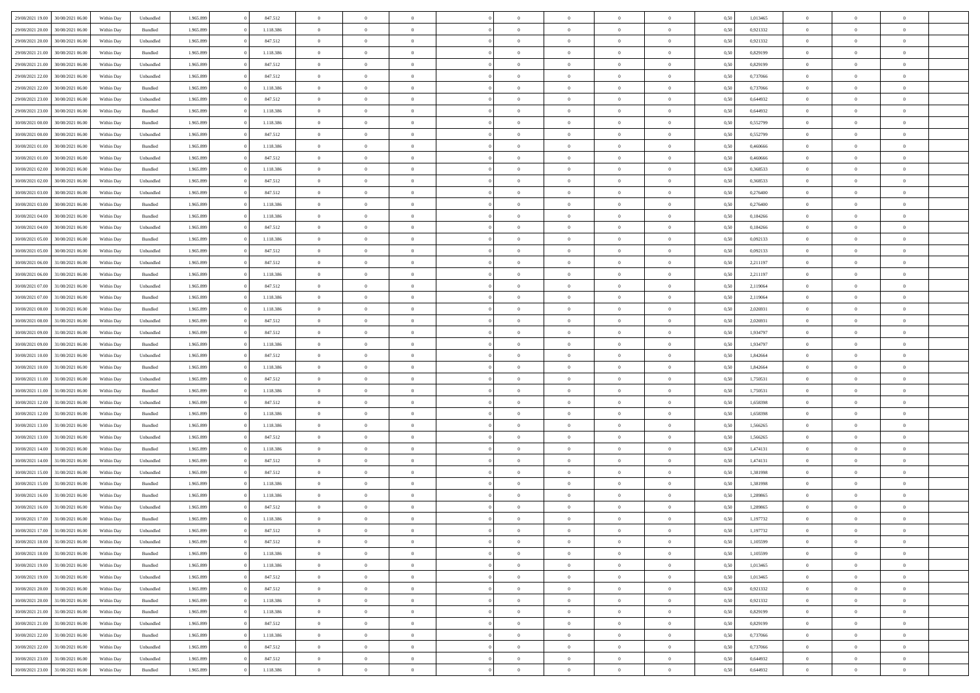|                  |                  |            |           |           |           | $\overline{0}$ | $\Omega$       |                |                | $\Omega$       | $\Omega$       | $\theta$       |      |          | $\theta$       |                | $\theta$       |  |
|------------------|------------------|------------|-----------|-----------|-----------|----------------|----------------|----------------|----------------|----------------|----------------|----------------|------|----------|----------------|----------------|----------------|--|
| 29/08/2021 19:00 | 30/08/2021 06:00 | Within Day | Unbundled | 1.965.899 | 847.512   |                |                |                | $\Omega$       |                |                |                | 0,50 | 1,013465 |                | $\theta$       |                |  |
| 29/08/2021 20:00 | 30/08/2021 06:00 | Within Day | Bundled   | 1.965.899 | 1.118.386 | $\overline{0}$ | $\theta$       | $\overline{0}$ | $\overline{0}$ | $\bf{0}$       | $\overline{0}$ | $\bf{0}$       | 0,50 | 0,921332 | $\theta$       | $\theta$       | $\overline{0}$ |  |
| 29/08/2021 20:00 | 30/08/2021 06:00 | Within Day | Unbundled | 1.965.899 | 847.512   | $\overline{0}$ | $\overline{0}$ | $\overline{0}$ | $\bf{0}$       | $\bf{0}$       | $\bf{0}$       | $\mathbf{0}$   | 0,50 | 0,921332 | $\bf{0}$       | $\overline{0}$ | $\overline{0}$ |  |
| 29/08/2021 21:00 | 30/08/2021 06:00 | Within Dav | Bundled   | 1.965.899 | 1.118.386 | $\overline{0}$ | $\overline{0}$ | $\overline{0}$ | $\overline{0}$ | $\bf{0}$       | $\overline{0}$ | $\overline{0}$ | 0.50 | 0.829199 | $\theta$       | $\theta$       | $\overline{0}$ |  |
|                  |                  |            |           |           |           |                |                |                |                |                |                |                |      |          |                |                |                |  |
| 29/08/2021 21:00 | 30/08/2021 06:00 | Within Day | Unbundled | 1.965.899 | 847.512   | $\overline{0}$ | $\theta$       | $\overline{0}$ | $\overline{0}$ | $\bf{0}$       | $\overline{0}$ | $\bf{0}$       | 0,50 | 0,829199 | $\theta$       | $\overline{0}$ | $\overline{0}$ |  |
| 29/08/2021 22:00 | 30/08/2021 06:00 | Within Day | Unbundled | 1.965.899 | 847.512   | $\overline{0}$ | $\overline{0}$ | $\overline{0}$ | $\overline{0}$ | $\overline{0}$ | $\overline{0}$ | $\mathbf{0}$   | 0,50 | 0,737066 | $\bf{0}$       | $\overline{0}$ | $\bf{0}$       |  |
| 29/08/2021 22:00 | 30/08/2021 06:00 | Within Dav | Bundled   | 1.965.899 | 1.118.386 | $\overline{0}$ | $\overline{0}$ | $\overline{0}$ | $\overline{0}$ | $\overline{0}$ | $\overline{0}$ | $\overline{0}$ | 0.50 | 0,737066 | $\theta$       | $\overline{0}$ | $\overline{0}$ |  |
| 29/08/2021 23:00 | 30/08/2021 06:00 | Within Day | Unbundled | 1.965.899 | 847.512   | $\overline{0}$ | $\theta$       | $\overline{0}$ | $\overline{0}$ | $\bf{0}$       | $\overline{0}$ | $\bf{0}$       | 0,50 | 0,644932 | $\theta$       | $\theta$       | $\overline{0}$ |  |
| 29/08/2021 23:00 | 30/08/2021 06:00 | Within Day | Bundled   | 1.965.899 | 1.118.386 | $\overline{0}$ | $\overline{0}$ | $\overline{0}$ | $\overline{0}$ | $\bf{0}$       | $\overline{0}$ | $\mathbf{0}$   | 0,50 | 0,644932 | $\,0\,$        | $\overline{0}$ | $\overline{0}$ |  |
|                  |                  |            |           |           |           |                |                |                |                |                |                |                |      |          |                |                |                |  |
| 30/08/2021 00:00 | 30/08/2021 06:00 | Within Dav | Bundled   | 1.965.899 | 1.118.386 | $\overline{0}$ | $\overline{0}$ | $\overline{0}$ | $\overline{0}$ | $\overline{0}$ | $\overline{0}$ | $\overline{0}$ | 0.50 | 0,552799 | $\theta$       | $\overline{0}$ | $\overline{0}$ |  |
| 30/08/2021 00:00 | 30/08/2021 06:00 | Within Day | Unbundled | 1.965.899 | 847.512   | $\overline{0}$ | $\theta$       | $\overline{0}$ | $\overline{0}$ | $\bf{0}$       | $\overline{0}$ | $\bf{0}$       | 0,50 | 0,552799 | $\,$ 0 $\,$    | $\overline{0}$ | $\overline{0}$ |  |
| 30/08/2021 01:00 | 30/08/2021 06:00 | Within Day | Bundled   | 1.965.899 | 1.118.386 | $\overline{0}$ | $\overline{0}$ | $\overline{0}$ | $\overline{0}$ | $\bf{0}$       | $\overline{0}$ | $\mathbf{0}$   | 0,50 | 0,460666 | $\bf{0}$       | $\overline{0}$ | $\overline{0}$ |  |
| 30/08/2021 01:00 | 30/08/2021 06:00 | Within Day | Unbundled | 1.965.899 | 847.512   | $\overline{0}$ | $\overline{0}$ | $\overline{0}$ | $\overline{0}$ | $\bf{0}$       | $\overline{0}$ | $\overline{0}$ | 0.50 | 0.460666 | $\theta$       | $\theta$       | $\overline{0}$ |  |
| 30/08/2021 02:00 | 30/08/2021 06:00 | Within Day | Bundled   | 1.965.899 | 1.118.386 | $\overline{0}$ | $\theta$       | $\overline{0}$ | $\overline{0}$ | $\bf{0}$       | $\overline{0}$ | $\bf{0}$       | 0,50 | 0,368533 | $\theta$       | $\overline{0}$ | $\overline{0}$ |  |
|                  |                  |            |           |           |           |                |                |                |                |                |                |                |      |          |                |                |                |  |
| 30/08/2021 02:00 | 30/08/2021 06:00 | Within Day | Unbundled | 1.965.899 | 847.512   | $\overline{0}$ | $\overline{0}$ | $\overline{0}$ | $\overline{0}$ | $\overline{0}$ | $\overline{0}$ | $\mathbf{0}$   | 0,50 | 0,368533 | $\bf{0}$       | $\overline{0}$ | $\bf{0}$       |  |
| 30/08/2021 03:00 | 30/08/2021 06:00 | Within Dav | Unbundled | 1.965.899 | 847.512   | $\overline{0}$ | $\overline{0}$ | $\overline{0}$ | $\overline{0}$ | $\overline{0}$ | $\overline{0}$ | $\overline{0}$ | 0.50 | 0,276400 | $\theta$       | $\overline{0}$ | $\overline{0}$ |  |
| 30/08/2021 03:00 | 30/08/2021 06:00 | Within Day | Bundled   | 1.965.899 | 1.118.386 | $\overline{0}$ | $\theta$       | $\overline{0}$ | $\overline{0}$ | $\bf{0}$       | $\overline{0}$ | $\bf{0}$       | 0,50 | 0,276400 | $\,$ 0 $\,$    | $\theta$       | $\overline{0}$ |  |
| 30/08/2021 04:00 | 30/08/2021 06:00 | Within Day | Bundled   | 1.965.899 | 1.118.386 | $\overline{0}$ | $\overline{0}$ | $\overline{0}$ | $\overline{0}$ | $\bf{0}$       | $\overline{0}$ | $\mathbf{0}$   | 0,50 | 0,184266 | $\bf{0}$       | $\overline{0}$ | $\overline{0}$ |  |
| 30/08/2021 04:00 | 30/08/2021 06:00 | Within Day | Unbundled | 1.965.899 | 847.512   | $\overline{0}$ | $\overline{0}$ | $\overline{0}$ | $\overline{0}$ | $\overline{0}$ | $\overline{0}$ | $\overline{0}$ | 0.50 | 0,184266 | $\theta$       | $\overline{0}$ | $\overline{0}$ |  |
|                  |                  |            |           |           |           |                |                |                |                |                |                |                |      |          |                |                |                |  |
| 30/08/2021 05:00 | 30/08/2021 06:00 | Within Day | Bundled   | 1.965.899 | 1.118.386 | $\overline{0}$ | $\theta$       | $\overline{0}$ | $\overline{0}$ | $\bf{0}$       | $\overline{0}$ | $\bf{0}$       | 0,50 | 0,092133 | $\,$ 0 $\,$    | $\overline{0}$ | $\overline{0}$ |  |
| 30/08/2021 05:00 | 30/08/2021 06:00 | Within Day | Unbundled | 1.965.899 | 847.512   | $\overline{0}$ | $\overline{0}$ | $\overline{0}$ | $\overline{0}$ | $\bf{0}$       | $\overline{0}$ | $\mathbf{0}$   | 0,50 | 0,092133 | $\bf{0}$       | $\overline{0}$ | $\overline{0}$ |  |
| 30/08/2021 06:00 | 31/08/2021 06:00 | Within Day | Unbundled | 1.965.899 | 847.512   | $\overline{0}$ | $\overline{0}$ | $\overline{0}$ | $\overline{0}$ | $\bf{0}$       | $\overline{0}$ | $\overline{0}$ | 0.50 | 2,211197 | $\theta$       | $\overline{0}$ | $\overline{0}$ |  |
| 30/08/2021 06:00 | 31/08/2021 06:00 | Within Day | Bundled   | 1.965.899 | 1.118.386 | $\overline{0}$ | $\theta$       | $\overline{0}$ | $\overline{0}$ | $\bf{0}$       | $\overline{0}$ | $\bf{0}$       | 0,50 | 2,211197 | $\,$ 0 $\,$    | $\overline{0}$ | $\overline{0}$ |  |
| 30/08/2021 07:00 | 31/08/2021 06:00 | Within Day | Unbundled | 1.965.899 | 847.512   | $\overline{0}$ | $\bf{0}$       | $\overline{0}$ | $\bf{0}$       | $\overline{0}$ | $\overline{0}$ | $\mathbf{0}$   | 0,50 | 2,119064 | $\overline{0}$ | $\overline{0}$ | $\bf{0}$       |  |
|                  |                  |            |           |           |           |                |                |                |                |                |                |                |      |          |                |                |                |  |
| 30/08/2021 07:00 | 31/08/2021 06:00 | Within Dav | Bundled   | 1.965.899 | 1.118.386 | $\overline{0}$ | $\overline{0}$ | $\overline{0}$ | $\overline{0}$ | $\overline{0}$ | $\overline{0}$ | $\overline{0}$ | 0.50 | 2,119064 | $\theta$       | $\overline{0}$ | $\overline{0}$ |  |
| 30/08/2021 08:00 | 31/08/2021 06:00 | Within Day | Bundled   | 1.965.899 | 1.118.386 | $\overline{0}$ | $\theta$       | $\overline{0}$ | $\overline{0}$ | $\bf{0}$       | $\overline{0}$ | $\bf{0}$       | 0,50 | 2,026931 | $\theta$       | $\theta$       | $\overline{0}$ |  |
| 30/08/2021 08:00 | 31/08/2021 06:00 | Within Day | Unbundled | 1.965.899 | 847.512   | $\overline{0}$ | $\overline{0}$ | $\overline{0}$ | $\bf{0}$       | $\bf{0}$       | $\bf{0}$       | $\bf{0}$       | 0,50 | 2,026931 | $\,0\,$        | $\overline{0}$ | $\overline{0}$ |  |
| 30/08/2021 09:00 | 31/08/2021 06:00 | Within Day | Unbundled | 1.965.899 | 847.512   | $\overline{0}$ | $\overline{0}$ | $\overline{0}$ | $\overline{0}$ | $\overline{0}$ | $\overline{0}$ | $\overline{0}$ | 0.50 | 1,934797 | $\theta$       | $\overline{0}$ | $\overline{0}$ |  |
| 30/08/2021 09:00 | 31/08/2021 06:00 | Within Day | Bundled   | 1.965.899 | 1.118.386 | $\overline{0}$ | $\theta$       | $\overline{0}$ | $\overline{0}$ | $\bf{0}$       | $\overline{0}$ | $\bf{0}$       | 0,50 | 1,934797 | $\,$ 0 $\,$    | $\overline{0}$ | $\overline{0}$ |  |
| 30/08/2021 10:00 | 31/08/2021 06:00 | Within Day | Unbundled | 1.965.899 | 847.512   | $\overline{0}$ | $\overline{0}$ | $\overline{0}$ | $\bf{0}$       | $\bf{0}$       | $\bf{0}$       | $\bf{0}$       | 0,50 | 1,842664 | $\overline{0}$ | $\overline{0}$ | $\overline{0}$ |  |
|                  |                  |            |           |           |           |                |                |                |                |                |                |                |      |          |                |                |                |  |
| 30/08/2021 10:00 | 31/08/2021 06:00 | Within Day | Bundled   | 1.965.899 | 1.118.386 | $\overline{0}$ | $\Omega$       | $\overline{0}$ | $\Omega$       | $\Omega$       | $\overline{0}$ | $\overline{0}$ | 0,50 | 1,842664 | $\,0\,$        | $\theta$       | $\theta$       |  |
| 30/08/2021 11:00 | 31/08/2021 06:00 | Within Day | Unbundled | 1.965.899 | 847.512   | $\overline{0}$ | $\theta$       | $\overline{0}$ | $\overline{0}$ | $\bf{0}$       | $\overline{0}$ | $\bf{0}$       | 0,50 | 1,750531 | $\,$ 0 $\,$    | $\theta$       | $\overline{0}$ |  |
| 30/08/2021 11:00 | 31/08/2021 06:00 | Within Day | Bundled   | 1.965.899 | 1.118.386 | $\overline{0}$ | $\overline{0}$ | $\overline{0}$ | $\bf{0}$       | $\bf{0}$       | $\overline{0}$ | $\mathbf{0}$   | 0,50 | 1,750531 | $\overline{0}$ | $\overline{0}$ | $\bf{0}$       |  |
| 30/08/2021 12:00 | 31/08/2021 06:00 | Within Day | Unbundled | 1.965.899 | 847.512   | $\overline{0}$ | $\Omega$       | $\Omega$       | $\Omega$       | $\bf{0}$       | $\overline{0}$ | $\overline{0}$ | 0.50 | 1,658398 | $\,0\,$        | $\theta$       | $\theta$       |  |
| 30/08/2021 12:00 | 31/08/2021 06:00 | Within Day | Bundled   | 1.965.899 | 1.118.386 | $\overline{0}$ | $\theta$       | $\overline{0}$ | $\overline{0}$ | $\bf{0}$       | $\overline{0}$ | $\bf{0}$       | 0,50 | 1,658398 | $\,$ 0 $\,$    | $\overline{0}$ | $\overline{0}$ |  |
| 30/08/2021 13:00 | 31/08/2021 06:00 | Within Day | Bundled   | 1.965.899 | 1.118.386 | $\overline{0}$ | $\overline{0}$ | $\overline{0}$ | $\bf{0}$       | $\bf{0}$       | $\bf{0}$       | $\bf{0}$       | 0,50 | 1,566265 | $\bf{0}$       | $\overline{0}$ | $\overline{0}$ |  |
|                  |                  |            |           |           |           |                |                |                |                |                |                |                |      |          |                |                |                |  |
| 30/08/2021 13:00 | 31/08/2021 06:00 | Within Day | Unbundled | 1.965.899 | 847.512   | $\overline{0}$ | $\Omega$       | $\overline{0}$ | $\Omega$       | $\overline{0}$ | $\overline{0}$ | $\overline{0}$ | 0.50 | 1.566265 | $\,$ 0 $\,$    | $\theta$       | $\theta$       |  |
| 30/08/2021 14:00 | 31/08/2021 06:00 | Within Day | Bundled   | 1.965.899 | 1.118.386 | $\overline{0}$ | $\theta$       | $\overline{0}$ | $\overline{0}$ | $\,$ 0         | $\overline{0}$ | $\bf{0}$       | 0,50 | 1,474131 | $\,$ 0 $\,$    | $\overline{0}$ | $\overline{0}$ |  |
| 30/08/2021 14:00 | 31/08/2021 06:00 | Within Day | Unbundled | 1.965.899 | 847.512   | $\overline{0}$ | $\overline{0}$ | $\overline{0}$ | $\bf{0}$       | $\bf{0}$       | $\bf{0}$       | $\mathbf{0}$   | 0,50 | 1,474131 | $\overline{0}$ | $\overline{0}$ | $\overline{0}$ |  |
| 30/08/2021 15:00 | 31/08/2021 06.00 | Within Day | Unbundled | 1.965.899 | 847.512   | $\overline{0}$ | $\Omega$       | $\overline{0}$ | $\Omega$       | $\overline{0}$ | $\overline{0}$ | $\overline{0}$ | 0,50 | 1,381998 | $\,0\,$        | $\theta$       | $\theta$       |  |
| 30/08/2021 15:00 | 31/08/2021 06:00 | Within Day | Bundled   | 1.965.899 | 1.118.386 | $\overline{0}$ | $\theta$       | $\overline{0}$ | $\overline{0}$ | $\,$ 0         | $\overline{0}$ | $\bf{0}$       | 0,50 | 1,381998 | $\,$ 0 $\,$    | $\overline{0}$ | $\overline{0}$ |  |
|                  |                  |            |           |           |           |                | $\overline{0}$ |                |                | $\bf{0}$       |                |                |      |          |                | $\overline{0}$ | $\bf{0}$       |  |
| 30/08/2021 16:00 | 31/08/2021 06:00 | Within Day | Bundled   | 1.965.899 | 1.118.386 | $\overline{0}$ |                | $\overline{0}$ | $\overline{0}$ |                | $\overline{0}$ | $\mathbf{0}$   | 0,50 | 1,289865 | $\bf{0}$       |                |                |  |
| 30/08/2021 16:00 | 31/08/2021 06.00 | Within Day | Unbundled | 1.965.899 | 847.512   | $\overline{0}$ | $\Omega$       | $\Omega$       | $\Omega$       | $\Omega$       | $\Omega$       | $\overline{0}$ | 0.50 | 1,289865 | $\theta$       | $\theta$       | $\theta$       |  |
| 30/08/2021 17:00 | 31/08/2021 06:00 | Within Day | Bundled   | 1.965.899 | 1.118.386 | $\overline{0}$ | $\overline{0}$ | $\overline{0}$ | $\bf{0}$       | $\,$ 0         | $\overline{0}$ | $\bf{0}$       | 0,50 | 1,197732 | $\,0\,$        | $\overline{0}$ | $\overline{0}$ |  |
| 30/08/2021 17:00 | 31/08/2021 06:00 | Within Day | Unbundled | 1.965.899 | 847.512   | $\bf{0}$       | $\bf{0}$       |                |                | $\bf{0}$       |                |                | 0,50 | 1,197732 | $\bf{0}$       | $\overline{0}$ |                |  |
| 30/08/2021 18:00 | 31/08/2021 06:00 | Within Day | Unbundled | 1.965.899 | 847.512   | $\overline{0}$ | $\overline{0}$ | $\overline{0}$ | $\Omega$       | $\overline{0}$ | $\overline{0}$ | $\overline{0}$ | 0,50 | 1.105599 | $\theta$       | $\theta$       | $\theta$       |  |
| 30/08/2021 18:00 | 31/08/2021 06:00 | Within Day | Bundled   | 1.965.899 | 1.118.386 | $\overline{0}$ | $\bf{0}$       | $\overline{0}$ | $\overline{0}$ | $\,$ 0 $\,$    | $\overline{0}$ | $\,$ 0 $\,$    | 0,50 | 1,105599 | $\,$ 0 $\,$    | $\,$ 0 $\,$    | $\,$ 0         |  |
| 30/08/2021 19:00 | 31/08/2021 06:00 | Within Day | Bundled   | 1.965.899 | 1.118.386 | $\overline{0}$ | $\overline{0}$ | $\overline{0}$ | $\overline{0}$ | $\overline{0}$ | $\overline{0}$ | $\mathbf{0}$   | 0,50 | 1,013465 | $\overline{0}$ | $\bf{0}$       | $\bf{0}$       |  |
|                  |                  |            |           |           |           |                |                |                |                |                |                |                |      |          |                |                |                |  |
| 30/08/2021 19:00 | 31/08/2021 06:00 | Within Day | Unbundled | 1.965.899 | 847.512   | $\overline{0}$ | $\overline{0}$ | $\overline{0}$ | $\Omega$       | $\overline{0}$ | $\overline{0}$ | $\overline{0}$ | 0,50 | 1,013465 | $\overline{0}$ | $\overline{0}$ | $\overline{0}$ |  |
| 30/08/2021 20:00 | 31/08/2021 06:00 | Within Day | Unbundled | 1.965.899 | 847.512   | $\overline{0}$ | $\,$ 0         | $\overline{0}$ | $\overline{0}$ | $\,$ 0 $\,$    | $\overline{0}$ | $\mathbf{0}$   | 0,50 | 0,921332 | $\,$ 0 $\,$    | $\overline{0}$ | $\overline{0}$ |  |
| 30/08/2021 20:00 | 31/08/2021 06:00 | Within Day | Bundled   | 1.965.899 | 1.118.386 | $\overline{0}$ | $\overline{0}$ | $\overline{0}$ | $\overline{0}$ | $\overline{0}$ | $\overline{0}$ | $\mathbf{0}$   | 0,50 | 0,921332 | $\overline{0}$ | $\overline{0}$ | $\bf{0}$       |  |
| 30/08/2021 21:00 | 31/08/2021 06:00 | Within Day | Bundled   | 1.965.899 | 1.118.386 | $\overline{0}$ | $\overline{0}$ | $\overline{0}$ | $\overline{0}$ | $\overline{0}$ | $\overline{0}$ | $\bf{0}$       | 0.50 | 0,829199 | $\overline{0}$ | $\theta$       | $\overline{0}$ |  |
| 30/08/2021 21:00 | 31/08/2021 06:00 | Within Day | Unbundled | 1.965.899 | 847.512   | $\overline{0}$ | $\,$ 0         | $\overline{0}$ | $\overline{0}$ | $\bf{0}$       | $\overline{0}$ | $\bf{0}$       | 0,50 | 0,829199 | $\,$ 0 $\,$    | $\overline{0}$ | $\overline{0}$ |  |
|                  |                  |            |           |           |           |                |                |                |                |                |                |                |      |          |                |                |                |  |
| 30/08/2021 22:00 | 31/08/2021 06:00 | Within Day | Bundled   | 1.965.899 | 1.118.386 | $\overline{0}$ | $\bf{0}$       | $\overline{0}$ | $\overline{0}$ | $\overline{0}$ | $\overline{0}$ | $\mathbf{0}$   | 0,50 | 0,737066 | $\overline{0}$ | $\overline{0}$ | $\bf{0}$       |  |
| 30/08/2021 22:00 | 31/08/2021 06:00 | Within Day | Unbundled | 1.965.899 | 847.512   | $\overline{0}$ | $\overline{0}$ | $\overline{0}$ | $\Omega$       | $\overline{0}$ | $\overline{0}$ | $\overline{0}$ | 0.50 | 0,737066 | $\overline{0}$ | $\overline{0}$ | $\overline{0}$ |  |
| 30/08/2021 23:00 | 31/08/2021 06:00 | Within Day | Unbundled | 1.965.899 | 847.512   | $\overline{0}$ | $\bf{0}$       | $\overline{0}$ | $\bf{0}$       | $\bf{0}$       | $\overline{0}$ | $\mathbf{0}$   | 0,50 | 0,644932 | $\,$ 0 $\,$    | $\,$ 0 $\,$    | $\bf{0}$       |  |
| 30/08/2021 23:00 | 31/08/2021 06:00 | Within Day | Bundled   | 1.965.899 | 1.118.386 | $\overline{0}$ | $\overline{0}$ | $\overline{0}$ | $\overline{0}$ | $\overline{0}$ | $\overline{0}$ | $\mathbf{0}$   | 0,50 | 0,644932 | $\overline{0}$ | $\bf{0}$       | $\overline{0}$ |  |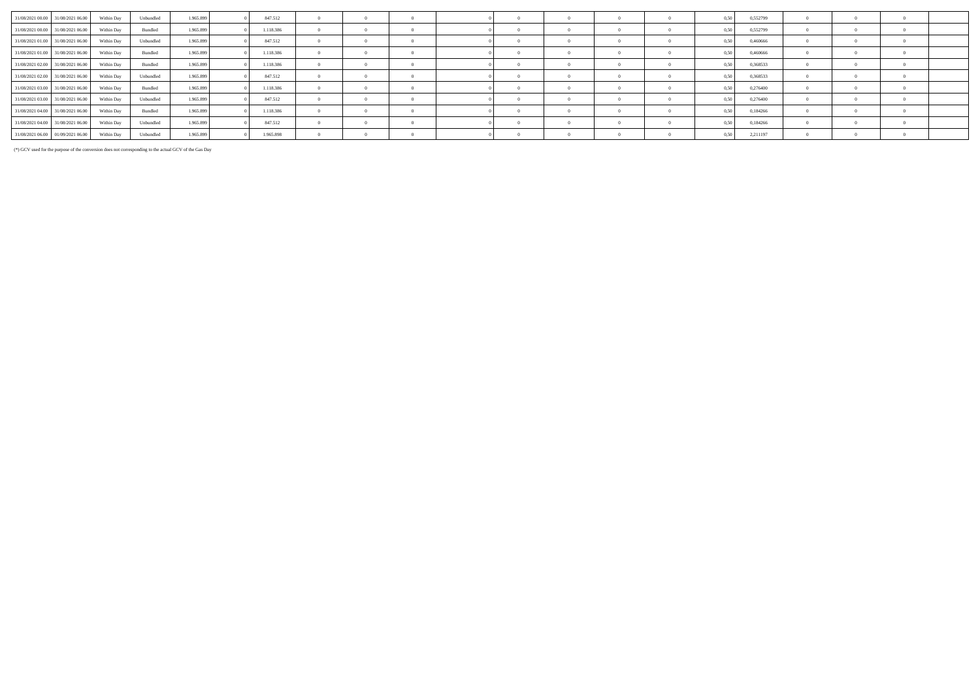| 31/08/2021 00:00 31/08/2021 06:00            | Within Day | Unbundled | 1.965.899 | 847.512   |  |  |              |  | 0.50 | 0,552799 |  |  |
|----------------------------------------------|------------|-----------|-----------|-----------|--|--|--------------|--|------|----------|--|--|
| 31/08/2021 00:00 31/08/2021 06:00            | Within Day | Bundled   | 1.965.899 | 1.118.386 |  |  |              |  |      | 0,552799 |  |  |
| 31/08/2021 01:00 31/08/2021 06:00            | Within Day | Unbundled | 1.965.899 | 847.512   |  |  | $\Omega$     |  | 0.50 | 0.460666 |  |  |
| 31/08/2021 01:00 31/08/2021 06:00            | Within Day | Bundled   | 1.965.899 | 1.118.386 |  |  |              |  | 0.50 | 0.460666 |  |  |
| 31/08/2021 02:00 31/08/2021 06:00            | Within Day | Bundled   | 1.965.899 | 1.118.386 |  |  |              |  | 0.50 | 0,368533 |  |  |
| 31/08/2021 02:00 31/08/2021 06:00            | Within Day | Unbundled | 1.965.899 | 847.512   |  |  |              |  | 0.50 | 0.368533 |  |  |
| 31/08/2021 03:00 31/08/2021 06:00 Within Day |            | Bundled   | 1.965.899 | 1.118.386 |  |  |              |  | 0.50 | 0,276400 |  |  |
| 31/08/2021 03:00 31/08/2021 06:00            | Within Day | Unbundled | 1.965.899 | 847.512   |  |  |              |  | 0.50 | 0.276400 |  |  |
| 31/08/2021 04:00 31/08/2021 06:00            | Within Dav | Bundled   | 1.965.899 | 1.118.386 |  |  |              |  | 0.50 | 0.184266 |  |  |
| 31/08/2021 04:00 31/08/2021 06:00            | Within Day | Unbundled | 1.965.899 | 847.512   |  |  | $\mathbf{a}$ |  | 0.50 | 0.184266 |  |  |
| 31/08/2021 06:00 01/09/2021 06:00            | Within Day | Unbundled | 1.965.899 | 1.965.898 |  |  |              |  | 0.50 | 2,211197 |  |  |

(\*) GCV used for the purpose of the conversion does not corresponding to the actual GCV of the Gas Day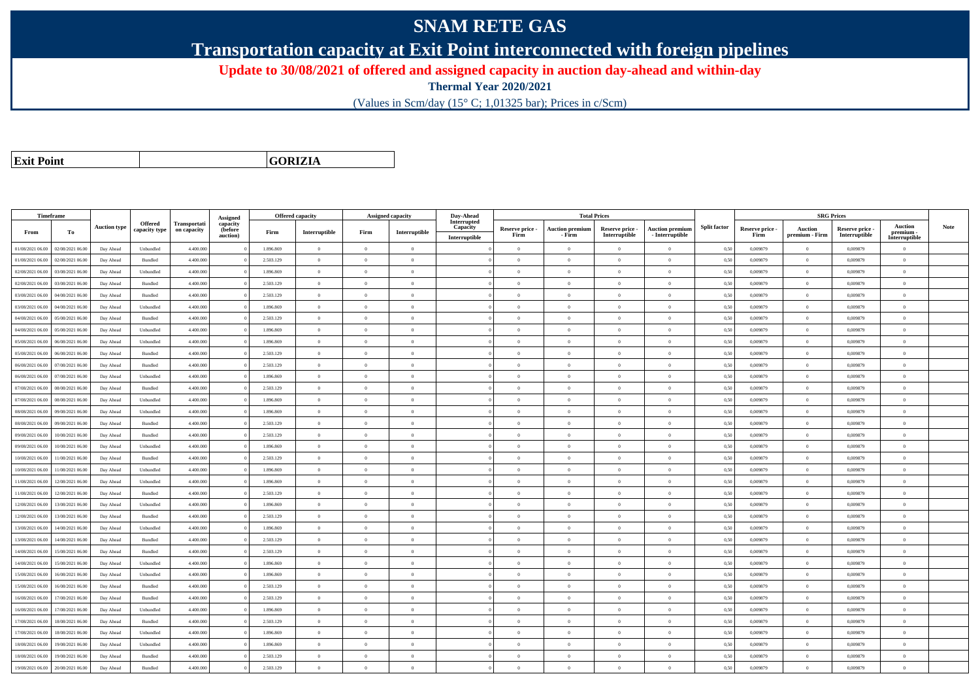## **SNAM RETE GAS**

**Transportation capacity at Exit Point interconnected with foreign pipelines**

**Update to 30/08/2021 of offered and assigned capacity in auction day-ahead and within-day**

**Thermal Year 2020/2021**

(Values in Scm/day (15° C; 1,01325 bar); Prices in c/Scm)

**Exit Point**

**GORIZIA**

|                  | Timeframe        |                     |                          |                                    | Assigned                        |           | <b>Offered capacity</b> |                | <b>Assigned capacity</b> | Day-Ahead                                |                         |                                  | <b>Total Prices</b>              |                                           |                     |                         |                           | <b>SRG Prices</b>                |                                              |      |
|------------------|------------------|---------------------|--------------------------|------------------------------------|---------------------------------|-----------|-------------------------|----------------|--------------------------|------------------------------------------|-------------------------|----------------------------------|----------------------------------|-------------------------------------------|---------------------|-------------------------|---------------------------|----------------------------------|----------------------------------------------|------|
| From             | To               | <b>Auction type</b> | Offered<br>capacity type | <b>Transportati</b><br>on capacity | capacity<br>(before<br>auction) | Firm      | Interruptible           | Firm           | Interruptible            | Interrupted<br>Capacity<br>Interruptible | Reserve price -<br>Firm | <b>Auction premiun</b><br>- Firm | Reserve price -<br>Interruptible | <b>Auction premium</b><br>- Interruptible | <b>Split factor</b> | Reserve price -<br>Firm | Auction<br>premium - Firm | Reserve price -<br>Interruptible | <b>Auction</b><br>premium -<br>Interruptible | Note |
| 01/08/2021 06:00 | 02/08/2021 06:00 | Day Ahead           | Unbundled                | 4.400.000                          |                                 | 1.896.869 | $\overline{0}$          | $\overline{0}$ | $\overline{0}$           |                                          | $\overline{0}$          | $\overline{0}$                   | $\overline{0}$                   | $\overline{0}$                            | 0,50                | 0,009879                | $\overline{0}$            | 0,009879                         | $\overline{0}$                               |      |
| 01/08/2021 06:00 | 02/08/2021 06:00 | Day Ahead           | Bundled                  | 4.400,000                          |                                 | 2.503.129 | $\overline{0}$          | $\Omega$       | $\Omega$                 |                                          | $\theta$                | $\theta$                         | $\Omega$                         | $\Omega$                                  | 0,50                | 0.009879                | $\Omega$                  | 0.009879                         | $\theta$                                     |      |
| 02/08/2021 06:00 | 03/08/2021 06:00 | Day Ahead           | Unbundled                | 4.400.000                          |                                 | 1.896.869 | $\overline{0}$          | $\overline{0}$ | $\theta$                 |                                          | $\theta$                | $\theta$                         | $\overline{0}$                   | $\bf{0}$                                  | 0,50                | 0,009879                | $\overline{0}$            | 0,009879                         | $\overline{0}$                               |      |
| 02/08/2021 06:00 | 03/08/2021 06:00 | Day Ahead           | Bundled                  | 4.400.000                          |                                 | 2.503.129 | $\overline{0}$          | $\overline{0}$ | $\overline{0}$           |                                          | $\theta$                | $\theta$                         | $\overline{0}$                   | $\bf{0}$                                  | 0,50                | 0,009879                | $\mathbf{0}$              | 0,009879                         | $\overline{0}$                               |      |
| 03/08/2021 06:00 | 04/08/2021 06:00 | Day Ahead           | Bundled                  | 4.400.000                          |                                 | 2.503.129 | $\,$ 0 $\,$             | $\overline{0}$ | $\overline{0}$           |                                          | $\overline{0}$          | $\theta$                         | $\overline{0}$                   | $\overline{0}$                            | 0,50                | 0.009879                | $\,$ 0 $\,$               | 0.009879                         | $\theta$                                     |      |
| 03/08/2021 06:00 | 04/08/2021 06:00 | Day Ahead           | Unbundled                | 4.400.000                          |                                 | 1.896.869 | $\overline{0}$          | $\Omega$       | $\Omega$                 |                                          | $\Omega$                | $\Omega$                         | $\Omega$                         | $\bf{0}$                                  | 0,50                | 0,009879                | $\mathbf{0}$              | 0,009879                         | $\theta$                                     |      |
| 04/08/2021 06:00 | 05/08/2021 06:00 | Day Ahead           | Bundled                  | 4,400,000                          |                                 | 2.503.129 | $\overline{0}$          | $\overline{0}$ | $\Omega$                 |                                          | $\Omega$                | $\theta$                         | $\overline{0}$                   | $\theta$                                  | 0,50                | 0.009879                | $\overline{0}$            | 0.009879                         | $\theta$                                     |      |
| 04/08/2021 06:00 | 05/08/2021 06:00 | Day Ahead           | Unbundled                | 4.400.000                          |                                 | 1.896.869 | $\overline{0}$          | $\Omega$       | $\Omega$                 |                                          | $\theta$                | $\theta$                         | $\overline{0}$                   | $\bf{0}$                                  | 0,50                | 0,009879                | $\mathbf{0}$              | 0,009879                         | $\theta$                                     |      |
| 05/08/2021 06:00 | 06/08/2021 06:00 | Day Ahead           | Unbundled                | 4.400,000                          |                                 | 1.896.869 | $\overline{0}$          | $\Omega$       | $\Omega$                 |                                          | $\theta$                | $\theta$                         | $\theta$                         | $\theta$                                  | 0.50                | 0.009879                | $\Omega$                  | 0.009879                         | $\theta$                                     |      |
| 05/08/2021 06:00 | 06/08/2021 06:00 | Day Ahead           | Bundled                  | 4.400.000                          |                                 | 2.503.129 | $\overline{0}$          | $\overline{0}$ | $\Omega$                 |                                          | $\theta$                | $\theta$                         | $\theta$                         | $\bf{0}$                                  | 0,50                | 0,009879                | $\mathbf{0}$              | 0,009879                         | $\overline{0}$                               |      |
| 06/08/2021 06:00 | 07/08/2021 06:00 | Day Ahead           | Bundled                  | 4.400.000                          |                                 | 2.503.129 | $\overline{0}$          | $\overline{0}$ | $\theta$                 |                                          | $\theta$                | $\overline{0}$                   | $\overline{0}$                   | $\bf{0}$                                  | 0,50                | 0,009879                | $\overline{0}$            | 0.009879                         | $\overline{0}$                               |      |
| 06/08/2021 06:00 | 07/08/2021 06:00 | Day Ahead           | Unbundled                | 4,400,000                          |                                 | 1.896.869 | $\overline{0}$          | $\Omega$       | $\Omega$                 |                                          | $\overline{0}$          | $\theta$                         | $\overline{0}$                   | $\overline{0}$                            | 0,50                | 0.009879                | $\,0\,$                   | 0.009879                         | $\theta$                                     |      |
| 07/08/2021 06:00 | 08/08/2021 06:00 | Day Ahead           | Bundled                  | 4.400.000                          |                                 | 2.503.129 | $\overline{0}$          | $\overline{0}$ | $\overline{0}$           |                                          | $\theta$                | $\theta$                         | $\overline{0}$                   | $\bf{0}$                                  | 0,50                | 0,009879                | $\theta$                  | 0,009879                         | $\overline{0}$                               |      |
| 07/08/2021 06:00 | 08/08/2021 06:00 | Day Ahead           | Unbundled                | 4.400.000                          |                                 | 1.896.869 | $\overline{0}$          | $\overline{0}$ | $\overline{0}$           |                                          | $\theta$                | $\theta$                         | $\overline{0}$                   | $\bf{0}$                                  | 0,50                | 0,009879                | $\mathbf{0}$              | 0,009879                         | $\overline{0}$                               |      |
| 08/08/2021 06:00 | 09/08/2021 06:00 | Day Ahead           | Unbundled                | 4.400.000                          |                                 | 1.896.869 | $\overline{0}$          | $\Omega$       | $\Omega$                 |                                          | $\theta$                | $\theta$                         | $\overline{0}$                   | $\bf{0}$                                  | 0,50                | 0,009879                | $\mathbf{0}$              | 0,009879                         | $\theta$                                     |      |
| 08/08/2021 06:00 | 09/08/2021 06:00 | Day Ahead           | Bundled                  | 4.400.000                          |                                 | 2.503.129 | $\overline{0}$          | $\Omega$       | $\Omega$                 |                                          | $\Omega$                | $\theta$                         | $\Omega$                         | $\Omega$                                  | 0,50                | 0,009879                | $\mathbf{0}$              | 0,009879                         | $\theta$                                     |      |
| 09/08/2021 06:00 | 10/08/2021 06:00 | Day Ahead           | $\mathbf B$ undled       | 4,400,000                          |                                 | 2.503.129 | $\overline{0}$          | $\overline{0}$ | $\Omega$                 |                                          | $\Omega$                | $\theta$                         | $\overline{0}$                   | $\theta$                                  | 0,50                | 0.009879                | $\overline{0}$            | 0.009879                         | $\theta$                                     |      |
| 09/08/2021 06:00 | 10/08/2021 06:00 | Day Ahead           | Unbundled                | 4.400.000                          |                                 | 1.896.869 | $\overline{0}$          | $\overline{0}$ | $\overline{0}$           |                                          | $\theta$                | $\theta$                         | $\overline{0}$                   | $\bf{0}$                                  | 0,50                | 0,009879                | $\mathbf{0}$              | 0,009879                         | $\overline{0}$                               |      |
| 10/08/2021 06:00 | 11/08/2021 06:00 | Day Ahead           | Bundled                  | 4,400,000                          |                                 | 2.503.129 | $\overline{0}$          | $\Omega$       | $\Omega$                 |                                          | $\theta$                | $\theta$                         | $\theta$                         | $\theta$                                  | 0.50                | 0.009879                | $\Omega$                  | 0.009879                         | $\theta$                                     |      |
| 10/08/2021 06:00 | 11/08/2021 06:00 | Day Ahead           | Unbundled                | 4,400,000                          |                                 | 1.896.869 | $\overline{0}$          | $\overline{0}$ | $\Omega$                 |                                          | $\Omega$                | $\theta$                         | $\Omega$                         | $\theta$                                  | 0.50                | 0.009879                | $\overline{0}$            | 0.009879                         | $\theta$                                     |      |
| 11/08/2021 06:00 | 12/08/2021 06:00 | Day Ahead           | Unbundled                | 4.400.000                          |                                 | 1.896.869 | $\overline{0}$          | $\Omega$       | $\theta$                 |                                          | $\theta$                | $\theta$                         | $\Omega$                         | $\theta$                                  | 0,50                | 0,009879                | $\Omega$                  | 0.009879                         | $\theta$                                     |      |
| 11/08/2021 06:00 | 12/08/2021 06:00 | Day Ahead           | Bundled                  | 4,400,000                          |                                 | 2.503.129 | $\overline{0}$          | $\Omega$       | $\Omega$                 |                                          | $\theta$                | $\theta$                         | $\theta$                         | $\Omega$                                  | 0,50                | 0.009879                | $\mathbf{0}$              | 0.009879                         | $\theta$                                     |      |
| 12/08/2021 06:00 | 13/08/2021 06:00 | Day Ahead           | Unbundled                | 4.400.000                          |                                 | 1.896.869 | $\overline{0}$          | $\overline{0}$ | $\Omega$                 |                                          | $\theta$                | $\mathbf{a}$                     | $\overline{0}$                   | $\bf{0}$                                  | 0,50                | 0,009879                | $\mathbf{0}$              | 0,009879                         | $\overline{0}$                               |      |
| 12/08/2021 06:00 | 13/08/2021 06:00 | Day Ahead           | Bundled                  | 4.400.000                          |                                 | 2.503.129 | $\overline{0}$          | $\overline{0}$ | $\overline{0}$           |                                          | $\theta$                | $\theta$                         | $\overline{0}$                   | $\overline{0}$                            | 0,50                | 0,009879                | $\mathbf{0}$              | 0,009879                         | $\overline{0}$                               |      |
| 13/08/2021 06:00 | 14/08/2021 06:00 | Day Ahead           | Unbundled                | 4.400.000                          |                                 | 1.896.869 | $\,$ 0 $\,$             | $\overline{0}$ | $\overline{0}$           |                                          | $\overline{0}$          | $\theta$                         | $\overline{0}$                   | $\overline{0}$                            | 0,50                | 0,009879                | $\bf{0}$                  | 0,009879                         | $\overline{0}$                               |      |
| 13/08/2021 06:00 | 14/08/2021 06.00 | Day Ahead           | Bundled                  | 4.400.000                          |                                 | 2.503.129 | $\overline{0}$          | $\overline{0}$ | $\overline{0}$           |                                          | $\theta$                | $\theta$                         | $\theta$                         | $\bf{0}$                                  | 0,50                | 0,009879                | $\overline{0}$            | 0,009879                         | $\overline{0}$                               |      |
| 14/08/2021 06:00 | 15/08/2021 06:00 | Day Ahead           | Bundled                  | 4,400,000                          |                                 | 2.503.129 | $\overline{0}$          | $\Omega$       | $\Omega$                 |                                          | $\theta$                | $\theta$                         | $\Omega$                         | $\theta$                                  | 0,50                | 0.009879                | $\mathbf{0}$              | 0.009879                         | $\theta$                                     |      |
| 14/08/2021 06:00 | 15/08/2021 06:00 | Day Ahead           | Unbundled                | 4.400.000                          |                                 | 1.896.869 | $\overline{0}$          | $\Omega$       | $\Omega$                 |                                          | $\theta$                | $\theta$                         | $\overline{0}$                   | $\bf{0}$                                  | 0,50                | 0,009879                | $\mathbf{0}$              | 0,009879                         | $\overline{0}$                               |      |
| 15/08/2021 06:00 | 16/08/2021 06:00 | Day Ahead           | Unbundled                | 4.400.000                          |                                 | 1.896.869 | $\overline{0}$          | $\Omega$       | $\Omega$                 |                                          | $\Omega$                | $\Omega$                         | $\Omega$                         | $\Omega$                                  | 0,50                | 0,009879                | $\theta$                  | 0,009879                         | $\theta$                                     |      |
| 15/08/2021 06:00 | 16/08/2021 06:00 | Day Ahead           | Bundled                  | 4.400,000                          |                                 | 2.503.129 | $\overline{0}$          | $\overline{0}$ | $\Omega$                 |                                          | $\Omega$                | $\theta$                         | $\overline{0}$                   | $\theta$                                  | 0,50                | 0.009879                | $\overline{0}$            | 0.009879                         | $\theta$                                     |      |
| 16/08/2021 06:00 | 17/08/2021 06:00 | Day Ahead           | Bundled                  | 4.400.000                          |                                 | 2.503.129 | $\overline{0}$          | $\overline{0}$ | $\theta$                 |                                          | $\theta$                | $\theta$                         | $\overline{0}$                   | $\bf{0}$                                  | 0,50                | 0,009879                | $\mathbf{0}$              | 0.009879                         | $\theta$                                     |      |
| 16/08/2021 06:00 | 17/08/2021 06:00 | Day Ahead           | Unbundled                | 4,400,000                          |                                 | 1.896.869 | $\overline{0}$          | $\overline{0}$ | $\overline{0}$           |                                          | $\theta$                | $\overline{0}$                   | $\overline{0}$                   | $\overline{0}$                            | 0.50                | 0.009879                | $\mathbf{0}$              | 0.009879                         | $\overline{0}$                               |      |
| 17/08/2021 06:00 | 18/08/2021 06:00 | Day Ahead           | Bundled                  | 4,400,000                          |                                 | 2.503.129 | $\overline{0}$          | $\overline{0}$ | $\overline{0}$           |                                          | $\theta$                | $\theta$                         | $\overline{0}$                   | $\bf{0}$                                  | 0,50                | 0,009879                | $\mathbf{0}$              | 0,009879                         | $\overline{0}$                               |      |
| 17/08/2021 06:00 | 18/08/2021 06:00 | Day Ahead           | Unbundled                | 4.400.000                          |                                 | 1.896.869 | $\overline{0}$          | $\overline{0}$ | $\overline{0}$           |                                          | $\theta$                | $\theta$                         | $\overline{0}$                   | $\bf{0}$                                  | 0,50                | 0,009879                | $\mathbf{0}$              | 0,009879                         | $\overline{0}$                               |      |
| 18/08/2021 06:00 | 19/08/2021 06:00 | Day Ahead           | Unbundled                | 4.400.000                          |                                 | 1.896.869 | $\overline{0}$          | $\Omega$       | $\Omega$                 |                                          | $\theta$                | $\theta$                         | $\Omega$                         | $\Omega$                                  | 0,50                | 0.009879                | $\mathbf{0}$              | 0.009879                         | $\theta$                                     |      |
| 18/08/2021 06:00 | 19/08/2021 06.0  | Day Ahead           | Bundled                  | 4.400.000                          |                                 | 2.503.129 | $\overline{0}$          | $\overline{0}$ | $\theta$                 |                                          | $\theta$                | $\theta$                         | $\overline{0}$                   | $\bf{0}$                                  | 0,50                | 0,009879                | $\theta$                  | 0,009879                         | $\overline{0}$                               |      |
| 19/08/2021 06:00 | 20/08/2021 06:00 | Day Ahead           | Bundled                  | 4,400,000                          |                                 | 2.503.129 | $\Omega$                | $\Omega$       | $\theta$                 |                                          | $\theta$                | $\theta$                         | $\Omega$                         | $\theta$                                  | 0,50                | 0.009879                | $\mathbf{0}$              | 0.009879                         | $\theta$                                     |      |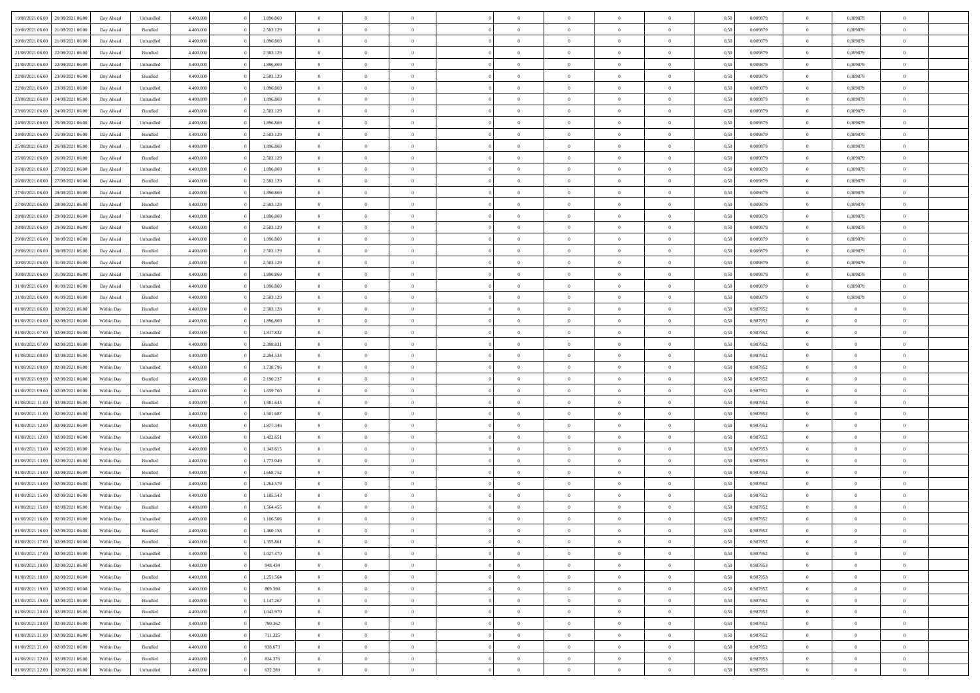| 19/08/2021 06:00                  | 20/08/2021 06:00 | Day Ahead  | Unbundled          | 4.400.000 | 1.896.869 | $\overline{0}$ | $\overline{0}$ |                |                | $\theta$       | $\theta$       | $\overline{0}$ | 0,50 | 0,009879 | $\bf{0}$          | 0,009879       | $\overline{0}$ |  |
|-----------------------------------|------------------|------------|--------------------|-----------|-----------|----------------|----------------|----------------|----------------|----------------|----------------|----------------|------|----------|-------------------|----------------|----------------|--|
| 20/08/2021 06:00                  | 21/08/2021 06.00 | Day Ahead  | Bundled            | 4.400.000 | 2.503.129 | $\overline{0}$ | $\overline{0}$ | $\overline{0}$ | $\Omega$       | $\bf{0}$       | $\overline{0}$ | $\bf{0}$       | 0,50 | 0,009879 | $\bf{0}$          | 0,009879       | $\overline{0}$ |  |
|                                   |                  |            |                    |           |           |                |                |                |                |                |                |                |      |          |                   |                |                |  |
| 20/08/2021 06:00                  | 21/08/2021 06:00 | Day Ahead  | Unbundled          | 4.400,000 | 1.896.869 | $\overline{0}$ | $\overline{0}$ | $\overline{0}$ | $\overline{0}$ | $\bf{0}$       | $\overline{0}$ | $\mathbf{0}$   | 0.50 | 0.009879 | $\bf{0}$          | 0.009879       | $\bf{0}$       |  |
| 21/08/2021 06:00                  | 22/08/2021 06:00 | Day Ahead  | Bundled            | 4.400.000 | 2.503.129 | $\overline{0}$ | $\overline{0}$ | $\overline{0}$ | $\overline{0}$ | $\bf{0}$       | $\overline{0}$ | $\theta$       | 0,50 | 0,009879 | $\,$ 0 $\,$       | 0,009879       | $\overline{0}$ |  |
| 21/08/2021 06:00                  | 22/08/2021 06.00 | Day Ahead  | Unbundled          | 4.400.000 | 1.896.869 | $\overline{0}$ | $\overline{0}$ | $\Omega$       |                | $\bf{0}$       | $\overline{0}$ | $\bf{0}$       | 0,50 | 0,009879 | $\bf{0}$          | 0,009879       | $\overline{0}$ |  |
| 22/08/2021 06:00                  | 23/08/2021 06:00 | Day Ahead  | Bundled            | 4,400,000 | 2.503.129 | $\overline{0}$ | $\overline{0}$ | $\Omega$       | $\Omega$       | $\overline{0}$ | $\overline{0}$ | $\bf{0}$       | 0.50 | 0.009879 | $\bf{0}$          | 0.009879       | $\bf{0}$       |  |
| 22/08/2021 06:00                  | 23/08/2021 06:00 | Day Ahead  | Unbundled          | 4.400.000 | 1.896.869 | $\overline{0}$ | $\overline{0}$ | $\overline{0}$ | $\overline{0}$ | $\bf{0}$       | $\overline{0}$ | $\bf{0}$       | 0,50 | 0,009879 | $\,$ 0 $\,$       | 0,009879       | $\overline{0}$ |  |
| 23/08/2021 06:00                  | 24/08/2021 06.00 | Day Ahead  | Unbundled          | 4.400.000 | 1.896.869 | $\overline{0}$ | $\overline{0}$ | $\Omega$       |                | $\bf{0}$       | $\overline{0}$ | $\bf{0}$       | 0,50 | 0,009879 | $\bf{0}$          | 0,009879       | $\bf{0}$       |  |
| 23/08/2021 06:00                  | 24/08/2021 06:00 | Day Ahead  | Bundled            | 4,400,000 | 2.503.129 | $\overline{0}$ | $\overline{0}$ | $\overline{0}$ | $\overline{0}$ | $\bf{0}$       | $\overline{0}$ | $\bf{0}$       | 0.50 | 0.009879 | $\bf{0}$          | 0.009879       | $\bf{0}$       |  |
| 24/08/2021 06:00                  | 25/08/2021 06:00 | Day Ahead  | Unbundled          | 4.400.000 | 1.896.869 | $\overline{0}$ | $\overline{0}$ | $\overline{0}$ | $\overline{0}$ | $\bf{0}$       | $\overline{0}$ | $\bf{0}$       | 0,50 | 0,009879 | $\,$ 0 $\,$       | 0,009879       | $\overline{0}$ |  |
| 24/08/2021 06:00                  | 25/08/2021 06.00 | Day Ahead  | Bundled            | 4.400.000 | 2.503.129 | $\overline{0}$ | $\overline{0}$ | $\overline{0}$ |                | $\bf{0}$       | $\overline{0}$ | $\bf{0}$       | 0,50 | 0,009879 | $\bf{0}$          | 0,009879       | $\overline{0}$ |  |
|                                   | 26/08/2021 06:00 |            |                    | 4.400,000 | 1.896.869 |                | $\overline{0}$ | $\overline{0}$ | $\overline{0}$ | $\bf{0}$       |                | $\mathbf{0}$   | 0.50 | 0.009879 |                   | 0.009879       |                |  |
| 25/08/2021 06:00                  |                  | Day Ahead  | Unbundled          |           |           | $\overline{0}$ |                |                |                |                | $\overline{0}$ |                |      |          | $\bf{0}$          |                | $\bf{0}$       |  |
| 25/08/2021 06:00                  | 26/08/2021 06:00 | Day Ahead  | Bundled            | 4.400.000 | 2.503.129 | $\overline{0}$ | $\overline{0}$ | $\overline{0}$ | $\overline{0}$ | $\bf{0}$       | $\overline{0}$ | $\theta$       | 0,50 | 0,009879 | $\,0\,$           | 0,009879       | $\overline{0}$ |  |
| 26/08/2021 06:00                  | 27/08/2021 06.00 | Day Ahead  | Unbundled          | 4.400.000 | 1.896.869 | $\overline{0}$ | $\overline{0}$ | $\overline{0}$ |                | $\bf{0}$       | $\overline{0}$ | $\bf{0}$       | 0,50 | 0,009879 | $\bf{0}$          | 0,009879       | $\overline{0}$ |  |
| 26/08/2021 06:00                  | 27/08/2021 06:00 | Day Ahead  | Bundled            | 4.400.000 | 2.503.129 | $\overline{0}$ | $\overline{0}$ | $\Omega$       | $\Omega$       | $\overline{0}$ | $\overline{0}$ | $\mathbf{0}$   | 0.50 | 0.009879 | $\bf{0}$          | 0.009879       | $\bf{0}$       |  |
| 27/08/2021 06:00                  | 28/08/2021 06:00 | Day Ahead  | Unbundled          | 4.400.000 | 1.896.869 | $\overline{0}$ | $\overline{0}$ | $\overline{0}$ | $\overline{0}$ | $\bf{0}$       | $\overline{0}$ | $\bf{0}$       | 0,50 | 0,009879 | $\,0\,$           | 0,009879       | $\overline{0}$ |  |
| 27/08/2021 06:00                  | 28/08/2021 06.0  | Day Ahead  | Bundled            | 4.400.000 | 2.503.129 | $\overline{0}$ | $\overline{0}$ | $\overline{0}$ |                | $\bf{0}$       | $\overline{0}$ | $\bf{0}$       | 0,50 | 0,009879 | $\bf{0}$          | 0,009879       | $\overline{0}$ |  |
| 28/08/2021 06:00                  | 29/08/2021 06:00 | Day Ahead  | Unbundled          | 4.400,000 | 1.896.869 | $\overline{0}$ | $\overline{0}$ | $\overline{0}$ | $\overline{0}$ | $\bf{0}$       | $\overline{0}$ | $\bf{0}$       | 0.50 | 0.009879 | $\bf{0}$          | 0.009879       | $\bf{0}$       |  |
| 28/08/2021 06:00                  | 29/08/2021 06:00 | Day Ahead  | Bundled            | 4.400.000 | 2.503.129 | $\overline{0}$ | $\overline{0}$ | $\overline{0}$ | $\overline{0}$ | $\bf{0}$       | $\overline{0}$ | $\bf{0}$       | 0,50 | 0,009879 | $\,0\,$           | 0,009879       | $\overline{0}$ |  |
| 29/08/2021 06:00                  | 30/08/2021 06.0  | Day Ahead  | Unbundled          | 4.400.000 | 1.896.869 | $\overline{0}$ | $\bf{0}$       | $\overline{0}$ |                | $\bf{0}$       | $\overline{0}$ | $\bf{0}$       | 0,50 | 0,009879 | $\bf{0}$          | 0,009879       | $\bf{0}$       |  |
| 29/08/2021 06:00                  | 30/08/2021 06:00 | Day Ahead  | Bundled            | 4.400,000 | 2.503.129 | $\overline{0}$ | $\overline{0}$ | $\overline{0}$ | $\overline{0}$ | $\bf{0}$       | $\overline{0}$ | $\mathbf{0}$   | 0.50 | 0.009879 | $\bf{0}$          | 0.009879       | $\bf{0}$       |  |
| 30/08/2021 06:00                  | 31/08/2021 06:00 | Day Ahead  | Bundled            | 4.400.000 | 2.503.129 | $\overline{0}$ | $\overline{0}$ | $\overline{0}$ | $\overline{0}$ | $\bf{0}$       | $\overline{0}$ | $\theta$       | 0,50 | 0,009879 | $\,0\,$           | 0,009879       | $\overline{0}$ |  |
|                                   | 31/08/2021 06.00 |            | Unbundled          | 4.400.000 | 1.896.869 | $\overline{0}$ | $\overline{0}$ | $\overline{0}$ |                | $\bf{0}$       | $\overline{0}$ | $\bf{0}$       | 0,50 | 0,009879 | $\bf{0}$          | 0,009879       | $\overline{0}$ |  |
| 30/08/2021 06:00                  |                  | Day Ahead  |                    |           |           |                |                |                |                |                |                |                |      |          |                   |                |                |  |
| 31/08/2021 06:00                  | 01/09/2021 06:00 | Day Ahead  | Unbundled          | 4.400.000 | 1.896.869 | $\overline{0}$ | $\overline{0}$ | $\Omega$       | $\Omega$       | $\overline{0}$ | $\overline{0}$ | $\mathbf{0}$   | 0.50 | 0.009879 | $\bf{0}$          | 0.009879       | $\bf{0}$       |  |
| 31/08/2021 06:00                  | 01/09/2021 06:00 | Day Ahead  | Bundled            | 4.400.000 | 2.503.129 | $\overline{0}$ | $\overline{0}$ | $\overline{0}$ | $\overline{0}$ | $\bf{0}$       | $\overline{0}$ | $\bf{0}$       | 0,50 | 0,009879 | $\,0\,$           | 0,009879       | $\overline{0}$ |  |
| 01/08/2021 06:00                  | 02/08/2021 06.00 | Within Day | Bundled            | 4.400.000 | 2.503.128 | $\overline{0}$ | $\overline{0}$ | $\overline{0}$ |                | $\bf{0}$       | $\overline{0}$ | $\bf{0}$       | 0,50 | 0,987952 | $\bf{0}$          | $\overline{0}$ | $\bf{0}$       |  |
| 01/08/2021 06:00                  | 02/08/2021 06:00 | Within Day | Unbundled          | 4.400,000 | 1.896.869 | $\overline{0}$ | $\overline{0}$ | $\overline{0}$ | $\overline{0}$ | $\bf{0}$       | $\overline{0}$ | $\bf{0}$       | 0.50 | 0.987952 | $\bf{0}$          | $\overline{0}$ | $\bf{0}$       |  |
| 01/08/2021 07:00                  | 02/08/2021 06:00 | Within Day | Unbundled          | 4.400.000 | 1.817.832 | $\overline{0}$ | $\overline{0}$ | $\overline{0}$ | $\overline{0}$ | $\bf{0}$       | $\overline{0}$ | $\bf{0}$       | 0,50 | 0,987952 | $\,$ 0 $\,$       | $\overline{0}$ | $\overline{0}$ |  |
| 01/08/2021 07:00                  | 02/08/2021 06.00 | Within Day | Bundled            | 4.400.000 | 2.398.831 | $\overline{0}$ | $\overline{0}$ | $\overline{0}$ | $\overline{0}$ | $\bf{0}$       | $\overline{0}$ | $\bf{0}$       | 0,50 | 0,987952 | $\bf{0}$          | $\overline{0}$ | $\bf{0}$       |  |
| 01/08/2021 08:00                  | 02/08/2021 06:00 | Within Day | Bundled            | 4.400,000 | 2.294.534 | $\overline{0}$ | $\overline{0}$ | $\overline{0}$ | $\overline{0}$ | $\bf{0}$       | $\overline{0}$ | $\mathbf{0}$   | 0.50 | 0,987952 | $\bf{0}$          | $\overline{0}$ | $\bf{0}$       |  |
| 01/08/2021 08:00                  | 02/08/2021 06:00 | Within Dav | Unbundled          | 4.400.000 | 1.738.796 | $\overline{0}$ | $\overline{0}$ | $\overline{0}$ | $\Omega$       | $\overline{0}$ | $\overline{0}$ | $\bf{0}$       | 0,50 | 0,987952 | $\mathbf{0}$      | $\overline{0}$ | $\overline{0}$ |  |
| 01/08/2021 09:00                  | 02/08/2021 06.00 | Within Day | Bundled            | 4.400.000 | 2.190.237 | $\overline{0}$ | $\overline{0}$ | $\overline{0}$ |                | $\bf{0}$       | $\overline{0}$ | $\bf{0}$       | 0,50 | 0,987952 | $\bf{0}$          | $\overline{0}$ | $\bf{0}$       |  |
| 01/08/2021 09:00                  | 02/08/2021 06:00 | Within Day | Unbundled          | 4.400.000 | 1.659.760 | $\overline{0}$ | $\overline{0}$ | $\overline{0}$ | $\Omega$       | $\overline{0}$ | $\overline{0}$ | $\mathbf{0}$   | 0.50 | 0,987952 | $\bf{0}$          | $\overline{0}$ | $\bf{0}$       |  |
| 01/08/2021 11:00                  | 02/08/2021 06:00 | Within Dav | Bundled            | 4.400.000 | 1.981.643 | $\overline{0}$ | $\overline{0}$ | $\theta$       | $\Omega$       | $\overline{0}$ | $\overline{0}$ | $\bf{0}$       | 0,50 | 0,987952 | $\mathbf{0}$      | $\overline{0}$ | $\overline{0}$ |  |
|                                   |                  |            |                    |           |           | $\overline{0}$ | $\overline{0}$ | $\overline{0}$ |                |                |                |                |      |          |                   |                |                |  |
| 01/08/2021 11:00                  | 02/08/2021 06.00 | Within Day | Unbundled          | 4.400.000 | 1.501.687 |                |                |                |                | $\bf{0}$       | $\overline{0}$ | $\bf{0}$       | 0,50 | 0,987952 | $\bf{0}$          | $\overline{0}$ | $\bf{0}$       |  |
| 01/08/2021 12:00                  | 02/08/2021 06:00 | Within Day | Bundled            | 4.400,000 | 1.877.346 | $\overline{0}$ | $\overline{0}$ | $\overline{0}$ | $\overline{0}$ | $\bf{0}$       | $\overline{0}$ | $\bf{0}$       | 0.50 | 0.987952 | $\bf{0}$          | $\overline{0}$ | $\bf{0}$       |  |
| 01/08/2021 12:00                  | 02/08/2021 06:00 | Within Dav | Unbundled          | 4.400.000 | 1.422.651 | $\overline{0}$ | $\overline{0}$ | $\overline{0}$ | $\Omega$       | $\overline{0}$ | $\overline{0}$ | $\bf{0}$       | 0,50 | 0,987952 | $\mathbf{0}$      | $\overline{0}$ | $\overline{0}$ |  |
| 01/08/2021 13:00                  | 02/08/2021 06.00 | Within Day | Unbundled          | 4.400.000 | 1.343.615 | $\overline{0}$ | $\overline{0}$ | $\overline{0}$ | $\overline{0}$ | $\bf{0}$       | $\overline{0}$ | $\bf{0}$       | 0,50 | 0,987953 | $\bf{0}$          | $\overline{0}$ | $\bf{0}$       |  |
| 01/08/2021 13:00                  | 02/08/2021 06:00 | Within Day | Bundled            | 4.400,000 | 1.773.049 | $\overline{0}$ | $\overline{0}$ | $\overline{0}$ | $\overline{0}$ | $\bf{0}$       | $\overline{0}$ | $\mathbf{0}$   | 0.50 | 0.987953 | $\bf{0}$          | $\overline{0}$ | $\bf{0}$       |  |
| 01/08/2021 14:00                  | 02/08/2021 06:00 | Within Dav | Bundled            | 4.400.000 | 1.668.752 | $\overline{0}$ | $\overline{0}$ | $\theta$       | $\Omega$       | $\overline{0}$ | $\overline{0}$ | $\bf{0}$       | 0.50 | 0,987952 | $\mathbf{0}$      | $\overline{0}$ | $\overline{0}$ |  |
| 01/08/2021 14:00                  | 02/08/2021 06.00 | Within Day | Unbundled          | 4.400.000 | 1.264.579 | $\overline{0}$ | $\bf{0}$       | $\overline{0}$ | $\Omega$       | $\bf{0}$       | $\overline{0}$ | $\bf{0}$       | 0,50 | 0,987952 | $\bf{0}$          | $\overline{0}$ | $\bf{0}$       |  |
| 01/08/2021 15:00                  | 02/08/2021 06:00 | Within Day | Unbundled          | 4.400.000 | 1.185.543 | $\overline{0}$ | $\overline{0}$ | $\Omega$       | $\Omega$       | $\overline{0}$ | $\overline{0}$ | $\mathbf{0}$   | 0.50 | 0,987952 | $\bf{0}$          | $\overline{0}$ | $\bf{0}$       |  |
| 01/08/2021 15:00                  | 02/08/2021 06:00 | Within Dav | Bundled            | 4.400.000 | 1.564.455 | $\Omega$       | $\Omega$       | $\theta$       | $\Omega$       | $\overline{0}$ | $\overline{0}$ | $\theta$       | 0.50 | 0,987952 | $\mathbf{0}$      | $\overline{0}$ | $\overline{0}$ |  |
| 01/08/2021 16:00                  | 02/08/2021 06:00 | Within Day | Unbundled          | 4.400.000 | 1.106.506 | $\overline{0}$ | $\bf{0}$       | $\overline{0}$ | $\overline{0}$ | $\bf{0}$       | $\overline{0}$ | $\bf{0}$       | 0,50 | 0,987952 | $\bf{0}$          | $\overline{0}$ | $\bf{0}$       |  |
| 01/08/2021 16:00                  | 02/08/2021 06:00 | Within Day | $\mathbf B$ undled | 4.400.000 | 1.460.158 | $\bf{0}$       | $\Omega$       |                |                |                |                |                | 0,50 | 0.987952 | $\Omega$          | $\Omega$       |                |  |
| 01/08/2021 17:00 02/08/2021 06:00 |                  | Within Day | Bundled            | 4.400.000 | 1.355.861 | $\overline{0}$ | $\overline{0}$ | $\overline{0}$ | $\Omega$       | $\overline{0}$ | $\overline{0}$ | $\overline{0}$ | 0,50 | 0,987952 | $\overline{0}$    | $\theta$       | $\bf{0}$       |  |
|                                   |                  |            |                    |           |           |                |                |                |                |                |                |                |      |          |                   |                |                |  |
| 01/08/2021 17:00                  | 02/08/2021 06:00 | Within Day | Unbundled          | 4.400.000 | 1.027.470 | $\overline{0}$ | $\overline{0}$ | $\overline{0}$ | $\overline{0}$ | $\overline{0}$ | $\overline{0}$ | $\bf{0}$       | 0,50 | 0,987952 | $\bf{0}$          | $\bf{0}$       | $\bf{0}$       |  |
| 01/08/2021 18:00                  | 02/08/2021 06:00 | Within Day | Unbundled          | 4.400.000 | 948.434   | $\overline{0}$ | $\overline{0}$ | $\overline{0}$ | $\overline{0}$ | $\overline{0}$ | $\overline{0}$ | $\bf{0}$       | 0.50 | 0,987953 | $\hspace{0.1mm}0$ | $\overline{0}$ | $\,$ 0 $\,$    |  |
| 01/08/2021 18:00                  | 02/08/2021 06:00 | Within Day | Bundled            | 4.400.000 | 1.251.564 | $\overline{0}$ | $\overline{0}$ | $\overline{0}$ | $\overline{0}$ | $\overline{0}$ | $\overline{0}$ | $\mathbf{0}$   | 0,50 | 0,987953 | $\overline{0}$    | $\overline{0}$ | $\bf{0}$       |  |
| 01/08/2021 19:00                  | 02/08/2021 06:00 | Within Day | Unbundled          | 4.400.000 | 869.398   | $\overline{0}$ | $\overline{0}$ | $\overline{0}$ | $\overline{0}$ | $\bf{0}$       | $\overline{0}$ | $\bf{0}$       | 0,50 | 0,987952 | $\,0\,$           | $\bf{0}$       | $\bf{0}$       |  |
| 01/08/2021 19:00                  | 02/08/2021 06:00 | Within Day | Bundled            | 4.400.000 | 1.147.267 | $\overline{0}$ | $\overline{0}$ | $\overline{0}$ | $\overline{0}$ | $\,$ 0 $\,$    | $\overline{0}$ | $\mathbf{0}$   | 0.50 | 0,987952 | $\,$ 0 $\,$       | $\bf{0}$       | $\bf{0}$       |  |
| 01/08/2021 20:00                  | 02/08/2021 06:00 | Within Day | Bundled            | 4.400.000 | 1.042.970 | $\overline{0}$ | $\overline{0}$ | $\overline{0}$ | $\overline{0}$ | $\overline{0}$ | $\overline{0}$ | $\overline{0}$ | 0,50 | 0,987952 | $\overline{0}$    | $\overline{0}$ | $\bf{0}$       |  |
| 01/08/2021 20:00                  | 02/08/2021 06:00 | Within Day | Unbundled          | 4.400.000 | 790.362   | $\overline{0}$ | $\overline{0}$ | $\overline{0}$ | $\overline{0}$ | $\,$ 0         | $\overline{0}$ | $\bf{0}$       | 0,50 | 0,987952 | $\bf{0}$          | $\overline{0}$ | $\bf{0}$       |  |
| 01/08/2021 21:00                  | 02/08/2021 06:00 | Within Day | Unbundled          | 4.400.000 | 711.325   | $\overline{0}$ | $\overline{0}$ | $\overline{0}$ | $\overline{0}$ | $\,$ 0 $\,$    | $\overline{0}$ | $\overline{0}$ | 0.50 | 0.987952 | $\mathbf{0}$      | $\,$ 0 $\,$    | $\bf{0}$       |  |
| 01/08/2021 21:00                  | 02/08/2021 06:00 | Within Day | Bundled            | 4.400.000 | 938.673   | $\overline{0}$ | $\overline{0}$ | $\overline{0}$ | $\overline{0}$ | $\overline{0}$ | $\overline{0}$ | $\overline{0}$ | 0,50 | 0,987952 | $\overline{0}$    | $\theta$       | $\bf{0}$       |  |
| 01/08/2021 22.00                  | 02/08/2021 06:00 | Within Day | Bundled            | 4.400.000 | 834.376   | $\overline{0}$ | $\bf{0}$       | $\overline{0}$ | $\overline{0}$ | $\bf{0}$       | $\overline{0}$ | $\bf{0}$       | 0,50 | 0,987953 | $\,$ 0 $\,$       | $\bf{0}$       | $\bf{0}$       |  |
|                                   |                  |            |                    |           |           |                |                |                |                |                |                |                |      |          |                   |                |                |  |
| 01/08/2021 22:00 02/08/2021 06:00 |                  | Within Day | Unbundled          | 4.400.000 | 632.289   | $\,$ 0 $\,$    | $\overline{0}$ | $\overline{0}$ | $\overline{0}$ | $\,$ 0 $\,$    | $\,$ 0 $\,$    | $\mathbf{0}$   | 0,50 | 0,987953 | $\hspace{0.1mm}0$ | $\overline{0}$ | $\,$ 0 $\,$    |  |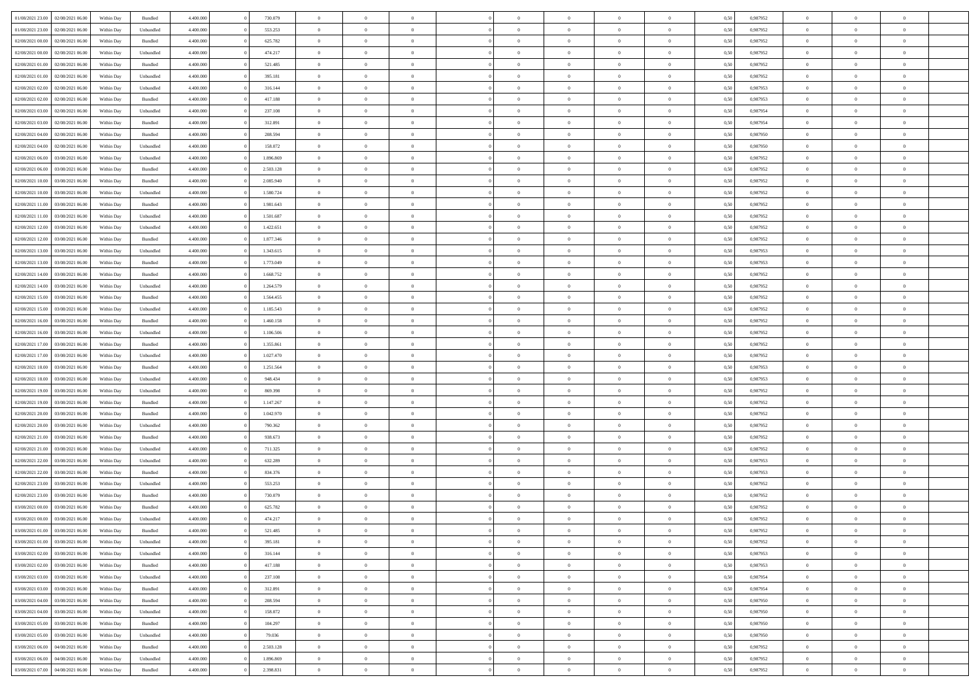| 01/08/2021 23:00                  | 02/08/2021 06:00 | Within Day | Bundled            | 4.400.000 | 730.079   | $\overline{0}$ | $\Omega$       |                | $\Omega$       | $\Omega$       | $\theta$       | $\theta$       | 0,50 | 0,987952 | $\theta$       | $\theta$       | $\theta$       |  |
|-----------------------------------|------------------|------------|--------------------|-----------|-----------|----------------|----------------|----------------|----------------|----------------|----------------|----------------|------|----------|----------------|----------------|----------------|--|
| 01/08/2021 23:00                  | 02/08/2021 06:00 | Within Day | Unbundled          | 4.400.000 | 553.253   | $\overline{0}$ | $\theta$       | $\overline{0}$ | $\overline{0}$ | $\bf{0}$       | $\overline{0}$ | $\bf{0}$       | 0,50 | 0,987952 | $\theta$       | $\overline{0}$ | $\overline{0}$ |  |
| 02/08/2021 00:00                  | 02/08/2021 06:00 | Within Day | Bundled            | 4.400.000 | 625.782   | $\overline{0}$ | $\overline{0}$ | $\overline{0}$ | $\overline{0}$ | $\bf{0}$       | $\overline{0}$ | $\mathbf{0}$   | 0,50 | 0,987952 | $\overline{0}$ | $\overline{0}$ | $\bf{0}$       |  |
| 02/08/2021 00:00                  | 02/08/2021 06:00 | Within Day | Unbundled          | 4.400.000 | 474.217   | $\overline{0}$ | $\overline{0}$ | $\overline{0}$ | $\overline{0}$ | $\bf{0}$       | $\overline{0}$ | $\overline{0}$ | 0.50 | 0,987952 | $\theta$       | $\theta$       | $\overline{0}$ |  |
| 02/08/2021 01:00                  | 02/08/2021 06:00 | Within Day | Bundled            | 4.400.000 | 521.485   | $\overline{0}$ | $\theta$       | $\overline{0}$ | $\overline{0}$ | $\bf{0}$       | $\overline{0}$ |                |      | 0,987952 | $\theta$       | $\overline{0}$ | $\overline{0}$ |  |
|                                   |                  |            |                    |           |           |                |                |                |                |                |                | $\bf{0}$       | 0,50 |          |                |                |                |  |
| 02/08/2021 01:00                  | 02/08/2021 06:00 | Within Day | Unbundled          | 4.400.000 | 395.181   | $\overline{0}$ | $\overline{0}$ | $\overline{0}$ | $\overline{0}$ | $\overline{0}$ | $\overline{0}$ | $\mathbf{0}$   | 0,50 | 0,987952 | $\overline{0}$ | $\overline{0}$ | $\bf{0}$       |  |
| 02/08/2021 02:00                  | 02/08/2021 06:00 | Within Dav | Unbundled          | 4.400.000 | 316.144   | $\overline{0}$ | $\overline{0}$ | $\overline{0}$ | $\overline{0}$ | $\overline{0}$ | $\overline{0}$ | $\overline{0}$ | 0.50 | 0,987953 | $\theta$       | $\overline{0}$ | $\overline{0}$ |  |
| 02/08/2021 02:00                  | 02/08/2021 06:00 | Within Day | Bundled            | 4.400.000 | 417.188   | $\overline{0}$ | $\theta$       | $\overline{0}$ | $\overline{0}$ | $\bf{0}$       | $\overline{0}$ | $\bf{0}$       | 0,50 | 0,987953 | $\theta$       | $\theta$       | $\overline{0}$ |  |
| 02/08/2021 03:00                  | 02/08/2021 06:00 | Within Day | Unbundled          | 4.400.000 | 237.108   | $\overline{0}$ | $\overline{0}$ | $\overline{0}$ | $\overline{0}$ | $\bf{0}$       | $\overline{0}$ | $\bf{0}$       | 0,50 | 0,987954 | $\,0\,$        | $\overline{0}$ | $\overline{0}$ |  |
| 02/08/2021 03:00                  | 02/08/2021 06:00 | Within Dav | Bundled            | 4.400.000 | 312.891   | $\overline{0}$ | $\overline{0}$ | $\overline{0}$ | $\overline{0}$ | $\overline{0}$ | $\overline{0}$ | $\overline{0}$ | 0.50 | 0,987954 | $\theta$       | $\overline{0}$ | $\overline{0}$ |  |
| 02/08/2021 04:00                  | 02/08/2021 06:00 | Within Day | Bundled            | 4.400.000 | 208.594   | $\overline{0}$ | $\theta$       | $\overline{0}$ | $\overline{0}$ | $\bf{0}$       | $\overline{0}$ | $\bf{0}$       | 0,50 | 0,987950 | $\theta$       | $\overline{0}$ | $\overline{0}$ |  |
|                                   |                  |            |                    |           |           |                |                |                |                |                |                |                |      |          |                |                |                |  |
| 02/08/2021 04:00                  | 02/08/2021 06:00 | Within Day | Unbundled          | 4.400.000 | 158.072   | $\overline{0}$ | $\overline{0}$ | $\overline{0}$ | $\bf{0}$       | $\bf{0}$       | $\bf{0}$       | $\mathbf{0}$   | 0,50 | 0,987950 | $\overline{0}$ | $\overline{0}$ | $\bf{0}$       |  |
| 02/08/2021 06:00                  | 03/08/2021 06:00 | Within Day | Unbundled          | 4.400.000 | 1.896.869 | $\overline{0}$ | $\overline{0}$ | $\overline{0}$ | $\overline{0}$ | $\bf{0}$       | $\overline{0}$ | $\overline{0}$ | 0.50 | 0,987952 | $\theta$       | $\theta$       | $\overline{0}$ |  |
| 02/08/2021 06:00                  | 03/08/2021 06:00 | Within Day | Bundled            | 4.400.000 | 2.503.128 | $\overline{0}$ | $\theta$       | $\overline{0}$ | $\overline{0}$ | $\bf{0}$       | $\overline{0}$ | $\bf{0}$       | 0,50 | 0,987952 | $\theta$       | $\overline{0}$ | $\overline{0}$ |  |
| 02/08/2021 10:00                  | 03/08/2021 06:00 | Within Day | Bundled            | 4.400.000 | 2.085.940 | $\overline{0}$ | $\overline{0}$ | $\overline{0}$ | $\bf{0}$       | $\overline{0}$ | $\overline{0}$ | $\mathbf{0}$   | 0,50 | 0,987952 | $\overline{0}$ | $\overline{0}$ | $\bf{0}$       |  |
| 02/08/2021 10:00                  | 03/08/2021 06:00 | Within Dav | Unbundled          | 4.400.000 | 1.580.724 | $\overline{0}$ | $\overline{0}$ | $\overline{0}$ | $\overline{0}$ | $\overline{0}$ | $\overline{0}$ | $\overline{0}$ | 0.50 | 0,987952 | $\theta$       | $\overline{0}$ | $\overline{0}$ |  |
| 02/08/2021 11:00                  | 03/08/2021 06:00 | Within Day | Bundled            | 4.400.000 | 1.981.643 | $\overline{0}$ | $\theta$       | $\overline{0}$ | $\overline{0}$ | $\bf{0}$       | $\overline{0}$ | $\bf{0}$       | 0,50 | 0,987952 | $\theta$       | $\theta$       | $\overline{0}$ |  |
| 02/08/2021 11:00                  | 03/08/2021 06:00 | Within Day | Unbundled          | 4.400.000 | 1.501.687 | $\overline{0}$ | $\overline{0}$ | $\overline{0}$ | $\bf{0}$       | $\bf{0}$       | $\bf{0}$       | $\mathbf{0}$   | 0,50 | 0,987952 | $\,0\,$        | $\overline{0}$ | $\bf{0}$       |  |
| 02/08/2021 12:00                  | 03/08/2021 06:00 | Within Dav | Unbundled          | 4.400.000 | 1.422.651 | $\overline{0}$ | $\overline{0}$ | $\overline{0}$ | $\overline{0}$ | $\overline{0}$ | $\overline{0}$ | $\overline{0}$ | 0.50 | 0,987952 | $\theta$       | $\overline{0}$ | $\overline{0}$ |  |
|                                   |                  |            |                    |           |           |                |                |                |                |                |                |                |      |          |                |                |                |  |
| 02/08/2021 12:00                  | 03/08/2021 06:00 | Within Day | Bundled            | 4.400.000 | 1.877.346 | $\overline{0}$ | $\theta$       | $\overline{0}$ | $\overline{0}$ | $\bf{0}$       | $\overline{0}$ | $\bf{0}$       | 0,50 | 0,987952 | $\,$ 0 $\,$    | $\overline{0}$ | $\overline{0}$ |  |
| 02/08/2021 13:00                  | 03/08/2021 06:00 | Within Day | Unbundled          | 4.400.000 | 1.343.615 | $\overline{0}$ | $\overline{0}$ | $\overline{0}$ | $\bf{0}$       | $\bf{0}$       | $\bf{0}$       | $\mathbf{0}$   | 0,50 | 0,987953 | $\bf{0}$       | $\overline{0}$ | $\bf{0}$       |  |
| 02/08/2021 13:00                  | 03/08/2021 06:00 | Within Day | Bundled            | 4.400.000 | 1.773.049 | $\overline{0}$ | $\overline{0}$ | $\overline{0}$ | $\overline{0}$ | $\bf{0}$       | $\overline{0}$ | $\overline{0}$ | 0.50 | 0,987953 | $\theta$       | $\overline{0}$ | $\overline{0}$ |  |
| 02/08/2021 14:00                  | 03/08/2021 06:00 | Within Day | Bundled            | 4.400.000 | 1.668.752 | $\overline{0}$ | $\theta$       | $\overline{0}$ | $\overline{0}$ | $\bf{0}$       | $\overline{0}$ | $\bf{0}$       | 0,50 | 0,987952 | $\,$ 0 $\,$    | $\overline{0}$ | $\overline{0}$ |  |
| 02/08/2021 14:00                  | 03/08/2021 06:00 | Within Day | Unbundled          | 4.400.000 | 1.264.579 | $\overline{0}$ | $\overline{0}$ | $\overline{0}$ | $\bf{0}$       | $\overline{0}$ | $\overline{0}$ | $\mathbf{0}$   | 0,50 | 0,987952 | $\overline{0}$ | $\overline{0}$ | $\bf{0}$       |  |
| 02/08/2021 15:00                  | 03/08/2021 06:00 | Within Dav | Bundled            | 4.400.000 | 1.564.455 | $\overline{0}$ | $\overline{0}$ | $\overline{0}$ | $\overline{0}$ | $\overline{0}$ | $\overline{0}$ | $\overline{0}$ | 0.50 | 0,987952 | $\theta$       | $\overline{0}$ | $\overline{0}$ |  |
|                                   |                  |            |                    |           |           | $\overline{0}$ | $\theta$       | $\overline{0}$ |                | $\bf{0}$       | $\overline{0}$ |                |      |          | $\theta$       | $\theta$       | $\overline{0}$ |  |
| 02/08/2021 15:00                  | 03/08/2021 06:00 | Within Day | Unbundled          | 4.400.000 | 1.185.543 |                |                |                | $\overline{0}$ |                |                | $\bf{0}$       | 0,50 | 0,987952 |                |                |                |  |
| 02/08/2021 16:00                  | 03/08/2021 06:00 | Within Day | Bundled            | 4.400.000 | 1.460.158 | $\overline{0}$ | $\overline{0}$ | $\overline{0}$ | $\bf{0}$       | $\bf{0}$       | $\bf{0}$       | $\bf{0}$       | 0,50 | 0,987952 | $\,0\,$        | $\overline{0}$ | $\bf{0}$       |  |
| 02/08/2021 16:00                  | 03/08/2021 06:00 | Within Day | Unbundled          | 4.400.000 | 1.106.506 | $\overline{0}$ | $\overline{0}$ | $\overline{0}$ | $\overline{0}$ | $\overline{0}$ | $\overline{0}$ | $\overline{0}$ | 0.50 | 0,987952 | $\theta$       | $\overline{0}$ | $\overline{0}$ |  |
| 02/08/2021 17:00                  | 03/08/2021 06:00 | Within Day | Bundled            | 4.400.000 | 1.355.861 | $\overline{0}$ | $\theta$       | $\overline{0}$ | $\overline{0}$ | $\bf{0}$       | $\overline{0}$ | $\bf{0}$       | 0,50 | 0,987952 | $\,$ 0 $\,$    | $\overline{0}$ | $\overline{0}$ |  |
| 02/08/2021 17:00                  | 03/08/2021 06:00 | Within Day | Unbundled          | 4.400.000 | 1.027.470 | $\overline{0}$ | $\overline{0}$ | $\overline{0}$ | $\bf{0}$       | $\bf{0}$       | $\bf{0}$       | $\bf{0}$       | 0,50 | 0,987952 | $\overline{0}$ | $\overline{0}$ | $\bf{0}$       |  |
| 02/08/2021 18:00                  | 03/08/2021 06:00 | Within Day | Bundled            | 4.400,000 | 1.251.564 | $\overline{0}$ | $\Omega$       | $\Omega$       | $\Omega$       | $\Omega$       | $\overline{0}$ | $\overline{0}$ | 0,50 | 0,987953 | $\,0\,$        | $\theta$       | $\theta$       |  |
| 02/08/2021 18:00                  | 03/08/2021 06:00 | Within Day | Unbundled          | 4.400.000 | 948.434   | $\overline{0}$ | $\theta$       | $\overline{0}$ | $\overline{0}$ | $\bf{0}$       | $\overline{0}$ | $\bf{0}$       | 0,50 | 0,987953 | $\theta$       | $\overline{0}$ | $\overline{0}$ |  |
| 02/08/2021 19:00                  | 03/08/2021 06:00 | Within Day | Unbundled          | 4.400.000 | 869.398   | $\overline{0}$ | $\overline{0}$ | $\overline{0}$ | $\bf{0}$       | $\overline{0}$ | $\overline{0}$ | $\mathbf{0}$   | 0,50 | 0,987952 | $\bf{0}$       | $\overline{0}$ | $\bf{0}$       |  |
|                                   |                  |            |                    |           |           |                |                |                |                |                |                |                |      |          |                |                |                |  |
| 02/08/2021 19:00                  | 03/08/2021 06:00 | Within Day | Bundled            | 4.400,000 | 1.147.267 | $\overline{0}$ | $\Omega$       | $\Omega$       | $\Omega$       | $\overline{0}$ | $\overline{0}$ | $\overline{0}$ | 0.50 | 0,987952 | $\,0\,$        | $\theta$       | $\theta$       |  |
| 02/08/2021 20:00                  | 03/08/2021 06:00 | Within Day | Bundled            | 4.400.000 | 1.042.970 | $\overline{0}$ | $\theta$       | $\overline{0}$ | $\overline{0}$ | $\bf{0}$       | $\overline{0}$ | $\bf{0}$       | 0,50 | 0,987952 | $\,$ 0 $\,$    | $\overline{0}$ | $\overline{0}$ |  |
| 02/08/2021 20.00                  | 03/08/2021 06:00 | Within Day | Unbundled          | 4.400.000 | 790.362   | $\overline{0}$ | $\overline{0}$ | $\overline{0}$ | $\bf{0}$       | $\bf{0}$       | $\bf{0}$       | $\bf{0}$       | 0,50 | 0,987952 | $\,0\,$        | $\overline{0}$ | $\bf{0}$       |  |
| 02/08/2021 21:00                  | 03/08/2021 06:00 | Within Day | Bundled            | 4.400,000 | 938.673   | $\overline{0}$ | $\Omega$       | $\Omega$       | $\Omega$       | $\theta$       | $\overline{0}$ | $\overline{0}$ | 0.50 | 0.987952 | $\theta$       | $\theta$       | $\theta$       |  |
| 02/08/2021 21:00                  | 03/08/2021 06:00 | Within Day | Unbundled          | 4.400.000 | 711.325   | $\overline{0}$ | $\overline{0}$ | $\overline{0}$ | $\overline{0}$ | $\bf{0}$       | $\overline{0}$ | $\bf{0}$       | 0,50 | 0,987952 | $\,$ 0 $\,$    | $\overline{0}$ | $\overline{0}$ |  |
| 02/08/2021 22.00                  | 03/08/2021 06:00 | Within Day | Unbundled          | 4.400.000 | 632.289   | $\overline{0}$ | $\overline{0}$ | $\overline{0}$ | $\bf{0}$       | $\bf{0}$       | $\bf{0}$       | $\mathbf{0}$   | 0,50 | 0,987953 | $\bf{0}$       | $\overline{0}$ | $\bf{0}$       |  |
| 02/08/2021 22:00                  | 03/08/2021 06:00 | Within Day | Bundled            | 4.400,000 | 834.376   | $\overline{0}$ | $\Omega$       | $\Omega$       | $\Omega$       | $\overline{0}$ | $\overline{0}$ | $\overline{0}$ | 0.50 | 0,987953 | $\,0\,$        | $\theta$       | $\theta$       |  |
| 02/08/2021 23:00                  | 03/08/2021 06:00 | Within Day | Unbundled          | 4.400.000 | 553.253   | $\overline{0}$ | $\overline{0}$ | $\overline{0}$ | $\overline{0}$ | $\bf{0}$       | $\overline{0}$ | $\bf{0}$       | 0,50 | 0,987952 | $\,$ 0 $\,$    | $\overline{0}$ | $\overline{0}$ |  |
|                                   |                  |            |                    |           |           |                |                |                |                |                |                |                |      |          |                |                |                |  |
| 02/08/2021 23.00                  | 03/08/2021 06:00 | Within Day | Bundled            | 4.400.000 | 730.079   | $\overline{0}$ | $\overline{0}$ | $\overline{0}$ | $\bf{0}$       | $\bf{0}$       | $\overline{0}$ | $\mathbf{0}$   | 0,50 | 0,987952 | $\bf{0}$       | $\overline{0}$ | $\bf{0}$       |  |
| 03/08/2021 00:00                  | 03/08/2021 06:00 | Within Day | Bundled            | 4.400,000 | 625.782   | $\overline{0}$ | $\Omega$       | $\Omega$       | $\Omega$       | $\Omega$       | $\Omega$       | $\overline{0}$ | 0.50 | 0.987952 | $\theta$       | $\theta$       | $\theta$       |  |
| 03/08/2021 00:00                  | 03/08/2021 06:00 | Within Day | Unbundled          | 4.400.000 | 474.217   | $\overline{0}$ | $\overline{0}$ | $\overline{0}$ | $\bf{0}$       | $\,$ 0         | $\bf{0}$       | $\bf{0}$       | 0,50 | 0,987952 | $\,0\,$        | $\,$ 0 $\,$    | $\overline{0}$ |  |
| 03/08/2021 01:00 03/08/2021 06:00 |                  | Within Day | $\mathbf B$ undled | 4.400.000 | 521.485   | $\bf{0}$       | $\bf{0}$       |                |                | $\bf{0}$       |                |                | 0,50 | 0,987952 | $\bf{0}$       | $\overline{0}$ |                |  |
| 03/08/2021 01:00                  | 03/08/2021 06:00 | Within Day | Unbundled          | 4.400.000 | 395.181   | $\overline{0}$ | $\overline{0}$ | $\overline{0}$ | $\Omega$       | $\overline{0}$ | $\overline{0}$ | $\overline{0}$ | 0.50 | 0.987952 | $\theta$       | $\theta$       | $\theta$       |  |
| 03/08/2021 02:00                  | 03/08/2021 06:00 | Within Day | Unbundled          | 4.400.000 | 316.144   | $\overline{0}$ | $\bf{0}$       | $\overline{0}$ | $\bf{0}$       | $\,$ 0 $\,$    | $\overline{0}$ | $\,$ 0 $\,$    | 0,50 | 0,987953 | $\,$ 0 $\,$    | $\,$ 0 $\,$    | $\,$ 0         |  |
| 03/08/2021 02:00                  | 03/08/2021 06:00 | Within Day | Bundled            | 4.400.000 | 417.188   | $\overline{0}$ | $\overline{0}$ | $\overline{0}$ | $\overline{0}$ | $\overline{0}$ | $\overline{0}$ | $\mathbf{0}$   | 0,50 | 0,987953 | $\overline{0}$ | $\overline{0}$ | $\overline{0}$ |  |
|                                   |                  |            |                    |           |           |                |                |                |                |                |                |                |      |          |                |                |                |  |
| 03/08/2021 03:00                  | 03/08/2021 06:00 | Within Day | Unbundled          | 4.400,000 | 237.108   | $\overline{0}$ | $\overline{0}$ | $\overline{0}$ | $\Omega$       | $\overline{0}$ | $\overline{0}$ | $\overline{0}$ | 0,50 | 0,987954 | $\overline{0}$ | $\theta$       | $\overline{0}$ |  |
| 03/08/2021 03:00                  | 03/08/2021 06:00 | Within Day | Bundled            | 4.400.000 | 312.891   | $\overline{0}$ | $\,$ 0         | $\overline{0}$ | $\bf{0}$       | $\,$ 0 $\,$    | $\overline{0}$ | $\,$ 0 $\,$    | 0,50 | 0,987954 | $\,$ 0 $\,$    | $\overline{0}$ | $\,$ 0         |  |
| 03/08/2021 04:00                  | 03/08/2021 06:00 | Within Day | Bundled            | 4.400.000 | 208.594   | $\overline{0}$ | $\overline{0}$ | $\overline{0}$ | $\overline{0}$ | $\overline{0}$ | $\overline{0}$ | $\mathbf{0}$   | 0,50 | 0,987950 | $\overline{0}$ | $\overline{0}$ | $\bf{0}$       |  |
| 03/08/2021 04:00                  | 03/08/2021 06:00 | Within Day | Unbundled          | 4.400.000 | 158.072   | $\overline{0}$ | $\overline{0}$ | $\overline{0}$ | $\overline{0}$ | $\overline{0}$ | $\overline{0}$ | $\overline{0}$ | 0.50 | 0,987950 | $\overline{0}$ | $\theta$       | $\overline{0}$ |  |
| 03/08/2021 05:00                  | 03/08/2021 06:00 | Within Day | Bundled            | 4.400.000 | 104.297   | $\overline{0}$ | $\,$ 0         | $\overline{0}$ | $\bf{0}$       | $\bf{0}$       | $\bf{0}$       | $\bf{0}$       | 0,50 | 0,987950 | $\,$ 0 $\,$    | $\overline{0}$ | $\overline{0}$ |  |
| 03/08/2021 05:00                  | 03/08/2021 06:00 | Within Day | Unbundled          | 4.400.000 | 79.036    | $\overline{0}$ | $\bf{0}$       | $\overline{0}$ | $\overline{0}$ | $\overline{0}$ | $\overline{0}$ | $\mathbf{0}$   | 0,50 | 0,987950 | $\overline{0}$ | $\overline{0}$ | $\bf{0}$       |  |
| 03/08/2021 06:00                  | 04/08/2021 06:00 | Within Day | Bundled            | 4.400,000 | 2.503.128 | $\overline{0}$ | $\overline{0}$ | $\overline{0}$ | $\Omega$       | $\overline{0}$ | $\overline{0}$ | $\overline{0}$ | 0.50 | 0,987952 | $\overline{0}$ | $\overline{0}$ | $\overline{0}$ |  |
| 03/08/2021 06:00                  | 04/08/2021 06:00 |            |                    | 4.400.000 | 1.896.869 | $\overline{0}$ | $\bf{0}$       |                | $\overline{0}$ | $\bf{0}$       |                |                |      | 0,987952 | $\,$ 0 $\,$    | $\,$ 0 $\,$    | $\bf{0}$       |  |
|                                   |                  | Within Day | Unbundled          |           |           |                |                | $\overline{0}$ |                |                | $\bf{0}$       | $\mathbf{0}$   | 0,50 |          |                |                |                |  |
| 03/08/2021 07:00                  | 04/08/2021 06:00 | Within Day | Bundled            | 4.400.000 | 2.398.831 | $\overline{0}$ | $\bf{0}$       | $\overline{0}$ | $\overline{0}$ | $\bf{0}$       | $\bf{0}$       | $\bf{0}$       | 0,50 | 0,987952 | $\overline{0}$ | $\overline{0}$ | $\bf{0}$       |  |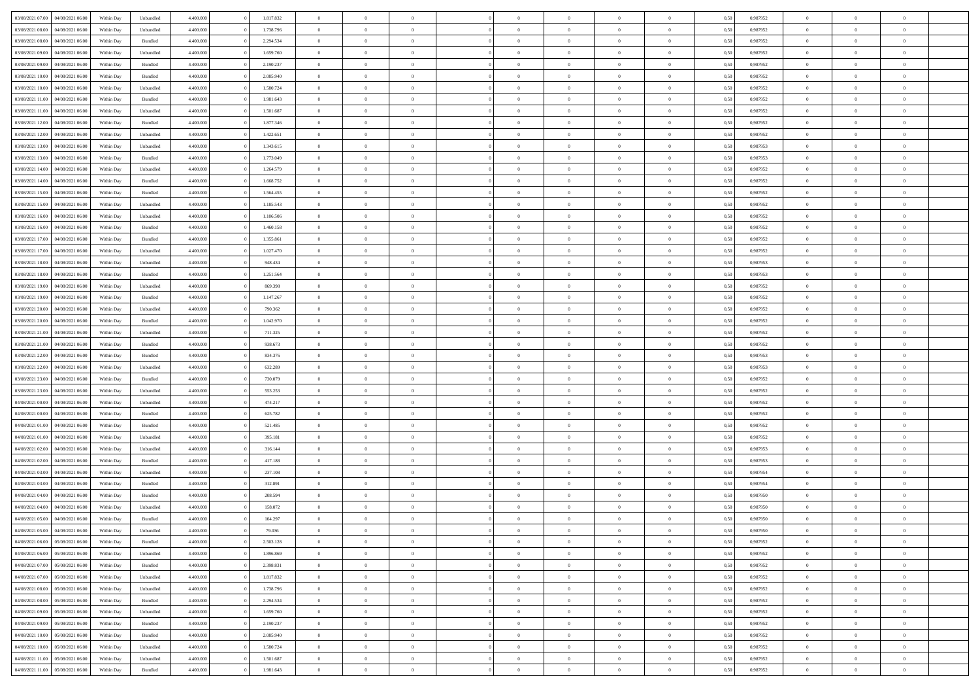| 03/08/2021 07:00 04/08/2021 06:00    | Within Day | Unbundled | 4.400.000 | 1.817.832 | $\overline{0}$ | $\overline{0}$ | $\Omega$       | $\overline{0}$ | $\theta$       | $\Omega$       | $\overline{0}$ | 0,50 | 0,987952 | $\theta$       | $\theta$       | $\overline{0}$ |  |
|--------------------------------------|------------|-----------|-----------|-----------|----------------|----------------|----------------|----------------|----------------|----------------|----------------|------|----------|----------------|----------------|----------------|--|
| 03/08/2021 08:00<br>04/08/2021 06:00 | Within Day | Unbundled | 4.400.000 | 1.738.796 | $\overline{0}$ | $\overline{0}$ | $\overline{0}$ | $\overline{0}$ | $\theta$       | $\overline{0}$ | $\bf{0}$       | 0,50 | 0,987952 | $\theta$       | $\theta$       | $\overline{0}$ |  |
| 03/08/2021 08:00<br>04/08/2021 06:00 | Within Day | Bundled   | 4.400.000 | 2.294.534 | $\overline{0}$ | $\bf{0}$       | $\overline{0}$ | $\overline{0}$ | $\bf{0}$       | $\overline{0}$ | $\bf{0}$       | 0,50 | 0,987952 | $\bf{0}$       | $\overline{0}$ | $\bf{0}$       |  |
| 03/08/2021 09:00<br>04/08/2021 06:00 | Within Day | Unbundled | 4.400.000 | 1.659.760 | $\overline{0}$ | $\overline{0}$ | $\overline{0}$ | $\overline{0}$ | $\theta$       | $\overline{0}$ | $\overline{0}$ | 0.50 | 0,987952 | $\theta$       | $\theta$       | $\overline{0}$ |  |
| 03/08/2021 09:00<br>04/08/2021 06:00 | Within Day | Bundled   | 4.400.000 | 2.190.237 | $\overline{0}$ | $\overline{0}$ | $\overline{0}$ | $\overline{0}$ | $\theta$       | $\overline{0}$ | $\bf{0}$       | 0,50 | 0,987952 | $\theta$       | $\theta$       | $\overline{0}$ |  |
| 03/08/2021 10:00<br>04/08/2021 06:00 | Within Day | Bundled   | 4.400.000 | 2.085.940 | $\overline{0}$ | $\bf{0}$       | $\overline{0}$ | $\overline{0}$ | $\overline{0}$ | $\overline{0}$ | $\bf{0}$       | 0,50 | 0,987952 | $\overline{0}$ | $\overline{0}$ | $\bf{0}$       |  |
| 03/08/2021 10:00<br>04/08/2021 06:00 | Within Day | Unbundled | 4.400.000 | 1.580.724 | $\overline{0}$ | $\overline{0}$ | $\overline{0}$ | $\overline{0}$ | $\overline{0}$ | $\overline{0}$ | $\bf{0}$       | 0.5( | 0,987952 | $\theta$       | $\theta$       | $\overline{0}$ |  |
|                                      |            |           |           |           |                |                |                |                |                |                |                |      |          |                |                |                |  |
| 03/08/2021 11:00<br>04/08/2021 06:00 | Within Day | Bundled   | 4.400.000 | 1.981.643 | $\bf{0}$       | $\overline{0}$ | $\overline{0}$ | $\overline{0}$ | $\theta$       | $\overline{0}$ | $\bf{0}$       | 0,50 | 0,987952 | $\theta$       | $\theta$       | $\overline{0}$ |  |
| 03/08/2021 11:00<br>04/08/2021 06:00 | Within Day | Unbundled | 4.400.000 | 1.501.687 | $\overline{0}$ | $\bf{0}$       | $\overline{0}$ | $\overline{0}$ | $\overline{0}$ | $\overline{0}$ | $\bf{0}$       | 0,50 | 0,987952 | $\bf{0}$       | $\overline{0}$ | $\overline{0}$ |  |
| 03/08/2021 12:00<br>04/08/2021 06:00 | Within Day | Bundled   | 4.400.000 | 1.877.346 | $\overline{0}$ | $\overline{0}$ | $\overline{0}$ | $\overline{0}$ | $\overline{0}$ | $\overline{0}$ | $\bf{0}$       | 0.5( | 0,987952 | $\theta$       | $\theta$       | $\overline{0}$ |  |
| 03/08/2021 12:00<br>04/08/2021 06:00 | Within Day | Unbundled | 4.400.000 | 1.422.651 | $\bf{0}$       | $\overline{0}$ | $\overline{0}$ | $\overline{0}$ | $\theta$       | $\overline{0}$ | $\bf{0}$       | 0,50 | 0,987952 | $\theta$       | $\theta$       | $\overline{0}$ |  |
| 03/08/2021 13:00<br>04/08/2021 06:00 | Within Day | Unbundled | 4.400.000 | 1.343.615 | $\overline{0}$ | $\bf{0}$       | $\overline{0}$ | $\overline{0}$ | $\bf{0}$       | $\overline{0}$ | $\bf{0}$       | 0,50 | 0,987953 | $\bf{0}$       | $\overline{0}$ | $\bf{0}$       |  |
| 03/08/2021 13:00<br>04/08/2021 06:00 | Within Day | Bundled   | 4.400.000 | 1.773.049 | $\overline{0}$ | $\overline{0}$ | $\overline{0}$ | $\overline{0}$ | $\overline{0}$ | $\overline{0}$ | $\overline{0}$ | 0.5( | 0,987953 | $\theta$       | $\theta$       | $\overline{0}$ |  |
| 03/08/2021 14:00<br>04/08/2021 06:00 | Within Day | Unbundled | 4.400.000 | 1.264.579 | $\overline{0}$ | $\theta$       | $\overline{0}$ | $\overline{0}$ | $\theta$       | $\overline{0}$ | $\,$ 0 $\,$    | 0,50 | 0,987952 | $\theta$       | $\theta$       | $\overline{0}$ |  |
| 03/08/2021 14:00<br>04/08/2021 06:00 | Within Day | Bundled   | 4.400.000 | 1.668.752 | $\overline{0}$ | $\bf{0}$       | $\overline{0}$ | $\overline{0}$ | $\overline{0}$ | $\overline{0}$ | $\bf{0}$       | 0,50 | 0,987952 | $\overline{0}$ | $\overline{0}$ | $\overline{0}$ |  |
| 03/08/2021 15:00<br>04/08/2021 06:00 | Within Day | Bundled   | 4.400.000 | 1.564.455 | $\overline{0}$ | $\overline{0}$ | $\overline{0}$ | $\overline{0}$ | $\overline{0}$ | $\overline{0}$ | $\overline{0}$ | 0.5( | 0,987952 | $\theta$       | $\overline{0}$ | $\overline{0}$ |  |
| 03/08/2021 15:00<br>04/08/2021 06:00 | Within Day | Unbundled | 4.400.000 | 1.185.543 | $\bf{0}$       | $\overline{0}$ | $\overline{0}$ | $\overline{0}$ | $\theta$       | $\overline{0}$ | $\bf{0}$       | 0,50 | 0,987952 | $\theta$       | $\theta$       | $\overline{0}$ |  |
| 03/08/2021 16:00<br>04/08/2021 06:00 | Within Day | Unbundled | 4.400.000 | 1.106.506 | $\overline{0}$ | $\bf{0}$       | $\overline{0}$ | $\overline{0}$ | $\overline{0}$ | $\overline{0}$ | $\bf{0}$       | 0,50 | 0,987952 | $\bf{0}$       | $\overline{0}$ | $\overline{0}$ |  |
| 03/08/2021 16:00<br>04/08/2021 06:00 | Within Day | Bundled   | 4.400.000 | 1.460.158 | $\overline{0}$ | $\overline{0}$ | $\overline{0}$ | $\overline{0}$ | $\overline{0}$ | $\overline{0}$ | $\overline{0}$ | 0.50 | 0,987952 | $\theta$       | $\theta$       | $\overline{0}$ |  |
| 03/08/2021 17:00<br>04/08/2021 06:00 | Within Day | Bundled   | 4.400.000 | 1.355.861 | $\bf{0}$       | $\overline{0}$ | $\overline{0}$ | $\overline{0}$ | $\theta$       | $\overline{0}$ | $\bf{0}$       | 0,50 | 0,987952 | $\theta$       | $\theta$       | $\overline{0}$ |  |
| 03/08/2021 17:00<br>04/08/2021 06:00 | Within Day | Unbundled | 4.400.000 | 1.027.470 | $\overline{0}$ | $\bf{0}$       | $\overline{0}$ | $\overline{0}$ | $\bf{0}$       | $\overline{0}$ | $\bf{0}$       | 0,50 | 0,987952 | $\bf{0}$       | $\overline{0}$ | $\bf{0}$       |  |
| 03/08/2021 18:00<br>04/08/2021 06:00 | Within Day | Unbundled | 4.400.000 | 948,434   | $\overline{0}$ | $\overline{0}$ | $\overline{0}$ | $\overline{0}$ | $\overline{0}$ | $\overline{0}$ | $\overline{0}$ | 0.5( | 0,987953 | $\theta$       | $\overline{0}$ | $\overline{0}$ |  |
|                                      |            |           |           |           |                |                |                |                |                |                |                |      |          |                |                |                |  |
| 03/08/2021 18:00<br>04/08/2021 06:00 | Within Day | Bundled   | 4.400.000 | 1.251.564 | $\bf{0}$       | $\theta$       | $\overline{0}$ | $\overline{0}$ | $\theta$       | $\overline{0}$ | $\bf{0}$       | 0,50 | 0,987953 | $\theta$       | $\theta$       | $\overline{0}$ |  |
| 03/08/2021 19:00<br>04/08/2021 06:00 | Within Day | Unbundled | 4.400.000 | 869.398   | $\overline{0}$ | $\bf{0}$       | $\overline{0}$ | $\overline{0}$ | $\overline{0}$ | $\overline{0}$ | $\bf{0}$       | 0,50 | 0,987952 | $\overline{0}$ | $\overline{0}$ | $\bf{0}$       |  |
| 03/08/2021 19:00<br>04/08/2021 06:00 | Within Day | Bundled   | 4.400.000 | 1.147.267 | $\overline{0}$ | $\overline{0}$ | $\overline{0}$ | $\overline{0}$ | $\overline{0}$ | $\overline{0}$ | $\overline{0}$ | 0.5( | 0,987952 | $\overline{0}$ | $\overline{0}$ | $\overline{0}$ |  |
| 03/08/2021 20:00<br>04/08/2021 06:00 | Within Day | Unbundled | 4.400.000 | 790.362   | $\bf{0}$       | $\overline{0}$ | $\overline{0}$ | $\overline{0}$ | $\theta$       | $\overline{0}$ | $\bf{0}$       | 0,50 | 0,987952 | $\theta$       | $\theta$       | $\overline{0}$ |  |
| 03/08/2021 20:00<br>04/08/2021 06:00 | Within Day | Bundled   | 4.400.000 | 1.042.970 | $\overline{0}$ | $\bf{0}$       | $\overline{0}$ | $\overline{0}$ | $\overline{0}$ | $\overline{0}$ | $\bf{0}$       | 0,50 | 0,987952 | $\bf{0}$       | $\overline{0}$ | $\overline{0}$ |  |
| 03/08/2021 21:00<br>04/08/2021 06:00 | Within Day | Unbundled | 4.400.000 | 711.325   | $\overline{0}$ | $\overline{0}$ | $\overline{0}$ | $\overline{0}$ | $\overline{0}$ | $\overline{0}$ | $\overline{0}$ | 0.5( | 0,987952 | $\theta$       | $\theta$       | $\overline{0}$ |  |
| 03/08/2021 21:00<br>04/08/2021 06:00 | Within Day | Bundled   | 4.400.000 | 938.673   | $\bf{0}$       | $\overline{0}$ | $\overline{0}$ | $\overline{0}$ | $\theta$       | $\overline{0}$ | $\bf{0}$       | 0,50 | 0,987952 | $\theta$       | $\theta$       | $\overline{0}$ |  |
| 03/08/2021 22:00<br>04/08/2021 06:00 | Within Day | Bundled   | 4.400.000 | 834.376   | $\overline{0}$ | $\bf{0}$       | $\overline{0}$ | $\overline{0}$ | $\bf{0}$       | $\overline{0}$ | $\bf{0}$       | 0,50 | 0,987953 | $\bf{0}$       | $\overline{0}$ | $\bf{0}$       |  |
| 03/08/2021 22:00<br>04/08/2021 06:00 | Within Day | Unbundled | 4,400,000 | 632.289   | $\overline{0}$ | $\overline{0}$ | $\Omega$       | $\Omega$       | $\Omega$       | $\Omega$       | $\overline{0}$ | 0,50 | 0,987953 | $\,$ 0 $\,$    | $\overline{0}$ | $\theta$       |  |
| 03/08/2021 23:00<br>04/08/2021 06:00 | Within Day | Bundled   | 4.400.000 | 730.079   | $\bf{0}$       | $\overline{0}$ | $\overline{0}$ | $\overline{0}$ | $\theta$       | $\overline{0}$ | $\bf{0}$       | 0,50 | 0,987952 | $\theta$       | $\theta$       | $\overline{0}$ |  |
| 03/08/2021 23:00<br>04/08/2021 06:00 | Within Day | Unbundled | 4.400.000 | 553.253   | $\overline{0}$ | $\bf{0}$       | $\overline{0}$ | $\overline{0}$ | $\overline{0}$ | $\overline{0}$ | $\bf{0}$       | 0,50 | 0,987952 | $\overline{0}$ | $\overline{0}$ | $\bf{0}$       |  |
| 04/08/2021 00:00<br>04/08/2021 06:00 | Within Day | Unbundled | 4,400,000 | 474.217   | $\overline{0}$ | $\overline{0}$ | $\Omega$       | $\Omega$       | $\overline{0}$ | $\Omega$       | $\overline{0}$ | 0.50 | 0,987952 | $\bf{0}$       | $\theta$       | $\theta$       |  |
| 04/08/2021 00:00<br>04/08/2021 06:00 | Within Day | Bundled   | 4.400.000 | 625.782   | $\bf{0}$       | $\overline{0}$ | $\overline{0}$ | $\overline{0}$ | $\theta$       | $\overline{0}$ | $\bf{0}$       | 0,50 | 0,987952 | $\theta$       | $\theta$       | $\overline{0}$ |  |
| 04/08/2021 01:00<br>04/08/2021 06:00 | Within Day | Bundled   | 4.400.000 | 521.485   | $\overline{0}$ | $\bf{0}$       | $\overline{0}$ | $\overline{0}$ | $\overline{0}$ | $\overline{0}$ | $\bf{0}$       | 0,50 | 0,987952 | $\bf{0}$       | $\overline{0}$ | $\bf{0}$       |  |
| 04/08/2021 01:00<br>04/08/2021 06:00 | Within Day | Unbundled | 4,400,000 | 395.181   | $\overline{0}$ | $\overline{0}$ | $\Omega$       | $\theta$       | $\Omega$       | $\theta$       | $\overline{0}$ | 0.50 | 0.987952 | $\theta$       | $\theta$       | $\theta$       |  |
| 04/08/2021 02:00<br>04/08/2021 06:00 | Within Day | Unbundled | 4.400.000 | 316.144   | $\bf{0}$       | $\bf{0}$       | $\overline{0}$ | $\overline{0}$ | $\theta$       | $\overline{0}$ | $\bf{0}$       | 0,50 | 0,987953 | $\theta$       | $\,$ 0 $\,$    | $\overline{0}$ |  |
| 04/08/2021 02:00<br>04/08/2021 06:00 | Within Day | Bundled   | 4.400.000 | 417.188   | $\overline{0}$ | $\bf{0}$       | $\overline{0}$ | $\overline{0}$ | $\overline{0}$ | $\overline{0}$ | $\bf{0}$       | 0,50 | 0,987953 | $\bf{0}$       | $\overline{0}$ | $\bf{0}$       |  |
|                                      |            |           | 4,400,000 |           | $\overline{0}$ |                | $\Omega$       | $\Omega$       |                | $\Omega$       |                |      |          |                |                | $\theta$       |  |
| 04/08/2021 03:00<br>04/08/2021 06:00 | Within Day | Unbundled |           | 237.108   |                | $\overline{0}$ |                |                | $\overline{0}$ |                | $\overline{0}$ | 0.50 | 0,987954 | $\bf{0}$       | $\overline{0}$ |                |  |
| 04/08/2021 03:00<br>04/08/2021 06:00 | Within Day | Bundled   | 4.400.000 | 312.891   | $\bf{0}$       | $\theta$       | $\overline{0}$ | $\overline{0}$ | $\theta$       | $\overline{0}$ | $\bf{0}$       | 0,50 | 0,987954 | $\theta$       | $\,$ 0 $\,$    | $\overline{0}$ |  |
| 04/08/2021 04:00<br>04/08/2021 06:00 | Within Day | Bundled   | 4.400.000 | 208.594   | $\overline{0}$ | $\bf{0}$       | $\overline{0}$ | $\overline{0}$ | $\overline{0}$ | $\overline{0}$ | $\bf{0}$       | 0,50 | 0,987950 | $\bf{0}$       | $\overline{0}$ | $\bf{0}$       |  |
| 04/08/2021 04:00<br>04/08/2021 06:00 | Within Day | Unbundled | 4,400,000 | 158.072   | $\overline{0}$ | $\overline{0}$ | $\Omega$       | $\Omega$       | $\Omega$       | $\theta$       | $\overline{0}$ | 0.50 | 0.987950 | $\theta$       | $\theta$       | $\theta$       |  |
| 04/08/2021 05:00 04/08/2021 06:00    | Within Day | Bundled   | 4.400.000 | 104.297   | $\bf{0}$       | $\bf{0}$       | $\overline{0}$ | $\overline{0}$ | $\overline{0}$ | $\bf{0}$       | $\bf{0}$       | 0,50 | 0,987950 | $\bf{0}$       | $\,$ 0 $\,$    | $\overline{0}$ |  |
| 04/08/2021 05:00 04/08/2021 06:00    | Within Day | Unbundled | 4.400.000 | 79.036    |                | $\bf{0}$       |                |                |                |                |                | 0,50 | 0,987950 | $\bf{0}$       | $\bf{0}$       |                |  |
| 04/08/2021 06:00 05/08/2021 06:00    | Within Day | Bundled   | 4.400.000 | 2.503.128 | $\Omega$       | $\overline{0}$ | $\Omega$       | $\theta$       | $\Omega$       | $\theta$       | $\overline{0}$ | 0.50 | 0.987952 | $\theta$       | $\theta$       | $\theta$       |  |
| 04/08/2021 06:00<br>05/08/2021 06:00 | Within Day | Unbundled | 4.400.000 | 1.896.869 | $\overline{0}$ | $\overline{0}$ | $\overline{0}$ | $\overline{0}$ | $\overline{0}$ | $\overline{0}$ | $\,$ 0 $\,$    | 0,50 | 0,987952 | $\,$ 0 $\,$    | $\,$ 0 $\,$    | $\,$ 0         |  |
| 04/08/2021 07:00 05/08/2021 06:00    | Within Day | Bundled   | 4.400.000 | 2.398.831 | $\overline{0}$ | $\overline{0}$ | $\overline{0}$ | $\overline{0}$ | $\overline{0}$ | $\overline{0}$ | $\bf{0}$       | 0,50 | 0,987952 | $\overline{0}$ | $\bf{0}$       | $\overline{0}$ |  |
| 05/08/2021 06:00<br>04/08/2021 07:00 | Within Day | Unbundled | 4.400.000 | 1.817.832 | $\overline{0}$ | $\bf{0}$       | $\overline{0}$ | $\overline{0}$ | $\overline{0}$ | $\overline{0}$ | $\bf{0}$       | 0,50 | 0,987952 | $\bf{0}$       | $\theta$       | $\overline{0}$ |  |
| 04/08/2021 08:00<br>05/08/2021 06:00 | Within Day | Unbundled | 4.400.000 | 1.738.796 | $\overline{0}$ | $\overline{0}$ | $\overline{0}$ | $\overline{0}$ | $\overline{0}$ | $\overline{0}$ | $\bf{0}$       | 0,50 | 0,987952 | $\,$ 0 $\,$    | $\,$ 0 $\,$    | $\overline{0}$ |  |
| 04/08/2021 08:00<br>05/08/2021 06:00 | Within Day | Bundled   | 4.400.000 | 2.294.534 | $\overline{0}$ | $\overline{0}$ | $\overline{0}$ | $\overline{0}$ | $\mathbf{0}$   | $\overline{0}$ | $\bf{0}$       | 0,50 | 0,987952 | $\overline{0}$ | $\overline{0}$ | $\overline{0}$ |  |
| 04/08/2021 09:00<br>05/08/2021 06:00 | Within Day | Unbundled | 4.400.000 | 1.659.760 | $\overline{0}$ | $\bf{0}$       | $\overline{0}$ | $\overline{0}$ | $\overline{0}$ | $\overline{0}$ | $\bf{0}$       | 0.50 | 0,987952 | $\overline{0}$ | $\theta$       | $\overline{0}$ |  |
| 04/08/2021 09:00<br>05/08/2021 06:00 | Within Day | Bundled   | 4.400.000 | 2.190.237 | $\overline{0}$ | $\,$ 0         | $\overline{0}$ | $\overline{0}$ | $\overline{0}$ | $\overline{0}$ | $\bf{0}$       | 0,50 | 0,987952 | $\,$ 0 $\,$    | $\bf{0}$       | $\overline{0}$ |  |
| 05/08/2021 06:00<br>04/08/2021 10:00 | Within Day | Bundled   | 4.400.000 | 2.085.940 | $\overline{0}$ | $\bf{0}$       | $\overline{0}$ | $\overline{0}$ | $\overline{0}$ | $\overline{0}$ | $\bf{0}$       | 0,50 | 0,987952 | $\bf{0}$       | $\overline{0}$ | $\bf{0}$       |  |
|                                      | Within Day |           | 4.400.000 |           | $\overline{0}$ | $\overline{0}$ | $\overline{0}$ | $\overline{0}$ | $\overline{0}$ | $\overline{0}$ |                | 0.50 |          | $\overline{0}$ | $\theta$       | $\overline{0}$ |  |
| 04/08/2021 10:00<br>05/08/2021 06:00 |            | Unbundled |           | 1.580.724 |                |                |                |                |                |                | $\bf{0}$       |      | 0,987952 |                |                |                |  |
| 04/08/2021 11:00<br>05/08/2021 06:00 | Within Day | Unbundled | 4.400.000 | 1.501.687 | $\overline{0}$ | $\,$ 0         | $\overline{0}$ | $\overline{0}$ | $\overline{0}$ | $\bf{0}$       | $\bf{0}$       | 0,50 | 0,987952 | $\,$ 0 $\,$    | $\,$ 0 $\,$    | $\overline{0}$ |  |
| 04/08/2021 11:00 05/08/2021 06:00    | Within Day | Bundled   | 4.400.000 | 1.981.643 | $\overline{0}$ | $\bf{0}$       | $\overline{0}$ | $\overline{0}$ | $\overline{0}$ | $\overline{0}$ | $\bf{0}$       | 0,50 | 0,987952 | $\overline{0}$ | $\bf{0}$       | $\overline{0}$ |  |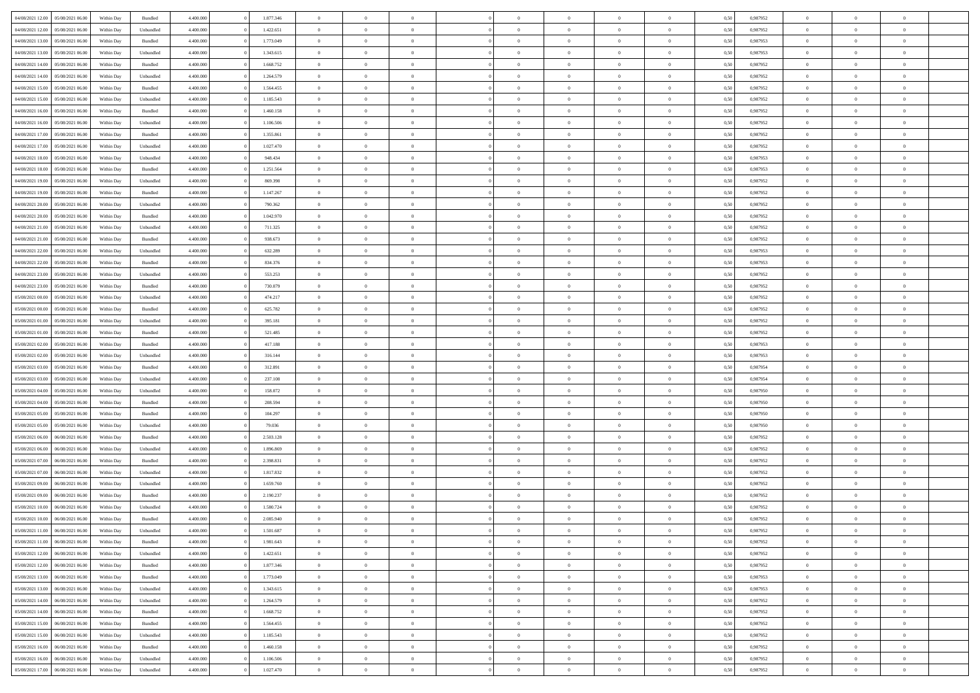|                                   |                  |            |           |           | 1.877.346 | $\overline{0}$ | $\Omega$       |                |                | $\Omega$       | $\theta$       | $\theta$       |      |          | $\theta$       |                | $\theta$       |  |
|-----------------------------------|------------------|------------|-----------|-----------|-----------|----------------|----------------|----------------|----------------|----------------|----------------|----------------|------|----------|----------------|----------------|----------------|--|
| 04/08/2021 12:00                  | 05/08/2021 06:00 | Within Day | Bundled   | 4.400.000 |           |                |                |                | $\Omega$       |                |                |                | 0,50 | 0,987952 |                | $\theta$       |                |  |
| 04/08/2021 12:00                  | 05/08/2021 06:00 | Within Day | Unbundled | 4.400.000 | 1.422.651 | $\overline{0}$ | $\theta$       | $\overline{0}$ | $\overline{0}$ | $\bf{0}$       | $\overline{0}$ | $\bf{0}$       | 0,50 | 0,987952 | $\theta$       | $\overline{0}$ | $\overline{0}$ |  |
| 04/08/2021 13:00                  | 05/08/2021 06:00 | Within Day | Bundled   | 4.400.000 | 1.773.049 | $\overline{0}$ | $\bf{0}$       | $\overline{0}$ | $\bf{0}$       | $\bf{0}$       | $\bf{0}$       | $\mathbf{0}$   | 0,50 | 0,987953 | $\bf{0}$       | $\overline{0}$ | $\bf{0}$       |  |
| 04/08/2021 13:00                  | 05/08/2021 06:00 | Within Day | Unbundled | 4.400.000 | 1.343.615 | $\overline{0}$ | $\overline{0}$ | $\overline{0}$ | $\overline{0}$ | $\bf{0}$       | $\overline{0}$ | $\overline{0}$ | 0.50 | 0,987953 | $\theta$       | $\theta$       | $\overline{0}$ |  |
| 04/08/2021 14:00                  | 05/08/2021 06:00 | Within Day | Bundled   | 4.400.000 | 1.668.752 | $\overline{0}$ | $\theta$       | $\overline{0}$ | $\overline{0}$ | $\bf{0}$       | $\overline{0}$ | $\bf{0}$       | 0,50 | 0,987952 | $\theta$       | $\overline{0}$ | $\overline{0}$ |  |
|                                   |                  |            |           |           |           |                |                |                |                |                |                |                |      |          |                |                |                |  |
| 04/08/2021 14:00                  | 05/08/2021 06:00 | Within Day | Unbundled | 4.400.000 | 1.264.579 | $\overline{0}$ | $\overline{0}$ | $\overline{0}$ | $\bf{0}$       | $\overline{0}$ | $\overline{0}$ | $\mathbf{0}$   | 0,50 | 0,987952 | $\bf{0}$       | $\overline{0}$ | $\bf{0}$       |  |
| 04/08/2021 15:00                  | 05/08/2021 06:00 | Within Dav | Bundled   | 4.400.000 | 1.564.455 | $\overline{0}$ | $\overline{0}$ | $\overline{0}$ | $\overline{0}$ | $\overline{0}$ | $\overline{0}$ | $\overline{0}$ | 0.50 | 0,987952 | $\theta$       | $\overline{0}$ | $\overline{0}$ |  |
| 04/08/2021 15:00                  | 05/08/2021 06:00 | Within Day | Unbundled | 4.400.000 | 1.185.543 | $\overline{0}$ | $\theta$       | $\overline{0}$ | $\overline{0}$ | $\bf{0}$       | $\overline{0}$ | $\bf{0}$       | 0,50 | 0,987952 | $\theta$       | $\theta$       | $\overline{0}$ |  |
| 04/08/2021 16:00                  | 05/08/2021 06:00 | Within Day | Bundled   | 4.400.000 | 1.460.158 | $\overline{0}$ | $\overline{0}$ | $\overline{0}$ | $\bf{0}$       | $\bf{0}$       | $\bf{0}$       | $\bf{0}$       | 0,50 | 0,987952 | $\,0\,$        | $\overline{0}$ | $\overline{0}$ |  |
| 04/08/2021 16:00                  | 05/08/2021 06:00 | Within Dav | Unbundled | 4.400.000 | 1.106.506 | $\overline{0}$ | $\overline{0}$ | $\overline{0}$ | $\overline{0}$ | $\overline{0}$ | $\overline{0}$ | $\overline{0}$ | 0.50 | 0,987952 | $\theta$       | $\overline{0}$ | $\overline{0}$ |  |
| 04/08/2021 17:00                  | 05/08/2021 06:00 | Within Day | Bundled   | 4.400.000 | 1.355.861 | $\overline{0}$ | $\theta$       | $\overline{0}$ | $\overline{0}$ | $\bf{0}$       | $\overline{0}$ | $\bf{0}$       | 0,50 | 0,987952 | $\,$ 0 $\,$    | $\overline{0}$ | $\overline{0}$ |  |
|                                   |                  |            |           |           |           |                |                |                |                |                |                |                |      |          |                |                |                |  |
| 04/08/2021 17.00                  | 05/08/2021 06:00 | Within Day | Unbundled | 4.400.000 | 1.027.470 | $\overline{0}$ | $\overline{0}$ | $\overline{0}$ | $\bf{0}$       | $\bf{0}$       | $\bf{0}$       | $\mathbf{0}$   | 0,50 | 0,987952 | $\overline{0}$ | $\overline{0}$ | $\bf{0}$       |  |
| 04/08/2021 18:00                  | 05/08/2021 06:00 | Within Day | Unbundled | 4.400.000 | 948,434   | $\overline{0}$ | $\overline{0}$ | $\overline{0}$ | $\overline{0}$ | $\bf{0}$       | $\overline{0}$ | $\overline{0}$ | 0.50 | 0,987953 | $\theta$       | $\theta$       | $\overline{0}$ |  |
| 04/08/2021 18:00                  | 05/08/2021 06:00 | Within Day | Bundled   | 4.400.000 | 1.251.564 | $\overline{0}$ | $\theta$       | $\overline{0}$ | $\overline{0}$ | $\bf{0}$       | $\overline{0}$ | $\bf{0}$       | 0,50 | 0,987953 | $\theta$       | $\overline{0}$ | $\overline{0}$ |  |
| 04/08/2021 19:00                  | 05/08/2021 06:00 | Within Day | Unbundled | 4.400.000 | 869.398   | $\overline{0}$ | $\overline{0}$ | $\overline{0}$ | $\bf{0}$       | $\overline{0}$ | $\overline{0}$ | $\mathbf{0}$   | 0,50 | 0,987952 | $\overline{0}$ | $\overline{0}$ | $\bf{0}$       |  |
| 04/08/2021 19:00                  | 05/08/2021 06:00 | Within Dav | Bundled   | 4.400.000 | 1.147.267 | $\overline{0}$ | $\overline{0}$ | $\overline{0}$ | $\overline{0}$ | $\overline{0}$ | $\overline{0}$ | $\overline{0}$ | 0.50 | 0,987952 | $\theta$       | $\overline{0}$ | $\overline{0}$ |  |
| 04/08/2021 20:00                  | 05/08/2021 06:00 | Within Day | Unbundled | 4.400.000 | 790.362   | $\overline{0}$ | $\theta$       | $\overline{0}$ | $\overline{0}$ | $\bf{0}$       | $\overline{0}$ | $\bf{0}$       | 0,50 | 0,987952 | $\theta$       | $\theta$       | $\overline{0}$ |  |
| 04/08/2021 20:00                  | 05/08/2021 06:00 | Within Day | Bundled   | 4.400.000 | 1.042.970 | $\overline{0}$ | $\overline{0}$ | $\overline{0}$ | $\bf{0}$       | $\bf{0}$       | $\bf{0}$       | $\mathbf{0}$   | 0,50 | 0,987952 | $\,0\,$        | $\overline{0}$ | $\bf{0}$       |  |
| 04/08/2021 21:00                  | 05/08/2021 06:00 | Within Day | Unbundled | 4.400.000 | 711.325   | $\overline{0}$ | $\overline{0}$ | $\overline{0}$ | $\overline{0}$ | $\overline{0}$ | $\overline{0}$ | $\overline{0}$ | 0.50 | 0,987952 | $\theta$       | $\overline{0}$ | $\overline{0}$ |  |
|                                   |                  |            |           |           |           |                |                |                |                |                |                |                |      |          |                |                |                |  |
| 04/08/2021 21.00                  | 05/08/2021 06:00 | Within Day | Bundled   | 4.400.000 | 938.673   | $\overline{0}$ | $\theta$       | $\overline{0}$ | $\overline{0}$ | $\bf{0}$       | $\overline{0}$ | $\bf{0}$       | 0,50 | 0,987952 | $\,$ 0 $\,$    | $\overline{0}$ | $\overline{0}$ |  |
| 04/08/2021 22.00                  | 05/08/2021 06:00 | Within Day | Unbundled | 4.400.000 | 632.289   | $\overline{0}$ | $\overline{0}$ | $\overline{0}$ | $\bf{0}$       | $\bf{0}$       | $\bf{0}$       | $\mathbf{0}$   | 0,50 | 0,987953 | $\bf{0}$       | $\overline{0}$ | $\bf{0}$       |  |
| 04/08/2021 22:00                  | 05/08/2021 06:00 | Within Day | Bundled   | 4.400.000 | 834.376   | $\overline{0}$ | $\overline{0}$ | $\overline{0}$ | $\overline{0}$ | $\overline{0}$ | $\overline{0}$ | $\overline{0}$ | 0.50 | 0,987953 | $\theta$       | $\overline{0}$ | $\overline{0}$ |  |
| 04/08/2021 23:00                  | 05/08/2021 06:00 | Within Day | Unbundled | 4.400.000 | 553.253   | $\overline{0}$ | $\theta$       | $\overline{0}$ | $\overline{0}$ | $\bf{0}$       | $\overline{0}$ | $\bf{0}$       | 0,50 | 0,987952 | $\,$ 0 $\,$    | $\overline{0}$ | $\overline{0}$ |  |
| 04/08/2021 23:00                  | 05/08/2021 06:00 | Within Day | Bundled   | 4.400.000 | 730.079   | $\overline{0}$ | $\overline{0}$ | $\overline{0}$ | $\bf{0}$       | $\overline{0}$ | $\overline{0}$ | $\mathbf{0}$   | 0,50 | 0,987952 | $\bf{0}$       | $\overline{0}$ | $\bf{0}$       |  |
| 05/08/2021 00:00                  | 05/08/2021 06:00 | Within Day | Unbundled | 4.400.000 | 474.217   | $\overline{0}$ | $\overline{0}$ | $\overline{0}$ | $\overline{0}$ | $\overline{0}$ | $\overline{0}$ | $\overline{0}$ | 0.50 | 0,987952 | $\theta$       | $\overline{0}$ | $\overline{0}$ |  |
| 05/08/2021 00:00                  | 05/08/2021 06:00 | Within Day | Bundled   | 4.400.000 | 625.782   | $\overline{0}$ | $\theta$       | $\overline{0}$ | $\overline{0}$ | $\bf{0}$       | $\overline{0}$ | $\bf{0}$       | 0,50 | 0,987952 | $\theta$       | $\overline{0}$ | $\overline{0}$ |  |
|                                   |                  |            |           |           |           |                |                |                |                |                |                |                |      |          |                |                |                |  |
| 05/08/2021 01:00                  | 05/08/2021 06:00 | Within Day | Unbundled | 4.400.000 | 395.181   | $\overline{0}$ | $\overline{0}$ | $\overline{0}$ | $\bf{0}$       | $\bf{0}$       | $\bf{0}$       | $\bf{0}$       | 0,50 | 0,987952 | $\,0\,$        | $\overline{0}$ | $\overline{0}$ |  |
| 05/08/2021 01:00                  | 05/08/2021 06:00 | Within Day | Bundled   | 4.400.000 | 521.485   | $\overline{0}$ | $\overline{0}$ | $\overline{0}$ | $\overline{0}$ | $\overline{0}$ | $\overline{0}$ | $\overline{0}$ | 0.50 | 0,987952 | $\theta$       | $\overline{0}$ | $\overline{0}$ |  |
| 05/08/2021 02:00                  | 05/08/2021 06:00 | Within Day | Bundled   | 4.400.000 | 417.188   | $\overline{0}$ | $\theta$       | $\overline{0}$ | $\overline{0}$ | $\bf{0}$       | $\overline{0}$ | $\bf{0}$       | 0,50 | 0,987953 | $\,$ 0 $\,$    | $\overline{0}$ | $\overline{0}$ |  |
| 05/08/2021 02:00                  | 05/08/2021 06:00 | Within Day | Unbundled | 4.400.000 | 316.144   | $\overline{0}$ | $\overline{0}$ | $\overline{0}$ | $\bf{0}$       | $\bf{0}$       | $\bf{0}$       | $\bf{0}$       | 0,50 | 0,987953 | $\bf{0}$       | $\overline{0}$ | $\bf{0}$       |  |
| 05/08/2021 03:00                  | 05/08/2021 06:00 | Within Day | Bundled   | 4.400,000 | 312.891   | $\bf{0}$       | $\Omega$       | $\Omega$       | $\Omega$       | $\Omega$       | $\overline{0}$ | $\overline{0}$ | 0,50 | 0,987954 | $\,0\,$        | $\theta$       | $\theta$       |  |
| 05/08/2021 03:00                  | 05/08/2021 06:00 | Within Day | Unbundled | 4.400.000 | 237.108   | $\overline{0}$ | $\theta$       | $\overline{0}$ | $\overline{0}$ | $\bf{0}$       | $\overline{0}$ | $\bf{0}$       | 0,50 | 0,987954 | $\theta$       | $\overline{0}$ | $\overline{0}$ |  |
| 05/08/2021 04:00                  | 05/08/2021 06:00 | Within Day | Unbundled | 4.400.000 | 158.072   | $\overline{0}$ | $\overline{0}$ | $\overline{0}$ | $\bf{0}$       | $\overline{0}$ | $\overline{0}$ | $\mathbf{0}$   | 0,50 | 0,987950 | $\bf{0}$       | $\overline{0}$ | $\bf{0}$       |  |
|                                   |                  |            |           |           |           |                |                |                |                |                |                |                |      |          |                |                |                |  |
| 05/08/2021 04:00                  | 05/08/2021 06:00 | Within Day | Bundled   | 4.400,000 | 208,594   | $\overline{0}$ | $\Omega$       | $\Omega$       | $\Omega$       | $\overline{0}$ | $\overline{0}$ | $\overline{0}$ | 0.50 | 0,987950 | $\,0\,$        | $\theta$       | $\theta$       |  |
| 05/08/2021 05:00                  | 05/08/2021 06:00 | Within Day | Bundled   | 4.400.000 | 104.297   | $\overline{0}$ | $\theta$       | $\overline{0}$ | $\overline{0}$ | $\bf{0}$       | $\overline{0}$ | $\bf{0}$       | 0,50 | 0,987950 | $\,$ 0 $\,$    | $\overline{0}$ | $\overline{0}$ |  |
| 05/08/2021 05:00                  | 05/08/2021 06:00 | Within Day | Unbundled | 4.400.000 | 79.036    | $\overline{0}$ | $\overline{0}$ | $\overline{0}$ | $\bf{0}$       | $\bf{0}$       | $\bf{0}$       | $\bf{0}$       | 0,50 | 0,987950 | $\bf{0}$       | $\overline{0}$ | $\bf{0}$       |  |
| 05/08/2021 06:00                  | 06/08/2021 06:00 | Within Day | Bundled   | 4.400,000 | 2.503.128 | $\overline{0}$ | $\Omega$       | $\Omega$       | $\Omega$       | $\overline{0}$ | $\overline{0}$ | $\overline{0}$ | 0.50 | 0.987952 | $\,$ 0 $\,$    | $\theta$       | $\theta$       |  |
| 05/08/2021 06:00                  | 06/08/2021 06:00 | Within Day | Unbundled | 4.400.000 | 1.896.869 | $\overline{0}$ | $\overline{0}$ | $\overline{0}$ | $\overline{0}$ | $\,$ 0         | $\overline{0}$ | $\bf{0}$       | 0,50 | 0,987952 | $\,$ 0 $\,$    | $\overline{0}$ | $\overline{0}$ |  |
| 05/08/2021 07:00                  | 06/08/2021 06:00 | Within Day | Bundled   | 4.400.000 | 2.398.831 | $\overline{0}$ | $\overline{0}$ | $\overline{0}$ | $\bf{0}$       | $\bf{0}$       | $\bf{0}$       | $\mathbf{0}$   | 0,50 | 0,987952 | $\overline{0}$ | $\overline{0}$ | $\bf{0}$       |  |
| 05/08/2021 07:00                  | 06/08/2021 06:00 | Within Day | Unbundled | 4.400,000 | 1.817.832 | $\overline{0}$ | $\Omega$       | $\overline{0}$ | $\Omega$       | $\overline{0}$ | $\overline{0}$ | $\overline{0}$ | 0.50 | 0,987952 | $\,0\,$        | $\theta$       | $\theta$       |  |
|                                   |                  |            |           |           |           |                | $\overline{0}$ |                |                |                |                |                |      |          |                |                |                |  |
| 05/08/2021 09:00                  | 06/08/2021 06:00 | Within Day | Unbundled | 4.400.000 | 1.659.760 | $\overline{0}$ |                | $\overline{0}$ | $\overline{0}$ | $\,$ 0         | $\overline{0}$ | $\bf{0}$       | 0,50 | 0,987952 | $\,$ 0 $\,$    | $\overline{0}$ | $\overline{0}$ |  |
| 05/08/2021 09:00                  | 06/08/2021 06:00 | Within Day | Bundled   | 4.400.000 | 2.190.237 | $\overline{0}$ | $\overline{0}$ | $\overline{0}$ | $\bf{0}$       | $\bf{0}$       | $\overline{0}$ | $\mathbf{0}$   | 0,50 | 0,987952 | $\overline{0}$ | $\overline{0}$ | $\bf{0}$       |  |
| 05/08/2021 10:00                  | 06/08/2021 06:00 | Within Day | Unbundled | 4.400,000 | 1.580.724 | $\overline{0}$ | $\Omega$       | $\Omega$       | $\Omega$       | $\Omega$       | $\Omega$       | $\overline{0}$ | 0.50 | 0.987952 | $\theta$       | $\theta$       | $\theta$       |  |
| 05/08/2021 10:00                  | 06/08/2021 06:00 | Within Day | Bundled   | 4.400.000 | 2.085.940 | $\overline{0}$ | $\overline{0}$ | $\overline{0}$ | $\bf{0}$       | $\,$ 0         | $\bf{0}$       | $\bf{0}$       | 0,50 | 0,987952 | $\,0\,$        | $\,$ 0 $\,$    | $\overline{0}$ |  |
| 05/08/2021 11:00 06/08/2021 06:00 |                  | Within Day | Unbundled | 4.400.000 | 1.501.687 | $\overline{0}$ | $\bf{0}$       |                |                | $\bf{0}$       |                |                | 0,50 | 0,987952 | $\bf{0}$       | $\overline{0}$ |                |  |
| 05/08/2021 11:00                  | 06/08/2021 06:00 | Within Day | Bundled   | 4.400.000 | 1.981.643 | $\overline{0}$ | $\overline{0}$ | $\overline{0}$ | $\Omega$       | $\overline{0}$ | $\overline{0}$ | $\overline{0}$ | 0.50 | 0.987952 | $\theta$       | $\theta$       | $\theta$       |  |
| 05/08/2021 12:00                  | 06/08/2021 06:00 | Within Day | Unbundled | 4.400.000 | 1.422.651 | $\overline{0}$ | $\,$ 0         | $\overline{0}$ | $\bf{0}$       | $\,$ 0 $\,$    | $\overline{0}$ | $\mathbf{0}$   | 0,50 | 0,987952 | $\,$ 0 $\,$    | $\,$ 0 $\,$    | $\,$ 0         |  |
| 05/08/2021 12:00                  | 06/08/2021 06:00 | Within Day | Bundled   | 4.400.000 | 1.877.346 | $\overline{0}$ | $\overline{0}$ | $\overline{0}$ | $\overline{0}$ | $\overline{0}$ | $\overline{0}$ | $\mathbf{0}$   | 0,50 | 0,987952 | $\overline{0}$ | $\bf{0}$       | $\bf{0}$       |  |
|                                   |                  |            |           |           |           |                |                |                |                |                |                |                |      |          |                |                |                |  |
| 05/08/2021 13:00                  | 06/08/2021 06:00 | Within Day | Bundled   | 4.400.000 | 1.773.049 | $\overline{0}$ | $\overline{0}$ | $\overline{0}$ | $\Omega$       | $\overline{0}$ | $\overline{0}$ | $\overline{0}$ | 0,50 | 0,987953 | $\overline{0}$ | $\theta$       | $\overline{0}$ |  |
| 05/08/2021 13:00                  | 06/08/2021 06:00 | Within Day | Unbundled | 4.400.000 | 1.343.615 | $\overline{0}$ | $\,$ 0         | $\overline{0}$ | $\overline{0}$ | $\,$ 0 $\,$    | $\overline{0}$ | $\mathbf{0}$   | 0,50 | 0,987953 | $\,$ 0 $\,$    | $\overline{0}$ | $\overline{0}$ |  |
| 05/08/2021 14:00                  | 06/08/2021 06:00 | Within Day | Unbundled | 4.400.000 | 1.264.579 | $\overline{0}$ | $\overline{0}$ | $\overline{0}$ | $\overline{0}$ | $\overline{0}$ | $\overline{0}$ | $\mathbf{0}$   | 0,50 | 0,987952 | $\overline{0}$ | $\overline{0}$ | $\bf{0}$       |  |
| 05/08/2021 14:00                  | 06/08/2021 06:00 | Within Day | Bundled   | 4.400.000 | 1.668.752 | $\overline{0}$ | $\overline{0}$ | $\overline{0}$ | $\overline{0}$ | $\overline{0}$ | $\overline{0}$ | $\bf{0}$       | 0.50 | 0,987952 | $\overline{0}$ | $\theta$       | $\overline{0}$ |  |
| 05/08/2021 15:00                  | 06/08/2021 06:00 | Within Day | Bundled   | 4.400.000 | 1.564.455 | $\overline{0}$ | $\,$ 0         | $\overline{0}$ | $\bf{0}$       | $\bf{0}$       | $\bf{0}$       | $\bf{0}$       | 0,50 | 0,987952 | $\,$ 0 $\,$    | $\overline{0}$ | $\overline{0}$ |  |
| 05/08/2021 15:00                  | 06/08/2021 06:00 | Within Day | Unbundled | 4.400.000 | 1.185.543 | $\overline{0}$ | $\bf{0}$       | $\overline{0}$ | $\overline{0}$ | $\overline{0}$ | $\overline{0}$ | $\mathbf{0}$   | 0,50 | 0,987952 | $\overline{0}$ | $\overline{0}$ | $\bf{0}$       |  |
| 05/08/2021 16:00                  | 06/08/2021 06:00 | Within Day | Bundled   | 4.400,000 | 1.460.158 | $\overline{0}$ | $\overline{0}$ | $\overline{0}$ | $\Omega$       | $\overline{0}$ | $\overline{0}$ | $\overline{0}$ | 0.50 | 0,987952 | $\overline{0}$ | $\overline{0}$ | $\overline{0}$ |  |
|                                   |                  |            |           |           |           |                |                |                |                |                |                |                |      |          |                |                |                |  |
| 05/08/2021 16:00                  | 06/08/2021 06:00 | Within Day | Unbundled | 4.400.000 | 1.106.506 | $\overline{0}$ | $\bf{0}$       | $\overline{0}$ | $\bf{0}$       | $\bf{0}$       | $\bf{0}$       | $\mathbf{0}$   | 0,50 | 0,987952 | $\,$ 0 $\,$    | $\,$ 0 $\,$    | $\bf{0}$       |  |
| 05/08/2021 17:00                  | 06/08/2021 06:00 | Within Day | Unbundled | 4.400.000 | 1.027.470 | $\overline{0}$ | $\overline{0}$ | $\overline{0}$ | $\overline{0}$ | $\overline{0}$ | $\bf{0}$       | $\mathbf{0}$   | 0,50 | 0,987952 | $\overline{0}$ | $\bf{0}$       | $\bf{0}$       |  |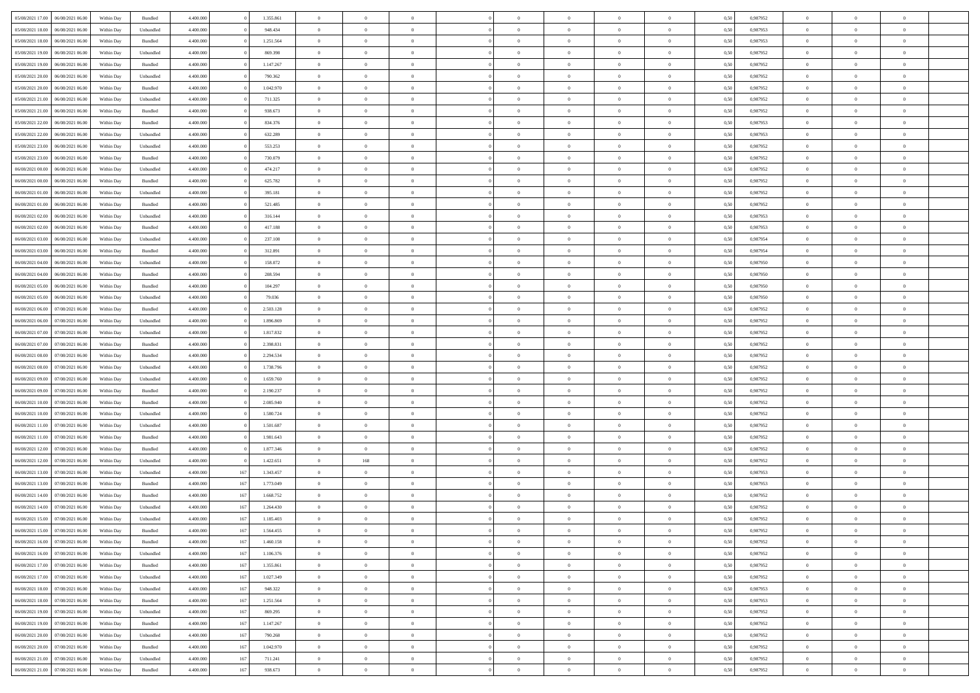| 05/08/2021 17:00   06/08/2021 06:00  | Within Day | Bundled   | 4.400.000 |     | 1.355.861 | $\overline{0}$ | $\overline{0}$ | $\Omega$       | $\Omega$       | $\theta$       | $\Omega$       | $\overline{0}$ | 0,50 | 0,987952 | $\theta$       | $\theta$       | $\theta$       |  |
|--------------------------------------|------------|-----------|-----------|-----|-----------|----------------|----------------|----------------|----------------|----------------|----------------|----------------|------|----------|----------------|----------------|----------------|--|
| 05/08/2021 18:00<br>06/08/2021 06:00 | Within Day | Unbundled | 4.400.000 |     | 948.434   | $\overline{0}$ | $\overline{0}$ | $\overline{0}$ | $\overline{0}$ | $\theta$       | $\overline{0}$ | $\bf{0}$       | 0,50 | 0,987953 | $\theta$       | $\theta$       | $\overline{0}$ |  |
| 05/08/2021 18:00<br>06/08/2021 06:00 | Within Day | Bundled   | 4.400.000 |     | 1.251.564 | $\overline{0}$ | $\bf{0}$       | $\overline{0}$ | $\overline{0}$ | $\overline{0}$ | $\overline{0}$ | $\bf{0}$       | 0,50 | 0,987953 | $\bf{0}$       | $\overline{0}$ | $\overline{0}$ |  |
| 05/08/2021 19:00<br>06/08/2021 06:00 | Within Day | Unbundled | 4.400.000 |     | 869.398   | $\overline{0}$ | $\overline{0}$ | $\overline{0}$ | $\overline{0}$ | $\theta$       | $\overline{0}$ | $\overline{0}$ | 0.50 | 0,987952 | $\theta$       | $\theta$       | $\overline{0}$ |  |
| 05/08/2021 19:00<br>06/08/2021 06:00 | Within Day | Bundled   | 4.400.000 |     | 1.147.267 | $\overline{0}$ | $\overline{0}$ | $\overline{0}$ | $\overline{0}$ | $\theta$       | $\overline{0}$ | $\bf{0}$       | 0,50 | 0,987952 | $\theta$       | $\theta$       | $\overline{0}$ |  |
| 05/08/2021 20:00<br>06/08/2021 06:00 | Within Day | Unbundled | 4.400.000 |     | 790.362   | $\overline{0}$ | $\bf{0}$       | $\overline{0}$ | $\overline{0}$ | $\overline{0}$ | $\overline{0}$ | $\bf{0}$       | 0,50 | 0,987952 | $\bf{0}$       | $\overline{0}$ | $\bf{0}$       |  |
| 05/08/2021 20:00<br>06/08/2021 06:00 | Within Day | Bundled   | 4.400.000 |     | 1.042.970 | $\overline{0}$ | $\overline{0}$ | $\overline{0}$ | $\overline{0}$ | $\overline{0}$ | $\overline{0}$ | $\overline{0}$ | 0.5( | 0,987952 | $\theta$       | $\theta$       | $\overline{0}$ |  |
| 05/08/2021 21:00<br>06/08/2021 06:00 | Within Day | Unbundled | 4.400.000 |     | 711.325   | $\overline{0}$ | $\theta$       | $\overline{0}$ | $\overline{0}$ | $\theta$       | $\overline{0}$ | $\bf{0}$       | 0,50 | 0,987952 | $\theta$       | $\theta$       | $\overline{0}$ |  |
|                                      |            |           |           |     |           |                |                |                |                |                |                |                |      |          |                |                |                |  |
| 05/08/2021 21:00<br>06/08/2021 06:00 | Within Day | Bundled   | 4.400.000 |     | 938.673   | $\overline{0}$ | $\bf{0}$       | $\overline{0}$ | $\overline{0}$ | $\overline{0}$ | $\overline{0}$ | $\bf{0}$       | 0,50 | 0,987952 | $\bf{0}$       | $\bf{0}$       | $\overline{0}$ |  |
| 05/08/2021 22:00<br>06/08/2021 06:00 | Within Day | Bundled   | 4.400.000 |     | 834.376   | $\overline{0}$ | $\overline{0}$ | $\overline{0}$ | $\overline{0}$ | $\overline{0}$ | $\overline{0}$ | $\bf{0}$       | 0.5( | 0,987953 | $\theta$       | $\theta$       | $\overline{0}$ |  |
| 05/08/2021 22:00<br>06/08/2021 06:00 | Within Day | Unbundled | 4.400.000 |     | 632.289   | $\bf{0}$       | $\overline{0}$ | $\overline{0}$ | $\overline{0}$ | $\theta$       | $\overline{0}$ | $\bf{0}$       | 0,50 | 0,987953 | $\theta$       | $\theta$       | $\overline{0}$ |  |
| 05/08/2021 23:00<br>06/08/2021 06:00 | Within Day | Unbundled | 4.400.000 |     | 553.253   | $\overline{0}$ | $\bf{0}$       | $\overline{0}$ | $\overline{0}$ | $\bf{0}$       | $\overline{0}$ | $\bf{0}$       | 0,50 | 0,987952 | $\bf{0}$       | $\overline{0}$ | $\overline{0}$ |  |
| 05/08/2021 23:00<br>06/08/2021 06:00 | Within Day | Bundled   | 4.400.000 |     | 730.079   | $\overline{0}$ | $\overline{0}$ | $\overline{0}$ | $\overline{0}$ | $\overline{0}$ | $\overline{0}$ | $\overline{0}$ | 0.5( | 0,987952 | $\theta$       | $\theta$       | $\overline{0}$ |  |
| 06/08/2021 00:00<br>06/08/2021 06:00 | Within Day | Unbundled | 4.400.000 |     | 474.217   | $\overline{0}$ | $\overline{0}$ | $\overline{0}$ | $\overline{0}$ | $\theta$       | $\overline{0}$ | $\,$ 0 $\,$    | 0,50 | 0,987952 | $\theta$       | $\theta$       | $\overline{0}$ |  |
| 06/08/2021 00:00<br>06/08/2021 06:00 | Within Day | Bundled   | 4.400.000 |     | 625.782   | $\overline{0}$ | $\bf{0}$       | $\overline{0}$ | $\overline{0}$ | $\overline{0}$ | $\overline{0}$ | $\bf{0}$       | 0,50 | 0,987952 | $\bf{0}$       | $\overline{0}$ | $\bf{0}$       |  |
| 06/08/2021 01:00<br>06/08/2021 06:00 | Within Day | Unbundled | 4.400.000 |     | 395.181   | $\overline{0}$ | $\overline{0}$ | $\overline{0}$ | $\overline{0}$ | $\overline{0}$ | $\overline{0}$ | $\overline{0}$ | 0.5( | 0,987952 | $\theta$       | $\overline{0}$ | $\overline{0}$ |  |
| 06/08/2021 01:00<br>06/08/2021 06:00 | Within Day | Bundled   | 4.400.000 |     | 521.485   | $\bf{0}$       | $\overline{0}$ | $\overline{0}$ | $\overline{0}$ | $\theta$       | $\overline{0}$ | $\bf{0}$       | 0,50 | 0,987952 | $\theta$       | $\theta$       | $\overline{0}$ |  |
| 06/08/2021 02:00<br>06/08/2021 06:00 | Within Day | Unbundled | 4.400.000 |     | 316.144   | $\overline{0}$ | $\bf{0}$       | $\overline{0}$ | $\overline{0}$ | $\overline{0}$ | $\overline{0}$ | $\bf{0}$       | 0,50 | 0,987953 | $\bf{0}$       | $\overline{0}$ | $\overline{0}$ |  |
| 06/08/2021 02:00<br>06/08/2021 06:00 | Within Day | Bundled   | 4.400.000 |     | 417.188   | $\overline{0}$ | $\overline{0}$ | $\overline{0}$ | $\overline{0}$ | $\overline{0}$ | $\overline{0}$ | $\overline{0}$ | 0.5( | 0,987953 | $\theta$       | $\theta$       | $\overline{0}$ |  |
| 06/08/2021 03:00<br>06/08/2021 06:00 | Within Day | Unbundled | 4.400.000 |     | 237.108   | $\bf{0}$       | $\overline{0}$ | $\overline{0}$ | $\overline{0}$ | $\theta$       | $\overline{0}$ | $\bf{0}$       | 0,50 | 0,987954 | $\theta$       | $\theta$       | $\overline{0}$ |  |
| 06/08/2021 03:00<br>06/08/2021 06:00 | Within Day | Bundled   | 4.400.000 |     | 312.891   | $\overline{0}$ | $\bf{0}$       | $\overline{0}$ | $\overline{0}$ | $\overline{0}$ | $\overline{0}$ | $\bf{0}$       | 0,50 | 0,987954 | $\bf{0}$       | $\overline{0}$ | $\overline{0}$ |  |
| 06/08/2021 04:00<br>06/08/2021 06:00 | Within Day | Unbundled | 4.400.000 |     | 158.072   | $\overline{0}$ | $\overline{0}$ | $\overline{0}$ | $\overline{0}$ | $\overline{0}$ | $\overline{0}$ | $\overline{0}$ | 0.5( | 0.987950 | $\theta$       | $\theta$       | $\overline{0}$ |  |
| 06/08/2021 04:00<br>06/08/2021 06:00 | Within Day | Bundled   | 4.400.000 |     | 208.594   | $\overline{0}$ | $\overline{0}$ | $\overline{0}$ | $\overline{0}$ | $\theta$       | $\overline{0}$ | $\bf{0}$       | 0,50 | 0,987950 | $\theta$       | $\theta$       | $\overline{0}$ |  |
| 06/08/2021 05:00<br>06/08/2021 06:00 | Within Day | Bundled   | 4.400.000 |     | 104.297   | $\overline{0}$ | $\bf{0}$       | $\overline{0}$ | $\overline{0}$ | $\overline{0}$ | $\overline{0}$ | $\bf{0}$       | 0,50 | 0,987950 | $\bf{0}$       | $\overline{0}$ | $\bf{0}$       |  |
| 06/08/2021 05:00<br>06/08/2021 06:00 | Within Day | Unbundled | 4.400.000 |     | 79.036    | $\overline{0}$ | $\overline{0}$ | $\overline{0}$ | $\overline{0}$ | $\overline{0}$ | $\overline{0}$ | $\overline{0}$ | 0.5( | 0,987950 | $\overline{0}$ | $\theta$       | $\overline{0}$ |  |
| 06/08/2021 06:00<br>07/08/2021 06:00 | Within Day | Bundled   | 4.400.000 |     | 2.503.128 | $\bf{0}$       | $\overline{0}$ | $\overline{0}$ | $\overline{0}$ | $\theta$       | $\overline{0}$ | $\bf{0}$       | 0,50 | 0,987952 | $\theta$       | $\theta$       | $\overline{0}$ |  |
| 06/08/2021 06:00<br>07/08/2021 06:00 | Within Day | Unbundled | 4.400.000 |     | 1.896.869 | $\overline{0}$ | $\bf{0}$       | $\overline{0}$ | $\overline{0}$ | $\overline{0}$ | $\bf{0}$       | $\bf{0}$       | 0,50 | 0,987952 | $\bf{0}$       | $\bf{0}$       | $\overline{0}$ |  |
| 06/08/2021 07:00<br>07/08/2021 06:00 | Within Day | Unbundled | 4.400.000 |     | 1.817.832 | $\overline{0}$ | $\overline{0}$ | $\overline{0}$ | $\overline{0}$ | $\overline{0}$ | $\overline{0}$ | $\overline{0}$ | 0.5( | 0,987952 | $\theta$       | $\theta$       | $\overline{0}$ |  |
| 06/08/2021 07:00<br>07/08/2021 06:00 | Within Day | Bundled   | 4.400.000 |     | 2.398.831 | $\bf{0}$       | $\overline{0}$ | $\overline{0}$ | $\overline{0}$ | $\theta$       | $\overline{0}$ | $\bf{0}$       | 0,50 | 0,987952 | $\theta$       | $\theta$       | $\overline{0}$ |  |
| 06/08/2021 08:00<br>07/08/2021 06:00 | Within Day | Bundled   | 4.400.000 |     | 2.294.534 | $\overline{0}$ | $\bf{0}$       | $\overline{0}$ | $\overline{0}$ | $\bf{0}$       | $\overline{0}$ | $\bf{0}$       | 0,50 | 0,987952 | $\bf{0}$       | $\overline{0}$ | $\overline{0}$ |  |
| 06/08/2021 08:00<br>07/08/2021 06:00 | Within Day | Unbundled | 4,400,000 |     | 1.738.796 | $\overline{0}$ | $\overline{0}$ | $\Omega$       | $\Omega$       | $\Omega$       | $\theta$       | $\overline{0}$ | 0.50 | 0,987952 | $\,$ 0 $\,$    | $\Omega$       | $\theta$       |  |
| 06/08/2021 09:00<br>07/08/2021 06:00 | Within Day | Unbundled | 4.400.000 |     | 1.659.760 | $\bf{0}$       | $\overline{0}$ | $\overline{0}$ | $\overline{0}$ | $\theta$       | $\overline{0}$ | $\bf{0}$       | 0,50 | 0,987952 | $\theta$       | $\theta$       | $\overline{0}$ |  |
| 06/08/2021 09:00<br>07/08/2021 06:00 | Within Day | Bundled   | 4.400.000 |     | 2.190.237 | $\overline{0}$ | $\bf{0}$       | $\overline{0}$ | $\overline{0}$ | $\overline{0}$ | $\overline{0}$ | $\bf{0}$       | 0,50 | 0,987952 | $\bf{0}$       | $\overline{0}$ | $\bf{0}$       |  |
| 06/08/2021 10:00<br>07/08/2021 06:00 | Within Day | Bundled   | 4,400,000 |     | 2.085.940 | $\overline{0}$ | $\overline{0}$ | $\Omega$       | $\Omega$       | $\overline{0}$ | $\Omega$       | $\overline{0}$ | 0.50 | 0,987952 | $\theta$       | $\theta$       | $\theta$       |  |
| 06/08/2021 10:00<br>07/08/2021 06:00 | Within Day | Unbundled | 4.400.000 |     | 1.580.724 | $\bf{0}$       | $\overline{0}$ | $\overline{0}$ | $\overline{0}$ | $\theta$       | $\overline{0}$ | $\bf{0}$       | 0,50 | 0,987952 | $\theta$       | $\theta$       | $\overline{0}$ |  |
| 06/08/2021 11:00<br>07/08/2021 06:00 | Within Day | Unbundled | 4.400.000 |     | 1.501.687 | $\overline{0}$ | $\bf{0}$       | $\overline{0}$ | $\overline{0}$ | $\overline{0}$ | $\bf{0}$       | $\bf{0}$       | 0,50 | 0,987952 | $\bf{0}$       | $\overline{0}$ | $\overline{0}$ |  |
| 06/08/2021 11:00<br>07/08/2021 06:00 | Within Day | Bundled   | 4,400,000 |     | 1.981.643 | $\overline{0}$ | $\overline{0}$ | $\Omega$       | $\Omega$       | $\Omega$       | $\Omega$       | $\overline{0}$ | 0.50 | 0.987952 | $\theta$       | $\Omega$       | $\theta$       |  |
| 06/08/2021 12:00<br>07/08/2021 06:00 | Within Day | Bundled   | 4.400.000 |     | 1.877.346 | $\bf{0}$       | $\overline{0}$ | $\overline{0}$ | $\overline{0}$ | $\theta$       | $\overline{0}$ | $\bf{0}$       | 0,50 | 0,987952 | $\theta$       | $\theta$       | $\overline{0}$ |  |
|                                      |            |           |           |     |           |                |                |                |                |                |                |                |      |          |                |                |                |  |
| 06/08/2021 12:00<br>07/08/2021 06:00 | Within Day | Unbundled | 4.400.000 |     | 1.422.651 | $\overline{0}$ | 168            | $\overline{0}$ | $\overline{0}$ | $\overline{0}$ | $\overline{0}$ | $\bf{0}$       | 0,50 | 0,987952 | $\bf{0}$       | $\overline{0}$ | $\overline{0}$ |  |
| 06/08/2021 13:00<br>07/08/2021 06:00 | Within Day | Unbundled | 4,400,000 | 167 | 1.343.457 | $\overline{0}$ | $\Omega$       | $\Omega$       | $\Omega$       | $\theta$       | $\Omega$       | $\overline{0}$ | 0.50 | 0,987953 | $\,$ 0 $\,$    | $\overline{0}$ | $\theta$       |  |
| 06/08/2021 13:00<br>07/08/2021 06:00 | Within Day | Bundled   | 4.400.000 | 167 | 1.773.049 | $\bf{0}$       | $\overline{0}$ | $\overline{0}$ | $\overline{0}$ | $\theta$       | $\overline{0}$ | $\bf{0}$       | 0,50 | 0,987953 | $\theta$       | $\theta$       | $\overline{0}$ |  |
| 06/08/2021 14:00<br>07/08/2021 06:00 | Within Day | Bundled   | 4.400.000 | 167 | 1.668.752 | $\overline{0}$ | $\bf{0}$       | $\overline{0}$ | $\overline{0}$ | $\bf{0}$       | $\overline{0}$ | $\bf{0}$       | 0,50 | 0,987952 | $\bf{0}$       | $\overline{0}$ | $\bf{0}$       |  |
| 06/08/2021 14:00<br>07/08/2021 06:00 | Within Day | Unbundled | 4,400,000 | 167 | 1.264.430 | $\overline{0}$ | $\Omega$       | $\Omega$       | $\Omega$       | $\Omega$       | $\theta$       | $\overline{0}$ | 0.50 | 0.987952 | $\theta$       | $\Omega$       | $\theta$       |  |
| 06/08/2021 15:00 07/08/2021 06:00    | Within Day | Unbundled | 4.400.000 | 167 | 1.185.403 | $\bf{0}$       | $\bf{0}$       | $\overline{0}$ | $\overline{0}$ | $\bf{0}$       | $\bf{0}$       | $\bf{0}$       | 0,50 | 0,987952 | $\bf{0}$       | $\,$ 0 $\,$    | $\overline{0}$ |  |
| 06/08/2021 15:00 07/08/2021 06:00    | Within Day | Bundled   | 4.400.000 | 167 | 1.564.455 | $\bf{0}$       |                |                |                |                |                |                | 0,50 | 0,987952 | $\bf{0}$       | $\bf{0}$       |                |  |
| 06/08/2021 16:00 07/08/2021 06:00    | Within Day | Bundled   | 4.400.000 | 167 | 1.460.158 | $\Omega$       | $\overline{0}$ | $\Omega$       | $\theta$       | $\overline{0}$ | $\overline{0}$ | $\overline{0}$ | 0.50 | 0.987952 | $\theta$       | $\theta$       | $\theta$       |  |
| 06/08/2021 16:00 07/08/2021 06:00    | Within Day | Unbundled | 4.400.000 | 167 | 1.106.376 | $\overline{0}$ | $\overline{0}$ | $\overline{0}$ | $\overline{0}$ | $\,$ 0 $\,$    | $\overline{0}$ | $\,$ 0 $\,$    | 0,50 | 0,987952 | $\,$ 0 $\,$    | $\,$ 0 $\,$    | $\,$ 0         |  |
| 06/08/2021 17:00 07/08/2021 06:00    | Within Day | Bundled   | 4.400.000 | 167 | 1.355.861 | $\overline{0}$ | $\overline{0}$ | $\overline{0}$ | $\overline{0}$ | $\bf{0}$       | $\overline{0}$ | $\bf{0}$       | 0,50 | 0,987952 | $\overline{0}$ | $\overline{0}$ | $\overline{0}$ |  |
| 07/08/2021 06:00<br>06/08/2021 17:00 | Within Day | Unbundled | 4.400.000 | 167 | 1.027.349 | $\overline{0}$ | $\bf{0}$       | $\overline{0}$ | $\overline{0}$ | $\overline{0}$ | $\overline{0}$ | $\bf{0}$       | 0,50 | 0,987952 | $\overline{0}$ | $\theta$       | $\overline{0}$ |  |
| 06/08/2021 18:00<br>07/08/2021 06:00 | Within Day | Unbundled | 4.400.000 | 167 | 948.322   | $\overline{0}$ | $\overline{0}$ | $\overline{0}$ | $\overline{0}$ | $\overline{0}$ | $\overline{0}$ | $\,$ 0 $\,$    | 0,50 | 0,987953 | $\,$ 0 $\,$    | $\,$ 0 $\,$    | $\overline{0}$ |  |
| 06/08/2021 18:00 07/08/2021 06:00    | Within Day | Bundled   | 4.400.000 | 167 | 1.251.564 | $\overline{0}$ | $\overline{0}$ | $\overline{0}$ | $\overline{0}$ | $\overline{0}$ | $\overline{0}$ | $\mathbf{0}$   | 0,50 | 0,987953 | $\overline{0}$ | $\overline{0}$ | $\overline{0}$ |  |
| 06/08/2021 19:00<br>07/08/2021 06:00 | Within Day | Unbundled | 4.400.000 | 167 | 869.295   | $\overline{0}$ | $\bf{0}$       | $\overline{0}$ | $\overline{0}$ | $\overline{0}$ | $\overline{0}$ | $\bf{0}$       | 0.50 | 0,987952 | $\overline{0}$ | $\theta$       | $\overline{0}$ |  |
| 06/08/2021 19:00 07/08/2021 06:00    | Within Day | Bundled   | 4.400.000 | 167 | 1.147.267 | $\overline{0}$ | $\overline{0}$ | $\overline{0}$ | $\overline{0}$ | $\overline{0}$ | $\bf{0}$       | $\bf{0}$       | 0,50 | 0,987952 | $\,$ 0 $\,$    | $\bf{0}$       | $\overline{0}$ |  |
| 06/08/2021 20:00 07/08/2021 06:00    | Within Day | Unbundled | 4.400.000 | 167 | 790.268   | $\overline{0}$ | $\bf{0}$       | $\overline{0}$ | $\overline{0}$ | $\overline{0}$ | $\overline{0}$ | $\bf{0}$       | 0,50 | 0,987952 | $\overline{0}$ | $\overline{0}$ | $\bf{0}$       |  |
| 06/08/2021 20:00<br>07/08/2021 06:00 | Within Day | Bundled   | 4,400,000 | 167 | 1.042.970 | $\overline{0}$ | $\overline{0}$ | $\overline{0}$ | $\overline{0}$ | $\overline{0}$ | $\overline{0}$ | $\bf{0}$       | 0.50 | 0,987952 | $\overline{0}$ | $\overline{0}$ | $\overline{0}$ |  |
| 06/08/2021 21:00<br>07/08/2021 06:00 | Within Day | Unbundled | 4.400.000 | 167 | 711.241   | $\overline{0}$ | $\,$ 0         | $\overline{0}$ | $\overline{0}$ | $\bf{0}$       | $\bf{0}$       | $\bf{0}$       | 0,50 | 0,987952 | $\,$ 0 $\,$    | $\,$ 0 $\,$    | $\bf{0}$       |  |
| 06/08/2021 21:00 07/08/2021 06:00    | Within Day | Bundled   | 4.400.000 | 167 | 938.673   | $\overline{0}$ | $\bf{0}$       | $\overline{0}$ | $\overline{0}$ | $\overline{0}$ | $\overline{0}$ | $\bf{0}$       | 0,50 | 0,987952 | $\overline{0}$ | $\bf{0}$       | $\bf{0}$       |  |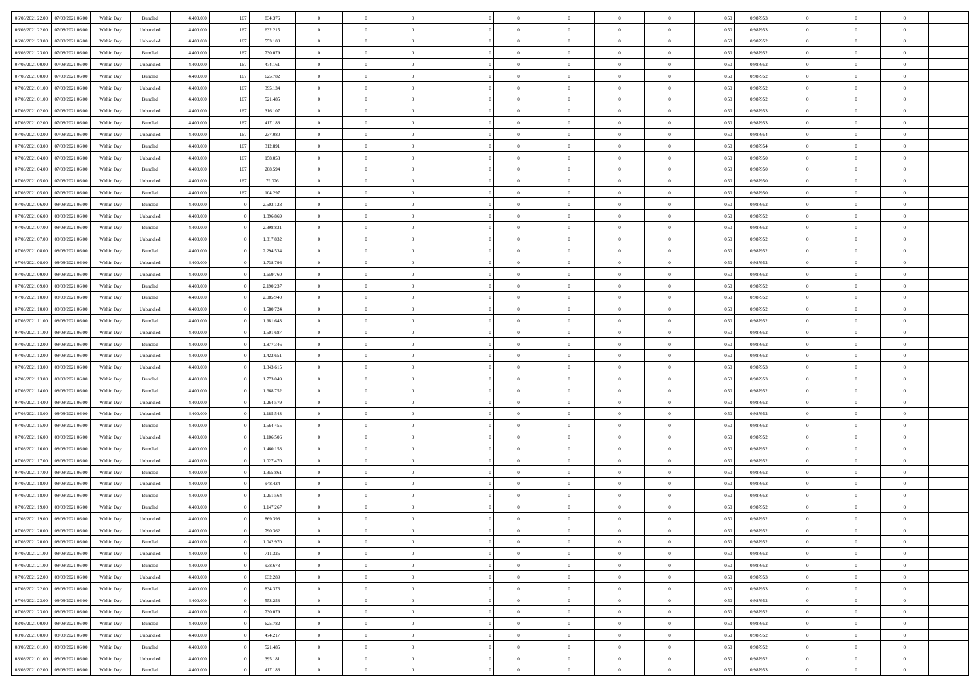| 06/08/2021 22:00 07/08/2021 06:00    | Within Day | Bundled   | 4.400.000 | 167 | 834.376   | $\overline{0}$ | $\overline{0}$ | $\Omega$       | $\Omega$       | $\theta$       | $\Omega$       | $\theta$       | 0,50 | 0,987953 | $\theta$       | $\theta$       | $\theta$       |  |
|--------------------------------------|------------|-----------|-----------|-----|-----------|----------------|----------------|----------------|----------------|----------------|----------------|----------------|------|----------|----------------|----------------|----------------|--|
| 06/08/2021 22:00<br>07/08/2021 06:00 | Within Day | Unbundled | 4.400.000 | 167 | 632.215   | $\overline{0}$ | $\overline{0}$ | $\overline{0}$ | $\overline{0}$ | $\theta$       | $\overline{0}$ | $\bf{0}$       | 0,50 | 0,987953 | $\theta$       | $\theta$       | $\overline{0}$ |  |
| 06/08/2021 23:00<br>07/08/2021 06:00 | Within Day | Unbundled | 4.400.000 | 167 | 553.188   | $\overline{0}$ | $\bf{0}$       | $\overline{0}$ | $\overline{0}$ | $\overline{0}$ | $\overline{0}$ | $\bf{0}$       | 0,50 | 0,987952 | $\bf{0}$       | $\overline{0}$ | $\overline{0}$ |  |
| 06/08/2021 23:00<br>07/08/2021 06:00 | Within Day | Bundled   | 4.400.000 | 167 | 730,079   | $\overline{0}$ | $\overline{0}$ | $\overline{0}$ | $\overline{0}$ | $\theta$       | $\overline{0}$ | $\overline{0}$ | 0.50 | 0,987952 | $\theta$       | $\theta$       | $\overline{0}$ |  |
| 07/08/2021 00:00<br>07/08/2021 06:00 | Within Day | Unbundled | 4.400.000 | 167 | 474.161   | $\overline{0}$ | $\overline{0}$ | $\overline{0}$ | $\overline{0}$ | $\theta$       | $\overline{0}$ | $\bf{0}$       | 0,50 | 0,987952 | $\theta$       | $\theta$       | $\overline{0}$ |  |
| 07/08/2021 00:00<br>07/08/2021 06:00 | Within Day | Bundled   | 4.400.000 | 167 | 625.782   | $\overline{0}$ | $\bf{0}$       | $\overline{0}$ | $\overline{0}$ | $\overline{0}$ | $\overline{0}$ | $\bf{0}$       | 0,50 | 0,987952 | $\bf{0}$       | $\overline{0}$ | $\bf{0}$       |  |
| 07/08/2021 01:00<br>07/08/2021 06:00 | Within Day | Unbundled | 4.400.000 | 167 | 395.134   | $\overline{0}$ | $\overline{0}$ | $\overline{0}$ | $\overline{0}$ | $\overline{0}$ | $\overline{0}$ | $\overline{0}$ | 0.5( | 0,987952 | $\theta$       | $\theta$       | $\overline{0}$ |  |
| 07/08/2021 01:00<br>07/08/2021 06:00 | Within Day | Bundled   | 4.400.000 | 167 | 521.485   | $\bf{0}$       | $\theta$       | $\overline{0}$ | $\overline{0}$ | $\theta$       | $\overline{0}$ | $\bf{0}$       | 0,50 | 0,987952 | $\theta$       | $\theta$       | $\overline{0}$ |  |
|                                      |            |           |           |     |           |                |                |                |                |                |                |                |      |          |                |                |                |  |
| 07/08/2021 02:00<br>07/08/2021 06:00 | Within Day | Unbundled | 4.400.000 | 167 | 316.107   | $\overline{0}$ | $\bf{0}$       | $\overline{0}$ | $\overline{0}$ | $\overline{0}$ | $\overline{0}$ | $\bf{0}$       | 0,50 | 0,987953 | $\bf{0}$       | $\bf{0}$       | $\overline{0}$ |  |
| 07/08/2021 02:00<br>07/08/2021 06:00 | Within Day | Bundled   | 4.400.000 | 167 | 417.188   | $\overline{0}$ | $\overline{0}$ | $\overline{0}$ | $\overline{0}$ | $\overline{0}$ | $\overline{0}$ | $\bf{0}$       | 0.5( | 0,987953 | $\theta$       | $\theta$       | $\overline{0}$ |  |
| 07/08/2021 03:00<br>07/08/2021 06:00 | Within Day | Unbundled | 4.400.000 | 167 | 237.080   | $\bf{0}$       | $\overline{0}$ | $\overline{0}$ | $\overline{0}$ | $\theta$       | $\overline{0}$ | $\bf{0}$       | 0,50 | 0,987954 | $\theta$       | $\theta$       | $\overline{0}$ |  |
| 07/08/2021 03:00<br>07/08/2021 06:00 | Within Day | Bundled   | 4.400.000 | 167 | 312.891   | $\overline{0}$ | $\bf{0}$       | $\overline{0}$ | $\overline{0}$ | $\bf{0}$       | $\overline{0}$ | $\bf{0}$       | 0,50 | 0,987954 | $\bf{0}$       | $\overline{0}$ | $\overline{0}$ |  |
| 07/08/2021 04:00<br>07/08/2021 06:00 | Within Day | Unbundled | 4.400.000 | 167 | 158,053   | $\overline{0}$ | $\overline{0}$ | $\overline{0}$ | $\overline{0}$ | $\overline{0}$ | $\overline{0}$ | $\overline{0}$ | 0.5( | 0,987950 | $\theta$       | $\theta$       | $\overline{0}$ |  |
| 07/08/2021 04:00<br>07/08/2021 06:00 | Within Day | Bundled   | 4.400.000 | 167 | 208.594   | $\overline{0}$ | $\overline{0}$ | $\overline{0}$ | $\overline{0}$ | $\theta$       | $\overline{0}$ | $\,$ 0 $\,$    | 0,50 | 0,987950 | $\theta$       | $\theta$       | $\overline{0}$ |  |
| 07/08/2021 05:00<br>07/08/2021 06:00 | Within Day | Unbundled | 4.400.000 | 167 | 79.026    | $\overline{0}$ | $\bf{0}$       | $\overline{0}$ | $\overline{0}$ | $\overline{0}$ | $\overline{0}$ | $\bf{0}$       | 0,50 | 0,987950 | $\bf{0}$       | $\overline{0}$ | $\bf{0}$       |  |
| 07/08/2021 05:00<br>07/08/2021 06:00 | Within Day | Bundled   | 4.400.000 | 167 | 104.297   | $\overline{0}$ | $\overline{0}$ | $\overline{0}$ | $\overline{0}$ | $\overline{0}$ | $\overline{0}$ | $\overline{0}$ | 0.5( | 0,987950 | $\overline{0}$ | $\overline{0}$ | $\overline{0}$ |  |
| 07/08/2021 06:00<br>08/08/2021 06:00 | Within Day | Bundled   | 4.400.000 |     | 2.503.128 | $\bf{0}$       | $\overline{0}$ | $\overline{0}$ | $\overline{0}$ | $\theta$       | $\overline{0}$ | $\bf{0}$       | 0,50 | 0,987952 | $\theta$       | $\theta$       | $\overline{0}$ |  |
| 07/08/2021 06:00<br>08/08/2021 06:00 | Within Day | Unbundled | 4.400.000 |     | 1.896.869 | $\overline{0}$ | $\bf{0}$       | $\overline{0}$ | $\overline{0}$ | $\overline{0}$ | $\overline{0}$ | $\bf{0}$       | 0,50 | 0,987952 | $\bf{0}$       | $\overline{0}$ | $\overline{0}$ |  |
| 07/08/2021 07:00<br>08/08/2021 06:00 | Within Day | Bundled   | 4.400.000 |     | 2.398.831 | $\overline{0}$ | $\overline{0}$ | $\overline{0}$ | $\overline{0}$ | $\overline{0}$ | $\overline{0}$ | $\overline{0}$ | 0.5( | 0,987952 | $\theta$       | $\theta$       | $\overline{0}$ |  |
| 07/08/2021 07:00<br>08/08/2021 06:00 | Within Day | Unbundled | 4.400.000 |     | 1.817.832 | $\bf{0}$       | $\overline{0}$ | $\overline{0}$ | $\overline{0}$ | $\theta$       | $\overline{0}$ | $\bf{0}$       | 0,50 | 0,987952 | $\theta$       | $\theta$       | $\overline{0}$ |  |
| 07/08/2021 08:00<br>08/08/2021 06:00 | Within Day | Bundled   | 4.400.000 |     | 2.294.534 | $\overline{0}$ | $\bf{0}$       | $\overline{0}$ | $\overline{0}$ | $\overline{0}$ | $\overline{0}$ | $\bf{0}$       | 0,50 | 0,987952 | $\bf{0}$       | $\overline{0}$ | $\overline{0}$ |  |
| 07/08/2021 08:00<br>08/08/2021 06:00 | Within Day | Unbundled | 4.400.000 |     | 1.738.796 | $\overline{0}$ | $\overline{0}$ | $\overline{0}$ | $\overline{0}$ | $\overline{0}$ | $\overline{0}$ | $\overline{0}$ | 0.5( | 0.987952 | $\theta$       | $\theta$       | $\overline{0}$ |  |
| 07/08/2021 09:00<br>08/08/2021 06:00 | Within Day | Unbundled | 4.400.000 |     | 1.659.760 | $\bf{0}$       | $\overline{0}$ | $\overline{0}$ | $\overline{0}$ | $\theta$       | $\overline{0}$ | $\bf{0}$       | 0,50 | 0,987952 | $\theta$       | $\theta$       | $\overline{0}$ |  |
| 07/08/2021 09:00<br>08/08/2021 06:00 | Within Day | Bundled   | 4.400.000 |     | 2.190.237 | $\overline{0}$ | $\bf{0}$       | $\overline{0}$ | $\overline{0}$ | $\overline{0}$ | $\overline{0}$ | $\bf{0}$       | 0,50 | 0,987952 | $\bf{0}$       | $\overline{0}$ | $\bf{0}$       |  |
| 07/08/2021 10:00<br>08/08/2021 06:00 | Within Day | Bundled   | 4.400.000 |     | 2.085.940 | $\overline{0}$ | $\overline{0}$ | $\overline{0}$ | $\overline{0}$ | $\overline{0}$ | $\overline{0}$ | $\overline{0}$ | 0.5( | 0,987952 | $\theta$       | $\theta$       | $\overline{0}$ |  |
| 07/08/2021 10:00<br>08/08/2021 06:00 | Within Day | Unbundled | 4.400.000 |     | 1.580.724 | $\bf{0}$       | $\overline{0}$ | $\overline{0}$ | $\overline{0}$ | $\theta$       | $\overline{0}$ | $\bf{0}$       | 0,50 | 0,987952 | $\theta$       | $\theta$       | $\overline{0}$ |  |
| 07/08/2021 11:00<br>08/08/2021 06:00 | Within Day | Bundled   | 4.400.000 |     | 1.981.643 | $\overline{0}$ | $\bf{0}$       | $\overline{0}$ | $\overline{0}$ | $\overline{0}$ | $\overline{0}$ | $\bf{0}$       | 0,50 | 0,987952 | $\bf{0}$       | $\bf{0}$       | $\overline{0}$ |  |
| 07/08/2021 11:00<br>08/08/2021 06:00 | Within Day | Unbundled | 4.400.000 |     | 1.501.687 | $\overline{0}$ | $\overline{0}$ | $\overline{0}$ | $\overline{0}$ | $\overline{0}$ | $\overline{0}$ | $\overline{0}$ | 0.5( | 0,987952 | $\theta$       | $\theta$       | $\overline{0}$ |  |
|                                      |            |           |           |     |           |                |                |                |                |                |                |                |      |          |                |                |                |  |
| 07/08/2021 12:00<br>08/08/2021 06:00 | Within Day | Bundled   | 4.400.000 |     | 1.877.346 | $\bf{0}$       | $\overline{0}$ | $\overline{0}$ | $\overline{0}$ | $\theta$       | $\overline{0}$ | $\bf{0}$       | 0,50 | 0,987952 | $\theta$       | $\theta$       | $\overline{0}$ |  |
| 07/08/2021 12:00<br>08/08/2021 06:00 | Within Day | Unbundled | 4.400.000 |     | 1.422.651 | $\overline{0}$ | $\bf{0}$       | $\overline{0}$ | $\overline{0}$ | $\bf{0}$       | $\overline{0}$ | $\bf{0}$       | 0,50 | 0,987952 | $\bf{0}$       | $\overline{0}$ | $\overline{0}$ |  |
| 07/08/2021 13:00<br>08/08/2021 06:00 | Within Day | Unbundled | 4,400,000 |     | 1.343.615 | $\overline{0}$ | $\overline{0}$ | $\Omega$       | $\Omega$       | $\Omega$       | $\theta$       | $\overline{0}$ | 0,50 | 0,987953 | $\,$ 0 $\,$    | $\overline{0}$ | $\theta$       |  |
| 07/08/2021 13:00<br>08/08/2021 06:00 | Within Day | Bundled   | 4.400.000 |     | 1.773.049 | $\overline{0}$ | $\overline{0}$ | $\overline{0}$ | $\overline{0}$ | $\theta$       | $\overline{0}$ | $\bf{0}$       | 0,50 | 0,987953 | $\theta$       | $\theta$       | $\overline{0}$ |  |
| 07/08/2021 14:00<br>08/08/2021 06:00 | Within Day | Bundled   | 4.400.000 |     | 1.668.752 | $\overline{0}$ | $\bf{0}$       | $\overline{0}$ | $\overline{0}$ | $\bf{0}$       | $\overline{0}$ | $\bf{0}$       | 0,50 | 0,987952 | $\bf{0}$       | $\overline{0}$ | $\bf{0}$       |  |
| 07/08/2021 14:00<br>08/08/2021 06:00 | Within Day | Unbundled | 4,400,000 |     | 1.264.579 | $\overline{0}$ | $\overline{0}$ | $\Omega$       | $\Omega$       | $\overline{0}$ | $\Omega$       | $\overline{0}$ | 0.50 | 0,987952 | $\bf{0}$       | $\theta$       | $\theta$       |  |
| 07/08/2021 15:00<br>08/08/2021 06:00 | Within Day | Unbundled | 4.400.000 |     | 1.185.543 | $\bf{0}$       | $\overline{0}$ | $\overline{0}$ | $\overline{0}$ | $\theta$       | $\overline{0}$ | $\bf{0}$       | 0,50 | 0,987952 | $\theta$       | $\theta$       | $\overline{0}$ |  |
| 07/08/2021 15:00<br>08/08/2021 06:00 | Within Day | Bundled   | 4.400.000 |     | 1.564.455 | $\overline{0}$ | $\bf{0}$       | $\overline{0}$ | $\overline{0}$ | $\overline{0}$ | $\bf{0}$       | $\bf{0}$       | 0,50 | 0,987952 | $\bf{0}$       | $\overline{0}$ | $\overline{0}$ |  |
| 07/08/2021 16:00<br>08/08/2021 06:00 | Within Day | Unbundled | 4,400,000 |     | 1.106.506 | $\overline{0}$ | $\overline{0}$ | $\Omega$       | $\Omega$       | $\Omega$       | $\Omega$       | $\overline{0}$ | 0.50 | 0.987952 | $\theta$       | $\Omega$       | $\theta$       |  |
| 07/08/2021 16:00<br>08/08/2021 06:00 | Within Day | Bundled   | 4.400.000 |     | 1.460.158 | $\bf{0}$       | $\overline{0}$ | $\overline{0}$ | $\overline{0}$ | $\theta$       | $\overline{0}$ | $\bf{0}$       | 0,50 | 0,987952 | $\theta$       | $\theta$       | $\overline{0}$ |  |
| 07/08/2021 17:00<br>08/08/2021 06:00 | Within Day | Unbundled | 4.400.000 |     | 1.027.470 | $\overline{0}$ | $\bf{0}$       | $\overline{0}$ | $\overline{0}$ | $\overline{0}$ | $\overline{0}$ | $\bf{0}$       | 0,50 | 0,987952 | $\bf{0}$       | $\overline{0}$ | $\overline{0}$ |  |
| 07/08/2021 17:00<br>08/08/2021 06:00 | Within Day | Bundled   | 4,400,000 |     | 1.355.861 | $\overline{0}$ | $\overline{0}$ | $\Omega$       | $\Omega$       | $\theta$       | $\Omega$       | $\overline{0}$ | 0.50 | 0,987952 | $\bf{0}$       | $\overline{0}$ | $\theta$       |  |
| 07/08/2021 18:00<br>08/08/2021 06:00 | Within Day | Unbundled | 4.400.000 |     | 948.434   | $\bf{0}$       | $\overline{0}$ | $\overline{0}$ | $\overline{0}$ | $\theta$       | $\overline{0}$ | $\bf{0}$       | 0,50 | 0,987953 | $\theta$       | $\theta$       | $\overline{0}$ |  |
| 07/08/2021 18:00<br>08/08/2021 06:00 | Within Day | Bundled   | 4.400.000 |     | 1.251.564 | $\overline{0}$ | $\bf{0}$       | $\overline{0}$ | $\overline{0}$ | $\bf{0}$       | $\overline{0}$ | $\bf{0}$       | 0,50 | 0,987953 | $\bf{0}$       | $\overline{0}$ | $\bf{0}$       |  |
| 07/08/2021 19:00<br>08/08/2021 06:00 | Within Day | Bundled   | 4,400,000 |     | 1.147.267 | $\overline{0}$ | $\Omega$       | $\Omega$       | $\Omega$       | $\Omega$       | $\theta$       | $\overline{0}$ | 0.50 | 0.987952 | $\theta$       | $\overline{0}$ | $\theta$       |  |
| 07/08/2021 19:00   08/08/2021 06:00  | Within Day | Unbundled | 4.400.000 |     | 869.398   | $\bf{0}$       | $\bf{0}$       | $\overline{0}$ | $\overline{0}$ | $\bf{0}$       | $\bf{0}$       | $\bf{0}$       | 0,50 | 0,987952 | $\bf{0}$       | $\,$ 0 $\,$    | $\overline{0}$ |  |
| 07/08/2021 20:00 08/08/2021 06:00    | Within Day | Unbundled | 4.400.000 |     | 790.362   | $\bf{0}$       | $\bf{0}$       |                |                |                |                |                | 0,50 | 0,987952 | $\bf{0}$       | $\bf{0}$       |                |  |
| 07/08/2021 20:00 08/08/2021 06:00    | Within Day | Bundled   | 4.400.000 |     | 1.042.970 | $\Omega$       | $\overline{0}$ | $\Omega$       | $\theta$       | $\overline{0}$ | $\theta$       | $\overline{0}$ | 0.50 | 0.987952 | $\theta$       | $\theta$       | $\theta$       |  |
| 07/08/2021 21:00 08/08/2021 06:00    | Within Day | Unbundled | 4.400.000 |     | 711.325   | $\overline{0}$ | $\overline{0}$ | $\overline{0}$ | $\overline{0}$ | $\,$ 0 $\,$    | $\overline{0}$ | $\,$ 0 $\,$    | 0,50 | 0,987952 | $\,$ 0 $\,$    | $\,$ 0 $\,$    | $\,$ 0         |  |
| 07/08/2021 21:00   08/08/2021 06:00  | Within Day | Bundled   | 4.400.000 |     | 938.673   | $\overline{0}$ | $\overline{0}$ | $\overline{0}$ | $\overline{0}$ | $\mathbf{0}$   | $\overline{0}$ | $\bf{0}$       | 0,50 | 0,987952 | $\overline{0}$ | $\overline{0}$ | $\overline{0}$ |  |
| 08/08/2021 06:00<br>07/08/2021 22:00 | Within Day | Unbundled | 4.400.000 |     | 632.289   | $\overline{0}$ | $\bf{0}$       | $\overline{0}$ | $\overline{0}$ | $\overline{0}$ | $\overline{0}$ | $\bf{0}$       | 0,50 | 0,987953 | $\bf{0}$       | $\theta$       | $\overline{0}$ |  |
| 07/08/2021 22:00<br>08/08/2021 06:00 | Within Day | Bundled   | 4.400.000 |     | 834.376   | $\overline{0}$ | $\overline{0}$ | $\overline{0}$ | $\overline{0}$ | $\overline{0}$ | $\overline{0}$ | $\,$ 0 $\,$    | 0,50 | 0,987953 | $\,$ 0 $\,$    | $\,$ 0 $\,$    | $\overline{0}$ |  |
| 07/08/2021 23:00<br>08/08/2021 06:00 | Within Day | Unbundled | 4.400.000 |     | 553.253   | $\overline{0}$ | $\overline{0}$ | $\overline{0}$ | $\overline{0}$ | $\overline{0}$ | $\overline{0}$ | $\mathbf{0}$   | 0,50 | 0,987952 | $\overline{0}$ | $\overline{0}$ | $\overline{0}$ |  |
|                                      |            |           |           |     |           |                |                |                |                |                |                |                |      |          |                |                |                |  |
| 07/08/2021 23:00<br>08/08/2021 06:00 | Within Day | Bundled   | 4.400.000 |     | 730.079   | $\overline{0}$ | $\bf{0}$       | $\overline{0}$ | $\overline{0}$ | $\overline{0}$ | $\overline{0}$ | $\bf{0}$       | 0.50 | 0,987952 | $\overline{0}$ | $\theta$       | $\overline{0}$ |  |
| 08/08/2021 00:00<br>08/08/2021 06:00 | Within Day | Bundled   | 4.400.000 |     | 625.782   | $\overline{0}$ | $\overline{0}$ | $\overline{0}$ | $\overline{0}$ | $\overline{0}$ | $\bf{0}$       | $\bf{0}$       | 0,50 | 0,987952 | $\,$ 0 $\,$    | $\,$ 0 $\,$    | $\overline{0}$ |  |
| 08/08/2021 00:00<br>08/08/2021 06:00 | Within Day | Unbundled | 4.400.000 |     | 474.217   | $\overline{0}$ | $\bf{0}$       | $\overline{0}$ | $\overline{0}$ | $\overline{0}$ | $\overline{0}$ | $\bf{0}$       | 0,50 | 0,987952 | $\bf{0}$       | $\overline{0}$ | $\bf{0}$       |  |
| 08/08/2021 01:00<br>08/08/2021 06:00 | Within Day | Bundled   | 4.400.000 |     | 521.485   | $\overline{0}$ | $\overline{0}$ | $\overline{0}$ | $\overline{0}$ | $\overline{0}$ | $\overline{0}$ | $\bf{0}$       | 0.50 | 0,987952 | $\overline{0}$ | $\overline{0}$ | $\overline{0}$ |  |
| 08/08/2021 01:00<br>08/08/2021 06:00 | Within Day | Unbundled | 4.400.000 |     | 395.181   | $\overline{0}$ | $\,$ 0         | $\overline{0}$ | $\overline{0}$ | $\bf{0}$       | $\bf{0}$       | $\bf{0}$       | 0,50 | 0,987952 | $\,$ 0 $\,$    | $\,$ 0 $\,$    | $\bf{0}$       |  |
| 08/08/2021 02:00   08/08/2021 06:00  | Within Day | Bundled   | 4.400.000 |     | 417.188   | $\overline{0}$ | $\bf{0}$       | $\overline{0}$ | $\overline{0}$ | $\overline{0}$ | $\overline{0}$ | $\bf{0}$       | 0,50 | 0,987953 | $\bf{0}$       | $\overline{0}$ | $\bf{0}$       |  |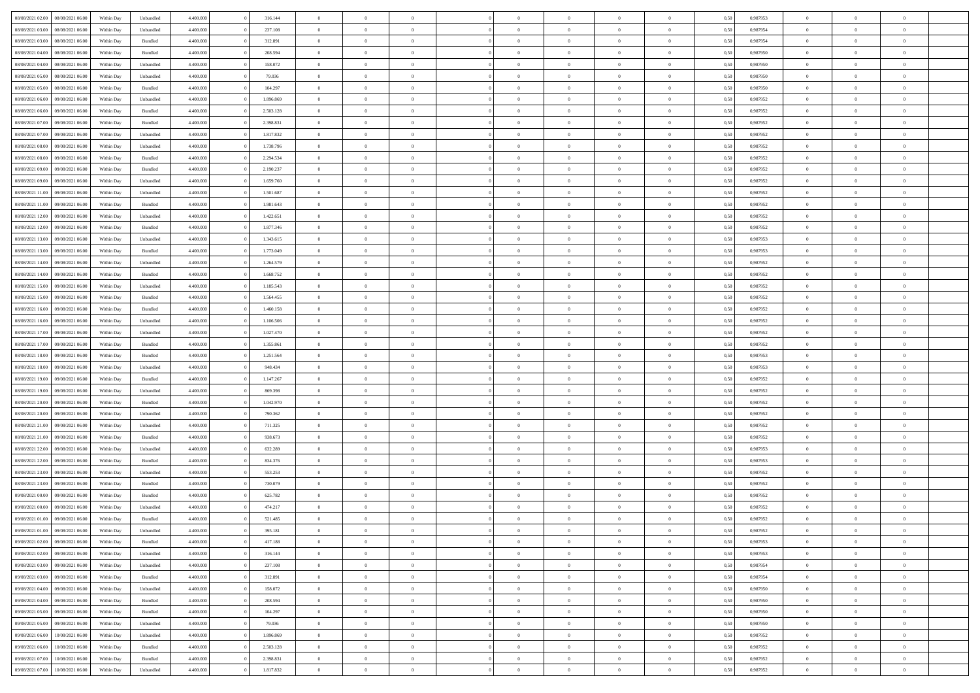| 08/08/2021 02:00                  | 08/08/2021 06:00 | Within Day | Unbundled | 4.400.000 | 316.144   | $\overline{0}$ | $\Omega$       |                | $\Omega$       | $\Omega$       | $\Omega$       | $\theta$       | 0.50 | 0.987953 | $\theta$       | $\theta$       | $\theta$       |  |
|-----------------------------------|------------------|------------|-----------|-----------|-----------|----------------|----------------|----------------|----------------|----------------|----------------|----------------|------|----------|----------------|----------------|----------------|--|
| 08/08/2021 03:00                  | 08/08/2021 06:00 | Within Day | Unbundled | 4.400.000 | 237.108   | $\overline{0}$ | $\theta$       | $\overline{0}$ | $\overline{0}$ | $\bf{0}$       | $\overline{0}$ | $\bf{0}$       | 0,50 | 0,987954 | $\theta$       | $\theta$       | $\overline{0}$ |  |
| 08/08/2021 03:00                  | 08/08/2021 06:00 | Within Day | Bundled   | 4.400.000 | 312.891   | $\overline{0}$ | $\overline{0}$ | $\overline{0}$ | $\bf{0}$       | $\bf{0}$       | $\bf{0}$       | $\bf{0}$       | 0,50 | 0,987954 | $\bf{0}$       | $\overline{0}$ | $\overline{0}$ |  |
| 08/08/2021 04:00                  | 08/08/2021 06:00 | Within Dav | Bundled   | 4.400.000 | 208.594   | $\overline{0}$ | $\overline{0}$ | $\overline{0}$ | $\overline{0}$ | $\bf{0}$       | $\overline{0}$ | $\overline{0}$ | 0.50 | 0,987950 | $\theta$       | $\theta$       | $\overline{0}$ |  |
| 08/08/2021 04:00                  | 08/08/2021 06:00 | Within Day | Unbundled | 4.400.000 | 158.072   | $\overline{0}$ | $\theta$       | $\overline{0}$ | $\overline{0}$ | $\bf{0}$       | $\overline{0}$ | $\bf{0}$       | 0,50 | 0,987950 | $\theta$       | $\theta$       | $\overline{0}$ |  |
|                                   |                  |            |           |           |           |                |                |                |                |                |                |                |      |          |                |                |                |  |
| 08/08/2021 05:00                  | 08/08/2021 06:00 | Within Day | Unbundled | 4.400.000 | 79.036    | $\overline{0}$ | $\bf{0}$       | $\overline{0}$ | $\bf{0}$       | $\overline{0}$ | $\overline{0}$ | $\mathbf{0}$   | 0,50 | 0,987950 | $\bf{0}$       | $\overline{0}$ | $\bf{0}$       |  |
| 08/08/2021 05:00                  | 08/08/2021 06:00 | Within Dav | Bundled   | 4.400.000 | 104.297   | $\overline{0}$ | $\overline{0}$ | $\overline{0}$ | $\overline{0}$ | $\overline{0}$ | $\overline{0}$ | $\overline{0}$ | 0.50 | 0,987950 | $\theta$       | $\overline{0}$ | $\overline{0}$ |  |
| 08/08/2021 06:00                  | 09/08/2021 06:00 | Within Day | Unbundled | 4.400.000 | 1.896.869 | $\overline{0}$ | $\theta$       | $\overline{0}$ | $\overline{0}$ | $\bf{0}$       | $\overline{0}$ | $\bf{0}$       | 0,50 | 0,987952 | $\theta$       | $\theta$       | $\overline{0}$ |  |
| 08/08/2021 06:00                  | 09/08/2021 06:00 | Within Day | Bundled   | 4.400.000 | 2.503.128 | $\overline{0}$ | $\overline{0}$ | $\overline{0}$ | $\bf{0}$       | $\bf{0}$       | $\bf{0}$       | $\bf{0}$       | 0,50 | 0,987952 | $\,0\,$        | $\overline{0}$ | $\overline{0}$ |  |
| 08/08/2021 07:00                  | 09/08/2021 06:00 | Within Dav | Bundled   | 4.400.000 | 2.398.831 | $\overline{0}$ | $\overline{0}$ | $\overline{0}$ | $\overline{0}$ | $\overline{0}$ | $\overline{0}$ | $\overline{0}$ | 0.50 | 0,987952 | $\theta$       | $\overline{0}$ | $\overline{0}$ |  |
| 08/08/2021 07:00                  | 09/08/2021 06:00 |            |           | 4.400.000 | 1.817.832 | $\overline{0}$ | $\theta$       | $\overline{0}$ | $\overline{0}$ | $\bf{0}$       | $\overline{0}$ |                |      | 0,987952 | $\,$ 0 $\,$    | $\theta$       | $\overline{0}$ |  |
|                                   |                  | Within Day | Unbundled |           |           |                |                |                |                |                |                | $\bf{0}$       | 0,50 |          |                |                |                |  |
| 08/08/2021 08:00                  | 09/08/2021 06:00 | Within Day | Unbundled | 4.400.000 | 1.738.796 | $\overline{0}$ | $\overline{0}$ | $\overline{0}$ | $\bf{0}$       | $\bf{0}$       | $\bf{0}$       | $\bf{0}$       | 0,50 | 0,987952 | $\bf{0}$       | $\overline{0}$ | $\overline{0}$ |  |
| 08/08/2021 08:00                  | 09/08/2021 06:00 | Within Day | Bundled   | 4.400.000 | 2.294.534 | $\overline{0}$ | $\overline{0}$ | $\overline{0}$ | $\overline{0}$ | $\bf{0}$       | $\overline{0}$ | $\overline{0}$ | 0.50 | 0,987952 | $\theta$       | $\theta$       | $\overline{0}$ |  |
| 08/08/2021 09:00                  | 09/08/2021 06:00 | Within Day | Bundled   | 4.400.000 | 2.190.237 | $\overline{0}$ | $\theta$       | $\overline{0}$ | $\overline{0}$ | $\bf{0}$       | $\overline{0}$ | $\overline{0}$ | 0,50 | 0,987952 | $\theta$       | $\overline{0}$ | $\overline{0}$ |  |
| 08/08/2021 09:00                  | 09/08/2021 06:00 | Within Day | Unbundled | 4.400.000 | 1.659.760 | $\overline{0}$ | $\bf{0}$       | $\overline{0}$ | $\overline{0}$ | $\overline{0}$ | $\overline{0}$ | $\mathbf{0}$   | 0,50 | 0,987952 | $\bf{0}$       | $\overline{0}$ | $\bf{0}$       |  |
| 08/08/2021 11:00                  | 09/08/2021 06:00 | Within Dav | Unbundled | 4.400.000 | 1.501.687 | $\overline{0}$ | $\overline{0}$ | $\overline{0}$ | $\overline{0}$ | $\overline{0}$ | $\overline{0}$ | $\overline{0}$ | 0.50 | 0,987952 | $\theta$       | $\overline{0}$ | $\overline{0}$ |  |
| 08/08/2021 11:00                  | 09/08/2021 06:00 | Within Day | Bundled   | 4.400.000 | 1.981.643 | $\overline{0}$ | $\theta$       | $\overline{0}$ | $\overline{0}$ | $\bf{0}$       | $\overline{0}$ | $\bf{0}$       | 0,50 | 0,987952 | $\theta$       | $\theta$       | $\overline{0}$ |  |
| 08/08/2021 12:00                  | 09/08/2021 06:00 | Within Day | Unbundled | 4.400.000 | 1.422.651 | $\overline{0}$ | $\overline{0}$ | $\overline{0}$ | $\overline{0}$ | $\bf{0}$       | $\overline{0}$ | $\bf{0}$       | 0,50 | 0,987952 | $\,0\,$        | $\overline{0}$ | $\overline{0}$ |  |
|                                   |                  |            |           |           |           |                | $\overline{0}$ |                |                | $\overline{0}$ |                |                |      |          | $\theta$       | $\overline{0}$ | $\overline{0}$ |  |
| 08/08/2021 12:00                  | 09/08/2021 06:00 | Within Day | Bundled   | 4.400.000 | 1.877.346 | $\overline{0}$ |                | $\overline{0}$ | $\overline{0}$ |                | $\overline{0}$ | $\overline{0}$ | 0.50 | 0,987952 |                |                |                |  |
| 08/08/2021 13:00                  | 09/08/2021 06:00 | Within Day | Unbundled | 4.400.000 | 1.343.615 | $\overline{0}$ | $\theta$       | $\overline{0}$ | $\overline{0}$ | $\bf{0}$       | $\overline{0}$ | $\bf{0}$       | 0,50 | 0,987953 | $\,$ 0 $\,$    | $\theta$       | $\overline{0}$ |  |
| 08/08/2021 13:00                  | 09/08/2021 06:00 | Within Day | Bundled   | 4.400.000 | 1.773.049 | $\overline{0}$ | $\overline{0}$ | $\overline{0}$ | $\overline{0}$ | $\bf{0}$       | $\overline{0}$ | $\bf{0}$       | 0,50 | 0,987953 | $\bf{0}$       | $\overline{0}$ | $\overline{0}$ |  |
| 08/08/2021 14:00                  | 09/08/2021 06:00 | Within Day | Unbundled | 4.400.000 | 1.264.579 | $\overline{0}$ | $\overline{0}$ | $\overline{0}$ | $\overline{0}$ | $\bf{0}$       | $\overline{0}$ | $\overline{0}$ | 0.50 | 0,987952 | $\theta$       | $\overline{0}$ | $\overline{0}$ |  |
| 08/08/2021 14:00                  | 09/08/2021 06:00 | Within Day | Bundled   | 4.400.000 | 1.668.752 | $\overline{0}$ | $\theta$       | $\overline{0}$ | $\overline{0}$ | $\bf{0}$       | $\overline{0}$ | $\bf{0}$       | 0,50 | 0,987952 | $\,$ 0 $\,$    | $\overline{0}$ | $\overline{0}$ |  |
| 08/08/2021 15:00                  | 09/08/2021 06:00 | Within Day | Unbundled | 4.400.000 | 1.185.543 | $\overline{0}$ | $\bf{0}$       | $\overline{0}$ | $\bf{0}$       | $\overline{0}$ | $\overline{0}$ | $\mathbf{0}$   | 0,50 | 0,987952 | $\bf{0}$       | $\overline{0}$ | $\bf{0}$       |  |
| 08/08/2021 15:00                  | 09/08/2021 06:00 | Within Dav | Bundled   | 4.400.000 | 1.564.455 | $\overline{0}$ | $\overline{0}$ | $\overline{0}$ | $\overline{0}$ | $\overline{0}$ | $\overline{0}$ | $\overline{0}$ | 0.50 | 0,987952 | $\theta$       | $\overline{0}$ | $\overline{0}$ |  |
|                                   |                  |            |           |           |           |                |                |                |                |                |                |                |      |          |                |                |                |  |
| 08/08/2021 16:00                  | 09/08/2021 06:00 | Within Day | Bundled   | 4.400.000 | 1.460.158 | $\overline{0}$ | $\theta$       | $\overline{0}$ | $\overline{0}$ | $\bf{0}$       | $\overline{0}$ | $\bf{0}$       | 0,50 | 0,987952 | $\theta$       | $\theta$       | $\overline{0}$ |  |
| 08/08/2021 16:00                  | 09/08/2021 06:00 | Within Day | Unbundled | 4.400.000 | 1.106.506 | $\overline{0}$ | $\overline{0}$ | $\overline{0}$ | $\bf{0}$       | $\bf{0}$       | $\bf{0}$       | $\bf{0}$       | 0,50 | 0,987952 | $\,0\,$        | $\overline{0}$ | $\overline{0}$ |  |
| 08/08/2021 17:00                  | 09/08/2021 06:00 | Within Day | Unbundled | 4.400.000 | 1.027.470 | $\overline{0}$ | $\overline{0}$ | $\overline{0}$ | $\overline{0}$ | $\overline{0}$ | $\overline{0}$ | $\overline{0}$ | 0.50 | 0,987952 | $\theta$       | $\overline{0}$ | $\overline{0}$ |  |
| 08/08/2021 17:00                  | 09/08/2021 06:00 | Within Day | Bundled   | 4.400.000 | 1.355.861 | $\overline{0}$ | $\theta$       | $\overline{0}$ | $\overline{0}$ | $\bf{0}$       | $\overline{0}$ | $\bf{0}$       | 0,50 | 0,987952 | $\,$ 0 $\,$    | $\overline{0}$ | $\overline{0}$ |  |
| 08/08/2021 18:00                  | 09/08/2021 06:00 | Within Day | Bundled   | 4.400.000 | 1.251.564 | $\overline{0}$ | $\overline{0}$ | $\overline{0}$ | $\bf{0}$       | $\bf{0}$       | $\bf{0}$       | $\bf{0}$       | 0,50 | 0,987953 | $\bf{0}$       | $\overline{0}$ | $\overline{0}$ |  |
| 08/08/2021 18:00                  | 09/08/2021 06:00 | Within Day | Unbundled | 4.400,000 | 948,434   | $\overline{0}$ | $\Omega$       | $\Omega$       | $\Omega$       | $\Omega$       | $\Omega$       | $\overline{0}$ | 0.50 | 0,987953 | $\,0\,$        | $\theta$       | $\theta$       |  |
| 08/08/2021 19:00                  | 09/08/2021 06:00 | Within Day | Bundled   | 4.400.000 | 1.147.267 | $\overline{0}$ | $\theta$       | $\overline{0}$ | $\overline{0}$ | $\bf{0}$       | $\overline{0}$ | $\bf{0}$       | 0,50 | 0,987952 | $\theta$       | $\theta$       | $\overline{0}$ |  |
|                                   |                  |            |           |           |           |                |                |                |                |                |                |                |      |          |                |                |                |  |
| 08/08/2021 19:00                  | 09/08/2021 06:00 | Within Day | Unbundled | 4.400.000 | 869.398   | $\overline{0}$ | $\overline{0}$ | $\overline{0}$ | $\bf{0}$       | $\bf{0}$       | $\overline{0}$ | $\mathbf{0}$   | 0,50 | 0,987952 | $\bf{0}$       | $\overline{0}$ | $\bf{0}$       |  |
| 08/08/2021 20:00                  | 09/08/2021 06:00 | Within Day | Bundled   | 4.400,000 | 1.042.970 | $\overline{0}$ | $\Omega$       | $\Omega$       | $\Omega$       | $\bf{0}$       | $\overline{0}$ | $\overline{0}$ | 0.50 | 0,987952 | $\,0\,$        | $\theta$       | $\theta$       |  |
| 08/08/2021 20:00                  | 09/08/2021 06:00 | Within Day | Unbundled | 4.400.000 | 790.362   | $\overline{0}$ | $\theta$       | $\overline{0}$ | $\overline{0}$ | $\bf{0}$       | $\overline{0}$ | $\bf{0}$       | 0,50 | 0,987952 | $\,$ 0 $\,$    | $\theta$       | $\overline{0}$ |  |
| 08/08/2021 21.00                  | 09/08/2021 06:00 | Within Day | Unbundled | 4.400.000 | 711.325   | $\overline{0}$ | $\overline{0}$ | $\overline{0}$ | $\bf{0}$       | $\bf{0}$       | $\bf{0}$       | $\bf{0}$       | 0,50 | 0,987952 | $\,0\,$        | $\overline{0}$ | $\overline{0}$ |  |
| 08/08/2021 21:00                  | 09/08/2021 06:00 | Within Day | Bundled   | 4.400,000 | 938.673   | $\overline{0}$ | $\Omega$       | $\Omega$       | $\Omega$       | $\theta$       | $\theta$       | $\overline{0}$ | 0.50 | 0.987952 | $\theta$       | $\theta$       | $\theta$       |  |
| 08/08/2021 22:00                  | 09/08/2021 06:00 | Within Day | Unbundled | 4.400.000 | 632.289   | $\overline{0}$ | $\theta$       | $\overline{0}$ | $\overline{0}$ | $\bf{0}$       | $\overline{0}$ | $\bf{0}$       | 0,50 | 0,987953 | $\,$ 0 $\,$    | $\overline{0}$ | $\overline{0}$ |  |
| 08/08/2021 22.00                  | 09/08/2021 06:00 | Within Day | Bundled   | 4.400.000 | 834.376   | $\overline{0}$ | $\overline{0}$ | $\overline{0}$ | $\bf{0}$       | $\bf{0}$       | $\bf{0}$       | $\bf{0}$       | 0,50 | 0,987953 | $\bf{0}$       | $\overline{0}$ | $\overline{0}$ |  |
|                                   |                  |            |           |           |           |                |                |                |                |                |                |                |      |          |                |                |                |  |
| 08/08/2021 23:00                  | 09/08/2021 06:00 | Within Day | Unbundled | 4.400,000 | 553.253   | $\overline{0}$ | $\Omega$       | $\Omega$       | $\Omega$       | $\Omega$       | $\overline{0}$ | $\overline{0}$ | 0.50 | 0,987952 | $\,0\,$        | $\theta$       | $\theta$       |  |
| 08/08/2021 23:00                  | 09/08/2021 06:00 | Within Day | Bundled   | 4.400.000 | 730.079   | $\overline{0}$ | $\theta$       | $\overline{0}$ | $\overline{0}$ | $\bf{0}$       | $\overline{0}$ | $\bf{0}$       | 0,50 | 0,987952 | $\,$ 0 $\,$    | $\overline{0}$ | $\overline{0}$ |  |
| 09/08/2021 00:00                  | 09/08/2021 06:00 | Within Day | Bundled   | 4.400.000 | 625.782   | $\overline{0}$ | $\overline{0}$ | $\overline{0}$ | $\bf{0}$       | $\bf{0}$       | $\bf{0}$       | $\mathbf{0}$   | 0,50 | 0,987952 | $\bf{0}$       | $\overline{0}$ | $\bf{0}$       |  |
| 09/08/2021 00:00                  | 09/08/2021 06:00 | Within Day | Unbundled | 4.400,000 | 474.217   | $\overline{0}$ | $\Omega$       | $\Omega$       | $\Omega$       | $\Omega$       | $\Omega$       | $\overline{0}$ | 0.50 | 0.987952 | $\theta$       | $\theta$       | $\theta$       |  |
| 09/08/2021 01:00                  | 09/08/2021 06:00 | Within Day | Bundled   | 4.400.000 | 521.485   | $\overline{0}$ | $\overline{0}$ | $\overline{0}$ | $\bf{0}$       | $\,$ 0         | $\bf{0}$       | $\bf{0}$       | 0,50 | 0,987952 | $\,0\,$        | $\,0\,$        | $\overline{0}$ |  |
| 09/08/2021 01:00 09/08/2021 06:00 |                  | Within Day | Unbundled | 4.400.000 | 395.181   | $\bf{0}$       | $\bf{0}$       |                |                |                |                |                | 0,50 | 0,987952 | $\bf{0}$       | $\overline{0}$ |                |  |
| 09/08/2021 02:00                  | 09/08/2021 06:00 | Within Day | Bundled   | 4.400.000 | 417.188   | $\overline{0}$ | $\overline{0}$ | $\overline{0}$ | $\Omega$       | $\overline{0}$ | $\overline{0}$ | $\overline{0}$ | 0.50 | 0.987953 | $\theta$       | $\theta$       | $\theta$       |  |
| 09/08/2021 02:00                  | 09/08/2021 06:00 | Within Day | Unbundled | 4.400.000 | 316.144   | $\overline{0}$ | $\bf{0}$       | $\overline{0}$ | $\bf{0}$       | $\,$ 0 $\,$    | $\overline{0}$ | $\,$ 0 $\,$    | 0,50 | 0,987953 | $\,$ 0 $\,$    | $\,$ 0 $\,$    | $\,$ 0         |  |
|                                   |                  |            |           |           |           |                |                |                |                |                |                |                |      |          |                |                |                |  |
| 09/08/2021 03:00                  | 09/08/2021 06:00 | Within Day | Unbundled | 4.400.000 | 237.108   | $\overline{0}$ | $\overline{0}$ | $\overline{0}$ | $\overline{0}$ | $\overline{0}$ | $\overline{0}$ | $\mathbf{0}$   | 0,50 | 0,987954 | $\overline{0}$ | $\overline{0}$ | $\overline{0}$ |  |
| 09/08/2021 03:00                  | 09/08/2021 06:00 | Within Day | Bundled   | 4.400,000 | 312.891   | $\overline{0}$ | $\overline{0}$ | $\overline{0}$ | $\Omega$       | $\overline{0}$ | $\overline{0}$ | $\overline{0}$ | 0,50 | 0,987954 | $\overline{0}$ | $\theta$       | $\overline{0}$ |  |
| 09/08/2021 04:00                  | 09/08/2021 06:00 | Within Day | Unbundled | 4.400.000 | 158.072   | $\overline{0}$ | $\,$ 0         | $\overline{0}$ | $\bf{0}$       | $\,$ 0 $\,$    | $\overline{0}$ | $\mathbf{0}$   | 0,50 | 0,987950 | $\,$ 0 $\,$    | $\overline{0}$ | $\overline{0}$ |  |
| 09/08/2021 04:00                  | 09/08/2021 06:00 | Within Day | Bundled   | 4.400.000 | 208.594   | $\overline{0}$ | $\overline{0}$ | $\overline{0}$ | $\overline{0}$ | $\overline{0}$ | $\overline{0}$ | $\mathbf{0}$   | 0,50 | 0,987950 | $\overline{0}$ | $\overline{0}$ | $\bf{0}$       |  |
| 09/08/2021 05:00                  | 09/08/2021 06:00 | Within Day | Bundled   | 4.400,000 | 104.297   | $\overline{0}$ | $\overline{0}$ | $\overline{0}$ | $\overline{0}$ | $\overline{0}$ | $\overline{0}$ | $\overline{0}$ | 0.50 | 0,987950 | $\overline{0}$ | $\theta$       | $\overline{0}$ |  |
| 09/08/2021 05:00                  | 09/08/2021 06:00 | Within Day | Unbundled | 4.400.000 | 79.036    | $\overline{0}$ | $\,$ 0         | $\overline{0}$ | $\bf{0}$       | $\bf{0}$       | $\bf{0}$       | $\bf{0}$       | 0,50 | 0,987950 | $\,$ 0 $\,$    | $\overline{0}$ | $\overline{0}$ |  |
| 09/08/2021 06:00                  | 10/08/2021 06:00 | Within Day | Unbundled | 4.400.000 | 1.896.869 | $\overline{0}$ | $\bf{0}$       | $\overline{0}$ | $\overline{0}$ | $\overline{0}$ | $\overline{0}$ | $\mathbf{0}$   | 0,50 | 0,987952 | $\overline{0}$ | $\overline{0}$ | $\bf{0}$       |  |
|                                   |                  |            |           |           |           |                |                |                |                |                |                |                |      |          |                |                |                |  |
| 09/08/2021 06:00                  | 10/08/2021 06:00 | Within Day | Bundled   | 4.400,000 | 2.503.128 | $\overline{0}$ | $\overline{0}$ | $\overline{0}$ | $\Omega$       | $\overline{0}$ | $\overline{0}$ | $\overline{0}$ | 0.50 | 0,987952 | $\overline{0}$ | $\overline{0}$ | $\overline{0}$ |  |
| 09/08/2021 07:00                  | 10/08/2021 06:00 | Within Day | Bundled   | 4.400.000 | 2.398.831 | $\overline{0}$ | $\bf{0}$       | $\overline{0}$ | $\overline{0}$ | $\bf{0}$       | $\bf{0}$       | $\mathbf{0}$   | 0,50 | 0,987952 | $\,$ 0 $\,$    | $\,$ 0 $\,$    | $\bf{0}$       |  |
| 09/08/2021 07:00                  | 10/08/2021 06:00 | Within Day | Unbundled | 4.400.000 | 1.817.832 | $\overline{0}$ | $\bf{0}$       | $\overline{0}$ | $\overline{0}$ | $\bf{0}$       | $\bf{0}$       | $\bf{0}$       | 0,50 | 0,987952 | $\overline{0}$ | $\overline{0}$ | $\bf{0}$       |  |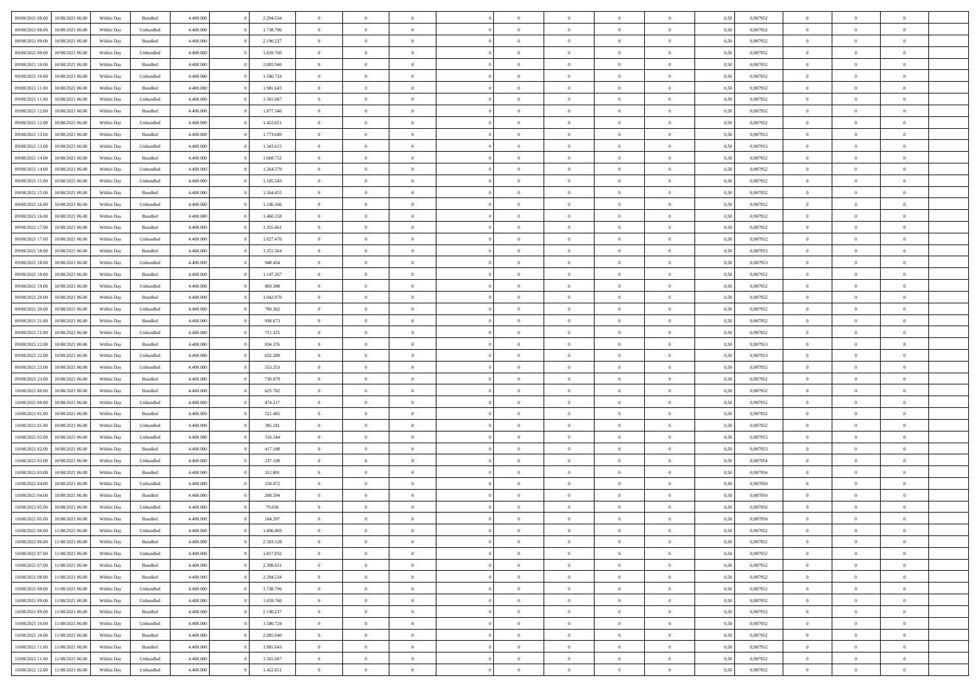| 09/08/2021 08:00 | 10/08/2021 06:00 | Within Day | Bundled            | 4.400.000 | 2.294.534 | $\overline{0}$ | $\Omega$       |                | $\Omega$       | $\Omega$       | $\theta$       | $\theta$       | 0,50 | 0,987952 | $\theta$       | $\theta$       | $\theta$       |  |
|------------------|------------------|------------|--------------------|-----------|-----------|----------------|----------------|----------------|----------------|----------------|----------------|----------------|------|----------|----------------|----------------|----------------|--|
|                  |                  |            |                    |           |           |                |                |                |                |                |                |                |      |          |                |                |                |  |
| 09/08/2021 08:00 | 10/08/2021 06:00 | Within Day | Unbundled          | 4.400.000 | 1.738.796 | $\overline{0}$ | $\theta$       | $\overline{0}$ | $\overline{0}$ | $\bf{0}$       | $\overline{0}$ | $\bf{0}$       | 0,50 | 0,987952 | $\theta$       | $\overline{0}$ | $\overline{0}$ |  |
| 09/08/2021 09:00 | 10/08/2021 06:00 | Within Day | Bundled            | 4.400.000 | 2.190.237 | $\overline{0}$ | $\bf{0}$       | $\overline{0}$ | $\bf{0}$       | $\bf{0}$       | $\bf{0}$       | $\mathbf{0}$   | 0,50 | 0,987952 | $\bf{0}$       | $\overline{0}$ | $\bf{0}$       |  |
| 09/08/2021 09:00 | 10/08/2021 06:00 | Within Day | Unbundled          | 4.400.000 | 1.659.760 | $\overline{0}$ | $\overline{0}$ | $\overline{0}$ | $\overline{0}$ | $\bf{0}$       | $\overline{0}$ | $\overline{0}$ | 0.50 | 0,987952 | $\theta$       | $\theta$       | $\overline{0}$ |  |
| 09/08/2021 10:00 | 10/08/2021 06:00 | Within Day | Bundled            | 4.400.000 | 2.085.940 | $\overline{0}$ | $\theta$       | $\overline{0}$ | $\overline{0}$ | $\bf{0}$       | $\overline{0}$ | $\bf{0}$       | 0,50 | 0,987952 | $\theta$       | $\overline{0}$ | $\overline{0}$ |  |
| 09/08/2021 10:00 | 10/08/2021 06:00 | Within Day | Unbundled          | 4.400.000 | 1.580.724 | $\overline{0}$ | $\overline{0}$ | $\overline{0}$ | $\bf{0}$       | $\overline{0}$ | $\overline{0}$ | $\mathbf{0}$   | 0,50 | 0,987952 | $\bf{0}$       | $\overline{0}$ | $\bf{0}$       |  |
| 09/08/2021 11:00 | 10/08/2021 06:00 | Within Dav | Bundled            | 4.400.000 | 1.981.643 | $\overline{0}$ | $\overline{0}$ | $\overline{0}$ |                | $\overline{0}$ | $\overline{0}$ | $\overline{0}$ | 0.50 | 0,987952 | $\theta$       | $\overline{0}$ | $\overline{0}$ |  |
|                  |                  |            |                    |           |           |                |                |                | $\overline{0}$ |                |                |                |      |          |                |                |                |  |
| 09/08/2021 11:00 | 10/08/2021 06:00 | Within Day | Unbundled          | 4.400.000 | 1.501.687 | $\overline{0}$ | $\theta$       | $\overline{0}$ | $\overline{0}$ | $\bf{0}$       | $\overline{0}$ | $\bf{0}$       | 0,50 | 0,987952 | $\theta$       | $\theta$       | $\overline{0}$ |  |
| 09/08/2021 12:00 | 10/08/2021 06:00 | Within Day | Bundled            | 4.400.000 | 1.877.346 | $\overline{0}$ | $\overline{0}$ | $\overline{0}$ | $\bf{0}$       | $\bf{0}$       | $\bf{0}$       | $\bf{0}$       | 0,50 | 0,987952 | $\,0\,$        | $\overline{0}$ | $\overline{0}$ |  |
| 09/08/2021 12:00 | 10/08/2021 06:00 | Within Dav | Unbundled          | 4.400.000 | 1.422.651 | $\overline{0}$ | $\overline{0}$ | $\overline{0}$ | $\overline{0}$ | $\overline{0}$ | $\overline{0}$ | $\overline{0}$ | 0.50 | 0,987952 | $\theta$       | $\overline{0}$ | $\overline{0}$ |  |
| 09/08/2021 13:00 | 10/08/2021 06:00 | Within Day | Bundled            | 4.400.000 | 1.773.049 | $\overline{0}$ | $\theta$       | $\overline{0}$ | $\overline{0}$ | $\bf{0}$       | $\overline{0}$ | $\bf{0}$       | 0,50 | 0,987953 | $\,$ 0 $\,$    | $\overline{0}$ | $\overline{0}$ |  |
| 09/08/2021 13:00 | 10/08/2021 06:00 | Within Day | Unbundled          | 4.400.000 | 1.343.615 | $\overline{0}$ | $\bf{0}$       | $\overline{0}$ | $\bf{0}$       | $\bf{0}$       | $\bf{0}$       | $\mathbf{0}$   | 0,50 | 0,987953 | $\bf{0}$       | $\overline{0}$ | $\bf{0}$       |  |
| 09/08/2021 14:00 | 10/08/2021 06:00 | Within Dav | Bundled            | 4.400.000 | 1.668.752 | $\overline{0}$ | $\overline{0}$ | $\overline{0}$ | $\overline{0}$ | $\bf{0}$       | $\overline{0}$ | $\overline{0}$ | 0.50 | 0,987952 | $\theta$       | $\theta$       | $\overline{0}$ |  |
| 09/08/2021 14:00 | 10/08/2021 06:00 |            |                    | 4.400.000 | 1.264.579 | $\overline{0}$ | $\theta$       | $\overline{0}$ | $\overline{0}$ | $\bf{0}$       | $\overline{0}$ |                |      | 0,987952 | $\theta$       | $\overline{0}$ | $\overline{0}$ |  |
|                  |                  | Within Day | Unbundled          |           |           |                |                |                |                |                |                | $\bf{0}$       | 0,50 |          |                |                |                |  |
| 09/08/2021 15:00 | 10/08/2021 06:00 | Within Day | Unbundled          | 4.400.000 | 1.185.543 | $\overline{0}$ | $\overline{0}$ | $\overline{0}$ | $\bf{0}$       | $\overline{0}$ | $\overline{0}$ | $\mathbf{0}$   | 0,50 | 0,987952 | $\bf{0}$       | $\overline{0}$ | $\bf{0}$       |  |
| 09/08/2021 15:00 | 10/08/2021 06:00 | Within Dav | Bundled            | 4.400.000 | 1.564.455 | $\overline{0}$ | $\overline{0}$ | $\overline{0}$ | $\overline{0}$ | $\overline{0}$ | $\overline{0}$ | $\overline{0}$ | 0.50 | 0,987952 | $\theta$       | $\overline{0}$ | $\overline{0}$ |  |
| 09/08/2021 16:00 | 10/08/2021 06:00 | Within Day | Unbundled          | 4.400.000 | 1.106.506 | $\overline{0}$ | $\theta$       | $\overline{0}$ | $\overline{0}$ | $\bf{0}$       | $\overline{0}$ | $\bf{0}$       | 0,50 | 0,987952 | $\theta$       | $\theta$       | $\overline{0}$ |  |
| 09/08/2021 16:00 | 10/08/2021 06:00 | Within Day | Bundled            | 4.400.000 | 1.460.158 | $\overline{0}$ | $\overline{0}$ | $\overline{0}$ | $\bf{0}$       | $\bf{0}$       | $\bf{0}$       | $\bf{0}$       | 0,50 | 0,987952 | $\,0\,$        | $\overline{0}$ | $\bf{0}$       |  |
| 09/08/2021 17:00 | 10/08/2021 06:00 | Within Dav | Bundled            | 4.400.000 | 1.355.861 | $\overline{0}$ | $\overline{0}$ | $\overline{0}$ | $\overline{0}$ | $\overline{0}$ | $\overline{0}$ | $\overline{0}$ | 0.50 | 0,987952 | $\theta$       | $\overline{0}$ | $\overline{0}$ |  |
| 09/08/2021 17:00 | 10/08/2021 06:00 | Within Day | Unbundled          | 4.400.000 | 1.027.470 | $\overline{0}$ | $\theta$       | $\overline{0}$ | $\overline{0}$ | $\bf{0}$       | $\overline{0}$ | $\bf{0}$       | 0,50 | 0,987952 | $\,$ 0 $\,$    | $\overline{0}$ | $\overline{0}$ |  |
|                  |                  |            |                    |           |           |                | $\overline{0}$ |                |                | $\bf{0}$       |                |                |      |          |                | $\overline{0}$ | $\bf{0}$       |  |
| 09/08/2021 18:00 | 10/08/2021 06:00 | Within Day | Bundled            | 4.400.000 | 1.251.564 | $\overline{0}$ |                | $\overline{0}$ | $\bf{0}$       |                | $\bf{0}$       | $\bf{0}$       | 0,50 | 0,987953 | $\overline{0}$ |                |                |  |
| 09/08/2021 18:00 | 10/08/2021 06:00 | Within Day | Unbundled          | 4.400.000 | 948,434   | $\overline{0}$ | $\overline{0}$ | $\overline{0}$ | $\overline{0}$ | $\bf{0}$       | $\overline{0}$ | $\overline{0}$ | 0.50 | 0,987953 | $\theta$       | $\overline{0}$ | $\overline{0}$ |  |
| 09/08/2021 19:00 | 10/08/2021 06:00 | Within Day | Bundled            | 4.400.000 | 1.147.267 | $\overline{0}$ | $\theta$       | $\overline{0}$ | $\overline{0}$ | $\bf{0}$       | $\overline{0}$ | $\bf{0}$       | 0,50 | 0,987952 | $\,$ 0 $\,$    | $\overline{0}$ | $\overline{0}$ |  |
| 09/08/2021 19:00 | 10/08/2021 06:00 | Within Day | Unbundled          | 4.400.000 | 869.398   | $\overline{0}$ | $\overline{0}$ | $\overline{0}$ | $\bf{0}$       | $\overline{0}$ | $\overline{0}$ | $\mathbf{0}$   | 0,50 | 0,987952 | $\overline{0}$ | $\overline{0}$ | $\bf{0}$       |  |
| 09/08/2021 20:00 | 10/08/2021 06:00 | Within Dav | Bundled            | 4.400.000 | 1.042.970 | $\overline{0}$ | $\overline{0}$ | $\overline{0}$ | $\overline{0}$ | $\overline{0}$ | $\overline{0}$ | $\overline{0}$ | 0.50 | 0,987952 | $\theta$       | $\overline{0}$ | $\overline{0}$ |  |
| 09/08/2021 20:00 | 10/08/2021 06:00 | Within Day | Unbundled          | 4.400.000 | 790.362   | $\overline{0}$ | $\theta$       | $\overline{0}$ | $\overline{0}$ | $\bf{0}$       | $\overline{0}$ | $\bf{0}$       | 0,50 | 0,987952 | $\theta$       | $\theta$       | $\overline{0}$ |  |
| 09/08/2021 21.00 | 10/08/2021 06:00 | Within Day | Bundled            | 4.400.000 | 938.673   | $\overline{0}$ | $\overline{0}$ | $\overline{0}$ | $\bf{0}$       | $\bf{0}$       | $\bf{0}$       | $\bf{0}$       | 0,50 | 0,987952 | $\,0\,$        | $\overline{0}$ | $\bf{0}$       |  |
| 09/08/2021 21:00 | 10/08/2021 06:00 | Within Day | Unbundled          | 4.400.000 | 711.325   | $\overline{0}$ | $\overline{0}$ | $\overline{0}$ | $\overline{0}$ | $\overline{0}$ | $\overline{0}$ | $\overline{0}$ | 0.50 | 0,987952 | $\theta$       | $\overline{0}$ | $\overline{0}$ |  |
|                  |                  |            |                    |           |           |                |                |                |                |                |                |                |      |          |                |                |                |  |
| 09/08/2021 22.00 | 10/08/2021 06:00 | Within Day | Bundled            | 4.400.000 | 834.376   | $\overline{0}$ | $\theta$       | $\overline{0}$ | $\overline{0}$ | $\bf{0}$       | $\overline{0}$ | $\bf{0}$       | 0,50 | 0,987953 | $\,$ 0 $\,$    | $\overline{0}$ | $\overline{0}$ |  |
| 09/08/2021 22.00 | 10/08/2021 06:00 | Within Day | Unbundled          | 4.400.000 | 632.289   | $\overline{0}$ | $\overline{0}$ | $\overline{0}$ | $\bf{0}$       | $\bf{0}$       | $\bf{0}$       | $\bf{0}$       | 0,50 | 0,987953 | $\overline{0}$ | $\overline{0}$ | $\bf{0}$       |  |
| 09/08/2021 23:00 | 10/08/2021 06:00 | Within Day | Unbundled          | 4.400,000 | 553.253   | $\overline{0}$ | $\Omega$       | $\Omega$       | $\Omega$       | $\Omega$       | $\Omega$       | $\overline{0}$ | 0,50 | 0,987952 | $\,0\,$        | $\theta$       | $\theta$       |  |
| 09/08/2021 23:00 | 10/08/2021 06:00 | Within Day | Bundled            | 4.400.000 | 730.079   | $\overline{0}$ | $\theta$       | $\overline{0}$ | $\overline{0}$ | $\bf{0}$       | $\overline{0}$ | $\bf{0}$       | 0,50 | 0,987952 | $\theta$       | $\overline{0}$ | $\overline{0}$ |  |
| 10/08/2021 00:00 | 10/08/2021 06:00 | Within Day | Bundled            | 4.400.000 | 625.782   | $\overline{0}$ | $\overline{0}$ | $\overline{0}$ | $\bf{0}$       | $\bf{0}$       | $\overline{0}$ | $\mathbf{0}$   | 0,50 | 0,987952 | $\overline{0}$ | $\overline{0}$ | $\bf{0}$       |  |
| 10/08/2021 00:00 | 10/08/2021 06:00 | Within Day | Unbundled          | 4.400,000 | 474.217   | $\overline{0}$ | $\Omega$       | $\Omega$       | $\Omega$       | $\overline{0}$ | $\overline{0}$ | $\overline{0}$ | 0.50 | 0,987952 | $\,0\,$        | $\theta$       | $\theta$       |  |
| 10/08/2021 01:00 | 10/08/2021 06:00 | Within Day | Bundled            | 4.400.000 | 521.485   | $\overline{0}$ | $\theta$       | $\overline{0}$ | $\overline{0}$ | $\bf{0}$       | $\overline{0}$ | $\bf{0}$       | 0,50 | 0,987952 | $\,$ 0 $\,$    | $\overline{0}$ | $\overline{0}$ |  |
| 10/08/2021 01:00 | 10/08/2021 06:00 | Within Day | Unbundled          | 4.400.000 | 395.181   | $\overline{0}$ | $\overline{0}$ | $\overline{0}$ | $\bf{0}$       | $\bf{0}$       | $\bf{0}$       | $\bf{0}$       | 0,50 | 0,987952 | $\bf{0}$       | $\overline{0}$ | $\bf{0}$       |  |
|                  |                  |            |                    |           |           |                |                |                |                |                |                |                |      |          |                |                |                |  |
| 10/08/2021 02:00 | 10/08/2021 06:00 | Within Day | Unbundled          | 4.400,000 | 316.144   | $\overline{0}$ | $\Omega$       | $\Omega$       | $\Omega$       | $\theta$       | $\theta$       | $\overline{0}$ | 0.50 | 0.987953 | $\theta$       | $\theta$       | $\theta$       |  |
| 10/08/2021 02:00 | 10/08/2021 06:00 | Within Day | Bundled            | 4.400.000 | 417.188   | $\overline{0}$ | $\overline{0}$ | $\overline{0}$ | $\overline{0}$ | $\bf{0}$       | $\overline{0}$ | $\bf{0}$       | 0,50 | 0,987953 | $\,$ 0 $\,$    | $\overline{0}$ | $\overline{0}$ |  |
| 10/08/2021 03:00 | 10/08/2021 06:00 | Within Day | Unbundled          | 4.400.000 | 237.108   | $\overline{0}$ | $\overline{0}$ | $\overline{0}$ | $\bf{0}$       | $\bf{0}$       | $\bf{0}$       | $\mathbf{0}$   | 0,50 | 0,987954 | $\bf{0}$       | $\overline{0}$ | $\bf{0}$       |  |
| 10/08/2021 03:00 | 10/08/2021 06:00 | Within Day | Bundled            | 4.400,000 | 312.891   | $\overline{0}$ | $\Omega$       | $\Omega$       | $\Omega$       | $\overline{0}$ | $\overline{0}$ | $\overline{0}$ | 0.50 | 0,987954 | $\,0\,$        | $\theta$       | $\theta$       |  |
| 10/08/2021 04:00 | 10/08/2021 06:00 | Within Day | Unbundled          | 4.400.000 | 158.072   | $\overline{0}$ | $\overline{0}$ | $\overline{0}$ | $\overline{0}$ | $\bf{0}$       | $\overline{0}$ | $\bf{0}$       | 0,50 | 0,987950 | $\,$ 0 $\,$    | $\overline{0}$ | $\overline{0}$ |  |
| 10/08/2021 04:00 | 10/08/2021 06:00 | Within Day | Bundled            | 4.400.000 | 208.594   | $\overline{0}$ | $\overline{0}$ | $\overline{0}$ | $\bf{0}$       | $\bf{0}$       | $\bf{0}$       | $\mathbf{0}$   | 0,50 | 0,987950 | $\bf{0}$       | $\overline{0}$ | $\bf{0}$       |  |
| 10/08/2021 05:00 | 10/08/2021 06:00 | Within Day | Unbundled          | 4.400,000 | 79.036    | $\overline{0}$ | $\Omega$       | $\Omega$       | $\Omega$       | $\Omega$       | $\Omega$       | $\overline{0}$ | 0.50 | 0.987950 | $\theta$       | $\theta$       | $\theta$       |  |
| 10/08/2021 05:00 | 10/08/2021 06:00 | Within Day | Bundled            | 4.400.000 | 104.297   | $\overline{0}$ | $\overline{0}$ | $\overline{0}$ | $\bf{0}$       | $\,$ 0         | $\bf{0}$       | $\bf{0}$       | 0,50 | 0,987950 | $\,0\,$        | $\,0\,$        | $\overline{0}$ |  |
| 10/08/2021 06:00 | 11/08/2021 06:00 | Within Day | Unbundled          | 4.400.000 |           |                |                |                |                |                |                |                |      |          |                |                |                |  |
|                  |                  |            |                    |           | 1.896.869 | $\bf{0}$       | $\bf{0}$       |                |                | $\bf{0}$       |                |                | 0,50 | 0,987952 | $\bf{0}$       | $\overline{0}$ |                |  |
| 10/08/2021 06:00 | 11/08/2021 06:00 | Within Day | Bundled            | 4.400.000 | 2.503.128 | $\overline{0}$ | $\overline{0}$ | $\overline{0}$ | $\Omega$       | $\overline{0}$ | $\overline{0}$ | $\overline{0}$ | 0.50 | 0.987952 | $\theta$       | $\theta$       | $\theta$       |  |
| 10/08/2021 07:00 | 11/08/2021 06:00 | Within Day | Unbundled          | 4.400.000 | 1.817.832 | $\overline{0}$ | $\,$ 0         | $\overline{0}$ | $\overline{0}$ | $\,$ 0 $\,$    | $\overline{0}$ | $\mathbf{0}$   | 0,50 | 0,987952 | $\,$ 0 $\,$    | $\,$ 0 $\,$    | $\,$ 0         |  |
| 10/08/2021 07:00 | 11/08/2021 06:00 | Within Day | Bundled            | 4.400.000 | 2.398.831 | $\overline{0}$ | $\overline{0}$ | $\overline{0}$ | $\overline{0}$ | $\overline{0}$ | $\overline{0}$ | $\mathbf{0}$   | 0,50 | 0,987952 | $\overline{0}$ | $\bf{0}$       | $\bf{0}$       |  |
| 10/08/2021 08:00 | 11/08/2021 06:00 | Within Day | $\mathbf B$ undled | 4.400.000 | 2.294.534 | $\overline{0}$ | $\overline{0}$ | $\overline{0}$ | $\Omega$       | $\overline{0}$ | $\overline{0}$ | $\overline{0}$ | 0,50 | 0,987952 | $\overline{0}$ | $\theta$       | $\overline{0}$ |  |
| 10/08/2021 08:00 | 11/08/2021 06:00 | Within Day | Unbundled          | 4.400.000 | 1.738.796 | $\overline{0}$ | $\,$ 0         | $\overline{0}$ | $\overline{0}$ | $\,$ 0 $\,$    | $\overline{0}$ | $\mathbf{0}$   | 0,50 | 0,987952 | $\,$ 0 $\,$    | $\overline{0}$ | $\overline{0}$ |  |
| 10/08/2021 09:00 | 11/08/2021 06:00 | Within Day | Unbundled          | 4.400.000 | 1.659.760 | $\overline{0}$ | $\overline{0}$ | $\overline{0}$ | $\overline{0}$ | $\overline{0}$ | $\overline{0}$ | $\mathbf{0}$   | 0,50 | 0,987952 | $\overline{0}$ | $\overline{0}$ | $\bf{0}$       |  |
| 10/08/2021 09:00 | 11/08/2021 06:00 | Within Day | Bundled            | 4.400.000 | 2.190.237 | $\overline{0}$ | $\overline{0}$ | $\overline{0}$ | $\Omega$       | $\overline{0}$ | $\overline{0}$ | $\bf{0}$       | 0.50 | 0,987952 | $\overline{0}$ | $\theta$       | $\overline{0}$ |  |
|                  |                  |            |                    |           |           |                |                |                |                |                |                |                |      |          |                |                |                |  |
| 10/08/2021 10:00 | 11/08/2021 06:00 | Within Day | Unbundled          | 4.400.000 | 1.580.724 | $\overline{0}$ | $\,$ 0         | $\overline{0}$ | $\overline{0}$ | $\bf{0}$       | $\overline{0}$ | $\bf{0}$       | 0,50 | 0,987952 | $\,$ 0 $\,$    | $\overline{0}$ | $\overline{0}$ |  |
| 10/08/2021 10:00 | 11/08/2021 06:00 | Within Day | Bundled            | 4.400.000 | 2.085.940 | $\overline{0}$ | $\bf{0}$       | $\overline{0}$ | $\overline{0}$ | $\overline{0}$ | $\overline{0}$ | $\mathbf{0}$   | 0,50 | 0,987952 | $\overline{0}$ | $\overline{0}$ | $\bf{0}$       |  |
| 10/08/2021 11:00 | 11/08/2021 06:00 | Within Day | Bundled            | 4.400.000 | 1.981.643 | $\overline{0}$ | $\overline{0}$ | $\overline{0}$ | $\Omega$       | $\overline{0}$ | $\overline{0}$ | $\bf{0}$       | 0.50 | 0,987952 | $\overline{0}$ | $\overline{0}$ | $\overline{0}$ |  |
| 10/08/2021 11:00 | 11/08/2021 06:00 | Within Day | Unbundled          | 4.400.000 | 1.501.687 | $\overline{0}$ | $\bf{0}$       | $\overline{0}$ | $\overline{0}$ | $\bf{0}$       | $\overline{0}$ | $\mathbf{0}$   | 0,50 | 0,987952 | $\,$ 0 $\,$    | $\,$ 0 $\,$    | $\bf{0}$       |  |
| 10/08/2021 12:00 | 11/08/2021 06:00 | Within Day | Unbundled          | 4.400.000 | 1.422.651 | $\overline{0}$ | $\overline{0}$ | $\overline{0}$ | $\overline{0}$ | $\overline{0}$ | $\overline{0}$ | $\mathbf{0}$   | 0,50 | 0,987952 | $\overline{0}$ | $\bf{0}$       | $\bf{0}$       |  |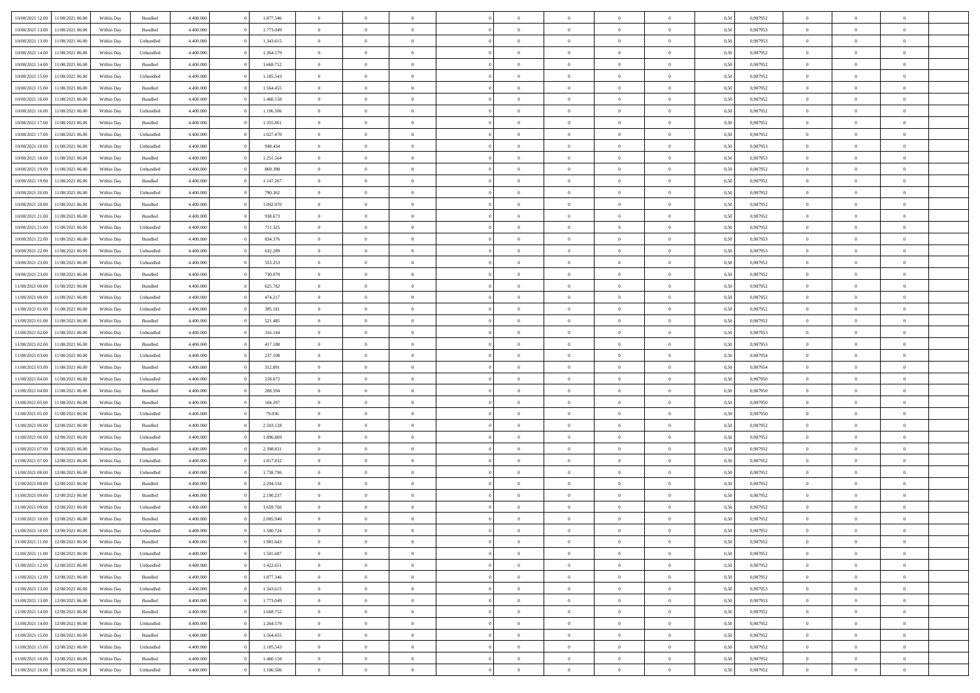| 10/08/2021 12:00                  | 11/08/2021 06:00 | Within Day | Bundled            | 4.400.000 | 1.877.346 | $\overline{0}$ | $\theta$       |                | $\Omega$       | $\Omega$       | $\theta$       | $\theta$       | 0,50 | 0,987952 | $\theta$       | $\overline{0}$ | $\theta$       |  |
|-----------------------------------|------------------|------------|--------------------|-----------|-----------|----------------|----------------|----------------|----------------|----------------|----------------|----------------|------|----------|----------------|----------------|----------------|--|
|                                   |                  |            |                    |           |           |                |                |                |                |                |                |                |      |          |                |                |                |  |
| 10/08/2021 13:00                  | 11/08/2021 06:00 | Within Day | Bundled            | 4.400.000 | 1.773.049 | $\overline{0}$ | $\theta$       | $\overline{0}$ | $\overline{0}$ | $\bf{0}$       | $\overline{0}$ | $\bf{0}$       | 0,50 | 0,987953 | $\theta$       | $\overline{0}$ | $\overline{0}$ |  |
| 10/08/2021 13:00                  | 11/08/2021 06:00 | Within Day | Unbundled          | 4.400.000 | 1.343.615 | $\overline{0}$ | $\bf{0}$       | $\overline{0}$ | $\bf{0}$       | $\bf{0}$       | $\bf{0}$       | $\mathbf{0}$   | 0,50 | 0,987953 | $\overline{0}$ | $\overline{0}$ | $\bf{0}$       |  |
| 10/08/2021 14:00                  | 11/08/2021 06:00 | Within Dav | Unbundled          | 4.400.000 | 1.264.579 | $\overline{0}$ | $\overline{0}$ | $\overline{0}$ | $\overline{0}$ | $\bf{0}$       | $\overline{0}$ | $\overline{0}$ | 0.50 | 0,987952 | $\theta$       | $\theta$       | $\overline{0}$ |  |
| 10/08/2021 14:00                  | 11/08/2021 06:00 | Within Day | Bundled            | 4.400.000 | 1.668.752 | $\overline{0}$ | $\theta$       | $\overline{0}$ | $\overline{0}$ | $\bf{0}$       | $\overline{0}$ | $\bf{0}$       | 0,50 | 0,987952 | $\theta$       | $\overline{0}$ | $\overline{0}$ |  |
| 10/08/2021 15:00                  | 11/08/2021 06:00 | Within Day | Unbundled          | 4.400.000 | 1.185.543 | $\overline{0}$ | $\overline{0}$ | $\overline{0}$ | $\bf{0}$       | $\overline{0}$ | $\overline{0}$ | $\mathbf{0}$   | 0,50 | 0,987952 | $\overline{0}$ | $\overline{0}$ | $\bf{0}$       |  |
| 10/08/2021 15:00                  | 11/08/2021 06:00 | Within Dav | Bundled            | 4.400.000 | 1.564.455 | $\overline{0}$ | $\overline{0}$ | $\overline{0}$ |                | $\overline{0}$ | $\overline{0}$ | $\overline{0}$ | 0.50 | 0,987952 | $\theta$       | $\overline{0}$ | $\overline{0}$ |  |
|                                   |                  |            |                    |           |           |                |                |                | $\overline{0}$ |                |                |                |      |          |                |                |                |  |
| 10/08/2021 16:00                  | 11/08/2021 06:00 | Within Day | Bundled            | 4.400.000 | 1.460.158 | $\overline{0}$ | $\theta$       | $\overline{0}$ | $\overline{0}$ | $\bf{0}$       | $\overline{0}$ | $\bf{0}$       | 0,50 | 0,987952 | $\theta$       | $\theta$       | $\overline{0}$ |  |
| 10/08/2021 16:00                  | 11/08/2021 06:00 | Within Day | Unbundled          | 4.400.000 | 1.106.506 | $\overline{0}$ | $\overline{0}$ | $\overline{0}$ | $\bf{0}$       | $\bf{0}$       | $\overline{0}$ | $\bf{0}$       | 0,50 | 0,987952 | $\,0\,$        | $\overline{0}$ | $\overline{0}$ |  |
| 10/08/2021 17:00                  | 11/08/2021 06:00 | Within Dav | Bundled            | 4.400.000 | 1.355.861 | $\overline{0}$ | $\overline{0}$ | $\overline{0}$ | $\overline{0}$ | $\overline{0}$ | $\overline{0}$ | $\overline{0}$ | 0.50 | 0,987952 | $\theta$       | $\overline{0}$ | $\overline{0}$ |  |
| 10/08/2021 17:00                  | 11/08/2021 06:00 | Within Day | Unbundled          | 4.400.000 | 1.027.470 | $\overline{0}$ | $\theta$       | $\overline{0}$ | $\overline{0}$ | $\bf{0}$       | $\overline{0}$ | $\bf{0}$       | 0,50 | 0,987952 | $\,$ 0 $\,$    | $\overline{0}$ | $\overline{0}$ |  |
| 10/08/2021 18:00                  | 11/08/2021 06:00 | Within Day | Unbundled          | 4.400.000 | 948.434   | $\overline{0}$ | $\bf{0}$       | $\overline{0}$ | $\overline{0}$ | $\bf{0}$       | $\overline{0}$ | $\mathbf{0}$   | 0,50 | 0,987953 | $\overline{0}$ | $\overline{0}$ | $\bf{0}$       |  |
| 10/08/2021 18:00                  | 11/08/2021 06:00 | Within Day | Bundled            | 4.400.000 | 1.251.564 | $\overline{0}$ | $\overline{0}$ | $\overline{0}$ | $\overline{0}$ | $\bf{0}$       | $\overline{0}$ | $\overline{0}$ | 0.50 | 0,987953 | $\theta$       | $\theta$       | $\overline{0}$ |  |
|                                   |                  |            |                    |           |           | $\overline{0}$ | $\theta$       |                |                | $\bf{0}$       |                |                |      |          | $\theta$       | $\overline{0}$ |                |  |
| 10/08/2021 19:00                  | 11/08/2021 06:00 | Within Day | Unbundled          | 4.400.000 | 869.398   |                |                | $\overline{0}$ | $\overline{0}$ |                | $\overline{0}$ | $\bf{0}$       | 0,50 | 0,987952 |                |                | $\overline{0}$ |  |
| 10/08/2021 19:00                  | 11/08/2021 06:00 | Within Day | Bundled            | 4.400.000 | 1.147.267 | $\overline{0}$ | $\overline{0}$ | $\overline{0}$ | $\overline{0}$ | $\overline{0}$ | $\overline{0}$ | $\mathbf{0}$   | 0,50 | 0,987952 | $\overline{0}$ | $\overline{0}$ | $\bf{0}$       |  |
| 10/08/2021 20:00                  | 11/08/2021 06:00 | Within Dav | Unbundled          | 4.400.000 | 790.362   | $\overline{0}$ | $\overline{0}$ | $\overline{0}$ | $\overline{0}$ | $\overline{0}$ | $\overline{0}$ | $\overline{0}$ | 0.50 | 0,987952 | $\theta$       | $\overline{0}$ | $\overline{0}$ |  |
| 10/08/2021 20:00                  | 11/08/2021 06:00 | Within Day | Bundled            | 4.400.000 | 1.042.970 | $\overline{0}$ | $\theta$       | $\overline{0}$ | $\overline{0}$ | $\bf{0}$       | $\overline{0}$ | $\bf{0}$       | 0,50 | 0,987952 | $\theta$       | $\theta$       | $\overline{0}$ |  |
| 10/08/2021 21:00                  | 11/08/2021 06:00 | Within Day | Bundled            | 4.400.000 | 938.673   | $\overline{0}$ | $\overline{0}$ | $\overline{0}$ | $\overline{0}$ | $\bf{0}$       | $\overline{0}$ | $\mathbf{0}$   | 0,50 | 0,987952 | $\,0\,$        | $\overline{0}$ | $\bf{0}$       |  |
| 10/08/2021 21:00                  | 11/08/2021 06:00 | Within Dav | Unbundled          | 4.400.000 | 711.325   | $\overline{0}$ | $\overline{0}$ | $\overline{0}$ | $\overline{0}$ | $\overline{0}$ | $\overline{0}$ | $\overline{0}$ | 0.50 | 0,987952 | $\theta$       | $\overline{0}$ | $\overline{0}$ |  |
| 10/08/2021 22:00                  | 11/08/2021 06:00 | Within Day | Bundled            | 4.400.000 | 834.376   | $\overline{0}$ | $\theta$       | $\overline{0}$ | $\overline{0}$ | $\bf{0}$       | $\overline{0}$ | $\bf{0}$       | 0,50 | 0,987953 | $\,$ 0 $\,$    | $\overline{0}$ | $\overline{0}$ |  |
|                                   |                  |            |                    |           |           |                |                |                |                |                |                |                |      |          |                |                |                |  |
| 10/08/2021 22:00                  | 11/08/2021 06:00 | Within Day | Unbundled          | 4.400.000 | 632.289   | $\overline{0}$ | $\overline{0}$ | $\overline{0}$ | $\overline{0}$ | $\bf{0}$       | $\overline{0}$ | $\mathbf{0}$   | 0,50 | 0,987953 | $\bf{0}$       | $\overline{0}$ | $\bf{0}$       |  |
| 10/08/2021 23:00                  | 11/08/2021 06:00 | Within Day | Unbundled          | 4.400.000 | 553.253   | $\overline{0}$ | $\overline{0}$ | $\overline{0}$ | $\overline{0}$ | $\overline{0}$ | $\overline{0}$ | $\overline{0}$ | 0.50 | 0,987952 | $\theta$       | $\overline{0}$ | $\overline{0}$ |  |
| 10/08/2021 23:00                  | 11/08/2021 06:00 | Within Day | Bundled            | 4.400.000 | 730.079   | $\overline{0}$ | $\theta$       | $\overline{0}$ | $\overline{0}$ | $\bf{0}$       | $\overline{0}$ | $\bf{0}$       | 0,50 | 0,987952 | $\,$ 0 $\,$    | $\overline{0}$ | $\overline{0}$ |  |
| 11/08/2021 00:00                  | 11/08/2021 06:00 | Within Day | Bundled            | 4.400.000 | 625.782   | $\overline{0}$ | $\overline{0}$ | $\overline{0}$ | $\overline{0}$ | $\overline{0}$ | $\overline{0}$ | $\mathbf{0}$   | 0,50 | 0,987952 | $\overline{0}$ | $\overline{0}$ | $\bf{0}$       |  |
| 11/08/2021 00:00                  | 11/08/2021 06:00 | Within Day | Unbundled          | 4.400.000 | 474.217   | $\overline{0}$ | $\overline{0}$ | $\overline{0}$ | $\overline{0}$ | $\overline{0}$ | $\overline{0}$ | $\overline{0}$ | 0.50 | 0,987952 | $\theta$       | $\overline{0}$ | $\overline{0}$ |  |
| 11/08/2021 01:00                  | 11/08/2021 06:00 | Within Day | Unbundled          | 4.400.000 | 395.181   | $\overline{0}$ | $\theta$       | $\overline{0}$ | $\overline{0}$ | $\bf{0}$       | $\overline{0}$ | $\bf{0}$       | 0,50 | 0,987952 | $\theta$       | $\theta$       | $\overline{0}$ |  |
| 11/08/2021 01:00                  | 11/08/2021 06:00 | Within Day | Bundled            | 4.400.000 | 521.485   | $\overline{0}$ | $\overline{0}$ | $\overline{0}$ | $\overline{0}$ | $\bf{0}$       | $\overline{0}$ | $\bf{0}$       | 0,50 | 0,987952 | $\,0\,$        | $\overline{0}$ | $\overline{0}$ |  |
|                                   |                  |            |                    |           |           |                | $\overline{0}$ |                |                | $\overline{0}$ |                |                |      |          | $\theta$       | $\overline{0}$ | $\overline{0}$ |  |
| 11/08/2021 02:00                  | 11/08/2021 06:00 | Within Day | Unbundled          | 4.400.000 | 316.144   | $\overline{0}$ |                | $\overline{0}$ | $\overline{0}$ |                | $\overline{0}$ | $\overline{0}$ | 0.50 | 0,987953 |                |                |                |  |
| 11/08/2021 02:00                  | 11/08/2021 06:00 | Within Day | Bundled            | 4.400.000 | 417.188   | $\overline{0}$ | $\theta$       | $\overline{0}$ | $\overline{0}$ | $\bf{0}$       | $\overline{0}$ | $\bf{0}$       | 0,50 | 0,987953 | $\,$ 0 $\,$    | $\overline{0}$ | $\overline{0}$ |  |
| 11/08/2021 03:00                  | 11/08/2021 06:00 | Within Day | Unbundled          | 4.400.000 | 237.108   | $\overline{0}$ | $\overline{0}$ | $\overline{0}$ | $\bf{0}$       | $\bf{0}$       | $\bf{0}$       | $\bf{0}$       | 0,50 | 0,987954 | $\overline{0}$ | $\overline{0}$ | $\bf{0}$       |  |
| 11/08/2021 03:00                  | 11/08/2021 06:00 | Within Day | Bundled            | 4.400,000 | 312.891   | $\overline{0}$ | $\Omega$       | $\Omega$       | $\Omega$       | $\Omega$       | $\overline{0}$ | $\overline{0}$ | 0,50 | 0,987954 | $\,0\,$        | $\theta$       | $\theta$       |  |
| 11/08/2021 04:00                  | 11/08/2021 06:00 | Within Day | Unbundled          | 4.400.000 | 158.072   | $\overline{0}$ | $\theta$       | $\overline{0}$ | $\overline{0}$ | $\bf{0}$       | $\overline{0}$ | $\bf{0}$       | 0,50 | 0,987950 | $\,$ 0 $\,$    | $\overline{0}$ | $\overline{0}$ |  |
| 11/08/2021 04:00                  | 11/08/2021 06:00 | Within Day | Bundled            | 4.400.000 | 208.594   | $\overline{0}$ | $\overline{0}$ | $\overline{0}$ | $\bf{0}$       | $\overline{0}$ | $\overline{0}$ | $\mathbf{0}$   | 0,50 | 0,987950 | $\overline{0}$ | $\overline{0}$ | $\bf{0}$       |  |
| 11/08/2021 05:00                  | 11/08/2021 06:00 | Within Day | Bundled            | 4.400,000 | 104.297   | $\overline{0}$ | $\Omega$       | $\Omega$       | $\Omega$       | $\bf{0}$       | $\overline{0}$ | $\overline{0}$ | 0.50 | 0,987950 | $\,0\,$        | $\theta$       | $\theta$       |  |
|                                   |                  |            |                    |           |           | $\overline{0}$ | $\theta$       | $\overline{0}$ |                | $\bf{0}$       | $\overline{0}$ |                |      |          |                |                | $\overline{0}$ |  |
| 11/08/2021 05:00                  | 11/08/2021 06:00 | Within Day | Unbundled          | 4.400.000 | 79.036    |                |                |                | $\overline{0}$ |                |                | $\bf{0}$       | 0,50 | 0,987950 | $\,$ 0 $\,$    | $\overline{0}$ |                |  |
| 11/08/2021 06:00                  | 12/08/2021 06:00 | Within Day | Bundled            | 4.400.000 | 2.503.128 | $\overline{0}$ | $\overline{0}$ | $\overline{0}$ | $\bf{0}$       | $\bf{0}$       | $\bf{0}$       | $\bf{0}$       | 0,50 | 0,987952 | $\bf{0}$       | $\overline{0}$ | $\bf{0}$       |  |
| 11/08/2021 06:00                  | 12/08/2021 06:00 | Within Day | Unbundled          | 4.400,000 | 1.896.869 | $\overline{0}$ | $\Omega$       | $\Omega$       | $\Omega$       | $\overline{0}$ | $\overline{0}$ | $\overline{0}$ | 0.50 | 0.987952 | $\,$ 0 $\,$    | $\theta$       | $\theta$       |  |
| 11/08/2021 07:00                  | 12/08/2021 06:00 | Within Day | Bundled            | 4.400.000 | 2.398.831 | $\overline{0}$ | $\theta$       | $\overline{0}$ | $\overline{0}$ | $\,$ 0         | $\overline{0}$ | $\bf{0}$       | 0,50 | 0,987952 | $\,$ 0 $\,$    | $\overline{0}$ | $\overline{0}$ |  |
| 11/08/2021 07:00                  | 12/08/2021 06:00 | Within Day | Unbundled          | 4.400.000 | 1.817.832 | $\overline{0}$ | $\bf{0}$       | $\overline{0}$ | $\bf{0}$       | $\bf{0}$       | $\bf{0}$       | $\mathbf{0}$   | 0,50 | 0,987952 | $\overline{0}$ | $\overline{0}$ | $\bf{0}$       |  |
| 11/08/2021 08:00                  | 12/08/2021 06:00 | Within Day | Unbundled          | 4.400,000 | 1.738.796 | $\overline{0}$ | $\Omega$       | $\overline{0}$ | $\Omega$       | $\overline{0}$ | $\overline{0}$ | $\overline{0}$ | 0.50 | 0,987952 | $\,0\,$        | $\theta$       | $\theta$       |  |
| 11/08/2021 08:00                  | 12/08/2021 06:00 | Within Day | Bundled            | 4.400.000 | 2.294.534 | $\overline{0}$ | $\overline{0}$ | $\overline{0}$ | $\overline{0}$ | $\,$ 0         | $\overline{0}$ | $\bf{0}$       | 0,50 | 0,987952 | $\,$ 0 $\,$    | $\overline{0}$ | $\overline{0}$ |  |
| 11/08/2021 09:00                  | 12/08/2021 06:00 | Within Day | Bundled            | 4.400.000 | 2.190.237 | $\overline{0}$ | $\overline{0}$ | $\overline{0}$ | $\bf{0}$       | $\bf{0}$       | $\overline{0}$ | $\mathbf{0}$   | 0,50 | 0,987952 | $\overline{0}$ | $\overline{0}$ | $\bf{0}$       |  |
|                                   |                  |            |                    |           |           |                |                |                |                |                |                |                |      |          |                |                | $\theta$       |  |
| 11/08/2021 09:00                  | 12/08/2021 06:00 | Within Day | Unbundled          | 4.400,000 | 1.659.760 | $\overline{0}$ | $\Omega$       | $\Omega$       | $\Omega$       | $\Omega$       | $\Omega$       | $\overline{0}$ | 0.50 | 0.987952 | $\theta$       | $\theta$       |                |  |
| 11/08/2021 10:00                  | 12/08/2021 06:00 | Within Day | Bundled            | 4.400.000 | 2.085.940 | $\overline{0}$ | $\overline{0}$ | $\overline{0}$ | $\bf{0}$       | $\,$ 0         | $\bf{0}$       | $\bf{0}$       | 0,50 | 0,987952 | $\,0\,$        | $\,$ 0 $\,$    | $\overline{0}$ |  |
| 11/08/2021 10:00                  | 12/08/2021 06:00 | Within Day | Unbundled          | 4.400.000 | 1.580.724 | $\bf{0}$       | $\bf{0}$       |                |                | $\bf{0}$       |                |                | 0,50 | 0,987952 | $\bf{0}$       | $\overline{0}$ |                |  |
| 11/08/2021 11:00                  | 12/08/2021 06:00 | Within Day | Bundled            | 4.400.000 | 1.981.643 | $\overline{0}$ | $\overline{0}$ | $\overline{0}$ | $\Omega$       | $\overline{0}$ | $\overline{0}$ | $\overline{0}$ | 0.50 | 0.987952 | $\theta$       | $\theta$       | $\theta$       |  |
| 11/08/2021 11:00                  | 12/08/2021 06:00 | Within Day | Unbundled          | 4.400.000 | 1.501.687 | $\overline{0}$ | $\,$ 0         | $\overline{0}$ | $\bf{0}$       | $\,$ 0 $\,$    | $\overline{0}$ | $\mathbf{0}$   | 0,50 | 0,987952 | $\,$ 0 $\,$    | $\,$ 0 $\,$    | $\,$ 0         |  |
| 11/08/2021 12:00                  | 12/08/2021 06:00 | Within Day | Unbundled          | 4.400.000 | 1.422.651 | $\overline{0}$ | $\overline{0}$ | $\overline{0}$ | $\overline{0}$ | $\overline{0}$ | $\overline{0}$ | $\mathbf{0}$   | 0,50 | 0,987952 | $\overline{0}$ | $\bf{0}$       | $\bf{0}$       |  |
| 11/08/2021 12:00                  | 12/08/2021 06:00 | Within Day | $\mathbf B$ undled | 4.400,000 | 1.877.346 | $\overline{0}$ | $\overline{0}$ | $\overline{0}$ | $\Omega$       | $\overline{0}$ | $\overline{0}$ | $\overline{0}$ | 0,50 | 0,987952 | $\overline{0}$ | $\theta$       | $\overline{0}$ |  |
| 11/08/2021 13:00                  | 12/08/2021 06:00 | Within Day | Unbundled          | 4.400.000 | 1.343.615 | $\overline{0}$ | $\,$ 0         | $\overline{0}$ | $\overline{0}$ | $\,$ 0 $\,$    | $\overline{0}$ | $\mathbf{0}$   | 0,50 | 0,987953 | $\,$ 0 $\,$    | $\overline{0}$ | $\overline{0}$ |  |
|                                   |                  |            |                    |           |           |                |                |                |                |                |                |                |      |          |                |                |                |  |
| 11/08/2021 13:00                  | 12/08/2021 06:00 | Within Day | Bundled            | 4.400.000 | 1.773.049 | $\overline{0}$ | $\overline{0}$ | $\overline{0}$ | $\overline{0}$ | $\overline{0}$ | $\overline{0}$ | $\mathbf{0}$   | 0,50 | 0,987953 | $\overline{0}$ | $\overline{0}$ | $\bf{0}$       |  |
| 11/08/2021 14:00                  | 12/08/2021 06:00 | Within Day | Bundled            | 4.400.000 | 1.668.752 | $\overline{0}$ | $\overline{0}$ | $\overline{0}$ | $\Omega$       | $\overline{0}$ | $\overline{0}$ | $\bf{0}$       | 0.50 | 0,987952 | $\overline{0}$ | $\theta$       | $\overline{0}$ |  |
| 11/08/2021 14:00                  | 12/08/2021 06:00 | Within Day | Unbundled          | 4.400.000 | 1.264.579 | $\overline{0}$ | $\,$ 0         | $\overline{0}$ | $\overline{0}$ | $\bf{0}$       | $\overline{0}$ | $\bf{0}$       | 0,50 | 0,987952 | $\,$ 0 $\,$    | $\overline{0}$ | $\overline{0}$ |  |
| 11/08/2021 15:00                  | 12/08/2021 06:00 | Within Day | Bundled            | 4.400.000 | 1.564.455 | $\overline{0}$ | $\bf{0}$       | $\overline{0}$ | $\overline{0}$ | $\overline{0}$ | $\overline{0}$ | $\mathbf{0}$   | 0,50 | 0,987952 | $\overline{0}$ | $\overline{0}$ | $\bf{0}$       |  |
| 11/08/2021 15:00                  | 12/08/2021 06:00 | Within Day | Unbundled          | 4.400,000 | 1.185.543 | $\overline{0}$ | $\overline{0}$ | $\overline{0}$ | $\Omega$       | $\overline{0}$ | $\overline{0}$ | $\overline{0}$ | 0.50 | 0,987952 | $\overline{0}$ | $\overline{0}$ | $\overline{0}$ |  |
| 11/08/2021 16:00                  | 12/08/2021 06:00 | Within Day | Bundled            | 4.400.000 | 1.460.158 | $\overline{0}$ | $\bf{0}$       | $\overline{0}$ | $\overline{0}$ | $\bf{0}$       | $\overline{0}$ | $\mathbf{0}$   | 0,50 | 0,987952 | $\,$ 0 $\,$    | $\,$ 0 $\,$    | $\bf{0}$       |  |
|                                   |                  |            |                    |           |           |                |                |                |                |                |                |                |      |          |                |                |                |  |
| 11/08/2021 16:00 12/08/2021 06:00 |                  | Within Day | Unbundled          | 4.400.000 | 1.106.506 | $\overline{0}$ | $\overline{0}$ | $\overline{0}$ | $\overline{0}$ | $\overline{0}$ | $\overline{0}$ | $\mathbf{0}$   | 0,50 | 0,987952 | $\overline{0}$ | $\bf{0}$       | $\bf{0}$       |  |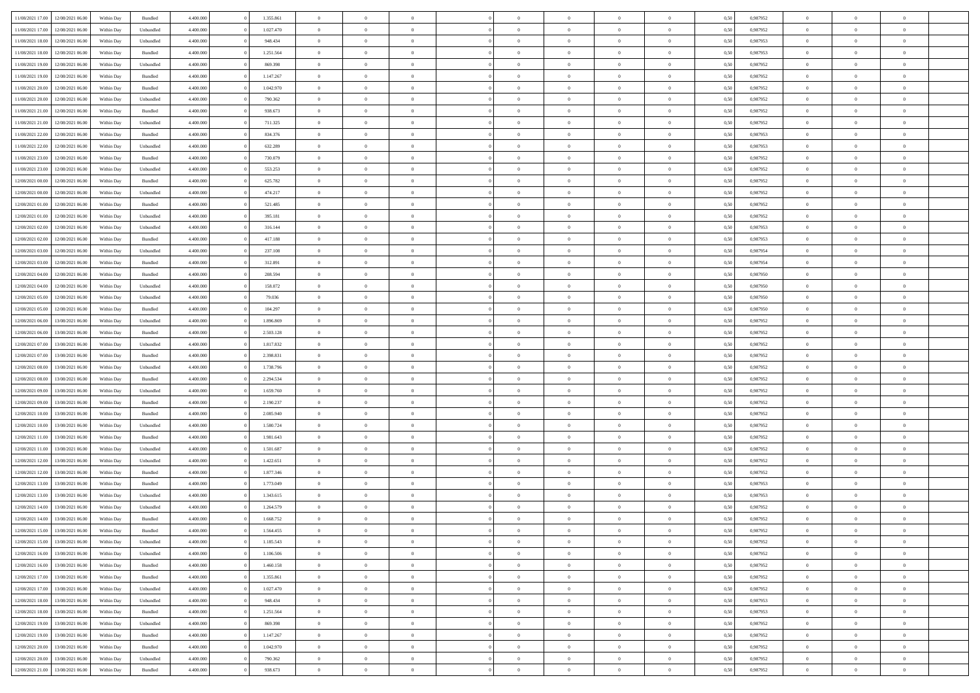| 11/08/2021 17:00                  | 12/08/2021 06:00 | Within Day | Bundled            | 4.400.000 | 1.355.861 | $\overline{0}$ | $\Omega$       |                | $\Omega$       | $\Omega$       | $\theta$       | $\theta$       | 0,50 | 0,987952 | $\theta$       | $\theta$       | $\theta$       |  |
|-----------------------------------|------------------|------------|--------------------|-----------|-----------|----------------|----------------|----------------|----------------|----------------|----------------|----------------|------|----------|----------------|----------------|----------------|--|
|                                   |                  |            |                    |           |           |                |                |                |                |                |                |                |      |          |                |                |                |  |
| 11/08/2021 17:00                  | 12/08/2021 06:00 | Within Day | Unbundled          | 4.400.000 | 1.027.470 | $\overline{0}$ | $\theta$       | $\overline{0}$ | $\overline{0}$ | $\bf{0}$       | $\overline{0}$ | $\bf{0}$       | 0,50 | 0,987952 | $\theta$       | $\overline{0}$ | $\overline{0}$ |  |
| 11/08/2021 18:00                  | 12/08/2021 06:00 | Within Day | Unbundled          | 4.400.000 | 948.434   | $\overline{0}$ | $\bf{0}$       | $\overline{0}$ | $\overline{0}$ | $\bf{0}$       | $\overline{0}$ | $\mathbf{0}$   | 0,50 | 0,987953 | $\overline{0}$ | $\overline{0}$ | $\bf{0}$       |  |
| 11/08/2021 18:00                  | 12/08/2021 06:00 | Within Dav | Bundled            | 4.400.000 | 1.251.564 | $\overline{0}$ | $\overline{0}$ | $\overline{0}$ | $\overline{0}$ | $\bf{0}$       | $\overline{0}$ | $\overline{0}$ | 0.50 | 0,987953 | $\theta$       | $\theta$       | $\overline{0}$ |  |
| 11/08/2021 19:00                  | 12/08/2021 06:00 | Within Day | Unbundled          | 4.400.000 | 869.398   | $\overline{0}$ | $\theta$       | $\overline{0}$ | $\overline{0}$ | $\bf{0}$       | $\overline{0}$ | $\bf{0}$       | 0,50 | 0,987952 | $\theta$       | $\overline{0}$ | $\overline{0}$ |  |
| 11/08/2021 19:00                  | 12/08/2021 06:00 | Within Day | Bundled            | 4.400.000 | 1.147.267 | $\overline{0}$ | $\overline{0}$ | $\overline{0}$ | $\overline{0}$ | $\overline{0}$ | $\overline{0}$ | $\mathbf{0}$   | 0,50 | 0,987952 | $\overline{0}$ | $\overline{0}$ | $\bf{0}$       |  |
| 11/08/2021 20:00                  | 12/08/2021 06:00 | Within Dav | Bundled            | 4.400.000 | 1.042.970 | $\overline{0}$ | $\overline{0}$ | $\overline{0}$ |                | $\overline{0}$ | $\overline{0}$ | $\overline{0}$ | 0.50 | 0,987952 | $\theta$       | $\overline{0}$ | $\overline{0}$ |  |
|                                   |                  |            |                    |           |           |                |                |                | $\overline{0}$ |                |                |                |      |          |                |                |                |  |
| 11/08/2021 20:00                  | 12/08/2021 06:00 | Within Day | Unbundled          | 4.400.000 | 790.362   | $\overline{0}$ | $\theta$       | $\overline{0}$ | $\overline{0}$ | $\bf{0}$       | $\overline{0}$ | $\bf{0}$       | 0,50 | 0,987952 | $\theta$       | $\theta$       | $\overline{0}$ |  |
| 11/08/2021 21:00                  | 12/08/2021 06:00 | Within Day | Bundled            | 4.400.000 | 938.673   | $\overline{0}$ | $\overline{0}$ | $\overline{0}$ | $\overline{0}$ | $\bf{0}$       | $\overline{0}$ | $\mathbf{0}$   | 0,50 | 0,987952 | $\,0\,$        | $\overline{0}$ | $\overline{0}$ |  |
| 11/08/2021 21:00                  | 12/08/2021 06:00 | Within Dav | Unbundled          | 4.400.000 | 711.325   | $\overline{0}$ | $\overline{0}$ | $\overline{0}$ | $\overline{0}$ | $\overline{0}$ | $\overline{0}$ | $\overline{0}$ | 0.50 | 0,987952 | $\theta$       | $\overline{0}$ | $\overline{0}$ |  |
| 11/08/2021 22:00                  | 12/08/2021 06:00 | Within Day | Bundled            | 4.400.000 | 834.376   | $\overline{0}$ | $\theta$       | $\overline{0}$ | $\overline{0}$ | $\bf{0}$       | $\overline{0}$ | $\bf{0}$       | 0,50 | 0,987953 | $\,$ 0 $\,$    | $\overline{0}$ | $\overline{0}$ |  |
| 11/08/2021 22:00                  | 12/08/2021 06:00 | Within Day | Unbundled          | 4.400.000 | 632.289   | $\overline{0}$ | $\overline{0}$ | $\overline{0}$ | $\overline{0}$ | $\bf{0}$       | $\bf{0}$       | $\mathbf{0}$   | 0,50 | 0,987953 | $\overline{0}$ | $\overline{0}$ | $\bf{0}$       |  |
| 11/08/2021 23:00                  | 12/08/2021 06:00 | Within Day | Bundled            | 4.400.000 | 730.079   | $\overline{0}$ | $\overline{0}$ | $\overline{0}$ | $\overline{0}$ | $\bf{0}$       | $\overline{0}$ | $\overline{0}$ | 0.50 | 0,987952 | $\theta$       | $\theta$       | $\overline{0}$ |  |
|                                   |                  |            |                    |           |           | $\overline{0}$ | $\theta$       | $\overline{0}$ | $\overline{0}$ | $\bf{0}$       | $\overline{0}$ |                |      |          | $\theta$       | $\overline{0}$ | $\overline{0}$ |  |
| 11/08/2021 23:00                  | 12/08/2021 06:00 | Within Day | Unbundled          | 4.400.000 | 553.253   |                |                |                |                |                |                | $\bf{0}$       | 0,50 | 0,987952 |                |                |                |  |
| 12/08/2021 00:00                  | 12/08/2021 06:00 | Within Day | Bundled            | 4.400.000 | 625.782   | $\overline{0}$ | $\overline{0}$ | $\overline{0}$ | $\bf{0}$       | $\overline{0}$ | $\overline{0}$ | $\mathbf{0}$   | 0,50 | 0,987952 | $\overline{0}$ | $\overline{0}$ | $\bf{0}$       |  |
| 12/08/2021 00:00                  | 12/08/2021 06:00 | Within Dav | Unbundled          | 4.400.000 | 474.217   | $\overline{0}$ | $\overline{0}$ | $\overline{0}$ | $\overline{0}$ | $\overline{0}$ | $\overline{0}$ | $\overline{0}$ | 0.50 | 0,987952 | $\theta$       | $\overline{0}$ | $\overline{0}$ |  |
| 12/08/2021 01:00                  | 12/08/2021 06:00 | Within Day | Bundled            | 4.400.000 | 521.485   | $\overline{0}$ | $\theta$       | $\overline{0}$ | $\overline{0}$ | $\bf{0}$       | $\overline{0}$ | $\bf{0}$       | 0,50 | 0,987952 | $\theta$       | $\overline{0}$ | $\overline{0}$ |  |
| 12/08/2021 01:00                  | 12/08/2021 06:00 | Within Day | Unbundled          | 4.400.000 | 395.181   | $\overline{0}$ | $\overline{0}$ | $\overline{0}$ | $\bf{0}$       | $\bf{0}$       | $\bf{0}$       | $\mathbf{0}$   | 0,50 | 0,987952 | $\bf{0}$       | $\overline{0}$ | $\bf{0}$       |  |
| 12/08/2021 02:00                  | 12/08/2021 06:00 | Within Day | Unbundled          | 4.400.000 | 316.144   | $\overline{0}$ | $\overline{0}$ | $\overline{0}$ | $\overline{0}$ | $\overline{0}$ | $\overline{0}$ | $\overline{0}$ | 0.50 | 0,987953 | $\theta$       | $\overline{0}$ | $\overline{0}$ |  |
| 12/08/2021 02:00                  | 12/08/2021 06:00 | Within Day | Bundled            | 4.400.000 | 417.188   | $\overline{0}$ | $\theta$       | $\overline{0}$ | $\overline{0}$ | $\bf{0}$       | $\overline{0}$ | $\bf{0}$       | 0,50 | 0,987953 | $\,$ 0 $\,$    | $\overline{0}$ | $\overline{0}$ |  |
|                                   |                  |            |                    |           |           |                |                |                |                |                |                |                |      |          |                |                |                |  |
| 12/08/2021 03:00                  | 12/08/2021 06:00 | Within Day | Unbundled          | 4.400.000 | 237.108   | $\overline{0}$ | $\overline{0}$ | $\overline{0}$ | $\bf{0}$       | $\bf{0}$       | $\bf{0}$       | $\mathbf{0}$   | 0,50 | 0,987954 | $\overline{0}$ | $\overline{0}$ | $\bf{0}$       |  |
| 12/08/2021 03:00                  | 12/08/2021 06:00 | Within Day | Bundled            | 4.400.000 | 312.891   | $\overline{0}$ | $\overline{0}$ | $\overline{0}$ | $\overline{0}$ | $\overline{0}$ | $\overline{0}$ | $\overline{0}$ | 0.50 | 0,987954 | $\theta$       | $\overline{0}$ | $\overline{0}$ |  |
| 12/08/2021 04:00                  | 12/08/2021 06:00 | Within Day | Bundled            | 4.400.000 | 208.594   | $\overline{0}$ | $\theta$       | $\overline{0}$ | $\overline{0}$ | $\bf{0}$       | $\overline{0}$ | $\bf{0}$       | 0,50 | 0,987950 | $\,$ 0 $\,$    | $\overline{0}$ | $\overline{0}$ |  |
| 12/08/2021 04:00                  | 12/08/2021 06:00 | Within Day | Unbundled          | 4.400.000 | 158.072   | $\overline{0}$ | $\overline{0}$ | $\overline{0}$ | $\bf{0}$       | $\overline{0}$ | $\overline{0}$ | $\mathbf{0}$   | 0,50 | 0,987950 | $\overline{0}$ | $\overline{0}$ | $\bf{0}$       |  |
| 12/08/2021 05:00                  | 12/08/2021 06:00 | Within Dav | Unbundled          | 4.400.000 | 79.036    | $\overline{0}$ | $\overline{0}$ | $\overline{0}$ | $\overline{0}$ | $\overline{0}$ | $\overline{0}$ | $\overline{0}$ | 0.50 | 0,987950 | $\overline{0}$ | $\overline{0}$ | $\overline{0}$ |  |
| 12/08/2021 05:00                  | 12/08/2021 06:00 | Within Day | Bundled            | 4.400.000 | 104.297   | $\overline{0}$ | $\theta$       | $\overline{0}$ | $\overline{0}$ | $\bf{0}$       | $\overline{0}$ | $\bf{0}$       | 0,50 | 0,987950 | $\theta$       | $\overline{0}$ | $\overline{0}$ |  |
| 12/08/2021 06:00                  | 13/08/2021 06:00 | Within Day | Unbundled          | 4.400.000 | 1.896.869 | $\overline{0}$ | $\overline{0}$ | $\overline{0}$ | $\bf{0}$       | $\bf{0}$       | $\bf{0}$       | $\mathbf{0}$   | 0,50 | 0,987952 | $\,0\,$        | $\overline{0}$ | $\overline{0}$ |  |
|                                   | 13/08/2021 06:00 |            | Bundled            | 4.400.000 | 2.503.128 | $\overline{0}$ | $\overline{0}$ | $\overline{0}$ | $\overline{0}$ | $\overline{0}$ | $\overline{0}$ | $\overline{0}$ | 0.50 | 0,987952 | $\theta$       | $\overline{0}$ | $\overline{0}$ |  |
| 12/08/2021 06:00                  |                  | Within Day |                    |           |           |                |                |                |                |                |                |                |      |          |                |                |                |  |
| 12/08/2021 07:00                  | 13/08/2021 06:00 | Within Day | Unbundled          | 4.400.000 | 1.817.832 | $\overline{0}$ | $\theta$       | $\overline{0}$ | $\overline{0}$ | $\bf{0}$       | $\overline{0}$ | $\bf{0}$       | 0,50 | 0,987952 | $\,$ 0 $\,$    | $\overline{0}$ | $\overline{0}$ |  |
| 12/08/2021 07:00                  | 13/08/2021 06:00 | Within Day | Bundled            | 4.400.000 | 2.398.831 | $\overline{0}$ | $\overline{0}$ | $\overline{0}$ | $\bf{0}$       | $\bf{0}$       | $\bf{0}$       | $\mathbf{0}$   | 0,50 | 0,987952 | $\overline{0}$ | $\overline{0}$ | $\bf{0}$       |  |
| 12/08/2021 08:00                  | 13/08/2021 06:00 | Within Day | Unbundled          | 4.400,000 | 1.738.796 | $\overline{0}$ | $\Omega$       | $\overline{0}$ | $\Omega$       | $\Omega$       | $\overline{0}$ | $\overline{0}$ | 0,50 | 0,987952 | $\,0\,$        | $\theta$       | $\theta$       |  |
| 12/08/2021 08:00                  | 13/08/2021 06:00 | Within Day | Bundled            | 4.400.000 | 2.294.534 | $\overline{0}$ | $\theta$       | $\overline{0}$ | $\overline{0}$ | $\bf{0}$       | $\overline{0}$ | $\bf{0}$       | 0,50 | 0,987952 | $\,$ 0 $\,$    | $\overline{0}$ | $\overline{0}$ |  |
| 12/08/2021 09:00                  | 13/08/2021 06:00 | Within Day | Unbundled          | 4.400.000 | 1.659.760 | $\overline{0}$ | $\overline{0}$ | $\overline{0}$ | $\overline{0}$ | $\overline{0}$ | $\overline{0}$ | $\mathbf{0}$   | 0,50 | 0,987952 | $\overline{0}$ | $\overline{0}$ | $\bf{0}$       |  |
| 12/08/2021 09:00                  | 13/08/2021 06:00 | Within Day | Bundled            | 4.400,000 | 2.190.237 | $\overline{0}$ | $\Omega$       | $\Omega$       | $\Omega$       | $\overline{0}$ | $\overline{0}$ | $\overline{0}$ | 0.50 | 0,987952 | $\,0\,$        | $\theta$       | $\theta$       |  |
| 12/08/2021 10:00                  | 13/08/2021 06:00 | Within Day | Bundled            | 4.400.000 | 2.085.940 | $\overline{0}$ | $\theta$       | $\overline{0}$ | $\overline{0}$ | $\bf{0}$       | $\overline{0}$ | $\bf{0}$       | 0,50 | 0,987952 | $\,$ 0 $\,$    | $\overline{0}$ | $\overline{0}$ |  |
|                                   |                  |            |                    |           |           |                |                |                |                |                |                |                |      |          |                |                |                |  |
| 12/08/2021 10:00                  | 13/08/2021 06:00 | Within Day | Unbundled          | 4.400.000 | 1.580.724 | $\overline{0}$ | $\overline{0}$ | $\overline{0}$ | $\overline{0}$ | $\bf{0}$       | $\overline{0}$ | $\mathbf{0}$   | 0,50 | 0,987952 | $\bf{0}$       | $\overline{0}$ | $\bf{0}$       |  |
| 12/08/2021 11:00                  | 13/08/2021 06:00 | Within Day | Bundled            | 4.400,000 | 1.981.643 | $\overline{0}$ | $\Omega$       | $\overline{0}$ | $\Omega$       | $\overline{0}$ | $\overline{0}$ | $\overline{0}$ | 0.50 | 0.987952 | $\,$ 0 $\,$    | $\theta$       | $\theta$       |  |
| 12/08/2021 11:00                  | 13/08/2021 06:00 | Within Day | Unbundled          | 4.400.000 | 1.501.687 | $\overline{0}$ | $\overline{0}$ | $\overline{0}$ | $\overline{0}$ | $\,$ 0         | $\overline{0}$ | $\bf{0}$       | 0,50 | 0,987952 | $\,$ 0 $\,$    | $\overline{0}$ | $\overline{0}$ |  |
| 12/08/2021 12:00                  | 13/08/2021 06:00 | Within Day | Unbundled          | 4.400.000 | 1.422.651 | $\overline{0}$ | $\bf{0}$       | $\overline{0}$ | $\overline{0}$ | $\bf{0}$       | $\overline{0}$ | $\mathbf{0}$   | 0,50 | 0,987952 | $\overline{0}$ | $\overline{0}$ | $\bf{0}$       |  |
| 12/08/2021 12:00                  | 13/08/2021 06:00 | Within Day | Bundled            | 4.400,000 | 1.877.346 | $\overline{0}$ | $\Omega$       | $\overline{0}$ | $\Omega$       | $\overline{0}$ | $\overline{0}$ | $\overline{0}$ | 0.50 | 0,987952 | $\,0\,$        | $\theta$       | $\theta$       |  |
| 12/08/2021 13:00                  | 13/08/2021 06:00 | Within Day | Bundled            | 4.400.000 | 1.773.049 | $\overline{0}$ | $\overline{0}$ | $\overline{0}$ | $\overline{0}$ | $\,$ 0         | $\overline{0}$ | $\bf{0}$       | 0,50 | 0,987953 | $\,$ 0 $\,$    | $\overline{0}$ | $\overline{0}$ |  |
| 12/08/2021 13:00                  | 13/08/2021 06:00 | Within Day | Unbundled          | 4.400.000 | 1.343.615 | $\overline{0}$ | $\overline{0}$ | $\overline{0}$ | $\overline{0}$ | $\bf{0}$       | $\overline{0}$ | $\mathbf{0}$   | 0,50 | 0,987953 | $\overline{0}$ | $\overline{0}$ | $\bf{0}$       |  |
| 12/08/2021 14:00                  | 13/08/2021 06:00 |            | Unbundled          | 4.400,000 | 1.264.579 | $\overline{0}$ | $\Omega$       | $\Omega$       | $\Omega$       | $\Omega$       | $\Omega$       | $\overline{0}$ | 0.50 | 0.987952 | $\theta$       | $\theta$       | $\theta$       |  |
|                                   |                  | Within Day |                    |           |           |                |                |                |                |                |                |                |      |          |                |                |                |  |
| 12/08/2021 14:00                  | 13/08/2021 06:00 | Within Day | Bundled            | 4.400.000 | 1.668.752 | $\overline{0}$ | $\overline{0}$ | $\overline{0}$ | $\bf{0}$       | $\,$ 0         | $\overline{0}$ | $\bf{0}$       | 0,50 | 0,987952 | $\,0\,$        | $\,$ 0 $\,$    | $\overline{0}$ |  |
| 12/08/2021 15:00                  | 13/08/2021 06:00 | Within Day | $\mathbf B$ undled | 4.400.000 | 1.564.455 | $\bf{0}$       | $\bf{0}$       |                |                | $\bf{0}$       |                |                | 0,50 | 0,987952 | $\bf{0}$       | $\overline{0}$ |                |  |
| 12/08/2021 15:00                  | 13/08/2021 06:00 | Within Day | Unbundled          | 4.400.000 | 1.185.543 | $\overline{0}$ | $\overline{0}$ | $\overline{0}$ | $\Omega$       | $\overline{0}$ | $\overline{0}$ | $\overline{0}$ | 0.50 | 0.987952 | $\theta$       | $\theta$       | $\theta$       |  |
| 12/08/2021 16:00                  | 13/08/2021 06:00 | Within Day | Unbundled          | 4.400.000 | 1.106.506 | $\overline{0}$ | $\bf{0}$       | $\overline{0}$ | $\overline{0}$ | $\,$ 0 $\,$    | $\overline{0}$ | $\,$ 0 $\,$    | 0,50 | 0,987952 | $\,$ 0 $\,$    | $\,$ 0 $\,$    | $\,$ 0         |  |
| 12/08/2021 16:00                  | 13/08/2021 06:00 | Within Day | Bundled            | 4.400.000 | 1.460.158 | $\overline{0}$ | $\overline{0}$ | $\overline{0}$ | $\overline{0}$ | $\overline{0}$ | $\overline{0}$ | $\mathbf{0}$   | 0,50 | 0,987952 | $\overline{0}$ | $\bf{0}$       | $\bf{0}$       |  |
| 12/08/2021 17:00                  | 13/08/2021 06:00 | Within Day | $\mathbf B$ undled | 4.400.000 | 1.355.861 | $\overline{0}$ | $\overline{0}$ | $\overline{0}$ | $\Omega$       | $\overline{0}$ | $\overline{0}$ | $\overline{0}$ | 0,50 | 0,987952 | $\overline{0}$ | $\,$ 0 $\,$    | $\overline{0}$ |  |
| 12/08/2021 17:00                  | 13/08/2021 06:00 | Within Day | Unbundled          | 4.400.000 | 1.027.470 | $\overline{0}$ | $\,$ 0         | $\overline{0}$ | $\overline{0}$ | $\,$ 0 $\,$    | $\overline{0}$ | $\mathbf{0}$   | 0,50 | 0,987952 | $\,$ 0 $\,$    | $\overline{0}$ | $\overline{0}$ |  |
|                                   |                  |            |                    |           |           |                |                |                |                |                |                |                |      |          |                |                |                |  |
| 12/08/2021 18:00                  | 13/08/2021 06:00 | Within Day | Unbundled          | 4.400.000 | 948.434   | $\overline{0}$ | $\overline{0}$ | $\overline{0}$ | $\overline{0}$ | $\overline{0}$ | $\overline{0}$ | $\mathbf{0}$   | 0,50 | 0,987953 | $\overline{0}$ | $\overline{0}$ | $\bf{0}$       |  |
| 12/08/2021 18:00                  | 13/08/2021 06:00 | Within Day | Bundled            | 4.400.000 | 1.251.564 | $\overline{0}$ | $\overline{0}$ | $\overline{0}$ | $\overline{0}$ | $\overline{0}$ | $\overline{0}$ | $\bf{0}$       | 0.50 | 0,987953 | $\overline{0}$ | $\theta$       | $\overline{0}$ |  |
| 12/08/2021 19:00                  | 13/08/2021 06:00 | Within Day | Unbundled          | 4.400.000 | 869.398   | $\overline{0}$ | $\,$ 0         | $\overline{0}$ | $\bf{0}$       | $\bf{0}$       | $\bf{0}$       | $\bf{0}$       | 0,50 | 0,987952 | $\,$ 0 $\,$    | $\overline{0}$ | $\overline{0}$ |  |
| 12/08/2021 19:00                  | 13/08/2021 06:00 | Within Day | Bundled            | 4.400.000 | 1.147.267 | $\overline{0}$ | $\bf{0}$       | $\overline{0}$ | $\overline{0}$ | $\overline{0}$ | $\overline{0}$ | $\mathbf{0}$   | 0,50 | 0,987952 | $\overline{0}$ | $\overline{0}$ | $\bf{0}$       |  |
| 12/08/2021 20:00                  | 13/08/2021 06:00 | Within Day | Bundled            | 4.400,000 | 1.042.970 | $\overline{0}$ | $\overline{0}$ | $\overline{0}$ | $\Omega$       | $\overline{0}$ | $\overline{0}$ | $\overline{0}$ | 0.50 | 0,987952 | $\overline{0}$ | $\overline{0}$ | $\overline{0}$ |  |
| 12/08/2021 20:00                  | 13/08/2021 06:00 | Within Day | Unbundled          | 4.400.000 | 790.362   | $\overline{0}$ | $\bf{0}$       | $\overline{0}$ | $\bf{0}$       | $\bf{0}$       | $\bf{0}$       | $\mathbf{0}$   | 0,50 | 0,987952 | $\,$ 0 $\,$    | $\,$ 0 $\,$    | $\bf{0}$       |  |
| 12/08/2021 21:00 13/08/2021 06:00 |                  | Within Day | Bundled            | 4.400.000 | 938.673   | $\overline{0}$ | $\overline{0}$ | $\overline{0}$ | $\overline{0}$ | $\overline{0}$ | $\bf{0}$       | $\mathbf{0}$   | 0,50 | 0,987952 | $\overline{0}$ | $\bf{0}$       | $\overline{0}$ |  |
|                                   |                  |            |                    |           |           |                |                |                |                |                |                |                |      |          |                |                |                |  |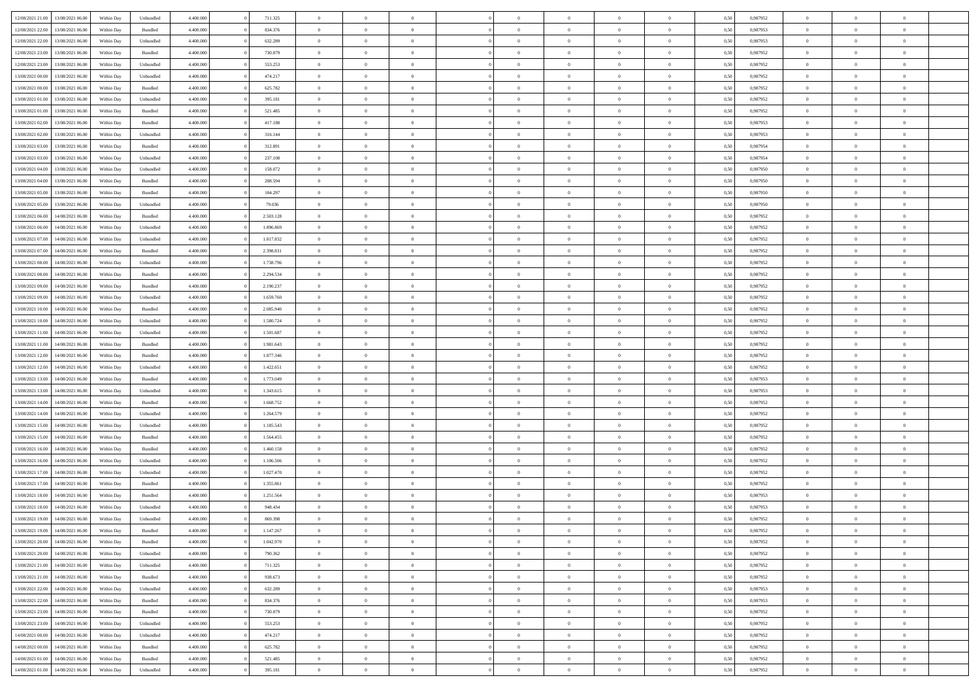|                  |                  |            |                    |           |           | $\overline{0}$ |                |                |                | $\Omega$       | $\Omega$       | $\theta$       |      |          | $\theta$       |                | $\theta$       |  |
|------------------|------------------|------------|--------------------|-----------|-----------|----------------|----------------|----------------|----------------|----------------|----------------|----------------|------|----------|----------------|----------------|----------------|--|
| 12/08/2021 21:00 | 13/08/2021 06:00 | Within Dav | Unbundled          | 4.400.000 | 711.325   |                | $\theta$       |                | $\Omega$       |                |                |                | 0.50 | 0,987952 |                | $\theta$       |                |  |
| 12/08/2021 22:00 | 13/08/2021 06:00 | Within Day | Bundled            | 4.400.000 | 834.376   | $\overline{0}$ | $\theta$       | $\overline{0}$ | $\overline{0}$ | $\bf{0}$       | $\overline{0}$ | $\bf{0}$       | 0,50 | 0,987953 | $\theta$       | $\theta$       | $\overline{0}$ |  |
| 12/08/2021 22:00 | 13/08/2021 06:00 | Within Day | Unbundled          | 4.400.000 | 632.289   | $\overline{0}$ | $\overline{0}$ | $\overline{0}$ | $\bf{0}$       | $\bf{0}$       | $\bf{0}$       | $\mathbf{0}$   | 0,50 | 0,987953 | $\overline{0}$ | $\overline{0}$ | $\overline{0}$ |  |
| 12/08/2021 23:00 | 13/08/2021 06:00 | Within Dav | Bundled            | 4.400.000 | 730.079   | $\overline{0}$ | $\overline{0}$ | $\overline{0}$ | $\overline{0}$ | $\bf{0}$       | $\overline{0}$ | $\overline{0}$ | 0.50 | 0,987952 | $\theta$       | $\theta$       | $\overline{0}$ |  |
|                  |                  |            |                    |           |           | $\overline{0}$ | $\theta$       | $\overline{0}$ |                | $\bf{0}$       | $\overline{0}$ |                |      |          | $\theta$       | $\theta$       | $\overline{0}$ |  |
| 12/08/2021 23:00 | 13/08/2021 06:00 | Within Day | Unbundled          | 4.400.000 | 553.253   |                |                |                | $\overline{0}$ |                |                | $\bf{0}$       | 0,50 | 0,987952 |                |                |                |  |
| 13/08/2021 00:00 | 13/08/2021 06:00 | Within Day | Unbundled          | 4.400.000 | 474.217   | $\overline{0}$ | $\overline{0}$ | $\overline{0}$ | $\bf{0}$       | $\overline{0}$ | $\overline{0}$ | $\mathbf{0}$   | 0,50 | 0,987952 | $\overline{0}$ | $\overline{0}$ | $\bf{0}$       |  |
| 13/08/2021 00:00 | 13/08/2021 06:00 | Within Dav | Bundled            | 4.400.000 | 625.782   | $\overline{0}$ | $\overline{0}$ | $\overline{0}$ | $\overline{0}$ | $\overline{0}$ | $\overline{0}$ | $\overline{0}$ | 0.50 | 0,987952 | $\theta$       | $\overline{0}$ | $\overline{0}$ |  |
| 13/08/2021 01:00 | 13/08/2021 06:00 | Within Day | Unbundled          | 4.400.000 | 395.181   | $\overline{0}$ | $\theta$       | $\overline{0}$ | $\overline{0}$ | $\bf{0}$       | $\overline{0}$ | $\bf{0}$       | 0,50 | 0,987952 | $\theta$       | $\theta$       | $\overline{0}$ |  |
| 13/08/2021 01:00 | 13/08/2021 06:00 | Within Day | Bundled            | 4.400.000 | 521.485   | $\overline{0}$ | $\overline{0}$ | $\overline{0}$ | $\bf{0}$       | $\bf{0}$       | $\bf{0}$       | $\bf{0}$       | 0,50 | 0,987952 | $\,0\,$        | $\overline{0}$ | $\overline{0}$ |  |
| 13/08/2021 02:00 | 13/08/2021 06:00 | Within Dav | Bundled            | 4.400.000 | 417.188   | $\overline{0}$ | $\overline{0}$ | $\overline{0}$ | $\overline{0}$ | $\overline{0}$ | $\overline{0}$ | $\overline{0}$ | 0.50 | 0,987953 | $\theta$       | $\overline{0}$ | $\overline{0}$ |  |
|                  |                  |            |                    |           |           |                |                |                |                |                |                |                |      |          |                |                |                |  |
| 13/08/2021 02:00 | 13/08/2021 06:00 | Within Day | Unbundled          | 4.400.000 | 316.144   | $\overline{0}$ | $\theta$       | $\overline{0}$ | $\overline{0}$ | $\bf{0}$       | $\overline{0}$ | $\bf{0}$       | 0,50 | 0,987953 | $\,$ 0 $\,$    | $\overline{0}$ | $\overline{0}$ |  |
| 13/08/2021 03:00 | 13/08/2021 06:00 | Within Day | Bundled            | 4.400.000 | 312.891   | $\overline{0}$ | $\overline{0}$ | $\overline{0}$ | $\bf{0}$       | $\bf{0}$       | $\bf{0}$       | $\bf{0}$       | 0,50 | 0,987954 | $\overline{0}$ | $\overline{0}$ | $\overline{0}$ |  |
| 13/08/2021 03:00 | 13/08/2021 06:00 | Within Day | Unbundled          | 4.400.000 | 237.108   | $\overline{0}$ | $\overline{0}$ | $\overline{0}$ | $\overline{0}$ | $\bf{0}$       | $\overline{0}$ | $\overline{0}$ | 0.50 | 0,987954 | $\theta$       | $\theta$       | $\overline{0}$ |  |
| 13/08/2021 04:00 | 13/08/2021 06:00 | Within Day | Unbundled          | 4.400.000 | 158.072   | $\overline{0}$ | $\theta$       | $\overline{0}$ | $\overline{0}$ | $\bf{0}$       | $\overline{0}$ | $\bf{0}$       | 0,50 | 0,987950 | $\theta$       | $\overline{0}$ | $\overline{0}$ |  |
| 13/08/2021 04:00 | 13/08/2021 06:00 | Within Day | Bundled            | 4.400.000 | 208.594   | $\overline{0}$ | $\overline{0}$ | $\overline{0}$ | $\bf{0}$       | $\overline{0}$ | $\overline{0}$ | $\mathbf{0}$   | 0,50 | 0,987950 | $\overline{0}$ | $\overline{0}$ | $\bf{0}$       |  |
|                  |                  |            |                    |           |           |                |                |                |                |                |                |                |      |          |                |                |                |  |
| 13/08/2021 05:00 | 13/08/2021 06:00 | Within Dav | Bundled            | 4.400.000 | 104.297   | $\overline{0}$ | $\overline{0}$ | $\overline{0}$ | $\overline{0}$ | $\overline{0}$ | $\overline{0}$ | $\overline{0}$ | 0.50 | 0,987950 | $\theta$       | $\overline{0}$ | $\overline{0}$ |  |
| 13/08/2021 05:00 | 13/08/2021 06:00 | Within Day | Unbundled          | 4.400.000 | 79.036    | $\overline{0}$ | $\theta$       | $\overline{0}$ | $\overline{0}$ | $\bf{0}$       | $\overline{0}$ | $\bf{0}$       | 0,50 | 0,987950 | $\theta$       | $\theta$       | $\overline{0}$ |  |
| 13/08/2021 06:00 | 14/08/2021 06:00 | Within Day | Bundled            | 4.400.000 | 2.503.128 | $\overline{0}$ | $\overline{0}$ | $\overline{0}$ | $\bf{0}$       | $\bf{0}$       | $\bf{0}$       | $\bf{0}$       | 0,50 | 0,987952 | $\,0\,$        | $\overline{0}$ | $\overline{0}$ |  |
| 13/08/2021 06:00 | 14/08/2021 06:00 | Within Day | Unbundled          | 4.400.000 | 1.896.869 | $\overline{0}$ | $\overline{0}$ | $\overline{0}$ | $\overline{0}$ | $\overline{0}$ | $\overline{0}$ | $\overline{0}$ | 0.50 | 0,987952 | $\theta$       | $\overline{0}$ | $\overline{0}$ |  |
| 13/08/2021 07:00 | 14/08/2021 06:00 | Within Day | Unbundled          | 4.400.000 | 1.817.832 | $\overline{0}$ | $\theta$       | $\overline{0}$ | $\overline{0}$ | $\bf{0}$       | $\overline{0}$ | $\bf{0}$       | 0,50 | 0,987952 | $\,$ 0 $\,$    | $\theta$       | $\overline{0}$ |  |
| 13/08/2021 07:00 | 14/08/2021 06:00 | Within Day | Bundled            | 4.400.000 | 2.398.831 | $\overline{0}$ | $\overline{0}$ | $\overline{0}$ | $\overline{0}$ | $\bf{0}$       | $\overline{0}$ | $\bf{0}$       | 0,50 | 0,987952 | $\bf{0}$       | $\overline{0}$ | $\overline{0}$ |  |
|                  |                  |            |                    |           |           |                |                |                |                |                |                |                |      |          |                |                |                |  |
| 13/08/2021 08:00 | 14/08/2021 06:00 | Within Day | Unbundled          | 4.400.000 | 1.738.796 | $\overline{0}$ | $\overline{0}$ | $\overline{0}$ | $\overline{0}$ | $\bf{0}$       | $\overline{0}$ | $\overline{0}$ | 0.50 | 0,987952 | $\theta$       | $\theta$       | $\overline{0}$ |  |
| 13/08/2021 08:00 | 14/08/2021 06:00 | Within Day | Bundled            | 4.400.000 | 2.294.534 | $\overline{0}$ | $\theta$       | $\overline{0}$ | $\overline{0}$ | $\bf{0}$       | $\overline{0}$ | $\bf{0}$       | 0,50 | 0,987952 | $\,$ 0 $\,$    | $\overline{0}$ | $\overline{0}$ |  |
| 13/08/2021 09:00 | 14/08/2021 06:00 | Within Day | Bundled            | 4.400.000 | 2.190.237 | $\overline{0}$ | $\bf{0}$       | $\overline{0}$ | $\overline{0}$ | $\overline{0}$ | $\overline{0}$ | $\mathbf{0}$   | 0,50 | 0,987952 | $\overline{0}$ | $\overline{0}$ | $\bf{0}$       |  |
| 13/08/2021 09:00 | 14/08/2021 06:00 | Within Dav | Unbundled          | 4.400.000 | 1.659.760 | $\overline{0}$ | $\overline{0}$ | $\overline{0}$ | $\overline{0}$ | $\overline{0}$ | $\overline{0}$ | $\overline{0}$ | 0.50 | 0,987952 | $\theta$       | $\overline{0}$ | $\overline{0}$ |  |
| 13/08/2021 10:00 | 14/08/2021 06:00 | Within Day | Bundled            | 4.400.000 | 2.085.940 | $\overline{0}$ | $\theta$       | $\overline{0}$ | $\overline{0}$ | $\bf{0}$       | $\overline{0}$ | $\bf{0}$       | 0,50 | 0,987952 | $\theta$       | $\theta$       | $\overline{0}$ |  |
| 13/08/2021 10:00 | 14/08/2021 06:00 | Within Day | Unbundled          | 4.400.000 | 1.580.724 | $\overline{0}$ | $\overline{0}$ | $\overline{0}$ | $\overline{0}$ | $\bf{0}$       | $\overline{0}$ | $\bf{0}$       | 0,50 | 0,987952 | $\,0\,$        | $\overline{0}$ | $\overline{0}$ |  |
|                  |                  |            |                    |           |           |                | $\overline{0}$ |                |                | $\overline{0}$ |                |                |      |          | $\theta$       | $\overline{0}$ | $\overline{0}$ |  |
| 13/08/2021 11:00 | 14/08/2021 06:00 | Within Day | Unbundled          | 4.400.000 | 1.501.687 | $\overline{0}$ |                | $\overline{0}$ | $\overline{0}$ |                | $\overline{0}$ | $\overline{0}$ | 0.50 | 0,987952 |                |                |                |  |
| 13/08/2021 11:00 | 14/08/2021 06:00 | Within Day | Bundled            | 4.400.000 | 1.981.643 | $\overline{0}$ | $\theta$       | $\overline{0}$ | $\overline{0}$ | $\bf{0}$       | $\overline{0}$ | $\bf{0}$       | 0,50 | 0,987952 | $\,$ 0 $\,$    | $\overline{0}$ | $\overline{0}$ |  |
| 13/08/2021 12:00 | 14/08/2021 06:00 | Within Day | Bundled            | 4.400.000 | 1.877.346 | $\overline{0}$ | $\overline{0}$ | $\overline{0}$ | $\overline{0}$ | $\bf{0}$       | $\overline{0}$ | $\bf{0}$       | 0,50 | 0,987952 | $\overline{0}$ | $\overline{0}$ | $\overline{0}$ |  |
| 13/08/2021 12:00 | 14/08/2021 06:00 | Within Day | Unbundled          | 4.400.000 | 1.422.651 | $\overline{0}$ | $\Omega$       | $\Omega$       | $\Omega$       | $\Omega$       | $\overline{0}$ | $\overline{0}$ | 0.50 | 0,987952 | $\,0\,$        | $\theta$       | $\theta$       |  |
| 13/08/2021 13:00 | 14/08/2021 06:00 | Within Day | Bundled            | 4.400.000 | 1.773.049 | $\overline{0}$ | $\theta$       | $\overline{0}$ | $\overline{0}$ | $\bf{0}$       | $\overline{0}$ | $\bf{0}$       | 0,50 | 0,987953 | $\theta$       | $\theta$       | $\overline{0}$ |  |
| 13/08/2021 13:00 | 14/08/2021 06:00 | Within Day | Unbundled          | 4.400.000 | 1.343.615 | $\overline{0}$ | $\overline{0}$ | $\overline{0}$ | $\overline{0}$ | $\bf{0}$       | $\overline{0}$ | $\mathbf{0}$   | 0,50 | 0,987953 | $\overline{0}$ | $\overline{0}$ | $\bf{0}$       |  |
| 13/08/2021 14:00 | 14/08/2021 06:00 |            |                    | 4.400,000 |           | $\overline{0}$ | $\Omega$       | $\Omega$       | $\Omega$       | $\bf{0}$       | $\overline{0}$ | $\overline{0}$ | 0.50 |          | $\,0\,$        | $\theta$       | $\theta$       |  |
|                  |                  | Within Day | Bundled            |           | 1.668.752 |                |                |                |                |                |                |                |      | 0,987952 |                |                |                |  |
| 13/08/2021 14:00 | 14/08/2021 06:00 | Within Day | Unbundled          | 4.400.000 | 1.264.579 | $\overline{0}$ | $\theta$       | $\overline{0}$ | $\overline{0}$ | $\bf{0}$       | $\overline{0}$ | $\bf{0}$       | 0,50 | 0,987952 | $\,$ 0 $\,$    | $\theta$       | $\overline{0}$ |  |
| 13/08/2021 15:00 | 14/08/2021 06:00 | Within Day | Unbundled          | 4.400.000 | 1.185.543 | $\overline{0}$ | $\overline{0}$ | $\overline{0}$ | $\overline{0}$ | $\bf{0}$       | $\overline{0}$ | $\bf{0}$       | 0,50 | 0,987952 | $\,0\,$        | $\overline{0}$ | $\overline{0}$ |  |
| 13/08/2021 15:00 | 14/08/2021 06:00 | Within Day | Bundled            | 4.400,000 | 1.564.455 | $\overline{0}$ | $\Omega$       | $\Omega$       | $\Omega$       | $\theta$       | $\overline{0}$ | $\overline{0}$ | 0.50 | 0.987952 | $\theta$       | $\theta$       | $\theta$       |  |
| 13/08/2021 16:00 | 14/08/2021 06:00 | Within Day | Bundled            | 4.400.000 | 1.460.158 | $\overline{0}$ | $\theta$       | $\overline{0}$ | $\overline{0}$ | $\bf{0}$       | $\overline{0}$ | $\bf{0}$       | 0,50 | 0,987952 | $\,$ 0 $\,$    | $\overline{0}$ | $\overline{0}$ |  |
| 13/08/2021 16:00 | 14/08/2021 06:00 | Within Day | Unbundled          | 4.400.000 | 1.106.506 | $\overline{0}$ | $\overline{0}$ | $\overline{0}$ | $\bf{0}$       | $\bf{0}$       | $\bf{0}$       | $\bf{0}$       | 0,50 | 0,987952 | $\overline{0}$ | $\overline{0}$ | $\overline{0}$ |  |
|                  |                  |            |                    |           |           |                |                |                |                |                |                |                |      |          |                |                |                |  |
| 13/08/2021 17:00 | 14/08/2021 06:00 | Within Day | Unbundled          | 4.400,000 | 1.027.470 | $\overline{0}$ | $\Omega$       | $\overline{0}$ | $\Omega$       | $\overline{0}$ | $\overline{0}$ | $\overline{0}$ | 0.50 | 0,987952 | $\,0\,$        | $\theta$       | $\theta$       |  |
| 13/08/2021 17:00 | 14/08/2021 06:00 | Within Day | Bundled            | 4.400.000 | 1.355.861 | $\overline{0}$ | $\theta$       | $\overline{0}$ | $\overline{0}$ | $\,$ 0         | $\overline{0}$ | $\bf{0}$       | 0,50 | 0,987952 | $\,$ 0 $\,$    | $\overline{0}$ | $\overline{0}$ |  |
| 13/08/2021 18:00 | 14/08/2021 06:00 | Within Day | Bundled            | 4.400.000 | 1.251.564 | $\overline{0}$ | $\overline{0}$ | $\overline{0}$ | $\bf{0}$       | $\bf{0}$       | $\bf{0}$       | $\mathbf{0}$   | 0,50 | 0,987953 | $\overline{0}$ | $\overline{0}$ | $\bf{0}$       |  |
| 13/08/2021 18:00 | 14/08/2021 06:00 | Within Day | Unbundled          | 4.400,000 | 948,434   | $\overline{0}$ | $\Omega$       | $\Omega$       | $\Omega$       | $\Omega$       | $\Omega$       | $\overline{0}$ | 0.50 | 0.987953 | $\theta$       | $\theta$       | $\theta$       |  |
| 13/08/2021 19:00 | 14/08/2021 06:00 | Within Day | Unbundled          | 4.400.000 | 869.398   | $\overline{0}$ | $\overline{0}$ | $\overline{0}$ | $\bf{0}$       | $\,$ 0         | $\bf{0}$       | $\bf{0}$       | 0,50 | 0,987952 | $\,0\,$        | $\overline{0}$ | $\overline{0}$ |  |
| 13/08/2021 19:00 | 14/08/2021 06:00 | Within Day | $\mathbf B$ undled | 4.400.000 | 1.147.267 | $\bf{0}$       | $\bf{0}$       |                |                |                |                |                | 0,50 | 0,987952 | $\bf{0}$       | $\overline{0}$ |                |  |
| 13/08/2021 20:00 | 14/08/2021 06:00 | Within Day | Bundled            | 4.400.000 | 1.042.970 | $\overline{0}$ | $\overline{0}$ | $\overline{0}$ | $\Omega$       | $\overline{0}$ | $\overline{0}$ | $\overline{0}$ | 0,50 | 0.987952 | $\theta$       | $\theta$       | $\theta$       |  |
|                  |                  |            |                    |           |           |                |                |                |                |                |                |                |      |          |                |                |                |  |
| 13/08/2021 20:00 | 14/08/2021 06:00 | Within Day | Unbundled          | 4.400.000 | 790.362   | $\overline{0}$ | $\bf{0}$       | $\overline{0}$ | $\bf{0}$       | $\,$ 0 $\,$    | $\overline{0}$ | $\,$ 0 $\,$    | 0,50 | 0,987952 | $\,$ 0 $\,$    | $\,$ 0 $\,$    | $\,$ 0         |  |
| 13/08/2021 21:00 | 14/08/2021 06:00 | Within Day | Unbundled          | 4.400.000 | 711.325   | $\overline{0}$ | $\overline{0}$ | $\overline{0}$ | $\overline{0}$ | $\overline{0}$ | $\overline{0}$ | $\mathbf{0}$   | 0,50 | 0,987952 | $\overline{0}$ | $\overline{0}$ | $\overline{0}$ |  |
| 13/08/2021 21:00 | 14/08/2021 06:00 | Within Day | $\mathbf B$ undled | 4.400.000 | 938.673   | $\overline{0}$ | $\overline{0}$ | $\overline{0}$ | $\Omega$       | $\overline{0}$ | $\overline{0}$ | $\overline{0}$ | 0,50 | 0,987952 | $\overline{0}$ | $\,$ 0 $\,$    | $\overline{0}$ |  |
| 13/08/2021 22:00 | 14/08/2021 06:00 | Within Day | Unbundled          | 4.400.000 | 632.289   | $\overline{0}$ | $\,$ 0         | $\overline{0}$ | $\overline{0}$ | $\,$ 0 $\,$    | $\overline{0}$ | $\,$ 0 $\,$    | 0,50 | 0,987953 | $\,$ 0 $\,$    | $\overline{0}$ | $\,$ 0         |  |
| 13/08/2021 22:00 | 14/08/2021 06:00 | Within Day | Bundled            | 4.400.000 | 834.376   | $\overline{0}$ | $\overline{0}$ | $\overline{0}$ | $\overline{0}$ | $\overline{0}$ | $\overline{0}$ | $\mathbf{0}$   | 0,50 | 0,987953 | $\overline{0}$ | $\overline{0}$ | $\overline{0}$ |  |
| 13/08/2021 23:00 | 14/08/2021 06:00 | Within Day | Bundled            | 4.400.000 | 730.079   | $\overline{0}$ | $\overline{0}$ | $\overline{0}$ | $\overline{0}$ | $\overline{0}$ | $\overline{0}$ | $\overline{0}$ | 0.50 | 0,987952 | $\overline{0}$ | $\theta$       | $\overline{0}$ |  |
| 13/08/2021 23:00 | 14/08/2021 06:00 | Within Day | Unbundled          | 4.400.000 | 553.253   | $\overline{0}$ | $\,$ 0         | $\overline{0}$ | $\overline{0}$ | $\bf{0}$       | $\overline{0}$ | $\bf{0}$       | 0,50 | 0,987952 | $\,$ 0 $\,$    | $\overline{0}$ | $\overline{0}$ |  |
|                  |                  |            |                    |           |           |                |                |                |                |                |                |                |      |          |                |                |                |  |
| 14/08/2021 00:00 | 14/08/2021 06:00 | Within Day | Unbundled          | 4.400.000 | 474.217   | $\overline{0}$ | $\overline{0}$ | $\overline{0}$ | $\overline{0}$ | $\overline{0}$ | $\overline{0}$ | $\mathbf{0}$   | 0,50 | 0,987952 | $\overline{0}$ | $\overline{0}$ | $\bf{0}$       |  |
| 14/08/2021 00:00 | 14/08/2021 06:00 | Within Day | Bundled            | 4.400,000 | 625.782   | $\overline{0}$ | $\overline{0}$ | $\overline{0}$ | $\Omega$       | $\overline{0}$ | $\overline{0}$ | $\overline{0}$ | 0.50 | 0,987952 | $\overline{0}$ | $\overline{0}$ | $\overline{0}$ |  |
| 14/08/2021 01:00 | 14/08/2021 06:00 | Within Day | Bundled            | 4.400.000 | 521.485   | $\overline{0}$ | $\bf{0}$       | $\overline{0}$ | $\bf{0}$       | $\bf{0}$       | $\bf{0}$       | $\mathbf{0}$   | 0,50 | 0,987952 | $\,$ 0 $\,$    | $\,$ 0 $\,$    | $\bf{0}$       |  |
| 14/08/2021 01:00 | 14/08/2021 06:00 | Within Day | Unbundled          | 4.400.000 | 395.181   | $\overline{0}$ | $\overline{0}$ | $\overline{0}$ | $\overline{0}$ | $\overline{0}$ | $\bf{0}$       | $\mathbf{0}$   | 0,50 | 0,987952 | $\overline{0}$ | $\bf{0}$       | $\overline{0}$ |  |
|                  |                  |            |                    |           |           |                |                |                |                |                |                |                |      |          |                |                |                |  |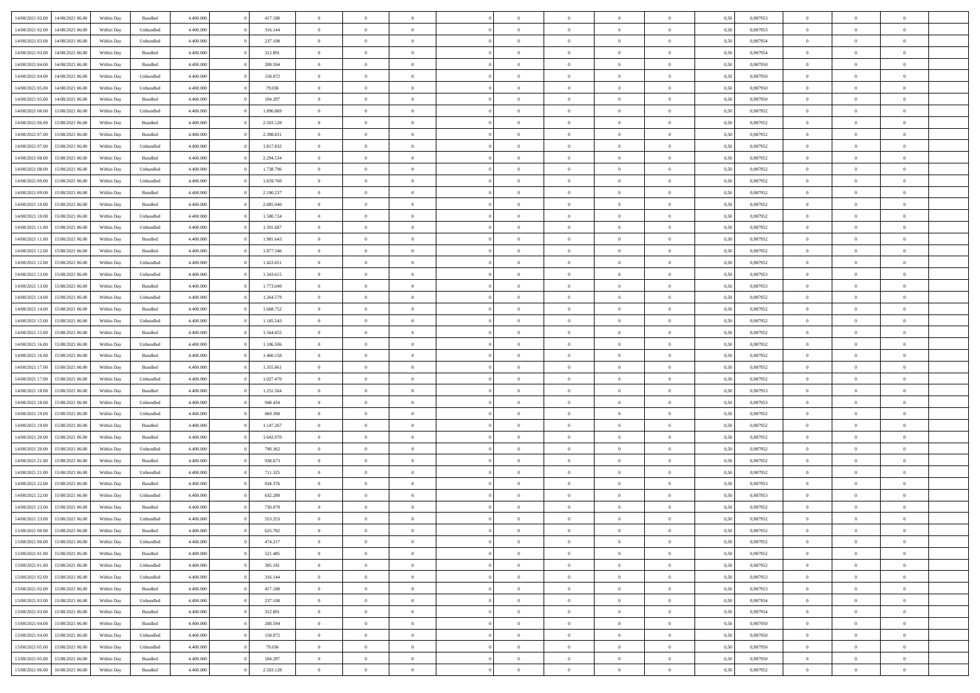| 14/08/2021 02:00 | 14/08/2021 06:00 | Within Day | Bundled            | 4.400.000 | 417.188   | $\overline{0}$ | $\Omega$       |                | $\Omega$       | $\Omega$       | $\Omega$       | $\theta$       | 0.50 | 0.987953 | $\theta$       | $\theta$       | $\theta$       |  |
|------------------|------------------|------------|--------------------|-----------|-----------|----------------|----------------|----------------|----------------|----------------|----------------|----------------|------|----------|----------------|----------------|----------------|--|
| 14/08/2021 02:00 | 14/08/2021 06:00 | Within Day | Unbundled          | 4.400.000 | 316.144   | $\overline{0}$ | $\theta$       | $\overline{0}$ | $\overline{0}$ | $\bf{0}$       | $\overline{0}$ | $\bf{0}$       | 0,50 | 0,987953 | $\theta$       | $\theta$       | $\overline{0}$ |  |
| 14/08/2021 03:00 | 14/08/2021 06:00 | Within Day | Unbundled          | 4.400.000 | 237.108   | $\overline{0}$ | $\overline{0}$ | $\overline{0}$ | $\bf{0}$       | $\bf{0}$       | $\bf{0}$       | $\bf{0}$       | 0,50 | 0,987954 | $\overline{0}$ | $\overline{0}$ | $\overline{0}$ |  |
| 14/08/2021 03:00 | 14/08/2021 06:00 | Within Dav | Bundled            | 4.400.000 | 312.891   | $\overline{0}$ | $\overline{0}$ | $\overline{0}$ | $\overline{0}$ | $\bf{0}$       | $\overline{0}$ | $\overline{0}$ | 0.50 | 0,987954 | $\theta$       | $\theta$       | $\overline{0}$ |  |
| 14/08/2021 04:00 | 14/08/2021 06:00 | Within Day | Bundled            | 4.400.000 | 208.594   | $\overline{0}$ | $\theta$       | $\overline{0}$ | $\overline{0}$ | $\bf{0}$       | $\overline{0}$ | $\bf{0}$       | 0,50 | 0,987950 | $\theta$       | $\theta$       | $\overline{0}$ |  |
|                  |                  |            |                    |           |           |                |                |                |                |                |                |                |      |          |                |                |                |  |
| 14/08/2021 04:00 | 14/08/2021 06:00 | Within Day | Unbundled          | 4.400.000 | 158.072   | $\overline{0}$ | $\bf{0}$       | $\overline{0}$ | $\bf{0}$       | $\overline{0}$ | $\overline{0}$ | $\mathbf{0}$   | 0,50 | 0,987950 | $\overline{0}$ | $\overline{0}$ | $\bf{0}$       |  |
| 14/08/2021 05:00 | 14/08/2021 06:00 | Within Dav | Unbundled          | 4.400.000 | 79.036    | $\overline{0}$ | $\overline{0}$ | $\overline{0}$ | $\overline{0}$ | $\overline{0}$ | $\overline{0}$ | $\overline{0}$ | 0.50 | 0,987950 | $\theta$       | $\overline{0}$ | $\overline{0}$ |  |
| 14/08/2021 05:00 | 14/08/2021 06:00 | Within Day | Bundled            | 4.400.000 | 104.297   | $\overline{0}$ | $\theta$       | $\overline{0}$ | $\overline{0}$ | $\bf{0}$       | $\overline{0}$ | $\bf{0}$       | 0,50 | 0,987950 | $\theta$       | $\theta$       | $\overline{0}$ |  |
| 14/08/2021 06:00 | 15/08/2021 06:00 | Within Day | Unbundled          | 4.400.000 | 1.896.869 | $\overline{0}$ | $\overline{0}$ | $\overline{0}$ | $\bf{0}$       | $\bf{0}$       | $\bf{0}$       | $\bf{0}$       | 0,50 | 0,987952 | $\,0\,$        | $\overline{0}$ | $\overline{0}$ |  |
| 14/08/2021 06:00 | 15/08/2021 06:00 | Within Dav | Bundled            | 4.400.000 | 2.503.128 | $\overline{0}$ | $\overline{0}$ | $\overline{0}$ | $\overline{0}$ | $\overline{0}$ | $\overline{0}$ | $\overline{0}$ | 0.50 | 0,987952 | $\theta$       | $\overline{0}$ | $\overline{0}$ |  |
| 14/08/2021 07:00 | 15/08/2021 06:00 | Within Day | Bundled            | 4.400.000 | 2.398.831 | $\overline{0}$ | $\theta$       | $\overline{0}$ | $\overline{0}$ | $\bf{0}$       | $\overline{0}$ | $\bf{0}$       | 0,50 | 0,987952 | $\,$ 0 $\,$    | $\theta$       | $\overline{0}$ |  |
| 14/08/2021 07:00 | 15/08/2021 06:00 | Within Day | Unbundled          | 4.400.000 | 1.817.832 | $\overline{0}$ | $\overline{0}$ | $\overline{0}$ | $\bf{0}$       | $\bf{0}$       | $\bf{0}$       | $\bf{0}$       | 0,50 | 0,987952 | $\overline{0}$ | $\overline{0}$ | $\overline{0}$ |  |
|                  |                  |            |                    |           |           |                |                |                |                |                |                |                |      |          |                |                |                |  |
| 14/08/2021 08:00 | 15/08/2021 06:00 | Within Day | Bundled            | 4.400.000 | 2.294.534 | $\overline{0}$ | $\overline{0}$ | $\overline{0}$ | $\overline{0}$ | $\bf{0}$       | $\overline{0}$ | $\overline{0}$ | 0.50 | 0,987952 | $\theta$       | $\theta$       | $\overline{0}$ |  |
| 14/08/2021 08:00 | 15/08/2021 06:00 | Within Day | Unbundled          | 4.400.000 | 1.738.796 | $\overline{0}$ | $\theta$       | $\overline{0}$ | $\overline{0}$ | $\bf{0}$       | $\overline{0}$ | $\bf{0}$       | 0,50 | 0,987952 | $\theta$       | $\theta$       | $\overline{0}$ |  |
| 14/08/2021 09:00 | 15/08/2021 06:00 | Within Day | Unbundled          | 4.400.000 | 1.659.760 | $\overline{0}$ | $\overline{0}$ | $\overline{0}$ | $\bf{0}$       | $\overline{0}$ | $\overline{0}$ | $\mathbf{0}$   | 0,50 | 0,987952 | $\overline{0}$ | $\overline{0}$ | $\bf{0}$       |  |
| 14/08/2021 09:00 | 15/08/2021 06:00 | Within Dav | Bundled            | 4.400.000 | 2.190.237 | $\overline{0}$ | $\overline{0}$ | $\overline{0}$ | $\overline{0}$ | $\overline{0}$ | $\overline{0}$ | $\overline{0}$ | 0.50 | 0,987952 | $\theta$       | $\overline{0}$ | $\overline{0}$ |  |
| 14/08/2021 10:00 | 15/08/2021 06:00 | Within Day | Bundled            | 4.400.000 | 2.085.940 | $\overline{0}$ | $\theta$       | $\overline{0}$ | $\overline{0}$ | $\bf{0}$       | $\overline{0}$ | $\bf{0}$       | 0,50 | 0,987952 | $\theta$       | $\theta$       | $\overline{0}$ |  |
| 14/08/2021 10:00 | 15/08/2021 06:00 | Within Day | Unbundled          | 4.400.000 | 1.580.724 | $\overline{0}$ | $\overline{0}$ | $\overline{0}$ | $\bf{0}$       | $\bf{0}$       | $\bf{0}$       | $\bf{0}$       | 0,50 | 0,987952 | $\,0\,$        | $\overline{0}$ | $\overline{0}$ |  |
| 14/08/2021 11:00 | 15/08/2021 06:00 |            | Unbundled          | 4.400.000 | 1.501.687 | $\overline{0}$ | $\overline{0}$ | $\overline{0}$ | $\overline{0}$ | $\overline{0}$ | $\overline{0}$ | $\overline{0}$ | 0.50 | 0,987952 | $\theta$       | $\overline{0}$ | $\overline{0}$ |  |
|                  |                  | Within Day |                    |           |           |                |                |                |                |                |                |                |      |          |                |                |                |  |
| 14/08/2021 11:00 | 15/08/2021 06:00 | Within Day | Bundled            | 4.400.000 | 1.981.643 | $\overline{0}$ | $\theta$       | $\overline{0}$ | $\overline{0}$ | $\bf{0}$       | $\overline{0}$ | $\bf{0}$       | 0,50 | 0,987952 | $\,$ 0 $\,$    | $\theta$       | $\overline{0}$ |  |
| 14/08/2021 12:00 | 15/08/2021 06:00 | Within Day | Bundled            | 4.400.000 | 1.877.346 | $\overline{0}$ | $\overline{0}$ | $\overline{0}$ | $\bf{0}$       | $\bf{0}$       | $\bf{0}$       | $\bf{0}$       | 0,50 | 0,987952 | $\bf{0}$       | $\overline{0}$ | $\overline{0}$ |  |
| 14/08/2021 12:00 | 15/08/2021 06:00 | Within Day | Unbundled          | 4.400.000 | 1.422.651 | $\overline{0}$ | $\overline{0}$ | $\overline{0}$ | $\overline{0}$ | $\bf{0}$       | $\overline{0}$ | $\overline{0}$ | 0.50 | 0,987952 | $\theta$       | $\theta$       | $\overline{0}$ |  |
| 14/08/2021 13:00 | 15/08/2021 06:00 | Within Day | Unbundled          | 4.400.000 | 1.343.615 | $\overline{0}$ | $\theta$       | $\overline{0}$ | $\overline{0}$ | $\bf{0}$       | $\overline{0}$ | $\bf{0}$       | 0,50 | 0,987953 | $\,$ 0 $\,$    | $\overline{0}$ | $\overline{0}$ |  |
| 14/08/2021 13:00 | 15/08/2021 06:00 | Within Day | Bundled            | 4.400.000 | 1.773.049 | $\overline{0}$ | $\bf{0}$       | $\overline{0}$ | $\bf{0}$       | $\overline{0}$ | $\overline{0}$ | $\mathbf{0}$   | 0,50 | 0,987953 | $\overline{0}$ | $\overline{0}$ | $\bf{0}$       |  |
| 14/08/2021 14:00 | 15/08/2021 06:00 | Within Dav | Unbundled          | 4.400.000 | 1.264.579 | $\overline{0}$ | $\overline{0}$ | $\overline{0}$ | $\overline{0}$ | $\overline{0}$ | $\overline{0}$ | $\overline{0}$ | 0.50 | 0,987952 | $\theta$       | $\overline{0}$ | $\overline{0}$ |  |
|                  |                  |            |                    |           |           | $\overline{0}$ | $\theta$       | $\overline{0}$ |                | $\bf{0}$       | $\overline{0}$ |                |      |          | $\theta$       | $\theta$       | $\overline{0}$ |  |
| 14/08/2021 14:00 | 15/08/2021 06:00 | Within Day | Bundled            | 4.400.000 | 1.668.752 |                |                |                | $\overline{0}$ |                |                | $\bf{0}$       | 0,50 | 0,987952 |                |                |                |  |
| 14/08/2021 15:00 | 15/08/2021 06:00 | Within Day | Unbundled          | 4.400.000 | 1.185.543 | $\overline{0}$ | $\overline{0}$ | $\overline{0}$ | $\bf{0}$       | $\bf{0}$       | $\bf{0}$       | $\bf{0}$       | 0,50 | 0,987952 | $\,0\,$        | $\overline{0}$ | $\overline{0}$ |  |
| 14/08/2021 15:00 | 15/08/2021 06:00 | Within Day | Bundled            | 4.400.000 | 1.564.455 | $\overline{0}$ | $\overline{0}$ | $\overline{0}$ | $\overline{0}$ | $\overline{0}$ | $\overline{0}$ | $\overline{0}$ | 0.50 | 0,987952 | $\theta$       | $\overline{0}$ | $\overline{0}$ |  |
| 14/08/2021 16:00 | 15/08/2021 06:00 | Within Day | Unbundled          | 4.400.000 | 1.106.506 | $\overline{0}$ | $\theta$       | $\overline{0}$ | $\overline{0}$ | $\bf{0}$       | $\overline{0}$ | $\bf{0}$       | 0,50 | 0,987952 | $\,$ 0 $\,$    | $\overline{0}$ | $\overline{0}$ |  |
| 14/08/2021 16:00 | 15/08/2021 06:00 | Within Day | Bundled            | 4.400.000 | 1.460.158 | $\overline{0}$ | $\overline{0}$ | $\overline{0}$ | $\bf{0}$       | $\bf{0}$       | $\bf{0}$       | $\bf{0}$       | 0,50 | 0,987952 | $\overline{0}$ | $\overline{0}$ | $\overline{0}$ |  |
| 14/08/2021 17:00 | 15/08/2021 06:00 | Within Day | Bundled            | 4.400,000 | 1.355.861 | $\overline{0}$ | $\Omega$       | $\Omega$       | $\Omega$       | $\Omega$       | $\Omega$       | $\overline{0}$ | 0.50 | 0,987952 | $\,0\,$        | $\theta$       | $\theta$       |  |
| 14/08/2021 17:00 | 15/08/2021 06:00 | Within Day | Unbundled          | 4.400.000 | 1.027.470 | $\overline{0}$ | $\theta$       | $\overline{0}$ | $\overline{0}$ | $\bf{0}$       | $\overline{0}$ | $\bf{0}$       | 0,50 | 0,987952 | $\theta$       | $\theta$       | $\overline{0}$ |  |
|                  |                  |            |                    |           |           |                |                |                |                |                |                |                |      |          |                |                |                |  |
| 14/08/2021 18:00 | 15/08/2021 06:00 | Within Day | Bundled            | 4.400.000 | 1.251.564 | $\overline{0}$ | $\overline{0}$ | $\overline{0}$ | $\bf{0}$       | $\bf{0}$       | $\overline{0}$ | $\mathbf{0}$   | 0,50 | 0,987953 | $\bf{0}$       | $\overline{0}$ | $\bf{0}$       |  |
| 14/08/2021 18:00 | 15/08/2021 06:00 | Within Day | Unbundled          | 4.400,000 | 948,434   | $\overline{0}$ | $\Omega$       | $\Omega$       | $\Omega$       | $\bf{0}$       | $\overline{0}$ | $\overline{0}$ | 0.50 | 0,987953 | $\theta$       | $\theta$       | $\theta$       |  |
| 14/08/2021 19:00 | 15/08/2021 06:00 | Within Day | Unbundled          | 4.400.000 | 869.398   | $\overline{0}$ | $\theta$       | $\overline{0}$ | $\overline{0}$ | $\bf{0}$       | $\overline{0}$ | $\bf{0}$       | 0,50 | 0,987952 | $\theta$       | $\theta$       | $\overline{0}$ |  |
| 14/08/2021 19:00 | 15/08/2021 06:00 | Within Day | Bundled            | 4.400.000 | 1.147.267 | $\overline{0}$ | $\overline{0}$ | $\overline{0}$ | $\overline{0}$ | $\bf{0}$       | $\overline{0}$ | $\bf{0}$       | 0,50 | 0,987952 | $\,0\,$        | $\overline{0}$ | $\overline{0}$ |  |
| 14/08/2021 20:00 | 15/08/2021 06:00 | Within Day | Bundled            | 4.400,000 | 1.042.970 | $\overline{0}$ | $\Omega$       | $\Omega$       | $\Omega$       | $\theta$       | $\theta$       | $\overline{0}$ | 0.50 | 0.987952 | $\theta$       | $\theta$       | $\theta$       |  |
| 14/08/2021 20:00 | 15/08/2021 06:00 | Within Day | Unbundled          | 4.400.000 | 790.362   | $\overline{0}$ | $\theta$       | $\overline{0}$ | $\overline{0}$ | $\bf{0}$       | $\overline{0}$ | $\bf{0}$       | 0,50 | 0,987952 | $\,$ 0 $\,$    | $\overline{0}$ | $\overline{0}$ |  |
| 14/08/2021 21.00 | 15/08/2021 06:00 | Within Day | Bundled            | 4.400.000 | 938.673   | $\overline{0}$ | $\overline{0}$ | $\overline{0}$ | $\overline{0}$ | $\bf{0}$       | $\overline{0}$ | $\bf{0}$       | 0,50 | 0,987952 | $\bf{0}$       | $\overline{0}$ | $\overline{0}$ |  |
| 14/08/2021 21:00 | 15/08/2021 06:00 |            | Unbundled          | 4.400,000 | 711.325   | $\overline{0}$ | $\Omega$       | $\Omega$       | $\Omega$       | $\Omega$       | $\overline{0}$ | $\overline{0}$ | 0.50 | 0,987952 | $\,0\,$        | $\theta$       | $\theta$       |  |
|                  |                  | Within Day |                    |           |           |                |                |                |                |                |                |                |      |          |                |                |                |  |
| 14/08/2021 22:00 | 15/08/2021 06:00 | Within Day | Bundled            | 4.400.000 | 834.376   | $\overline{0}$ | $\theta$       | $\overline{0}$ | $\overline{0}$ | $\bf{0}$       | $\overline{0}$ | $\bf{0}$       | 0,50 | 0,987953 | $\,$ 0 $\,$    | $\overline{0}$ | $\overline{0}$ |  |
| 14/08/2021 22.00 | 15/08/2021 06:00 | Within Day | Unbundled          | 4.400.000 | 632.289   | $\overline{0}$ | $\overline{0}$ | $\overline{0}$ | $\overline{0}$ | $\bf{0}$       | $\overline{0}$ | $\mathbf{0}$   | 0,50 | 0,987953 | $\overline{0}$ | $\overline{0}$ | $\bf{0}$       |  |
| 14/08/2021 23:00 | 15/08/2021 06:00 | Within Day | Bundled            | 4.400,000 | 730,079   | $\overline{0}$ | $\Omega$       | $\Omega$       | $\Omega$       | $\Omega$       | $\Omega$       | $\overline{0}$ | 0.50 | 0.987952 | $\theta$       | $\theta$       | $\theta$       |  |
| 14/08/2021 23:00 | 15/08/2021 06:00 | Within Day | Unbundled          | 4.400.000 | 553.253   | $\overline{0}$ | $\overline{0}$ | $\overline{0}$ | $\bf{0}$       | $\,$ 0         | $\overline{0}$ | $\bf{0}$       | 0,50 | 0,987952 | $\,0\,$        | $\overline{0}$ | $\overline{0}$ |  |
| 15/08/2021 00:00 | 15/08/2021 06:00 | Within Day | $\mathbf B$ undled | 4.400.000 | 625.782   | $\bf{0}$       | $\bf{0}$       |                |                |                |                |                | 0,50 | 0,987952 | $\bf{0}$       | $\overline{0}$ |                |  |
| 15/08/2021 00:00 | 15/08/2021 06:00 | Within Day | Unbundled          | 4.400.000 | 474.217   | $\overline{0}$ | $\overline{0}$ | $\overline{0}$ | $\Omega$       | $\overline{0}$ | $\overline{0}$ | $\overline{0}$ | 0.50 | 0.987952 | $\theta$       | $\theta$       | $\theta$       |  |
| 15/08/2021 01:00 | 15/08/2021 06:00 | Within Day | Bundled            | 4.400.000 | 521.485   | $\overline{0}$ | $\bf{0}$       | $\overline{0}$ | $\overline{0}$ | $\,$ 0 $\,$    | $\overline{0}$ | $\,$ 0 $\,$    | 0,50 | 0,987952 | $\,$ 0 $\,$    | $\,$ 0 $\,$    | $\,$ 0         |  |
|                  |                  |            |                    |           |           |                |                |                |                |                |                |                |      |          |                |                |                |  |
| 15/08/2021 01:00 | 15/08/2021 06:00 | Within Day | Unbundled          | 4.400.000 | 395.181   | $\overline{0}$ | $\overline{0}$ | $\overline{0}$ | $\overline{0}$ | $\overline{0}$ | $\overline{0}$ | $\mathbf{0}$   | 0,50 | 0,987952 | $\overline{0}$ | $\overline{0}$ | $\overline{0}$ |  |
| 15/08/2021 02:00 | 15/08/2021 06:00 | Within Day | Unbundled          | 4.400.000 | 316.144   | $\overline{0}$ | $\overline{0}$ | $\overline{0}$ | $\Omega$       | $\overline{0}$ | $\overline{0}$ | $\overline{0}$ | 0,50 | 0,987953 | $\overline{0}$ | $\theta$       | $\overline{0}$ |  |
| 15/08/2021 02:00 | 15/08/2021 06:00 | Within Day | Bundled            | 4.400.000 | 417.188   | $\overline{0}$ | $\,$ 0         | $\overline{0}$ | $\overline{0}$ | $\,$ 0 $\,$    | $\overline{0}$ | $\,$ 0 $\,$    | 0,50 | 0,987953 | $\,$ 0 $\,$    | $\overline{0}$ | $\overline{0}$ |  |
| 15/08/2021 03:00 | 15/08/2021 06:00 | Within Day | Unbundled          | 4.400.000 | 237.108   | $\overline{0}$ | $\overline{0}$ | $\overline{0}$ | $\overline{0}$ | $\overline{0}$ | $\overline{0}$ | $\mathbf{0}$   | 0,50 | 0,987954 | $\overline{0}$ | $\overline{0}$ | $\bf{0}$       |  |
| 15/08/2021 03:00 | 15/08/2021 06:00 | Within Day | Bundled            | 4.400,000 | 312.891   | $\overline{0}$ | $\overline{0}$ | $\overline{0}$ | $\overline{0}$ | $\overline{0}$ | $\overline{0}$ | $\bf{0}$       | 0.50 | 0,987954 | $\overline{0}$ | $\theta$       | $\overline{0}$ |  |
| 15/08/2021 04:00 | 15/08/2021 06:00 | Within Day | Bundled            | 4.400.000 | 208.594   | $\overline{0}$ | $\,$ 0         | $\overline{0}$ | $\overline{0}$ | $\bf{0}$       | $\overline{0}$ | $\bf{0}$       | 0,50 | 0,987950 | $\,$ 0 $\,$    | $\overline{0}$ | $\overline{0}$ |  |
| 15/08/2021 04:00 | 15/08/2021 06:00 | Within Day | Unbundled          | 4.400.000 | 158.072   | $\overline{0}$ | $\bf{0}$       | $\overline{0}$ | $\overline{0}$ | $\overline{0}$ | $\overline{0}$ | $\mathbf{0}$   | 0,50 | 0,987950 | $\overline{0}$ | $\overline{0}$ | $\bf{0}$       |  |
|                  |                  |            |                    |           |           |                |                |                |                |                |                |                |      |          |                |                |                |  |
| 15/08/2021 05:00 | 15/08/2021 06:00 | Within Day | Unbundled          | 4.400,000 | 79.036    | $\overline{0}$ | $\overline{0}$ | $\overline{0}$ | $\Omega$       | $\overline{0}$ | $\overline{0}$ | $\overline{0}$ | 0.50 | 0,987950 | $\overline{0}$ | $\overline{0}$ | $\overline{0}$ |  |
| 15/08/2021 05:00 | 15/08/2021 06:00 | Within Day | Bundled            | 4.400.000 | 104.297   | $\overline{0}$ | $\bf{0}$       | $\overline{0}$ | $\overline{0}$ | $\bf{0}$       | $\overline{0}$ | $\mathbf{0}$   | 0,50 | 0,987950 | $\,$ 0 $\,$    | $\,$ 0 $\,$    | $\bf{0}$       |  |
| 15/08/2021 06:00 | 16/08/2021 06:00 | Within Day | Bundled            | 4.400.000 | 2.503.128 | $\overline{0}$ | $\overline{0}$ | $\overline{0}$ | $\overline{0}$ | $\bf{0}$       | $\overline{0}$ | $\bf{0}$       | 0,50 | 0,987952 | $\overline{0}$ | $\overline{0}$ | $\bf{0}$       |  |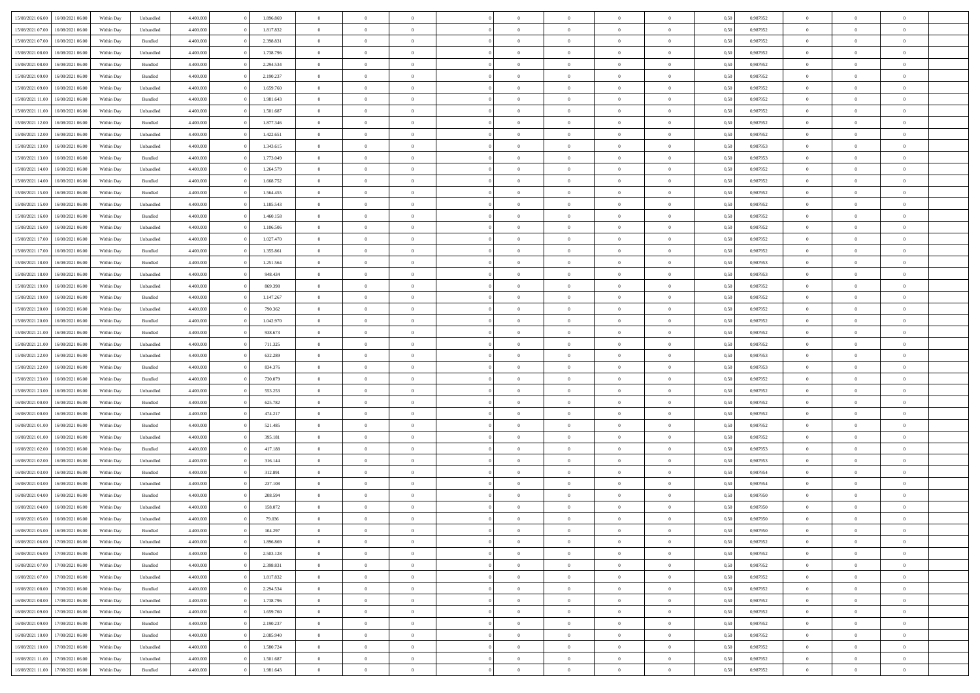| 15/08/2021 06:00 | 16/08/2021 06:00 | Within Day | Unbundled          | 4.400.000 | 1.896.869 | $\overline{0}$ | $\theta$       |                | $\Omega$       | $\Omega$       | $\theta$       | $\theta$       | 0,50 | 0,987952 | $\theta$       | $\overline{0}$ | $\theta$       |  |
|------------------|------------------|------------|--------------------|-----------|-----------|----------------|----------------|----------------|----------------|----------------|----------------|----------------|------|----------|----------------|----------------|----------------|--|
|                  |                  |            |                    |           |           |                |                |                |                |                |                |                |      |          |                |                |                |  |
| 15/08/2021 07:00 | 16/08/2021 06:00 | Within Day | Unbundled          | 4.400.000 | 1.817.832 | $\overline{0}$ | $\theta$       | $\overline{0}$ | $\overline{0}$ | $\bf{0}$       | $\overline{0}$ | $\bf{0}$       | 0,50 | 0,987952 | $\theta$       | $\overline{0}$ | $\overline{0}$ |  |
| 15/08/2021 07:00 | 16/08/2021 06:00 | Within Day | Bundled            | 4.400.000 | 2.398.831 | $\overline{0}$ | $\bf{0}$       | $\overline{0}$ | $\bf{0}$       | $\bf{0}$       | $\bf{0}$       | $\mathbf{0}$   | 0,50 | 0,987952 | $\overline{0}$ | $\overline{0}$ | $\bf{0}$       |  |
| 15/08/2021 08:00 | 16/08/2021 06:00 | Within Day | Unbundled          | 4.400.000 | 1.738.796 | $\overline{0}$ | $\overline{0}$ | $\overline{0}$ | $\overline{0}$ | $\bf{0}$       | $\overline{0}$ | $\overline{0}$ | 0.50 | 0,987952 | $\theta$       | $\theta$       | $\overline{0}$ |  |
| 15/08/2021 08:00 | 16/08/2021 06:00 | Within Day | Bundled            | 4.400.000 | 2.294.534 | $\overline{0}$ | $\theta$       | $\overline{0}$ | $\overline{0}$ | $\bf{0}$       | $\overline{0}$ | $\bf{0}$       | 0,50 | 0,987952 | $\theta$       | $\overline{0}$ | $\overline{0}$ |  |
| 15/08/2021 09:00 | 16/08/2021 06:00 | Within Day | Bundled            | 4.400.000 | 2.190.237 | $\overline{0}$ | $\overline{0}$ | $\overline{0}$ | $\bf{0}$       | $\overline{0}$ | $\overline{0}$ | $\mathbf{0}$   | 0,50 | 0,987952 | $\overline{0}$ | $\overline{0}$ | $\bf{0}$       |  |
| 15/08/2021 09:00 | 16/08/2021 06:00 | Within Dav | Unbundled          | 4.400.000 | 1.659.760 | $\overline{0}$ | $\overline{0}$ | $\overline{0}$ |                | $\overline{0}$ | $\overline{0}$ | $\overline{0}$ | 0.50 | 0,987952 | $\theta$       | $\overline{0}$ | $\overline{0}$ |  |
|                  |                  |            |                    |           |           |                |                |                | $\overline{0}$ |                |                |                |      |          |                |                |                |  |
| 15/08/2021 11:00 | 16/08/2021 06:00 | Within Day | Bundled            | 4.400.000 | 1.981.643 | $\overline{0}$ | $\theta$       | $\overline{0}$ | $\overline{0}$ | $\bf{0}$       | $\overline{0}$ | $\bf{0}$       | 0,50 | 0,987952 | $\theta$       | $\theta$       | $\overline{0}$ |  |
| 15/08/2021 11:00 | 16/08/2021 06:00 | Within Day | Unbundled          | 4.400.000 | 1.501.687 | $\overline{0}$ | $\overline{0}$ | $\overline{0}$ | $\bf{0}$       | $\bf{0}$       | $\bf{0}$       | $\bf{0}$       | 0,50 | 0,987952 | $\,0\,$        | $\overline{0}$ | $\overline{0}$ |  |
| 15/08/2021 12:00 | 16/08/2021 06:00 | Within Dav | Bundled            | 4.400.000 | 1.877.346 | $\overline{0}$ | $\overline{0}$ | $\overline{0}$ | $\overline{0}$ | $\overline{0}$ | $\overline{0}$ | $\overline{0}$ | 0.50 | 0,987952 | $\theta$       | $\overline{0}$ | $\overline{0}$ |  |
| 15/08/2021 12:00 | 16/08/2021 06:00 | Within Day | Unbundled          | 4.400.000 | 1.422.651 | $\overline{0}$ | $\theta$       | $\overline{0}$ | $\overline{0}$ | $\bf{0}$       | $\overline{0}$ | $\bf{0}$       | 0,50 | 0,987952 | $\,$ 0 $\,$    | $\overline{0}$ | $\overline{0}$ |  |
| 15/08/2021 13:00 | 16/08/2021 06:00 | Within Day | Unbundled          | 4.400.000 | 1.343.615 | $\overline{0}$ | $\bf{0}$       | $\overline{0}$ | $\bf{0}$       | $\bf{0}$       | $\bf{0}$       | $\mathbf{0}$   | 0,50 | 0,987953 | $\overline{0}$ | $\overline{0}$ | $\bf{0}$       |  |
| 15/08/2021 13:00 | 16/08/2021 06:00 | Within Day | Bundled            | 4.400.000 | 1.773.049 | $\overline{0}$ | $\overline{0}$ | $\overline{0}$ | $\overline{0}$ | $\bf{0}$       | $\overline{0}$ | $\overline{0}$ | 0.50 | 0,987953 | $\theta$       | $\theta$       | $\overline{0}$ |  |
|                  |                  |            |                    |           |           | $\overline{0}$ | $\theta$       | $\overline{0}$ | $\overline{0}$ | $\bf{0}$       | $\overline{0}$ |                |      |          | $\theta$       | $\overline{0}$ | $\overline{0}$ |  |
| 15/08/2021 14:00 | 16/08/2021 06:00 | Within Day | Unbundled          | 4.400.000 | 1.264.579 |                |                |                |                |                |                | $\bf{0}$       | 0,50 | 0,987952 |                |                |                |  |
| 15/08/2021 14:00 | 16/08/2021 06:00 | Within Day | Bundled            | 4.400.000 | 1.668.752 | $\overline{0}$ | $\overline{0}$ | $\overline{0}$ | $\bf{0}$       | $\overline{0}$ | $\overline{0}$ | $\mathbf{0}$   | 0,50 | 0,987952 | $\overline{0}$ | $\overline{0}$ | $\bf{0}$       |  |
| 15/08/2021 15:00 | 16/08/2021 06:00 | Within Dav | Bundled            | 4.400.000 | 1.564.455 | $\overline{0}$ | $\overline{0}$ | $\overline{0}$ | $\overline{0}$ | $\overline{0}$ | $\overline{0}$ | $\overline{0}$ | 0.50 | 0,987952 | $\theta$       | $\overline{0}$ | $\overline{0}$ |  |
| 15/08/2021 15:00 | 16/08/2021 06:00 | Within Day | Unbundled          | 4.400.000 | 1.185.543 | $\overline{0}$ | $\theta$       | $\overline{0}$ | $\overline{0}$ | $\bf{0}$       | $\overline{0}$ | $\bf{0}$       | 0,50 | 0,987952 | $\theta$       | $\theta$       | $\overline{0}$ |  |
| 15/08/2021 16:00 | 16/08/2021 06:00 | Within Day | Bundled            | 4.400.000 | 1.460.158 | $\overline{0}$ | $\overline{0}$ | $\overline{0}$ | $\bf{0}$       | $\bf{0}$       | $\bf{0}$       | $\mathbf{0}$   | 0,50 | 0,987952 | $\,0\,$        | $\overline{0}$ | $\bf{0}$       |  |
| 15/08/2021 16:00 | 16/08/2021 06:00 | Within Day | Unbundled          | 4.400.000 | 1.106.506 | $\overline{0}$ | $\overline{0}$ | $\overline{0}$ | $\overline{0}$ | $\overline{0}$ | $\overline{0}$ | $\overline{0}$ | 0.50 | 0,987952 | $\theta$       | $\overline{0}$ | $\overline{0}$ |  |
| 15/08/2021 17:00 | 16/08/2021 06:00 | Within Day | Unbundled          | 4.400.000 | 1.027.470 | $\overline{0}$ | $\theta$       | $\overline{0}$ | $\overline{0}$ | $\bf{0}$       | $\overline{0}$ | $\bf{0}$       | 0,50 | 0,987952 | $\,$ 0 $\,$    | $\overline{0}$ | $\overline{0}$ |  |
|                  |                  |            |                    |           |           |                |                |                |                |                |                |                |      |          |                |                |                |  |
| 15/08/2021 17:00 | 16/08/2021 06:00 | Within Day | Bundled            | 4.400.000 | 1.355.861 | $\overline{0}$ | $\overline{0}$ | $\overline{0}$ | $\bf{0}$       | $\bf{0}$       | $\bf{0}$       | $\bf{0}$       | 0,50 | 0,987952 | $\overline{0}$ | $\overline{0}$ | $\bf{0}$       |  |
| 15/08/2021 18:00 | 16/08/2021 06:00 | Within Day | Bundled            | 4.400.000 | 1.251.564 | $\overline{0}$ | $\overline{0}$ | $\overline{0}$ | $\overline{0}$ | $\bf{0}$       | $\overline{0}$ | $\overline{0}$ | 0.50 | 0,987953 | $\theta$       | $\overline{0}$ | $\overline{0}$ |  |
| 15/08/2021 18:00 | 16/08/2021 06:00 | Within Day | Unbundled          | 4.400.000 | 948.434   | $\overline{0}$ | $\theta$       | $\overline{0}$ | $\overline{0}$ | $\bf{0}$       | $\overline{0}$ | $\bf{0}$       | 0,50 | 0,987953 | $\,$ 0 $\,$    | $\overline{0}$ | $\overline{0}$ |  |
| 15/08/2021 19:00 | 16/08/2021 06:00 | Within Day | Unbundled          | 4.400.000 | 869.398   | $\overline{0}$ | $\overline{0}$ | $\overline{0}$ | $\overline{0}$ | $\overline{0}$ | $\overline{0}$ | $\mathbf{0}$   | 0,50 | 0,987952 | $\overline{0}$ | $\overline{0}$ | $\bf{0}$       |  |
| 15/08/2021 19:00 | 16/08/2021 06:00 | Within Dav | Bundled            | 4.400.000 | 1.147.267 | $\overline{0}$ | $\overline{0}$ | $\overline{0}$ | $\overline{0}$ | $\overline{0}$ | $\overline{0}$ | $\overline{0}$ | 0.50 | 0,987952 | $\theta$       | $\overline{0}$ | $\overline{0}$ |  |
| 15/08/2021 20:00 | 16/08/2021 06:00 | Within Day | Unbundled          | 4.400.000 | 790.362   | $\overline{0}$ | $\theta$       | $\overline{0}$ | $\overline{0}$ | $\bf{0}$       | $\overline{0}$ | $\bf{0}$       | 0,50 | 0,987952 | $\theta$       | $\theta$       | $\overline{0}$ |  |
| 15/08/2021 20:00 | 16/08/2021 06:00 | Within Day | Bundled            | 4.400.000 | 1.042.970 | $\overline{0}$ | $\overline{0}$ | $\overline{0}$ | $\overline{0}$ | $\bf{0}$       | $\overline{0}$ | $\bf{0}$       | 0,50 | 0,987952 | $\,0\,$        | $\overline{0}$ | $\overline{0}$ |  |
| 15/08/2021 21:00 | 16/08/2021 06:00 |            | Bundled            | 4.400.000 | 938.673   | $\overline{0}$ | $\overline{0}$ | $\overline{0}$ | $\overline{0}$ | $\overline{0}$ | $\overline{0}$ | $\overline{0}$ | 0.50 | 0,987952 | $\theta$       | $\overline{0}$ | $\overline{0}$ |  |
|                  |                  | Within Day |                    |           |           |                |                |                |                |                |                |                |      |          |                |                |                |  |
| 15/08/2021 21:00 | 16/08/2021 06:00 | Within Day | Unbundled          | 4.400.000 | 711.325   | $\overline{0}$ | $\theta$       | $\overline{0}$ | $\overline{0}$ | $\bf{0}$       | $\overline{0}$ | $\bf{0}$       | 0,50 | 0,987952 | $\,$ 0 $\,$    | $\overline{0}$ | $\overline{0}$ |  |
| 15/08/2021 22.00 | 16/08/2021 06:00 | Within Day | Unbundled          | 4.400.000 | 632.289   | $\overline{0}$ | $\overline{0}$ | $\overline{0}$ | $\overline{0}$ | $\bf{0}$       | $\overline{0}$ | $\bf{0}$       | 0,50 | 0,987953 | $\overline{0}$ | $\overline{0}$ | $\bf{0}$       |  |
| 15/08/2021 22:00 | 16/08/2021 06:00 | Within Day | Bundled            | 4.400,000 | 834.376   | $\overline{0}$ | $\Omega$       | $\Omega$       | $\Omega$       | $\Omega$       | $\overline{0}$ | $\overline{0}$ | 0,50 | 0,987953 | $\,0\,$        | $\theta$       | $\theta$       |  |
| 15/08/2021 23:00 | 16/08/2021 06:00 | Within Day | Bundled            | 4.400.000 | 730.079   | $\overline{0}$ | $\theta$       | $\overline{0}$ | $\overline{0}$ | $\bf{0}$       | $\overline{0}$ | $\bf{0}$       | 0,50 | 0,987952 | $\theta$       | $\overline{0}$ | $\overline{0}$ |  |
| 15/08/2021 23:00 | 16/08/2021 06:00 | Within Day | Unbundled          | 4.400.000 | 553.253   | $\overline{0}$ | $\overline{0}$ | $\overline{0}$ | $\overline{0}$ | $\bf{0}$       | $\overline{0}$ | $\mathbf{0}$   | 0,50 | 0,987952 | $\overline{0}$ | $\overline{0}$ | $\bf{0}$       |  |
| 16/08/2021 00:00 | 16/08/2021 06:00 | Within Day | Bundled            | 4.400,000 | 625.782   | $\overline{0}$ | $\Omega$       | $\Omega$       | $\Omega$       | $\bf{0}$       | $\overline{0}$ | $\overline{0}$ | 0.50 | 0,987952 | $\,0\,$        | $\theta$       | $\theta$       |  |
| 16/08/2021 00:00 | 16/08/2021 06:00 | Within Day | Unbundled          | 4.400.000 | 474.217   | $\overline{0}$ | $\theta$       | $\overline{0}$ | $\overline{0}$ | $\bf{0}$       | $\overline{0}$ | $\bf{0}$       | 0,50 | 0,987952 | $\,$ 0 $\,$    | $\overline{0}$ | $\overline{0}$ |  |
|                  |                  |            |                    |           |           |                |                |                |                |                |                |                |      |          |                |                |                |  |
| 16/08/2021 01:00 | 16/08/2021 06:00 | Within Day | Bundled            | 4.400.000 | 521.485   | $\overline{0}$ | $\overline{0}$ | $\overline{0}$ | $\overline{0}$ | $\bf{0}$       | $\overline{0}$ | $\bf{0}$       | 0,50 | 0,987952 | $\bf{0}$       | $\overline{0}$ | $\bf{0}$       |  |
| 16/08/2021 01:00 | 16/08/2021 06:00 | Within Day | Unbundled          | 4.400,000 | 395.181   | $\overline{0}$ | $\Omega$       | $\Omega$       | $\Omega$       | $\theta$       | $\overline{0}$ | $\overline{0}$ | 0.50 | 0.987952 | $\,$ 0 $\,$    | $\theta$       | $\theta$       |  |
| 16/08/2021 02:00 | 16/08/2021 06:00 | Within Day | Bundled            | 4.400.000 | 417.188   | $\overline{0}$ | $\overline{0}$ | $\overline{0}$ | $\overline{0}$ | $\bf{0}$       | $\overline{0}$ | $\bf{0}$       | 0,50 | 0,987953 | $\,$ 0 $\,$    | $\overline{0}$ | $\overline{0}$ |  |
| 16/08/2021 02:00 | 16/08/2021 06:00 | Within Day | Unbundled          | 4.400.000 | 316.144   | $\overline{0}$ | $\overline{0}$ | $\overline{0}$ | $\overline{0}$ | $\bf{0}$       | $\overline{0}$ | $\mathbf{0}$   | 0,50 | 0,987953 | $\overline{0}$ | $\overline{0}$ | $\bf{0}$       |  |
| 16/08/2021 03:00 | 16/08/2021 06:00 | Within Day | Bundled            | 4.400,000 | 312.891   | $\overline{0}$ | $\Omega$       | $\overline{0}$ | $\Omega$       | $\overline{0}$ | $\overline{0}$ | $\overline{0}$ | 0.50 | 0,987954 | $\,0\,$        | $\theta$       | $\theta$       |  |
| 16/08/2021 03:00 | 16/08/2021 06:00 | Within Day | Unbundled          | 4.400.000 | 237.108   | $\overline{0}$ | $\overline{0}$ | $\overline{0}$ | $\overline{0}$ | $\,$ 0         | $\overline{0}$ | $\bf{0}$       | 0,50 | 0,987954 | $\,$ 0 $\,$    | $\overline{0}$ | $\overline{0}$ |  |
| 16/08/2021 04:00 | 16/08/2021 06:00 | Within Day | Bundled            | 4.400.000 | 208.594   | $\overline{0}$ | $\overline{0}$ | $\overline{0}$ | $\bf{0}$       | $\bf{0}$       | $\bf{0}$       | $\mathbf{0}$   | 0,50 | 0,987950 | $\overline{0}$ | $\overline{0}$ | $\bf{0}$       |  |
| 16/08/2021 04:00 | 16/08/2021 06:00 |            | Unbundled          | 4.400,000 | 158,072   | $\overline{0}$ | $\Omega$       | $\Omega$       | $\Omega$       | $\Omega$       | $\Omega$       | $\overline{0}$ | 0.50 | 0.987950 | $\theta$       | $\theta$       | $\theta$       |  |
|                  |                  | Within Day |                    |           |           |                |                |                |                |                |                |                |      |          |                |                |                |  |
| 16/08/2021 05:00 | 16/08/2021 06:00 | Within Day | Unbundled          | 4.400.000 | 79.036    | $\overline{0}$ | $\overline{0}$ | $\overline{0}$ | $\bf{0}$       | $\,$ 0         | $\bf{0}$       | $\bf{0}$       | 0,50 | 0,987950 | $\,0\,$        | $\,$ 0 $\,$    | $\overline{0}$ |  |
| 16/08/2021 05:00 | 16/08/2021 06:00 | Within Day | $\mathbf B$ undled | 4.400.000 | 104.297   | $\bf{0}$       | $\bf{0}$       |                |                | $\bf{0}$       |                |                | 0,50 | 0,987950 | $\bf{0}$       | $\overline{0}$ |                |  |
| 16/08/2021 06:00 | 17/08/2021 06:00 | Within Day | Unbundled          | 4.400.000 | 1.896.869 | $\overline{0}$ | $\overline{0}$ | $\overline{0}$ | $\Omega$       | $\overline{0}$ | $\overline{0}$ | $\overline{0}$ | 0.50 | 0.987952 | $\theta$       | $\theta$       | $\theta$       |  |
| 16/08/2021 06:00 | 17/08/2021 06:00 | Within Day | Bundled            | 4.400.000 | 2.503.128 | $\overline{0}$ | $\,$ 0         | $\overline{0}$ | $\bf{0}$       | $\,$ 0 $\,$    | $\overline{0}$ | $\mathbf{0}$   | 0,50 | 0,987952 | $\,$ 0 $\,$    | $\,$ 0 $\,$    | $\,$ 0         |  |
| 16/08/2021 07:00 | 17/08/2021 06:00 | Within Day | Bundled            | 4.400.000 | 2.398.831 | $\overline{0}$ | $\overline{0}$ | $\overline{0}$ | $\overline{0}$ | $\overline{0}$ | $\overline{0}$ | $\mathbf{0}$   | 0,50 | 0,987952 | $\overline{0}$ | $\bf{0}$       | $\bf{0}$       |  |
| 16/08/2021 07:00 | 17/08/2021 06:00 | Within Day | Unbundled          | 4.400,000 | 1.817.832 | $\overline{0}$ | $\overline{0}$ | $\overline{0}$ | $\Omega$       | $\overline{0}$ | $\overline{0}$ | $\overline{0}$ | 0,50 | 0,987952 | $\overline{0}$ | $\theta$       | $\overline{0}$ |  |
| 16/08/2021 08:00 | 17/08/2021 06:00 | Within Day | Bundled            | 4.400.000 | 2.294.534 | $\overline{0}$ | $\,$ 0         | $\overline{0}$ | $\overline{0}$ | $\,$ 0 $\,$    | $\overline{0}$ | $\mathbf{0}$   | 0,50 | 0,987952 | $\,$ 0 $\,$    | $\overline{0}$ | $\overline{0}$ |  |
|                  |                  |            |                    |           |           |                |                |                |                |                |                |                |      |          |                |                |                |  |
| 16/08/2021 08:00 | 17/08/2021 06:00 | Within Day | Unbundled          | 4.400.000 | 1.738.796 | $\overline{0}$ | $\overline{0}$ | $\overline{0}$ | $\overline{0}$ | $\overline{0}$ | $\overline{0}$ | $\mathbf{0}$   | 0,50 | 0,987952 | $\overline{0}$ | $\overline{0}$ | $\bf{0}$       |  |
| 16/08/2021 09:00 | 17/08/2021 06:00 | Within Day | Unbundled          | 4.400.000 | 1.659.760 | $\overline{0}$ | $\overline{0}$ | $\overline{0}$ | $\Omega$       | $\overline{0}$ | $\overline{0}$ | $\bf{0}$       | 0.50 | 0,987952 | $\overline{0}$ | $\theta$       | $\overline{0}$ |  |
| 16/08/2021 09:00 | 17/08/2021 06:00 | Within Day | Bundled            | 4.400.000 | 2.190.237 | $\overline{0}$ | $\,$ 0         | $\overline{0}$ | $\bf{0}$       | $\bf{0}$       | $\bf{0}$       | $\bf{0}$       | 0,50 | 0,987952 | $\,$ 0 $\,$    | $\overline{0}$ | $\overline{0}$ |  |
| 16/08/2021 10:00 | 17/08/2021 06:00 | Within Day | Bundled            | 4.400.000 | 2.085.940 | $\overline{0}$ | $\bf{0}$       | $\overline{0}$ | $\overline{0}$ | $\overline{0}$ | $\overline{0}$ | $\mathbf{0}$   | 0,50 | 0,987952 | $\overline{0}$ | $\overline{0}$ | $\bf{0}$       |  |
| 16/08/2021 10:00 | 17/08/2021 06:00 | Within Day | Unbundled          | 4.400,000 | 1.580.724 | $\overline{0}$ | $\overline{0}$ | $\overline{0}$ | $\Omega$       | $\overline{0}$ | $\overline{0}$ | $\bf{0}$       | 0.50 | 0,987952 | $\overline{0}$ | $\overline{0}$ | $\overline{0}$ |  |
| 16/08/2021 11:00 | 17/08/2021 06:00 | Within Day | Unbundled          | 4.400.000 | 1.501.687 | $\overline{0}$ | $\bf{0}$       | $\overline{0}$ | $\overline{0}$ | $\bf{0}$       | $\bf{0}$       | $\mathbf{0}$   | 0,50 | 0,987952 | $\,$ 0 $\,$    | $\,$ 0 $\,$    | $\bf{0}$       |  |
| 16/08/2021 11:00 | 17/08/2021 06:00 | Within Day | Bundled            | 4.400.000 | 1.981.643 | $\overline{0}$ | $\overline{0}$ | $\overline{0}$ | $\overline{0}$ | $\overline{0}$ | $\bf{0}$       | $\mathbf{0}$   | 0,50 | 0,987952 | $\overline{0}$ | $\bf{0}$       | $\bf{0}$       |  |
|                  |                  |            |                    |           |           |                |                |                |                |                |                |                |      |          |                |                |                |  |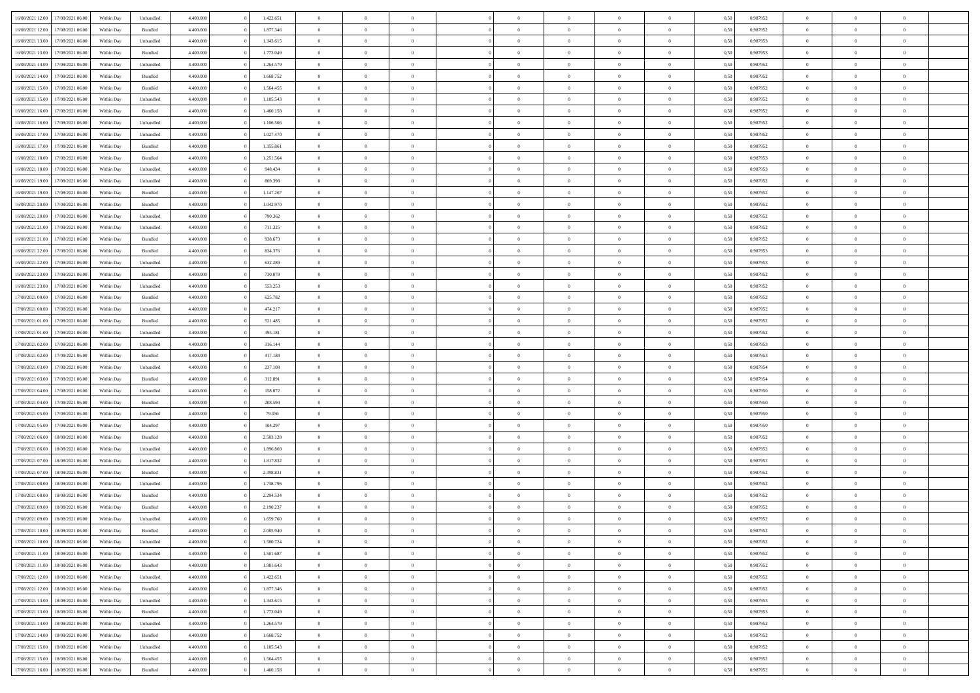| 16/08/2021 12:00 | 17/08/2021 06:00 | Within Day | Unbundled          | 4.400.000 | 1.422.651 | $\overline{0}$ | $\theta$       |                | $\Omega$       | $\Omega$       | $\theta$       | $\theta$       | 0,50 | 0,987952 | $\theta$       | $\overline{0}$ | $\theta$       |  |
|------------------|------------------|------------|--------------------|-----------|-----------|----------------|----------------|----------------|----------------|----------------|----------------|----------------|------|----------|----------------|----------------|----------------|--|
|                  |                  |            |                    |           |           |                |                |                |                |                |                |                |      |          |                |                |                |  |
| 16/08/2021 12:00 | 17/08/2021 06:00 | Within Day | Bundled            | 4.400.000 | 1.877.346 | $\overline{0}$ | $\theta$       | $\overline{0}$ | $\overline{0}$ | $\bf{0}$       | $\overline{0}$ | $\bf{0}$       | 0,50 | 0,987952 | $\theta$       | $\overline{0}$ | $\overline{0}$ |  |
| 16/08/2021 13:00 | 17/08/2021 06:00 | Within Day | Unbundled          | 4.400.000 | 1.343.615 | $\overline{0}$ | $\bf{0}$       | $\overline{0}$ | $\bf{0}$       | $\bf{0}$       | $\bf{0}$       | $\mathbf{0}$   | 0,50 | 0,987953 | $\overline{0}$ | $\overline{0}$ | $\bf{0}$       |  |
| 16/08/2021 13:00 | 17/08/2021 06:00 | Within Dav | Bundled            | 4.400.000 | 1.773.049 | $\overline{0}$ | $\overline{0}$ | $\overline{0}$ | $\overline{0}$ | $\bf{0}$       | $\overline{0}$ | $\overline{0}$ | 0.50 | 0,987953 | $\theta$       | $\theta$       | $\overline{0}$ |  |
| 16/08/2021 14:00 | 17/08/2021 06:00 | Within Day | Unbundled          | 4.400.000 | 1.264.579 | $\overline{0}$ | $\theta$       | $\overline{0}$ | $\overline{0}$ | $\bf{0}$       | $\overline{0}$ | $\bf{0}$       | 0,50 | 0,987952 | $\theta$       | $\overline{0}$ | $\overline{0}$ |  |
| 16/08/2021 14:00 | 17/08/2021 06:00 | Within Day | Bundled            | 4.400.000 | 1.668.752 | $\overline{0}$ | $\overline{0}$ | $\overline{0}$ | $\bf{0}$       | $\overline{0}$ | $\overline{0}$ | $\mathbf{0}$   | 0,50 | 0,987952 | $\overline{0}$ | $\overline{0}$ | $\bf{0}$       |  |
| 16/08/2021 15:00 | 17/08/2021 06:00 | Within Dav | Bundled            | 4.400.000 | 1.564.455 | $\overline{0}$ | $\overline{0}$ | $\overline{0}$ |                | $\overline{0}$ | $\overline{0}$ | $\overline{0}$ | 0.50 | 0,987952 | $\theta$       | $\overline{0}$ | $\overline{0}$ |  |
|                  |                  |            |                    |           |           |                |                |                | $\overline{0}$ |                |                |                |      |          |                |                |                |  |
| 16/08/2021 15:00 | 17/08/2021 06:00 | Within Day | Unbundled          | 4.400.000 | 1.185.543 | $\overline{0}$ | $\theta$       | $\overline{0}$ | $\overline{0}$ | $\bf{0}$       | $\overline{0}$ | $\bf{0}$       | 0,50 | 0,987952 | $\theta$       | $\theta$       | $\overline{0}$ |  |
| 16/08/2021 16:00 | 17/08/2021 06:00 | Within Day | Bundled            | 4.400.000 | 1.460.158 | $\overline{0}$ | $\overline{0}$ | $\overline{0}$ | $\bf{0}$       | $\bf{0}$       | $\bf{0}$       | $\bf{0}$       | 0,50 | 0,987952 | $\,0\,$        | $\overline{0}$ | $\overline{0}$ |  |
| 16/08/2021 16:00 | 17/08/2021 06:00 | Within Dav | Unbundled          | 4.400.000 | 1.106.506 | $\overline{0}$ | $\overline{0}$ | $\overline{0}$ | $\overline{0}$ | $\overline{0}$ | $\overline{0}$ | $\overline{0}$ | 0.50 | 0,987952 | $\theta$       | $\overline{0}$ | $\overline{0}$ |  |
| 16/08/2021 17:00 | 17/08/2021 06:00 | Within Day | Unbundled          | 4.400.000 | 1.027.470 | $\overline{0}$ | $\theta$       | $\overline{0}$ | $\overline{0}$ | $\bf{0}$       | $\overline{0}$ | $\bf{0}$       | 0,50 | 0,987952 | $\,$ 0 $\,$    | $\overline{0}$ | $\overline{0}$ |  |
| 16/08/2021 17:00 | 17/08/2021 06:00 | Within Day | Bundled            | 4.400.000 | 1.355.861 | $\overline{0}$ | $\bf{0}$       | $\overline{0}$ | $\overline{0}$ | $\bf{0}$       | $\overline{0}$ | $\mathbf{0}$   | 0,50 | 0,987952 | $\overline{0}$ | $\overline{0}$ | $\bf{0}$       |  |
| 16/08/2021 18:00 | 17/08/2021 06:00 | Within Day | Bundled            | 4.400.000 | 1.251.564 | $\overline{0}$ | $\overline{0}$ | $\overline{0}$ | $\overline{0}$ | $\bf{0}$       | $\overline{0}$ | $\overline{0}$ | 0.50 | 0,987953 | $\theta$       | $\theta$       | $\overline{0}$ |  |
|                  |                  |            |                    |           |           | $\overline{0}$ | $\theta$       | $\overline{0}$ | $\overline{0}$ | $\bf{0}$       | $\overline{0}$ |                |      |          | $\theta$       | $\overline{0}$ | $\overline{0}$ |  |
| 16/08/2021 18:00 | 17/08/2021 06:00 | Within Day | Unbundled          | 4.400.000 | 948.434   |                |                |                |                |                |                | $\bf{0}$       | 0,50 | 0,987953 |                |                |                |  |
| 16/08/2021 19:00 | 17/08/2021 06:00 | Within Day | Unbundled          | 4.400.000 | 869.398   | $\overline{0}$ | $\overline{0}$ | $\overline{0}$ | $\overline{0}$ | $\overline{0}$ | $\overline{0}$ | $\mathbf{0}$   | 0,50 | 0,987952 | $\overline{0}$ | $\overline{0}$ | $\bf{0}$       |  |
| 16/08/2021 19:00 | 17/08/2021 06:00 | Within Dav | Bundled            | 4.400.000 | 1.147.267 | $\overline{0}$ | $\overline{0}$ | $\overline{0}$ | $\overline{0}$ | $\overline{0}$ | $\overline{0}$ | $\overline{0}$ | 0.50 | 0,987952 | $\theta$       | $\overline{0}$ | $\overline{0}$ |  |
| 16/08/2021 20:00 | 17/08/2021 06:00 | Within Day | Bundled            | 4.400.000 | 1.042.970 | $\overline{0}$ | $\theta$       | $\overline{0}$ | $\overline{0}$ | $\bf{0}$       | $\overline{0}$ | $\bf{0}$       | 0,50 | 0,987952 | $\theta$       | $\theta$       | $\overline{0}$ |  |
| 16/08/2021 20:00 | 17/08/2021 06:00 | Within Day | Unbundled          | 4.400.000 | 790.362   | $\overline{0}$ | $\overline{0}$ | $\overline{0}$ | $\overline{0}$ | $\bf{0}$       | $\overline{0}$ | $\mathbf{0}$   | 0,50 | 0,987952 | $\,0\,$        | $\overline{0}$ | $\bf{0}$       |  |
| 16/08/2021 21:00 | 17/08/2021 06:00 | Within Dav | Unbundled          | 4.400.000 | 711.325   | $\overline{0}$ | $\overline{0}$ | $\overline{0}$ | $\overline{0}$ | $\overline{0}$ | $\overline{0}$ | $\overline{0}$ | 0.50 | 0,987952 | $\theta$       | $\overline{0}$ | $\overline{0}$ |  |
| 16/08/2021 21:00 | 17/08/2021 06:00 | Within Day | Bundled            | 4.400.000 | 938.673   | $\overline{0}$ | $\theta$       | $\overline{0}$ | $\overline{0}$ | $\bf{0}$       | $\overline{0}$ | $\bf{0}$       | 0,50 | 0,987952 | $\,$ 0 $\,$    | $\overline{0}$ | $\overline{0}$ |  |
|                  |                  |            |                    |           |           |                |                |                |                |                |                |                |      |          |                |                |                |  |
| 16/08/2021 22:00 | 17/08/2021 06:00 | Within Day | Bundled            | 4.400.000 | 834.376   | $\overline{0}$ | $\overline{0}$ | $\overline{0}$ | $\overline{0}$ | $\bf{0}$       | $\overline{0}$ | $\mathbf{0}$   | 0,50 | 0,987953 | $\bf{0}$       | $\overline{0}$ | $\bf{0}$       |  |
| 16/08/2021 22:00 | 17/08/2021 06:00 | Within Day | Unbundled          | 4.400.000 | 632.289   | $\overline{0}$ | $\overline{0}$ | $\overline{0}$ | $\overline{0}$ | $\overline{0}$ | $\overline{0}$ | $\overline{0}$ | 0.50 | 0,987953 | $\theta$       | $\overline{0}$ | $\overline{0}$ |  |
| 16/08/2021 23:00 | 17/08/2021 06:00 | Within Day | Bundled            | 4.400.000 | 730.079   | $\overline{0}$ | $\theta$       | $\overline{0}$ | $\overline{0}$ | $\bf{0}$       | $\overline{0}$ | $\bf{0}$       | 0,50 | 0,987952 | $\,$ 0 $\,$    | $\overline{0}$ | $\overline{0}$ |  |
| 16/08/2021 23:00 | 17/08/2021 06:00 | Within Day | Unbundled          | 4.400.000 | 553.253   | $\overline{0}$ | $\overline{0}$ | $\overline{0}$ | $\overline{0}$ | $\overline{0}$ | $\overline{0}$ | $\mathbf{0}$   | 0,50 | 0,987952 | $\overline{0}$ | $\overline{0}$ | $\bf{0}$       |  |
| 17/08/2021 00:00 | 17/08/2021 06:00 | Within Dav | Bundled            | 4.400.000 | 625.782   | $\overline{0}$ | $\overline{0}$ | $\overline{0}$ | $\overline{0}$ | $\overline{0}$ | $\overline{0}$ | $\overline{0}$ | 0.50 | 0,987952 | $\theta$       | $\overline{0}$ | $\overline{0}$ |  |
| 17/08/2021 00:00 | 17/08/2021 06:00 | Within Day | Unbundled          | 4.400.000 | 474.217   | $\overline{0}$ | $\theta$       | $\overline{0}$ | $\overline{0}$ | $\bf{0}$       | $\overline{0}$ | $\bf{0}$       | 0,50 | 0,987952 | $\theta$       | $\overline{0}$ | $\overline{0}$ |  |
| 17/08/2021 01:00 | 17/08/2021 06:00 | Within Day | Bundled            | 4.400.000 | 521.485   | $\overline{0}$ | $\overline{0}$ | $\overline{0}$ | $\overline{0}$ | $\bf{0}$       | $\overline{0}$ | $\bf{0}$       | 0,50 | 0,987952 | $\,0\,$        | $\overline{0}$ | $\overline{0}$ |  |
| 17/08/2021 01:00 | 17/08/2021 06:00 |            | Unbundled          | 4.400.000 | 395.181   | $\overline{0}$ | $\overline{0}$ | $\overline{0}$ | $\overline{0}$ | $\overline{0}$ | $\overline{0}$ | $\overline{0}$ | 0.50 | 0,987952 | $\theta$       | $\overline{0}$ | $\overline{0}$ |  |
|                  |                  | Within Day |                    |           |           |                |                |                |                |                |                |                |      |          |                |                |                |  |
| 17/08/2021 02:00 | 17/08/2021 06:00 | Within Day | Unbundled          | 4.400.000 | 316.144   | $\overline{0}$ | $\theta$       | $\overline{0}$ | $\overline{0}$ | $\bf{0}$       | $\overline{0}$ | $\bf{0}$       | 0,50 | 0,987953 | $\,$ 0 $\,$    | $\overline{0}$ | $\overline{0}$ |  |
| 17/08/2021 02:00 | 17/08/2021 06:00 | Within Day | Bundled            | 4.400.000 | 417.188   | $\overline{0}$ | $\overline{0}$ | $\overline{0}$ | $\bf{0}$       | $\bf{0}$       | $\bf{0}$       | $\bf{0}$       | 0,50 | 0,987953 | $\overline{0}$ | $\overline{0}$ | $\bf{0}$       |  |
| 17/08/2021 03:00 | 17/08/2021 06:00 | Within Day | Unbundled          | 4.400,000 | 237.108   | $\overline{0}$ | $\Omega$       | $\Omega$       | $\Omega$       | $\Omega$       | $\overline{0}$ | $\overline{0}$ | 0,50 | 0,987954 | $\,0\,$        | $\theta$       | $\theta$       |  |
| 17/08/2021 03:00 | 17/08/2021 06:00 | Within Day | Bundled            | 4.400.000 | 312.891   | $\overline{0}$ | $\theta$       | $\overline{0}$ | $\overline{0}$ | $\bf{0}$       | $\overline{0}$ | $\bf{0}$       | 0,50 | 0,987954 | $\theta$       | $\overline{0}$ | $\overline{0}$ |  |
| 17/08/2021 04:00 | 17/08/2021 06:00 | Within Day | Unbundled          | 4.400.000 | 158.072   | $\overline{0}$ | $\overline{0}$ | $\overline{0}$ | $\bf{0}$       | $\overline{0}$ | $\overline{0}$ | $\mathbf{0}$   | 0,50 | 0,987950 | $\overline{0}$ | $\overline{0}$ | $\bf{0}$       |  |
| 17/08/2021 04:00 | 17/08/2021 06:00 | Within Day | Bundled            | 4.400,000 | 208,594   | $\overline{0}$ | $\Omega$       | $\Omega$       | $\Omega$       | $\bf{0}$       | $\overline{0}$ | $\overline{0}$ | 0.50 | 0,987950 | $\,0\,$        | $\theta$       | $\theta$       |  |
| 17/08/2021 05:00 | 17/08/2021 06:00 | Within Day | Unbundled          | 4.400.000 | 79.036    | $\overline{0}$ | $\theta$       | $\overline{0}$ | $\overline{0}$ | $\bf{0}$       | $\overline{0}$ | $\bf{0}$       | 0,50 | 0,987950 | $\,$ 0 $\,$    | $\overline{0}$ | $\overline{0}$ |  |
|                  |                  |            |                    |           |           |                |                |                |                |                |                |                |      |          |                |                |                |  |
| 17/08/2021 05:00 | 17/08/2021 06:00 | Within Day | Bundled            | 4.400.000 | 104.297   | $\overline{0}$ | $\overline{0}$ | $\overline{0}$ | $\bf{0}$       | $\bf{0}$       | $\bf{0}$       | $\bf{0}$       | 0,50 | 0,987950 | $\bf{0}$       | $\overline{0}$ | $\bf{0}$       |  |
| 17/08/2021 06:00 | 18/08/2021 06:00 | Within Day | Bundled            | 4.400,000 | 2.503.128 | $\overline{0}$ | $\Omega$       | $\Omega$       | $\Omega$       | $\theta$       | $\overline{0}$ | $\overline{0}$ | 0.50 | 0.987952 | $\,$ 0 $\,$    | $\theta$       | $\theta$       |  |
| 17/08/2021 06:00 | 18/08/2021 06:00 | Within Day | Unbundled          | 4.400.000 | 1.896.869 | $\overline{0}$ | $\theta$       | $\overline{0}$ | $\overline{0}$ | $\bf{0}$       | $\overline{0}$ | $\bf{0}$       | 0,50 | 0,987952 | $\,$ 0 $\,$    | $\overline{0}$ | $\overline{0}$ |  |
| 17/08/2021 07:00 | 18/08/2021 06:00 | Within Day | Unbundled          | 4.400.000 | 1.817.832 | $\overline{0}$ | $\overline{0}$ | $\overline{0}$ | $\bf{0}$       | $\bf{0}$       | $\bf{0}$       | $\mathbf{0}$   | 0,50 | 0,987952 | $\overline{0}$ | $\overline{0}$ | $\bf{0}$       |  |
| 17/08/2021 07:00 | 18/08/2021 06:00 | Within Day | Bundled            | 4.400,000 | 2.398.831 | $\overline{0}$ | $\Omega$       | $\overline{0}$ | $\Omega$       | $\overline{0}$ | $\overline{0}$ | $\overline{0}$ | 0.50 | 0,987952 | $\,0\,$        | $\theta$       | $\theta$       |  |
| 17/08/2021 08:00 | 18/08/2021 06:00 | Within Day | Unbundled          | 4.400.000 | 1.738.796 | $\overline{0}$ | $\overline{0}$ | $\overline{0}$ | $\overline{0}$ | $\,$ 0         | $\overline{0}$ | $\bf{0}$       | 0,50 | 0,987952 | $\,$ 0 $\,$    | $\overline{0}$ | $\overline{0}$ |  |
| 17/08/2021 08:00 | 18/08/2021 06:00 | Within Day | Bundled            | 4.400.000 | 2.294.534 | $\overline{0}$ | $\overline{0}$ | $\overline{0}$ | $\bf{0}$       | $\bf{0}$       | $\bf{0}$       | $\mathbf{0}$   | 0,50 | 0,987952 | $\overline{0}$ | $\overline{0}$ | $\bf{0}$       |  |
| 17/08/2021 09:00 | 18/08/2021 06:00 |            | Bundled            | 4.400,000 | 2.190.237 | $\overline{0}$ | $\Omega$       | $\Omega$       | $\Omega$       | $\Omega$       | $\Omega$       | $\overline{0}$ | 0.50 | 0.987952 | $\theta$       | $\theta$       | $\theta$       |  |
|                  |                  | Within Day |                    |           |           |                |                |                |                |                |                |                |      |          |                |                |                |  |
| 17/08/2021 09:00 | 18/08/2021 06:00 | Within Day | Unbundled          | 4.400.000 | 1.659.760 | $\overline{0}$ | $\overline{0}$ | $\overline{0}$ | $\bf{0}$       | $\,$ 0         | $\bf{0}$       | $\bf{0}$       | 0,50 | 0,987952 | $\,0\,$        | $\,$ 0 $\,$    | $\overline{0}$ |  |
| 17/08/2021 10:00 | 18/08/2021 06:00 | Within Day | $\mathbf B$ undled | 4.400.000 | 2.085.940 | $\overline{0}$ | $\bf{0}$       |                |                | $\bf{0}$       |                |                | 0,50 | 0,987952 | $\bf{0}$       | $\overline{0}$ |                |  |
| 17/08/2021 10:00 | 18/08/2021 06:00 | Within Day | Unbundled          | 4.400.000 | 1.580.724 | $\overline{0}$ | $\overline{0}$ | $\overline{0}$ | $\Omega$       | $\overline{0}$ | $\overline{0}$ | $\overline{0}$ | 0.50 | 0.987952 | $\theta$       | $\theta$       | $\theta$       |  |
| 17/08/2021 11:00 | 18/08/2021 06:00 | Within Day | Unbundled          | 4.400.000 | 1.501.687 | $\overline{0}$ | $\,$ 0         | $\overline{0}$ | $\bf{0}$       | $\,$ 0 $\,$    | $\overline{0}$ | $\mathbf{0}$   | 0,50 | 0,987952 | $\,$ 0 $\,$    | $\,$ 0 $\,$    | $\,$ 0         |  |
| 17/08/2021 11:00 | 18/08/2021 06:00 | Within Day | Bundled            | 4.400.000 | 1.981.643 | $\overline{0}$ | $\overline{0}$ | $\overline{0}$ | $\overline{0}$ | $\overline{0}$ | $\overline{0}$ | $\mathbf{0}$   | 0,50 | 0,987952 | $\overline{0}$ | $\bf{0}$       | $\bf{0}$       |  |
| 17/08/2021 12:00 | 18/08/2021 06:00 | Within Day | Unbundled          | 4.400,000 | 1.422.651 | $\overline{0}$ | $\overline{0}$ | $\overline{0}$ | $\Omega$       | $\overline{0}$ | $\overline{0}$ | $\overline{0}$ | 0,50 | 0,987952 | $\overline{0}$ | $\theta$       | $\overline{0}$ |  |
| 17/08/2021 12:00 | 18/08/2021 06:00 | Within Day | Bundled            | 4.400.000 | 1.877.346 | $\overline{0}$ | $\,$ 0         | $\overline{0}$ | $\overline{0}$ | $\,$ 0 $\,$    | $\overline{0}$ | $\mathbf{0}$   | 0,50 | 0,987952 | $\,$ 0 $\,$    | $\overline{0}$ | $\overline{0}$ |  |
|                  |                  |            |                    |           |           |                |                |                |                |                |                |                |      |          |                |                |                |  |
| 17/08/2021 13:00 | 18/08/2021 06:00 | Within Day | Unbundled          | 4.400.000 | 1.343.615 | $\overline{0}$ | $\overline{0}$ | $\overline{0}$ | $\overline{0}$ | $\overline{0}$ | $\overline{0}$ | $\mathbf{0}$   | 0,50 | 0,987953 | $\overline{0}$ | $\overline{0}$ | $\bf{0}$       |  |
| 17/08/2021 13:00 | 18/08/2021 06:00 | Within Day | Bundled            | 4.400.000 | 1.773.049 | $\overline{0}$ | $\overline{0}$ | $\overline{0}$ | $\overline{0}$ | $\overline{0}$ | $\overline{0}$ | $\bf{0}$       | 0.50 | 0,987953 | $\overline{0}$ | $\theta$       | $\overline{0}$ |  |
| 17/08/2021 14:00 | 18/08/2021 06:00 | Within Day | Unbundled          | 4.400.000 | 1.264.579 | $\overline{0}$ | $\,$ 0         | $\overline{0}$ | $\overline{0}$ | $\bf{0}$       | $\overline{0}$ | $\bf{0}$       | 0,50 | 0,987952 | $\,$ 0 $\,$    | $\overline{0}$ | $\overline{0}$ |  |
| 17/08/2021 14:00 | 18/08/2021 06:00 | Within Day | Bundled            | 4.400.000 | 1.668.752 | $\overline{0}$ | $\bf{0}$       | $\overline{0}$ | $\overline{0}$ | $\overline{0}$ | $\overline{0}$ | $\mathbf{0}$   | 0,50 | 0,987952 | $\overline{0}$ | $\overline{0}$ | $\bf{0}$       |  |
| 17/08/2021 15:00 | 18/08/2021 06:00 | Within Day | Unbundled          | 4.400,000 | 1.185.543 | $\overline{0}$ | $\overline{0}$ | $\overline{0}$ | $\Omega$       | $\overline{0}$ | $\overline{0}$ | $\bf{0}$       | 0.50 | 0,987952 | $\overline{0}$ | $\overline{0}$ | $\overline{0}$ |  |
| 17/08/2021 15:00 | 18/08/2021 06:00 | Within Day | Bundled            | 4.400.000 | 1.564.455 | $\overline{0}$ | $\bf{0}$       | $\overline{0}$ | $\bf{0}$       | $\bf{0}$       | $\overline{0}$ | $\mathbf{0}$   | 0,50 | 0,987952 | $\,$ 0 $\,$    | $\,$ 0 $\,$    | $\bf{0}$       |  |
| 17/08/2021 16:00 | 18/08/2021 06:00 | Within Day | Bundled            | 4.400.000 | 1.460.158 | $\overline{0}$ | $\overline{0}$ | $\overline{0}$ | $\overline{0}$ | $\overline{0}$ | $\overline{0}$ | $\mathbf{0}$   | 0,50 | 0,987952 | $\overline{0}$ | $\bf{0}$       | $\overline{0}$ |  |
|                  |                  |            |                    |           |           |                |                |                |                |                |                |                |      |          |                |                |                |  |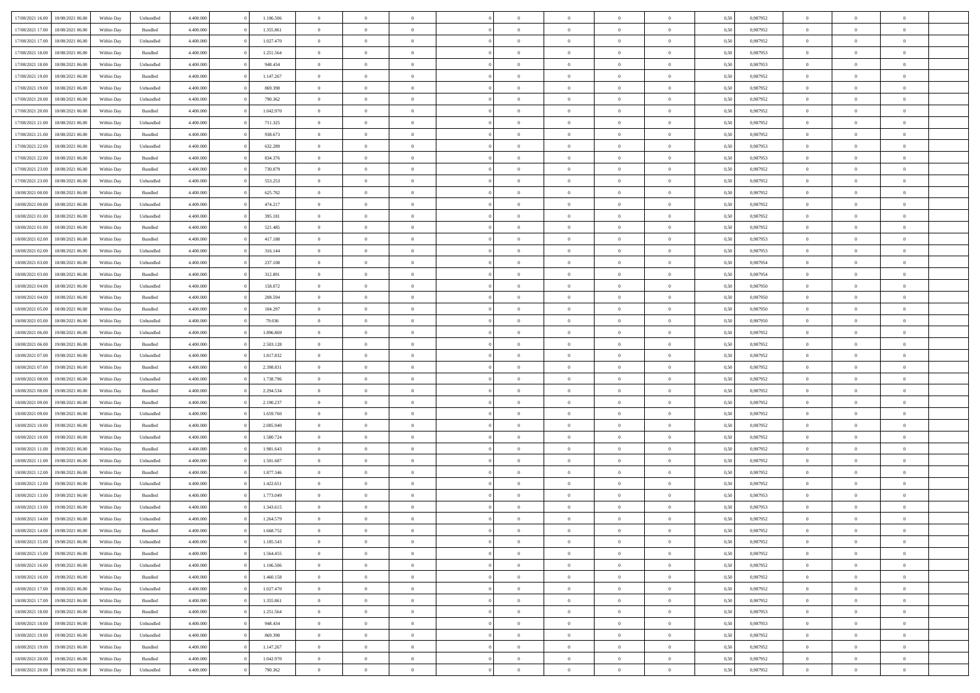| 17/08/2021 16:00 | 18/08/2021 06:00 | Within Dav | Unbundled          | 4.400.000 | 1.106.506 | $\overline{0}$ | $\theta$       |                | $\Omega$       | $\Omega$       | $\theta$       | $\theta$       | 0,50 | 0,987952 | $\theta$       | $\overline{0}$ | $\overline{0}$ |  |
|------------------|------------------|------------|--------------------|-----------|-----------|----------------|----------------|----------------|----------------|----------------|----------------|----------------|------|----------|----------------|----------------|----------------|--|
|                  |                  |            |                    |           |           |                |                |                |                |                |                |                |      |          |                |                |                |  |
| 17/08/2021 17:00 | 18/08/2021 06:00 | Within Day | Bundled            | 4.400.000 | 1.355.861 | $\overline{0}$ | $\overline{0}$ | $\overline{0}$ | $\overline{0}$ | $\bf{0}$       | $\overline{0}$ | $\bf{0}$       | 0,50 | 0,987952 | $\theta$       | $\overline{0}$ | $\overline{0}$ |  |
| 17/08/2021 17:00 | 18/08/2021 06:00 | Within Day | Unbundled          | 4.400.000 | 1.027.470 | $\overline{0}$ | $\overline{0}$ | $\overline{0}$ | $\overline{0}$ | $\bf{0}$       | $\overline{0}$ | $\mathbf{0}$   | 0,50 | 0,987952 | $\overline{0}$ | $\overline{0}$ | $\bf{0}$       |  |
| 17/08/2021 18:00 | 18/08/2021 06:00 | Within Dav | Bundled            | 4.400.000 | 1.251.564 | $\overline{0}$ | $\overline{0}$ | $\overline{0}$ | $\overline{0}$ | $\bf{0}$       | $\overline{0}$ | $\overline{0}$ | 0.50 | 0,987953 | $\theta$       | $\overline{0}$ | $\overline{0}$ |  |
| 17/08/2021 18:00 | 18/08/2021 06:00 | Within Day | Unbundled          | 4.400.000 | 948.434   | $\overline{0}$ | $\theta$       | $\overline{0}$ | $\overline{0}$ | $\bf{0}$       | $\overline{0}$ | $\bf{0}$       | 0,50 | 0,987953 | $\,$ 0 $\,$    | $\overline{0}$ | $\overline{0}$ |  |
| 17/08/2021 19:00 | 18/08/2021 06:00 | Within Day | Bundled            | 4.400.000 | 1.147.267 | $\overline{0}$ | $\overline{0}$ | $\overline{0}$ | $\overline{0}$ | $\overline{0}$ | $\overline{0}$ | $\mathbf{0}$   | 0,50 | 0,987952 | $\overline{0}$ | $\overline{0}$ | $\bf{0}$       |  |
| 17/08/2021 19:00 | 18/08/2021 06:00 | Within Dav | Unbundled          | 4.400.000 | 869.398   | $\overline{0}$ | $\overline{0}$ | $\overline{0}$ | $\overline{0}$ | $\overline{0}$ | $\overline{0}$ | $\overline{0}$ | 0.50 | 0,987952 | $\theta$       | $\overline{0}$ | $\overline{0}$ |  |
|                  |                  |            |                    |           |           |                |                |                |                |                |                |                |      |          |                |                |                |  |
| 17/08/2021 20:00 | 18/08/2021 06:00 | Within Day | Unbundled          | 4.400.000 | 790.362   | $\overline{0}$ | $\theta$       | $\overline{0}$ | $\overline{0}$ | $\bf{0}$       | $\overline{0}$ | $\bf{0}$       | 0,50 | 0,987952 | $\theta$       | $\theta$       | $\overline{0}$ |  |
| 17/08/2021 20:00 | 18/08/2021 06:00 | Within Day | Bundled            | 4.400.000 | 1.042.970 | $\overline{0}$ | $\overline{0}$ | $\overline{0}$ | $\overline{0}$ | $\bf{0}$       | $\overline{0}$ | $\mathbf{0}$   | 0,50 | 0,987952 | $\,0\,$        | $\overline{0}$ | $\overline{0}$ |  |
| 17/08/2021 21:00 | 18/08/2021 06:00 | Within Dav | Unbundled          | 4.400.000 | 711.325   | $\overline{0}$ | $\overline{0}$ | $\overline{0}$ | $\overline{0}$ | $\overline{0}$ | $\overline{0}$ | $\overline{0}$ | 0.50 | 0,987952 | $\theta$       | $\overline{0}$ | $\overline{0}$ |  |
| 17/08/2021 21:00 | 18/08/2021 06:00 | Within Day | Bundled            | 4.400.000 | 938.673   | $\overline{0}$ | $\theta$       | $\overline{0}$ | $\overline{0}$ | $\bf{0}$       | $\overline{0}$ | $\bf{0}$       | 0,50 | 0,987952 | $\,$ 0 $\,$    | $\overline{0}$ | $\overline{0}$ |  |
| 17/08/2021 22:00 | 18/08/2021 06:00 | Within Day | Unbundled          | 4.400.000 | 632.289   | $\overline{0}$ | $\overline{0}$ | $\overline{0}$ | $\bf{0}$       | $\bf{0}$       | $\bf{0}$       | $\mathbf{0}$   | 0,50 | 0,987953 | $\overline{0}$ | $\overline{0}$ | $\bf{0}$       |  |
| 17/08/2021 22:00 | 18/08/2021 06:00 | Within Dav | Bundled            | 4.400.000 | 834.376   | $\overline{0}$ | $\overline{0}$ | $\overline{0}$ | $\overline{0}$ | $\bf{0}$       | $\overline{0}$ | $\overline{0}$ | 0.50 | 0,987953 | $\theta$       | $\theta$       | $\overline{0}$ |  |
| 17/08/2021 23:00 | 18/08/2021 06:00 | Within Day | Bundled            | 4.400.000 | 730.079   | $\overline{0}$ | $\theta$       | $\overline{0}$ | $\overline{0}$ | $\bf{0}$       | $\overline{0}$ | $\bf{0}$       | 0,50 | 0,987952 | $\theta$       | $\overline{0}$ | $\overline{0}$ |  |
|                  |                  |            |                    |           |           |                |                |                |                |                |                |                |      |          |                |                |                |  |
| 17/08/2021 23:00 | 18/08/2021 06:00 | Within Day | Unbundled          | 4.400.000 | 553.253   | $\overline{0}$ | $\overline{0}$ | $\overline{0}$ | $\bf{0}$       | $\overline{0}$ | $\overline{0}$ | $\mathbf{0}$   | 0,50 | 0,987952 | $\overline{0}$ | $\overline{0}$ | $\bf{0}$       |  |
| 18/08/2021 00:00 | 18/08/2021 06:00 | Within Dav | Bundled            | 4.400.000 | 625.782   | $\overline{0}$ | $\overline{0}$ | $\overline{0}$ | $\overline{0}$ | $\overline{0}$ | $\overline{0}$ | $\overline{0}$ | 0.50 | 0,987952 | $\theta$       | $\overline{0}$ | $\overline{0}$ |  |
| 18/08/2021 00:00 | 18/08/2021 06:00 | Within Day | Unbundled          | 4.400.000 | 474.217   | $\overline{0}$ | $\theta$       | $\overline{0}$ | $\overline{0}$ | $\bf{0}$       | $\overline{0}$ | $\bf{0}$       | 0,50 | 0,987952 | $\,$ 0 $\,$    | $\overline{0}$ | $\overline{0}$ |  |
| 18/08/2021 01:00 | 18/08/2021 06:00 | Within Day | Unbundled          | 4.400.000 | 395.181   | $\overline{0}$ | $\overline{0}$ | $\overline{0}$ | $\bf{0}$       | $\bf{0}$       | $\bf{0}$       | $\mathbf{0}$   | 0,50 | 0,987952 | $\bf{0}$       | $\overline{0}$ | $\bf{0}$       |  |
| 18/08/2021 01:00 | 18/08/2021 06:00 | Within Dav | Bundled            | 4.400.000 | 521.485   | $\overline{0}$ | $\overline{0}$ | $\overline{0}$ | $\overline{0}$ | $\overline{0}$ | $\overline{0}$ | $\overline{0}$ | 0.50 | 0,987952 | $\theta$       | $\overline{0}$ | $\overline{0}$ |  |
| 18/08/2021 02:00 | 18/08/2021 06:00 | Within Day | Bundled            | 4.400.000 | 417.188   | $\overline{0}$ | $\theta$       | $\overline{0}$ | $\overline{0}$ | $\bf{0}$       | $\overline{0}$ | $\bf{0}$       | 0,50 | 0,987953 | $\,$ 0 $\,$    | $\overline{0}$ | $\overline{0}$ |  |
| 18/08/2021 02:00 | 18/08/2021 06:00 | Within Day | Unbundled          | 4.400.000 | 316.144   | $\overline{0}$ | $\overline{0}$ | $\overline{0}$ | $\bf{0}$       | $\bf{0}$       | $\bf{0}$       | $\mathbf{0}$   | 0,50 | 0,987953 | $\overline{0}$ | $\overline{0}$ | $\bf{0}$       |  |
| 18/08/2021 03:00 | 18/08/2021 06:00 | Within Day | Unbundled          | 4.400.000 | 237.108   | $\overline{0}$ | $\overline{0}$ | $\overline{0}$ | $\overline{0}$ | $\overline{0}$ | $\overline{0}$ | $\overline{0}$ | 0.50 | 0,987954 | $\theta$       | $\overline{0}$ | $\overline{0}$ |  |
|                  |                  |            |                    |           |           |                |                |                |                |                |                |                |      |          |                |                |                |  |
| 18/08/2021 03:00 | 18/08/2021 06:00 | Within Day | Bundled            | 4.400.000 | 312.891   | $\overline{0}$ | $\theta$       | $\overline{0}$ | $\overline{0}$ | $\bf{0}$       | $\overline{0}$ | $\bf{0}$       | 0,50 | 0,987954 | $\,$ 0 $\,$    | $\overline{0}$ | $\overline{0}$ |  |
| 18/08/2021 04:00 | 18/08/2021 06:00 | Within Day | Unbundled          | 4.400.000 | 158.072   | $\overline{0}$ | $\overline{0}$ | $\overline{0}$ | $\bf{0}$       | $\overline{0}$ | $\overline{0}$ | $\mathbf{0}$   | 0,50 | 0,987950 | $\overline{0}$ | $\overline{0}$ | $\bf{0}$       |  |
| 18/08/2021 04:00 | 18/08/2021 06:00 | Within Dav | Bundled            | 4.400.000 | 208.594   | $\overline{0}$ | $\overline{0}$ | $\overline{0}$ | $\overline{0}$ | $\overline{0}$ | $\overline{0}$ | $\overline{0}$ | 0.50 | 0,987950 | $\overline{0}$ | $\overline{0}$ | $\overline{0}$ |  |
| 18/08/2021 05:00 | 18/08/2021 06:00 | Within Day | Bundled            | 4.400.000 | 104.297   | $\overline{0}$ | $\theta$       | $\overline{0}$ | $\overline{0}$ | $\bf{0}$       | $\overline{0}$ | $\bf{0}$       | 0,50 | 0,987950 | $\,$ 0 $\,$    | $\overline{0}$ | $\overline{0}$ |  |
| 18/08/2021 05:00 | 18/08/2021 06:00 | Within Day | Unbundled          | 4.400.000 | 79.036    | $\overline{0}$ | $\overline{0}$ | $\overline{0}$ | $\bf{0}$       | $\bf{0}$       | $\bf{0}$       | $\bf{0}$       | 0,50 | 0,987950 | $\,0\,$        | $\overline{0}$ | $\bf{0}$       |  |
| 18/08/2021 06:00 | 19/08/2021 06:00 | Within Day | Unbundled          | 4.400.000 | 1.896.869 | $\overline{0}$ | $\overline{0}$ | $\overline{0}$ | $\overline{0}$ | $\overline{0}$ | $\overline{0}$ | $\overline{0}$ | 0.50 | 0,987952 | $\theta$       | $\overline{0}$ | $\overline{0}$ |  |
| 18/08/2021 06:00 | 19/08/2021 06:00 | Within Day | Bundled            | 4.400.000 | 2.503.128 | $\overline{0}$ | $\overline{0}$ | $\overline{0}$ | $\overline{0}$ | $\bf{0}$       | $\overline{0}$ | $\bf{0}$       | 0,50 | 0,987952 | $\,$ 0 $\,$    | $\overline{0}$ | $\overline{0}$ |  |
|                  |                  |            |                    |           |           |                |                |                |                |                |                |                |      |          |                |                |                |  |
| 18/08/2021 07:00 | 19/08/2021 06:00 | Within Day | Unbundled          | 4.400.000 | 1.817.832 | $\overline{0}$ | $\overline{0}$ | $\overline{0}$ | $\overline{0}$ | $\bf{0}$       | $\overline{0}$ | $\bf{0}$       | 0,50 | 0,987952 | $\overline{0}$ | $\overline{0}$ | $\bf{0}$       |  |
| 18/08/2021 07:00 | 19/08/2021 06:00 | Within Day | Bundled            | 4.400,000 | 2.398.831 | $\overline{0}$ | $\Omega$       | $\overline{0}$ | $\Omega$       | $\Omega$       | $\overline{0}$ | $\overline{0}$ | 0,50 | 0,987952 | $\,0\,$        | $\theta$       | $\theta$       |  |
| 18/08/2021 08:00 | 19/08/2021 06:00 | Within Day | Unbundled          | 4.400.000 | 1.738.796 | $\overline{0}$ | $\overline{0}$ | $\overline{0}$ | $\overline{0}$ | $\bf{0}$       | $\overline{0}$ | $\bf{0}$       | 0,50 | 0,987952 | $\,$ 0 $\,$    | $\overline{0}$ | $\overline{0}$ |  |
| 18/08/2021 08:00 | 19/08/2021 06:00 | Within Day | Bundled            | 4.400.000 | 2.294.534 | $\overline{0}$ | $\overline{0}$ | $\overline{0}$ | $\overline{0}$ | $\overline{0}$ | $\overline{0}$ | $\mathbf{0}$   | 0,50 | 0,987952 | $\overline{0}$ | $\overline{0}$ | $\bf{0}$       |  |
| 18/08/2021 09:00 | 19/08/2021 06:00 | Within Day | Bundled            | 4.400,000 | 2.190.237 | $\overline{0}$ | $\Omega$       | $\Omega$       | $\Omega$       | $\overline{0}$ | $\overline{0}$ | $\overline{0}$ | 0.50 | 0,987952 | $\,0\,$        | $\theta$       | $\theta$       |  |
| 18/08/2021 09:00 | 19/08/2021 06:00 | Within Day | Unbundled          | 4.400.000 | 1.659.760 | $\overline{0}$ | $\theta$       | $\overline{0}$ | $\overline{0}$ | $\bf{0}$       | $\overline{0}$ | $\bf{0}$       | 0,50 | 0,987952 | $\,$ 0 $\,$    | $\overline{0}$ | $\overline{0}$ |  |
| 18/08/2021 10:00 | 19/08/2021 06:00 | Within Day | Bundled            | 4.400.000 | 2.085.940 | $\overline{0}$ | $\overline{0}$ | $\overline{0}$ | $\overline{0}$ | $\bf{0}$       | $\overline{0}$ | $\mathbf{0}$   | 0,50 | 0,987952 | $\bf{0}$       | $\overline{0}$ | $\bf{0}$       |  |
| 18/08/2021 10:00 | 19/08/2021 06:00 | Within Day | Unbundled          | 4.400,000 | 1.580.724 | $\overline{0}$ | $\Omega$       | $\overline{0}$ | $\Omega$       | $\overline{0}$ | $\overline{0}$ | $\overline{0}$ | 0.50 | 0.987952 | $\,$ 0 $\,$    | $\theta$       | $\theta$       |  |
| 18/08/2021 11:00 | 19/08/2021 06:00 |            | Bundled            | 4.400.000 | 1.981.643 | $\overline{0}$ | $\overline{0}$ | $\overline{0}$ | $\overline{0}$ | $\,$ 0         | $\overline{0}$ |                |      | 0,987952 | $\,$ 0 $\,$    | $\overline{0}$ | $\overline{0}$ |  |
|                  |                  | Within Day |                    |           |           |                |                |                |                |                |                | $\bf{0}$       | 0,50 |          |                |                |                |  |
| 18/08/2021 11:00 | 19/08/2021 06:00 | Within Day | Unbundled          | 4.400.000 | 1.501.687 | $\overline{0}$ | $\overline{0}$ | $\overline{0}$ | $\overline{0}$ | $\bf{0}$       | $\overline{0}$ | $\mathbf{0}$   | 0,50 | 0,987952 | $\overline{0}$ | $\overline{0}$ | $\bf{0}$       |  |
| 18/08/2021 12:00 | 19/08/2021 06:00 | Within Day | Bundled            | 4.400,000 | 1.877.346 | $\overline{0}$ | $\Omega$       | $\overline{0}$ | $\Omega$       | $\overline{0}$ | $\overline{0}$ | $\overline{0}$ | 0,50 | 0,987952 | $\,0\,$        | $\theta$       | $\theta$       |  |
| 18/08/2021 12:00 | 19/08/2021 06:00 | Within Day | Unbundled          | 4.400.000 | 1.422.651 | $\overline{0}$ | $\overline{0}$ | $\overline{0}$ | $\overline{0}$ | $\,$ 0         | $\overline{0}$ | $\bf{0}$       | 0,50 | 0,987952 | $\,$ 0 $\,$    | $\overline{0}$ | $\overline{0}$ |  |
| 18/08/2021 13:00 | 19/08/2021 06:00 | Within Day | Bundled            | 4.400.000 | 1.773.049 | $\overline{0}$ | $\overline{0}$ | $\overline{0}$ | $\overline{0}$ | $\bf{0}$       | $\overline{0}$ | $\mathbf{0}$   | 0,50 | 0,987953 | $\overline{0}$ | $\overline{0}$ | $\bf{0}$       |  |
| 18/08/2021 13:00 | 19/08/2021 06:00 | Within Day | Unbundled          | 4.400,000 | 1.343.615 | $\overline{0}$ | $\Omega$       | $\Omega$       | $\Omega$       | $\Omega$       | $\Omega$       | $\overline{0}$ | 0.50 | 0.987953 | $\theta$       | $\theta$       | $\theta$       |  |
| 18/08/2021 14:00 | 19/08/2021 06:00 | Within Day | Unbundled          | 4.400.000 | 1.264.579 | $\overline{0}$ | $\overline{0}$ | $\bf{0}$       | $\bf{0}$       | $\,$ 0         | $\bf{0}$       | $\bf{0}$       | 0,50 | 0,987952 | $\,0\,$        | $\,$ 0 $\,$    | $\overline{0}$ |  |
| 18/08/2021 14:00 | 19/08/2021 06:00 | Within Day | $\mathbf B$ undled | 4.400.000 | 1.668.752 | $\bf{0}$       | $\bf{0}$       |                |                | $\bf{0}$       |                |                | 0,50 | 0,987952 | $\bf{0}$       | $\overline{0}$ |                |  |
| 18/08/2021 15:00 | 19/08/2021 06:00 | Within Day | Unbundled          | 4.400.000 | 1.185.543 | $\overline{0}$ | $\overline{0}$ | $\overline{0}$ | $\Omega$       | $\overline{0}$ | $\overline{0}$ | $\overline{0}$ | 0.50 | 0.987952 | $\theta$       | $\theta$       | $\theta$       |  |
|                  |                  |            |                    |           |           |                |                |                |                |                |                |                |      |          |                |                |                |  |
| 18/08/2021 15:00 | 19/08/2021 06:00 | Within Day | Bundled            | 4.400.000 | 1.564.455 | $\overline{0}$ | $\,$ 0         | $\overline{0}$ | $\bf{0}$       | $\,$ 0 $\,$    | $\overline{0}$ | $\,$ 0 $\,$    | 0,50 | 0,987952 | $\,$ 0 $\,$    | $\,$ 0 $\,$    | $\,$ 0         |  |
| 18/08/2021 16:00 | 19/08/2021 06:00 | Within Day | Unbundled          | 4.400.000 | 1.106.506 | $\overline{0}$ | $\overline{0}$ | $\overline{0}$ | $\overline{0}$ | $\overline{0}$ | $\overline{0}$ | $\mathbf{0}$   | 0,50 | 0,987952 | $\overline{0}$ | $\bf{0}$       | $\bf{0}$       |  |
| 18/08/2021 16:00 | 19/08/2021 06:00 | Within Day | $\mathbf B$ undled | 4.400,000 | 1.460.158 | $\overline{0}$ | $\overline{0}$ | $\overline{0}$ | $\Omega$       | $\overline{0}$ | $\overline{0}$ | $\overline{0}$ | 0,50 | 0,987952 | $\overline{0}$ | $\theta$       | $\overline{0}$ |  |
| 18/08/2021 17:00 | 19/08/2021 06:00 | Within Day | Unbundled          | 4.400.000 | 1.027.470 | $\overline{0}$ | $\,$ 0         | $\overline{0}$ | $\bf{0}$       | $\,$ 0 $\,$    | $\overline{0}$ | $\mathbf{0}$   | 0,50 | 0,987952 | $\,$ 0 $\,$    | $\overline{0}$ | $\overline{0}$ |  |
| 18/08/2021 17:00 | 19/08/2021 06:00 | Within Day | Bundled            | 4.400.000 | 1.355.861 | $\overline{0}$ | $\overline{0}$ | $\overline{0}$ | $\overline{0}$ | $\overline{0}$ | $\overline{0}$ | $\mathbf{0}$   | 0,50 | 0,987952 | $\overline{0}$ | $\overline{0}$ | $\bf{0}$       |  |
| 18/08/2021 18:00 | 19/08/2021 06:00 | Within Day | Bundled            | 4.400.000 | 1.251.564 | $\overline{0}$ | $\overline{0}$ | $\overline{0}$ | $\overline{0}$ | $\overline{0}$ | $\overline{0}$ | $\bf{0}$       | 0.50 | 0,987953 | $\overline{0}$ | $\theta$       | $\overline{0}$ |  |
| 18/08/2021 18:00 | 19/08/2021 06:00 | Within Day | Unbundled          | 4.400.000 | 948.434   | $\overline{0}$ | $\,$ 0         | $\overline{0}$ | $\bf{0}$       | $\bf{0}$       | $\bf{0}$       | $\bf{0}$       | 0,50 | 0,987953 | $\,$ 0 $\,$    | $\overline{0}$ | $\overline{0}$ |  |
| 18/08/2021 19:00 | 19/08/2021 06:00 | Within Day | Unbundled          | 4.400.000 | 869.398   | $\overline{0}$ | $\bf{0}$       | $\overline{0}$ | $\overline{0}$ | $\overline{0}$ | $\overline{0}$ | $\mathbf{0}$   | 0,50 | 0,987952 | $\overline{0}$ | $\overline{0}$ | $\bf{0}$       |  |
|                  |                  |            |                    |           |           |                |                |                |                |                |                |                |      |          |                |                |                |  |
| 18/08/2021 19:00 | 19/08/2021 06:00 | Within Day | Bundled            | 4.400,000 | 1.147.267 | $\overline{0}$ | $\overline{0}$ | $\overline{0}$ | $\Omega$       | $\overline{0}$ | $\overline{0}$ | $\bf{0}$       | 0.50 | 0,987952 | $\overline{0}$ | $\overline{0}$ | $\overline{0}$ |  |
| 18/08/2021 20:00 | 19/08/2021 06:00 | Within Day | Bundled            | 4.400.000 | 1.042.970 | $\overline{0}$ | $\bf{0}$       | $\overline{0}$ | $\bf{0}$       | $\bf{0}$       | $\bf{0}$       | $\mathbf{0}$   | 0,50 | 0,987952 | $\,$ 0 $\,$    | $\,$ 0 $\,$    | $\bf{0}$       |  |
| 18/08/2021 20:00 | 19/08/2021 06:00 | Within Day | Unbundled          | 4.400.000 | 790.362   | $\overline{0}$ | $\overline{0}$ | $\overline{0}$ | $\overline{0}$ | $\overline{0}$ | $\bf{0}$       | $\mathbf{0}$   | 0,50 | 0,987952 | $\overline{0}$ | $\bf{0}$       | $\overline{0}$ |  |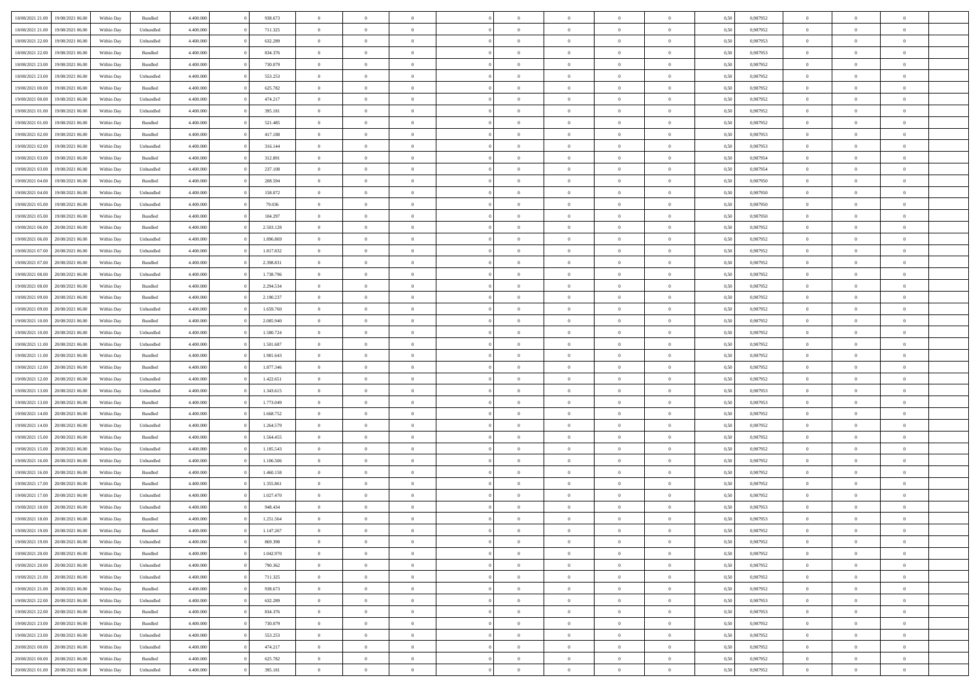|                  |                  |            |                    |           |           | $\overline{0}$ | $\Omega$       |                |                | $\Omega$       | $\theta$       | $\theta$       |      |          | $\theta$       |                | $\theta$       |  |
|------------------|------------------|------------|--------------------|-----------|-----------|----------------|----------------|----------------|----------------|----------------|----------------|----------------|------|----------|----------------|----------------|----------------|--|
| 18/08/2021 21:00 | 19/08/2021 06:00 | Within Day | Bundled            | 4.400.000 | 938.673   |                |                |                | $\Omega$       |                |                |                | 0,50 | 0,987952 |                | $\theta$       |                |  |
| 18/08/2021 21:00 | 19/08/2021 06:00 | Within Day | Unbundled          | 4.400.000 | 711.325   | $\overline{0}$ | $\theta$       | $\overline{0}$ | $\overline{0}$ | $\bf{0}$       | $\overline{0}$ | $\bf{0}$       | 0,50 | 0,987952 | $\theta$       | $\overline{0}$ | $\overline{0}$ |  |
| 18/08/2021 22:00 | 19/08/2021 06:00 | Within Day | Unbundled          | 4.400.000 | 632.289   | $\overline{0}$ | $\overline{0}$ | $\overline{0}$ | $\bf{0}$       | $\bf{0}$       | $\bf{0}$       | $\mathbf{0}$   | 0,50 | 0,987953 | $\overline{0}$ | $\overline{0}$ | $\overline{0}$ |  |
| 18/08/2021 22:00 | 19/08/2021 06:00 | Within Dav | Bundled            | 4.400.000 | 834.376   | $\overline{0}$ | $\overline{0}$ | $\overline{0}$ | $\overline{0}$ | $\bf{0}$       | $\overline{0}$ | $\overline{0}$ | 0.50 | 0,987953 | $\theta$       | $\theta$       | $\overline{0}$ |  |
| 18/08/2021 23:00 | 19/08/2021 06:00 | Within Day | Bundled            | 4.400.000 | 730.079   | $\overline{0}$ | $\theta$       | $\overline{0}$ | $\overline{0}$ | $\bf{0}$       | $\overline{0}$ |                |      | 0,987952 | $\theta$       | $\overline{0}$ | $\overline{0}$ |  |
|                  |                  |            |                    |           |           |                |                |                |                |                |                | $\bf{0}$       | 0,50 |          |                |                |                |  |
| 18/08/2021 23:00 | 19/08/2021 06:00 | Within Day | Unbundled          | 4.400.000 | 553.253   | $\overline{0}$ | $\overline{0}$ | $\overline{0}$ | $\bf{0}$       | $\overline{0}$ | $\overline{0}$ | $\mathbf{0}$   | 0,50 | 0,987952 | $\overline{0}$ | $\overline{0}$ | $\bf{0}$       |  |
| 19/08/2021 00:00 | 19/08/2021 06:00 | Within Dav | Bundled            | 4.400.000 | 625.782   | $\overline{0}$ | $\overline{0}$ | $\overline{0}$ | $\overline{0}$ | $\overline{0}$ | $\overline{0}$ | $\overline{0}$ | 0.50 | 0,987952 | $\theta$       | $\overline{0}$ | $\overline{0}$ |  |
| 19/08/2021 00:00 | 19/08/2021 06:00 | Within Day | Unbundled          | 4.400.000 | 474.217   | $\overline{0}$ | $\theta$       | $\overline{0}$ | $\overline{0}$ | $\bf{0}$       | $\overline{0}$ | $\bf{0}$       | 0,50 | 0,987952 | $\theta$       | $\theta$       | $\overline{0}$ |  |
| 19/08/2021 01:00 | 19/08/2021 06:00 | Within Day | Unbundled          | 4.400.000 | 395.181   | $\overline{0}$ | $\overline{0}$ | $\overline{0}$ | $\bf{0}$       | $\bf{0}$       | $\overline{0}$ | $\bf{0}$       | 0,50 | 0,987952 | $\,0\,$        | $\overline{0}$ | $\overline{0}$ |  |
| 19/08/2021 01:00 | 19/08/2021 06:00 | Within Dav | Bundled            | 4.400.000 | 521.485   | $\overline{0}$ | $\overline{0}$ | $\overline{0}$ | $\overline{0}$ | $\overline{0}$ | $\overline{0}$ | $\overline{0}$ | 0.50 | 0,987952 | $\theta$       | $\overline{0}$ | $\overline{0}$ |  |
|                  |                  |            |                    |           |           |                |                |                |                |                |                |                |      |          |                |                |                |  |
| 19/08/2021 02:00 | 19/08/2021 06:00 | Within Day | Bundled            | 4.400.000 | 417.188   | $\overline{0}$ | $\theta$       | $\overline{0}$ | $\overline{0}$ | $\bf{0}$       | $\overline{0}$ | $\bf{0}$       | 0,50 | 0,987953 | $\,$ 0 $\,$    | $\overline{0}$ | $\overline{0}$ |  |
| 19/08/2021 02:00 | 19/08/2021 06:00 | Within Day | Unbundled          | 4.400.000 | 316.144   | $\overline{0}$ | $\overline{0}$ | $\overline{0}$ | $\overline{0}$ | $\bf{0}$       | $\overline{0}$ | $\mathbf{0}$   | 0,50 | 0,987953 | $\overline{0}$ | $\overline{0}$ | $\bf{0}$       |  |
| 19/08/2021 03:00 | 19/08/2021 06:00 | Within Day | Bundled            | 4.400.000 | 312.891   | $\overline{0}$ | $\overline{0}$ | $\overline{0}$ | $\overline{0}$ | $\bf{0}$       | $\overline{0}$ | $\overline{0}$ | 0.50 | 0,987954 | $\theta$       | $\theta$       | $\overline{0}$ |  |
| 19/08/2021 03:00 | 19/08/2021 06:00 | Within Day | Unbundled          | 4.400.000 | 237.108   | $\overline{0}$ | $\theta$       | $\overline{0}$ | $\overline{0}$ | $\bf{0}$       | $\overline{0}$ | $\bf{0}$       | 0,50 | 0,987954 | $\theta$       | $\overline{0}$ | $\overline{0}$ |  |
| 19/08/2021 04:00 | 19/08/2021 06:00 | Within Day | Bundled            | 4.400.000 | 208.594   | $\overline{0}$ | $\overline{0}$ | $\overline{0}$ | $\overline{0}$ | $\overline{0}$ | $\overline{0}$ | $\mathbf{0}$   | 0,50 | 0,987950 | $\overline{0}$ | $\overline{0}$ | $\bf{0}$       |  |
|                  |                  |            |                    |           |           |                |                |                |                |                |                |                |      |          |                |                |                |  |
| 19/08/2021 04:00 | 19/08/2021 06:00 | Within Day | Unbundled          | 4.400.000 | 158.072   | $\overline{0}$ | $\overline{0}$ | $\overline{0}$ | $\overline{0}$ | $\overline{0}$ | $\overline{0}$ | $\overline{0}$ | 0.50 | 0,987950 | $\theta$       | $\overline{0}$ | $\overline{0}$ |  |
| 19/08/2021 05:00 | 19/08/2021 06:00 | Within Day | Unbundled          | 4.400.000 | 79.036    | $\overline{0}$ | $\theta$       | $\overline{0}$ | $\overline{0}$ | $\bf{0}$       | $\overline{0}$ | $\bf{0}$       | 0,50 | 0,987950 | $\theta$       | $\theta$       | $\overline{0}$ |  |
| 19/08/2021 05:00 | 19/08/2021 06:00 | Within Day | Bundled            | 4.400.000 | 104.297   | $\overline{0}$ | $\overline{0}$ | $\overline{0}$ | $\overline{0}$ | $\bf{0}$       | $\overline{0}$ | $\mathbf{0}$   | 0,50 | 0,987950 | $\,0\,$        | $\overline{0}$ | $\overline{0}$ |  |
| 19/08/2021 06:00 | 20/08/2021 06:00 | Within Day | Bundled            | 4.400.000 | 2.503.128 | $\overline{0}$ | $\overline{0}$ | $\overline{0}$ | $\overline{0}$ | $\overline{0}$ | $\overline{0}$ | $\overline{0}$ | 0.50 | 0,987952 | $\theta$       | $\overline{0}$ | $\overline{0}$ |  |
| 19/08/2021 06:00 | 20/08/2021 06:00 | Within Day | Unbundled          | 4.400.000 | 1.896.869 | $\overline{0}$ | $\theta$       | $\overline{0}$ | $\overline{0}$ | $\bf{0}$       | $\overline{0}$ | $\bf{0}$       | 0,50 | 0,987952 | $\,$ 0 $\,$    | $\overline{0}$ | $\overline{0}$ |  |
| 19/08/2021 07:00 | 20/08/2021 06:00 | Within Day | Unbundled          | 4.400.000 | 1.817.832 | $\overline{0}$ | $\overline{0}$ | $\overline{0}$ | $\overline{0}$ | $\bf{0}$       | $\overline{0}$ | $\mathbf{0}$   | 0,50 | 0,987952 | $\bf{0}$       | $\overline{0}$ | $\bf{0}$       |  |
|                  |                  |            |                    |           |           |                |                |                |                |                |                |                |      |          |                |                |                |  |
| 19/08/2021 07:00 | 20/08/2021 06:00 | Within Day | Bundled            | 4.400.000 | 2.398.831 | $\overline{0}$ | $\overline{0}$ | $\overline{0}$ | $\overline{0}$ | $\overline{0}$ | $\overline{0}$ | $\overline{0}$ | 0.50 | 0,987952 | $\theta$       | $\overline{0}$ | $\overline{0}$ |  |
| 19/08/2021 08:00 | 20/08/2021 06:00 | Within Day | Unbundled          | 4.400.000 | 1.738.796 | $\overline{0}$ | $\theta$       | $\overline{0}$ | $\overline{0}$ | $\bf{0}$       | $\overline{0}$ | $\bf{0}$       | 0,50 | 0,987952 | $\,$ 0 $\,$    | $\overline{0}$ | $\overline{0}$ |  |
| 19/08/2021 08:00 | 20/08/2021 06:00 | Within Day | Bundled            | 4.400.000 | 2.294.534 | $\overline{0}$ | $\overline{0}$ | $\overline{0}$ | $\overline{0}$ | $\overline{0}$ | $\overline{0}$ | $\mathbf{0}$   | 0,50 | 0,987952 | $\overline{0}$ | $\overline{0}$ | $\bf{0}$       |  |
| 19/08/2021 09:00 | 20/08/2021 06:00 | Within Dav | Bundled            | 4.400.000 | 2.190.237 | $\overline{0}$ | $\overline{0}$ | $\overline{0}$ | $\overline{0}$ | $\overline{0}$ | $\overline{0}$ | $\overline{0}$ | 0.50 | 0,987952 | $\theta$       | $\overline{0}$ | $\overline{0}$ |  |
| 19/08/2021 09:00 | 20/08/2021 06:00 | Within Day | Unbundled          | 4.400.000 | 1.659.760 | $\overline{0}$ | $\theta$       | $\overline{0}$ | $\overline{0}$ | $\bf{0}$       | $\overline{0}$ | $\bf{0}$       | 0,50 | 0,987952 | $\theta$       | $\overline{0}$ | $\overline{0}$ |  |
| 19/08/2021 10:00 | 20/08/2021 06:00 | Within Day | Bundled            | 4.400.000 | 2.085.940 | $\overline{0}$ | $\overline{0}$ | $\overline{0}$ | $\overline{0}$ | $\bf{0}$       | $\overline{0}$ | $\bf{0}$       | 0,50 | 0,987952 | $\,0\,$        | $\overline{0}$ | $\overline{0}$ |  |
|                  |                  |            |                    |           |           |                | $\overline{0}$ |                |                | $\overline{0}$ |                |                |      |          | $\theta$       | $\overline{0}$ | $\overline{0}$ |  |
| 19/08/2021 10:00 | 20/08/2021 06:00 | Within Day | Unbundled          | 4.400.000 | 1.580.724 | $\overline{0}$ |                | $\overline{0}$ | $\overline{0}$ |                | $\overline{0}$ | $\overline{0}$ | 0.50 | 0,987952 |                |                |                |  |
| 19/08/2021 11:00 | 20/08/2021 06:00 | Within Day | Unbundled          | 4.400.000 | 1.501.687 | $\overline{0}$ | $\theta$       | $\overline{0}$ | $\overline{0}$ | $\bf{0}$       | $\overline{0}$ | $\bf{0}$       | 0,50 | 0,987952 | $\,$ 0 $\,$    | $\overline{0}$ | $\overline{0}$ |  |
| 19/08/2021 11:00 | 20/08/2021 06:00 | Within Day | Bundled            | 4.400.000 | 1.981.643 | $\overline{0}$ | $\overline{0}$ | $\overline{0}$ | $\bf{0}$       | $\bf{0}$       | $\bf{0}$       | $\bf{0}$       | 0,50 | 0,987952 | $\overline{0}$ | $\overline{0}$ | $\bf{0}$       |  |
| 19/08/2021 12:00 | 20/08/2021 06:00 | Within Day | Bundled            | 4.400,000 | 1.877.346 | $\overline{0}$ | $\Omega$       | $\Omega$       | $\Omega$       | $\Omega$       | $\overline{0}$ | $\overline{0}$ | 0,50 | 0,987952 | $\,0\,$        | $\theta$       | $\theta$       |  |
| 19/08/2021 12:00 | 20/08/2021 06:00 | Within Day | Unbundled          | 4.400.000 | 1.422.651 | $\overline{0}$ | $\theta$       | $\overline{0}$ | $\overline{0}$ | $\bf{0}$       | $\overline{0}$ | $\bf{0}$       | 0,50 | 0,987952 | $\,$ 0 $\,$    | $\overline{0}$ | $\overline{0}$ |  |
| 19/08/2021 13:00 | 20/08/2021 06:00 | Within Day | Unbundled          | 4.400.000 | 1.343.615 | $\overline{0}$ | $\overline{0}$ | $\overline{0}$ | $\bf{0}$       | $\overline{0}$ | $\overline{0}$ | $\mathbf{0}$   | 0,50 | 0,987953 | $\overline{0}$ | $\overline{0}$ | $\bf{0}$       |  |
|                  | 20/08/2021 06:00 |            |                    | 4.400,000 | 1.773.049 | $\overline{0}$ | $\Omega$       | $\Omega$       | $\Omega$       | $\bf{0}$       | $\overline{0}$ | $\overline{0}$ | 0.50 |          | $\,0\,$        | $\theta$       | $\theta$       |  |
| 19/08/2021 13:00 |                  | Within Day | Bundled            |           |           |                |                |                |                |                |                |                |      | 0,987953 |                |                |                |  |
| 19/08/2021 14:00 | 20/08/2021 06:00 | Within Day | Bundled            | 4.400.000 | 1.668.752 | $\overline{0}$ | $\theta$       | $\overline{0}$ | $\overline{0}$ | $\bf{0}$       | $\overline{0}$ | $\bf{0}$       | 0,50 | 0,987952 | $\,$ 0 $\,$    | $\overline{0}$ | $\overline{0}$ |  |
| 19/08/2021 14:00 | 20/08/2021 06:00 | Within Day | Unbundled          | 4.400.000 | 1.264.579 | $\overline{0}$ | $\overline{0}$ | $\overline{0}$ | $\bf{0}$       | $\bf{0}$       | $\bf{0}$       | $\bf{0}$       | 0,50 | 0,987952 | $\bf{0}$       | $\overline{0}$ | $\bf{0}$       |  |
| 19/08/2021 15:00 | 20/08/2021 06:00 | Within Day | Bundled            | 4.400,000 | 1.564.455 | $\overline{0}$ | $\Omega$       | $\Omega$       | $\Omega$       | $\overline{0}$ | $\overline{0}$ | $\overline{0}$ | 0.50 | 0.987952 | $\,$ 0 $\,$    | $\theta$       | $\theta$       |  |
| 19/08/2021 15:00 | 20/08/2021 06:00 | Within Day | Unbundled          | 4.400.000 | 1.185.543 | $\overline{0}$ | $\theta$       | $\overline{0}$ | $\overline{0}$ | $\,$ 0         | $\overline{0}$ | $\bf{0}$       | 0,50 | 0,987952 | $\,$ 0 $\,$    | $\overline{0}$ | $\overline{0}$ |  |
| 19/08/2021 16:00 | 20/08/2021 06:00 | Within Day | Unbundled          | 4.400.000 | 1.106.506 | $\overline{0}$ | $\bf{0}$       | $\overline{0}$ | $\bf{0}$       | $\bf{0}$       | $\bf{0}$       | $\mathbf{0}$   | 0,50 | 0,987952 | $\overline{0}$ | $\overline{0}$ | $\bf{0}$       |  |
|                  |                  |            |                    | 4.400,000 |           | $\overline{0}$ | $\Omega$       |                | $\Omega$       |                |                |                |      |          |                | $\theta$       | $\theta$       |  |
| 19/08/2021 16:00 | 20/08/2021 06:00 | Within Day | Bundled            |           | 1.460.158 |                |                | $\overline{0}$ |                | $\overline{0}$ | $\overline{0}$ | $\overline{0}$ | 0.50 | 0,987952 | $\,0\,$        |                |                |  |
| 19/08/2021 17:00 | 20/08/2021 06:00 | Within Day | Bundled            | 4.400.000 | 1.355.861 | $\overline{0}$ | $\overline{0}$ | $\overline{0}$ | $\overline{0}$ | $\,$ 0         | $\overline{0}$ | $\bf{0}$       | 0,50 | 0,987952 | $\,$ 0 $\,$    | $\overline{0}$ | $\overline{0}$ |  |
| 19/08/2021 17:00 | 20/08/2021 06:00 | Within Day | Unbundled          | 4.400.000 | 1.027.470 | $\overline{0}$ | $\overline{0}$ | $\overline{0}$ | $\bf{0}$       | $\bf{0}$       | $\overline{0}$ | $\mathbf{0}$   | 0,50 | 0,987952 | $\overline{0}$ | $\overline{0}$ | $\bf{0}$       |  |
| 19/08/2021 18:00 | 20/08/2021 06:00 | Within Day | Unbundled          | 4.400,000 | 948,434   | $\overline{0}$ | $\Omega$       | $\Omega$       | $\Omega$       | $\Omega$       | $\Omega$       | $\overline{0}$ | 0.50 | 0.987953 | $\theta$       | $\theta$       | $\theta$       |  |
| 19/08/2021 18:00 | 20/08/2021 06:00 | Within Day | Bundled            | 4.400.000 | 1.251.564 | $\overline{0}$ | $\overline{0}$ | $\overline{0}$ | $\bf{0}$       | $\,$ 0         | $\bf{0}$       | $\bf{0}$       | 0,50 | 0,987953 | $\,0\,$        | $\,$ 0 $\,$    | $\overline{0}$ |  |
| 19/08/2021 19:00 | 20/08/2021 06:00 | Within Day | $\mathbf B$ undled | 4.400.000 | 1.147.267 | $\bf{0}$       | $\bf{0}$       |                |                | $\bf{0}$       |                |                | 0,50 | 0,987952 | $\bf{0}$       | $\overline{0}$ |                |  |
| 19/08/2021 19:00 | 20/08/2021 06:00 | Within Day | Unbundled          | 4.400.000 | 869,398   | $\overline{0}$ | $\overline{0}$ | $\overline{0}$ | $\Omega$       | $\overline{0}$ | $\overline{0}$ | $\overline{0}$ | 0,50 | 0.987952 | $\theta$       | $\theta$       | $\theta$       |  |
|                  |                  |            |                    |           |           |                | $\bf{0}$       |                |                | $\,$ 0 $\,$    |                |                |      |          | $\,$ 0 $\,$    | $\,$ 0 $\,$    | $\,$ 0         |  |
| 19/08/2021 20:00 | 20/08/2021 06:00 | Within Day | Bundled            | 4.400.000 | 1.042.970 | $\overline{0}$ |                | $\overline{0}$ | $\bf{0}$       |                | $\overline{0}$ | $\,$ 0 $\,$    | 0,50 | 0,987952 |                |                |                |  |
| 19/08/2021 20:00 | 20/08/2021 06:00 | Within Day | Unbundled          | 4.400.000 | 790.362   | $\overline{0}$ | $\overline{0}$ | $\overline{0}$ | $\overline{0}$ | $\overline{0}$ | $\overline{0}$ | $\mathbf{0}$   | 0,50 | 0,987952 | $\overline{0}$ | $\overline{0}$ | $\overline{0}$ |  |
| 19/08/2021 21:00 | 20/08/2021 06:00 | Within Day | Unbundled          | 4.400.000 | 711.325   | $\overline{0}$ | $\overline{0}$ | $\overline{0}$ | $\overline{0}$ | $\overline{0}$ | $\overline{0}$ | $\overline{0}$ | 0,50 | 0,987952 | $\overline{0}$ | $\,$ 0 $\,$    | $\overline{0}$ |  |
| 19/08/2021 21:00 | 20/08/2021 06:00 | Within Day | Bundled            | 4.400.000 | 938.673   | $\overline{0}$ | $\,$ 0         | $\overline{0}$ | $\overline{0}$ | $\,$ 0 $\,$    | $\overline{0}$ | $\,$ 0 $\,$    | 0,50 | 0,987952 | $\,$ 0 $\,$    | $\overline{0}$ | $\,$ 0         |  |
| 19/08/2021 22:00 | 20/08/2021 06:00 | Within Day | Unbundled          | 4.400.000 | 632.289   | $\overline{0}$ | $\overline{0}$ | $\overline{0}$ | $\overline{0}$ | $\overline{0}$ | $\overline{0}$ | $\mathbf{0}$   | 0,50 | 0,987953 | $\overline{0}$ | $\overline{0}$ | $\overline{0}$ |  |
| 19/08/2021 22:00 | 20/08/2021 06:00 | Within Day | Bundled            | 4.400,000 | 834,376   | $\overline{0}$ | $\overline{0}$ | $\overline{0}$ | $\overline{0}$ | $\overline{0}$ | $\overline{0}$ | $\overline{0}$ | 0.50 | 0,987953 | $\overline{0}$ | $\theta$       | $\overline{0}$ |  |
| 19/08/2021 23:00 | 20/08/2021 06:00 | Within Day | Bundled            | 4.400.000 | 730.079   | $\overline{0}$ | $\,$ 0         | $\overline{0}$ | $\overline{0}$ | $\bf{0}$       | $\overline{0}$ | $\bf{0}$       | 0,50 | 0,987952 | $\,$ 0 $\,$    | $\overline{0}$ | $\overline{0}$ |  |
|                  |                  |            |                    |           |           |                |                |                |                |                |                |                |      |          |                |                |                |  |
| 19/08/2021 23:00 | 20/08/2021 06:00 | Within Day | Unbundled          | 4.400.000 | 553.253   | $\overline{0}$ | $\overline{0}$ | $\overline{0}$ | $\overline{0}$ | $\overline{0}$ | $\overline{0}$ | $\mathbf{0}$   | 0,50 | 0,987952 | $\overline{0}$ | $\overline{0}$ | $\bf{0}$       |  |
| 20/08/2021 00:00 | 20/08/2021 06:00 | Within Day | Unbundled          | 4.400,000 | 474.217   | $\overline{0}$ | $\overline{0}$ | $\overline{0}$ | $\Omega$       | $\overline{0}$ | $\overline{0}$ | $\overline{0}$ | 0.50 | 0,987952 | $\overline{0}$ | $\overline{0}$ | $\overline{0}$ |  |
| 20/08/2021 00:00 | 20/08/2021 06:00 | Within Day | Bundled            | 4.400.000 | 625.782   | $\overline{0}$ | $\bf{0}$       | $\overline{0}$ | $\bf{0}$       | $\bf{0}$       | $\overline{0}$ | $\mathbf{0}$   | 0,50 | 0,987952 | $\,$ 0 $\,$    | $\,$ 0 $\,$    | $\bf{0}$       |  |
| 20/08/2021 01:00 | 20/08/2021 06:00 | Within Day | Unbundled          | 4.400.000 | 395.181   | $\overline{0}$ | $\overline{0}$ | $\overline{0}$ | $\overline{0}$ | $\overline{0}$ | $\overline{0}$ | $\mathbf{0}$   | 0,50 | 0,987952 | $\overline{0}$ | $\bf{0}$       | $\overline{0}$ |  |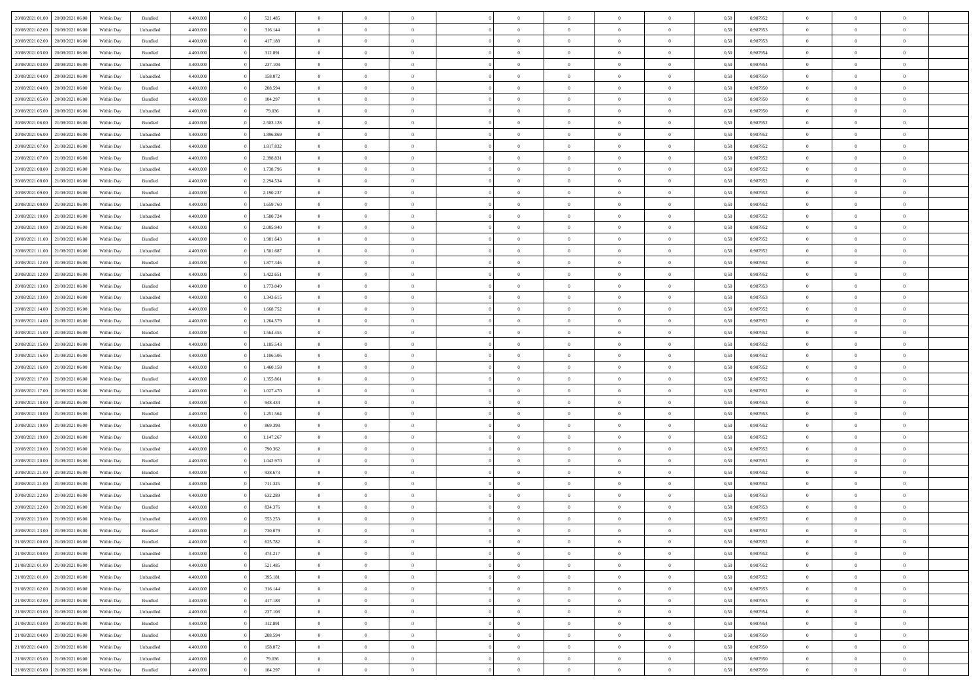| 20/08/2021 01:00 20/08/2021 06:00    | Within Day | Bundled   | 4.400.000 | 521.485   | $\overline{0}$ | $\overline{0}$ | $\Omega$       | $\Omega$       | $\theta$       | $\Omega$       | $\overline{0}$ | 0,50 | 0,987952 | $\theta$       | $\theta$       | $\theta$       |  |
|--------------------------------------|------------|-----------|-----------|-----------|----------------|----------------|----------------|----------------|----------------|----------------|----------------|------|----------|----------------|----------------|----------------|--|
| 20/08/2021 02:00<br>20/08/2021 06:00 | Within Day | Unbundled | 4.400.000 | 316.144   | $\overline{0}$ | $\overline{0}$ | $\overline{0}$ | $\overline{0}$ | $\theta$       | $\overline{0}$ | $\bf{0}$       | 0,50 | 0,987953 | $\theta$       | $\theta$       | $\overline{0}$ |  |
| 20/08/2021 02:00<br>20/08/2021 06:00 | Within Day | Bundled   | 4.400.000 | 417.188   | $\overline{0}$ | $\bf{0}$       | $\overline{0}$ | $\overline{0}$ | $\overline{0}$ | $\overline{0}$ | $\bf{0}$       | 0,50 | 0,987953 | $\bf{0}$       | $\overline{0}$ | $\overline{0}$ |  |
| 20/08/2021 03:00<br>20/08/2021 06:00 | Within Day | Bundled   | 4.400.000 | 312.891   | $\overline{0}$ | $\overline{0}$ | $\overline{0}$ | $\overline{0}$ | $\theta$       | $\overline{0}$ | $\overline{0}$ | 0.50 | 0,987954 | $\theta$       | $\theta$       | $\overline{0}$ |  |
| 20/08/2021 03:00<br>20/08/2021 06:00 | Within Day | Unbundled | 4.400.000 | 237.108   | $\overline{0}$ | $\overline{0}$ | $\overline{0}$ | $\overline{0}$ | $\theta$       | $\overline{0}$ | $\bf{0}$       | 0,50 | 0,987954 | $\theta$       | $\theta$       | $\overline{0}$ |  |
|                                      |            |           |           |           |                |                |                |                |                |                |                |      |          |                |                |                |  |
| 20/08/2021 04:00<br>20/08/2021 06:00 | Within Day | Unbundled | 4.400.000 | 158.072   | $\overline{0}$ | $\bf{0}$       | $\overline{0}$ | $\overline{0}$ | $\overline{0}$ | $\overline{0}$ | $\bf{0}$       | 0,50 | 0,987950 | $\bf{0}$       | $\overline{0}$ | $\bf{0}$       |  |
| 20/08/2021 04:00<br>20/08/2021 06:00 | Within Day | Bundled   | 4.400.000 | 208.594   | $\overline{0}$ | $\overline{0}$ | $\overline{0}$ | $\overline{0}$ | $\overline{0}$ | $\overline{0}$ | $\overline{0}$ | 0.5( | 0,987950 | $\theta$       | $\theta$       | $\overline{0}$ |  |
| 20/08/2021 05:00<br>20/08/2021 06:00 | Within Day | Bundled   | 4.400.000 | 104.297   | $\overline{0}$ | $\theta$       | $\overline{0}$ | $\overline{0}$ | $\theta$       | $\overline{0}$ | $\bf{0}$       | 0,50 | 0,987950 | $\theta$       | $\theta$       | $\overline{0}$ |  |
| 20/08/2021 05:00<br>20/08/2021 06:00 | Within Day | Unbundled | 4.400.000 | 79.036    | $\overline{0}$ | $\bf{0}$       | $\overline{0}$ | $\overline{0}$ | $\overline{0}$ | $\overline{0}$ | $\bf{0}$       | 0,50 | 0,987950 | $\bf{0}$       | $\bf{0}$       | $\overline{0}$ |  |
| 20/08/2021 06:00<br>21/08/2021 06:00 | Within Day | Bundled   | 4.400.000 | 2.503.128 | $\overline{0}$ | $\overline{0}$ | $\overline{0}$ | $\overline{0}$ | $\overline{0}$ | $\overline{0}$ | $\overline{0}$ | 0.5( | 0,987952 | $\theta$       | $\theta$       | $\overline{0}$ |  |
| 20/08/2021 06:00<br>21/08/2021 06:00 | Within Day | Unbundled | 4.400.000 | 1.896.869 | $\bf{0}$       | $\overline{0}$ | $\overline{0}$ | $\overline{0}$ | $\theta$       | $\overline{0}$ | $\bf{0}$       | 0,50 | 0,987952 | $\theta$       | $\theta$       | $\overline{0}$ |  |
| 20/08/2021 07:00<br>21/08/2021 06:00 | Within Day | Unbundled | 4.400.000 | 1.817.832 | $\overline{0}$ | $\bf{0}$       | $\overline{0}$ | $\overline{0}$ | $\bf{0}$       | $\overline{0}$ | $\bf{0}$       | 0,50 | 0,987952 | $\bf{0}$       | $\overline{0}$ | $\overline{0}$ |  |
| 20/08/2021 07:00<br>21/08/2021 06:00 | Within Day | Bundled   | 4.400.000 | 2.398.831 | $\overline{0}$ | $\overline{0}$ | $\overline{0}$ | $\overline{0}$ | $\overline{0}$ | $\overline{0}$ | $\overline{0}$ | 0.5( | 0,987952 | $\theta$       | $\theta$       | $\overline{0}$ |  |
| 20/08/2021 08:00<br>21/08/2021 06:00 | Within Day | Unbundled | 4.400.000 | 1.738.796 | $\overline{0}$ | $\overline{0}$ | $\overline{0}$ | $\overline{0}$ | $\theta$       | $\overline{0}$ | $\bf{0}$       | 0,50 | 0,987952 | $\theta$       | $\theta$       | $\overline{0}$ |  |
| 20/08/2021 08:00<br>21/08/2021 06:00 | Within Day | Bundled   | 4.400.000 | 2.294.534 | $\overline{0}$ | $\bf{0}$       | $\overline{0}$ | $\overline{0}$ | $\overline{0}$ | $\overline{0}$ | $\bf{0}$       | 0,50 | 0,987952 | $\bf{0}$       | $\overline{0}$ | $\bf{0}$       |  |
| 20/08/2021 09:00<br>21/08/2021 06:00 | Within Day | Bundled   | 4.400.000 | 2.190.237 | $\overline{0}$ | $\overline{0}$ | $\overline{0}$ | $\overline{0}$ | $\overline{0}$ | $\overline{0}$ | $\overline{0}$ | 0.5( | 0,987952 | $\theta$       | $\theta$       | $\overline{0}$ |  |
| 20/08/2021 09:00<br>21/08/2021 06:00 | Within Day | Unbundled | 4.400.000 | 1.659.760 | $\bf{0}$       | $\overline{0}$ | $\overline{0}$ | $\overline{0}$ | $\theta$       | $\overline{0}$ | $\bf{0}$       | 0,50 | 0,987952 | $\theta$       | $\theta$       | $\overline{0}$ |  |
|                                      |            |           |           |           |                |                |                |                |                |                |                |      |          |                |                |                |  |
| 20/08/2021 10:00<br>21/08/2021 06:00 | Within Day | Unbundled | 4.400.000 | 1.580.724 | $\overline{0}$ | $\bf{0}$       | $\overline{0}$ | $\overline{0}$ | $\overline{0}$ | $\overline{0}$ | $\bf{0}$       | 0,50 | 0,987952 | $\bf{0}$       | $\overline{0}$ | $\overline{0}$ |  |
| 20/08/2021 10:00<br>21/08/2021 06:00 | Within Day | Bundled   | 4.400.000 | 2.085.940 | $\overline{0}$ | $\overline{0}$ | $\overline{0}$ | $\overline{0}$ | $\overline{0}$ | $\overline{0}$ | $\overline{0}$ | 0.5( | 0,987952 | $\theta$       | $\theta$       | $\overline{0}$ |  |
| 20/08/2021 11:00<br>21/08/2021 06:00 | Within Day | Bundled   | 4.400.000 | 1.981.643 | $\bf{0}$       | $\overline{0}$ | $\overline{0}$ | $\overline{0}$ | $\theta$       | $\overline{0}$ | $\bf{0}$       | 0,50 | 0,987952 | $\theta$       | $\theta$       | $\overline{0}$ |  |
| 20/08/2021 11:00<br>21/08/2021 06:00 | Within Day | Unbundled | 4.400.000 | 1.501.687 | $\overline{0}$ | $\bf{0}$       | $\overline{0}$ | $\overline{0}$ | $\overline{0}$ | $\overline{0}$ | $\bf{0}$       | 0,50 | 0,987952 | $\bf{0}$       | $\overline{0}$ | $\overline{0}$ |  |
| 20/08/2021 12:00<br>21/08/2021 06:00 | Within Day | Bundled   | 4.400.000 | 1.877.346 | $\overline{0}$ | $\overline{0}$ | $\overline{0}$ | $\overline{0}$ | $\overline{0}$ | $\overline{0}$ | $\overline{0}$ | 0.50 | 0.987952 | $\theta$       | $\theta$       | $\overline{0}$ |  |
| 20/08/2021 12:00<br>21/08/2021 06:00 | Within Day | Unbundled | 4.400.000 | 1.422.651 | $\bf{0}$       | $\overline{0}$ | $\overline{0}$ | $\overline{0}$ | $\theta$       | $\overline{0}$ | $\bf{0}$       | 0,50 | 0,987952 | $\theta$       | $\theta$       | $\overline{0}$ |  |
| 20/08/2021 13:00<br>21/08/2021 06:00 | Within Day | Bundled   | 4.400.000 | 1.773.049 | $\overline{0}$ | $\bf{0}$       | $\overline{0}$ | $\overline{0}$ | $\overline{0}$ | $\overline{0}$ | $\bf{0}$       | 0,50 | 0,987953 | $\bf{0}$       | $\overline{0}$ | $\bf{0}$       |  |
| 20/08/2021 13:00<br>21/08/2021 06:00 | Within Day | Unbundled | 4.400.000 | 1.343.615 | $\overline{0}$ | $\overline{0}$ | $\overline{0}$ | $\overline{0}$ | $\overline{0}$ | $\overline{0}$ | $\overline{0}$ | 0.5( | 0,987953 | $\theta$       | $\theta$       | $\overline{0}$ |  |
| 20/08/2021 14:00<br>21/08/2021 06:00 | Within Day | Bundled   | 4.400.000 | 1.668.752 | $\bf{0}$       | $\overline{0}$ | $\overline{0}$ | $\overline{0}$ | $\theta$       | $\overline{0}$ | $\bf{0}$       | 0,50 | 0,987952 | $\theta$       | $\theta$       | $\overline{0}$ |  |
| 20/08/2021 14:00<br>21/08/2021 06:00 | Within Day | Unbundled | 4.400.000 | 1.264.579 | $\overline{0}$ | $\bf{0}$       | $\overline{0}$ | $\overline{0}$ | $\overline{0}$ | $\overline{0}$ | $\bf{0}$       | 0,50 | 0,987952 | $\bf{0}$       | $\bf{0}$       | $\overline{0}$ |  |
| 20/08/2021 15:00<br>21/08/2021 06:00 | Within Day | Bundled   | 4.400.000 | 1.564.455 | $\overline{0}$ | $\overline{0}$ | $\overline{0}$ | $\overline{0}$ | $\overline{0}$ | $\overline{0}$ | $\overline{0}$ | 0.5( | 0,987952 | $\theta$       | $\theta$       | $\overline{0}$ |  |
| 20/08/2021 15:00<br>21/08/2021 06:00 | Within Day | Unbundled | 4.400.000 | 1.185.543 | $\bf{0}$       | $\overline{0}$ | $\overline{0}$ | $\overline{0}$ | $\theta$       | $\overline{0}$ | $\bf{0}$       | 0,50 | 0,987952 | $\theta$       | $\theta$       | $\overline{0}$ |  |
| 20/08/2021 16:00<br>21/08/2021 06:00 | Within Day | Unbundled | 4.400.000 | 1.106.506 | $\overline{0}$ | $\bf{0}$       | $\overline{0}$ | $\overline{0}$ | $\bf{0}$       | $\overline{0}$ | $\bf{0}$       | 0,50 | 0,987952 | $\bf{0}$       | $\overline{0}$ | $\overline{0}$ |  |
|                                      |            |           | 4,400,000 |           | $\overline{0}$ |                | $\Omega$       | $\Omega$       | $\Omega$       | $\theta$       |                |      |          |                |                | $\theta$       |  |
| 20/08/2021 16:00<br>21/08/2021 06:00 | Within Day | Bundled   |           | 1.460.158 |                | $\overline{0}$ |                |                |                |                | $\overline{0}$ | 0,50 | 0,987952 | $\,$ 0 $\,$    | $\overline{0}$ |                |  |
| 20/08/2021 17:00<br>21/08/2021 06:00 | Within Day | Bundled   | 4.400.000 | 1.355.861 | $\bf{0}$       | $\overline{0}$ | $\overline{0}$ | $\overline{0}$ | $\theta$       | $\overline{0}$ | $\bf{0}$       | 0,50 | 0,987952 | $\theta$       | $\theta$       | $\overline{0}$ |  |
| 20/08/2021 17:00<br>21/08/2021 06:00 | Within Day | Unbundled | 4.400.000 | 1.027.470 | $\overline{0}$ | $\bf{0}$       | $\overline{0}$ | $\overline{0}$ | $\overline{0}$ | $\overline{0}$ | $\bf{0}$       | 0,50 | 0,987952 | $\bf{0}$       | $\overline{0}$ | $\bf{0}$       |  |
| 20/08/2021 18:00<br>21/08/2021 06:00 | Within Day | Unbundled | 4,400,000 | 948.434   | $\overline{0}$ | $\overline{0}$ | $\Omega$       | $\Omega$       | $\overline{0}$ | $\Omega$       | $\overline{0}$ | 0.50 | 0,987953 | $\overline{0}$ | $\overline{0}$ | $\theta$       |  |
| 20/08/2021 18:00<br>21/08/2021 06:00 | Within Day | Bundled   | 4.400.000 | 1.251.564 | $\bf{0}$       | $\overline{0}$ | $\overline{0}$ | $\overline{0}$ | $\theta$       | $\overline{0}$ | $\bf{0}$       | 0,50 | 0,987953 | $\theta$       | $\theta$       | $\overline{0}$ |  |
| 20/08/2021 19:00<br>21/08/2021 06:00 | Within Day | Unbundled | 4.400.000 | 869.398   | $\overline{0}$ | $\bf{0}$       | $\overline{0}$ | $\overline{0}$ | $\overline{0}$ | $\bf{0}$       | $\bf{0}$       | 0,50 | 0,987952 | $\bf{0}$       | $\overline{0}$ | $\overline{0}$ |  |
| 20/08/2021 19:00<br>21/08/2021 06:00 | Within Day | Bundled   | 4,400,000 | 1.147.267 | $\overline{0}$ | $\overline{0}$ | $\Omega$       | $\Omega$       | $\Omega$       | $\Omega$       | $\overline{0}$ | 0.50 | 0.987952 | $\theta$       | $\Omega$       | $\theta$       |  |
| 20/08/2021 20:00<br>21/08/2021 06:00 | Within Day | Unbundled | 4.400.000 | 790.362   | $\bf{0}$       | $\overline{0}$ | $\overline{0}$ | $\overline{0}$ | $\theta$       | $\overline{0}$ | $\bf{0}$       | 0,50 | 0,987952 | $\theta$       | $\theta$       | $\overline{0}$ |  |
| 20/08/2021 20:00<br>21/08/2021 06:00 | Within Day | Bundled   | 4.400.000 | 1.042.970 | $\overline{0}$ | $\bf{0}$       | $\overline{0}$ | $\overline{0}$ | $\overline{0}$ | $\overline{0}$ | $\bf{0}$       | 0,50 | 0,987952 | $\bf{0}$       | $\overline{0}$ | $\overline{0}$ |  |
| 20/08/2021 21:00<br>21/08/2021 06:00 | Within Day | Bundled   | 4,400,000 | 938.673   | $\overline{0}$ | $\overline{0}$ | $\Omega$       | $\Omega$       | $\theta$       | $\Omega$       | $\overline{0}$ | 0.50 | 0,987952 | $\bf{0}$       | $\overline{0}$ | $\theta$       |  |
| 20/08/2021 21:00<br>21/08/2021 06:00 | Within Day | Unbundled | 4.400.000 | 711.325   | $\bf{0}$       | $\overline{0}$ | $\overline{0}$ | $\overline{0}$ | $\theta$       | $\overline{0}$ | $\bf{0}$       | 0,50 | 0,987952 | $\theta$       | $\theta$       | $\overline{0}$ |  |
| 20/08/2021 22:00<br>21/08/2021 06:00 | Within Day | Unbundled | 4.400.000 | 632.289   | $\overline{0}$ | $\bf{0}$       | $\overline{0}$ | $\overline{0}$ | $\bf{0}$       | $\overline{0}$ | $\bf{0}$       | 0,50 | 0,987953 | $\overline{0}$ | $\overline{0}$ | $\bf{0}$       |  |
| 20/08/2021 22:00<br>21/08/2021 06:00 | Within Day | Bundled   | 4,400,000 | 834.376   | $\overline{0}$ | $\Omega$       | $\Omega$       | $\Omega$       | $\Omega$       | $\theta$       | $\overline{0}$ | 0.50 | 0.987953 | $\theta$       | $\overline{0}$ | $\theta$       |  |
| 20/08/2021 23:00 21/08/2021 06:00    | Within Day | Unbundled | 4.400.000 | 553.253   | $\bf{0}$       | $\bf{0}$       | $\overline{0}$ | $\overline{0}$ | $\bf{0}$       | $\bf{0}$       | $\bf{0}$       | 0,50 | 0,987952 | $\bf{0}$       | $\,0\,$        | $\overline{0}$ |  |
| 20/08/2021 23:00 21/08/2021 06:00    | Within Day | Bundled   | 4.400.000 | 730.079   |                | $\bf{0}$       |                |                |                |                |                | 0,50 | 0,987952 | $\bf{0}$       | $\bf{0}$       |                |  |
|                                      |            |           |           |           |                |                |                |                |                |                |                |      |          |                |                |                |  |
| 21/08/2021 00:00 21/08/2021 06:00    | Within Day | Bundled   | 4.400.000 | 625.782   | $\Omega$       | $\overline{0}$ | $\Omega$       | $\theta$       | $\overline{0}$ | $\overline{0}$ | $\overline{0}$ | 0.50 | 0.987952 | $\theta$       | $\theta$       | $\theta$       |  |
| 21/08/2021 00:00 21/08/2021 06:00    | Within Day | Unbundled | 4.400.000 | 474.217   | $\overline{0}$ | $\overline{0}$ | $\overline{0}$ | $\overline{0}$ | $\,$ 0 $\,$    | $\overline{0}$ | $\,$ 0 $\,$    | 0,50 | 0,987952 | $\,$ 0 $\,$    | $\,$ 0 $\,$    | $\,$ 0         |  |
| 21/08/2021 01:00 21/08/2021 06:00    | Within Day | Bundled   | 4.400.000 | 521.485   | $\overline{0}$ | $\overline{0}$ | $\overline{0}$ | $\overline{0}$ | $\mathbf{0}$   | $\overline{0}$ | $\bf{0}$       | 0,50 | 0,987952 | $\overline{0}$ | $\overline{0}$ | $\overline{0}$ |  |
| 21/08/2021 01:00 21/08/2021 06:00    | Within Day | Unbundled | 4.400.000 | 395.181   | $\overline{0}$ | $\bf{0}$       | $\overline{0}$ | $\overline{0}$ | $\overline{0}$ | $\overline{0}$ | $\bf{0}$       | 0,50 | 0,987952 | $\overline{0}$ | $\theta$       | $\overline{0}$ |  |
| 21/08/2021 02:00 21/08/2021 06:00    | Within Day | Unbundled | 4.400.000 | 316.144   | $\overline{0}$ | $\overline{0}$ | $\overline{0}$ | $\overline{0}$ | $\overline{0}$ | $\overline{0}$ | $\,$ 0 $\,$    | 0,50 | 0,987953 | $\,$ 0 $\,$    | $\,$ 0 $\,$    | $\overline{0}$ |  |
| 21/08/2021 02:00 21/08/2021 06:00    | Within Day | Bundled   | 4.400.000 | 417.188   | $\overline{0}$ | $\overline{0}$ | $\overline{0}$ | $\overline{0}$ | $\overline{0}$ | $\overline{0}$ | $\bf{0}$       | 0,50 | 0,987953 | $\overline{0}$ | $\overline{0}$ | $\overline{0}$ |  |
| 21/08/2021 03:00 21/08/2021 06:00    | Within Day | Unbundled | 4.400.000 | 237.108   | $\overline{0}$ | $\bf{0}$       | $\overline{0}$ | $\overline{0}$ | $\overline{0}$ | $\overline{0}$ | $\bf{0}$       | 0.50 | 0,987954 | $\overline{0}$ | $\theta$       | $\overline{0}$ |  |
| 21/08/2021 03:00 21/08/2021 06:00    | Within Day | Bundled   | 4.400.000 | 312.891   | $\overline{0}$ | $\overline{0}$ | $\overline{0}$ | $\overline{0}$ | $\overline{0}$ | $\overline{0}$ | $\bf{0}$       | 0,50 | 0,987954 | $\,$ 0 $\,$    | $\,$ 0 $\,$    | $\overline{0}$ |  |
| 21/08/2021 04:00 21/08/2021 06:00    | Within Day | Bundled   | 4.400.000 | 208.594   | $\overline{0}$ | $\bf{0}$       | $\overline{0}$ | $\overline{0}$ | $\overline{0}$ | $\overline{0}$ | $\bf{0}$       | 0,50 | 0,987950 | $\overline{0}$ | $\overline{0}$ | $\bf{0}$       |  |
| 21/08/2021 06:00<br>21/08/2021 04:00 | Within Day | Unbundled | 4.400.000 | 158.072   | $\overline{0}$ | $\bf{0}$       | $\overline{0}$ | $\overline{0}$ | $\overline{0}$ | $\overline{0}$ | $\bf{0}$       | 0.50 | 0,987950 | $\overline{0}$ | $\overline{0}$ | $\overline{0}$ |  |
| 21/08/2021 05:00<br>21/08/2021 06:00 | Within Day | Unbundled | 4.400.000 | 79.036    | $\overline{0}$ | $\,$ 0         | $\overline{0}$ | $\overline{0}$ | $\bf{0}$       | $\bf{0}$       | $\bf{0}$       | 0,50 | 0,987950 | $\,$ 0 $\,$    | $\,$ 0 $\,$    | $\bf{0}$       |  |
|                                      |            |           |           |           |                |                |                |                |                |                |                |      |          |                |                |                |  |
| 21/08/2021 05:00 21/08/2021 06:00    | Within Day | Bundled   | 4.400.000 | 104.297   | $\overline{0}$ | $\bf{0}$       | $\overline{0}$ | $\overline{0}$ | $\overline{0}$ | $\bf{0}$       | $\bf{0}$       | 0,50 | 0,987950 | $\overline{0}$ | $\overline{0}$ | $\bf{0}$       |  |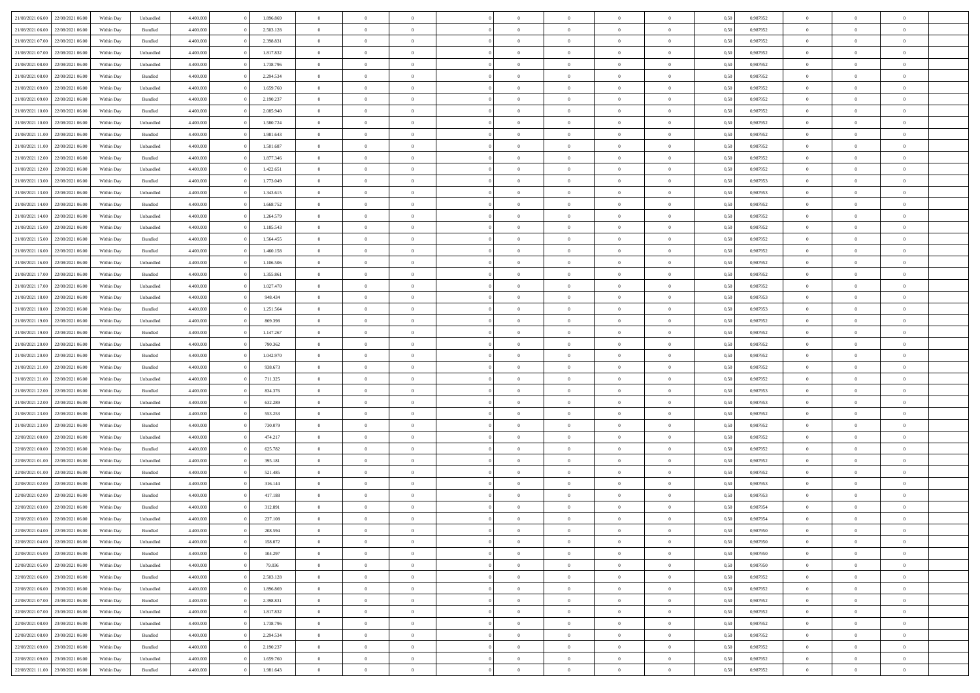| 21/08/2021 06:00                  | 22/08/2021 06:00 | Within Dav | Unbundled          | 4.400.000 | 1.896.869 | $\overline{0}$ | $\theta$       |                | $\Omega$       | $\Omega$       | $\theta$       | $\theta$       | 0,50 | 0,987952 | $\theta$       | $\overline{0}$ | $\theta$       |  |
|-----------------------------------|------------------|------------|--------------------|-----------|-----------|----------------|----------------|----------------|----------------|----------------|----------------|----------------|------|----------|----------------|----------------|----------------|--|
|                                   |                  |            |                    |           |           |                |                |                |                |                |                |                |      |          |                |                |                |  |
| 21/08/2021 06:00                  | 22/08/2021 06:00 | Within Day | Bundled            | 4.400.000 | 2.503.128 | $\overline{0}$ | $\theta$       | $\overline{0}$ | $\overline{0}$ | $\bf{0}$       | $\overline{0}$ | $\bf{0}$       | 0,50 | 0,987952 | $\theta$       | $\overline{0}$ | $\overline{0}$ |  |
| 21/08/2021 07:00                  | 22/08/2021 06:00 | Within Day | Bundled            | 4.400.000 | 2.398.831 | $\overline{0}$ | $\bf{0}$       | $\overline{0}$ | $\bf{0}$       | $\bf{0}$       | $\bf{0}$       | $\mathbf{0}$   | 0,50 | 0,987952 | $\overline{0}$ | $\overline{0}$ | $\bf{0}$       |  |
| 21/08/2021 07:00                  | 22/08/2021 06:00 | Within Day | Unbundled          | 4.400.000 | 1.817.832 | $\overline{0}$ | $\overline{0}$ | $\overline{0}$ | $\overline{0}$ | $\bf{0}$       | $\overline{0}$ | $\overline{0}$ | 0.50 | 0,987952 | $\theta$       | $\theta$       | $\overline{0}$ |  |
| 21/08/2021 08:00                  | 22/08/2021 06:00 | Within Day | Unbundled          | 4.400.000 | 1.738.796 | $\overline{0}$ | $\theta$       | $\overline{0}$ | $\overline{0}$ | $\bf{0}$       | $\overline{0}$ | $\bf{0}$       | 0,50 | 0,987952 | $\theta$       | $\overline{0}$ | $\overline{0}$ |  |
| 21/08/2021 08:00                  | 22/08/2021 06:00 | Within Day | Bundled            | 4.400.000 | 2.294.534 | $\overline{0}$ | $\overline{0}$ | $\overline{0}$ | $\bf{0}$       | $\overline{0}$ | $\overline{0}$ | $\mathbf{0}$   | 0,50 | 0,987952 | $\overline{0}$ | $\overline{0}$ | $\bf{0}$       |  |
| 21/08/2021 09:00                  | 22/08/2021 06:00 | Within Dav | Unbundled          | 4.400.000 | 1.659.760 | $\overline{0}$ | $\overline{0}$ | $\overline{0}$ | $\overline{0}$ | $\overline{0}$ | $\overline{0}$ | $\overline{0}$ | 0.50 | 0,987952 | $\theta$       | $\overline{0}$ | $\overline{0}$ |  |
|                                   |                  |            |                    |           |           |                |                |                |                |                |                |                |      |          |                |                |                |  |
| 21/08/2021 09:00                  | 22/08/2021 06:00 | Within Day | Bundled            | 4.400.000 | 2.190.237 | $\overline{0}$ | $\theta$       | $\overline{0}$ | $\overline{0}$ | $\bf{0}$       | $\overline{0}$ | $\bf{0}$       | 0,50 | 0,987952 | $\theta$       | $\theta$       | $\overline{0}$ |  |
| 21/08/2021 10:00                  | 22/08/2021 06:00 | Within Day | Bundled            | 4.400.000 | 2.085.940 | $\overline{0}$ | $\overline{0}$ | $\overline{0}$ | $\bf{0}$       | $\bf{0}$       | $\overline{0}$ | $\bf{0}$       | 0,50 | 0,987952 | $\,0\,$        | $\overline{0}$ | $\overline{0}$ |  |
| 21/08/2021 10:00                  | 22/08/2021 06:00 | Within Dav | Unbundled          | 4.400.000 | 1.580.724 | $\overline{0}$ | $\overline{0}$ | $\overline{0}$ | $\overline{0}$ | $\overline{0}$ | $\overline{0}$ | $\overline{0}$ | 0.50 | 0,987952 | $\theta$       | $\overline{0}$ | $\overline{0}$ |  |
| 21/08/2021 11:00                  | 22/08/2021 06:00 | Within Day | Bundled            | 4.400.000 | 1.981.643 | $\overline{0}$ | $\theta$       | $\overline{0}$ | $\overline{0}$ | $\bf{0}$       | $\overline{0}$ | $\bf{0}$       | 0,50 | 0,987952 | $\,$ 0 $\,$    | $\overline{0}$ | $\overline{0}$ |  |
| 21/08/2021 11:00                  | 22/08/2021 06:00 | Within Day | Unbundled          | 4.400.000 | 1.501.687 | $\overline{0}$ | $\overline{0}$ | $\overline{0}$ | $\overline{0}$ | $\bf{0}$       | $\overline{0}$ | $\mathbf{0}$   | 0,50 | 0,987952 | $\overline{0}$ | $\overline{0}$ | $\bf{0}$       |  |
| 21/08/2021 12:00                  | 22/08/2021 06:00 | Within Dav | Bundled            | 4.400.000 | 1.877.346 | $\overline{0}$ | $\overline{0}$ | $\overline{0}$ | $\overline{0}$ | $\bf{0}$       | $\overline{0}$ | $\overline{0}$ | 0.50 | 0,987952 | $\theta$       | $\theta$       | $\overline{0}$ |  |
| 21/08/2021 12:00                  | 22/08/2021 06:00 | Within Day | Unbundled          | 4.400.000 | 1.422.651 | $\overline{0}$ | $\theta$       | $\overline{0}$ | $\overline{0}$ | $\bf{0}$       | $\overline{0}$ | $\bf{0}$       | 0,50 | 0,987952 | $\theta$       | $\overline{0}$ | $\overline{0}$ |  |
|                                   |                  |            |                    |           |           |                |                |                |                |                |                |                |      |          |                |                |                |  |
| 21/08/2021 13:00                  | 22/08/2021 06:00 | Within Day | Bundled            | 4.400.000 | 1.773.049 | $\overline{0}$ | $\overline{0}$ | $\overline{0}$ | $\overline{0}$ | $\overline{0}$ | $\overline{0}$ | $\mathbf{0}$   | 0,50 | 0,987953 | $\overline{0}$ | $\overline{0}$ | $\bf{0}$       |  |
| 21/08/2021 13:00                  | 22/08/2021 06:00 | Within Day | Unbundled          | 4.400.000 | 1.343.615 | $\overline{0}$ | $\overline{0}$ | $\overline{0}$ | $\overline{0}$ | $\overline{0}$ | $\overline{0}$ | $\overline{0}$ | 0.50 | 0,987953 | $\theta$       | $\overline{0}$ | $\overline{0}$ |  |
| 21/08/2021 14:00                  | 22/08/2021 06:00 | Within Day | Bundled            | 4.400.000 | 1.668.752 | $\overline{0}$ | $\theta$       | $\overline{0}$ | $\overline{0}$ | $\bf{0}$       | $\overline{0}$ | $\bf{0}$       | 0,50 | 0,987952 | $\theta$       | $\theta$       | $\overline{0}$ |  |
| 21/08/2021 14:00                  | 22/08/2021 06:00 | Within Day | Unbundled          | 4.400.000 | 1.264.579 | $\overline{0}$ | $\overline{0}$ | $\overline{0}$ | $\overline{0}$ | $\bf{0}$       | $\overline{0}$ | $\bf{0}$       | 0,50 | 0,987952 | $\,0\,$        | $\overline{0}$ | $\overline{0}$ |  |
| 21/08/2021 15:00                  | 22/08/2021 06:00 | Within Dav | Unbundled          | 4.400.000 | 1.185.543 | $\overline{0}$ | $\overline{0}$ | $\overline{0}$ | $\overline{0}$ | $\overline{0}$ | $\overline{0}$ | $\overline{0}$ | 0.50 | 0,987952 | $\theta$       | $\overline{0}$ | $\overline{0}$ |  |
| 21/08/2021 15:00                  | 22/08/2021 06:00 | Within Day | Bundled            | 4.400.000 | 1.564.455 | $\overline{0}$ | $\theta$       | $\overline{0}$ | $\overline{0}$ | $\bf{0}$       | $\overline{0}$ | $\bf{0}$       | 0,50 | 0,987952 | $\,$ 0 $\,$    | $\overline{0}$ | $\overline{0}$ |  |
| 21/08/2021 16:00                  | 22/08/2021 06:00 | Within Day | Bundled            | 4.400.000 | 1.460.158 | $\overline{0}$ | $\overline{0}$ | $\overline{0}$ | $\overline{0}$ | $\bf{0}$       | $\overline{0}$ | $\bf{0}$       | 0,50 | 0,987952 | $\overline{0}$ | $\overline{0}$ | $\bf{0}$       |  |
| 21/08/2021 16:00                  | 22/08/2021 06:00 | Within Day | Unbundled          | 4.400.000 | 1.106.506 | $\overline{0}$ | $\overline{0}$ | $\overline{0}$ | $\overline{0}$ | $\bf{0}$       | $\overline{0}$ | $\overline{0}$ | 0.50 | 0,987952 | $\theta$       | $\overline{0}$ | $\overline{0}$ |  |
|                                   |                  |            |                    |           |           |                |                |                |                |                |                |                |      |          |                |                |                |  |
| 21/08/2021 17:00                  | 22/08/2021 06:00 | Within Day | Bundled            | 4.400.000 | 1.355.861 | $\overline{0}$ | $\theta$       | $\overline{0}$ | $\overline{0}$ | $\bf{0}$       | $\overline{0}$ | $\bf{0}$       | 0,50 | 0,987952 | $\theta$       | $\overline{0}$ | $\overline{0}$ |  |
| 21/08/2021 17:00                  | 22/08/2021 06:00 | Within Day | Unbundled          | 4.400.000 | 1.027.470 | $\overline{0}$ | $\overline{0}$ | $\overline{0}$ | $\overline{0}$ | $\overline{0}$ | $\overline{0}$ | $\mathbf{0}$   | 0,50 | 0,987952 | $\overline{0}$ | $\overline{0}$ | $\bf{0}$       |  |
| 21/08/2021 18:00                  | 22/08/2021 06:00 | Within Day | Unbundled          | 4.400.000 | 948,434   | $\overline{0}$ | $\overline{0}$ | $\overline{0}$ | $\overline{0}$ | $\overline{0}$ | $\overline{0}$ | $\overline{0}$ | 0.50 | 0,987953 | $\theta$       | $\overline{0}$ | $\overline{0}$ |  |
| 21/08/2021 18:00                  | 22/08/2021 06:00 | Within Day | Bundled            | 4.400.000 | 1.251.564 | $\overline{0}$ | $\theta$       | $\overline{0}$ | $\overline{0}$ | $\bf{0}$       | $\overline{0}$ | $\bf{0}$       | 0,50 | 0,987953 | $\theta$       | $\theta$       | $\overline{0}$ |  |
| 21/08/2021 19:00                  | 22/08/2021 06:00 | Within Day | Unbundled          | 4.400.000 | 869.398   | $\overline{0}$ | $\overline{0}$ | $\overline{0}$ | $\overline{0}$ | $\bf{0}$       | $\overline{0}$ | $\bf{0}$       | 0,50 | 0,987952 | $\,0\,$        | $\overline{0}$ | $\overline{0}$ |  |
| 21/08/2021 19:00                  | 22/08/2021 06:00 | Within Day | Bundled            | 4.400.000 | 1.147.267 | $\overline{0}$ | $\overline{0}$ | $\overline{0}$ | $\overline{0}$ | $\overline{0}$ | $\overline{0}$ | $\overline{0}$ | 0.50 | 0,987952 | $\theta$       | $\overline{0}$ | $\overline{0}$ |  |
| 21/08/2021 20:00                  | 22/08/2021 06:00 | Within Day | Unbundled          | 4.400.000 | 790.362   | $\overline{0}$ | $\theta$       | $\overline{0}$ | $\overline{0}$ | $\bf{0}$       | $\overline{0}$ | $\bf{0}$       | 0,50 | 0,987952 | $\,$ 0 $\,$    | $\overline{0}$ | $\overline{0}$ |  |
|                                   |                  |            |                    |           |           |                |                |                |                |                |                |                |      |          |                |                |                |  |
| 21/08/2021 20:00                  | 22/08/2021 06:00 | Within Day | Bundled            | 4.400.000 | 1.042.970 | $\overline{0}$ | $\bf{0}$       | $\overline{0}$ | $\bf{0}$       | $\bf{0}$       | $\bf{0}$       | $\bf{0}$       | 0,50 | 0,987952 | $\overline{0}$ | $\overline{0}$ | $\bf{0}$       |  |
| 21/08/2021 21:00                  | 22/08/2021 06:00 | Within Day | Bundled            | 4.400,000 | 938.673   | $\overline{0}$ | $\Omega$       | $\Omega$       | $\Omega$       | $\Omega$       | $\Omega$       | $\overline{0}$ | 0.50 | 0,987952 | $\,0\,$        | $\theta$       | $\theta$       |  |
| 21/08/2021 21:00                  | 22/08/2021 06:00 | Within Day | Unbundled          | 4.400.000 | 711.325   | $\overline{0}$ | $\theta$       | $\overline{0}$ | $\overline{0}$ | $\bf{0}$       | $\overline{0}$ | $\bf{0}$       | 0,50 | 0,987952 | $\theta$       | $\overline{0}$ | $\overline{0}$ |  |
| 21/08/2021 22:00                  | 22/08/2021 06:00 | Within Day | Bundled            | 4.400.000 | 834.376   | $\overline{0}$ | $\overline{0}$ | $\overline{0}$ | $\bf{0}$       | $\bf{0}$       | $\overline{0}$ | $\mathbf{0}$   | 0,50 | 0,987953 | $\overline{0}$ | $\overline{0}$ | $\bf{0}$       |  |
| 21/08/2021 22:00                  | 22/08/2021 06:00 | Within Day | Unbundled          | 4.400,000 | 632.289   | $\overline{0}$ | $\Omega$       | $\Omega$       | $\Omega$       | $\bf{0}$       | $\overline{0}$ | $\overline{0}$ | 0.50 | 0,987953 | $\,0\,$        | $\theta$       | $\theta$       |  |
| 21/08/2021 23:00                  | 22/08/2021 06:00 | Within Day | Unbundled          | 4.400.000 | 553.253   | $\overline{0}$ | $\theta$       | $\overline{0}$ | $\overline{0}$ | $\bf{0}$       | $\overline{0}$ | $\bf{0}$       | 0,50 | 0,987952 | $\theta$       | $\overline{0}$ | $\overline{0}$ |  |
| 21/08/2021 23:00                  | 22/08/2021 06:00 | Within Day | Bundled            | 4.400.000 | 730.079   | $\overline{0}$ | $\overline{0}$ | $\overline{0}$ | $\bf{0}$       | $\bf{0}$       | $\bf{0}$       | $\bf{0}$       | 0,50 | 0,987952 | $\bf{0}$       | $\overline{0}$ | $\bf{0}$       |  |
| 22/08/2021 00:00                  | 22/08/2021 06:00 | Within Day | Unbundled          | 4.400,000 | 474.217   | $\overline{0}$ | $\Omega$       | $\Omega$       | $\Omega$       | $\theta$       | $\theta$       | $\overline{0}$ | 0.50 | 0.987952 | $\theta$       | $\theta$       | $\theta$       |  |
|                                   |                  |            |                    |           |           | $\overline{0}$ |                |                |                |                |                |                |      |          |                |                |                |  |
| 22/08/2021 00:00                  | 22/08/2021 06:00 | Within Day | Bundled            | 4.400.000 | 625.782   |                | $\theta$       | $\overline{0}$ | $\overline{0}$ | $\bf{0}$       | $\overline{0}$ | $\bf{0}$       | 0,50 | 0,987952 | $\,$ 0 $\,$    | $\overline{0}$ | $\overline{0}$ |  |
| 22/08/2021 01:00                  | 22/08/2021 06:00 | Within Day | Unbundled          | 4.400.000 | 395.181   | $\overline{0}$ | $\overline{0}$ | $\overline{0}$ | $\bf{0}$       | $\bf{0}$       | $\bf{0}$       | $\mathbf{0}$   | 0,50 | 0,987952 | $\overline{0}$ | $\overline{0}$ | $\bf{0}$       |  |
| 22/08/2021 01:00                  | 22/08/2021 06:00 | Within Day | Bundled            | 4.400,000 | 521.485   | $\overline{0}$ | $\Omega$       | $\Omega$       | $\Omega$       | $\overline{0}$ | $\overline{0}$ | $\overline{0}$ | 0.50 | 0,987952 | $\,0\,$        | $\theta$       | $\theta$       |  |
| 22/08/2021 02:00                  | 22/08/2021 06:00 | Within Day | Unbundled          | 4.400.000 | 316.144   | $\overline{0}$ | $\overline{0}$ | $\overline{0}$ | $\overline{0}$ | $\bf{0}$       | $\overline{0}$ | $\bf{0}$       | 0,50 | 0,987953 | $\,$ 0 $\,$    | $\overline{0}$ | $\overline{0}$ |  |
| 22/08/2021 02:00                  | 22/08/2021 06:00 | Within Day | Bundled            | 4.400.000 | 417.188   | $\overline{0}$ | $\overline{0}$ | $\overline{0}$ | $\bf{0}$       | $\bf{0}$       | $\bf{0}$       | $\mathbf{0}$   | 0,50 | 0,987953 | $\overline{0}$ | $\overline{0}$ | $\bf{0}$       |  |
| 22/08/2021 03:00                  | 22/08/2021 06:00 | Within Day | Bundled            | 4.400,000 | 312.891   | $\overline{0}$ | $\Omega$       | $\Omega$       | $\Omega$       | $\Omega$       | $\Omega$       | $\overline{0}$ | 0.50 | 0.987954 | $\theta$       | $\theta$       | $\theta$       |  |
| 22/08/2021 03:00                  | 22/08/2021 06:00 | Within Day | Unbundled          | 4.400.000 | 237.108   | $\overline{0}$ | $\overline{0}$ | $\overline{0}$ | $\bf{0}$       | $\,$ 0         | $\bf{0}$       | $\bf{0}$       | 0,50 | 0,987954 | $\,0\,$        | $\,$ 0 $\,$    | $\overline{0}$ |  |
| 22/08/2021 04:00 22/08/2021 06:00 |                  | Within Day | $\mathbf B$ undled | 4.400.000 | 208.594   | $\bf{0}$       | $\bf{0}$       |                |                | $\bf{0}$       |                |                | 0,50 | 0,987950 | $\bf{0}$       | $\overline{0}$ |                |  |
| 22/08/2021 04:00                  | 22/08/2021 06:00 | Within Day | Unbundled          | 4.400.000 | 158,072   | $\overline{0}$ | $\overline{0}$ | $\overline{0}$ | $\Omega$       | $\overline{0}$ | $\overline{0}$ | $\overline{0}$ | 0.50 | 0.987950 | $\theta$       | $\theta$       | $\theta$       |  |
|                                   |                  |            |                    |           |           |                |                |                |                |                |                |                |      |          |                |                |                |  |
| 22/08/2021 05:00                  | 22/08/2021 06:00 | Within Day | Bundled            | 4.400.000 | 104.297   | $\overline{0}$ | $\,$ 0         | $\overline{0}$ | $\bf{0}$       | $\,$ 0 $\,$    | $\overline{0}$ | $\mathbf{0}$   | 0,50 | 0,987950 | $\,$ 0 $\,$    | $\,$ 0 $\,$    | $\,$ 0         |  |
| 22/08/2021 05:00                  | 22/08/2021 06:00 | Within Day | Unbundled          | 4.400.000 | 79.036    | $\overline{0}$ | $\overline{0}$ | $\overline{0}$ | $\overline{0}$ | $\overline{0}$ | $\overline{0}$ | $\mathbf{0}$   | 0,50 | 0,987950 | $\overline{0}$ | $\bf{0}$       | $\bf{0}$       |  |
| 22/08/2021 06:00                  | 23/08/2021 06:00 | Within Day | $\mathbf B$ undled | 4.400,000 | 2.503.128 | $\overline{0}$ | $\overline{0}$ | $\overline{0}$ | $\Omega$       | $\overline{0}$ | $\overline{0}$ | $\overline{0}$ | 0,50 | 0,987952 | $\overline{0}$ | $\theta$       | $\overline{0}$ |  |
| 22/08/2021 06:00                  | 23/08/2021 06:00 | Within Day | Unbundled          | 4.400.000 | 1.896.869 | $\overline{0}$ | $\,$ 0         | $\overline{0}$ | $\overline{0}$ | $\,$ 0 $\,$    | $\overline{0}$ | $\mathbf{0}$   | 0,50 | 0,987952 | $\,$ 0 $\,$    | $\overline{0}$ | $\overline{0}$ |  |
| 22/08/2021 07:00                  | 23/08/2021 06:00 | Within Day | Bundled            | 4.400.000 | 2.398.831 | $\overline{0}$ | $\overline{0}$ | $\overline{0}$ | $\overline{0}$ | $\overline{0}$ | $\overline{0}$ | $\mathbf{0}$   | 0,50 | 0,987952 | $\overline{0}$ | $\overline{0}$ | $\bf{0}$       |  |
| 22/08/2021 07:00                  | 23/08/2021 06:00 | Within Day | Unbundled          | 4.400.000 | 1.817.832 | $\overline{0}$ | $\overline{0}$ | $\overline{0}$ | $\Omega$       | $\overline{0}$ | $\overline{0}$ | $\bf{0}$       | 0.50 | 0,987952 | $\overline{0}$ | $\theta$       | $\overline{0}$ |  |
| 22/08/2021 08:00                  | 23/08/2021 06:00 | Within Day | Unbundled          | 4.400.000 | 1.738.796 | $\overline{0}$ | $\,$ 0         | $\overline{0}$ | $\overline{0}$ | $\bf{0}$       | $\overline{0}$ | $\bf{0}$       | 0,50 | 0,987952 | $\,$ 0 $\,$    | $\overline{0}$ | $\overline{0}$ |  |
| 22/08/2021 08:00                  | 23/08/2021 06:00 | Within Day | Bundled            | 4.400.000 | 2.294.534 | $\overline{0}$ | $\bf{0}$       | $\overline{0}$ | $\overline{0}$ | $\overline{0}$ | $\overline{0}$ | $\mathbf{0}$   | 0,50 | 0,987952 | $\overline{0}$ | $\overline{0}$ | $\bf{0}$       |  |
|                                   |                  |            |                    |           |           |                |                |                |                |                |                |                |      |          |                |                |                |  |
| 22/08/2021 09:00                  | 23/08/2021 06:00 | Within Day | Bundled            | 4.400,000 | 2.190.237 | $\overline{0}$ | $\overline{0}$ | $\overline{0}$ | $\Omega$       | $\overline{0}$ | $\overline{0}$ | $\overline{0}$ | 0.50 | 0,987952 | $\overline{0}$ | $\overline{0}$ | $\overline{0}$ |  |
| 22/08/2021 09:00                  | 23/08/2021 06:00 | Within Day | Unbundled          | 4.400.000 | 1.659.760 | $\overline{0}$ | $\bf{0}$       | $\overline{0}$ | $\overline{0}$ | $\bf{0}$       | $\overline{0}$ | $\mathbf{0}$   | 0,50 | 0,987952 | $\,$ 0 $\,$    | $\,$ 0 $\,$    | $\bf{0}$       |  |
| 22/08/2021 11:00 23/08/2021 06:00 |                  | Within Day | Bundled            | 4.400.000 | 1.981.643 | $\overline{0}$ | $\overline{0}$ | $\overline{0}$ | $\overline{0}$ | $\overline{0}$ | $\overline{0}$ | $\mathbf{0}$   | 0,50 | 0,987952 | $\overline{0}$ | $\bf{0}$       | $\bf{0}$       |  |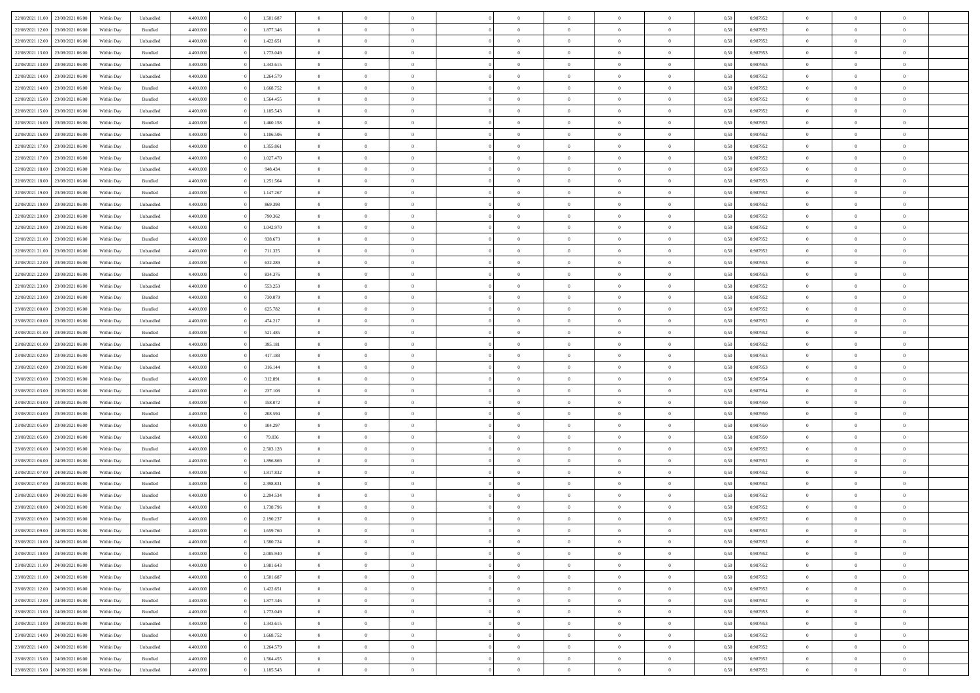| 22/08/2021 11:00 23/08/2021 06:00                        | Within Day | Unbundled | 4.400.000 | 1.501.687 | $\overline{0}$ | $\overline{0}$ | $\Omega$       | $\Omega$       | $\theta$       | $\Omega$       | $\overline{0}$ | 0,50 | 0,987952 | $\theta$             | $\theta$       | $\theta$       |  |
|----------------------------------------------------------|------------|-----------|-----------|-----------|----------------|----------------|----------------|----------------|----------------|----------------|----------------|------|----------|----------------------|----------------|----------------|--|
| 22/08/2021 12:00<br>23/08/2021 06:00                     | Within Day | Bundled   | 4.400.000 | 1.877.346 | $\overline{0}$ | $\overline{0}$ | $\overline{0}$ | $\overline{0}$ | $\theta$       | $\overline{0}$ | $\bf{0}$       | 0,50 | 0,987952 | $\theta$             | $\theta$       | $\overline{0}$ |  |
| 22/08/2021 12:00<br>23/08/2021 06:00                     | Within Day | Unbundled | 4.400.000 | 1.422.651 | $\overline{0}$ | $\bf{0}$       | $\overline{0}$ | $\overline{0}$ | $\bf{0}$       | $\overline{0}$ | $\bf{0}$       | 0,50 | 0,987952 | $\bf{0}$             | $\overline{0}$ | $\overline{0}$ |  |
| 22/08/2021 13:00<br>23/08/2021 06:00                     | Within Day | Bundled   | 4.400.000 | 1.773.049 | $\overline{0}$ | $\overline{0}$ | $\overline{0}$ | $\overline{0}$ | $\theta$       | $\overline{0}$ | $\overline{0}$ | 0.50 | 0,987953 | $\theta$             | $\theta$       | $\overline{0}$ |  |
| 22/08/2021 13:00<br>23/08/2021 06:00                     | Within Day | Unbundled | 4.400.000 | 1.343.615 | $\overline{0}$ | $\overline{0}$ | $\overline{0}$ | $\overline{0}$ | $\theta$       | $\overline{0}$ | $\bf{0}$       | 0,50 | 0,987953 | $\theta$             | $\theta$       | $\overline{0}$ |  |
|                                                          |            |           |           |           |                | $\bf{0}$       |                |                |                |                |                |      |          |                      | $\overline{0}$ | $\bf{0}$       |  |
| 22/08/2021 14:00<br>23/08/2021 06:00<br>22/08/2021 14:00 | Within Day | Unbundled | 4.400.000 | 1.264.579 | $\overline{0}$ | $\overline{0}$ | $\overline{0}$ | $\overline{0}$ | $\overline{0}$ | $\overline{0}$ | $\bf{0}$       | 0,50 | 0,987952 | $\bf{0}$<br>$\theta$ | $\theta$       | $\overline{0}$ |  |
| 23/08/2021 06:00                                         | Within Day | Bundled   | 4.400.000 | 1.668.752 | $\overline{0}$ |                | $\overline{0}$ | $\overline{0}$ | $\overline{0}$ | $\overline{0}$ | $\overline{0}$ | 0.5( | 0,987952 |                      |                |                |  |
| 22/08/2021 15:00<br>23/08/2021 06:00                     | Within Day | Bundled   | 4.400.000 | 1.564.455 | $\overline{0}$ | $\theta$       | $\overline{0}$ | $\overline{0}$ | $\theta$       | $\overline{0}$ | $\bf{0}$       | 0,50 | 0,987952 | $\theta$             | $\theta$       | $\overline{0}$ |  |
| 22/08/2021 15:00<br>23/08/2021 06:00                     | Within Day | Unbundled | 4.400.000 | 1.185.543 | $\overline{0}$ | $\bf{0}$       | $\overline{0}$ | $\overline{0}$ | $\overline{0}$ | $\overline{0}$ | $\bf{0}$       | 0,50 | 0,987952 | $\bf{0}$             | $\bf{0}$       | $\overline{0}$ |  |
| 22/08/2021 16:00<br>23/08/2021 06:00                     | Within Day | Bundled   | 4.400.000 | 1.460.158 | $\overline{0}$ | $\overline{0}$ | $\overline{0}$ | $\overline{0}$ | $\overline{0}$ | $\overline{0}$ | $\bf{0}$       | 0.5( | 0,987952 | $\theta$             | $\theta$       | $\overline{0}$ |  |
| 22/08/2021 16:00<br>23/08/2021 06:00                     | Within Day | Unbundled | 4.400.000 | 1.106.506 | $\bf{0}$       | $\overline{0}$ | $\overline{0}$ | $\overline{0}$ | $\theta$       | $\overline{0}$ | $\bf{0}$       | 0,50 | 0,987952 | $\theta$             | $\theta$       | $\overline{0}$ |  |
| 22/08/2021 17:00<br>23/08/2021 06:00                     | Within Day | Bundled   | 4.400.000 | 1.355.861 | $\overline{0}$ | $\bf{0}$       | $\overline{0}$ | $\overline{0}$ | $\bf{0}$       | $\overline{0}$ | $\bf{0}$       | 0,50 | 0,987952 | $\bf{0}$             | $\overline{0}$ | $\overline{0}$ |  |
| 22/08/2021 17:00<br>23/08/2021 06:00                     | Within Day | Unbundled | 4.400.000 | 1.027.470 | $\overline{0}$ | $\overline{0}$ | $\overline{0}$ | $\overline{0}$ | $\overline{0}$ | $\overline{0}$ | $\overline{0}$ | 0.5( | 0,987952 | $\theta$             | $\theta$       | $\overline{0}$ |  |
| 22/08/2021 18:00<br>23/08/2021 06:00                     | Within Day | Unbundled | 4.400.000 | 948.434   | $\overline{0}$ | $\overline{0}$ | $\overline{0}$ | $\overline{0}$ | $\theta$       | $\overline{0}$ | $\,$ 0 $\,$    | 0,50 | 0,987953 | $\theta$             | $\theta$       | $\overline{0}$ |  |
| 22/08/2021 18:00<br>23/08/2021 06:00                     | Within Day | Bundled   | 4.400.000 | 1.251.564 | $\overline{0}$ | $\bf{0}$       | $\overline{0}$ | $\overline{0}$ | $\overline{0}$ | $\overline{0}$ | $\bf{0}$       | 0,50 | 0,987953 | $\bf{0}$             | $\overline{0}$ | $\bf{0}$       |  |
| 22/08/2021 19:00<br>23/08/2021 06:00                     | Within Day | Bundled   | 4.400.000 | 1.147.267 | $\overline{0}$ | $\overline{0}$ | $\overline{0}$ | $\overline{0}$ | $\overline{0}$ | $\overline{0}$ | $\overline{0}$ | 0.5( | 0,987952 | $\theta$             | $\overline{0}$ | $\overline{0}$ |  |
| 22/08/2021 19:00<br>23/08/2021 06:00                     | Within Day | Unbundled | 4.400.000 | 869.398   | $\bf{0}$       | $\overline{0}$ | $\overline{0}$ | $\overline{0}$ | $\theta$       | $\overline{0}$ | $\bf{0}$       | 0,50 | 0,987952 | $\theta$             | $\theta$       | $\overline{0}$ |  |
| 22/08/2021 20:00<br>23/08/2021 06:00                     | Within Day | Unbundled | 4.400.000 | 790.362   | $\overline{0}$ | $\bf{0}$       | $\overline{0}$ | $\overline{0}$ | $\overline{0}$ | $\overline{0}$ | $\bf{0}$       | 0,50 | 0,987952 | $\bf{0}$             | $\overline{0}$ | $\overline{0}$ |  |
|                                                          |            |           |           |           |                | $\overline{0}$ |                |                | $\overline{0}$ |                |                |      |          | $\theta$             | $\theta$       | $\overline{0}$ |  |
| 22/08/2021 20:00<br>23/08/2021 06:00                     | Within Day | Bundled   | 4.400.000 | 1.042.970 | $\overline{0}$ |                | $\overline{0}$ | $\overline{0}$ |                | $\overline{0}$ | $\overline{0}$ | 0.5( | 0,987952 |                      |                |                |  |
| 22/08/2021 21:00<br>23/08/2021 06:00                     | Within Day | Bundled   | 4.400.000 | 938.673   | $\bf{0}$       | $\overline{0}$ | $\overline{0}$ | $\overline{0}$ | $\theta$       | $\overline{0}$ | $\bf{0}$       | 0,50 | 0,987952 | $\theta$             | $\theta$       | $\overline{0}$ |  |
| 22/08/2021 21:00<br>23/08/2021 06:00                     | Within Day | Unbundled | 4.400.000 | 711.325   | $\overline{0}$ | $\bf{0}$       | $\overline{0}$ | $\overline{0}$ | $\overline{0}$ | $\overline{0}$ | $\bf{0}$       | 0,50 | 0,987952 | $\bf{0}$             | $\overline{0}$ | $\overline{0}$ |  |
| 22/08/2021 22:00<br>23/08/2021 06:00                     | Within Day | Unbundled | 4.400.000 | 632.289   | $\overline{0}$ | $\overline{0}$ | $\overline{0}$ | $\overline{0}$ | $\overline{0}$ | $\overline{0}$ | $\overline{0}$ | 0.50 | 0,987953 | $\theta$             | $\theta$       | $\overline{0}$ |  |
| 22/08/2021 22:00<br>23/08/2021 06:00                     | Within Day | Bundled   | 4.400.000 | 834.376   | $\bf{0}$       | $\theta$       | $\overline{0}$ | $\overline{0}$ | $\theta$       | $\overline{0}$ | $\bf{0}$       | 0,50 | 0,987953 | $\theta$             | $\theta$       | $\overline{0}$ |  |
| 22/08/2021 23:00<br>23/08/2021 06:00                     | Within Day | Unbundled | 4.400.000 | 553.253   | $\overline{0}$ | $\bf{0}$       | $\overline{0}$ | $\overline{0}$ | $\overline{0}$ | $\overline{0}$ | $\bf{0}$       | 0,50 | 0,987952 | $\bf{0}$             | $\overline{0}$ | $\bf{0}$       |  |
| 22/08/2021 23:00<br>23/08/2021 06:00                     | Within Day | Bundled   | 4.400.000 | 730.079   | $\overline{0}$ | $\overline{0}$ | $\overline{0}$ | $\overline{0}$ | $\overline{0}$ | $\overline{0}$ | $\overline{0}$ | 0.5( | 0,987952 | $\overline{0}$       | $\theta$       | $\overline{0}$ |  |
| 23/08/2021 00:00<br>23/08/2021 06:00                     | Within Day | Bundled   | 4.400.000 | 625.782   | $\bf{0}$       | $\overline{0}$ | $\overline{0}$ | $\overline{0}$ | $\theta$       | $\overline{0}$ | $\bf{0}$       | 0,50 | 0,987952 | $\theta$             | $\theta$       | $\overline{0}$ |  |
| 23/08/2021 00:00<br>23/08/2021 06:00                     | Within Day | Unbundled | 4.400.000 | 474.217   | $\overline{0}$ | $\bf{0}$       | $\overline{0}$ | $\overline{0}$ | $\overline{0}$ | $\overline{0}$ | $\bf{0}$       | 0,50 | 0,987952 | $\bf{0}$             | $\bf{0}$       | $\overline{0}$ |  |
| 23/08/2021 01:00<br>23/08/2021 06:00                     | Within Day | Bundled   | 4.400.000 | 521.485   | $\overline{0}$ | $\overline{0}$ | $\overline{0}$ | $\overline{0}$ | $\overline{0}$ | $\overline{0}$ | $\overline{0}$ | 0.5( | 0,987952 | $\theta$             | $\theta$       | $\overline{0}$ |  |
| 23/08/2021 01:00<br>23/08/2021 06:00                     | Within Day | Unbundled | 4.400.000 | 395.181   | $\bf{0}$       | $\overline{0}$ | $\overline{0}$ | $\overline{0}$ | $\theta$       | $\overline{0}$ | $\bf{0}$       | 0,50 | 0,987952 | $\,$ 0 $\,$          | $\theta$       | $\overline{0}$ |  |
| 23/08/2021 02:00<br>23/08/2021 06:00                     | Within Day | Bundled   | 4.400.000 | 417.188   | $\overline{0}$ | $\bf{0}$       | $\overline{0}$ | $\overline{0}$ | $\bf{0}$       | $\overline{0}$ | $\bf{0}$       | 0,50 | 0,987953 | $\bf{0}$             | $\overline{0}$ | $\overline{0}$ |  |
| 23/08/2021 02:00<br>23/08/2021 06:00                     | Within Day | Unbundled | 4,400,000 | 316.144   | $\overline{0}$ | $\overline{0}$ | $\Omega$       | $\Omega$       | $\Omega$       | $\Omega$       | $\overline{0}$ | 0,50 | 0,987953 | $\,$ 0 $\,$          | $\overline{0}$ | $\theta$       |  |
| 23/08/2021 03:00<br>23/08/2021 06:00                     | Within Day | Bundled   | 4.400.000 | 312.891   | $\bf{0}$       | $\overline{0}$ | $\overline{0}$ | $\overline{0}$ | $\theta$       | $\overline{0}$ | $\bf{0}$       | 0,50 | 0,987954 | $\theta$             | $\theta$       | $\overline{0}$ |  |
|                                                          |            |           |           |           |                |                |                |                |                |                |                |      |          |                      |                |                |  |
| 23/08/2021 03:00<br>23/08/2021 06:00                     | Within Day | Unbundled | 4.400.000 | 237.108   | $\overline{0}$ | $\bf{0}$       | $\overline{0}$ | $\overline{0}$ | $\overline{0}$ | $\overline{0}$ | $\bf{0}$       | 0,50 | 0,987954 | $\bf{0}$             | $\overline{0}$ | $\bf{0}$       |  |
| 23/08/2021 04:00<br>23/08/2021 06:00                     | Within Day | Unbundled | 4,400,000 | 158.072   | $\overline{0}$ | $\overline{0}$ | $\Omega$       | $\Omega$       | $\overline{0}$ | $\Omega$       | $\overline{0}$ | 0.50 | 0.987950 | $\overline{0}$       | $\theta$       | $\theta$       |  |
| 23/08/2021 04:00<br>23/08/2021 06:00                     | Within Day | Bundled   | 4.400.000 | 208.594   | $\bf{0}$       | $\overline{0}$ | $\overline{0}$ | $\overline{0}$ | $\theta$       | $\overline{0}$ | $\bf{0}$       | 0,50 | 0,987950 | $\theta$             | $\theta$       | $\overline{0}$ |  |
| 23/08/2021 05:00<br>23/08/2021 06:00                     | Within Day | Bundled   | 4.400.000 | 104.297   | $\overline{0}$ | $\bf{0}$       | $\overline{0}$ | $\overline{0}$ | $\overline{0}$ | $\overline{0}$ | $\bf{0}$       | 0,50 | 0,987950 | $\bf{0}$             | $\overline{0}$ | $\overline{0}$ |  |
| 23/08/2021 05:00<br>23/08/2021 06:00                     | Within Day | Unbundled | 4,400,000 | 79,036    | $\overline{0}$ | $\overline{0}$ | $\Omega$       | $\Omega$       | $\Omega$       | $\Omega$       | $\overline{0}$ | 0.50 | 0.987950 | $\overline{0}$       | $\Omega$       | $\theta$       |  |
| 23/08/2021 06:00<br>24/08/2021 06:00                     | Within Day | Bundled   | 4.400.000 | 2.503.128 | $\bf{0}$       | $\overline{0}$ | $\overline{0}$ | $\overline{0}$ | $\theta$       | $\overline{0}$ | $\bf{0}$       | 0,50 | 0,987952 | $\theta$             | $\theta$       | $\overline{0}$ |  |
| 23/08/2021 06:00<br>24/08/2021 06:00                     | Within Day | Unbundled | 4.400.000 | 1.896.869 | $\overline{0}$ | $\bf{0}$       | $\overline{0}$ | $\overline{0}$ | $\overline{0}$ | $\overline{0}$ | $\bf{0}$       | 0,50 | 0,987952 | $\bf{0}$             | $\overline{0}$ | $\overline{0}$ |  |
| 23/08/2021 07:00<br>24/08/2021 06.00                     | Within Day | Unbundled | 4,400,000 | 1.817.832 | $\overline{0}$ | $\overline{0}$ | $\Omega$       | $\Omega$       | $\theta$       | $\Omega$       | $\overline{0}$ | 0.50 | 0,987952 | $\bf{0}$             | $\overline{0}$ | $\theta$       |  |
| 23/08/2021 07:00<br>24/08/2021 06:00                     | Within Day | Bundled   | 4.400.000 | 2.398.831 | $\bf{0}$       | $\overline{0}$ | $\overline{0}$ | $\overline{0}$ | $\theta$       | $\overline{0}$ | $\bf{0}$       | 0,50 | 0,987952 | $\theta$             | $\theta$       | $\overline{0}$ |  |
| 23/08/2021 08:00<br>24/08/2021 06.00                     | Within Day | Bundled   | 4.400.000 | 2.294.534 | $\overline{0}$ | $\bf{0}$       | $\overline{0}$ | $\overline{0}$ | $\bf{0}$       | $\overline{0}$ | $\bf{0}$       | 0,50 | 0,987952 | $\overline{0}$       | $\overline{0}$ | $\bf{0}$       |  |
| 23/08/2021 08:00<br>24/08/2021 06.00                     | Within Day | Unbundled | 4,400,000 | 1.738.796 | $\overline{0}$ | $\Omega$       | $\Omega$       | $\Omega$       | $\Omega$       | $\theta$       | $\overline{0}$ | 0.50 | 0.987952 | $\theta$             | $\overline{0}$ | $\theta$       |  |
| 23/08/2021 09:00 24/08/2021 06:00                        | Within Day | Bundled   | 4.400.000 | 2.190.237 | $\bf{0}$       | $\bf{0}$       | $\overline{0}$ | $\overline{0}$ | $\overline{0}$ | $\bf{0}$       | $\bf{0}$       | 0,50 | 0,987952 | $\bf{0}$             | $\,$ 0 $\,$    | $\overline{0}$ |  |
| 23/08/2021 09:00 24/08/2021 06:00                        | Within Day | Unbundled | 4.400.000 | 1.659.760 | $\bf{0}$       | $\bf{0}$       |                |                |                |                |                | 0,50 | 0,987952 | $\bf{0}$             | $\bf{0}$       |                |  |
| 23/08/2021 10:00 24/08/2021 06:00                        | Within Day |           | 4.400.000 | 1.580.724 | $\Omega$       | $\overline{0}$ | $\Omega$       | $\theta$       | $\overline{0}$ | $\theta$       | $\overline{0}$ | 0.50 | 0.987952 | $\theta$             | $\theta$       | $\theta$       |  |
|                                                          |            | Unbundled |           |           |                |                |                |                |                |                |                |      |          |                      |                |                |  |
| 23/08/2021 10:00 24/08/2021 06:00                        | Within Day | Bundled   | 4.400.000 | 2.085.940 | $\overline{0}$ | $\overline{0}$ | $\overline{0}$ | $\overline{0}$ | $\overline{0}$ | $\overline{0}$ | $\,$ 0 $\,$    | 0,50 | 0,987952 | $\,$ 0 $\,$          | $\,$ 0 $\,$    | $\,$ 0         |  |
| 23/08/2021 11:00 24/08/2021 06:00                        | Within Day | Bundled   | 4.400.000 | 1.981.643 | $\overline{0}$ | $\overline{0}$ | $\overline{0}$ | $\overline{0}$ | $\overline{0}$ | $\overline{0}$ | $\bf{0}$       | 0,50 | 0,987952 | $\overline{0}$       | $\bf{0}$       | $\overline{0}$ |  |
| 24/08/2021 06:00<br>23/08/2021 11:00                     | Within Day | Unbundled | 4.400.000 | 1.501.687 | $\overline{0}$ | $\bf{0}$       | $\overline{0}$ | $\overline{0}$ | $\overline{0}$ | $\overline{0}$ | $\bf{0}$       | 0,50 | 0,987952 | $\bf{0}$             | $\theta$       | $\overline{0}$ |  |
| 23/08/2021 12:00<br>24/08/2021 06:00                     | Within Day | Unbundled | 4.400.000 | 1.422.651 | $\overline{0}$ | $\overline{0}$ | $\overline{0}$ | $\overline{0}$ | $\overline{0}$ | $\overline{0}$ | $\bf{0}$       | 0,50 | 0,987952 | $\,$ 0 $\,$          | $\,$ 0 $\,$    | $\overline{0}$ |  |
| 23/08/2021 12:00 24/08/2021 06:00                        | Within Day | Bundled   | 4.400.000 | 1.877.346 | $\overline{0}$ | $\overline{0}$ | $\overline{0}$ | $\overline{0}$ | $\mathbf{0}$   | $\overline{0}$ | $\bf{0}$       | 0,50 | 0,987952 | $\overline{0}$       | $\overline{0}$ | $\overline{0}$ |  |
| 23/08/2021 13:00<br>24/08/2021 06:00                     | Within Day | Bundled   | 4.400.000 | 1.773.049 | $\overline{0}$ | $\bf{0}$       | $\overline{0}$ | $\overline{0}$ | $\overline{0}$ | $\overline{0}$ | $\bf{0}$       | 0.50 | 0,987953 | $\overline{0}$       | $\theta$       | $\overline{0}$ |  |
| 23/08/2021 13:00<br>24/08/2021 06:00                     | Within Day | Unbundled | 4.400.000 | 1.343.615 | $\overline{0}$ | $\overline{0}$ | $\overline{0}$ | $\overline{0}$ | $\overline{0}$ | $\overline{0}$ | $\bf{0}$       | 0,50 | 0,987953 | $\,$ 0 $\,$          | $\bf{0}$       | $\overline{0}$ |  |
| 24/08/2021 06:00<br>23/08/2021 14:00                     | Within Day | Bundled   | 4.400.000 | 1.668.752 | $\overline{0}$ | $\bf{0}$       | $\overline{0}$ | $\overline{0}$ | $\overline{0}$ | $\overline{0}$ | $\bf{0}$       | 0,50 | 0,987952 | $\overline{0}$       | $\overline{0}$ | $\bf{0}$       |  |
| 24/08/2021 06:00<br>23/08/2021 14:00                     | Within Day | Unbundled | 4.400.000 | 1.264.579 | $\overline{0}$ | $\overline{0}$ | $\overline{0}$ | $\overline{0}$ | $\overline{0}$ | $\overline{0}$ | $\bf{0}$       | 0.50 | 0,987952 | $\overline{0}$       | $\theta$       | $\overline{0}$ |  |
| 23/08/2021 15:00<br>24/08/2021 06:00                     | Within Day | Bundled   | 4.400.000 | 1.564.455 | $\overline{0}$ | $\,$ 0         | $\overline{0}$ | $\overline{0}$ | $\bf{0}$       | $\bf{0}$       | $\bf{0}$       | 0,50 | 0,987952 | $\,$ 0 $\,$          | $\,$ 0 $\,$    | $\overline{0}$ |  |
| 23/08/2021 15:00 24/08/2021 06:00                        | Within Day | Unbundled | 4.400.000 | 1.185.543 | $\overline{0}$ | $\bf{0}$       | $\overline{0}$ | $\overline{0}$ | $\overline{0}$ | $\overline{0}$ | $\bf{0}$       | 0,50 | 0,987952 | $\overline{0}$       | $\bf{0}$       | $\overline{0}$ |  |
|                                                          |            |           |           |           |                |                |                |                |                |                |                |      |          |                      |                |                |  |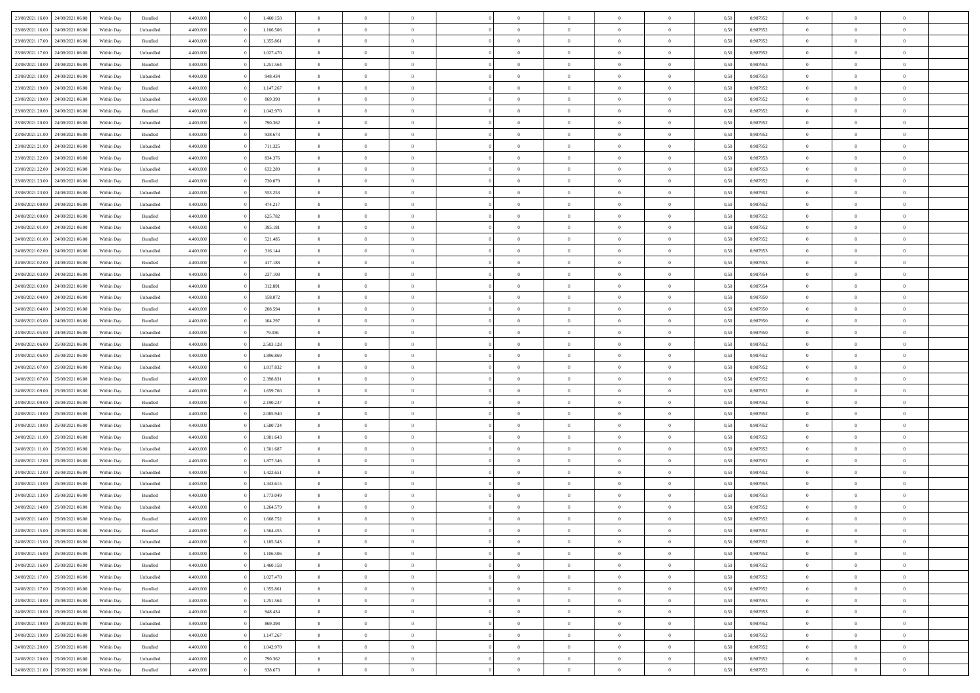| 23/08/2021 16:00 24/08/2021 06:00    | Within Day               | Bundled              | 4.400.000 | 1.460.158              | $\overline{0}$ | $\overline{0}$ | $\Omega$       | $\Omega$       | $\theta$       | $\Omega$       | $\overline{0}$ | 0,50 | 0,987952 | $\theta$             | $\theta$                   | $\theta$       |  |
|--------------------------------------|--------------------------|----------------------|-----------|------------------------|----------------|----------------|----------------|----------------|----------------|----------------|----------------|------|----------|----------------------|----------------------------|----------------|--|
| 23/08/2021 16:00<br>24/08/2021 06:00 | Within Day               | Unbundled            | 4.400.000 | 1.106.506              | $\overline{0}$ | $\overline{0}$ | $\overline{0}$ | $\overline{0}$ | $\theta$       | $\overline{0}$ | $\bf{0}$       | 0,50 | 0,987952 | $\theta$             | $\theta$                   | $\overline{0}$ |  |
| 23/08/2021 17:00<br>24/08/2021 06:00 | Within Day               | Bundled              | 4.400.000 | 1.355.861              | $\overline{0}$ | $\bf{0}$       | $\overline{0}$ | $\overline{0}$ | $\overline{0}$ | $\overline{0}$ | $\bf{0}$       | 0,50 | 0,987952 | $\bf{0}$             | $\overline{0}$             | $\overline{0}$ |  |
| 23/08/2021 17:00<br>24/08/2021 06:00 | Within Day               | Unbundled            | 4.400.000 | 1.027.470              | $\overline{0}$ | $\overline{0}$ | $\overline{0}$ | $\overline{0}$ | $\theta$       | $\overline{0}$ | $\overline{0}$ | 0.50 | 0,987952 | $\theta$             | $\theta$                   | $\overline{0}$ |  |
| 23/08/2021 18:00<br>24/08/2021 06:00 | Within Day               | Bundled              | 4.400.000 | 1.251.564              | $\overline{0}$ | $\overline{0}$ | $\overline{0}$ | $\overline{0}$ | $\theta$       | $\overline{0}$ | $\bf{0}$       | 0,50 | 0,987953 | $\theta$             | $\theta$                   | $\overline{0}$ |  |
| 23/08/2021 18:00<br>24/08/2021 06:00 | Within Day               | Unbundled            | 4.400.000 | 948.434                | $\overline{0}$ | $\bf{0}$       | $\overline{0}$ | $\overline{0}$ | $\overline{0}$ | $\overline{0}$ | $\bf{0}$       | 0,50 | 0,987953 | $\overline{0}$       | $\overline{0}$             | $\bf{0}$       |  |
| 23/08/2021 19:00<br>24/08/2021 06:00 | Within Day               | Bundled              | 4.400.000 | 1.147.267              | $\overline{0}$ | $\overline{0}$ | $\overline{0}$ | $\overline{0}$ | $\overline{0}$ | $\overline{0}$ | $\overline{0}$ | 0.5( | 0,987952 | $\theta$             | $\theta$                   | $\overline{0}$ |  |
| 23/08/2021 19:00<br>24/08/2021 06:00 | Within Day               | Unbundled            | 4.400.000 | 869.398                | $\bf{0}$       | $\theta$       | $\overline{0}$ | $\overline{0}$ | $\theta$       | $\overline{0}$ | $\bf{0}$       | 0,50 | 0,987952 | $\theta$             | $\theta$                   | $\overline{0}$ |  |
|                                      |                          |                      |           |                        |                |                |                |                |                |                |                |      |          |                      |                            |                |  |
| 23/08/2021 20:00<br>24/08/2021 06.00 | Within Day               | Bundled              | 4.400.000 | 1.042.970              | $\overline{0}$ | $\bf{0}$       | $\overline{0}$ | $\overline{0}$ | $\overline{0}$ | $\overline{0}$ | $\bf{0}$       | 0,50 | 0,987952 | $\bf{0}$             | $\bf{0}$                   | $\overline{0}$ |  |
| 23/08/2021 20:00<br>24/08/2021 06:00 | Within Day               | Unbundled            | 4.400.000 | 790.362                | $\overline{0}$ | $\overline{0}$ | $\overline{0}$ | $\overline{0}$ | $\overline{0}$ | $\overline{0}$ | $\bf{0}$       | 0.5( | 0,987952 | $\theta$             | $\theta$                   | $\overline{0}$ |  |
| 23/08/2021 21:00<br>24/08/2021 06:00 | Within Day               | Bundled              | 4.400.000 | 938.673                | $\bf{0}$       | $\overline{0}$ | $\overline{0}$ | $\overline{0}$ | $\theta$       | $\overline{0}$ | $\bf{0}$       | 0,50 | 0,987952 | $\theta$             | $\theta$                   | $\overline{0}$ |  |
| 23/08/2021 21:00<br>24/08/2021 06:00 | Within Day               | Unbundled            | 4.400.000 | 711.325                | $\overline{0}$ | $\bf{0}$       | $\overline{0}$ | $\overline{0}$ | $\bf{0}$       | $\overline{0}$ | $\bf{0}$       | 0,50 | 0,987952 | $\bf{0}$             | $\overline{0}$             | $\overline{0}$ |  |
| 23/08/2021 22:00<br>24/08/2021 06:00 | Within Day               | Bundled              | 4.400.000 | 834.376                | $\overline{0}$ | $\overline{0}$ | $\overline{0}$ | $\overline{0}$ | $\overline{0}$ | $\overline{0}$ | $\overline{0}$ | 0.5( | 0,987953 | $\theta$             | $\theta$                   | $\overline{0}$ |  |
| 23/08/2021 22:00<br>24/08/2021 06:00 | Within Day               | Unbundled            | 4.400.000 | 632.289                | $\overline{0}$ | $\overline{0}$ | $\overline{0}$ | $\overline{0}$ | $\theta$       | $\overline{0}$ | $\bf{0}$       | 0,50 | 0,987953 | $\theta$             | $\theta$                   | $\overline{0}$ |  |
| 23/08/2021 23:00<br>24/08/2021 06:00 | Within Day               | Bundled              | 4.400.000 | 730.079                | $\overline{0}$ | $\bf{0}$       | $\overline{0}$ | $\overline{0}$ | $\overline{0}$ | $\overline{0}$ | $\bf{0}$       | 0,50 | 0,987952 | $\overline{0}$       | $\overline{0}$             | $\bf{0}$       |  |
| 23/08/2021 23:00<br>24/08/2021 06:00 | Within Day               | Unbundled            | 4.400.000 | 553.253                | $\overline{0}$ | $\overline{0}$ | $\overline{0}$ | $\overline{0}$ | $\overline{0}$ | $\overline{0}$ | $\overline{0}$ | 0.5( | 0,987952 | $\theta$             | $\theta$                   | $\overline{0}$ |  |
| 24/08/2021 00:00<br>24/08/2021 06:00 | Within Day               | Unbundled            | 4.400.000 | 474.217                | $\bf{0}$       | $\overline{0}$ | $\overline{0}$ | $\overline{0}$ | $\theta$       | $\overline{0}$ | $\bf{0}$       | 0,50 | 0,987952 | $\theta$             | $\theta$                   | $\overline{0}$ |  |
| 24/08/2021 00:00<br>24/08/2021 06.00 | Within Day               | Bundled              | 4.400.000 | 625.782                | $\overline{0}$ | $\bf{0}$       | $\overline{0}$ | $\overline{0}$ | $\overline{0}$ | $\overline{0}$ | $\bf{0}$       | 0,50 | 0,987952 | $\bf{0}$             | $\overline{0}$             | $\overline{0}$ |  |
| 24/08/2021 01:00<br>24/08/2021 06:00 | Within Day               | Unbundled            | 4.400.000 | 395.181                | $\overline{0}$ | $\overline{0}$ | $\overline{0}$ | $\overline{0}$ | $\overline{0}$ | $\overline{0}$ | $\overline{0}$ | 0.5( | 0,987952 | $\theta$             | $\theta$                   | $\overline{0}$ |  |
| 24/08/2021 01:00<br>24/08/2021 06:00 | Within Day               | Bundled              | 4.400.000 | 521.485                | $\bf{0}$       | $\overline{0}$ | $\overline{0}$ | $\overline{0}$ | $\theta$       | $\overline{0}$ | $\bf{0}$       | 0,50 | 0,987952 | $\theta$             | $\theta$                   | $\overline{0}$ |  |
| 24/08/2021 02:00<br>24/08/2021 06:00 | Within Day               | Unbundled            | 4.400.000 | 316.144                | $\overline{0}$ | $\bf{0}$       | $\overline{0}$ | $\overline{0}$ | $\overline{0}$ | $\overline{0}$ | $\bf{0}$       | 0,50 | 0,987953 | $\bf{0}$             | $\overline{0}$             | $\overline{0}$ |  |
| 24/08/2021 02:00<br>24/08/2021 06:00 | Within Day               | Bundled              | 4.400.000 | 417.188                | $\overline{0}$ | $\overline{0}$ | $\overline{0}$ | $\overline{0}$ | $\overline{0}$ | $\overline{0}$ | $\overline{0}$ | 0.50 | 0.987953 | $\theta$             | $\theta$                   | $\overline{0}$ |  |
| 24/08/2021 03:00<br>24/08/2021 06:00 | Within Day               | Unbundled            | 4.400.000 | 237.108                | $\overline{0}$ | $\overline{0}$ | $\overline{0}$ | $\overline{0}$ | $\theta$       | $\overline{0}$ | $\bf{0}$       | 0,50 | 0,987954 | $\theta$             | $\theta$                   | $\overline{0}$ |  |
| 24/08/2021 03:00<br>24/08/2021 06:00 | Within Day               | Bundled              | 4.400.000 | 312.891                | $\overline{0}$ | $\bf{0}$       | $\overline{0}$ | $\overline{0}$ | $\overline{0}$ | $\overline{0}$ | $\bf{0}$       | 0,50 | 0,987954 | $\overline{0}$       | $\overline{0}$             | $\bf{0}$       |  |
| 24/08/2021 04:00<br>24/08/2021 06:00 | Within Day               | Unbundled            | 4.400.000 | 158.072                | $\overline{0}$ | $\overline{0}$ | $\overline{0}$ | $\overline{0}$ | $\overline{0}$ | $\overline{0}$ | $\overline{0}$ | 0.5( | 0,987950 | $\overline{0}$       | $\theta$                   | $\overline{0}$ |  |
| 24/08/2021 04:00<br>24/08/2021 06:00 | Within Day               | Bundled              | 4.400.000 | 208.594                | $\bf{0}$       | $\overline{0}$ | $\overline{0}$ | $\overline{0}$ | $\theta$       | $\overline{0}$ | $\bf{0}$       | 0,50 | 0,987950 | $\theta$             | $\theta$                   | $\overline{0}$ |  |
| 24/08/2021 05:00<br>24/08/2021 06.00 | Within Day               | Bundled              | 4.400.000 | 104.297                | $\overline{0}$ | $\bf{0}$       | $\overline{0}$ | $\overline{0}$ | $\overline{0}$ | $\bf{0}$       | $\bf{0}$       | 0,50 | 0,987950 | $\bf{0}$             | $\bf{0}$                   | $\overline{0}$ |  |
| 24/08/2021 05:00<br>24/08/2021 06:00 | Within Day               | Unbundled            | 4.400.000 | 79.036                 | $\overline{0}$ | $\overline{0}$ | $\overline{0}$ | $\overline{0}$ | $\overline{0}$ | $\overline{0}$ | $\overline{0}$ | 0.5( | 0,987950 | $\theta$             | $\theta$                   | $\overline{0}$ |  |
| 24/08/2021 06:00<br>25/08/2021 06:00 | Within Day               | Bundled              | 4.400.000 | 2.503.128              | $\bf{0}$       | $\overline{0}$ | $\overline{0}$ | $\overline{0}$ | $\theta$       | $\overline{0}$ | $\bf{0}$       | 0,50 | 0,987952 | $\theta$             | $\theta$                   | $\overline{0}$ |  |
| 24/08/2021 06:00<br>25/08/2021 06:00 | Within Day               | Unbundled            | 4.400.000 | 1.896.869              | $\overline{0}$ | $\bf{0}$       | $\overline{0}$ | $\overline{0}$ | $\bf{0}$       | $\overline{0}$ | $\bf{0}$       | 0,50 | 0,987952 | $\bf{0}$             | $\overline{0}$             | $\overline{0}$ |  |
| 24/08/2021 07:00<br>25/08/2021 06:00 | Within Day               | Unbundled            | 4,400,000 | 1.817.832              | $\overline{0}$ | $\overline{0}$ | $\Omega$       | $\Omega$       | $\Omega$       | $\Omega$       | $\overline{0}$ | 0.50 | 0,987952 | $\,$ 0 $\,$          | $\overline{0}$             | $\theta$       |  |
| 24/08/2021 07:00<br>25/08/2021 06:00 | Within Day               | Bundled              | 4.400.000 | 2.398.831              | $\bf{0}$       | $\overline{0}$ | $\overline{0}$ | $\overline{0}$ | $\theta$       | $\overline{0}$ | $\bf{0}$       | 0,50 | 0,987952 | $\theta$             | $\theta$                   | $\overline{0}$ |  |
| 24/08/2021 09:00<br>25/08/2021 06:00 | Within Day               | Unbundled            | 4.400.000 | 1.659.760              | $\overline{0}$ | $\bf{0}$       | $\overline{0}$ | $\overline{0}$ | $\overline{0}$ | $\overline{0}$ | $\bf{0}$       | 0,50 | 0,987952 | $\overline{0}$       | $\overline{0}$             | $\bf{0}$       |  |
| 24/08/2021 09:00<br>25/08/2021 06:00 | Within Day               | Bundled              | 4,400,000 | 2.190.237              | $\overline{0}$ | $\overline{0}$ | $\Omega$       | $\Omega$       | $\overline{0}$ | $\Omega$       | $\overline{0}$ | 0.50 | 0,987952 | $\bf{0}$             | $\theta$                   | $\theta$       |  |
| 24/08/2021 10:00<br>25/08/2021 06:00 | Within Day               | Bundled              | 4.400.000 | 2.085.940              | $\bf{0}$       | $\overline{0}$ | $\overline{0}$ | $\overline{0}$ | $\theta$       | $\overline{0}$ | $\bf{0}$       | 0,50 | 0,987952 | $\theta$             | $\theta$                   | $\overline{0}$ |  |
| 24/08/2021 10:00<br>25/08/2021 06:00 | Within Day               | Unbundled            | 4.400.000 | 1.580.724              | $\overline{0}$ | $\bf{0}$       | $\overline{0}$ | $\overline{0}$ | $\overline{0}$ | $\overline{0}$ | $\bf{0}$       | 0,50 | 0,987952 | $\bf{0}$             | $\overline{0}$             | $\overline{0}$ |  |
| 24/08/2021 11:00<br>25/08/2021 06:00 |                          |                      | 4,400,000 |                        | $\overline{0}$ | $\overline{0}$ | $\Omega$       | $\Omega$       | $\Omega$       | $\Omega$       | $\overline{0}$ | 0.50 | 0.987952 | $\theta$             | $\Omega$                   | $\theta$       |  |
| 24/08/2021 11:00<br>25/08/2021 06:00 | Within Day<br>Within Day | Bundled<br>Unbundled | 4.400.000 | 1.981.643<br>1.501.687 | $\bf{0}$       | $\overline{0}$ | $\overline{0}$ | $\overline{0}$ | $\theta$       | $\overline{0}$ | $\bf{0}$       | 0,50 | 0,987952 | $\,$ 0 $\,$          | $\theta$                   | $\overline{0}$ |  |
|                                      |                          |                      |           |                        |                |                |                |                |                |                |                |      |          |                      |                            |                |  |
| 24/08/2021 12:00<br>25/08/2021 06:00 | Within Day               | Bundled              | 4.400.000 | 1.877.346              | $\overline{0}$ | $\bf{0}$       | $\overline{0}$ | $\overline{0}$ | $\bf{0}$       | $\overline{0}$ | $\bf{0}$       | 0,50 | 0,987952 | $\bf{0}$             | $\overline{0}$             | $\overline{0}$ |  |
| 24/08/2021 12:00<br>25/08/2021 06:00 | Within Day               | Unbundled            | 4,400,000 | 1.422.651              | $\overline{0}$ | $\overline{0}$ | $\overline{0}$ | $\Omega$       | $\theta$       | $\Omega$       | $\overline{0}$ | 0.50 | 0,987952 | $\bf{0}$<br>$\theta$ | $\overline{0}$<br>$\theta$ | $\theta$       |  |
| 24/08/2021 13:00<br>25/08/2021 06:00 | Within Day               | Unbundled            | 4.400.000 | 1.343.615              | $\bf{0}$       | $\overline{0}$ | $\overline{0}$ | $\overline{0}$ | $\theta$       | $\overline{0}$ | $\bf{0}$       | 0,50 | 0,987953 |                      |                            | $\overline{0}$ |  |
| 24/08/2021 13:00<br>25/08/2021 06:00 | Within Day               | Bundled              | 4.400.000 | 1.773.049              | $\overline{0}$ | $\bf{0}$       | $\overline{0}$ | $\overline{0}$ | $\bf{0}$       | $\overline{0}$ | $\bf{0}$       | 0,50 | 0,987953 | $\bf{0}$             | $\overline{0}$             | $\bf{0}$       |  |
| 24/08/2021 14:00<br>25/08/2021 06:00 | Within Day               | Unbundled            | 4,400,000 | 1.264.579              | $\overline{0}$ | $\Omega$       | $\Omega$       | $\Omega$       | $\Omega$       | $\theta$       | $\overline{0}$ | 0.50 | 0.987952 | $\theta$             | $\overline{0}$             | $\theta$       |  |
| 24/08/2021 14:00<br>25/08/2021 06:00 | Within Day               | Bundled              | 4.400.000 | 1.668.752              | $\bf{0}$       | $\bf{0}$       | $\overline{0}$ | $\overline{0}$ | $\overline{0}$ | $\overline{0}$ | $\bf{0}$       | 0,50 | 0,987952 | $\bf{0}$             | $\,$ 0 $\,$                | $\overline{0}$ |  |
| 24/08/2021 15:00 25/08/2021 06:00    | Within Day               | Bundled              | 4.400.000 | 1.564.455              | $\bf{0}$       |                |                |                |                |                |                | 0,50 | 0,987952 | $\bf{0}$             | $\bf{0}$                   |                |  |
| 24/08/2021 15:00 25/08/2021 06:00    | Within Day               | Unbundled            | 4.400.000 | 1.185.543              | $\Omega$       | $\overline{0}$ | $\Omega$       | $\theta$       | $\overline{0}$ | $\theta$       | $\overline{0}$ | 0.50 | 0.987952 | $\theta$             | $\theta$                   | $\theta$       |  |
| 24/08/2021 16:00<br>25/08/2021 06:00 | Within Day               | Unbundled            | 4.400.000 | 1.106.506              | $\overline{0}$ | $\overline{0}$ | $\overline{0}$ | $\overline{0}$ | $\,$ 0 $\,$    | $\overline{0}$ | $\,$ 0 $\,$    | 0,50 | 0,987952 | $\,$ 0 $\,$          | $\,$ 0 $\,$                | $\,$ 0         |  |
| 24/08/2021 16:00 25/08/2021 06:00    | Within Day               | Bundled              | 4.400.000 | 1.460.158              | $\overline{0}$ | $\overline{0}$ | $\overline{0}$ | $\overline{0}$ | $\overline{0}$ | $\overline{0}$ | $\bf{0}$       | 0,50 | 0,987952 | $\overline{0}$       | $\bf{0}$                   | $\overline{0}$ |  |
| 24/08/2021 17:00 25/08/2021 06:00    | Within Day               | Unbundled            | 4.400.000 | 1.027.470              | $\overline{0}$ | $\bf{0}$       | $\overline{0}$ | $\overline{0}$ | $\overline{0}$ | $\overline{0}$ | $\bf{0}$       | 0,50 | 0,987952 | $\bf{0}$             | $\theta$                   | $\overline{0}$ |  |
| 24/08/2021 17:00<br>25/08/2021 06:00 | Within Day               | Bundled              | 4.400.000 | 1.355.861              | $\overline{0}$ | $\overline{0}$ | $\overline{0}$ | $\overline{0}$ | $\overline{0}$ | $\overline{0}$ | $\bf{0}$       | 0,50 | 0,987952 | $\,$ 0 $\,$          | $\,$ 0 $\,$                | $\overline{0}$ |  |
| 24/08/2021 18:00 25/08/2021 06:00    | Within Day               | Bundled              | 4.400.000 | 1.251.564              | $\overline{0}$ | $\overline{0}$ | $\overline{0}$ | $\overline{0}$ | $\bf{0}$       | $\overline{0}$ | $\bf{0}$       | 0,50 | 0,987953 | $\overline{0}$       | $\overline{0}$             | $\overline{0}$ |  |
| 24/08/2021 18:00<br>25/08/2021 06:00 | Within Day               | Unbundled            | 4.400.000 | 948.434                | $\overline{0}$ | $\bf{0}$       | $\overline{0}$ | $\overline{0}$ | $\overline{0}$ | $\overline{0}$ | $\bf{0}$       | 0.50 | 0,987953 | $\overline{0}$       | $\theta$                   | $\overline{0}$ |  |
| 24/08/2021 19:00<br>25/08/2021 06:00 | Within Day               | Unbundled            | 4.400.000 | 869.398                | $\overline{0}$ | $\overline{0}$ | $\overline{0}$ | $\overline{0}$ | $\overline{0}$ | $\overline{0}$ | $\bf{0}$       | 0,50 | 0,987952 | $\,$ 0 $\,$          | $\,$ 0 $\,$                | $\overline{0}$ |  |
| 24/08/2021 19:00 25/08/2021 06:00    | Within Day               | Bundled              | 4.400.000 | 1.147.267              | $\overline{0}$ | $\bf{0}$       | $\overline{0}$ | $\overline{0}$ | $\overline{0}$ | $\overline{0}$ | $\bf{0}$       | 0,50 | 0,987952 | $\bf{0}$             | $\overline{0}$             | $\bf{0}$       |  |
| 24/08/2021 20:00 25/08/2021 06:00    | Within Day               | Bundled              | 4.400.000 | 1.042.970              | $\overline{0}$ | $\overline{0}$ | $\overline{0}$ | $\overline{0}$ | $\overline{0}$ | $\overline{0}$ | $\bf{0}$       | 0.50 | 0,987952 | $\overline{0}$       | $\theta$                   | $\overline{0}$ |  |
| 24/08/2021 20:00<br>25/08/2021 06:00 | Within Day               | Unbundled            | 4.400.000 | 790.362                | $\overline{0}$ | $\,$ 0         | $\overline{0}$ | $\overline{0}$ | $\overline{0}$ | $\overline{0}$ | $\bf{0}$       | 0,50 | 0,987952 | $\,$ 0 $\,$          | $\,$ 0 $\,$                | $\bf{0}$       |  |
| 24/08/2021 21:00 25/08/2021 06:00    | Within Day               | Bundled              | 4.400.000 | 938.673                | $\overline{0}$ | $\bf{0}$       | $\overline{0}$ | $\overline{0}$ | $\overline{0}$ | $\overline{0}$ | $\bf{0}$       | 0,50 | 0,987952 | $\bf{0}$             | $\overline{0}$             | $\bf{0}$       |  |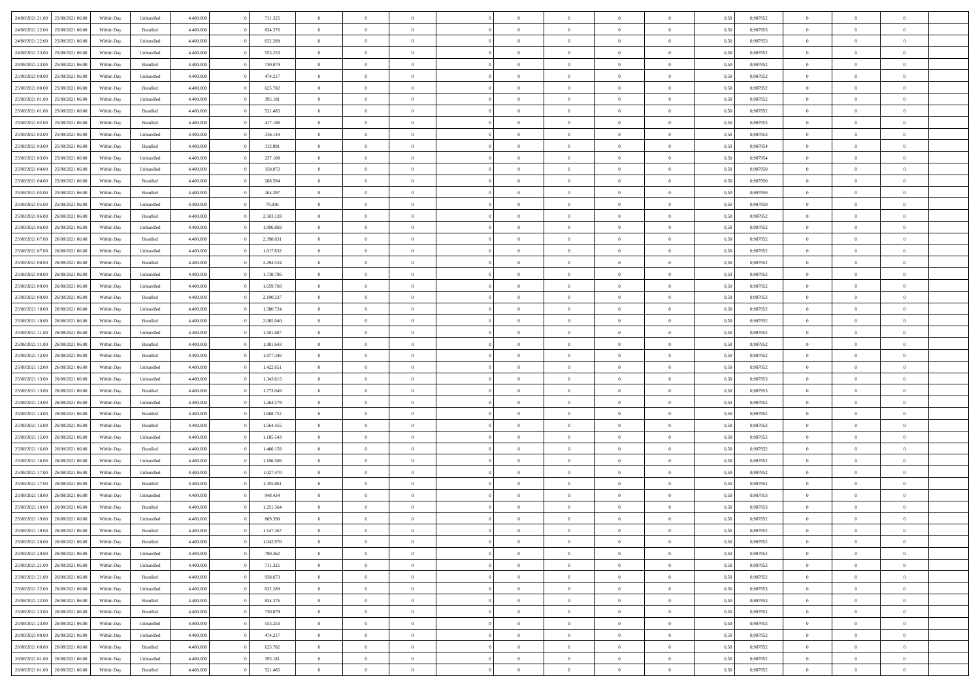| 24/08/2021 21:00 | 25/08/2021 06:00 | Within Day | Unbundled          | 4.400.000 | 711.325   | $\overline{0}$ | $\theta$       |                | $\Omega$       | $\Omega$       | $\Omega$       | $\theta$       | 0.50 | 0,987952 | $\theta$       | $\theta$       | $\theta$       |  |
|------------------|------------------|------------|--------------------|-----------|-----------|----------------|----------------|----------------|----------------|----------------|----------------|----------------|------|----------|----------------|----------------|----------------|--|
| 24/08/2021 22:00 | 25/08/2021 06:00 | Within Day | Bundled            | 4.400.000 | 834.376   | $\overline{0}$ | $\theta$       | $\overline{0}$ | $\overline{0}$ | $\bf{0}$       | $\overline{0}$ | $\bf{0}$       | 0,50 | 0,987953 | $\theta$       | $\theta$       | $\overline{0}$ |  |
| 24/08/2021 22:00 | 25/08/2021 06:00 | Within Day | Unbundled          | 4.400.000 | 632.289   | $\overline{0}$ | $\overline{0}$ | $\overline{0}$ | $\overline{0}$ | $\bf{0}$       | $\overline{0}$ | $\mathbf{0}$   | 0,50 | 0,987953 | $\bf{0}$       | $\overline{0}$ | $\overline{0}$ |  |
| 24/08/2021 23:00 | 25/08/2021 06:00 | Within Day | Unbundled          | 4.400.000 | 553.253   | $\overline{0}$ | $\overline{0}$ | $\overline{0}$ | $\overline{0}$ | $\bf{0}$       | $\overline{0}$ | $\overline{0}$ | 0.50 | 0,987952 | $\theta$       | $\theta$       | $\overline{0}$ |  |
| 24/08/2021 23:00 | 25/08/2021 06:00 | Within Day | Bundled            | 4.400.000 | 730.079   | $\overline{0}$ | $\theta$       | $\overline{0}$ | $\overline{0}$ | $\bf{0}$       | $\overline{0}$ | $\bf{0}$       | 0,50 | 0,987952 | $\theta$       | $\theta$       | $\overline{0}$ |  |
| 25/08/2021 00:00 | 25/08/2021 06:00 | Within Day | Unbundled          | 4.400.000 | 474.217   | $\overline{0}$ | $\overline{0}$ | $\overline{0}$ | $\bf{0}$       | $\overline{0}$ | $\overline{0}$ | $\mathbf{0}$   | 0,50 | 0,987952 | $\overline{0}$ | $\overline{0}$ | $\bf{0}$       |  |
| 25/08/2021 00:00 | 25/08/2021 06:00 | Within Dav | Bundled            | 4.400.000 | 625.782   | $\overline{0}$ | $\overline{0}$ | $\overline{0}$ | $\overline{0}$ | $\overline{0}$ | $\overline{0}$ | $\overline{0}$ | 0.50 | 0,987952 | $\theta$       | $\overline{0}$ | $\overline{0}$ |  |
|                  |                  |            |                    |           |           | $\overline{0}$ | $\theta$       | $\overline{0}$ |                | $\bf{0}$       | $\overline{0}$ |                |      |          | $\theta$       | $\theta$       | $\overline{0}$ |  |
| 25/08/2021 01:00 | 25/08/2021 06:00 | Within Day | Unbundled          | 4.400.000 | 395.181   |                |                |                | $\overline{0}$ |                |                | $\bf{0}$       | 0,50 | 0,987952 |                |                |                |  |
| 25/08/2021 01:00 | 25/08/2021 06:00 | Within Day | Bundled            | 4.400.000 | 521.485   | $\overline{0}$ | $\overline{0}$ | $\overline{0}$ | $\bf{0}$       | $\bf{0}$       | $\bf{0}$       | $\bf{0}$       | 0,50 | 0,987952 | $\,0\,$        | $\overline{0}$ | $\overline{0}$ |  |
| 25/08/2021 02:00 | 25/08/2021 06:00 | Within Dav | Bundled            | 4.400.000 | 417.188   | $\overline{0}$ | $\overline{0}$ | $\overline{0}$ | $\overline{0}$ | $\overline{0}$ | $\overline{0}$ | $\overline{0}$ | 0.50 | 0,987953 | $\theta$       | $\overline{0}$ | $\overline{0}$ |  |
| 25/08/2021 02:00 | 25/08/2021 06:00 | Within Day | Unbundled          | 4.400.000 | 316.144   | $\overline{0}$ | $\theta$       | $\overline{0}$ | $\overline{0}$ | $\bf{0}$       | $\overline{0}$ | $\bf{0}$       | 0,50 | 0,987953 | $\,$ 0 $\,$    | $\overline{0}$ | $\overline{0}$ |  |
| 25/08/2021 03:00 | 25/08/2021 06:00 | Within Day | Bundled            | 4.400.000 | 312.891   | $\overline{0}$ | $\overline{0}$ | $\overline{0}$ | $\bf{0}$       | $\bf{0}$       | $\bf{0}$       | $\mathbf{0}$   | 0,50 | 0,987954 | $\overline{0}$ | $\overline{0}$ | $\overline{0}$ |  |
| 25/08/2021 03:00 | 25/08/2021 06:00 | Within Day | Unbundled          | 4.400.000 | 237.108   | $\overline{0}$ | $\overline{0}$ | $\overline{0}$ | $\overline{0}$ | $\bf{0}$       | $\overline{0}$ | $\overline{0}$ | 0.50 | 0,987954 | $\theta$       | $\theta$       | $\overline{0}$ |  |
| 25/08/2021 04:00 | 25/08/2021 06:00 | Within Day | Unbundled          | 4.400.000 | 158.072   | $\overline{0}$ | $\theta$       | $\overline{0}$ | $\overline{0}$ | $\bf{0}$       | $\overline{0}$ | $\bf{0}$       | 0,50 | 0,987950 | $\theta$       | $\overline{0}$ | $\overline{0}$ |  |
| 25/08/2021 04:00 | 25/08/2021 06:00 | Within Day | Bundled            | 4.400.000 | 208.594   | $\overline{0}$ | $\overline{0}$ | $\overline{0}$ | $\bf{0}$       | $\overline{0}$ | $\overline{0}$ | $\mathbf{0}$   | 0,50 | 0,987950 | $\overline{0}$ | $\overline{0}$ | $\bf{0}$       |  |
| 25/08/2021 05:00 | 25/08/2021 06:00 | Within Dav | Bundled            | 4.400.000 | 104.297   | $\overline{0}$ | $\overline{0}$ | $\overline{0}$ | $\overline{0}$ | $\overline{0}$ | $\overline{0}$ | $\overline{0}$ | 0.50 | 0,987950 | $\theta$       | $\overline{0}$ | $\overline{0}$ |  |
| 25/08/2021 05:00 | 25/08/2021 06:00 | Within Day | Unbundled          | 4.400.000 | 79.036    | $\overline{0}$ | $\theta$       | $\overline{0}$ | $\overline{0}$ | $\bf{0}$       | $\overline{0}$ | $\bf{0}$       | 0,50 | 0,987950 | $\theta$       | $\theta$       | $\overline{0}$ |  |
| 25/08/2021 06:00 | 26/08/2021 06:00 | Within Day | Bundled            | 4.400.000 | 2.503.128 | $\overline{0}$ | $\overline{0}$ | $\overline{0}$ | $\bf{0}$       | $\bf{0}$       | $\bf{0}$       | $\mathbf{0}$   | 0,50 | 0,987952 | $\,0\,$        | $\overline{0}$ | $\overline{0}$ |  |
| 25/08/2021 06:00 | 26/08/2021 06:00 |            | Unbundled          | 4.400.000 | 1.896.869 | $\overline{0}$ | $\overline{0}$ | $\overline{0}$ | $\overline{0}$ | $\overline{0}$ | $\overline{0}$ | $\overline{0}$ | 0.50 | 0,987952 | $\theta$       | $\overline{0}$ | $\overline{0}$ |  |
|                  |                  | Within Day |                    |           |           |                |                |                |                |                |                |                |      |          |                |                |                |  |
| 25/08/2021 07:00 | 26/08/2021 06:00 | Within Day | Bundled            | 4.400.000 | 2.398.831 | $\overline{0}$ | $\theta$       | $\overline{0}$ | $\overline{0}$ | $\bf{0}$       | $\overline{0}$ | $\bf{0}$       | 0,50 | 0,987952 | $\,$ 0 $\,$    | $\theta$       | $\overline{0}$ |  |
| 25/08/2021 07:00 | 26/08/2021 06:00 | Within Day | Unbundled          | 4.400.000 | 1.817.832 | $\overline{0}$ | $\overline{0}$ | $\overline{0}$ | $\bf{0}$       | $\bf{0}$       | $\bf{0}$       | $\bf{0}$       | 0,50 | 0,987952 | $\overline{0}$ | $\overline{0}$ | $\overline{0}$ |  |
| 25/08/2021 08:00 | 26/08/2021 06:00 | Within Day | Bundled            | 4.400.000 | 2.294.534 | $\overline{0}$ | $\overline{0}$ | $\overline{0}$ | $\overline{0}$ | $\bf{0}$       | $\overline{0}$ | $\overline{0}$ | 0.50 | 0,987952 | $\theta$       | $\theta$       | $\overline{0}$ |  |
| 25/08/2021 08:00 | 26/08/2021 06:00 | Within Day | Unbundled          | 4.400.000 | 1.738.796 | $\overline{0}$ | $\theta$       | $\overline{0}$ | $\overline{0}$ | $\bf{0}$       | $\overline{0}$ | $\bf{0}$       | 0,50 | 0,987952 | $\,$ 0 $\,$    | $\overline{0}$ | $\overline{0}$ |  |
| 25/08/2021 09:00 | 26/08/2021 06:00 | Within Day | Unbundled          | 4.400.000 | 1.659.760 | $\overline{0}$ | $\bf{0}$       | $\overline{0}$ | $\bf{0}$       | $\overline{0}$ | $\overline{0}$ | $\mathbf{0}$   | 0,50 | 0,987952 | $\overline{0}$ | $\overline{0}$ | $\bf{0}$       |  |
| 25/08/2021 09:00 | 26/08/2021 06:00 | Within Dav | Bundled            | 4.400.000 | 2.190.237 | $\overline{0}$ | $\overline{0}$ | $\overline{0}$ | $\overline{0}$ | $\overline{0}$ | $\overline{0}$ | $\overline{0}$ | 0.50 | 0,987952 | $\theta$       | $\overline{0}$ | $\overline{0}$ |  |
| 25/08/2021 10:00 | 26/08/2021 06:00 | Within Day | Unbundled          | 4.400.000 | 1.580.724 | $\overline{0}$ | $\theta$       | $\overline{0}$ | $\overline{0}$ | $\bf{0}$       | $\overline{0}$ | $\bf{0}$       | 0,50 | 0,987952 | $\theta$       | $\theta$       | $\overline{0}$ |  |
| 25/08/2021 10:00 | 26/08/2021 06:00 | Within Day | Bundled            | 4.400.000 | 2.085.940 | $\overline{0}$ | $\overline{0}$ | $\overline{0}$ | $\bf{0}$       | $\bf{0}$       | $\bf{0}$       | $\bf{0}$       | 0,50 | 0,987952 | $\,0\,$        | $\overline{0}$ | $\overline{0}$ |  |
| 25/08/2021 11:00 | 26/08/2021 06:00 | Within Day | Unbundled          | 4.400.000 | 1.501.687 | $\overline{0}$ | $\overline{0}$ | $\overline{0}$ | $\overline{0}$ | $\overline{0}$ | $\overline{0}$ | $\overline{0}$ | 0.50 | 0,987952 | $\theta$       | $\overline{0}$ | $\overline{0}$ |  |
| 25/08/2021 11:00 | 26/08/2021 06:00 | Within Day | Bundled            | 4.400.000 | 1.981.643 | $\overline{0}$ | $\theta$       | $\overline{0}$ | $\overline{0}$ | $\bf{0}$       | $\overline{0}$ | $\bf{0}$       | 0,50 | 0,987952 | $\,$ 0 $\,$    | $\overline{0}$ | $\overline{0}$ |  |
|                  |                  |            |                    |           |           |                | $\overline{0}$ |                |                | $\bf{0}$       |                |                |      |          |                | $\overline{0}$ | $\overline{0}$ |  |
| 25/08/2021 12:00 | 26/08/2021 06:00 | Within Day | Bundled            | 4.400.000 | 1.877.346 | $\overline{0}$ |                | $\overline{0}$ | $\overline{0}$ |                | $\overline{0}$ | $\bf{0}$       | 0,50 | 0,987952 | $\overline{0}$ |                |                |  |
| 25/08/2021 12:00 | 26/08/2021 06:00 | Within Day | Unbundled          | 4.400.000 | 1.422.651 | $\overline{0}$ | $\Omega$       | $\Omega$       | $\Omega$       | $\Omega$       | $\overline{0}$ | $\overline{0}$ | 0.50 | 0,987952 | $\,0\,$        | $\theta$       | $\theta$       |  |
| 25/08/2021 13:00 | 26/08/2021 06:00 | Within Day | Unbundled          | 4.400.000 | 1.343.615 | $\overline{0}$ | $\theta$       | $\overline{0}$ | $\overline{0}$ | $\bf{0}$       | $\overline{0}$ | $\bf{0}$       | 0,50 | 0,987953 | $\theta$       | $\theta$       | $\overline{0}$ |  |
| 25/08/2021 13:00 | 26/08/2021 06:00 | Within Day | Bundled            | 4.400.000 | 1.773.049 | $\overline{0}$ | $\overline{0}$ | $\overline{0}$ | $\overline{0}$ | $\bf{0}$       | $\overline{0}$ | $\mathbf{0}$   | 0,50 | 0,987953 | $\overline{0}$ | $\overline{0}$ | $\bf{0}$       |  |
| 25/08/2021 14:00 | 26/08/2021 06:00 | Within Day | Unbundled          | 4.400,000 | 1.264.579 | $\overline{0}$ | $\Omega$       | $\Omega$       | $\Omega$       | $\bf{0}$       | $\overline{0}$ | $\overline{0}$ | 0.50 | 0,987952 | $\,0\,$        | $\theta$       | $\theta$       |  |
| 25/08/2021 14:00 | 26/08/2021 06:00 | Within Day | Bundled            | 4.400.000 | 1.668.752 | $\overline{0}$ | $\theta$       | $\overline{0}$ | $\overline{0}$ | $\bf{0}$       | $\overline{0}$ | $\bf{0}$       | 0,50 | 0,987952 | $\,$ 0 $\,$    | $\theta$       | $\overline{0}$ |  |
| 25/08/2021 15:00 | 26/08/2021 06:00 | Within Day | Bundled            | 4.400.000 | 1.564.455 | $\overline{0}$ | $\overline{0}$ | $\overline{0}$ | $\overline{0}$ | $\bf{0}$       | $\overline{0}$ | $\bf{0}$       | 0,50 | 0,987952 | $\bf{0}$       | $\overline{0}$ | $\overline{0}$ |  |
| 25/08/2021 15:00 | 26/08/2021 06:00 | Within Day | Unbundled          | 4.400,000 | 1.185.543 | $\overline{0}$ | $\Omega$       | $\Omega$       | $\Omega$       | $\theta$       | $\overline{0}$ | $\overline{0}$ | 0.50 | 0.987952 | $\theta$       | $\theta$       | $\theta$       |  |
| 25/08/2021 16:00 | 26/08/2021 06:00 | Within Day | Bundled            | 4.400.000 | 1.460.158 | $\overline{0}$ | $\theta$       | $\overline{0}$ | $\overline{0}$ | $\bf{0}$       | $\overline{0}$ | $\bf{0}$       | 0,50 | 0,987952 | $\,$ 0 $\,$    | $\overline{0}$ | $\overline{0}$ |  |
| 25/08/2021 16:00 | 26/08/2021 06:00 | Within Day | Unbundled          | 4.400.000 | 1.106.506 | $\overline{0}$ | $\overline{0}$ | $\overline{0}$ | $\overline{0}$ | $\bf{0}$       | $\overline{0}$ | $\bf{0}$       | 0,50 | 0,987952 | $\overline{0}$ | $\overline{0}$ | $\overline{0}$ |  |
| 25/08/2021 17:00 | 26/08/2021 06:00 | Within Day | Unbundled          | 4.400.000 | 1.027.470 | $\overline{0}$ | $\Omega$       | $\overline{0}$ | $\Omega$       | $\Omega$       | $\overline{0}$ | $\overline{0}$ | 0.50 | 0,987952 | $\,0\,$        | $\theta$       | $\theta$       |  |
| 25/08/2021 17:00 | 26/08/2021 06:00 | Within Day | Bundled            | 4.400.000 | 1.355.861 | $\overline{0}$ | $\theta$       | $\overline{0}$ | $\overline{0}$ | $\bf{0}$       | $\overline{0}$ | $\bf{0}$       | 0,50 | 0,987952 | $\,$ 0 $\,$    | $\overline{0}$ | $\overline{0}$ |  |
| 25/08/2021 18:00 | 26/08/2021 06:00 | Within Day | Unbundled          | 4.400.000 | 948.434   | $\overline{0}$ | $\overline{0}$ | $\overline{0}$ | $\overline{0}$ | $\bf{0}$       | $\overline{0}$ | $\mathbf{0}$   | 0,50 | 0,987953 | $\overline{0}$ | $\overline{0}$ | $\bf{0}$       |  |
| 25/08/2021 18:00 | 26/08/2021 06:00 |            |                    | 4.400,000 |           | $\overline{0}$ | $\Omega$       | $\Omega$       | $\Omega$       | $\Omega$       | $\Omega$       | $\overline{0}$ | 0.50 | 0.987953 | $\theta$       | $\theta$       | $\theta$       |  |
|                  |                  | Within Day | Bundled            |           | 1.251.564 |                |                |                |                |                |                |                |      |          |                |                |                |  |
| 25/08/2021 19:00 | 26/08/2021 06:00 | Within Day | Unbundled          | 4.400.000 | 869.398   | $\overline{0}$ | $\overline{0}$ | $\overline{0}$ | $\bf{0}$       | $\,$ 0         | $\overline{0}$ | $\bf{0}$       | 0,50 | 0,987952 | $\,0\,$        | $\overline{0}$ | $\overline{0}$ |  |
| 25/08/2021 19:00 | 26/08/2021 06:00 | Within Day | $\mathbf B$ undled | 4.400.000 | 1.147.267 | $\bf{0}$       | $\bf{0}$       |                |                |                |                |                | 0,50 | 0,987952 | $\bf{0}$       | $\overline{0}$ |                |  |
| 25/08/2021 20:00 | 26/08/2021 06:00 | Within Day | Bundled            | 4.400.000 | 1.042.970 | $\overline{0}$ | $\overline{0}$ | $\overline{0}$ | $\Omega$       | $\overline{0}$ | $\overline{0}$ | $\overline{0}$ | 0.50 | 0.987952 | $\theta$       | $\theta$       | $\theta$       |  |
| 25/08/2021 20:00 | 26/08/2021 06:00 | Within Day | Unbundled          | 4.400.000 | 790.362   | $\overline{0}$ | $\bf{0}$       | $\overline{0}$ | $\overline{0}$ | $\,$ 0 $\,$    | $\overline{0}$ | $\mathbf{0}$   | 0,50 | 0,987952 | $\,$ 0 $\,$    | $\,$ 0 $\,$    | $\,$ 0         |  |
| 25/08/2021 21:00 | 26/08/2021 06:00 | Within Day | Unbundled          | 4.400.000 | 711.325   | $\overline{0}$ | $\overline{0}$ | $\overline{0}$ | $\overline{0}$ | $\overline{0}$ | $\overline{0}$ | $\mathbf{0}$   | 0,50 | 0,987952 | $\overline{0}$ | $\overline{0}$ | $\overline{0}$ |  |
| 25/08/2021 21:00 | 26/08/2021 06:00 | Within Day | Bundled            | 4.400,000 | 938.673   | $\overline{0}$ | $\overline{0}$ | $\overline{0}$ | $\Omega$       | $\overline{0}$ | $\overline{0}$ | $\overline{0}$ | 0,50 | 0,987952 | $\overline{0}$ | $\theta$       | $\overline{0}$ |  |
| 25/08/2021 22.00 | 26/08/2021 06:00 | Within Day | Unbundled          | 4.400.000 | 632.289   | $\overline{0}$ | $\,$ 0         | $\overline{0}$ | $\bf{0}$       | $\,$ 0 $\,$    | $\overline{0}$ | $\mathbf{0}$   | 0,50 | 0,987953 | $\,$ 0 $\,$    | $\overline{0}$ | $\overline{0}$ |  |
| 25/08/2021 22.00 | 26/08/2021 06:00 | Within Day | Bundled            | 4.400.000 | 834.376   | $\overline{0}$ | $\overline{0}$ | $\overline{0}$ | $\overline{0}$ | $\overline{0}$ | $\overline{0}$ | $\mathbf{0}$   | 0,50 | 0,987953 | $\overline{0}$ | $\overline{0}$ | $\bf{0}$       |  |
| 25/08/2021 23:00 | 26/08/2021 06:00 | Within Day | Bundled            | 4.400,000 | 730.079   | $\overline{0}$ | $\overline{0}$ | $\overline{0}$ | $\overline{0}$ | $\overline{0}$ | $\overline{0}$ | $\overline{0}$ | 0.50 | 0,987952 | $\overline{0}$ | $\theta$       | $\overline{0}$ |  |
| 25/08/2021 23:00 | 26/08/2021 06:00 | Within Day | Unbundled          | 4.400.000 | 553.253   | $\overline{0}$ | $\,$ 0         | $\overline{0}$ | $\bf{0}$       | $\bf{0}$       | $\bf{0}$       | $\bf{0}$       | 0,50 | 0,987952 | $\,$ 0 $\,$    | $\overline{0}$ | $\overline{0}$ |  |
| 26/08/2021 00:00 | 26/08/2021 06:00 | Within Day | Unbundled          | 4.400.000 | 474.217   | $\overline{0}$ | $\bf{0}$       | $\overline{0}$ | $\overline{0}$ | $\overline{0}$ | $\overline{0}$ | $\mathbf{0}$   | 0,50 | 0,987952 | $\overline{0}$ | $\overline{0}$ | $\bf{0}$       |  |
|                  |                  |            |                    |           |           |                |                |                |                |                |                |                |      |          |                |                |                |  |
| 26/08/2021 00:00 | 26/08/2021 06:00 | Within Day | Bundled            | 4.400,000 | 625.782   | $\overline{0}$ | $\overline{0}$ | $\overline{0}$ | $\Omega$       | $\overline{0}$ | $\overline{0}$ | $\overline{0}$ | 0.50 | 0,987952 | $\overline{0}$ | $\overline{0}$ | $\overline{0}$ |  |
| 26/08/2021 01:00 | 26/08/2021 06:00 | Within Day | Unbundled          | 4.400.000 | 395.181   | $\overline{0}$ | $\bf{0}$       | $\overline{0}$ | $\overline{0}$ | $\bf{0}$       | $\bf{0}$       | $\mathbf{0}$   | 0,50 | 0,987952 | $\,$ 0 $\,$    | $\,$ 0 $\,$    | $\bf{0}$       |  |
| 26/08/2021 01:00 | 26/08/2021 06:00 | Within Day | Bundled            | 4.400.000 | 521.485   | $\overline{0}$ | $\bf{0}$       | $\overline{0}$ | $\overline{0}$ | $\bf{0}$       | $\bf{0}$       | $\bf{0}$       | 0,50 | 0,987952 | $\overline{0}$ | $\overline{0}$ | $\bf{0}$       |  |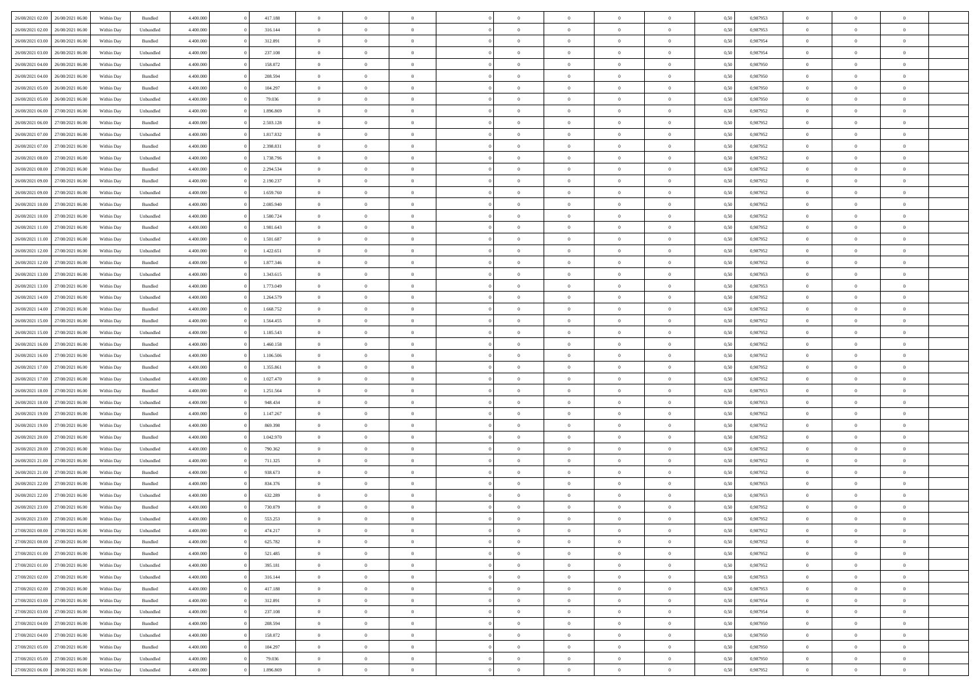| 26/08/2021 02:00 26/08/2021 06:00    | Within Day | Bundled   | 4.400.000 | 417.188   | $\overline{0}$ | $\overline{0}$ | $\Omega$       | $\Omega$       | $\theta$       | $\Omega$       | $\overline{0}$ | 0,50 | 0,987953 | $\theta$       | $\theta$       | $\theta$       |  |
|--------------------------------------|------------|-----------|-----------|-----------|----------------|----------------|----------------|----------------|----------------|----------------|----------------|------|----------|----------------|----------------|----------------|--|
| 26/08/2021 02:00<br>26/08/2021 06:00 | Within Day | Unbundled | 4.400.000 | 316.144   | $\overline{0}$ | $\overline{0}$ | $\overline{0}$ | $\overline{0}$ | $\theta$       | $\overline{0}$ | $\bf{0}$       | 0,50 | 0,987953 | $\theta$       | $\theta$       | $\overline{0}$ |  |
| 26/08/2021 03:00<br>26/08/2021 06:00 | Within Day | Bundled   | 4.400.000 | 312.891   | $\overline{0}$ | $\bf{0}$       | $\overline{0}$ | $\overline{0}$ | $\overline{0}$ | $\overline{0}$ | $\bf{0}$       | 0,50 | 0,987954 | $\bf{0}$       | $\overline{0}$ | $\overline{0}$ |  |
| 26/08/2021 03:00<br>26/08/2021 06:00 | Within Day | Unbundled | 4.400.000 | 237.108   | $\overline{0}$ | $\overline{0}$ | $\overline{0}$ | $\overline{0}$ | $\theta$       | $\overline{0}$ | $\overline{0}$ | 0.50 | 0,987954 | $\theta$       | $\theta$       | $\overline{0}$ |  |
| 26/08/2021 04:00<br>26/08/2021 06:00 | Within Day | Unbundled | 4.400.000 | 158.072   | $\overline{0}$ | $\overline{0}$ | $\overline{0}$ | $\overline{0}$ | $\theta$       | $\overline{0}$ | $\bf{0}$       | 0,50 | 0,987950 | $\theta$       | $\theta$       | $\overline{0}$ |  |
|                                      |            |           |           |           |                |                |                |                |                |                |                |      |          |                |                |                |  |
| 26/08/2021 04:00<br>26/08/2021 06:00 | Within Day | Bundled   | 4.400.000 | 208.594   | $\overline{0}$ | $\bf{0}$       | $\overline{0}$ | $\overline{0}$ | $\overline{0}$ | $\overline{0}$ | $\bf{0}$       | 0,50 | 0,987950 | $\bf{0}$       | $\overline{0}$ | $\bf{0}$       |  |
| 26/08/2021 05:00<br>26/08/2021 06:00 | Within Day | Bundled   | 4.400.000 | 104.297   | $\overline{0}$ | $\overline{0}$ | $\overline{0}$ | $\overline{0}$ | $\overline{0}$ | $\overline{0}$ | $\overline{0}$ | 0.5( | 0,987950 | $\theta$       | $\theta$       | $\overline{0}$ |  |
| 26/08/2021 05:00<br>26/08/2021 06:00 | Within Day | Unbundled | 4.400.000 | 79.036    | $\overline{0}$ | $\theta$       | $\overline{0}$ | $\overline{0}$ | $\theta$       | $\overline{0}$ | $\bf{0}$       | 0,50 | 0,987950 | $\theta$       | $\theta$       | $\overline{0}$ |  |
| 26/08/2021 06:00<br>27/08/2021 06:00 | Within Day | Unbundled | 4.400.000 | 1.896.869 | $\overline{0}$ | $\bf{0}$       | $\overline{0}$ | $\overline{0}$ | $\overline{0}$ | $\overline{0}$ | $\bf{0}$       | 0,50 | 0,987952 | $\bf{0}$       | $\bf{0}$       | $\overline{0}$ |  |
| 26/08/2021 06:00<br>27/08/2021 06:00 | Within Day | Bundled   | 4.400.000 | 2.503.128 | $\overline{0}$ | $\overline{0}$ | $\overline{0}$ | $\overline{0}$ | $\overline{0}$ | $\overline{0}$ | $\overline{0}$ | 0.5( | 0,987952 | $\theta$       | $\theta$       | $\overline{0}$ |  |
| 26/08/2021 07:00<br>27/08/2021 06:00 | Within Day | Unbundled | 4.400.000 | 1.817.832 | $\bf{0}$       | $\overline{0}$ | $\overline{0}$ | $\overline{0}$ | $\theta$       | $\overline{0}$ | $\bf{0}$       | 0,50 | 0,987952 | $\theta$       | $\theta$       | $\overline{0}$ |  |
| 26/08/2021 07:00<br>27/08/2021 06:00 | Within Day | Bundled   | 4.400.000 | 2.398.831 | $\overline{0}$ | $\bf{0}$       | $\overline{0}$ | $\overline{0}$ | $\bf{0}$       | $\overline{0}$ | $\bf{0}$       | 0,50 | 0,987952 | $\bf{0}$       | $\overline{0}$ | $\overline{0}$ |  |
| 26/08/2021 08:00<br>27/08/2021 06:00 | Within Day | Unbundled | 4.400.000 | 1.738.796 | $\overline{0}$ | $\overline{0}$ | $\overline{0}$ | $\overline{0}$ | $\overline{0}$ | $\overline{0}$ | $\overline{0}$ | 0.5( | 0,987952 | $\theta$       | $\theta$       | $\overline{0}$ |  |
| 26/08/2021 08:00<br>27/08/2021 06:00 | Within Day | Bundled   | 4.400.000 | 2.294.534 | $\overline{0}$ | $\overline{0}$ | $\overline{0}$ | $\overline{0}$ | $\theta$       | $\overline{0}$ | $\bf{0}$       | 0,50 | 0,987952 | $\theta$       | $\theta$       | $\overline{0}$ |  |
| 26/08/2021 09:00<br>27/08/2021 06:00 | Within Day | Bundled   | 4.400.000 | 2.190.237 | $\overline{0}$ | $\bf{0}$       | $\overline{0}$ | $\overline{0}$ | $\overline{0}$ | $\overline{0}$ | $\bf{0}$       | 0,50 | 0,987952 | $\bf{0}$       | $\overline{0}$ | $\bf{0}$       |  |
| 26/08/2021 09:00<br>27/08/2021 06:00 | Within Day | Unbundled | 4.400.000 | 1.659.760 | $\overline{0}$ | $\overline{0}$ | $\overline{0}$ | $\overline{0}$ | $\overline{0}$ | $\overline{0}$ | $\overline{0}$ | 0.5( | 0,987952 | $\theta$       | $\theta$       | $\overline{0}$ |  |
| 26/08/2021 10:00<br>27/08/2021 06:00 | Within Day | Bundled   | 4.400.000 | 2.085.940 | $\bf{0}$       | $\theta$       | $\overline{0}$ | $\overline{0}$ | $\theta$       | $\overline{0}$ | $\bf{0}$       | 0,50 | 0,987952 | $\theta$       | $\theta$       | $\overline{0}$ |  |
|                                      |            |           |           |           |                |                |                |                |                |                |                |      |          |                |                |                |  |
| 26/08/2021 10:00<br>27/08/2021 06:00 | Within Day | Unbundled | 4.400.000 | 1.580.724 | $\overline{0}$ | $\bf{0}$       | $\overline{0}$ | $\overline{0}$ | $\overline{0}$ | $\overline{0}$ | $\bf{0}$       | 0,50 | 0,987952 | $\bf{0}$       | $\overline{0}$ | $\overline{0}$ |  |
| 26/08/2021 11:00<br>27/08/2021 06:00 | Within Day | Bundled   | 4.400.000 | 1.981.643 | $\overline{0}$ | $\overline{0}$ | $\overline{0}$ | $\overline{0}$ | $\overline{0}$ | $\overline{0}$ | $\overline{0}$ | 0.5( | 0,987952 | $\theta$       | $\theta$       | $\overline{0}$ |  |
| 26/08/2021 11:00<br>27/08/2021 06:00 | Within Day | Unbundled | 4.400.000 | 1.501.687 | $\bf{0}$       | $\overline{0}$ | $\overline{0}$ | $\overline{0}$ | $\theta$       | $\overline{0}$ | $\bf{0}$       | 0,50 | 0,987952 | $\theta$       | $\theta$       | $\overline{0}$ |  |
| 26/08/2021 12:00<br>27/08/2021 06:00 | Within Day | Unbundled | 4.400.000 | 1.422.651 | $\overline{0}$ | $\bf{0}$       | $\overline{0}$ | $\overline{0}$ | $\overline{0}$ | $\overline{0}$ | $\bf{0}$       | 0,50 | 0,987952 | $\bf{0}$       | $\overline{0}$ | $\overline{0}$ |  |
| 26/08/2021 12:00<br>27/08/2021 06:00 | Within Day | Bundled   | 4.400.000 | 1.877.346 | $\overline{0}$ | $\overline{0}$ | $\overline{0}$ | $\overline{0}$ | $\overline{0}$ | $\overline{0}$ | $\overline{0}$ | 0.5( | 0.987952 | $\theta$       | $\theta$       | $\overline{0}$ |  |
| 26/08/2021 13:00<br>27/08/2021 06:00 | Within Day | Unbundled | 4.400.000 | 1.343.615 | $\overline{0}$ | $\overline{0}$ | $\overline{0}$ | $\overline{0}$ | $\theta$       | $\overline{0}$ | $\bf{0}$       | 0,50 | 0,987953 | $\theta$       | $\theta$       | $\overline{0}$ |  |
| 26/08/2021 13:00<br>27/08/2021 06:00 | Within Day | Bundled   | 4.400.000 | 1.773.049 | $\overline{0}$ | $\bf{0}$       | $\overline{0}$ | $\overline{0}$ | $\overline{0}$ | $\overline{0}$ | $\bf{0}$       | 0,50 | 0,987953 | $\bf{0}$       | $\overline{0}$ | $\bf{0}$       |  |
| 26/08/2021 14:00<br>27/08/2021 06:00 | Within Day | Unbundled | 4.400.000 | 1.264.579 | $\overline{0}$ | $\overline{0}$ | $\overline{0}$ | $\overline{0}$ | $\overline{0}$ | $\overline{0}$ | $\overline{0}$ | 0.5( | 0,987952 | $\overline{0}$ | $\theta$       | $\overline{0}$ |  |
| 26/08/2021 14:00<br>27/08/2021 06:00 | Within Day | Bundled   | 4.400.000 | 1.668.752 | $\bf{0}$       | $\overline{0}$ | $\overline{0}$ | $\overline{0}$ | $\theta$       | $\overline{0}$ | $\bf{0}$       | 0,50 | 0,987952 | $\theta$       | $\theta$       | $\overline{0}$ |  |
| 26/08/2021 15:00<br>27/08/2021 06:00 | Within Day | Bundled   | 4.400.000 | 1.564.455 | $\overline{0}$ | $\bf{0}$       | $\overline{0}$ | $\overline{0}$ | $\overline{0}$ | $\overline{0}$ | $\bf{0}$       | 0,50 | 0,987952 | $\bf{0}$       | $\bf{0}$       | $\overline{0}$ |  |
| 26/08/2021 15:00<br>27/08/2021 06:00 | Within Day | Unbundled | 4.400.000 | 1.185.543 | $\overline{0}$ | $\overline{0}$ | $\overline{0}$ | $\overline{0}$ | $\overline{0}$ | $\overline{0}$ | $\overline{0}$ | 0.5( | 0,987952 | $\theta$       | $\theta$       | $\overline{0}$ |  |
| 26/08/2021 16:00<br>27/08/2021 06:00 | Within Day | Bundled   | 4.400.000 | 1.460.158 | $\bf{0}$       | $\overline{0}$ | $\overline{0}$ | $\overline{0}$ | $\theta$       | $\overline{0}$ | $\bf{0}$       | 0,50 | 0,987952 | $\theta$       | $\theta$       | $\overline{0}$ |  |
| 26/08/2021 16:00<br>27/08/2021 06:00 | Within Day | Unbundled | 4.400.000 | 1.106.506 | $\overline{0}$ | $\bf{0}$       | $\overline{0}$ | $\overline{0}$ | $\bf{0}$       | $\overline{0}$ | $\bf{0}$       | 0,50 | 0,987952 | $\bf{0}$       | $\overline{0}$ | $\overline{0}$ |  |
|                                      |            |           | 4,400,000 |           | $\overline{0}$ |                | $\Omega$       | $\Omega$       | $\Omega$       | $\theta$       |                |      |          |                | $\Omega$       | $\theta$       |  |
| 26/08/2021 17:00<br>27/08/2021 06:00 | Within Day | Bundled   |           | 1.355.861 |                | $\overline{0}$ |                |                |                |                | $\overline{0}$ | 0.50 | 0,987952 | $\,$ 0 $\,$    |                |                |  |
| 26/08/2021 17:00<br>27/08/2021 06:00 | Within Day | Unbundled | 4.400.000 | 1.027.470 | $\overline{0}$ | $\overline{0}$ | $\overline{0}$ | $\overline{0}$ | $\theta$       | $\overline{0}$ | $\bf{0}$       | 0,50 | 0,987952 | $\theta$       | $\theta$       | $\overline{0}$ |  |
| 26/08/2021 18:00<br>27/08/2021 06:00 | Within Day | Bundled   | 4.400.000 | 1.251.564 | $\overline{0}$ | $\bf{0}$       | $\overline{0}$ | $\overline{0}$ | $\bf{0}$       | $\overline{0}$ | $\bf{0}$       | 0,50 | 0,987953 | $\bf{0}$       | $\overline{0}$ | $\bf{0}$       |  |
| 26/08/2021 18:00<br>27/08/2021 06:00 | Within Day | Unbundled | 4,400,000 | 948.434   | $\overline{0}$ | $\overline{0}$ | $\Omega$       | $\Omega$       | $\overline{0}$ | $\Omega$       | $\overline{0}$ | 0.50 | 0,987953 | $\theta$       | $\Omega$       | $\theta$       |  |
| 26/08/2021 19:00<br>27/08/2021 06:00 | Within Day | Bundled   | 4.400.000 | 1.147.267 | $\bf{0}$       | $\overline{0}$ | $\overline{0}$ | $\overline{0}$ | $\theta$       | $\overline{0}$ | $\bf{0}$       | 0,50 | 0,987952 | $\theta$       | $\theta$       | $\overline{0}$ |  |
| 26/08/2021 19:00<br>27/08/2021 06:00 | Within Day | Unbundled | 4.400.000 | 869.398   | $\overline{0}$ | $\bf{0}$       | $\overline{0}$ | $\overline{0}$ | $\overline{0}$ | $\overline{0}$ | $\bf{0}$       | 0,50 | 0,987952 | $\bf{0}$       | $\overline{0}$ | $\overline{0}$ |  |
| 26/08/2021 20:00<br>27/08/2021 06:00 | Within Day | Bundled   | 4,400,000 | 1.042.970 | $\overline{0}$ | $\theta$       | $\Omega$       | $\Omega$       | $\Omega$       | $\Omega$       | $\overline{0}$ | 0.50 | 0.987952 | $\theta$       | $\Omega$       | $\theta$       |  |
| 26/08/2021 20:00<br>27/08/2021 06:00 | Within Day | Unbundled | 4.400.000 | 790.362   | $\bf{0}$       | $\overline{0}$ | $\overline{0}$ | $\overline{0}$ | $\theta$       | $\overline{0}$ | $\bf{0}$       | 0,50 | 0,987952 | $\theta$       | $\theta$       | $\overline{0}$ |  |
| 26/08/2021 21:00<br>27/08/2021 06:00 | Within Day | Unbundled | 4.400.000 | 711.325   | $\overline{0}$ | $\bf{0}$       | $\overline{0}$ | $\overline{0}$ | $\overline{0}$ | $\overline{0}$ | $\bf{0}$       | 0,50 | 0,987952 | $\bf{0}$       | $\overline{0}$ | $\overline{0}$ |  |
| 26/08/2021 21:00<br>27/08/2021 06:00 | Within Day | Bundled   | 4,400,000 | 938.673   | $\overline{0}$ | $\overline{0}$ | $\Omega$       | $\Omega$       | $\theta$       | $\Omega$       | $\overline{0}$ | 0.50 | 0,987952 | $\bf{0}$       | $\overline{0}$ | $\theta$       |  |
| 26/08/2021 22:00<br>27/08/2021 06:00 | Within Day | Bundled   | 4.400.000 | 834.376   | $\bf{0}$       | $\overline{0}$ | $\overline{0}$ | $\overline{0}$ | $\theta$       | $\overline{0}$ | $\bf{0}$       | 0,50 | 0,987953 | $\theta$       | $\theta$       | $\overline{0}$ |  |
| 26/08/2021 22:00<br>27/08/2021 06:00 | Within Day | Unbundled | 4.400.000 | 632.289   | $\overline{0}$ | $\bf{0}$       | $\overline{0}$ | $\overline{0}$ | $\bf{0}$       | $\overline{0}$ | $\bf{0}$       | 0,50 | 0,987953 | $\bf{0}$       | $\overline{0}$ | $\bf{0}$       |  |
| 26/08/2021 23:00<br>27/08/2021 06:00 | Within Day | Bundled   | 4,400,000 | 730,079   | $\overline{0}$ | $\Omega$       | $\Omega$       | $\Omega$       | $\Omega$       | $\theta$       | $\overline{0}$ | 0.50 | 0.987952 | $\theta$       | $\Omega$       | $\theta$       |  |
| 26/08/2021 23:00 27/08/2021 06:00    | Within Day | Unbundled | 4.400.000 | 553.253   | $\bf{0}$       | $\bf{0}$       | $\overline{0}$ | $\overline{0}$ | $\bf{0}$       | $\overline{0}$ | $\bf{0}$       | 0,50 | 0,987952 | $\bf{0}$       | $\,$ 0 $\,$    | $\overline{0}$ |  |
| 27/08/2021 00:00 27/08/2021 06:00    | Within Day | Unbundled | 4.400.000 | 474.217   |                |                |                |                |                |                |                |      |          |                |                |                |  |
|                                      |            |           |           |           | $\bf{0}$       | $\bf{0}$       |                |                |                |                |                | 0,50 | 0,987952 | $\bf{0}$       | $\bf{0}$       |                |  |
| 27/08/2021 00:00 27/08/2021 06:00    | Within Day | Bundled   | 4.400.000 | 625.782   | $\Omega$       | $\overline{0}$ | $\Omega$       | $\theta$       | $\overline{0}$ | $\overline{0}$ | $\overline{0}$ | 0.50 | 0.987952 | $\theta$       | $\theta$       | $\theta$       |  |
| 27/08/2021 01:00 27/08/2021 06:00    | Within Day | Bundled   | 4.400.000 | 521.485   | $\overline{0}$ | $\overline{0}$ | $\overline{0}$ | $\overline{0}$ | $\,$ 0 $\,$    | $\overline{0}$ | $\,$ 0 $\,$    | 0,50 | 0,987952 | $\,$ 0 $\,$    | $\,$ 0 $\,$    | $\,$ 0         |  |
| 27/08/2021 01:00 27/08/2021 06:00    | Within Day | Unbundled | 4.400.000 | 395.181   | $\overline{0}$ | $\overline{0}$ | $\overline{0}$ | $\overline{0}$ | $\mathbf{0}$   | $\overline{0}$ | $\bf{0}$       | 0,50 | 0,987952 | $\overline{0}$ | $\overline{0}$ | $\overline{0}$ |  |
| 27/08/2021 02:00 27/08/2021 06:00    | Within Day | Unbundled | 4.400.000 | 316.144   | $\overline{0}$ | $\bf{0}$       | $\overline{0}$ | $\overline{0}$ | $\overline{0}$ | $\overline{0}$ | $\bf{0}$       | 0,50 | 0,987953 | $\overline{0}$ | $\theta$       | $\overline{0}$ |  |
| 27/08/2021 02:00 27/08/2021 06:00    | Within Day | Bundled   | 4.400.000 | 417.188   | $\overline{0}$ | $\overline{0}$ | $\overline{0}$ | $\overline{0}$ | $\overline{0}$ | $\overline{0}$ | $\,$ 0 $\,$    | 0,50 | 0,987953 | $\,$ 0 $\,$    | $\,$ 0 $\,$    | $\overline{0}$ |  |
| 27/08/2021 03:00 27/08/2021 06:00    | Within Day | Bundled   | 4.400.000 | 312.891   | $\overline{0}$ | $\overline{0}$ | $\overline{0}$ | $\overline{0}$ | $\overline{0}$ | $\overline{0}$ | $\mathbf{0}$   | 0,50 | 0,987954 | $\overline{0}$ | $\overline{0}$ | $\overline{0}$ |  |
| 27/08/2021 03:00 27/08/2021 06:00    | Within Day | Unbundled | 4.400.000 | 237.108   | $\overline{0}$ | $\bf{0}$       | $\overline{0}$ | $\overline{0}$ | $\overline{0}$ | $\overline{0}$ | $\bf{0}$       | 0.50 | 0,987954 | $\overline{0}$ | $\theta$       | $\overline{0}$ |  |
| 27/08/2021 04:00<br>27/08/2021 06:00 | Within Day | Bundled   | 4.400.000 | 208.594   | $\overline{0}$ | $\overline{0}$ | $\overline{0}$ | $\overline{0}$ | $\overline{0}$ | $\overline{0}$ | $\bf{0}$       | 0,50 | 0,987950 | $\,$ 0 $\,$    | $\,$ 0 $\,$    | $\overline{0}$ |  |
| 27/08/2021 06:00<br>27/08/2021 04:00 | Within Day | Unbundled | 4.400.000 | 158.072   | $\overline{0}$ | $\bf{0}$       | $\overline{0}$ | $\overline{0}$ | $\overline{0}$ | $\overline{0}$ | $\bf{0}$       | 0,50 | 0,987950 | $\bf{0}$       | $\overline{0}$ | $\bf{0}$       |  |
| 27/08/2021 05:00 27/08/2021 06:00    | Within Day | Bundled   | 4.400.000 | 104.297   | $\overline{0}$ | $\overline{0}$ | $\overline{0}$ | $\overline{0}$ | $\overline{0}$ | $\overline{0}$ | $\bf{0}$       | 0.50 | 0,987950 | $\overline{0}$ | $\overline{0}$ | $\overline{0}$ |  |
| 27/08/2021 05:00<br>27/08/2021 06:00 | Within Day | Unbundled | 4.400.000 | 79.036    | $\overline{0}$ | $\,$ 0         | $\overline{0}$ | $\overline{0}$ | $\bf{0}$       | $\overline{0}$ | $\bf{0}$       | 0,50 | 0,987950 | $\,$ 0 $\,$    | $\,$ 0 $\,$    | $\bf{0}$       |  |
|                                      |            |           |           |           |                |                |                |                |                |                |                |      |          |                |                |                |  |
| 27/08/2021 06:00 28/08/2021 06:00    | Within Day | Unbundled | 4.400.000 | 1.896.869 | $\overline{0}$ | $\bf{0}$       | $\overline{0}$ | $\overline{0}$ | $\overline{0}$ | $\overline{0}$ | $\bf{0}$       | 0,50 | 0,987952 | $\bf{0}$       | $\overline{0}$ | $\bf{0}$       |  |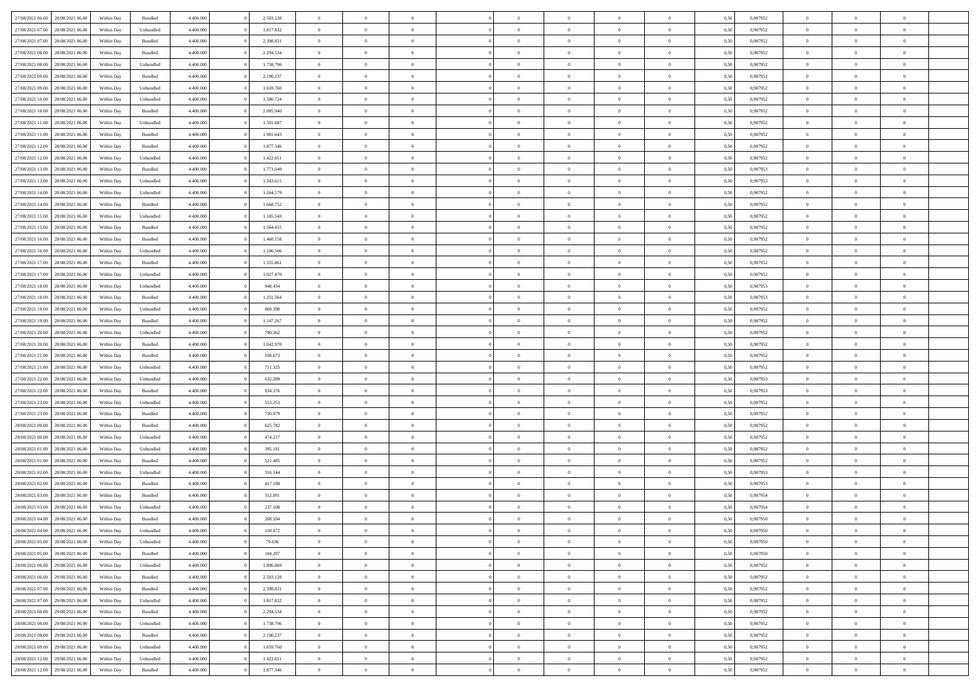| 27/08/2021 06:00 28/08/2021 06:00    | Within Day | Bundled   | 4.400.000 | 2.503.128 | $\overline{0}$ | $\overline{0}$ | $\Omega$       | $\Omega$       | $\theta$       | $\Omega$       | $\overline{0}$ | 0,50 | 0,987952 | $\theta$       | $\theta$       | $\theta$       |  |
|--------------------------------------|------------|-----------|-----------|-----------|----------------|----------------|----------------|----------------|----------------|----------------|----------------|------|----------|----------------|----------------|----------------|--|
| 27/08/2021 07:00<br>28/08/2021 06:00 | Within Day | Unbundled | 4.400.000 | 1.817.832 | $\overline{0}$ | $\overline{0}$ | $\overline{0}$ | $\overline{0}$ | $\theta$       | $\overline{0}$ | $\bf{0}$       | 0,50 | 0,987952 | $\theta$       | $\theta$       | $\overline{0}$ |  |
| 27/08/2021 07:00<br>28/08/2021 06:00 | Within Day | Bundled   | 4.400.000 | 2.398.831 | $\overline{0}$ | $\bf{0}$       | $\overline{0}$ | $\overline{0}$ | $\overline{0}$ | $\overline{0}$ | $\bf{0}$       | 0,50 | 0,987952 | $\bf{0}$       | $\overline{0}$ | $\overline{0}$ |  |
| 27/08/2021 08:00<br>28/08/2021 06:00 | Within Day | Bundled   | 4.400.000 | 2.294.534 | $\overline{0}$ | $\overline{0}$ | $\overline{0}$ | $\overline{0}$ | $\theta$       | $\overline{0}$ | $\overline{0}$ | 0.50 | 0.987952 | $\theta$       | $\theta$       | $\overline{0}$ |  |
| 27/08/2021 08:00<br>28/08/2021 06:00 | Within Day | Unbundled | 4.400.000 | 1.738.796 | $\overline{0}$ | $\overline{0}$ | $\overline{0}$ | $\overline{0}$ | $\theta$       | $\overline{0}$ | $\bf{0}$       | 0,50 | 0,987952 | $\theta$       | $\theta$       | $\overline{0}$ |  |
|                                      |            |           |           |           |                |                |                |                |                |                |                |      |          |                |                |                |  |
| 27/08/2021 09:00<br>28/08/2021 06:00 | Within Day | Bundled   | 4.400.000 | 2.190.237 | $\overline{0}$ | $\bf{0}$       | $\overline{0}$ | $\overline{0}$ | $\overline{0}$ | $\overline{0}$ | $\bf{0}$       | 0,50 | 0,987952 | $\bf{0}$       | $\overline{0}$ | $\bf{0}$       |  |
| 27/08/2021 09:00<br>28/08/2021 06:00 | Within Day | Unbundled | 4.400.000 | 1.659.760 | $\overline{0}$ | $\overline{0}$ | $\overline{0}$ | $\overline{0}$ | $\overline{0}$ | $\overline{0}$ | $\overline{0}$ | 0.5( | 0,987952 | $\theta$       | $\theta$       | $\overline{0}$ |  |
| 27/08/2021 10:00<br>28/08/2021 06:00 | Within Day | Unbundled | 4.400.000 | 1.580.724 | $\overline{0}$ | $\theta$       | $\overline{0}$ | $\overline{0}$ | $\theta$       | $\overline{0}$ | $\bf{0}$       | 0,50 | 0,987952 | $\theta$       | $\theta$       | $\overline{0}$ |  |
| 27/08/2021 10:00<br>28/08/2021 06:00 | Within Day | Bundled   | 4.400.000 | 2.085.940 | $\overline{0}$ | $\bf{0}$       | $\overline{0}$ | $\overline{0}$ | $\overline{0}$ | $\overline{0}$ | $\bf{0}$       | 0,50 | 0,987952 | $\bf{0}$       | $\bf{0}$       | $\overline{0}$ |  |
| 27/08/2021 11:00<br>28/08/2021 06:00 | Within Day | Unbundled | 4.400.000 | 1.501.687 | $\overline{0}$ | $\overline{0}$ | $\overline{0}$ | $\overline{0}$ | $\overline{0}$ | $\overline{0}$ | $\overline{0}$ | 0.5( | 0,987952 | $\theta$       | $\theta$       | $\overline{0}$ |  |
| 27/08/2021 11:00<br>28/08/2021 06:00 | Within Day | Bundled   | 4.400.000 | 1.981.643 | $\bf{0}$       | $\overline{0}$ | $\overline{0}$ | $\overline{0}$ | $\theta$       | $\overline{0}$ | $\bf{0}$       | 0,50 | 0,987952 | $\theta$       | $\theta$       | $\overline{0}$ |  |
| 27/08/2021 12:00<br>28/08/2021 06:00 | Within Day | Bundled   | 4.400.000 | 1.877.346 | $\overline{0}$ | $\bf{0}$       | $\overline{0}$ | $\overline{0}$ | $\bf{0}$       | $\overline{0}$ | $\bf{0}$       | 0,50 | 0,987952 | $\bf{0}$       | $\overline{0}$ | $\overline{0}$ |  |
| 27/08/2021 12:00<br>28/08/2021 06:00 | Within Day | Unbundled | 4.400.000 | 1.422.651 | $\overline{0}$ | $\overline{0}$ | $\overline{0}$ | $\overline{0}$ | $\overline{0}$ | $\overline{0}$ | $\overline{0}$ | 0.5( | 0,987952 | $\theta$       | $\theta$       | $\overline{0}$ |  |
| 27/08/2021 13:00<br>28/08/2021 06:00 | Within Day | Bundled   | 4.400.000 | 1.773.049 | $\overline{0}$ | $\theta$       | $\overline{0}$ | $\overline{0}$ | $\theta$       | $\overline{0}$ | $\bf{0}$       | 0,50 | 0,987953 | $\theta$       | $\theta$       | $\overline{0}$ |  |
| 27/08/2021 13:00<br>28/08/2021 06:00 | Within Day | Unbundled | 4.400.000 | 1.343.615 | $\overline{0}$ | $\bf{0}$       | $\overline{0}$ | $\overline{0}$ | $\overline{0}$ | $\overline{0}$ | $\bf{0}$       | 0,50 | 0,987953 | $\bf{0}$       | $\overline{0}$ | $\bf{0}$       |  |
| 27/08/2021 14:00<br>28/08/2021 06:00 | Within Day | Unbundled | 4.400.000 | 1.264.579 | $\overline{0}$ | $\overline{0}$ | $\overline{0}$ | $\overline{0}$ | $\overline{0}$ | $\overline{0}$ | $\overline{0}$ | 0.5( | 0,987952 | $\theta$       | $\theta$       | $\overline{0}$ |  |
| 27/08/2021 14:00<br>28/08/2021 06:00 | Within Day | Bundled   | 4.400.000 | 1.668.752 | $\bf{0}$       | $\theta$       | $\overline{0}$ | $\overline{0}$ | $\theta$       | $\overline{0}$ | $\bf{0}$       | 0,50 | 0,987952 | $\theta$       | $\theta$       | $\overline{0}$ |  |
|                                      |            |           |           |           |                |                |                |                |                |                |                |      |          |                |                |                |  |
| 27/08/2021 15:00<br>28/08/2021 06:00 | Within Day | Unbundled | 4.400.000 | 1.185.543 | $\overline{0}$ | $\bf{0}$       | $\overline{0}$ | $\overline{0}$ | $\overline{0}$ | $\overline{0}$ | $\bf{0}$       | 0,50 | 0,987952 | $\bf{0}$       | $\overline{0}$ | $\overline{0}$ |  |
| 27/08/2021 15:00<br>28/08/2021 06:00 | Within Day | Bundled   | 4.400.000 | 1.564.455 | $\overline{0}$ | $\overline{0}$ | $\overline{0}$ | $\overline{0}$ | $\overline{0}$ | $\overline{0}$ | $\overline{0}$ | 0.5( | 0,987952 | $\theta$       | $\theta$       | $\overline{0}$ |  |
| 27/08/2021 16:00<br>28/08/2021 06:00 | Within Day | Bundled   | 4.400.000 | 1.460.158 | $\bf{0}$       | $\overline{0}$ | $\overline{0}$ | $\overline{0}$ | $\theta$       | $\overline{0}$ | $\bf{0}$       | 0,50 | 0,987952 | $\theta$       | $\theta$       | $\overline{0}$ |  |
| 27/08/2021 16:00<br>28/08/2021 06:00 | Within Day | Unbundled | 4.400.000 | 1.106.506 | $\overline{0}$ | $\bf{0}$       | $\overline{0}$ | $\overline{0}$ | $\overline{0}$ | $\overline{0}$ | $\bf{0}$       | 0,50 | 0,987952 | $\bf{0}$       | $\overline{0}$ | $\overline{0}$ |  |
| 27/08/2021 17:00<br>28/08/2021 06:00 | Within Day | Bundled   | 4.400.000 | 1.355.861 | $\overline{0}$ | $\overline{0}$ | $\overline{0}$ | $\overline{0}$ | $\overline{0}$ | $\overline{0}$ | $\overline{0}$ | 0.50 | 0.987952 | $\theta$       | $\theta$       | $\overline{0}$ |  |
| 27/08/2021 17:00<br>28/08/2021 06:00 | Within Day | Unbundled | 4.400.000 | 1.027.470 | $\overline{0}$ | $\overline{0}$ | $\overline{0}$ | $\overline{0}$ | $\theta$       | $\overline{0}$ | $\bf{0}$       | 0,50 | 0,987952 | $\theta$       | $\theta$       | $\overline{0}$ |  |
| 27/08/2021 18:00<br>28/08/2021 06:00 | Within Day | Unbundled | 4.400.000 | 948.434   | $\overline{0}$ | $\bf{0}$       | $\overline{0}$ | $\overline{0}$ | $\overline{0}$ | $\overline{0}$ | $\bf{0}$       | 0,50 | 0,987953 | $\bf{0}$       | $\overline{0}$ | $\bf{0}$       |  |
| 27/08/2021 18:00<br>28/08/2021 06:00 | Within Day | Bundled   | 4.400.000 | 1.251.564 | $\overline{0}$ | $\overline{0}$ | $\overline{0}$ | $\overline{0}$ | $\overline{0}$ | $\overline{0}$ | $\overline{0}$ | 0.5( | 0,987953 | $\theta$       | $\theta$       | $\overline{0}$ |  |
| 27/08/2021 19:00<br>28/08/2021 06:00 | Within Day | Unbundled | 4.400.000 | 869.398   | $\bf{0}$       | $\overline{0}$ | $\overline{0}$ | $\overline{0}$ | $\theta$       | $\overline{0}$ | $\bf{0}$       | 0,50 | 0,987952 | $\theta$       | $\theta$       | $\overline{0}$ |  |
| 27/08/2021 19:00<br>28/08/2021 06:00 | Within Day | Bundled   | 4.400.000 | 1.147.267 | $\overline{0}$ | $\bf{0}$       | $\overline{0}$ | $\overline{0}$ | $\overline{0}$ | $\overline{0}$ | $\bf{0}$       | 0,50 | 0,987952 | $\bf{0}$       | $\bf{0}$       | $\overline{0}$ |  |
| 27/08/2021 20:00<br>28/08/2021 06:00 | Within Day | Unbundled | 4.400.000 | 790.362   | $\overline{0}$ | $\overline{0}$ | $\overline{0}$ | $\overline{0}$ | $\overline{0}$ | $\overline{0}$ | $\overline{0}$ | 0.5( | 0,987952 | $\theta$       | $\theta$       | $\overline{0}$ |  |
| 27/08/2021 20:00<br>28/08/2021 06:00 | Within Day | Bundled   | 4.400.000 | 1.042.970 | $\bf{0}$       | $\overline{0}$ | $\overline{0}$ | $\overline{0}$ | $\theta$       | $\overline{0}$ | $\bf{0}$       | 0,50 | 0,987952 | $\theta$       | $\theta$       | $\overline{0}$ |  |
| 27/08/2021 21:00<br>28/08/2021 06:00 | Within Day | Bundled   | 4.400.000 | 938.673   | $\overline{0}$ | $\bf{0}$       | $\overline{0}$ | $\overline{0}$ | $\bf{0}$       | $\overline{0}$ | $\bf{0}$       | 0,50 | 0,987952 | $\bf{0}$       | $\overline{0}$ | $\overline{0}$ |  |
| 27/08/2021 21:00<br>28/08/2021 06:00 |            | Unbundled | 4,400,000 |           | $\overline{0}$ | $\overline{0}$ | $\Omega$       | $\Omega$       | $\Omega$       | $\theta$       | $\overline{0}$ | 0.50 | 0,987952 | $\,$ 0 $\,$    | $\Omega$       | $\theta$       |  |
|                                      | Within Day |           |           | 711.325   |                |                |                |                |                |                |                |      |          | $\theta$       |                |                |  |
| 27/08/2021 22:00<br>28/08/2021 06:00 | Within Day | Unbundled | 4.400.000 | 632.289   | $\overline{0}$ | $\overline{0}$ | $\overline{0}$ | $\overline{0}$ | $\theta$       | $\overline{0}$ | $\bf{0}$       | 0,50 | 0,987953 |                | $\theta$       | $\overline{0}$ |  |
| 27/08/2021 22:00<br>28/08/2021 06:00 | Within Day | Bundled   | 4.400.000 | 834.376   | $\overline{0}$ | $\bf{0}$       | $\overline{0}$ | $\overline{0}$ | $\overline{0}$ | $\overline{0}$ | $\bf{0}$       | 0,50 | 0,987953 | $\bf{0}$       | $\overline{0}$ | $\bf{0}$       |  |
| 27/08/2021 23:00<br>28/08/2021 06:00 | Within Day | Unbundled | 4,400,000 | 553.253   | $\overline{0}$ | $\overline{0}$ | $\Omega$       | $\Omega$       | $\overline{0}$ | $\Omega$       | $\overline{0}$ | 0.50 | 0,987952 | $\theta$       | $\overline{0}$ | $\theta$       |  |
| 27/08/2021 23:00<br>28/08/2021 06:00 | Within Day | Bundled   | 4.400.000 | 730.079   | $\bf{0}$       | $\overline{0}$ | $\overline{0}$ | $\overline{0}$ | $\theta$       | $\overline{0}$ | $\bf{0}$       | 0,50 | 0,987952 | $\theta$       | $\theta$       | $\overline{0}$ |  |
| 28/08/2021 00:00<br>28/08/2021 06:00 | Within Day | Bundled   | 4.400.000 | 625.782   | $\overline{0}$ | $\bf{0}$       | $\overline{0}$ | $\overline{0}$ | $\overline{0}$ | $\bf{0}$       | $\bf{0}$       | 0,50 | 0,987952 | $\bf{0}$       | $\overline{0}$ | $\overline{0}$ |  |
| 28/08/2021 00:00<br>28/08/2021 06:00 | Within Day | Unbundled | 4,400,000 | 474.217   | $\overline{0}$ | $\overline{0}$ | $\Omega$       | $\Omega$       | $\Omega$       | $\Omega$       | $\overline{0}$ | 0.50 | 0.987952 | $\theta$       | $\Omega$       | $\theta$       |  |
| 28/08/2021 01:00<br>28/08/2021 06:00 | Within Day | Unbundled | 4.400.000 | 395.181   | $\bf{0}$       | $\overline{0}$ | $\overline{0}$ | $\overline{0}$ | $\theta$       | $\overline{0}$ | $\bf{0}$       | 0,50 | 0,987952 | $\theta$       | $\theta$       | $\overline{0}$ |  |
| 28/08/2021 01:00<br>28/08/2021 06:00 | Within Day | Bundled   | 4.400.000 | 521.485   | $\overline{0}$ | $\bf{0}$       | $\overline{0}$ | $\overline{0}$ | $\overline{0}$ | $\overline{0}$ | $\bf{0}$       | 0,50 | 0,987952 | $\bf{0}$       | $\overline{0}$ | $\overline{0}$ |  |
| 28/08/2021 02:00<br>28/08/2021 06:00 | Within Day | Unbundled | 4,400,000 | 316.144   | $\overline{0}$ | $\overline{0}$ | $\Omega$       | $\Omega$       | $\theta$       | $\Omega$       | $\overline{0}$ | 0.50 | 0,987953 | $\,$ 0 $\,$    | $\overline{0}$ | $\theta$       |  |
| 28/08/2021 02:00<br>28/08/2021 06:00 | Within Day | Bundled   | 4.400.000 | 417.188   | $\bf{0}$       | $\overline{0}$ | $\overline{0}$ | $\overline{0}$ | $\theta$       | $\overline{0}$ | $\bf{0}$       | 0,50 | 0,987953 | $\theta$       | $\theta$       | $\overline{0}$ |  |
| 28/08/2021 03:00<br>28/08/2021 06:00 | Within Day | Bundled   | 4.400.000 | 312.891   | $\overline{0}$ | $\bf{0}$       | $\overline{0}$ | $\overline{0}$ | $\bf{0}$       | $\overline{0}$ | $\bf{0}$       | 0,50 | 0,987954 | $\overline{0}$ | $\overline{0}$ | $\bf{0}$       |  |
| 28/08/2021 03:00<br>28/08/2021 06:00 | Within Day | Unbundled | 4,400,000 | 237.108   | $\overline{0}$ | $\Omega$       | $\Omega$       | $\Omega$       | $\Omega$       | $\theta$       | $\overline{0}$ | 0.50 | 0.987954 | $\theta$       | $\Omega$       | $\theta$       |  |
| 28/08/2021 04:00<br>28/08/2021 06:00 | Within Day | Bundled   | 4.400.000 | 208.594   | $\bf{0}$       | $\bf{0}$       | $\overline{0}$ | $\overline{0}$ | $\bf{0}$       | $\bf{0}$       | $\bf{0}$       | 0,50 | 0,987950 | $\bf{0}$       | $\bf{0}$       | $\overline{0}$ |  |
| 28/08/2021 04:00 28/08/2021 06:00    | Within Day | Unbundled | 4.400.000 | 158.072   |                | $\bf{0}$       |                |                |                |                |                | 0,50 | 0,987950 | $\bf{0}$       | $\bf{0}$       |                |  |
|                                      | Within Day |           | 4.400.000 | 79.036    | $\Omega$       | $\overline{0}$ | $\Omega$       | $\theta$       | $\overline{0}$ | $\theta$       | $\overline{0}$ | 0.50 | 0.987950 | $\theta$       | $\theta$       | $\theta$       |  |
| 28/08/2021 05:00 28/08/2021 06:00    |            | Unbundled |           |           |                |                |                |                |                |                |                |      |          |                |                |                |  |
| 28/08/2021 05:00<br>28/08/2021 06:00 | Within Day | Bundled   | 4.400.000 | 104.297   | $\overline{0}$ | $\overline{0}$ | $\overline{0}$ | $\overline{0}$ | $\overline{0}$ | $\overline{0}$ | $\,$ 0 $\,$    | 0,50 | 0,987950 | $\,$ 0 $\,$    | $\,$ 0 $\,$    | $\,$ 0         |  |
| 28/08/2021 06:00<br>29/08/2021 06:00 | Within Day | Unbundled | 4.400.000 | 1.896.869 | $\overline{0}$ | $\overline{0}$ | $\overline{0}$ | $\overline{0}$ | $\overline{0}$ | $\overline{0}$ | $\bf{0}$       | 0,50 | 0,987952 | $\overline{0}$ | $\bf{0}$       | $\overline{0}$ |  |
| 28/08/2021 06:00<br>29/08/2021 06:00 | Within Day | Bundled   | 4.400.000 | 2.503.128 | $\overline{0}$ | $\bf{0}$       | $\overline{0}$ | $\overline{0}$ | $\overline{0}$ | $\overline{0}$ | $\bf{0}$       | 0,50 | 0,987952 | $\bf{0}$       | $\theta$       | $\overline{0}$ |  |
| 28/08/2021 07:00<br>29/08/2021 06:00 | Within Day | Bundled   | 4.400.000 | 2.398.831 | $\overline{0}$ | $\overline{0}$ | $\overline{0}$ | $\overline{0}$ | $\overline{0}$ | $\overline{0}$ | $\bf{0}$       | 0,50 | 0,987952 | $\,$ 0 $\,$    | $\,$ 0 $\,$    | $\overline{0}$ |  |
| 28/08/2021 07:00<br>29/08/2021 06:00 | Within Day | Unbundled | 4.400.000 | 1.817.832 | $\overline{0}$ | $\overline{0}$ | $\overline{0}$ | $\overline{0}$ | $\bf{0}$       | $\overline{0}$ | $\bf{0}$       | 0,50 | 0,987952 | $\overline{0}$ | $\overline{0}$ | $\overline{0}$ |  |
| 28/08/2021 08:00<br>29/08/2021 06:00 | Within Day | Bundled   | 4.400.000 | 2.294.534 | $\overline{0}$ | $\bf{0}$       | $\overline{0}$ | $\overline{0}$ | $\overline{0}$ | $\overline{0}$ | $\bf{0}$       | 0.50 | 0,987952 | $\overline{0}$ | $\theta$       | $\overline{0}$ |  |
| 28/08/2021 08:00<br>29/08/2021 06:00 | Within Day | Unbundled | 4.400.000 | 1.738.796 | $\overline{0}$ | $\overline{0}$ | $\overline{0}$ | $\overline{0}$ | $\overline{0}$ | $\overline{0}$ | $\bf{0}$       | 0,50 | 0,987952 | $\,$ 0 $\,$    | $\bf{0}$       | $\overline{0}$ |  |
| 28/08/2021 09:00<br>29/08/2021 06:00 | Within Day | Bundled   | 4.400.000 | 2.190.237 | $\overline{0}$ | $\bf{0}$       | $\overline{0}$ | $\overline{0}$ | $\overline{0}$ | $\overline{0}$ | $\bf{0}$       | 0,50 | 0,987952 | $\bf{0}$       | $\overline{0}$ | $\bf{0}$       |  |
| 28/08/2021 09:00<br>29/08/2021 06:00 | Within Day | Unbundled | 4.400.000 | 1.659.760 | $\overline{0}$ | $\overline{0}$ | $\overline{0}$ | $\overline{0}$ | $\overline{0}$ | $\overline{0}$ | $\bf{0}$       | 0.50 | 0,987952 | $\overline{0}$ | $\theta$       | $\overline{0}$ |  |
| 28/08/2021 12:00<br>29/08/2021 06:00 | Within Day | Unbundled | 4.400.000 | 1.422.651 | $\overline{0}$ | $\,$ 0         | $\overline{0}$ | $\overline{0}$ | $\bf{0}$       | $\bf{0}$       | $\bf{0}$       | 0,50 | 0,987952 | $\,$ 0 $\,$    | $\,$ 0 $\,$    | $\bf{0}$       |  |
|                                      |            |           | 4.400.000 |           |                | $\bf{0}$       |                |                |                |                |                |      |          |                |                |                |  |
| 28/08/2021 12:00 29/08/2021 06:00    | Within Day | Bundled   |           | 1.877.346 | $\overline{0}$ |                | $\overline{0}$ | $\overline{0}$ | $\overline{0}$ | $\overline{0}$ | $\bf{0}$       | 0,50 | 0,987952 | $\overline{0}$ | $\bf{0}$       | $\overline{0}$ |  |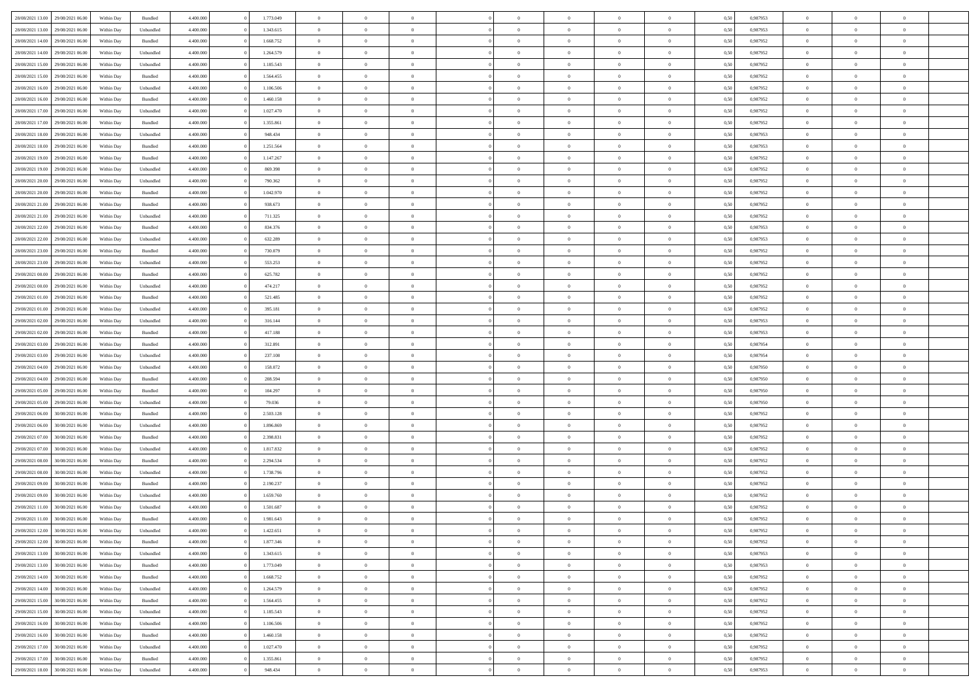| 28/08/2021 13:00 | 29/08/2021 06:00 | Within Day | Bundled   | 4.400.000 | 1.773.049 | $\overline{0}$ | $\theta$       |                | $\overline{0}$ | $\bf{0}$       | $\overline{0}$ | $\theta$       | 0,50 | 0,987953 | $\theta$       | $\theta$       | $\theta$                 |  |
|------------------|------------------|------------|-----------|-----------|-----------|----------------|----------------|----------------|----------------|----------------|----------------|----------------|------|----------|----------------|----------------|--------------------------|--|
| 28/08/2021 13:00 | 29/08/2021 06.00 | Within Day | Unbundled | 4.400.000 | 1.343.615 | $\overline{0}$ | $\overline{0}$ | $\overline{0}$ | $\overline{0}$ | $\,$ 0         | $\bf{0}$       | $\bf{0}$       | 0,50 | 0,987953 | $\,$ 0 $\,$    | $\overline{0}$ | $\overline{0}$           |  |
|                  |                  |            |           |           |           |                |                |                |                |                |                |                |      |          |                |                |                          |  |
| 28/08/2021 14:00 | 29/08/2021 06:00 | Within Day | Bundled   | 4.400,000 | 1.668.752 | $\overline{0}$ | $\overline{0}$ | $\overline{0}$ | $\overline{0}$ | $\bf{0}$       | $\overline{0}$ | $\overline{0}$ | 0.50 | 0.987952 | $\bf{0}$       | $\overline{0}$ | $\overline{0}$           |  |
| 28/08/2021 14:00 | 29/08/2021 06:00 | Within Day | Unbundled | 4.400.000 | 1.264.579 | $\overline{0}$ | $\overline{0}$ | $\overline{0}$ | $\overline{0}$ | $\,$ 0         | $\overline{0}$ | $\overline{0}$ | 0,50 | 0,987952 | $\,$ 0 $\,$    | $\overline{0}$ | $\overline{0}$           |  |
| 28/08/2021 15:00 | 29/08/2021 06.00 | Within Day | Unbundled | 4.400.000 | 1.185.543 | $\overline{0}$ | $\theta$       | $\overline{0}$ |                | $\overline{0}$ | $\overline{0}$ | $\bf{0}$       | 0,50 | 0,987952 | $\,$ 0 $\,$    | $\overline{0}$ | $\overline{0}$           |  |
| 28/08/2021 15:00 | 29/08/2021 06:00 | Within Day | Bundled   | 4.400,000 | 1.564.455 | $\overline{0}$ | $\overline{0}$ | $\overline{0}$ | $\overline{0}$ | $\bf{0}$       | $\overline{0}$ | $\overline{0}$ | 0.50 | 0.987952 | $\,0\,$        | $\theta$       | $\overline{0}$           |  |
| 28/08/2021 16:00 | 29/08/2021 06:00 | Within Day | Unbundled | 4.400.000 | 1.106.506 | $\overline{0}$ | $\overline{0}$ | $\overline{0}$ | $\overline{0}$ | $\,$ 0         | $\overline{0}$ | $\overline{0}$ | 0,50 | 0,987952 | $\,$ 0 $\,$    | $\theta$       | $\overline{0}$           |  |
| 28/08/2021 16:00 | 29/08/2021 06.00 | Within Day | Bundled   | 4.400.000 | 1.460.158 | $\overline{0}$ | $\theta$       | $\overline{0}$ | $\overline{0}$ | $\,$ 0         | $\overline{0}$ | $\bf{0}$       | 0,50 | 0,987952 | $\,$ 0 $\,$    | $\overline{0}$ | $\overline{0}$           |  |
| 28/08/2021 17:00 | 29/08/2021 06:00 | Within Day | Unbundled | 4.400,000 | 1.027.470 | $\overline{0}$ | $\overline{0}$ | $\overline{0}$ | $\overline{0}$ | $\bf{0}$       | $\overline{0}$ | $\bf{0}$       | 0.50 | 0.987952 | $\,0\,$        | $\overline{0}$ | $\overline{0}$           |  |
| 28/08/2021 17:00 | 29/08/2021 06:00 | Within Day | Bundled   | 4.400.000 | 1.355.861 | $\overline{0}$ | $\overline{0}$ | $\overline{0}$ | $\overline{0}$ | $\,$ 0         | $\overline{0}$ | $\bf{0}$       | 0,50 | 0,987952 | $\,$ 0 $\,$    | $\overline{0}$ | $\overline{0}$           |  |
| 28/08/2021 18:00 | 29/08/2021 06.00 | Within Day | Unbundled | 4.400.000 | 948.434   | $\bf{0}$       | $\theta$       | $\overline{0}$ | $\overline{0}$ | $\,$ 0         | $\overline{0}$ | $\bf{0}$       | 0,50 | 0,987953 | $\,$ 0 $\,$    | $\overline{0}$ | $\overline{0}$           |  |
| 28/08/2021 18:00 | 29/08/2021 06:00 | Within Day | Bundled   | 4.400,000 | 1.251.564 | $\overline{0}$ | $\overline{0}$ | $\overline{0}$ | $\overline{0}$ | $\bf{0}$       | $\overline{0}$ | $\mathbf{0}$   | 0.50 | 0.987953 | $\bf{0}$       | $\overline{0}$ | $\overline{\phantom{a}}$ |  |
| 28/08/2021 19:00 | 29/08/2021 06:00 | Within Day | Bundled   | 4.400.000 | 1.147.267 | $\overline{0}$ | $\overline{0}$ | $\overline{0}$ | $\overline{0}$ | $\,$ 0         | $\overline{0}$ | $\overline{0}$ | 0,50 | 0,987952 | $\,$ 0 $\,$    | $\overline{0}$ | $\overline{0}$           |  |
| 28/08/2021 19:00 | 29/08/2021 06.00 | Within Day | Unbundled | 4.400.000 | 869.398   | $\overline{0}$ | $\theta$       | $\overline{0}$ | $\overline{0}$ | $\overline{0}$ | $\overline{0}$ | $\bf{0}$       | 0,50 | 0,987952 | $\,$ 0 $\,$    | $\overline{0}$ | $\overline{0}$           |  |
| 28/08/2021 20:00 | 29/08/2021 06:00 | Within Day | Unbundled | 4.400,000 | 790,362   | $\overline{0}$ | $\overline{0}$ | $\overline{0}$ | $\overline{0}$ | $\bf{0}$       | $\overline{0}$ | $\overline{0}$ | 0.50 | 0.987952 | $\,0\,$        | $\theta$       | $\overline{0}$           |  |
|                  |                  |            |           |           |           | $\overline{0}$ | $\overline{0}$ | $\overline{0}$ | $\overline{0}$ |                | $\overline{0}$ |                |      |          | $\,$ 0 $\,$    | $\theta$       | $\overline{0}$           |  |
| 28/08/2021 20:00 | 29/08/2021 06:00 | Within Day | Bundled   | 4.400.000 | 1.042.970 |                |                |                |                | $\,$ 0         |                | $\bf{0}$       | 0,50 | 0,987952 |                |                |                          |  |
| 28/08/2021 21:00 | 29/08/2021 06.00 | Within Day | Bundled   | 4.400.000 | 938.673   | $\overline{0}$ | $\theta$       | $\overline{0}$ |                | $\bf{0}$       | $\overline{0}$ | $\bf{0}$       | 0,50 | 0,987952 | $\,$ 0 $\,$    | $\overline{0}$ | $\overline{0}$           |  |
| 28/08/2021 21:00 | 29/08/2021 06:00 | Within Day | Unbundled | 4.400,000 | 711.325   | $\overline{0}$ | $\overline{0}$ | $\overline{0}$ | $\overline{0}$ | $\bf{0}$       | $\overline{0}$ | $\bf{0}$       | 0.50 | 0.987952 | $\,0\,$        | $\overline{0}$ | $\overline{\phantom{a}}$ |  |
| 28/08/2021 22:00 | 29/08/2021 06:00 | Within Day | Bundled   | 4.400.000 | 834.376   | $\overline{0}$ | $\overline{0}$ | $\overline{0}$ | $\overline{0}$ | $\bf{0}$       | $\overline{0}$ | $\bf{0}$       | 0,50 | 0,987953 | $\,$ 0 $\,$    | $\overline{0}$ | $\overline{0}$           |  |
| 28/08/2021 22:00 | 29/08/2021 06.00 | Within Day | Unbundled | 4.400.000 | 632.289   | $\bf{0}$       | $\theta$       | $\overline{0}$ | $\overline{0}$ | $\,$ 0         | $\overline{0}$ | $\bf{0}$       | 0,50 | 0,987953 | $\,$ 0 $\,$    | $\overline{0}$ | $\overline{0}$           |  |
| 28/08/2021 23:00 | 29/08/2021 06:00 | Within Day | Bundled   | 4.400,000 | 730.079   | $\overline{0}$ | $\overline{0}$ | $\overline{0}$ | $\overline{0}$ | $\bf{0}$       | $\overline{0}$ | $\mathbf{0}$   | 0.50 | 0.987952 | $\bf{0}$       | $\overline{0}$ | $\bf{0}$                 |  |
| 28/08/2021 23:00 | 29/08/2021 06:00 | Within Day | Unbundled | 4.400.000 | 553.253   | $\overline{0}$ | $\overline{0}$ | $\overline{0}$ | $\overline{0}$ | $\bf{0}$       | $\overline{0}$ | $\overline{0}$ | 0,50 | 0,987952 | $\,$ 0 $\,$    | $\overline{0}$ | $\overline{0}$           |  |
| 29/08/2021 00:00 | 29/08/2021 06.00 | Within Day | Bundled   | 4.400.000 | 625.782   | $\overline{0}$ | $\theta$       | $\overline{0}$ | $\overline{0}$ | $\,$ 0         | $\overline{0}$ | $\bf{0}$       | 0,50 | 0,987952 | $\,$ 0 $\,$    | $\overline{0}$ | $\overline{0}$           |  |
| 29/08/2021 00:00 | 29/08/2021 06:00 | Within Day | Unbundled | 4.400,000 | 474.217   | $\overline{0}$ | $\overline{0}$ | $\overline{0}$ | $\overline{0}$ | $\bf{0}$       | $\overline{0}$ | $\bf{0}$       | 0.50 | 0.987952 | $\,0\,$        | $\theta$       | $\overline{0}$           |  |
| 29/08/2021 01:00 | 29/08/2021 06:00 | Within Day | Bundled   | 4.400.000 | 521.485   | $\overline{0}$ | $\overline{0}$ | $\overline{0}$ | $\overline{0}$ | $\,$ 0         | $\overline{0}$ | $\overline{0}$ | 0,50 | 0,987952 | $\,0\,$        | $\theta$       | $\overline{0}$           |  |
| 29/08/2021 01:00 | 29/08/2021 06.00 | Within Day | Unbundled | 4.400.000 | 395.181   | $\overline{0}$ | $\theta$       | $\overline{0}$ |                | $\bf{0}$       | $\overline{0}$ | $\bf{0}$       | 0,50 | 0,987952 | $\,$ 0 $\,$    | $\overline{0}$ | $\overline{0}$           |  |
| 29/08/2021 02:00 | 29/08/2021 06:00 | Within Day | Unbundled | 4.400,000 | 316.144   | $\overline{0}$ | $\overline{0}$ | $\overline{0}$ | $\overline{0}$ | $\bf{0}$       | $\overline{0}$ | $\bf{0}$       | 0.50 | 0.987953 | $\,0\,$        | $\overline{0}$ | $\overline{0}$           |  |
| 29/08/2021 02:00 | 29/08/2021 06:00 | Within Day | Bundled   | 4.400.000 | 417.188   | $\overline{0}$ | $\overline{0}$ | $\overline{0}$ | $\overline{0}$ | $\,$ 0         | $\overline{0}$ | $\bf{0}$       | 0,50 | 0,987953 | $\,$ 0 $\,$    | $\overline{0}$ | $\overline{0}$           |  |
|                  | 29/08/2021 06.00 | Within Day | Bundled   | 4.400.000 | 312.891   | $\bf{0}$       | $\overline{0}$ | $\overline{0}$ | $\overline{0}$ | $\,$ 0         | $\overline{0}$ | $\bf{0}$       | 0,50 | 0,987954 | $\,$ 0 $\,$    | $\overline{0}$ | $\overline{0}$           |  |
| 29/08/2021 03:00 |                  |            |           |           |           |                |                |                |                |                |                |                |      |          |                |                |                          |  |
| 29/08/2021 03:00 | 29/08/2021 06:00 | Within Day | Unbundled | 4.400,000 | 237.108   | $\overline{0}$ | $\overline{0}$ | $\overline{0}$ | $\overline{0}$ | $\bf{0}$       | $\overline{0}$ | $\mathbf{0}$   | 0.50 | 0.987954 | $\bf{0}$       | $\overline{0}$ | $\overline{\phantom{a}}$ |  |
| 29/08/2021 04:00 | 29/08/2021 06:00 | Within Dav | Unbundled | 4.400.000 | 158.072   | $\overline{0}$ | $\overline{0}$ | $\overline{0}$ | $\overline{0}$ | $\mathbf{0}$   | $\overline{0}$ | $\overline{0}$ | 0.50 | 0,987950 | $\theta$       | $\overline{0}$ | $\overline{0}$           |  |
| 29/08/2021 04:00 | 29/08/2021 06.00 | Within Day | Bundled   | 4.400.000 | 208.594   | $\overline{0}$ | $\theta$       | $\overline{0}$ | $\overline{0}$ | $\bf{0}$       | $\overline{0}$ | $\bf{0}$       | 0,50 | 0,987950 | $\,$ 0 $\,$    | $\overline{0}$ | $\overline{0}$           |  |
| 29/08/2021 05:00 | 29/08/2021 06:00 | Within Day | Bundled   | 4.400,000 | 104.297   | $\overline{0}$ | $\overline{0}$ | $\overline{0}$ | $\overline{0}$ | $\bf{0}$       | $\overline{0}$ | $\bf{0}$       | 0.50 | 0.987950 | $\,0\,$        | $\theta$       | $\overline{0}$           |  |
| 29/08/2021 05:00 | 29/08/2021 06:00 | Within Dav | Unbundled | 4.400.000 | 79.036    | $\overline{0}$ | $\theta$       | $\Omega$       | $\overline{0}$ | $\bf{0}$       | $\overline{0}$ | $\overline{0}$ | 0.50 | 0,987950 | $\theta$       | $\overline{0}$ | $\overline{0}$           |  |
| 29/08/2021 06:00 | 30/08/2021 06:00 | Within Day | Bundled   | 4.400.000 | 2.503.128 | $\overline{0}$ | $\theta$       | $\overline{0}$ | $\overline{0}$ | $\,$ 0         | $\overline{0}$ | $\bf{0}$       | 0,50 | 0,987952 | $\,$ 0 $\,$    | $\overline{0}$ | $\overline{0}$           |  |
| 29/08/2021 06:00 | 30/08/2021 06:00 | Within Day | Unbundled | 4.400,000 | 1.896.869 | $\overline{0}$ | $\overline{0}$ | $\overline{0}$ | $\overline{0}$ | $\bf{0}$       | $\overline{0}$ | $\bf{0}$       | 0.50 | 0.987952 | $\,0\,$        | $\overline{0}$ | $\overline{0}$           |  |
| 29/08/2021 07:00 | 30/08/2021 06:00 | Within Dav | Bundled   | 4.400.000 | 2.398.831 | $\overline{0}$ | $\overline{0}$ | $\overline{0}$ | $\overline{0}$ | $\overline{0}$ | $\overline{0}$ | $\overline{0}$ | 0.50 | 0,987952 | $\theta$       | $\overline{0}$ | $\overline{0}$           |  |
| 29/08/2021 07:00 | 30/08/2021 06:00 | Within Day | Unbundled | 4.400.000 | 1.817.832 | $\overline{0}$ | $\overline{0}$ | $\overline{0}$ | $\overline{0}$ | $\bf{0}$       | $\bf{0}$       | $\bf{0}$       | 0,50 | 0,987952 | $\,$ 0 $\,$    | $\overline{0}$ | $\overline{0}$           |  |
| 29/08/2021 08:00 | 30/08/2021 06:00 | Within Day | Bundled   | 4.400,000 | 2.294.534 | $\overline{0}$ | $\overline{0}$ | $\overline{0}$ | $\overline{0}$ | $\bf{0}$       | $\overline{0}$ | $\mathbf{0}$   | 0.50 | 0.987952 | $\bf{0}$       | $\overline{0}$ | $\overline{0}$           |  |
| 29/08/2021 08:00 | 30/08/2021 06:00 | Within Dav | Unbundled | 4.400.000 | 1.738.796 | $\overline{0}$ | $\overline{0}$ | $\Omega$       | $\overline{0}$ | $\mathbf{0}$   | $\overline{0}$ | $\overline{0}$ | 0.50 | 0,987952 | $\theta$       | $\overline{0}$ | $\overline{0}$           |  |
| 29/08/2021 09:00 | 30/08/2021 06:00 | Within Day | Bundled   | 4.400.000 | 2.190.237 | $\overline{0}$ | $\theta$       | $\overline{0}$ | $\overline{0}$ | $\,$ 0         | $\overline{0}$ | $\bf{0}$       | 0,50 | 0,987952 | $\,$ 0 $\,$    | $\overline{0}$ | $\overline{0}$           |  |
| 29/08/2021 09:00 | 30/08/2021 06:00 | Within Day | Unbundled | 4.400,000 | 1.659.760 | $\overline{0}$ | $\theta$       | $\overline{0}$ | $\overline{0}$ | $\bf{0}$       | $\Omega$       | $\overline{0}$ | 0.50 | 0,987952 | $\,0\,$        | $\theta$       | $\overline{0}$           |  |
| 29/08/2021 11:00 | 30/08/2021 06:00 | Within Dav | Unbundled | 4.400.000 | 1.501.687 | $\overline{0}$ | $\Omega$       | $\Omega$       | $\Omega$       | $\bf{0}$       | $\overline{0}$ | $\bf{0}$       | 0.50 | 0,987952 | $\theta$       | $\theta$       | $\overline{0}$           |  |
| 29/08/2021 11:00 | 30/08/2021 06:00 | Within Day | Bundled   | 4.400.000 | 1.981.643 | $\bf{0}$       | $\,$ 0 $\,$    | $\overline{0}$ | $\overline{0}$ | $\,$ 0         | $\overline{0}$ | $\bf{0}$       | 0,50 | 0,987952 | $\,$ 0 $\,$    | $\overline{0}$ | $\overline{0}$           |  |
| 29/08/2021 12:00 | 30/08/2021 06:00 | Within Day | Unbundled | 4.400.000 | 1.422.651 | $\bf{0}$       | $\theta$       |                | $\Omega$       | $\Omega$       |                |                | 0,50 | 0.987952 | $\bf{0}$       | $\theta$       |                          |  |
| 29/08/2021 12:00 | 30/08/2021 06:00 | Within Day | Bundled   | 4.400.000 | 1.877.346 | $\overline{0}$ | $\overline{0}$ | $\overline{0}$ | $\overline{0}$ | $\overline{0}$ | $\overline{0}$ | $\overline{0}$ | 0,50 | 0,987952 | $\theta$       | $\overline{0}$ | $\overline{0}$           |  |
|                  |                  |            |           |           |           |                | $\overline{0}$ |                |                |                |                |                |      |          |                | $\overline{0}$ | $\bf{0}$                 |  |
| 29/08/2021 13:00 | 30/08/2021 06:00 | Within Day | Unbundled | 4.400.000 | 1.343.615 | $\overline{0}$ |                | $\overline{0}$ | $\overline{0}$ | $\overline{0}$ | $\overline{0}$ | $\bf{0}$       | 0,50 | 0,987953 | $\bf{0}$       |                |                          |  |
| 29/08/2021 13:00 | 30/08/2021 06:00 | Within Day | Bundled   | 4.400.000 | 1.773.049 | $\overline{0}$ | $\overline{0}$ | $\overline{0}$ | $\overline{0}$ | $\overline{0}$ | $\overline{0}$ | $\mathbf{0}$   | 0.50 | 0.987953 | $\overline{0}$ | $\bf{0}$       | $\bf{0}$                 |  |
| 29/08/2021 14:00 | 30/08/2021 06:00 | Within Day | Bundled   | 4.400.000 | 1.668.752 | $\overline{0}$ | $\overline{0}$ | $\overline{0}$ | $\overline{0}$ | $\overline{0}$ | $\overline{0}$ | $\overline{0}$ | 0,50 | 0,987952 | $\overline{0}$ | $\theta$       | $\overline{0}$           |  |
| 29/08/2021 14:00 | 30/08/2021 06:00 | Within Day | Unbundled | 4.400.000 | 1.264.579 | $\overline{0}$ | $\overline{0}$ | $\overline{0}$ | $\overline{0}$ | $\bf{0}$       | $\bf{0}$       | $\bf{0}$       | 0,50 | 0,987952 | $\,$ 0 $\,$    | $\overline{0}$ | $\overline{0}$           |  |
| 29/08/2021 15:00 | 30/08/2021 06:00 | Within Day | Bundled   | 4.400.000 | 1.564.455 | $\overline{0}$ | $\overline{0}$ | $\overline{0}$ | $\overline{0}$ | $\bf{0}$       | $\overline{0}$ | $\mathbf{0}$   | 0.50 | 0.987952 | $\,$ 0 $\,$    | $\overline{0}$ | $\overline{0}$           |  |
| 29/08/2021 15:00 | 30/08/2021 06:00 | Within Day | Unbundled | 4.400.000 | 1.185.543 | $\overline{0}$ | $\overline{0}$ | $\overline{0}$ | $\overline{0}$ | $\overline{0}$ | $\overline{0}$ | $\overline{0}$ | 0,50 | 0,987952 | $\overline{0}$ | $\overline{0}$ | $\overline{0}$           |  |
| 29/08/2021 16:00 | 30/08/2021 06:00 | Within Day | Unbundled | 4.400.000 | 1.106.506 | $\overline{0}$ | $\,$ 0         | $\overline{0}$ | $\bf{0}$       | $\overline{0}$ | $\overline{0}$ | $\bf{0}$       | 0,50 | 0,987952 | $\,$ 0 $\,$    | $\overline{0}$ | $\overline{0}$           |  |
| 29/08/2021 16:00 | 30/08/2021 06:00 | Within Day | Bundled   | 4.400.000 | 1.460.158 | $\overline{0}$ | $\overline{0}$ | $\overline{0}$ | $\overline{0}$ | $\bf{0}$       | $\overline{0}$ | $\mathbf{0}$   | 0.50 | 0.987952 | $\mathbf{0}$   | $\bf{0}$       | $\bf{0}$                 |  |
| 29/08/2021 17:00 | 30/08/2021 06:00 | Within Day | Unbundled | 4.400.000 | 1.027.470 | $\overline{0}$ | $\overline{0}$ | $\overline{0}$ | $\overline{0}$ | $\overline{0}$ | $\overline{0}$ | $\overline{0}$ | 0,50 | 0,987952 | $\overline{0}$ | $\overline{0}$ | $\overline{0}$           |  |
| 29/08/2021 17:00 | 30/08/2021 06:00 | Within Day | Bundled   | 4.400.000 | 1.355.861 | $\overline{0}$ | $\bf{0}$       | $\overline{0}$ | $\bf{0}$       | $\bf{0}$       | $\bf{0}$       | $\bf{0}$       | 0,50 | 0,987952 | $\overline{0}$ | $\overline{0}$ | $\bf{0}$                 |  |
| 29/08/2021 18:00 | 30/08/2021 06:00 | Within Day | Unbundled | 4.400.000 | 948.434   | $\,$ 0 $\,$    | $\,$ 0 $\,$    | $\overline{0}$ | $\overline{0}$ | $\,$ 0 $\,$    | $\,$ 0 $\,$    | $\,$ 0 $\,$    | 0,50 | 0,987953 | $\overline{0}$ | $\,$ 0 $\,$    | $\,$ 0 $\,$              |  |
|                  |                  |            |           |           |           |                |                |                |                |                |                |                |      |          |                |                |                          |  |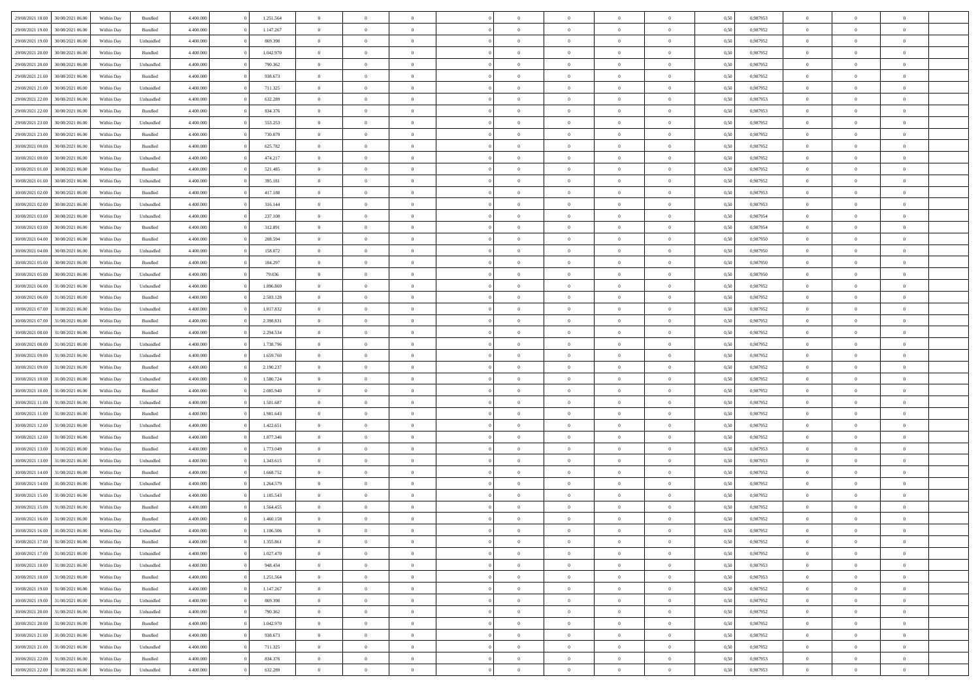| 29/08/2021 18:00 | 30/08/2021 06:00 | Within Day | Bundled            | 4.400.000 | 1.251.564 | $\overline{0}$ | $\theta$       |                | $\Omega$       | $\Omega$       | $\theta$       | $\theta$       | 0,50 | 0.987953 | $\theta$       | $\overline{0}$ | $\theta$       |  |
|------------------|------------------|------------|--------------------|-----------|-----------|----------------|----------------|----------------|----------------|----------------|----------------|----------------|------|----------|----------------|----------------|----------------|--|
|                  |                  |            |                    |           |           |                |                |                |                |                |                |                |      |          |                |                |                |  |
| 29/08/2021 19:00 | 30/08/2021 06:00 | Within Day | Bundled            | 4.400.000 | 1.147.267 | $\overline{0}$ | $\theta$       | $\overline{0}$ | $\overline{0}$ | $\bf{0}$       | $\overline{0}$ | $\bf{0}$       | 0,50 | 0,987952 | $\theta$       | $\overline{0}$ | $\overline{0}$ |  |
| 29/08/2021 19:00 | 30/08/2021 06:00 | Within Day | Unbundled          | 4.400.000 | 869.398   | $\overline{0}$ | $\bf{0}$       | $\overline{0}$ | $\bf{0}$       | $\bf{0}$       | $\bf{0}$       | $\mathbf{0}$   | 0,50 | 0,987952 | $\overline{0}$ | $\overline{0}$ | $\overline{0}$ |  |
| 29/08/2021 20:00 | 30/08/2021 06:00 | Within Dav | Bundled            | 4.400.000 | 1.042.970 | $\overline{0}$ | $\overline{0}$ | $\overline{0}$ | $\overline{0}$ | $\bf{0}$       | $\overline{0}$ | $\overline{0}$ | 0.50 | 0,987952 | $\theta$       | $\theta$       | $\overline{0}$ |  |
| 29/08/2021 20:00 | 30/08/2021 06:00 | Within Day | Unbundled          | 4.400.000 | 790.362   | $\overline{0}$ | $\theta$       | $\overline{0}$ | $\overline{0}$ | $\bf{0}$       | $\overline{0}$ | $\bf{0}$       | 0,50 | 0,987952 | $\,$ 0 $\,$    | $\overline{0}$ | $\overline{0}$ |  |
| 29/08/2021 21:00 | 30/08/2021 06:00 | Within Day | Bundled            | 4.400.000 | 938.673   | $\overline{0}$ | $\overline{0}$ | $\overline{0}$ | $\bf{0}$       | $\overline{0}$ | $\overline{0}$ | $\mathbf{0}$   | 0,50 | 0,987952 | $\overline{0}$ | $\overline{0}$ | $\bf{0}$       |  |
|                  |                  |            |                    |           |           |                |                |                |                |                |                |                |      |          |                |                |                |  |
| 29/08/2021 21:00 | 30/08/2021 06:00 | Within Dav | Unbundled          | 4.400.000 | 711.325   | $\overline{0}$ | $\overline{0}$ | $\overline{0}$ | $\overline{0}$ | $\overline{0}$ | $\overline{0}$ | $\overline{0}$ | 0.50 | 0,987952 | $\theta$       | $\overline{0}$ | $\overline{0}$ |  |
| 29/08/2021 22.00 | 30/08/2021 06:00 | Within Day | Unbundled          | 4.400.000 | 632.289   | $\overline{0}$ | $\theta$       | $\overline{0}$ | $\overline{0}$ | $\bf{0}$       | $\overline{0}$ | $\bf{0}$       | 0,50 | 0,987953 | $\theta$       | $\theta$       | $\overline{0}$ |  |
| 29/08/2021 22:00 | 30/08/2021 06:00 | Within Day | Bundled            | 4.400.000 | 834.376   | $\overline{0}$ | $\overline{0}$ | $\overline{0}$ | $\bf{0}$       | $\bf{0}$       | $\bf{0}$       | $\mathbf{0}$   | 0,50 | 0,987953 | $\,0\,$        | $\overline{0}$ | $\overline{0}$ |  |
| 29/08/2021 23:00 | 30/08/2021 06:00 | Within Dav | Unbundled          | 4.400.000 | 553.253   | $\overline{0}$ | $\overline{0}$ | $\overline{0}$ | $\overline{0}$ | $\overline{0}$ | $\overline{0}$ | $\overline{0}$ | 0.50 | 0,987952 | $\theta$       | $\overline{0}$ | $\overline{0}$ |  |
| 29/08/2021 23:00 | 30/08/2021 06:00 | Within Day | Bundled            | 4.400.000 | 730.079   | $\overline{0}$ | $\theta$       | $\overline{0}$ | $\overline{0}$ | $\bf{0}$       | $\overline{0}$ | $\bf{0}$       | 0,50 | 0,987952 | $\,$ 0 $\,$    | $\overline{0}$ | $\overline{0}$ |  |
| 30/08/2021 00:00 | 30/08/2021 06:00 | Within Day | Bundled            | 4.400.000 | 625.782   | $\overline{0}$ | $\overline{0}$ | $\overline{0}$ | $\bf{0}$       | $\bf{0}$       | $\bf{0}$       | $\mathbf{0}$   | 0,50 | 0,987952 | $\overline{0}$ | $\overline{0}$ | $\bf{0}$       |  |
| 30/08/2021 00:00 | 30/08/2021 06:00 | Within Day | Unbundled          | 4.400.000 | 474.217   | $\overline{0}$ | $\overline{0}$ | $\overline{0}$ | $\overline{0}$ | $\bf{0}$       | $\overline{0}$ | $\overline{0}$ | 0.50 | 0,987952 | $\theta$       | $\theta$       | $\overline{0}$ |  |
| 30/08/2021 01:00 | 30/08/2021 06:00 |            |                    | 4.400.000 | 521.485   | $\overline{0}$ | $\theta$       | $\overline{0}$ | $\overline{0}$ | $\bf{0}$       | $\overline{0}$ |                |      | 0,987952 | $\theta$       | $\overline{0}$ | $\overline{0}$ |  |
|                  |                  | Within Day | Bundled            |           |           |                |                |                |                |                |                | $\bf{0}$       | 0,50 |          |                |                |                |  |
| 30/08/2021 01:00 | 30/08/2021 06:00 | Within Day | Unbundled          | 4.400.000 | 395.181   | $\overline{0}$ | $\overline{0}$ | $\overline{0}$ | $\bf{0}$       | $\overline{0}$ | $\overline{0}$ | $\mathbf{0}$   | 0,50 | 0,987952 | $\overline{0}$ | $\overline{0}$ | $\bf{0}$       |  |
| 30/08/2021 02:00 | 30/08/2021 06:00 | Within Dav | Bundled            | 4.400.000 | 417.188   | $\overline{0}$ | $\overline{0}$ | $\overline{0}$ | $\overline{0}$ | $\overline{0}$ | $\overline{0}$ | $\overline{0}$ | 0.50 | 0,987953 | $\theta$       | $\overline{0}$ | $\overline{0}$ |  |
| 30/08/2021 02:00 | 30/08/2021 06:00 | Within Day | Unbundled          | 4.400.000 | 316.144   | $\overline{0}$ | $\theta$       | $\overline{0}$ | $\overline{0}$ | $\bf{0}$       | $\overline{0}$ | $\bf{0}$       | 0,50 | 0,987953 | $\theta$       | $\overline{0}$ | $\overline{0}$ |  |
| 30/08/2021 03:00 | 30/08/2021 06:00 | Within Day | Unbundled          | 4.400.000 | 237.108   | $\overline{0}$ | $\overline{0}$ | $\overline{0}$ | $\bf{0}$       | $\bf{0}$       | $\bf{0}$       | $\mathbf{0}$   | 0,50 | 0,987954 | $\,0\,$        | $\overline{0}$ | $\bf{0}$       |  |
| 30/08/2021 03:00 | 30/08/2021 06:00 | Within Day | Bundled            | 4.400.000 | 312.891   | $\overline{0}$ | $\overline{0}$ | $\overline{0}$ | $\overline{0}$ | $\overline{0}$ | $\overline{0}$ | $\overline{0}$ | 0.50 | 0,987954 | $\theta$       | $\overline{0}$ | $\overline{0}$ |  |
| 30/08/2021 04:00 | 30/08/2021 06:00 | Within Day | Bundled            | 4.400.000 | 208.594   | $\overline{0}$ | $\theta$       | $\overline{0}$ | $\overline{0}$ | $\bf{0}$       | $\overline{0}$ | $\bf{0}$       | 0,50 | 0,987950 | $\,$ 0 $\,$    | $\overline{0}$ | $\overline{0}$ |  |
| 30/08/2021 04:00 | 30/08/2021 06:00 | Within Day | Unbundled          | 4.400.000 | 158.072   | $\overline{0}$ | $\overline{0}$ | $\overline{0}$ | $\overline{0}$ | $\bf{0}$       | $\overline{0}$ | $\mathbf{0}$   | 0,50 | 0,987950 | $\bf{0}$       | $\overline{0}$ | $\bf{0}$       |  |
| 30/08/2021 05:00 | 30/08/2021 06:00 |            | Bundled            | 4.400.000 | 104.297   | $\overline{0}$ | $\overline{0}$ | $\overline{0}$ |                | $\overline{0}$ | $\overline{0}$ | $\overline{0}$ | 0.50 | 0,987950 | $\theta$       | $\overline{0}$ | $\overline{0}$ |  |
|                  |                  | Within Day |                    |           |           |                |                |                | $\overline{0}$ |                |                |                |      |          |                |                |                |  |
| 30/08/2021 05:00 | 30/08/2021 06:00 | Within Day | Unbundled          | 4.400.000 | 79.036    | $\overline{0}$ | $\theta$       | $\overline{0}$ | $\overline{0}$ | $\bf{0}$       | $\overline{0}$ | $\bf{0}$       | 0,50 | 0,987950 | $\,$ 0 $\,$    | $\overline{0}$ | $\overline{0}$ |  |
| 30/08/2021 06:00 | 31/08/2021 06:00 | Within Day | Unbundled          | 4.400.000 | 1.896.869 | $\overline{0}$ | $\overline{0}$ | $\overline{0}$ | $\overline{0}$ | $\overline{0}$ | $\overline{0}$ | $\mathbf{0}$   | 0,50 | 0,987952 | $\bf{0}$       | $\overline{0}$ | $\bf{0}$       |  |
| 30/08/2021 06:00 | 31/08/2021 06:00 | Within Dav | Bundled            | 4.400.000 | 2.503.128 | $\overline{0}$ | $\overline{0}$ | $\overline{0}$ | $\overline{0}$ | $\overline{0}$ | $\overline{0}$ | $\overline{0}$ | 0.50 | 0,987952 | $\theta$       | $\overline{0}$ | $\overline{0}$ |  |
| 30/08/2021 07:00 | 31/08/2021 06:00 | Within Day | Unbundled          | 4.400.000 | 1.817.832 | $\overline{0}$ | $\theta$       | $\overline{0}$ | $\overline{0}$ | $\bf{0}$       | $\overline{0}$ | $\bf{0}$       | 0,50 | 0,987952 | $\theta$       | $\overline{0}$ | $\overline{0}$ |  |
| 30/08/2021 07:00 | 31/08/2021 06:00 | Within Day | Bundled            | 4.400.000 | 2.398.831 | $\overline{0}$ | $\overline{0}$ | $\overline{0}$ | $\overline{0}$ | $\bf{0}$       | $\overline{0}$ | $\mathbf{0}$   | 0,50 | 0,987952 | $\,0\,$        | $\overline{0}$ | $\overline{0}$ |  |
| 30/08/2021 08:00 | 31/08/2021 06:00 | Within Day | Bundled            | 4.400.000 | 2.294.534 | $\overline{0}$ | $\overline{0}$ | $\overline{0}$ | $\overline{0}$ | $\overline{0}$ | $\overline{0}$ | $\overline{0}$ | 0.50 | 0,987952 | $\theta$       | $\overline{0}$ | $\overline{0}$ |  |
|                  |                  |            |                    |           |           | $\overline{0}$ | $\theta$       | $\overline{0}$ | $\overline{0}$ |                | $\overline{0}$ |                |      |          | $\,$ 0 $\,$    | $\overline{0}$ | $\overline{0}$ |  |
| 30/08/2021 08:00 | 31/08/2021 06:00 | Within Day | Unbundled          | 4.400.000 | 1.738.796 |                |                |                |                | $\,$ 0         |                | $\bf{0}$       | 0,50 | 0,987952 |                |                |                |  |
| 30/08/2021 09:00 | 31/08/2021 06:00 | Within Day | Unbundled          | 4.400.000 | 1.659.760 | $\overline{0}$ | $\overline{0}$ | $\overline{0}$ | $\bf{0}$       | $\bf{0}$       | $\bf{0}$       | $\bf{0}$       | 0,50 | 0,987952 | $\bf{0}$       | $\overline{0}$ | $\bf{0}$       |  |
| 30/08/2021 09:00 | 31/08/2021 06.00 | Within Day | Bundled            | 4.400,000 | 2.190.237 | $\bf{0}$       | $\Omega$       | $\overline{0}$ | $\Omega$       | $\Omega$       | $\overline{0}$ | $\overline{0}$ | 0,50 | 0,987952 | $\,0\,$        | $\theta$       | $\theta$       |  |
| 30/08/2021 10:00 | 31/08/2021 06:00 | Within Day | Unbundled          | 4.400.000 | 1.580.724 | $\overline{0}$ | $\theta$       | $\overline{0}$ | $\overline{0}$ | $\bf{0}$       | $\overline{0}$ | $\bf{0}$       | 0,50 | 0,987952 | $\,$ 0 $\,$    | $\overline{0}$ | $\overline{0}$ |  |
| 30/08/2021 10:00 | 31/08/2021 06:00 | Within Day | Bundled            | 4.400.000 | 2.085.940 | $\overline{0}$ | $\overline{0}$ | $\overline{0}$ | $\bf{0}$       | $\overline{0}$ | $\overline{0}$ | $\mathbf{0}$   | 0,50 | 0,987952 | $\bf{0}$       | $\overline{0}$ | $\bf{0}$       |  |
| 30/08/2021 11:00 | 31/08/2021 06:00 | Within Day | Unbundled          | 4.400,000 | 1.501.687 | $\overline{0}$ | $\Omega$       | $\Omega$       | $\Omega$       | $\overline{0}$ | $\overline{0}$ | $\overline{0}$ | 0.50 | 0,987952 | $\,0\,$        | $\theta$       | $\theta$       |  |
| 30/08/2021 11:00 | 31/08/2021 06:00 | Within Day | Bundled            | 4.400.000 | 1.981.643 | $\overline{0}$ | $\theta$       | $\overline{0}$ | $\overline{0}$ | $\bf{0}$       | $\overline{0}$ | $\bf{0}$       | 0,50 | 0,987952 | $\,$ 0 $\,$    | $\overline{0}$ | $\overline{0}$ |  |
| 30/08/2021 12:00 | 31/08/2021 06:00 | Within Day | Unbundled          | 4.400.000 | 1.422.651 | $\overline{0}$ | $\overline{0}$ | $\overline{0}$ | $\bf{0}$       | $\bf{0}$       | $\bf{0}$       | $\mathbf{0}$   | 0,50 | 0,987952 | $\bf{0}$       | $\overline{0}$ | $\bf{0}$       |  |
| 30/08/2021 12:00 | 31/08/2021 06:00 |            |                    | 4.400,000 | 1.877.346 | $\overline{0}$ | $\Omega$       | $\overline{0}$ | $\Omega$       | $\overline{0}$ | $\overline{0}$ | $\overline{0}$ | 0.50 | 0.987952 | $\,$ 0 $\,$    | $\theta$       | $\theta$       |  |
|                  |                  | Within Day | Bundled            |           |           |                |                |                |                |                |                |                |      |          |                |                |                |  |
| 30/08/2021 13:00 | 31/08/2021 06:00 | Within Day | Bundled            | 4.400.000 | 1.773.049 | $\overline{0}$ | $\overline{0}$ | $\overline{0}$ | $\overline{0}$ | $\,$ 0         | $\overline{0}$ | $\bf{0}$       | 0,50 | 0,987953 | $\,$ 0 $\,$    | $\overline{0}$ | $\overline{0}$ |  |
| 30/08/2021 13:00 | 31/08/2021 06:00 | Within Day | Unbundled          | 4.400.000 | 1.343.615 | $\overline{0}$ | $\bf{0}$       | $\overline{0}$ | $\bf{0}$       | $\bf{0}$       | $\bf{0}$       | $\mathbf{0}$   | 0,50 | 0,987953 | $\bf{0}$       | $\overline{0}$ | $\bf{0}$       |  |
| 30/08/2021 14:00 | 31/08/2021 06.00 | Within Day | Bundled            | 4.400,000 | 1.668.752 | $\overline{0}$ | $\Omega$       | $\overline{0}$ | $\Omega$       | $\overline{0}$ | $\overline{0}$ | $\overline{0}$ | 0,50 | 0,987952 | $\,0\,$        | $\theta$       | $\theta$       |  |
| 30/08/2021 14:00 | 31/08/2021 06:00 | Within Day | Unbundled          | 4.400.000 | 1.264.579 | $\overline{0}$ | $\overline{0}$ | $\overline{0}$ | $\overline{0}$ | $\,$ 0         | $\overline{0}$ | $\bf{0}$       | 0,50 | 0,987952 | $\,$ 0 $\,$    | $\overline{0}$ | $\overline{0}$ |  |
| 30/08/2021 15:00 | 31/08/2021 06:00 | Within Day | Unbundled          | 4.400.000 | 1.185.543 | $\overline{0}$ | $\overline{0}$ | $\overline{0}$ | $\bf{0}$       | $\bf{0}$       | $\overline{0}$ | $\mathbf{0}$   | 0,50 | 0,987952 | $\overline{0}$ | $\overline{0}$ | $\bf{0}$       |  |
| 30/08/2021 15:00 | 31/08/2021 06.00 | Within Day | Bundled            | 4.400,000 | 1.564.455 | $\overline{0}$ | $\Omega$       | $\Omega$       | $\Omega$       | $\Omega$       | $\Omega$       | $\overline{0}$ | 0.50 | 0.987952 | $\theta$       | $\theta$       | $\theta$       |  |
| 30/08/2021 16:00 | 31/08/2021 06:00 | Within Day | Bundled            | 4.400.000 | 1.460.158 | $\overline{0}$ | $\overline{0}$ | $\overline{0}$ | $\bf{0}$       | $\,$ 0         | $\bf{0}$       | $\bf{0}$       | 0,50 | 0,987952 | $\,0\,$        | $\,$ 0 $\,$    | $\overline{0}$ |  |
| 30/08/2021 16:00 | 31/08/2021 06:00 | Within Day | Unbundled          | 4.400.000 | 1.106.506 | $\overline{0}$ | $\bf{0}$       |                |                | $\bf{0}$       |                |                | 0,50 | 0,987952 | $\bf{0}$       | $\overline{0}$ |                |  |
|                  |                  |            |                    |           |           |                |                |                |                |                |                |                |      |          |                |                |                |  |
| 30/08/2021 17:00 | 31/08/2021 06:00 | Within Day | Bundled            | 4.400.000 | 1.355.861 | $\overline{0}$ | $\overline{0}$ | $\overline{0}$ | $\Omega$       | $\overline{0}$ | $\overline{0}$ | $\overline{0}$ | 0.50 | 0.987952 | $\theta$       | $\theta$       | $\theta$       |  |
| 30/08/2021 17:00 | 31/08/2021 06:00 | Within Day | Unbundled          | 4.400.000 | 1.027.470 | $\overline{0}$ | $\bf{0}$       | $\overline{0}$ | $\bf{0}$       | $\,$ 0 $\,$    | $\overline{0}$ | $\,$ 0 $\,$    | 0,50 | 0,987952 | $\,$ 0 $\,$    | $\,$ 0 $\,$    | $\,$ 0         |  |
| 30/08/2021 18:00 | 31/08/2021 06:00 | Within Day | Unbundled          | 4.400.000 | 948.434   | $\overline{0}$ | $\overline{0}$ | $\overline{0}$ | $\overline{0}$ | $\overline{0}$ | $\overline{0}$ | $\mathbf{0}$   | 0,50 | 0,987953 | $\overline{0}$ | $\bf{0}$       | $\bf{0}$       |  |
| 30/08/2021 18:00 | 31/08/2021 06:00 | Within Day | $\mathbf B$ undled | 4.400.000 | 1.251.564 | $\overline{0}$ | $\overline{0}$ | $\overline{0}$ | $\Omega$       | $\overline{0}$ | $\overline{0}$ | $\overline{0}$ | 0,50 | 0,987953 | $\overline{0}$ | $\theta$       | $\overline{0}$ |  |
| 30/08/2021 19:00 | 31/08/2021 06:00 | Within Day | Bundled            | 4.400.000 | 1.147.267 | $\overline{0}$ | $\,$ 0         | $\overline{0}$ | $\bf{0}$       | $\,$ 0 $\,$    | $\overline{0}$ | $\mathbf{0}$   | 0,50 | 0,987952 | $\,$ 0 $\,$    | $\overline{0}$ | $\overline{0}$ |  |
| 30/08/2021 19:00 | 31/08/2021 06:00 | Within Day | Unbundled          | 4.400.000 | 869.398   | $\overline{0}$ | $\overline{0}$ | $\overline{0}$ | $\overline{0}$ | $\overline{0}$ | $\overline{0}$ | $\mathbf{0}$   | 0,50 | 0,987952 | $\overline{0}$ | $\overline{0}$ | $\bf{0}$       |  |
| 30/08/2021 20:00 | 31/08/2021 06:00 | Within Day | Unbundled          | 4.400.000 | 790.362   | $\overline{0}$ | $\overline{0}$ | $\overline{0}$ | $\overline{0}$ | $\overline{0}$ | $\overline{0}$ | $\bf{0}$       | 0.50 | 0,987952 | $\overline{0}$ | $\theta$       | $\overline{0}$ |  |
| 30/08/2021 20:00 | 31/08/2021 06:00 | Within Day | Bundled            | 4.400.000 | 1.042.970 | $\overline{0}$ | $\,$ 0         | $\overline{0}$ | $\bf{0}$       | $\bf{0}$       | $\bf{0}$       | $\bf{0}$       | 0,50 | 0,987952 | $\,$ 0 $\,$    | $\overline{0}$ | $\overline{0}$ |  |
|                  |                  |            |                    |           |           |                |                |                |                |                |                |                |      |          |                |                |                |  |
| 30/08/2021 21:00 | 31/08/2021 06:00 | Within Day | Bundled            | 4.400.000 | 938.673   | $\overline{0}$ | $\bf{0}$       | $\overline{0}$ | $\overline{0}$ | $\overline{0}$ | $\overline{0}$ | $\mathbf{0}$   | 0,50 | 0,987952 | $\overline{0}$ | $\overline{0}$ | $\bf{0}$       |  |
| 30/08/2021 21:00 | 31/08/2021 06:00 | Within Day | Unbundled          | 4.400,000 | 711.325   | $\overline{0}$ | $\overline{0}$ | $\overline{0}$ | $\Omega$       | $\overline{0}$ | $\overline{0}$ | $\overline{0}$ | 0.50 | 0,987952 | $\overline{0}$ | $\overline{0}$ | $\overline{0}$ |  |
| 30/08/2021 22:00 | 31/08/2021 06:00 | Within Day | Bundled            | 4.400.000 | 834.376   | $\overline{0}$ | $\bf{0}$       | $\overline{0}$ | $\overline{0}$ | $\bf{0}$       | $\bf{0}$       | $\mathbf{0}$   | 0,50 | 0,987953 | $\,$ 0 $\,$    | $\,$ 0 $\,$    | $\bf{0}$       |  |
| 30/08/2021 22.00 | 31/08/2021 06:00 | Within Day | Unbundled          | 4.400.000 | 632.289   | $\overline{0}$ | $\bf{0}$       | $\overline{0}$ | $\bf{0}$       | $\bf{0}$       | $\bf{0}$       | $\bf{0}$       | 0,50 | 0,987953 | $\overline{0}$ | $\overline{0}$ | $\bf{0}$       |  |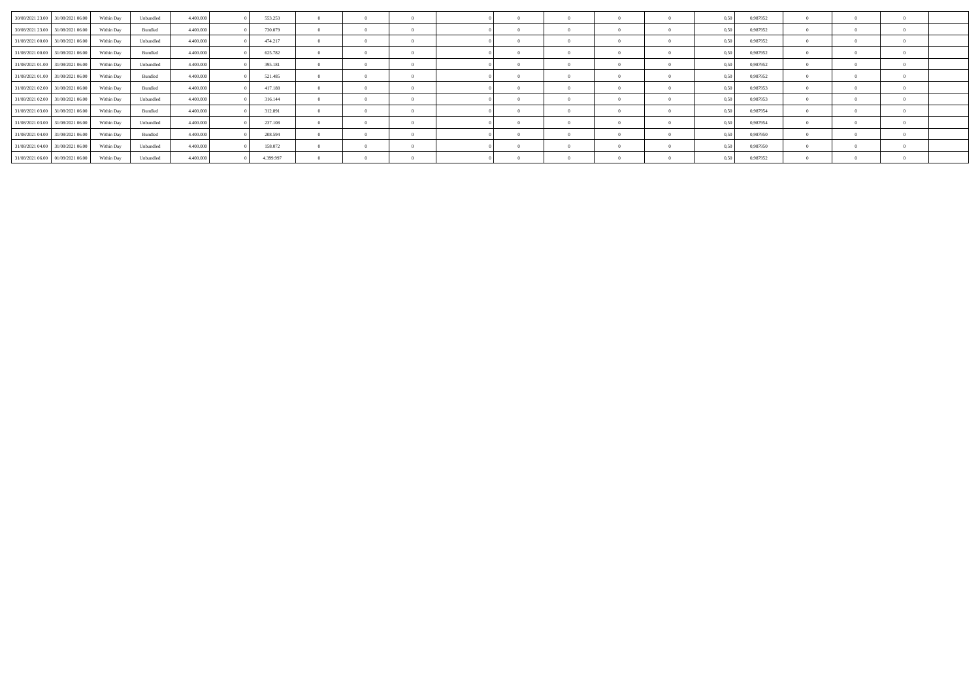| 30/08/2021 23:00 31/08/2021 06:00 | Within Day | Unbundled | 4.400,000 | 553.253   | $\Omega$       | $\Omega$       | $\Omega$       |            |  | 0.50 | 0,987952 |  |  |
|-----------------------------------|------------|-----------|-----------|-----------|----------------|----------------|----------------|------------|--|------|----------|--|--|
| 30/08/2021 23:00 31/08/2021 06:00 | Within Day | Bundled   | 4.400,000 | 730.079   | $\Omega$       | $\mathbf{0}$   | $\Omega$       |            |  | 0.50 | 0,987952 |  |  |
| 31/08/2021 00:00 31/08/2021 06:00 | Within Day | Unbundled | 4.400,000 | 474.217   | $\Omega$       | $\Omega$       | $\Omega$       |            |  | 0.50 | 0,987952 |  |  |
| 31/08/2021 00:00 31/08/2021 06:00 | Within Day | Bundled   | 4.400,000 | 625.782   | $\overline{0}$ | $^{\circ}$     | $^{\circ}$     |            |  | 0,50 | 0,987952 |  |  |
| 31/08/2021 01:00 31/08/2021 06:00 | Within Day | Unbundled | 4.400,000 | 395.181   | $\theta$       | $\Omega$       | $\overline{0}$ |            |  | 0.50 | 0,987952 |  |  |
| 31/08/2021 01:00 31/08/2021 06:00 | Within Day | Bundled   | 4.400.000 | 521.485   | $\overline{0}$ | $\overline{0}$ | $\overline{0}$ |            |  | 0.50 | 0.987952 |  |  |
| 31/08/2021 02:00 31/08/2021 06:00 | Within Day | Bundled   | 4.400.000 | 417.188   | $\Omega$       | $\sim$ 0       | $\Omega$       |            |  | 0.50 | 0,987953 |  |  |
| 31/08/2021 02:00 31/08/2021 06:00 | Within Day | Unbundled | 4.400,000 | 316.144   | $\Omega$       | $\Omega$       | $\overline{0}$ |            |  | 0.50 | 0,987953 |  |  |
| 31/08/2021 03:00 31/08/2021 06:00 | Within Day | Bundled   | 4.400,000 | 312.891   | $\overline{0}$ | $\overline{0}$ | $\overline{0}$ |            |  | 0.50 | 0.987954 |  |  |
| 31/08/2021 03:00 31/08/2021 06:00 | Within Day | Unbundled | 4.400.000 | 237.108   | $\overline{0}$ | $\overline{0}$ | $\theta$       |            |  | 0.50 | 0,987954 |  |  |
| 31/08/2021 04:00 31/08/2021 06:00 | Within Day | Bundled   | 4.400.000 | 208.594   | $\theta$       | $\mathbf{0}$   | $\Omega$       |            |  | 0.50 | 0,987950 |  |  |
| 31/08/2021 04:00 31/08/2021 06:00 | Within Day | Unbundled | 4.400,000 | 158.072   | $\mathbf{0}$   | $\sim$         | $\Omega$       | $\sqrt{2}$ |  | 0.50 | 0,987950 |  |  |
| 31/08/2021 06:00 01/09/2021 06:00 | Within Day | Unbundled | 4.400,000 | 4.399.997 | $^{\circ}$     | $^{\circ}$     | $\Omega$       |            |  | 0.50 | 0.987952 |  |  |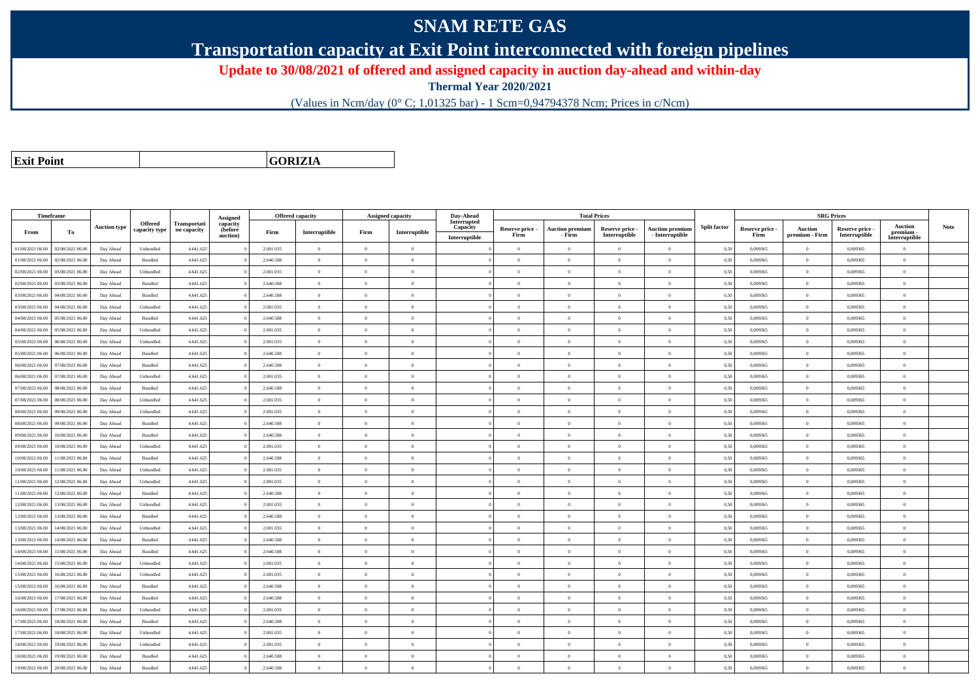## **SNAM RETE GAS**

**Transportation capacity at Exit Point interconnected with foreign pipelines**

**Update to 30/08/2021 of offered and assigned capacity in auction day-ahead and within-day**

**Thermal Year 2020/2021**

(Values in Ncm/day (0° C; 1,01325 bar) - 1 Scm=0,94794378 Ncm; Prices in c/Ncm)

**Exit Point**

**GORIZIA**

|                  | Timeframe        |                     |                          |                             |                                             |           | <b>Offered capacity</b> |                | <b>Assigned capacity</b> | Day-Ahead                                |                         |                                  | <b>Total Prices</b>              |                                             |                     |                         | <b>SRG Prices</b>         |                                  |                                              |      |
|------------------|------------------|---------------------|--------------------------|-----------------------------|---------------------------------------------|-----------|-------------------------|----------------|--------------------------|------------------------------------------|-------------------------|----------------------------------|----------------------------------|---------------------------------------------|---------------------|-------------------------|---------------------------|----------------------------------|----------------------------------------------|------|
| From             | To               | <b>Auction type</b> | Offered<br>capacity type | Transportati<br>on capacity | Assigned<br>capacity<br>(before<br>auction) | Firm      | Interruptible           | Firm           | Interruptible            | Interrupted<br>Capacity<br>Interruptible | Reserve price -<br>Firm | <b>Auction premium</b><br>- Firm | Reserve price -<br>Interruptible | <b>Auction premium</b><br>$-$ Interruptible | <b>Split factor</b> | Reserve price -<br>Firm | Auction<br>premium - Firm | Reserve price -<br>Interruptible | <b>Auction</b><br>premium -<br>Interruptible | Note |
| 01/08/2021 06:00 | 02/08/2021 06:00 | Day Ahead           | Unbundled                | 4.641.625                   |                                             | 2.001.035 | $\overline{0}$          | $\overline{0}$ | $\overline{0}$           |                                          | $\theta$                | $\overline{0}$                   | $\overline{0}$                   | $\overline{0}$                              | 0,50                | 0,009365                | $\theta$                  | 0,009365                         | $\overline{0}$                               |      |
| 01/08/2021 06:00 | 02/08/2021 06:00 | Day Ahead           | Bundled                  | 4.641.625                   |                                             | 2.640.588 | $\overline{0}$          | $\Omega$       | $\overline{0}$           |                                          | $\overline{0}$          | $\theta$                         | $\Omega$                         | $\overline{0}$                              | 0,50                | 0,009365                | $\bf{0}$                  | 0,009365                         | $\bf{0}$                                     |      |
| 02/08/2021 06:00 | 03/08/2021 06:00 | Day Ahead           | Unbundled                | 4.641.625                   |                                             | 2.001.035 | $\overline{0}$          | $\Omega$       | $\theta$                 |                                          | $\Omega$                |                                  |                                  | $\theta$                                    | 0,50                | 0,009365                | $\theta$                  | 0,009365                         | $\overline{0}$                               |      |
| 02/08/2021 06:00 | 03/08/2021 06:00 | Day Ahead           | Bundled                  | 4.641.625                   |                                             | 2.640.588 | $\overline{0}$          | $\overline{0}$ | $\Omega$                 |                                          | $\theta$                | $\theta$                         | $\Omega$                         | $\overline{0}$                              | 0,50                | 0.009365                | $\overline{0}$            | 0.009365                         | $\theta$                                     |      |
| 03/08/2021 06:00 | 04/08/2021 06:00 | Day Ahead           | Bundled                  | 4.641.625                   |                                             | 2.640.588 | $\overline{0}$          | $\theta$       | $\theta$                 |                                          | $\theta$                | $\theta$                         | $\overline{0}$                   | $\overline{0}$                              | 0,50                | 0,009365                | $\theta$                  | 0,009365                         | $\overline{0}$                               |      |
| 03/08/2021 06:00 | 04/08/2021 06:00 | Day Ahead           | Unbundled                | 4.641.625                   |                                             | 2.001.035 | $\overline{0}$          | $\Omega$       | $\theta$                 |                                          | $\theta$                | $\theta$                         | $\Omega$                         | $\theta$                                    | 0,50                | 0.009365                | $\theta$                  | 0.009365                         | $\theta$                                     |      |
| 04/08/2021 06:00 | 05/08/2021 06:00 | Day Ahead           | Bundled                  | 4.641.625                   |                                             | 2.640.588 | $\overline{0}$          | $\theta$       | $\theta$                 |                                          | $\theta$                | $\sqrt{2}$                       | $\Omega$                         | $\theta$                                    | 0,50                | 0.009365                | $\mathbf{0}$              | 0.009365                         | $\theta$                                     |      |
| 04/08/2021 06:00 | 05/08/2021 06:00 | Day Ahead           | Unbundled                | 4.641.625                   |                                             | 2.001.035 | $\overline{0}$          | $\theta$       | $\Omega$                 |                                          | $\theta$                | $\theta$                         | $\Omega$                         | $\theta$                                    | 0,50                | 0,009365                | $\theta$                  | 0,009365                         | $\Omega$                                     |      |
| 05/08/2021 06:00 | 06/08/2021 06:00 | Day Ahead           | Unbundled                | 4.641.625                   |                                             | 2.001.035 | $\overline{0}$          | $\Omega$       | $\Omega$                 |                                          | $\theta$                | $\sqrt{2}$                       | $\Omega$                         | $\theta$                                    | 0.50                | 0.009365                | $\alpha$                  | 0.009365                         | $\theta$                                     |      |
| 05/08/2021 06:00 | 06/08/2021 06:00 | Day Ahead           | Bundled                  | 4.641.625                   |                                             | 2.640.588 | $\Omega$                | $\Omega$       | $\Omega$                 |                                          | $\theta$                | $\theta$                         |                                  | $\theta$                                    | 0,50                | 0,009365                | $\theta$                  | 0,009365                         | $\Omega$                                     |      |
| 06/08/2021 06:00 | 07/08/2021 06:00 | Day Ahead           | Bundled                  | 4.641.625                   |                                             | 2.640.588 | $\overline{0}$          | $\overline{0}$ | $\theta$                 |                                          | $\theta$                | $\theta$                         | $\Omega$                         | $\theta$                                    | 0.50                | 0.009365                | $\theta$                  | 0.009365                         | $\theta$                                     |      |
| 06/08/2021 06:00 | 07/08/2021 06:00 | Day Ahead           | Unbundled                | 4.641.625                   |                                             | 2.001.035 | $\overline{0}$          | $\overline{0}$ | $\theta$                 |                                          | $\theta$                | $\overline{0}$                   | $\overline{0}$                   | $\overline{0}$                              | 0,50                | 0,009365                | $\overline{0}$            | 0,009365                         | $\overline{0}$                               |      |
| 07/08/2021 06:00 | 08/08/2021 06:00 | Day Ahead           | Bundled                  | 4.641.625                   |                                             | 2.640.588 | $\overline{0}$          | $\Omega$       | $\theta$                 |                                          | $\theta$                | $\theta$                         | $\Omega$                         | $\overline{0}$                              | 0.50                | 0.009365                | $\theta$                  | 0.009365                         | $\overline{0}$                               |      |
| 07/08/2021 06:00 | 08/08/2021 06:00 | Day Ahead           | Unbundled                | 4.641.625                   |                                             | 2.001.035 | $\overline{0}$          | $\overline{0}$ | $\Omega$                 |                                          | $\overline{0}$          | $\theta$                         | $\Omega$                         | $\overline{0}$                              | 0,50                | 0.009365                | $\bf{0}$                  | 0.009365                         | $\overline{0}$                               |      |
| 08/08/2021 06:00 | 09/08/2021 06:00 | Day Ahead           | Unbundled                | 4.641.625                   |                                             | 2.001.035 | $\overline{0}$          | $\Omega$       | $\theta$                 |                                          | $\theta$                | $\theta$                         | $\Omega$                         | $\overline{0}$                              | 0,50                | 0,009365                | $\theta$                  | 0,009365                         | $\overline{0}$                               |      |
| 08/08/2021 06:00 | 09/08/2021 06:00 | Day Ahead           | Bundled                  | 4.641.625                   |                                             | 2.640.588 | $\overline{0}$          | $\Omega$       | $\Omega$                 |                                          | $\theta$                | $\Omega$                         | $\Omega$                         | $\theta$                                    | 0,50                | 0.009365                | $\theta$                  | 0.009365                         | $\theta$                                     |      |
| 09/08/2021 06:00 | 10/08/2021 06:00 | Day Ahead           | Bundled                  | 4.641.625                   |                                             | 2.640.588 | $\overline{0}$          | $\theta$       | $\Omega$                 |                                          | $\theta$                | $\sqrt{2}$                       | $\Omega$                         | $\theta$                                    | 0,50                | 0,009365                | $\theta$                  | 0,009365                         | $\theta$                                     |      |
| 09/08/2021 06:00 | 10/08/2021 06:00 | Day Ahead           | Unbundled                | 4.641.625                   |                                             | 2.001.035 | $\overline{0}$          | $\Omega$       | $\Omega$                 |                                          | $\theta$                | $\theta$                         | $\Omega$                         | $\overline{0}$                              | 0,50                | 0,009365                | $\theta$                  | 0,009365                         | $\overline{0}$                               |      |
| 10/08/2021 06:00 | 11/08/2021 06:00 | Day Ahead           | Bundled                  | 4.641.625                   |                                             | 2.640.588 | $\overline{0}$          | $\theta$       | $\Omega$                 |                                          | $\theta$                | $\Omega$                         | $\Omega$                         | $\overline{0}$                              | 0.50                | 0.009365                | $\overline{0}$            | 0.009365                         | $\theta$                                     |      |
| 10/08/2021 06:00 | 1/08/2021 06.00  | Day Ahead           | Unbundled                | 4.641.625                   |                                             | 2.001.035 | $\overline{0}$          | $\overline{0}$ | $\Omega$                 |                                          | $\theta$                | $\theta$                         | $\Omega$                         | $\overline{0}$                              | 0,50                | 0,009365                | $\theta$                  | 0,009365                         | $\overline{0}$                               |      |
| 11/08/2021 06:00 | 12/08/2021 06:00 | Day Ahead           | Unbundled                | 4.641.625                   |                                             | 2.001.035 | $\theta$                | $\theta$       | $\theta$                 |                                          | $\theta$                | $\theta$                         | $\Omega$                         | $\theta$                                    | 0.50                | 0.009365                | $\Omega$                  | 0.009365                         | $\theta$                                     |      |
| 11/08/2021 06:00 | 12/08/2021 06:00 | Day Ahead           | Bundled                  | 4.641.625                   |                                             | 2.640.588 | $\overline{0}$          | $\Omega$       | $\Omega$                 |                                          | $\Omega$                | $\theta$                         | $\Omega$                         | $\theta$                                    | 0,50                | 0,009365                | $\theta$                  | 0.009365                         | $\theta$                                     |      |
| 12/08/2021 06:00 | 13/08/2021 06:00 | Day Ahead           | Unbundled                | 4.641.625                   |                                             | 2.001.035 | $\overline{0}$          | $\overline{0}$ | $\overline{0}$           |                                          | $\theta$                | $\theta$                         |                                  | $\overline{0}$                              | 0,50                | 0,009365                | $\theta$                  | 0.009365                         | $\overline{0}$                               |      |
| 12/08/2021 06:00 | 13/08/2021 06:00 | Day Ahead           | Bundled                  | 4.641.625                   |                                             | 2.640.588 | $\overline{0}$          | $\overline{0}$ | $\theta$                 |                                          | $\theta$                | $\theta$                         | $\Omega$                         | $\theta$                                    | 0,50                | 0,009365                | $\,$ 0 $\,$               | 0,009365                         | $\overline{0}$                               |      |
| 13/08/2021 06:00 | 14/08/2021 06.00 | Day Ahead           | Unbundled                | 4.641.625                   |                                             | 2.001.035 | $\overline{0}$          | $\overline{0}$ | $\theta$                 |                                          | $\theta$                | $\overline{0}$                   | $\overline{0}$                   | $\overline{0}$                              | 0,50                | 0,009365                | $\theta$                  | 0,009365                         | $\overline{0}$                               |      |
| 13/08/2021 06:00 | 14/08/2021 06.00 | Day Ahead           | Bundled                  | 4.641.625                   |                                             | 2.640.588 | $\overline{0}$          | $\Omega$       | $\Omega$                 |                                          | $\Omega$                | $\Omega$                         |                                  | $\overline{0}$                              | 0,50                | 0,009365                | $\theta$                  | 0,009365                         | $\overline{0}$                               |      |
| 14/08/2021 06:00 | 15/08/2021 06:00 | Day Ahead           | Bundled                  | 4.641.625                   |                                             | 2.640.588 | $\,$ 0 $\,$             | $\theta$       | $\Omega$                 |                                          | $\theta$                | $\sqrt{2}$                       | $\Omega$                         | $\overline{0}$                              | 0,50                | 0,009365                | $\,$ 0 $\,$               | 0,009365                         | $\overline{0}$                               |      |
| 14/08/2021 06:00 | 15/08/2021 06:00 | Day Ahead           | Unbundled                | 4.641.625                   |                                             | 2.001.035 | $\overline{0}$          | $\Omega$       | $\Omega$                 |                                          | $\Omega$                | $\theta$                         | $\Omega$                         | $\overline{0}$                              | 0,50                | 0,009365                | $\theta$                  | 0,009365                         | $\theta$                                     |      |
| 15/08/2021 06:00 | 16/08/2021 06:00 | Day Ahead           | Unbundled                | 4.641.625                   |                                             | 2.001.035 | $\overline{0}$          | $\theta$       | $\theta$                 |                                          | $\theta$                | $\theta$                         | $\Omega$                         | $\theta$                                    | 0.50                | 0.009365                | $\Omega$                  | 0.009365                         | $\theta$                                     |      |
| 15/08/2021 06:00 | 16/08/2021 06.0  | Day Ahead           | Bundled                  | 4.641.625                   |                                             | 2.640.588 | $\overline{0}$          | $\theta$       | $\Omega$                 |                                          | $\theta$                | $\theta$                         | $\Omega$                         | $\overline{0}$                              | 0,50                | 0,009365                | $\theta$                  | 0,009365                         | $\overline{0}$                               |      |
| 16/08/2021 06:00 | 17/08/2021 06:00 | Day Ahead           | Bundled                  | 4.641.625                   |                                             | 2.640.588 | $\overline{0}$          | $\theta$       | $\Omega$                 |                                          | $\theta$                | $\theta$                         | $\Omega$                         | $\overline{0}$                              | 0,50                | 0.009365                | $\theta$                  | 0.009365                         | $\theta$                                     |      |
| 16/08/2021 06:00 | 17/08/2021 06:00 | Day Ahead           | Unbundled                | 4.641.625                   |                                             | 2.001.035 | $\overline{0}$          | $\theta$       | $\Omega$                 |                                          | $\theta$                | $\theta$                         | $\Omega$                         | $\overline{0}$                              | 0.50                | 0.009365                | $\overline{0}$            | 0.009365                         | $\theta$                                     |      |
| 17/08/2021 06:00 | 18/08/2021 06:00 | Day Ahead           | Bundled                  | 4.641.625                   |                                             | 2.640.588 | $\overline{0}$          | $\theta$       | $\Omega$                 |                                          | $\theta$                | $\theta$                         |                                  | $\theta$                                    | 0.50                | 0.009365                | $\theta$                  | 0.009365                         | $\Omega$                                     |      |
| 17/08/2021 06:00 | 18/08/2021 06:00 | Day Ahead           | Unbundled                | 4.641.625                   |                                             | 2.001.035 | $\overline{0}$          | $\overline{0}$ | $\theta$                 |                                          | $\theta$                | $\theta$                         | $\Omega$                         | $\overline{0}$                              | 0.50                | 0.009365                | $\theta$                  | 0.009365                         | $\overline{0}$                               |      |
| 18/08/2021 06:00 | 19/08/2021 06:00 | Day Ahead           | Unbundled                | 4.641.625                   |                                             | 2.001.035 | $\overline{0}$          | $\Omega$       | $\theta$                 |                                          | $\theta$                | $\theta$                         | $\Omega$                         | $\overline{0}$                              | 0,50                | 0,009365                | $\bf{0}$                  | 0,009365                         | $\bf{0}$                                     |      |
| 18/08/2021 06:00 | 19/08/2021 06:00 | Day Ahead           | Bundled                  | 4.641.625                   |                                             | 2.640.588 | $\overline{0}$          | $\Omega$       | $\Omega$                 |                                          | $\Omega$                |                                  |                                  | $\theta$                                    | 0,50                | 0,009365                | $\theta$                  | 0,009365                         | $\overline{0}$                               |      |
| 19/08/2021 06:00 | 20/08/2021 06:00 | Day Ahead           | Bundled                  | 4.641.625                   |                                             | 2.640.588 | $\overline{0}$          | $\Omega$       | $\Omega$                 |                                          | $\Omega$                | $\Omega$                         |                                  | $\theta$                                    | 0,50                | 0,009365                | $\theta$                  | 0,009365                         | $\overline{0}$                               |      |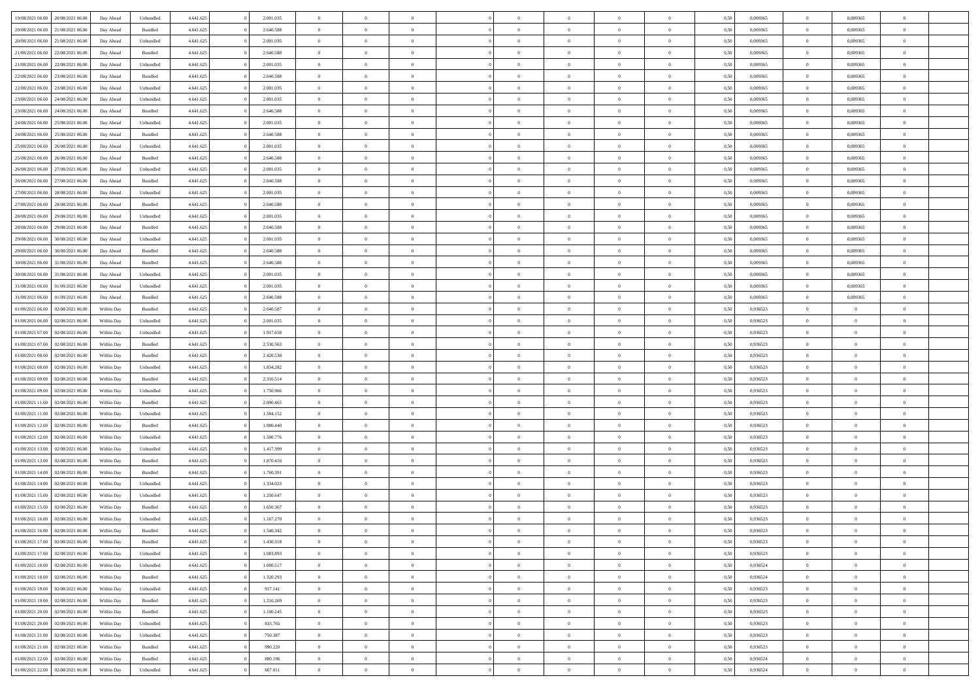| 19/08/2021 06:00 20/08/2021 06:00            | Day Ahead  | Unbundled         | 4.641.625 | 2.001.035 | $\overline{0}$ | $\overline{0}$ |                | $\overline{0}$ | $\theta$       |                | $\theta$       | 0,50 | 0,009365 | $\theta$       | 0,009365       | $\theta$       |  |
|----------------------------------------------|------------|-------------------|-----------|-----------|----------------|----------------|----------------|----------------|----------------|----------------|----------------|------|----------|----------------|----------------|----------------|--|
| 20/08/2021 06:00<br>21/08/2021 06:00         | Day Ahead  | Bundled           | 4.641.625 | 2.640.588 | $\bf{0}$       | $\overline{0}$ | $\bf{0}$       | $\overline{0}$ | $\theta$       | $\overline{0}$ | $\bf{0}$       | 0,50 | 0,009365 | $\,$ 0 $\,$    | 0,009365       | $\overline{0}$ |  |
| 20/08/2021 06:00<br>21/08/2021 06:00         | Day Ahead  | Unbundled         | 4.641.625 | 2.001.035 | $\overline{0}$ | $\bf{0}$       | $\overline{0}$ | $\bf{0}$       | $\bf{0}$       | $\overline{0}$ | $\bf{0}$       | 0.50 | 0.009365 | $\bf{0}$       | 0.009365       | $\overline{0}$ |  |
| 21/08/2021 06:00<br>22/08/2021 06:00         | Day Ahead  | Bundled           | 4.641.625 | 2.640.588 | $\overline{0}$ | $\theta$       | $\overline{0}$ | $\theta$       | $\theta$       | $\overline{0}$ | $\bf{0}$       | 0,50 | 0,009365 | $\,$ 0 $\,$    | 0,009365       | $\overline{0}$ |  |
| 21/08/2021 06:00<br>22/08/2021 06:00         | Day Ahead  | Unbundled         | 4.641.625 | 2.001.035 | $\overline{0}$ | $\overline{0}$ | $\bf{0}$       | $\overline{0}$ | $\theta$       | $\overline{0}$ | $\bf{0}$       | 0,50 | 0,009365 | $\,$ 0 $\,$    | 0,009365       | $\overline{0}$ |  |
| 23/08/2021 06:00                             |            |                   | 4.641.625 | 2.640.588 |                |                |                |                | $\overline{0}$ | $\Omega$       |                |      | 0.009365 |                | 0,009365       | $\overline{0}$ |  |
| 22/08/2021 06:00                             | Day Ahead  | Bundled           |           |           | $\overline{0}$ | $\overline{0}$ | $\overline{0}$ | $\overline{0}$ |                |                | $\bf{0}$       | 0.50 |          | $\bf{0}$       |                |                |  |
| 22/08/2021 06:00<br>23/08/2021 06:00         | Day Ahead  | Unbundled         | 4.641.625 | 2.001.035 | $\overline{0}$ | $\overline{0}$ | $\overline{0}$ | $\overline{0}$ | $\overline{0}$ | $\overline{0}$ | $\bf{0}$       | 0,50 | 0,009365 | $\,$ 0 $\,$    | 0,009365       | $\overline{0}$ |  |
| 23/08/2021 06:00<br>24/08/2021 06.00         | Day Ahead  | Unbundled         | 4.641.625 | 2.001.035 | $\overline{0}$ | $\overline{0}$ | $\overline{0}$ | $\overline{0}$ | $\overline{0}$ | $\overline{0}$ | $\bf{0}$       | 0,50 | 0,009365 | $\,$ 0 $\,$    | 0,009365       | $\overline{0}$ |  |
| 23/08/2021 06:00<br>24/08/2021 06:00         | Day Ahead  | Bundled           | 4.641.625 | 2.640.588 | $\overline{0}$ | $\overline{0}$ | $\overline{0}$ | $\bf{0}$       | $\overline{0}$ | $\overline{0}$ | $\bf{0}$       | 0.50 | 0.009365 | $\bf{0}$       | 0.009365       | $\overline{0}$ |  |
| 24/08/2021 06:00<br>25/08/2021 06:00         | Day Ahead  | Unbundled         | 4.641.625 | 2.001.035 | $\bf{0}$       | $\bf{0}$       | $\overline{0}$ | $\overline{0}$ | $\overline{0}$ | $\overline{0}$ | $\bf{0}$       | 0,50 | 0,009365 | $\bf{0}$       | 0,009365       | $\overline{0}$ |  |
| 24/08/2021 06:00<br>25/08/2021 06.00         | Day Ahead  | Bundled           | 4.641.625 | 2.640.588 | $\bf{0}$       | $\overline{0}$ | $\bf{0}$       | $\overline{0}$ | $\bf{0}$       | $\overline{0}$ | $\bf{0}$       | 0,50 | 0,009365 | $\,$ 0 $\,$    | 0,009365       | $\overline{0}$ |  |
| 25/08/2021 06:00<br>26/08/2021 06:00         | Day Ahead  | Unbundled         | 4.641.625 | 2.001.035 | $\overline{0}$ | $\overline{0}$ | $\overline{0}$ | $\bf{0}$       | $\bf{0}$       | $\overline{0}$ | $\bf{0}$       | 0.50 | 0.009365 | $\bf{0}$       | 0.009365       | $\overline{0}$ |  |
| 25/08/2021 06:00<br>26/08/2021 06:00         | Day Ahead  | Bundled           | 4.641.625 | 2.640.588 | $\overline{0}$ | $\overline{0}$ | $\overline{0}$ | $\overline{0}$ | $\theta$       | $\overline{0}$ | $\bf{0}$       | 0,50 | 0,009365 | $\,$ 0 $\,$    | 0,009365       | $\overline{0}$ |  |
|                                              |            |                   |           |           |                |                |                |                |                |                |                |      |          |                |                |                |  |
| 26/08/2021 06:00<br>27/08/2021 06:00         | Day Ahead  | Unbundled         | 4.641.625 | 2.001.035 | $\overline{0}$ | $\overline{0}$ | $\bf{0}$       | $\overline{0}$ | $\theta$       | $\overline{0}$ | $\bf{0}$       | 0,50 | 0,009365 | $\,$ 0 $\,$    | 0,009365       | $\overline{0}$ |  |
| 26/08/2021 06:00<br>27/08/2021 06:00         | Day Ahead  | Bundled           | 4.641.625 | 2.640.588 | $\overline{0}$ | $\overline{0}$ | $\overline{0}$ | $\bf{0}$       | $\theta$       | $\Omega$       | $\bf{0}$       | 0.50 | 0.009365 | $\bf{0}$       | 0.009365       | $\overline{0}$ |  |
| 27/08/2021 06:00<br>28/08/2021 06:00         | Day Ahead  | Unbundled         | 4.641.625 | 2.001.035 | $\overline{0}$ | $\overline{0}$ | $\overline{0}$ | $\overline{0}$ | $\overline{0}$ | $\overline{0}$ | $\bf{0}$       | 0,50 | 0,009365 | $\bf{0}$       | 0,009365       | $\overline{0}$ |  |
| 27/08/2021 06:00<br>28/08/2021 06:00         | Day Ahead  | Bundled           | 4.641.625 | 2.640.588 | $\overline{0}$ | $\overline{0}$ | $\overline{0}$ | $\overline{0}$ | $\theta$       | $\overline{0}$ | $\bf{0}$       | 0,50 | 0,009365 | $\,$ 0 $\,$    | 0,009365       | $\overline{0}$ |  |
| 28/08/2021 06:00<br>29/08/2021 06:00         | Day Ahead  | Unbundled         | 4.641.625 | 2.001.035 | $\overline{0}$ | $\overline{0}$ | $\overline{0}$ | $\bf{0}$       | $\overline{0}$ | $\overline{0}$ | $\bf{0}$       | 0.50 | 0.009365 | $\bf{0}$       | 0.009365       | $\overline{0}$ |  |
| 28/08/2021 06:00<br>29/08/2021 06:00         | Day Ahead  | Bundled           | 4.641.625 | 2.640.588 | $\bf{0}$       | $\overline{0}$ | $\overline{0}$ | $\overline{0}$ | $\overline{0}$ | $\overline{0}$ | $\bf{0}$       | 0,50 | 0,009365 | $\,$ 0 $\,$    | 0,009365       | $\overline{0}$ |  |
| 29/08/2021 06:00<br>30/08/2021 06:00         | Day Ahead  | Unbundled         | 4.641.625 | 2.001.035 | $\bf{0}$       | $\overline{0}$ | $\bf{0}$       | $\bf{0}$       | $\overline{0}$ | $\overline{0}$ | $\bf{0}$       | 0,50 | 0,009365 | $\,$ 0 $\,$    | 0,009365       | $\overline{0}$ |  |
|                                              |            |                   |           |           |                |                |                |                |                |                |                |      |          |                |                |                |  |
| 29/08/2021 06:00<br>30/08/2021 06:00         | Day Ahead  | Bundled           | 4.641.625 | 2.640.588 | $\overline{0}$ | $\overline{0}$ | $\overline{0}$ | $\bf{0}$       | $\bf{0}$       | $\overline{0}$ | $\bf{0}$       | 0.50 | 0.009365 | $\bf{0}$       | 0.009365       | $\overline{0}$ |  |
| 30/08/2021 06:00<br>31/08/2021 06:00         | Day Ahead  | Bundled           | 4.641.625 | 2.640.588 | $\overline{0}$ | $\overline{0}$ | $\overline{0}$ | $\overline{0}$ | $\theta$       | $\overline{0}$ | $\bf{0}$       | 0,50 | 0,009365 | $\,$ 0 $\,$    | 0,009365       | $\overline{0}$ |  |
| 30/08/2021 06:00<br>31/08/2021 06:00         | Day Ahead  | Unbundled         | 4.641.625 | 2.001.035 | $\bf{0}$       | $\overline{0}$ | $\bf{0}$       | $\overline{0}$ | $\theta$       | $\overline{0}$ | $\bf{0}$       | 0,50 | 0,009365 | $\,$ 0 $\,$    | 0,009365       | $\overline{0}$ |  |
| 31/08/2021 06:00<br>01/09/2021 06:00         | Day Ahead  | Unbundled         | 4.641.625 | 2.001.035 | $\overline{0}$ | $\overline{0}$ | $\overline{0}$ | $\overline{0}$ | $\overline{0}$ | $\Omega$       | $\bf{0}$       | 0.50 | 0.009365 | $\bf{0}$       | 0,009365       | $\overline{0}$ |  |
| 31/08/2021 06:00<br>01/09/2021 06:00         | Day Ahead  | Bundled           | 4.641.625 | 2.640.588 | $\bf{0}$       | $\overline{0}$ | $\overline{0}$ | $\overline{0}$ | $\overline{0}$ | $\overline{0}$ | $\bf{0}$       | 0,50 | 0,009365 | $\,$ 0 $\,$    | 0,009365       | $\overline{0}$ |  |
| 01/08/2021 06:00<br>02/08/2021 06.00         | Within Day | Bundled           | 4.641.625 | 2.640.587 | $\bf{0}$       | $\overline{0}$ | $\bf{0}$       | $\overline{0}$ | $\theta$       | $\overline{0}$ | $\bf{0}$       | 0,50 | 0,936523 | $\,$ 0 $\,$    | $\overline{0}$ | $\overline{0}$ |  |
| 01/08/2021 06:00<br>02/08/2021 06:00         | Within Day | Unbundled         | 4.641.625 | 2.001.035 | $\overline{0}$ | $\overline{0}$ | $\overline{0}$ | $\bf{0}$       | $\overline{0}$ | $\overline{0}$ | $\bf{0}$       | 0.50 | 0.936523 | $\theta$       | $\overline{0}$ | $\overline{0}$ |  |
| 01/08/2021 07:00<br>02/08/2021 06:00         |            |                   |           | 1.917.658 | $\overline{0}$ | $\overline{0}$ | $\overline{0}$ | $\overline{0}$ | $\overline{0}$ | $\overline{0}$ |                |      |          | $\theta$       | $\theta$       | $\overline{0}$ |  |
|                                              | Within Day | Unbundled         | 4.641.625 |           |                |                |                |                |                |                | $\bf{0}$       | 0,50 | 0,936523 |                |                |                |  |
| 01/08/2021 07:00<br>02/08/2021 06.00         | Within Day | Bundled           | 4.641.625 | 2.530.563 | $\bf{0}$       | $\bf{0}$       | $\bf{0}$       | $\bf{0}$       | $\overline{0}$ | $\overline{0}$ | $\bf{0}$       | 0,50 | 0,936523 | $\,$ 0 $\,$    | $\bf{0}$       | $\overline{0}$ |  |
| 01/08/2021 08:00<br>02/08/2021 06:00         | Within Day | Bundled           | 4.641.625 | 2.420.538 | $\overline{0}$ | $\overline{0}$ | $\overline{0}$ | $\bf{0}$       | $\bf{0}$       | $\overline{0}$ | $\bf{0}$       | 0.50 | 0.936523 | $\bf{0}$       | $\overline{0}$ | $\bf{0}$       |  |
| 01/08/2021 08:00<br>02/08/2021 06:00         | Within Day | Unbundled         | 4.641.625 | 1.834.282 | $\overline{0}$ | $\overline{0}$ | $\overline{0}$ | $\overline{0}$ | $\overline{0}$ | $\overline{0}$ | $\bf{0}$       | 0.50 | 0.936523 | $\theta$       | $\theta$       | $\overline{0}$ |  |
| 01/08/2021 09:00<br>02/08/2021 06.00         | Within Day | Bundled           | 4.641.625 | 2.310.514 | $\bf{0}$       | $\overline{0}$ | $\bf{0}$       | $\overline{0}$ | $\overline{0}$ | $\overline{0}$ | $\bf{0}$       | 0,50 | 0,936523 | $\,$ 0 $\,$    | $\bf{0}$       | $\overline{0}$ |  |
| 01/08/2021 09:00<br>02/08/2021 06:00         | Within Day | Unbundled         | 4.641.625 | 1.750.906 | $\overline{0}$ | $\overline{0}$ | $\overline{0}$ | $\bf{0}$       | $\theta$       | $\Omega$       | $\bf{0}$       | 0.50 | 0.936523 | $\theta$       | $\overline{0}$ | $\overline{0}$ |  |
| 01/08/2021 11:00<br>02/08/2021 06:00         | Within Dav | Bundled           | 4.641.625 | 2.090.465 | $\overline{0}$ | $\overline{0}$ | $\overline{0}$ | $\overline{0}$ | $\overline{0}$ | $\overline{0}$ | $\overline{0}$ | 0.50 | 0.936523 | $\theta$       | $\theta$       | $\overline{0}$ |  |
| 01/08/2021 11:00<br>02/08/2021 06.00         | Within Day | Unbundled         | 4.641.625 | 1.584.152 | $\bf{0}$       | $\overline{0}$ | $\bf{0}$       | $\overline{0}$ | $\bf{0}$       | $\overline{0}$ | $\bf{0}$       | 0,50 | 0,936523 | $\,$ 0 $\,$    | $\theta$       | $\overline{0}$ |  |
| 02/08/2021 06:00                             |            |                   | 4.641.625 | 1.980.440 |                | $\overline{0}$ |                |                |                | $\overline{0}$ |                |      |          |                | $\overline{0}$ |                |  |
| 01/08/2021 12:00                             | Within Day | Bundled           |           |           | $\overline{0}$ |                | $\overline{0}$ | $\bf{0}$       | $\overline{0}$ |                | $\bf{0}$       | 0.50 | 0.936523 | $\bf{0}$       |                | $\overline{0}$ |  |
| 01/08/2021 12:00<br>02/08/2021 06:00         | Within Day | Unbundled         | 4.641.625 | 1.500.776 | $\overline{0}$ | $\overline{0}$ | $\overline{0}$ | $\overline{0}$ | $\overline{0}$ | $\overline{0}$ | $\overline{0}$ | 0.50 | 0.936523 | $\theta$       | $\theta$       | $\overline{0}$ |  |
| 01/08/2021 13:00<br>02/08/2021 06.00         | Within Day | Unbundled         | 4.641.625 | 1.417.399 | $\bf{0}$       | $\bf{0}$       | $\bf{0}$       | $\bf{0}$       | $\overline{0}$ | $\overline{0}$ | $\bf{0}$       | 0,50 | 0,936523 | $\,$ 0 $\,$    | $\bf{0}$       | $\overline{0}$ |  |
| 01/08/2021 13:00<br>02/08/2021 06:00         | Within Day | Bundled           | 4.641.625 | 1.870.416 | $\overline{0}$ | $\overline{0}$ | $\overline{0}$ | $\bf{0}$       | $\bf{0}$       | $\overline{0}$ | $\bf{0}$       | 0.50 | 0.936523 | $\bf{0}$       | $\overline{0}$ | $\bf{0}$       |  |
| 01/08/2021 14:00<br>02/08/2021 06:00         | Within Day | Bundled           | 4.641.625 | 1.760.391 | $\overline{0}$ | $\overline{0}$ | $\overline{0}$ | $\overline{0}$ | $\overline{0}$ | $\overline{0}$ | $\overline{0}$ | 0.50 | 0.936523 | $\theta$       | $\theta$       | $\overline{0}$ |  |
| 01/08/2021 14:00<br>02/08/2021 06.00         | Within Day | Unbundled         | 4.641.625 | 1.334.023 | $\bf{0}$       | $\overline{0}$ | $\bf{0}$       | $\bf{0}$       | $\overline{0}$ | $\overline{0}$ | $\bf{0}$       | 0,50 | 0,936523 | $\,$ 0 $\,$    | $\bf{0}$       | $\overline{0}$ |  |
| 01/08/2021 15:00<br>02/08/2021 06:00         | Within Day | Unbundled         | 4.641.625 | 1.250.647 | $\overline{0}$ | $\overline{0}$ | $\Omega$       | $\overline{0}$ | $\theta$       | $\Omega$       | $\bf{0}$       | 0.50 | 0.936523 | $\bf{0}$       | $\overline{0}$ | $\overline{0}$ |  |
| 01/08/2021 15:00<br>02/08/2021 06:00         | Within Dav | Bundled           | 4.641.625 | 1.650.367 | $\overline{0}$ | $\overline{0}$ | $\Omega$       | $\overline{0}$ | $\theta$       | $\Omega$       | $\overline{0}$ | 0.50 | 0.936523 | $\theta$       | $\theta$       | $\overline{0}$ |  |
| 01/08/2021 16:00                             |            |                   |           |           | $\bf{0}$       | $\bf{0}$       | $\overline{0}$ | $\bf{0}$       | $\bf{0}$       | $\overline{0}$ |                |      |          | $\,$ 0 $\,$    | $\bf{0}$       | $\overline{0}$ |  |
| 02/08/2021 06:00                             | Within Day | Unbundled         | 4.641.625 | 1.167.270 |                |                |                |                |                |                | $\bf{0}$       | 0,50 | 0,936523 |                |                |                |  |
| $01/08/2021\ 16.00 \qquad 02/08/2021\ 06.00$ | Within Day | Bundled           | 4.641.625 | 1.540.342 | $\overline{0}$ | $\Omega$       |                | $\Omega$       |                |                |                | 0,50 | 0,936523 | $\theta$       | $\overline{0}$ |                |  |
| 01/08/2021 17:00 02/08/2021 06:00            | Within Day | Bundled           | 4.641.625 | 1.430.318 | $\overline{0}$ | $\overline{0}$ | $\overline{0}$ | $\overline{0}$ | $\overline{0}$ | $\overline{0}$ | $\bf{0}$       | 0,50 | 0.936523 | $\theta$       | $\overline{0}$ | $\overline{0}$ |  |
| 01/08/2021 17:00<br>02/08/2021 06:00         | Within Day | Unbundled         | 4.641.625 | 1.083.893 | $\overline{0}$ | $\bf{0}$       | $\overline{0}$ | $\overline{0}$ | $\bf{0}$       | $\overline{0}$ | $\bf{0}$       | 0,50 | 0,936523 | $\bf{0}$       | $\overline{0}$ | $\bf{0}$       |  |
| 01/08/2021 18:00 02/08/2021 06:00            | Within Day | Unbundled         | 4.641.625 | 1.000.517 | $\overline{0}$ | $\overline{0}$ | $\overline{0}$ | $\overline{0}$ | $\mathbf{0}$   | $\overline{0}$ | $\,$ 0 $\,$    | 0.50 | 0.936524 | $\overline{0}$ | $\bf{0}$       | $\bf{0}$       |  |
| 01/08/2021 18:00 02/08/2021 06:00            | Within Day | Bundled           | 4.641.625 | 1.320.293 | $\overline{0}$ | $\overline{0}$ | $\overline{0}$ | $\overline{0}$ | $\overline{0}$ | $\overline{0}$ | $\bf{0}$       | 0,50 | 0,936524 | $\overline{0}$ | $\theta$       | $\overline{0}$ |  |
| 01/08/2021 19:00<br>02/08/2021 06:00         | Within Day | Unbundled         | 4.641.625 | 917.141   | $\overline{0}$ | $\bf{0}$       | $\overline{0}$ | $\overline{0}$ | $\bf{0}$       | $\overline{0}$ | $\bf{0}$       | 0,50 | 0,936523 | $\bf{0}$       | $\overline{0}$ | $\overline{0}$ |  |
| 01/08/2021 19:00 02/08/2021 06:00            | Within Day | Bundled           | 4.641.625 | 1.210.269 | $\overline{0}$ | $\bf{0}$       | $\overline{0}$ | $\overline{0}$ | $\bf{0}$       | $\overline{0}$ | $\bf{0}$       | 0.50 | 0.936523 | $\,$ 0 $\,$    | $\overline{0}$ | $\,$ 0         |  |
|                                              |            |                   |           |           |                |                |                |                |                |                |                |      |          |                |                |                |  |
| 01/08/2021 20:00<br>02/08/2021 06:00         | Within Day | Bundled           | 4.641.625 | 1.100.245 | $\overline{0}$ | $\overline{0}$ | $\overline{0}$ | $\overline{0}$ | $\overline{0}$ | $\overline{0}$ | $\bf{0}$       | 0,50 | 0.936523 | $\overline{0}$ | $\theta$       | $\overline{0}$ |  |
| 01/08/2021 20:00<br>02/08/2021 06:00         | Within Day | Unbundled         | 4.641.625 | 833.765   | $\overline{0}$ | $\overline{0}$ | $\overline{0}$ | $\overline{0}$ | $\overline{0}$ | $\overline{0}$ | $\bf{0}$       | 0,50 | 0,936523 | $\bf{0}$       | $\overline{0}$ | $\,$ 0         |  |
| 01/08/2021 21:00 02/08/2021 06:00            | Within Day | Unbundled         | 4.641.625 | 750.387   | $\overline{0}$ | $\overline{0}$ | $\overline{0}$ | $\overline{0}$ | $\overline{0}$ | $\overline{0}$ | $\bf{0}$       | 0.50 | 0.936523 | $\mathbf{0}$   | $\bf{0}$       | $\,$ 0         |  |
| 01/08/2021 21:00 02/08/2021 06:00            | Within Day | Bundled           | 4.641.625 | 990.220   | $\overline{0}$ | $\overline{0}$ | $\overline{0}$ | $\overline{0}$ | $\overline{0}$ | $\overline{0}$ | $\bf{0}$       | 0,50 | 0.936523 | $\overline{0}$ | $\theta$       | $\overline{0}$ |  |
| 01/08/2021 22:00<br>02/08/2021 06:00         | Within Day | Bundled           | 4.641.625 | 880.196   | $\overline{0}$ | $\bf{0}$       | $\overline{0}$ | $\overline{0}$ | $\overline{0}$ | $\overline{0}$ | $\bf{0}$       | 0,50 | 0,936524 | $\bf{0}$       | $\overline{0}$ | $\bf{0}$       |  |
| 01/08/2021 22:00 02/08/2021 06:00            | Within Day | ${\sf Unbundred}$ | 4.641.625 | 667.011   | $\,$ 0 $\,$    | $\bf{0}$       | $\overline{0}$ | $\overline{0}$ | $\,$ 0 $\,$    | $\,$ 0 $\,$    | $\,$ 0 $\,$    | 0,50 | 0,936524 | $\,$ 0 $\,$    | $\,$ 0 $\,$    | $\,$ 0 $\,$    |  |
|                                              |            |                   |           |           |                |                |                |                |                |                |                |      |          |                |                |                |  |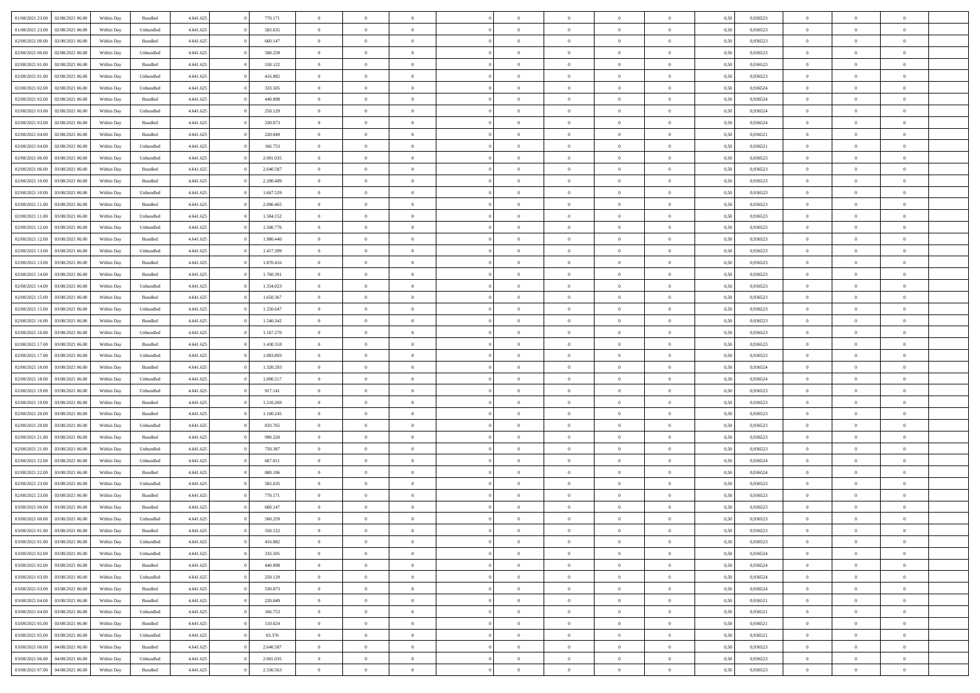| 01/08/2021 23:00                  | 02/08/2021 06:00 | Within Day | Bundled            | 4.641.625 | 770.171   | $\overline{0}$ | $\Omega$       |                | $\Omega$       | $\Omega$       | $\theta$       | $\theta$       | 0.50 | 0.936523 | $\theta$       | $\theta$       | $\theta$       |  |
|-----------------------------------|------------------|------------|--------------------|-----------|-----------|----------------|----------------|----------------|----------------|----------------|----------------|----------------|------|----------|----------------|----------------|----------------|--|
|                                   |                  |            |                    |           |           |                |                |                |                |                |                |                |      |          |                |                |                |  |
| 01/08/2021 23:00                  | 02/08/2021 06:00 | Within Day | Unbundled          | 4.641.625 | 583.635   | $\overline{0}$ | $\theta$       | $\overline{0}$ | $\overline{0}$ | $\bf{0}$       | $\overline{0}$ | $\bf{0}$       | 0,50 | 0,936523 | $\theta$       | $\overline{0}$ | $\overline{0}$ |  |
| 02/08/2021 00:00                  | 02/08/2021 06:00 | Within Day | Bundled            | 4.641.625 | 660.147   | $\overline{0}$ | $\bf{0}$       | $\overline{0}$ | $\bf{0}$       | $\bf{0}$       | $\bf{0}$       | $\mathbf{0}$   | 0,50 | 0,936523 | $\overline{0}$ | $\overline{0}$ | $\bf{0}$       |  |
| 02/08/2021 00:00                  | 02/08/2021 06:00 | Within Day | Unbundled          | 4.641.625 | 500.259   | $\overline{0}$ | $\overline{0}$ | $\overline{0}$ | $\overline{0}$ | $\bf{0}$       | $\overline{0}$ | $\overline{0}$ | 0.50 | 0.936523 | $\theta$       | $\theta$       | $\overline{0}$ |  |
| 02/08/2021 01:00                  | 02/08/2021 06:00 | Within Day | Bundled            | 4.641.625 | 550.122   | $\overline{0}$ | $\theta$       | $\overline{0}$ | $\overline{0}$ | $\bf{0}$       | $\overline{0}$ | $\bf{0}$       | 0,50 | 0,936523 | $\theta$       | $\overline{0}$ | $\overline{0}$ |  |
| 02/08/2021 01:00                  | 02/08/2021 06:00 | Within Day | Unbundled          | 4.641.625 | 416.882   | $\overline{0}$ | $\overline{0}$ | $\overline{0}$ | $\bf{0}$       | $\overline{0}$ | $\overline{0}$ | $\mathbf{0}$   | 0,50 | 0,936523 | $\overline{0}$ | $\overline{0}$ | $\bf{0}$       |  |
|                                   |                  |            |                    |           |           |                | $\overline{0}$ |                |                | $\overline{0}$ |                |                |      |          | $\theta$       | $\overline{0}$ | $\overline{0}$ |  |
| 02/08/2021 02:00                  | 02/08/2021 06:00 | Within Dav | Unbundled          | 4.641.625 | 333.505   | $\overline{0}$ |                | $\overline{0}$ | $\overline{0}$ |                | $\overline{0}$ | $\overline{0}$ | 0.50 | 0,936524 |                |                |                |  |
| 02/08/2021 02:00                  | 02/08/2021 06:00 | Within Day | Bundled            | 4.641.625 | 440.098   | $\overline{0}$ | $\theta$       | $\overline{0}$ | $\overline{0}$ | $\bf{0}$       | $\overline{0}$ | $\bf{0}$       | 0,50 | 0,936524 | $\theta$       | $\theta$       | $\overline{0}$ |  |
| 02/08/2021 03:00                  | 02/08/2021 06:00 | Within Day | Unbundled          | 4.641.625 | 250.129   | $\overline{0}$ | $\overline{0}$ | $\overline{0}$ | $\bf{0}$       | $\bf{0}$       | $\bf{0}$       | $\bf{0}$       | 0,50 | 0,936524 | $\,0\,$        | $\overline{0}$ | $\overline{0}$ |  |
| 02/08/2021 03:00                  | 02/08/2021 06:00 | Within Dav | Bundled            | 4.641.625 | 330.073   | $\overline{0}$ | $\overline{0}$ | $\overline{0}$ | $\overline{0}$ | $\overline{0}$ | $\overline{0}$ | $\overline{0}$ | 0.50 | 0,936524 | $\theta$       | $\overline{0}$ | $\overline{0}$ |  |
| 02/08/2021 04:00                  | 02/08/2021 06:00 | Within Day | Bundled            | 4.641.625 | 220.049   | $\overline{0}$ | $\theta$       | $\overline{0}$ | $\overline{0}$ | $\bf{0}$       | $\overline{0}$ | $\bf{0}$       | 0,50 | 0,936521 | $\,$ 0 $\,$    | $\overline{0}$ | $\overline{0}$ |  |
| 02/08/2021 04:00                  | 02/08/2021 06:00 | Within Day | Unbundled          | 4.641.625 | 166.753   | $\overline{0}$ | $\bf{0}$       | $\overline{0}$ | $\bf{0}$       | $\bf{0}$       | $\bf{0}$       | $\mathbf{0}$   | 0,50 | 0,936521 | $\overline{0}$ | $\overline{0}$ | $\bf{0}$       |  |
| 02/08/2021 06:00                  | 03/08/2021 06:00 | Within Day | Unbundled          | 4.641.625 | 2.001.035 | $\overline{0}$ | $\overline{0}$ | $\overline{0}$ | $\overline{0}$ | $\bf{0}$       | $\overline{0}$ | $\overline{0}$ | 0.50 | 0.936523 | $\theta$       | $\theta$       | $\overline{0}$ |  |
| 02/08/2021 06:00                  | 03/08/2021 06:00 |            |                    | 4.641.625 | 2.640.587 | $\overline{0}$ | $\theta$       | $\overline{0}$ | $\overline{0}$ | $\bf{0}$       | $\overline{0}$ |                |      | 0,936523 | $\theta$       | $\overline{0}$ | $\overline{0}$ |  |
|                                   |                  | Within Day | Bundled            |           |           |                |                |                |                |                |                | $\bf{0}$       | 0,50 |          |                |                |                |  |
| 02/08/2021 10:00                  | 03/08/2021 06:00 | Within Day | Bundled            | 4.641.625 | 2.200.489 | $\overline{0}$ | $\overline{0}$ | $\overline{0}$ | $\bf{0}$       | $\overline{0}$ | $\overline{0}$ | $\mathbf{0}$   | 0,50 | 0,936523 | $\overline{0}$ | $\overline{0}$ | $\bf{0}$       |  |
| 02/08/2021 10:00                  | 03/08/2021 06:00 | Within Dav | Unbundled          | 4.641.625 | 1.667.529 | $\overline{0}$ | $\overline{0}$ | $\overline{0}$ | $\overline{0}$ | $\overline{0}$ | $\overline{0}$ | $\overline{0}$ | 0.50 | 0.936523 | $\theta$       | $\overline{0}$ | $\overline{0}$ |  |
| 02/08/2021 11:00                  | 03/08/2021 06:00 | Within Day | Bundled            | 4.641.625 | 2.090.465 | $\overline{0}$ | $\theta$       | $\overline{0}$ | $\overline{0}$ | $\bf{0}$       | $\overline{0}$ | $\bf{0}$       | 0,50 | 0,936523 | $\theta$       | $\theta$       | $\overline{0}$ |  |
| 02/08/2021 11:00                  | 03/08/2021 06:00 | Within Day | Unbundled          | 4.641.625 | 1.584.152 | $\overline{0}$ | $\overline{0}$ | $\overline{0}$ | $\bf{0}$       | $\bf{0}$       | $\bf{0}$       | $\mathbf{0}$   | 0,50 | 0,936523 | $\,0\,$        | $\overline{0}$ | $\bf{0}$       |  |
| 02/08/2021 12:00                  | 03/08/2021 06:00 | Within Day | Unbundled          | 4.641.625 | 1.500.776 | $\overline{0}$ | $\overline{0}$ | $\overline{0}$ | $\overline{0}$ | $\overline{0}$ | $\overline{0}$ | $\overline{0}$ | 0.50 | 0.936523 | $\theta$       | $\overline{0}$ | $\overline{0}$ |  |
| 02/08/2021 12:00                  | 03/08/2021 06:00 | Within Day | Bundled            | 4.641.625 | 1.980.440 | $\overline{0}$ | $\theta$       | $\overline{0}$ | $\overline{0}$ | $\bf{0}$       | $\overline{0}$ | $\bf{0}$       | 0,50 | 0,936523 | $\,$ 0 $\,$    | $\overline{0}$ | $\overline{0}$ |  |
| 02/08/2021 13:00                  | 03/08/2021 06:00 | Within Day | Unbundled          | 4.641.625 | 1.417.399 | $\overline{0}$ | $\overline{0}$ | $\overline{0}$ | $\bf{0}$       | $\bf{0}$       | $\bf{0}$       | $\mathbf{0}$   | 0,50 | 0,936523 | $\bf{0}$       | $\overline{0}$ | $\bf{0}$       |  |
| 02/08/2021 13:00                  | 03/08/2021 06:00 | Within Day | Bundled            | 4.641.625 | 1.870.416 | $\overline{0}$ | $\overline{0}$ | $\overline{0}$ | $\overline{0}$ | $\bf{0}$       | $\overline{0}$ | $\overline{0}$ | 0.50 | 0.936523 | $\theta$       | $\overline{0}$ | $\overline{0}$ |  |
|                                   |                  |            |                    |           |           |                |                |                |                |                |                |                |      |          |                |                |                |  |
| 02/08/2021 14:00                  | 03/08/2021 06:00 | Within Day | Bundled            | 4.641.625 | 1.760.391 | $\overline{0}$ | $\theta$       | $\overline{0}$ | $\overline{0}$ | $\bf{0}$       | $\overline{0}$ | $\bf{0}$       | 0,50 | 0,936523 | $\theta$       | $\overline{0}$ | $\overline{0}$ |  |
| 02/08/2021 14:00                  | 03/08/2021 06:00 | Within Day | Unbundled          | 4.641.625 | 1.334.023 | $\overline{0}$ | $\overline{0}$ | $\overline{0}$ | $\bf{0}$       | $\overline{0}$ | $\overline{0}$ | $\mathbf{0}$   | 0,50 | 0,936523 | $\overline{0}$ | $\overline{0}$ | $\bf{0}$       |  |
| 02/08/2021 15:00                  | 03/08/2021 06:00 | Within Dav | Bundled            | 4.641.625 | 1.650.367 | $\overline{0}$ | $\overline{0}$ | $\overline{0}$ | $\overline{0}$ | $\overline{0}$ | $\overline{0}$ | $\overline{0}$ | 0.50 | 0.936523 | $\theta$       | $\overline{0}$ | $\overline{0}$ |  |
| 02/08/2021 15:00                  | 03/08/2021 06:00 | Within Day | Unbundled          | 4.641.625 | 1.250.647 | $\overline{0}$ | $\theta$       | $\overline{0}$ | $\overline{0}$ | $\bf{0}$       | $\overline{0}$ | $\bf{0}$       | 0,50 | 0,936523 | $\theta$       | $\theta$       | $\overline{0}$ |  |
| 02/08/2021 16:00                  | 03/08/2021 06:00 | Within Day | Bundled            | 4.641.625 | 1.540.342 | $\overline{0}$ | $\overline{0}$ | $\overline{0}$ | $\bf{0}$       | $\bf{0}$       | $\bf{0}$       | $\bf{0}$       | 0,50 | 0,936523 | $\,0\,$        | $\overline{0}$ | $\bf{0}$       |  |
| 02/08/2021 16:00                  | 03/08/2021 06:00 | Within Day | Unbundled          | 4.641.625 | 1.167.270 | $\overline{0}$ | $\overline{0}$ | $\overline{0}$ | $\overline{0}$ | $\overline{0}$ | $\overline{0}$ | $\overline{0}$ | 0.50 | 0.936523 | $\theta$       | $\overline{0}$ | $\overline{0}$ |  |
| 02/08/2021 17:00                  | 03/08/2021 06:00 | Within Day | Bundled            | 4.641.625 | 1.430.318 | $\overline{0}$ | $\theta$       | $\overline{0}$ | $\overline{0}$ | $\bf{0}$       | $\overline{0}$ | $\bf{0}$       | 0,50 | 0,936523 | $\,$ 0 $\,$    | $\overline{0}$ | $\overline{0}$ |  |
|                                   |                  |            |                    |           |           |                |                |                |                |                |                |                |      |          |                |                |                |  |
| 02/08/2021 17:00                  | 03/08/2021 06:00 | Within Day | Unbundled          | 4.641.625 | 1.083.893 | $\overline{0}$ | $\overline{0}$ | $\overline{0}$ | $\overline{0}$ | $\bf{0}$       | $\overline{0}$ | $\bf{0}$       | 0,50 | 0,936523 | $\bf{0}$       | $\overline{0}$ | $\bf{0}$       |  |
| 02/08/2021 18:00                  | 03/08/2021 06:00 | Within Day | Bundled            | 4.641.625 | 1.320.293 | $\overline{0}$ | $\Omega$       | $\Omega$       | $\Omega$       | $\Omega$       | $\overline{0}$ | $\overline{0}$ | 0,50 | 0,936524 | $\,0\,$        | $\theta$       | $\theta$       |  |
| 02/08/2021 18:00                  | 03/08/2021 06:00 | Within Day | Unbundled          | 4.641.625 | 1.000.517 | $\overline{0}$ | $\theta$       | $\overline{0}$ | $\overline{0}$ | $\bf{0}$       | $\overline{0}$ | $\bf{0}$       | 0,50 | 0,936524 | $\theta$       | $\overline{0}$ | $\overline{0}$ |  |
| 02/08/2021 19:00                  | 03/08/2021 06:00 | Within Day | Unbundled          | 4.641.625 | 917.141   | $\overline{0}$ | $\overline{0}$ | $\overline{0}$ | $\overline{0}$ | $\overline{0}$ | $\overline{0}$ | $\mathbf{0}$   | 0,50 | 0,936523 | $\overline{0}$ | $\overline{0}$ | $\bf{0}$       |  |
| 02/08/2021 19:00                  | 03/08/2021 06:00 | Within Day | Bundled            | 4.641.625 | 1.210.269 | $\overline{0}$ | $\Omega$       | $\Omega$       | $\Omega$       | $\overline{0}$ | $\overline{0}$ | $\overline{0}$ | 0.50 | 0.936523 | $\,0\,$        | $\theta$       | $\theta$       |  |
| 02/08/2021 20:00                  | 03/08/2021 06:00 | Within Day | Bundled            | 4.641.625 | 1.100.245 | $\overline{0}$ | $\theta$       | $\overline{0}$ | $\overline{0}$ | $\bf{0}$       | $\overline{0}$ | $\bf{0}$       | 0,50 | 0,936523 | $\theta$       | $\overline{0}$ | $\overline{0}$ |  |
| 02/08/2021 20.00                  | 03/08/2021 06:00 | Within Day | Unbundled          | 4.641.625 | 833.765   | $\overline{0}$ | $\overline{0}$ | $\overline{0}$ | $\overline{0}$ | $\bf{0}$       | $\overline{0}$ | $\bf{0}$       | 0,50 | 0,936523 | $\,0\,$        | $\overline{0}$ | $\bf{0}$       |  |
| 02/08/2021 21:00                  | 03/08/2021 06:00 | Within Day | Bundled            | 4.641.625 | 990.220   | $\overline{0}$ | $\Omega$       | $\Omega$       | $\Omega$       | $\overline{0}$ | $\overline{0}$ | $\overline{0}$ | 0.50 | 0.936523 | $\,$ 0 $\,$    | $\theta$       | $\theta$       |  |
| 02/08/2021 21:00                  | 03/08/2021 06:00 |            |                    | 4.641.625 | 750.387   | $\overline{0}$ | $\theta$       | $\overline{0}$ | $\overline{0}$ | $\,$ 0         | $\overline{0}$ |                |      | 0,936523 | $\,$ 0 $\,$    | $\overline{0}$ | $\overline{0}$ |  |
|                                   |                  | Within Day | Unbundled          |           |           |                |                |                |                |                |                | $\bf{0}$       | 0,50 |          |                |                |                |  |
| 02/08/2021 22.00                  | 03/08/2021 06:00 | Within Day | Unbundled          | 4.641.625 | 667.011   | $\overline{0}$ | $\overline{0}$ | $\overline{0}$ | $\overline{0}$ | $\bf{0}$       | $\overline{0}$ | $\mathbf{0}$   | 0,50 | 0,936524 | $\overline{0}$ | $\overline{0}$ | $\bf{0}$       |  |
| 02/08/2021 22.00                  | 03/08/2021 06:00 | Within Day | Bundled            | 4.641.625 | 880,196   | $\overline{0}$ | $\Omega$       | $\overline{0}$ | $\Omega$       | $\overline{0}$ | $\overline{0}$ | $\overline{0}$ | 0,50 | 0,936524 | $\,0\,$        | $\theta$       | $\theta$       |  |
| 02/08/2021 23:00                  | 03/08/2021 06:00 | Within Day | Unbundled          | 4.641.625 | 583.635   | $\overline{0}$ | $\overline{0}$ | $\overline{0}$ | $\overline{0}$ | $\,$ 0         | $\overline{0}$ | $\bf{0}$       | 0,50 | 0,936523 | $\,$ 0 $\,$    | $\overline{0}$ | $\overline{0}$ |  |
| 02/08/2021 23.00                  | 03/08/2021 06:00 | Within Day | Bundled            | 4.641.625 | 770.171   | $\overline{0}$ | $\overline{0}$ | $\overline{0}$ | $\overline{0}$ | $\bf{0}$       | $\overline{0}$ | $\mathbf{0}$   | 0,50 | 0,936523 | $\overline{0}$ | $\overline{0}$ | $\bf{0}$       |  |
| 03/08/2021 00:00                  | 03/08/2021 06:00 | Within Day | Bundled            | 4.641.625 | 660.147   | $\overline{0}$ | $\Omega$       | $\Omega$       | $\Omega$       | $\Omega$       | $\Omega$       | $\overline{0}$ | 0.50 | 0.936523 | $\theta$       | $\theta$       | $\theta$       |  |
| 03/08/2021 00:00                  | 03/08/2021 06:00 | Within Day | Unbundled          | 4.641.625 | 500.259   | $\overline{0}$ | $\overline{0}$ | $\overline{0}$ | $\bf{0}$       | $\,$ 0         | $\overline{0}$ | $\bf{0}$       | 0,50 | 0,936523 | $\,0\,$        | $\,$ 0 $\,$    | $\overline{0}$ |  |
| 03/08/2021 01:00 03/08/2021 06:00 |                  | Within Day | $\mathbf B$ undled | 4.641.625 | 550.122   | $\bf{0}$       | $\bf{0}$       |                |                | $\bf{0}$       |                |                | 0,50 | 0,936523 | $\bf{0}$       | $\overline{0}$ |                |  |
| 03/08/2021 01:00                  | 03/08/2021 06:00 | Within Day | Unbundled          | 4.641.625 | 416.882   | $\overline{0}$ | $\overline{0}$ | $\overline{0}$ | $\Omega$       | $\overline{0}$ | $\overline{0}$ | $\overline{0}$ | 0,50 | 0.936523 | $\theta$       | $\theta$       | $\theta$       |  |
|                                   |                  |            |                    |           |           |                |                |                |                |                |                |                |      |          |                |                |                |  |
| 03/08/2021 02:00                  | 03/08/2021 06:00 | Within Day | Unbundled          | 4.641.625 | 333.505   | $\overline{0}$ | $\bf{0}$       | $\overline{0}$ | $\overline{0}$ | $\,$ 0 $\,$    | $\overline{0}$ | $\,$ 0 $\,$    | 0,50 | 0,936524 | $\,$ 0 $\,$    | $\,$ 0 $\,$    | $\,$ 0         |  |
| 03/08/2021 02:00                  | 03/08/2021 06:00 | Within Day | Bundled            | 4.641.625 | 440.098   | $\overline{0}$ | $\overline{0}$ | $\overline{0}$ | $\overline{0}$ | $\overline{0}$ | $\overline{0}$ | $\mathbf{0}$   | 0,50 | 0,936524 | $\overline{0}$ | $\bf{0}$       | $\bf{0}$       |  |
| 03/08/2021 03:00                  | 03/08/2021 06:00 | Within Day | Unbundled          | 4.641.625 | 250.129   | $\overline{0}$ | $\overline{0}$ | $\overline{0}$ | $\Omega$       | $\overline{0}$ | $\overline{0}$ | $\overline{0}$ | 0,50 | 0,936524 | $\overline{0}$ | $\theta$       | $\overline{0}$ |  |
| 03/08/2021 03:00                  | 03/08/2021 06:00 | Within Day | Bundled            | 4.641.625 | 330.073   | $\overline{0}$ | $\,$ 0         | $\overline{0}$ | $\overline{0}$ | $\,$ 0 $\,$    | $\overline{0}$ | $\mathbf{0}$   | 0,50 | 0,936524 | $\,$ 0 $\,$    | $\overline{0}$ | $\overline{0}$ |  |
| 03/08/2021 04:00                  | 03/08/2021 06:00 | Within Day | Bundled            | 4.641.625 | 220.049   | $\overline{0}$ | $\overline{0}$ | $\overline{0}$ | $\overline{0}$ | $\overline{0}$ | $\overline{0}$ | $\mathbf{0}$   | 0,50 | 0,936521 | $\overline{0}$ | $\overline{0}$ | $\bf{0}$       |  |
| 03/08/2021 04:00                  | 03/08/2021 06:00 | Within Day | Unbundled          | 4.641.625 | 166.753   | $\overline{0}$ | $\overline{0}$ | $\overline{0}$ | $\overline{0}$ | $\overline{0}$ | $\overline{0}$ | $\bf{0}$       | 0.50 | 0,936521 | $\overline{0}$ | $\theta$       | $\overline{0}$ |  |
| 03/08/2021 05:00                  | 03/08/2021 06:00 | Within Day | Bundled            | 4.641.625 | 110.024   | $\overline{0}$ | $\,$ 0         | $\overline{0}$ | $\overline{0}$ | $\bf{0}$       | $\overline{0}$ | $\bf{0}$       | 0,50 | 0,936521 | $\,$ 0 $\,$    | $\overline{0}$ | $\overline{0}$ |  |
| 03/08/2021 05:00                  | 03/08/2021 06:00 | Within Day | Unbundled          | 4.641.625 | 83.376    | $\overline{0}$ | $\bf{0}$       | $\overline{0}$ | $\overline{0}$ | $\overline{0}$ | $\overline{0}$ | $\mathbf{0}$   | 0,50 | 0,936521 | $\overline{0}$ | $\overline{0}$ | $\bf{0}$       |  |
|                                   |                  |            |                    |           |           |                |                |                |                |                |                |                |      |          |                |                |                |  |
| 03/08/2021 06:00                  | 04/08/2021 06:00 | Within Day | Bundled            | 4.641.625 | 2.640.587 | $\overline{0}$ | $\overline{0}$ | $\overline{0}$ | $\Omega$       | $\overline{0}$ | $\overline{0}$ | $\overline{0}$ | 0.50 | 0.936523 | $\overline{0}$ | $\overline{0}$ | $\overline{0}$ |  |
| 03/08/2021 06:00                  | 04/08/2021 06:00 | Within Day | Unbundled          | 4.641.625 | 2.001.035 | $\overline{0}$ | $\bf{0}$       | $\overline{0}$ | $\bf{0}$       | $\bf{0}$       | $\bf{0}$       | $\mathbf{0}$   | 0,50 | 0,936523 | $\,$ 0 $\,$    | $\,$ 0 $\,$    | $\bf{0}$       |  |
| 03/08/2021 07:00                  | 04/08/2021 06:00 | Within Day | Bundled            | 4.641.625 | 2.530.563 | $\overline{0}$ | $\overline{0}$ | $\overline{0}$ | $\overline{0}$ | $\overline{0}$ | $\bf{0}$       | $\mathbf{0}$   | 0,50 | 0,936523 | $\overline{0}$ | $\bf{0}$       | $\bf{0}$       |  |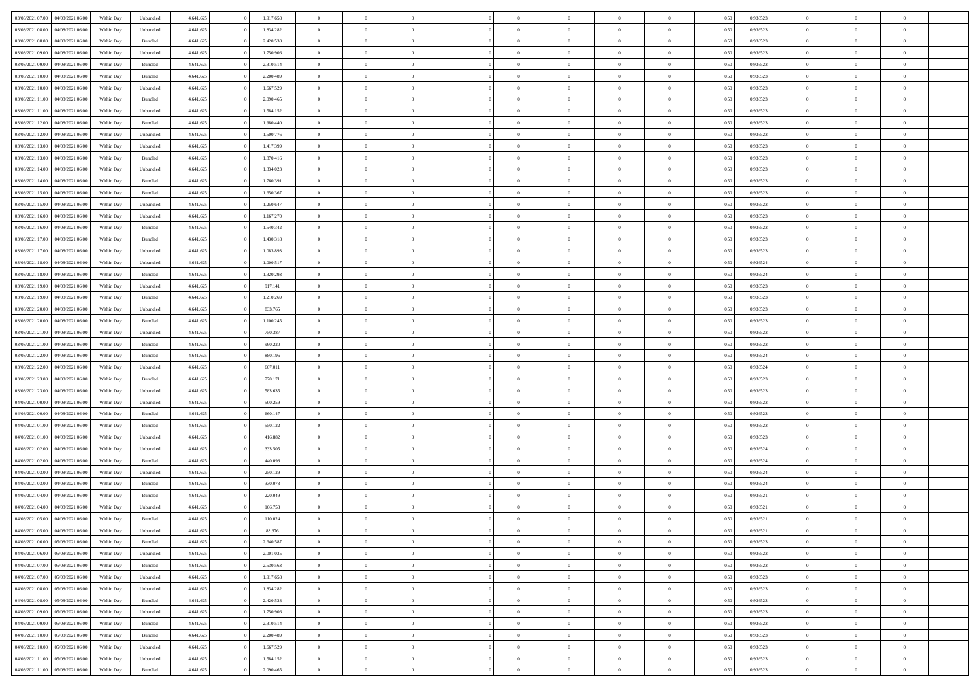| 03/08/2021 07:00                  | 04/08/2021 06:00 | Within Day | Unbundled | 4.641.625 | 1.917.658 | $\overline{0}$ | $\theta$       |                | $\Omega$       | $\Omega$       | $\theta$       | $\theta$       | 0.50 | 0,936523 | $\theta$       | $\overline{0}$ | $\overline{0}$ |  |
|-----------------------------------|------------------|------------|-----------|-----------|-----------|----------------|----------------|----------------|----------------|----------------|----------------|----------------|------|----------|----------------|----------------|----------------|--|
|                                   |                  |            |           |           |           |                |                |                |                |                |                |                |      |          |                |                |                |  |
| 03/08/2021 08:00                  | 04/08/2021 06:00 | Within Day | Unbundled | 4.641.625 | 1.834.282 | $\overline{0}$ | $\theta$       | $\overline{0}$ | $\overline{0}$ | $\bf{0}$       | $\overline{0}$ | $\bf{0}$       | 0,50 | 0,936523 | $\theta$       | $\overline{0}$ | $\overline{0}$ |  |
| 03/08/2021 08:00                  | 04/08/2021 06:00 | Within Day | Bundled   | 4.641.625 | 2.420.538 | $\overline{0}$ | $\bf{0}$       | $\overline{0}$ | $\bf{0}$       | $\bf{0}$       | $\bf{0}$       | $\mathbf{0}$   | 0,50 | 0,936523 | $\overline{0}$ | $\overline{0}$ | $\bf{0}$       |  |
| 03/08/2021 09:00                  | 04/08/2021 06:00 | Within Dav | Unbundled | 4.641.625 | 1.750.906 | $\overline{0}$ | $\overline{0}$ | $\overline{0}$ | $\overline{0}$ | $\bf{0}$       | $\overline{0}$ | $\overline{0}$ | 0.50 | 0.936523 | $\theta$       | $\theta$       | $\overline{0}$ |  |
|                                   |                  |            |           |           |           |                |                |                |                |                |                |                |      |          |                |                |                |  |
| 03/08/2021 09:00                  | 04/08/2021 06:00 | Within Day | Bundled   | 4.641.625 | 2.310.514 | $\overline{0}$ | $\theta$       | $\overline{0}$ | $\overline{0}$ | $\bf{0}$       | $\overline{0}$ | $\bf{0}$       | 0,50 | 0,936523 | $\theta$       | $\overline{0}$ | $\overline{0}$ |  |
| 03/08/2021 10:00                  | 04/08/2021 06:00 | Within Day | Bundled   | 4.641.625 | 2.200.489 | $\overline{0}$ | $\overline{0}$ | $\overline{0}$ | $\bf{0}$       | $\overline{0}$ | $\overline{0}$ | $\mathbf{0}$   | 0,50 | 0,936523 | $\overline{0}$ | $\overline{0}$ | $\bf{0}$       |  |
| 03/08/2021 10:00                  | 04/08/2021 06:00 | Within Dav | Unbundled | 4.641.625 | 1.667.529 | $\overline{0}$ | $\overline{0}$ | $\overline{0}$ | $\overline{0}$ | $\overline{0}$ | $\overline{0}$ | $\overline{0}$ | 0.50 | 0.936523 | $\theta$       | $\overline{0}$ | $\overline{0}$ |  |
| 03/08/2021 11:00                  | 04/08/2021 06:00 | Within Day | Bundled   | 4.641.625 | 2.090.465 | $\overline{0}$ | $\theta$       | $\overline{0}$ | $\overline{0}$ | $\bf{0}$       | $\overline{0}$ | $\bf{0}$       | 0,50 | 0,936523 | $\theta$       | $\theta$       | $\overline{0}$ |  |
| 03/08/2021 11:00                  | 04/08/2021 06:00 | Within Day | Unbundled | 4.641.625 | 1.584.152 | $\overline{0}$ | $\overline{0}$ | $\overline{0}$ | $\bf{0}$       | $\bf{0}$       | $\bf{0}$       | $\bf{0}$       | 0,50 | 0,936523 | $\,0\,$        | $\overline{0}$ | $\overline{0}$ |  |
|                                   |                  |            |           |           |           |                |                |                |                |                |                |                |      |          |                |                |                |  |
| 03/08/2021 12:00                  | 04/08/2021 06:00 | Within Dav | Bundled   | 4.641.625 | 1.980.440 | $\overline{0}$ | $\overline{0}$ | $\overline{0}$ | $\overline{0}$ | $\overline{0}$ | $\overline{0}$ | $\overline{0}$ | 0.50 | 0.936523 | $\theta$       | $\overline{0}$ | $\overline{0}$ |  |
| 03/08/2021 12:00                  | 04/08/2021 06:00 | Within Day | Unbundled | 4.641.625 | 1.500.776 | $\overline{0}$ | $\theta$       | $\overline{0}$ | $\overline{0}$ | $\bf{0}$       | $\overline{0}$ | $\bf{0}$       | 0,50 | 0,936523 | $\,$ 0 $\,$    | $\overline{0}$ | $\overline{0}$ |  |
| 03/08/2021 13:00                  | 04/08/2021 06:00 | Within Day | Unbundled | 4.641.625 | 1.417.399 | $\overline{0}$ | $\bf{0}$       | $\overline{0}$ | $\overline{0}$ | $\bf{0}$       | $\overline{0}$ | $\mathbf{0}$   | 0,50 | 0,936523 | $\bf{0}$       | $\overline{0}$ | $\bf{0}$       |  |
| 03/08/2021 13:00                  | 04/08/2021 06:00 | Within Day | Bundled   | 4.641.625 | 1.870.416 | $\overline{0}$ | $\overline{0}$ | $\overline{0}$ | $\overline{0}$ | $\bf{0}$       | $\overline{0}$ | $\overline{0}$ | 0.50 | 0.936523 | $\theta$       | $\theta$       | $\overline{0}$ |  |
| 03/08/2021 14:00                  | 04/08/2021 06:00 | Within Day | Unbundled | 4.641.625 | 1.334.023 | $\overline{0}$ | $\theta$       | $\overline{0}$ | $\overline{0}$ | $\bf{0}$       | $\overline{0}$ | $\bf{0}$       | 0,50 | 0,936523 | $\theta$       | $\overline{0}$ | $\overline{0}$ |  |
|                                   |                  |            |           |           |           |                |                |                |                |                |                |                |      |          |                |                |                |  |
| 03/08/2021 14:00                  | 04/08/2021 06:00 | Within Day | Bundled   | 4.641.625 | 1.760.391 | $\overline{0}$ | $\overline{0}$ | $\overline{0}$ | $\overline{0}$ | $\overline{0}$ | $\overline{0}$ | $\mathbf{0}$   | 0,50 | 0,936523 | $\bf{0}$       | $\overline{0}$ | $\bf{0}$       |  |
| 03/08/2021 15:00                  | 04/08/2021 06:00 | Within Dav | Bundled   | 4.641.625 | 1.650.367 | $\overline{0}$ | $\overline{0}$ | $\overline{0}$ | $\overline{0}$ | $\overline{0}$ | $\overline{0}$ | $\overline{0}$ | 0.50 | 0.936523 | $\theta$       | $\overline{0}$ | $\overline{0}$ |  |
| 03/08/2021 15:00                  | 04/08/2021 06:00 | Within Day | Unbundled | 4.641.625 | 1.250.647 | $\overline{0}$ | $\theta$       | $\overline{0}$ | $\overline{0}$ | $\bf{0}$       | $\overline{0}$ | $\bf{0}$       | 0,50 | 0,936523 | $\theta$       | $\theta$       | $\overline{0}$ |  |
| 03/08/2021 16:00                  | 04/08/2021 06:00 | Within Day | Unbundled | 4.641.625 | 1.167.270 | $\overline{0}$ | $\overline{0}$ | $\overline{0}$ | $\overline{0}$ | $\bf{0}$       | $\overline{0}$ | $\mathbf{0}$   | 0,50 | 0,936523 | $\,0\,$        | $\overline{0}$ | $\bf{0}$       |  |
| 03/08/2021 16:00                  | 04/08/2021 06:00 | Within Day | Bundled   | 4.641.625 | 1.540.342 | $\overline{0}$ | $\overline{0}$ | $\overline{0}$ | $\overline{0}$ | $\overline{0}$ | $\overline{0}$ | $\overline{0}$ | 0.50 | 0.936523 | $\theta$       | $\overline{0}$ | $\overline{0}$ |  |
|                                   |                  |            |           |           |           |                |                |                |                |                |                |                |      |          |                |                |                |  |
| 03/08/2021 17:00                  | 04/08/2021 06:00 | Within Day | Bundled   | 4.641.625 | 1.430.318 | $\overline{0}$ | $\theta$       | $\overline{0}$ | $\overline{0}$ | $\bf{0}$       | $\overline{0}$ | $\bf{0}$       | 0,50 | 0,936523 | $\,$ 0 $\,$    | $\overline{0}$ | $\overline{0}$ |  |
| 03/08/2021 17:00                  | 04/08/2021 06:00 | Within Day | Unbundled | 4.641.625 | 1.083.893 | $\overline{0}$ | $\overline{0}$ | $\overline{0}$ | $\overline{0}$ | $\bf{0}$       | $\overline{0}$ | $\bf{0}$       | 0,50 | 0,936523 | $\bf{0}$       | $\overline{0}$ | $\bf{0}$       |  |
| 03/08/2021 18:00                  | 04/08/2021 06:00 | Within Day | Unbundled | 4.641.625 | 1.000.517 | $\overline{0}$ | $\overline{0}$ | $\overline{0}$ | $\overline{0}$ | $\bf{0}$       | $\overline{0}$ | $\overline{0}$ | 0.50 | 0.936524 | $\theta$       | $\overline{0}$ | $\overline{0}$ |  |
| 03/08/2021 18:00                  | 04/08/2021 06:00 | Within Day | Bundled   | 4.641.625 | 1.320.293 | $\overline{0}$ | $\theta$       | $\overline{0}$ | $\overline{0}$ | $\bf{0}$       | $\overline{0}$ | $\bf{0}$       | 0,50 | 0,936524 | $\theta$       | $\overline{0}$ | $\overline{0}$ |  |
| 03/08/2021 19:00                  | 04/08/2021 06:00 | Within Day | Unbundled | 4.641.625 | 917.141   | $\overline{0}$ | $\overline{0}$ | $\overline{0}$ | $\overline{0}$ | $\overline{0}$ | $\overline{0}$ | $\mathbf{0}$   | 0,50 | 0,936523 | $\bf{0}$       | $\overline{0}$ | $\bf{0}$       |  |
|                                   |                  |            |           |           |           |                |                |                |                |                |                |                |      |          |                |                |                |  |
| 03/08/2021 19:00                  | 04/08/2021 06:00 | Within Dav | Bundled   | 4.641.625 | 1.210.269 | $\overline{0}$ | $\overline{0}$ | $\overline{0}$ | $\overline{0}$ | $\overline{0}$ | $\overline{0}$ | $\overline{0}$ | 0.50 | 0.936523 | $\theta$       | $\overline{0}$ | $\overline{0}$ |  |
| 03/08/2021 20:00                  | 04/08/2021 06:00 | Within Day | Unbundled | 4.641.625 | 833.765   | $\overline{0}$ | $\theta$       | $\overline{0}$ | $\overline{0}$ | $\bf{0}$       | $\overline{0}$ | $\bf{0}$       | 0,50 | 0,936523 | $\theta$       | $\theta$       | $\overline{0}$ |  |
| 03/08/2021 20.00                  | 04/08/2021 06:00 | Within Day | Bundled   | 4.641.625 | 1.100.245 | $\overline{0}$ | $\overline{0}$ | $\overline{0}$ | $\overline{0}$ | $\bf{0}$       | $\overline{0}$ | $\bf{0}$       | 0,50 | 0,936523 | $\,0\,$        | $\overline{0}$ | $\overline{0}$ |  |
| 03/08/2021 21:00                  | 04/08/2021 06:00 | Within Day | Unbundled | 4.641.625 | 750.387   | $\overline{0}$ | $\overline{0}$ | $\overline{0}$ | $\overline{0}$ | $\overline{0}$ | $\overline{0}$ | $\overline{0}$ | 0.50 | 0.936523 | $\theta$       | $\overline{0}$ | $\overline{0}$ |  |
| 03/08/2021 21:00                  | 04/08/2021 06:00 | Within Day | Bundled   | 4.641.625 | 990.220   | $\overline{0}$ | $\theta$       | $\overline{0}$ | $\overline{0}$ | $\bf{0}$       | $\overline{0}$ | $\bf{0}$       | 0,50 | 0,936523 | $\,$ 0 $\,$    | $\overline{0}$ | $\overline{0}$ |  |
| 03/08/2021 22.00                  | 04/08/2021 06:00 | Within Day | Bundled   | 4.641.625 | 880.196   | $\overline{0}$ | $\overline{0}$ | $\overline{0}$ | $\overline{0}$ | $\bf{0}$       | $\overline{0}$ | $\bf{0}$       | 0,50 | 0,936524 | $\bf{0}$       | $\overline{0}$ | $\bf{0}$       |  |
|                                   |                  |            |           |           |           |                |                |                |                |                |                |                |      |          |                |                | $\theta$       |  |
| 03/08/2021 22:00                  | 04/08/2021 06:00 | Within Day | Unbundled | 4.641.625 | 667.011   | $\overline{0}$ | $\Omega$       | $\Omega$       | $\Omega$       | $\Omega$       | $\overline{0}$ | $\overline{0}$ | 0,50 | 0,936524 | $\,0\,$        | $\theta$       |                |  |
| 03/08/2021 23:00                  | 04/08/2021 06:00 | Within Day | Bundled   | 4.641.625 | 770.171   | $\overline{0}$ | $\theta$       | $\overline{0}$ | $\overline{0}$ | $\bf{0}$       | $\overline{0}$ | $\bf{0}$       | 0,50 | 0,936523 | $\theta$       | $\overline{0}$ | $\overline{0}$ |  |
| 03/08/2021 23.00                  | 04/08/2021 06:00 | Within Day | Unbundled | 4.641.625 | 583.635   | $\overline{0}$ | $\overline{0}$ | $\overline{0}$ | $\overline{0}$ | $\overline{0}$ | $\overline{0}$ | $\mathbf{0}$   | 0,50 | 0,936523 | $\bf{0}$       | $\overline{0}$ | $\bf{0}$       |  |
| 04/08/2021 00:00                  | 04/08/2021 06:00 | Within Day | Unbundled | 4.641.625 | 500.259   | $\overline{0}$ | $\Omega$       | $\Omega$       | $\Omega$       | $\overline{0}$ | $\overline{0}$ | $\overline{0}$ | 0.50 | 0.936523 | $\,0\,$        | $\theta$       | $\theta$       |  |
| 04/08/2021 00:00                  | 04/08/2021 06:00 | Within Day | Bundled   | 4.641.625 | 660.147   | $\overline{0}$ | $\theta$       | $\overline{0}$ | $\overline{0}$ | $\bf{0}$       | $\overline{0}$ | $\bf{0}$       | 0,50 | 0,936523 | $\theta$       | $\overline{0}$ | $\overline{0}$ |  |
| 04/08/2021 01:00                  | 04/08/2021 06:00 | Within Day | Bundled   | 4.641.625 | 550.122   | $\overline{0}$ | $\overline{0}$ | $\overline{0}$ | $\overline{0}$ | $\bf{0}$       | $\overline{0}$ | $\bf{0}$       | 0,50 | 0,936523 | $\bf{0}$       | $\overline{0}$ | $\bf{0}$       |  |
|                                   |                  |            |           |           |           |                |                |                |                |                |                |                |      |          |                |                |                |  |
| 04/08/2021 01:00                  | 04/08/2021 06:00 | Within Day | Unbundled | 4.641.625 | 416.882   | $\overline{0}$ | $\Omega$       | $\Omega$       | $\Omega$       | $\theta$       | $\overline{0}$ | $\overline{0}$ | 0.50 | 0.936523 | $\theta$       | $\theta$       | $\theta$       |  |
| 04/08/2021 02.00                  | 04/08/2021 06:00 | Within Day | Unbundled | 4.641.625 | 333.505   | $\overline{0}$ | $\overline{0}$ | $\overline{0}$ | $\overline{0}$ | $\bf{0}$       | $\overline{0}$ | $\bf{0}$       | 0,50 | 0,936524 | $\,$ 0 $\,$    | $\overline{0}$ | $\overline{0}$ |  |
| 04/08/2021 02.00                  | 04/08/2021 06:00 | Within Day | Bundled   | 4.641.625 | 440.098   | $\overline{0}$ | $\overline{0}$ | $\overline{0}$ | $\overline{0}$ | $\bf{0}$       | $\overline{0}$ | $\mathbf{0}$   | 0,50 | 0,936524 | $\bf{0}$       | $\overline{0}$ | $\bf{0}$       |  |
| 04/08/2021 03:00                  | 04/08/2021 06:00 | Within Day | Unbundled | 4.641.625 | 250.129   | $\overline{0}$ | $\Omega$       | $\overline{0}$ | $\Omega$       | $\overline{0}$ | $\overline{0}$ | $\overline{0}$ | 0,50 | 0,936524 | $\,0\,$        | $\theta$       | $\theta$       |  |
| 04/08/2021 03:00                  | 04/08/2021 06:00 | Within Day | Bundled   | 4.641.625 | 330.073   | $\overline{0}$ | $\overline{0}$ | $\overline{0}$ | $\overline{0}$ | $\,$ 0         | $\overline{0}$ | $\bf{0}$       | 0,50 | 0,936524 | $\,$ 0 $\,$    | $\overline{0}$ | $\overline{0}$ |  |
| 04/08/2021 04:00                  | 04/08/2021 06:00 | Within Day | Bundled   | 4.641.625 | 220.049   | $\overline{0}$ | $\overline{0}$ | $\overline{0}$ | $\overline{0}$ | $\bf{0}$       | $\overline{0}$ | $\mathbf{0}$   | 0,50 | 0,936521 | $\bf{0}$       | $\overline{0}$ | $\bf{0}$       |  |
|                                   |                  |            |           |           |           |                |                |                |                |                |                |                |      |          |                |                |                |  |
| 04/08/2021 04:00                  | 04/08/2021 06:00 | Within Day | Unbundled | 4.641.625 | 166.753   | $\overline{0}$ | $\Omega$       | $\Omega$       | $\Omega$       | $\Omega$       | $\Omega$       | $\overline{0}$ | 0.50 | 0.936521 | $\theta$       | $\theta$       | $\theta$       |  |
| 04/08/2021 05:00                  | 04/08/2021 06:00 | Within Day | Bundled   | 4.641.625 | 110.024   | $\overline{0}$ | $\overline{0}$ | $\overline{0}$ | $\bf{0}$       | $\,$ 0         | $\overline{0}$ | $\bf{0}$       | 0,50 | 0,936521 | $\,0\,$        | $\,$ 0 $\,$    | $\overline{0}$ |  |
| 04/08/2021 05:00 04/08/2021 06:00 |                  | Within Day | Unbundled | 4.641.625 | 83.376    | $\bf{0}$       | $\bf{0}$       |                |                |                |                |                | 0,50 | 0,936521 | $\bf{0}$       | $\overline{0}$ |                |  |
| 04/08/2021 06:00                  | 05/08/2021 06:00 | Within Day | Bundled   | 4.641.625 | 2.640.587 | $\overline{0}$ | $\overline{0}$ | $\overline{0}$ | $\Omega$       | $\overline{0}$ | $\overline{0}$ | $\overline{0}$ | 0.50 | 0.936523 | $\theta$       | $\theta$       | $\theta$       |  |
| 04/08/2021 06:00                  | 05/08/2021 06:00 | Within Day | Unbundled | 4.641.625 | 2.001.035 | $\overline{0}$ | $\,$ 0         | $\overline{0}$ | $\overline{0}$ | $\,$ 0 $\,$    | $\overline{0}$ | $\mathbf{0}$   | 0,50 | 0,936523 | $\,$ 0 $\,$    | $\,$ 0 $\,$    | $\,$ 0         |  |
| 04/08/2021 07:00                  | 05/08/2021 06:00 | Within Day | Bundled   | 4.641.625 | 2.530.563 | $\overline{0}$ | $\overline{0}$ | $\overline{0}$ | $\overline{0}$ | $\overline{0}$ | $\overline{0}$ | $\mathbf{0}$   | 0,50 | 0,936523 | $\overline{0}$ | $\bf{0}$       | $\bf{0}$       |  |
|                                   |                  |            |           |           |           |                |                |                |                |                |                |                |      |          |                |                |                |  |
| 04/08/2021 07:00                  | 05/08/2021 06:00 | Within Day | Unbundled | 4.641.625 | 1.917.658 | $\overline{0}$ | $\overline{0}$ | $\overline{0}$ | $\Omega$       | $\overline{0}$ | $\overline{0}$ | $\bf{0}$       | 0,50 | 0,936523 | $\overline{0}$ | $\theta$       | $\overline{0}$ |  |
| 04/08/2021 08:00                  | 05/08/2021 06:00 | Within Day | Unbundled | 4.641.625 | 1.834.282 | $\overline{0}$ | $\,$ 0         | $\overline{0}$ | $\overline{0}$ | $\overline{0}$ | $\overline{0}$ | $\bf{0}$       | 0,50 | 0,936523 | $\,$ 0 $\,$    | $\overline{0}$ | $\overline{0}$ |  |
| 04/08/2021 08:00                  | 05/08/2021 06:00 | Within Day | Bundled   | 4.641.625 | 2.420.538 | $\overline{0}$ | $\overline{0}$ | $\overline{0}$ | $\overline{0}$ | $\overline{0}$ | $\overline{0}$ | $\mathbf{0}$   | 0,50 | 0,936523 | $\overline{0}$ | $\bf{0}$       | $\bf{0}$       |  |
| 04/08/2021 09:00                  | 05/08/2021 06:00 | Within Day | Unbundled | 4.641.625 | 1.750.906 | $\overline{0}$ | $\overline{0}$ | $\overline{0}$ | $\Omega$       | $\overline{0}$ | $\overline{0}$ | $\bf{0}$       | 0.50 | 0,936523 | $\overline{0}$ | $\theta$       | $\overline{0}$ |  |
| 04/08/2021 09:00                  | 05/08/2021 06:00 | Within Day | Bundled   | 4.641.625 | 2.310.514 | $\overline{0}$ | $\,$ 0         | $\overline{0}$ | $\bf{0}$       | $\bf{0}$       | $\bf{0}$       | $\bf{0}$       | 0,50 | 0,936523 | $\,$ 0 $\,$    | $\overline{0}$ | $\overline{0}$ |  |
|                                   |                  |            |           |           |           |                |                |                |                |                |                |                |      |          |                |                |                |  |
| 04/08/2021 10:00                  | 05/08/2021 06:00 | Within Day | Bundled   | 4.641.625 | 2.200.489 | $\overline{0}$ | $\bf{0}$       | $\overline{0}$ | $\overline{0}$ | $\overline{0}$ | $\overline{0}$ | $\mathbf{0}$   | 0,50 | 0,936523 | $\overline{0}$ | $\overline{0}$ | $\bf{0}$       |  |
| 04/08/2021 10:00                  | 05/08/2021 06:00 | Within Day | Unbundled | 4.641.625 | 1.667.529 | $\overline{0}$ | $\overline{0}$ | $\overline{0}$ | $\Omega$       | $\overline{0}$ | $\overline{0}$ | $\bf{0}$       | 0.50 | 0.936523 | $\overline{0}$ | $\theta$       | $\overline{0}$ |  |
| 04/08/2021 11:00                  | 05/08/2021 06:00 | Within Day | Unbundled | 4.641.625 | 1.584.152 | $\overline{0}$ | $\bf{0}$       | $\overline{0}$ | $\overline{0}$ | $\bf{0}$       | $\bf{0}$       | $\mathbf{0}$   | 0,50 | 0,936523 | $\,$ 0 $\,$    | $\,$ 0 $\,$    | $\bf{0}$       |  |
| 04/08/2021 11:00                  | 05/08/2021 06:00 | Within Day | Bundled   | 4.641.625 | 2.090.465 | $\overline{0}$ | $\overline{0}$ | $\overline{0}$ | $\overline{0}$ | $\bf{0}$       | $\bf{0}$       | $\mathbf{0}$   | 0,50 | 0,936523 | $\overline{0}$ | $\bf{0}$       | $\bf{0}$       |  |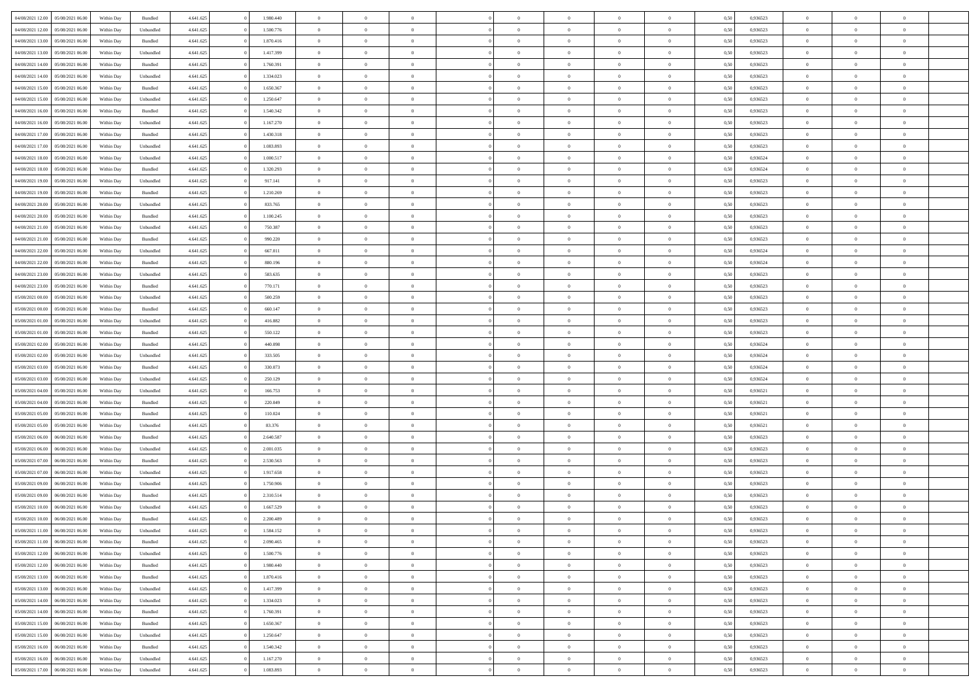| 04/08/2021 12:00 | 05/08/2021 06:00 | Within Day | Bundled            | 4.641.625 | 1.980.440 | $\overline{0}$ | $\Omega$       |                | $\Omega$       | $\Omega$       | $\theta$       | $\theta$       | 0.50 | 0,936523 | $\theta$       | $\theta$       | $\theta$       |  |
|------------------|------------------|------------|--------------------|-----------|-----------|----------------|----------------|----------------|----------------|----------------|----------------|----------------|------|----------|----------------|----------------|----------------|--|
|                  |                  |            |                    |           |           |                |                |                |                |                |                |                |      |          |                |                |                |  |
| 04/08/2021 12:00 | 05/08/2021 06:00 | Within Day | Unbundled          | 4.641.625 | 1.500.776 | $\overline{0}$ | $\theta$       | $\overline{0}$ | $\overline{0}$ | $\bf{0}$       | $\overline{0}$ | $\bf{0}$       | 0,50 | 0,936523 | $\theta$       | $\overline{0}$ | $\overline{0}$ |  |
| 04/08/2021 13:00 | 05/08/2021 06:00 | Within Day | Bundled            | 4.641.625 | 1.870.416 | $\overline{0}$ | $\bf{0}$       | $\overline{0}$ | $\bf{0}$       | $\bf{0}$       | $\bf{0}$       | $\mathbf{0}$   | 0,50 | 0,936523 | $\overline{0}$ | $\overline{0}$ | $\bf{0}$       |  |
| 04/08/2021 13:00 | 05/08/2021 06:00 | Within Dav | Unbundled          | 4.641.625 | 1.417.399 | $\overline{0}$ | $\overline{0}$ | $\overline{0}$ | $\overline{0}$ | $\bf{0}$       | $\overline{0}$ | $\overline{0}$ | 0.50 | 0.936523 | $\theta$       | $\theta$       | $\overline{0}$ |  |
|                  |                  |            |                    |           |           |                |                |                |                |                |                |                |      |          |                |                |                |  |
| 04/08/2021 14:00 | 05/08/2021 06:00 | Within Day | Bundled            | 4.641.625 | 1.760.391 | $\overline{0}$ | $\theta$       | $\overline{0}$ | $\overline{0}$ | $\bf{0}$       | $\overline{0}$ | $\bf{0}$       | 0,50 | 0,936523 | $\theta$       | $\overline{0}$ | $\overline{0}$ |  |
| 04/08/2021 14:00 | 05/08/2021 06:00 | Within Day | Unbundled          | 4.641.625 | 1.334.023 | $\overline{0}$ | $\overline{0}$ | $\overline{0}$ | $\bf{0}$       | $\overline{0}$ | $\overline{0}$ | $\mathbf{0}$   | 0,50 | 0,936523 | $\overline{0}$ | $\overline{0}$ | $\bf{0}$       |  |
| 04/08/2021 15:00 | 05/08/2021 06:00 | Within Dav | Bundled            | 4.641.625 | 1.650.367 | $\overline{0}$ | $\overline{0}$ | $\overline{0}$ | $\overline{0}$ | $\overline{0}$ | $\overline{0}$ | $\overline{0}$ | 0.50 | 0.936523 | $\theta$       | $\overline{0}$ | $\overline{0}$ |  |
| 04/08/2021 15:00 | 05/08/2021 06:00 | Within Day | Unbundled          | 4.641.625 | 1.250.647 | $\overline{0}$ | $\theta$       | $\overline{0}$ | $\overline{0}$ | $\bf{0}$       | $\overline{0}$ | $\bf{0}$       | 0,50 | 0,936523 | $\theta$       | $\theta$       | $\overline{0}$ |  |
|                  |                  |            |                    |           |           |                |                |                |                |                |                |                |      |          |                |                |                |  |
| 04/08/2021 16:00 | 05/08/2021 06:00 | Within Day | Bundled            | 4.641.625 | 1.540.342 | $\overline{0}$ | $\overline{0}$ | $\overline{0}$ | $\bf{0}$       | $\bf{0}$       | $\bf{0}$       | $\bf{0}$       | 0,50 | 0,936523 | $\,0\,$        | $\overline{0}$ | $\overline{0}$ |  |
| 04/08/2021 16:00 | 05/08/2021 06:00 | Within Dav | Unbundled          | 4.641.625 | 1.167.270 | $\overline{0}$ | $\overline{0}$ | $\overline{0}$ | $\overline{0}$ | $\overline{0}$ | $\overline{0}$ | $\overline{0}$ | 0.50 | 0.936523 | $\theta$       | $\overline{0}$ | $\overline{0}$ |  |
| 04/08/2021 17:00 | 05/08/2021 06:00 | Within Day | Bundled            | 4.641.625 | 1.430.318 | $\overline{0}$ | $\theta$       | $\overline{0}$ | $\overline{0}$ | $\bf{0}$       | $\overline{0}$ | $\bf{0}$       | 0,50 | 0,936523 | $\,$ 0 $\,$    | $\overline{0}$ | $\overline{0}$ |  |
| 04/08/2021 17:00 | 05/08/2021 06:00 | Within Day | Unbundled          | 4.641.625 | 1.083.893 | $\overline{0}$ | $\bf{0}$       | $\overline{0}$ | $\bf{0}$       | $\bf{0}$       | $\bf{0}$       | $\mathbf{0}$   | 0,50 | 0,936523 | $\overline{0}$ | $\overline{0}$ | $\bf{0}$       |  |
| 04/08/2021 18:00 | 05/08/2021 06:00 | Within Day | Unbundled          | 4.641.625 | 1.000.517 | $\overline{0}$ | $\overline{0}$ | $\overline{0}$ | $\overline{0}$ | $\bf{0}$       | $\overline{0}$ | $\overline{0}$ | 0.50 | 0.936524 | $\theta$       | $\theta$       | $\overline{0}$ |  |
|                  |                  |            |                    |           |           | $\overline{0}$ | $\theta$       | $\overline{0}$ | $\overline{0}$ | $\bf{0}$       | $\overline{0}$ |                |      |          | $\theta$       | $\overline{0}$ | $\overline{0}$ |  |
| 04/08/2021 18:00 | 05/08/2021 06:00 | Within Day | Bundled            | 4.641.625 | 1.320.293 |                |                |                |                |                |                | $\bf{0}$       | 0,50 | 0,936524 |                |                |                |  |
| 04/08/2021 19:00 | 05/08/2021 06:00 | Within Day | Unbundled          | 4.641.625 | 917.141   | $\overline{0}$ | $\overline{0}$ | $\overline{0}$ | $\overline{0}$ | $\overline{0}$ | $\overline{0}$ | $\mathbf{0}$   | 0,50 | 0,936523 | $\bf{0}$       | $\overline{0}$ | $\bf{0}$       |  |
| 04/08/2021 19:00 | 05/08/2021 06:00 | Within Dav | Bundled            | 4.641.625 | 1.210.269 | $\overline{0}$ | $\overline{0}$ | $\overline{0}$ | $\overline{0}$ | $\overline{0}$ | $\overline{0}$ | $\overline{0}$ | 0.50 | 0.936523 | $\theta$       | $\overline{0}$ | $\overline{0}$ |  |
| 04/08/2021 20:00 | 05/08/2021 06:00 | Within Day | Unbundled          | 4.641.625 | 833.765   | $\overline{0}$ | $\theta$       | $\overline{0}$ | $\overline{0}$ | $\bf{0}$       | $\overline{0}$ | $\bf{0}$       | 0,50 | 0,936523 | $\theta$       | $\theta$       | $\overline{0}$ |  |
| 04/08/2021 20.00 | 05/08/2021 06:00 | Within Day | Bundled            | 4.641.625 | 1.100.245 | $\overline{0}$ | $\overline{0}$ | $\overline{0}$ | $\overline{0}$ | $\bf{0}$       | $\overline{0}$ | $\mathbf{0}$   | 0,50 | 0,936523 | $\,0\,$        | $\overline{0}$ | $\bf{0}$       |  |
|                  |                  |            |                    |           |           |                | $\overline{0}$ |                |                | $\overline{0}$ |                |                |      |          | $\theta$       | $\overline{0}$ | $\overline{0}$ |  |
| 04/08/2021 21:00 | 05/08/2021 06:00 | Within Day | Unbundled          | 4.641.625 | 750.387   | $\overline{0}$ |                | $\overline{0}$ | $\overline{0}$ |                | $\overline{0}$ | $\overline{0}$ | 0.50 | 0.936523 |                |                |                |  |
| 04/08/2021 21.00 | 05/08/2021 06:00 | Within Day | Bundled            | 4.641.625 | 990.220   | $\overline{0}$ | $\theta$       | $\overline{0}$ | $\overline{0}$ | $\bf{0}$       | $\overline{0}$ | $\bf{0}$       | 0,50 | 0,936523 | $\,$ 0 $\,$    | $\overline{0}$ | $\overline{0}$ |  |
| 04/08/2021 22.00 | 05/08/2021 06:00 | Within Day | Unbundled          | 4.641.625 | 667.011   | $\overline{0}$ | $\overline{0}$ | $\overline{0}$ | $\overline{0}$ | $\bf{0}$       | $\overline{0}$ | $\mathbf{0}$   | 0,50 | 0,936524 | $\,0\,$        | $\overline{0}$ | $\bf{0}$       |  |
| 04/08/2021 22.00 | 05/08/2021 06:00 | Within Day | Bundled            | 4.641.625 | 880,196   | $\overline{0}$ | $\overline{0}$ | $\overline{0}$ | $\overline{0}$ | $\bf{0}$       | $\overline{0}$ | $\overline{0}$ | 0.50 | 0.936524 | $\theta$       | $\overline{0}$ | $\overline{0}$ |  |
| 04/08/2021 23:00 | 05/08/2021 06:00 | Within Day | Unbundled          | 4.641.625 | 583.635   | $\overline{0}$ | $\theta$       | $\overline{0}$ | $\overline{0}$ | $\bf{0}$       | $\overline{0}$ | $\bf{0}$       | 0,50 | 0,936523 | $\,$ 0 $\,$    | $\overline{0}$ | $\overline{0}$ |  |
|                  |                  |            |                    |           |           |                |                |                |                |                |                |                |      |          |                |                |                |  |
| 04/08/2021 23.00 | 05/08/2021 06:00 | Within Day | Bundled            | 4.641.625 | 770.171   | $\overline{0}$ | $\overline{0}$ | $\overline{0}$ | $\overline{0}$ | $\overline{0}$ | $\overline{0}$ | $\mathbf{0}$   | 0,50 | 0,936523 | $\bf{0}$       | $\overline{0}$ | $\bf{0}$       |  |
| 05/08/2021 00:00 | 05/08/2021 06:00 | Within Dav | Unbundled          | 4.641.625 | 500.259   | $\overline{0}$ | $\overline{0}$ | $\overline{0}$ | $\overline{0}$ | $\overline{0}$ | $\overline{0}$ | $\overline{0}$ | 0.50 | 0.936523 | $\theta$       | $\overline{0}$ | $\overline{0}$ |  |
| 05/08/2021 00:00 | 05/08/2021 06:00 | Within Day | Bundled            | 4.641.625 | 660.147   | $\overline{0}$ | $\theta$       | $\overline{0}$ | $\overline{0}$ | $\bf{0}$       | $\overline{0}$ | $\bf{0}$       | 0,50 | 0,936523 | $\theta$       | $\theta$       | $\overline{0}$ |  |
| 05/08/2021 01:00 | 05/08/2021 06:00 | Within Day | Unbundled          | 4.641.625 | 416.882   | $\overline{0}$ | $\overline{0}$ | $\overline{0}$ | $\overline{0}$ | $\bf{0}$       | $\overline{0}$ | $\bf{0}$       | 0,50 | 0,936523 | $\,0\,$        | $\overline{0}$ | $\overline{0}$ |  |
| 05/08/2021 01:00 | 05/08/2021 06:00 | Within Day | Bundled            | 4.641.625 | 550.122   | $\overline{0}$ | $\overline{0}$ | $\overline{0}$ | $\overline{0}$ | $\overline{0}$ | $\overline{0}$ | $\overline{0}$ | 0.50 | 0.936523 | $\theta$       | $\overline{0}$ | $\overline{0}$ |  |
|                  |                  |            |                    |           |           |                |                |                |                |                |                |                |      |          |                |                |                |  |
| 05/08/2021 02:00 | 05/08/2021 06:00 | Within Day | Bundled            | 4.641.625 | 440.098   | $\overline{0}$ | $\theta$       | $\overline{0}$ | $\overline{0}$ | $\bf{0}$       | $\overline{0}$ | $\bf{0}$       | 0,50 | 0,936524 | $\,$ 0 $\,$    | $\overline{0}$ | $\overline{0}$ |  |
| 05/08/2021 02:00 | 05/08/2021 06:00 | Within Day | Unbundled          | 4.641.625 | 333.505   | $\overline{0}$ | $\overline{0}$ | $\overline{0}$ | $\overline{0}$ | $\bf{0}$       | $\overline{0}$ | $\bf{0}$       | 0,50 | 0,936524 | $\bf{0}$       | $\overline{0}$ | $\bf{0}$       |  |
| 05/08/2021 03:00 | 05/08/2021 06:00 | Within Day | Bundled            | 4.641.625 | 330,073   | $\overline{0}$ | $\Omega$       | $\Omega$       | $\Omega$       | $\Omega$       | $\overline{0}$ | $\overline{0}$ | 0,50 | 0,936524 | $\,0\,$        | $\theta$       | $\theta$       |  |
| 05/08/2021 03:00 | 05/08/2021 06:00 | Within Day | Unbundled          | 4.641.625 | 250.129   | $\overline{0}$ | $\theta$       | $\overline{0}$ | $\overline{0}$ | $\bf{0}$       | $\overline{0}$ | $\bf{0}$       | 0,50 | 0,936524 | $\theta$       | $\overline{0}$ | $\overline{0}$ |  |
|                  |                  |            |                    |           |           |                |                |                |                |                |                |                |      |          |                | $\overline{0}$ | $\bf{0}$       |  |
| 05/08/2021 04:00 | 05/08/2021 06:00 | Within Day | Unbundled          | 4.641.625 | 166.753   | $\overline{0}$ | $\overline{0}$ | $\overline{0}$ | $\overline{0}$ | $\overline{0}$ | $\overline{0}$ | $\mathbf{0}$   | 0,50 | 0,936521 | $\bf{0}$       |                |                |  |
| 05/08/2021 04:00 | 05/08/2021 06:00 | Within Day | Bundled            | 4.641.625 | 220,049   | $\overline{0}$ | $\Omega$       | $\Omega$       | $\Omega$       | $\bf{0}$       | $\overline{0}$ | $\overline{0}$ | 0.50 | 0.936521 | $\,0\,$        | $\theta$       | $\theta$       |  |
| 05/08/2021 05:00 | 05/08/2021 06:00 | Within Day | Bundled            | 4.641.625 | 110.024   | $\overline{0}$ | $\theta$       | $\overline{0}$ | $\overline{0}$ | $\bf{0}$       | $\overline{0}$ | $\bf{0}$       | 0,50 | 0,936521 | $\theta$       | $\overline{0}$ | $\overline{0}$ |  |
| 05/08/2021 05:00 | 05/08/2021 06:00 | Within Day | Unbundled          | 4.641.625 | 83.376    | $\overline{0}$ | $\overline{0}$ | $\overline{0}$ | $\overline{0}$ | $\bf{0}$       | $\overline{0}$ | $\bf{0}$       | 0,50 | 0,936521 | $\,0\,$        | $\overline{0}$ | $\bf{0}$       |  |
| 05/08/2021 06:00 | 06/08/2021 06:00 | Within Day | Bundled            | 4.641.625 | 2.640.587 | $\overline{0}$ | $\Omega$       | $\Omega$       | $\Omega$       | $\overline{0}$ | $\overline{0}$ | $\overline{0}$ | 0.50 | 0.936523 | $\,$ 0 $\,$    | $\theta$       | $\theta$       |  |
| 05/08/2021 06:00 | 06/08/2021 06:00 |            |                    | 4.641.625 | 2.001.035 | $\overline{0}$ | $\theta$       | $\overline{0}$ | $\overline{0}$ | $\,$ 0         | $\overline{0}$ |                |      | 0,936523 | $\,$ 0 $\,$    | $\overline{0}$ | $\overline{0}$ |  |
|                  |                  | Within Day | Unbundled          |           |           |                |                |                |                |                |                | $\bf{0}$       | 0,50 |          |                |                |                |  |
| 05/08/2021 07:00 | 06/08/2021 06:00 | Within Day | Bundled            | 4.641.625 | 2.530.563 | $\overline{0}$ | $\bf{0}$       | $\overline{0}$ | $\overline{0}$ | $\bf{0}$       | $\overline{0}$ | $\mathbf{0}$   | 0,50 | 0,936523 | $\bf{0}$       | $\overline{0}$ | $\bf{0}$       |  |
| 05/08/2021 07:00 | 06/08/2021 06:00 | Within Day | Unbundled          | 4.641.625 | 1.917.658 | $\overline{0}$ | $\Omega$       | $\overline{0}$ | $\Omega$       | $\overline{0}$ | $\overline{0}$ | $\overline{0}$ | 0,50 | 0,936523 | $\,0\,$        | $\theta$       | $\theta$       |  |
| 05/08/2021 09:00 | 06/08/2021 06:00 | Within Day | Unbundled          | 4.641.625 | 1.750.906 | $\overline{0}$ | $\overline{0}$ | $\overline{0}$ | $\overline{0}$ | $\,$ 0         | $\overline{0}$ | $\bf{0}$       | 0,50 | 0,936523 | $\,$ 0 $\,$    | $\overline{0}$ | $\overline{0}$ |  |
| 05/08/2021 09:00 | 06/08/2021 06:00 | Within Day | Bundled            | 4.641.625 | 2.310.514 | $\overline{0}$ | $\overline{0}$ | $\overline{0}$ | $\overline{0}$ | $\bf{0}$       | $\overline{0}$ | $\mathbf{0}$   | 0,50 | 0,936523 | $\bf{0}$       | $\overline{0}$ | $\bf{0}$       |  |
|                  |                  |            |                    |           |           |                |                |                |                |                |                |                |      |          |                |                | $\theta$       |  |
| 05/08/2021 10:00 | 06/08/2021 06:00 | Within Day | Unbundled          | 4.641.625 | 1.667.529 | $\overline{0}$ | $\Omega$       | $\Omega$       | $\Omega$       | $\Omega$       | $\Omega$       | $\overline{0}$ | 0.50 | 0.936523 | $\theta$       | $\theta$       |                |  |
| 05/08/2021 10:00 | 06/08/2021 06:00 | Within Day | Bundled            | 4.641.625 | 2.200.489 | $\overline{0}$ | $\overline{0}$ | $\overline{0}$ | $\bf{0}$       | $\,$ 0         | $\overline{0}$ | $\bf{0}$       | 0,50 | 0,936523 | $\,0\,$        | $\,$ 0 $\,$    | $\overline{0}$ |  |
| 05/08/2021 11:00 | 06/08/2021 06:00 | Within Day | Unbundled          | 4.641.625 | 1.584.152 | $\overline{0}$ | $\bf{0}$       |                |                |                |                |                | 0,50 | 0,936523 | $\bf{0}$       | $\overline{0}$ |                |  |
| 05/08/2021 11:00 | 06/08/2021 06:00 | Within Day | Bundled            | 4.641.625 | 2.090.465 | $\overline{0}$ | $\overline{0}$ | $\overline{0}$ | $\Omega$       | $\overline{0}$ | $\overline{0}$ | $\overline{0}$ | 0.50 | 0.936523 | $\theta$       | $\theta$       | $\theta$       |  |
| 05/08/2021 12:00 | 06/08/2021 06:00 | Within Day | Unbundled          | 4.641.625 | 1.500.776 | $\overline{0}$ | $\,$ 0         | $\overline{0}$ | $\overline{0}$ | $\,$ 0 $\,$    | $\overline{0}$ | $\mathbf{0}$   | 0,50 | 0,936523 | $\,$ 0 $\,$    | $\,$ 0 $\,$    | $\,$ 0         |  |
| 05/08/2021 12:00 | 06/08/2021 06:00 | Within Day | Bundled            | 4.641.625 | 1.980.440 | $\overline{0}$ | $\overline{0}$ | $\overline{0}$ | $\overline{0}$ | $\overline{0}$ | $\overline{0}$ | $\mathbf{0}$   | 0,50 | 0,936523 | $\overline{0}$ | $\bf{0}$       | $\bf{0}$       |  |
|                  |                  |            |                    |           |           |                |                |                |                |                |                |                |      |          |                |                |                |  |
| 05/08/2021 13:00 | 06/08/2021 06:00 | Within Day | $\mathbf B$ undled | 4.641.625 | 1.870.416 | $\overline{0}$ | $\overline{0}$ | $\overline{0}$ | $\Omega$       | $\overline{0}$ | $\overline{0}$ | $\overline{0}$ | 0,50 | 0,936523 | $\overline{0}$ | $\theta$       | $\overline{0}$ |  |
| 05/08/2021 13:00 | 06/08/2021 06:00 | Within Day | Unbundled          | 4.641.625 | 1.417.399 | $\overline{0}$ | $\,$ 0         | $\overline{0}$ | $\overline{0}$ | $\,$ 0 $\,$    | $\overline{0}$ | $\mathbf{0}$   | 0,50 | 0,936523 | $\,$ 0 $\,$    | $\overline{0}$ | $\overline{0}$ |  |
| 05/08/2021 14:00 | 06/08/2021 06:00 | Within Day | Unbundled          | 4.641.625 | 1.334.023 | $\overline{0}$ | $\overline{0}$ | $\overline{0}$ | $\overline{0}$ | $\overline{0}$ | $\overline{0}$ | $\mathbf{0}$   | 0,50 | 0,936523 | $\overline{0}$ | $\overline{0}$ | $\bf{0}$       |  |
| 05/08/2021 14:00 | 06/08/2021 06:00 | Within Day | Bundled            | 4.641.625 | 1.760.391 | $\overline{0}$ | $\overline{0}$ | $\overline{0}$ | $\Omega$       | $\overline{0}$ | $\overline{0}$ | $\bf{0}$       | 0.50 | 0,936523 | $\overline{0}$ | $\theta$       | $\overline{0}$ |  |
| 05/08/2021 15:00 | 06/08/2021 06:00 |            | Bundled            | 4.641.625 | 1.650.367 | $\overline{0}$ | $\,$ 0         | $\overline{0}$ |                | $\bf{0}$       |                |                |      | 0,936523 | $\,$ 0 $\,$    | $\overline{0}$ | $\overline{0}$ |  |
|                  |                  | Within Day |                    |           |           |                |                |                | $\bf{0}$       |                | $\bf{0}$       | $\bf{0}$       | 0,50 |          |                |                |                |  |
| 05/08/2021 15:00 | 06/08/2021 06:00 | Within Day | Unbundled          | 4.641.625 | 1.250.647 | $\overline{0}$ | $\bf{0}$       | $\overline{0}$ | $\overline{0}$ | $\overline{0}$ | $\overline{0}$ | $\mathbf{0}$   | 0,50 | 0,936523 | $\overline{0}$ | $\overline{0}$ | $\bf{0}$       |  |
| 05/08/2021 16:00 | 06/08/2021 06:00 | Within Day | Bundled            | 4.641.625 | 1.540.342 | $\overline{0}$ | $\overline{0}$ | $\overline{0}$ | $\Omega$       | $\overline{0}$ | $\overline{0}$ | $\bf{0}$       | 0.50 | 0.936523 | $\overline{0}$ | $\theta$       | $\overline{0}$ |  |
| 05/08/2021 16:00 | 06/08/2021 06:00 | Within Day | Unbundled          | 4.641.625 | 1.167.270 | $\overline{0}$ | $\bf{0}$       | $\overline{0}$ | $\overline{0}$ | $\bf{0}$       | $\bf{0}$       | $\mathbf{0}$   | 0,50 | 0,936523 | $\,$ 0 $\,$    | $\,$ 0 $\,$    | $\bf{0}$       |  |
| 05/08/2021 17:00 | 06/08/2021 06:00 | Within Day | Unbundled          | 4.641.625 | 1.083.893 | $\overline{0}$ | $\overline{0}$ | $\overline{0}$ | $\overline{0}$ | $\bf{0}$       | $\bf{0}$       | $\mathbf{0}$   | 0,50 | 0,936523 | $\overline{0}$ | $\bf{0}$       | $\bf{0}$       |  |
|                  |                  |            |                    |           |           |                |                |                |                |                |                |                |      |          |                |                |                |  |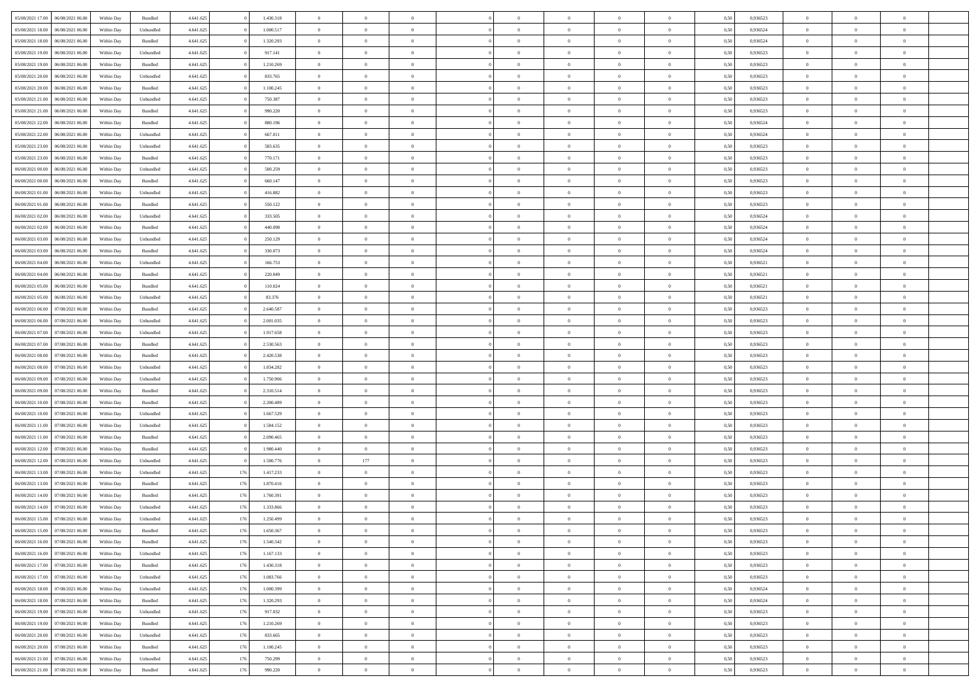| 05/08/2021 17:00                  | 06/08/2021 06:00 | Within Day | Bundled            | 4.641.625 |                 | 1.430.318 | $\overline{0}$ | $\Omega$       |                | $\Omega$       | $\Omega$       | $\theta$       | $\theta$       | 0.50 | 0,936523 | $\theta$       | $\theta$       | $\theta$       |  |
|-----------------------------------|------------------|------------|--------------------|-----------|-----------------|-----------|----------------|----------------|----------------|----------------|----------------|----------------|----------------|------|----------|----------------|----------------|----------------|--|
| 05/08/2021 18:00                  | 06/08/2021 06:00 | Within Day | Unbundled          | 4.641.625 |                 | 1.000.517 | $\overline{0}$ | $\theta$       | $\overline{0}$ | $\overline{0}$ | $\bf{0}$       | $\overline{0}$ | $\bf{0}$       | 0,50 | 0,936524 | $\theta$       | $\overline{0}$ | $\overline{0}$ |  |
| 05/08/2021 18:00                  | 06/08/2021 06:00 | Within Day | Bundled            | 4.641.625 |                 | 1.320.293 | $\overline{0}$ | $\bf{0}$       | $\overline{0}$ | $\bf{0}$       | $\bf{0}$       | $\bf{0}$       | $\mathbf{0}$   | 0,50 | 0,936524 | $\overline{0}$ | $\overline{0}$ | $\bf{0}$       |  |
| 05/08/2021 19:00                  | 06/08/2021 06:00 | Within Dav | Unbundled          | 4.641.625 |                 | 917.141   | $\overline{0}$ | $\overline{0}$ | $\overline{0}$ | $\overline{0}$ | $\bf{0}$       | $\overline{0}$ | $\overline{0}$ | 0.50 | 0.936523 | $\theta$       | $\theta$       | $\overline{0}$ |  |
| 05/08/2021 19:00                  | 06/08/2021 06:00 | Within Day | Bundled            | 4.641.625 |                 | 1.210.269 | $\overline{0}$ | $\theta$       | $\overline{0}$ | $\overline{0}$ | $\bf{0}$       | $\overline{0}$ | $\bf{0}$       | 0,50 | 0,936523 | $\theta$       | $\overline{0}$ | $\overline{0}$ |  |
|                                   |                  |            |                    |           |                 |           |                |                |                |                |                |                |                |      |          |                |                |                |  |
| 05/08/2021 20:00                  | 06/08/2021 06:00 | Within Day | Unbundled          | 4.641.625 |                 | 833.765   | $\overline{0}$ | $\overline{0}$ | $\overline{0}$ | $\overline{0}$ | $\overline{0}$ | $\overline{0}$ | $\mathbf{0}$   | 0,50 | 0,936523 | $\bf{0}$       | $\overline{0}$ | $\bf{0}$       |  |
| 05/08/2021 20:00                  | 06/08/2021 06:00 | Within Dav | Bundled            | 4.641.625 |                 | 1.100.245 | $\overline{0}$ | $\overline{0}$ | $\overline{0}$ | $\overline{0}$ | $\overline{0}$ | $\overline{0}$ | $\overline{0}$ | 0.50 | 0.936523 | $\theta$       | $\overline{0}$ | $\overline{0}$ |  |
| 05/08/2021 21:00                  | 06/08/2021 06:00 | Within Day | Unbundled          | 4.641.625 |                 | 750.387   | $\overline{0}$ | $\theta$       | $\overline{0}$ | $\overline{0}$ | $\bf{0}$       | $\overline{0}$ | $\bf{0}$       | 0,50 | 0,936523 | $\theta$       | $\theta$       | $\overline{0}$ |  |
| 05/08/2021 21.00                  | 06/08/2021 06:00 | Within Day | Bundled            | 4.641.625 |                 | 990.220   | $\overline{0}$ | $\overline{0}$ | $\overline{0}$ | $\overline{0}$ | $\bf{0}$       | $\overline{0}$ | $\bf{0}$       | 0,50 | 0,936523 | $\,0\,$        | $\overline{0}$ | $\overline{0}$ |  |
| 05/08/2021 22:00                  | 06/08/2021 06:00 | Within Dav | Bundled            | 4.641.625 |                 | 880.196   | $\overline{0}$ | $\overline{0}$ | $\overline{0}$ | $\overline{0}$ | $\overline{0}$ | $\overline{0}$ | $\overline{0}$ | 0.50 | 0,936524 | $\theta$       | $\overline{0}$ | $\overline{0}$ |  |
| 05/08/2021 22:00                  | 06/08/2021 06:00 | Within Day | Unbundled          | 4.641.625 |                 | 667.011   | $\overline{0}$ | $\theta$       | $\overline{0}$ | $\overline{0}$ | $\bf{0}$       | $\overline{0}$ | $\bf{0}$       | 0,50 | 0,936524 | $\,$ 0 $\,$    | $\overline{0}$ | $\overline{0}$ |  |
| 05/08/2021 23.00                  | 06/08/2021 06:00 | Within Day | Unbundled          | 4.641.625 |                 | 583.635   | $\overline{0}$ | $\overline{0}$ | $\overline{0}$ | $\overline{0}$ | $\bf{0}$       | $\overline{0}$ | $\mathbf{0}$   | 0,50 | 0,936523 | $\bf{0}$       | $\overline{0}$ | $\bf{0}$       |  |
|                                   |                  |            |                    |           |                 |           |                |                |                |                |                |                |                |      |          |                |                |                |  |
| 05/08/2021 23:00                  | 06/08/2021 06:00 | Within Day | Bundled            | 4.641.625 |                 | 770.171   | $\overline{0}$ | $\overline{0}$ | $\overline{0}$ | $\overline{0}$ | $\bf{0}$       | $\overline{0}$ | $\overline{0}$ | 0.50 | 0.936523 | $\theta$       | $\theta$       | $\overline{0}$ |  |
| 06/08/2021 00:00                  | 06/08/2021 06:00 | Within Day | Unbundled          | 4.641.625 |                 | 500.259   | $\overline{0}$ | $\theta$       | $\overline{0}$ | $\overline{0}$ | $\bf{0}$       | $\overline{0}$ | $\bf{0}$       | 0,50 | 0,936523 | $\theta$       | $\overline{0}$ | $\overline{0}$ |  |
| 06/08/2021 00:00                  | 06/08/2021 06:00 | Within Day | Bundled            | 4.641.625 |                 | 660.147   | $\overline{0}$ | $\overline{0}$ | $\overline{0}$ | $\overline{0}$ | $\overline{0}$ | $\overline{0}$ | $\mathbf{0}$   | 0,50 | 0,936523 | $\bf{0}$       | $\overline{0}$ | $\bf{0}$       |  |
| 06/08/2021 01:00                  | 06/08/2021 06:00 | Within Dav | Unbundled          | 4.641.625 |                 | 416.882   | $\overline{0}$ | $\overline{0}$ | $\overline{0}$ | $\overline{0}$ | $\overline{0}$ | $\overline{0}$ | $\overline{0}$ | 0.50 | 0.936523 | $\theta$       | $\overline{0}$ | $\overline{0}$ |  |
| 06/08/2021 01:00                  | 06/08/2021 06:00 | Within Day | Bundled            | 4.641.625 |                 | 550.122   | $\overline{0}$ | $\theta$       | $\overline{0}$ | $\overline{0}$ | $\bf{0}$       | $\overline{0}$ | $\bf{0}$       | 0,50 | 0,936523 | $\theta$       | $\theta$       | $\overline{0}$ |  |
| 06/08/2021 02:00                  | 06/08/2021 06:00 | Within Day | Unbundled          | 4.641.625 |                 | 333.505   | $\overline{0}$ | $\overline{0}$ | $\overline{0}$ | $\overline{0}$ | $\bf{0}$       | $\overline{0}$ | $\mathbf{0}$   | 0,50 | 0,936524 | $\,0\,$        | $\overline{0}$ | $\bf{0}$       |  |
| 06/08/2021 02:00                  | 06/08/2021 06:00 | Within Day | Bundled            | 4.641.625 |                 | 440.098   | $\overline{0}$ | $\overline{0}$ | $\overline{0}$ | $\overline{0}$ | $\overline{0}$ | $\overline{0}$ | $\overline{0}$ | 0.50 | 0,936524 | $\theta$       | $\overline{0}$ | $\overline{0}$ |  |
| 06/08/2021 03:00                  | 06/08/2021 06:00 | Within Day | Unbundled          | 4.641.625 |                 | 250.129   | $\overline{0}$ | $\theta$       | $\overline{0}$ | $\overline{0}$ | $\bf{0}$       | $\overline{0}$ | $\bf{0}$       | 0,50 | 0,936524 | $\,$ 0 $\,$    | $\overline{0}$ | $\overline{0}$ |  |
|                                   |                  |            |                    |           |                 |           |                |                |                |                |                |                |                |      |          |                |                |                |  |
| 06/08/2021 03:00                  | 06/08/2021 06:00 | Within Day | Bundled            | 4.641.625 |                 | 330.073   | $\overline{0}$ | $\overline{0}$ | $\overline{0}$ | $\overline{0}$ | $\bf{0}$       | $\overline{0}$ | $\mathbf{0}$   | 0,50 | 0,936524 | $\bf{0}$       | $\overline{0}$ | $\bf{0}$       |  |
| 06/08/2021 04:00                  | 06/08/2021 06:00 | Within Day | Unbundled          | 4.641.625 |                 | 166.753   | $\overline{0}$ | $\overline{0}$ | $\overline{0}$ | $\overline{0}$ | $\overline{0}$ | $\overline{0}$ | $\overline{0}$ | 0.50 | 0.936521 | $\theta$       | $\overline{0}$ | $\overline{0}$ |  |
| 06/08/2021 04:00                  | 06/08/2021 06:00 | Within Day | Bundled            | 4.641.625 |                 | 220.049   | $\overline{0}$ | $\theta$       | $\overline{0}$ | $\overline{0}$ | $\bf{0}$       | $\overline{0}$ | $\bf{0}$       | 0,50 | 0,936521 | $\,$ 0 $\,$    | $\overline{0}$ | $\overline{0}$ |  |
| 06/08/2021 05:00                  | 06/08/2021 06:00 | Within Day | Bundled            | 4.641.625 |                 | 110.024   | $\overline{0}$ | $\overline{0}$ | $\overline{0}$ | $\overline{0}$ | $\overline{0}$ | $\overline{0}$ | $\mathbf{0}$   | 0,50 | 0,936521 | $\bf{0}$       | $\overline{0}$ | $\bf{0}$       |  |
| 06/08/2021 05:00                  | 06/08/2021 06:00 | Within Dav | Unbundled          | 4.641.625 |                 | 83.376    | $\overline{0}$ | $\overline{0}$ | $\overline{0}$ | $\overline{0}$ | $\overline{0}$ | $\overline{0}$ | $\overline{0}$ | 0.50 | 0,936521 | $\theta$       | $\overline{0}$ | $\overline{0}$ |  |
| 06/08/2021 06:00                  | 07/08/2021 06:00 | Within Day | Bundled            | 4.641.625 |                 | 2.640.587 | $\overline{0}$ | $\theta$       | $\overline{0}$ | $\overline{0}$ | $\bf{0}$       | $\overline{0}$ | $\bf{0}$       | 0,50 | 0,936523 | $\theta$       | $\theta$       | $\overline{0}$ |  |
| 06/08/2021 06:00                  | 07/08/2021 06:00 | Within Day | Unbundled          | 4.641.625 |                 | 2.001.035 | $\overline{0}$ | $\overline{0}$ | $\overline{0}$ | $\overline{0}$ | $\bf{0}$       | $\overline{0}$ | $\bf{0}$       | 0,50 | 0,936523 | $\,0\,$        | $\overline{0}$ | $\overline{0}$ |  |
| 06/08/2021 07:00                  | 07/08/2021 06:00 |            | Unbundled          | 4.641.625 |                 | 1.917.658 | $\overline{0}$ | $\overline{0}$ | $\overline{0}$ | $\overline{0}$ | $\overline{0}$ | $\overline{0}$ | $\overline{0}$ | 0.50 | 0.936523 | $\theta$       | $\overline{0}$ | $\overline{0}$ |  |
|                                   |                  | Within Day |                    |           |                 |           |                |                |                |                |                |                |                |      |          |                |                |                |  |
| 06/08/2021 07:00                  | 07/08/2021 06:00 | Within Day | Bundled            | 4.641.625 |                 | 2.530.563 | $\overline{0}$ | $\theta$       | $\overline{0}$ | $\overline{0}$ | $\bf{0}$       | $\overline{0}$ | $\bf{0}$       | 0,50 | 0,936523 | $\,$ 0 $\,$    | $\overline{0}$ | $\overline{0}$ |  |
| 06/08/2021 08:00                  | 07/08/2021 06:00 | Within Day | Bundled            | 4.641.625 |                 | 2.420.538 | $\overline{0}$ | $\overline{0}$ | $\overline{0}$ | $\overline{0}$ | $\bf{0}$       | $\overline{0}$ | $\bf{0}$       | 0,50 | 0,936523 | $\bf{0}$       | $\overline{0}$ | $\bf{0}$       |  |
| 06/08/2021 08:00                  | 07/08/2021 06:00 | Within Day | Unbundled          | 4.641.625 |                 | 1.834.282 | $\overline{0}$ | $\Omega$       | $\overline{0}$ | $\Omega$       | $\Omega$       | $\overline{0}$ | $\overline{0}$ | 0,50 | 0,936523 | $\,0\,$        | $\theta$       | $\theta$       |  |
| 06/08/2021 09:00                  | 07/08/2021 06.00 | Within Day | Unbundled          | 4.641.625 |                 | 1.750.906 | $\overline{0}$ | $\theta$       | $\overline{0}$ | $\overline{0}$ | $\bf{0}$       | $\overline{0}$ | $\bf{0}$       | 0,50 | 0,936523 | $\theta$       | $\overline{0}$ | $\overline{0}$ |  |
| 06/08/2021 09:00                  | 07/08/2021 06:00 | Within Day | Bundled            | 4.641.625 |                 | 2.310.514 | $\overline{0}$ | $\overline{0}$ | $\overline{0}$ | $\overline{0}$ | $\overline{0}$ | $\overline{0}$ | $\mathbf{0}$   | 0,50 | 0,936523 | $\overline{0}$ | $\overline{0}$ | $\bf{0}$       |  |
| 06/08/2021 10:00                  | 07/08/2021 06:00 | Within Day | Bundled            | 4.641.625 |                 | 2.200.489 | $\overline{0}$ | $\Omega$       | $\Omega$       | $\Omega$       | $\overline{0}$ | $\overline{0}$ | $\overline{0}$ | 0.50 | 0.936523 | $\,0\,$        | $\theta$       | $\theta$       |  |
| 06/08/2021 10:00                  | 07/08/2021 06:00 | Within Day | Unbundled          | 4.641.625 |                 | 1.667.529 | $\overline{0}$ | $\theta$       | $\overline{0}$ | $\overline{0}$ | $\bf{0}$       | $\overline{0}$ | $\bf{0}$       | 0,50 | 0,936523 | $\theta$       | $\overline{0}$ | $\overline{0}$ |  |
|                                   |                  |            |                    |           |                 |           |                | $\overline{0}$ |                |                | $\bf{0}$       |                |                |      |          | $\bf{0}$       | $\overline{0}$ | $\bf{0}$       |  |
| 06/08/2021 11:00                  | 07/08/2021 06:00 | Within Day | Unbundled          | 4.641.625 |                 | 1.584.152 | $\overline{0}$ |                | $\overline{0}$ | $\bf{0}$       |                | $\bf{0}$       | $\bf{0}$       | 0,50 | 0,936523 |                |                |                |  |
| 06/08/2021 11:00                  | 07/08/2021 06:00 | Within Day | Bundled            | 4.641.625 |                 | 2.090.465 | $\overline{0}$ | $\Omega$       | $\overline{0}$ | $\Omega$       | $\overline{0}$ | $\overline{0}$ | $\overline{0}$ | 0.50 | 0.936523 | $\,$ 0 $\,$    | $\theta$       | $\theta$       |  |
| 06/08/2021 12:00                  | 07/08/2021 06:00 | Within Day | Bundled            | 4.641.625 |                 | 1.980.440 | $\overline{0}$ | $\,$ 0         | $\overline{0}$ | $\overline{0}$ | $\bf{0}$       | $\overline{0}$ | $\bf{0}$       | 0,50 | 0,936523 | $\,$ 0 $\,$    | $\overline{0}$ | $\overline{0}$ |  |
| 06/08/2021 12:00                  | 07/08/2021 06:00 | Within Day | Unbundled          | 4.641.625 |                 | 1.500.776 | $\overline{0}$ | 177            | $\overline{0}$ | $\bf{0}$       | $\bf{0}$       | $\bf{0}$       | $\mathbf{0}$   | 0,50 | 0,936523 | $\overline{0}$ | $\overline{0}$ | $\bf{0}$       |  |
| 06/08/2021 13:00                  | 07/08/2021 06:00 | Within Day | Unbundled          | 4.641.625 | 17 <sub>6</sub> | 1.417.233 | $\overline{0}$ | $\Omega$       | $\overline{0}$ | $\Omega$       | $\overline{0}$ | $\overline{0}$ | $\overline{0}$ | 0,50 | 0,936523 | $\,0\,$        | $\theta$       | $\theta$       |  |
| 06/08/2021 13:00                  | 07/08/2021 06:00 | Within Day | Bundled            | 4.641.625 | 176             | 1.870.416 | $\overline{0}$ | $\overline{0}$ | $\overline{0}$ | $\overline{0}$ | $\,$ 0         | $\overline{0}$ | $\bf{0}$       | 0,50 | 0,936523 | $\,$ 0 $\,$    | $\overline{0}$ | $\overline{0}$ |  |
| 06/08/2021 14:00                  | 07/08/2021 06:00 | Within Day | Bundled            | 4.641.625 | 176             | 1.760.391 | $\overline{0}$ | $\overline{0}$ | $\overline{0}$ | $\bf{0}$       | $\bf{0}$       | $\bf{0}$       | $\mathbf{0}$   | 0,50 | 0,936523 | $\overline{0}$ | $\overline{0}$ | $\bf{0}$       |  |
| 06/08/2021 14:00                  | 07/08/2021 06:00 | Within Day | Unbundled          | 4.641.625 | 176             | 1.333.866 | $\overline{0}$ | $\Omega$       | $\Omega$       | $\Omega$       | $\Omega$       | $\Omega$       | $\overline{0}$ | 0.50 | 0.936523 | $\theta$       | $\theta$       | $\theta$       |  |
| 06/08/2021 15:00                  | 07/08/2021 06:00 | Within Day | Unbundled          | 4.641.625 | 176             | 1.250.499 | $\overline{0}$ | $\overline{0}$ | $\overline{0}$ | $\bf{0}$       | $\,$ 0         | $\bf{0}$       | $\bf{0}$       | 0,50 | 0,936523 | $\,0\,$        | $\,$ 0 $\,$    | $\overline{0}$ |  |
| 06/08/2021 15:00 07/08/2021 06:00 |                  | Within Day | $\mathbf B$ undled | 4.641.625 | 176             |           |                |                |                |                |                |                |                |      |          |                |                |                |  |
|                                   |                  |            |                    |           |                 | 1.650.367 | $\bf{0}$       | $\bf{0}$       |                |                |                |                |                | 0,50 | 0,936523 | $\bf{0}$       | $\overline{0}$ |                |  |
| 06/08/2021 16:00                  | 07/08/2021 06:00 | Within Day | Bundled            | 4.641.625 | 176             | 1.540.342 | $\overline{0}$ | $\overline{0}$ | $\overline{0}$ | $\Omega$       | $\overline{0}$ | $\overline{0}$ | $\overline{0}$ | 0.50 | 0.936523 | $\theta$       | $\theta$       | $\theta$       |  |
| 06/08/2021 16:00                  | 07/08/2021 06:00 | Within Day | Unbundled          | 4.641.625 | 176             | 1.167.133 | $\overline{0}$ | $\,$ 0         | $\overline{0}$ | $\overline{0}$ | $\,$ 0 $\,$    | $\overline{0}$ | $\mathbf{0}$   | 0,50 | 0,936523 | $\,$ 0 $\,$    | $\,$ 0 $\,$    | $\,$ 0         |  |
| 06/08/2021 17:00                  | 07/08/2021 06:00 | Within Day | Bundled            | 4.641.625 | 176             | 1.430.318 | $\overline{0}$ | $\overline{0}$ | $\overline{0}$ | $\overline{0}$ | $\overline{0}$ | $\overline{0}$ | $\mathbf{0}$   | 0,50 | 0,936523 | $\overline{0}$ | $\bf{0}$       | $\bf{0}$       |  |
| 06/08/2021 17:00                  | 07/08/2021 06:00 | Within Day | Unbundled          | 4.641.625 | 176             | 1.083.766 | $\overline{0}$ | $\overline{0}$ | $\overline{0}$ | $\Omega$       | $\overline{0}$ | $\overline{0}$ | $\overline{0}$ | 0,50 | 0,936523 | $\overline{0}$ | $\theta$       | $\overline{0}$ |  |
| 06/08/2021 18:00                  | 07/08/2021 06:00 | Within Day | Unbundled          | 4.641.625 | 176             | 1.000.399 | $\overline{0}$ | $\,$ 0         | $\overline{0}$ | $\overline{0}$ | $\,$ 0 $\,$    | $\overline{0}$ | $\mathbf{0}$   | 0,50 | 0,936524 | $\,$ 0 $\,$    | $\overline{0}$ | $\overline{0}$ |  |
| 06/08/2021 18:00                  | 07/08/2021 06:00 | Within Day | Bundled            | 4.641.625 | 176             | 1.320.293 | $\overline{0}$ | $\overline{0}$ | $\overline{0}$ | $\overline{0}$ | $\overline{0}$ | $\overline{0}$ | $\mathbf{0}$   | 0,50 | 0,936524 | $\overline{0}$ | $\overline{0}$ | $\bf{0}$       |  |
| 06/08/2021 19:00                  | 07/08/2021 06:00 | Within Day | Unbundled          | 4.641.625 | 176             | 917.032   | $\overline{0}$ | $\overline{0}$ | $\overline{0}$ | $\overline{0}$ | $\overline{0}$ | $\overline{0}$ | $\bf{0}$       | 0.50 | 0.936523 | $\overline{0}$ | $\theta$       | $\overline{0}$ |  |
| 06/08/2021 19:00                  | 07/08/2021 06:00 |            | Bundled            | 4.641.625 | 176             | 1.210.269 | $\overline{0}$ | $\,$ 0         |                |                | $\bf{0}$       |                |                |      | 0,936523 | $\,$ 0 $\,$    | $\overline{0}$ | $\overline{0}$ |  |
|                                   |                  | Within Day |                    |           |                 |           |                |                | $\overline{0}$ | $\overline{0}$ |                | $\overline{0}$ | $\bf{0}$       | 0,50 |          |                |                |                |  |
| 06/08/2021 20:00                  | 07/08/2021 06:00 | Within Day | Unbundled          | 4.641.625 | 176             | 833.665   | $\overline{0}$ | $\bf{0}$       | $\overline{0}$ | $\overline{0}$ | $\overline{0}$ | $\overline{0}$ | $\mathbf{0}$   | 0,50 | 0,936523 | $\overline{0}$ | $\overline{0}$ | $\bf{0}$       |  |
| 06/08/2021 20:00                  | 07/08/2021 06:00 | Within Day | Bundled            | 4.641.625 | 176             | 1.100.245 | $\overline{0}$ | $\overline{0}$ | $\overline{0}$ | $\Omega$       | $\overline{0}$ | $\overline{0}$ | $\overline{0}$ | 0.50 | 0.936523 | $\overline{0}$ | $\theta$       | $\overline{0}$ |  |
| 06/08/2021 21:00                  | 07/08/2021 06:00 | Within Day | Unbundled          | 4.641.625 | 176             | 750.299   | $\overline{0}$ | $\bf{0}$       | $\overline{0}$ | $\overline{0}$ | $\bf{0}$       | $\overline{0}$ | $\mathbf{0}$   | 0,50 | 0,936523 | $\,$ 0 $\,$    | $\,$ 0 $\,$    | $\bf{0}$       |  |
| 06/08/2021 21:00                  | 07/08/2021 06:00 | Within Day | Bundled            | 4.641.625 | 176             | 990.220   | $\overline{0}$ | $\bf{0}$       | $\overline{0}$ | $\bf{0}$       | $\bf{0}$       | $\overline{0}$ | $\bf{0}$       | 0,50 | 0,936523 | $\overline{0}$ | $\overline{0}$ | $\bf{0}$       |  |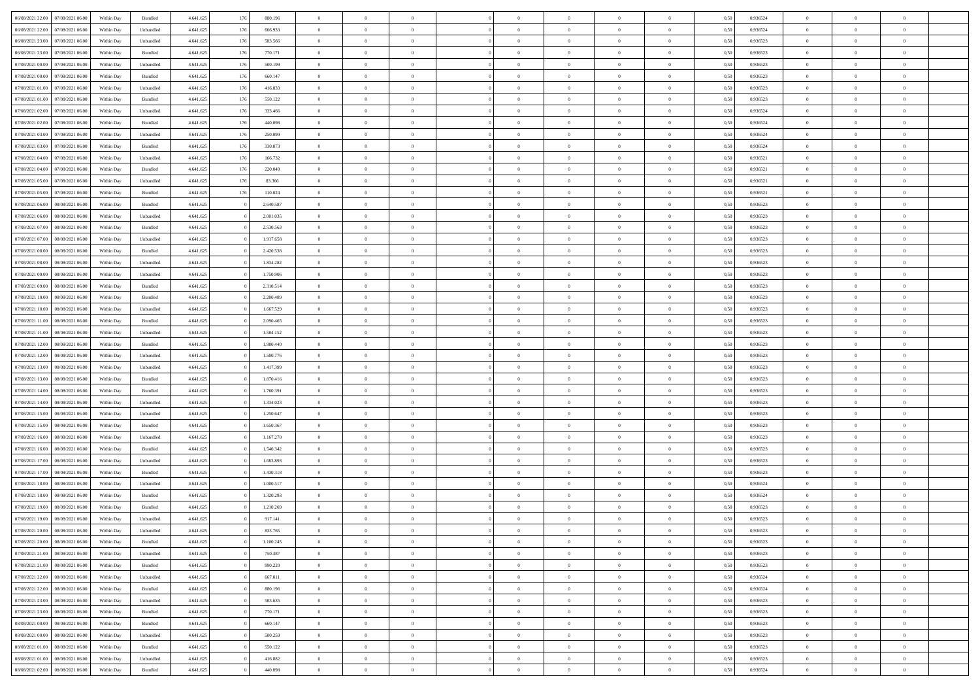| 06/08/2021 22:00 | 07/08/2021 06:00 | Within Day | Bundled   | 4.641.625 | 176 | 880.196   | $\overline{0}$ | $\Omega$       |                | $\Omega$       | $\Omega$       | $\theta$       | $\theta$       | 0.50 | 0,936524 | $\theta$       | $\theta$       | $\theta$       |  |
|------------------|------------------|------------|-----------|-----------|-----|-----------|----------------|----------------|----------------|----------------|----------------|----------------|----------------|------|----------|----------------|----------------|----------------|--|
| 06/08/2021 22:00 | 07/08/2021 06:00 | Within Day | Unbundled | 4.641.625 | 176 | 666.933   | $\overline{0}$ | $\theta$       | $\overline{0}$ | $\overline{0}$ | $\bf{0}$       | $\overline{0}$ | $\bf{0}$       | 0,50 | 0,936524 | $\theta$       | $\overline{0}$ | $\overline{0}$ |  |
| 06/08/2021 23.00 | 07/08/2021 06:00 | Within Day | Unbundled | 4.641.625 | 176 | 583.566   | $\overline{0}$ | $\bf{0}$       | $\overline{0}$ | $\overline{0}$ | $\bf{0}$       | $\overline{0}$ | $\mathbf{0}$   | 0,50 | 0,936523 | $\bf{0}$       | $\overline{0}$ | $\overline{0}$ |  |
| 06/08/2021 23:00 | 07/08/2021 06:00 | Within Dav | Bundled   | 4.641.625 | 176 | 770.171   | $\overline{0}$ | $\overline{0}$ | $\overline{0}$ | $\overline{0}$ | $\bf{0}$       | $\overline{0}$ | $\overline{0}$ | 0.50 | 0.936523 | $\theta$       | $\theta$       | $\overline{0}$ |  |
|                  |                  |            |           |           |     |           |                |                |                |                |                |                |                |      |          |                |                |                |  |
| 07/08/2021 00:00 | 07/08/2021 06.00 | Within Day | Unbundled | 4.641.625 | 176 | 500.199   | $\overline{0}$ | $\theta$       | $\overline{0}$ | $\overline{0}$ | $\bf{0}$       | $\overline{0}$ | $\bf{0}$       | 0,50 | 0,936523 | $\theta$       | $\overline{0}$ | $\overline{0}$ |  |
| 07/08/2021 00:00 | 07/08/2021 06:00 | Within Day | Bundled   | 4.641.625 | 176 | 660.147   | $\overline{0}$ | $\overline{0}$ | $\overline{0}$ | $\overline{0}$ | $\overline{0}$ | $\overline{0}$ | $\mathbf{0}$   | 0,50 | 0,936523 | $\bf{0}$       | $\overline{0}$ | $\bf{0}$       |  |
| 07/08/2021 01:00 | 07/08/2021 06:00 | Within Dav | Unbundled | 4.641.625 | 176 | 416.833   | $\overline{0}$ | $\overline{0}$ | $\overline{0}$ | $\overline{0}$ | $\overline{0}$ | $\overline{0}$ | $\overline{0}$ | 0.50 | 0.936523 | $\theta$       | $\overline{0}$ | $\overline{0}$ |  |
| 07/08/2021 01:00 | 07/08/2021 06:00 | Within Day | Bundled   | 4.641.625 | 176 | 550.122   | $\overline{0}$ | $\theta$       | $\overline{0}$ | $\overline{0}$ | $\bf{0}$       | $\overline{0}$ | $\bf{0}$       | 0,50 | 0,936523 | $\theta$       | $\theta$       | $\overline{0}$ |  |
| 07/08/2021 02:00 | 07/08/2021 06:00 | Within Day | Unbundled | 4.641.625 | 176 | 333.466   | $\overline{0}$ | $\overline{0}$ | $\overline{0}$ | $\overline{0}$ | $\bf{0}$       | $\overline{0}$ | $\bf{0}$       | 0,50 | 0,936524 | $\,0\,$        | $\overline{0}$ | $\overline{0}$ |  |
|                  |                  |            |           |           |     |           |                |                |                |                |                |                |                |      |          |                |                |                |  |
| 07/08/2021 02:00 | 07/08/2021 06:00 | Within Dav | Bundled   | 4.641.625 | 176 | 440.098   | $\overline{0}$ | $\overline{0}$ | $\overline{0}$ | $\overline{0}$ | $\overline{0}$ | $\overline{0}$ | $\overline{0}$ | 0.50 | 0,936524 | $\theta$       | $\overline{0}$ | $\overline{0}$ |  |
| 07/08/2021 03:00 | 07/08/2021 06:00 | Within Day | Unbundled | 4.641.625 | 176 | 250.099   | $\overline{0}$ | $\theta$       | $\overline{0}$ | $\overline{0}$ | $\bf{0}$       | $\overline{0}$ | $\bf{0}$       | 0,50 | 0,936524 | $\,$ 0 $\,$    | $\overline{0}$ | $\overline{0}$ |  |
| 07/08/2021 03:00 | 07/08/2021 06:00 | Within Day | Bundled   | 4.641.625 | 176 | 330.073   | $\overline{0}$ | $\bf{0}$       | $\overline{0}$ | $\overline{0}$ | $\bf{0}$       | $\overline{0}$ | $\mathbf{0}$   | 0,50 | 0,936524 | $\bf{0}$       | $\overline{0}$ | $\bf{0}$       |  |
| 07/08/2021 04:00 | 07/08/2021 06:00 | Within Day | Unbundled | 4.641.625 | 176 | 166,732   | $\overline{0}$ | $\overline{0}$ | $\overline{0}$ | $\overline{0}$ | $\bf{0}$       | $\overline{0}$ | $\overline{0}$ | 0.50 | 0,936521 | $\theta$       | $\theta$       | $\overline{0}$ |  |
| 07/08/2021 04:00 | 07/08/2021 06.00 | Within Day | Bundled   | 4.641.625 | 176 | 220.049   | $\overline{0}$ | $\theta$       | $\overline{0}$ | $\overline{0}$ | $\bf{0}$       | $\overline{0}$ | $\bf{0}$       | 0,50 | 0,936521 | $\theta$       | $\overline{0}$ | $\overline{0}$ |  |
|                  |                  |            |           |           |     |           |                |                |                |                |                |                |                |      |          |                |                |                |  |
| 07/08/2021 05:00 | 07/08/2021 06:00 | Within Day | Unbundled | 4.641.625 | 176 | 83.366    | $\overline{0}$ | $\overline{0}$ | $\overline{0}$ | $\overline{0}$ | $\overline{0}$ | $\overline{0}$ | $\mathbf{0}$   | 0,50 | 0,936521 | $\bf{0}$       | $\overline{0}$ | $\bf{0}$       |  |
| 07/08/2021 05:00 | 07/08/2021 06:00 | Within Dav | Bundled   | 4.641.625 | 176 | 110.024   | $\overline{0}$ | $\overline{0}$ | $\overline{0}$ | $\overline{0}$ | $\overline{0}$ | $\overline{0}$ | $\overline{0}$ | 0.50 | 0,936521 | $\theta$       | $\overline{0}$ | $\overline{0}$ |  |
| 07/08/2021 06:00 | 08/08/2021 06:00 | Within Day | Bundled   | 4.641.625 |     | 2.640.587 | $\overline{0}$ | $\theta$       | $\overline{0}$ | $\overline{0}$ | $\bf{0}$       | $\overline{0}$ | $\bf{0}$       | 0,50 | 0,936523 | $\theta$       | $\theta$       | $\overline{0}$ |  |
| 07/08/2021 06:00 | 08/08/2021 06:00 | Within Day | Unbundled | 4.641.625 |     | 2.001.035 | $\overline{0}$ | $\overline{0}$ | $\overline{0}$ | $\bf{0}$       | $\bf{0}$       | $\bf{0}$       | $\mathbf{0}$   | 0,50 | 0,936523 | $\,0\,$        | $\overline{0}$ | $\overline{0}$ |  |
| 07/08/2021 07:00 | 08/08/2021 06:00 | Within Day | Bundled   | 4.641.625 |     | 2.530.563 | $\overline{0}$ | $\overline{0}$ | $\overline{0}$ | $\overline{0}$ | $\overline{0}$ | $\overline{0}$ | $\overline{0}$ | 0.50 | 0.936523 | $\theta$       | $\overline{0}$ | $\overline{0}$ |  |
|                  |                  |            |           |           |     |           |                |                |                |                |                |                |                |      |          |                |                |                |  |
| 07/08/2021 07:00 | 08/08/2021 06:00 | Within Day | Unbundled | 4.641.625 |     | 1.917.658 | $\overline{0}$ | $\theta$       | $\overline{0}$ | $\overline{0}$ | $\bf{0}$       | $\overline{0}$ | $\bf{0}$       | 0,50 | 0,936523 | $\,$ 0 $\,$    | $\overline{0}$ | $\overline{0}$ |  |
| 07/08/2021 08:00 | 08/08/2021 06:00 | Within Day | Bundled   | 4.641.625 |     | 2.420.538 | $\overline{0}$ | $\overline{0}$ | $\overline{0}$ | $\bf{0}$       | $\bf{0}$       | $\bf{0}$       | $\bf{0}$       | 0,50 | 0,936523 | $\,0\,$        | $\overline{0}$ | $\bf{0}$       |  |
| 07/08/2021 08:00 | 08/08/2021 06:00 | Within Day | Unbundled | 4.641.625 |     | 1.834.282 | $\overline{0}$ | $\overline{0}$ | $\overline{0}$ | $\overline{0}$ | $\overline{0}$ | $\overline{0}$ | $\overline{0}$ | 0.50 | 0.936523 | $\theta$       | $\overline{0}$ | $\overline{0}$ |  |
| 07/08/2021 09:00 | 08/08/2021 06:00 | Within Day | Unbundled | 4.641.625 |     | 1.750.906 | $\overline{0}$ | $\theta$       | $\overline{0}$ | $\overline{0}$ | $\bf{0}$       | $\overline{0}$ | $\bf{0}$       | 0,50 | 0,936523 | $\theta$       | $\overline{0}$ | $\overline{0}$ |  |
| 07/08/2021 09:00 | 08/08/2021 06:00 | Within Day | Bundled   | 4.641.625 |     | 2.310.514 | $\overline{0}$ | $\overline{0}$ | $\overline{0}$ | $\bf{0}$       | $\overline{0}$ | $\overline{0}$ | $\mathbf{0}$   | 0,50 | 0,936523 | $\overline{0}$ | $\overline{0}$ | $\bf{0}$       |  |
|                  |                  |            |           |           |     |           |                |                |                |                |                |                |                |      |          |                |                |                |  |
| 07/08/2021 10:00 | 08/08/2021 06:00 | Within Dav | Bundled   | 4.641.625 |     | 2.200.489 | $\overline{0}$ | $\overline{0}$ | $\overline{0}$ | $\overline{0}$ | $\overline{0}$ | $\overline{0}$ | $\overline{0}$ | 0.50 | 0.936523 | $\theta$       | $\overline{0}$ | $\overline{0}$ |  |
| 07/08/2021 10:00 | 08/08/2021 06:00 | Within Day | Unbundled | 4.641.625 |     | 1.667.529 | $\overline{0}$ | $\theta$       | $\overline{0}$ | $\overline{0}$ | $\bf{0}$       | $\overline{0}$ | $\bf{0}$       | 0,50 | 0,936523 | $\theta$       | $\theta$       | $\overline{0}$ |  |
| 07/08/2021 11:00 | 08/08/2021 06:00 | Within Day | Bundled   | 4.641.625 |     | 2.090.465 | $\overline{0}$ | $\overline{0}$ | $\overline{0}$ | $\bf{0}$       | $\bf{0}$       | $\bf{0}$       | $\bf{0}$       | 0,50 | 0,936523 | $\,0\,$        | $\overline{0}$ | $\overline{0}$ |  |
| 07/08/2021 11:00 | 08/08/2021 06:00 | Within Day | Unbundled | 4.641.625 |     | 1.584.152 | $\overline{0}$ | $\overline{0}$ | $\overline{0}$ | $\overline{0}$ | $\overline{0}$ | $\overline{0}$ | $\overline{0}$ | 0.50 | 0.936523 | $\theta$       | $\overline{0}$ | $\overline{0}$ |  |
| 07/08/2021 12:00 | 08/08/2021 06:00 | Within Day | Bundled   | 4.641.625 |     | 1.980.440 | $\overline{0}$ | $\theta$       | $\overline{0}$ | $\overline{0}$ | $\bf{0}$       | $\overline{0}$ | $\bf{0}$       | 0,50 | 0,936523 | $\,$ 0 $\,$    | $\overline{0}$ | $\overline{0}$ |  |
| 07/08/2021 12:00 | 08/08/2021 06:00 | Within Day | Unbundled | 4.641.625 |     | 1.500.776 | $\overline{0}$ | $\overline{0}$ | $\overline{0}$ | $\bf{0}$       | $\bf{0}$       | $\bf{0}$       | $\bf{0}$       | 0,50 | 0,936523 | $\bf{0}$       | $\overline{0}$ | $\bf{0}$       |  |
|                  |                  |            |           |           |     |           |                |                |                |                |                |                |                |      |          |                |                |                |  |
| 07/08/2021 13:00 | 08/08/2021 06:00 | Within Day | Unbundled | 4.641.625 |     | 1.417.399 | $\overline{0}$ | $\Omega$       | $\Omega$       | $\Omega$       | $\Omega$       | $\overline{0}$ | $\overline{0}$ | 0,50 | 0,936523 | $\,0\,$        | $\theta$       | $\theta$       |  |
| 07/08/2021 13:00 | 08/08/2021 06:00 | Within Day | Bundled   | 4.641.625 |     | 1.870.416 | $\overline{0}$ | $\theta$       | $\overline{0}$ | $\overline{0}$ | $\bf{0}$       | $\overline{0}$ | $\bf{0}$       | 0,50 | 0,936523 | $\theta$       | $\overline{0}$ | $\overline{0}$ |  |
| 07/08/2021 14:00 | 08/08/2021 06:00 | Within Day | Bundled   | 4.641.625 |     | 1.760.391 | $\overline{0}$ | $\overline{0}$ | $\overline{0}$ | $\overline{0}$ | $\overline{0}$ | $\overline{0}$ | $\mathbf{0}$   | 0,50 | 0,936523 | $\bf{0}$       | $\overline{0}$ | $\bf{0}$       |  |
| 07/08/2021 14:00 | 08/08/2021 06:00 | Within Day | Unbundled | 4.641.625 |     | 1.334.023 | $\overline{0}$ | $\Omega$       | $\Omega$       | $\Omega$       | $\bf{0}$       | $\overline{0}$ | $\overline{0}$ | 0.50 | 0.936523 | $\,0\,$        | $\theta$       | $\theta$       |  |
| 07/08/2021 15:00 | 08/08/2021 06:00 | Within Day | Unbundled | 4.641.625 |     | 1.250.647 | $\overline{0}$ | $\theta$       | $\overline{0}$ | $\overline{0}$ | $\bf{0}$       | $\overline{0}$ | $\bf{0}$       | 0,50 | 0,936523 | $\theta$       | $\overline{0}$ | $\overline{0}$ |  |
| 07/08/2021 15:00 | 08/08/2021 06:00 | Within Day | Bundled   | 4.641.625 |     | 1.650.367 | $\overline{0}$ | $\overline{0}$ | $\overline{0}$ | $\overline{0}$ | $\bf{0}$       | $\overline{0}$ | $\bf{0}$       | 0,50 | 0,936523 | $\,0\,$        | $\overline{0}$ | $\bf{0}$       |  |
|                  |                  |            |           |           |     |           |                |                |                |                |                |                |                |      |          |                |                |                |  |
| 07/08/2021 16:00 | 08/08/2021 06:00 | Within Day | Unbundled | 4.641.625 |     | 1.167.270 | $\overline{0}$ | $\Omega$       | $\Omega$       | $\Omega$       | $\overline{0}$ | $\overline{0}$ | $\overline{0}$ | 0.50 | 0.936523 | $\,$ 0 $\,$    | $\theta$       | $\theta$       |  |
| 07/08/2021 16:00 | 08/08/2021 06:00 | Within Day | Bundled   | 4.641.625 |     | 1.540.342 | $\overline{0}$ | $\theta$       | $\overline{0}$ | $\overline{0}$ | $\,$ 0         | $\overline{0}$ | $\bf{0}$       | 0,50 | 0,936523 | $\,$ 0 $\,$    | $\overline{0}$ | $\overline{0}$ |  |
| 07/08/2021 17:00 | 08/08/2021 06:00 | Within Day | Unbundled | 4.641.625 |     | 1.083.893 | $\overline{0}$ | $\bf{0}$       | $\overline{0}$ | $\overline{0}$ | $\bf{0}$       | $\overline{0}$ | $\mathbf{0}$   | 0,50 | 0,936523 | $\bf{0}$       | $\overline{0}$ | $\bf{0}$       |  |
| 07/08/2021 17:00 | 08/08/2021 06:00 | Within Day | Bundled   | 4.641.625 |     | 1.430.318 | $\overline{0}$ | $\Omega$       | $\overline{0}$ | $\Omega$       | $\overline{0}$ | $\overline{0}$ | $\overline{0}$ | 0,50 | 0,936523 | $\,0\,$        | $\theta$       | $\theta$       |  |
| 07/08/2021 18:00 | 08/08/2021 06:00 | Within Day | Unbundled | 4.641.625 |     | 1.000.517 | $\overline{0}$ | $\theta$       | $\overline{0}$ | $\overline{0}$ | $\,$ 0         | $\overline{0}$ | $\bf{0}$       | 0,50 | 0,936524 | $\,$ 0 $\,$    | $\overline{0}$ | $\overline{0}$ |  |
| 07/08/2021 18:00 | 08/08/2021 06:00 | Within Day | Bundled   | 4.641.625 |     | 1.320.293 | $\overline{0}$ | $\overline{0}$ | $\overline{0}$ | $\overline{0}$ | $\bf{0}$       | $\overline{0}$ | $\mathbf{0}$   | 0,50 | 0,936524 | $\bf{0}$       | $\overline{0}$ | $\bf{0}$       |  |
|                  |                  |            |           |           |     |           |                |                |                |                |                |                |                |      |          |                |                |                |  |
| 07/08/2021 19:00 | 08/08/2021 06:00 | Within Day | Bundled   | 4.641.625 |     | 1.210.269 | $\overline{0}$ | $\Omega$       | $\Omega$       | $\Omega$       | $\Omega$       | $\Omega$       | $\overline{0}$ | 0.50 | 0.936523 | $\theta$       | $\theta$       | $\theta$       |  |
| 07/08/2021 19:00 | 08/08/2021 06:00 | Within Day | Unbundled | 4.641.625 |     | 917.141   | $\overline{0}$ | $\overline{0}$ | $\overline{0}$ | $\bf{0}$       | $\,$ 0         | $\overline{0}$ | $\bf{0}$       | 0,50 | 0,936523 | $\,0\,$        | $\,$ 0 $\,$    | $\overline{0}$ |  |
| 07/08/2021 20:00 | 08/08/2021 06:00 | Within Day | Unbundled | 4.641.625 |     | 833.765   | $\bf{0}$       | $\bf{0}$       |                |                |                |                |                | 0,50 | 0,936523 | $\bf{0}$       | $\overline{0}$ |                |  |
| 07/08/2021 20:00 | 08/08/2021 06:00 | Within Day | Bundled   | 4.641.625 |     | 1.100.245 | $\overline{0}$ | $\overline{0}$ | $\overline{0}$ | $\Omega$       | $\overline{0}$ | $\overline{0}$ | $\overline{0}$ | 0.50 | 0.936523 | $\theta$       | $\theta$       | $\theta$       |  |
| 07/08/2021 21:00 | 08/08/2021 06:00 | Within Day | Unbundled | 4.641.625 |     | 750.387   | $\overline{0}$ | $\,$ 0         | $\overline{0}$ | $\overline{0}$ | $\,$ 0 $\,$    | $\overline{0}$ | $\,$ 0 $\,$    | 0,50 | 0,936523 | $\,$ 0 $\,$    | $\,$ 0 $\,$    | $\,$ 0         |  |
| 07/08/2021 21:00 | 08/08/2021 06:00 | Within Day | Bundled   | 4.641.625 |     | 990.220   | $\overline{0}$ | $\overline{0}$ | $\overline{0}$ | $\overline{0}$ | $\overline{0}$ | $\overline{0}$ | $\mathbf{0}$   | 0,50 | 0,936523 | $\overline{0}$ | $\bf{0}$       | $\bf{0}$       |  |
|                  |                  |            |           |           |     |           |                |                |                |                |                |                |                |      |          |                |                |                |  |
| 07/08/2021 22:00 | 08/08/2021 06:00 | Within Day | Unbundled | 4.641.625 |     | 667.011   | $\overline{0}$ | $\overline{0}$ | $\overline{0}$ | $\Omega$       | $\overline{0}$ | $\overline{0}$ | $\overline{0}$ | 0,50 | 0,936524 | $\overline{0}$ | $\theta$       | $\overline{0}$ |  |
| 07/08/2021 22.00 | 08/08/2021 06:00 | Within Day | Bundled   | 4.641.625 |     | 880.196   | $\overline{0}$ | $\,$ 0         | $\overline{0}$ | $\bf{0}$       | $\,$ 0 $\,$    | $\overline{0}$ | $\mathbf{0}$   | 0,50 | 0,936524 | $\,$ 0 $\,$    | $\overline{0}$ | $\overline{0}$ |  |
| 07/08/2021 23:00 | 08/08/2021 06:00 | Within Day | Unbundled | 4.641.625 |     | 583.635   | $\overline{0}$ | $\overline{0}$ | $\overline{0}$ | $\overline{0}$ | $\overline{0}$ | $\overline{0}$ | $\mathbf{0}$   | 0,50 | 0,936523 | $\overline{0}$ | $\overline{0}$ | $\bf{0}$       |  |
| 07/08/2021 23:00 | 08/08/2021 06:00 | Within Day | Bundled   | 4.641.625 |     | 770.171   | $\overline{0}$ | $\overline{0}$ | $\overline{0}$ | $\overline{0}$ | $\overline{0}$ | $\overline{0}$ | $\bf{0}$       | 0.50 | 0,936523 | $\overline{0}$ | $\theta$       | $\overline{0}$ |  |
| 08/08/2021 00:00 | 08/08/2021 06:00 | Within Day | Bundled   | 4.641.625 |     | 660.147   | $\overline{0}$ | $\,$ 0         | $\overline{0}$ | $\bf{0}$       | $\bf{0}$       | $\bf{0}$       | $\bf{0}$       | 0,50 | 0,936523 | $\,$ 0 $\,$    | $\overline{0}$ | $\overline{0}$ |  |
|                  |                  |            |           |           |     |           |                |                |                |                |                |                |                |      |          |                |                |                |  |
| 08/08/2021 00:00 | 08/08/2021 06:00 | Within Day | Unbundled | 4.641.625 |     | 500.259   | $\overline{0}$ | $\bf{0}$       | $\overline{0}$ | $\overline{0}$ | $\overline{0}$ | $\overline{0}$ | $\mathbf{0}$   | 0,50 | 0,936523 | $\overline{0}$ | $\overline{0}$ | $\bf{0}$       |  |
| 08/08/2021 01:00 | 08/08/2021 06:00 | Within Day | Bundled   | 4.641.625 |     | 550.122   | $\overline{0}$ | $\overline{0}$ | $\overline{0}$ | $\Omega$       | $\overline{0}$ | $\overline{0}$ | $\overline{0}$ | 0.50 | 0.936523 | $\overline{0}$ | $\overline{0}$ | $\overline{0}$ |  |
| 08/08/2021 01:00 | 08/08/2021 06:00 | Within Day | Unbundled | 4.641.625 |     | 416.882   | $\overline{0}$ | $\bf{0}$       | $\overline{0}$ | $\overline{0}$ | $\bf{0}$       | $\bf{0}$       | $\mathbf{0}$   | 0,50 | 0,936523 | $\,$ 0 $\,$    | $\,$ 0 $\,$    | $\bf{0}$       |  |
| 08/08/2021 02:00 | 08/08/2021 06:00 | Within Day | Bundled   | 4.641.625 |     | 440.098   | $\overline{0}$ | $\bf{0}$       | $\overline{0}$ | $\bf{0}$       | $\bf{0}$       | $\bf{0}$       | $\bf{0}$       | 0,50 | 0,936524 | $\overline{0}$ | $\overline{0}$ | $\bf{0}$       |  |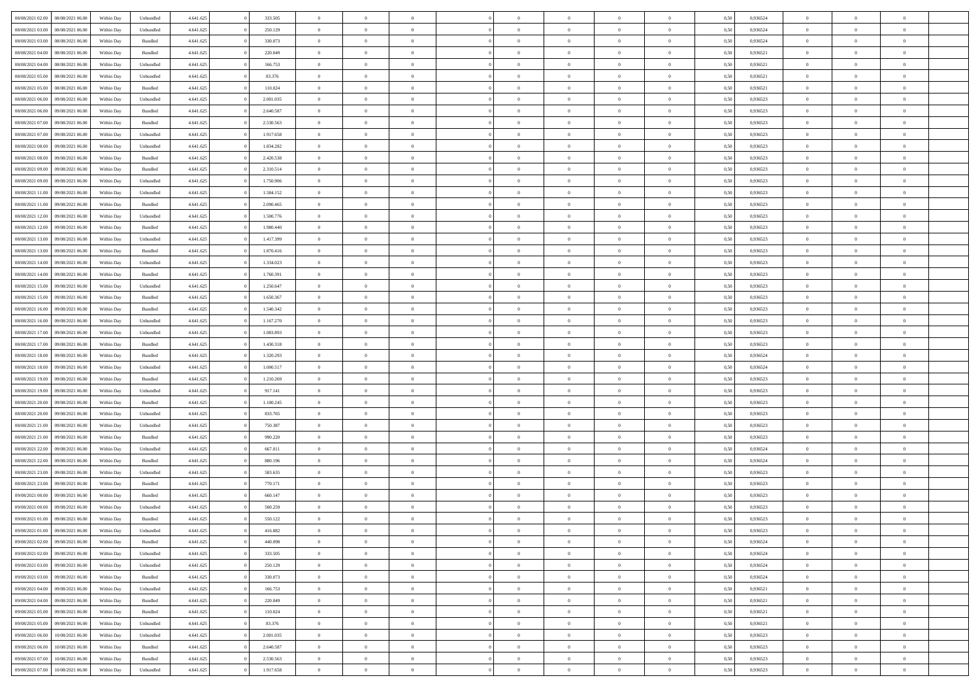| 08/08/2021 02:00                  | 08/08/2021 06:00 | Within Day | Unbundled | 4.641.625 | 333.505   | $\overline{0}$ | $\theta$       |                | $\Omega$       | $\Omega$       | $\theta$       | $\theta$       | 0.50 | 0,936524 | $\theta$       | $\overline{0}$ | $\overline{0}$ |  |
|-----------------------------------|------------------|------------|-----------|-----------|-----------|----------------|----------------|----------------|----------------|----------------|----------------|----------------|------|----------|----------------|----------------|----------------|--|
| 08/08/2021 03:00                  | 08/08/2021 06:00 | Within Day | Unbundled | 4.641.625 | 250.129   | $\overline{0}$ | $\overline{0}$ | $\overline{0}$ | $\overline{0}$ | $\bf{0}$       | $\overline{0}$ | $\bf{0}$       | 0,50 | 0,936524 | $\theta$       | $\overline{0}$ | $\overline{0}$ |  |
| 08/08/2021 03:00                  | 08/08/2021 06:00 | Within Day | Bundled   | 4.641.625 | 330.073   | $\overline{0}$ | $\bf{0}$       | $\overline{0}$ | $\bf{0}$       | $\bf{0}$       | $\bf{0}$       | $\mathbf{0}$   | 0,50 | 0,936524 | $\overline{0}$ | $\overline{0}$ | $\bf{0}$       |  |
| 08/08/2021 04:00                  | 08/08/2021 06:00 | Within Dav | Bundled   | 4.641.625 | 220.049   | $\overline{0}$ | $\overline{0}$ | $\overline{0}$ | $\overline{0}$ | $\bf{0}$       | $\overline{0}$ | $\overline{0}$ | 0.50 | 0.936521 | $\theta$       | $\theta$       | $\overline{0}$ |  |
|                                   |                  |            |           |           |           |                |                |                |                |                |                |                |      |          |                |                |                |  |
| 08/08/2021 04:00                  | 08/08/2021 06:00 | Within Day | Unbundled | 4.641.625 | 166.753   | $\overline{0}$ | $\theta$       | $\overline{0}$ | $\overline{0}$ | $\bf{0}$       | $\overline{0}$ | $\bf{0}$       | 0,50 | 0,936521 | $\theta$       | $\overline{0}$ | $\overline{0}$ |  |
| 08/08/2021 05:00                  | 08/08/2021 06:00 | Within Day | Unbundled | 4.641.625 | 83.376    | $\overline{0}$ | $\overline{0}$ | $\overline{0}$ | $\bf{0}$       | $\overline{0}$ | $\overline{0}$ | $\mathbf{0}$   | 0,50 | 0,936521 | $\overline{0}$ | $\overline{0}$ | $\bf{0}$       |  |
| 08/08/2021 05:00                  | 08/08/2021 06:00 | Within Dav | Bundled   | 4.641.625 | 110.024   | $\overline{0}$ | $\overline{0}$ | $\overline{0}$ | $\overline{0}$ | $\overline{0}$ | $\overline{0}$ | $\overline{0}$ | 0.50 | 0,936521 | $\theta$       | $\overline{0}$ | $\overline{0}$ |  |
| 08/08/2021 06:00                  | 09/08/2021 06:00 | Within Day | Unbundled | 4.641.625 | 2.001.035 | $\overline{0}$ | $\theta$       | $\overline{0}$ | $\overline{0}$ | $\bf{0}$       | $\overline{0}$ | $\bf{0}$       | 0,50 | 0,936523 | $\theta$       | $\theta$       | $\overline{0}$ |  |
|                                   |                  |            |           |           |           |                |                |                |                |                |                |                |      |          |                |                |                |  |
| 08/08/2021 06:00                  | 09/08/2021 06:00 | Within Day | Bundled   | 4.641.625 | 2.640.587 | $\overline{0}$ | $\overline{0}$ | $\overline{0}$ | $\bf{0}$       | $\bf{0}$       | $\bf{0}$       | $\bf{0}$       | 0,50 | 0,936523 | $\,0\,$        | $\overline{0}$ | $\overline{0}$ |  |
| 08/08/2021 07:00                  | 09/08/2021 06:00 | Within Dav | Bundled   | 4.641.625 | 2.530.563 | $\overline{0}$ | $\overline{0}$ | $\overline{0}$ | $\overline{0}$ | $\overline{0}$ | $\overline{0}$ | $\overline{0}$ | 0.50 | 0.936523 | $\theta$       | $\overline{0}$ | $\overline{0}$ |  |
| 08/08/2021 07:00                  | 09/08/2021 06:00 | Within Day | Unbundled | 4.641.625 | 1.917.658 | $\overline{0}$ | $\theta$       | $\overline{0}$ | $\overline{0}$ | $\bf{0}$       | $\overline{0}$ | $\bf{0}$       | 0,50 | 0,936523 | $\,$ 0 $\,$    | $\overline{0}$ | $\overline{0}$ |  |
| 08/08/2021 08:00                  | 09/08/2021 06:00 | Within Day | Unbundled | 4.641.625 | 1.834.282 | $\overline{0}$ | $\bf{0}$       | $\overline{0}$ | $\bf{0}$       | $\bf{0}$       | $\bf{0}$       | $\mathbf{0}$   | 0,50 | 0,936523 | $\overline{0}$ | $\overline{0}$ | $\bf{0}$       |  |
| 08/08/2021 08:00                  | 09/08/2021 06:00 | Within Day | Bundled   | 4.641.625 | 2.420.538 | $\overline{0}$ | $\overline{0}$ | $\overline{0}$ | $\overline{0}$ | $\bf{0}$       | $\overline{0}$ | $\overline{0}$ | 0.50 | 0.936523 | $\theta$       | $\theta$       | $\overline{0}$ |  |
|                                   |                  |            |           |           |           |                |                |                |                |                |                |                |      |          |                |                |                |  |
| 08/08/2021 09:00                  | 09/08/2021 06:00 | Within Day | Bundled   | 4.641.625 | 2.310.514 | $\overline{0}$ | $\theta$       | $\overline{0}$ | $\overline{0}$ | $\bf{0}$       | $\overline{0}$ | $\bf{0}$       | 0,50 | 0,936523 | $\theta$       | $\overline{0}$ | $\overline{0}$ |  |
| 08/08/2021 09:00                  | 09/08/2021 06:00 | Within Day | Unbundled | 4.641.625 | 1.750.906 | $\overline{0}$ | $\overline{0}$ | $\overline{0}$ | $\bf{0}$       | $\overline{0}$ | $\overline{0}$ | $\mathbf{0}$   | 0,50 | 0,936523 | $\overline{0}$ | $\overline{0}$ | $\bf{0}$       |  |
| 08/08/2021 11:00                  | 09/08/2021 06:00 | Within Dav | Unbundled | 4.641.625 | 1.584.152 | $\overline{0}$ | $\overline{0}$ | $\overline{0}$ | $\overline{0}$ | $\overline{0}$ | $\overline{0}$ | $\overline{0}$ | 0.50 | 0.936523 | $\theta$       | $\overline{0}$ | $\overline{0}$ |  |
| 08/08/2021 11:00                  | 09/08/2021 06:00 | Within Day | Bundled   | 4.641.625 | 2.090.465 | $\overline{0}$ | $\theta$       | $\overline{0}$ | $\overline{0}$ | $\bf{0}$       | $\overline{0}$ | $\bf{0}$       | 0,50 | 0,936523 | $\theta$       | $\theta$       | $\overline{0}$ |  |
|                                   |                  |            |           |           |           |                |                |                |                |                |                |                |      |          |                |                |                |  |
| 08/08/2021 12:00                  | 09/08/2021 06:00 | Within Day | Unbundled | 4.641.625 | 1.500.776 | $\overline{0}$ | $\overline{0}$ | $\overline{0}$ | $\bf{0}$       | $\bf{0}$       | $\bf{0}$       | $\bf{0}$       | 0,50 | 0,936523 | $\,0\,$        | $\overline{0}$ | $\overline{0}$ |  |
| 08/08/2021 12:00                  | 09/08/2021 06:00 | Within Day | Bundled   | 4.641.625 | 1.980.440 | $\overline{0}$ | $\overline{0}$ | $\overline{0}$ | $\overline{0}$ | $\overline{0}$ | $\overline{0}$ | $\overline{0}$ | 0.50 | 0.936523 | $\theta$       | $\overline{0}$ | $\overline{0}$ |  |
| 08/08/2021 13:00                  | 09/08/2021 06:00 | Within Day | Unbundled | 4.641.625 | 1.417.399 | $\overline{0}$ | $\theta$       | $\overline{0}$ | $\overline{0}$ | $\bf{0}$       | $\overline{0}$ | $\bf{0}$       | 0,50 | 0,936523 | $\,$ 0 $\,$    | $\overline{0}$ | $\overline{0}$ |  |
| 08/08/2021 13:00                  | 09/08/2021 06:00 | Within Day | Bundled   | 4.641.625 | 1.870.416 | $\overline{0}$ | $\overline{0}$ | $\overline{0}$ | $\bf{0}$       | $\bf{0}$       | $\bf{0}$       | $\bf{0}$       | 0,50 | 0,936523 | $\bf{0}$       | $\overline{0}$ | $\bf{0}$       |  |
| 08/08/2021 14:00                  | 09/08/2021 06:00 | Within Day | Unbundled | 4.641.625 | 1.334.023 | $\overline{0}$ | $\overline{0}$ | $\overline{0}$ | $\overline{0}$ | $\bf{0}$       | $\overline{0}$ | $\overline{0}$ | 0.50 | 0.936523 | $\theta$       | $\overline{0}$ | $\overline{0}$ |  |
|                                   |                  |            |           |           |           |                |                |                |                |                |                |                |      |          |                |                |                |  |
| 08/08/2021 14:00                  | 09/08/2021 06:00 | Within Day | Bundled   | 4.641.625 | 1.760.391 | $\overline{0}$ | $\theta$       | $\overline{0}$ | $\overline{0}$ | $\bf{0}$       | $\overline{0}$ | $\bf{0}$       | 0,50 | 0,936523 | $\theta$       | $\overline{0}$ | $\overline{0}$ |  |
| 08/08/2021 15:00                  | 09/08/2021 06:00 | Within Day | Unbundled | 4.641.625 | 1.250.647 | $\overline{0}$ | $\overline{0}$ | $\overline{0}$ | $\bf{0}$       | $\overline{0}$ | $\overline{0}$ | $\mathbf{0}$   | 0,50 | 0,936523 | $\overline{0}$ | $\overline{0}$ | $\bf{0}$       |  |
| 08/08/2021 15:00                  | 09/08/2021 06:00 | Within Dav | Bundled   | 4.641.625 | 1.650.367 | $\overline{0}$ | $\overline{0}$ | $\overline{0}$ | $\overline{0}$ | $\overline{0}$ | $\overline{0}$ | $\overline{0}$ | 0.50 | 0.936523 | $\theta$       | $\overline{0}$ | $\overline{0}$ |  |
| 08/08/2021 16:00                  | 09/08/2021 06:00 | Within Day | Bundled   | 4.641.625 | 1.540.342 | $\overline{0}$ | $\theta$       | $\overline{0}$ | $\overline{0}$ | $\bf{0}$       | $\overline{0}$ | $\bf{0}$       | 0,50 | 0,936523 | $\theta$       | $\theta$       | $\overline{0}$ |  |
| 08/08/2021 16:00                  | 09/08/2021 06:00 | Within Day | Unbundled | 4.641.625 | 1.167.270 | $\overline{0}$ | $\overline{0}$ | $\overline{0}$ | $\bf{0}$       | $\bf{0}$       | $\bf{0}$       | $\bf{0}$       | 0,50 | 0,936523 | $\,0\,$        | $\overline{0}$ | $\overline{0}$ |  |
|                                   |                  |            |           |           |           |                |                |                |                |                |                |                |      |          |                |                |                |  |
| 08/08/2021 17:00                  | 09/08/2021 06:00 | Within Day | Unbundled | 4.641.625 | 1.083.893 | $\overline{0}$ | $\overline{0}$ | $\overline{0}$ | $\overline{0}$ | $\overline{0}$ | $\overline{0}$ | $\overline{0}$ | 0.50 | 0.936523 | $\theta$       | $\overline{0}$ | $\overline{0}$ |  |
| 08/08/2021 17:00                  | 09/08/2021 06:00 | Within Day | Bundled   | 4.641.625 | 1.430.318 | $\overline{0}$ | $\theta$       | $\overline{0}$ | $\overline{0}$ | $\bf{0}$       | $\overline{0}$ | $\bf{0}$       | 0,50 | 0,936523 | $\,$ 0 $\,$    | $\overline{0}$ | $\overline{0}$ |  |
| 08/08/2021 18:00                  | 09/08/2021 06:00 | Within Day | Bundled   | 4.641.625 | 1.320.293 | $\overline{0}$ | $\overline{0}$ | $\overline{0}$ | $\bf{0}$       | $\bf{0}$       | $\bf{0}$       | $\bf{0}$       | 0,50 | 0,936524 | $\overline{0}$ | $\overline{0}$ | $\bf{0}$       |  |
| 08/08/2021 18:00                  | 09/08/2021 06:00 | Within Day | Unbundled | 4.641.625 | 1.000.517 | $\overline{0}$ | $\Omega$       | $\Omega$       | $\Omega$       | $\Omega$       | $\overline{0}$ | $\overline{0}$ | 0,50 | 0,936524 | $\,0\,$        | $\theta$       | $\theta$       |  |
| 08/08/2021 19:00                  | 09/08/2021 06:00 |            |           | 4.641.625 | 1.210.269 | $\overline{0}$ | $\theta$       | $\overline{0}$ | $\overline{0}$ | $\bf{0}$       | $\overline{0}$ |                |      | 0,936523 | $\theta$       | $\overline{0}$ | $\overline{0}$ |  |
|                                   |                  | Within Day | Bundled   |           |           |                |                |                |                |                |                | $\bf{0}$       | 0,50 |          |                |                |                |  |
| 08/08/2021 19:00                  | 09/08/2021 06:00 | Within Day | Unbundled | 4.641.625 | 917.141   | $\overline{0}$ | $\overline{0}$ | $\overline{0}$ | $\bf{0}$       | $\overline{0}$ | $\overline{0}$ | $\mathbf{0}$   | 0,50 | 0,936523 | $\overline{0}$ | $\overline{0}$ | $\bf{0}$       |  |
| 08/08/2021 20:00                  | 09/08/2021 06:00 | Within Day | Bundled   | 4.641.625 | 1.100.245 | $\overline{0}$ | $\Omega$       | $\Omega$       | $\Omega$       | $\bf{0}$       | $\overline{0}$ | $\overline{0}$ | 0.50 | 0.936523 | $\,0\,$        | $\theta$       | $\theta$       |  |
| 08/08/2021 20:00                  | 09/08/2021 06:00 | Within Day | Unbundled | 4.641.625 | 833.765   | $\overline{0}$ | $\theta$       | $\overline{0}$ | $\overline{0}$ | $\bf{0}$       | $\overline{0}$ | $\bf{0}$       | 0,50 | 0,936523 | $\theta$       | $\overline{0}$ | $\overline{0}$ |  |
| 08/08/2021 21:00                  | 09/08/2021 06:00 | Within Day | Unbundled | 4.641.625 | 750.387   | $\overline{0}$ | $\overline{0}$ | $\overline{0}$ | $\bf{0}$       | $\bf{0}$       | $\bf{0}$       | $\bf{0}$       | 0,50 | 0,936523 | $\bf{0}$       | $\overline{0}$ | $\bf{0}$       |  |
|                                   |                  |            |           |           |           |                | $\Omega$       |                |                | $\theta$       |                |                |      |          | $\theta$       |                | $\theta$       |  |
| 08/08/2021 21:00                  | 09/08/2021 06:00 | Within Day | Bundled   | 4.641.625 | 990.220   | $\overline{0}$ |                | $\Omega$       | $\Omega$       |                | $\overline{0}$ | $\overline{0}$ | 0.50 | 0.936523 |                | $\theta$       |                |  |
| 08/08/2021 22:00                  | 09/08/2021 06:00 | Within Day | Unbundled | 4.641.625 | 667.011   | $\overline{0}$ | $\overline{0}$ | $\overline{0}$ | $\overline{0}$ | $\bf{0}$       | $\overline{0}$ | $\bf{0}$       | 0,50 | 0,936524 | $\,$ 0 $\,$    | $\overline{0}$ | $\overline{0}$ |  |
| 08/08/2021 22.00                  | 09/08/2021 06:00 | Within Day | Bundled   | 4.641.625 | 880.196   | $\overline{0}$ | $\overline{0}$ | $\overline{0}$ | $\bf{0}$       | $\bf{0}$       | $\bf{0}$       | $\mathbf{0}$   | 0,50 | 0,936524 | $\bf{0}$       | $\overline{0}$ | $\bf{0}$       |  |
| 08/08/2021 23:00                  | 09/08/2021 06:00 | Within Day | Unbundled | 4.641.625 | 583.635   | $\overline{0}$ | $\Omega$       | $\Omega$       | $\Omega$       | $\overline{0}$ | $\overline{0}$ | $\overline{0}$ | 0,50 | 0,936523 | $\,0\,$        | $\theta$       | $\theta$       |  |
| 08/08/2021 23:00                  | 09/08/2021 06:00 | Within Day | Bundled   | 4.641.625 | 770.171   | $\overline{0}$ | $\overline{0}$ | $\overline{0}$ | $\overline{0}$ | $\,$ 0         | $\overline{0}$ | $\bf{0}$       | 0,50 | 0,936523 | $\,$ 0 $\,$    | $\overline{0}$ | $\overline{0}$ |  |
|                                   |                  |            |           |           |           |                |                |                |                |                |                |                |      |          |                |                |                |  |
| 09/08/2021 00:00                  | 09/08/2021 06:00 | Within Day | Bundled   | 4.641.625 | 660.147   | $\overline{0}$ | $\overline{0}$ | $\overline{0}$ | $\bf{0}$       | $\bf{0}$       | $\bf{0}$       | $\mathbf{0}$   | 0,50 | 0,936523 | $\bf{0}$       | $\overline{0}$ | $\bf{0}$       |  |
| 09/08/2021 00:00                  | 09/08/2021 06:00 | Within Day | Unbundled | 4.641.625 | 500.259   | $\overline{0}$ | $\Omega$       | $\Omega$       | $\Omega$       | $\Omega$       | $\Omega$       | $\overline{0}$ | 0.50 | 0.936523 | $\theta$       | $\theta$       | $\theta$       |  |
| 09/08/2021 01:00                  | 09/08/2021 06:00 | Within Day | Bundled   | 4.641.625 | 550.122   | $\overline{0}$ | $\overline{0}$ | $\overline{0}$ | $\bf{0}$       | $\,$ 0         | $\bf{0}$       | $\bf{0}$       | 0,50 | 0,936523 | $\,0\,$        | $\,$ 0 $\,$    | $\overline{0}$ |  |
| 09/08/2021 01:00 09/08/2021 06:00 |                  | Within Day | Unbundled | 4.641.625 | 416.882   | $\bf{0}$       | $\bf{0}$       |                |                | $\bf{0}$       |                |                | 0,50 | 0,936523 | $\bf{0}$       | $\overline{0}$ |                |  |
| 09/08/2021 02:00                  | 09/08/2021 06:00 | Within Day | Bundled   | 4.641.625 | 440 098   | $\overline{0}$ | $\overline{0}$ | $\overline{0}$ | $\Omega$       | $\overline{0}$ | $\overline{0}$ | $\overline{0}$ | 0.50 | 0.936524 | $\theta$       | $\theta$       | $\theta$       |  |
|                                   |                  |            |           |           |           |                |                |                |                |                |                |                |      |          |                |                |                |  |
| 09/08/2021 02:00                  | 09/08/2021 06:00 | Within Day | Unbundled | 4.641.625 | 333.505   | $\overline{0}$ | $\,$ 0         | $\overline{0}$ | $\bf{0}$       | $\,$ 0 $\,$    | $\overline{0}$ | $\,$ 0 $\,$    | 0,50 | 0,936524 | $\,$ 0 $\,$    | $\,$ 0 $\,$    | $\,$ 0         |  |
| 09/08/2021 03:00                  | 09/08/2021 06:00 | Within Day | Unbundled | 4.641.625 | 250.129   | $\overline{0}$ | $\overline{0}$ | $\overline{0}$ | $\overline{0}$ | $\overline{0}$ | $\overline{0}$ | $\mathbf{0}$   | 0,50 | 0,936524 | $\overline{0}$ | $\bf{0}$       | $\bf{0}$       |  |
| 09/08/2021 03:00                  | 09/08/2021 06:00 | Within Day | Bundled   | 4.641.625 | 330.073   | $\overline{0}$ | $\overline{0}$ | $\overline{0}$ | $\Omega$       | $\overline{0}$ | $\overline{0}$ | $\overline{0}$ | 0,50 | 0,936524 | $\overline{0}$ | $\theta$       | $\overline{0}$ |  |
| 09/08/2021 04:00                  | 09/08/2021 06:00 | Within Day | Unbundled | 4.641.625 | 166.753   | $\overline{0}$ | $\,$ 0         | $\overline{0}$ | $\overline{0}$ | $\,$ 0 $\,$    | $\overline{0}$ | $\mathbf{0}$   | 0,50 | 0,936521 | $\,$ 0 $\,$    | $\overline{0}$ | $\overline{0}$ |  |
| 09/08/2021 04:00                  | 09/08/2021 06:00 | Within Day | Bundled   | 4.641.625 | 220.049   | $\overline{0}$ | $\overline{0}$ | $\overline{0}$ | $\overline{0}$ | $\overline{0}$ | $\overline{0}$ | $\mathbf{0}$   | 0,50 | 0,936521 | $\overline{0}$ | $\overline{0}$ | $\bf{0}$       |  |
|                                   |                  |            |           |           |           |                |                |                |                |                |                |                |      |          |                |                |                |  |
| 09/08/2021 05:00                  | 09/08/2021 06:00 | Within Day | Bundled   | 4.641.625 | 110.024   | $\overline{0}$ | $\overline{0}$ | $\overline{0}$ | $\Omega$       | $\overline{0}$ | $\overline{0}$ | $\bf{0}$       | 0.50 | 0,936521 | $\overline{0}$ | $\theta$       | $\overline{0}$ |  |
| 09/08/2021 05:00                  | 09/08/2021 06:00 | Within Day | Unbundled | 4.641.625 | 83.376    | $\overline{0}$ | $\,$ 0         | $\overline{0}$ | $\bf{0}$       | $\bf{0}$       | $\bf{0}$       | $\bf{0}$       | 0,50 | 0,936521 | $\,$ 0 $\,$    | $\overline{0}$ | $\overline{0}$ |  |
| 09/08/2021 06:00                  | 10/08/2021 06:00 | Within Day | Unbundled | 4.641.625 | 2.001.035 | $\overline{0}$ | $\bf{0}$       | $\overline{0}$ | $\overline{0}$ | $\overline{0}$ | $\overline{0}$ | $\mathbf{0}$   | 0,50 | 0,936523 | $\overline{0}$ | $\overline{0}$ | $\bf{0}$       |  |
| 09/08/2021 06:00                  | 10/08/2021 06:00 | Within Day | Bundled   | 4.641.625 | 2.640.587 | $\overline{0}$ | $\overline{0}$ | $\overline{0}$ | $\Omega$       | $\overline{0}$ | $\overline{0}$ | $\overline{0}$ | 0.50 | 0.936523 | $\overline{0}$ | $\overline{0}$ | $\overline{0}$ |  |
|                                   |                  |            |           |           |           |                | $\bf{0}$       |                | $\overline{0}$ |                |                |                |      |          | $\,$ 0 $\,$    | $\,$ 0 $\,$    |                |  |
| 09/08/2021 07:00                  | 10/08/2021 06:00 | Within Day | Bundled   | 4.641.625 | 2.530.563 | $\overline{0}$ |                | $\overline{0}$ |                | $\bf{0}$       | $\bf{0}$       | $\bf{0}$       | 0,50 | 0,936523 |                |                | $\bf{0}$       |  |
| 09/08/2021 07:00                  | 10/08/2021 06:00 | Within Day | Unbundled | 4.641.625 | 1.917.658 | $\overline{0}$ | $\bf{0}$       | $\overline{0}$ | $\bf{0}$       | $\bf{0}$       | $\bf{0}$       | $\bf{0}$       | 0,50 | 0,936523 | $\overline{0}$ | $\overline{0}$ | $\bf{0}$       |  |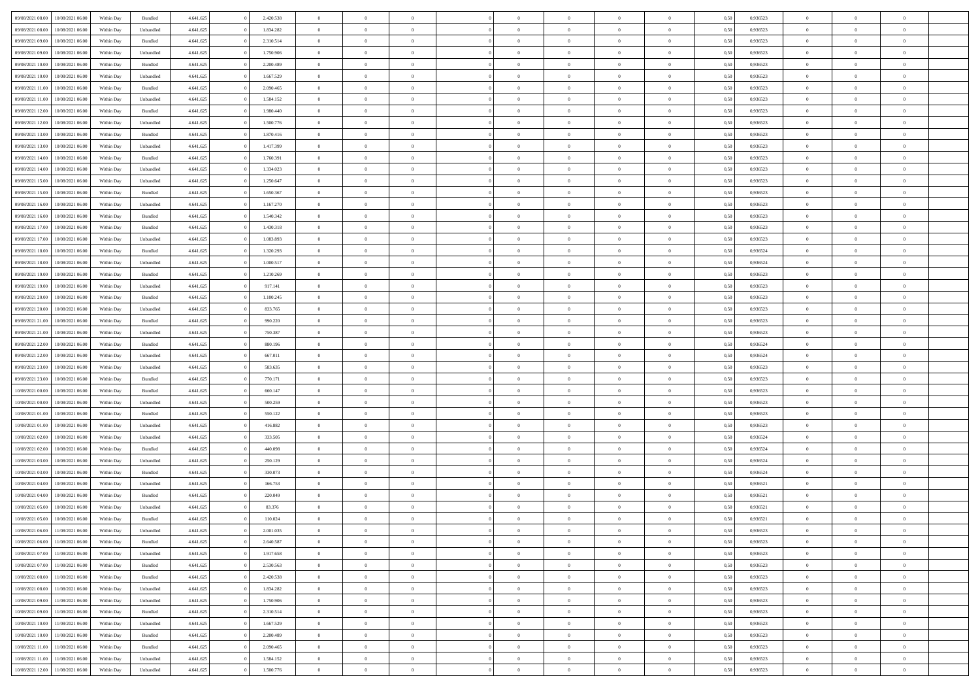| 09/08/2021 08:00                  | 10/08/2021 06:00 | Within Day | Bundled                     | 4.641.625 | 2.420.538 | $\overline{0}$ | $\theta$       |                | $\overline{0}$ | $\bf{0}$       | $\overline{0}$ | $\theta$       | 0,50 | 0,936523 | $\theta$       | $\theta$       | $\theta$       |  |
|-----------------------------------|------------------|------------|-----------------------------|-----------|-----------|----------------|----------------|----------------|----------------|----------------|----------------|----------------|------|----------|----------------|----------------|----------------|--|
| 09/08/2021 08:00                  | 10/08/2021 06:00 | Within Day | Unbundled                   | 4.641.625 | 1.834.282 | $\overline{0}$ | $\overline{0}$ | $\overline{0}$ | $\overline{0}$ | $\bf{0}$       | $\bf{0}$       | $\bf{0}$       | 0,50 | 0,936523 | $\,$ 0 $\,$    | $\overline{0}$ | $\overline{0}$ |  |
|                                   |                  |            |                             |           |           |                |                |                |                |                |                |                |      |          |                |                |                |  |
| 09/08/2021 09:00                  | 10/08/2021 06:00 | Within Day | Bundled                     | 4.641.625 | 2.310.514 | $\overline{0}$ | $\overline{0}$ | $\overline{0}$ | $\overline{0}$ | $\bf{0}$       | $\overline{0}$ | $\mathbf{0}$   | 0.50 | 0.936523 | $\overline{0}$ | $\,$ 0 $\,$    | $\bf{0}$       |  |
| 09/08/2021 09:00                  | 10/08/2021 06:00 | Within Day | Unbundled                   | 4.641.625 | 1.750.906 | $\overline{0}$ | $\overline{0}$ | $\overline{0}$ | $\overline{0}$ | $\,0\,$        | $\overline{0}$ | $\overline{0}$ | 0,50 | 0,936523 | $\,$ 0 $\,$    | $\overline{0}$ | $\overline{0}$ |  |
| 09/08/2021 10:00                  | 10/08/2021 06:00 | Within Day | Bundled                     | 4.641.625 | 2.200.489 | $\overline{0}$ | $\overline{0}$ | $\overline{0}$ | $\overline{0}$ | $\,$ 0         | $\overline{0}$ | $\bf{0}$       | 0,50 | 0,936523 | $\,$ 0 $\,$    | $\overline{0}$ | $\overline{0}$ |  |
| 09/08/2021 10:00                  | 10/08/2021 06:00 | Within Day | Unbundled                   | 4.641.625 | 1.667.529 | $\overline{0}$ | $\overline{0}$ | $\overline{0}$ | $\overline{0}$ | $\bf{0}$       | $\overline{0}$ | $\bf{0}$       | 0.50 | 0.936523 | $\,0\,$        | $\overline{0}$ | $\overline{0}$ |  |
| 09/08/2021 11:00                  | 10/08/2021 06:00 | Within Day | Bundled                     | 4.641.625 | 2.090.465 | $\overline{0}$ | $\overline{0}$ | $\overline{0}$ | $\overline{0}$ | $\bf{0}$       | $\overline{0}$ | $\bf{0}$       | 0,50 | 0,936523 | $\,$ 0 $\,$    | $\overline{0}$ | $\overline{0}$ |  |
| 09/08/2021 11:00                  | 10/08/2021 06:00 | Within Day | Unbundled                   | 4.641.625 | 1.584.152 | $\overline{0}$ | $\overline{0}$ | $\overline{0}$ | $\overline{0}$ | $\,$ 0         | $\bf{0}$       | $\bf{0}$       | 0,50 | 0,936523 | $\,$ 0 $\,$    | $\overline{0}$ | $\overline{0}$ |  |
| 09/08/2021 12:00                  | 10/08/2021 06:00 | Within Day | Bundled                     | 4.641.625 | 1.980.440 | $\overline{0}$ | $\overline{0}$ | $\overline{0}$ | $\overline{0}$ | $\bf{0}$       | $\overline{0}$ | $\bf{0}$       | 0.50 | 0.936523 | $\bf{0}$       | $\overline{0}$ | $\bf{0}$       |  |
| 09/08/2021 12:00                  | 10/08/2021 06:00 | Within Day | Unbundled                   | 4.641.625 | 1.500.776 | $\overline{0}$ | $\overline{0}$ | $\overline{0}$ | $\overline{0}$ | $\bf{0}$       | $\overline{0}$ | $\bf{0}$       | 0,50 | 0,936523 | $\,$ 0 $\,$    | $\overline{0}$ | $\overline{0}$ |  |
| 09/08/2021 13:00                  | 10/08/2021 06:00 | Within Day | Bundled                     | 4.641.625 | 1.870.416 | $\bf{0}$       | $\overline{0}$ | $\overline{0}$ | $\overline{0}$ | $\bf{0}$       | $\bf{0}$       | $\bf{0}$       | 0,50 | 0,936523 | $\,$ 0 $\,$    | $\overline{0}$ | $\overline{0}$ |  |
| 09/08/2021 13:00                  | 10/08/2021 06:00 | Within Day | Unbundled                   | 4.641.625 | 1.417.399 | $\overline{0}$ | $\overline{0}$ | $\overline{0}$ | $\overline{0}$ | $\bf{0}$       | $\overline{0}$ | $\mathbf{0}$   | 0.50 | 0.936523 | $\overline{0}$ | $\,$ 0 $\,$    | $\bf{0}$       |  |
|                                   |                  |            |                             |           |           | $\overline{0}$ | $\overline{0}$ | $\overline{0}$ | $\overline{0}$ | $\bf{0}$       | $\overline{0}$ | $\overline{0}$ |      |          | $\,$ 0 $\,$    | $\overline{0}$ |                |  |
| 09/08/2021 14:00                  | 10/08/2021 06:00 | Within Day | Bundled                     | 4.641.625 | 1.760.391 |                |                |                |                |                |                |                | 0,50 | 0,936523 |                |                | $\overline{0}$ |  |
| 09/08/2021 14:00                  | 10/08/2021 06:00 | Within Day | Unbundled                   | 4.641.625 | 1.334.023 | $\overline{0}$ | $\theta$       | $\overline{0}$ | $\overline{0}$ | $\,$ 0         | $\bf{0}$       | $\bf{0}$       | 0,50 | 0,936523 | $\,$ 0 $\,$    | $\overline{0}$ | $\overline{0}$ |  |
| 09/08/2021 15:00                  | 10/08/2021 06:00 | Within Day | Unbundled                   | 4.641.625 | 1.250.647 | $\overline{0}$ | $\overline{0}$ | $\overline{0}$ | $\overline{0}$ | $\bf{0}$       | $\overline{0}$ | $\bf{0}$       | 0.50 | 0.936523 | $\,0\,$        | $\overline{0}$ | $\overline{0}$ |  |
| 09/08/2021 15:00                  | 10/08/2021 06:00 | Within Day | Bundled                     | 4.641.625 | 1.650.367 | $\overline{0}$ | $\overline{0}$ | $\overline{0}$ | $\overline{0}$ | $\bf{0}$       | $\overline{0}$ | $\bf{0}$       | 0,50 | 0,936523 | $\,$ 0 $\,$    | $\theta$       | $\overline{0}$ |  |
| 09/08/2021 16:00                  | 10/08/2021 06:00 | Within Day | Unbundled                   | 4.641.625 | 1.167.270 | $\overline{0}$ | $\overline{0}$ | $\overline{0}$ | $\overline{0}$ | $\,$ 0         | $\bf{0}$       | $\bf{0}$       | 0,50 | 0,936523 | $\,$ 0 $\,$    | $\overline{0}$ | $\overline{0}$ |  |
| 09/08/2021 16:00                  | 10/08/2021 06:00 | Within Day | Bundled                     | 4.641.625 | 1.540.342 | $\overline{0}$ | $\overline{0}$ | $\overline{0}$ | $\overline{0}$ | $\bf{0}$       | $\overline{0}$ | $\mathbf{0}$   | 0.50 | 0.936523 | $\bf{0}$       | $\overline{0}$ | $\bf{0}$       |  |
| 09/08/2021 17:00                  | 10/08/2021 06:00 | Within Day | Bundled                     | 4.641.625 | 1.430.318 | $\overline{0}$ | $\overline{0}$ | $\overline{0}$ | $\overline{0}$ | $\bf{0}$       | $\overline{0}$ | $\bf{0}$       | 0,50 | 0,936523 | $\,$ 0 $\,$    | $\overline{0}$ | $\overline{0}$ |  |
| 09/08/2021 17:00                  | 10/08/2021 06:00 | Within Day | Unbundled                   | 4.641.625 | 1.083.893 | $\bf{0}$       | $\overline{0}$ | $\overline{0}$ | $\overline{0}$ | $\bf{0}$       | $\bf{0}$       | $\bf{0}$       | 0,50 | 0,936523 | $\,$ 0 $\,$    | $\overline{0}$ | $\overline{0}$ |  |
| 09/08/2021 18:00                  | 10/08/2021 06:00 | Within Day | $\mathbf B$ undled          | 4.641.625 | 1.320.293 | $\overline{0}$ | $\overline{0}$ | $\overline{0}$ | $\overline{0}$ | $\bf{0}$       | $\overline{0}$ | $\mathbf{0}$   | 0.50 | 0.936524 | $\overline{0}$ | $\,$ 0 $\,$    | $\overline{0}$ |  |
| 09/08/2021 18:00                  | 10/08/2021 06:00 | Within Day | Unbundled                   | 4.641.625 | 1.000.517 | $\overline{0}$ | $\overline{0}$ | $\overline{0}$ | $\overline{0}$ | $\,0\,$        | $\overline{0}$ | $\overline{0}$ | 0,50 | 0,936524 | $\,$ 0 $\,$    | $\overline{0}$ | $\overline{0}$ |  |
| 09/08/2021 19:00                  | 10/08/2021 06:00 | Within Day | Bundled                     | 4.641.625 | 1.210.269 | $\overline{0}$ | $\overline{0}$ | $\overline{0}$ | $\overline{0}$ | $\bf{0}$       | $\overline{0}$ | $\bf{0}$       | 0,50 | 0,936523 | $\,$ 0 $\,$    | $\overline{0}$ | $\overline{0}$ |  |
|                                   |                  |            |                             |           |           |                |                |                |                |                |                |                |      |          |                |                |                |  |
| 09/08/2021 19:00                  | 10/08/2021 06:00 | Within Day | Unbundled                   | 4.641.625 | 917.141   | $\overline{0}$ | $\overline{0}$ | $\overline{0}$ | $\overline{0}$ | $\bf{0}$       | $\overline{0}$ | $\bf{0}$       | 0.50 | 0.936523 | $\,0\,$        | $\overline{0}$ | $\overline{0}$ |  |
| 09/08/2021 20:00                  | 10/08/2021 06:00 | Within Day | Bundled                     | 4.641.625 | 1.100.245 | $\overline{0}$ | $\overline{0}$ | $\overline{0}$ | $\overline{0}$ | $\bf{0}$       | $\overline{0}$ | $\bf{0}$       | 0,50 | 0,936523 | $\,$ 0 $\,$    | $\theta$       | $\overline{0}$ |  |
| 09/08/2021 20:00                  | 10/08/2021 06:00 | Within Day | Unbundled                   | 4.641.625 | 833.765   | $\overline{0}$ | $\overline{0}$ | $\overline{0}$ | $\overline{0}$ | $\,$ 0         | $\bf{0}$       | $\bf{0}$       | 0,50 | 0,936523 | $\,$ 0 $\,$    | $\overline{0}$ | $\overline{0}$ |  |
| 09/08/2021 21:00                  | 10/08/2021 06:00 | Within Day | Bundled                     | 4.641.625 | 990.220   | $\overline{0}$ | $\overline{0}$ | $\overline{0}$ | $\overline{0}$ | $\bf{0}$       | $\overline{0}$ | $\mathbf{0}$   | 0.50 | 0.936523 | $\bf{0}$       | $\overline{0}$ | $\bf{0}$       |  |
| 09/08/2021 21:00                  | 10/08/2021 06:00 | Within Day | Unbundled                   | 4.641.625 | 750.387   | $\overline{0}$ | $\overline{0}$ | $\overline{0}$ | $\overline{0}$ | $\bf{0}$       | $\overline{0}$ | $\bf{0}$       | 0,50 | 0,936523 | $\,$ 0 $\,$    | $\overline{0}$ | $\overline{0}$ |  |
| 09/08/2021 22:00                  | 10/08/2021 06:00 | Within Day | Bundled                     | 4.641.625 | 880.196   | $\bf{0}$       | $\overline{0}$ | $\overline{0}$ | $\overline{0}$ | $\bf{0}$       | $\bf{0}$       | $\bf{0}$       | 0,50 | 0,936524 | $\,$ 0 $\,$    | $\overline{0}$ | $\overline{0}$ |  |
| 09/08/2021 22.00                  | 10/08/2021 06:00 | Within Day | Unbundled                   | 4.641.625 | 667.011   | $\overline{0}$ | $\overline{0}$ | $\overline{0}$ | $\overline{0}$ | $\bf{0}$       | $\overline{0}$ | $\mathbf{0}$   | 0.50 | 0.936524 | $\overline{0}$ | $\,$ 0 $\,$    | $\bf{0}$       |  |
| 09/08/2021 23:00                  | 10/08/2021 06:00 | Within Dav | Unbundled                   | 4.641.625 | 583.635   | $\overline{0}$ | $\overline{0}$ | $\overline{0}$ | $\overline{0}$ | $\overline{0}$ | $\overline{0}$ | $\overline{0}$ | 0,50 | 0.936523 | $\theta$       | $\overline{0}$ | $\overline{0}$ |  |
| 09/08/2021 23:00                  | 10/08/2021 06:00 | Within Day | Bundled                     | 4.641.625 | 770.171   | $\overline{0}$ | $\overline{0}$ | $\overline{0}$ | $\overline{0}$ | $\bf{0}$       | $\bf{0}$       | $\bf{0}$       | 0,50 | 0,936523 | $\,$ 0 $\,$    | $\overline{0}$ | $\overline{0}$ |  |
| 10/08/2021 00:00                  | 10/08/2021 06:00 | Within Day | Bundled                     | 4.641.625 | 660.147   | $\overline{0}$ | $\overline{0}$ | $\overline{0}$ | $\overline{0}$ | $\bf{0}$       | $\overline{0}$ | $\bf{0}$       | 0.50 | 0.936523 | $\,0\,$        | $\overline{0}$ | $\overline{0}$ |  |
| 10/08/2021 00:00                  | 10/08/2021 06:00 | Within Dav | Unbundled                   | 4.641.625 | 500.259   | $\overline{0}$ | $\overline{0}$ | $\Omega$       | $\overline{0}$ | $\mathbf{0}$   | $\overline{0}$ | $\overline{0}$ | 0,50 | 0.936523 | $\theta$       | $\overline{0}$ | $\overline{0}$ |  |
| 10/08/2021 01:00                  | 10/08/2021 06:00 | Within Day | Bundled                     | 4.641.625 | 550.122   | $\bf{0}$       | $\overline{0}$ | $\overline{0}$ | $\overline{0}$ | $\,$ 0         | $\bf{0}$       | $\bf{0}$       | 0,50 | 0,936523 | $\,$ 0 $\,$    | $\overline{0}$ | $\overline{0}$ |  |
|                                   | 10/08/2021 06:00 |            |                             |           | 416.882   |                | $\overline{0}$ |                |                |                | $\overline{0}$ |                |      | 0.936523 |                |                |                |  |
| 10/08/2021 01:00                  |                  | Within Day | Unbundled                   | 4.641.625 |           | $\overline{0}$ |                | $\overline{0}$ | $\overline{0}$ | $\bf{0}$       |                | $\mathbf{0}$   | 0.50 |          | $\bf{0}$       | $\overline{0}$ | $\bf{0}$       |  |
| 10/08/2021 02:00                  | 10/08/2021 06:00 | Within Dav | Unbundled                   | 4.641.625 | 333.505   | $\overline{0}$ | $\overline{0}$ | $\overline{0}$ | $\overline{0}$ | $\overline{0}$ | $\overline{0}$ | $\overline{0}$ | 0,50 | 0,936524 | $\theta$       | $\overline{0}$ | $\overline{0}$ |  |
| 10/08/2021 02:00                  | 10/08/2021 06:00 | Within Day | Bundled                     | 4.641.625 | 440.098   | $\overline{0}$ | $\overline{0}$ | $\overline{0}$ | $\bf{0}$       | $\bf{0}$       | $\bf{0}$       | $\bf{0}$       | 0,50 | 0,936524 | $\,$ 0 $\,$    | $\overline{0}$ | $\overline{0}$ |  |
| 10/08/2021 03:00                  | 10/08/2021 06:00 | Within Day | Unbundled                   | 4.641.625 | 250.129   | $\overline{0}$ | $\overline{0}$ | $\overline{0}$ | $\overline{0}$ | $\bf{0}$       | $\overline{0}$ | $\mathbf{0}$   | 0.50 | 0.936524 | $\overline{0}$ | $\,$ 0 $\,$    | $\overline{0}$ |  |
| 10/08/2021 03:00                  | 10/08/2021 06:00 | Within Dav | Bundled                     | 4.641.625 | 330.073   | $\overline{0}$ | $\overline{0}$ | $\theta$       | $\overline{0}$ | $\overline{0}$ | $\overline{0}$ | $\overline{0}$ | 0.50 | 0,936524 | $\theta$       | $\overline{0}$ | $\overline{0}$ |  |
| 10/08/2021 04:00                  | 10/08/2021 06:00 | Within Day | Unbundled                   | 4.641.625 | 166.753   | $\overline{0}$ | $\overline{0}$ | $\overline{0}$ | $\overline{0}$ | $\bf{0}$       | $\overline{0}$ | $\bf{0}$       | 0,50 | 0,936521 | $\,$ 0 $\,$    | $\overline{0}$ | $\overline{0}$ |  |
| 10/08/2021 04:00                  | 10/08/2021 06:00 | Within Day | Bundled                     | 4.641.625 | 220,049   | $\overline{0}$ | $\overline{0}$ | $\overline{0}$ | $\overline{0}$ | $\bf{0}$       | $\Omega$       | $\overline{0}$ | 0.50 | 0.936521 | $\,0\,$        | $\theta$       | $\overline{0}$ |  |
| 10/08/2021 05:00                  | 10/08/2021 06:00 | Within Dav | Unbundled                   | 4.641.625 | 83.376    | $\overline{0}$ | $\theta$       | $\Omega$       | $\overline{0}$ | $\bf{0}$       | $\overline{0}$ | $\overline{0}$ | 0.50 | 0,936521 | $\theta$       | $\overline{0}$ | $\overline{0}$ |  |
| 10/08/2021 05:00                  | 10/08/2021 06:00 | Within Day | Bundled                     | 4.641.625 | 110.024   | $\overline{0}$ | $\overline{0}$ | $\overline{0}$ | $\bf{0}$       | $\,$ 0         | $\bf{0}$       | $\bf{0}$       | 0,50 | 0,936521 | $\,$ 0 $\,$    | $\overline{0}$ | $\overline{0}$ |  |
| 10/08/2021 06:00                  | 11/08/2021 06:00 | Within Day | $\ensuremath{\mathsf{Unb}}$ | 4.641.625 | 2.001.035 | $\bf{0}$       | $\theta$       |                | $^{\circ}$     | $\Omega$       |                |                | 0,50 | 0.936523 | $\bf{0}$       | $\theta$       |                |  |
| 10/08/2021 06:00                  | 11/08/2021 06:00 | Within Day | Bundled                     | 4.641.625 | 2.640.587 | $\overline{0}$ | $\overline{0}$ | $\overline{0}$ | $\overline{0}$ | $\overline{0}$ | $\overline{0}$ | $\mathbf{0}$   | 0,50 | 0.936523 | $\theta$       | $\overline{0}$ | $\overline{0}$ |  |
| 10/08/2021 07:00                  | 11/08/2021 06:00 | Within Day | Unbundled                   | 4.641.625 | 1.917.658 | $\overline{0}$ | $\overline{0}$ | $\overline{0}$ | $\bf{0}$       | $\overline{0}$ | $\overline{0}$ | $\mathbf{0}$   | 0,50 | 0,936523 | $\bf{0}$       | $\overline{0}$ | $\bf{0}$       |  |
| 10/08/2021 07:00                  | 11/08/2021 06:00 | Within Day | Bundled                     | 4.641.625 | 2.530.563 | $\overline{0}$ | $\overline{0}$ | $\overline{0}$ | $\overline{0}$ | $\overline{0}$ | $\overline{0}$ | $\mathbf{0}$   | 0.50 | 0.936523 | $\overline{0}$ | $\bf{0}$       | $\bf{0}$       |  |
|                                   |                  |            |                             |           |           |                |                |                |                |                |                |                |      |          |                |                |                |  |
| 10/08/2021 08:00                  | 11/08/2021 06:00 | Within Day | Bundled                     | 4.641.625 | 2.420.538 | $\overline{0}$ | $\overline{0}$ | $\overline{0}$ | $\overline{0}$ | $\overline{0}$ | $\overline{0}$ | $\mathbf{0}$   | 0,50 | 0.936523 | $\overline{0}$ | $\theta$       | $\overline{0}$ |  |
| 10/08/2021 08:00                  | 11/08/2021 06:00 | Within Day | Unbundled                   | 4.641.625 | 1.834.282 | $\overline{0}$ | $\overline{0}$ | $\overline{0}$ | $\overline{0}$ | $\bf{0}$       | $\bf{0}$       | $\bf{0}$       | 0,50 | 0,936523 | $\,0\,$        | $\overline{0}$ | $\overline{0}$ |  |
| 10/08/2021 09:00                  | 11/08/2021 06:00 | Within Day | Unbundled                   | 4.641.625 | 1.750.906 | $\overline{0}$ | $\overline{0}$ | $\overline{0}$ | $\overline{0}$ | $\bf{0}$       | $\overline{0}$ | $\mathbf{0}$   | 0.50 | 0.936523 | $\,$ 0 $\,$    | $\theta$       | $\,$ 0         |  |
| 10/08/2021 09:00                  | 11/08/2021 06:00 | Within Day | Bundled                     | 4.641.625 | 2.310.514 | $\overline{0}$ | $\overline{0}$ | $\overline{0}$ | $\overline{0}$ | $\overline{0}$ | $\overline{0}$ | $\overline{0}$ | 0,50 | 0.936523 | $\overline{0}$ | $\theta$       | $\overline{0}$ |  |
| 10/08/2021 10:00                  | 11/08/2021 06:00 | Within Day | Unbundled                   | 4.641.625 | 1.667.529 | $\overline{0}$ | $\,$ 0         | $\overline{0}$ | $\bf{0}$       | $\,$ 0 $\,$    | $\overline{0}$ | $\bf{0}$       | 0,50 | 0,936523 | $\,$ 0 $\,$    | $\overline{0}$ | $\overline{0}$ |  |
| 10/08/2021 10:00                  | 11/08/2021 06:00 | Within Day | Bundled                     | 4.641.625 | 2.200.489 | $\overline{0}$ | $\overline{0}$ | $\overline{0}$ | $\overline{0}$ | $\bf{0}$       | $\overline{0}$ | $\mathbf{0}$   | 0.50 | 0.936523 | $\mathbf{0}$   | $\,$ 0 $\,$    | $\overline{0}$ |  |
| 10/08/2021 11:00                  | 11/08/2021 06:00 | Within Day | Bundled                     | 4.641.625 | 2.090.465 | $\overline{0}$ | $\overline{0}$ | $\overline{0}$ | $\overline{0}$ | $\overline{0}$ | $\overline{0}$ | $\overline{0}$ | 0,50 | 0.936523 | $\overline{0}$ | $\theta$       | $\overline{0}$ |  |
| 10/08/2021 11:00                  | 11/08/2021 06.00 | Within Day | Unbundled                   | 4.641.625 | 1.584.152 | $\overline{0}$ | $\overline{0}$ | $\overline{0}$ | $\bf{0}$       | $\bf{0}$       | $\bf{0}$       | $\bf{0}$       | 0,50 | 0,936523 | $\bf{0}$       | $\overline{0}$ | $\bf{0}$       |  |
| 10/08/2021 12:00 11/08/2021 06:00 |                  | Within Day | Unbundled                   | 4.641.625 | 1.500.776 | $\,$ 0 $\,$    | $\,$ 0 $\,$    | $\overline{0}$ | $\overline{0}$ | $\,$ 0 $\,$    | $\overline{0}$ | $\,$ 0 $\,$    | 0,50 | 0,936523 | $\overline{0}$ | $\,$ 0 $\,$    | $\,$ 0 $\,$    |  |
|                                   |                  |            |                             |           |           |                |                |                |                |                |                |                |      |          |                |                |                |  |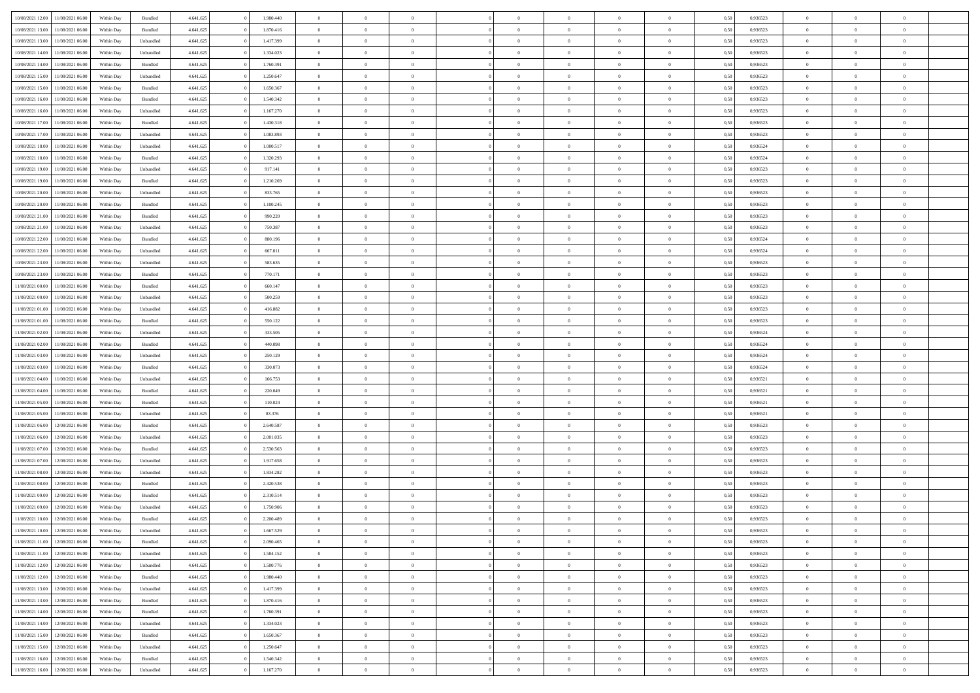| 10/08/2021 12:00                  | 11/08/2021 06:00 | Within Day | Bundled   | 4.641.625 | 1.980.440 | $\overline{0}$ | $\theta$       |                | $\overline{0}$ | $\bf{0}$       | $\overline{0}$ | $\theta$       | 0,50 | 0,936523 | $\theta$       | $\theta$       | $\overline{0}$           |  |
|-----------------------------------|------------------|------------|-----------|-----------|-----------|----------------|----------------|----------------|----------------|----------------|----------------|----------------|------|----------|----------------|----------------|--------------------------|--|
| 10/08/2021 13:00                  | 11/08/2021 06.00 | Within Day | Bundled   | 4.641.625 | 1.870.416 | $\overline{0}$ | $\overline{0}$ | $\overline{0}$ | $\overline{0}$ | $\,$ 0         | $\bf{0}$       | $\bf{0}$       | 0,50 | 0,936523 | $\,$ 0 $\,$    | $\overline{0}$ | $\overline{0}$           |  |
|                                   |                  |            |           |           |           |                |                |                |                |                |                |                |      |          |                |                |                          |  |
| 10/08/2021 13:00                  | 11/08/2021 06:00 | Within Day | Unbundled | 4.641.625 | 1.417.399 | $\overline{0}$ | $\overline{0}$ | $\overline{0}$ | $\overline{0}$ | $\bf{0}$       | $\overline{0}$ | $\mathbf{0}$   | 0.50 | 0.936523 | $\bf{0}$       | $\overline{0}$ | $\overline{0}$           |  |
| 10/08/2021 14:00                  | 11/08/2021 06:00 | Within Day | Unbundled | 4.641.625 | 1.334.023 | $\overline{0}$ | $\overline{0}$ | $\overline{0}$ | $\overline{0}$ | $\,$ 0         | $\overline{0}$ | $\overline{0}$ | 0,50 | 0,936523 | $\,$ 0 $\,$    | $\overline{0}$ | $\overline{0}$           |  |
| 10/08/2021 14:00                  | 1/08/2021 06.00  | Within Day | Bundled   | 4.641.625 | 1.760.391 | $\overline{0}$ | $\theta$       | $\overline{0}$ | $\overline{0}$ | $\overline{0}$ | $\overline{0}$ | $\bf{0}$       | 0,50 | 0,936523 | $\,$ 0 $\,$    | $\overline{0}$ | $\overline{0}$           |  |
| 10/08/2021 15:00                  | 11/08/2021 06:00 | Within Day | Unbundled | 4.641.625 | 1.250.647 | $\overline{0}$ | $\overline{0}$ | $\overline{0}$ | $\overline{0}$ | $\bf{0}$       | $\overline{0}$ | $\bf{0}$       | 0.50 | 0.936523 | $\,0\,$        | $\theta$       | $\overline{0}$           |  |
| 10/08/2021 15:00                  | 11/08/2021 06:00 | Within Day | Bundled   | 4.641.625 | 1.650.367 | $\overline{0}$ | $\overline{0}$ | $\overline{0}$ | $\overline{0}$ | $\bf{0}$       | $\overline{0}$ | $\overline{0}$ | 0,50 | 0,936523 | $\,$ 0 $\,$    | $\theta$       | $\overline{0}$           |  |
| 10/08/2021 16:00                  | 1/08/2021 06.00  | Within Day | Bundled   | 4.641.625 | 1.540.342 | $\overline{0}$ | $\theta$       | $\overline{0}$ | $\overline{0}$ | $\,$ 0         | $\overline{0}$ | $\bf{0}$       | 0,50 | 0,936523 | $\,$ 0 $\,$    | $\overline{0}$ | $\overline{0}$           |  |
| 10/08/2021 16:00                  | 11/08/2021 06:00 | Within Day | Unbundled | 4.641.625 | 1.167.270 | $\overline{0}$ | $\overline{0}$ | $\overline{0}$ | $\overline{0}$ | $\bf{0}$       | $\overline{0}$ | $\bf{0}$       | 0.50 | 0.936523 | $\,0\,$        | $\overline{0}$ | $\overline{0}$           |  |
| 10/08/2021 17:00                  | 11/08/2021 06:00 | Within Day | Bundled   | 4.641.625 | 1.430.318 | $\overline{0}$ | $\overline{0}$ | $\overline{0}$ | $\overline{0}$ | $\,$ 0         | $\overline{0}$ | $\bf{0}$       | 0,50 | 0,936523 | $\,$ 0 $\,$    | $\overline{0}$ | $\overline{0}$           |  |
| 10/08/2021 17:00                  | 1/08/2021 06.00  | Within Day | Unbundled | 4.641.625 | 1.083.893 | $\overline{0}$ | $\theta$       | $\overline{0}$ | $\overline{0}$ | $\,$ 0         | $\bf{0}$       | $\bf{0}$       | 0,50 | 0,936523 | $\,$ 0 $\,$    | $\overline{0}$ | $\overline{0}$           |  |
|                                   | 11/08/2021 06:00 |            |           |           | 1.000.517 |                | $\overline{0}$ | $\overline{0}$ | $\overline{0}$ |                | $\overline{0}$ |                | 0.50 | 0.936524 | $\bf{0}$       | $\overline{0}$ | $\bf{0}$                 |  |
| 10/08/2021 18:00                  |                  | Within Day | Unbundled | 4.641.625 |           | $\overline{0}$ |                |                |                | $\bf{0}$       |                | $\mathbf{0}$   |      |          |                |                |                          |  |
| 10/08/2021 18:00                  | 11/08/2021 06:00 | Within Day | Bundled   | 4.641.625 | 1.320.293 | $\overline{0}$ | $\overline{0}$ | $\overline{0}$ | $\overline{0}$ | $\,$ 0         | $\overline{0}$ | $\overline{0}$ | 0,50 | 0,936524 | $\,$ 0 $\,$    | $\overline{0}$ | $\overline{0}$           |  |
| 10/08/2021 19:00                  | 11/08/2021 06.00 | Within Day | Unbundled | 4.641.625 | 917.141   | $\overline{0}$ | $\theta$       | $\overline{0}$ | $\overline{0}$ | $\overline{0}$ | $\overline{0}$ | $\bf{0}$       | 0,50 | 0,936523 | $\,$ 0 $\,$    | $\overline{0}$ | $\overline{0}$           |  |
| 10/08/2021 19:00                  | 11/08/2021 06:00 | Within Day | Bundled   | 4.641.625 | 1.210.269 | $\overline{0}$ | $\overline{0}$ | $\overline{0}$ | $\overline{0}$ | $\bf{0}$       | $\overline{0}$ | $\bf{0}$       | 0.50 | 0.936523 | $\theta$       | $\theta$       | $\overline{0}$           |  |
| 10/08/2021 20:00                  | 11/08/2021 06:00 | Within Day | Unbundled | 4.641.625 | 833.765   | $\overline{0}$ | $\overline{0}$ | $\overline{0}$ | $\overline{0}$ | $\,$ 0         | $\overline{0}$ | $\bf{0}$       | 0,50 | 0,936523 | $\,$ 0 $\,$    | $\theta$       | $\overline{0}$           |  |
| 10/08/2021 20:00                  | 1/08/2021 06.00  | Within Day | Bundled   | 4.641.625 | 1.100.245 | $\overline{0}$ | $\theta$       | $\overline{0}$ | $\overline{0}$ | $\bf{0}$       | $\overline{0}$ | $\bf{0}$       | 0,50 | 0,936523 | $\,$ 0 $\,$    | $\overline{0}$ | $\overline{0}$           |  |
| 10/08/2021 21:00                  | 11/08/2021 06:00 | Within Day | Bundled   | 4.641.625 | 990.220   | $\overline{0}$ | $\overline{0}$ | $\overline{0}$ | $\overline{0}$ | $\bf{0}$       | $\overline{0}$ | $\bf{0}$       | 0.50 | 0.936523 | $\,0\,$        | $\overline{0}$ | $\overline{\phantom{a}}$ |  |
| 10/08/2021 21:00                  | 11/08/2021 06:00 | Within Day | Unbundled | 4.641.625 | 750.387   | $\overline{0}$ | $\overline{0}$ | $\overline{0}$ | $\overline{0}$ | $\bf{0}$       | $\overline{0}$ | $\bf{0}$       | 0,50 | 0,936523 | $\,$ 0 $\,$    | $\overline{0}$ | $\overline{0}$           |  |
| 10/08/2021 22:00                  | 1/08/2021 06.00  | Within Day | Bundled   | 4.641.625 | 880.196   | $\overline{0}$ | $\theta$       | $\overline{0}$ | $\overline{0}$ | $\,$ 0         | $\bf{0}$       | $\bf{0}$       | 0,50 | 0,936524 | $\,$ 0 $\,$    | $\overline{0}$ | $\overline{0}$           |  |
| 10/08/2021 22:00                  | 11/08/2021 06:00 | Within Day | Unbundled | 4.641.625 | 667.011   | $\overline{0}$ | $\overline{0}$ | $\overline{0}$ | $\overline{0}$ | $\bf{0}$       | $\overline{0}$ | $\mathbf{0}$   | 0.50 | 0.936524 | $\bf{0}$       | $\overline{0}$ | $\bf{0}$                 |  |
| 10/08/2021 23:00                  | 11/08/2021 06:00 | Within Day | Unbundled | 4.641.625 | 583.635   | $\overline{0}$ | $\overline{0}$ | $\overline{0}$ | $\overline{0}$ | $\bf{0}$       | $\overline{0}$ | $\overline{0}$ | 0,50 | 0,936523 | $\,$ 0 $\,$    | $\overline{0}$ | $\overline{0}$           |  |
| 10/08/2021 23:00                  | 1/08/2021 06.00  | Within Day | Bundled   | 4.641.625 | 770.171   | $\overline{0}$ | $\theta$       | $\overline{0}$ | $\overline{0}$ | $\bf{0}$       | $\overline{0}$ | $\bf{0}$       | 0,50 | 0,936523 | $\,$ 0 $\,$    | $\overline{0}$ | $\overline{0}$           |  |
|                                   |                  |            |           |           |           |                |                |                |                |                |                |                |      |          |                |                |                          |  |
| 11/08/2021 00:00                  | 11/08/2021 06:00 | Within Day | Bundled   | 4.641.625 | 660.147   | $\overline{0}$ | $\overline{0}$ | $\overline{0}$ | $\overline{0}$ | $\bf{0}$       | $\overline{0}$ | $\bf{0}$       | 0.50 | 0.936523 | $\,0\,$        | $\theta$       | $\overline{0}$           |  |
| 11/08/2021 00:00                  | 11/08/2021 06:00 | Within Day | Unbundled | 4.641.625 | 500.259   | $\overline{0}$ | $\overline{0}$ | $\overline{0}$ | $\overline{0}$ | $\,$ 0         | $\overline{0}$ | $\overline{0}$ | 0,50 | 0,936523 | $\,0\,$        | $\theta$       | $\overline{0}$           |  |
| 11/08/2021 01:00                  | 1/08/2021 06.00  | Within Day | Unbundled | 4.641.625 | 416.882   | $\overline{0}$ | $\theta$       | $\overline{0}$ |                | $\bf{0}$       | $\overline{0}$ | $\bf{0}$       | 0,50 | 0,936523 | $\,$ 0 $\,$    | $\overline{0}$ | $\overline{0}$           |  |
| 11/08/2021 01:00                  | 11/08/2021 06:00 | Within Day | Bundled   | 4.641.625 | 550.122   | $\overline{0}$ | $\overline{0}$ | $\overline{0}$ | $\overline{0}$ | $\bf{0}$       | $\overline{0}$ | $\bf{0}$       | 0.50 | 0.936523 | $\,0\,$        | $\overline{0}$ | $\overline{0}$           |  |
| 11/08/2021 02:00                  | 11/08/2021 06:00 | Within Day | Unbundled | 4.641.625 | 333.505   | $\overline{0}$ | $\overline{0}$ | $\overline{0}$ | $\overline{0}$ | $\bf{0}$       | $\overline{0}$ | $\bf{0}$       | 0,50 | 0,936524 | $\,$ 0 $\,$    | $\overline{0}$ | $\overline{0}$           |  |
| 11/08/2021 02:00                  | 1/08/2021 06.00  | Within Day | Bundled   | 4.641.625 | 440.098   | $\overline{0}$ | $\overline{0}$ | $\overline{0}$ | $\overline{0}$ | $\bf{0}$       | $\bf{0}$       | $\bf{0}$       | 0,50 | 0,936524 | $\,$ 0 $\,$    | $\overline{0}$ | $\overline{0}$           |  |
| 11/08/2021 03:00                  | 11/08/2021 06:00 | Within Day | Unbundled | 4.641.625 | 250.129   | $\overline{0}$ | $\overline{0}$ | $\overline{0}$ | $\overline{0}$ | $\bf{0}$       | $\overline{0}$ | $\mathbf{0}$   | 0.50 | 0.936524 | $\bf{0}$       | $\overline{0}$ | $\bf{0}$                 |  |
| 11/08/2021 03:00                  | 11/08/2021 06:00 | Within Dav | Bundled   | 4.641.625 | 330.073   | $\overline{0}$ | $\overline{0}$ | $\overline{0}$ | $\overline{0}$ | $\overline{0}$ | $\overline{0}$ | $\overline{0}$ | 0.50 | 0,936524 | $\theta$       | $\overline{0}$ | $\overline{0}$           |  |
| 11/08/2021 04:00                  | 1/08/2021 06.00  | Within Day | Unbundled | 4.641.625 | 166.753   | $\overline{0}$ | $\theta$       | $\overline{0}$ | $\overline{0}$ | $\bf{0}$       | $\overline{0}$ | $\bf{0}$       | 0,50 | 0,936521 | $\,$ 0 $\,$    | $\overline{0}$ | $\overline{0}$           |  |
| 11/08/2021 04:00                  | 11/08/2021 06:00 | Within Day | Bundled   | 4.641.625 | 220,049   | $\overline{0}$ | $\overline{0}$ | $\overline{0}$ | $\overline{0}$ | $\bf{0}$       | $\overline{0}$ | $\bf{0}$       | 0.50 | 0.936521 | $\,0\,$        | $\theta$       | $\overline{0}$           |  |
| 11/08/2021 05:00                  | 11/08/2021 06:00 | Within Dav | Bundled   | 4.641.625 | 110.024   | $\overline{0}$ | $\overline{0}$ | $\Omega$       | $\overline{0}$ | $\bf{0}$       | $\overline{0}$ | $\overline{0}$ | 0.50 | 0,936521 | $\theta$       | $\overline{0}$ | $\overline{0}$           |  |
|                                   |                  |            |           |           |           | $\overline{0}$ | $\theta$       | $\overline{0}$ |                |                |                |                |      |          |                |                | $\overline{0}$           |  |
| 11/08/2021 05:00                  | 1/08/2021 06.00  | Within Day | Unbundled | 4.641.625 | 83.376    |                |                |                | $\overline{0}$ | $\,$ 0         | $\overline{0}$ | $\bf{0}$       | 0,50 | 0,936521 | $\,$ 0 $\,$    | $\overline{0}$ |                          |  |
| 11/08/2021 06:00                  | 12/08/2021 06:00 | Within Day | Bundled   | 4.641.625 | 2.640.587 | $\overline{0}$ | $\overline{0}$ | $\overline{0}$ | $\overline{0}$ | $\bf{0}$       | $\overline{0}$ | $\bf{0}$       | 0.50 | 0.936523 | $\,0\,$        | $\overline{0}$ | $\overline{0}$           |  |
| 11/08/2021 06:00                  | 12/08/2021 06:00 | Within Dav | Unbundled | 4.641.625 | 2.001.035 | $\overline{0}$ | $\overline{0}$ | $\overline{0}$ | $\overline{0}$ | $\overline{0}$ | $\overline{0}$ | $\overline{0}$ | 0.50 | 0.936523 | $\theta$       | $\overline{0}$ | $\overline{0}$           |  |
| 11/08/2021 07:00                  | 12/08/2021 06:00 | Within Day | Bundled   | 4.641.625 | 2.530.563 | $\overline{0}$ | $\overline{0}$ | $\overline{0}$ | $\overline{0}$ | $\bf{0}$       | $\bf{0}$       | $\bf{0}$       | 0,50 | 0,936523 | $\,$ 0 $\,$    | $\overline{0}$ | $\overline{0}$           |  |
| 11/08/2021 07:00                  | 12/08/2021 06:00 | Within Day | Unbundled | 4.641.625 | 1.917.658 | $\overline{0}$ | $\overline{0}$ | $\overline{0}$ | $\overline{0}$ | $\bf{0}$       | $\overline{0}$ | $\mathbf{0}$   | 0.50 | 0.936523 | $\bf{0}$       | $\overline{0}$ | $\overline{0}$           |  |
| 11/08/2021 08:00                  | 12/08/2021 06:00 | Within Dav | Unbundled | 4.641.625 | 1.834.282 | $\overline{0}$ | $\overline{0}$ | $\Omega$       | $\overline{0}$ | $\mathbf{0}$   | $\overline{0}$ | $\overline{0}$ | 0.50 | 0.936523 | $\theta$       | $\overline{0}$ | $\overline{0}$           |  |
| 11/08/2021 08:00                  | 12/08/2021 06:00 | Within Day | Bundled   | 4.641.625 | 2.420.538 | $\overline{0}$ | $\theta$       | $\overline{0}$ | $\overline{0}$ | $\,$ 0         | $\overline{0}$ | $\bf{0}$       | 0,50 | 0,936523 | $\,$ 0 $\,$    | $\overline{0}$ | $\overline{0}$           |  |
| 11/08/2021 09:00                  | 12/08/2021 06:00 | Within Day | Bundled   | 4.641.625 | 2.310.514 | $\overline{0}$ | $\theta$       | $\overline{0}$ | $\overline{0}$ | $\overline{0}$ | $\Omega$       | $\overline{0}$ | 0.50 | 0.936523 | $\,0\,$        | $\theta$       | $\overline{0}$           |  |
| 11/08/2021 09:00                  | 12/08/2021 06:00 | Within Dav | Unbundled | 4.641.625 | 1.750.906 | $\overline{0}$ | $\Omega$       | $\Omega$       | $\Omega$       | $\bf{0}$       | $\overline{0}$ | $\bf{0}$       | 0.50 | 0.936523 | $\theta$       | $\theta$       | $\overline{0}$           |  |
| 11/08/2021 10:00                  | 12/08/2021 06:00 | Within Day | Bundled   | 4.641.625 | 2.200.489 | $\overline{0}$ | $\,$ 0 $\,$    | $\overline{0}$ | $\overline{0}$ | $\,$ 0         | $\bf{0}$       | $\bf{0}$       | 0,50 | 0,936523 | $\,$ 0 $\,$    | $\overline{0}$ | $\overline{0}$           |  |
| 11/08/2021 10:00                  | 12/08/2021 06:00 | Within Day | Unbundled | 4.641.625 | 1.667.529 | $\bf{0}$       | $\theta$       |                |                |                |                |                | 0,50 | 0.936523 | $\bf{0}$       | $\theta$       |                          |  |
| 11/08/2021 11:00                  | 12/08/2021 06:00 | Within Day | Bundled   | 4.641.625 | 2.090.465 | $\overline{0}$ | $\overline{0}$ | $\overline{0}$ | $\overline{0}$ | $\overline{0}$ | $\overline{0}$ | $\mathbf{0}$   | 0,50 | 0.936523 | $\theta$       | $\overline{0}$ | $\overline{0}$           |  |
|                                   |                  |            |           |           |           |                |                |                |                |                |                |                |      |          |                |                |                          |  |
| 11/08/2021 11:00                  | 12/08/2021 06:00 | Within Day | Unbundled | 4.641.625 | 1.584.152 | $\overline{0}$ | $\overline{0}$ | $\overline{0}$ | $\bf{0}$       | $\overline{0}$ | $\overline{0}$ | $\bf{0}$       | 0,50 | 0,936523 | $\bf{0}$       | $\overline{0}$ | $\bf{0}$                 |  |
| 11/08/2021 12:00                  | 12/08/2021 06:00 | Within Day | Unbundled | 4.641.625 | 1.500.776 | $\overline{0}$ | $\overline{0}$ | $\overline{0}$ | $\overline{0}$ | $\overline{0}$ | $\overline{0}$ | $\mathbf{0}$   | 0.50 | 0.936523 | $\overline{0}$ | $\bf{0}$       | $\bf{0}$                 |  |
| 11/08/2021 12:00                  | 12/08/2021 06:00 | Within Day | Bundled   | 4.641.625 | 1.980.440 | $\overline{0}$ | $\overline{0}$ | $\overline{0}$ | $\overline{0}$ | $\overline{0}$ | $\overline{0}$ | $\mathbf{0}$   | 0,50 | 0.936523 | $\overline{0}$ | $\theta$       | $\overline{0}$           |  |
| 11/08/2021 13:00                  | 12/08/2021 06:00 | Within Day | Unbundled | 4.641.625 | 1.417.399 | $\overline{0}$ | $\overline{0}$ | $\overline{0}$ | $\overline{0}$ | $\bf{0}$       | $\bf{0}$       | $\bf{0}$       | 0,50 | 0,936523 | $\bf{0}$       | $\overline{0}$ | $\overline{0}$           |  |
| 11/08/2021 13:00                  | 12/08/2021 06:00 | Within Day | Bundled   | 4.641.625 | 1.870.416 | $\overline{0}$ | $\overline{0}$ | $\overline{0}$ | $\overline{0}$ | $\bf{0}$       | $\overline{0}$ | $\mathbf{0}$   | 0.50 | 0.936523 | $\,$ 0 $\,$    | $\theta$       | $\overline{0}$           |  |
| 11/08/2021 14:00                  | 12/08/2021 06:00 | Within Day | Bundled   | 4.641.625 | 1.760.391 | $\overline{0}$ | $\overline{0}$ | $\overline{0}$ | $\overline{0}$ | $\overline{0}$ | $\overline{0}$ | $\overline{0}$ | 0,50 | 0.936523 | $\overline{0}$ | $\theta$       | $\overline{0}$           |  |
| 11/08/2021 14:00                  | 12/08/2021 06:00 | Within Day | Unbundled | 4.641.625 | 1.334.023 | $\overline{0}$ | $\,$ 0         | $\overline{0}$ | $\bf{0}$       | $\,$ 0 $\,$    | $\overline{0}$ | $\bf{0}$       | 0,50 | 0,936523 | $\,$ 0 $\,$    | $\overline{0}$ | $\overline{0}$           |  |
| 11/08/2021 15:00                  | 12/08/2021 06:00 | Within Day | Bundled   | 4.641.625 | 1.650.367 | $\overline{0}$ | $\overline{0}$ | $\overline{0}$ | $\overline{0}$ | $\bf{0}$       | $\overline{0}$ | $\mathbf{0}$   | 0.50 | 0.936523 | $\mathbf{0}$   | $\,$ 0 $\,$    | $\overline{0}$           |  |
| 11/08/2021 15:00                  | 12/08/2021 06:00 | Within Day | Unbundled | 4.641.625 | 1.250.647 | $\overline{0}$ | $\overline{0}$ | $\overline{0}$ | $\overline{0}$ | $\overline{0}$ | $\overline{0}$ | $\overline{0}$ | 0,50 | 0.936523 | $\overline{0}$ | $\theta$       | $\overline{0}$           |  |
| 11/08/2021 16:00                  | 12/08/2021 06:00 | Within Day | Bundled   | 4.641.625 | 1.540.342 | $\overline{0}$ | $\overline{0}$ | $\overline{0}$ | $\bf{0}$       | $\bf{0}$       | $\bf{0}$       | $\bf{0}$       | 0,50 | 0,936523 | $\bf{0}$       | $\overline{0}$ | $\bf{0}$                 |  |
|                                   |                  |            |           | 4.641.625 | 1.167.270 |                | $\,$ 0 $\,$    | $\overline{0}$ |                | $\,$ 0 $\,$    | $\,$ 0 $\,$    |                |      |          |                | $\,$ 0 $\,$    | $\,$ 0 $\,$              |  |
| 11/08/2021 16:00 12/08/2021 06:00 |                  | Within Day | Unbundled |           |           | $\,$ 0 $\,$    |                |                | $\overline{0}$ |                |                | $\,$ 0 $\,$    | 0,50 | 0,936523 | $\mathbf{0}^-$ |                |                          |  |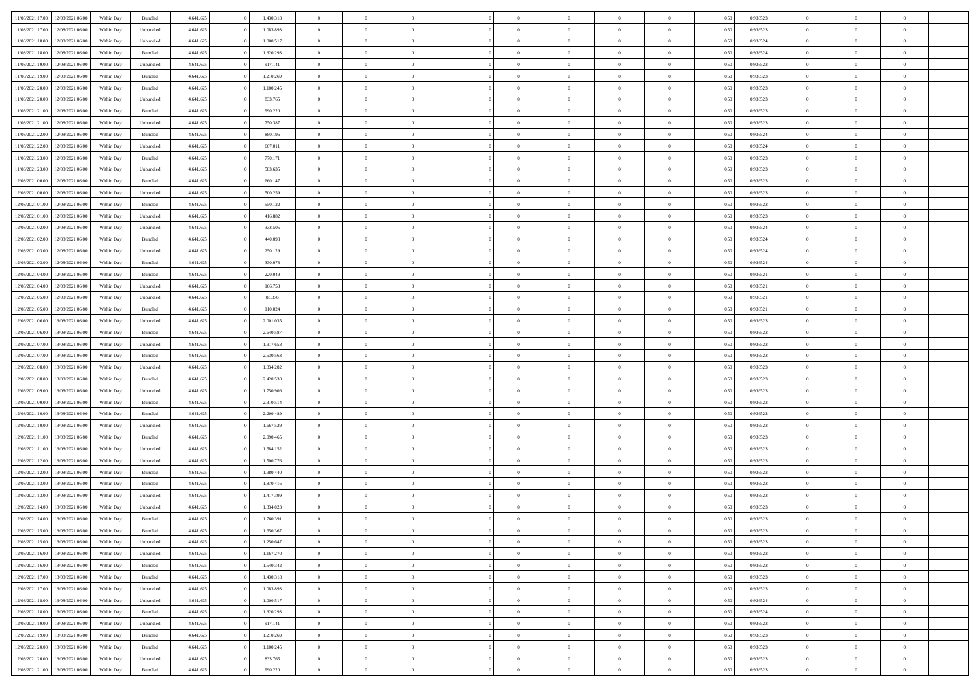| 11/08/2021 17:00 | 12/08/2021 06:00 | Within Day | Bundled            | 4.641.625 | 1.430.318 | $\overline{0}$ | $\Omega$       |                | $\Omega$       | $\Omega$       | $\theta$       | $\theta$       | 0.50 | 0,936523 | $\theta$       | $\theta$       | $\overline{0}$ |  |
|------------------|------------------|------------|--------------------|-----------|-----------|----------------|----------------|----------------|----------------|----------------|----------------|----------------|------|----------|----------------|----------------|----------------|--|
|                  |                  |            |                    |           |           |                |                |                |                |                |                |                |      |          |                |                |                |  |
| 11/08/2021 17:00 | 12/08/2021 06:00 | Within Day | Unbundled          | 4.641.625 | 1.083.893 | $\overline{0}$ | $\theta$       | $\overline{0}$ | $\overline{0}$ | $\bf{0}$       | $\overline{0}$ | $\bf{0}$       | 0,50 | 0,936523 | $\theta$       | $\overline{0}$ | $\overline{0}$ |  |
| 11/08/2021 18:00 | 12/08/2021 06:00 | Within Day | Unbundled          | 4.641.625 | 1.000.517 | $\overline{0}$ | $\bf{0}$       | $\overline{0}$ | $\bf{0}$       | $\bf{0}$       | $\bf{0}$       | $\mathbf{0}$   | 0,50 | 0,936524 | $\bf{0}$       | $\overline{0}$ | $\bf{0}$       |  |
| 11/08/2021 18:00 | 12/08/2021 06:00 | Within Dav | Bundled            | 4.641.625 | 1.320.293 | $\overline{0}$ | $\overline{0}$ | $\overline{0}$ | $\overline{0}$ | $\bf{0}$       | $\overline{0}$ | $\overline{0}$ | 0.50 | 0.936524 | $\theta$       | $\theta$       | $\overline{0}$ |  |
| 11/08/2021 19:00 | 12/08/2021 06:00 | Within Day | Unbundled          | 4.641.625 | 917.141   | $\overline{0}$ | $\theta$       | $\overline{0}$ | $\overline{0}$ | $\bf{0}$       | $\overline{0}$ | $\bf{0}$       | 0,50 | 0,936523 | $\theta$       | $\overline{0}$ | $\overline{0}$ |  |
| 11/08/2021 19:00 | 12/08/2021 06:00 | Within Day | Bundled            | 4.641.625 | 1.210.269 | $\overline{0}$ | $\overline{0}$ | $\overline{0}$ | $\bf{0}$       | $\overline{0}$ | $\overline{0}$ | $\mathbf{0}$   | 0,50 | 0,936523 | $\overline{0}$ | $\overline{0}$ | $\bf{0}$       |  |
|                  |                  |            |                    |           |           |                | $\overline{0}$ |                |                | $\overline{0}$ |                |                |      |          | $\theta$       | $\overline{0}$ | $\overline{0}$ |  |
| 11/08/2021 20:00 | 12/08/2021 06:00 | Within Dav | Bundled            | 4.641.625 | 1.100.245 | $\overline{0}$ |                | $\overline{0}$ | $\overline{0}$ |                | $\overline{0}$ | $\overline{0}$ | 0.50 | 0.936523 |                |                |                |  |
| 11/08/2021 20:00 | 12/08/2021 06:00 | Within Day | Unbundled          | 4.641.625 | 833.765   | $\overline{0}$ | $\theta$       | $\overline{0}$ | $\overline{0}$ | $\bf{0}$       | $\overline{0}$ | $\bf{0}$       | 0,50 | 0,936523 | $\theta$       | $\theta$       | $\overline{0}$ |  |
| 11/08/2021 21:00 | 12/08/2021 06:00 | Within Day | Bundled            | 4.641.625 | 990.220   | $\overline{0}$ | $\overline{0}$ | $\overline{0}$ | $\bf{0}$       | $\bf{0}$       | $\bf{0}$       | $\mathbf{0}$   | 0,50 | 0,936523 | $\,0\,$        | $\overline{0}$ | $\overline{0}$ |  |
| 11/08/2021 21:00 | 12/08/2021 06:00 | Within Dav | Unbundled          | 4.641.625 | 750.387   | $\overline{0}$ | $\overline{0}$ | $\overline{0}$ | $\overline{0}$ | $\overline{0}$ | $\overline{0}$ | $\overline{0}$ | 0.50 | 0.936523 | $\theta$       | $\overline{0}$ | $\overline{0}$ |  |
| 11/08/2021 22:00 | 12/08/2021 06:00 | Within Day | Bundled            | 4.641.625 | 880.196   | $\overline{0}$ | $\theta$       | $\overline{0}$ | $\overline{0}$ | $\bf{0}$       | $\overline{0}$ | $\bf{0}$       | 0,50 | 0,936524 | $\,$ 0 $\,$    | $\overline{0}$ | $\overline{0}$ |  |
| 11/08/2021 22:00 | 12/08/2021 06:00 | Within Day | Unbundled          | 4.641.625 | 667.011   | $\overline{0}$ | $\overline{0}$ | $\overline{0}$ | $\bf{0}$       | $\bf{0}$       | $\bf{0}$       | $\mathbf{0}$   | 0,50 | 0,936524 | $\overline{0}$ | $\overline{0}$ | $\bf{0}$       |  |
| 11/08/2021 23:00 | 12/08/2021 06:00 | Within Day | Bundled            | 4.641.625 | 770.171   | $\overline{0}$ | $\overline{0}$ | $\overline{0}$ | $\overline{0}$ | $\bf{0}$       | $\overline{0}$ | $\overline{0}$ | 0.50 | 0.936523 | $\theta$       | $\theta$       | $\overline{0}$ |  |
| 11/08/2021 23:00 | 12/08/2021 06:00 |            |                    | 4.641.625 | 583.635   | $\overline{0}$ | $\theta$       | $\overline{0}$ | $\overline{0}$ | $\bf{0}$       | $\overline{0}$ |                |      | 0,936523 | $\theta$       | $\overline{0}$ | $\overline{0}$ |  |
|                  |                  | Within Day | Unbundled          |           |           |                |                |                |                |                |                | $\bf{0}$       | 0,50 |          |                |                |                |  |
| 12/08/2021 00:00 | 12/08/2021 06:00 | Within Day | Bundled            | 4.641.625 | 660.147   | $\overline{0}$ | $\overline{0}$ | $\overline{0}$ | $\bf{0}$       | $\overline{0}$ | $\overline{0}$ | $\mathbf{0}$   | 0,50 | 0,936523 | $\overline{0}$ | $\overline{0}$ | $\bf{0}$       |  |
| 12/08/2021 00:00 | 12/08/2021 06:00 | Within Dav | Unbundled          | 4.641.625 | 500.259   | $\overline{0}$ | $\overline{0}$ | $\overline{0}$ | $\overline{0}$ | $\overline{0}$ | $\overline{0}$ | $\overline{0}$ | 0.50 | 0.936523 | $\theta$       | $\overline{0}$ | $\overline{0}$ |  |
| 12/08/2021 01:00 | 12/08/2021 06:00 | Within Day | Bundled            | 4.641.625 | 550.122   | $\overline{0}$ | $\theta$       | $\overline{0}$ | $\overline{0}$ | $\bf{0}$       | $\overline{0}$ | $\bf{0}$       | 0,50 | 0,936523 | $\theta$       | $\theta$       | $\overline{0}$ |  |
| 12/08/2021 01:00 | 12/08/2021 06:00 | Within Day | Unbundled          | 4.641.625 | 416.882   | $\overline{0}$ | $\overline{0}$ | $\overline{0}$ | $\bf{0}$       | $\bf{0}$       | $\bf{0}$       | $\mathbf{0}$   | 0,50 | 0,936523 | $\,0\,$        | $\overline{0}$ | $\bf{0}$       |  |
| 12/08/2021 02:00 | 12/08/2021 06:00 | Within Day | Unbundled          | 4.641.625 | 333.505   | $\overline{0}$ | $\overline{0}$ | $\overline{0}$ | $\overline{0}$ | $\overline{0}$ | $\overline{0}$ | $\overline{0}$ | 0.50 | 0,936524 | $\theta$       | $\overline{0}$ | $\overline{0}$ |  |
| 12/08/2021 02:00 | 12/08/2021 06:00 | Within Day | Bundled            | 4.641.625 | 440.098   | $\overline{0}$ | $\theta$       | $\overline{0}$ | $\overline{0}$ | $\bf{0}$       | $\overline{0}$ | $\bf{0}$       | 0,50 | 0,936524 | $\,$ 0 $\,$    | $\overline{0}$ | $\overline{0}$ |  |
| 12/08/2021 03:00 | 12/08/2021 06:00 | Within Day | Unbundled          | 4.641.625 | 250.129   | $\overline{0}$ | $\overline{0}$ | $\overline{0}$ | $\bf{0}$       | $\bf{0}$       | $\bf{0}$       | $\mathbf{0}$   | 0,50 | 0,936524 | $\bf{0}$       | $\overline{0}$ | $\bf{0}$       |  |
|                  |                  |            |                    |           |           |                |                |                |                |                |                |                |      |          | $\theta$       |                |                |  |
| 12/08/2021 03:00 | 12/08/2021 06:00 | Within Day | Bundled            | 4.641.625 | 330.073   | $\overline{0}$ | $\overline{0}$ | $\overline{0}$ | $\overline{0}$ | $\overline{0}$ | $\overline{0}$ | $\overline{0}$ | 0.50 | 0.936524 |                | $\overline{0}$ | $\overline{0}$ |  |
| 12/08/2021 04:00 | 12/08/2021 06:00 | Within Day | Bundled            | 4.641.625 | 220.049   | $\overline{0}$ | $\theta$       | $\overline{0}$ | $\overline{0}$ | $\bf{0}$       | $\overline{0}$ | $\bf{0}$       | 0,50 | 0,936521 | $\,$ 0 $\,$    | $\overline{0}$ | $\overline{0}$ |  |
| 12/08/2021 04:00 | 12/08/2021 06:00 | Within Day | Unbundled          | 4.641.625 | 166.753   | $\overline{0}$ | $\overline{0}$ | $\overline{0}$ | $\bf{0}$       | $\overline{0}$ | $\overline{0}$ | $\mathbf{0}$   | 0,50 | 0,936521 | $\overline{0}$ | $\overline{0}$ | $\bf{0}$       |  |
| 12/08/2021 05:00 | 12/08/2021 06:00 | Within Dav | Unbundled          | 4.641.625 | 83.376    | $\overline{0}$ | $\overline{0}$ | $\overline{0}$ | $\overline{0}$ | $\overline{0}$ | $\overline{0}$ | $\overline{0}$ | 0.50 | 0,936521 | $\theta$       | $\overline{0}$ | $\overline{0}$ |  |
| 12/08/2021 05:00 | 12/08/2021 06:00 | Within Day | Bundled            | 4.641.625 | 110.024   | $\overline{0}$ | $\theta$       | $\overline{0}$ | $\overline{0}$ | $\bf{0}$       | $\overline{0}$ | $\bf{0}$       | 0,50 | 0,936521 | $\theta$       | $\theta$       | $\overline{0}$ |  |
| 12/08/2021 06:00 | 13/08/2021 06:00 | Within Day | Unbundled          | 4.641.625 | 2.001.035 | $\overline{0}$ | $\overline{0}$ | $\overline{0}$ | $\bf{0}$       | $\bf{0}$       | $\bf{0}$       | $\bf{0}$       | 0,50 | 0,936523 | $\,0\,$        | $\overline{0}$ | $\overline{0}$ |  |
| 12/08/2021 06:00 | 13/08/2021 06:00 | Within Day | Bundled            | 4.641.625 | 2.640.587 | $\overline{0}$ | $\overline{0}$ | $\overline{0}$ | $\overline{0}$ | $\overline{0}$ | $\overline{0}$ | $\overline{0}$ | 0.50 | 0.936523 | $\theta$       | $\overline{0}$ | $\overline{0}$ |  |
|                  |                  |            |                    |           |           | $\overline{0}$ | $\theta$       | $\overline{0}$ | $\overline{0}$ | $\bf{0}$       | $\overline{0}$ |                |      |          |                | $\overline{0}$ | $\overline{0}$ |  |
| 12/08/2021 07:00 | 13/08/2021 06:00 | Within Day | Unbundled          | 4.641.625 | 1.917.658 |                |                |                |                |                |                | $\bf{0}$       | 0,50 | 0,936523 | $\,$ 0 $\,$    |                |                |  |
| 12/08/2021 07:00 | 13/08/2021 06:00 | Within Day | Bundled            | 4.641.625 | 2.530.563 | $\overline{0}$ | $\overline{0}$ | $\overline{0}$ | $\bf{0}$       | $\bf{0}$       | $\bf{0}$       | $\bf{0}$       | 0,50 | 0,936523 | $\overline{0}$ | $\overline{0}$ | $\bf{0}$       |  |
| 12/08/2021 08:00 | 13/08/2021 06:00 | Within Day | Unbundled          | 4.641.625 | 1.834.282 | $\overline{0}$ | $\Omega$       | $\overline{0}$ | $\Omega$       | $\Omega$       | $\overline{0}$ | $\overline{0}$ | 0,50 | 0,936523 | $\,0\,$        | $\theta$       | $\theta$       |  |
| 12/08/2021 08:00 | 13/08/2021 06:00 | Within Day | Bundled            | 4.641.625 | 2.420.538 | $\overline{0}$ | $\theta$       | $\overline{0}$ | $\overline{0}$ | $\bf{0}$       | $\overline{0}$ | $\bf{0}$       | 0,50 | 0,936523 | $\theta$       | $\overline{0}$ | $\overline{0}$ |  |
| 12/08/2021 09:00 | 13/08/2021 06:00 | Within Day | Unbundled          | 4.641.625 | 1.750.906 | $\overline{0}$ | $\overline{0}$ | $\overline{0}$ | $\bf{0}$       | $\overline{0}$ | $\overline{0}$ | $\mathbf{0}$   | 0,50 | 0,936523 | $\overline{0}$ | $\overline{0}$ | $\bf{0}$       |  |
| 12/08/2021 09:00 | 13/08/2021 06:00 | Within Day | Bundled            | 4.641.625 | 2.310.514 | $\overline{0}$ | $\Omega$       | $\Omega$       | $\Omega$       | $\overline{0}$ | $\overline{0}$ | $\overline{0}$ | 0.50 | 0.936523 | $\,0\,$        | $\theta$       | $\theta$       |  |
| 12/08/2021 10:00 | 13/08/2021 06:00 | Within Day | Bundled            | 4.641.625 | 2.200.489 | $\overline{0}$ | $\theta$       | $\overline{0}$ | $\overline{0}$ | $\bf{0}$       | $\overline{0}$ | $\bf{0}$       | 0,50 | 0,936523 | $\theta$       | $\overline{0}$ | $\overline{0}$ |  |
| 12/08/2021 10:00 | 13/08/2021 06:00 | Within Day | Unbundled          | 4.641.625 | 1.667.529 | $\overline{0}$ | $\overline{0}$ | $\overline{0}$ | $\bf{0}$       | $\bf{0}$       | $\bf{0}$       | $\mathbf{0}$   | 0,50 | 0,936523 | $\bf{0}$       | $\overline{0}$ | $\bf{0}$       |  |
|                  | 13/08/2021 06:00 |            |                    |           | 2.090.465 | $\overline{0}$ | $\Omega$       | $\Omega$       | $\Omega$       | $\overline{0}$ | $\overline{0}$ |                |      | 0.936523 | $\,$ 0 $\,$    | $\theta$       | $\theta$       |  |
| 12/08/2021 11:00 |                  | Within Day | Bundled            | 4.641.625 |           |                |                |                |                |                |                | $\overline{0}$ | 0.50 |          |                |                |                |  |
| 12/08/2021 11:00 | 13/08/2021 06:00 | Within Day | Unbundled          | 4.641.625 | 1.584.152 | $\overline{0}$ | $\theta$       | $\overline{0}$ | $\overline{0}$ | $\,$ 0         | $\overline{0}$ | $\bf{0}$       | 0,50 | 0,936523 | $\,$ 0 $\,$    | $\overline{0}$ | $\overline{0}$ |  |
| 12/08/2021 12:00 | 13/08/2021 06:00 | Within Day | Unbundled          | 4.641.625 | 1.500.776 | $\overline{0}$ | $\bf{0}$       | $\overline{0}$ | $\bf{0}$       | $\bf{0}$       | $\bf{0}$       | $\mathbf{0}$   | 0,50 | 0,936523 | $\overline{0}$ | $\overline{0}$ | $\bf{0}$       |  |
| 12/08/2021 12:00 | 13/08/2021 06:00 | Within Day | Bundled            | 4.641.625 | 1.980.440 | $\overline{0}$ | $\Omega$       | $\overline{0}$ | $\Omega$       | $\overline{0}$ | $\overline{0}$ | $\overline{0}$ | 0,50 | 0,936523 | $\,0\,$        | $\theta$       | $\theta$       |  |
| 12/08/2021 13:00 | 13/08/2021 06:00 | Within Day | Bundled            | 4.641.625 | 1.870.416 | $\overline{0}$ | $\overline{0}$ | $\overline{0}$ | $\overline{0}$ | $\,$ 0         | $\overline{0}$ | $\bf{0}$       | 0,50 | 0,936523 | $\,$ 0 $\,$    | $\overline{0}$ | $\overline{0}$ |  |
| 12/08/2021 13:00 | 13/08/2021 06:00 | Within Day | Unbundled          | 4.641.625 | 1.417.399 | $\overline{0}$ | $\overline{0}$ | $\overline{0}$ | $\bf{0}$       | $\bf{0}$       | $\overline{0}$ | $\mathbf{0}$   | 0,50 | 0,936523 | $\overline{0}$ | $\overline{0}$ | $\bf{0}$       |  |
| 12/08/2021 14:00 | 13/08/2021 06:00 | Within Day | Unbundled          | 4.641.625 | 1.334.023 | $\overline{0}$ | $\Omega$       | $\Omega$       | $\Omega$       | $\Omega$       | $\Omega$       | $\overline{0}$ | 0.50 | 0.936523 | $\theta$       | $\theta$       | $\theta$       |  |
| 12/08/2021 14:00 | 13/08/2021 06:00 | Within Day | Bundled            | 4.641.625 | 1.760.391 | $\overline{0}$ | $\overline{0}$ | $\overline{0}$ | $\bf{0}$       | $\,$ 0         | $\bf{0}$       | $\bf{0}$       | 0,50 | 0,936523 | $\,0\,$        | $\,$ 0 $\,$    | $\overline{0}$ |  |
| 12/08/2021 15:00 | 13/08/2021 06:00 | Within Day | $\mathbf B$ undled | 4.641.625 | 1.650.367 | $\bf{0}$       | $\bf{0}$       |                |                | $\bf{0}$       |                |                | 0,50 | 0,936523 | $\bf{0}$       | $\overline{0}$ |                |  |
|                  |                  |            |                    |           |           |                |                |                |                |                |                |                |      |          |                |                |                |  |
| 12/08/2021 15:00 | 13/08/2021 06:00 | Within Day | Unbundled          | 4.641.625 | 1.250.647 | $\overline{0}$ | $\overline{0}$ | $\overline{0}$ | $\Omega$       | $\overline{0}$ | $\overline{0}$ | $\overline{0}$ | 0.50 | 0.936523 | $\theta$       | $\theta$       | $\theta$       |  |
| 12/08/2021 16:00 | 13/08/2021 06:00 | Within Day | Unbundled          | 4.641.625 | 1.167.270 | $\overline{0}$ | $\,$ 0         | $\overline{0}$ | $\bf{0}$       | $\,$ 0 $\,$    | $\overline{0}$ | $\mathbf{0}$   | 0,50 | 0,936523 | $\,$ 0 $\,$    | $\,$ 0 $\,$    | $\,$ 0         |  |
| 12/08/2021 16:00 | 13/08/2021 06:00 | Within Day | Bundled            | 4.641.625 | 1.540.342 | $\overline{0}$ | $\overline{0}$ | $\overline{0}$ | $\overline{0}$ | $\overline{0}$ | $\overline{0}$ | $\mathbf{0}$   | 0,50 | 0,936523 | $\overline{0}$ | $\bf{0}$       | $\bf{0}$       |  |
| 12/08/2021 17:00 | 13/08/2021 06:00 | Within Day | $\mathbf B$ undled | 4.641.625 | 1.430.318 | $\overline{0}$ | $\overline{0}$ | $\overline{0}$ | $\Omega$       | $\overline{0}$ | $\overline{0}$ | $\bf{0}$       | 0,50 | 0,936523 | $\overline{0}$ | $\theta$       | $\overline{0}$ |  |
| 12/08/2021 17:00 | 13/08/2021 06:00 | Within Day | Unbundled          | 4.641.625 | 1.083.893 | $\overline{0}$ | $\,$ 0         | $\overline{0}$ | $\overline{0}$ | $\,$ 0 $\,$    | $\overline{0}$ | $\mathbf{0}$   | 0,50 | 0,936523 | $\,$ 0 $\,$    | $\overline{0}$ | $\overline{0}$ |  |
| 12/08/2021 18:00 | 13/08/2021 06:00 | Within Day | Unbundled          | 4.641.625 | 1.000.517 | $\overline{0}$ | $\overline{0}$ | $\overline{0}$ | $\overline{0}$ | $\overline{0}$ | $\overline{0}$ | $\mathbf{0}$   | 0,50 | 0,936524 | $\overline{0}$ | $\overline{0}$ | $\bf{0}$       |  |
| 12/08/2021 18:00 | 13/08/2021 06:00 | Within Day | Bundled            | 4.641.625 | 1.320.293 | $\overline{0}$ | $\overline{0}$ | $\overline{0}$ | $\Omega$       | $\overline{0}$ | $\overline{0}$ | $\bf{0}$       | 0.50 | 0,936524 | $\overline{0}$ | $\theta$       | $\overline{0}$ |  |
|                  |                  |            |                    |           |           |                |                |                |                |                |                |                |      |          |                |                |                |  |
| 12/08/2021 19:00 | 13/08/2021 06:00 | Within Day | Unbundled          | 4.641.625 | 917.141   | $\overline{0}$ | $\,$ 0         | $\overline{0}$ | $\bf{0}$       | $\bf{0}$       | $\bf{0}$       | $\bf{0}$       | 0,50 | 0,936523 | $\,$ 0 $\,$    | $\overline{0}$ | $\overline{0}$ |  |
| 12/08/2021 19:00 | 13/08/2021 06:00 | Within Day | Bundled            | 4.641.625 | 1.210.269 | $\overline{0}$ | $\bf{0}$       | $\overline{0}$ | $\overline{0}$ | $\overline{0}$ | $\overline{0}$ | $\mathbf{0}$   | 0,50 | 0,936523 | $\overline{0}$ | $\overline{0}$ | $\bf{0}$       |  |
| 12/08/2021 20:00 | 13/08/2021 06:00 | Within Day | Bundled            | 4.641.625 | 1.100.245 | $\overline{0}$ | $\overline{0}$ | $\overline{0}$ | $\Omega$       | $\overline{0}$ | $\overline{0}$ | $\bf{0}$       | 0.50 | 0.936523 | $\overline{0}$ | $\theta$       | $\overline{0}$ |  |
| 12/08/2021 20:00 | 13/08/2021 06:00 | Within Day | Unbundled          | 4.641.625 | 833.765   | $\overline{0}$ | $\bf{0}$       | $\overline{0}$ | $\overline{0}$ | $\bf{0}$       | $\bf{0}$       | $\mathbf{0}$   | 0,50 | 0,936523 | $\,$ 0 $\,$    | $\,$ 0 $\,$    | $\bf{0}$       |  |
| 12/08/2021 21:00 | 13/08/2021 06:00 | Within Day | Bundled            | 4.641.625 | 990.220   | $\overline{0}$ | $\overline{0}$ | $\overline{0}$ | $\overline{0}$ | $\bf{0}$       | $\bf{0}$       | $\mathbf{0}$   | 0,50 | 0,936523 | $\overline{0}$ | $\bf{0}$       | $\bf{0}$       |  |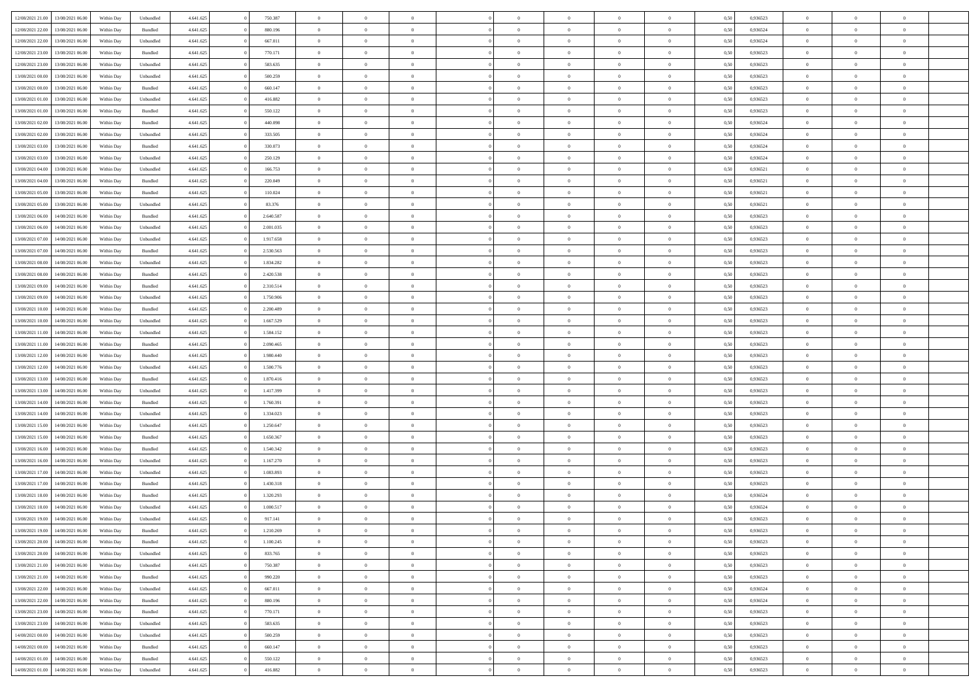| 12/08/2021 21:00 | 13/08/2021 06:00 | Within Day | Unbundled          | 4.641.625 | 750.387   | $\overline{0}$ | $\theta$       |                | $\Omega$       | $\Omega$       | $\theta$       | $\theta$       | 0.50 | 0,936523 | $\theta$       | $\overline{0}$ | $\overline{0}$ |  |
|------------------|------------------|------------|--------------------|-----------|-----------|----------------|----------------|----------------|----------------|----------------|----------------|----------------|------|----------|----------------|----------------|----------------|--|
| 12/08/2021 22:00 | 13/08/2021 06:00 | Within Day | Bundled            | 4.641.625 | 880.196   | $\overline{0}$ | $\overline{0}$ | $\overline{0}$ | $\overline{0}$ | $\bf{0}$       | $\overline{0}$ | $\bf{0}$       | 0,50 | 0,936524 | $\theta$       | $\overline{0}$ | $\overline{0}$ |  |
| 12/08/2021 22:00 | 13/08/2021 06:00 | Within Day | Unbundled          | 4.641.625 | 667.011   | $\overline{0}$ | $\bf{0}$       | $\overline{0}$ | $\bf{0}$       | $\bf{0}$       | $\bf{0}$       | $\mathbf{0}$   | 0,50 | 0,936524 | $\bf{0}$       | $\overline{0}$ | $\bf{0}$       |  |
|                  |                  |            |                    |           |           |                |                |                |                |                |                |                |      |          |                |                |                |  |
| 12/08/2021 23:00 | 13/08/2021 06:00 | Within Dav | Bundled            | 4.641.625 | 770.171   | $\overline{0}$ | $\overline{0}$ | $\overline{0}$ | $\overline{0}$ | $\bf{0}$       | $\overline{0}$ | $\overline{0}$ | 0.50 | 0.936523 | $\theta$       | $\theta$       | $\overline{0}$ |  |
| 12/08/2021 23:00 | 13/08/2021 06:00 | Within Day | Unbundled          | 4.641.625 | 583.635   | $\overline{0}$ | $\theta$       | $\overline{0}$ | $\overline{0}$ | $\bf{0}$       | $\overline{0}$ | $\bf{0}$       | 0,50 | 0,936523 | $\theta$       | $\overline{0}$ | $\overline{0}$ |  |
| 13/08/2021 00:00 | 13/08/2021 06:00 | Within Day | Unbundled          | 4.641.625 | 500.259   | $\overline{0}$ | $\overline{0}$ | $\overline{0}$ | $\bf{0}$       | $\overline{0}$ | $\overline{0}$ | $\mathbf{0}$   | 0,50 | 0,936523 | $\bf{0}$       | $\overline{0}$ | $\bf{0}$       |  |
| 13/08/2021 00:00 | 13/08/2021 06:00 | Within Dav | Bundled            | 4.641.625 | 660.147   | $\overline{0}$ | $\overline{0}$ | $\overline{0}$ | $\overline{0}$ | $\overline{0}$ | $\overline{0}$ | $\overline{0}$ | 0.50 | 0.936523 | $\theta$       | $\overline{0}$ | $\overline{0}$ |  |
|                  |                  |            |                    |           |           |                |                |                |                |                |                |                |      |          |                |                |                |  |
| 13/08/2021 01:00 | 13/08/2021 06:00 | Within Day | Unbundled          | 4.641.625 | 416.882   | $\overline{0}$ | $\theta$       | $\overline{0}$ | $\overline{0}$ | $\bf{0}$       | $\overline{0}$ | $\bf{0}$       | 0,50 | 0,936523 | $\theta$       | $\theta$       | $\overline{0}$ |  |
| 13/08/2021 01:00 | 13/08/2021 06:00 | Within Day | Bundled            | 4.641.625 | 550.122   | $\overline{0}$ | $\overline{0}$ | $\overline{0}$ | $\bf{0}$       | $\bf{0}$       | $\bf{0}$       | $\bf{0}$       | 0,50 | 0,936523 | $\,0\,$        | $\overline{0}$ | $\overline{0}$ |  |
| 13/08/2021 02:00 | 13/08/2021 06:00 | Within Dav | Bundled            | 4.641.625 | 440.098   | $\overline{0}$ | $\overline{0}$ | $\overline{0}$ | $\overline{0}$ | $\overline{0}$ | $\overline{0}$ | $\overline{0}$ | 0.50 | 0,936524 | $\theta$       | $\overline{0}$ | $\overline{0}$ |  |
|                  |                  |            |                    |           |           |                |                |                |                |                |                |                |      |          |                |                |                |  |
| 13/08/2021 02:00 | 13/08/2021 06:00 | Within Day | Unbundled          | 4.641.625 | 333.505   | $\overline{0}$ | $\theta$       | $\overline{0}$ | $\overline{0}$ | $\bf{0}$       | $\overline{0}$ | $\bf{0}$       | 0,50 | 0,936524 | $\,$ 0 $\,$    | $\overline{0}$ | $\overline{0}$ |  |
| 13/08/2021 03:00 | 13/08/2021 06:00 | Within Day | Bundled            | 4.641.625 | 330.073   | $\overline{0}$ | $\bf{0}$       | $\overline{0}$ | $\bf{0}$       | $\bf{0}$       | $\bf{0}$       | $\mathbf{0}$   | 0,50 | 0,936524 | $\overline{0}$ | $\overline{0}$ | $\bf{0}$       |  |
| 13/08/2021 03:00 | 13/08/2021 06:00 | Within Day | Unbundled          | 4.641.625 | 250.129   | $\overline{0}$ | $\overline{0}$ | $\overline{0}$ | $\overline{0}$ | $\bf{0}$       | $\overline{0}$ | $\overline{0}$ | 0.50 | 0.936524 | $\theta$       | $\theta$       | $\overline{0}$ |  |
| 13/08/2021 04:00 | 13/08/2021 06:00 | Within Day | Unbundled          | 4.641.625 | 166.753   | $\overline{0}$ | $\theta$       | $\overline{0}$ | $\overline{0}$ | $\bf{0}$       | $\overline{0}$ | $\bf{0}$       | 0,50 | 0,936521 | $\theta$       | $\overline{0}$ | $\overline{0}$ |  |
|                  |                  |            |                    |           |           |                |                |                |                |                |                |                |      |          |                |                |                |  |
| 13/08/2021 04:00 | 13/08/2021 06:00 | Within Day | Bundled            | 4.641.625 | 220.049   | $\overline{0}$ | $\overline{0}$ | $\overline{0}$ | $\bf{0}$       | $\overline{0}$ | $\overline{0}$ | $\mathbf{0}$   | 0,50 | 0,936521 | $\overline{0}$ | $\overline{0}$ | $\bf{0}$       |  |
| 13/08/2021 05:00 | 13/08/2021 06:00 | Within Dav | Bundled            | 4.641.625 | 110.024   | $\overline{0}$ | $\overline{0}$ | $\overline{0}$ | $\overline{0}$ | $\overline{0}$ | $\overline{0}$ | $\overline{0}$ | 0.50 | 0,936521 | $\theta$       | $\overline{0}$ | $\overline{0}$ |  |
| 13/08/2021 05:00 | 13/08/2021 06:00 | Within Day | Unbundled          | 4.641.625 | 83.376    | $\overline{0}$ | $\theta$       | $\overline{0}$ | $\overline{0}$ | $\bf{0}$       | $\overline{0}$ | $\bf{0}$       | 0,50 | 0,936521 | $\theta$       | $\theta$       | $\overline{0}$ |  |
|                  |                  |            |                    |           |           |                |                |                |                |                |                |                |      |          |                |                |                |  |
| 13/08/2021 06:00 | 14/08/2021 06:00 | Within Day | Bundled            | 4.641.625 | 2.640.587 | $\overline{0}$ | $\overline{0}$ | $\overline{0}$ | $\bf{0}$       | $\bf{0}$       | $\bf{0}$       | $\mathbf{0}$   | 0,50 | 0,936523 | $\,0\,$        | $\overline{0}$ | $\overline{0}$ |  |
| 13/08/2021 06:00 | 14/08/2021 06:00 | Within Day | Unbundled          | 4.641.625 | 2.001.035 | $\overline{0}$ | $\overline{0}$ | $\overline{0}$ | $\overline{0}$ | $\overline{0}$ | $\overline{0}$ | $\overline{0}$ | 0.50 | 0.936523 | $\theta$       | $\overline{0}$ | $\overline{0}$ |  |
| 13/08/2021 07:00 | 14/08/2021 06:00 | Within Day | Unbundled          | 4.641.625 | 1.917.658 | $\overline{0}$ | $\theta$       | $\overline{0}$ | $\overline{0}$ | $\bf{0}$       | $\overline{0}$ | $\bf{0}$       | 0,50 | 0,936523 | $\,$ 0 $\,$    | $\overline{0}$ | $\overline{0}$ |  |
| 13/08/2021 07:00 | 14/08/2021 06:00 | Within Day | Bundled            | 4.641.625 | 2.530.563 | $\overline{0}$ | $\overline{0}$ | $\overline{0}$ | $\bf{0}$       | $\bf{0}$       | $\bf{0}$       | $\mathbf{0}$   | 0,50 | 0,936523 | $\,0\,$        | $\overline{0}$ | $\bf{0}$       |  |
|                  |                  |            |                    |           |           |                |                |                |                |                |                |                |      |          |                |                |                |  |
| 13/08/2021 08:00 | 14/08/2021 06:00 | Within Day | Unbundled          | 4.641.625 | 1.834.282 | $\overline{0}$ | $\overline{0}$ | $\overline{0}$ | $\overline{0}$ | $\overline{0}$ | $\overline{0}$ | $\overline{0}$ | 0.50 | 0.936523 | $\theta$       | $\overline{0}$ | $\overline{0}$ |  |
| 13/08/2021 08:00 | 14/08/2021 06:00 | Within Day | Bundled            | 4.641.625 | 2.420.538 | $\overline{0}$ | $\theta$       | $\overline{0}$ | $\overline{0}$ | $\bf{0}$       | $\overline{0}$ | $\bf{0}$       | 0,50 | 0,936523 | $\,$ 0 $\,$    | $\overline{0}$ | $\overline{0}$ |  |
| 13/08/2021 09:00 | 14/08/2021 06:00 | Within Day | Bundled            | 4.641.625 | 2.310.514 | $\overline{0}$ | $\overline{0}$ | $\overline{0}$ | $\bf{0}$       | $\overline{0}$ | $\overline{0}$ | $\mathbf{0}$   | 0,50 | 0,936523 | $\bf{0}$       | $\overline{0}$ | $\bf{0}$       |  |
| 13/08/2021 09:00 | 14/08/2021 06:00 | Within Dav | Unbundled          | 4.641.625 | 1.750.906 | $\overline{0}$ | $\overline{0}$ | $\overline{0}$ | $\overline{0}$ | $\overline{0}$ | $\overline{0}$ | $\overline{0}$ | 0.50 | 0.936523 | $\theta$       | $\overline{0}$ | $\overline{0}$ |  |
|                  |                  |            |                    |           |           |                |                |                |                |                |                |                |      |          |                |                |                |  |
| 13/08/2021 10:00 | 14/08/2021 06:00 | Within Day | Bundled            | 4.641.625 | 2.200.489 | $\overline{0}$ | $\theta$       | $\overline{0}$ | $\overline{0}$ | $\bf{0}$       | $\overline{0}$ | $\bf{0}$       | 0,50 | 0,936523 | $\theta$       | $\theta$       | $\overline{0}$ |  |
| 13/08/2021 10:00 | 14/08/2021 06:00 | Within Day | Unbundled          | 4.641.625 | 1.667.529 | $\overline{0}$ | $\overline{0}$ | $\overline{0}$ | $\bf{0}$       | $\bf{0}$       | $\bf{0}$       | $\bf{0}$       | 0,50 | 0,936523 | $\,0\,$        | $\overline{0}$ | $\overline{0}$ |  |
| 13/08/2021 11:00 | 14/08/2021 06:00 | Within Day | Unbundled          | 4.641.625 | 1.584.152 | $\overline{0}$ | $\overline{0}$ | $\overline{0}$ | $\overline{0}$ | $\overline{0}$ | $\overline{0}$ | $\overline{0}$ | 0.50 | 0.936523 | $\theta$       | $\overline{0}$ | $\overline{0}$ |  |
| 13/08/2021 11:00 | 14/08/2021 06:00 |            | Bundled            | 4.641.625 | 2.090.465 | $\overline{0}$ | $\theta$       | $\overline{0}$ | $\overline{0}$ | $\bf{0}$       | $\overline{0}$ |                |      | 0,936523 | $\,$ 0 $\,$    | $\overline{0}$ | $\overline{0}$ |  |
|                  |                  | Within Day |                    |           |           |                |                |                |                |                |                | $\bf{0}$       | 0,50 |          |                |                |                |  |
| 13/08/2021 12:00 | 14/08/2021 06:00 | Within Day | Bundled            | 4.641.625 | 1.980.440 | $\overline{0}$ | $\overline{0}$ | $\overline{0}$ | $\bf{0}$       | $\bf{0}$       | $\bf{0}$       | $\bf{0}$       | 0,50 | 0,936523 | $\overline{0}$ | $\overline{0}$ | $\bf{0}$       |  |
| 13/08/2021 12:00 | 14/08/2021 06:00 | Within Day | Unbundled          | 4.641.625 | 1.500.776 | $\overline{0}$ | $\Omega$       | $\Omega$       | $\Omega$       | $\Omega$       | $\overline{0}$ | $\overline{0}$ | 0,50 | 0,936523 | $\,0\,$        | $\theta$       | $\theta$       |  |
| 13/08/2021 13:00 | 14/08/2021 06:00 | Within Day | Bundled            | 4.641.625 | 1.870.416 | $\overline{0}$ | $\theta$       | $\overline{0}$ | $\overline{0}$ | $\bf{0}$       | $\overline{0}$ | $\bf{0}$       | 0,50 | 0,936523 | $\theta$       | $\overline{0}$ | $\overline{0}$ |  |
|                  |                  |            |                    |           |           |                |                |                |                |                |                |                |      |          |                |                |                |  |
| 13/08/2021 13:00 | 14/08/2021 06:00 | Within Day | Unbundled          | 4.641.625 | 1.417.399 | $\overline{0}$ | $\overline{0}$ | $\overline{0}$ | $\overline{0}$ | $\overline{0}$ | $\overline{0}$ | $\mathbf{0}$   | 0,50 | 0,936523 | $\overline{0}$ | $\overline{0}$ | $\bf{0}$       |  |
| 13/08/2021 14:00 | 14/08/2021 06:00 | Within Day | Bundled            | 4.641.625 | 1.760.391 | $\overline{0}$ | $\Omega$       | $\Omega$       | $\Omega$       | $\overline{0}$ | $\overline{0}$ | $\overline{0}$ | 0.50 | 0.936523 | $\,0\,$        | $\theta$       | $\theta$       |  |
| 13/08/2021 14:00 | 14/08/2021 06:00 | Within Day | Unbundled          | 4.641.625 | 1.334.023 | $\overline{0}$ | $\theta$       | $\overline{0}$ | $\overline{0}$ | $\bf{0}$       | $\overline{0}$ | $\bf{0}$       | 0,50 | 0,936523 | $\theta$       | $\overline{0}$ | $\overline{0}$ |  |
| 13/08/2021 15:00 | 14/08/2021 06:00 | Within Day | Unbundled          | 4.641.625 | 1.250.647 | $\overline{0}$ | $\overline{0}$ | $\overline{0}$ | $\overline{0}$ | $\bf{0}$       | $\overline{0}$ | $\bf{0}$       | 0,50 | 0,936523 | $\bf{0}$       | $\overline{0}$ | $\bf{0}$       |  |
|                  |                  |            |                    |           |           |                |                |                |                |                |                |                |      |          |                |                |                |  |
| 13/08/2021 15:00 | 14/08/2021 06:00 | Within Day | Bundled            | 4.641.625 | 1.650.367 | $\overline{0}$ | $\Omega$       | $\Omega$       | $\Omega$       | $\overline{0}$ | $\overline{0}$ | $\overline{0}$ | 0.50 | 0.936523 | $\,$ 0 $\,$    | $\theta$       | $\theta$       |  |
| 13/08/2021 16:00 | 14/08/2021 06:00 | Within Day | Bundled            | 4.641.625 | 1.540.342 | $\overline{0}$ | $\theta$       | $\overline{0}$ | $\overline{0}$ | $\,$ 0         | $\overline{0}$ | $\bf{0}$       | 0,50 | 0,936523 | $\,$ 0 $\,$    | $\overline{0}$ | $\overline{0}$ |  |
| 13/08/2021 16:00 | 14/08/2021 06:00 | Within Day | Unbundled          | 4.641.625 | 1.167.270 | $\overline{0}$ | $\bf{0}$       | $\overline{0}$ | $\overline{0}$ | $\bf{0}$       | $\overline{0}$ | $\mathbf{0}$   | 0,50 | 0,936523 | $\overline{0}$ | $\overline{0}$ | $\bf{0}$       |  |
| 13/08/2021 17:00 | 14/08/2021 06:00 | Within Day | Unbundled          | 4.641.625 | 1.083.893 | $\overline{0}$ | $\Omega$       | $\overline{0}$ | $\Omega$       | $\overline{0}$ | $\overline{0}$ | $\overline{0}$ | 0,50 | 0,936523 | $\,0\,$        | $\theta$       | $\theta$       |  |
|                  |                  |            |                    |           |           |                |                |                |                |                |                |                |      |          |                |                |                |  |
| 13/08/2021 17:00 | 14/08/2021 06:00 | Within Day | Bundled            | 4.641.625 | 1.430.318 | $\overline{0}$ | $\overline{0}$ | $\overline{0}$ | $\overline{0}$ | $\,$ 0         | $\overline{0}$ | $\bf{0}$       | 0,50 | 0,936523 | $\,$ 0 $\,$    | $\overline{0}$ | $\overline{0}$ |  |
| 13/08/2021 18:00 | 14/08/2021 06:00 | Within Day | Bundled            | 4.641.625 | 1.320.293 | $\overline{0}$ | $\overline{0}$ | $\overline{0}$ | $\overline{0}$ | $\bf{0}$       | $\overline{0}$ | $\mathbf{0}$   | 0,50 | 0,936524 | $\overline{0}$ | $\overline{0}$ | $\bf{0}$       |  |
| 13/08/2021 18:00 | 14/08/2021 06:00 | Within Day | Unbundled          | 4.641.625 | 1,000.517 | $\overline{0}$ | $\Omega$       | $\Omega$       | $\Omega$       | $\Omega$       | $\Omega$       | $\overline{0}$ | 0.50 | 0.936524 | $\theta$       | $\theta$       | $\theta$       |  |
| 13/08/2021 19:00 | 14/08/2021 06:00 | Within Day | Unbundled          | 4.641.625 | 917.141   | $\overline{0}$ | $\overline{0}$ | $\overline{0}$ | $\bf{0}$       | $\,$ 0         | $\overline{0}$ | $\bf{0}$       | 0,50 | 0,936523 | $\,0\,$        | $\,$ 0 $\,$    | $\overline{0}$ |  |
|                  |                  |            |                    |           |           |                |                |                |                |                |                |                |      |          |                |                |                |  |
| 13/08/2021 19:00 | 14/08/2021 06:00 | Within Day | $\mathbf B$ undled | 4.641.625 | 1.210.269 | $\overline{0}$ | $\bf{0}$       |                |                | $\bf{0}$       |                |                | 0,50 | 0,936523 | $\bf{0}$       | $\overline{0}$ |                |  |
| 13/08/2021 20:00 | 14/08/2021 06:00 | Within Day | Bundled            | 4.641.625 | 1.100.245 | $\overline{0}$ | $\overline{0}$ | $\overline{0}$ | $\Omega$       | $\overline{0}$ | $\overline{0}$ | $\overline{0}$ | 0.50 | 0.936523 | $\theta$       | $\theta$       | $\theta$       |  |
| 13/08/2021 20:00 | 14/08/2021 06:00 | Within Day | Unbundled          | 4.641.625 | 833.765   | $\overline{0}$ | $\,$ 0         | $\overline{0}$ | $\overline{0}$ | $\,$ 0 $\,$    | $\overline{0}$ | $\,$ 0 $\,$    | 0,50 | 0,936523 | $\,$ 0 $\,$    | $\,$ 0 $\,$    | $\,$ 0         |  |
| 13/08/2021 21:00 | 14/08/2021 06:00 | Within Day | Unbundled          | 4.641.625 | 750.387   | $\overline{0}$ | $\overline{0}$ | $\overline{0}$ | $\overline{0}$ | $\overline{0}$ | $\overline{0}$ | $\mathbf{0}$   | 0,50 | 0,936523 | $\overline{0}$ | $\bf{0}$       | $\bf{0}$       |  |
|                  |                  |            |                    |           |           |                |                |                |                |                |                |                |      |          |                |                |                |  |
| 13/08/2021 21:00 | 14/08/2021 06:00 | Within Day | $\mathbf B$ undled | 4.641.625 | 990.220   | $\overline{0}$ | $\overline{0}$ | $\overline{0}$ | $\Omega$       | $\overline{0}$ | $\overline{0}$ | $\overline{0}$ | 0,50 | 0,936523 | $\overline{0}$ | $\theta$       | $\overline{0}$ |  |
| 13/08/2021 22:00 | 14/08/2021 06:00 | Within Day | Unbundled          | 4.641.625 | 667.011   | $\overline{0}$ | $\,$ 0         | $\overline{0}$ | $\overline{0}$ | $\,$ 0 $\,$    | $\overline{0}$ | $\mathbf{0}$   | 0,50 | 0,936524 | $\,$ 0 $\,$    | $\overline{0}$ | $\overline{0}$ |  |
| 13/08/2021 22:00 | 14/08/2021 06:00 | Within Day | Bundled            | 4.641.625 | 880.196   | $\overline{0}$ | $\overline{0}$ | $\overline{0}$ | $\overline{0}$ | $\overline{0}$ | $\overline{0}$ | $\mathbf{0}$   | 0,50 | 0,936524 | $\overline{0}$ | $\overline{0}$ | $\bf{0}$       |  |
|                  |                  |            |                    |           |           |                |                |                |                |                |                |                |      |          |                |                |                |  |
| 13/08/2021 23:00 | 14/08/2021 06:00 | Within Day | Bundled            | 4.641.625 | 770.171   | $\overline{0}$ | $\overline{0}$ | $\overline{0}$ | $\Omega$       | $\overline{0}$ | $\overline{0}$ | $\bf{0}$       | 0.50 | 0,936523 | $\overline{0}$ | $\theta$       | $\overline{0}$ |  |
| 13/08/2021 23:00 | 14/08/2021 06:00 | Within Day | Unbundled          | 4.641.625 | 583.635   | $\overline{0}$ | $\,$ 0         | $\overline{0}$ | $\bf{0}$       | $\bf{0}$       | $\bf{0}$       | $\bf{0}$       | 0,50 | 0,936523 | $\,$ 0 $\,$    | $\overline{0}$ | $\overline{0}$ |  |
| 14/08/2021 00:00 | 14/08/2021 06:00 | Within Day | Unbundled          | 4.641.625 | 500.259   | $\overline{0}$ | $\bf{0}$       | $\overline{0}$ | $\overline{0}$ | $\overline{0}$ | $\overline{0}$ | $\mathbf{0}$   | 0,50 | 0,936523 | $\overline{0}$ | $\overline{0}$ | $\bf{0}$       |  |
| 14/08/2021 00:00 | 14/08/2021 06:00 | Within Day | Bundled            | 4.641.625 | 660.147   | $\overline{0}$ | $\overline{0}$ | $\overline{0}$ | $\Omega$       | $\overline{0}$ | $\overline{0}$ | $\overline{0}$ | 0.50 | 0.936523 | $\overline{0}$ | $\theta$       | $\overline{0}$ |  |
|                  |                  |            |                    |           |           |                |                |                |                |                |                |                |      |          |                |                |                |  |
| 14/08/2021 01:00 | 14/08/2021 06:00 | Within Day | Bundled            | 4.641.625 | 550.122   | $\overline{0}$ | $\bf{0}$       | $\overline{0}$ | $\overline{0}$ | $\bf{0}$       | $\bf{0}$       | $\bf{0}$       | 0,50 | 0,936523 | $\,$ 0 $\,$    | $\,$ 0 $\,$    | $\bf{0}$       |  |
| 14/08/2021 01:00 | 14/08/2021 06:00 | Within Day | Unbundled          | 4.641.625 | 416.882   | $\overline{0}$ | $\bf{0}$       | $\overline{0}$ | $\bf{0}$       | $\bf{0}$       | $\bf{0}$       | $\bf{0}$       | 0,50 | 0,936523 | $\overline{0}$ | $\overline{0}$ | $\bf{0}$       |  |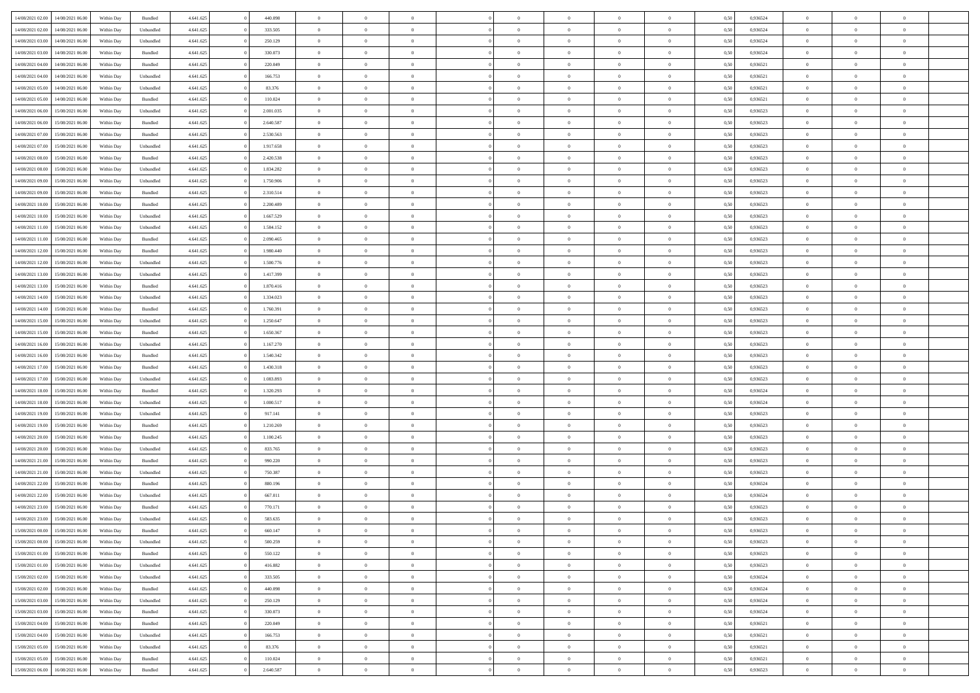|                  |                  |            |                    |           |           | $\overline{0}$ | $\Omega$       |                |                | $\Omega$       | $\theta$       | $\theta$       |      |          | $\theta$       |                |                |  |
|------------------|------------------|------------|--------------------|-----------|-----------|----------------|----------------|----------------|----------------|----------------|----------------|----------------|------|----------|----------------|----------------|----------------|--|
| 14/08/2021 02:00 | 14/08/2021 06:00 | Within Day | Bundled            | 4.641.625 | 440.098   |                |                |                | $\Omega$       |                |                |                | 0.50 | 0,936524 |                | $\theta$       | $\overline{0}$ |  |
| 14/08/2021 02:00 | 14/08/2021 06:00 | Within Day | Unbundled          | 4.641.625 | 333.505   | $\overline{0}$ | $\theta$       | $\overline{0}$ | $\overline{0}$ | $\bf{0}$       | $\overline{0}$ | $\bf{0}$       | 0,50 | 0,936524 | $\theta$       | $\overline{0}$ | $\overline{0}$ |  |
| 14/08/2021 03:00 | 14/08/2021 06:00 | Within Day | Unbundled          | 4.641.625 | 250.129   | $\overline{0}$ | $\bf{0}$       | $\overline{0}$ | $\bf{0}$       | $\bf{0}$       | $\bf{0}$       | $\mathbf{0}$   | 0,50 | 0,936524 | $\overline{0}$ | $\overline{0}$ | $\bf{0}$       |  |
| 14/08/2021 03:00 | 14/08/2021 06:00 | Within Dav | Bundled            | 4.641.625 | 330.073   | $\overline{0}$ | $\overline{0}$ | $\overline{0}$ | $\overline{0}$ | $\bf{0}$       | $\overline{0}$ | $\overline{0}$ | 0.50 | 0.936524 | $\theta$       | $\theta$       | $\overline{0}$ |  |
|                  |                  |            |                    |           |           |                |                |                |                |                |                |                |      |          |                |                |                |  |
| 14/08/2021 04:00 | 14/08/2021 06:00 | Within Day | Bundled            | 4.641.625 | 220.049   | $\overline{0}$ | $\theta$       | $\overline{0}$ | $\overline{0}$ | $\bf{0}$       | $\overline{0}$ | $\bf{0}$       | 0,50 | 0,936521 | $\theta$       | $\overline{0}$ | $\overline{0}$ |  |
| 14/08/2021 04:00 | 14/08/2021 06:00 | Within Day | Unbundled          | 4.641.625 | 166.753   | $\overline{0}$ | $\overline{0}$ | $\overline{0}$ | $\bf{0}$       | $\overline{0}$ | $\overline{0}$ | $\mathbf{0}$   | 0,50 | 0,936521 | $\overline{0}$ | $\overline{0}$ | $\bf{0}$       |  |
| 14/08/2021 05:00 | 14/08/2021 06:00 | Within Dav | Unbundled          | 4.641.625 | 83.376    | $\overline{0}$ | $\overline{0}$ | $\overline{0}$ | $\overline{0}$ | $\overline{0}$ | $\overline{0}$ | $\overline{0}$ | 0.50 | 0,936521 | $\theta$       | $\overline{0}$ | $\overline{0}$ |  |
| 14/08/2021 05:00 | 14/08/2021 06:00 | Within Day | Bundled            | 4.641.625 | 110.024   | $\overline{0}$ | $\theta$       | $\overline{0}$ | $\overline{0}$ | $\bf{0}$       | $\overline{0}$ | $\bf{0}$       | 0,50 | 0,936521 | $\theta$       | $\theta$       | $\overline{0}$ |  |
| 14/08/2021 06:00 | 15/08/2021 06:00 | Within Day | Unbundled          | 4.641.625 | 2.001.035 | $\overline{0}$ | $\overline{0}$ | $\overline{0}$ | $\bf{0}$       | $\bf{0}$       | $\bf{0}$       | $\bf{0}$       | 0,50 | 0,936523 | $\,0\,$        | $\overline{0}$ | $\overline{0}$ |  |
|                  |                  |            |                    |           |           |                |                |                |                |                |                |                |      |          |                |                |                |  |
| 14/08/2021 06:00 | 15/08/2021 06:00 | Within Dav | Bundled            | 4.641.625 | 2.640.587 | $\overline{0}$ | $\overline{0}$ | $\overline{0}$ | $\overline{0}$ | $\overline{0}$ | $\overline{0}$ | $\overline{0}$ | 0.50 | 0.936523 | $\theta$       | $\overline{0}$ | $\overline{0}$ |  |
| 14/08/2021 07:00 | 15/08/2021 06:00 | Within Day | Bundled            | 4.641.625 | 2.530.563 | $\overline{0}$ | $\theta$       | $\overline{0}$ | $\overline{0}$ | $\bf{0}$       | $\overline{0}$ | $\bf{0}$       | 0,50 | 0,936523 | $\,$ 0 $\,$    | $\overline{0}$ | $\overline{0}$ |  |
| 14/08/2021 07:00 | 15/08/2021 06:00 | Within Day | Unbundled          | 4.641.625 | 1.917.658 | $\overline{0}$ | $\overline{0}$ | $\overline{0}$ | $\bf{0}$       | $\bf{0}$       | $\bf{0}$       | $\mathbf{0}$   | 0,50 | 0,936523 | $\overline{0}$ | $\overline{0}$ | $\bf{0}$       |  |
| 14/08/2021 08:00 | 15/08/2021 06:00 | Within Day | Bundled            | 4.641.625 | 2.420.538 | $\overline{0}$ | $\overline{0}$ | $\overline{0}$ | $\overline{0}$ | $\bf{0}$       | $\overline{0}$ | $\overline{0}$ | 0.50 | 0.936523 | $\theta$       | $\theta$       | $\overline{0}$ |  |
| 14/08/2021 08:00 | 15/08/2021 06:00 | Within Day | Unbundled          | 4.641.625 | 1.834.282 | $\overline{0}$ | $\theta$       | $\overline{0}$ | $\overline{0}$ | $\bf{0}$       | $\overline{0}$ | $\bf{0}$       | 0,50 | 0,936523 | $\theta$       | $\overline{0}$ | $\overline{0}$ |  |
|                  |                  |            |                    |           |           |                |                |                |                |                |                |                |      |          |                |                |                |  |
| 14/08/2021 09:00 | 15/08/2021 06:00 | Within Day | Unbundled          | 4.641.625 | 1.750.906 | $\overline{0}$ | $\overline{0}$ | $\overline{0}$ | $\overline{0}$ | $\overline{0}$ | $\overline{0}$ | $\mathbf{0}$   | 0,50 | 0,936523 | $\overline{0}$ | $\overline{0}$ | $\bf{0}$       |  |
| 14/08/2021 09:00 | 15/08/2021 06:00 | Within Dav | Bundled            | 4.641.625 | 2.310.514 | $\overline{0}$ | $\overline{0}$ | $\overline{0}$ | $\overline{0}$ | $\overline{0}$ | $\overline{0}$ | $\overline{0}$ | 0.50 | 0.936523 | $\theta$       | $\overline{0}$ | $\overline{0}$ |  |
| 14/08/2021 10:00 | 15/08/2021 06:00 | Within Day | Bundled            | 4.641.625 | 2.200.489 | $\overline{0}$ | $\theta$       | $\overline{0}$ | $\overline{0}$ | $\bf{0}$       | $\overline{0}$ | $\bf{0}$       | 0,50 | 0,936523 | $\theta$       | $\theta$       | $\overline{0}$ |  |
| 14/08/2021 10:00 | 15/08/2021 06:00 | Within Day | Unbundled          | 4.641.625 | 1.667.529 | $\overline{0}$ | $\overline{0}$ | $\overline{0}$ | $\overline{0}$ | $\bf{0}$       | $\overline{0}$ | $\mathbf{0}$   | 0,50 | 0,936523 | $\,0\,$        | $\overline{0}$ | $\overline{0}$ |  |
| 14/08/2021 11:00 | 15/08/2021 06:00 | Within Day | Unbundled          | 4.641.625 | 1.584.152 | $\overline{0}$ | $\overline{0}$ | $\overline{0}$ | $\overline{0}$ | $\overline{0}$ | $\overline{0}$ | $\overline{0}$ | 0.50 | 0.936523 | $\theta$       | $\overline{0}$ | $\overline{0}$ |  |
|                  |                  |            |                    |           |           |                |                |                |                |                |                |                |      |          |                |                |                |  |
| 14/08/2021 11:00 | 15/08/2021 06:00 | Within Day | Bundled            | 4.641.625 | 2.090.465 | $\overline{0}$ | $\theta$       | $\overline{0}$ | $\overline{0}$ | $\bf{0}$       | $\overline{0}$ | $\bf{0}$       | 0,50 | 0,936523 | $\,$ 0 $\,$    | $\overline{0}$ | $\overline{0}$ |  |
| 14/08/2021 12:00 | 15/08/2021 06:00 | Within Day | Bundled            | 4.641.625 | 1.980.440 | $\overline{0}$ | $\overline{0}$ | $\overline{0}$ | $\overline{0}$ | $\bf{0}$       | $\overline{0}$ | $\bf{0}$       | 0,50 | 0,936523 | $\bf{0}$       | $\overline{0}$ | $\bf{0}$       |  |
| 14/08/2021 12:00 | 15/08/2021 06:00 | Within Day | Unbundled          | 4.641.625 | 1.500.776 | $\overline{0}$ | $\overline{0}$ | $\overline{0}$ | $\overline{0}$ | $\bf{0}$       | $\overline{0}$ | $\overline{0}$ | 0.50 | 0.936523 | $\theta$       | $\overline{0}$ | $\overline{0}$ |  |
| 14/08/2021 13:00 | 15/08/2021 06:00 | Within Day | Unbundled          | 4.641.625 | 1.417.399 | $\overline{0}$ | $\theta$       | $\overline{0}$ | $\overline{0}$ | $\bf{0}$       | $\overline{0}$ | $\bf{0}$       | 0,50 | 0,936523 | $\theta$       | $\overline{0}$ | $\overline{0}$ |  |
| 14/08/2021 13:00 | 15/08/2021 06:00 | Within Day | Bundled            | 4.641.625 | 1.870.416 | $\overline{0}$ | $\overline{0}$ | $\overline{0}$ | $\overline{0}$ | $\overline{0}$ | $\overline{0}$ | $\mathbf{0}$   | 0,50 | 0,936523 | $\overline{0}$ | $\overline{0}$ | $\bf{0}$       |  |
|                  |                  |            |                    |           |           |                |                |                |                |                |                |                |      |          |                |                |                |  |
| 14/08/2021 14:00 | 15/08/2021 06:00 | Within Dav | Unbundled          | 4.641.625 | 1.334.023 | $\overline{0}$ | $\overline{0}$ | $\overline{0}$ | $\overline{0}$ | $\overline{0}$ | $\overline{0}$ | $\overline{0}$ | 0.50 | 0.936523 | $\theta$       | $\overline{0}$ | $\overline{0}$ |  |
| 14/08/2021 14:00 | 15/08/2021 06:00 | Within Day | Bundled            | 4.641.625 | 1.760.391 | $\overline{0}$ | $\theta$       | $\overline{0}$ | $\overline{0}$ | $\bf{0}$       | $\overline{0}$ | $\bf{0}$       | 0,50 | 0,936523 | $\theta$       | $\theta$       | $\overline{0}$ |  |
| 14/08/2021 15:00 | 15/08/2021 06:00 | Within Day | Unbundled          | 4.641.625 | 1.250.647 | $\overline{0}$ | $\overline{0}$ | $\overline{0}$ | $\overline{0}$ | $\bf{0}$       | $\overline{0}$ | $\bf{0}$       | 0,50 | 0,936523 | $\,0\,$        | $\overline{0}$ | $\overline{0}$ |  |
| 14/08/2021 15:00 | 15/08/2021 06:00 | Within Day | Bundled            | 4.641.625 | 1.650.367 | $\overline{0}$ | $\overline{0}$ | $\overline{0}$ | $\overline{0}$ | $\overline{0}$ | $\overline{0}$ | $\overline{0}$ | 0.50 | 0.936523 | $\theta$       | $\overline{0}$ | $\overline{0}$ |  |
| 14/08/2021 16:00 | 15/08/2021 06:00 | Within Day | Unbundled          | 4.641.625 | 1.167.270 | $\overline{0}$ | $\theta$       | $\overline{0}$ | $\overline{0}$ | $\bf{0}$       | $\overline{0}$ | $\bf{0}$       | 0,50 | 0,936523 | $\,$ 0 $\,$    | $\overline{0}$ | $\overline{0}$ |  |
| 14/08/2021 16:00 | 15/08/2021 06:00 | Within Day | Bundled            | 4.641.625 | 1.540.342 | $\overline{0}$ | $\overline{0}$ | $\overline{0}$ | $\overline{0}$ | $\bf{0}$       | $\overline{0}$ | $\bf{0}$       | 0,50 | 0,936523 | $\overline{0}$ | $\overline{0}$ | $\bf{0}$       |  |
|                  |                  |            |                    |           |           |                |                |                |                |                |                |                |      |          |                |                | $\theta$       |  |
| 14/08/2021 17:00 | 15/08/2021 06:00 | Within Day | Bundled            | 4.641.625 | 1.430.318 | $\overline{0}$ | $\Omega$       | $\Omega$       | $\Omega$       | $\Omega$       | $\overline{0}$ | $\overline{0}$ | 0,50 | 0,936523 | $\,0\,$        | $\theta$       |                |  |
| 14/08/2021 17:00 | 15/08/2021 06:00 | Within Day | Unbundled          | 4.641.625 | 1.083.893 | $\overline{0}$ | $\theta$       | $\overline{0}$ | $\overline{0}$ | $\bf{0}$       | $\overline{0}$ | $\bf{0}$       | 0,50 | 0,936523 | $\theta$       | $\overline{0}$ | $\overline{0}$ |  |
| 14/08/2021 18:00 | 15/08/2021 06:00 | Within Day | Bundled            | 4.641.625 | 1.320.293 | $\overline{0}$ | $\overline{0}$ | $\overline{0}$ | $\overline{0}$ | $\overline{0}$ | $\overline{0}$ | $\mathbf{0}$   | 0,50 | 0,936524 | $\overline{0}$ | $\overline{0}$ | $\bf{0}$       |  |
| 14/08/2021 18:00 | 15/08/2021 06:00 | Within Day | Unbundled          | 4.641.625 | 1.000.517 | $\overline{0}$ | $\Omega$       | $\Omega$       | $\Omega$       | $\bf{0}$       | $\overline{0}$ | $\overline{0}$ | 0.50 | 0.936524 | $\,0\,$        | $\theta$       | $\theta$       |  |
| 14/08/2021 19:00 | 15/08/2021 06:00 | Within Day | Unbundled          | 4.641.625 | 917.141   | $\overline{0}$ | $\theta$       | $\overline{0}$ | $\overline{0}$ | $\bf{0}$       | $\overline{0}$ | $\bf{0}$       | 0,50 | 0,936523 | $\theta$       | $\overline{0}$ | $\overline{0}$ |  |
| 14/08/2021 19:00 | 15/08/2021 06:00 | Within Day | Bundled            | 4.641.625 | 1.210.269 | $\overline{0}$ | $\overline{0}$ | $\overline{0}$ | $\overline{0}$ | $\bf{0}$       | $\overline{0}$ | $\bf{0}$       | 0,50 | 0,936523 | $\bf{0}$       | $\overline{0}$ | $\bf{0}$       |  |
|                  |                  |            |                    |           |           |                |                |                |                |                |                |                |      |          |                |                |                |  |
| 14/08/2021 20:00 | 15/08/2021 06:00 | Within Day | Bundled            | 4.641.625 | 1.100.245 | $\overline{0}$ | $\Omega$       | $\Omega$       | $\Omega$       | $\theta$       | $\overline{0}$ | $\overline{0}$ | 0.50 | 0.936523 | $\theta$       | $\theta$       | $\theta$       |  |
| 14/08/2021 20:00 | 15/08/2021 06:00 | Within Day | Unbundled          | 4.641.625 | 833.765   | $\overline{0}$ | $\theta$       | $\overline{0}$ | $\overline{0}$ | $\bf{0}$       | $\overline{0}$ | $\bf{0}$       | 0,50 | 0,936523 | $\,$ 0 $\,$    | $\overline{0}$ | $\overline{0}$ |  |
| 14/08/2021 21.00 | 15/08/2021 06:00 | Within Day | Bundled            | 4.641.625 | 990.220   | $\overline{0}$ | $\bf{0}$       | $\overline{0}$ | $\overline{0}$ | $\bf{0}$       | $\overline{0}$ | $\mathbf{0}$   | 0,50 | 0,936523 | $\overline{0}$ | $\overline{0}$ | $\bf{0}$       |  |
| 14/08/2021 21:00 | 15/08/2021 06:00 | Within Day | Unbundled          | 4.641.625 | 750.387   | $\overline{0}$ | $\Omega$       | $\Omega$       | $\Omega$       | $\overline{0}$ | $\overline{0}$ | $\overline{0}$ | 0,50 | 0,936523 | $\,0\,$        | $\theta$       | $\theta$       |  |
| 14/08/2021 22:00 | 15/08/2021 06:00 | Within Day | Bundled            | 4.641.625 | 880.196   | $\overline{0}$ | $\overline{0}$ | $\overline{0}$ | $\overline{0}$ | $\,$ 0         | $\overline{0}$ | $\bf{0}$       | 0,50 | 0,936524 | $\,$ 0 $\,$    | $\overline{0}$ | $\overline{0}$ |  |
| 14/08/2021 22.00 | 15/08/2021 06:00 | Within Day | Unbundled          | 4.641.625 | 667.011   | $\overline{0}$ | $\overline{0}$ | $\overline{0}$ | $\overline{0}$ | $\bf{0}$       | $\overline{0}$ | $\mathbf{0}$   | 0,50 | 0,936524 | $\overline{0}$ | $\overline{0}$ | $\bf{0}$       |  |
|                  |                  |            |                    |           |           |                |                |                |                |                |                |                |      |          |                |                |                |  |
| 14/08/2021 23:00 | 15/08/2021 06:00 | Within Day | Bundled            | 4.641.625 | 770.171   | $\overline{0}$ | $\Omega$       | $\Omega$       | $\Omega$       | $\Omega$       | $\Omega$       | $\overline{0}$ | 0.50 | 0.936523 | $\theta$       | $\theta$       | $\theta$       |  |
| 14/08/2021 23:00 | 15/08/2021 06:00 | Within Day | Unbundled          | 4.641.625 | 583.635   | $\overline{0}$ | $\overline{0}$ | $\overline{0}$ | $\bf{0}$       | $\,$ 0         | $\overline{0}$ | $\bf{0}$       | 0,50 | 0,936523 | $\,0\,$        | $\,$ 0 $\,$    | $\overline{0}$ |  |
| 15/08/2021 00:00 | 15/08/2021 06:00 | Within Day | $\mathbf B$ undled | 4.641.625 | 660.147   | $\bf{0}$       | $\bf{0}$       |                |                | $\bf{0}$       |                |                | 0,50 | 0,936523 | $\bf{0}$       | $\overline{0}$ |                |  |
| 15/08/2021 00:00 | 15/08/2021 06:00 | Within Day | Unbundled          | 4.641.625 | 500.259   | $\overline{0}$ | $\overline{0}$ | $\overline{0}$ | $\Omega$       | $\overline{0}$ | $\overline{0}$ | $\overline{0}$ | 0,50 | 0.936523 | $\theta$       | $\theta$       | $\Omega$       |  |
| 15/08/2021 01:00 | 15/08/2021 06:00 | Within Day | Bundled            | 4.641.625 | 550.122   | $\overline{0}$ | $\bf{0}$       | $\overline{0}$ | $\overline{0}$ | $\,$ 0 $\,$    | $\overline{0}$ | $\,$ 0 $\,$    | 0,50 | 0,936523 | $\,$ 0 $\,$    | $\,$ 0 $\,$    | $\,$ 0         |  |
| 15/08/2021 01:00 | 15/08/2021 06:00 | Within Day | Unbundled          | 4.641.625 | 416.882   | $\overline{0}$ | $\overline{0}$ | $\overline{0}$ | $\overline{0}$ | $\overline{0}$ | $\overline{0}$ | $\mathbf{0}$   | 0,50 | 0,936523 | $\overline{0}$ | $\bf{0}$       | $\bf{0}$       |  |
|                  |                  |            |                    |           |           |                |                |                |                |                |                |                |      |          |                |                |                |  |
| 15/08/2021 02:00 | 15/08/2021 06:00 | Within Day | Unbundled          | 4.641.625 | 333.505   | $\overline{0}$ | $\overline{0}$ | $\overline{0}$ | $\Omega$       | $\overline{0}$ | $\overline{0}$ | $\overline{0}$ | 0,50 | 0,936524 | $\overline{0}$ | $\theta$       | $\overline{0}$ |  |
| 15/08/2021 02:00 | 15/08/2021 06:00 | Within Day | Bundled            | 4.641.625 | 440.098   | $\overline{0}$ | $\,$ 0         | $\overline{0}$ | $\overline{0}$ | $\,$ 0 $\,$    | $\overline{0}$ | $\mathbf{0}$   | 0,50 | 0,936524 | $\,$ 0 $\,$    | $\overline{0}$ | $\overline{0}$ |  |
| 15/08/2021 03:00 | 15/08/2021 06:00 | Within Day | Unbundled          | 4.641.625 | 250.129   | $\overline{0}$ | $\overline{0}$ | $\overline{0}$ | $\overline{0}$ | $\overline{0}$ | $\overline{0}$ | $\mathbf{0}$   | 0,50 | 0,936524 | $\overline{0}$ | $\overline{0}$ | $\bf{0}$       |  |
| 15/08/2021 03:00 | 15/08/2021 06:00 | Within Day | Bundled            | 4.641.625 | 330.073   | $\overline{0}$ | $\overline{0}$ | $\overline{0}$ | $\Omega$       | $\overline{0}$ | $\overline{0}$ | $\bf{0}$       | 0.50 | 0,936524 | $\overline{0}$ | $\theta$       | $\overline{0}$ |  |
| 15/08/2021 04:00 | 15/08/2021 06:00 | Within Day | Bundled            | 4.641.625 | 220.049   | $\overline{0}$ | $\,$ 0         | $\overline{0}$ | $\bf{0}$       | $\bf{0}$       | $\bf{0}$       | $\bf{0}$       | 0,50 | 0,936521 | $\,$ 0 $\,$    | $\overline{0}$ | $\overline{0}$ |  |
|                  |                  |            |                    |           |           |                |                |                |                |                |                |                |      |          |                |                |                |  |
| 15/08/2021 04:00 | 15/08/2021 06:00 | Within Day | Unbundled          | 4.641.625 | 166.753   | $\overline{0}$ | $\bf{0}$       | $\overline{0}$ | $\overline{0}$ | $\overline{0}$ | $\overline{0}$ | $\mathbf{0}$   | 0,50 | 0,936521 | $\overline{0}$ | $\overline{0}$ | $\bf{0}$       |  |
| 15/08/2021 05:00 | 15/08/2021 06:00 | Within Day | Unbundled          | 4.641.625 | 83.376    | $\overline{0}$ | $\overline{0}$ | $\overline{0}$ | $\Omega$       | $\overline{0}$ | $\overline{0}$ | $\overline{0}$ | 0.50 | 0.936521 | $\overline{0}$ | $\overline{0}$ | $\overline{0}$ |  |
| 15/08/2021 05:00 | 15/08/2021 06:00 | Within Day | Bundled            | 4.641.625 | 110.024   | $\overline{0}$ | $\bf{0}$       | $\overline{0}$ | $\overline{0}$ | $\bf{0}$       | $\bf{0}$       | $\mathbf{0}$   | 0,50 | 0,936521 | $\,$ 0 $\,$    | $\,$ 0 $\,$    | $\bf{0}$       |  |
| 15/08/2021 06:00 | 16/08/2021 06:00 | Within Day | Bundled            | 4.641.625 | 2.640.587 | $\overline{0}$ | $\overline{0}$ | $\overline{0}$ | $\overline{0}$ | $\overline{0}$ | $\bf{0}$       | $\mathbf{0}$   | 0,50 | 0,936523 | $\overline{0}$ | $\bf{0}$       | $\bf{0}$       |  |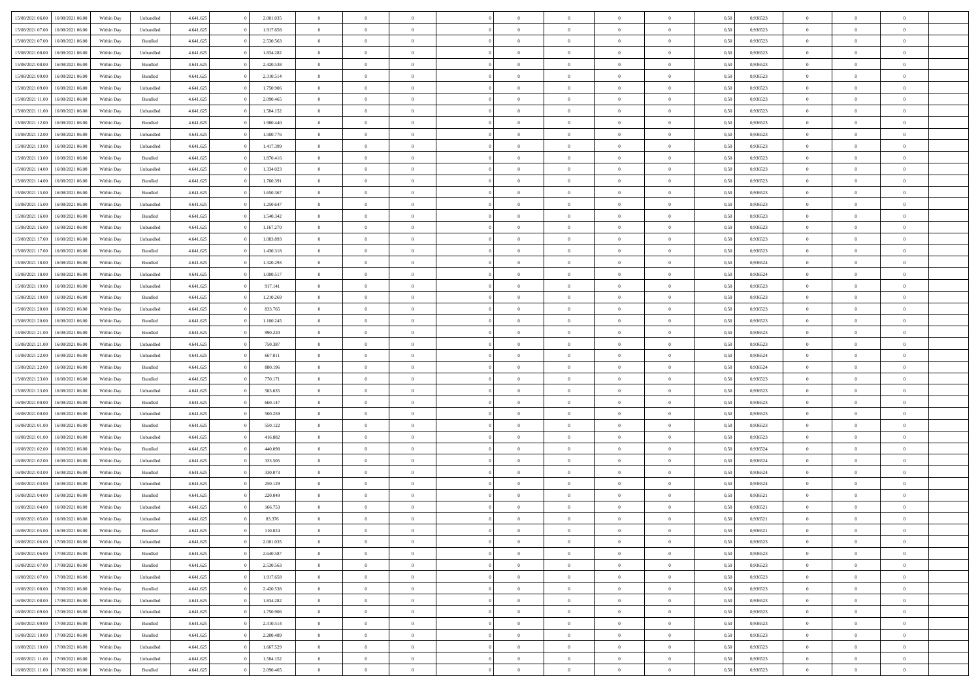| 15/08/2021 06:00                  | 16/08/2021 06:00 | Within Day | Unbundled          | 4.641.625 | 2.001.035 | $\overline{0}$ | $\theta$       |                | $\overline{0}$ | $\bf{0}$       | $\overline{0}$ | $\theta$       | 0,50 | 0,936523 | $\theta$       | $\theta$       | $\theta$       |  |
|-----------------------------------|------------------|------------|--------------------|-----------|-----------|----------------|----------------|----------------|----------------|----------------|----------------|----------------|------|----------|----------------|----------------|----------------|--|
| 15/08/2021 07:00                  | 16/08/2021 06.00 | Within Day | Unbundled          | 4.641.625 | 1.917.658 | $\overline{0}$ | $\overline{0}$ | $\overline{0}$ | $\overline{0}$ | $\bf{0}$       | $\bf{0}$       | $\bf{0}$       | 0,50 | 0,936523 | $\,$ 0 $\,$    | $\overline{0}$ | $\overline{0}$ |  |
|                                   |                  |            |                    |           |           |                |                |                |                |                |                |                |      |          |                |                |                |  |
| 15/08/2021 07:00                  | 16/08/2021 06:00 | Within Day | Bundled            | 4.641.625 | 2.530.563 | $\overline{0}$ | $\overline{0}$ | $\overline{0}$ | $\overline{0}$ | $\overline{0}$ | $\overline{0}$ | $\mathbf{0}$   | 0.50 | 0.936523 | $\overline{0}$ | $\overline{0}$ | $\bf{0}$       |  |
| 15/08/2021 08:00                  | 16/08/2021 06:00 | Within Day | Unbundled          | 4.641.625 | 1.834.282 | $\overline{0}$ | $\overline{0}$ | $\overline{0}$ | $\overline{0}$ | $\,0\,$        | $\overline{0}$ | $\overline{0}$ | 0,50 | 0,936523 | $\,$ 0 $\,$    | $\overline{0}$ | $\overline{0}$ |  |
| 15/08/2021 08:00                  | 16/08/2021 06.00 | Within Day | Bundled            | 4.641.625 | 2.420.538 | $\overline{0}$ | $\theta$       | $\overline{0}$ | $\overline{0}$ | $\,$ 0         | $\overline{0}$ | $\bf{0}$       | 0,50 | 0,936523 | $\,$ 0 $\,$    | $\overline{0}$ | $\overline{0}$ |  |
| 15/08/2021 09:00                  | 16/08/2021 06:00 | Within Day | Bundled            | 4.641.625 | 2.310.514 | $\overline{0}$ | $\overline{0}$ | $\overline{0}$ | $\overline{0}$ | $\bf{0}$       | $\overline{0}$ | $\bf{0}$       | 0.50 | 0.936523 | $\,0\,$        | $\overline{0}$ | $\overline{0}$ |  |
| 15/08/2021 09:00                  | 16/08/2021 06:00 | Within Day | Unbundled          | 4.641.625 | 1.750.906 | $\overline{0}$ | $\overline{0}$ | $\overline{0}$ | $\overline{0}$ | $\bf{0}$       | $\overline{0}$ | $\bf{0}$       | 0,50 | 0,936523 | $\,$ 0 $\,$    | $\overline{0}$ | $\overline{0}$ |  |
| 15/08/2021 11:00                  | 16/08/2021 06.00 | Within Day | Bundled            | 4.641.625 | 2.090.465 | $\overline{0}$ | $\overline{0}$ | $\overline{0}$ | $\overline{0}$ | $\,$ 0         | $\bf{0}$       | $\bf{0}$       | 0,50 | 0,936523 | $\,$ 0 $\,$    | $\overline{0}$ | $\overline{0}$ |  |
| 15/08/2021 11:00                  | 16/08/2021 06:00 | Within Day | Unbundled          | 4.641.625 | 1.584.152 | $\overline{0}$ | $\overline{0}$ | $\overline{0}$ | $\overline{0}$ | $\bf{0}$       | $\overline{0}$ | $\mathbf{0}$   | 0.50 | 0.936523 | $\bf{0}$       | $\overline{0}$ | $\bf{0}$       |  |
| 15/08/2021 12:00                  | 16/08/2021 06:00 | Within Day | Bundled            | 4.641.625 | 1.980.440 | $\overline{0}$ | $\overline{0}$ | $\overline{0}$ | $\overline{0}$ | $\bf{0}$       | $\overline{0}$ | $\bf{0}$       | 0,50 | 0,936523 | $\,$ 0 $\,$    | $\overline{0}$ | $\overline{0}$ |  |
| 15/08/2021 12:00                  | 16/08/2021 06.00 | Within Day | Unbundled          | 4.641.625 | 1.500.776 | $\overline{0}$ | $\overline{0}$ | $\overline{0}$ | $\overline{0}$ | $\,$ 0         | $\bf{0}$       | $\bf{0}$       | 0,50 | 0,936523 | $\,$ 0 $\,$    | $\overline{0}$ | $\overline{0}$ |  |
| 15/08/2021 13:00                  | 16/08/2021 06:00 | Within Day | Unbundled          | 4.641.625 | 1.417.399 | $\overline{0}$ | $\overline{0}$ | $\overline{0}$ | $\overline{0}$ | $\bf{0}$       | $\overline{0}$ | $\mathbf{0}$   | 0.50 | 0.936523 | $\overline{0}$ | $\,$ 0 $\,$    | $\bf{0}$       |  |
|                                   |                  |            |                    |           |           | $\overline{0}$ | $\overline{0}$ | $\overline{0}$ | $\overline{0}$ | $\bf{0}$       | $\overline{0}$ | $\overline{0}$ |      |          | $\,$ 0 $\,$    | $\overline{0}$ |                |  |
| 15/08/2021 13:00                  | 16/08/2021 06:00 | Within Day | Bundled            | 4.641.625 | 1.870.416 |                |                |                |                |                |                |                | 0,50 | 0,936523 |                |                | $\overline{0}$ |  |
| 15/08/2021 14:00                  | 16/08/2021 06.00 | Within Day | Unbundled          | 4.641.625 | 1.334.023 | $\overline{0}$ | $\theta$       | $\overline{0}$ | $\overline{0}$ | $\,$ 0         | $\bf{0}$       | $\bf{0}$       | 0,50 | 0,936523 | $\,$ 0 $\,$    | $\overline{0}$ | $\overline{0}$ |  |
| 15/08/2021 14:00                  | 16/08/2021 06:00 | Within Day | Bundled            | 4.641.625 | 1.760.391 | $\overline{0}$ | $\overline{0}$ | $\overline{0}$ | $\overline{0}$ | $\bf{0}$       | $\overline{0}$ | $\bf{0}$       | 0.50 | 0.936523 | $\,0\,$        | $\overline{0}$ | $\overline{0}$ |  |
| 15/08/2021 15:00                  | 16/08/2021 06:00 | Within Day | Bundled            | 4.641.625 | 1.650.367 | $\overline{0}$ | $\overline{0}$ | $\overline{0}$ | $\overline{0}$ | $\bf{0}$       | $\overline{0}$ | $\bf{0}$       | 0,50 | 0,936523 | $\,$ 0 $\,$    | $\theta$       | $\overline{0}$ |  |
| 15/08/2021 15:00                  | 16/08/2021 06.00 | Within Day | Unbundled          | 4.641.625 | 1.250.647 | $\overline{0}$ | $\overline{0}$ | $\overline{0}$ | $\overline{0}$ | $\,$ 0         | $\overline{0}$ | $\bf{0}$       | 0,50 | 0,936523 | $\,$ 0 $\,$    | $\overline{0}$ | $\overline{0}$ |  |
| 15/08/2021 16:00                  | 16/08/2021 06:00 | Within Day | Bundled            | 4.641.625 | 1.540.342 | $\overline{0}$ | $\overline{0}$ | $\overline{0}$ | $\overline{0}$ | $\bf{0}$       | $\overline{0}$ | $\mathbf{0}$   | 0.50 | 0.936523 | $\bf{0}$       | $\overline{0}$ | $\bf{0}$       |  |
| 15/08/2021 16:00                  | 16/08/2021 06:00 | Within Day | Unbundled          | 4.641.625 | 1.167.270 | $\overline{0}$ | $\overline{0}$ | $\overline{0}$ | $\overline{0}$ | $\bf{0}$       | $\overline{0}$ | $\bf{0}$       | 0,50 | 0,936523 | $\,$ 0 $\,$    | $\overline{0}$ | $\overline{0}$ |  |
| 15/08/2021 17:00                  | 16/08/2021 06.00 | Within Day | Unbundled          | 4.641.625 | 1.083.893 | $\overline{0}$ | $\overline{0}$ | $\overline{0}$ | $\overline{0}$ | $\bf{0}$       | $\overline{0}$ | $\bf{0}$       | 0,50 | 0,936523 | $\,$ 0 $\,$    | $\overline{0}$ | $\overline{0}$ |  |
| 15/08/2021 17:00                  | 16/08/2021 06:00 | Within Day | Bundled            | 4.641.625 | 1.430.318 | $\overline{0}$ | $\overline{0}$ | $\overline{0}$ | $\overline{0}$ | $\bf{0}$       | $\overline{0}$ | $\mathbf{0}$   | 0.50 | 0.936523 | $\overline{0}$ | $\,$ 0 $\,$    | $\overline{0}$ |  |
| 15/08/2021 18:00                  | 16/08/2021 06:00 | Within Day | Bundled            | 4.641.625 | 1.320.293 | $\overline{0}$ | $\overline{0}$ | $\overline{0}$ | $\overline{0}$ | $\bf{0}$       | $\overline{0}$ | $\overline{0}$ | 0,50 | 0,936524 | $\,$ 0 $\,$    | $\overline{0}$ | $\overline{0}$ |  |
| 15/08/2021 18:00                  | 16/08/2021 06.00 | Within Day | Unbundled          | 4.641.625 | 1.000.517 | $\overline{0}$ | $\overline{0}$ | $\overline{0}$ | $\overline{0}$ | $\bf{0}$       | $\overline{0}$ | $\bf{0}$       | 0,50 | 0,936524 | $\,$ 0 $\,$    | $\overline{0}$ | $\overline{0}$ |  |
|                                   |                  |            |                    |           |           |                |                |                |                |                |                |                |      |          |                |                |                |  |
| 15/08/2021 19:00                  | 16/08/2021 06:00 | Within Day | Unbundled          | 4.641.625 | 917.141   | $\overline{0}$ | $\overline{0}$ | $\overline{0}$ | $\overline{0}$ | $\bf{0}$       | $\overline{0}$ | $\bf{0}$       | 0.50 | 0.936523 | $\,0\,$        | $\overline{0}$ | $\overline{0}$ |  |
| 15/08/2021 19:00                  | 16/08/2021 06:00 | Within Day | Bundled            | 4.641.625 | 1.210.269 | $\overline{0}$ | $\overline{0}$ | $\overline{0}$ | $\overline{0}$ | $\bf{0}$       | $\overline{0}$ | $\bf{0}$       | 0,50 | 0,936523 | $\,$ 0 $\,$    | $\theta$       | $\overline{0}$ |  |
| 15/08/2021 20:00                  | 16/08/2021 06.00 | Within Day | Unbundled          | 4.641.625 | 833.765   | $\overline{0}$ | $\overline{0}$ | $\overline{0}$ | $\overline{0}$ | $\,$ 0         | $\overline{0}$ | $\bf{0}$       | 0,50 | 0,936523 | $\,$ 0 $\,$    | $\overline{0}$ | $\overline{0}$ |  |
| 15/08/2021 20:00                  | 16/08/2021 06:00 | Within Day | Bundled            | 4.641.625 | 1.100.245 | $\overline{0}$ | $\overline{0}$ | $\overline{0}$ | $\overline{0}$ | $\bf{0}$       | $\overline{0}$ | $\mathbf{0}$   | 0.50 | 0.936523 | $\bf{0}$       | $\overline{0}$ | $\bf{0}$       |  |
| 15/08/2021 21:00                  | 16/08/2021 06:00 | Within Day | Bundled            | 4.641.625 | 990.220   | $\overline{0}$ | $\overline{0}$ | $\overline{0}$ | $\overline{0}$ | $\bf{0}$       | $\overline{0}$ | $\bf{0}$       | 0,50 | 0,936523 | $\,$ 0 $\,$    | $\overline{0}$ | $\overline{0}$ |  |
| 15/08/2021 21:00                  | 16/08/2021 06.00 | Within Day | Unbundled          | 4.641.625 | 750.387   | $\overline{0}$ | $\overline{0}$ | $\overline{0}$ | $\overline{0}$ | $\bf{0}$       | $\overline{0}$ | $\bf{0}$       | 0,50 | 0,936523 | $\,$ 0 $\,$    | $\overline{0}$ | $\overline{0}$ |  |
| 15/08/2021 22:00                  | 16/08/2021 06:00 | Within Day | Unbundled          | 4.641.625 | 667.011   | $\overline{0}$ | $\overline{0}$ | $\overline{0}$ | $\overline{0}$ | $\bf{0}$       | $\overline{0}$ | $\mathbf{0}$   | 0.50 | 0.936524 | $\overline{0}$ | $\,$ 0 $\,$    | $\bf{0}$       |  |
| 15/08/2021 22:00                  | 16/08/2021 06:00 | Within Dav | Bundled            | 4.641.625 | 880.196   | $\overline{0}$ | $\overline{0}$ | $\overline{0}$ | $\overline{0}$ | $\overline{0}$ | $\overline{0}$ | $\overline{0}$ | 0.50 | 0,936524 | $\theta$       | $\overline{0}$ | $\overline{0}$ |  |
| 15/08/2021 23:00                  | 16/08/2021 06.00 | Within Day | Bundled            | 4.641.625 | 770.171   | $\overline{0}$ | $\overline{0}$ | $\overline{0}$ | $\overline{0}$ | $\bf{0}$       | $\overline{0}$ | $\bf{0}$       | 0,50 | 0,936523 | $\,$ 0 $\,$    | $\overline{0}$ | $\overline{0}$ |  |
| 15/08/2021 23:00                  | 16/08/2021 06:00 | Within Day | Unbundled          | 4.641.625 | 583.635   | $\overline{0}$ | $\overline{0}$ | $\overline{0}$ | $\overline{0}$ | $\bf{0}$       | $\overline{0}$ | $\bf{0}$       | 0.50 | 0.936523 | $\,0\,$        | $\overline{0}$ | $\overline{0}$ |  |
| 16/08/2021 00:00                  | 16/08/2021 06:00 | Within Dav | Bundled            | 4.641.625 | 660.147   | $\overline{0}$ | $\overline{0}$ | $\Omega$       | $\overline{0}$ | $\mathbf{0}$   | $\overline{0}$ | $\overline{0}$ | 0,50 | 0.936523 | $\theta$       | $\overline{0}$ | $\overline{0}$ |  |
| 16/08/2021 00:00                  | 16/08/2021 06.00 | Within Day | Unbundled          | 4.641.625 | 500.259   | $\bf{0}$       | $\overline{0}$ | $\overline{0}$ | $\overline{0}$ | $\,$ 0         | $\bf{0}$       | $\bf{0}$       | 0,50 | 0,936523 | $\,$ 0 $\,$    | $\overline{0}$ | $\overline{0}$ |  |
|                                   | 16/08/2021 06:00 |            | Bundled            |           | 550.122   |                | $\overline{0}$ |                |                |                | $\overline{0}$ |                |      | 0.936523 |                |                |                |  |
| 16/08/2021 01:00                  |                  | Within Day |                    | 4.641.625 |           | $\overline{0}$ |                | $\overline{0}$ | $\overline{0}$ | $\bf{0}$       |                | $\mathbf{0}$   | 0.50 |          | $\bf{0}$       | $\overline{0}$ | $\bf{0}$       |  |
| 16/08/2021 01:00                  | 16/08/2021 06:00 | Within Dav | Unbundled          | 4.641.625 | 416.882   | $\overline{0}$ | $\overline{0}$ | $\overline{0}$ | $\overline{0}$ | $\overline{0}$ | $\overline{0}$ | $\overline{0}$ | 0,50 | 0.936523 | $\theta$       | $\overline{0}$ | $\overline{0}$ |  |
| 16/08/2021 02:00                  | 16/08/2021 06.00 | Within Day | Bundled            | 4.641.625 | 440.098   | $\bf{0}$       | $\overline{0}$ | $\overline{0}$ | $\bf{0}$       | $\bf{0}$       | $\bf{0}$       | $\bf{0}$       | 0,50 | 0,936524 | $\,$ 0 $\,$    | $\overline{0}$ | $\overline{0}$ |  |
| 16/08/2021 02:00                  | 16/08/2021 06:00 | Within Day | Unbundled          | 4.641.625 | 333.505   | $\overline{0}$ | $\overline{0}$ | $\overline{0}$ | $\overline{0}$ | $\bf{0}$       | $\overline{0}$ | $\mathbf{0}$   | 0.50 | 0.936524 | $\overline{0}$ | $\,$ 0 $\,$    | $\overline{0}$ |  |
| 16/08/2021 03:00                  | 16/08/2021 06:00 | Within Dav | Bundled            | 4.641.625 | 330.073   | $\overline{0}$ | $\overline{0}$ | $\Omega$       | $\overline{0}$ | $\overline{0}$ | $\overline{0}$ | $\overline{0}$ | 0.50 | 0,936524 | $\theta$       | $\overline{0}$ | $\overline{0}$ |  |
| 16/08/2021 03:00                  | 16/08/2021 06.00 | Within Day | Unbundled          | 4.641.625 | 250.129   | $\bf{0}$       | $\overline{0}$ | $\overline{0}$ | $\overline{0}$ | $\bf{0}$       | $\overline{0}$ | $\bf{0}$       | 0,50 | 0,936524 | $\,$ 0 $\,$    | $\overline{0}$ | $\overline{0}$ |  |
| 16/08/2021 04:00                  | 16/08/2021 06:00 | Within Day | Bundled            | 4.641.625 | 220,049   | $\overline{0}$ | $\overline{0}$ | $\overline{0}$ | $\overline{0}$ | $\bf{0}$       | $\Omega$       | $\overline{0}$ | 0.50 | 0.936521 | $\,0\,$        | $\theta$       | $\overline{0}$ |  |
| 16/08/2021 04:00                  | 16/08/2021 06:00 | Within Dav | Unbundled          | 4.641.625 | 166.753   | $\overline{0}$ | $\theta$       | $\Omega$       | $\overline{0}$ | $\bf{0}$       | $\overline{0}$ | $\overline{0}$ | 0.50 | 0,936521 | $\theta$       | $\overline{0}$ | $\overline{0}$ |  |
| 16/08/2021 05:00                  | 16/08/2021 06:00 | Within Day | Unbundled          | 4.641.625 | 83.376    | $\bf{0}$       | $\overline{0}$ | $\overline{0}$ | $\bf{0}$       | $\,$ 0         | $\bf{0}$       | $\bf{0}$       | 0,50 | 0,936521 | $\,$ 0 $\,$    | $\overline{0}$ | $\overline{0}$ |  |
| 16/08/2021 05:00                  | 16/08/2021 06:00 | Within Day | $\mathbf B$ undled | 4.641.625 | 110.024   | $\bf{0}$       | $\theta$       |                | $^{\circ}$     | $\Omega$       |                |                | 0,50 | 0.936521 | $\bf{0}$       | $\theta$       |                |  |
| 16/08/2021 06:00                  | 17/08/2021 06:00 | Within Day | Unbundled          | 4.641.625 | 2.001.035 | $\overline{0}$ | $\overline{0}$ | $\overline{0}$ | $\overline{0}$ | $\overline{0}$ | $\overline{0}$ | $\mathbf{0}$   | 0,50 | 0.936523 | $\theta$       | $\overline{0}$ | $\overline{0}$ |  |
| 16/08/2021 06:00                  | 17/08/2021 06:00 | Within Day | Bundled            | 4.641.625 | 2.640.587 | $\overline{0}$ | $\overline{0}$ | $\overline{0}$ | $\bf{0}$       | $\overline{0}$ | $\overline{0}$ | $\mathbf{0}$   | 0,50 | 0,936523 | $\bf{0}$       | $\overline{0}$ | $\bf{0}$       |  |
|                                   | 17/08/2021 06:00 |            |                    |           |           |                |                |                | $\overline{0}$ |                | $\overline{0}$ |                | 0.50 | 0.936523 | $\overline{0}$ |                |                |  |
| 16/08/2021 07:00                  |                  | Within Day | Bundled            | 4.641.625 | 2.530.563 | $\overline{0}$ | $\overline{0}$ | $\overline{0}$ |                | $\bf{0}$       |                | $\mathbf{0}$   |      |          |                | $\bf{0}$       | $\bf{0}$       |  |
| 16/08/2021 07:00                  | 17/08/2021 06:00 | Within Day | Unbundled          | 4.641.625 | 1.917.658 | $\overline{0}$ | $\overline{0}$ | $\overline{0}$ | $\overline{0}$ | $\mathbf{0}$   | $\overline{0}$ | $\mathbf{0}$   | 0,50 | 0.936523 | $\overline{0}$ | $\theta$       | $\overline{0}$ |  |
| 16/08/2021 08:00                  | 17/08/2021 06:00 | Within Day | Bundled            | 4.641.625 | 2.420.538 | $\overline{0}$ | $\overline{0}$ | $\overline{0}$ | $\overline{0}$ | $\bf{0}$       | $\bf{0}$       | $\bf{0}$       | 0,50 | 0,936523 | $\bf{0}$       | $\overline{0}$ | $\overline{0}$ |  |
| 16/08/2021 08:00                  | 17/08/2021 06:00 | Within Day | Unbundled          | 4.641.625 | 1.834.282 | $\overline{0}$ | $\overline{0}$ | $\overline{0}$ | $\overline{0}$ | $\bf{0}$       | $\overline{0}$ | $\mathbf{0}$   | 0.50 | 0.936523 | $\,$ 0 $\,$    | $\theta$       | $\overline{0}$ |  |
| 16/08/2021 09:00                  | 17/08/2021 06:00 | Within Day | Unbundled          | 4.641.625 | 1.750.906 | $\overline{0}$ | $\overline{0}$ | $\overline{0}$ | $\overline{0}$ | $\overline{0}$ | $\overline{0}$ | $\overline{0}$ | 0,50 | 0.936523 | $\overline{0}$ | $\theta$       | $\overline{0}$ |  |
| 16/08/2021 09:00                  | 17/08/2021 06:00 | Within Day | Bundled            | 4.641.625 | 2.310.514 | $\overline{0}$ | $\,$ 0         | $\overline{0}$ | $\bf{0}$       | $\,$ 0 $\,$    | $\bf{0}$       | $\bf{0}$       | 0,50 | 0,936523 | $\,$ 0 $\,$    | $\overline{0}$ | $\overline{0}$ |  |
| 16/08/2021 10:00                  | 17/08/2021 06:00 | Within Day | Bundled            | 4.641.625 | 2.200.489 | $\overline{0}$ | $\overline{0}$ | $\overline{0}$ | $\overline{0}$ | $\bf{0}$       | $\overline{0}$ | $\mathbf{0}$   | 0.50 | 0.936523 | $\mathbf{0}$   | $\,$ 0 $\,$    | $\overline{0}$ |  |
| 16/08/2021 10:00                  | 17/08/2021 06:00 | Within Day | Unbundled          | 4.641.625 | 1.667.529 | $\overline{0}$ | $\overline{0}$ | $\overline{0}$ | $\overline{0}$ | $\overline{0}$ | $\overline{0}$ | $\overline{0}$ | 0,50 | 0.936523 | $\overline{0}$ | $\theta$       | $\overline{0}$ |  |
| 16/08/2021 11:00                  | 17/08/2021 06:00 | Within Day | Unbundled          | 4.641.625 | 1.584.152 | $\overline{0}$ | $\overline{0}$ | $\overline{0}$ | $\bf{0}$       | $\bf{0}$       | $\bf{0}$       | $\bf{0}$       | 0,50 | 0,936523 | $\bf{0}$       | $\overline{0}$ | $\bf{0}$       |  |
| 16/08/2021 11:00 17/08/2021 06:00 |                  | Within Day | Bundled            | 4.641.625 | 2.090.465 | $\,$ 0 $\,$    | $\,$ 0 $\,$    | $\overline{0}$ | $\overline{0}$ | $\,$ 0 $\,$    | $\overline{0}$ | $\,$ 0 $\,$    | 0,50 | 0,936523 | $\overline{0}$ | $\,$ 0 $\,$    | $\,$ 0 $\,$    |  |
|                                   |                  |            |                    |           |           |                |                |                |                |                |                |                |      |          |                |                |                |  |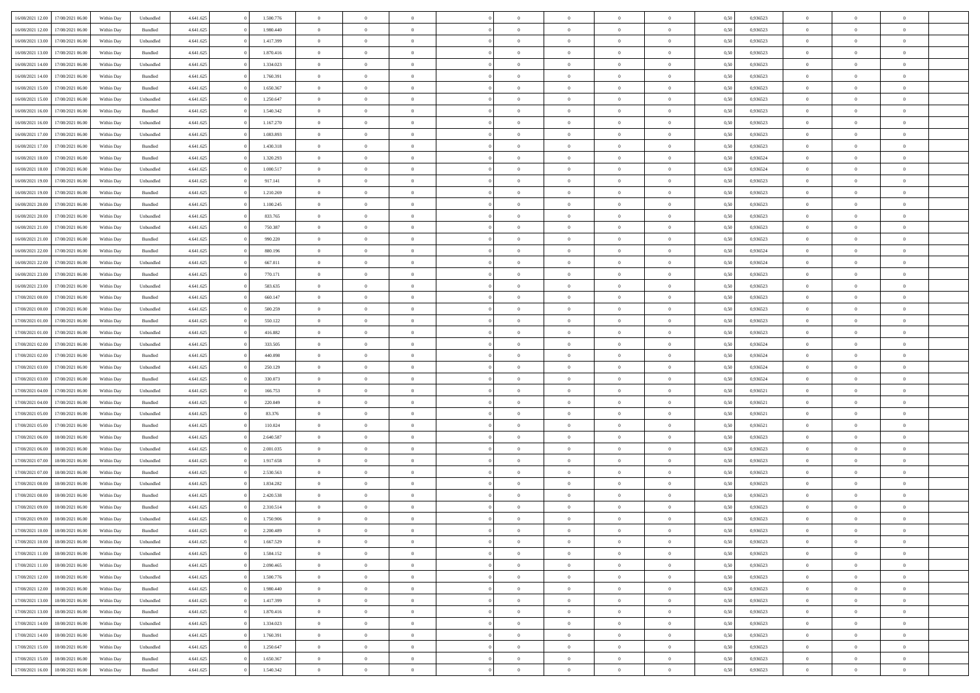|                  |                  |            |                    |           | 1.500.776 | $\overline{0}$ |                |                |                | $\Omega$       | $\theta$       | $\theta$       |      |          | $\theta$       | $\overline{0}$ |                |  |
|------------------|------------------|------------|--------------------|-----------|-----------|----------------|----------------|----------------|----------------|----------------|----------------|----------------|------|----------|----------------|----------------|----------------|--|
| 16/08/2021 12:00 | 17/08/2021 06:00 | Within Day | Unbundled          | 4.641.625 |           |                | $\theta$       |                | $\Omega$       |                |                |                | 0.50 | 0,936523 |                |                | $\overline{0}$ |  |
| 16/08/2021 12:00 | 17/08/2021 06:00 | Within Day | Bundled            | 4.641.625 | 1.980.440 | $\overline{0}$ | $\theta$       | $\overline{0}$ | $\overline{0}$ | $\bf{0}$       | $\overline{0}$ | $\bf{0}$       | 0,50 | 0,936523 | $\theta$       | $\overline{0}$ | $\overline{0}$ |  |
| 16/08/2021 13:00 | 17/08/2021 06:00 | Within Day | Unbundled          | 4.641.625 | 1.417.399 | $\overline{0}$ | $\bf{0}$       | $\overline{0}$ | $\bf{0}$       | $\bf{0}$       | $\bf{0}$       | $\mathbf{0}$   | 0,50 | 0,936523 | $\overline{0}$ | $\overline{0}$ | $\bf{0}$       |  |
| 16/08/2021 13:00 | 17/08/2021 06:00 | Within Dav | Bundled            | 4.641.625 | 1.870.416 | $\overline{0}$ | $\overline{0}$ | $\overline{0}$ | $\overline{0}$ | $\bf{0}$       | $\overline{0}$ | $\overline{0}$ | 0.50 | 0.936523 | $\theta$       | $\theta$       | $\overline{0}$ |  |
|                  |                  |            |                    |           |           |                |                |                |                |                |                |                |      |          |                |                |                |  |
| 16/08/2021 14:00 | 17/08/2021 06:00 | Within Day | Unbundled          | 4.641.625 | 1.334.023 | $\overline{0}$ | $\theta$       | $\overline{0}$ | $\overline{0}$ | $\bf{0}$       | $\overline{0}$ | $\bf{0}$       | 0,50 | 0,936523 | $\theta$       | $\overline{0}$ | $\overline{0}$ |  |
| 16/08/2021 14:00 | 17/08/2021 06:00 | Within Day | Bundled            | 4.641.625 | 1.760.391 | $\overline{0}$ | $\overline{0}$ | $\overline{0}$ | $\bf{0}$       | $\overline{0}$ | $\overline{0}$ | $\mathbf{0}$   | 0,50 | 0,936523 | $\overline{0}$ | $\overline{0}$ | $\bf{0}$       |  |
| 16/08/2021 15:00 | 17/08/2021 06:00 | Within Dav | Bundled            | 4.641.625 | 1.650.367 | $\overline{0}$ | $\overline{0}$ | $\overline{0}$ | $\overline{0}$ | $\overline{0}$ | $\overline{0}$ | $\overline{0}$ | 0.50 | 0.936523 | $\theta$       | $\overline{0}$ | $\overline{0}$ |  |
| 16/08/2021 15:00 | 17/08/2021 06:00 | Within Day | Unbundled          | 4.641.625 | 1.250.647 | $\overline{0}$ | $\theta$       | $\overline{0}$ | $\overline{0}$ | $\bf{0}$       | $\overline{0}$ | $\bf{0}$       | 0,50 | 0,936523 | $\theta$       | $\theta$       | $\overline{0}$ |  |
| 16/08/2021 16:00 | 17/08/2021 06:00 | Within Day | Bundled            | 4.641.625 | 1.540.342 | $\overline{0}$ | $\overline{0}$ | $\overline{0}$ | $\bf{0}$       | $\bf{0}$       | $\bf{0}$       | $\bf{0}$       | 0,50 | 0,936523 | $\,0\,$        | $\overline{0}$ | $\overline{0}$ |  |
|                  |                  |            |                    |           |           |                |                |                |                |                |                |                |      |          |                |                |                |  |
| 16/08/2021 16:00 | 17/08/2021 06:00 | Within Dav | Unbundled          | 4.641.625 | 1.167.270 | $\overline{0}$ | $\overline{0}$ | $\overline{0}$ | $\overline{0}$ | $\overline{0}$ | $\overline{0}$ | $\overline{0}$ | 0.50 | 0.936523 | $\theta$       | $\overline{0}$ | $\overline{0}$ |  |
| 16/08/2021 17:00 | 17/08/2021 06:00 | Within Day | Unbundled          | 4.641.625 | 1.083.893 | $\overline{0}$ | $\theta$       | $\overline{0}$ | $\overline{0}$ | $\bf{0}$       | $\overline{0}$ | $\bf{0}$       | 0,50 | 0,936523 | $\,$ 0 $\,$    | $\overline{0}$ | $\overline{0}$ |  |
| 16/08/2021 17:00 | 17/08/2021 06:00 | Within Day | Bundled            | 4.641.625 | 1.430.318 | $\overline{0}$ | $\bf{0}$       | $\overline{0}$ | $\bf{0}$       | $\bf{0}$       | $\bf{0}$       | $\mathbf{0}$   | 0,50 | 0,936523 | $\overline{0}$ | $\overline{0}$ | $\bf{0}$       |  |
| 16/08/2021 18:00 | 17/08/2021 06:00 | Within Day | Bundled            | 4.641.625 | 1.320.293 | $\overline{0}$ | $\overline{0}$ | $\overline{0}$ | $\overline{0}$ | $\bf{0}$       | $\overline{0}$ | $\overline{0}$ | 0.50 | 0,936524 | $\theta$       | $\theta$       | $\overline{0}$ |  |
| 16/08/2021 18:00 | 17/08/2021 06:00 | Within Day | Unbundled          | 4.641.625 | 1.000.517 | $\overline{0}$ | $\theta$       | $\overline{0}$ | $\overline{0}$ | $\bf{0}$       | $\overline{0}$ | $\bf{0}$       | 0,50 | 0,936524 | $\theta$       | $\overline{0}$ | $\overline{0}$ |  |
|                  |                  |            |                    |           |           |                |                |                |                |                |                |                |      |          |                |                |                |  |
| 16/08/2021 19:00 | 17/08/2021 06:00 | Within Day | Unbundled          | 4.641.625 | 917.141   | $\overline{0}$ | $\overline{0}$ | $\overline{0}$ | $\overline{0}$ | $\overline{0}$ | $\overline{0}$ | $\mathbf{0}$   | 0,50 | 0,936523 | $\bf{0}$       | $\overline{0}$ | $\bf{0}$       |  |
| 16/08/2021 19:00 | 17/08/2021 06:00 | Within Dav | Bundled            | 4.641.625 | 1.210.269 | $\overline{0}$ | $\overline{0}$ | $\overline{0}$ | $\overline{0}$ | $\overline{0}$ | $\overline{0}$ | $\overline{0}$ | 0.50 | 0.936523 | $\theta$       | $\overline{0}$ | $\overline{0}$ |  |
| 16/08/2021 20:00 | 17/08/2021 06:00 | Within Day | Bundled            | 4.641.625 | 1.100.245 | $\overline{0}$ | $\theta$       | $\overline{0}$ | $\overline{0}$ | $\bf{0}$       | $\overline{0}$ | $\bf{0}$       | 0,50 | 0,936523 | $\theta$       | $\theta$       | $\overline{0}$ |  |
| 16/08/2021 20:00 | 17/08/2021 06:00 | Within Day | Unbundled          | 4.641.625 | 833.765   | $\overline{0}$ | $\overline{0}$ | $\overline{0}$ | $\overline{0}$ | $\bf{0}$       | $\overline{0}$ | $\mathbf{0}$   | 0,50 | 0,936523 | $\,0\,$        | $\overline{0}$ | $\bf{0}$       |  |
| 16/08/2021 21:00 | 17/08/2021 06:00 | Within Dav | Unbundled          | 4.641.625 | 750.387   | $\overline{0}$ | $\overline{0}$ | $\overline{0}$ | $\overline{0}$ | $\overline{0}$ | $\overline{0}$ | $\overline{0}$ | 0.50 | 0.936523 | $\theta$       | $\overline{0}$ | $\overline{0}$ |  |
|                  |                  |            |                    |           |           |                |                |                |                |                |                |                |      |          |                |                |                |  |
| 16/08/2021 21:00 | 17/08/2021 06:00 | Within Day | Bundled            | 4.641.625 | 990.220   | $\overline{0}$ | $\theta$       | $\overline{0}$ | $\overline{0}$ | $\bf{0}$       | $\overline{0}$ | $\bf{0}$       | 0,50 | 0,936523 | $\,$ 0 $\,$    | $\overline{0}$ | $\overline{0}$ |  |
| 16/08/2021 22:00 | 17/08/2021 06:00 | Within Day | Bundled            | 4.641.625 | 880.196   | $\overline{0}$ | $\overline{0}$ | $\overline{0}$ | $\overline{0}$ | $\bf{0}$       | $\overline{0}$ | $\mathbf{0}$   | 0,50 | 0,936524 | $\bf{0}$       | $\overline{0}$ | $\bf{0}$       |  |
| 16/08/2021 22:00 | 17/08/2021 06:00 | Within Day | Unbundled          | 4.641.625 | 667.011   | $\overline{0}$ | $\overline{0}$ | $\overline{0}$ | $\overline{0}$ | $\bf{0}$       | $\overline{0}$ | $\overline{0}$ | 0.50 | 0.936524 | $\theta$       | $\overline{0}$ | $\overline{0}$ |  |
| 16/08/2021 23:00 | 17/08/2021 06:00 | Within Day | Bundled            | 4.641.625 | 770.171   | $\overline{0}$ | $\theta$       | $\overline{0}$ | $\overline{0}$ | $\bf{0}$       | $\overline{0}$ | $\bf{0}$       | 0,50 | 0,936523 | $\theta$       | $\overline{0}$ | $\overline{0}$ |  |
| 16/08/2021 23:00 | 17/08/2021 06:00 | Within Day | Unbundled          | 4.641.625 | 583.635   | $\overline{0}$ | $\overline{0}$ | $\overline{0}$ | $\overline{0}$ | $\overline{0}$ | $\overline{0}$ | $\mathbf{0}$   | 0,50 | 0,936523 | $\overline{0}$ | $\overline{0}$ | $\bf{0}$       |  |
|                  |                  |            |                    |           |           |                |                |                |                |                |                |                |      |          |                |                |                |  |
| 17/08/2021 00:00 | 17/08/2021 06:00 | Within Dav | Bundled            | 4.641.625 | 660.147   | $\overline{0}$ | $\overline{0}$ | $\overline{0}$ | $\overline{0}$ | $\overline{0}$ | $\overline{0}$ | $\overline{0}$ | 0.50 | 0.936523 | $\theta$       | $\overline{0}$ | $\overline{0}$ |  |
| 17/08/2021 00:00 | 17/08/2021 06:00 | Within Day | Unbundled          | 4.641.625 | 500.259   | $\overline{0}$ | $\theta$       | $\overline{0}$ | $\overline{0}$ | $\bf{0}$       | $\overline{0}$ | $\bf{0}$       | 0,50 | 0,936523 | $\theta$       | $\theta$       | $\overline{0}$ |  |
| 17/08/2021 01:00 | 17/08/2021 06:00 | Within Day | Bundled            | 4.641.625 | 550.122   | $\overline{0}$ | $\overline{0}$ | $\overline{0}$ | $\bf{0}$       | $\bf{0}$       | $\bf{0}$       | $\bf{0}$       | 0,50 | 0,936523 | $\,0\,$        | $\overline{0}$ | $\bf{0}$       |  |
| 17/08/2021 01:00 | 17/08/2021 06:00 | Within Day | Unbundled          | 4.641.625 | 416.882   | $\overline{0}$ | $\overline{0}$ | $\overline{0}$ | $\overline{0}$ | $\overline{0}$ | $\overline{0}$ | $\overline{0}$ | 0.50 | 0.936523 | $\theta$       | $\overline{0}$ | $\overline{0}$ |  |
| 17/08/2021 02:00 | 17/08/2021 06:00 | Within Day | Unbundled          | 4.641.625 | 333.505   | $\overline{0}$ | $\theta$       | $\overline{0}$ | $\overline{0}$ | $\bf{0}$       | $\overline{0}$ | $\bf{0}$       | 0,50 | 0,936524 | $\,$ 0 $\,$    | $\overline{0}$ | $\overline{0}$ |  |
| 17/08/2021 02:00 | 17/08/2021 06:00 | Within Day | Bundled            | 4.641.625 | 440.098   | $\overline{0}$ | $\overline{0}$ | $\overline{0}$ | $\bf{0}$       | $\bf{0}$       | $\bf{0}$       | $\bf{0}$       | 0,50 | 0,936524 | $\overline{0}$ | $\overline{0}$ | $\bf{0}$       |  |
|                  |                  |            |                    |           |           | $\overline{0}$ | $\Omega$       | $\Omega$       | $\Omega$       | $\Omega$       | $\overline{0}$ | $\overline{0}$ |      | 0,936524 | $\,0\,$        | $\theta$       | $\theta$       |  |
| 17/08/2021 03:00 | 17/08/2021 06:00 | Within Day | Unbundled          | 4.641.625 | 250.129   |                |                |                |                |                |                |                | 0,50 |          |                |                |                |  |
| 17/08/2021 03:00 | 17/08/2021 06:00 | Within Day | Bundled            | 4.641.625 | 330.073   | $\overline{0}$ | $\theta$       | $\overline{0}$ | $\overline{0}$ | $\bf{0}$       | $\overline{0}$ | $\bf{0}$       | 0,50 | 0,936524 | $\theta$       | $\overline{0}$ | $\overline{0}$ |  |
| 17/08/2021 04:00 | 17/08/2021 06:00 | Within Day | Unbundled          | 4.641.625 | 166.753   | $\overline{0}$ | $\overline{0}$ | $\overline{0}$ | $\bf{0}$       | $\overline{0}$ | $\overline{0}$ | $\mathbf{0}$   | 0,50 | 0,936521 | $\overline{0}$ | $\overline{0}$ | $\bf{0}$       |  |
| 17/08/2021 04:00 | 17/08/2021 06:00 | Within Day | Bundled            | 4.641.625 | 220,049   | $\overline{0}$ | $\Omega$       | $\Omega$       | $\Omega$       | $\bf{0}$       | $\overline{0}$ | $\overline{0}$ | 0.50 | 0.936521 | $\,0\,$        | $\theta$       | $\theta$       |  |
| 17/08/2021 05:00 | 17/08/2021 06:00 | Within Day | Unbundled          | 4.641.625 | 83.376    | $\overline{0}$ | $\theta$       | $\overline{0}$ | $\overline{0}$ | $\bf{0}$       | $\overline{0}$ | $\bf{0}$       | 0,50 | 0,936521 | $\theta$       | $\overline{0}$ | $\overline{0}$ |  |
| 17/08/2021 05:00 | 17/08/2021 06:00 | Within Day | Bundled            | 4.641.625 | 110.024   | $\overline{0}$ | $\overline{0}$ | $\overline{0}$ | $\bf{0}$       | $\bf{0}$       | $\bf{0}$       | $\bf{0}$       | 0,50 | 0,936521 | $\bf{0}$       | $\overline{0}$ | $\bf{0}$       |  |
|                  |                  |            |                    |           |           |                |                |                |                |                |                |                |      |          |                |                |                |  |
| 17/08/2021 06:00 | 18/08/2021 06:00 | Within Day | Bundled            | 4.641.625 | 2.640.587 | $\overline{0}$ | $\Omega$       | $\Omega$       | $\Omega$       | $\theta$       | $\overline{0}$ | $\overline{0}$ | 0.50 | 0.936523 | $\,$ 0 $\,$    | $\theta$       | $\theta$       |  |
| 17/08/2021 06:00 | 18/08/2021 06:00 | Within Day | Unbundled          | 4.641.625 | 2.001.035 | $\overline{0}$ | $\theta$       | $\overline{0}$ | $\overline{0}$ | $\bf{0}$       | $\overline{0}$ | $\bf{0}$       | 0,50 | 0,936523 | $\,$ 0 $\,$    | $\overline{0}$ | $\overline{0}$ |  |
| 17/08/2021 07:00 | 18/08/2021 06:00 | Within Day | Unbundled          | 4.641.625 | 1.917.658 | $\overline{0}$ | $\bf{0}$       | $\overline{0}$ | $\bf{0}$       | $\bf{0}$       | $\bf{0}$       | $\mathbf{0}$   | 0,50 | 0,936523 | $\bf{0}$       | $\overline{0}$ | $\bf{0}$       |  |
| 17/08/2021 07:00 | 18/08/2021 06:00 | Within Day | Bundled            | 4.641.625 | 2.530.563 | $\overline{0}$ | $\Omega$       | $\overline{0}$ | $\Omega$       | $\overline{0}$ | $\overline{0}$ | $\overline{0}$ | 0,50 | 0,936523 | $\,0\,$        | $\theta$       | $\theta$       |  |
| 17/08/2021 08:00 | 18/08/2021 06:00 | Within Day | Unbundled          | 4.641.625 | 1.834.282 | $\overline{0}$ | $\overline{0}$ | $\overline{0}$ | $\overline{0}$ | $\,$ 0         | $\overline{0}$ | $\bf{0}$       | 0,50 | 0,936523 | $\,$ 0 $\,$    | $\overline{0}$ | $\overline{0}$ |  |
|                  |                  |            |                    |           |           |                |                |                |                | $\bf{0}$       |                |                |      |          |                | $\overline{0}$ | $\bf{0}$       |  |
| 17/08/2021 08:00 | 18/08/2021 06:00 | Within Day | Bundled            | 4.641.625 | 2.420.538 | $\overline{0}$ | $\overline{0}$ | $\overline{0}$ | $\bf{0}$       |                | $\overline{0}$ | $\mathbf{0}$   | 0,50 | 0,936523 | $\bf{0}$       |                |                |  |
| 17/08/2021 09:00 | 18/08/2021 06:00 | Within Day | Bundled            | 4.641.625 | 2.310.514 | $\overline{0}$ | $\Omega$       | $\Omega$       | $\Omega$       | $\Omega$       | $\Omega$       | $\overline{0}$ | 0.50 | 0.936523 | $\theta$       | $\theta$       | $\theta$       |  |
| 17/08/2021 09:00 | 18/08/2021 06:00 | Within Day | Unbundled          | 4.641.625 | 1.750.906 | $\overline{0}$ | $\overline{0}$ | $\overline{0}$ | $\bf{0}$       | $\,$ 0         | $\bf{0}$       | $\bf{0}$       | 0,50 | 0,936523 | $\,0\,$        | $\,$ 0 $\,$    | $\overline{0}$ |  |
| 17/08/2021 10:00 | 18/08/2021 06:00 | Within Day | $\mathbf B$ undled | 4.641.625 | 2.200.489 | $\bf{0}$       | $\bf{0}$       |                |                | $\bf{0}$       |                |                | 0,50 | 0,936523 | $\bf{0}$       | $\overline{0}$ |                |  |
| 17/08/2021 10:00 | 18/08/2021 06:00 | Within Day | Unbundled          | 4.641.625 | 1.667.529 | $\overline{0}$ | $\overline{0}$ | $\overline{0}$ | $\Omega$       | $\overline{0}$ | $\overline{0}$ | $\overline{0}$ | 0.50 | 0.936523 | $\theta$       | $\theta$       | $\theta$       |  |
| 17/08/2021 11:00 | 18/08/2021 06:00 | Within Day | Unbundled          | 4.641.625 | 1.584.152 | $\overline{0}$ | $\,$ 0         | $\overline{0}$ | $\bf{0}$       | $\,$ 0 $\,$    | $\overline{0}$ | $\mathbf{0}$   | 0,50 | 0,936523 | $\,$ 0 $\,$    | $\,$ 0 $\,$    | $\,$ 0         |  |
| 17/08/2021 11:00 | 18/08/2021 06:00 | Within Day | Bundled            | 4.641.625 | 2.090.465 | $\overline{0}$ | $\overline{0}$ | $\overline{0}$ | $\overline{0}$ | $\overline{0}$ | $\overline{0}$ | $\mathbf{0}$   | 0,50 | 0,936523 | $\overline{0}$ | $\bf{0}$       | $\bf{0}$       |  |
|                  |                  |            |                    |           |           |                |                |                |                |                |                |                |      |          |                |                |                |  |
| 17/08/2021 12:00 | 18/08/2021 06:00 | Within Day | Unbundled          | 4.641.625 | 1.500.776 | $\overline{0}$ | $\overline{0}$ | $\overline{0}$ | $\Omega$       | $\overline{0}$ | $\overline{0}$ | $\overline{0}$ | 0,50 | 0,936523 | $\overline{0}$ | $\theta$       | $\overline{0}$ |  |
| 17/08/2021 12:00 | 18/08/2021 06:00 | Within Day | Bundled            | 4.641.625 | 1.980.440 | $\overline{0}$ | $\,$ 0         | $\overline{0}$ | $\overline{0}$ | $\,$ 0 $\,$    | $\overline{0}$ | $\mathbf{0}$   | 0,50 | 0,936523 | $\,$ 0 $\,$    | $\overline{0}$ | $\overline{0}$ |  |
| 17/08/2021 13:00 | 18/08/2021 06:00 | Within Day | Unbundled          | 4.641.625 | 1.417.399 | $\overline{0}$ | $\overline{0}$ | $\overline{0}$ | $\overline{0}$ | $\overline{0}$ | $\overline{0}$ | $\mathbf{0}$   | 0,50 | 0,936523 | $\overline{0}$ | $\overline{0}$ | $\bf{0}$       |  |
| 17/08/2021 13:00 | 18/08/2021 06:00 | Within Day | Bundled            | 4.641.625 | 1.870.416 | $\overline{0}$ | $\overline{0}$ | $\overline{0}$ | $\Omega$       | $\overline{0}$ | $\overline{0}$ | $\bf{0}$       | 0.50 | 0,936523 | $\overline{0}$ | $\theta$       | $\overline{0}$ |  |
| 17/08/2021 14:00 | 18/08/2021 06:00 | Within Day | Unbundled          | 4.641.625 | 1.334.023 | $\overline{0}$ | $\,$ 0         | $\overline{0}$ | $\overline{0}$ | $\bf{0}$       | $\overline{0}$ | $\bf{0}$       | 0,50 | 0,936523 | $\,$ 0 $\,$    | $\overline{0}$ | $\overline{0}$ |  |
|                  |                  |            |                    |           |           |                |                |                |                |                |                |                |      |          |                |                |                |  |
| 17/08/2021 14:00 | 18/08/2021 06:00 | Within Day | Bundled            | 4.641.625 | 1.760.391 | $\overline{0}$ | $\bf{0}$       | $\overline{0}$ | $\overline{0}$ | $\overline{0}$ | $\overline{0}$ | $\mathbf{0}$   | 0,50 | 0,936523 | $\overline{0}$ | $\overline{0}$ | $\bf{0}$       |  |
| 17/08/2021 15:00 | 18/08/2021 06:00 | Within Day | Unbundled          | 4.641.625 | 1.250.647 | $\overline{0}$ | $\overline{0}$ | $\overline{0}$ | $\Omega$       | $\overline{0}$ | $\overline{0}$ | $\bf{0}$       | 0.50 | 0.936523 | $\overline{0}$ | $\theta$       | $\overline{0}$ |  |
| 17/08/2021 15:00 | 18/08/2021 06:00 | Within Day | Bundled            | 4.641.625 | 1.650.367 | $\overline{0}$ | $\bf{0}$       | $\overline{0}$ | $\overline{0}$ | $\bf{0}$       | $\overline{0}$ | $\mathbf{0}$   | 0,50 | 0,936523 | $\,$ 0 $\,$    | $\,$ 0 $\,$    | $\bf{0}$       |  |
| 17/08/2021 16:00 | 18/08/2021 06:00 | Within Day | Bundled            | 4.641.625 | 1.540.342 | $\overline{0}$ | $\overline{0}$ | $\overline{0}$ | $\overline{0}$ | $\bf{0}$       | $\overline{0}$ | $\mathbf{0}$   | 0,50 | 0,936523 | $\overline{0}$ | $\bf{0}$       | $\bf{0}$       |  |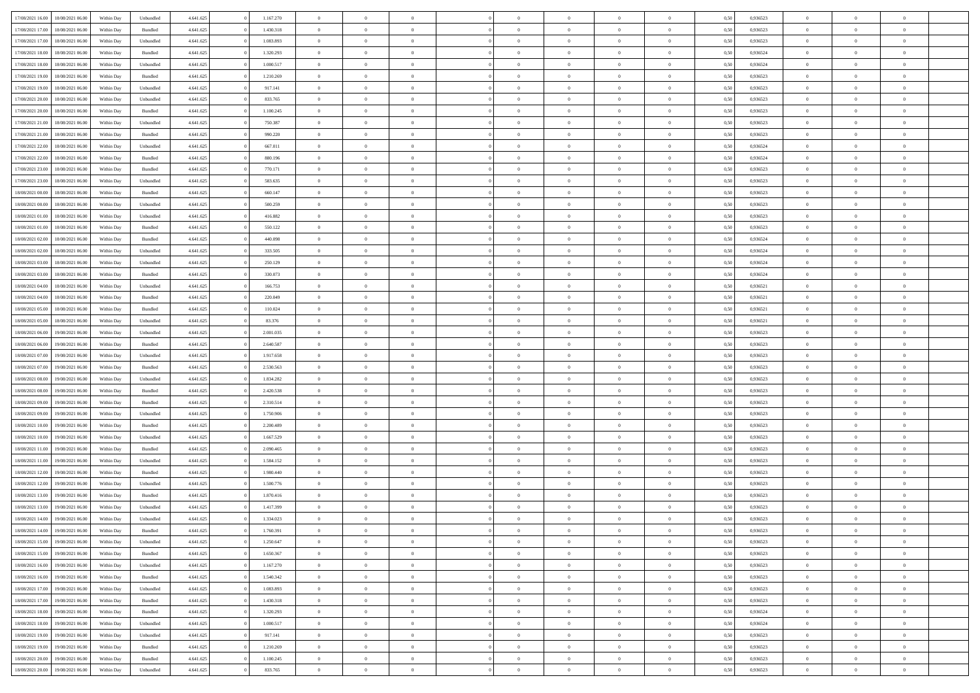| 17/08/2021 16:00                  | 18/08/2021 06:00 | Within Day | Unbundled          | 4.641.625 | 1.167.270 | $\overline{0}$ | $\theta$       |                | $\overline{0}$ | $\bf{0}$       | $\overline{0}$ | $\theta$       | 0,50 | 0,936523 | $\theta$       | $\theta$       | $\overline{0}$           |  |
|-----------------------------------|------------------|------------|--------------------|-----------|-----------|----------------|----------------|----------------|----------------|----------------|----------------|----------------|------|----------|----------------|----------------|--------------------------|--|
|                                   |                  |            |                    |           |           | $\overline{0}$ | $\overline{0}$ |                |                |                |                |                |      |          |                |                | $\overline{0}$           |  |
| 17/08/2021 17:00                  | 18/08/2021 06:00 | Within Day | Bundled            | 4.641.625 | 1.430.318 |                |                | $\overline{0}$ | $\overline{0}$ | $\,$ 0         | $\overline{0}$ | $\bf{0}$       | 0,50 | 0,936523 | $\,$ 0 $\,$    | $\overline{0}$ |                          |  |
| 17/08/2021 17:00                  | 18/08/2021 06:00 | Within Day | Unbundled          | 4.641.625 | 1.083.893 | $\overline{0}$ | $\overline{0}$ | $\overline{0}$ | $\overline{0}$ | $\bf{0}$       | $\overline{0}$ | $\mathbf{0}$   | 0.50 | 0.936523 | $\bf{0}$       | $\overline{0}$ | $\overline{0}$           |  |
| 17/08/2021 18:00                  | 18/08/2021 06:00 | Within Day | Bundled            | 4.641.625 | 1.320.293 | $\overline{0}$ | $\overline{0}$ | $\overline{0}$ | $\overline{0}$ | $\,$ 0         | $\overline{0}$ | $\overline{0}$ | 0,50 | 0,936524 | $\,$ 0 $\,$    | $\overline{0}$ | $\overline{0}$           |  |
| 17/08/2021 18:00                  | 18/08/2021 06:00 | Within Day | Unbundled          | 4.641.625 | 1.000.517 | $\overline{0}$ | $\theta$       | $\overline{0}$ | $\overline{0}$ | $\overline{0}$ | $\overline{0}$ | $\bf{0}$       | 0,50 | 0,936524 | $\,$ 0 $\,$    | $\overline{0}$ | $\overline{0}$           |  |
| 17/08/2021 19:00                  | 18/08/2021 06:00 | Within Day | Bundled            | 4.641.625 | 1.210.269 | $\overline{0}$ | $\overline{0}$ | $\overline{0}$ | $\overline{0}$ | $\bf{0}$       | $\overline{0}$ | $\bf{0}$       | 0.50 | 0.936523 | $\,0\,$        | $\theta$       | $\overline{0}$           |  |
| 17/08/2021 19:00                  | 18/08/2021 06:00 | Within Day | Unbundled          | 4.641.625 | 917.141   | $\overline{0}$ | $\overline{0}$ | $\overline{0}$ | $\overline{0}$ | $\,$ 0         | $\overline{0}$ | $\overline{0}$ | 0,50 | 0,936523 | $\,$ 0 $\,$    | $\theta$       | $\overline{0}$           |  |
| 17/08/2021 20:00                  | 18/08/2021 06:00 | Within Day | Unbundled          | 4.641.625 | 833.765   | $\overline{0}$ | $\theta$       | $\overline{0}$ | $\overline{0}$ | $\,$ 0         | $\bf{0}$       | $\bf{0}$       | 0,50 | 0,936523 | $\,$ 0 $\,$    | $\overline{0}$ | $\overline{0}$           |  |
| 17/08/2021 20:00                  | 18/08/2021 06:00 | Within Day | Bundled            | 4.641.625 | 1.100.245 | $\overline{0}$ | $\overline{0}$ | $\overline{0}$ | $\overline{0}$ | $\bf{0}$       | $\overline{0}$ | $\bf{0}$       | 0.50 | 0.936523 | $\,0\,$        | $\overline{0}$ | $\overline{0}$           |  |
| 17/08/2021 21:00                  | 18/08/2021 06:00 | Within Day | Unbundled          | 4.641.625 | 750.387   | $\overline{0}$ | $\overline{0}$ | $\overline{0}$ | $\overline{0}$ | $\,$ 0         | $\overline{0}$ | $\bf{0}$       | 0,50 | 0,936523 | $\,$ 0 $\,$    | $\overline{0}$ | $\overline{0}$           |  |
|                                   |                  |            |                    |           |           |                |                |                |                |                |                |                |      |          |                |                |                          |  |
| 17/08/2021 21:00                  | 18/08/2021 06:00 | Within Day | Bundled            | 4.641.625 | 990.220   | $\overline{0}$ | $\theta$       | $\overline{0}$ | $\overline{0}$ | $\,$ 0         | $\bf{0}$       | $\bf{0}$       | 0,50 | 0,936523 | $\,$ 0 $\,$    | $\overline{0}$ | $\overline{0}$           |  |
| 17/08/2021 22:00                  | 18/08/2021 06:00 | Within Day | Unbundled          | 4.641.625 | 667.011   | $\overline{0}$ | $\overline{0}$ | $\overline{0}$ | $\overline{0}$ | $\bf{0}$       | $\overline{0}$ | $\mathbf{0}$   | 0.50 | 0.936524 | $\bf{0}$       | $\overline{0}$ | $\overline{\phantom{a}}$ |  |
| 17/08/2021 22:00                  | 18/08/2021 06:00 | Within Day | Bundled            | 4.641.625 | 880.196   | $\overline{0}$ | $\overline{0}$ | $\overline{0}$ | $\overline{0}$ | $\,$ 0         | $\overline{0}$ | $\overline{0}$ | 0,50 | 0,936524 | $\,$ 0 $\,$    | $\overline{0}$ | $\overline{0}$           |  |
| 17/08/2021 23:00                  | 18/08/2021 06:00 | Within Day | Bundled            | 4.641.625 | 770.171   | $\overline{0}$ | $\theta$       | $\overline{0}$ | $\overline{0}$ | $\overline{0}$ | $\overline{0}$ | $\bf{0}$       | 0,50 | 0,936523 | $\,$ 0 $\,$    | $\overline{0}$ | $\overline{0}$           |  |
| 17/08/2021 23:00                  | 18/08/2021 06:00 | Within Day | Unbundled          | 4.641.625 | 583.635   | $\overline{0}$ | $\overline{0}$ | $\overline{0}$ | $\overline{0}$ | $\,$ 0         | $\overline{0}$ | $\bf{0}$       | 0.50 | 0.936523 | $\theta$       | $\theta$       | $\overline{0}$           |  |
| 18/08/2021 00:00                  | 18/08/2021 06:00 | Within Day | Bundled            | 4.641.625 | 660.147   | $\overline{0}$ | $\overline{0}$ | $\overline{0}$ | $\overline{0}$ | $\,$ 0         | $\overline{0}$ | $\bf{0}$       | 0,50 | 0,936523 | $\,$ 0 $\,$    | $\theta$       | $\overline{0}$           |  |
| 18/08/2021 00:00                  | 18/08/2021 06:00 | Within Day | Unbundled          | 4.641.625 | 500.259   | $\overline{0}$ | $\theta$       | $\overline{0}$ | $\overline{0}$ | $\bf{0}$       | $\overline{0}$ | $\bf{0}$       | 0,50 | 0,936523 | $\,$ 0 $\,$    | $\overline{0}$ | $\overline{0}$           |  |
| 18/08/2021 01:00                  | 18/08/2021 06:00 | Within Day | Unbundled          | 4.641.625 | 416.882   | $\overline{0}$ | $\overline{0}$ | $\overline{0}$ | $\overline{0}$ | $\bf{0}$       | $\overline{0}$ | $\bf{0}$       | 0.50 | 0.936523 | $\,0\,$        | $\overline{0}$ | $\overline{0}$           |  |
| 18/08/2021 01:00                  | 18/08/2021 06:00 | Within Day | Bundled            | 4.641.625 | 550.122   | $\overline{0}$ | $\overline{0}$ | $\overline{0}$ | $\overline{0}$ | $\bf{0}$       | $\overline{0}$ | $\bf{0}$       | 0,50 | 0,936523 | $\,$ 0 $\,$    | $\overline{0}$ | $\overline{0}$           |  |
|                                   |                  |            |                    |           |           |                | $\theta$       | $\overline{0}$ | $\overline{0}$ | $\,$ 0         |                |                |      |          | $\,$ 0 $\,$    | $\overline{0}$ | $\overline{0}$           |  |
| 18/08/2021 02:00                  | 18/08/2021 06:00 | Within Day | Bundled            | 4.641.625 | 440.098   | $\bf{0}$       |                |                |                |                | $\bf{0}$       | $\bf{0}$       | 0,50 | 0,936524 |                |                |                          |  |
| 18/08/2021 02:00                  | 18/08/2021 06:00 | Within Day | Unbundled          | 4.641.625 | 333.505   | $\overline{0}$ | $\overline{0}$ | $\overline{0}$ | $\overline{0}$ | $\bf{0}$       | $\overline{0}$ | $\mathbf{0}$   | 0.50 | 0.936524 | $\bf{0}$       | $\overline{0}$ | $\overline{\phantom{a}}$ |  |
| 18/08/2021 03:00                  | 18/08/2021 06:00 | Within Day | Unbundled          | 4.641.625 | 250.129   | $\overline{0}$ | $\overline{0}$ | $\overline{0}$ | $\overline{0}$ | $\bf{0}$       | $\overline{0}$ | $\overline{0}$ | 0,50 | 0,936524 | $\,$ 0 $\,$    | $\overline{0}$ | $\overline{0}$           |  |
| 18/08/2021 03:00                  | 18/08/2021 06:00 | Within Day | Bundled            | 4.641.625 | 330.073   | $\overline{0}$ | $\theta$       | $\overline{0}$ | $\overline{0}$ | $\,$ 0         | $\overline{0}$ | $\bf{0}$       | 0,50 | 0,936524 | $\,$ 0 $\,$    | $\overline{0}$ | $\overline{0}$           |  |
| 18/08/2021 04:00                  | 18/08/2021 06:00 | Within Day | Unbundled          | 4.641.625 | 166,753   | $\overline{0}$ | $\overline{0}$ | $\overline{0}$ | $\overline{0}$ | $\bf{0}$       | $\overline{0}$ | $\bf{0}$       | 0.50 | 0.936521 | $\,0\,$        | $\theta$       | $\overline{0}$           |  |
| 18/08/2021 04:00                  | 18/08/2021 06:00 | Within Day | Bundled            | 4.641.625 | 220.049   | $\overline{0}$ | $\overline{0}$ | $\overline{0}$ | $\overline{0}$ | $\,$ 0         | $\overline{0}$ | $\overline{0}$ | 0,50 | 0,936521 | $\,0\,$        | $\theta$       | $\overline{0}$           |  |
| 18/08/2021 05:00                  | 18/08/2021 06:00 | Within Day | Bundled            | 4.641.625 | 110.024   | $\overline{0}$ | $\theta$       | $\overline{0}$ |                | $\bf{0}$       | $\overline{0}$ | $\bf{0}$       | 0,50 | 0,936521 | $\,$ 0 $\,$    | $\overline{0}$ | $\overline{0}$           |  |
| 18/08/2021 05:00                  | 18/08/2021 06:00 | Within Day | Unbundled          | 4.641.625 | 83.376    | $\overline{0}$ | $\overline{0}$ | $\overline{0}$ | $\overline{0}$ | $\bf{0}$       | $\overline{0}$ | $\bf{0}$       | 0.50 | 0.936521 | $\,0\,$        | $\overline{0}$ | $\overline{0}$           |  |
| 18/08/2021 06:00                  | 19/08/2021 06:00 | Within Day | Unbundled          | 4.641.625 | 2.001.035 | $\overline{0}$ | $\overline{0}$ | $\overline{0}$ | $\overline{0}$ | $\bf{0}$       | $\overline{0}$ | $\bf{0}$       | 0,50 | 0,936523 | $\,$ 0 $\,$    | $\overline{0}$ | $\overline{0}$           |  |
| 18/08/2021 06:00                  | 19/08/2021 06.00 | Within Day | Bundled            | 4.641.625 | 2.640.587 | $\bf{0}$       | $\overline{0}$ | $\overline{0}$ | $\overline{0}$ | $\bf{0}$       | $\bf{0}$       | $\bf{0}$       | 0,50 | 0,936523 | $\,$ 0 $\,$    | $\overline{0}$ | $\overline{0}$           |  |
| 18/08/2021 07:00                  | 19/08/2021 06:00 |            |                    |           | 1.917.658 |                | $\overline{0}$ | $\overline{0}$ | $\overline{0}$ |                | $\overline{0}$ |                | 0.50 | 0.936523 | $\bf{0}$       | $\overline{0}$ | $\overline{\phantom{a}}$ |  |
|                                   |                  | Within Day | Unbundled          | 4.641.625 |           | $\overline{0}$ |                |                |                | $\bf{0}$       |                | $\mathbf{0}$   |      |          |                |                |                          |  |
| 18/08/2021 07:00                  | 19/08/2021 06:00 | Within Dav | Bundled            | 4.641.625 | 2.530.563 | $\overline{0}$ | $\overline{0}$ | $\overline{0}$ | $\overline{0}$ | $\mathbf{0}$   | $\overline{0}$ | $\overline{0}$ | 0.50 | 0.936523 | $\theta$       | $\overline{0}$ | $\overline{0}$           |  |
| 18/08/2021 08:00                  | 19/08/2021 06.00 | Within Day | Unbundled          | 4.641.625 | 1.834.282 | $\overline{0}$ | $\theta$       | $\overline{0}$ | $\overline{0}$ | $\,$ 0         | $\overline{0}$ | $\bf{0}$       | 0,50 | 0,936523 | $\,$ 0 $\,$    | $\overline{0}$ | $\overline{0}$           |  |
| 18/08/2021 08:00                  | 19/08/2021 06:00 | Within Day | Bundled            | 4.641.625 | 2.420.538 | $\overline{0}$ | $\overline{0}$ | $\overline{0}$ | $\overline{0}$ | $\,$ 0         | $\overline{0}$ | $\bf{0}$       | 0.50 | 0.936523 | $\,0\,$        | $\theta$       | $\overline{0}$           |  |
| 18/08/2021 09:00                  | 19/08/2021 06:00 | Within Dav | Bundled            | 4.641.625 | 2.310.514 | $\overline{0}$ | $\theta$       | $\Omega$       | $\overline{0}$ | $\mathbf{0}$   | $\overline{0}$ | $\overline{0}$ | 0.50 | 0.936523 | $\theta$       | $\overline{0}$ | $\overline{0}$           |  |
| 18/08/2021 09:00                  | 19/08/2021 06.00 | Within Day | Unbundled          | 4.641.625 | 1.750.906 | $\overline{0}$ | $\theta$       | $\overline{0}$ | $\overline{0}$ | $\,$ 0         | $\overline{0}$ | $\bf{0}$       | 0,50 | 0,936523 | $\,$ 0 $\,$    | $\overline{0}$ | $\overline{0}$           |  |
| 18/08/2021 10:00                  | 19/08/2021 06:00 | Within Day | Bundled            | 4.641.625 | 2.200.489 | $\overline{0}$ | $\overline{0}$ | $\overline{0}$ | $\overline{0}$ | $\bf{0}$       | $\overline{0}$ | $\bf{0}$       | 0.50 | 0.936523 | $\,0\,$        | $\overline{0}$ | $\overline{0}$           |  |
| 18/08/2021 10:00                  | 19/08/2021 06:00 | Within Dav | Unbundled          | 4.641.625 | 1.667.529 | $\overline{0}$ | $\overline{0}$ | $\overline{0}$ | $\overline{0}$ | $\overline{0}$ | $\overline{0}$ | $\overline{0}$ | 0.50 | 0.936523 | $\theta$       | $\overline{0}$ | $\overline{0}$           |  |
| 18/08/2021 11:00                  | 19/08/2021 06.00 | Within Day | Bundled            | 4.641.625 | 2.090.465 | $\bf{0}$       | $\overline{0}$ | $\overline{0}$ | $\overline{0}$ | $\bf{0}$       | $\bf{0}$       | $\bf{0}$       | 0,50 | 0,936523 | $\,$ 0 $\,$    | $\overline{0}$ | $\overline{0}$           |  |
| 18/08/2021 11:00                  | 19/08/2021 06:00 | Within Day | Unbundled          | 4.641.625 | 1.584.152 | $\overline{0}$ | $\overline{0}$ | $\overline{0}$ | $\overline{0}$ | $\bf{0}$       | $\overline{0}$ | $\mathbf{0}$   | 0.50 | 0.936523 | $\bf{0}$       | $\overline{0}$ | $\overline{0}$           |  |
| 18/08/2021 12:00                  | 19/08/2021 06:00 | Within Dav | Bundled            | 4.641.625 | 1.980.440 | $\overline{0}$ | $\overline{0}$ | $\Omega$       | $\overline{0}$ | $\mathbf{0}$   | $\overline{0}$ | $\overline{0}$ | 0.50 | 0.936523 | $\theta$       | $\overline{0}$ | $\overline{0}$           |  |
|                                   | 19/08/2021 06.00 | Within Day | Unbundled          | 4.641.625 | 1.500.776 | $\overline{0}$ | $\theta$       | $\overline{0}$ | $\overline{0}$ | $\,$ 0         | $\overline{0}$ | $\bf{0}$       | 0,50 | 0,936523 | $\,$ 0 $\,$    | $\overline{0}$ | $\overline{0}$           |  |
| 18/08/2021 12:00                  |                  |            |                    |           |           |                |                |                |                |                |                |                |      |          |                |                |                          |  |
| 18/08/2021 13:00                  | 19/08/2021 06:00 | Within Day | Bundled            | 4.641.625 | 1.870.416 | $\overline{0}$ | $\theta$       | $\overline{0}$ | $\overline{0}$ | $\bf{0}$       | $\Omega$       | $\overline{0}$ | 0.50 | 0.936523 | $\,0\,$        | $\theta$       | $\overline{0}$           |  |
| 18/08/2021 13:00                  | 19/08/2021 06:00 | Within Dav | Unbundled          | 4.641.625 | 1.417.399 | $\overline{0}$ | $\Omega$       | $\Omega$       | $\Omega$       | $\bf{0}$       | $\overline{0}$ | $\bf{0}$       | 0.50 | 0.936523 | $\theta$       | $\theta$       | $\overline{0}$           |  |
| 18/08/2021 14:00                  | 19/08/2021 06:00 | Within Day | Unbundled          | 4.641.625 | 1.334.023 | $\bf{0}$       | $\,$ 0 $\,$    | $\overline{0}$ | $\overline{0}$ | $\,$ 0         | $\bf{0}$       | $\bf{0}$       | 0,50 | 0,936523 | $\,$ 0 $\,$    | $\overline{0}$ | $\overline{0}$           |  |
| 18/08/2021 14:00                  | 19/08/2021 06:00 | Within Day | $\mathbf B$ undled | 4.641.625 | 1.760.391 | $\bf{0}$       | $\theta$       |                | $\Omega$       |                |                |                | 0,50 | 0.936523 | $\bf{0}$       | $\theta$       |                          |  |
| 18/08/2021 15:00                  | 19/08/2021 06:00 | Within Day | Unbundled          | 4.641.625 | 1.250.647 | $\overline{0}$ | $\overline{0}$ | $\overline{0}$ | $\overline{0}$ | $\overline{0}$ | $\overline{0}$ | $\mathbf{0}$   | 0,50 | 0.936523 | $\theta$       | $\overline{0}$ | $\overline{0}$           |  |
| 18/08/2021 15:00                  | 19/08/2021 06:00 | Within Day | Bundled            | 4.641.625 | 1.650.367 | $\overline{0}$ | $\overline{0}$ | $\overline{0}$ | $\bf{0}$       | $\overline{0}$ | $\overline{0}$ | $\bf{0}$       | 0,50 | 0,936523 | $\bf{0}$       | $\overline{0}$ | $\bf{0}$                 |  |
| 18/08/2021 16:00                  | 19/08/2021 06:00 | Within Day | Unbundled          | 4.641.625 | 1.167.270 | $\overline{0}$ | $\overline{0}$ | $\overline{0}$ | $\overline{0}$ | $\overline{0}$ | $\overline{0}$ | $\mathbf{0}$   | 0.50 | 0.936523 | $\overline{0}$ | $\bf{0}$       | $\bf{0}$                 |  |
| 18/08/2021 16:00                  | 19/08/2021 06:00 | Within Day | Bundled            | 4.641.625 | 1.540.342 | $\overline{0}$ | $\overline{0}$ | $\overline{0}$ | $\overline{0}$ | $\overline{0}$ | $\overline{0}$ | $\overline{0}$ | 0,50 | 0.936523 | $\overline{0}$ | $\theta$       | $\overline{0}$           |  |
| 18/08/2021 17:00                  | 19/08/2021 06:00 | Within Day | Unbundled          | 4.641.625 | 1.083.893 | $\overline{0}$ | $\overline{0}$ | $\overline{0}$ | $\overline{0}$ | $\bf{0}$       | $\overline{0}$ | $\bf{0}$       | 0,50 | 0,936523 | $\bf{0}$       | $\overline{0}$ | $\overline{0}$           |  |
| 18/08/2021 17:00                  | 19/08/2021 06:00 | Within Day | Bundled            | 4.641.625 | 1.430.318 | $\overline{0}$ | $\overline{0}$ | $\overline{0}$ | $\overline{0}$ | $\bf{0}$       | $\overline{0}$ | $\mathbf{0}$   | 0.50 | 0.936523 | $\,$ 0 $\,$    | $\overline{0}$ | $\overline{0}$           |  |
| 18/08/2021 18:00                  | 19/08/2021 06:00 | Within Day | Bundled            | 4.641.625 | 1.320.293 | $\overline{0}$ | $\overline{0}$ | $\overline{0}$ | $\overline{0}$ | $\overline{0}$ | $\overline{0}$ | $\overline{0}$ | 0,50 | 0,936524 | $\overline{0}$ | $\theta$       | $\overline{0}$           |  |
|                                   |                  |            |                    |           |           |                |                |                |                |                |                |                |      |          |                |                |                          |  |
| 18/08/2021 18:00                  | 19/08/2021 06:00 | Within Day | Unbundled          | 4.641.625 | 1.000.517 | $\overline{0}$ | $\,$ 0         | $\overline{0}$ | $\bf{0}$       | $\,$ 0 $\,$    | $\overline{0}$ | $\bf{0}$       | 0,50 | 0,936524 | $\,$ 0 $\,$    | $\overline{0}$ | $\overline{0}$           |  |
| 18/08/2021 19:00                  | 19/08/2021 06:00 | Within Day | Unbundled          | 4.641.625 | 917.141   | $\overline{0}$ | $\overline{0}$ | $\overline{0}$ | $\overline{0}$ | $\bf{0}$       | $\overline{0}$ | $\mathbf{0}$   | 0.50 | 0.936523 | $\mathbf{0}$   | $\bf{0}$       | $\overline{0}$           |  |
| 18/08/2021 19:00                  | 19/08/2021 06:00 | Within Dav | Bundled            | 4.641.625 | 1.210.269 | $\overline{0}$ | $\overline{0}$ | $\overline{0}$ | $\overline{0}$ | $\overline{0}$ | $\overline{0}$ | $\overline{0}$ | 0,50 | 0.936523 | $\overline{0}$ | $\overline{0}$ | $\overline{0}$           |  |
| 18/08/2021 20:00                  | 19/08/2021 06:00 | Within Day | Bundled            | 4.641.625 | 1.100.245 | $\overline{0}$ | $\overline{0}$ | $\overline{0}$ | $\bf{0}$       | $\bf{0}$       | $\overline{0}$ | $\bf{0}$       | 0,50 | 0,936523 | $\bf{0}$       | $\overline{0}$ | $\bf{0}$                 |  |
| 18/08/2021 20:00 19/08/2021 06:00 |                  | Within Day | Unbundled          | 4.641.625 | 833.765   | $\,$ 0 $\,$    | $\,$ 0 $\,$    | $\overline{0}$ | $\overline{0}$ | $\,$ 0 $\,$    | $\,$ 0 $\,$    | $\,$ 0 $\,$    | 0,50 | 0,936523 | $\mathbf{0}^-$ | $\,$ 0 $\,$    | $\,$ 0 $\,$              |  |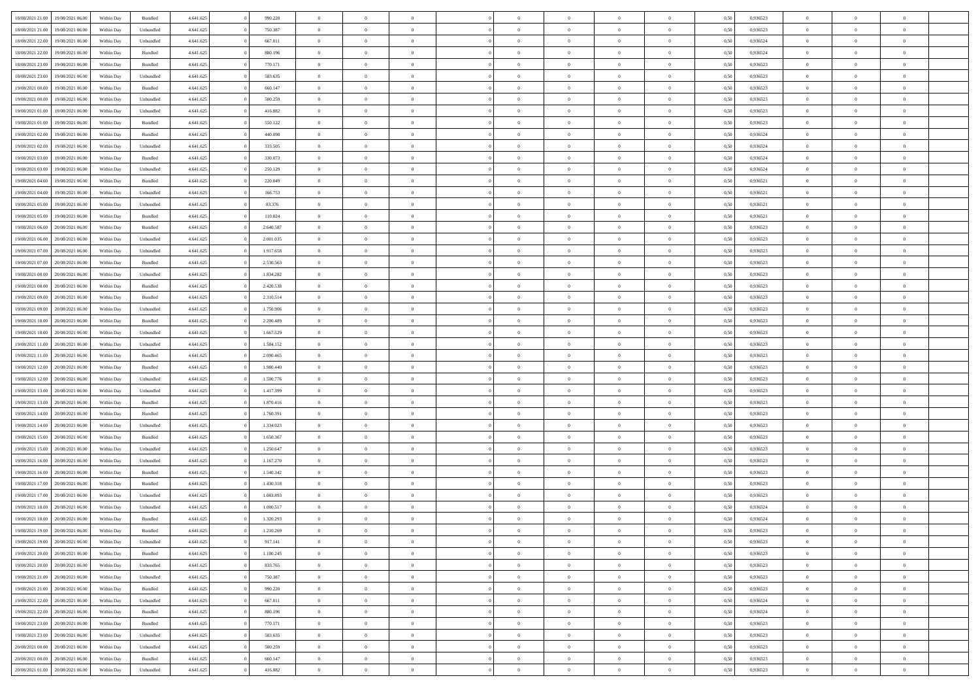| 18/08/2021 21:00 | 19/08/2021 06:00 | Within Day | Bundled            | 4.641.625 | 990.220   | $\overline{0}$ | $\Omega$       |                | $\Omega$       | $\Omega$       | $\theta$       | $\theta$       | 0.50 | 0.936523 | $\theta$       | $\theta$       | $\overline{0}$ |  |
|------------------|------------------|------------|--------------------|-----------|-----------|----------------|----------------|----------------|----------------|----------------|----------------|----------------|------|----------|----------------|----------------|----------------|--|
| 18/08/2021 21:00 | 19/08/2021 06:00 | Within Day | Unbundled          | 4.641.625 | 750.387   | $\overline{0}$ | $\theta$       | $\overline{0}$ | $\overline{0}$ | $\bf{0}$       | $\overline{0}$ | $\bf{0}$       | 0,50 | 0,936523 | $\theta$       | $\overline{0}$ | $\overline{0}$ |  |
| 18/08/2021 22:00 | 19/08/2021 06:00 | Within Day | Unbundled          | 4.641.625 | 667.011   | $\overline{0}$ | $\bf{0}$       | $\overline{0}$ | $\overline{0}$ | $\bf{0}$       | $\overline{0}$ | $\mathbf{0}$   | 0,50 | 0,936524 | $\bf{0}$       | $\overline{0}$ | $\bf{0}$       |  |
|                  |                  |            |                    |           |           |                |                |                |                |                |                |                |      |          |                |                |                |  |
| 18/08/2021 22:00 | 19/08/2021 06:00 | Within Dav | Bundled            | 4.641.625 | 880,196   | $\overline{0}$ | $\overline{0}$ | $\overline{0}$ | $\overline{0}$ | $\bf{0}$       | $\overline{0}$ | $\overline{0}$ | 0.50 | 0.936524 | $\theta$       | $\theta$       | $\overline{0}$ |  |
| 18/08/2021 23:00 | 19/08/2021 06:00 | Within Day | Bundled            | 4.641.625 | 770.171   | $\overline{0}$ | $\theta$       | $\overline{0}$ | $\overline{0}$ | $\bf{0}$       | $\overline{0}$ | $\bf{0}$       | 0,50 | 0,936523 | $\theta$       | $\overline{0}$ | $\overline{0}$ |  |
| 18/08/2021 23:00 | 19/08/2021 06:00 | Within Day | Unbundled          | 4.641.625 | 583.635   | $\overline{0}$ | $\overline{0}$ | $\overline{0}$ | $\overline{0}$ | $\overline{0}$ | $\overline{0}$ | $\mathbf{0}$   | 0,50 | 0,936523 | $\bf{0}$       | $\overline{0}$ | $\bf{0}$       |  |
| 19/08/2021 00:00 | 19/08/2021 06:00 | Within Dav | Bundled            | 4.641.625 | 660.147   | $\overline{0}$ | $\overline{0}$ | $\overline{0}$ | $\overline{0}$ | $\overline{0}$ | $\overline{0}$ | $\overline{0}$ | 0.50 | 0.936523 | $\theta$       | $\overline{0}$ | $\overline{0}$ |  |
|                  |                  |            |                    |           |           |                |                |                |                |                |                |                |      |          |                |                |                |  |
| 19/08/2021 00:00 | 19/08/2021 06:00 | Within Day | Unbundled          | 4.641.625 | 500.259   | $\overline{0}$ | $\theta$       | $\overline{0}$ | $\overline{0}$ | $\bf{0}$       | $\overline{0}$ | $\bf{0}$       | 0,50 | 0,936523 | $\theta$       | $\theta$       | $\overline{0}$ |  |
| 19/08/2021 01:00 | 19/08/2021 06:00 | Within Day | Unbundled          | 4.641.625 | 416.882   | $\overline{0}$ | $\overline{0}$ | $\overline{0}$ | $\overline{0}$ | $\bf{0}$       | $\overline{0}$ | $\bf{0}$       | 0,50 | 0,936523 | $\,0\,$        | $\overline{0}$ | $\overline{0}$ |  |
| 19/08/2021 01:00 | 19/08/2021 06:00 | Within Dav | Bundled            | 4.641.625 | 550.122   | $\overline{0}$ | $\overline{0}$ | $\overline{0}$ | $\overline{0}$ | $\overline{0}$ | $\overline{0}$ | $\overline{0}$ | 0.50 | 0.936523 | $\theta$       | $\overline{0}$ | $\overline{0}$ |  |
| 19/08/2021 02:00 | 19/08/2021 06:00 | Within Day | Bundled            | 4.641.625 | 440.098   | $\overline{0}$ | $\theta$       | $\overline{0}$ | $\overline{0}$ | $\bf{0}$       | $\overline{0}$ |                |      | 0,936524 | $\,$ 0 $\,$    | $\overline{0}$ | $\overline{0}$ |  |
|                  |                  |            |                    |           |           |                |                |                |                |                |                | $\bf{0}$       | 0,50 |          |                |                |                |  |
| 19/08/2021 02:00 | 19/08/2021 06:00 | Within Day | Unbundled          | 4.641.625 | 333.505   | $\overline{0}$ | $\bf{0}$       | $\overline{0}$ | $\bf{0}$       | $\bf{0}$       | $\bf{0}$       | $\mathbf{0}$   | 0,50 | 0,936524 | $\bf{0}$       | $\overline{0}$ | $\bf{0}$       |  |
| 19/08/2021 03:00 | 19/08/2021 06:00 | Within Day | Bundled            | 4.641.625 | 330.073   | $\overline{0}$ | $\overline{0}$ | $\overline{0}$ | $\overline{0}$ | $\bf{0}$       | $\overline{0}$ | $\overline{0}$ | 0.50 | 0,936524 | $\theta$       | $\theta$       | $\overline{0}$ |  |
| 19/08/2021 03:00 | 19/08/2021 06:00 | Within Day | Unbundled          | 4.641.625 | 250.129   | $\overline{0}$ | $\theta$       | $\overline{0}$ | $\overline{0}$ | $\bf{0}$       | $\overline{0}$ | $\bf{0}$       | 0,50 | 0,936524 | $\theta$       | $\overline{0}$ | $\overline{0}$ |  |
|                  |                  |            |                    |           |           |                |                |                |                |                |                |                |      |          |                |                |                |  |
| 19/08/2021 04:00 | 19/08/2021 06:00 | Within Day | Bundled            | 4.641.625 | 220.049   | $\overline{0}$ | $\overline{0}$ | $\overline{0}$ | $\bf{0}$       | $\overline{0}$ | $\overline{0}$ | $\mathbf{0}$   | 0,50 | 0,936521 | $\bf{0}$       | $\overline{0}$ | $\bf{0}$       |  |
| 19/08/2021 04:00 | 19/08/2021 06:00 | Within Dav | Unbundled          | 4.641.625 | 166.753   | $\overline{0}$ | $\overline{0}$ | $\overline{0}$ | $\overline{0}$ | $\overline{0}$ | $\overline{0}$ | $\overline{0}$ | 0.50 | 0,936521 | $\theta$       | $\overline{0}$ | $\overline{0}$ |  |
| 19/08/2021 05:00 | 19/08/2021 06:00 | Within Day | Unbundled          | 4.641.625 | 83.376    | $\overline{0}$ | $\theta$       | $\overline{0}$ | $\overline{0}$ | $\bf{0}$       | $\overline{0}$ | $\bf{0}$       | 0,50 | 0,936521 | $\theta$       | $\theta$       | $\overline{0}$ |  |
| 19/08/2021 05:00 | 19/08/2021 06:00 | Within Day | Bundled            | 4.641.625 | 110.024   | $\overline{0}$ | $\overline{0}$ | $\overline{0}$ | $\bf{0}$       | $\bf{0}$       | $\bf{0}$       | $\mathbf{0}$   | 0,50 | 0,936521 | $\,0\,$        | $\overline{0}$ | $\overline{0}$ |  |
|                  |                  |            |                    |           |           |                | $\overline{0}$ |                |                | $\overline{0}$ |                |                |      |          | $\theta$       | $\overline{0}$ | $\overline{0}$ |  |
| 19/08/2021 06:00 | 20/08/2021 06:00 | Within Day | Bundled            | 4.641.625 | 2.640.587 | $\overline{0}$ |                | $\overline{0}$ | $\overline{0}$ |                | $\overline{0}$ | $\overline{0}$ | 0.50 | 0.936523 |                |                |                |  |
| 19/08/2021 06:00 | 20/08/2021 06:00 | Within Day | Unbundled          | 4.641.625 | 2.001.035 | $\overline{0}$ | $\theta$       | $\overline{0}$ | $\overline{0}$ | $\bf{0}$       | $\overline{0}$ | $\bf{0}$       | 0,50 | 0,936523 | $\,$ 0 $\,$    | $\overline{0}$ | $\overline{0}$ |  |
| 19/08/2021 07:00 | 20/08/2021 06:00 | Within Day | Unbundled          | 4.641.625 | 1.917.658 | $\overline{0}$ | $\overline{0}$ | $\overline{0}$ | $\bf{0}$       | $\bf{0}$       | $\bf{0}$       | $\mathbf{0}$   | 0,50 | 0,936523 | $\,0\,$        | $\overline{0}$ | $\bf{0}$       |  |
| 19/08/2021 07:00 | 20/08/2021 06:00 | Within Day | Bundled            | 4.641.625 | 2.530.563 | $\overline{0}$ | $\overline{0}$ | $\overline{0}$ | $\overline{0}$ | $\bf{0}$       | $\overline{0}$ | $\overline{0}$ | 0.50 | 0.936523 | $\theta$       | $\overline{0}$ | $\overline{0}$ |  |
|                  |                  |            |                    |           |           |                | $\theta$       |                |                | $\bf{0}$       |                |                |      |          |                | $\overline{0}$ |                |  |
| 19/08/2021 08:00 | 20/08/2021 06:00 | Within Day | Unbundled          | 4.641.625 | 1.834.282 | $\overline{0}$ |                | $\overline{0}$ | $\overline{0}$ |                | $\overline{0}$ | $\bf{0}$       | 0,50 | 0,936523 | $\,$ 0 $\,$    |                | $\overline{0}$ |  |
| 19/08/2021 08:00 | 20/08/2021 06:00 | Within Day | Bundled            | 4.641.625 | 2.420.538 | $\overline{0}$ | $\overline{0}$ | $\overline{0}$ | $\bf{0}$       | $\overline{0}$ | $\overline{0}$ | $\mathbf{0}$   | 0,50 | 0,936523 | $\overline{0}$ | $\overline{0}$ | $\bf{0}$       |  |
| 19/08/2021 09:00 | 20/08/2021 06:00 | Within Dav | Bundled            | 4.641.625 | 2.310.514 | $\overline{0}$ | $\overline{0}$ | $\overline{0}$ | $\overline{0}$ | $\overline{0}$ | $\overline{0}$ | $\overline{0}$ | 0.50 | 0.936523 | $\theta$       | $\overline{0}$ | $\overline{0}$ |  |
| 19/08/2021 09:00 | 20/08/2021 06:00 | Within Day | Unbundled          | 4.641.625 | 1.750.906 | $\overline{0}$ | $\theta$       | $\overline{0}$ | $\overline{0}$ | $\bf{0}$       | $\overline{0}$ | $\bf{0}$       | 0,50 | 0,936523 | $\theta$       | $\theta$       | $\overline{0}$ |  |
|                  |                  |            |                    |           |           |                |                |                |                |                |                |                |      |          |                |                |                |  |
| 19/08/2021 10:00 | 20/08/2021 06:00 | Within Day | Bundled            | 4.641.625 | 2.200.489 | $\overline{0}$ | $\overline{0}$ | $\overline{0}$ | $\bf{0}$       | $\bf{0}$       | $\bf{0}$       | $\bf{0}$       | 0,50 | 0,936523 | $\,0\,$        | $\overline{0}$ | $\overline{0}$ |  |
| 19/08/2021 10:00 | 20/08/2021 06:00 | Within Day | Unbundled          | 4.641.625 | 1.667.529 | $\overline{0}$ | $\overline{0}$ | $\overline{0}$ | $\overline{0}$ | $\overline{0}$ | $\overline{0}$ | $\overline{0}$ | 0.50 | 0.936523 | $\theta$       | $\overline{0}$ | $\overline{0}$ |  |
| 19/08/2021 11:00 | 20/08/2021 06:00 | Within Day | Unbundled          | 4.641.625 | 1.584.152 | $\overline{0}$ | $\theta$       | $\overline{0}$ | $\overline{0}$ | $\bf{0}$       | $\overline{0}$ | $\bf{0}$       | 0,50 | 0,936523 | $\,$ 0 $\,$    | $\overline{0}$ | $\overline{0}$ |  |
| 19/08/2021 11:00 | 20/08/2021 06:00 | Within Day | Bundled            | 4.641.625 | 2.090.465 | $\overline{0}$ | $\overline{0}$ | $\overline{0}$ | $\bf{0}$       | $\bf{0}$       | $\bf{0}$       | $\bf{0}$       | 0,50 | 0,936523 | $\overline{0}$ | $\overline{0}$ | $\bf{0}$       |  |
|                  |                  |            |                    |           |           |                |                |                |                |                |                |                |      |          |                |                | $\theta$       |  |
| 19/08/2021 12:00 | 20/08/2021 06:00 | Within Day | Bundled            | 4.641.625 | 1.980.440 | $\overline{0}$ | $\Omega$       | $\Omega$       | $\Omega$       | $\Omega$       | $\overline{0}$ | $\overline{0}$ | 0,50 | 0,936523 | $\,0\,$        | $\theta$       |                |  |
| 19/08/2021 12:00 | 20/08/2021 06:00 | Within Day | Unbundled          | 4.641.625 | 1.500.776 | $\overline{0}$ | $\theta$       | $\overline{0}$ | $\overline{0}$ | $\bf{0}$       | $\overline{0}$ | $\bf{0}$       | 0,50 | 0,936523 | $\theta$       | $\overline{0}$ | $\overline{0}$ |  |
| 19/08/2021 13:00 | 20/08/2021 06:00 | Within Day | Unbundled          | 4.641.625 | 1.417.399 | $\overline{0}$ | $\overline{0}$ | $\overline{0}$ | $\bf{0}$       | $\overline{0}$ | $\overline{0}$ | $\mathbf{0}$   | 0,50 | 0,936523 | $\overline{0}$ | $\overline{0}$ | $\bf{0}$       |  |
| 19/08/2021 13:00 | 20/08/2021 06:00 | Within Day | Bundled            | 4.641.625 | 1.870.416 | $\overline{0}$ | $\Omega$       | $\Omega$       | $\Omega$       | $\bf{0}$       | $\overline{0}$ | $\overline{0}$ | 0.50 | 0.936523 | $\,0\,$        | $\theta$       | $\theta$       |  |
|                  |                  |            |                    |           |           | $\overline{0}$ | $\theta$       | $\overline{0}$ |                | $\bf{0}$       | $\overline{0}$ |                |      |          | $\theta$       |                | $\overline{0}$ |  |
| 19/08/2021 14:00 | 20/08/2021 06:00 | Within Day | Bundled            | 4.641.625 | 1.760.391 |                |                |                | $\overline{0}$ |                |                | $\bf{0}$       | 0,50 | 0,936523 |                | $\overline{0}$ |                |  |
| 19/08/2021 14:00 | 20/08/2021 06:00 | Within Day | Unbundled          | 4.641.625 | 1.334.023 | $\overline{0}$ | $\overline{0}$ | $\overline{0}$ | $\bf{0}$       | $\bf{0}$       | $\bf{0}$       | $\bf{0}$       | 0,50 | 0,936523 | $\bf{0}$       | $\overline{0}$ | $\bf{0}$       |  |
| 19/08/2021 15:00 | 20/08/2021 06:00 | Within Day | Bundled            | 4.641.625 | 1.650.367 | $\overline{0}$ | $\Omega$       | $\Omega$       | $\Omega$       | $\overline{0}$ | $\overline{0}$ | $\overline{0}$ | 0.50 | 0.936523 | $\,$ 0 $\,$    | $\theta$       | $\theta$       |  |
| 19/08/2021 15:00 | 20/08/2021 06:00 | Within Day | Unbundled          | 4.641.625 | 1.250.647 | $\overline{0}$ | $\theta$       | $\overline{0}$ | $\overline{0}$ | $\,$ 0         | $\overline{0}$ | $\bf{0}$       | 0,50 | 0,936523 | $\,$ 0 $\,$    | $\overline{0}$ | $\overline{0}$ |  |
|                  |                  |            |                    |           |           |                | $\bf{0}$       |                |                | $\bf{0}$       |                |                |      |          |                | $\overline{0}$ | $\bf{0}$       |  |
| 19/08/2021 16:00 | 20/08/2021 06:00 | Within Day | Unbundled          | 4.641.625 | 1.167.270 | $\overline{0}$ |                | $\overline{0}$ | $\bf{0}$       |                | $\bf{0}$       | $\mathbf{0}$   | 0,50 | 0,936523 | $\overline{0}$ |                |                |  |
| 19/08/2021 16:00 | 20/08/2021 06:00 | Within Day | Bundled            | 4.641.625 | 1.540.342 | $\overline{0}$ | $\Omega$       | $\overline{0}$ | $\Omega$       | $\overline{0}$ | $\overline{0}$ | $\overline{0}$ | 0,50 | 0,936523 | $\,0\,$        | $\theta$       | $\theta$       |  |
| 19/08/2021 17:00 | 20/08/2021 06:00 | Within Day | Bundled            | 4.641.625 | 1.430.318 | $\overline{0}$ | $\overline{0}$ | $\overline{0}$ | $\overline{0}$ | $\,$ 0         | $\overline{0}$ | $\bf{0}$       | 0,50 | 0,936523 | $\,$ 0 $\,$    | $\overline{0}$ | $\overline{0}$ |  |
| 19/08/2021 17:00 | 20/08/2021 06:00 | Within Day | Unbundled          | 4.641.625 | 1.083.893 | $\overline{0}$ | $\overline{0}$ | $\overline{0}$ | $\bf{0}$       | $\bf{0}$       | $\overline{0}$ | $\mathbf{0}$   | 0,50 | 0,936523 | $\overline{0}$ | $\overline{0}$ | $\bf{0}$       |  |
| 19/08/2021 18:00 | 20/08/2021 06:00 |            | Unbundled          | 4.641.625 | 1,000.517 | $\overline{0}$ | $\Omega$       | $\Omega$       | $\Omega$       | $\Omega$       | $\Omega$       | $\overline{0}$ | 0.50 | 0.936524 | $\theta$       | $\theta$       | $\theta$       |  |
|                  |                  | Within Day |                    |           |           |                |                |                |                |                |                |                |      |          |                |                |                |  |
| 19/08/2021 18:00 | 20/08/2021 06:00 | Within Day | Bundled            | 4.641.625 | 1.320.293 | $\overline{0}$ | $\overline{0}$ | $\overline{0}$ | $\bf{0}$       | $\,$ 0         | $\bf{0}$       | $\bf{0}$       | 0,50 | 0,936524 | $\,0\,$        | $\,0\,$        | $\overline{0}$ |  |
| 19/08/2021 19:00 | 20/08/2021 06:00 | Within Day | $\mathbf B$ undled | 4.641.625 | 1.210.269 | $\bf{0}$       | $\bf{0}$       |                |                | $\bf{0}$       |                |                | 0,50 | 0,936523 | $\bf{0}$       | $\overline{0}$ |                |  |
| 19/08/2021 19:00 | 20/08/2021 06:00 | Within Day | Unbundled          | 4.641.625 | 917.141   | $\overline{0}$ | $\overline{0}$ | $\overline{0}$ | $\Omega$       | $\overline{0}$ | $\overline{0}$ | $\overline{0}$ | 0.50 | 0.936523 | $\theta$       | $\theta$       | $\theta$       |  |
| 19/08/2021 20:00 | 20/08/2021 06:00 | Within Day | Bundled            | 4.641.625 | 1.100.245 | $\overline{0}$ | $\bf{0}$       | $\overline{0}$ | $\bf{0}$       | $\,$ 0 $\,$    | $\overline{0}$ | $\,$ 0 $\,$    | 0,50 | 0,936523 | $\,$ 0 $\,$    | $\,$ 0 $\,$    | $\,$ 0         |  |
|                  |                  |            |                    |           |           |                |                |                |                |                |                |                |      |          |                |                |                |  |
| 19/08/2021 20:00 | 20/08/2021 06:00 | Within Day | Unbundled          | 4.641.625 | 833.765   | $\overline{0}$ | $\overline{0}$ | $\overline{0}$ | $\overline{0}$ | $\overline{0}$ | $\overline{0}$ | $\mathbf{0}$   | 0,50 | 0,936523 | $\overline{0}$ | $\bf{0}$       | $\bf{0}$       |  |
| 19/08/2021 21:00 | 20/08/2021 06:00 | Within Day | Unbundled          | 4.641.625 | 750.387   | $\overline{0}$ | $\overline{0}$ | $\overline{0}$ | $\Omega$       | $\overline{0}$ | $\overline{0}$ | $\overline{0}$ | 0,50 | 0,936523 | $\overline{0}$ | $\theta$       | $\overline{0}$ |  |
| 19/08/2021 21:00 | 20/08/2021 06:00 | Within Day | Bundled            | 4.641.625 | 990.220   | $\overline{0}$ | $\,$ 0         | $\overline{0}$ | $\overline{0}$ | $\,$ 0 $\,$    | $\overline{0}$ | $\mathbf{0}$   | 0,50 | 0,936523 | $\,$ 0 $\,$    | $\overline{0}$ | $\overline{0}$ |  |
|                  |                  |            |                    |           |           |                |                |                |                |                |                |                |      |          |                |                |                |  |
| 19/08/2021 22:00 | 20/08/2021 06:00 | Within Day | Unbundled          | 4.641.625 | 667.011   | $\overline{0}$ | $\overline{0}$ | $\overline{0}$ | $\overline{0}$ | $\overline{0}$ | $\overline{0}$ | $\mathbf{0}$   | 0,50 | 0,936524 | $\overline{0}$ | $\overline{0}$ | $\bf{0}$       |  |
| 19/08/2021 22:00 | 20/08/2021 06:00 | Within Day | Bundled            | 4.641.625 | 880.196   | $\overline{0}$ | $\overline{0}$ | $\overline{0}$ | $\overline{0}$ | $\overline{0}$ | $\overline{0}$ | $\bf{0}$       | 0.50 | 0,936524 | $\overline{0}$ | $\theta$       | $\overline{0}$ |  |
| 19/08/2021 23:00 | 20/08/2021 06:00 | Within Day | Bundled            | 4.641.625 | 770.171   | $\overline{0}$ | $\,$ 0         | $\overline{0}$ | $\bf{0}$       | $\bf{0}$       | $\bf{0}$       | $\bf{0}$       | 0,50 | 0,936523 | $\,$ 0 $\,$    | $\overline{0}$ | $\overline{0}$ |  |
| 19/08/2021 23:00 | 20/08/2021 06:00 | Within Day | Unbundled          | 4.641.625 | 583.635   | $\overline{0}$ | $\bf{0}$       | $\overline{0}$ | $\overline{0}$ | $\overline{0}$ | $\overline{0}$ | $\mathbf{0}$   | 0,50 | 0,936523 | $\overline{0}$ | $\overline{0}$ | $\bf{0}$       |  |
|                  | 20/08/2021 06:00 |            |                    |           |           | $\overline{0}$ | $\overline{0}$ | $\overline{0}$ | $\Omega$       | $\overline{0}$ | $\overline{0}$ |                | 0.50 | 0.936523 | $\overline{0}$ | $\overline{0}$ | $\overline{0}$ |  |
| 20/08/2021 00:00 |                  | Within Day | Unbundled          | 4.641.625 | 500.259   |                |                |                |                |                |                | $\overline{0}$ |      |          |                |                |                |  |
| 20/08/2021 00:00 | 20/08/2021 06:00 | Within Day | Bundled            | 4.641.625 | 660.147   | $\overline{0}$ | $\bf{0}$       | $\overline{0}$ | $\overline{0}$ | $\bf{0}$       | $\bf{0}$       | $\mathbf{0}$   | 0,50 | 0,936523 | $\,$ 0 $\,$    | $\,$ 0 $\,$    | $\bf{0}$       |  |
| 20/08/2021 01:00 | 20/08/2021 06:00 | Within Day | Unbundled          | 4.641.625 | 416.882   | $\overline{0}$ | $\bf{0}$       | $\overline{0}$ | $\bf{0}$       | $\bf{0}$       | $\bf{0}$       | $\bf{0}$       | 0,50 | 0,936523 | $\overline{0}$ | $\overline{0}$ | $\bf{0}$       |  |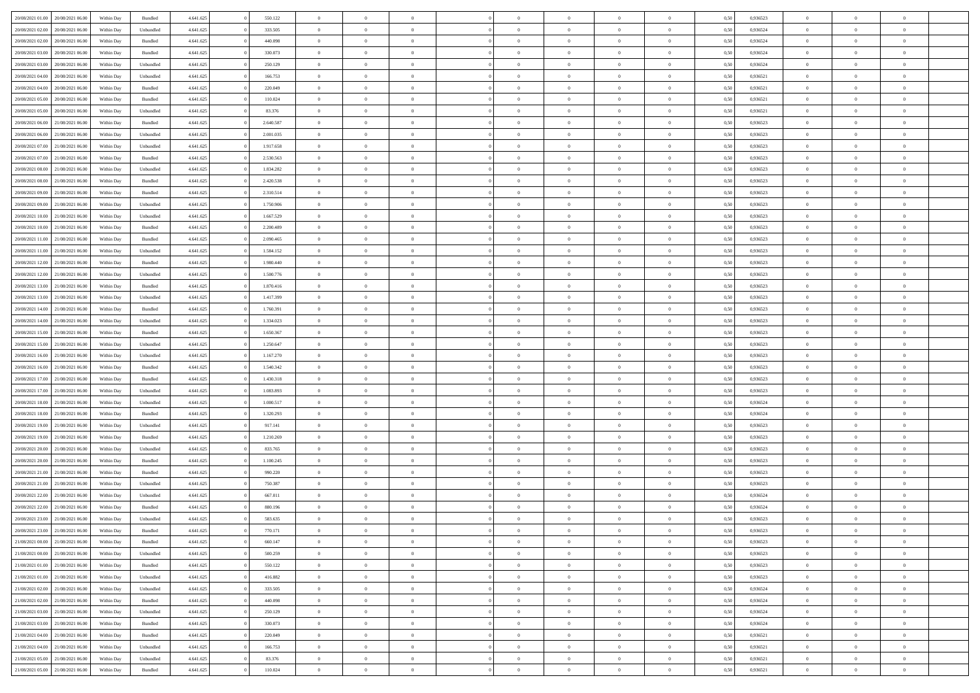| 20/08/2021 01:00                  | 20/08/2021 06:00 | Within Day | Bundled            | 4.641.625 | 550.122   | $\overline{0}$ | $\Omega$       |                | $\Omega$       | $\Omega$       | $\theta$       | $\theta$       | 0.50 | 0,936523 | $\theta$       | $\theta$       | $\theta$       |  |
|-----------------------------------|------------------|------------|--------------------|-----------|-----------|----------------|----------------|----------------|----------------|----------------|----------------|----------------|------|----------|----------------|----------------|----------------|--|
|                                   |                  |            |                    |           |           |                |                |                |                |                |                |                |      |          |                |                |                |  |
| 20/08/2021 02:00                  | 20/08/2021 06:00 | Within Day | Unbundled          | 4.641.625 | 333.505   | $\overline{0}$ | $\theta$       | $\overline{0}$ | $\overline{0}$ | $\bf{0}$       | $\overline{0}$ | $\bf{0}$       | 0,50 | 0,936524 | $\theta$       | $\overline{0}$ | $\overline{0}$ |  |
| 20/08/2021 02:00                  | 20/08/2021 06:00 | Within Day | Bundled            | 4.641.625 | 440.098   | $\overline{0}$ | $\bf{0}$       | $\overline{0}$ | $\bf{0}$       | $\bf{0}$       | $\bf{0}$       | $\mathbf{0}$   | 0,50 | 0,936524 | $\overline{0}$ | $\overline{0}$ | $\bf{0}$       |  |
| 20/08/2021 03:00                  | 20/08/2021 06:00 | Within Dav | Bundled            | 4.641.625 | 330.073   | $\overline{0}$ | $\overline{0}$ | $\overline{0}$ | $\overline{0}$ | $\bf{0}$       | $\overline{0}$ | $\overline{0}$ | 0.50 | 0.936524 | $\theta$       | $\theta$       | $\overline{0}$ |  |
|                                   |                  |            |                    |           |           |                |                |                |                |                |                |                |      |          |                |                |                |  |
| 20/08/2021 03:00                  | 20/08/2021 06:00 | Within Day | Unbundled          | 4.641.625 | 250.129   | $\overline{0}$ | $\theta$       | $\overline{0}$ | $\overline{0}$ | $\bf{0}$       | $\overline{0}$ | $\bf{0}$       | 0,50 | 0,936524 | $\theta$       | $\overline{0}$ | $\overline{0}$ |  |
| 20/08/2021 04:00                  | 20/08/2021 06:00 | Within Day | Unbundled          | 4.641.625 | 166.753   | $\overline{0}$ | $\overline{0}$ | $\overline{0}$ | $\bf{0}$       | $\overline{0}$ | $\overline{0}$ | $\mathbf{0}$   | 0,50 | 0,936521 | $\overline{0}$ | $\overline{0}$ | $\bf{0}$       |  |
| 20/08/2021 04:00                  | 20/08/2021 06:00 | Within Dav | Bundled            | 4.641.625 | 220.049   | $\overline{0}$ | $\overline{0}$ | $\overline{0}$ | $\overline{0}$ | $\overline{0}$ | $\overline{0}$ | $\overline{0}$ | 0.50 | 0,936521 | $\theta$       | $\overline{0}$ | $\overline{0}$ |  |
| 20/08/2021 05:00                  | 20/08/2021 06:00 | Within Day | Bundled            | 4.641.625 | 110.024   | $\overline{0}$ | $\theta$       | $\overline{0}$ | $\overline{0}$ | $\bf{0}$       | $\overline{0}$ | $\bf{0}$       | 0,50 | 0,936521 | $\theta$       | $\theta$       | $\overline{0}$ |  |
|                                   |                  |            |                    |           |           |                | $\overline{0}$ |                |                | $\bf{0}$       |                |                |      |          | $\,0\,$        | $\overline{0}$ | $\overline{0}$ |  |
| 20/08/2021 05:00                  | 20/08/2021 06:00 | Within Day | Unbundled          | 4.641.625 | 83.376    | $\overline{0}$ |                | $\overline{0}$ | $\bf{0}$       |                | $\bf{0}$       | $\bf{0}$       | 0,50 | 0,936521 |                |                |                |  |
| 20/08/2021 06:00                  | 21/08/2021 06:00 | Within Dav | Bundled            | 4.641.625 | 2.640.587 | $\overline{0}$ | $\overline{0}$ | $\overline{0}$ | $\overline{0}$ | $\overline{0}$ | $\overline{0}$ | $\overline{0}$ | 0.50 | 0.936523 | $\theta$       | $\overline{0}$ | $\overline{0}$ |  |
| 20/08/2021 06:00                  | 21/08/2021 06:00 | Within Day | Unbundled          | 4.641.625 | 2.001.035 | $\overline{0}$ | $\theta$       | $\overline{0}$ | $\overline{0}$ | $\bf{0}$       | $\overline{0}$ | $\bf{0}$       | 0,50 | 0,936523 | $\,$ 0 $\,$    | $\overline{0}$ | $\overline{0}$ |  |
| 20/08/2021 07:00                  | 21/08/2021 06:00 | Within Day | Unbundled          | 4.641.625 | 1.917.658 | $\overline{0}$ | $\overline{0}$ | $\overline{0}$ | $\bf{0}$       | $\bf{0}$       | $\bf{0}$       | $\mathbf{0}$   | 0,50 | 0,936523 | $\overline{0}$ | $\overline{0}$ | $\bf{0}$       |  |
| 20/08/2021 07:00                  | 21/08/2021 06:00 | Within Day | Bundled            | 4.641.625 | 2.530.563 | $\overline{0}$ | $\overline{0}$ | $\overline{0}$ | $\overline{0}$ | $\bf{0}$       | $\overline{0}$ | $\overline{0}$ | 0.50 | 0.936523 | $\theta$       | $\theta$       | $\overline{0}$ |  |
|                                   |                  |            |                    |           |           | $\overline{0}$ | $\theta$       | $\overline{0}$ | $\overline{0}$ | $\bf{0}$       | $\overline{0}$ |                |      |          | $\theta$       | $\overline{0}$ | $\overline{0}$ |  |
| 20/08/2021 08:00                  | 21/08/2021 06:00 | Within Day | Unbundled          | 4.641.625 | 1.834.282 |                |                |                |                |                |                | $\bf{0}$       | 0,50 | 0,936523 |                |                |                |  |
| 20/08/2021 08:00                  | 21/08/2021 06:00 | Within Day | Bundled            | 4.641.625 | 2.420.538 | $\overline{0}$ | $\overline{0}$ | $\overline{0}$ | $\bf{0}$       | $\overline{0}$ | $\overline{0}$ | $\mathbf{0}$   | 0,50 | 0,936523 | $\overline{0}$ | $\overline{0}$ | $\bf{0}$       |  |
| 20/08/2021 09:00                  | 21/08/2021 06:00 | Within Dav | Bundled            | 4.641.625 | 2.310.514 | $\overline{0}$ | $\overline{0}$ | $\overline{0}$ | $\overline{0}$ | $\overline{0}$ | $\overline{0}$ | $\overline{0}$ | 0.50 | 0.936523 | $\theta$       | $\overline{0}$ | $\overline{0}$ |  |
| 20/08/2021 09:00                  | 21/08/2021 06:00 | Within Day | Unbundled          | 4.641.625 | 1.750.906 | $\overline{0}$ | $\theta$       | $\overline{0}$ | $\overline{0}$ | $\bf{0}$       | $\overline{0}$ | $\bf{0}$       | 0,50 | 0,936523 | $\theta$       | $\theta$       | $\overline{0}$ |  |
| 20/08/2021 10:00                  | 21/08/2021 06:00 | Within Day | Unbundled          | 4.641.625 | 1.667.529 | $\overline{0}$ | $\overline{0}$ | $\overline{0}$ | $\bf{0}$       | $\bf{0}$       | $\bf{0}$       | $\bf{0}$       | 0,50 | 0,936523 | $\,0\,$        | $\overline{0}$ | $\overline{0}$ |  |
|                                   |                  |            |                    |           |           |                |                |                |                |                |                |                |      |          |                |                |                |  |
| 20/08/2021 10:00                  | 21/08/2021 06:00 | Within Day | Bundled            | 4.641.625 | 2.200.489 | $\overline{0}$ | $\overline{0}$ | $\overline{0}$ | $\overline{0}$ | $\overline{0}$ | $\overline{0}$ | $\overline{0}$ | 0.50 | 0.936523 | $\theta$       | $\overline{0}$ | $\overline{0}$ |  |
| 20/08/2021 11:00                  | 21/08/2021 06:00 | Within Day | Bundled            | 4.641.625 | 2.090.465 | $\overline{0}$ | $\theta$       | $\overline{0}$ | $\overline{0}$ | $\bf{0}$       | $\overline{0}$ | $\bf{0}$       | 0,50 | 0,936523 | $\theta$       | $\overline{0}$ | $\overline{0}$ |  |
| 20/08/2021 11:00                  | 21/08/2021 06:00 | Within Day | Unbundled          | 4.641.625 | 1.584.152 | $\overline{0}$ | $\overline{0}$ | $\overline{0}$ | $\bf{0}$       | $\bf{0}$       | $\bf{0}$       | $\bf{0}$       | 0,50 | 0,936523 | $\,0\,$        | $\overline{0}$ | $\bf{0}$       |  |
| 20/08/2021 12:00                  | 21/08/2021 06:00 | Within Day | Bundled            | 4.641.625 | 1.980.440 | $\overline{0}$ | $\overline{0}$ | $\overline{0}$ | $\overline{0}$ | $\bf{0}$       | $\overline{0}$ | $\overline{0}$ | 0.50 | 0.936523 | $\theta$       | $\overline{0}$ | $\overline{0}$ |  |
| 20/08/2021 12:00                  | 21/08/2021 06:00 | Within Day | Unbundled          | 4.641.625 | 1.500.776 | $\overline{0}$ | $\theta$       | $\overline{0}$ | $\overline{0}$ | $\bf{0}$       | $\overline{0}$ | $\bf{0}$       | 0,50 | 0,936523 | $\theta$       | $\overline{0}$ | $\overline{0}$ |  |
|                                   |                  |            |                    |           |           |                |                |                |                |                |                |                |      |          |                |                |                |  |
| 20/08/2021 13:00                  | 21/08/2021 06:00 | Within Day | Bundled            | 4.641.625 | 1.870.416 | $\overline{0}$ | $\overline{0}$ | $\overline{0}$ | $\bf{0}$       | $\overline{0}$ | $\overline{0}$ | $\mathbf{0}$   | 0,50 | 0,936523 | $\overline{0}$ | $\overline{0}$ | $\bf{0}$       |  |
| 20/08/2021 13:00                  | 21/08/2021 06:00 | Within Dav | Unbundled          | 4.641.625 | 1.417.399 | $\overline{0}$ | $\overline{0}$ | $\overline{0}$ | $\overline{0}$ | $\overline{0}$ | $\overline{0}$ | $\overline{0}$ | 0.50 | 0.936523 | $\theta$       | $\overline{0}$ | $\overline{0}$ |  |
| 20/08/2021 14:00                  | 21/08/2021 06:00 | Within Day | Bundled            | 4.641.625 | 1.760.391 | $\overline{0}$ | $\theta$       | $\overline{0}$ | $\overline{0}$ | $\bf{0}$       | $\overline{0}$ | $\bf{0}$       | 0,50 | 0,936523 | $\theta$       | $\theta$       | $\overline{0}$ |  |
| 20/08/2021 14:00                  | 21/08/2021 06:00 | Within Day | Unbundled          | 4.641.625 | 1.334.023 | $\overline{0}$ | $\overline{0}$ | $\overline{0}$ | $\bf{0}$       | $\bf{0}$       | $\bf{0}$       | $\bf{0}$       | 0,50 | 0,936523 | $\,0\,$        | $\overline{0}$ | $\overline{0}$ |  |
| 20/08/2021 15:00                  | 21/08/2021 06:00 | Within Day | Bundled            | 4.641.625 | 1.650.367 | $\overline{0}$ | $\overline{0}$ | $\overline{0}$ | $\overline{0}$ | $\overline{0}$ | $\overline{0}$ | $\overline{0}$ | 0.50 | 0.936523 | $\theta$       | $\overline{0}$ | $\overline{0}$ |  |
|                                   |                  |            |                    |           |           |                |                |                |                |                |                |                |      |          |                |                |                |  |
| 20/08/2021 15:00                  | 21/08/2021 06:00 | Within Day | Unbundled          | 4.641.625 | 1.250.647 | $\overline{0}$ | $\theta$       | $\overline{0}$ | $\overline{0}$ | $\bf{0}$       | $\overline{0}$ | $\bf{0}$       | 0,50 | 0,936523 | $\,$ 0 $\,$    | $\overline{0}$ | $\overline{0}$ |  |
| 20/08/2021 16:00                  | 21/08/2021 06:00 | Within Day | Unbundled          | 4.641.625 | 1.167.270 | $\overline{0}$ | $\overline{0}$ | $\overline{0}$ | $\bf{0}$       | $\bf{0}$       | $\bf{0}$       | $\bf{0}$       | 0,50 | 0,936523 | $\overline{0}$ | $\overline{0}$ | $\bf{0}$       |  |
| 20/08/2021 16:00                  | 21/08/2021 06:00 | Within Day | Bundled            | 4.641.625 | 1.540.342 | $\overline{0}$ | $\Omega$       | $\Omega$       | $\Omega$       | $\Omega$       | $\overline{0}$ | $\overline{0}$ | 0,50 | 0,936523 | $\,0\,$        | $\theta$       | $\theta$       |  |
| 20/08/2021 17:00                  | 21/08/2021 06:00 | Within Day | Bundled            | 4.641.625 | 1.430.318 | $\overline{0}$ | $\theta$       | $\overline{0}$ | $\overline{0}$ | $\bf{0}$       | $\overline{0}$ | $\bf{0}$       | 0,50 | 0,936523 | $\theta$       | $\overline{0}$ | $\overline{0}$ |  |
|                                   |                  |            |                    |           |           |                |                |                |                |                |                |                |      |          |                | $\overline{0}$ | $\bf{0}$       |  |
| 20/08/2021 17:00                  | 21/08/2021 06:00 | Within Day | Unbundled          | 4.641.625 | 1.083.893 | $\overline{0}$ | $\overline{0}$ | $\overline{0}$ | $\bf{0}$       | $\overline{0}$ | $\overline{0}$ | $\mathbf{0}$   | 0,50 | 0,936523 | $\overline{0}$ |                |                |  |
| 20/08/2021 18:00                  | 21/08/2021 06:00 | Within Day | Unbundled          | 4.641.625 | 1.000.517 | $\overline{0}$ | $\Omega$       | $\Omega$       | $\Omega$       | $\bf{0}$       | $\overline{0}$ | $\overline{0}$ | 0.50 | 0.936524 | $\,0\,$        | $\theta$       | $\theta$       |  |
| 20/08/2021 18:00                  | 21/08/2021 06:00 | Within Day | Bundled            | 4.641.625 | 1.320.293 | $\overline{0}$ | $\theta$       | $\overline{0}$ | $\overline{0}$ | $\bf{0}$       | $\overline{0}$ | $\bf{0}$       | 0,50 | 0,936524 | $\theta$       | $\overline{0}$ | $\overline{0}$ |  |
| 20/08/2021 19:00                  | 21/08/2021 06:00 | Within Day | Unbundled          | 4.641.625 | 917.141   | $\overline{0}$ | $\overline{0}$ | $\overline{0}$ | $\bf{0}$       | $\bf{0}$       | $\bf{0}$       | $\bf{0}$       | 0,50 | 0,936523 | $\,0\,$        | $\overline{0}$ | $\bf{0}$       |  |
| 20/08/2021 19:00                  | 21/08/2021 06:00 | Within Day | Bundled            | 4.641.625 | 1.210.269 | $\overline{0}$ | $\Omega$       | $\Omega$       | $\Omega$       | $\theta$       | $\theta$       | $\overline{0}$ | 0.50 | 0.936523 | $\theta$       | $\theta$       | $\theta$       |  |
| 20/08/2021 20:00                  | 21/08/2021 06:00 | Within Day | Unbundled          | 4.641.625 | 833.765   | $\overline{0}$ | $\theta$       | $\overline{0}$ | $\overline{0}$ | $\bf{0}$       | $\overline{0}$ | $\bf{0}$       | 0,50 | 0,936523 | $\,$ 0 $\,$    | $\overline{0}$ | $\overline{0}$ |  |
|                                   |                  |            |                    |           |           |                |                |                |                |                |                |                |      |          |                |                |                |  |
| 20/08/2021 20:00                  | 21/08/2021 06:00 | Within Day | Bundled            | 4.641.625 | 1.100.245 | $\overline{0}$ | $\bf{0}$       | $\overline{0}$ | $\bf{0}$       | $\bf{0}$       | $\bf{0}$       | $\mathbf{0}$   | 0,50 | 0,936523 | $\bf{0}$       | $\overline{0}$ | $\bf{0}$       |  |
| 20/08/2021 21:00                  | 21/08/2021 06:00 | Within Day | Bundled            | 4.641.625 | 990.220   | $\overline{0}$ | $\Omega$       | $\Omega$       | $\Omega$       | $\overline{0}$ | $\overline{0}$ | $\overline{0}$ | 0,50 | 0,936523 | $\,0\,$        | $\theta$       | $\theta$       |  |
| 20/08/2021 21:00                  | 21/08/2021 06:00 | Within Day | Unbundled          | 4.641.625 | 750.387   | $\overline{0}$ | $\theta$       | $\overline{0}$ | $\overline{0}$ | $\bf{0}$       | $\overline{0}$ | $\bf{0}$       | 0,50 | 0,936523 | $\,$ 0 $\,$    | $\overline{0}$ | $\overline{0}$ |  |
| 20/08/2021 22:00                  | 21/08/2021 06:00 | Within Day | Unbundled          | 4.641.625 | 667.011   | $\overline{0}$ | $\overline{0}$ | $\overline{0}$ | $\bf{0}$       | $\bf{0}$       | $\bf{0}$       | $\mathbf{0}$   | 0,50 | 0,936524 | $\bf{0}$       | $\overline{0}$ | $\bf{0}$       |  |
| 20/08/2021 22:00                  | 21/08/2021 06:00 | Within Day | Bundled            | 4.641.625 | 880,196   | $\overline{0}$ | $\Omega$       | $\Omega$       | $\Omega$       | $\Omega$       | $\Omega$       | $\overline{0}$ | 0.50 | 0.936524 | $\theta$       | $\theta$       | $\theta$       |  |
|                                   |                  |            |                    |           |           |                |                |                |                |                |                |                |      |          |                |                |                |  |
| 20/08/2021 23:00                  | 21/08/2021 06:00 | Within Day | Unbundled          | 4.641.625 | 583.635   | $\overline{0}$ | $\overline{0}$ | $\overline{0}$ | $\bf{0}$       | $\,$ 0         | $\bf{0}$       | $\bf{0}$       | 0,50 | 0,936523 | $\,0\,$        | $\,$ 0 $\,$    | $\overline{0}$ |  |
| 20/08/2021 23:00                  | 21/08/2021 06:00 | Within Day | $\mathbf B$ undled | 4.641.625 | 770.171   | $\bf{0}$       | $\bf{0}$       |                |                | $\bf{0}$       |                |                | 0,50 | 0,936523 | $\bf{0}$       | $\overline{0}$ |                |  |
| 21/08/2021 00:00                  | 21/08/2021 06:00 | Within Day | Bundled            | 4.641.625 | 660.147   | $\overline{0}$ | $\overline{0}$ | $\overline{0}$ | $\Omega$       | $\overline{0}$ | $\overline{0}$ | $\overline{0}$ | 0,50 | 0.936523 | $\theta$       | $\theta$       | $\theta$       |  |
| 21/08/2021 00:00                  | 21/08/2021 06:00 | Within Day | Unbundled          | 4.641.625 | 500.259   | $\overline{0}$ | $\bf{0}$       | $\overline{0}$ | $\bf{0}$       | $\,$ 0 $\,$    | $\overline{0}$ | $\,$ 0 $\,$    | 0,50 | 0,936523 | $\,$ 0 $\,$    | $\,$ 0 $\,$    | $\,$ 0         |  |
| 21/08/2021 01:00                  | 21/08/2021 06:00 | Within Day | Bundled            | 4.641.625 | 550.122   | $\overline{0}$ | $\overline{0}$ | $\overline{0}$ | $\overline{0}$ | $\overline{0}$ | $\overline{0}$ | $\mathbf{0}$   | 0,50 | 0,936523 | $\overline{0}$ | $\bf{0}$       | $\bf{0}$       |  |
|                                   |                  |            |                    |           |           |                |                |                |                |                |                |                |      |          |                |                |                |  |
| 21/08/2021 01:00                  | 21/08/2021 06:00 | Within Day | Unbundled          | 4.641.625 | 416.882   | $\overline{0}$ | $\overline{0}$ | $\overline{0}$ | $\Omega$       | $\overline{0}$ | $\overline{0}$ | $\overline{0}$ | 0,50 | 0,936523 | $\overline{0}$ | $\theta$       | $\overline{0}$ |  |
| 21/08/2021 02:00                  | 21/08/2021 06:00 | Within Day | Unbundled          | 4.641.625 | 333.505   | $\overline{0}$ | $\,$ 0         | $\overline{0}$ | $\bf{0}$       | $\,$ 0 $\,$    | $\overline{0}$ | $\,$ 0 $\,$    | 0,50 | 0,936524 | $\,$ 0 $\,$    | $\overline{0}$ | $\overline{0}$ |  |
| 21/08/2021 02:00                  | 21/08/2021 06:00 | Within Day | Bundled            | 4.641.625 | 440.098   | $\overline{0}$ | $\overline{0}$ | $\overline{0}$ | $\overline{0}$ | $\overline{0}$ | $\overline{0}$ | $\mathbf{0}$   | 0,50 | 0,936524 | $\overline{0}$ | $\overline{0}$ | $\bf{0}$       |  |
| 21/08/2021 03:00                  | 21/08/2021 06:00 | Within Day | Unbundled          | 4.641.625 | 250.129   | $\overline{0}$ | $\overline{0}$ | $\overline{0}$ | $\overline{0}$ | $\overline{0}$ | $\overline{0}$ | $\bf{0}$       | 0.50 | 0,936524 | $\overline{0}$ | $\theta$       | $\overline{0}$ |  |
| 21/08/2021 03:00                  | 21/08/2021 06:00 | Within Day | Bundled            | 4.641.625 | 330.073   | $\overline{0}$ | $\,$ 0         | $\overline{0}$ | $\bf{0}$       | $\bf{0}$       | $\bf{0}$       | $\bf{0}$       | 0,50 | 0,936524 | $\,$ 0 $\,$    | $\overline{0}$ | $\overline{0}$ |  |
|                                   |                  |            |                    |           |           |                |                |                |                |                |                |                |      |          |                |                |                |  |
| 21/08/2021 04:00                  | 21/08/2021 06:00 | Within Day | Bundled            | 4.641.625 | 220.049   | $\overline{0}$ | $\bf{0}$       | $\overline{0}$ | $\overline{0}$ | $\overline{0}$ | $\overline{0}$ | $\mathbf{0}$   | 0,50 | 0,936521 | $\overline{0}$ | $\overline{0}$ | $\bf{0}$       |  |
| 21/08/2021 04:00                  | 21/08/2021 06:00 | Within Day | Unbundled          | 4.641.625 | 166.753   | $\overline{0}$ | $\overline{0}$ | $\overline{0}$ | $\Omega$       | $\overline{0}$ | $\overline{0}$ | $\overline{0}$ | 0,50 | 0.936521 | $\overline{0}$ | $\overline{0}$ | $\overline{0}$ |  |
| 21/08/2021 05:00                  | 21/08/2021 06:00 | Within Day | Unbundled          | 4.641.625 | 83.376    | $\overline{0}$ | $\bf{0}$       | $\overline{0}$ | $\bf{0}$       | $\bf{0}$       | $\bf{0}$       | $\mathbf{0}$   | 0,50 | 0,936521 | $\,$ 0 $\,$    | $\,$ 0 $\,$    | $\bf{0}$       |  |
| 21/08/2021 05:00 21/08/2021 06:00 |                  | Within Day | Bundled            | 4.641.625 | 110.024   | $\overline{0}$ | $\overline{0}$ | $\overline{0}$ | $\overline{0}$ | $\overline{0}$ | $\bf{0}$       | $\mathbf{0}$   | 0,50 | 0,936521 | $\overline{0}$ | $\bf{0}$       | $\overline{0}$ |  |
|                                   |                  |            |                    |           |           |                |                |                |                |                |                |                |      |          |                |                |                |  |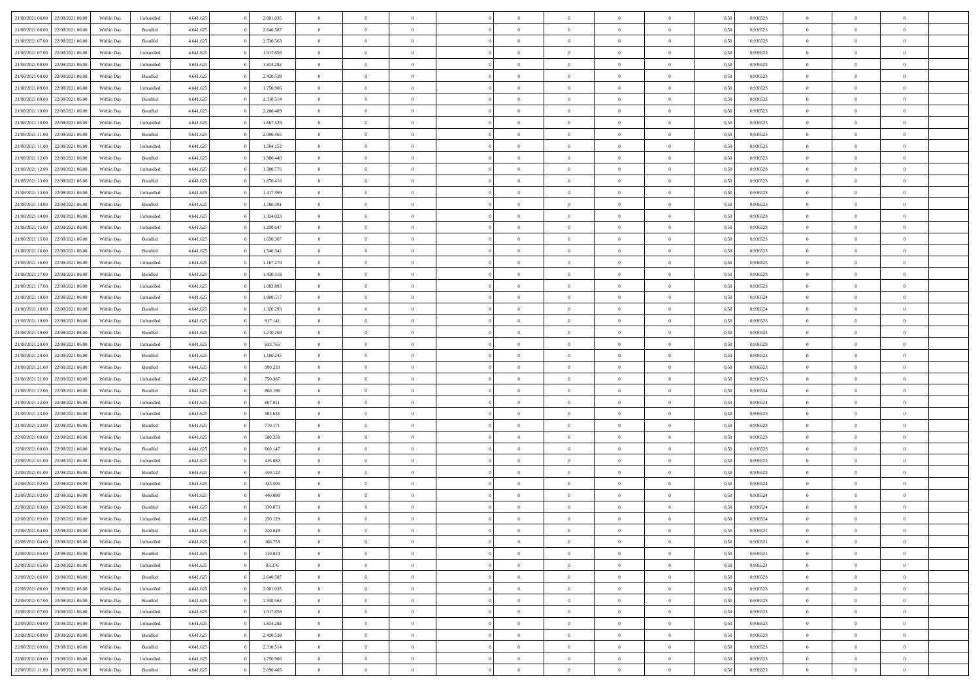| 21/08/2021 06:00                  | 22/08/2021 06:00 | Within Day | Unbundled          | 4.641.625 | 2.001.035 | $\overline{0}$ | $\theta$       |                | $\Omega$       | $\Omega$       | $\theta$       | $\theta$       | 0.50 | 0,936523 | $\theta$       | $\overline{0}$ | $\theta$       |  |
|-----------------------------------|------------------|------------|--------------------|-----------|-----------|----------------|----------------|----------------|----------------|----------------|----------------|----------------|------|----------|----------------|----------------|----------------|--|
| 21/08/2021 06:00                  | 22/08/2021 06:00 | Within Day | Bundled            | 4.641.625 | 2.640.587 | $\overline{0}$ | $\theta$       | $\overline{0}$ | $\overline{0}$ | $\bf{0}$       | $\overline{0}$ | $\bf{0}$       | 0,50 | 0,936523 | $\theta$       | $\overline{0}$ | $\overline{0}$ |  |
| 21/08/2021 07:00                  | 22/08/2021 06:00 | Within Day | Bundled            | 4.641.625 | 2.530.563 | $\overline{0}$ | $\bf{0}$       | $\overline{0}$ | $\bf{0}$       | $\bf{0}$       | $\bf{0}$       | $\mathbf{0}$   | 0,50 | 0,936523 | $\bf{0}$       | $\overline{0}$ | $\bf{0}$       |  |
| 21/08/2021 07:00                  | 22/08/2021 06:00 | Within Day | Unbundled          | 4.641.625 | 1.917.658 | $\overline{0}$ | $\overline{0}$ | $\overline{0}$ | $\overline{0}$ | $\bf{0}$       | $\overline{0}$ | $\overline{0}$ | 0.50 | 0.936523 | $\theta$       | $\theta$       | $\overline{0}$ |  |
| 21/08/2021 08:00                  | 22/08/2021 06:00 | Within Day | Unbundled          | 4.641.625 | 1.834.282 | $\overline{0}$ | $\theta$       | $\overline{0}$ | $\overline{0}$ | $\bf{0}$       | $\overline{0}$ | $\bf{0}$       | 0,50 | 0,936523 | $\theta$       | $\overline{0}$ | $\overline{0}$ |  |
|                                   |                  |            |                    |           |           |                |                |                |                |                |                |                |      |          |                |                |                |  |
| 21/08/2021 08:00                  | 22/08/2021 06:00 | Within Day | Bundled            | 4.641.625 | 2.420.538 | $\overline{0}$ | $\overline{0}$ | $\overline{0}$ | $\bf{0}$       | $\overline{0}$ | $\overline{0}$ | $\mathbf{0}$   | 0,50 | 0,936523 | $\bf{0}$       | $\overline{0}$ | $\bf{0}$       |  |
| 21/08/2021 09:00                  | 22/08/2021 06:00 | Within Dav | Unbundled          | 4.641.625 | 1.750.906 | $\overline{0}$ | $\overline{0}$ | $\overline{0}$ | $\overline{0}$ | $\overline{0}$ | $\overline{0}$ | $\overline{0}$ | 0.50 | 0.936523 | $\theta$       | $\overline{0}$ | $\overline{0}$ |  |
| 21/08/2021 09:00                  | 22/08/2021 06:00 | Within Day | Bundled            | 4.641.625 | 2.310.514 | $\overline{0}$ | $\theta$       | $\overline{0}$ | $\overline{0}$ | $\bf{0}$       | $\overline{0}$ | $\bf{0}$       | 0,50 | 0,936523 | $\theta$       | $\theta$       | $\overline{0}$ |  |
| 21/08/2021 10:00                  | 22/08/2021 06:00 | Within Day | Bundled            | 4.641.625 | 2.200.489 | $\overline{0}$ | $\overline{0}$ | $\overline{0}$ | $\bf{0}$       | $\bf{0}$       | $\bf{0}$       | $\bf{0}$       | 0,50 | 0,936523 | $\,0\,$        | $\overline{0}$ | $\overline{0}$ |  |
| 21/08/2021 10:00                  | 22/08/2021 06:00 | Within Dav | Unbundled          | 4.641.625 | 1.667.529 | $\overline{0}$ | $\overline{0}$ | $\overline{0}$ | $\overline{0}$ | $\overline{0}$ | $\overline{0}$ | $\overline{0}$ | 0.50 | 0.936523 | $\theta$       | $\overline{0}$ | $\overline{0}$ |  |
| 21/08/2021 11:00                  | 22/08/2021 06:00 | Within Day | Bundled            | 4.641.625 | 2.090.465 | $\overline{0}$ | $\theta$       | $\overline{0}$ | $\overline{0}$ | $\bf{0}$       | $\overline{0}$ | $\bf{0}$       | 0,50 | 0,936523 | $\theta$       | $\overline{0}$ | $\overline{0}$ |  |
| 21/08/2021 11:00                  | 22/08/2021 06:00 | Within Day | Unbundled          | 4.641.625 | 1.584.152 | $\overline{0}$ | $\overline{0}$ | $\overline{0}$ | $\bf{0}$       | $\bf{0}$       | $\bf{0}$       | $\mathbf{0}$   | 0,50 | 0,936523 | $\overline{0}$ | $\overline{0}$ | $\bf{0}$       |  |
|                                   |                  |            |                    |           |           |                |                |                |                |                |                |                |      |          |                |                |                |  |
| 21/08/2021 12:00                  | 22/08/2021 06:00 | Within Day | Bundled            | 4.641.625 | 1.980.440 | $\overline{0}$ | $\overline{0}$ | $\overline{0}$ | $\overline{0}$ | $\bf{0}$       | $\overline{0}$ | $\overline{0}$ | 0.50 | 0.936523 | $\theta$       | $\theta$       | $\overline{0}$ |  |
| 21/08/2021 12:00                  | 22/08/2021 06:00 | Within Day | Unbundled          | 4.641.625 | 1.500.776 | $\overline{0}$ | $\theta$       | $\overline{0}$ | $\overline{0}$ | $\bf{0}$       | $\overline{0}$ | $\overline{0}$ | 0,50 | 0,936523 | $\theta$       | $\overline{0}$ | $\overline{0}$ |  |
| 21/08/2021 13:00                  | 22/08/2021 06:00 | Within Day | Bundled            | 4.641.625 | 1.870.416 | $\overline{0}$ | $\overline{0}$ | $\overline{0}$ | $\bf{0}$       | $\overline{0}$ | $\overline{0}$ | $\mathbf{0}$   | 0,50 | 0,936523 | $\overline{0}$ | $\overline{0}$ | $\bf{0}$       |  |
| 21/08/2021 13:00                  | 22/08/2021 06:00 | Within Dav | Unbundled          | 4.641.625 | 1.417.399 | $\overline{0}$ | $\overline{0}$ | $\overline{0}$ | $\overline{0}$ | $\overline{0}$ | $\overline{0}$ | $\overline{0}$ | 0.50 | 0.936523 | $\theta$       | $\overline{0}$ | $\overline{0}$ |  |
| 21/08/2021 14:00                  | 22/08/2021 06:00 | Within Day | Bundled            | 4.641.625 | 1.760.391 | $\overline{0}$ | $\theta$       | $\overline{0}$ | $\overline{0}$ | $\bf{0}$       | $\overline{0}$ | $\bf{0}$       | 0,50 | 0,936523 | $\theta$       | $\theta$       | $\overline{0}$ |  |
| 21/08/2021 14:00                  | 22/08/2021 06:00 | Within Day | Unbundled          | 4.641.625 | 1.334.023 | $\overline{0}$ | $\overline{0}$ | $\overline{0}$ | $\bf{0}$       | $\bf{0}$       | $\bf{0}$       | $\bf{0}$       | 0,50 | 0,936523 | $\,0\,$        | $\overline{0}$ | $\overline{0}$ |  |
| 21/08/2021 15:00                  | 22/08/2021 06:00 | Within Dav | Unbundled          | 4.641.625 | 1.250.647 | $\overline{0}$ | $\overline{0}$ | $\overline{0}$ | $\overline{0}$ | $\overline{0}$ | $\overline{0}$ | $\overline{0}$ | 0.50 | 0.936523 | $\theta$       | $\overline{0}$ | $\overline{0}$ |  |
|                                   |                  |            |                    |           |           | $\overline{0}$ | $\theta$       | $\overline{0}$ |                | $\bf{0}$       | $\overline{0}$ |                |      |          | $\theta$       |                | $\overline{0}$ |  |
| 21/08/2021 15:00                  | 22/08/2021 06:00 | Within Day | Bundled            | 4.641.625 | 1.650.367 |                |                |                | $\overline{0}$ |                |                | $\bf{0}$       | 0,50 | 0,936523 |                | $\overline{0}$ |                |  |
| 21/08/2021 16:00                  | 22/08/2021 06:00 | Within Day | Bundled            | 4.641.625 | 1.540.342 | $\overline{0}$ | $\overline{0}$ | $\overline{0}$ | $\bf{0}$       | $\bf{0}$       | $\bf{0}$       | $\bf{0}$       | 0,50 | 0,936523 | $\,0\,$        | $\overline{0}$ | $\bf{0}$       |  |
| 21/08/2021 16:00                  | 22/08/2021 06:00 | Within Day | Unbundled          | 4.641.625 | 1.167.270 | $\overline{0}$ | $\overline{0}$ | $\overline{0}$ | $\overline{0}$ | $\bf{0}$       | $\overline{0}$ | $\overline{0}$ | 0.50 | 0.936523 | $\theta$       | $\overline{0}$ | $\overline{0}$ |  |
| 21/08/2021 17:00                  | 22/08/2021 06:00 | Within Day | Bundled            | 4.641.625 | 1.430.318 | $\overline{0}$ | $\theta$       | $\overline{0}$ | $\overline{0}$ | $\bf{0}$       | $\overline{0}$ | $\bf{0}$       | 0,50 | 0,936523 | $\theta$       | $\overline{0}$ | $\overline{0}$ |  |
| 21/08/2021 17:00                  | 22/08/2021 06:00 | Within Day | Unbundled          | 4.641.625 | 1.083.893 | $\overline{0}$ | $\overline{0}$ | $\overline{0}$ | $\bf{0}$       | $\overline{0}$ | $\overline{0}$ | $\mathbf{0}$   | 0,50 | 0,936523 | $\overline{0}$ | $\overline{0}$ | $\bf{0}$       |  |
| 21/08/2021 18:00                  | 22/08/2021 06:00 | Within Dav | Unbundled          | 4.641.625 | 1.000.517 | $\overline{0}$ | $\overline{0}$ | $\overline{0}$ | $\overline{0}$ | $\overline{0}$ | $\overline{0}$ | $\overline{0}$ | 0.50 | 0,936524 | $\theta$       | $\overline{0}$ | $\overline{0}$ |  |
| 21/08/2021 18:00                  | 22/08/2021 06:00 | Within Day | Bundled            | 4.641.625 | 1.320.293 | $\overline{0}$ | $\theta$       | $\overline{0}$ | $\overline{0}$ | $\bf{0}$       | $\overline{0}$ | $\bf{0}$       | 0,50 | 0,936524 | $\theta$       | $\theta$       | $\overline{0}$ |  |
| 21/08/2021 19:00                  | 22/08/2021 06:00 | Within Day | Unbundled          | 4.641.625 | 917.141   | $\overline{0}$ | $\overline{0}$ | $\overline{0}$ | $\bf{0}$       | $\bf{0}$       | $\bf{0}$       | $\bf{0}$       | 0,50 | 0,936523 | $\,0\,$        | $\overline{0}$ | $\overline{0}$ |  |
|                                   |                  |            |                    |           |           |                | $\overline{0}$ |                |                | $\overline{0}$ |                |                |      |          | $\theta$       | $\overline{0}$ | $\overline{0}$ |  |
| 21/08/2021 19:00                  | 22/08/2021 06:00 | Within Day | Bundled            | 4.641.625 | 1.210.269 | $\overline{0}$ |                | $\overline{0}$ | $\overline{0}$ |                | $\overline{0}$ | $\overline{0}$ | 0.50 | 0.936523 |                |                |                |  |
| 21/08/2021 20:00                  | 22/08/2021 06:00 | Within Day | Unbundled          | 4.641.625 | 833.765   | $\overline{0}$ | $\theta$       | $\overline{0}$ | $\overline{0}$ | $\bf{0}$       | $\overline{0}$ | $\bf{0}$       | 0,50 | 0,936523 | $\,$ 0 $\,$    | $\overline{0}$ | $\overline{0}$ |  |
| 21/08/2021 20:00                  | 22/08/2021 06:00 | Within Day | Bundled            | 4.641.625 | 1.100.245 | $\overline{0}$ | $\overline{0}$ | $\overline{0}$ | $\bf{0}$       | $\bf{0}$       | $\bf{0}$       | $\bf{0}$       | 0,50 | 0,936523 | $\overline{0}$ | $\overline{0}$ | $\bf{0}$       |  |
| 21/08/2021 21:00                  | 22/08/2021 06:00 | Within Day | Bundled            | 4.641.625 | 990.220   | $\overline{0}$ | $\Omega$       | $\Omega$       | $\Omega$       | $\Omega$       | $\Omega$       | $\overline{0}$ | 0,50 | 0,936523 | $\,0\,$        | $\theta$       | $\theta$       |  |
| 21/08/2021 21:00                  | 22/08/2021 06:00 | Within Day | Unbundled          | 4.641.625 | 750.387   | $\overline{0}$ | $\theta$       | $\overline{0}$ | $\overline{0}$ | $\bf{0}$       | $\overline{0}$ | $\bf{0}$       | 0,50 | 0,936523 | $\theta$       | $\overline{0}$ | $\overline{0}$ |  |
| 21/08/2021 22:00                  | 22/08/2021 06:00 | Within Day | Bundled            | 4.641.625 | 880.196   | $\overline{0}$ | $\overline{0}$ | $\overline{0}$ | $\bf{0}$       | $\overline{0}$ | $\overline{0}$ | $\mathbf{0}$   | 0,50 | 0,936524 | $\overline{0}$ | $\overline{0}$ | $\bf{0}$       |  |
| 21/08/2021 22:00                  | 22/08/2021 06:00 | Within Day | Unbundled          | 4.641.625 | 667.011   | $\overline{0}$ | $\Omega$       | $\Omega$       | $\Omega$       | $\bf{0}$       | $\overline{0}$ | $\overline{0}$ | 0.50 | 0.936524 | $\theta$       | $\theta$       | $\theta$       |  |
| 21/08/2021 23:00                  | 22/08/2021 06:00 | Within Day | Unbundled          | 4.641.625 | 583.635   | $\overline{0}$ | $\theta$       | $\overline{0}$ | $\overline{0}$ | $\bf{0}$       | $\overline{0}$ | $\bf{0}$       | 0,50 | 0,936523 | $\theta$       | $\overline{0}$ | $\overline{0}$ |  |
|                                   |                  |            |                    |           |           |                | $\overline{0}$ |                |                | $\bf{0}$       |                |                |      |          | $\,0\,$        | $\overline{0}$ | $\bf{0}$       |  |
| 21/08/2021 23:00                  | 22/08/2021 06:00 | Within Day | Bundled            | 4.641.625 | 770.171   | $\overline{0}$ |                | $\overline{0}$ | $\bf{0}$       |                | $\bf{0}$       | $\bf{0}$       | 0,50 | 0,936523 |                |                |                |  |
| 22/08/2021 00:00                  | 22/08/2021 06:00 | Within Day | Unbundled          | 4.641.625 | 500.259   | $\overline{0}$ | $\Omega$       | $\Omega$       | $\Omega$       | $\theta$       | $\theta$       | $\overline{0}$ | 0.50 | 0.936523 | $\theta$       | $\theta$       | $\theta$       |  |
| 22/08/2021 00:00                  | 22/08/2021 06:00 | Within Day | Bundled            | 4.641.625 | 660.147   | $\overline{0}$ | $\theta$       | $\overline{0}$ | $\overline{0}$ | $\bf{0}$       | $\overline{0}$ | $\bf{0}$       | 0,50 | 0,936523 | $\,$ 0 $\,$    | $\overline{0}$ | $\overline{0}$ |  |
| 22/08/2021 01:00                  | 22/08/2021 06:00 | Within Day | Unbundled          | 4.641.625 | 416.882   | $\overline{0}$ | $\bf{0}$       | $\overline{0}$ | $\bf{0}$       | $\bf{0}$       | $\bf{0}$       | $\mathbf{0}$   | 0,50 | 0,936523 | $\overline{0}$ | $\overline{0}$ | $\bf{0}$       |  |
| 22/08/2021 01:00                  | 22/08/2021 06:00 | Within Day | Bundled            | 4.641.625 | 550.122   | $\overline{0}$ | $\Omega$       | $\Omega$       | $\Omega$       | $\Omega$       | $\overline{0}$ | $\overline{0}$ | 0.50 | 0,936523 | $\,0\,$        | $\theta$       | $\theta$       |  |
| 22/08/2021 02:00                  | 22/08/2021 06:00 | Within Day | Unbundled          | 4.641.625 | 333.505   | $\overline{0}$ | $\theta$       | $\overline{0}$ | $\overline{0}$ | $\bf{0}$       | $\overline{0}$ | $\bf{0}$       | 0,50 | 0,936524 | $\,$ 0 $\,$    | $\overline{0}$ | $\overline{0}$ |  |
| 22/08/2021 02:00                  | 22/08/2021 06:00 | Within Day | Bundled            | 4.641.625 | 440.098   | $\overline{0}$ | $\overline{0}$ | $\overline{0}$ | $\bf{0}$       | $\bf{0}$       | $\bf{0}$       | $\mathbf{0}$   | 0,50 | 0,936524 | $\overline{0}$ | $\overline{0}$ | $\bf{0}$       |  |
| 22/08/2021 03:00                  | 22/08/2021 06:00 | Within Day | Bundled            | 4.641.625 | 330,073   | $\overline{0}$ | $\Omega$       | $\Omega$       | $\Omega$       | $\Omega$       | $\Omega$       | $\overline{0}$ | 0.50 | 0.936524 | $\theta$       | $\theta$       | $\theta$       |  |
| 22/08/2021 03:00                  | 22/08/2021 06:00 | Within Day | Unbundled          | 4.641.625 | 250.129   | $\overline{0}$ | $\overline{0}$ | $\overline{0}$ | $\bf{0}$       | $\,$ 0         | $\bf{0}$       | $\bf{0}$       | 0,50 | 0,936524 | $\,0\,$        | $\,0\,$        | $\overline{0}$ |  |
| 22/08/2021 04:00 22/08/2021 06:00 |                  | Within Day | $\mathbf B$ undled | 4.641.625 | 220.049   |                |                |                |                |                |                |                |      |          |                |                |                |  |
|                                   |                  |            |                    |           |           | $\bf{0}$       | $\bf{0}$       |                |                | $\bf{0}$       |                |                | 0,50 | 0,936521 | $\bf{0}$       | $\overline{0}$ |                |  |
| 22/08/2021 04:00                  | 22/08/2021 06:00 | Within Day | Unbundled          | 4.641.625 | 166,753   | $\overline{0}$ | $\overline{0}$ | $\overline{0}$ | $\Omega$       | $\overline{0}$ | $\overline{0}$ | $\overline{0}$ | 0.50 | 0.936521 | $\theta$       | $\theta$       | $\theta$       |  |
| 22/08/2021 05:00                  | 22/08/2021 06:00 | Within Day | Bundled            | 4.641.625 | 110.024   | $\overline{0}$ | $\,$ 0         | $\overline{0}$ | $\bf{0}$       | $\,$ 0 $\,$    | $\overline{0}$ | $\mathbf{0}$   | 0,50 | 0,936521 | $\,$ 0 $\,$    | $\,$ 0 $\,$    | $\,$ 0         |  |
| 22/08/2021 05:00                  | 22/08/2021 06:00 | Within Day | Unbundled          | 4.641.625 | 83.376    | $\overline{0}$ | $\overline{0}$ | $\overline{0}$ | $\overline{0}$ | $\overline{0}$ | $\overline{0}$ | $\mathbf{0}$   | 0,50 | 0,936521 | $\overline{0}$ | $\bf{0}$       | $\bf{0}$       |  |
| 22/08/2021 06:00                  | 23/08/2021 06:00 | Within Day | $\mathbf B$ undled | 4.641.625 | 2.640.587 | $\overline{0}$ | $\overline{0}$ | $\overline{0}$ | $\Omega$       | $\overline{0}$ | $\overline{0}$ | $\bf{0}$       | 0,50 | 0,936523 | $\overline{0}$ | $\theta$       | $\overline{0}$ |  |
| 22/08/2021 06:00                  | 23/08/2021 06:00 | Within Day | Unbundled          | 4.641.625 | 2.001.035 | $\overline{0}$ | $\,$ 0         | $\overline{0}$ | $\overline{0}$ | $\overline{0}$ | $\overline{0}$ | $\bf{0}$       | 0,50 | 0,936523 | $\,$ 0 $\,$    | $\overline{0}$ | $\overline{0}$ |  |
| 22/08/2021 07:00                  | 23/08/2021 06:00 | Within Day | Bundled            | 4.641.625 | 2.530.563 | $\overline{0}$ | $\overline{0}$ | $\overline{0}$ | $\overline{0}$ | $\overline{0}$ | $\overline{0}$ | $\mathbf{0}$   | 0,50 | 0,936523 | $\overline{0}$ | $\overline{0}$ | $\bf{0}$       |  |
| 22/08/2021 07:00                  | 23/08/2021 06:00 | Within Day | Unbundled          | 4.641.625 | 1.917.658 | $\overline{0}$ | $\overline{0}$ | $\overline{0}$ | $\Omega$       | $\overline{0}$ | $\overline{0}$ | $\bf{0}$       | 0.50 | 0,936523 | $\overline{0}$ | $\theta$       | $\overline{0}$ |  |
|                                   |                  |            |                    |           |           |                |                |                |                |                |                |                |      |          |                |                |                |  |
| 22/08/2021 08:00                  | 23/08/2021 06:00 | Within Day | Unbundled          | 4.641.625 | 1.834.282 | $\overline{0}$ | $\,$ 0         | $\overline{0}$ | $\bf{0}$       | $\bf{0}$       | $\bf{0}$       | $\bf{0}$       | 0,50 | 0,936523 | $\,$ 0 $\,$    | $\overline{0}$ | $\overline{0}$ |  |
| 22/08/2021 08:00                  | 23/08/2021 06:00 | Within Day | Bundled            | 4.641.625 | 2.420.538 | $\overline{0}$ | $\bf{0}$       | $\overline{0}$ | $\overline{0}$ | $\overline{0}$ | $\overline{0}$ | $\mathbf{0}$   | 0,50 | 0,936523 | $\overline{0}$ | $\overline{0}$ | $\bf{0}$       |  |
| 22/08/2021 09:00                  | 23/08/2021 06:00 | Within Day | Bundled            | 4.641.625 | 2.310.514 | $\overline{0}$ | $\overline{0}$ | $\overline{0}$ | $\Omega$       | $\overline{0}$ | $\overline{0}$ | $\bf{0}$       | 0.50 | 0.936523 | $\overline{0}$ | $\theta$       | $\overline{0}$ |  |
| 22/08/2021 09:00                  | 23/08/2021 06:00 | Within Day | Unbundled          | 4.641.625 | 1.750.906 | $\overline{0}$ | $\,$ 0 $\,$    | $\overline{0}$ | $\overline{0}$ | $\bf{0}$       | $\bf{0}$       | $\bf{0}$       | 0,50 | 0,936523 | $\,$ 0 $\,$    | $\,$ 0 $\,$    | $\bf{0}$       |  |
| 22/08/2021 11:00 23/08/2021 06:00 |                  | Within Day | Bundled            | 4.641.625 | 2.090.465 | $\overline{0}$ | $\bf{0}$       | $\overline{0}$ | $\bf{0}$       | $\bf{0}$       | $\bf{0}$       | $\bf{0}$       | 0,50 | 0,936523 | $\overline{0}$ | $\overline{0}$ | $\bf{0}$       |  |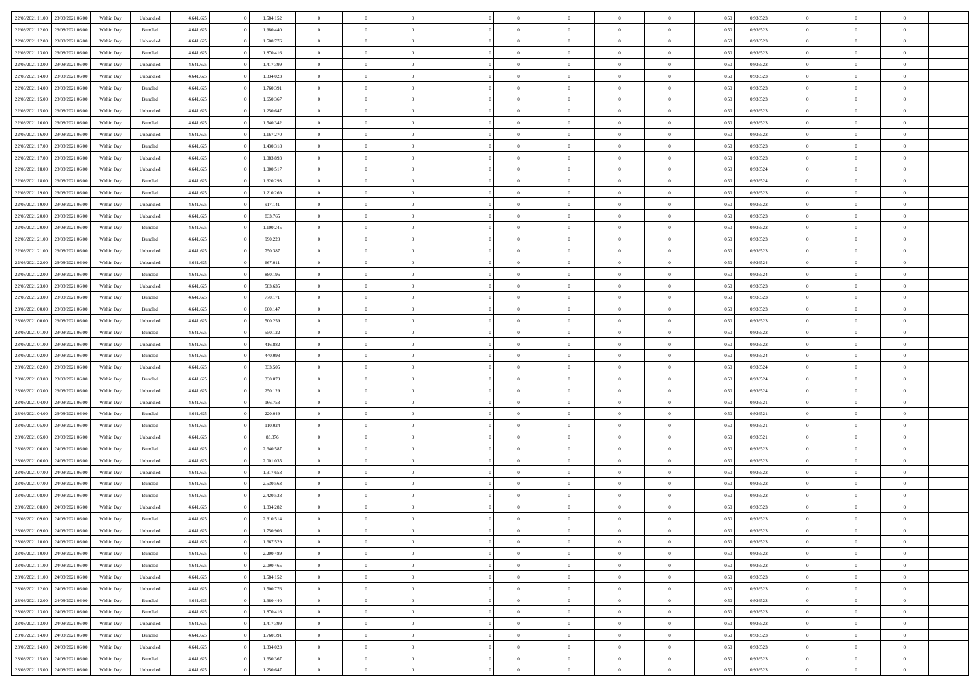| 22/08/2021 11:00 23/08/2021 06:00    | Within Day | Unbundled         | 4.641.625 | 1.584.152 | $\overline{0}$ | $\overline{0}$ |                | $\overline{0}$ | $\theta$       | $\overline{0}$ | $\overline{0}$ | 0,50 | 0,936523 | $\theta$       | $\theta$       | $\overline{0}$ |  |
|--------------------------------------|------------|-------------------|-----------|-----------|----------------|----------------|----------------|----------------|----------------|----------------|----------------|------|----------|----------------|----------------|----------------|--|
|                                      |            |                   |           |           |                |                |                |                |                |                |                |      |          |                |                |                |  |
| 22/08/2021 12:00<br>23/08/2021 06.00 | Within Day | Bundled           | 4.641.625 | 1.980.440 | $\bf{0}$       | $\bf{0}$       | $\bf{0}$       | $\bf{0}$       | $\overline{0}$ | $\bf{0}$       | $\bf{0}$       | 0,50 | 0,936523 | $\,$ 0 $\,$    | $\bf{0}$       | $\overline{0}$ |  |
| 22/08/2021 12:00<br>23/08/2021 06:00 | Within Day | Unbundled         | 4.641.625 | 1.500.776 | $\overline{0}$ | $\bf{0}$       | $\overline{0}$ | $\overline{0}$ | $\overline{0}$ | $\overline{0}$ | $\bf{0}$       | 0.50 | 0.936523 | $\overline{0}$ | $\overline{0}$ | $\bf{0}$       |  |
| 22/08/2021 13:00<br>23/08/2021 06:00 | Within Day | Bundled           | 4.641.625 | 1.870.416 | $\overline{0}$ | $\overline{0}$ | $\overline{0}$ | $\overline{0}$ | $\overline{0}$ | $\overline{0}$ | $\bf{0}$       | 0,50 | 0,936523 | $\,$ 0 $\,$    | $\,$ 0 $\,$    | $\overline{0}$ |  |
| 22/08/2021 13:00<br>23/08/2021 06:00 | Within Day | Unbundled         | 4.641.625 | 1.417.399 | $\bf{0}$       | $\overline{0}$ | $\bf{0}$       | $\overline{0}$ | $\bf{0}$       | $\overline{0}$ | $\bf{0}$       | 0,50 | 0,936523 | $\,$ 0 $\,$    | $\bf{0}$       | $\overline{0}$ |  |
| 22/08/2021 14:00<br>23/08/2021 06:00 | Within Day | Unbundled         | 4.641.625 | 1.334.023 | $\overline{0}$ | $\overline{0}$ | $\overline{0}$ | $\bf{0}$       | $\overline{0}$ | $\overline{0}$ | $\bf{0}$       | 0.50 | 0.936523 | $\bf{0}$       | $\overline{0}$ | $\overline{0}$ |  |
| 22/08/2021 14:00<br>23/08/2021 06:00 | Within Day | Bundled           | 4.641.625 | 1.760.391 | $\overline{0}$ | $\bf{0}$       | $\overline{0}$ | $\overline{0}$ | $\overline{0}$ | $\overline{0}$ | $\bf{0}$       | 0,50 | 0,936523 | $\,$ 0 $\,$    | $\bf{0}$       | $\overline{0}$ |  |
|                                      |            |                   |           |           |                |                |                |                |                |                |                |      |          |                |                |                |  |
| 22/08/2021 15:00<br>23/08/2021 06:00 | Within Day | Bundled           | 4.641.625 | 1.650.367 | $\bf{0}$       | $\bf{0}$       | $\bf{0}$       | $\bf{0}$       | $\overline{0}$ | $\overline{0}$ | $\bf{0}$       | 0,50 | 0,936523 | $\,$ 0 $\,$    | $\bf{0}$       | $\overline{0}$ |  |
| 22/08/2021 15:00<br>23/08/2021 06:00 | Within Day | Unbundled         | 4.641.625 | 1.250.647 | $\overline{0}$ | $\bf{0}$       | $\overline{0}$ | $\bf{0}$       | $\overline{0}$ | $\overline{0}$ | $\bf{0}$       | 0.50 | 0.936523 | $\bf{0}$       | $\overline{0}$ | $\bf{0}$       |  |
| 22/08/2021 16:00<br>23/08/2021 06:00 | Within Day | Bundled           | 4.641.625 | 1.540.342 | $\overline{0}$ | $\bf{0}$       | $\overline{0}$ | $\overline{0}$ | $\overline{0}$ | $\overline{0}$ | $\bf{0}$       | 0,50 | 0,936523 | $\,$ 0 $\,$    | $\bf{0}$       | $\overline{0}$ |  |
| 22/08/2021 16:00<br>23/08/2021 06:00 | Within Day | Unbundled         | 4.641.625 | 1.167.270 | $\bf{0}$       | $\bf{0}$       | $\bf{0}$       | $\bf{0}$       | $\overline{0}$ | $\overline{0}$ | $\bf{0}$       | 0,50 | 0,936523 | $\,$ 0 $\,$    | $\bf{0}$       | $\overline{0}$ |  |
| 22/08/2021 17:00<br>23/08/2021 06:00 | Within Day | Bundled           | 4.641.625 | 1.430.318 | $\overline{0}$ | $\bf{0}$       | $\overline{0}$ | $\overline{0}$ | $\overline{0}$ | $\overline{0}$ | $\bf{0}$       | 0.50 | 0.936523 | $\overline{0}$ | $\overline{0}$ | $\,$ 0         |  |
| 22/08/2021 17:00<br>23/08/2021 06:00 | Within Day | Unbundled         | 4.641.625 | 1.083.893 | $\overline{0}$ | $\bf{0}$       | $\overline{0}$ | $\overline{0}$ | $\theta$       | $\overline{0}$ | $\bf{0}$       | 0,50 | 0,936523 | $\,$ 0 $\,$    | $\,$ 0 $\,$    | $\overline{0}$ |  |
| 22/08/2021 18:00<br>23/08/2021 06:00 | Within Day | Unbundled         | 4.641.625 | 1.000.517 | $\bf{0}$       | $\overline{0}$ | $\bf{0}$       | $\bf{0}$       | $\bf{0}$       | $\overline{0}$ | $\bf{0}$       | 0,50 | 0,936524 | $\,$ 0 $\,$    | $\bf{0}$       | $\overline{0}$ |  |
|                                      |            |                   |           |           |                |                |                |                |                |                |                |      |          |                |                |                |  |
| 22/08/2021 18:00<br>23/08/2021 06:00 | Within Day | Bundled           | 4.641.625 | 1.320.293 | $\overline{0}$ | $\bf{0}$       | $\overline{0}$ | $\bf{0}$       | $\overline{0}$ | $\overline{0}$ | $\bf{0}$       | 0.50 | 0.936524 | $\theta$       | $\theta$       | $\overline{0}$ |  |
| 22/08/2021 19:00<br>23/08/2021 06:00 | Within Day | Bundled           | 4.641.625 | 1.210.269 | $\overline{0}$ | $\bf{0}$       | $\overline{0}$ | $\overline{0}$ | $\overline{0}$ | $\overline{0}$ | $\bf{0}$       | 0,50 | 0,936523 | $\,$ 0 $\,$    | $\theta$       | $\overline{0}$ |  |
| 22/08/2021 19:00<br>23/08/2021 06:00 | Within Day | Unbundled         | 4.641.625 | 917.141   | $\bf{0}$       | $\bf{0}$       | $\bf{0}$       | $\bf{0}$       | $\overline{0}$ | $\overline{0}$ | $\bf{0}$       | 0,50 | 0,936523 | $\,$ 0 $\,$    | $\bf{0}$       | $\overline{0}$ |  |
| 22/08/2021 20:00<br>23/08/2021 06:00 | Within Day | Unbundled         | 4.641.625 | 833.765   | $\overline{0}$ | $\bf{0}$       | $\overline{0}$ | $\bf{0}$       | $\overline{0}$ | $\overline{0}$ | $\bf{0}$       | 0.50 | 0.936523 | $\bf{0}$       | $\overline{0}$ | $\bf{0}$       |  |
| 22/08/2021 20:00<br>23/08/2021 06:00 | Within Day | Bundled           | 4.641.625 | 1.100.245 | $\overline{0}$ | $\bf{0}$       | $\overline{0}$ | $\overline{0}$ | $\overline{0}$ | $\overline{0}$ | $\bf{0}$       | 0,50 | 0,936523 | $\,$ 0 $\,$    | $\bf{0}$       | $\overline{0}$ |  |
| 22/08/2021 21:00<br>23/08/2021 06:00 | Within Day | Bundled           | 4.641.625 | 990.220   | $\bf{0}$       | $\bf{0}$       | $\bf{0}$       | $\bf{0}$       | $\overline{0}$ | $\overline{0}$ | $\bf{0}$       | 0,50 | 0,936523 | $\,$ 0 $\,$    | $\bf{0}$       | $\overline{0}$ |  |
| 22/08/2021 21:00<br>23/08/2021 06:00 | Within Day | Unbundled         | 4.641.625 | 750.387   | $\overline{0}$ | $\bf{0}$       | $\overline{0}$ | $\overline{0}$ | $\overline{0}$ | $\overline{0}$ | $\bf{0}$       | 0.50 | 0.936523 | $\bf{0}$       | $\overline{0}$ | $\,$ 0         |  |
| 22/08/2021 22:00<br>23/08/2021 06:00 | Within Day | Unbundled         | 4.641.625 | 667.011   | $\overline{0}$ | $\overline{0}$ | $\overline{0}$ | $\overline{0}$ | $\overline{0}$ | $\overline{0}$ | $\bf{0}$       | 0,50 | 0,936524 | $\,$ 0 $\,$    | $\,$ 0 $\,$    | $\overline{0}$ |  |
| 23/08/2021 06:00                     | Within Day | Bundled           | 4.641.625 | 880.196   | $\bf{0}$       | $\bf{0}$       | $\bf{0}$       | $\bf{0}$       | $\overline{0}$ | $\overline{0}$ | $\bf{0}$       | 0,50 | 0,936524 | $\,$ 0 $\,$    | $\bf{0}$       | $\overline{0}$ |  |
| 22/08/2021 22:00                     |            |                   |           |           |                |                |                |                |                |                |                |      |          |                |                |                |  |
| 22/08/2021 23:00<br>23/08/2021 06:00 | Within Day | Unbundled         | 4.641.625 | 583.635   | $\overline{0}$ | $\bf{0}$       | $\overline{0}$ | $\bf{0}$       | $\overline{0}$ | $\overline{0}$ | $\bf{0}$       | 0.50 | 0.936523 | $\bf{0}$       | $\overline{0}$ | $\overline{0}$ |  |
| 22/08/2021 23:00<br>23/08/2021 06:00 | Within Day | Bundled           | 4.641.625 | 770.171   | $\bf{0}$       | $\bf{0}$       | $\overline{0}$ | $\overline{0}$ | $\overline{0}$ | $\overline{0}$ | $\bf{0}$       | 0,50 | 0,936523 | $\,$ 0 $\,$    | $\theta$       | $\overline{0}$ |  |
| 23/08/2021 00:00<br>23/08/2021 06:00 | Within Day | Bundled           | 4.641.625 | 660.147   | $\bf{0}$       | $\bf{0}$       | $\bf{0}$       | $\bf{0}$       | $\overline{0}$ | $\overline{0}$ | $\bf{0}$       | 0,50 | 0,936523 | $\,$ 0 $\,$    | $\bf{0}$       | $\overline{0}$ |  |
| 23/08/2021 00:00<br>23/08/2021 06:00 | Within Day | Unbundled         | 4.641.625 | 500.259   | $\overline{0}$ | $\bf{0}$       | $\overline{0}$ | $\bf{0}$       | $\bf{0}$       | $\overline{0}$ | $\bf{0}$       | 0.50 | 0.936523 | $\bf{0}$       | $\overline{0}$ | $\bf{0}$       |  |
| 23/08/2021 01:00<br>23/08/2021 06:00 | Within Day | Bundled           | 4.641.625 | 550.122   | $\overline{0}$ | $\bf{0}$       | $\overline{0}$ | $\overline{0}$ | $\overline{0}$ | $\overline{0}$ | $\bf{0}$       | 0,50 | 0,936523 | $\,$ 0 $\,$    | $\bf{0}$       | $\overline{0}$ |  |
| 23/08/2021 01:00<br>23/08/2021 06:00 | Within Day | Unbundled         | 4.641.625 | 416.882   | $\bf{0}$       | $\bf{0}$       | $\bf{0}$       | $\bf{0}$       | $\overline{0}$ | $\overline{0}$ | $\bf{0}$       | 0,50 | 0,936523 | $\,$ 0 $\,$    | $\bf{0}$       | $\overline{0}$ |  |
| 23/08/2021 02:00<br>23/08/2021 06:00 | Within Day | Bundled           | 4.641.625 | 440.098   | $\overline{0}$ | $\bf{0}$       | $\overline{0}$ | $\overline{0}$ | $\overline{0}$ | $\overline{0}$ | $\bf{0}$       | 0.50 | 0.936524 | $\overline{0}$ | $\overline{0}$ | $\,$ 0         |  |
| 23/08/2021 02:00<br>23/08/2021 06:00 | Within Day | Unbundled         | 4.641.625 | 333.505   | $\overline{0}$ | $\overline{0}$ | $\overline{0}$ | $\overline{0}$ | $\overline{0}$ | $\overline{0}$ | $\bf{0}$       | 0.50 | 0,936524 | $\theta$       | $\theta$       | $\overline{0}$ |  |
|                                      |            |                   |           |           | $\bf{0}$       | $\bf{0}$       | $\bf{0}$       |                | $\overline{0}$ | $\overline{0}$ |                |      |          | $\,$ 0 $\,$    | $\bf{0}$       | $\overline{0}$ |  |
| 23/08/2021 03:00<br>23/08/2021 06:00 | Within Day | Bundled           | 4.641.625 | 330.073   |                |                |                | $\bf{0}$       |                |                | $\bf{0}$       | 0,50 | 0,936524 |                |                |                |  |
| 23/08/2021 03:00<br>23/08/2021 06:00 | Within Day | Unbundled         | 4.641.625 | 250.129   | $\overline{0}$ | $\bf{0}$       | $\overline{0}$ | $\bf{0}$       | $\overline{0}$ | $\overline{0}$ | $\bf{0}$       | 0.50 | 0.936524 | $\bf{0}$       | $\theta$       | $\overline{0}$ |  |
| 23/08/2021 04:00<br>23/08/2021 06:00 | Within Day | Unbundled         | 4.641.625 | 166.753   | $\overline{0}$ | $\overline{0}$ | $\overline{0}$ | $\overline{0}$ | $\overline{0}$ | $\overline{0}$ | $\overline{0}$ | 0.50 | 0.936521 | $\theta$       | $\theta$       | $\overline{0}$ |  |
| 23/08/2021 04:00<br>23/08/2021 06:00 | Within Day | Bundled           | 4.641.625 | 220.049   | $\bf{0}$       | $\bf{0}$       | $\bf{0}$       | $\bf{0}$       | $\overline{0}$ | $\overline{0}$ | $\bf{0}$       | 0,50 | 0,936521 | $\,$ 0 $\,$    | $\bf{0}$       | $\overline{0}$ |  |
| 23/08/2021 05:00<br>23/08/2021 06:00 | Within Day | Bundled           | 4.641.625 | 110.024   | $\overline{0}$ | $\bf{0}$       | $\overline{0}$ | $\bf{0}$       | $\bf{0}$       | $\overline{0}$ | $\bf{0}$       | 0.50 | 0.936521 | $\bf{0}$       | $\overline{0}$ | $\bf{0}$       |  |
| 23/08/2021 05:00<br>23/08/2021 06:00 | Within Day | Unbundled         | 4.641.625 | 83.376    | $\overline{0}$ | $\overline{0}$ | $\overline{0}$ | $\overline{0}$ | $\overline{0}$ | $\overline{0}$ | $\bf{0}$       | 0.50 | 0.936521 | $\theta$       | $\overline{0}$ | $\overline{0}$ |  |
| 23/08/2021 06:00<br>24/08/2021 06.00 | Within Day | Bundled           | 4.641.625 | 2.640.587 | $\bf{0}$       | $\bf{0}$       | $\bf{0}$       | $\overline{0}$ | $\overline{0}$ | $\overline{0}$ | $\bf{0}$       | 0,50 | 0,936523 | $\,$ 0 $\,$    | $\bf{0}$       | $\overline{0}$ |  |
| 23/08/2021 06:00<br>24/08/2021 06:00 | Within Day | Unbundled         | 4.641.625 | 2.001.035 | $\overline{0}$ | $\bf{0}$       | $\overline{0}$ | $\overline{0}$ | $\bf{0}$       | $\overline{0}$ | $\bf{0}$       | 0.50 | 0.936523 | $\bf{0}$       | $\overline{0}$ | $\,$ 0         |  |
| 23/08/2021 07:00<br>24/08/2021 06:00 | Within Dav | Unbundled         | 4.641.625 | 1.917.658 | $\overline{0}$ | $\overline{0}$ | $\overline{0}$ | $\overline{0}$ | $\overline{0}$ | $\overline{0}$ | $\bf{0}$       | 0.50 | 0.936523 | $\theta$       | $\theta$       | $\overline{0}$ |  |
|                                      |            |                   |           |           |                |                |                |                |                | $\overline{0}$ |                |      |          |                |                |                |  |
| 23/08/2021 07:00<br>24/08/2021 06.00 | Within Day | Bundled           | 4.641.625 | 2.530.563 | $\bf{0}$       | $\bf{0}$       | $\bf{0}$       | $\overline{0}$ | $\overline{0}$ |                | $\bf{0}$       | 0,50 | 0,936523 | $\,$ 0 $\,$    | $\bf{0}$       | $\overline{0}$ |  |
| 23/08/2021 08:00<br>24/08/2021 06.00 | Within Day | Bundled           | 4.641.625 | 2.420.538 | $\overline{0}$ | $\overline{0}$ | $\overline{0}$ | $\bf{0}$       | $\overline{0}$ | $\Omega$       | $\bf{0}$       | 0.50 | 0.936523 | $\bf{0}$       | $\theta$       | $\overline{0}$ |  |
| 23/08/2021 08:00<br>24/08/2021 06:00 | Within Dav | Unbundled         | 4.641.625 | 1.834.282 | $\overline{0}$ | $\overline{0}$ | $\overline{0}$ | $\overline{0}$ | $\theta$       | $\overline{0}$ | $\overline{0}$ | 0.50 | 0.936523 | $\theta$       | $\theta$       | $\overline{0}$ |  |
| 23/08/2021 09:00<br>24/08/2021 06:00 | Within Day | Bundled           | 4.641.625 | 2.310.514 | $\bf{0}$       | $\bf{0}$       | $\bf{0}$       | $\bf{0}$       | $\overline{0}$ | $\bf{0}$       | $\bf{0}$       | 0,50 | 0,936523 | $\,$ 0 $\,$    | $\bf{0}$       | $\overline{0}$ |  |
| 23/08/2021 09:00 24/08/2021 06:00    | Within Day | ${\sf Unbundred}$ | 4.641.625 | 1.750.906 | $\bf{0}$       | $\bf{0}$       |                | $\overline{0}$ | $\bf{0}$       |                | $\bf{0}$       | 0,50 | 0,936523 | $\bf{0}$       | $\bf{0}$       |                |  |
| 23/08/2021 10:00 24/08/2021 06:00    | Within Day | Unbundled         | 4.641.625 | 1.667.529 | $\overline{0}$ | $\overline{0}$ | $\overline{0}$ | $\overline{0}$ | $\overline{0}$ | $\overline{0}$ | $\bf{0}$       | 0,50 | 0.936523 | $\theta$       | $\overline{0}$ | $\overline{0}$ |  |
| 23/08/2021 10:00<br>24/08/2021 06:00 | Within Day | Bundled           | 4.641.625 | 2.200.489 | $\overline{0}$ | $\bf{0}$       | $\overline{0}$ | $\overline{0}$ | $\bf{0}$       | $\overline{0}$ | $\bf{0}$       | 0,50 | 0,936523 | $\bf{0}$       | $\overline{0}$ | $\bf{0}$       |  |
| 23/08/2021 11:00 24/08/2021 06:00    | Within Day | Bundled           | 4.641.625 | 2.090.465 | $\overline{0}$ | $\bf{0}$       | $\overline{0}$ | $\overline{0}$ | $\mathbf{0}$   | $\overline{0}$ | $\,$ 0 $\,$    | 0.50 | 0.936523 | $\overline{0}$ | $\bf{0}$       | $\,$ 0 $\,$    |  |
| 23/08/2021 11:00 24/08/2021 06:00    | Within Day | Unbundled         | 4.641.625 | 1.584.152 | $\overline{0}$ | $\overline{0}$ | $\overline{0}$ | $\overline{0}$ | $\overline{0}$ | $\overline{0}$ | $\bf{0}$       | 0,50 | 0.936523 | $\overline{0}$ | $\theta$       | $\overline{0}$ |  |
|                                      |            |                   |           |           |                |                |                |                |                |                |                |      |          |                |                |                |  |
| 23/08/2021 12:00<br>24/08/2021 06:00 | Within Day | Unbundled         | 4.641.625 | 1.500.776 | $\overline{0}$ | $\bf{0}$       | $\overline{0}$ | $\overline{0}$ | $\bf{0}$       | $\overline{0}$ | $\bf{0}$       | 0,50 | 0,936523 | $\bf{0}$       | $\bf{0}$       | $\overline{0}$ |  |
| 23/08/2021 12:00<br>24/08/2021 06:00 | Within Day | Bundled           | 4.641.625 | 1.980.440 | $\overline{0}$ | $\bf{0}$       | $\overline{0}$ | $\overline{0}$ | $\bf{0}$       | $\overline{0}$ | $\bf{0}$       | 0.50 | 0.936523 | $\,$ 0 $\,$    | $\theta$       | $\,$ 0         |  |
| 23/08/2021 13:00<br>24/08/2021 06:00 | Within Day | Bundled           | 4.641.625 | 1.870.416 | $\overline{0}$ | $\overline{0}$ | $\overline{0}$ | $\overline{0}$ | $\overline{0}$ | $\overline{0}$ | $\bf{0}$       | 0,50 | 0.936523 | $\overline{0}$ | $\theta$       | $\overline{0}$ |  |
| 23/08/2021 13:00<br>24/08/2021 06:00 | Within Day | Unbundled         | 4.641.625 | 1.417.399 | $\overline{0}$ | $\overline{0}$ | $\overline{0}$ | $\overline{0}$ | $\overline{0}$ | $\overline{0}$ | $\bf{0}$       | 0,50 | 0,936523 | $\bf{0}$       | $\overline{0}$ | $\,$ 0         |  |
| 23/08/2021 14:00<br>24/08/2021 06:00 | Within Day | Bundled           | 4.641.625 | 1.760.391 | $\overline{0}$ | $\overline{0}$ | $\overline{0}$ | $\overline{0}$ | $\overline{0}$ | $\overline{0}$ | $\bf{0}$       | 0.50 | 0.936523 | $\overline{0}$ | $\bf{0}$       | $\,$ 0         |  |
| 23/08/2021 14:00 24/08/2021 06:00    | Within Day | Unbundled         | 4.641.625 | 1.334.023 | $\overline{0}$ | $\overline{0}$ | $\overline{0}$ | $\overline{0}$ | $\overline{0}$ | $\overline{0}$ | $\bf{0}$       | 0,50 | 0.936523 | $\overline{0}$ | $\theta$       | $\overline{0}$ |  |
| 23/08/2021 15:00<br>24/08/2021 06:00 | Within Day | Bundled           | 4.641.625 | 1.650.367 | $\overline{0}$ | $\bf{0}$       | $\overline{0}$ | $\overline{0}$ | $\overline{0}$ | $\overline{0}$ | $\bf{0}$       | 0,50 | 0,936523 | $\bf{0}$       | $\overline{0}$ | $\bf{0}$       |  |
| 23/08/2021 15:00 24/08/2021 06:00    | Within Day | ${\sf Unbundred}$ | 4.641.625 | 1.250.647 | $\,$ 0 $\,$    | $\bf{0}$       | $\overline{0}$ | $\overline{0}$ | $\,$ 0 $\,$    | $\overline{0}$ | $\,$ 0 $\,$    | 0,50 | 0,936523 | $\,$ 0 $\,$    | $\,$ 0 $\,$    | $\,$ 0 $\,$    |  |
|                                      |            |                   |           |           |                |                |                |                |                |                |                |      |          |                |                |                |  |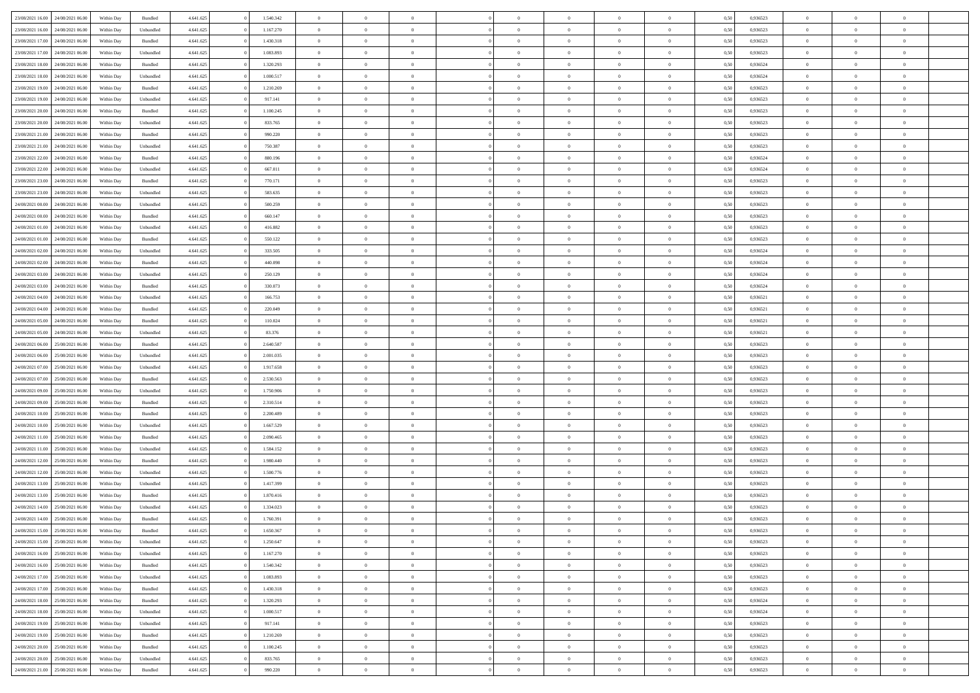| 23/08/2021 16:00                  | 24/08/2021 06:00 | Within Day | Bundled            | 4.641.625 | 1.540.342 | $\overline{0}$ | $\Omega$       |                | $\Omega$       | $\Omega$       | $\theta$       | $\theta$       | 0.50 | 0,936523 | $\theta$       | $\theta$       | $\overline{0}$ |  |
|-----------------------------------|------------------|------------|--------------------|-----------|-----------|----------------|----------------|----------------|----------------|----------------|----------------|----------------|------|----------|----------------|----------------|----------------|--|
|                                   |                  |            |                    |           |           |                |                |                |                |                |                |                |      |          |                |                |                |  |
| 23/08/2021 16:00                  | 24/08/2021 06:00 | Within Day | Unbundled          | 4.641.625 | 1.167.270 | $\overline{0}$ | $\theta$       | $\overline{0}$ | $\overline{0}$ | $\bf{0}$       | $\overline{0}$ | $\bf{0}$       | 0,50 | 0,936523 | $\theta$       | $\overline{0}$ | $\overline{0}$ |  |
| 23/08/2021 17:00                  | 24/08/2021 06:00 | Within Day | Bundled            | 4.641.625 | 1.430.318 | $\overline{0}$ | $\bf{0}$       | $\overline{0}$ | $\bf{0}$       | $\bf{0}$       | $\bf{0}$       | $\mathbf{0}$   | 0,50 | 0,936523 | $\overline{0}$ | $\overline{0}$ | $\bf{0}$       |  |
| 23/08/2021 17:00                  | 24/08/2021 06:00 | Within Day | Unbundled          | 4.641.625 | 1.083.893 | $\overline{0}$ | $\overline{0}$ | $\overline{0}$ | $\overline{0}$ | $\bf{0}$       | $\overline{0}$ | $\overline{0}$ | 0.50 | 0.936523 | $\theta$       | $\theta$       | $\overline{0}$ |  |
| 23/08/2021 18:00                  | 24/08/2021 06:00 | Within Day | Bundled            | 4.641.625 | 1.320.293 | $\overline{0}$ | $\theta$       | $\overline{0}$ | $\overline{0}$ | $\bf{0}$       | $\overline{0}$ | $\bf{0}$       | 0,50 | 0,936524 | $\theta$       | $\overline{0}$ | $\overline{0}$ |  |
| 23/08/2021 18:00                  | 24/08/2021 06:00 | Within Day | Unbundled          | 4.641.625 | 1.000.517 | $\overline{0}$ | $\overline{0}$ | $\overline{0}$ | $\overline{0}$ | $\overline{0}$ | $\overline{0}$ | $\mathbf{0}$   | 0,50 | 0,936524 | $\bf{0}$       | $\overline{0}$ | $\bf{0}$       |  |
|                                   |                  |            |                    |           |           |                | $\overline{0}$ |                |                | $\overline{0}$ |                |                |      |          | $\theta$       | $\overline{0}$ | $\overline{0}$ |  |
| 23/08/2021 19:00                  | 24/08/2021 06:00 | Within Dav | Bundled            | 4.641.625 | 1.210.269 | $\overline{0}$ |                | $\overline{0}$ | $\overline{0}$ |                | $\overline{0}$ | $\overline{0}$ | 0.50 | 0.936523 |                |                |                |  |
| 23/08/2021 19:00                  | 24/08/2021 06:00 | Within Day | Unbundled          | 4.641.625 | 917.141   | $\overline{0}$ | $\theta$       | $\overline{0}$ | $\overline{0}$ | $\bf{0}$       | $\overline{0}$ | $\bf{0}$       | 0,50 | 0,936523 | $\theta$       | $\theta$       | $\overline{0}$ |  |
| 23/08/2021 20:00                  | 24/08/2021 06:00 | Within Day | Bundled            | 4.641.625 | 1.100.245 | $\overline{0}$ | $\overline{0}$ | $\overline{0}$ | $\overline{0}$ | $\bf{0}$       | $\overline{0}$ | $\bf{0}$       | 0,50 | 0,936523 | $\,0\,$        | $\overline{0}$ | $\overline{0}$ |  |
| 23/08/2021 20:00                  | 24/08/2021 06:00 | Within Dav | Unbundled          | 4.641.625 | 833.765   | $\overline{0}$ | $\overline{0}$ | $\overline{0}$ | $\overline{0}$ | $\overline{0}$ | $\overline{0}$ | $\overline{0}$ | 0.50 | 0.936523 | $\theta$       | $\overline{0}$ | $\overline{0}$ |  |
| 23/08/2021 21:00                  | 24/08/2021 06:00 | Within Day | Bundled            | 4.641.625 | 990.220   | $\overline{0}$ | $\theta$       | $\overline{0}$ | $\overline{0}$ | $\bf{0}$       | $\overline{0}$ | $\bf{0}$       | 0,50 | 0,936523 | $\,$ 0 $\,$    | $\overline{0}$ | $\overline{0}$ |  |
| 23/08/2021 21:00                  | 24/08/2021 06:00 | Within Day | Unbundled          | 4.641.625 | 750.387   | $\overline{0}$ | $\bf{0}$       | $\overline{0}$ | $\overline{0}$ | $\bf{0}$       | $\overline{0}$ | $\mathbf{0}$   | 0,50 | 0,936523 | $\overline{0}$ | $\overline{0}$ | $\bf{0}$       |  |
| 23/08/2021 22:00                  | 24/08/2021 06:00 | Within Day | Bundled            | 4.641.625 | 880.196   | $\overline{0}$ | $\overline{0}$ | $\overline{0}$ | $\overline{0}$ | $\bf{0}$       | $\overline{0}$ | $\overline{0}$ | 0.50 | 0.936524 | $\theta$       | $\theta$       | $\overline{0}$ |  |
|                                   |                  |            |                    |           |           | $\overline{0}$ | $\theta$       | $\overline{0}$ | $\overline{0}$ | $\bf{0}$       | $\overline{0}$ |                |      |          | $\theta$       | $\overline{0}$ | $\overline{0}$ |  |
| 23/08/2021 22:00                  | 24/08/2021 06:00 | Within Day | Unbundled          | 4.641.625 | 667.011   |                |                |                |                |                |                | $\bf{0}$       | 0,50 | 0,936524 |                |                |                |  |
| 23/08/2021 23:00                  | 24/08/2021 06:00 | Within Day | Bundled            | 4.641.625 | 770.171   | $\overline{0}$ | $\overline{0}$ | $\overline{0}$ | $\bf{0}$       | $\overline{0}$ | $\overline{0}$ | $\mathbf{0}$   | 0,50 | 0,936523 | $\overline{0}$ | $\overline{0}$ | $\bf{0}$       |  |
| 23/08/2021 23:00                  | 24/08/2021 06:00 | Within Dav | Unbundled          | 4.641.625 | 583.635   | $\overline{0}$ | $\overline{0}$ | $\overline{0}$ | $\overline{0}$ | $\overline{0}$ | $\overline{0}$ | $\overline{0}$ | 0.50 | 0.936523 | $\theta$       | $\overline{0}$ | $\overline{0}$ |  |
| 24/08/2021 00:00                  | 24/08/2021 06:00 | Within Day | Unbundled          | 4.641.625 | 500.259   | $\overline{0}$ | $\theta$       | $\overline{0}$ | $\overline{0}$ | $\bf{0}$       | $\overline{0}$ | $\bf{0}$       | 0,50 | 0,936523 | $\theta$       | $\theta$       | $\overline{0}$ |  |
| 24/08/2021 00:00                  | 24/08/2021 06:00 | Within Day | Bundled            | 4.641.625 | 660.147   | $\overline{0}$ | $\overline{0}$ | $\overline{0}$ | $\bf{0}$       | $\bf{0}$       | $\bf{0}$       | $\mathbf{0}$   | 0,50 | 0,936523 | $\,0\,$        | $\overline{0}$ | $\bf{0}$       |  |
| 24/08/2021 01:00                  | 24/08/2021 06:00 | Within Day | Unbundled          | 4.641.625 | 416.882   | $\overline{0}$ | $\overline{0}$ | $\overline{0}$ | $\overline{0}$ | $\overline{0}$ | $\overline{0}$ | $\overline{0}$ | 0.50 | 0.936523 | $\theta$       | $\overline{0}$ | $\overline{0}$ |  |
| 24/08/2021 01:00                  | 24/08/2021 06:00 | Within Day | Bundled            | 4.641.625 | 550.122   | $\overline{0}$ | $\theta$       | $\overline{0}$ | $\overline{0}$ | $\bf{0}$       | $\overline{0}$ | $\bf{0}$       | 0,50 | 0,936523 | $\,$ 0 $\,$    | $\overline{0}$ | $\overline{0}$ |  |
|                                   |                  |            |                    |           |           |                |                |                |                |                |                |                |      |          |                |                |                |  |
| 24/08/2021 02:00                  | 24/08/2021 06:00 | Within Day | Unbundled          | 4.641.625 | 333.505   | $\overline{0}$ | $\overline{0}$ | $\overline{0}$ | $\bf{0}$       | $\bf{0}$       | $\bf{0}$       | $\mathbf{0}$   | 0,50 | 0,936524 | $\bf{0}$       | $\overline{0}$ | $\bf{0}$       |  |
| 24/08/2021 02:00                  | 24/08/2021 06:00 | Within Day | Bundled            | 4.641.625 | 440.098   | $\overline{0}$ | $\overline{0}$ | $\overline{0}$ | $\overline{0}$ | $\bf{0}$       | $\overline{0}$ | $\overline{0}$ | 0.50 | 0.936524 | $\theta$       | $\overline{0}$ | $\overline{0}$ |  |
| 24/08/2021 03:00                  | 24/08/2021 06:00 | Within Day | Unbundled          | 4.641.625 | 250.129   | $\overline{0}$ | $\theta$       | $\overline{0}$ | $\overline{0}$ | $\bf{0}$       | $\overline{0}$ | $\bf{0}$       | 0,50 | 0,936524 | $\,$ 0 $\,$    | $\overline{0}$ | $\overline{0}$ |  |
| 24/08/2021 03:00                  | 24/08/2021 06:00 | Within Day | Bundled            | 4.641.625 | 330.073   | $\overline{0}$ | $\overline{0}$ | $\overline{0}$ | $\bf{0}$       | $\overline{0}$ | $\overline{0}$ | $\mathbf{0}$   | 0,50 | 0,936524 | $\overline{0}$ | $\overline{0}$ | $\bf{0}$       |  |
| 24/08/2021 04:00                  | 24/08/2021 06:00 | Within Dav | Unbundled          | 4.641.625 | 166.753   | $\overline{0}$ | $\overline{0}$ | $\overline{0}$ | $\overline{0}$ | $\overline{0}$ | $\overline{0}$ | $\overline{0}$ | 0.50 | 0,936521 | $\theta$       | $\overline{0}$ | $\overline{0}$ |  |
| 24/08/2021 04:00                  | 24/08/2021 06:00 | Within Day | Bundled            | 4.641.625 | 220.049   | $\overline{0}$ | $\theta$       | $\overline{0}$ | $\overline{0}$ | $\bf{0}$       | $\overline{0}$ | $\bf{0}$       | 0,50 | 0,936521 | $\theta$       | $\theta$       | $\overline{0}$ |  |
| 24/08/2021 05:00                  | 24/08/2021 06:00 | Within Day | Bundled            | 4.641.625 | 110.024   | $\overline{0}$ | $\overline{0}$ | $\overline{0}$ | $\bf{0}$       | $\bf{0}$       | $\bf{0}$       | $\bf{0}$       | 0,50 | 0,936521 | $\,0\,$        | $\overline{0}$ | $\overline{0}$ |  |
| 24/08/2021 05:00                  | 24/08/2021 06:00 |            | Unbundled          | 4.641.625 | 83.376    | $\overline{0}$ | $\overline{0}$ | $\overline{0}$ | $\overline{0}$ | $\overline{0}$ | $\overline{0}$ | $\overline{0}$ | 0.50 | 0,936521 | $\theta$       | $\overline{0}$ | $\overline{0}$ |  |
|                                   |                  | Within Day |                    |           |           |                |                |                |                |                |                |                |      |          |                |                |                |  |
| 24/08/2021 06:00                  | 25/08/2021 06:00 | Within Day | Bundled            | 4.641.625 | 2.640.587 | $\overline{0}$ | $\theta$       | $\overline{0}$ | $\overline{0}$ | $\bf{0}$       | $\overline{0}$ | $\bf{0}$       | 0,50 | 0,936523 | $\,$ 0 $\,$    | $\overline{0}$ | $\overline{0}$ |  |
| 24/08/2021 06:00                  | 25/08/2021 06:00 | Within Day | Unbundled          | 4.641.625 | 2.001.035 | $\overline{0}$ | $\bf{0}$       | $\overline{0}$ | $\bf{0}$       | $\bf{0}$       | $\bf{0}$       | $\bf{0}$       | 0,50 | 0,936523 | $\overline{0}$ | $\overline{0}$ | $\bf{0}$       |  |
| 24/08/2021 07:00                  | 25/08/2021 06:00 | Within Day | Unbundled          | 4.641.625 | 1.917.658 | $\overline{0}$ | $\Omega$       | $\overline{0}$ | $\Omega$       | $\Omega$       | $\overline{0}$ | $\overline{0}$ | 0,50 | 0,936523 | $\,0\,$        | $\theta$       | $\theta$       |  |
| 24/08/2021 07:00                  | 25/08/2021 06:00 | Within Day | Bundled            | 4.641.625 | 2.530.563 | $\overline{0}$ | $\theta$       | $\overline{0}$ | $\overline{0}$ | $\bf{0}$       | $\overline{0}$ | $\bf{0}$       | 0,50 | 0,936523 | $\theta$       | $\overline{0}$ | $\overline{0}$ |  |
| 24/08/2021 09:00                  | 25/08/2021 06:00 | Within Day | Unbundled          | 4.641.625 | 1.750.906 | $\overline{0}$ | $\overline{0}$ | $\overline{0}$ | $\bf{0}$       | $\overline{0}$ | $\overline{0}$ | $\mathbf{0}$   | 0,50 | 0,936523 | $\bf{0}$       | $\overline{0}$ | $\bf{0}$       |  |
| 24/08/2021 09:00                  | 25/08/2021 06:00 | Within Day | Bundled            | 4.641.625 | 2.310.514 | $\overline{0}$ | $\Omega$       | $\Omega$       | $\Omega$       | $\overline{0}$ | $\overline{0}$ | $\overline{0}$ | 0.50 | 0.936523 | $\,0\,$        | $\theta$       | $\theta$       |  |
| 24/08/2021 10:00                  | 25/08/2021 06:00 | Within Day | Bundled            | 4.641.625 | 2.200.489 | $\overline{0}$ | $\theta$       | $\overline{0}$ | $\overline{0}$ | $\bf{0}$       | $\overline{0}$ | $\bf{0}$       | 0,50 | 0,936523 | $\theta$       | $\overline{0}$ | $\overline{0}$ |  |
|                                   |                  |            |                    |           |           |                |                |                |                |                |                |                |      |          |                |                |                |  |
| 24/08/2021 10:00                  | 25/08/2021 06:00 | Within Day | Unbundled          | 4.641.625 | 1.667.529 | $\overline{0}$ | $\overline{0}$ | $\overline{0}$ | $\bf{0}$       | $\bf{0}$       | $\bf{0}$       | $\bf{0}$       | 0,50 | 0,936523 | $\bf{0}$       | $\overline{0}$ | $\bf{0}$       |  |
| 24/08/2021 11:00                  | 25/08/2021 06:00 | Within Day | Bundled            | 4.641.625 | 2.090.465 | $\overline{0}$ | $\Omega$       | $\Omega$       | $\Omega$       | $\overline{0}$ | $\overline{0}$ | $\overline{0}$ | 0.50 | 0.936523 | $\,$ 0 $\,$    | $\theta$       | $\theta$       |  |
| 24/08/2021 11:00                  | 25/08/2021 06:00 | Within Day | Unbundled          | 4.641.625 | 1.584.152 | $\overline{0}$ | $\theta$       | $\overline{0}$ | $\overline{0}$ | $\,$ 0         | $\overline{0}$ | $\bf{0}$       | 0,50 | 0,936523 | $\,$ 0 $\,$    | $\overline{0}$ | $\overline{0}$ |  |
| 24/08/2021 12:00                  | 25/08/2021 06:00 | Within Day | Bundled            | 4.641.625 | 1.980.440 | $\overline{0}$ | $\bf{0}$       | $\overline{0}$ | $\bf{0}$       | $\bf{0}$       | $\bf{0}$       | $\mathbf{0}$   | 0,50 | 0,936523 | $\bf{0}$       | $\overline{0}$ | $\bf{0}$       |  |
| 24/08/2021 12:00                  | 25/08/2021 06:00 | Within Day | Unbundled          | 4.641.625 | 1.500.776 | $\overline{0}$ | $\Omega$       | $\overline{0}$ | $\Omega$       | $\overline{0}$ | $\overline{0}$ | $\overline{0}$ | 0,50 | 0,936523 | $\,0\,$        | $\theta$       | $\theta$       |  |
| 24/08/2021 13:00                  | 25/08/2021 06:00 | Within Day | Unbundled          | 4.641.625 | 1.417.399 | $\overline{0}$ | $\overline{0}$ | $\overline{0}$ | $\overline{0}$ | $\,$ 0         | $\overline{0}$ | $\bf{0}$       | 0,50 | 0,936523 | $\,$ 0 $\,$    | $\overline{0}$ | $\overline{0}$ |  |
| 24/08/2021 13:00                  | 25/08/2021 06:00 | Within Day | Bundled            | 4.641.625 | 1.870.416 | $\overline{0}$ | $\overline{0}$ | $\overline{0}$ | $\bf{0}$       | $\bf{0}$       | $\overline{0}$ | $\mathbf{0}$   | 0,50 | 0,936523 | $\bf{0}$       | $\overline{0}$ | $\bf{0}$       |  |
| 24/08/2021 14:00                  | 25/08/2021 06:00 |            | Unbundled          | 4.641.625 | 1.334.023 | $\overline{0}$ | $\Omega$       | $\Omega$       | $\Omega$       | $\Omega$       | $\Omega$       | $\overline{0}$ | 0.50 | 0.936523 | $\theta$       | $\theta$       | $\theta$       |  |
|                                   |                  | Within Day |                    |           |           |                |                |                |                |                |                |                |      |          |                |                |                |  |
| 24/08/2021 14:00                  | 25/08/2021 06:00 | Within Day | Bundled            | 4.641.625 | 1.760.391 | $\overline{0}$ | $\overline{0}$ | $\overline{0}$ | $\bf{0}$       | $\,$ 0         | $\bf{0}$       | $\bf{0}$       | 0,50 | 0,936523 | $\,0\,$        | $\,$ 0 $\,$    | $\overline{0}$ |  |
| 24/08/2021 15:00                  | 25/08/2021 06:00 | Within Day | $\mathbf B$ undled | 4.641.625 | 1.650.367 | $\bf{0}$       | $\bf{0}$       |                |                | $\bf{0}$       |                |                | 0,50 | 0,936523 | $\bf{0}$       | $\overline{0}$ |                |  |
| 24/08/2021 15:00                  | 25/08/2021 06:00 | Within Day | Unbundled          | 4.641.625 | 1.250.647 | $\overline{0}$ | $\overline{0}$ | $\overline{0}$ | $\Omega$       | $\overline{0}$ | $\overline{0}$ | $\overline{0}$ | 0.50 | 0.936523 | $\theta$       | $\theta$       | $\theta$       |  |
| 24/08/2021 16:00                  | 25/08/2021 06:00 | Within Day | Unbundled          | 4.641.625 | 1.167.270 | $\overline{0}$ | $\,$ 0         | $\overline{0}$ | $\bf{0}$       | $\,$ 0 $\,$    | $\overline{0}$ | $\mathbf{0}$   | 0,50 | 0,936523 | $\,$ 0 $\,$    | $\,$ 0 $\,$    | $\,$ 0         |  |
| 24/08/2021 16:00                  | 25/08/2021 06:00 | Within Day | Bundled            | 4.641.625 | 1.540.342 | $\overline{0}$ | $\overline{0}$ | $\overline{0}$ | $\overline{0}$ | $\overline{0}$ | $\overline{0}$ | $\mathbf{0}$   | 0,50 | 0,936523 | $\overline{0}$ | $\bf{0}$       | $\bf{0}$       |  |
| 24/08/2021 17:00                  | 25/08/2021 06:00 | Within Day | Unbundled          | 4.641.625 | 1.083.893 | $\overline{0}$ | $\overline{0}$ | $\overline{0}$ | $\Omega$       | $\overline{0}$ | $\overline{0}$ | $\overline{0}$ | 0,50 | 0,936523 | $\overline{0}$ | $\theta$       | $\overline{0}$ |  |
| 24/08/2021 17:00                  | 25/08/2021 06:00 | Within Day | Bundled            | 4.641.625 | 1.430.318 | $\overline{0}$ | $\,$ 0         | $\overline{0}$ | $\overline{0}$ | $\,$ 0 $\,$    | $\overline{0}$ | $\mathbf{0}$   | 0,50 | 0,936523 | $\,$ 0 $\,$    | $\overline{0}$ | $\overline{0}$ |  |
|                                   |                  |            |                    |           |           |                |                |                |                |                |                |                |      |          |                |                |                |  |
| 24/08/2021 18:00                  | 25/08/2021 06:00 | Within Day | Bundled            | 4.641.625 | 1.320.293 | $\overline{0}$ | $\overline{0}$ | $\overline{0}$ | $\overline{0}$ | $\overline{0}$ | $\overline{0}$ | $\mathbf{0}$   | 0,50 | 0,936524 | $\overline{0}$ | $\overline{0}$ | $\bf{0}$       |  |
| 24/08/2021 18:00                  | 25/08/2021 06:00 | Within Day | Unbundled          | 4.641.625 | 1.000.517 | $\overline{0}$ | $\overline{0}$ | $\overline{0}$ | $\Omega$       | $\overline{0}$ | $\overline{0}$ | $\bf{0}$       | 0.50 | 0.936524 | $\overline{0}$ | $\theta$       | $\overline{0}$ |  |
| 24/08/2021 19:00                  | 25/08/2021 06:00 | Within Day | Unbundled          | 4.641.625 | 917.141   | $\overline{0}$ | $\,$ 0         | $\overline{0}$ | $\bf{0}$       | $\bf{0}$       | $\bf{0}$       | $\bf{0}$       | 0,50 | 0,936523 | $\,$ 0 $\,$    | $\overline{0}$ | $\overline{0}$ |  |
| 24/08/2021 19:00                  | 25/08/2021 06:00 | Within Day | Bundled            | 4.641.625 | 1.210.269 | $\overline{0}$ | $\bf{0}$       | $\overline{0}$ | $\overline{0}$ | $\overline{0}$ | $\overline{0}$ | $\mathbf{0}$   | 0,50 | 0,936523 | $\overline{0}$ | $\overline{0}$ | $\bf{0}$       |  |
| 24/08/2021 20:00                  | 25/08/2021 06:00 | Within Day | Bundled            | 4.641.625 | 1.100.245 | $\overline{0}$ | $\overline{0}$ | $\overline{0}$ | $\Omega$       | $\overline{0}$ | $\overline{0}$ | $\bf{0}$       | 0.50 | 0.936523 | $\overline{0}$ | $\theta$       | $\overline{0}$ |  |
| 24/08/2021 20:00                  | 25/08/2021 06:00 | Within Day | Unbundled          | 4.641.625 | 833.765   | $\overline{0}$ | $\bf{0}$       | $\overline{0}$ | $\overline{0}$ | $\bf{0}$       | $\bf{0}$       | $\mathbf{0}$   | 0,50 | 0,936523 | $\,$ 0 $\,$    | $\,$ 0 $\,$    | $\bf{0}$       |  |
| 24/08/2021 21:00 25/08/2021 06:00 |                  | Within Day | Bundled            | 4.641.625 | 990.220   | $\overline{0}$ | $\overline{0}$ | $\overline{0}$ | $\overline{0}$ | $\bf{0}$       | $\bf{0}$       | $\mathbf{0}$   | 0,50 | 0,936523 | $\overline{0}$ | $\bf{0}$       | $\bf{0}$       |  |
|                                   |                  |            |                    |           |           |                |                |                |                |                |                |                |      |          |                |                |                |  |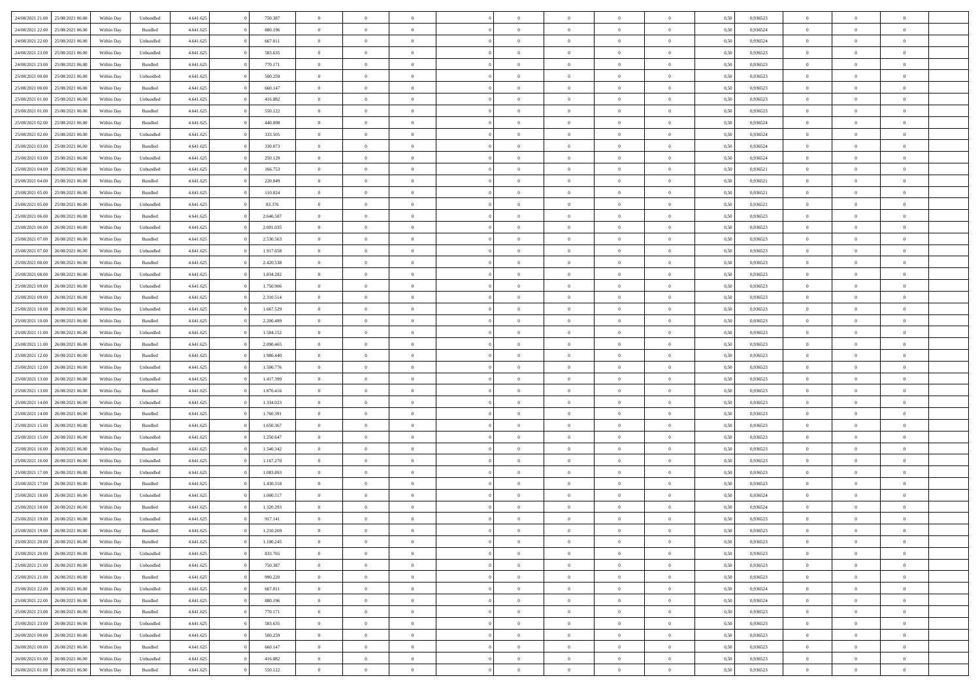| 24/08/2021 21:00 | 25/08/2021 06:00 | Within Day | Unbundled          | 4.641.625 | 750.387   | $\overline{0}$ | $\theta$       |                | $\Omega$       | $\Omega$       | $\theta$       | $\theta$       | 0.50 | 0,936523 | $\theta$       | $\overline{0}$ | $\theta$       |  |
|------------------|------------------|------------|--------------------|-----------|-----------|----------------|----------------|----------------|----------------|----------------|----------------|----------------|------|----------|----------------|----------------|----------------|--|
| 24/08/2021 22:00 | 25/08/2021 06:00 | Within Day | Bundled            | 4.641.625 | 880.196   | $\overline{0}$ | $\theta$       | $\overline{0}$ | $\overline{0}$ | $\bf{0}$       | $\overline{0}$ | $\bf{0}$       | 0,50 | 0,936524 | $\theta$       | $\overline{0}$ | $\overline{0}$ |  |
| 24/08/2021 22:00 | 25/08/2021 06:00 | Within Day | Unbundled          | 4.641.625 | 667.011   | $\overline{0}$ | $\bf{0}$       | $\overline{0}$ | $\bf{0}$       | $\bf{0}$       | $\bf{0}$       | $\mathbf{0}$   | 0,50 | 0,936524 | $\overline{0}$ | $\overline{0}$ | $\bf{0}$       |  |
| 24/08/2021 23:00 | 25/08/2021 06:00 | Within Day | Unbundled          | 4.641.625 | 583.635   | $\overline{0}$ | $\overline{0}$ | $\overline{0}$ | $\overline{0}$ | $\bf{0}$       | $\overline{0}$ | $\overline{0}$ | 0.50 | 0.936523 | $\theta$       | $\theta$       | $\overline{0}$ |  |
| 24/08/2021 23:00 | 25/08/2021 06:00 | Within Day | Bundled            | 4.641.625 | 770.171   | $\overline{0}$ | $\theta$       | $\overline{0}$ | $\overline{0}$ | $\bf{0}$       | $\overline{0}$ |                |      | 0,936523 | $\theta$       | $\overline{0}$ | $\overline{0}$ |  |
|                  |                  |            |                    |           |           |                |                |                |                |                |                | $\bf{0}$       | 0,50 |          |                |                |                |  |
| 25/08/2021 00:00 | 25/08/2021 06:00 | Within Day | Unbundled          | 4.641.625 | 500.259   | $\overline{0}$ | $\overline{0}$ | $\overline{0}$ | $\bf{0}$       | $\overline{0}$ | $\overline{0}$ | $\mathbf{0}$   | 0,50 | 0,936523 | $\overline{0}$ | $\overline{0}$ | $\bf{0}$       |  |
| 25/08/2021 00:00 | 25/08/2021 06:00 | Within Dav | Bundled            | 4.641.625 | 660.147   | $\overline{0}$ | $\overline{0}$ | $\overline{0}$ | $\overline{0}$ | $\overline{0}$ | $\overline{0}$ | $\overline{0}$ | 0.50 | 0.936523 | $\theta$       | $\overline{0}$ | $\overline{0}$ |  |
| 25/08/2021 01:00 | 25/08/2021 06:00 | Within Day | Unbundled          | 4.641.625 | 416.882   | $\overline{0}$ | $\theta$       | $\overline{0}$ | $\overline{0}$ | $\bf{0}$       | $\overline{0}$ | $\bf{0}$       | 0,50 | 0,936523 | $\theta$       | $\theta$       | $\overline{0}$ |  |
| 25/08/2021 01:00 | 25/08/2021 06:00 | Within Day | Bundled            | 4.641.625 | 550.122   | $\overline{0}$ | $\overline{0}$ | $\overline{0}$ | $\bf{0}$       | $\bf{0}$       | $\bf{0}$       | $\bf{0}$       | 0,50 | 0,936523 | $\,0\,$        | $\overline{0}$ | $\overline{0}$ |  |
| 25/08/2021 02:00 | 25/08/2021 06:00 | Within Dav | Bundled            | 4.641.625 | 440.098   | $\overline{0}$ | $\overline{0}$ | $\overline{0}$ | $\overline{0}$ | $\overline{0}$ | $\overline{0}$ | $\overline{0}$ | 0.50 | 0,936524 | $\theta$       | $\overline{0}$ | $\overline{0}$ |  |
| 25/08/2021 02:00 | 25/08/2021 06:00 | Within Day | Unbundled          | 4.641.625 | 333.505   | $\overline{0}$ | $\theta$       | $\overline{0}$ | $\overline{0}$ | $\bf{0}$       | $\overline{0}$ | $\bf{0}$       | 0,50 | 0,936524 | $\,$ 0 $\,$    | $\overline{0}$ | $\overline{0}$ |  |
| 25/08/2021 03:00 | 25/08/2021 06:00 | Within Day | Bundled            | 4.641.625 | 330.073   | $\overline{0}$ | $\bf{0}$       | $\overline{0}$ | $\bf{0}$       | $\bf{0}$       | $\bf{0}$       | $\mathbf{0}$   | 0,50 | 0,936524 | $\overline{0}$ | $\overline{0}$ | $\bf{0}$       |  |
|                  |                  |            |                    |           |           |                |                |                |                |                |                |                |      |          |                |                |                |  |
| 25/08/2021 03:00 | 25/08/2021 06:00 | Within Day | Unbundled          | 4.641.625 | 250.129   | $\overline{0}$ | $\overline{0}$ | $\overline{0}$ | $\overline{0}$ | $\bf{0}$       | $\overline{0}$ | $\overline{0}$ | 0.50 | 0.936524 | $\theta$       | $\theta$       | $\overline{0}$ |  |
| 25/08/2021 04:00 | 25/08/2021 06:00 | Within Day | Unbundled          | 4.641.625 | 166.753   | $\overline{0}$ | $\theta$       | $\overline{0}$ | $\overline{0}$ | $\bf{0}$       | $\overline{0}$ | $\bf{0}$       | 0,50 | 0,936521 | $\theta$       | $\overline{0}$ | $\overline{0}$ |  |
| 25/08/2021 04:00 | 25/08/2021 06:00 | Within Day | Bundled            | 4.641.625 | 220.049   | $\overline{0}$ | $\overline{0}$ | $\overline{0}$ | $\bf{0}$       | $\overline{0}$ | $\overline{0}$ | $\mathbf{0}$   | 0,50 | 0,936521 | $\overline{0}$ | $\overline{0}$ | $\bf{0}$       |  |
| 25/08/2021 05:00 | 25/08/2021 06:00 | Within Dav | Bundled            | 4.641.625 | 110.024   | $\overline{0}$ | $\overline{0}$ | $\overline{0}$ | $\overline{0}$ | $\overline{0}$ | $\overline{0}$ | $\overline{0}$ | 0.50 | 0,936521 | $\theta$       | $\overline{0}$ | $\overline{0}$ |  |
| 25/08/2021 05:00 | 25/08/2021 06:00 | Within Day | Unbundled          | 4.641.625 | 83.376    | $\overline{0}$ | $\theta$       | $\overline{0}$ | $\overline{0}$ | $\bf{0}$       | $\overline{0}$ | $\bf{0}$       | 0,50 | 0,936521 | $\theta$       | $\theta$       | $\overline{0}$ |  |
| 25/08/2021 06:00 | 26/08/2021 06:00 | Within Day | Bundled            | 4.641.625 | 2.640.587 | $\overline{0}$ | $\overline{0}$ | $\overline{0}$ | $\bf{0}$       | $\bf{0}$       | $\bf{0}$       | $\mathbf{0}$   | 0,50 | 0,936523 | $\,0\,$        | $\overline{0}$ | $\overline{0}$ |  |
| 25/08/2021 06:00 | 26/08/2021 06:00 | Within Day | Unbundled          | 4.641.625 | 2.001.035 | $\overline{0}$ | $\overline{0}$ | $\overline{0}$ | $\overline{0}$ | $\overline{0}$ | $\overline{0}$ | $\overline{0}$ | 0.50 | 0.936523 | $\theta$       | $\overline{0}$ | $\overline{0}$ |  |
| 25/08/2021 07:00 | 26/08/2021 06:00 | Within Day | Bundled            | 4.641.625 | 2.530.563 | $\overline{0}$ | $\theta$       | $\overline{0}$ | $\overline{0}$ | $\bf{0}$       | $\overline{0}$ | $\bf{0}$       | 0,50 | 0,936523 | $\,$ 0 $\,$    | $\overline{0}$ | $\overline{0}$ |  |
|                  |                  |            |                    |           |           |                |                |                |                |                |                |                |      |          |                |                |                |  |
| 25/08/2021 07:00 | 26/08/2021 06:00 | Within Day | Unbundled          | 4.641.625 | 1.917.658 | $\overline{0}$ | $\overline{0}$ | $\overline{0}$ | $\bf{0}$       | $\bf{0}$       | $\bf{0}$       | $\mathbf{0}$   | 0,50 | 0,936523 | $\bf{0}$       | $\overline{0}$ | $\bf{0}$       |  |
| 25/08/2021 08:00 | 26/08/2021 06:00 | Within Day | Bundled            | 4.641.625 | 2.420.538 | $\overline{0}$ | $\overline{0}$ | $\overline{0}$ | $\overline{0}$ | $\bf{0}$       | $\overline{0}$ | $\overline{0}$ | 0.50 | 0.936523 | $\theta$       | $\overline{0}$ | $\overline{0}$ |  |
| 25/08/2021 08:00 | 26/08/2021 06:00 | Within Day | Unbundled          | 4.641.625 | 1.834.282 | $\overline{0}$ | $\theta$       | $\overline{0}$ | $\overline{0}$ | $\bf{0}$       | $\overline{0}$ | $\bf{0}$       | 0,50 | 0,936523 | $\,$ 0 $\,$    | $\overline{0}$ | $\overline{0}$ |  |
| 25/08/2021 09:00 | 26/08/2021 06:00 | Within Day | Unbundled          | 4.641.625 | 1.750.906 | $\overline{0}$ | $\overline{0}$ | $\overline{0}$ | $\bf{0}$       | $\overline{0}$ | $\overline{0}$ | $\mathbf{0}$   | 0,50 | 0,936523 | $\bf{0}$       | $\overline{0}$ | $\bf{0}$       |  |
| 25/08/2021 09:00 | 26/08/2021 06:00 | Within Dav | Bundled            | 4.641.625 | 2.310.514 | $\overline{0}$ | $\overline{0}$ | $\overline{0}$ | $\overline{0}$ | $\overline{0}$ | $\overline{0}$ | $\overline{0}$ | 0.50 | 0.936523 | $\theta$       | $\overline{0}$ | $\overline{0}$ |  |
| 25/08/2021 10:00 | 26/08/2021 06:00 | Within Day | Unbundled          | 4.641.625 | 1.667.529 | $\overline{0}$ | $\theta$       | $\overline{0}$ | $\overline{0}$ | $\bf{0}$       | $\overline{0}$ | $\bf{0}$       | 0,50 | 0,936523 | $\theta$       | $\theta$       | $\overline{0}$ |  |
| 25/08/2021 10:00 | 26/08/2021 06:00 | Within Day | Bundled            | 4.641.625 | 2.200.489 | $\overline{0}$ | $\overline{0}$ | $\overline{0}$ | $\bf{0}$       | $\bf{0}$       | $\bf{0}$       | $\bf{0}$       | 0,50 | 0,936523 | $\,0\,$        | $\overline{0}$ | $\overline{0}$ |  |
| 25/08/2021 11:00 | 26/08/2021 06:00 |            | Unbundled          | 4.641.625 | 1.584.152 | $\overline{0}$ | $\overline{0}$ | $\overline{0}$ | $\overline{0}$ | $\overline{0}$ | $\overline{0}$ | $\overline{0}$ | 0.50 | 0.936523 | $\theta$       | $\overline{0}$ | $\overline{0}$ |  |
|                  |                  | Within Day |                    |           |           |                |                |                |                |                |                |                |      |          |                |                |                |  |
| 25/08/2021 11:00 | 26/08/2021 06:00 | Within Day | Bundled            | 4.641.625 | 2.090.465 | $\overline{0}$ | $\theta$       | $\overline{0}$ | $\overline{0}$ | $\bf{0}$       | $\overline{0}$ | $\bf{0}$       | 0,50 | 0,936523 | $\,$ 0 $\,$    | $\overline{0}$ | $\overline{0}$ |  |
| 25/08/2021 12:00 | 26/08/2021 06:00 | Within Day | Bundled            | 4.641.625 | 1.980.440 | $\overline{0}$ | $\overline{0}$ | $\overline{0}$ | $\bf{0}$       | $\bf{0}$       | $\bf{0}$       | $\bf{0}$       | 0,50 | 0,936523 | $\bf{0}$       | $\overline{0}$ | $\bf{0}$       |  |
| 25/08/2021 12:00 | 26/08/2021 06:00 | Within Day | Unbundled          | 4.641.625 | 1.500.776 | $\overline{0}$ | $\Omega$       | $\Omega$       | $\Omega$       | $\Omega$       | $\overline{0}$ | $\overline{0}$ | 0,50 | 0,936523 | $\,0\,$        | $\theta$       | $\theta$       |  |
| 25/08/2021 13:00 | 26/08/2021 06:00 | Within Day | Unbundled          | 4.641.625 | 1.417.399 | $\overline{0}$ | $\theta$       | $\overline{0}$ | $\overline{0}$ | $\bf{0}$       | $\overline{0}$ | $\bf{0}$       | 0,50 | 0,936523 | $\theta$       | $\overline{0}$ | $\overline{0}$ |  |
| 25/08/2021 13:00 | 26/08/2021 06:00 | Within Day | Bundled            | 4.641.625 | 1.870.416 | $\overline{0}$ | $\overline{0}$ | $\overline{0}$ | $\bf{0}$       | $\overline{0}$ | $\overline{0}$ | $\mathbf{0}$   | 0,50 | 0,936523 | $\bf{0}$       | $\overline{0}$ | $\bf{0}$       |  |
| 25/08/2021 14:00 | 26/08/2021 06:00 | Within Day | Unbundled          | 4.641.625 | 1.334.023 | $\overline{0}$ | $\Omega$       | $\Omega$       | $\Omega$       | $\bf{0}$       | $\overline{0}$ | $\overline{0}$ | 0.50 | 0.936523 | $\,0\,$        | $\theta$       | $\theta$       |  |
| 25/08/2021 14:00 | 26/08/2021 06:00 | Within Day | Bundled            | 4.641.625 | 1.760.391 | $\overline{0}$ | $\theta$       | $\overline{0}$ | $\overline{0}$ | $\bf{0}$       | $\overline{0}$ | $\bf{0}$       | 0,50 | 0,936523 | $\theta$       | $\overline{0}$ | $\overline{0}$ |  |
|                  |                  |            |                    |           |           |                | $\overline{0}$ |                |                | $\bf{0}$       |                |                |      |          | $\bf{0}$       | $\overline{0}$ | $\bf{0}$       |  |
| 25/08/2021 15:00 | 26/08/2021 06:00 | Within Day | Bundled            | 4.641.625 | 1.650.367 | $\overline{0}$ |                | $\overline{0}$ | $\bf{0}$       |                | $\bf{0}$       | $\bf{0}$       | 0,50 | 0,936523 |                |                |                |  |
| 25/08/2021 15:00 | 26/08/2021 06:00 | Within Day | Unbundled          | 4.641.625 | 1.250.647 | $\overline{0}$ | $\Omega$       | $\Omega$       | $\Omega$       | $\overline{0}$ | $\overline{0}$ | $\overline{0}$ | 0.50 | 0.936523 | $\,$ 0 $\,$    | $\theta$       | $\theta$       |  |
| 25/08/2021 16:00 | 26/08/2021 06:00 | Within Day | Bundled            | 4.641.625 | 1.540.342 | $\overline{0}$ | $\theta$       | $\overline{0}$ | $\overline{0}$ | $\,$ 0         | $\overline{0}$ | $\bf{0}$       | 0,50 | 0,936523 | $\,$ 0 $\,$    | $\overline{0}$ | $\overline{0}$ |  |
| 25/08/2021 16:00 | 26/08/2021 06:00 | Within Day | Unbundled          | 4.641.625 | 1.167.270 | $\overline{0}$ | $\bf{0}$       | $\overline{0}$ | $\bf{0}$       | $\bf{0}$       | $\bf{0}$       | $\mathbf{0}$   | 0,50 | 0,936523 | $\overline{0}$ | $\overline{0}$ | $\bf{0}$       |  |
| 25/08/2021 17:00 | 26/08/2021 06:00 | Within Day | Unbundled          | 4.641.625 | 1.083.893 | $\overline{0}$ | $\Omega$       | $\overline{0}$ | $\Omega$       | $\overline{0}$ | $\overline{0}$ | $\overline{0}$ | 0,50 | 0,936523 | $\,0\,$        | $\theta$       | $\theta$       |  |
| 25/08/2021 17:00 | 26/08/2021 06:00 | Within Day | Bundled            | 4.641.625 | 1.430.318 | $\overline{0}$ | $\theta$       | $\overline{0}$ | $\overline{0}$ | $\,$ 0         | $\overline{0}$ | $\bf{0}$       | 0,50 | 0,936523 | $\,$ 0 $\,$    | $\overline{0}$ | $\overline{0}$ |  |
| 25/08/2021 18:00 | 26/08/2021 06:00 | Within Day | Unbundled          | 4.641.625 | 1.000.517 | $\overline{0}$ | $\overline{0}$ | $\overline{0}$ | $\bf{0}$       | $\bf{0}$       | $\bf{0}$       | $\mathbf{0}$   | 0,50 | 0,936524 | $\overline{0}$ | $\overline{0}$ | $\bf{0}$       |  |
| 25/08/2021 18:00 | 26/08/2021 06:00 | Within Day | Bundled            | 4.641.625 | 1.320.293 | $\overline{0}$ | $\Omega$       | $\Omega$       | $\Omega$       | $\Omega$       | $\Omega$       | $\overline{0}$ | 0.50 | 0.936524 | $\theta$       | $\theta$       | $\theta$       |  |
| 25/08/2021 19:00 | 26/08/2021 06:00 | Within Day | Unbundled          | 4.641.625 | 917.141   | $\overline{0}$ | $\overline{0}$ | $\overline{0}$ | $\bf{0}$       | $\,$ 0         | $\bf{0}$       | $\bf{0}$       | 0,50 | 0,936523 | $\,0\,$        | $\,$ 0 $\,$    | $\overline{0}$ |  |
| 25/08/2021 19:00 | 26/08/2021 06:00 | Within Day | $\mathbf B$ undled | 4.641.625 |           |                |                |                |                |                |                |                |      |          |                |                |                |  |
|                  |                  |            |                    |           | 1.210.269 | $\overline{0}$ | $\bf{0}$       |                |                | $\bf{0}$       |                |                | 0,50 | 0,936523 | $\bf{0}$       | $\overline{0}$ |                |  |
| 25/08/2021 20:00 | 26/08/2021 06:00 | Within Day | Bundled            | 4.641.625 | 1.100.245 | $\overline{0}$ | $\overline{0}$ | $\overline{0}$ | $\Omega$       | $\overline{0}$ | $\overline{0}$ | $\overline{0}$ | 0.50 | 0.936523 | $\theta$       | $\theta$       | $\theta$       |  |
| 25/08/2021 20:00 | 26/08/2021 06:00 | Within Day | Unbundled          | 4.641.625 | 833.765   | $\overline{0}$ | $\,$ 0         | $\overline{0}$ | $\bf{0}$       | $\,$ 0 $\,$    | $\overline{0}$ | $\,$ 0 $\,$    | 0,50 | 0,936523 | $\,$ 0 $\,$    | $\,$ 0 $\,$    | $\,$ 0         |  |
| 25/08/2021 21:00 | 26/08/2021 06:00 | Within Day | Unbundled          | 4.641.625 | 750.387   | $\overline{0}$ | $\overline{0}$ | $\overline{0}$ | $\overline{0}$ | $\overline{0}$ | $\overline{0}$ | $\mathbf{0}$   | 0,50 | 0,936523 | $\overline{0}$ | $\bf{0}$       | $\bf{0}$       |  |
| 25/08/2021 21:00 | 26/08/2021 06:00 | Within Day | Bundled            | 4.641.625 | 990.220   | $\overline{0}$ | $\overline{0}$ | $\overline{0}$ | $\Omega$       | $\overline{0}$ | $\overline{0}$ | $\overline{0}$ | 0,50 | 0,936523 | $\overline{0}$ | $\theta$       | $\overline{0}$ |  |
| 25/08/2021 22.00 | 26/08/2021 06:00 | Within Day | Unbundled          | 4.641.625 | 667.011   | $\overline{0}$ | $\,$ 0         | $\overline{0}$ | $\overline{0}$ | $\,$ 0 $\,$    | $\overline{0}$ | $\mathbf{0}$   | 0,50 | 0,936524 | $\,$ 0 $\,$    | $\overline{0}$ | $\overline{0}$ |  |
| 25/08/2021 22.00 | 26/08/2021 06:00 | Within Day | Bundled            | 4.641.625 | 880.196   | $\overline{0}$ | $\overline{0}$ | $\overline{0}$ | $\overline{0}$ | $\overline{0}$ | $\overline{0}$ | $\mathbf{0}$   | 0,50 | 0,936524 | $\overline{0}$ | $\overline{0}$ | $\bf{0}$       |  |
| 25/08/2021 23:00 | 26/08/2021 06:00 | Within Day | Bundled            | 4.641.625 | 770.171   | $\overline{0}$ | $\overline{0}$ | $\overline{0}$ | $\Omega$       | $\overline{0}$ | $\overline{0}$ | $\bf{0}$       | 0.50 | 0,936523 | $\overline{0}$ | $\theta$       | $\overline{0}$ |  |
| 25/08/2021 23:00 | 26/08/2021 06:00 |            |                    | 4.641.625 | 583.635   | $\overline{0}$ | $\,$ 0         |                |                | $\bf{0}$       |                |                |      | 0,936523 | $\,$ 0 $\,$    | $\overline{0}$ | $\overline{0}$ |  |
|                  |                  | Within Day | Unbundled          |           |           |                |                | $\overline{0}$ | $\overline{0}$ |                | $\overline{0}$ | $\bf{0}$       | 0,50 |          |                |                |                |  |
| 26/08/2021 00:00 | 26/08/2021 06:00 | Within Day | Unbundled          | 4.641.625 | 500.259   | $\overline{0}$ | $\bf{0}$       | $\overline{0}$ | $\overline{0}$ | $\overline{0}$ | $\overline{0}$ | $\mathbf{0}$   | 0,50 | 0,936523 | $\overline{0}$ | $\overline{0}$ | $\bf{0}$       |  |
| 26/08/2021 00:00 | 26/08/2021 06:00 | Within Day | Bundled            | 4.641.625 | 660.147   | $\overline{0}$ | $\overline{0}$ | $\overline{0}$ | $\Omega$       | $\overline{0}$ | $\overline{0}$ | $\overline{0}$ | 0.50 | 0.936523 | $\overline{0}$ | $\theta$       | $\overline{0}$ |  |
| 26/08/2021 01:00 | 26/08/2021 06:00 | Within Day | Unbundled          | 4.641.625 | 416.882   | $\overline{0}$ | $\bf{0}$       | $\overline{0}$ | $\overline{0}$ | $\bf{0}$       | $\overline{0}$ | $\mathbf{0}$   | 0,50 | 0,936523 | $\,$ 0 $\,$    | $\,$ 0 $\,$    | $\bf{0}$       |  |
| 26/08/2021 01:00 | 26/08/2021 06:00 | Within Day | Bundled            | 4.641.625 | 550.122   | $\overline{0}$ | $\bf{0}$       | $\overline{0}$ | $\bf{0}$       | $\bf{0}$       | $\overline{0}$ | $\bf{0}$       | 0,50 | 0,936523 | $\overline{0}$ | $\overline{0}$ | $\bf{0}$       |  |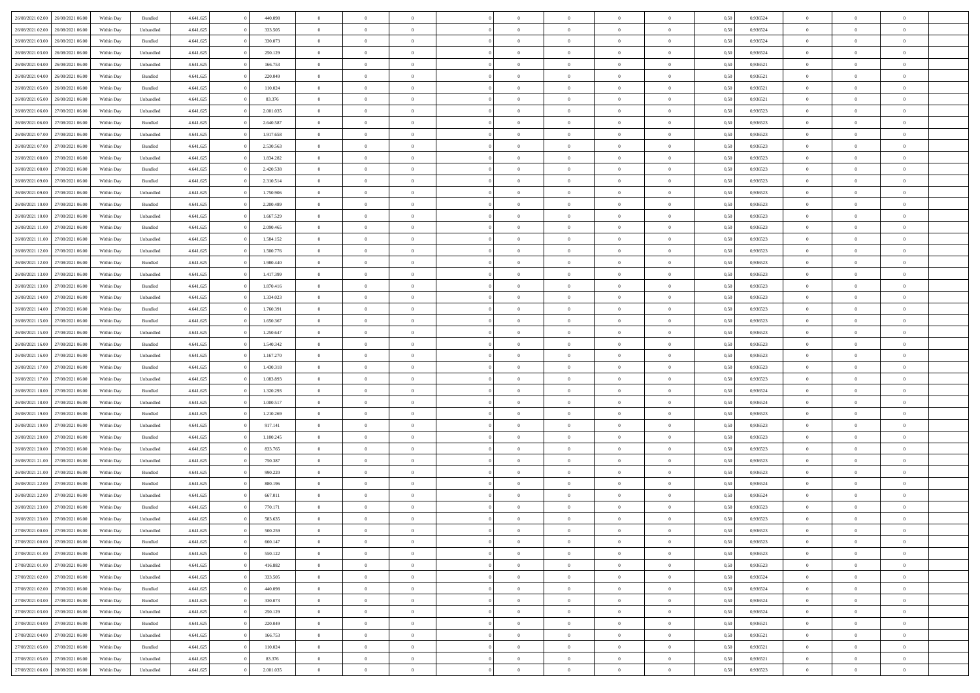| 26/08/2021 02:00                  | 26/08/2021 06:00 | Within Day | Bundled   | 4.641.625 | 440.098   | $\overline{0}$ | $\Omega$       |                | $\Omega$       | $\Omega$       | $\theta$       | $\theta$       | 0.50 | 0,936524 | $\theta$       | $\theta$       | $\theta$       |  |
|-----------------------------------|------------------|------------|-----------|-----------|-----------|----------------|----------------|----------------|----------------|----------------|----------------|----------------|------|----------|----------------|----------------|----------------|--|
| 26/08/2021 02:00                  | 26/08/2021 06:00 | Within Day | Unbundled | 4.641.625 | 333.505   | $\overline{0}$ | $\theta$       | $\overline{0}$ | $\overline{0}$ | $\bf{0}$       | $\overline{0}$ | $\bf{0}$       | 0,50 | 0,936524 | $\theta$       | $\overline{0}$ | $\overline{0}$ |  |
| 26/08/2021 03:00                  | 26/08/2021 06:00 | Within Day | Bundled   | 4.641.625 | 330.073   | $\overline{0}$ | $\bf{0}$       | $\overline{0}$ | $\overline{0}$ | $\bf{0}$       | $\overline{0}$ | $\mathbf{0}$   | 0,50 | 0,936524 | $\overline{0}$ | $\overline{0}$ | $\bf{0}$       |  |
| 26/08/2021 03:00                  | 26/08/2021 06:00 | Within Day | Unbundled | 4.641.625 | 250.129   | $\overline{0}$ | $\overline{0}$ | $\overline{0}$ | $\overline{0}$ | $\bf{0}$       | $\overline{0}$ | $\overline{0}$ | 0.50 | 0.936524 | $\theta$       | $\theta$       | $\overline{0}$ |  |
| 26/08/2021 04:00                  | 26/08/2021 06:00 | Within Day | Unbundled | 4.641.625 | 166.753   | $\overline{0}$ | $\theta$       | $\overline{0}$ | $\overline{0}$ | $\bf{0}$       | $\overline{0}$ | $\bf{0}$       | 0,50 | 0,936521 | $\theta$       | $\overline{0}$ | $\overline{0}$ |  |
| 26/08/2021 04:00                  | 26/08/2021 06:00 | Within Day | Bundled   | 4.641.625 | 220.049   | $\overline{0}$ | $\overline{0}$ | $\overline{0}$ | $\overline{0}$ | $\overline{0}$ | $\overline{0}$ | $\mathbf{0}$   | 0,50 | 0,936521 | $\overline{0}$ | $\overline{0}$ | $\bf{0}$       |  |
| 26/08/2021 05:00                  | 26/08/2021 06:00 | Within Dav | Bundled   | 4.641.625 | 110.024   | $\overline{0}$ | $\overline{0}$ | $\overline{0}$ |                | $\overline{0}$ | $\overline{0}$ | $\overline{0}$ | 0.50 | 0,936521 | $\theta$       | $\overline{0}$ | $\overline{0}$ |  |
|                                   |                  |            |           |           |           |                |                |                | $\overline{0}$ |                |                |                |      |          |                |                |                |  |
| 26/08/2021 05:00                  | 26/08/2021 06:00 | Within Day | Unbundled | 4.641.625 | 83.376    | $\overline{0}$ | $\theta$       | $\overline{0}$ | $\overline{0}$ | $\bf{0}$       | $\overline{0}$ | $\bf{0}$       | 0,50 | 0,936521 | $\theta$       | $\theta$       | $\overline{0}$ |  |
| 26/08/2021 06:00                  | 27/08/2021 06:00 | Within Day | Unbundled | 4.641.625 | 2.001.035 | $\overline{0}$ | $\overline{0}$ | $\overline{0}$ | $\overline{0}$ | $\bf{0}$       | $\overline{0}$ | $\bf{0}$       | 0,50 | 0,936523 | $\,0\,$        | $\overline{0}$ | $\overline{0}$ |  |
| 26/08/2021 06:00                  | 27/08/2021 06:00 | Within Dav | Bundled   | 4.641.625 | 2.640.587 | $\overline{0}$ | $\overline{0}$ | $\overline{0}$ | $\overline{0}$ | $\overline{0}$ | $\overline{0}$ | $\overline{0}$ | 0.50 | 0.936523 | $\theta$       | $\overline{0}$ | $\overline{0}$ |  |
| 26/08/2021 07:00                  | 27/08/2021 06:00 | Within Day | Unbundled | 4.641.625 | 1.917.658 | $\overline{0}$ | $\theta$       | $\overline{0}$ | $\overline{0}$ | $\bf{0}$       | $\overline{0}$ | $\bf{0}$       | 0,50 | 0,936523 | $\theta$       | $\overline{0}$ | $\overline{0}$ |  |
| 26/08/2021 07:00                  | 27/08/2021 06:00 | Within Day | Bundled   | 4.641.625 | 2.530.563 | $\overline{0}$ | $\overline{0}$ | $\overline{0}$ | $\bf{0}$       | $\bf{0}$       | $\bf{0}$       | $\mathbf{0}$   | 0,50 | 0,936523 | $\overline{0}$ | $\overline{0}$ | $\bf{0}$       |  |
| 26/08/2021 08:00                  | 27/08/2021 06:00 | Within Day | Unbundled | 4.641.625 | 1.834.282 | $\overline{0}$ | $\overline{0}$ | $\overline{0}$ | $\overline{0}$ | $\bf{0}$       | $\overline{0}$ | $\overline{0}$ | 0.50 | 0.936523 | $\theta$       | $\theta$       | $\overline{0}$ |  |
| 26/08/2021 08:00                  | 27/08/2021 06:00 |            |           | 4.641.625 | 2.420.538 | $\overline{0}$ | $\theta$       | $\overline{0}$ | $\overline{0}$ | $\bf{0}$       | $\overline{0}$ | $\overline{0}$ |      | 0,936523 | $\theta$       | $\overline{0}$ | $\overline{0}$ |  |
|                                   |                  | Within Day | Bundled   |           |           |                |                |                |                |                |                |                | 0,50 |          |                |                |                |  |
| 26/08/2021 09:00                  | 27/08/2021 06:00 | Within Day | Bundled   | 4.641.625 | 2.310.514 | $\overline{0}$ | $\overline{0}$ | $\overline{0}$ | $\bf{0}$       | $\overline{0}$ | $\overline{0}$ | $\mathbf{0}$   | 0,50 | 0,936523 | $\overline{0}$ | $\overline{0}$ | $\bf{0}$       |  |
| 26/08/2021 09:00                  | 27/08/2021 06:00 | Within Dav | Unbundled | 4.641.625 | 1.750.906 | $\overline{0}$ | $\overline{0}$ | $\overline{0}$ | $\overline{0}$ | $\overline{0}$ | $\overline{0}$ | $\overline{0}$ | 0.50 | 0.936523 | $\theta$       | $\overline{0}$ | $\overline{0}$ |  |
| 26/08/2021 10:00                  | 27/08/2021 06:00 | Within Day | Bundled   | 4.641.625 | 2.200.489 | $\overline{0}$ | $\theta$       | $\overline{0}$ | $\overline{0}$ | $\bf{0}$       | $\overline{0}$ | $\bf{0}$       | 0,50 | 0,936523 | $\theta$       | $\theta$       | $\overline{0}$ |  |
| 26/08/2021 10:00                  | 27/08/2021 06:00 | Within Day | Unbundled | 4.641.625 | 1.667.529 | $\overline{0}$ | $\overline{0}$ | $\overline{0}$ | $\bf{0}$       | $\bf{0}$       | $\bf{0}$       | $\bf{0}$       | 0,50 | 0,936523 | $\,0\,$        | $\overline{0}$ | $\overline{0}$ |  |
| 26/08/2021 11:00                  | 27/08/2021 06:00 | Within Day | Bundled   | 4.641.625 | 2.090.465 | $\overline{0}$ | $\overline{0}$ | $\overline{0}$ | $\overline{0}$ | $\overline{0}$ | $\overline{0}$ | $\overline{0}$ | 0.50 | 0.936523 | $\theta$       | $\overline{0}$ | $\overline{0}$ |  |
| 26/08/2021 11:00                  | 27/08/2021 06:00 | Within Day | Unbundled | 4.641.625 | 1.584.152 | $\overline{0}$ | $\theta$       | $\overline{0}$ | $\overline{0}$ | $\bf{0}$       | $\overline{0}$ | $\bf{0}$       | 0,50 | 0,936523 | $\theta$       | $\overline{0}$ | $\overline{0}$ |  |
| 26/08/2021 12:00                  | 27/08/2021 06:00 | Within Day | Unbundled | 4.641.625 | 1.500.776 | $\overline{0}$ | $\overline{0}$ | $\overline{0}$ | $\bf{0}$       | $\bf{0}$       | $\bf{0}$       | $\bf{0}$       | 0,50 | 0,936523 | $\,0\,$        | $\overline{0}$ | $\bf{0}$       |  |
| 26/08/2021 12:00                  | 27/08/2021 06:00 |            | Bundled   | 4.641.625 | 1.980.440 | $\overline{0}$ | $\overline{0}$ | $\overline{0}$ |                | $\bf{0}$       | $\overline{0}$ |                | 0.50 | 0.936523 | $\theta$       | $\overline{0}$ | $\overline{0}$ |  |
|                                   |                  | Within Day |           |           |           |                |                |                | $\overline{0}$ |                |                | $\overline{0}$ |      |          |                |                |                |  |
| 26/08/2021 13:00                  | 27/08/2021 06:00 | Within Day | Unbundled | 4.641.625 | 1.417.399 | $\overline{0}$ | $\theta$       | $\overline{0}$ | $\overline{0}$ | $\bf{0}$       | $\overline{0}$ | $\bf{0}$       | 0,50 | 0,936523 | $\theta$       | $\overline{0}$ | $\overline{0}$ |  |
| 26/08/2021 13:00                  | 27/08/2021 06:00 | Within Day | Bundled   | 4.641.625 | 1.870.416 | $\overline{0}$ | $\overline{0}$ | $\overline{0}$ | $\bf{0}$       | $\overline{0}$ | $\overline{0}$ | $\mathbf{0}$   | 0,50 | 0,936523 | $\bf{0}$       | $\overline{0}$ | $\bf{0}$       |  |
| 26/08/2021 14:00                  | 27/08/2021 06:00 | Within Day | Unbundled | 4.641.625 | 1.334.023 | $\overline{0}$ | $\overline{0}$ | $\overline{0}$ | $\overline{0}$ | $\overline{0}$ | $\overline{0}$ | $\overline{0}$ | 0.50 | 0.936523 | $\theta$       | $\overline{0}$ | $\overline{0}$ |  |
| 26/08/2021 14:00                  | 27/08/2021 06:00 | Within Day | Bundled   | 4.641.625 | 1.760.391 | $\overline{0}$ | $\theta$       | $\overline{0}$ | $\overline{0}$ | $\bf{0}$       | $\overline{0}$ | $\bf{0}$       | 0,50 | 0,936523 | $\theta$       | $\theta$       | $\overline{0}$ |  |
| 26/08/2021 15:00                  | 27/08/2021 06:00 | Within Day | Bundled   | 4.641.625 | 1.650.367 | $\overline{0}$ | $\overline{0}$ | $\overline{0}$ | $\bf{0}$       | $\bf{0}$       | $\bf{0}$       | $\bf{0}$       | 0,50 | 0,936523 | $\,0\,$        | $\overline{0}$ | $\overline{0}$ |  |
| 26/08/2021 15:00                  | 27/08/2021 06:00 | Within Day | Unbundled | 4.641.625 | 1.250.647 | $\overline{0}$ | $\overline{0}$ | $\overline{0}$ | $\overline{0}$ | $\overline{0}$ | $\overline{0}$ | $\overline{0}$ | 0.50 | 0.936523 | $\theta$       | $\overline{0}$ | $\overline{0}$ |  |
| 26/08/2021 16:00                  | 27/08/2021 06:00 | Within Day | Bundled   | 4.641.625 | 1.540.342 | $\overline{0}$ | $\theta$       | $\overline{0}$ | $\overline{0}$ | $\bf{0}$       | $\overline{0}$ | $\bf{0}$       | 0,50 | 0,936523 | $\,$ 0 $\,$    | $\overline{0}$ | $\overline{0}$ |  |
|                                   |                  |            |           |           |           |                |                |                |                |                |                |                |      |          |                |                |                |  |
| 26/08/2021 16:00                  | 27/08/2021 06:00 | Within Day | Unbundled | 4.641.625 | 1.167.270 | $\overline{0}$ | $\overline{0}$ | $\overline{0}$ | $\bf{0}$       | $\bf{0}$       | $\bf{0}$       | $\bf{0}$       | 0,50 | 0,936523 | $\bf{0}$       | $\overline{0}$ | $\bf{0}$       |  |
| 26/08/2021 17:00                  | 27/08/2021 06:00 | Within Day | Bundled   | 4.641.625 | 1.430.318 | $\overline{0}$ | $\Omega$       | $\Omega$       | $\Omega$       | $\Omega$       | $\Omega$       | $\overline{0}$ | 0.50 | 0,936523 | $\,0\,$        | $\theta$       | $\theta$       |  |
| 26/08/2021 17:00                  | 27/08/2021 06:00 | Within Day | Unbundled | 4.641.625 | 1.083.893 | $\overline{0}$ | $\theta$       | $\overline{0}$ | $\overline{0}$ | $\bf{0}$       | $\overline{0}$ | $\bf{0}$       | 0,50 | 0,936523 | $\theta$       | $\overline{0}$ | $\overline{0}$ |  |
| 26/08/2021 18:00                  | 27/08/2021 06:00 | Within Day | Bundled   | 4.641.625 | 1.320.293 | $\overline{0}$ | $\overline{0}$ | $\overline{0}$ | $\bf{0}$       | $\overline{0}$ | $\overline{0}$ | $\mathbf{0}$   | 0,50 | 0,936524 | $\bf{0}$       | $\overline{0}$ | $\bf{0}$       |  |
| 26/08/2021 18:00                  | 27/08/2021 06:00 | Within Day | Unbundled | 4.641.625 | 1.000.517 | $\overline{0}$ | $\Omega$       | $\Omega$       | $\Omega$       | $\bf{0}$       | $\overline{0}$ | $\overline{0}$ | 0.50 | 0.936524 | $\,0\,$        | $\theta$       | $\theta$       |  |
| 26/08/2021 19:00                  | 27/08/2021 06:00 | Within Day | Bundled   | 4.641.625 | 1.210.269 | $\overline{0}$ | $\theta$       | $\overline{0}$ | $\overline{0}$ | $\bf{0}$       | $\overline{0}$ | $\bf{0}$       | 0,50 | 0,936523 | $\theta$       | $\overline{0}$ | $\overline{0}$ |  |
| 26/08/2021 19:00                  | 27/08/2021 06:00 | Within Day | Unbundled | 4.641.625 | 917.141   | $\overline{0}$ | $\overline{0}$ | $\overline{0}$ | $\bf{0}$       | $\bf{0}$       | $\bf{0}$       | $\bf{0}$       | 0,50 | 0,936523 | $\,0\,$        | $\overline{0}$ | $\bf{0}$       |  |
| 26/08/2021 20:00                  | 27/08/2021 06:00 | Within Day | Bundled   | 4.641.625 | 1.100.245 | $\overline{0}$ | $\Omega$       | $\Omega$       | $\Omega$       | $\theta$       | $\theta$       | $\overline{0}$ | 0.50 | 0.936523 | $\theta$       | $\theta$       | $\theta$       |  |
|                                   |                  |            |           |           |           | $\overline{0}$ | $\theta$       | $\overline{0}$ |                | $\bf{0}$       | $\overline{0}$ |                |      |          | $\,$ 0 $\,$    | $\overline{0}$ | $\overline{0}$ |  |
| 26/08/2021 20:00                  | 27/08/2021 06:00 | Within Day | Unbundled | 4.641.625 | 833.765   |                |                |                | $\overline{0}$ |                |                | $\bf{0}$       | 0,50 | 0,936523 |                |                |                |  |
| 26/08/2021 21:00                  | 27/08/2021 06:00 | Within Day | Unbundled | 4.641.625 | 750.387   | $\overline{0}$ | $\bf{0}$       | $\overline{0}$ | $\bf{0}$       | $\bf{0}$       | $\bf{0}$       | $\mathbf{0}$   | 0,50 | 0,936523 | $\overline{0}$ | $\overline{0}$ | $\bf{0}$       |  |
| 26/08/2021 21:00                  | 27/08/2021 06:00 | Within Day | Bundled   | 4.641.625 | 990.220   | $\overline{0}$ | $\Omega$       | $\Omega$       | $\Omega$       | $\overline{0}$ | $\overline{0}$ | $\overline{0}$ | 0.50 | 0,936523 | $\,0\,$        | $\theta$       | $\theta$       |  |
| 26/08/2021 22:00                  | 27/08/2021 06:00 | Within Day | Bundled   | 4.641.625 | 880.196   | $\overline{0}$ | $\theta$       | $\overline{0}$ | $\overline{0}$ | $\bf{0}$       | $\overline{0}$ | $\bf{0}$       | 0,50 | 0,936524 | $\,$ 0 $\,$    | $\overline{0}$ | $\overline{0}$ |  |
| 26/08/2021 22.00                  | 27/08/2021 06:00 | Within Day | Unbundled | 4.641.625 | 667.011   | $\overline{0}$ | $\overline{0}$ | $\overline{0}$ | $\bf{0}$       | $\bf{0}$       | $\bf{0}$       | $\mathbf{0}$   | 0,50 | 0,936524 | $\overline{0}$ | $\overline{0}$ | $\bf{0}$       |  |
| 26/08/2021 23:00                  | 27/08/2021 06:00 | Within Day | Bundled   | 4.641.625 | 770.171   | $\overline{0}$ | $\Omega$       | $\Omega$       | $\Omega$       | $\Omega$       | $\Omega$       | $\overline{0}$ | 0.50 | 0.936523 | $\theta$       | $\theta$       | $\theta$       |  |
| 26/08/2021 23:00                  | 27/08/2021 06:00 | Within Day | Unbundled | 4.641.625 | 583.635   | $\overline{0}$ | $\overline{0}$ | $\overline{0}$ | $\bf{0}$       | $\,$ 0         | $\bf{0}$       | $\bf{0}$       | 0,50 | 0,936523 | $\,0\,$        | $\,$ 0 $\,$    | $\overline{0}$ |  |
| 27/08/2021 00:00                  | 27/08/2021 06:00 | Within Day | Unbundled | 4.641.625 | 500.259   | $\bf{0}$       | $\bf{0}$       |                |                | $\bf{0}$       |                |                | 0,50 | 0,936523 | $\bf{0}$       | $\overline{0}$ |                |  |
| 27/08/2021 00:00                  | 27/08/2021 06:00 |            | Bundled   |           | 660.147   | $\overline{0}$ | $\overline{0}$ | $\overline{0}$ | $\Omega$       | $\overline{0}$ | $\overline{0}$ | $\overline{0}$ | 0.50 | 0.936523 | $\theta$       | $\theta$       | $\theta$       |  |
|                                   |                  | Within Day |           | 4.641.625 |           |                |                |                |                |                |                |                |      |          |                |                |                |  |
| 27/08/2021 01:00                  | 27/08/2021 06:00 | Within Day | Bundled   | 4.641.625 | 550.122   | $\overline{0}$ | $\bf{0}$       | $\overline{0}$ | $\bf{0}$       | $\,$ 0 $\,$    | $\overline{0}$ | $\,$ 0 $\,$    | 0,50 | 0,936523 | $\,$ 0 $\,$    | $\,$ 0 $\,$    | $\,$ 0         |  |
| 27/08/2021 01:00                  | 27/08/2021 06:00 | Within Day | Unbundled | 4.641.625 | 416.882   | $\overline{0}$ | $\overline{0}$ | $\overline{0}$ | $\overline{0}$ | $\overline{0}$ | $\overline{0}$ | $\mathbf{0}$   | 0,50 | 0,936523 | $\overline{0}$ | $\bf{0}$       | $\bf{0}$       |  |
| 27/08/2021 02:00                  | 27/08/2021 06:00 | Within Day | Unbundled | 4.641.625 | 333.505   | $\overline{0}$ | $\overline{0}$ | $\overline{0}$ | $\Omega$       | $\overline{0}$ | $\overline{0}$ | $\overline{0}$ | 0,50 | 0,936524 | $\overline{0}$ | $\theta$       | $\overline{0}$ |  |
| 27/08/2021 02:00                  | 27/08/2021 06:00 | Within Day | Bundled   | 4.641.625 | 440.098   | $\overline{0}$ | $\,$ 0         | $\overline{0}$ | $\overline{0}$ | $\,$ 0 $\,$    | $\overline{0}$ | $\mathbf{0}$   | 0,50 | 0,936524 | $\,$ 0 $\,$    | $\overline{0}$ | $\overline{0}$ |  |
| 27/08/2021 03:00                  | 27/08/2021 06:00 | Within Day | Bundled   | 4.641.625 | 330.073   | $\overline{0}$ | $\overline{0}$ | $\overline{0}$ | $\overline{0}$ | $\overline{0}$ | $\overline{0}$ | $\mathbf{0}$   | 0,50 | 0,936524 | $\overline{0}$ | $\overline{0}$ | $\bf{0}$       |  |
| 27/08/2021 03:00                  | 27/08/2021 06:00 | Within Day | Unbundled | 4.641.625 | 250.129   | $\overline{0}$ | $\overline{0}$ | $\overline{0}$ | $\Omega$       | $\overline{0}$ | $\overline{0}$ | $\bf{0}$       | 0.50 | 0,936524 | $\overline{0}$ | $\theta$       | $\overline{0}$ |  |
| 27/08/2021 04:00                  | 27/08/2021 06:00 | Within Day | Bundled   | 4.641.625 | 220.049   | $\overline{0}$ | $\,$ 0         | $\overline{0}$ | $\bf{0}$       | $\bf{0}$       | $\bf{0}$       | $\bf{0}$       | 0,50 | 0,936521 | $\,$ 0 $\,$    | $\overline{0}$ | $\overline{0}$ |  |
|                                   |                  |            |           |           |           |                |                |                |                |                |                |                |      |          |                |                |                |  |
| 27/08/2021 04:00                  | 27/08/2021 06:00 | Within Day | Unbundled | 4.641.625 | 166.753   | $\overline{0}$ | $\bf{0}$       | $\overline{0}$ | $\overline{0}$ | $\overline{0}$ | $\overline{0}$ | $\mathbf{0}$   | 0,50 | 0,936521 | $\overline{0}$ | $\overline{0}$ | $\bf{0}$       |  |
| 27/08/2021 05:00                  | 27/08/2021 06:00 | Within Day | Bundled   | 4.641.625 | 110.024   | $\overline{0}$ | $\overline{0}$ | $\overline{0}$ | $\Omega$       | $\overline{0}$ | $\overline{0}$ | $\overline{0}$ | 0.50 | 0.936521 | $\overline{0}$ | $\overline{0}$ | $\overline{0}$ |  |
| 27/08/2021 05:00                  | 27/08/2021 06:00 | Within Day | Unbundled | 4.641.625 | 83.376    | $\overline{0}$ | $\bf{0}$       | $\overline{0}$ | $\overline{0}$ | $\bf{0}$       | $\bf{0}$       | $\mathbf{0}$   | 0,50 | 0,936521 | $\,$ 0 $\,$    | $\,$ 0 $\,$    | $\bf{0}$       |  |
| 27/08/2021 06:00 28/08/2021 06:00 |                  | Within Day | Unbundled | 4.641.625 | 2.001.035 | $\overline{0}$ | $\bf{0}$       | $\overline{0}$ | $\bf{0}$       | $\bf{0}$       | $\bf{0}$       | $\bf{0}$       | 0,50 | 0,936523 | $\overline{0}$ | $\overline{0}$ | $\bf{0}$       |  |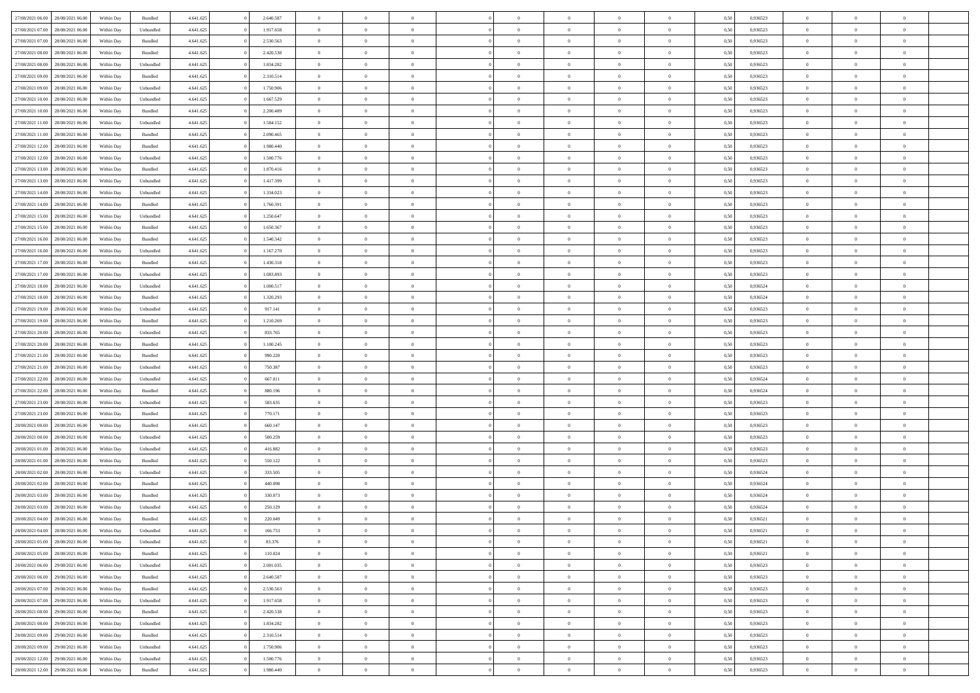| 27/08/2021 06:00 28/08/2021 06:00                                            | Within Day               | Bundled            | 4.641.625              | 2.640.587              | $\overline{0}$                   | $\overline{0}$             | $\Omega$                         | $\Omega$                         | $\theta$                         | $\Omega$                         | $\theta$             | 0,50         | 0,936523             | $\theta$                | $\theta$                | $\theta$                         |  |
|------------------------------------------------------------------------------|--------------------------|--------------------|------------------------|------------------------|----------------------------------|----------------------------|----------------------------------|----------------------------------|----------------------------------|----------------------------------|----------------------|--------------|----------------------|-------------------------|-------------------------|----------------------------------|--|
| 27/08/2021 07:00<br>28/08/2021 06:00                                         | Within Day               | Unbundled          | 4.641.625              | 1.917.658              | $\overline{0}$                   | $\overline{0}$             | $\overline{0}$                   | $\overline{0}$                   | $\theta$                         | $\overline{0}$                   | $\bf{0}$             | 0,50         | 0,936523             | $\theta$                | $\theta$                | $\overline{0}$                   |  |
| 27/08/2021 07:00<br>28/08/2021 06:00                                         | Within Day               | Bundled            | 4.641.625              | 2.530.563              | $\overline{0}$                   | $\bf{0}$                   | $\overline{0}$                   | $\overline{0}$                   | $\overline{0}$                   | $\overline{0}$                   | $\bf{0}$             | 0,50         | 0,936523             | $\bf{0}$                | $\overline{0}$          | $\overline{0}$                   |  |
| 27/08/2021 08:00<br>28/08/2021 06:00                                         | Within Day               | Bundled            | 4.641.625              | 2.420.538              | $\overline{0}$                   | $\overline{0}$             | $\overline{0}$                   | $\overline{0}$                   | $\theta$                         | $\overline{0}$                   | $\overline{0}$       | 0.50         | 0.936523             | $\theta$                | $\theta$                | $\overline{0}$                   |  |
| 27/08/2021 08:00<br>28/08/2021 06:00                                         | Within Day               | Unbundled          | 4.641.625              | 1.834.282              | $\overline{0}$                   | $\overline{0}$             | $\overline{0}$                   | $\overline{0}$                   | $\theta$                         | $\overline{0}$                   | $\bf{0}$             | 0,50         | 0,936523             | $\theta$                | $\theta$                | $\overline{0}$                   |  |
| 27/08/2021 09:00<br>28/08/2021 06:00                                         | Within Day               | Bundled            | 4.641.625              | 2.310.514              | $\overline{0}$                   | $\bf{0}$                   | $\overline{0}$                   | $\overline{0}$                   | $\overline{0}$                   | $\overline{0}$                   | $\bf{0}$             | 0,50         | 0,936523             | $\bf{0}$                | $\overline{0}$          | $\bf{0}$                         |  |
| 27/08/2021 09:00<br>28/08/2021 06:00                                         | Within Day               | Unbundled          | 4.641.625              | 1.750.906              | $\overline{0}$                   | $\overline{0}$             | $\overline{0}$                   | $\overline{0}$                   | $\overline{0}$                   | $\overline{0}$                   | $\overline{0}$       | 0.5(         | 0.936523             | $\theta$                | $\theta$                | $\overline{0}$                   |  |
|                                                                              |                          |                    |                        |                        |                                  |                            |                                  |                                  |                                  |                                  |                      |              |                      |                         |                         |                                  |  |
| 27/08/2021 10:00<br>28/08/2021 06:00                                         | Within Day               | Unbundled          | 4.641.625              | 1.667.529              | $\overline{0}$                   | $\theta$                   | $\overline{0}$                   | $\overline{0}$                   | $\theta$                         | $\overline{0}$                   | $\bf{0}$             | 0,50         | 0,936523             | $\theta$                | $\theta$                | $\overline{0}$                   |  |
| 27/08/2021 10:00<br>28/08/2021 06:00                                         | Within Day               | Bundled            | 4.641.625              | 2.200.489              | $\overline{0}$                   | $\bf{0}$                   | $\overline{0}$                   | $\overline{0}$                   | $\overline{0}$                   | $\overline{0}$                   | $\bf{0}$             | 0,50         | 0,936523             | $\bf{0}$                | $\bf{0}$                | $\overline{0}$                   |  |
| 27/08/2021 11:00<br>28/08/2021 06:00                                         | Within Day               | Unbundled          | 4.641.625              | 1.584.152              | $\overline{0}$                   | $\overline{0}$             | $\overline{0}$                   | $\overline{0}$                   | $\overline{0}$                   | $\overline{0}$                   | $\overline{0}$       | 0.50         | 0.936523             | $\theta$                | $\theta$                | $\overline{0}$                   |  |
| 27/08/2021 11:00<br>28/08/2021 06:00                                         | Within Day               | Bundled            | 4.641.625              | 2.090.465              | $\bf{0}$                         | $\overline{0}$             | $\overline{0}$                   | $\overline{0}$                   | $\theta$                         | $\overline{0}$                   | $\bf{0}$             | 0,50         | 0,936523             | $\theta$                | $\theta$                | $\overline{0}$                   |  |
| 27/08/2021 12:00<br>28/08/2021 06:00                                         | Within Day               | Bundled            | 4.641.625              | 1.980.440              | $\overline{0}$                   | $\bf{0}$                   | $\overline{0}$                   | $\overline{0}$                   | $\bf{0}$                         | $\overline{0}$                   | $\bf{0}$             | 0,50         | 0,936523             | $\bf{0}$                | $\overline{0}$          | $\overline{0}$                   |  |
| 27/08/2021 12:00<br>28/08/2021 06:00                                         | Within Day               | Unbundled          | 4.641.625              | 1.500.776              | $\overline{0}$                   | $\overline{0}$             | $\overline{0}$                   | $\overline{0}$                   | $\overline{0}$                   | $\overline{0}$                   | $\overline{0}$       | 0.5(         | 0.936523             | $\theta$                | $\theta$                | $\overline{0}$                   |  |
| 27/08/2021 13:00<br>28/08/2021 06:00                                         | Within Day               | Bundled            | 4.641.625              | 1.870.416              | $\overline{0}$                   | $\theta$                   | $\overline{0}$                   | $\overline{0}$                   | $\theta$                         | $\overline{0}$                   | $\bf{0}$             | 0,50         | 0,936523             | $\theta$                | $\theta$                | $\overline{0}$                   |  |
| 27/08/2021 13:00<br>28/08/2021 06:00                                         | Within Day               | Unbundled          | 4.641.625              | 1.417.399              | $\overline{0}$                   | $\bf{0}$                   | $\overline{0}$                   | $\overline{0}$                   | $\overline{0}$                   | $\overline{0}$                   | $\bf{0}$             | 0,50         | 0,936523             | $\bf{0}$                | $\overline{0}$          | $\bf{0}$                         |  |
| 27/08/2021 14:00<br>28/08/2021 06:00                                         | Within Day               | Unbundled          | 4.641.625              | 1.334.023              | $\overline{0}$                   | $\overline{0}$             | $\overline{0}$                   | $\overline{0}$                   | $\overline{0}$                   | $\overline{0}$                   | $\overline{0}$       | 0.5(         | 0.936523             | $\theta$                | $\theta$                | $\overline{0}$                   |  |
| 27/08/2021 14:00<br>28/08/2021 06:00                                         | Within Day               | Bundled            | 4.641.625              | 1.760.391              | $\overline{0}$                   | $\theta$                   | $\overline{0}$                   | $\overline{0}$                   | $\theta$                         | $\overline{0}$                   | $\bf{0}$             | 0,50         | 0,936523             | $\theta$                | $\theta$                | $\overline{0}$                   |  |
| 27/08/2021 15:00<br>28/08/2021 06:00                                         | Within Day               | Unbundled          | 4.641.625              | 1.250.647              | $\overline{0}$                   | $\bf{0}$                   | $\overline{0}$                   | $\overline{0}$                   | $\overline{0}$                   | $\bf{0}$                         | $\bf{0}$             | 0,50         | 0,936523             | $\bf{0}$                | $\overline{0}$          | $\overline{0}$                   |  |
| 27/08/2021 15:00<br>28/08/2021 06:00                                         | Within Day               | Bundled            | 4.641.625              | 1.650.367              | $\overline{0}$                   | $\overline{0}$             | $\overline{0}$                   | $\overline{0}$                   | $\overline{0}$                   | $\overline{0}$                   | $\overline{0}$       | 0.50         | 0.936523             | $\theta$                | $\theta$                | $\overline{0}$                   |  |
| 27/08/2021 16:00<br>28/08/2021 06:00                                         | Within Day               | Bundled            | 4.641.625              | 1.540.342              | $\bf{0}$                         | $\overline{0}$             | $\overline{0}$                   | $\overline{0}$                   | $\theta$                         | $\overline{0}$                   | $\bf{0}$             | 0,50         | 0,936523             | $\theta$                | $\theta$                | $\overline{0}$                   |  |
| 27/08/2021 16:00<br>28/08/2021 06:00                                         | Within Day               | Unbundled          | 4.641.625              | 1.167.270              | $\overline{0}$                   | $\bf{0}$                   | $\overline{0}$                   | $\overline{0}$                   | $\overline{0}$                   | $\overline{0}$                   | $\bf{0}$             | 0,50         | 0,936523             | $\bf{0}$                | $\bf{0}$                | $\overline{0}$                   |  |
| 27/08/2021 17:00<br>28/08/2021 06:00                                         | Within Day               | Bundled            | 4.641.625              | 1.430.318              | $\overline{0}$                   | $\overline{0}$             | $\overline{0}$                   | $\overline{0}$                   | $\overline{0}$                   | $\overline{0}$                   | $\overline{0}$       | 0.50         | 0.936523             | $\theta$                | $\theta$                | $\overline{0}$                   |  |
| 27/08/2021 17:00<br>28/08/2021 06:00                                         | Within Day               | Unbundled          | 4.641.625              | 1.083.893              | $\overline{0}$                   | $\overline{0}$             | $\overline{0}$                   | $\overline{0}$                   | $\theta$                         | $\overline{0}$                   | $\bf{0}$             | 0,50         | 0,936523             | $\theta$                | $\theta$                | $\overline{0}$                   |  |
| 27/08/2021 18:00<br>28/08/2021 06:00                                         | Within Day               | Unbundled          | 4.641.625              | 1.000.517              | $\overline{0}$                   | $\bf{0}$                   | $\overline{0}$                   | $\overline{0}$                   | $\overline{0}$                   | $\overline{0}$                   | $\bf{0}$             | 0,50         | 0,936524             | $\bf{0}$                | $\overline{0}$          | $\bf{0}$                         |  |
| 27/08/2021 18:00<br>28/08/2021 06:00                                         | Within Day               | Bundled            | 4.641.625              | 1.320.293              | $\overline{0}$                   | $\overline{0}$             | $\overline{0}$                   | $\overline{0}$                   | $\overline{0}$                   | $\overline{0}$                   | $\overline{0}$       | 0.5(         | 0,936524             | $\theta$                | $\theta$                | $\overline{0}$                   |  |
| 27/08/2021 19:00<br>28/08/2021 06:00                                         | Within Day               | Unbundled          | 4.641.625              | 917.141                | $\overline{0}$                   | $\theta$                   | $\overline{0}$                   | $\overline{0}$                   | $\theta$                         | $\overline{0}$                   | $\bf{0}$             | 0,50         | 0,936523             | $\theta$                | $\theta$                | $\overline{0}$                   |  |
| 27/08/2021 19:00<br>28/08/2021 06:00                                         | Within Day               | Bundled            | 4.641.625              | 1.210.269              | $\overline{0}$                   | $\bf{0}$                   | $\overline{0}$                   | $\overline{0}$                   | $\overline{0}$                   | $\bf{0}$                         | $\bf{0}$             | 0,50         | 0,936523             | $\bf{0}$                | $\bf{0}$                | $\overline{0}$                   |  |
| 27/08/2021 20:00<br>28/08/2021 06:00                                         | Within Day               | Unbundled          | 4.641.625              | 833.765                | $\overline{0}$                   | $\overline{0}$             | $\overline{0}$                   | $\overline{0}$                   | $\overline{0}$                   | $\overline{0}$                   | $\overline{0}$       | 0.5(         | 0.936523             | $\theta$                | $\theta$                | $\overline{0}$                   |  |
| 27/08/2021 20:00<br>28/08/2021 06:00                                         | Within Day               | Bundled            | 4.641.625              | 1.100.245              | $\bf{0}$                         | $\overline{0}$             | $\overline{0}$                   | $\overline{0}$                   | $\theta$                         | $\overline{0}$                   | $\bf{0}$             | 0,50         | 0,936523             | $\theta$                | $\theta$                | $\overline{0}$                   |  |
| 27/08/2021 21:00<br>28/08/2021 06:00                                         | Within Day               | Bundled            | 4.641.625              | 990.220                | $\overline{0}$                   | $\bf{0}$                   | $\overline{0}$                   | $\overline{0}$                   | $\overline{0}$                   | $\overline{0}$                   | $\bf{0}$             | 0,50         | 0,936523             | $\bf{0}$                | $\overline{0}$          | $\overline{0}$                   |  |
| 27/08/2021 21:00<br>28/08/2021 06:00                                         | Within Day               | Unbundled          | 4.641.625              | 750.387                | $\overline{0}$                   | $\overline{0}$             | $\Omega$                         | $\Omega$                         | $\Omega$                         | $\theta$                         | $\overline{0}$       | 0.50         | 0,936523             | $\,$ 0 $\,$             | $\Omega$                | $\theta$                         |  |
| 27/08/2021 22:00<br>28/08/2021 06:00                                         | Within Day               | Unbundled          | 4.641.625              | 667.011                | $\overline{0}$                   | $\overline{0}$             | $\overline{0}$                   | $\overline{0}$                   | $\theta$                         | $\overline{0}$                   | $\bf{0}$             | 0,50         | 0,936524             | $\theta$                | $\theta$                | $\overline{0}$                   |  |
| 27/08/2021 22:00<br>28/08/2021 06:00                                         | Within Day               | Bundled            | 4.641.625              | 880.196                | $\overline{0}$                   | $\bf{0}$                   | $\overline{0}$                   | $\overline{0}$                   | $\bf{0}$                         | $\overline{0}$                   | $\bf{0}$             | 0,50         | 0,936524             | $\bf{0}$                | $\overline{0}$          | $\bf{0}$                         |  |
| 27/08/2021 23:00<br>28/08/2021 06:00                                         | Within Day               | Unbundled          | 4.641.625              | 583.635                | $\overline{0}$                   | $\overline{0}$             | $\Omega$                         | $\Omega$                         | $\overline{0}$                   | $\Omega$                         | $\overline{0}$       | 0.50         | 0.936523             | $\overline{0}$          | $\Omega$                | $\theta$                         |  |
| 27/08/2021 23:00<br>28/08/2021 06:00                                         | Within Day               | Bundled            | 4.641.625              | 770.171                | $\bf{0}$                         | $\overline{0}$             | $\overline{0}$                   | $\overline{0}$                   | $\theta$                         | $\overline{0}$                   | $\bf{0}$             | 0,50         | 0,936523             | $\theta$                | $\theta$                | $\overline{0}$                   |  |
| 28/08/2021 00:00<br>28/08/2021 06:00                                         | Within Day               | Bundled            | 4.641.625              | 660.147                | $\overline{0}$                   | $\bf{0}$                   | $\overline{0}$                   | $\overline{0}$                   | $\overline{0}$                   | $\bf{0}$                         | $\bf{0}$             | 0,50         | 0,936523             | $\bf{0}$                | $\bf{0}$                | $\overline{0}$                   |  |
| 28/08/2021 00:00<br>28/08/2021 06:00                                         | Within Day               | Unbundled          | 4.641.625              | 500.259                | $\overline{0}$                   | $\theta$                   | $\Omega$                         | $\Omega$                         | $\Omega$                         | $\Omega$                         | $\overline{0}$       | 0.50         | 0.936523             | $\theta$                | $\Omega$                | $\theta$                         |  |
| 28/08/2021 01:00<br>28/08/2021 06:00                                         | Within Day               | Unbundled          | 4.641.625              | 416.882                | $\bf{0}$                         | $\overline{0}$             | $\overline{0}$                   | $\overline{0}$                   | $\theta$                         | $\overline{0}$                   | $\bf{0}$             | 0,50         | 0,936523             | $\theta$                | $\theta$                | $\overline{0}$                   |  |
| 28/08/2021 01:00<br>28/08/2021 06:00                                         | Within Day               | Bundled            | 4.641.625              | 550.122                | $\overline{0}$                   | $\bf{0}$                   | $\overline{0}$                   | $\overline{0}$                   | $\overline{0}$                   | $\overline{0}$                   | $\bf{0}$             | 0,50         | 0,936523             | $\bf{0}$                | $\overline{0}$          | $\overline{0}$                   |  |
| 28/08/2021 02:00<br>28/08/2021 06:00                                         | Within Day               | Unbundled          | 4.641.625              | 333.505                | $\overline{0}$                   | $\overline{0}$             | $\Omega$                         | $\Omega$                         | $\theta$                         | $\Omega$                         | $\overline{0}$       | 0.50         | 0,936524             | $\,$ 0 $\,$             | $\Omega$                | $\theta$                         |  |
| 28/08/2021 02:00<br>28/08/2021 06:00                                         | Within Day               | Bundled            | 4.641.625              | 440.098                | $\bf{0}$                         | $\overline{0}$             | $\overline{0}$                   | $\overline{0}$                   | $\theta$                         | $\overline{0}$                   | $\bf{0}$             | 0,50         | 0,936524             | $\theta$                | $\theta$                | $\overline{0}$                   |  |
| 28/08/2021 03:00<br>28/08/2021 06:00                                         | Within Day               | Bundled            | 4.641.625              | 330.073                | $\overline{0}$                   | $\bf{0}$                   | $\overline{0}$                   | $\overline{0}$                   | $\overline{0}$                   | $\overline{0}$                   | $\bf{0}$             | 0,50         | 0,936524             | $\bf{0}$                | $\overline{0}$          | $\bf{0}$                         |  |
| 28/08/2021 03:00<br>28/08/2021 06:00                                         | Within Day               | Unbundled          | 4.641.625              | 250.129                | $\overline{0}$                   | $\Omega$                   | $\Omega$                         | $\Omega$                         | $\Omega$                         | $\theta$                         | $\overline{0}$       | 0.50         | 0.936524             | $\theta$                | $\Omega$                | $\theta$                         |  |
| 28/08/2021 04:00<br>28/08/2021 06:00                                         | Within Day               | Bundled            | 4.641.625              | 220.049                | $\bf{0}$                         | $\bf{0}$                   | $\overline{0}$                   | $\overline{0}$                   | $\bf{0}$                         | $\bf{0}$                         | $\bf{0}$             | 0,50         | 0,936521             | $\bf{0}$                | $\bf{0}$                | $\overline{0}$                   |  |
| 28/08/2021 04:00 28/08/2021 06:00                                            | Within Day               | Unbundled          | 4.641.625              | 166.753                | $\bf{0}$                         | $\bf{0}$                   |                                  |                                  |                                  |                                  |                      | 0,50         | 0,936521             | $\bf{0}$                | $\bf{0}$                |                                  |  |
| 28/08/2021 05:00 28/08/2021 06:00                                            | Within Day               | Unbundled          | 4.641.625              | 83.376                 | $\Omega$                         | $\overline{0}$             | $\Omega$                         | $\theta$                         | $\Omega$                         | $\theta$                         | $\overline{0}$       | 0.50         | 0.936521             | $\theta$                | $\theta$                | $\theta$                         |  |
| 28/08/2021 05:00<br>28/08/2021 06:00                                         | Within Day               | Bundled            | 4.641.625              | 110.024                | $\overline{0}$                   | $\overline{0}$             | $\overline{0}$                   | $\overline{0}$                   | $\overline{0}$                   | $\overline{0}$                   | $\,$ 0 $\,$          | 0,50         | 0,936521             | $\,$ 0 $\,$             | $\,$ 0 $\,$             | $\,$ 0                           |  |
| 28/08/2021 06:00<br>29/08/2021 06:00                                         | Within Day               | Unbundled          | 4.641.625              | 2.001.035              | $\overline{0}$                   | $\overline{0}$             | $\overline{0}$                   | $\overline{0}$                   | $\overline{0}$                   | $\overline{0}$                   | $\bf{0}$             | 0,50         | 0,936523             | $\overline{0}$          | $\bf{0}$                | $\overline{0}$                   |  |
|                                                                              |                          |                    |                        |                        |                                  |                            |                                  |                                  |                                  |                                  |                      |              |                      |                         |                         |                                  |  |
| 28/08/2021 06:00<br>29/08/2021 06:00<br>28/08/2021 07:00<br>29/08/2021 06:00 | Within Day<br>Within Day | Bundled<br>Bundled | 4.641.625<br>4.641.625 | 2.640.587<br>2.530.563 | $\overline{0}$<br>$\overline{0}$ | $\bf{0}$<br>$\overline{0}$ | $\overline{0}$<br>$\overline{0}$ | $\overline{0}$<br>$\overline{0}$ | $\overline{0}$<br>$\overline{0}$ | $\overline{0}$<br>$\overline{0}$ | $\bf{0}$<br>$\bf{0}$ | 0,50<br>0,50 | 0,936523<br>0,936523 | $\bf{0}$<br>$\,$ 0 $\,$ | $\theta$<br>$\,$ 0 $\,$ | $\overline{0}$<br>$\overline{0}$ |  |
|                                                                              |                          |                    |                        |                        |                                  |                            |                                  |                                  |                                  |                                  |                      |              |                      |                         |                         |                                  |  |
| 28/08/2021 07:00<br>29/08/2021 06:00                                         | Within Day               | Unbundled          | 4.641.625              | 1.917.658              | $\overline{0}$                   | $\overline{0}$             | $\overline{0}$                   | $\overline{0}$                   | $\overline{0}$                   | $\overline{0}$                   | $\bf{0}$             | 0,50         | 0,936523             | $\overline{0}$          | $\overline{0}$          | $\bf{0}$                         |  |
| 28/08/2021 08:00<br>29/08/2021 06:00                                         | Within Day               | Bundled            | 4.641.625              | 2.420.538              | $\overline{0}$                   | $\bf{0}$                   | $\overline{0}$                   | $\overline{0}$                   | $\overline{0}$                   | $\overline{0}$                   | $\bf{0}$             | 0.50         | 0,936523             | $\overline{0}$          | $\theta$                | $\overline{0}$                   |  |
| 28/08/2021 08:00<br>29/08/2021 06:00                                         | Within Day               | Unbundled          | 4.641.625              | 1.834.282              | $\overline{0}$                   | $\,$ 0                     | $\overline{0}$                   | $\overline{0}$                   | $\overline{0}$                   | $\overline{0}$                   | $\bf{0}$             | 0,50         | 0,936523             | $\,$ 0 $\,$             | $\bf{0}$                | $\overline{0}$                   |  |
| 28/08/2021 09:00<br>29/08/2021 06:00                                         | Within Day               | Bundled            | 4.641.625              | 2.310.514              | $\overline{0}$                   | $\bf{0}$                   | $\overline{0}$                   | $\overline{0}$                   | $\overline{0}$                   | $\overline{0}$                   | $\bf{0}$             | 0,50         | 0,936523             | $\bf{0}$                | $\overline{0}$          | $\bf{0}$                         |  |
| 28/08/2021 09:00<br>29/08/2021 06:00                                         | Within Day               | Unbundled          | 4.641.625              | 1.750.906              | $\overline{0}$                   | $\overline{0}$             | $\overline{0}$                   | $\overline{0}$                   | $\overline{0}$                   | $\overline{0}$                   | $\bf{0}$             | 0.50         | 0.936523             | $\overline{0}$          | $\theta$                | $\overline{0}$                   |  |
| 28/08/2021 12:00<br>29/08/2021 06:00                                         | Within Day               | Unbundled          | 4.641.625              | 1.500.776              | $\overline{0}$                   | $\,$ 0                     | $\overline{0}$                   | $\overline{0}$                   | $\overline{0}$                   | $\bf{0}$                         | $\bf{0}$             | 0,50         | 0,936523             | $\,$ 0 $\,$             | $\,$ 0 $\,$             | $\overline{0}$                   |  |
| 28/08/2021 12:00 29/08/2021 06:00                                            | Within Day               | Bundled            | 4.641.625              | 1.980.440              | $\overline{0}$                   | $\bf{0}$                   | $\overline{0}$                   | $\overline{0}$                   | $\overline{0}$                   | $\overline{0}$                   | $\bf{0}$             | 0,50         | 0,936523             | $\overline{0}$          | $\bf{0}$                | $\overline{0}$                   |  |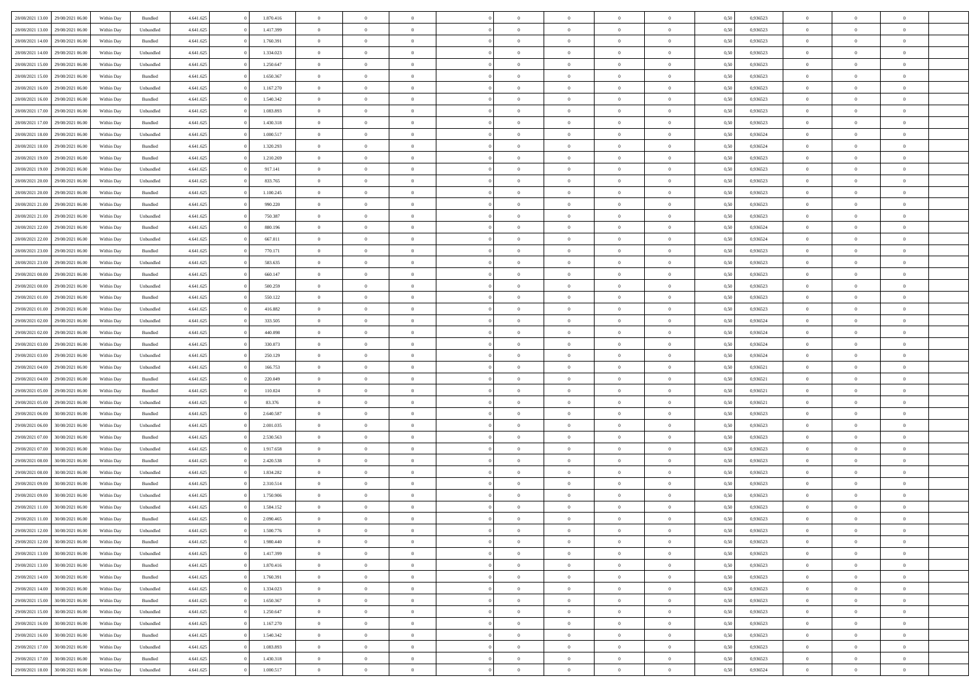| 28/08/2021 13:00 | 29/08/2021 06:00 | Within Day | Bundled   | 4.641.625 | 1.870.416 | $\overline{0}$ | $\theta$       |                | $\overline{0}$ | $\bf{0}$       | $\overline{0}$ | $\theta$       | 0,50 | 0,936523 | $\theta$       | $\theta$       | $\overline{0}$           |  |
|------------------|------------------|------------|-----------|-----------|-----------|----------------|----------------|----------------|----------------|----------------|----------------|----------------|------|----------|----------------|----------------|--------------------------|--|
|                  |                  |            |           |           |           | $\overline{0}$ | $\overline{0}$ |                |                |                |                |                |      |          |                |                | $\overline{0}$           |  |
| 28/08/2021 13:00 | 29/08/2021 06.0  | Within Day | Unbundled | 4.641.625 | 1.417.399 |                |                | $\overline{0}$ | $\overline{0}$ | $\,$ 0         | $\bf{0}$       | $\bf{0}$       | 0,50 | 0,936523 | $\,$ 0 $\,$    | $\overline{0}$ |                          |  |
| 28/08/2021 14:00 | 29/08/2021 06:00 | Within Day | Bundled   | 4.641.625 | 1.760.391 | $\overline{0}$ | $\overline{0}$ | $\overline{0}$ | $\overline{0}$ | $\bf{0}$       | $\overline{0}$ | $\mathbf{0}$   | 0.50 | 0.936523 | $\bf{0}$       | $\overline{0}$ | $\overline{0}$           |  |
| 28/08/2021 14:00 | 29/08/2021 06:00 | Within Day | Unbundled | 4.641.625 | 1.334.023 | $\overline{0}$ | $\overline{0}$ | $\overline{0}$ | $\overline{0}$ | $\,$ 0         | $\overline{0}$ | $\overline{0}$ | 0,50 | 0,936523 | $\,$ 0 $\,$    | $\overline{0}$ | $\overline{0}$           |  |
| 28/08/2021 15:00 | 29/08/2021 06.00 | Within Day | Unbundled | 4.641.625 | 1.250.647 | $\overline{0}$ | $\theta$       | $\overline{0}$ |                | $\overline{0}$ | $\overline{0}$ | $\bf{0}$       | 0,50 | 0,936523 | $\,$ 0 $\,$    | $\overline{0}$ | $\overline{0}$           |  |
| 28/08/2021 15:00 | 29/08/2021 06:00 | Within Day | Bundled   | 4.641.625 | 1.650.367 | $\overline{0}$ | $\overline{0}$ | $\overline{0}$ | $\overline{0}$ | $\bf{0}$       | $\overline{0}$ | $\bf{0}$       | 0.50 | 0.936523 | $\,0\,$        | $\theta$       | $\overline{0}$           |  |
| 28/08/2021 16:00 | 29/08/2021 06:00 | Within Day | Unbundled | 4.641.625 | 1.167.270 | $\overline{0}$ | $\overline{0}$ | $\overline{0}$ | $\overline{0}$ | $\,$ 0         | $\overline{0}$ | $\overline{0}$ | 0,50 | 0,936523 | $\,$ 0 $\,$    | $\theta$       | $\overline{0}$           |  |
| 28/08/2021 16:00 | 29/08/2021 06.00 | Within Day | Bundled   | 4.641.625 | 1.540.342 | $\overline{0}$ | $\theta$       | $\overline{0}$ | $\overline{0}$ | $\,$ 0         | $\overline{0}$ | $\bf{0}$       | 0,50 | 0,936523 | $\,$ 0 $\,$    | $\overline{0}$ | $\overline{0}$           |  |
| 28/08/2021 17:00 | 29/08/2021 06:00 | Within Day | Unbundled | 4.641.625 | 1.083.893 | $\overline{0}$ | $\overline{0}$ | $\overline{0}$ | $\overline{0}$ | $\bf{0}$       | $\overline{0}$ | $\bf{0}$       | 0.50 | 0.936523 | $\,0\,$        | $\overline{0}$ | $\overline{0}$           |  |
| 28/08/2021 17:00 | 29/08/2021 06:00 | Within Day | Bundled   | 4.641.625 | 1.430.318 | $\overline{0}$ | $\overline{0}$ | $\overline{0}$ | $\overline{0}$ | $\,$ 0         | $\overline{0}$ | $\bf{0}$       | 0,50 | 0,936523 | $\,$ 0 $\,$    | $\overline{0}$ | $\overline{0}$           |  |
|                  |                  |            |           |           |           |                |                |                |                |                |                |                |      |          |                |                |                          |  |
| 28/08/2021 18:00 | 29/08/2021 06.00 | Within Day | Unbundled | 4.641.625 | 1.000.517 | $\overline{0}$ | $\theta$       | $\overline{0}$ | $\overline{0}$ | $\,$ 0         | $\overline{0}$ | $\bf{0}$       | 0,50 | 0,936524 | $\,$ 0 $\,$    | $\overline{0}$ | $\overline{0}$           |  |
| 28/08/2021 18:00 | 29/08/2021 06:00 | Within Day | Bundled   | 4.641.625 | 1.320.293 | $\overline{0}$ | $\overline{0}$ | $\overline{0}$ | $\overline{0}$ | $\bf{0}$       | $\overline{0}$ | $\mathbf{0}$   | 0.50 | 0.936524 | $\bf{0}$       | $\overline{0}$ | $\overline{\phantom{a}}$ |  |
| 28/08/2021 19:00 | 29/08/2021 06:00 | Within Day | Bundled   | 4.641.625 | 1.210.269 | $\overline{0}$ | $\overline{0}$ | $\overline{0}$ | $\overline{0}$ | $\,$ 0         | $\overline{0}$ | $\overline{0}$ | 0,50 | 0,936523 | $\,$ 0 $\,$    | $\overline{0}$ | $\overline{0}$           |  |
| 28/08/2021 19:00 | 29/08/2021 06.00 | Within Day | Unbundled | 4.641.625 | 917.141   | $\overline{0}$ | $\theta$       | $\overline{0}$ | $\overline{0}$ | $\overline{0}$ | $\overline{0}$ | $\bf{0}$       | 0,50 | 0,936523 | $\,$ 0 $\,$    | $\overline{0}$ | $\overline{0}$           |  |
| 28/08/2021 20:00 | 29/08/2021 06:00 | Within Day | Unbundled | 4.641.625 | 833.765   | $\overline{0}$ | $\overline{0}$ | $\overline{0}$ | $\overline{0}$ | $\bf{0}$       | $\overline{0}$ | $\bf{0}$       | 0.50 | 0.936523 | $\,0\,$        | $\theta$       | $\overline{0}$           |  |
| 28/08/2021 20:00 | 29/08/2021 06:00 | Within Day | Bundled   | 4.641.625 | 1.100.245 | $\overline{0}$ | $\overline{0}$ | $\overline{0}$ | $\overline{0}$ | $\,$ 0         | $\overline{0}$ | $\bf{0}$       | 0,50 | 0,936523 | $\,$ 0 $\,$    | $\theta$       | $\overline{0}$           |  |
| 28/08/2021 21:00 | 29/08/2021 06.00 | Within Day | Bundled   | 4.641.625 | 990.220   | $\overline{0}$ | $\theta$       | $\overline{0}$ | $\overline{0}$ | $\bf{0}$       | $\overline{0}$ | $\bf{0}$       | 0,50 | 0,936523 | $\,$ 0 $\,$    | $\overline{0}$ | $\overline{0}$           |  |
| 28/08/2021 21:00 | 29/08/2021 06:00 | Within Day | Unbundled | 4.641.625 | 750,387   | $\overline{0}$ | $\overline{0}$ | $\overline{0}$ | $\overline{0}$ | $\bf{0}$       | $\overline{0}$ | $\bf{0}$       | 0.50 | 0.936523 | $\,0\,$        | $\overline{0}$ | $\overline{\phantom{a}}$ |  |
| 28/08/2021 22:00 | 29/08/2021 06:00 | Within Day | Bundled   | 4.641.625 | 880.196   | $\overline{0}$ | $\overline{0}$ | $\overline{0}$ | $\overline{0}$ | $\bf{0}$       | $\overline{0}$ | $\bf{0}$       | 0,50 | 0,936524 | $\,$ 0 $\,$    | $\overline{0}$ | $\overline{0}$           |  |
|                  |                  |            |           |           |           |                | $\theta$       | $\overline{0}$ | $\overline{0}$ | $\,$ 0         |                |                |      |          | $\,$ 0 $\,$    | $\overline{0}$ | $\overline{0}$           |  |
| 28/08/2021 22:00 | 29/08/2021 06.00 | Within Day | Unbundled | 4.641.625 | 667.011   | $\overline{0}$ |                |                |                |                | $\bf{0}$       | $\bf{0}$       | 0,50 | 0,936524 |                |                |                          |  |
| 28/08/2021 23:00 | 29/08/2021 06:00 | Within Day | Bundled   | 4.641.625 | 770.171   | $\overline{0}$ | $\overline{0}$ | $\overline{0}$ | $\overline{0}$ | $\bf{0}$       | $\overline{0}$ | $\mathbf{0}$   | 0.50 | 0.936523 | $\bf{0}$       | $\overline{0}$ | $\bf{0}$                 |  |
| 28/08/2021 23:00 | 29/08/2021 06:00 | Within Day | Unbundled | 4.641.625 | 583.635   | $\overline{0}$ | $\overline{0}$ | $\overline{0}$ | $\overline{0}$ | $\bf{0}$       | $\overline{0}$ | $\overline{0}$ | 0,50 | 0,936523 | $\,$ 0 $\,$    | $\overline{0}$ | $\overline{0}$           |  |
| 29/08/2021 00:00 | 29/08/2021 06.00 | Within Day | Bundled   | 4.641.625 | 660.147   | $\overline{0}$ | $\theta$       | $\overline{0}$ | $\overline{0}$ | $\bf{0}$       | $\overline{0}$ | $\bf{0}$       | 0,50 | 0,936523 | $\,$ 0 $\,$    | $\overline{0}$ | $\overline{0}$           |  |
| 29/08/2021 00:00 | 29/08/2021 06:00 | Within Day | Unbundled | 4.641.625 | 500.259   | $\overline{0}$ | $\overline{0}$ | $\overline{0}$ | $\overline{0}$ | $\bf{0}$       | $\overline{0}$ | $\bf{0}$       | 0.50 | 0.936523 | $\,0\,$        | $\theta$       | $\overline{0}$           |  |
| 29/08/2021 01:00 | 29/08/2021 06:00 | Within Day | Bundled   | 4.641.625 | 550.122   | $\overline{0}$ | $\overline{0}$ | $\overline{0}$ | $\overline{0}$ | $\,$ 0         | $\overline{0}$ | $\overline{0}$ | 0,50 | 0,936523 | $\,0\,$        | $\theta$       | $\overline{0}$           |  |
| 29/08/2021 01:00 | 29/08/2021 06.00 | Within Day | Unbundled | 4.641.625 | 416.882   | $\overline{0}$ | $\theta$       | $\overline{0}$ |                | $\bf{0}$       | $\overline{0}$ | $\bf{0}$       | 0,50 | 0,936523 | $\,$ 0 $\,$    | $\overline{0}$ | $\overline{0}$           |  |
| 29/08/2021 02:00 | 29/08/2021 06:00 | Within Day | Unbundled | 4.641.625 | 333,505   | $\overline{0}$ | $\overline{0}$ | $\overline{0}$ | $\overline{0}$ | $\bf{0}$       | $\overline{0}$ | $\bf{0}$       | 0.50 | 0.936524 | $\,0\,$        | $\overline{0}$ | $\overline{0}$           |  |
| 29/08/2021 02:00 | 29/08/2021 06:00 | Within Day | Bundled   | 4.641.625 | 440.098   | $\overline{0}$ | $\overline{0}$ | $\overline{0}$ | $\overline{0}$ | $\,$ 0         | $\overline{0}$ | $\bf{0}$       | 0,50 | 0,936524 | $\,$ 0 $\,$    | $\overline{0}$ | $\overline{0}$           |  |
| 29/08/2021 03:00 | 29/08/2021 06.00 | Within Day | Bundled   | 4.641.625 | 330.073   | $\bf{0}$       | $\overline{0}$ | $\overline{0}$ | $\overline{0}$ | $\bf{0}$       | $\bf{0}$       | $\bf{0}$       | 0,50 | 0,936524 | $\,$ 0 $\,$    | $\overline{0}$ | $\overline{0}$           |  |
|                  | 29/08/2021 06:00 | Within Day |           |           |           |                | $\overline{0}$ | $\overline{0}$ | $\overline{0}$ |                | $\overline{0}$ |                | 0.50 | 0.936524 | $\bf{0}$       | $\overline{0}$ | $\overline{\phantom{a}}$ |  |
| 29/08/2021 03:00 |                  |            | Unbundled | 4.641.625 | 250.129   | $\overline{0}$ |                |                |                | $\bf{0}$       |                | $\mathbf{0}$   |      |          |                |                |                          |  |
| 29/08/2021 04:00 | 29/08/2021 06:00 | Within Dav | Unbundled | 4.641.625 | 166.753   | $\overline{0}$ | $\overline{0}$ | $\overline{0}$ | $\overline{0}$ | $\mathbf{0}$   | $\overline{0}$ | $\overline{0}$ | 0.50 | 0,936521 | $\theta$       | $\overline{0}$ | $\overline{0}$           |  |
| 29/08/2021 04:00 | 29/08/2021 06.00 | Within Day | Bundled   | 4.641.625 | 220.049   | $\overline{0}$ | $\theta$       | $\overline{0}$ | $\overline{0}$ | $\bf{0}$       | $\overline{0}$ | $\bf{0}$       | 0,50 | 0,936521 | $\,$ 0 $\,$    | $\overline{0}$ | $\overline{0}$           |  |
| 29/08/2021 05:00 | 29/08/2021 06:00 | Within Day | Bundled   | 4.641.625 | 110.024   | $\overline{0}$ | $\overline{0}$ | $\overline{0}$ | $\overline{0}$ | $\bf{0}$       | $\overline{0}$ | $\bf{0}$       | 0.50 | 0.936521 | $\,0\,$        | $\theta$       | $\overline{0}$           |  |
| 29/08/2021 05:00 | 29/08/2021 06:00 | Within Dav | Unbundled | 4.641.625 | 83.376    | $\overline{0}$ | $\theta$       | $\Omega$       | $\overline{0}$ | $\bf{0}$       | $\overline{0}$ | $\overline{0}$ | 0.50 | 0,936521 | $\theta$       | $\overline{0}$ | $\overline{0}$           |  |
| 29/08/2021 06:00 | 30/08/2021 06:00 | Within Day | Bundled   | 4.641.625 | 2.640.587 | $\overline{0}$ | $\theta$       | $\overline{0}$ | $\overline{0}$ | $\,$ 0         | $\overline{0}$ | $\bf{0}$       | 0,50 | 0,936523 | $\,$ 0 $\,$    | $\overline{0}$ | $\overline{0}$           |  |
| 29/08/2021 06:00 | 30/08/2021 06:00 | Within Day | Unbundled | 4.641.625 | 2.001.035 | $\overline{0}$ | $\overline{0}$ | $\overline{0}$ | $\overline{0}$ | $\bf{0}$       | $\overline{0}$ | $\bf{0}$       | 0.50 | 0.936523 | $\,0\,$        | $\overline{0}$ | $\overline{0}$           |  |
| 29/08/2021 07:00 | 30/08/2021 06:00 | Within Dav | Bundled   | 4.641.625 | 2.530.563 | $\overline{0}$ | $\overline{0}$ | $\overline{0}$ | $\overline{0}$ | $\overline{0}$ | $\overline{0}$ | $\overline{0}$ | 0.50 | 0.936523 | $\theta$       | $\overline{0}$ | $\overline{0}$           |  |
| 29/08/2021 07:00 | 30/08/2021 06.0  | Within Day | Unbundled | 4.641.625 | 1.917.658 | $\bf{0}$       | $\overline{0}$ | $\overline{0}$ | $\overline{0}$ | $\bf{0}$       | $\overline{0}$ | $\bf{0}$       | 0,50 | 0,936523 | $\,$ 0 $\,$    | $\overline{0}$ | $\overline{0}$           |  |
| 29/08/2021 08:00 | 30/08/2021 06:00 | Within Day | Bundled   | 4.641.625 | 2.420.538 | $\overline{0}$ | $\overline{0}$ | $\overline{0}$ | $\overline{0}$ | $\bf{0}$       | $\overline{0}$ | $\mathbf{0}$   | 0.50 | 0.936523 | $\bf{0}$       | $\overline{0}$ | $\overline{0}$           |  |
| 29/08/2021 08:00 | 30/08/2021 06:00 | Within Dav | Unbundled | 4.641.625 | 1.834.282 | $\overline{0}$ | $\overline{0}$ | $\Omega$       | $\overline{0}$ | $\mathbf{0}$   | $\overline{0}$ | $\overline{0}$ | 0.50 | 0.936523 | $\theta$       | $\overline{0}$ | $\overline{0}$           |  |
|                  | 30/08/2021 06:00 | Within Day | Bundled   | 4.641.625 | 2.310.514 | $\overline{0}$ | $\theta$       | $\overline{0}$ | $\overline{0}$ | $\,$ 0         | $\overline{0}$ | $\bf{0}$       | 0,50 | 0,936523 | $\,$ 0 $\,$    | $\overline{0}$ | $\overline{0}$           |  |
| 29/08/2021 09:00 |                  |            |           |           |           |                |                |                |                |                |                |                |      |          |                |                |                          |  |
| 29/08/2021 09:00 | 30/08/2021 06:00 | Within Day | Unbundled | 4.641.625 | 1.750.906 | $\overline{0}$ | $\theta$       | $\overline{0}$ | $\overline{0}$ | $\overline{0}$ | $\Omega$       | $\overline{0}$ | 0.50 | 0.936523 | $\,0\,$        | $\theta$       | $\overline{0}$           |  |
| 29/08/2021 11:00 | 30/08/2021 06:00 | Within Dav | Unbundled | 4.641.625 | 1.584.152 | $\overline{0}$ | $\Omega$       | $\Omega$       | $\Omega$       | $\bf{0}$       | $\overline{0}$ | $\bf{0}$       | 0.50 | 0.936523 | $\theta$       | $\theta$       | $\overline{0}$           |  |
| 29/08/2021 11:00 | 30/08/2021 06:00 | Within Day | Bundled   | 4.641.625 | 2.090.465 | $\bf{0}$       | $\,$ 0 $\,$    | $\overline{0}$ | $\overline{0}$ | $\,$ 0         | $\overline{0}$ | $\bf{0}$       | 0,50 | 0,936523 | $\,$ 0 $\,$    | $\overline{0}$ | $\overline{0}$           |  |
| 29/08/2021 12:00 | 30/08/2021 06:00 | Within Day | Unbundled | 4.641.625 | 1.500.776 | $\bf{0}$       | $\theta$       |                |                |                |                |                | 0,50 | 0.936523 | $\bf{0}$       | $\theta$       |                          |  |
| 29/08/2021 12:00 | 30/08/2021 06:00 | Within Day | Bundled   | 4.641.625 | 1.980.440 | $\overline{0}$ | $\overline{0}$ | $\overline{0}$ | $\overline{0}$ | $\overline{0}$ | $\overline{0}$ | $\overline{0}$ | 0,50 | 0.936523 | $\theta$       | $\overline{0}$ | $\overline{0}$           |  |
| 29/08/2021 13:00 | 30/08/2021 06:00 | Within Day | Unbundled | 4.641.625 | 1.417.399 | $\overline{0}$ | $\overline{0}$ | $\overline{0}$ | $\overline{0}$ | $\overline{0}$ | $\overline{0}$ | $\bf{0}$       | 0,50 | 0,936523 | $\bf{0}$       | $\overline{0}$ | $\bf{0}$                 |  |
| 29/08/2021 13:00 | 30/08/2021 06:00 | Within Day | Bundled   | 4.641.625 | 1.870.416 | $\overline{0}$ | $\overline{0}$ | $\overline{0}$ | $\overline{0}$ | $\overline{0}$ | $\overline{0}$ | $\mathbf{0}$   | 0.50 | 0.936523 | $\overline{0}$ | $\bf{0}$       | $\bf{0}$                 |  |
| 29/08/2021 14:00 | 30/08/2021 06:00 | Within Day | Bundled   | 4.641.625 | 1.760.391 | $\overline{0}$ | $\overline{0}$ | $\overline{0}$ | $\overline{0}$ | $\overline{0}$ | $\overline{0}$ | $\overline{0}$ | 0,50 | 0.936523 | $\overline{0}$ | $\theta$       | $\overline{0}$           |  |
| 29/08/2021 14:00 | 30/08/2021 06:00 | Within Day | Unbundled | 4.641.625 | 1.334.023 | $\overline{0}$ | $\overline{0}$ | $\overline{0}$ | $\overline{0}$ | $\bf{0}$       | $\overline{0}$ | $\bf{0}$       | 0,50 | 0,936523 | $\bf{0}$       | $\overline{0}$ | $\overline{0}$           |  |
| 29/08/2021 15:00 | 30/08/2021 06:00 | Within Day | Bundled   | 4.641.625 | 1.650.367 | $\overline{0}$ | $\overline{0}$ | $\overline{0}$ | $\overline{0}$ | $\bf{0}$       | $\overline{0}$ | $\mathbf{0}$   | 0.50 | 0.936523 | $\,$ 0 $\,$    | $\theta$       | $\overline{0}$           |  |
| 29/08/2021 15:00 | 30/08/2021 06:00 | Within Day | Unbundled | 4.641.625 | 1.250.647 | $\overline{0}$ | $\overline{0}$ | $\overline{0}$ | $\overline{0}$ | $\overline{0}$ | $\overline{0}$ | $\overline{0}$ | 0,50 | 0.936523 | $\overline{0}$ | $\theta$       | $\overline{0}$           |  |
|                  |                  |            |           |           |           |                |                |                |                |                |                |                |      |          |                |                |                          |  |
| 29/08/2021 16:00 | 30/08/2021 06:00 | Within Day | Unbundled | 4.641.625 | 1.167.270 | $\overline{0}$ | $\,$ 0         | $\overline{0}$ | $\bf{0}$       | $\,$ 0 $\,$    | $\overline{0}$ | $\bf{0}$       | 0,50 | 0,936523 | $\,$ 0 $\,$    | $\overline{0}$ | $\overline{0}$           |  |
| 29/08/2021 16:00 | 30/08/2021 06:00 | Within Day | Bundled   | 4.641.625 | 1.540.342 | $\overline{0}$ | $\overline{0}$ | $\overline{0}$ | $\overline{0}$ | $\bf{0}$       | $\overline{0}$ | $\mathbf{0}$   | 0.50 | 0.936523 | $\mathbf{0}$   | $\,$ 0 $\,$    | $\overline{0}$           |  |
| 29/08/2021 17:00 | 30/08/2021 06:00 | Within Day | Unbundled | 4.641.625 | 1.083.893 | $\overline{0}$ | $\overline{0}$ | $\overline{0}$ | $\overline{0}$ | $\overline{0}$ | $\overline{0}$ | $\overline{0}$ | 0,50 | 0.936523 | $\overline{0}$ | $\theta$       | $\overline{0}$           |  |
| 29/08/2021 17:00 | 30/08/2021 06:00 | Within Day | Bundled   | 4.641.625 | 1.430.318 | $\overline{0}$ | $\overline{0}$ | $\overline{0}$ | $\bf{0}$       | $\bf{0}$       | $\overline{0}$ | $\bf{0}$       | 0,50 | 0,936523 | $\bf{0}$       | $\overline{0}$ | $\bf{0}$                 |  |
| 29/08/2021 18:00 | 30/08/2021 06:00 | Within Day | Unbundled | 4.641.625 | 1.000.517 | $\,$ 0 $\,$    | $\,$ 0 $\,$    | $\overline{0}$ | $\overline{0}$ | $\,$ 0 $\,$    | $\,$ 0 $\,$    | $\,$ 0 $\,$    | 0,50 | 0,936524 | $\mathbf{0}^-$ | $\,$ 0 $\,$    | $\,$ 0 $\,$              |  |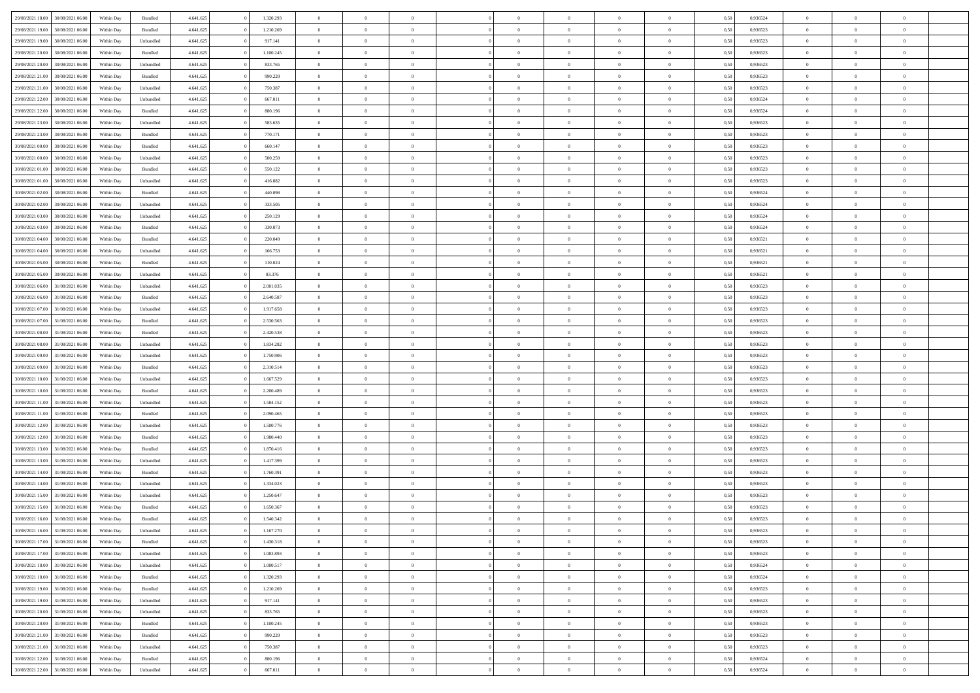| 29/08/2021 18:00 | 30/08/2021 06:00 | Within Day | Bundled            | 4.641.625 | 1.320.293 | $\overline{0}$ | $\Omega$       |                | $\Omega$       | $\Omega$       | $\theta$       | $\theta$       | 0,50 | 0,936524 | $\theta$       | $\theta$       | $\overline{0}$ |  |
|------------------|------------------|------------|--------------------|-----------|-----------|----------------|----------------|----------------|----------------|----------------|----------------|----------------|------|----------|----------------|----------------|----------------|--|
|                  |                  |            |                    |           |           |                |                |                |                |                |                |                |      |          |                |                |                |  |
| 29/08/2021 19:00 | 30/08/2021 06:00 | Within Day | Bundled            | 4.641.625 | 1.210.269 | $\overline{0}$ | $\theta$       | $\overline{0}$ | $\overline{0}$ | $\bf{0}$       | $\overline{0}$ | $\bf{0}$       | 0,50 | 0,936523 | $\theta$       | $\overline{0}$ | $\overline{0}$ |  |
| 29/08/2021 19:00 | 30/08/2021 06:00 | Within Day | Unbundled          | 4.641.625 | 917.141   | $\overline{0}$ | $\bf{0}$       | $\overline{0}$ | $\bf{0}$       | $\bf{0}$       | $\bf{0}$       | $\mathbf{0}$   | 0,50 | 0,936523 | $\overline{0}$ | $\overline{0}$ | $\bf{0}$       |  |
| 29/08/2021 20:00 | 30/08/2021 06:00 | Within Dav | Bundled            | 4.641.625 | 1.100.245 | $\overline{0}$ | $\overline{0}$ | $\overline{0}$ | $\overline{0}$ | $\bf{0}$       | $\overline{0}$ | $\overline{0}$ | 0.50 | 0.936523 | $\theta$       | $\theta$       | $\overline{0}$ |  |
| 29/08/2021 20:00 | 30/08/2021 06:00 | Within Day | Unbundled          | 4.641.625 | 833.765   | $\overline{0}$ | $\theta$       | $\overline{0}$ | $\overline{0}$ | $\bf{0}$       | $\overline{0}$ | $\bf{0}$       | 0,50 | 0,936523 | $\theta$       | $\overline{0}$ | $\overline{0}$ |  |
| 29/08/2021 21:00 | 30/08/2021 06:00 | Within Day | Bundled            | 4.641.625 | 990.220   | $\overline{0}$ | $\overline{0}$ | $\overline{0}$ | $\bf{0}$       | $\overline{0}$ | $\overline{0}$ | $\mathbf{0}$   | 0,50 | 0,936523 | $\overline{0}$ | $\overline{0}$ | $\bf{0}$       |  |
| 29/08/2021 21:00 | 30/08/2021 06:00 | Within Dav | Unbundled          | 4.641.625 | 750.387   | $\overline{0}$ | $\overline{0}$ | $\overline{0}$ | $\overline{0}$ | $\overline{0}$ | $\overline{0}$ | $\overline{0}$ | 0.50 | 0.936523 | $\theta$       | $\overline{0}$ | $\overline{0}$ |  |
| 29/08/2021 22.00 | 30/08/2021 06:00 | Within Day | Unbundled          | 4.641.625 | 667.011   | $\overline{0}$ | $\theta$       | $\overline{0}$ | $\overline{0}$ | $\bf{0}$       | $\overline{0}$ | $\bf{0}$       | 0,50 | 0,936524 | $\theta$       | $\theta$       | $\overline{0}$ |  |
| 29/08/2021 22:00 | 30/08/2021 06:00 | Within Day | Bundled            | 4.641.625 | 880.196   | $\overline{0}$ | $\overline{0}$ | $\overline{0}$ | $\bf{0}$       | $\bf{0}$       | $\bf{0}$       | $\bf{0}$       | 0,50 | 0,936524 | $\,0\,$        | $\overline{0}$ | $\overline{0}$ |  |
| 29/08/2021 23:00 | 30/08/2021 06:00 | Within Dav | Unbundled          | 4.641.625 | 583.635   | $\overline{0}$ | $\overline{0}$ | $\overline{0}$ | $\overline{0}$ | $\overline{0}$ | $\overline{0}$ | $\overline{0}$ | 0.50 | 0.936523 | $\theta$       | $\overline{0}$ | $\overline{0}$ |  |
|                  |                  |            |                    |           |           |                |                |                |                |                |                |                |      |          |                |                |                |  |
| 29/08/2021 23:00 | 30/08/2021 06:00 | Within Day | Bundled            | 4.641.625 | 770.171   | $\overline{0}$ | $\theta$       | $\overline{0}$ | $\overline{0}$ | $\bf{0}$       | $\overline{0}$ | $\bf{0}$       | 0,50 | 0,936523 | $\,$ 0 $\,$    | $\overline{0}$ | $\overline{0}$ |  |
| 30/08/2021 00:00 | 30/08/2021 06:00 | Within Day | Bundled            | 4.641.625 | 660.147   | $\overline{0}$ | $\bf{0}$       | $\overline{0}$ | $\overline{0}$ | $\bf{0}$       | $\overline{0}$ | $\mathbf{0}$   | 0,50 | 0,936523 | $\bf{0}$       | $\overline{0}$ | $\bf{0}$       |  |
| 30/08/2021 00:00 | 30/08/2021 06:00 | Within Day | Unbundled          | 4.641.625 | 500.259   | $\overline{0}$ | $\overline{0}$ | $\overline{0}$ | $\overline{0}$ | $\bf{0}$       | $\overline{0}$ | $\overline{0}$ | 0.50 | 0.936523 | $\theta$       | $\theta$       | $\overline{0}$ |  |
| 30/08/2021 01:00 | 30/08/2021 06:00 | Within Day | Bundled            | 4.641.625 | 550.122   | $\overline{0}$ | $\theta$       | $\overline{0}$ | $\overline{0}$ | $\bf{0}$       | $\overline{0}$ | $\bf{0}$       | 0,50 | 0,936523 | $\theta$       | $\overline{0}$ | $\overline{0}$ |  |
| 30/08/2021 01:00 | 30/08/2021 06:00 | Within Day | Unbundled          | 4.641.625 | 416.882   | $\overline{0}$ | $\overline{0}$ | $\overline{0}$ | $\overline{0}$ | $\overline{0}$ | $\overline{0}$ | $\mathbf{0}$   | 0,50 | 0,936523 | $\bf{0}$       | $\overline{0}$ | $\bf{0}$       |  |
| 30/08/2021 02:00 | 30/08/2021 06:00 | Within Dav | Bundled            | 4.641.625 | 440.098   | $\overline{0}$ | $\overline{0}$ | $\overline{0}$ | $\overline{0}$ | $\overline{0}$ | $\overline{0}$ | $\overline{0}$ | 0.50 | 0,936524 | $\theta$       | $\overline{0}$ | $\overline{0}$ |  |
| 30/08/2021 02:00 | 30/08/2021 06:00 | Within Day | Unbundled          | 4.641.625 | 333.505   | $\overline{0}$ | $\theta$       | $\overline{0}$ | $\overline{0}$ | $\bf{0}$       | $\overline{0}$ | $\bf{0}$       | 0,50 | 0,936524 | $\theta$       | $\theta$       | $\overline{0}$ |  |
| 30/08/2021 03:00 | 30/08/2021 06:00 | Within Day | Unbundled          | 4.641.625 | 250.129   | $\overline{0}$ | $\overline{0}$ | $\overline{0}$ | $\overline{0}$ | $\bf{0}$       | $\overline{0}$ | $\mathbf{0}$   | 0,50 | 0,936524 | $\,0\,$        | $\overline{0}$ | $\bf{0}$       |  |
| 30/08/2021 03:00 | 30/08/2021 06:00 | Within Day | Bundled            | 4.641.625 | 330.073   | $\overline{0}$ | $\overline{0}$ | $\overline{0}$ | $\overline{0}$ | $\overline{0}$ | $\overline{0}$ | $\overline{0}$ | 0.50 | 0,936524 | $\theta$       | $\overline{0}$ | $\overline{0}$ |  |
| 30/08/2021 04:00 | 30/08/2021 06:00 | Within Day | Bundled            | 4.641.625 | 220.049   | $\overline{0}$ | $\theta$       | $\overline{0}$ | $\overline{0}$ | $\bf{0}$       | $\overline{0}$ | $\bf{0}$       | 0,50 | 0,936521 | $\,$ 0 $\,$    | $\overline{0}$ | $\overline{0}$ |  |
|                  |                  |            |                    |           |           |                |                |                |                |                |                |                |      |          |                |                |                |  |
| 30/08/2021 04:00 | 30/08/2021 06:00 | Within Day | Unbundled          | 4.641.625 | 166.753   | $\overline{0}$ | $\overline{0}$ | $\overline{0}$ | $\overline{0}$ | $\bf{0}$       | $\overline{0}$ | $\mathbf{0}$   | 0,50 | 0,936521 | $\,0\,$        | $\overline{0}$ | $\bf{0}$       |  |
| 30/08/2021 05:00 | 30/08/2021 06:00 | Within Day | Bundled            | 4.641.625 | 110.024   | $\overline{0}$ | $\overline{0}$ | $\overline{0}$ | $\overline{0}$ | $\overline{0}$ | $\overline{0}$ | $\overline{0}$ | 0.50 | 0.936521 | $\theta$       | $\overline{0}$ | $\overline{0}$ |  |
| 30/08/2021 05:00 | 30/08/2021 06:00 | Within Day | Unbundled          | 4.641.625 | 83.376    | $\overline{0}$ | $\theta$       | $\overline{0}$ | $\overline{0}$ | $\bf{0}$       | $\overline{0}$ | $\bf{0}$       | 0,50 | 0,936521 | $\,$ 0 $\,$    | $\overline{0}$ | $\overline{0}$ |  |
| 30/08/2021 06:00 | 31/08/2021 06:00 | Within Day | Unbundled          | 4.641.625 | 2.001.035 | $\overline{0}$ | $\overline{0}$ | $\overline{0}$ | $\overline{0}$ | $\overline{0}$ | $\overline{0}$ | $\mathbf{0}$   | 0,50 | 0,936523 | $\bf{0}$       | $\overline{0}$ | $\bf{0}$       |  |
| 30/08/2021 06:00 | 31/08/2021 06:00 | Within Dav | Bundled            | 4.641.625 | 2.640.587 | $\overline{0}$ | $\overline{0}$ | $\overline{0}$ | $\overline{0}$ | $\overline{0}$ | $\overline{0}$ | $\overline{0}$ | 0.50 | 0.936523 | $\theta$       | $\overline{0}$ | $\overline{0}$ |  |
| 30/08/2021 07:00 | 31/08/2021 06:00 | Within Day | Unbundled          | 4.641.625 | 1.917.658 | $\overline{0}$ | $\theta$       | $\overline{0}$ | $\overline{0}$ | $\bf{0}$       | $\overline{0}$ | $\bf{0}$       | 0,50 | 0,936523 | $\theta$       | $\theta$       | $\overline{0}$ |  |
| 30/08/2021 07:00 | 31/08/2021 06:00 | Within Day | Bundled            | 4.641.625 | 2.530.563 | $\overline{0}$ | $\overline{0}$ | $\overline{0}$ | $\overline{0}$ | $\bf{0}$       | $\overline{0}$ | $\bf{0}$       | 0,50 | 0,936523 | $\,0\,$        | $\overline{0}$ | $\overline{0}$ |  |
| 30/08/2021 08:00 | 31/08/2021 06:00 | Within Day | Bundled            | 4.641.625 | 2.420.538 | $\overline{0}$ | $\overline{0}$ | $\overline{0}$ | $\overline{0}$ | $\overline{0}$ | $\overline{0}$ | $\overline{0}$ | 0.50 | 0.936523 | $\theta$       | $\overline{0}$ | $\overline{0}$ |  |
| 30/08/2021 08:00 | 31/08/2021 06:00 | Within Day | Unbundled          | 4.641.625 | 1.834.282 | $\overline{0}$ | $\theta$       | $\overline{0}$ | $\overline{0}$ | $\bf{0}$       | $\overline{0}$ | $\bf{0}$       | 0,50 | 0,936523 | $\,$ 0 $\,$    | $\overline{0}$ | $\overline{0}$ |  |
| 30/08/2021 09:00 | 31/08/2021 06:00 | Within Day | Unbundled          | 4.641.625 | 1.750.906 | $\overline{0}$ | $\overline{0}$ | $\overline{0}$ | $\overline{0}$ | $\bf{0}$       | $\overline{0}$ | $\bf{0}$       | 0,50 | 0,936523 | $\bf{0}$       | $\overline{0}$ | $\bf{0}$       |  |
| 30/08/2021 09:00 | 31/08/2021 06.00 |            |                    | 4.641.625 | 2.310.514 | $\overline{0}$ | $\Omega$       | $\Omega$       | $\Omega$       | $\Omega$       | $\overline{0}$ | $\overline{0}$ | 0,50 | 0,936523 | $\,0\,$        | $\theta$       | $\theta$       |  |
|                  |                  | Within Day | Bundled            |           |           | $\overline{0}$ | $\theta$       | $\overline{0}$ | $\overline{0}$ | $\bf{0}$       | $\overline{0}$ |                |      |          | $\theta$       | $\overline{0}$ | $\overline{0}$ |  |
| 30/08/2021 10:00 | 31/08/2021 06:00 | Within Day | Unbundled          | 4.641.625 | 1.667.529 |                |                |                |                |                |                | $\bf{0}$       | 0,50 | 0,936523 |                |                |                |  |
| 30/08/2021 10:00 | 31/08/2021 06:00 | Within Day | Bundled            | 4.641.625 | 2.200.489 | $\overline{0}$ | $\overline{0}$ | $\overline{0}$ | $\overline{0}$ | $\overline{0}$ | $\overline{0}$ | $\mathbf{0}$   | 0,50 | 0,936523 | $\bf{0}$       | $\overline{0}$ | $\bf{0}$       |  |
| 30/08/2021 11:00 | 31/08/2021 06:00 | Within Day | Unbundled          | 4.641.625 | 1.584.152 | $\overline{0}$ | $\Omega$       | $\Omega$       | $\Omega$       | $\overline{0}$ | $\overline{0}$ | $\overline{0}$ | 0.50 | 0.936523 | $\,0\,$        | $\theta$       | $\theta$       |  |
| 30/08/2021 11:00 | 31/08/2021 06:00 | Within Day | Bundled            | 4.641.625 | 2.090.465 | $\overline{0}$ | $\theta$       | $\overline{0}$ | $\overline{0}$ | $\bf{0}$       | $\overline{0}$ | $\bf{0}$       | 0,50 | 0,936523 | $\theta$       | $\overline{0}$ | $\overline{0}$ |  |
| 30/08/2021 12:00 | 31/08/2021 06:00 | Within Day | Unbundled          | 4.641.625 | 1.500.776 | $\overline{0}$ | $\overline{0}$ | $\overline{0}$ | $\overline{0}$ | $\bf{0}$       | $\overline{0}$ | $\bf{0}$       | 0,50 | 0,936523 | $\bf{0}$       | $\overline{0}$ | $\bf{0}$       |  |
| 30/08/2021 12:00 | 31/08/2021 06:00 | Within Day | Bundled            | 4.641.625 | 1.980.440 | $\overline{0}$ | $\Omega$       | $\Omega$       | $\Omega$       | $\overline{0}$ | $\overline{0}$ | $\overline{0}$ | 0.50 | 0.936523 | $\,$ 0 $\,$    | $\theta$       | $\theta$       |  |
| 30/08/2021 13:00 | 31/08/2021 06:00 | Within Day | Bundled            | 4.641.625 | 1.870.416 | $\overline{0}$ | $\theta$       | $\overline{0}$ | $\overline{0}$ | $\,$ 0         | $\overline{0}$ | $\bf{0}$       | 0,50 | 0,936523 | $\,$ 0 $\,$    | $\overline{0}$ | $\overline{0}$ |  |
| 30/08/2021 13:00 | 31/08/2021 06:00 | Within Day | Unbundled          | 4.641.625 | 1.417.399 | $\overline{0}$ | $\bf{0}$       | $\overline{0}$ | $\overline{0}$ | $\bf{0}$       | $\overline{0}$ | $\mathbf{0}$   | 0,50 | 0,936523 | $\bf{0}$       | $\overline{0}$ | $\bf{0}$       |  |
| 30/08/2021 14:00 | 31/08/2021 06.00 | Within Day | Bundled            | 4.641.625 | 1.760.391 | $\overline{0}$ | $\Omega$       | $\overline{0}$ | $\Omega$       | $\overline{0}$ | $\overline{0}$ | $\overline{0}$ | 0,50 | 0,936523 | $\,0\,$        | $\theta$       | $\theta$       |  |
| 30/08/2021 14:00 | 31/08/2021 06:00 | Within Day | Unbundled          | 4.641.625 | 1.334.023 | $\overline{0}$ | $\overline{0}$ | $\overline{0}$ | $\overline{0}$ | $\,$ 0         | $\overline{0}$ | $\bf{0}$       | 0,50 | 0,936523 | $\,$ 0 $\,$    | $\overline{0}$ | $\overline{0}$ |  |
| 30/08/2021 15:00 | 31/08/2021 06:00 | Within Day | Unbundled          | 4.641.625 | 1.250.647 | $\overline{0}$ | $\overline{0}$ | $\overline{0}$ | $\bf{0}$       | $\bf{0}$       | $\overline{0}$ | $\mathbf{0}$   | 0,50 | 0,936523 | $\bf{0}$       | $\overline{0}$ | $\bf{0}$       |  |
| 30/08/2021 15:00 | 31/08/2021 06.00 |            | Bundled            | 4.641.625 | 1.650.367 | $\overline{0}$ | $\Omega$       | $\Omega$       | $\Omega$       | $\Omega$       | $\Omega$       | $\overline{0}$ | 0.50 | 0.936523 | $\theta$       | $\theta$       | $\theta$       |  |
|                  |                  | Within Day |                    |           |           |                |                |                |                |                |                |                |      |          |                |                |                |  |
| 30/08/2021 16:00 | 31/08/2021 06:00 | Within Day | Bundled            | 4.641.625 | 1.540.342 | $\overline{0}$ | $\overline{0}$ | $\overline{0}$ | $\bf{0}$       | $\,$ 0         | $\bf{0}$       | $\bf{0}$       | 0,50 | 0,936523 | $\,0\,$        | $\,$ 0 $\,$    | $\overline{0}$ |  |
| 30/08/2021 16:00 | 31/08/2021 06:00 | Within Day | Unbundled          | 4.641.625 | 1.167.270 | $\overline{0}$ | $\bf{0}$       |                |                | $\bf{0}$       |                |                | 0,50 | 0,936523 | $\bf{0}$       | $\overline{0}$ |                |  |
| 30/08/2021 17:00 | 31/08/2021 06:00 | Within Day | Bundled            | 4.641.625 | 1.430.318 | $\overline{0}$ | $\overline{0}$ | $\overline{0}$ | $\Omega$       | $\overline{0}$ | $\overline{0}$ | $\overline{0}$ | 0,50 | 0.936523 | $\theta$       | $\theta$       | $\theta$       |  |
| 30/08/2021 17:00 | 31/08/2021 06:00 | Within Day | Unbundled          | 4.641.625 | 1.083.893 | $\overline{0}$ | $\,$ 0         | $\overline{0}$ | $\bf{0}$       | $\,$ 0 $\,$    | $\overline{0}$ | $\,$ 0 $\,$    | 0,50 | 0,936523 | $\,$ 0 $\,$    | $\,$ 0 $\,$    | $\,$ 0         |  |
| 30/08/2021 18:00 | 31/08/2021 06:00 | Within Day | Unbundled          | 4.641.625 | 1.000.517 | $\overline{0}$ | $\overline{0}$ | $\overline{0}$ | $\overline{0}$ | $\overline{0}$ | $\overline{0}$ | $\mathbf{0}$   | 0,50 | 0,936524 | $\overline{0}$ | $\bf{0}$       | $\bf{0}$       |  |
| 30/08/2021 18:00 | 31/08/2021 06:00 | Within Day | $\mathbf B$ undled | 4.641.625 | 1.320.293 | $\overline{0}$ | $\overline{0}$ | $\overline{0}$ | $\Omega$       | $\overline{0}$ | $\overline{0}$ | $\overline{0}$ | 0,50 | 0,936524 | $\overline{0}$ | $\theta$       | $\overline{0}$ |  |
| 30/08/2021 19:00 | 31/08/2021 06:00 | Within Day | Bundled            | 4.641.625 | 1.210.269 | $\overline{0}$ | $\,$ 0         | $\overline{0}$ | $\overline{0}$ | $\,$ 0 $\,$    | $\overline{0}$ | $\mathbf{0}$   | 0,50 | 0,936523 | $\,$ 0 $\,$    | $\overline{0}$ | $\overline{0}$ |  |
| 30/08/2021 19:00 | 31/08/2021 06:00 | Within Day | Unbundled          | 4.641.625 | 917.141   | $\overline{0}$ | $\overline{0}$ | $\overline{0}$ | $\overline{0}$ | $\overline{0}$ | $\overline{0}$ | $\mathbf{0}$   | 0,50 | 0,936523 | $\overline{0}$ | $\overline{0}$ | $\bf{0}$       |  |
| 30/08/2021 20:00 | 31/08/2021 06:00 | Within Day | Unbundled          | 4.641.625 | 833.765   | $\overline{0}$ | $\overline{0}$ | $\overline{0}$ | $\Omega$       | $\overline{0}$ | $\overline{0}$ | $\bf{0}$       | 0.50 | 0,936523 | $\overline{0}$ | $\theta$       | $\overline{0}$ |  |
| 30/08/2021 20:00 | 31/08/2021 06:00 | Within Day | Bundled            | 4.641.625 | 1.100.245 | $\overline{0}$ | $\,$ 0         | $\overline{0}$ | $\bf{0}$       | $\bf{0}$       | $\bf{0}$       | $\bf{0}$       | 0,50 | 0,936523 | $\,$ 0 $\,$    | $\overline{0}$ | $\overline{0}$ |  |
| 30/08/2021 21:00 | 31/08/2021 06:00 | Within Day | Bundled            | 4.641.625 | 990.220   | $\overline{0}$ | $\bf{0}$       | $\overline{0}$ | $\overline{0}$ | $\overline{0}$ | $\overline{0}$ | $\mathbf{0}$   | 0,50 | 0,936523 | $\overline{0}$ | $\overline{0}$ | $\bf{0}$       |  |
|                  |                  |            |                    |           |           | $\overline{0}$ | $\overline{0}$ | $\overline{0}$ | $\Omega$       | $\overline{0}$ | $\overline{0}$ |                | 0.50 | 0.936523 | $\overline{0}$ | $\overline{0}$ | $\overline{0}$ |  |
| 30/08/2021 21:00 | 31/08/2021 06:00 | Within Day | Unbundled          | 4.641.625 | 750.387   |                |                |                |                |                |                | $\overline{0}$ |      |          |                |                |                |  |
| 30/08/2021 22.00 | 31/08/2021 06:00 | Within Day | Bundled            | 4.641.625 | 880.196   | $\overline{0}$ | $\bf{0}$       | $\overline{0}$ | $\bf{0}$       | $\bf{0}$       | $\bf{0}$       | $\mathbf{0}$   | 0,50 | 0,936524 | $\,$ 0 $\,$    | $\,$ 0 $\,$    | $\bf{0}$       |  |
| 30/08/2021 22.00 | 31/08/2021 06:00 | Within Day | Unbundled          | 4.641.625 | 667.011   | $\overline{0}$ | $\overline{0}$ | $\overline{0}$ | $\overline{0}$ | $\overline{0}$ | $\bf{0}$       | $\mathbf{0}$   | 0,50 | 0,936524 | $\overline{0}$ | $\bf{0}$       | $\bf{0}$       |  |